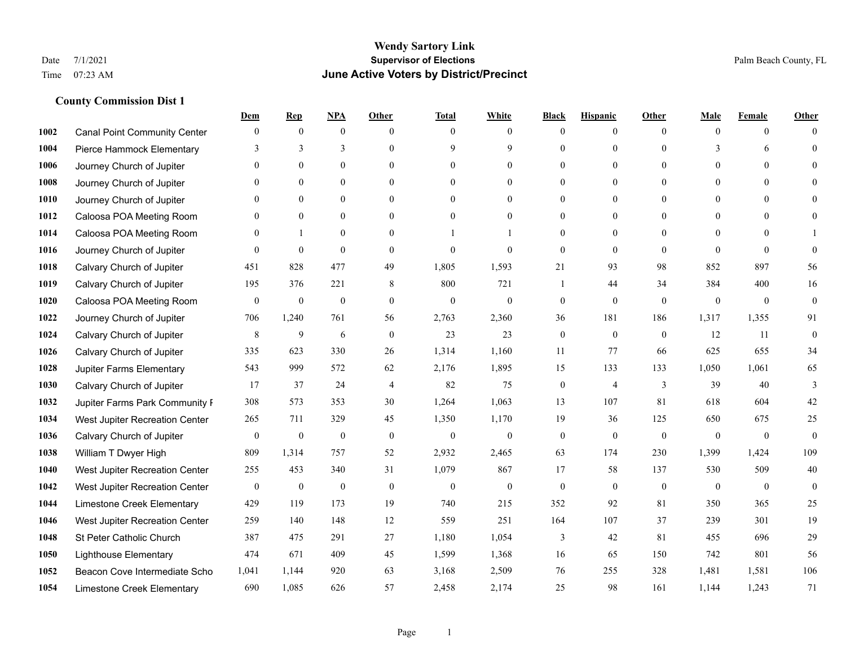## **Wendy Sartory Link** Date 7/1/2021 Palm Beach County, FL Time 07:23 AM **June Active Voters by District/Precinct**

|      |                                     | Dem              | <b>Rep</b>       | NPA              | <b>Other</b>   | <b>Total</b>     | <b>White</b>     | <b>Black</b>     | <b>Hispanic</b> | <b>Other</b> | <b>Male</b>      | <b>Female</b>  | <b>Other</b>     |
|------|-------------------------------------|------------------|------------------|------------------|----------------|------------------|------------------|------------------|-----------------|--------------|------------------|----------------|------------------|
| 1002 | <b>Canal Point Community Center</b> | $\mathbf{0}$     | $\mathbf{0}$     | $\boldsymbol{0}$ | $\theta$       | $\Omega$         | $\overline{0}$   | $\mathbf{0}$     | $\mathbf{0}$    | $\theta$     | $\mathbf{0}$     | $\overline{0}$ | $\Omega$         |
| 1004 | Pierce Hammock Elementary           | 3                | 3                | 3                | $\theta$       | 9                | 9                | $\theta$         | $\mathbf{0}$    | $\Omega$     | 3                | 6              | $\theta$         |
| 1006 | Journey Church of Jupiter           | $\Omega$         | $\theta$         | $\theta$         | $\Omega$       | $\Omega$         | $\Omega$         | $\Omega$         | $\theta$        | $\Omega$     | $\Omega$         | $\Omega$       | $\Omega$         |
| 1008 | Journey Church of Jupiter           | $\mathbf{0}$     | $\mathbf{0}$     | $\mathbf{0}$     | $\mathbf{0}$   | $\theta$         | $\overline{0}$   | $\overline{0}$   | $\mathbf{0}$    | $\Omega$     | $\mathbf{0}$     | $\theta$       |                  |
| 1010 | Journey Church of Jupiter           | $\Omega$         | $\theta$         | $\mathbf{0}$     | $\theta$       | $\Omega$         | $\overline{0}$   | $\theta$         | $\mathbf{0}$    | $\theta$     | $\theta$         | $\theta$       | $\Omega$         |
| 1012 | Caloosa POA Meeting Room            | $\Omega$         | $\mathbf{0}$     | $\mathbf{0}$     | $\theta$       | $\theta$         | $\mathbf{0}$     | $\theta$         | $\mathbf{0}$    | $\Omega$     | $\mathbf{0}$     | $\Omega$       | $\Omega$         |
| 1014 | Caloosa POA Meeting Room            | $\mathbf{0}$     | $\mathbf{1}$     | $\mathbf{0}$     | $\mathbf{0}$   |                  |                  | $\mathbf{0}$     | $\mathbf{0}$    | $\Omega$     | $\mathbf{0}$     | $\theta$       |                  |
| 1016 | Journey Church of Jupiter           | $\Omega$         | $\mathbf{0}$     | $\theta$         | $\theta$       | $\theta$         | $\theta$         | $\theta$         | $\theta$        | $\Omega$     | $\Omega$         | $\Omega$       | $\theta$         |
| 1018 | Calvary Church of Jupiter           | 451              | 828              | 477              | 49             | 1,805            | 1,593            | 21               | 93              | 98           | 852              | 897            | 56               |
| 1019 | Calvary Church of Jupiter           | 195              | 376              | 221              | 8              | 800              | 721              | 1                | 44              | 34           | 384              | 400            | 16               |
| 1020 | Caloosa POA Meeting Room            | $\mathbf{0}$     | $\boldsymbol{0}$ | $\boldsymbol{0}$ | $\theta$       | $\mathbf{0}$     | $\mathbf{0}$     | $\boldsymbol{0}$ | $\mathbf{0}$    | $\theta$     | $\mathbf{0}$     | $\overline{0}$ | $\boldsymbol{0}$ |
| 1022 | Journey Church of Jupiter           | 706              | 1,240            | 761              | 56             | 2,763            | 2,360            | 36               | 181             | 186          | 1,317            | 1,355          | 91               |
| 1024 | Calvary Church of Jupiter           | 8                | 9                | 6                | $\theta$       | 23               | 23               | $\mathbf{0}$     | $\mathbf{0}$    | $\theta$     | 12               | 11             | $\mathbf{0}$     |
| 1026 | Calvary Church of Jupiter           | 335              | 623              | 330              | 26             | 1,314            | 1,160            | 11               | 77              | 66           | 625              | 655            | 34               |
| 1028 | Jupiter Farms Elementary            | 543              | 999              | 572              | 62             | 2,176            | 1,895            | 15               | 133             | 133          | 1,050            | 1,061          | 65               |
| 1030 | Calvary Church of Jupiter           | 17               | 37               | 24               | $\overline{4}$ | 82               | 75               | $\boldsymbol{0}$ | $\overline{4}$  | 3            | 39               | 40             | 3                |
| 1032 | Jupiter Farms Park Community F      | 308              | 573              | 353              | 30             | 1,264            | 1,063            | 13               | 107             | 81           | 618              | 604            | 42               |
| 1034 | West Jupiter Recreation Center      | 265              | 711              | 329              | 45             | 1,350            | 1,170            | 19               | 36              | 125          | 650              | 675            | 25               |
| 1036 | Calvary Church of Jupiter           | $\mathbf{0}$     | $\boldsymbol{0}$ | $\boldsymbol{0}$ | $\mathbf{0}$   | $\boldsymbol{0}$ | $\boldsymbol{0}$ | $\boldsymbol{0}$ | $\mathbf{0}$    | $\mathbf{0}$ | $\mathbf{0}$     | $\mathbf{0}$   | $\mathbf{0}$     |
| 1038 | William T Dwyer High                | 809              | 1,314            | 757              | 52             | 2,932            | 2,465            | 63               | 174             | 230          | 1,399            | 1,424          | 109              |
| 1040 | West Jupiter Recreation Center      | 255              | 453              | 340              | 31             | 1,079            | 867              | 17               | 58              | 137          | 530              | 509            | 40               |
| 1042 | West Jupiter Recreation Center      | $\boldsymbol{0}$ | $\boldsymbol{0}$ | $\boldsymbol{0}$ | $\mathbf{0}$   | $\boldsymbol{0}$ | $\mathbf{0}$     | $\boldsymbol{0}$ | $\mathbf{0}$    | $\mathbf{0}$ | $\boldsymbol{0}$ | $\overline{0}$ | $\mathbf{0}$     |
| 1044 | Limestone Creek Elementary          | 429              | 119              | 173              | 19             | 740              | 215              | 352              | 92              | 81           | 350              | 365            | 25               |
| 1046 | West Jupiter Recreation Center      | 259              | 140              | 148              | 12             | 559              | 251              | 164              | 107             | 37           | 239              | 301            | 19               |
| 1048 | St Peter Catholic Church            | 387              | 475              | 291              | 27             | 1,180            | 1,054            | 3                | $42\,$          | 81           | 455              | 696            | $29\,$           |
| 1050 | <b>Lighthouse Elementary</b>        | 474              | 671              | 409              | 45             | 1,599            | 1,368            | 16               | 65              | 150          | 742              | 801            | 56               |
| 1052 | Beacon Cove Intermediate Scho       | 1,041            | 1,144            | 920              | 63             | 3,168            | 2,509            | 76               | 255             | 328          | 1,481            | 1,581          | 106              |
| 1054 | Limestone Creek Elementary          | 690              | 1,085            | 626              | 57             | 2,458            | 2,174            | 25               | 98              | 161          | 1,144            | 1,243          | 71               |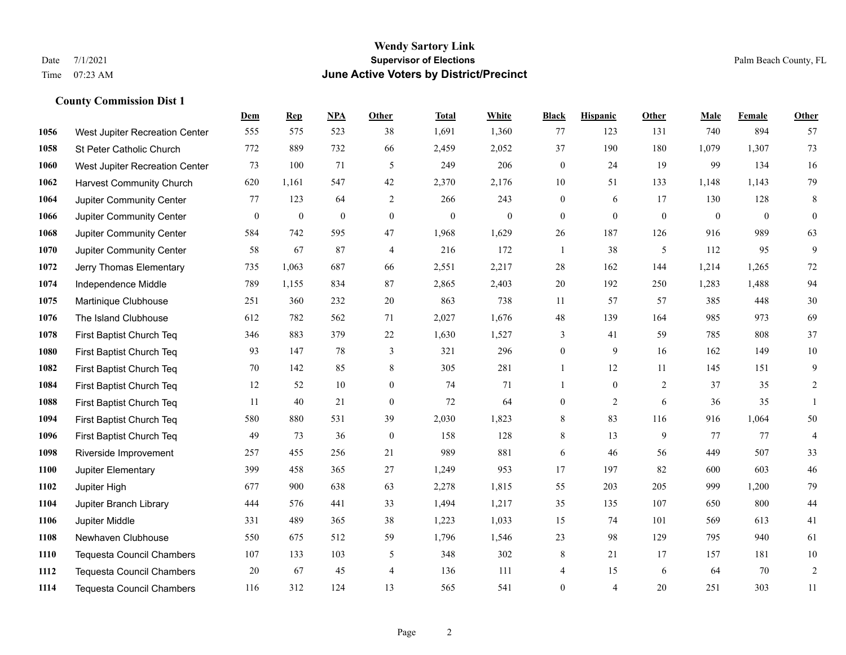#### **Wendy Sartory Link** Date 7/1/2021 **Supervisor of Elections** Palm Beach County, FL Time 07:23 AM **June Active Voters by District/Precinct**

# **Dem Rep NPA Other Total White Black Hispanic Other Male Female Other** West Jupiter Recreation Center 555 575 523 38 1,691 1,360 77 123 131 740 894 57 St Peter Catholic Church 772 889 732 66 2,459 2,052 37 190 180 1,079 1,307 73 West Jupiter Recreation Center 73 100 71 5 249 206 0 24 19 99 134 16 Harvest Community Church 620 1,161 547 42 2,370 2,176 10 51 133 1,148 1,143 79 Jupiter Community Center 77 123 64 2 266 243 0 6 17 130 128 8 Jupiter Community Center 0 0 0 0 0 0 0 0 0 0 0 0 Jupiter Community Center 584 742 595 47 1,968 1,629 26 187 126 916 989 63 Jupiter Community Center 58 67 87 4 216 172 1 38 5 112 95 9 Jerry Thomas Elementary 735 1,063 687 66 2,551 2,217 28 162 144 1,214 1,265 72 Independence Middle 789 1,155 834 87 2,865 2,403 20 192 250 1,283 1,488 94 Martinique Clubhouse 251 360 232 20 863 738 11 57 57 385 448 30 The Island Clubhouse 612 782 562 71 2,027 1,676 48 139 164 985 973 69 First Baptist Church Teq 346 883 379 22 1,630 1,527 3 41 59 785 808 37 First Baptist Church Teq 93 147 78 3 321 296 0 9 16 162 149 10 First Baptist Church Teq **70** 142 85 8 305 281 1 12 11 145 151 9 First Baptist Church Teq 12 52 10 0 74 71 1 0 2 37 35 2 First Baptist Church Teq **11** 40 21 0 72 64 0 2 6 36 35 1 First Baptist Church Teq 580 880 531 39 2,030 1,823 8 83 116 916 1,064 50 First Baptist Church Teq 49 73 36 0 158 128 8 13 9 77 77 4 Riverside Improvement 257 455 256 21 989 881 6 46 56 449 507 33 Jupiter Elementary 399 458 365 27 1,249 953 17 197 82 600 603 46 Jupiter High 677 900 638 63 2,278 1,815 55 203 205 999 1,200 79 Jupiter Branch Library 444 576 441 33 1,494 1,217 35 135 107 650 800 44 Jupiter Middle 331 489 365 38 1,223 1,033 15 74 101 569 613 41 Newhaven Clubhouse 550 675 512 59 1,796 1,546 23 98 129 795 940 61 Tequesta Council Chambers 107 133 103 5 348 302 8 21 17 157 181 10 Tequesta Council Chambers 20 67 45 4 136 111 4 15 6 64 70 2 Tequesta Council Chambers 116 312 124 13 565 541 0 4 20 251 303 11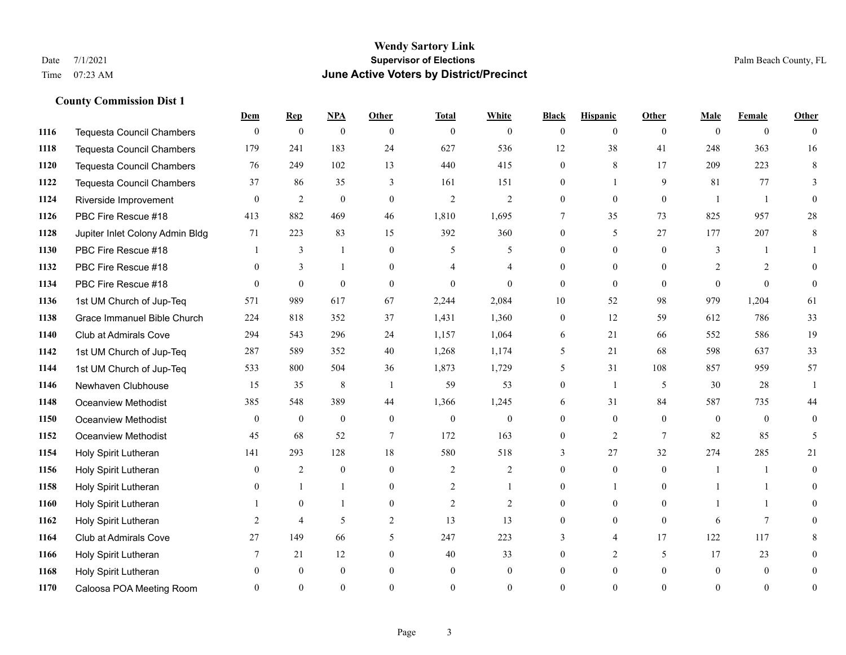#### **Wendy Sartory Link** Date 7/1/2021 **Supervisor of Elections** Palm Beach County, FL Time 07:23 AM **June Active Voters by District/Precinct**

# **Dem Rep NPA Other Total White Black Hispanic Other Male Female Other** Tequesta Council Chambers 0 0 0 0 0 0 0 0 0 0 0 0 Tequesta Council Chambers 179 241 183 24 627 536 12 38 41 248 363 16 Tequesta Council Chambers 76 249 102 13 440 415 0 8 17 209 223 8 Tequesta Council Chambers 37 86 35 3 161 151 0 1 9 81 77 3 Riverside Improvement 0 0 2 0 0 2 2 2 0 0 0 0 1 1 0 PBC Fire Rescue #18 413 882 469 46 1,810 1,695 7 35 73 825 957 28 Jupiter Inlet Colony Admin Bldg 71 223 83 15 392 360 0 5 27 177 207 8 PBC Fire Rescue #18 **1** 3 1 0 5 5 0 0 0 3 1 1 **1132 PBC Fire Rescue #18** 0 3 1 0 4 4 0 0 0 2 2 0 PBC Fire Rescue #18 0 0 0 0 0 0 0 0 0 0 0 0 1st UM Church of Jup-Teq 571 989 617 67 2,244 2,084 10 52 98 979 1,204 61 Grace Immanuel Bible Church 224 818 352 37 1,431 1,360 0 12 59 612 786 33 Club at Admirals Cove 294 543 296 24 1,157 1,064 6 21 66 552 586 19 1st UM Church of Jup-Teq 287 589 352 40 1,268 1,174 5 21 68 598 637 33 1st UM Church of Jup-Teq 533 800 504 36 1,873 1,729 5 31 108 857 959 57 Newhaven Clubhouse 15 35 8 1 59 53 0 1 5 30 28 1 Oceanview Methodist 385 548 389 44 1,366 1,245 6 31 84 587 735 44 Oceanview Methodist 0 0 0 0 0 0 0 0 0 0 0 0 Oceanview Methodist 45 68 52 7 172 163 0 2 7 82 85 5 Holy Spirit Lutheran 141 293 128 18 580 518 3 27 32 274 285 21 Holy Spirit Lutheran **0** 2 0 0 2 2 2 0 0 0 1 1 0 Holy Spirit Lutheran **0** 1 1 0 2 1 0 1 0 1 1 0 Holy Spirit Lutheran 1 0 1 0 2 2 0 0 0 1 1 0 Holy Spirit Lutheran **2** 4 5 2 13 13 0 0 0 6 7 0 Club at Admirals Cove 27 149 66 5 247 223 3 4 17 122 117 8 Holy Spirit Lutheran **7** 21 12 0 40 33 0 2 5 17 23 0 Holy Spirit Lutheran 0 0 0 0 0 0 0 0 0 0 0 0 Caloosa POA Meeting Room 0 0 0 0 0 0 0 0 0 0 0 0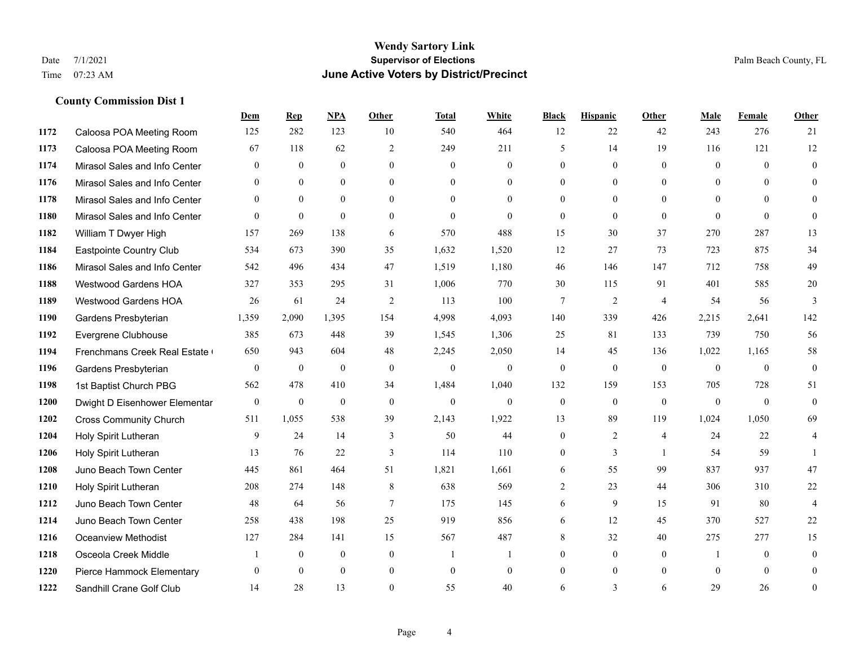### **Wendy Sartory Link** Date 7/1/2021 **Supervisor of Elections Supervisor of Elections** Palm Beach County, FL Time 07:23 AM **June Active Voters by District/Precinct**

|      |                               | Dem                     | <b>Rep</b>       | <b>NPA</b>     | Other          | <b>Total</b> | White          | <b>Black</b>     | <b>Hispanic</b> | <b>Other</b>   | Male           | Female       | Other          |
|------|-------------------------------|-------------------------|------------------|----------------|----------------|--------------|----------------|------------------|-----------------|----------------|----------------|--------------|----------------|
| 1172 | Caloosa POA Meeting Room      | 125                     | 282              | 123            | 10             | 540          | 464            | 12               | 22              | 42             | 243            | 276          | 21             |
| 1173 | Caloosa POA Meeting Room      | 67                      | 118              | 62             | 2              | 249          | 211            | 5                | 14              | 19             | 116            | 121          | 12             |
| 1174 | Mirasol Sales and Info Center | $\overline{0}$          | $\overline{0}$   | $\overline{0}$ | $\mathbf{0}$   | $\mathbf{0}$ | $\overline{0}$ | $\mathbf{0}$     | $\mathbf{0}$    | $\mathbf{0}$   | $\mathbf{0}$   | $\theta$     | $\mathbf{0}$   |
| 1176 | Mirasol Sales and Info Center | $\Omega$                | $\Omega$         | $\Omega$       | $\Omega$       | $\Omega$     | $\Omega$       | $\theta$         | $\Omega$        | $\Omega$       | $\Omega$       | $\Omega$     | $\Omega$       |
| 1178 | Mirasol Sales and Info Center | $\overline{0}$          | $\mathbf{0}$     | $\overline{0}$ | $\mathbf{0}$   | $\theta$     | $\overline{0}$ | $\overline{0}$   | $\mathbf{0}$    | $\Omega$       | $\overline{0}$ | $\theta$     | $\mathbf{0}$   |
| 1180 | Mirasol Sales and Info Center | $\theta$                | $\overline{0}$   | $\Omega$       | $\theta$       | $\theta$     | $\Omega$       | $\mathbf{0}$     | $\overline{0}$  | $\theta$       | $\theta$       | $\theta$     | $\mathbf{0}$   |
| 1182 | William T Dwyer High          | 157                     | 269              | 138            | 6              | 570          | 488            | 15               | 30              | 37             | 270            | 287          | 13             |
| 1184 | Eastpointe Country Club       | 534                     | 673              | 390            | 35             | 1,632        | 1,520          | 12               | 27              | 73             | 723            | 875          | 34             |
| 1186 | Mirasol Sales and Info Center | 542                     | 496              | 434            | 47             | 1,519        | 1,180          | 46               | 146             | 147            | 712            | 758          | 49             |
| 1188 | Westwood Gardens HOA          | 327                     | 353              | 295            | 31             | 1,006        | 770            | 30               | 115             | 91             | 401            | 585          | $20\,$         |
| 1189 | Westwood Gardens HOA          | 26                      | 61               | 24             | 2              | 113          | 100            | 7                | $\overline{2}$  | $\overline{4}$ | 54             | 56           | $\overline{3}$ |
| 1190 | Gardens Presbyterian          | 1,359                   | 2,090            | 1,395          | 154            | 4,998        | 4,093          | 140              | 339             | 426            | 2,215          | 2,641        | 142            |
| 1192 | Evergrene Clubhouse           | 385                     | 673              | 448            | 39             | 1,545        | 1,306          | 25               | 81              | 133            | 739            | 750          | 56             |
| 1194 | Frenchmans Creek Real Estate  | 650                     | 943              | 604            | 48             | 2,245        | 2,050          | 14               | 45              | 136            | 1,022          | 1,165        | 58             |
| 1196 | Gardens Presbyterian          | $\overline{0}$          | $\boldsymbol{0}$ | $\mathbf{0}$   | $\mathbf{0}$   | $\mathbf{0}$ | $\mathbf{0}$   | $\mathbf{0}$     | $\mathbf{0}$    | $\overline{0}$ | $\overline{0}$ | $\mathbf{0}$ | $\mathbf{0}$   |
| 1198 | 1st Baptist Church PBG        | 562                     | 478              | 410            | 34             | 1,484        | 1,040          | 132              | 159             | 153            | 705            | 728          | 51             |
| 1200 | Dwight D Eisenhower Elementar | $\mathbf{0}$            | $\mathbf{0}$     | $\overline{0}$ | $\theta$       | $\mathbf{0}$ | $\theta$       | $\mathbf{0}$     | $\theta$        | $\theta$       | $\theta$       | $\theta$     | $\theta$       |
| 1202 | <b>Cross Community Church</b> | 511                     | 1,055            | 538            | 39             | 2,143        | 1,922          | 13               | 89              | 119            | 1,024          | 1,050        | 69             |
| 1204 | Holy Spirit Lutheran          | 9                       | 24               | 14             | 3              | 50           | 44             | $\mathbf{0}$     | 2               | $\overline{4}$ | 24             | 22           | $\overline{4}$ |
| 1206 | Holy Spirit Lutheran          | 13                      | 76               | 22             | 3              | 114          | 110            | $\mathbf{0}$     | 3               | $\overline{1}$ | 54             | 59           |                |
| 1208 | Juno Beach Town Center        | 445                     | 861              | 464            | 51             | 1,821        | 1,661          | 6                | 55              | 99             | 837            | 937          | 47             |
| 1210 | Holy Spirit Lutheran          | 208                     | 274              | 148            | 8              | 638          | 569            | $\overline{2}$   | 23              | 44             | 306            | 310          | $22\,$         |
| 1212 | Juno Beach Town Center        | 48                      | 64               | 56             | $\overline{7}$ | 175          | 145            | 6                | 9               | 15             | 91             | 80           | $\overline{4}$ |
| 1214 | Juno Beach Town Center        | 258                     | 438              | 198            | 25             | 919          | 856            | 6                | 12              | 45             | 370            | 527          | 22             |
| 1216 | <b>Oceanview Methodist</b>    | 127                     | 284              | 141            | 15             | 567          | 487            | 8                | 32              | 40             | 275            | 277          | 15             |
| 1218 | Osceola Creek Middle          | $\overline{\mathbf{1}}$ | $\boldsymbol{0}$ | $\overline{0}$ | $\mathbf{0}$   | -1           | 1              | $\boldsymbol{0}$ | $\mathbf{0}$    | $\mathbf{0}$   |                | $\mathbf{0}$ | $\theta$       |
| 1220 | Pierce Hammock Elementary     | $\Omega$                | $\Omega$         | $\Omega$       | $\theta$       | $\theta$     | $\theta$       | $\Omega$         | $\theta$        | $\Omega$       | $\Omega$       | $\Omega$     | $\Omega$       |
| 1222 | Sandhill Crane Golf Club      | 14                      | 28               | 13             | $\Omega$       | 55           | 40             | 6                | 3               | 6              | 29             | 26           | $\mathbf{0}$   |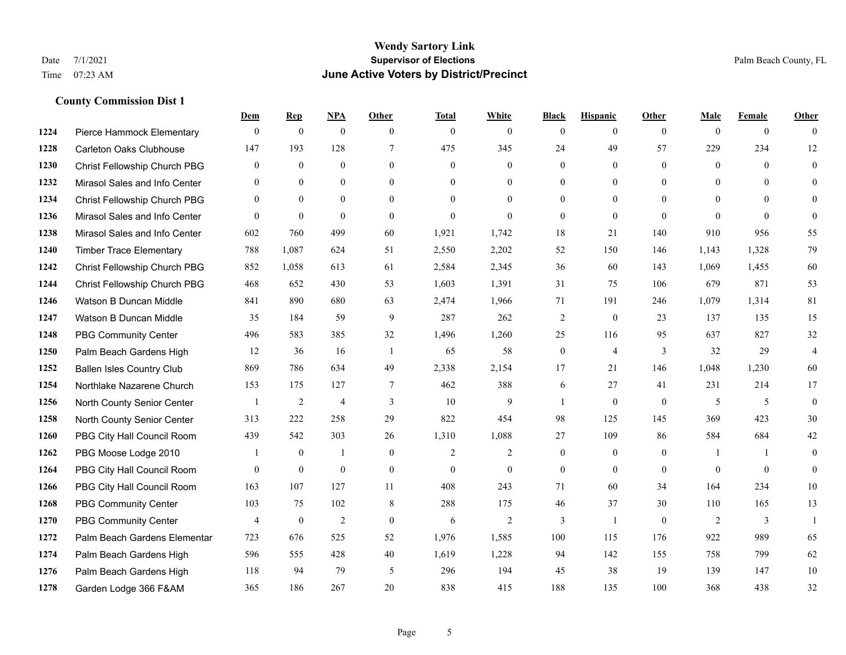### **Wendy Sartory Link** Date 7/1/2021 **Supervisor of Elections** Palm Beach County, FL Time 07:23 AM **June Active Voters by District/Precinct**

# **Dem Rep NPA Other Total White Black Hispanic Other Male Female Other** Pierce Hammock Elementary 0 0 0 0 0 0 0 0 0 0 0 0 Carleton Oaks Clubhouse 147 193 128 7 475 345 24 49 57 229 234 12 Christ Fellowship Church PBG 0 0 0 0 0 0 0 0 0 0 0 0 Mirasol Sales and Info Center 0 0 0 0 0 0 0 0 0 0 0 0 Christ Fellowship Church PBG 0 0 0 0 0 0 0 0 0 0 0 0 Mirasol Sales and Info Center 0 0 0 0 0 0 0 0 0 0 0 0 Mirasol Sales and Info Center 602 760 499 60 1,921 1,742 18 21 140 910 956 55 Timber Trace Elementary 788 1,087 624 51 2,550 2,202 52 150 146 1,143 1,328 79 Christ Fellowship Church PBG 852 1,058 613 61 2,584 2,345 36 60 143 1,069 1,455 60 Christ Fellowship Church PBG 468 652 430 53 1,603 1,391 31 75 106 679 871 53 Watson B Duncan Middle 841 890 680 63 2,474 1,966 71 191 246 1,079 1,314 81 Watson B Duncan Middle 35 184 59 9 287 262 2 0 23 137 135 15 PBG Community Center 496 583 385 32 1,496 1,260 25 116 95 637 827 32 Palm Beach Gardens High 12 36 16 1 65 58 0 4 3 32 29 4 Ballen Isles Country Club 869 786 634 49 2,338 2,154 17 21 146 1,048 1,230 60 Northlake Nazarene Church 153 175 127 7 462 388 6 27 41 231 214 17 North County Senior Center 1 2 4 3 10 9 1 0 0 5 5 5 0 North County Senior Center 313 222 258 29 822 454 98 125 145 369 423 30 PBG City Hall Council Room 439 542 303 26 1,310 1,088 27 109 86 584 684 42 PBG Moose Lodge 2010 1 0 1 0 1 0 2 2 0 0 0 1 1 0 PBG City Hall Council Room 0 0 0 0 0 0 0 0 0 0 0 0 PBG City Hall Council Room 163 107 127 11 408 243 71 60 34 164 234 10 PBG Community Center 103 75 102 8 288 175 46 37 30 110 165 13 PBG Community Center  $\begin{array}{ccccccccccccc}\n4 & 0 & 2 & 0 & 6 & 2 & 3 & 1 & 0 & 2 & 3 & 1\n\end{array}$  Palm Beach Gardens Elementary 723 676 525 52 1,976 1,585 100 115 176 922 989 65 Palm Beach Gardens High 596 555 428 40 1,619 1,228 94 142 155 758 799 62 Palm Beach Gardens High 118 94 79 5 296 194 45 38 19 139 147 10 Garden Lodge 366 F&AM 365 186 267 20 838 415 188 135 100 368 438 32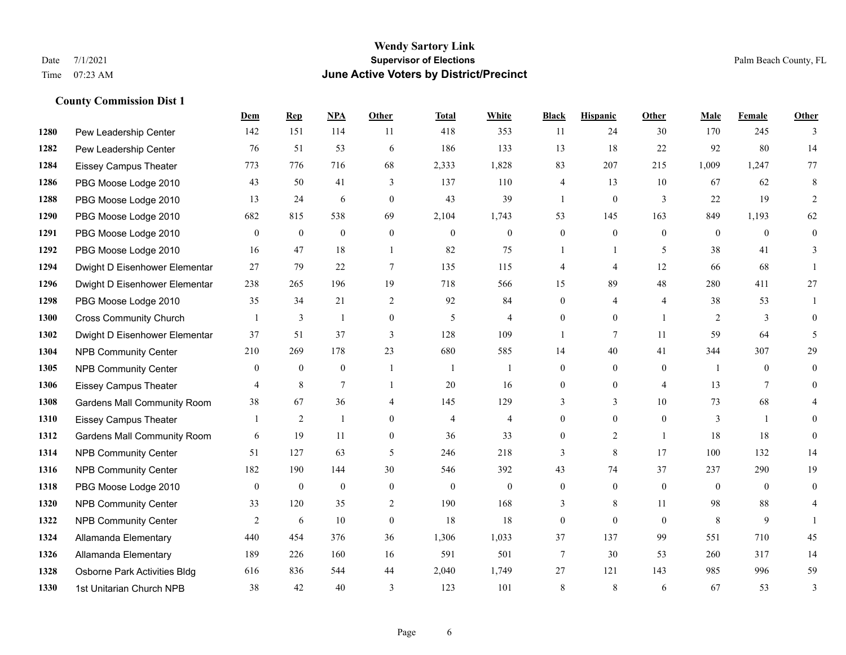#### **Wendy Sartory Link** Date 7/1/2021 **Supervisor of Elections** Palm Beach County, FL Time 07:23 AM **June Active Voters by District/Precinct**

# **Dem Rep NPA Other Total White Black Hispanic Other Male Female Other** Pew Leadership Center 142 151 114 11 418 353 11 24 30 170 245 3 Pew Leadership Center 76 51 53 6 186 133 13 18 22 92 80 14 Eissey Campus Theater 773 776 716 68 2,333 1,828 83 207 215 1,009 1,247 77 PBG Moose Lodge 2010 43 50 41 3 137 110 4 13 10 67 62 8 PBG Moose Lodge 2010 13 24 6 0 43 39 1 0 3 22 19 2 PBG Moose Lodge 2010 682 815 538 69 2,104 1,743 53 145 163 849 1,193 62 PBG Moose Lodge 2010 0 0 0 0 0 0 0 0 0 0 0 0 PBG Moose Lodge 2010 16 47 18 1 82 75 1 1 5 38 41 3 Dwight D Eisenhower Elementar 27 79 22 7 135 115 4 4 12 66 68 1 Dwight D Eisenhower Elementary 238 265 196 19 718 566 15 89 48 280 411 27 PBG Moose Lodge 2010 35 34 21 2 92 84 0 4 4 38 53 1 Cross Community Church 1 3 1 0 5 4 0 0 1 2 3 0 Dwight D Eisenhower Elementar 37 51 37 3 128 109 1 7 11 59 64 5 NPB Community Center 210 269 178 23 680 585 14 40 41 344 307 29 NPB Community Center 0 0 0 1 1 1 0 0 0 1 0 0 Eissey Campus Theater **4** 8 7 1 20 16 0 0 4 13 7 0 Gardens Mall Community Room 38 67 36 4 145 129 3 3 10 73 68 4 Eissey Campus Theater 1 2 1 0 4 4 0 0 0 3 1 0 **1312 Gardens Mall Community Room** 6 19 11 0 36 33 0 2 1 18 18 0 NPB Community Center 51 127 63 5 246 218 3 8 17 100 132 14 NPB Community Center 182 190 144 30 546 392 43 74 37 237 290 19 PBG Moose Lodge 2010 0 0 0 0 0 0 0 0 0 0 0 0 **1320 NPB Community Center** 33 120 35 2 190 168 3 8 11 98 88 4 **1322 NPB Community Center**  $\begin{array}{cccccccc} 2 & 6 & 10 & 0 & 18 & 18 & 0 & 0 & 0 & 8 & 9 & 1 \end{array}$  Allamanda Elementary 440 454 376 36 1,306 1,033 37 137 99 551 710 45 Allamanda Elementary 189 226 160 16 591 501 7 30 53 260 317 14 Osborne Park Activities Bldg 616 836 544 44 2,040 1,749 27 121 143 985 996 59 1st Unitarian Church NPB 38 42 40 3 123 101 8 8 6 67 53 3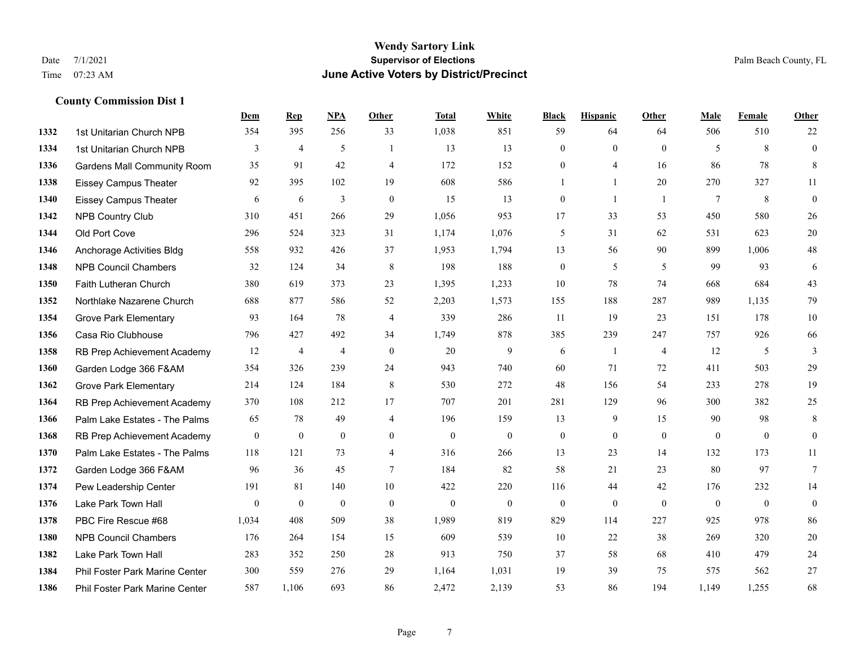### **Wendy Sartory Link** Date 7/1/2021 **Supervisor of Elections** Palm Beach County, FL Time 07:23 AM **June Active Voters by District/Precinct**

**Dem Rep NPA Other Total White Black Hispanic Other Male Female Other**

# 1st Unitarian Church NPB 354 395 256 33 1,038 851 59 64 64 506 510 22 1st Unitarian Church NPB 3 4 5 1 13 13 0 0 0 5 8 0 Gardens Mall Community Room 35 91 42 4 172 152 0 4 16 86 78 8 Eissey Campus Theater 92 395 102 19 608 586 1 1 20 270 327 11 Eissey Campus Theater 6 6 6 3 0 15 13 0 1 1 7 8 0 NPB Country Club 310 451 266 29 1,056 953 17 33 53 450 580 26 Old Port Cove 296 524 323 31 1,174 1,076 5 31 62 531 623 20 Anchorage Activities Bldg 558 932 426 37 1,953 1,794 13 56 90 899 1,006 48 NPB Council Chambers 32 124 34 8 198 188 0 5 5 99 93 6 Faith Lutheran Church 380 619 373 23 1,395 1,233 10 78 74 668 684 43 Northlake Nazarene Church 688 877 586 52 2,203 1,573 155 188 287 989 1,135 79 **1354 Grove Park Elementary 023 164 78 4 339 286 11 19 23 151 178 10**  Casa Rio Clubhouse 796 427 492 34 1,749 878 385 239 247 757 926 66 RB Prep Achievement Academy 12 4 4 0 20 9 6 1 4 12 5 3 Garden Lodge 366 F&AM 354 326 239 24 943 740 60 71 72 411 503 29 Grove Park Elementary 214 124 184 8 530 272 48 156 54 233 278 19 RB Prep Achievement Academy 370 108 212 17 707 201 281 129 96 300 382 25 Palm Lake Estates - The Palms 65 78 49 4 196 159 13 9 15 90 98 8 RB Prep Achievement Academy 0 0 0 0 0 0 0 0 0 0 0 0 Palm Lake Estates - The Palms 118 121 73 4 316 266 13 23 14 132 173 11 Garden Lodge 366 F&AM 96 36 45 7 184 82 58 21 23 80 97 7 Pew Leadership Center 191 81 140 10 422 220 116 44 42 176 232 14 Lake Park Town Hall 0 0 0 0 0 0 0 0 0 0 0 0 PBC Fire Rescue #68 1,034 408 509 38 1,989 819 829 114 227 925 978 86 NPB Council Chambers 176 264 154 15 609 539 10 22 38 269 320 20 Lake Park Town Hall 283 352 250 28 913 750 37 58 68 410 479 24

 Phil Foster Park Marine Center 300 559 276 29 1,164 1,031 19 39 75 575 562 27 Phil Foster Park Marine Center 587 1,106 693 86 2,472 2,139 53 86 194 1,149 1,255 68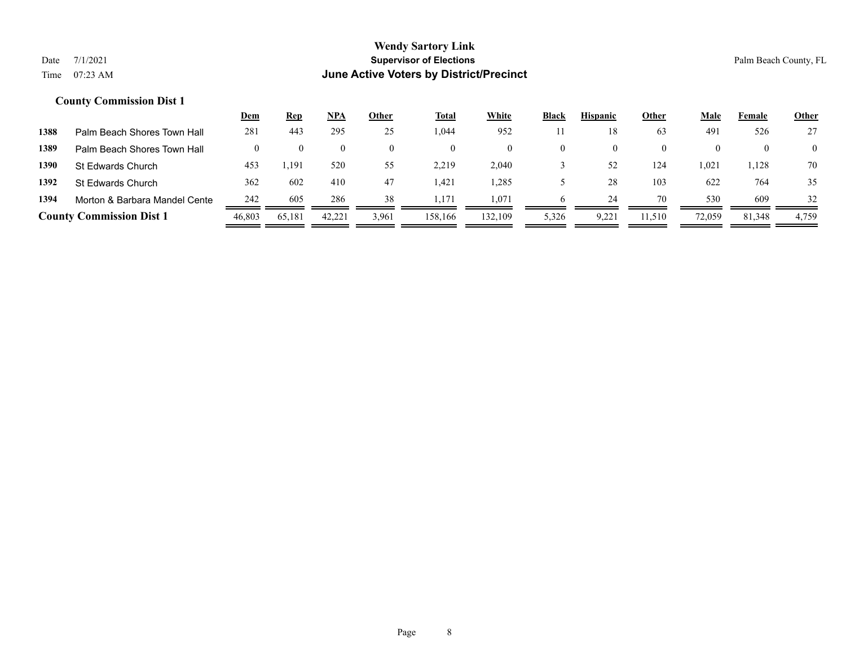|      |                                 | <u>Dem</u> | <u>Rep</u> | <u>NPA</u> | Other | Total   | <b>White</b> | <b>Black</b> | <b>Hispanic</b> | Other    | Male   | Female | <b>Other</b>   |
|------|---------------------------------|------------|------------|------------|-------|---------|--------------|--------------|-----------------|----------|--------|--------|----------------|
| 1388 | Palm Beach Shores Town Hall     | 281        | 443        | 295        | 25    | .044    | 952          |              | 18              | 63       | 491    | 526    | 27             |
| 1389 | Palm Beach Shores Town Hall     |            |            |            |       |         | $\theta$     |              |                 | $\theta$ |        |        | $\overline{0}$ |
| 1390 | <b>St Edwards Church</b>        | 453        | 1,191      | 520        | 55    | 2,219   | 2,040        |              | 52              | 124      | 1,021  | 1,128  | 70             |
| 1392 | St Edwards Church               | 362        | 602        | 410        | 47    | l.421   | .285         |              | 28              | 103      | 622    | 764    | 35             |
| 1394 | Morton & Barbara Mandel Cente   | 242        | 605        | 286        | 38    | 1.171   | 1,071        |              | 24              | 70       | 530    | 609    | 32             |
|      | <b>County Commission Dist 1</b> | 46,803     | 65,181     | 42,221     | 3,961 | 158.166 | 132.109      | 5,326        | 9,221           | 11,510   | 72,059 | 81,348 | 4,759          |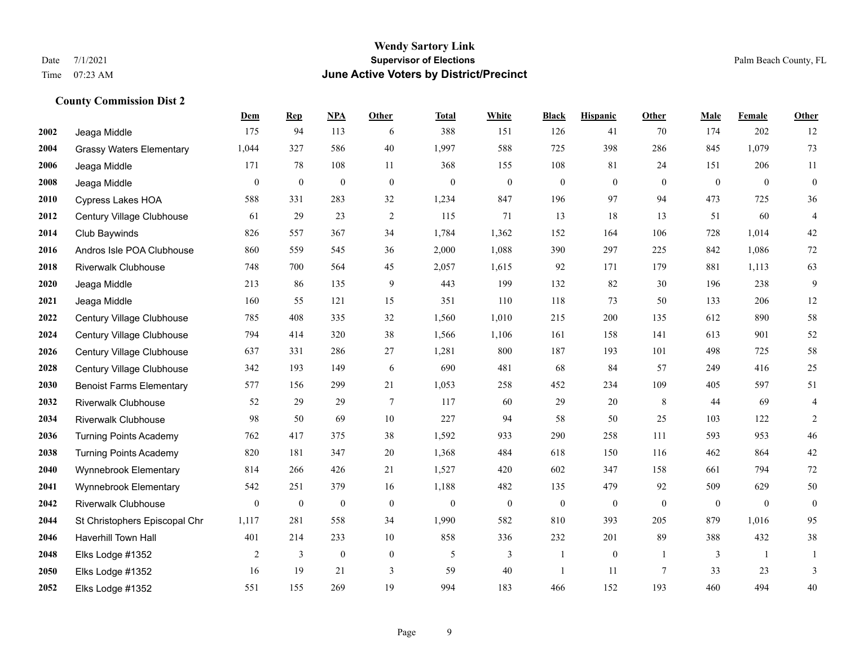#### **Wendy Sartory Link** Date 7/1/2021 **Supervisor of Elections** Palm Beach County, FL Time 07:23 AM **June Active Voters by District/Precinct**

# **Dem Rep NPA Other Total White Black Hispanic Other Male Female Other** Jeaga Middle 175 94 113 6 388 151 126 41 70 174 202 12 Grassy Waters Elementary 1,044 327 586 40 1,997 588 725 398 286 845 1,079 73 Jeaga Middle 171 78 108 11 368 155 108 81 24 151 206 11 Jeaga Middle 0 0 0 0 0 0 0 0 0 0 0 0 Cypress Lakes HOA 588 331 283 32 1,234 847 196 97 94 473 725 36 Century Village Clubhouse 61 29 23 2 115 71 13 18 13 51 60 4 Club Baywinds 826 557 367 34 1,784 1,362 152 164 106 728 1,014 42 Andros Isle POA Clubhouse 860 559 545 36 2,000 1,088 390 297 225 842 1,086 72 Riverwalk Clubhouse 748 700 564 45 2,057 1,615 92 171 179 881 1,113 63 Jeaga Middle 213 86 135 9 443 199 132 82 30 196 238 9 Jeaga Middle 160 55 121 15 351 110 118 73 50 133 206 12 Century Village Clubhouse 785 408 335 32 1,560 1,010 215 200 135 612 890 58 Century Village Clubhouse 794 414 320 38 1,566 1,106 161 158 141 613 901 52 Century Village Clubhouse 637 331 286 27 1,281 800 187 193 101 498 725 58 Century Village Clubhouse 342 193 149 6 690 481 68 84 57 249 416 25 Benoist Farms Elementary 577 156 299 21 1,053 258 452 234 109 405 597 51 Riverwalk Clubhouse 52 29 29 7 117 60 29 20 8 44 69 4 Riverwalk Clubhouse 98 50 69 10 227 94 58 50 25 103 122 2 Turning Points Academy 762 417 375 38 1,592 933 290 258 111 593 953 46 Turning Points Academy 820 181 347 20 1,368 484 618 150 116 462 864 42 Wynnebrook Elementary 814 266 426 21 1,527 420 602 347 158 661 794 72 Wynnebrook Elementary 542 251 379 16 1,188 482 135 479 92 509 629 50 Riverwalk Clubhouse 0 0 0 0 0 0 0 0 0 0 0 0 St Christophers Episcopal Chr 1,117 281 558 34 1,990 582 810 393 205 879 1,016 95 Haverhill Town Hall 401 214 233 10 858 336 232 201 89 388 432 38 Elks Lodge #1352 2 3 0 0 5 3 1 0 1 3 1 1 Elks Lodge #1352 16 19 21 3 59 40 1 11 7 33 23 3 Elks Lodge #1352 551 155 269 19 994 183 466 152 193 460 494 40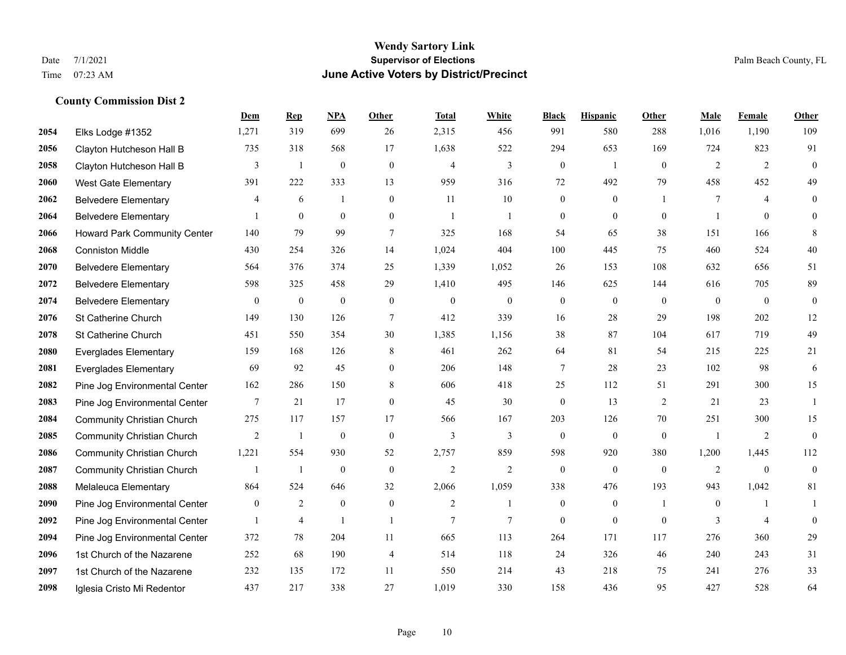|      |                                   | Dem            | <b>Rep</b>       | NPA              | <b>Other</b>     | <b>Total</b>   | <b>White</b>     | <b>Black</b>     | <b>Hispanic</b>  | Other          | <b>Male</b>    | <b>Female</b>  | <b>Other</b>     |
|------|-----------------------------------|----------------|------------------|------------------|------------------|----------------|------------------|------------------|------------------|----------------|----------------|----------------|------------------|
| 2054 | Elks Lodge #1352                  | 1,271          | 319              | 699              | 26               | 2,315          | 456              | 991              | 580              | 288            | 1,016          | 1,190          | 109              |
| 2056 | Clayton Hutcheson Hall B          | 735            | 318              | 568              | 17               | 1,638          | 522              | 294              | 653              | 169            | 724            | 823            | 91               |
| 2058 | Clayton Hutcheson Hall B          | 3              | $\mathbf{1}$     | $\mathbf{0}$     | $\mathbf{0}$     | $\overline{4}$ | 3                | $\boldsymbol{0}$ | $\mathbf{1}$     | $\overline{0}$ | 2              | 2              | $\mathbf{0}$     |
| 2060 | <b>West Gate Elementary</b>       | 391            | 222              | 333              | 13               | 959            | 316              | 72               | 492              | 79             | 458            | 452            | 49               |
| 2062 | <b>Belvedere Elementary</b>       | 4              | 6                | 1                | $\mathbf{0}$     | 11             | 10               | $\boldsymbol{0}$ | $\mathbf{0}$     | $\mathbf{1}$   | $\tau$         | $\overline{4}$ | $\boldsymbol{0}$ |
| 2064 | <b>Belvedere Elementary</b>       |                | $\mathbf{0}$     | $\mathbf{0}$     | $\overline{0}$   | $\overline{1}$ | 1                | $\mathbf{0}$     | $\mathbf{0}$     | $\theta$       | $\overline{1}$ | $\mathbf{0}$   | $\Omega$         |
| 2066 | Howard Park Community Center      | 140            | 79               | 99               | $\tau$           | 325            | 168              | 54               | 65               | 38             | 151            | 166            | 8                |
| 2068 | <b>Conniston Middle</b>           | 430            | 254              | 326              | 14               | 1,024          | 404              | 100              | 445              | 75             | 460            | 524            | 40               |
| 2070 | <b>Belvedere Elementary</b>       | 564            | 376              | 374              | 25               | 1,339          | 1,052            | 26               | 153              | 108            | 632            | 656            | 51               |
| 2072 | <b>Belvedere Elementary</b>       | 598            | 325              | 458              | 29               | 1,410          | 495              | 146              | 625              | 144            | 616            | 705            | 89               |
| 2074 | <b>Belvedere Elementary</b>       | $\mathbf{0}$   | $\boldsymbol{0}$ | $\boldsymbol{0}$ | $\boldsymbol{0}$ | $\theta$       | $\boldsymbol{0}$ | $\boldsymbol{0}$ | $\mathbf{0}$     | $\theta$       | $\overline{0}$ | $\overline{0}$ | $\mathbf{0}$     |
| 2076 | St Catherine Church               | 149            | 130              | 126              | $\tau$           | 412            | 339              | 16               | 28               | 29             | 198            | 202            | 12               |
| 2078 | St Catherine Church               | 451            | 550              | 354              | 30               | 1,385          | 1,156            | 38               | 87               | 104            | 617            | 719            | 49               |
| 2080 | <b>Everglades Elementary</b>      | 159            | 168              | 126              | 8                | 461            | 262              | 64               | 81               | 54             | 215            | 225            | 21               |
| 2081 | <b>Everglades Elementary</b>      | 69             | 92               | 45               | $\overline{0}$   | 206            | 148              | 7                | 28               | 23             | 102            | 98             | 6                |
| 2082 | Pine Jog Environmental Center     | 162            | 286              | 150              | 8                | 606            | 418              | 25               | 112              | 51             | 291            | 300            | 15               |
| 2083 | Pine Jog Environmental Center     | 7              | 21               | 17               | $\overline{0}$   | 45             | 30               | $\mathbf{0}$     | 13               | 2              | 21             | 23             | $\mathbf{1}$     |
| 2084 | <b>Community Christian Church</b> | 275            | 117              | 157              | 17               | 566            | 167              | 203              | 126              | 70             | 251            | 300            | 15               |
| 2085 | <b>Community Christian Church</b> | 2              | $\mathbf{1}$     | $\boldsymbol{0}$ | $\boldsymbol{0}$ | 3              | 3                | $\boldsymbol{0}$ | $\boldsymbol{0}$ | $\overline{0}$ | -1             | 2              | $\mathbf{0}$     |
| 2086 | <b>Community Christian Church</b> | 1,221          | 554              | 930              | 52               | 2,757          | 859              | 598              | 920              | 380            | 1,200          | 1,445          | 112              |
| 2087 | <b>Community Christian Church</b> |                | -1               | $\boldsymbol{0}$ | $\mathbf{0}$     | $\overline{2}$ | $\overline{2}$   | $\theta$         | $\theta$         | $\theta$       | 2              | $\mathbf{0}$   | $\mathbf{0}$     |
| 2088 | Melaleuca Elementary              | 864            | 524              | 646              | 32               | 2,066          | 1,059            | 338              | 476              | 193            | 943            | 1,042          | 81               |
| 2090 | Pine Jog Environmental Center     | $\overline{0}$ | 2                | $\mathbf{0}$     | $\mathbf{0}$     | $\overline{2}$ | $\mathbf{1}$     | $\mathbf{0}$     | $\mathbf{0}$     | $\overline{1}$ | $\theta$       |                |                  |
| 2092 | Pine Jog Environmental Center     |                | $\overline{4}$   | $\mathbf{1}$     | $\overline{1}$   | $\overline{7}$ | $\overline{7}$   | $\boldsymbol{0}$ | $\mathbf{0}$     | $\mathbf{0}$   | 3              | 4              | $\mathbf{0}$     |
| 2094 | Pine Jog Environmental Center     | 372            | 78               | 204              | 11               | 665            | 113              | 264              | 171              | 117            | 276            | 360            | 29               |
| 2096 | 1st Church of the Nazarene        | 252            | 68               | 190              | $\overline{4}$   | 514            | 118              | 24               | 326              | 46             | 240            | 243            | 31               |
| 2097 | 1st Church of the Nazarene        | 232            | 135              | 172              | 11               | 550            | 214              | 43               | 218              | 75             | 241            | 276            | 33               |
| 2098 | Iglesia Cristo Mi Redentor        | 437            | 217              | 338              | 27               | 1,019          | 330              | 158              | 436              | 95             | 427            | 528            | 64               |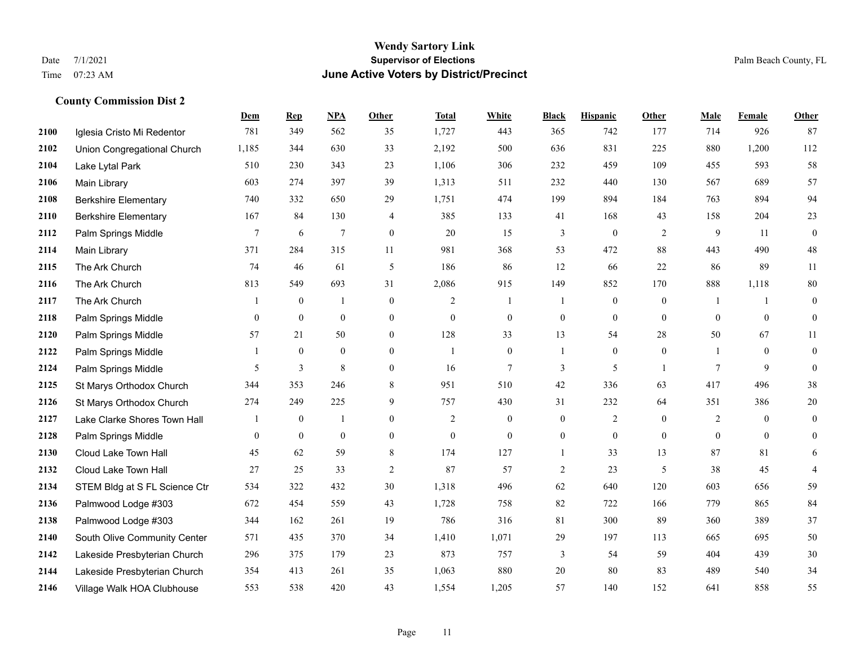#### **Wendy Sartory Link** Date 7/1/2021 **Supervisor of Elections** Palm Beach County, FL Time 07:23 AM **June Active Voters by District/Precinct**

# **Dem Rep NPA Other Total White Black Hispanic Other Male Female Other** Iglesia Cristo Mi Redentor 781 349 562 35 1,727 443 365 742 177 714 926 87 Union Congregational Church 1,185 344 630 33 2,192 500 636 831 225 880 1,200 112 Lake Lytal Park 510 230 343 23 1,106 306 232 459 109 455 593 58 Main Library 603 274 397 39 1,313 511 232 440 130 567 689 57 Berkshire Elementary 740 332 650 29 1,751 474 199 894 184 763 894 94 Berkshire Elementary 167 84 130 4 385 133 41 168 43 158 204 23 **2112** Palm Springs Middle  $\begin{array}{cccccccc} 7 & 6 & 7 & 0 & 20 & 15 & 3 & 0 & 2 & 9 & 11 & 0 \end{array}$  Main Library 371 284 315 11 981 368 53 472 88 443 490 48 The Ark Church 74 46 61 5 186 86 12 66 22 86 89 11 The Ark Church 813 549 693 31 2,086 915 149 852 170 888 1,118 80 The Ark Church 1 0 1 0 2 1 1 0 0 1 1 0 Palm Springs Middle 0 0 0 0 0 0 0 0 0 0 0 0 Palm Springs Middle 57 21 50 0 128 33 13 54 28 50 67 11 Palm Springs Middle 1 0 0 0 1 0 1 0 0 1 0 0 **2124** Palm Springs Middle  $\begin{array}{ccccccccccccc}\n & 5 & 3 & 8 & 0 & 16 & 7 & 3 & 5 & 1 & 7 & 9 & 0\n\end{array}$  St Marys Orthodox Church 344 353 246 8 951 510 42 336 63 417 496 38 St Marys Orthodox Church 274 249 225 9 757 430 31 232 64 351 386 20 Lake Clarke Shores Town Hall  $\begin{array}{ccccccccc} 1 & 0 & 1 & 0 & 2 & 0 & 0 & 2 & 0 & 2 & 0 & 0 \end{array}$  Palm Springs Middle 0 0 0 0 0 0 0 0 0 0 0 0 Cloud Lake Town Hall 45 62 59 8 174 127 1 33 13 87 81 6 Cloud Lake Town Hall 27 25 33 2 87 57 2 23 5 38 45 4 STEM Bldg at S FL Science Ctr 534 322 432 30 1,318 496 62 640 120 603 656 59 Palmwood Lodge #303 672 454 559 43 1,728 758 82 722 166 779 865 84 Palmwood Lodge #303 344 162 261 19 786 316 81 300 89 360 389 37 South Olive Community Center 571 435 370 34 1,410 1,071 29 197 113 665 695 50 Lakeside Presbyterian Church 296 375 179 23 873 757 3 54 59 404 439 30 Lakeside Presbyterian Church 354 413 261 35 1,063 880 20 80 83 489 540 34

Village Walk HOA Clubhouse 553 538 420 43 1,554 1,205 57 140 152 641 858 55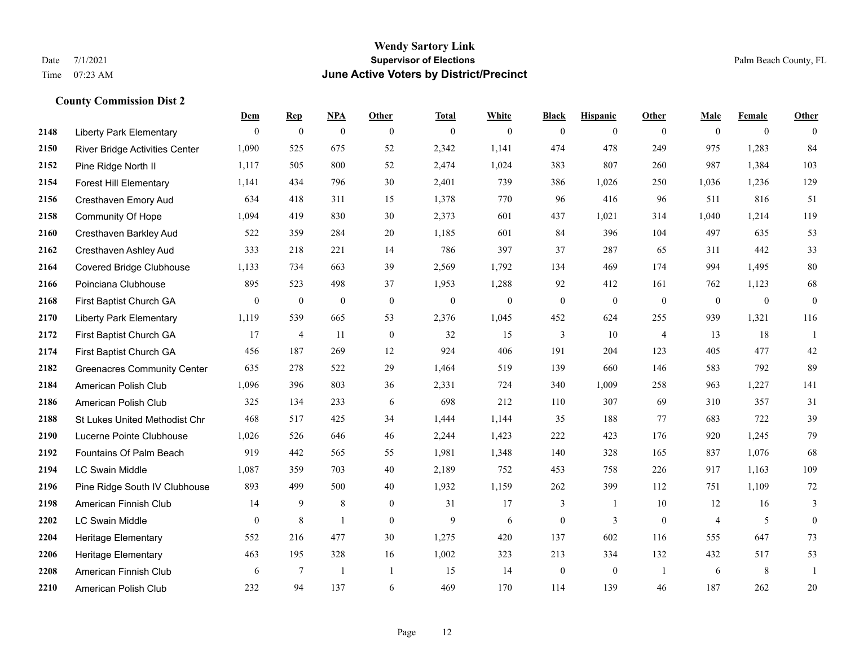## **Wendy Sartory Link** Date 7/1/2021 **Supervisor of Elections Supervisor of Elections** Palm Beach County, FL Time 07:23 AM **June Active Voters by District/Precinct**

|      |                                       | Dem            | <b>Rep</b>       | NPA              | Other          | <b>Total</b>     | White          | <b>Black</b>     | <b>Hispanic</b>  | Other          | Male           | Female           | Other            |
|------|---------------------------------------|----------------|------------------|------------------|----------------|------------------|----------------|------------------|------------------|----------------|----------------|------------------|------------------|
| 2148 | <b>Liberty Park Elementary</b>        | $\theta$       | $\mathbf{0}$     | $\mathbf{0}$     | $\theta$       | $\mathbf{0}$     | $\mathbf{0}$   | $\mathbf{0}$     | $\mathbf{0}$     | $\theta$       | $\theta$       | $\mathbf{0}$     | $\theta$         |
| 2150 | <b>River Bridge Activities Center</b> | 1,090          | 525              | 675              | 52             | 2,342            | 1,141          | 474              | 478              | 249            | 975            | 1,283            | 84               |
| 2152 | Pine Ridge North II                   | 1,117          | 505              | 800              | 52             | 2,474            | 1,024          | 383              | 807              | 260            | 987            | 1,384            | 103              |
| 2154 | <b>Forest Hill Elementary</b>         | 1,141          | 434              | 796              | 30             | 2,401            | 739            | 386              | 1,026            | 250            | 1,036          | 1,236            | 129              |
| 2156 | Cresthaven Emory Aud                  | 634            | 418              | 311              | 15             | 1,378            | 770            | 96               | 416              | 96             | 511            | 816              | 51               |
| 2158 | Community Of Hope                     | 1,094          | 419              | 830              | 30             | 2,373            | 601            | 437              | 1,021            | 314            | 1,040          | 1,214            | 119              |
| 2160 | Cresthaven Barkley Aud                | 522            | 359              | 284              | $20\,$         | 1,185            | 601            | 84               | 396              | 104            | 497            | 635              | 53               |
| 2162 | Cresthaven Ashley Aud                 | 333            | 218              | 221              | 14             | 786              | 397            | 37               | 287              | 65             | 311            | 442              | 33               |
| 2164 | <b>Covered Bridge Clubhouse</b>       | 1,133          | 734              | 663              | 39             | 2,569            | 1,792          | 134              | 469              | 174            | 994            | 1,495            | 80               |
| 2166 | Poinciana Clubhouse                   | 895            | 523              | 498              | 37             | 1,953            | 1,288          | 92               | 412              | 161            | 762            | 1,123            | 68               |
| 2168 | First Baptist Church GA               | $\overline{0}$ | $\boldsymbol{0}$ | $\boldsymbol{0}$ | $\mathbf{0}$   | $\boldsymbol{0}$ | $\overline{0}$ | $\boldsymbol{0}$ | $\boldsymbol{0}$ | $\overline{0}$ | $\mathbf{0}$   | $\boldsymbol{0}$ | $\boldsymbol{0}$ |
| 2170 | <b>Liberty Park Elementary</b>        | 1,119          | 539              | 665              | 53             | 2,376            | 1,045          | 452              | 624              | 255            | 939            | 1,321            | 116              |
| 2172 | First Baptist Church GA               | 17             | $\overline{4}$   | 11               | $\mathbf{0}$   | 32               | 15             | 3                | 10               | $\overline{4}$ | 13             | 18               | $\mathbf{1}$     |
| 2174 | First Baptist Church GA               | 456            | 187              | 269              | 12             | 924              | 406            | 191              | 204              | 123            | 405            | 477              | 42               |
| 2182 | <b>Greenacres Community Center</b>    | 635            | 278              | 522              | 29             | 1,464            | 519            | 139              | 660              | 146            | 583            | 792              | 89               |
| 2184 | American Polish Club                  | 1,096          | 396              | 803              | 36             | 2,331            | 724            | 340              | 1,009            | 258            | 963            | 1,227            | 141              |
| 2186 | American Polish Club                  | 325            | 134              | 233              | 6              | 698              | 212            | 110              | 307              | 69             | 310            | 357              | 31               |
| 2188 | St Lukes United Methodist Chr         | 468            | 517              | 425              | 34             | 1,444            | 1,144          | 35               | 188              | 77             | 683            | 722              | 39               |
| 2190 | Lucerne Pointe Clubhouse              | 1,026          | 526              | 646              | 46             | 2,244            | 1,423          | 222              | 423              | 176            | 920            | 1,245            | 79               |
| 2192 | Fountains Of Palm Beach               | 919            | 442              | 565              | 55             | 1,981            | 1,348          | 140              | 328              | 165            | 837            | 1,076            | 68               |
| 2194 | <b>LC Swain Middle</b>                | 1,087          | 359              | 703              | 40             | 2,189            | 752            | 453              | 758              | 226            | 917            | 1,163            | 109              |
| 2196 | Pine Ridge South IV Clubhouse         | 893            | 499              | 500              | 40             | 1,932            | 1,159          | 262              | 399              | 112            | 751            | 1,109            | 72               |
| 2198 | American Finnish Club                 | 14             | 9                | $\,8\,$          | $\mathbf{0}$   | 31               | 17             | 3                | 1                | 10             | 12             | 16               | $\mathfrak{Z}$   |
| 2202 | <b>LC Swain Middle</b>                | $\theta$       | 8                | $\mathbf{1}$     | $\theta$       | 9                | 6              | $\mathbf{0}$     | 3                | $\theta$       | $\overline{4}$ | 5                | $\overline{0}$   |
| 2204 | Heritage Elementary                   | 552            | 216              | 477              | 30             | 1,275            | 420            | 137              | 602              | 116            | 555            | 647              | 73               |
| 2206 | <b>Heritage Elementary</b>            | 463            | 195              | 328              | 16             | 1,002            | 323            | 213              | 334              | 132            | 432            | 517              | 53               |
| 2208 | American Finnish Club                 | 6              | 7                | $\overline{1}$   | $\overline{1}$ | 15               | 14             | $\mathbf{0}$     | $\theta$         | $\overline{1}$ | 6              | 8                | $\mathbf{1}$     |
| 2210 | American Polish Club                  | 232            | 94               | 137              | 6              | 469              | 170            | 114              | 139              | 46             | 187            | 262              | 20               |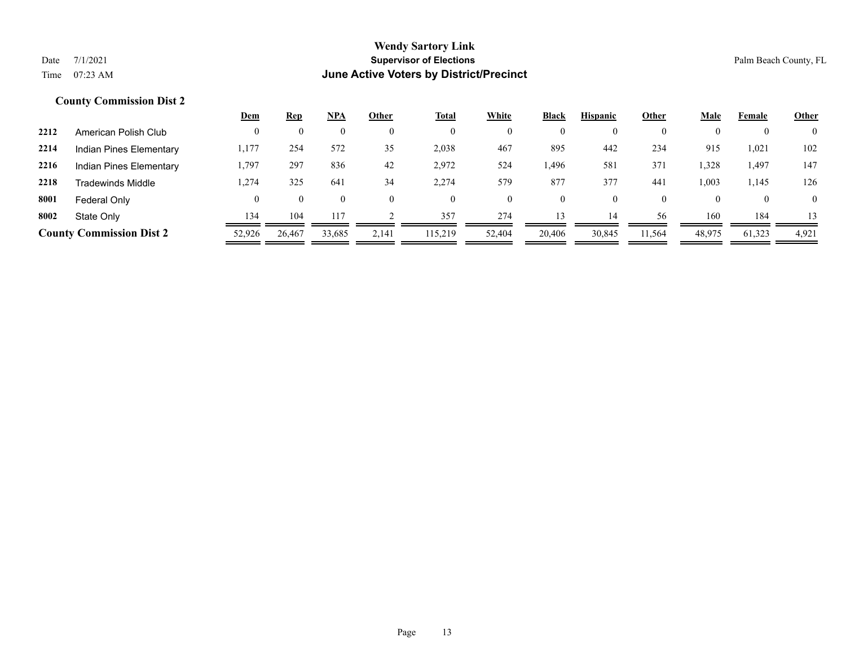| $\overline{0}$ |
|----------------|
|                |
| 102            |
| 147            |
| 126            |
| $\overline{0}$ |
| 13             |
| 4,921          |
|                |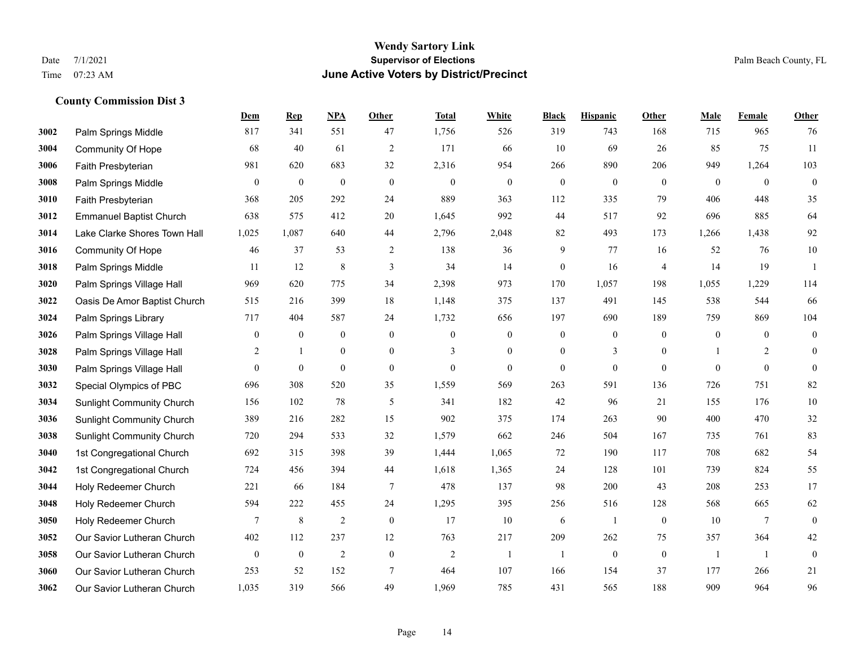#### **Wendy Sartory Link** Date 7/1/2021 **Supervisor of Elections** Palm Beach County, FL Time 07:23 AM **June Active Voters by District/Precinct**

# **Dem Rep NPA Other Total White Black Hispanic Other Male Female Other** Palm Springs Middle 817 341 551 47 1,756 526 319 743 168 715 965 76 Community Of Hope 68 40 61 2 171 66 10 69 26 85 75 11 Faith Presbyterian 981 620 683 32 2,316 954 266 890 206 949 1,264 103 Palm Springs Middle 0 0 0 0 0 0 0 0 0 0 0 0 Faith Presbyterian 368 205 292 24 889 363 112 335 79 406 448 35 Emmanuel Baptist Church 638 575 412 20 1,645 992 44 517 92 696 885 64 Lake Clarke Shores Town Hall 1,025 1,087 640 44 2,796 2,048 82 493 173 1,266 1,438 92 Community Of Hope 46 37 53 2 138 36 9 77 16 52 76 10 Palm Springs Middle 1 11 12 8 3 34 14 0 16 4 14 19 1 Palm Springs Village Hall 969 620 775 34 2,398 973 170 1,057 198 1,055 1,229 114 Oasis De Amor Baptist Church 515 216 399 18 1,148 375 137 491 145 538 544 66 Palm Springs Library 717 404 587 24 1,732 656 197 690 189 759 869 104 **3026** Palm Springs Village Hall  $\begin{pmatrix} 0 & 0 & 0 & 0 \\ 0 & 0 & 0 & 0 \\ 0 & 0 & 0 & 0 \end{pmatrix}$  Palm Springs Village Hall 2 1 0 0 3 0 0 3 0 1 2 0 Palm Springs Village Hall 0 0 0 0 0 0 0 0 0 0 0 0 Special Olympics of PBC 696 308 520 35 1,559 569 263 591 136 726 751 82 Sunlight Community Church 156 102 78 5 341 182 42 96 21 155 176 10 Sunlight Community Church 389 216 282 15 902 375 174 263 90 400 470 32 Sunlight Community Church 720 294 533 32 1,579 662 246 504 167 735 761 83 1st Congregational Church 692 315 398 39 1,444 1,065 72 190 117 708 682 54 1st Congregational Church 724 456 394 44 1,618 1,365 24 128 101 739 824 55 Holy Redeemer Church 221 66 184 7 478 137 98 200 43 208 253 17 Holy Redeemer Church 594 222 455 24 1,295 395 256 516 128 568 665 62 Holy Redeemer Church **7** 8 2 0 17 10 6 1 0 10 7 0 Our Savior Lutheran Church 402 112 237 12 763 217 209 262 75 357 364 42 Our Savior Lutheran Church 0 0 0 2 0 0 2 1 1 0 0 0 1 1 0 Our Savior Lutheran Church 253 52 152 7 464 107 166 154 37 177 266 21 Our Savior Lutheran Church 1,035 319 566 49 1,969 785 431 565 188 909 964 96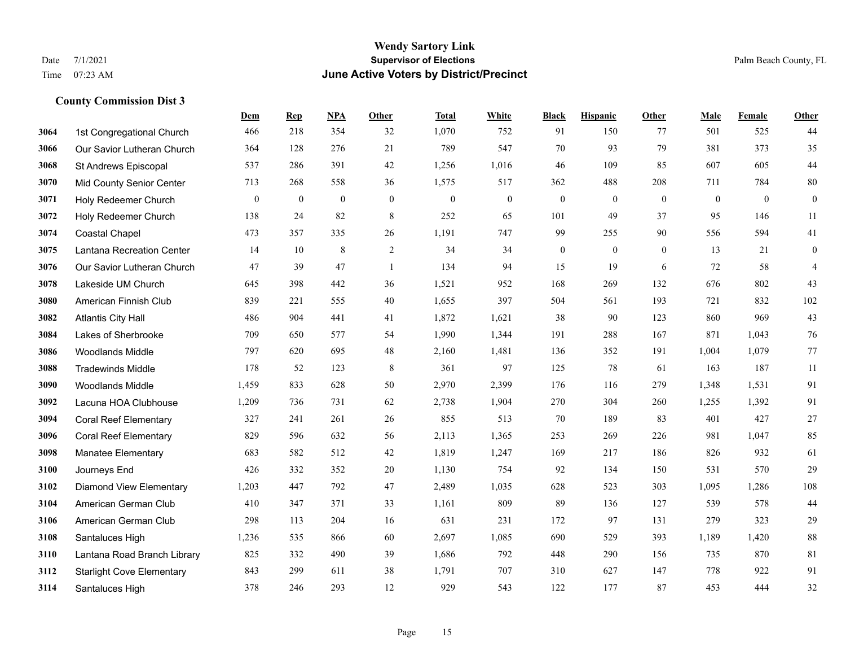#### **Wendy Sartory Link** Date 7/1/2021 **Supervisor of Elections** Palm Beach County, FL Time 07:23 AM **June Active Voters by District/Precinct**

# **Dem Rep NPA Other Total White Black Hispanic Other Male Female Other** 1st Congregational Church 466 218 354 32 1,070 752 91 150 77 501 525 44 Our Savior Lutheran Church 364 128 276 21 789 547 70 93 79 381 373 35 St Andrews Episcopal 537 286 391 42 1,256 1,016 46 109 85 607 605 44 Mid County Senior Center 713 268 558 36 1,575 517 362 488 208 711 784 80 Holy Redeemer Church 0 0 0 0 0 0 0 0 0 0 0 0 Holy Redeemer Church 138 24 82 8 252 65 101 49 37 95 146 11 Coastal Chapel 473 357 335 26 1,191 747 99 255 90 556 594 41 Lantana Recreation Center 14 10 8 2 34 34 0 0 0 13 21 0 Our Savior Lutheran Church 47 39 47 1 134 94 15 19 6 72 58 4 Lakeside UM Church 645 398 442 36 1,521 952 168 269 132 676 802 43 American Finnish Club 839 221 555 40 1,655 397 504 561 193 721 832 102 Atlantis City Hall 486 904 441 41 1,872 1,621 38 90 123 860 969 43 Lakes of Sherbrooke 709 650 577 54 1,990 1,344 191 288 167 871 1,043 76 Woodlands Middle 797 620 695 48 2,160 1,481 136 352 191 1,004 1,079 77 Tradewinds Middle 178 52 123 8 361 97 125 78 61 163 187 11 Woodlands Middle 1,459 833 628 50 2,970 2,399 176 116 279 1,348 1,531 91 Lacuna HOA Clubhouse 1,209 736 731 62 2,738 1,904 270 304 260 1,255 1,392 91 Coral Reef Elementary 327 241 261 26 855 513 70 189 83 401 427 27 Coral Reef Elementary 829 596 632 56 2,113 1,365 253 269 226 981 1,047 85 Manatee Elementary 683 582 512 42 1,819 1,247 169 217 186 826 932 61 Journeys End 426 332 352 20 1,130 754 92 134 150 531 570 29 Diamond View Elementary 1,203 447 792 47 2,489 1,035 628 523 303 1,095 1,286 108 American German Club 410 347 371 33 1,161 809 89 136 127 539 578 44 American German Club 298 113 204 16 631 231 172 97 131 279 323 29 Santaluces High 1,236 535 866 60 2,697 1,085 690 529 393 1,189 1,420 88 Lantana Road Branch Library 825 332 490 39 1,686 792 448 290 156 735 870 81 Starlight Cove Elementary 843 299 611 38 1,791 707 310 627 147 778 922 91 Santaluces High 378 246 293 12 929 543 122 177 87 453 444 32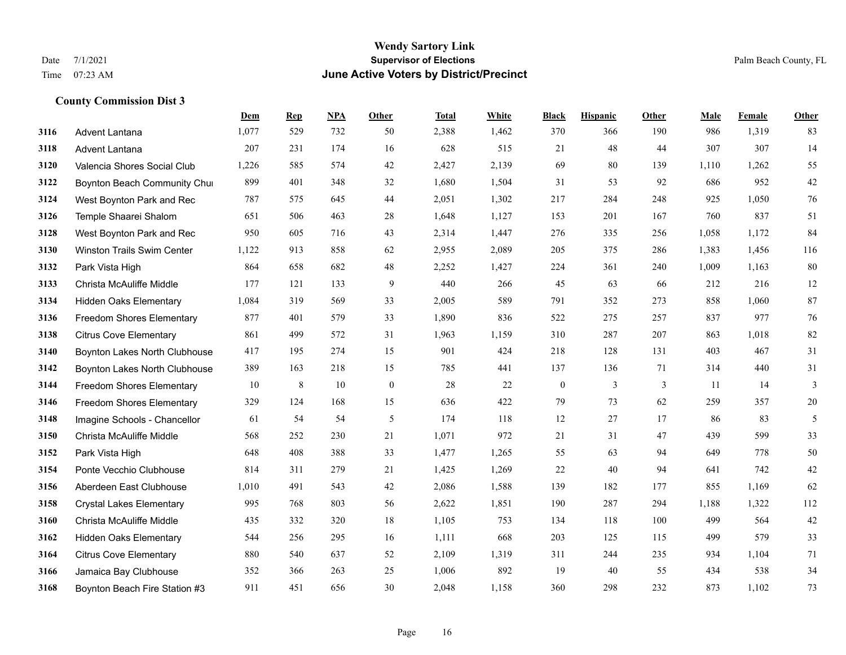|      |                                  | Dem   | <b>Rep</b> | NPA | <b>Other</b>     | <b>Total</b> | <b>White</b> | <b>Black</b>     | <b>Hispanic</b> | Other | <b>Male</b> | Female | <b>Other</b>  |
|------|----------------------------------|-------|------------|-----|------------------|--------------|--------------|------------------|-----------------|-------|-------------|--------|---------------|
| 3116 | <b>Advent Lantana</b>            | 1,077 | 529        | 732 | 50               | 2,388        | 1,462        | 370              | 366             | 190   | 986         | 1,319  | 83            |
| 3118 | Advent Lantana                   | 207   | 231        | 174 | 16               | 628          | 515          | 21               | 48              | 44    | 307         | 307    | 14            |
| 3120 | Valencia Shores Social Club      | 1,226 | 585        | 574 | 42               | 2,427        | 2,139        | 69               | 80              | 139   | 1,110       | 1,262  | 55            |
| 3122 | Boynton Beach Community Chui     | 899   | 401        | 348 | 32               | 1,680        | 1,504        | 31               | 53              | 92    | 686         | 952    | $42\,$        |
| 3124 | West Boynton Park and Rec        | 787   | 575        | 645 | 44               | 2,051        | 1,302        | 217              | 284             | 248   | 925         | 1,050  | $76\,$        |
| 3126 | Temple Shaarei Shalom            | 651   | 506        | 463 | 28               | 1,648        | 1,127        | 153              | 201             | 167   | 760         | 837    | 51            |
| 3128 | West Boynton Park and Rec        | 950   | 605        | 716 | 43               | 2,314        | 1,447        | 276              | 335             | 256   | 1,058       | 1,172  | 84            |
| 3130 | Winston Trails Swim Center       | 1,122 | 913        | 858 | 62               | 2,955        | 2,089        | 205              | 375             | 286   | 1,383       | 1,456  | 116           |
| 3132 | Park Vista High                  | 864   | 658        | 682 | 48               | 2,252        | 1,427        | 224              | 361             | 240   | 1,009       | 1,163  | $80\,$        |
| 3133 | Christa McAuliffe Middle         | 177   | 121        | 133 | 9                | 440          | 266          | 45               | 63              | 66    | 212         | 216    | 12            |
| 3134 | <b>Hidden Oaks Elementary</b>    | 1,084 | 319        | 569 | 33               | 2,005        | 589          | 791              | 352             | 273   | 858         | 1,060  | 87            |
| 3136 | <b>Freedom Shores Elementary</b> | 877   | 401        | 579 | 33               | 1,890        | 836          | 522              | 275             | 257   | 837         | 977    | 76            |
| 3138 | <b>Citrus Cove Elementary</b>    | 861   | 499        | 572 | 31               | 1,963        | 1,159        | 310              | 287             | 207   | 863         | 1,018  | 82            |
| 3140 | Boynton Lakes North Clubhouse    | 417   | 195        | 274 | 15               | 901          | 424          | 218              | 128             | 131   | 403         | 467    | 31            |
| 3142 | Boynton Lakes North Clubhouse    | 389   | 163        | 218 | 15               | 785          | 441          | 137              | 136             | 71    | 314         | 440    | 31            |
| 3144 | Freedom Shores Elementary        | 10    | 8          | 10  | $\boldsymbol{0}$ | 28           | 22           | $\boldsymbol{0}$ | 3               | 3     | 11          | 14     | 3             |
| 3146 | <b>Freedom Shores Elementary</b> | 329   | 124        | 168 | 15               | 636          | 422          | 79               | 73              | 62    | 259         | 357    | $20\,$        |
| 3148 | Imagine Schools - Chancellor     | 61    | 54         | 54  | 5                | 174          | 118          | 12               | 27              | 17    | 86          | 83     | $\mathfrak s$ |
| 3150 | Christa McAuliffe Middle         | 568   | 252        | 230 | 21               | 1,071        | 972          | 21               | 31              | 47    | 439         | 599    | 33            |
| 3152 | Park Vista High                  | 648   | 408        | 388 | 33               | 1,477        | 1,265        | 55               | 63              | 94    | 649         | 778    | 50            |
| 3154 | Ponte Vecchio Clubhouse          | 814   | 311        | 279 | 21               | 1,425        | 1,269        | 22               | 40              | 94    | 641         | 742    | $42\,$        |
| 3156 | Aberdeen East Clubhouse          | 1,010 | 491        | 543 | 42               | 2,086        | 1,588        | 139              | 182             | 177   | 855         | 1,169  | 62            |
| 3158 | <b>Crystal Lakes Elementary</b>  | 995   | 768        | 803 | 56               | 2,622        | 1,851        | 190              | 287             | 294   | 1,188       | 1,322  | 112           |
| 3160 | Christa McAuliffe Middle         | 435   | 332        | 320 | 18               | 1,105        | 753          | 134              | 118             | 100   | 499         | 564    | $42\,$        |
| 3162 | <b>Hidden Oaks Elementary</b>    | 544   | 256        | 295 | 16               | 1,111        | 668          | 203              | 125             | 115   | 499         | 579    | 33            |
| 3164 | <b>Citrus Cove Elementary</b>    | 880   | 540        | 637 | 52               | 2,109        | 1,319        | 311              | 244             | 235   | 934         | 1,104  | 71            |
| 3166 | Jamaica Bay Clubhouse            | 352   | 366        | 263 | 25               | 1,006        | 892          | 19               | 40              | 55    | 434         | 538    | 34            |
| 3168 | Boynton Beach Fire Station #3    | 911   | 451        | 656 | 30               | 2,048        | 1,158        | 360              | 298             | 232   | 873         | 1,102  | 73            |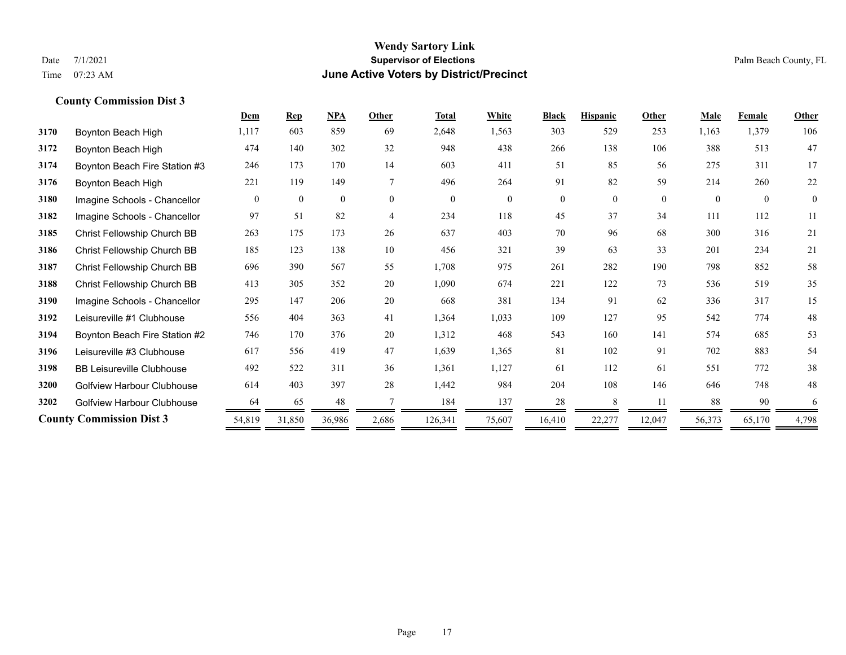|      |                                   | Dem      | <b>Rep</b>   | NPA      | Other    | <b>Total</b> | White          | <b>Black</b> | <b>Hispanic</b> | Other    | <b>Male</b> | Female   | Other        |
|------|-----------------------------------|----------|--------------|----------|----------|--------------|----------------|--------------|-----------------|----------|-------------|----------|--------------|
| 3170 | Boynton Beach High                | 1,117    | 603          | 859      | 69       | 2,648        | 1,563          | 303          | 529             | 253      | 1,163       | 1,379    | 106          |
| 3172 | Boynton Beach High                | 474      | 140          | 302      | 32       | 948          | 438            | 266          | 138             | 106      | 388         | 513      | 47           |
| 3174 | Boynton Beach Fire Station #3     | 246      | 173          | 170      | 14       | 603          | 411            | 51           | 85              | 56       | 275         | 311      | 17           |
| 3176 | Boynton Beach High                | 221      | 119          | 149      | 7        | 496          | 264            | 91           | 82              | 59       | 214         | 260      | 22           |
| 3180 | Imagine Schools - Chancellor      | $\theta$ | $\mathbf{0}$ | $\theta$ | $\theta$ | $\theta$     | $\overline{0}$ | $\mathbf{0}$ | $\theta$        | $\Omega$ | $\Omega$    | $\theta$ | $\mathbf{0}$ |
| 3182 | Imagine Schools - Chancellor      | 97       | 51           | 82       | 4        | 234          | 118            | 45           | 37              | 34       | 111         | 112      | 11           |
| 3185 | Christ Fellowship Church BB       | 263      | 175          | 173      | 26       | 637          | 403            | 70           | 96              | 68       | 300         | 316      | 21           |
| 3186 | Christ Fellowship Church BB       | 185      | 123          | 138      | 10       | 456          | 321            | 39           | 63              | 33       | 201         | 234      | 21           |
| 3187 | Christ Fellowship Church BB       | 696      | 390          | 567      | 55       | 1,708        | 975            | 261          | 282             | 190      | 798         | 852      | 58           |
| 3188 | Christ Fellowship Church BB       | 413      | 305          | 352      | 20       | 1,090        | 674            | 221          | 122             | 73       | 536         | 519      | 35           |
| 3190 | Imagine Schools - Chancellor      | 295      | 147          | 206      | 20       | 668          | 381            | 134          | 91              | 62       | 336         | 317      | 15           |
| 3192 | Leisureville #1 Clubhouse         | 556      | 404          | 363      | 41       | 1,364        | 1,033          | 109          | 127             | 95       | 542         | 774      | 48           |
| 3194 | Boynton Beach Fire Station #2     | 746      | 170          | 376      | 20       | 1,312        | 468            | 543          | 160             | 141      | 574         | 685      | 53           |
| 3196 | Leisureville #3 Clubhouse         | 617      | 556          | 419      | 47       | 1,639        | 1,365          | 81           | 102             | 91       | 702         | 883      | 54           |
| 3198 | <b>BB Leisureville Clubhouse</b>  | 492      | 522          | 311      | 36       | 1,361        | 1,127          | 61           | 112             | 61       | 551         | 772      | 38           |
| 3200 | <b>Golfview Harbour Clubhouse</b> | 614      | 403          | 397      | 28       | 1,442        | 984            | 204          | 108             | 146      | 646         | 748      | 48           |
| 3202 | <b>Golfview Harbour Clubhouse</b> | 64       | 65           | 48       |          | 184          | 137            | 28           |                 | 11       | 88          | 90       | 6            |
|      | <b>County Commission Dist 3</b>   | 54,819   | 31,850       | 36,986   | 2,686    | 126,341      | 75,607         | 16,410       | 22,277          | 12,047   | 56,373      | 65,170   | 4,798        |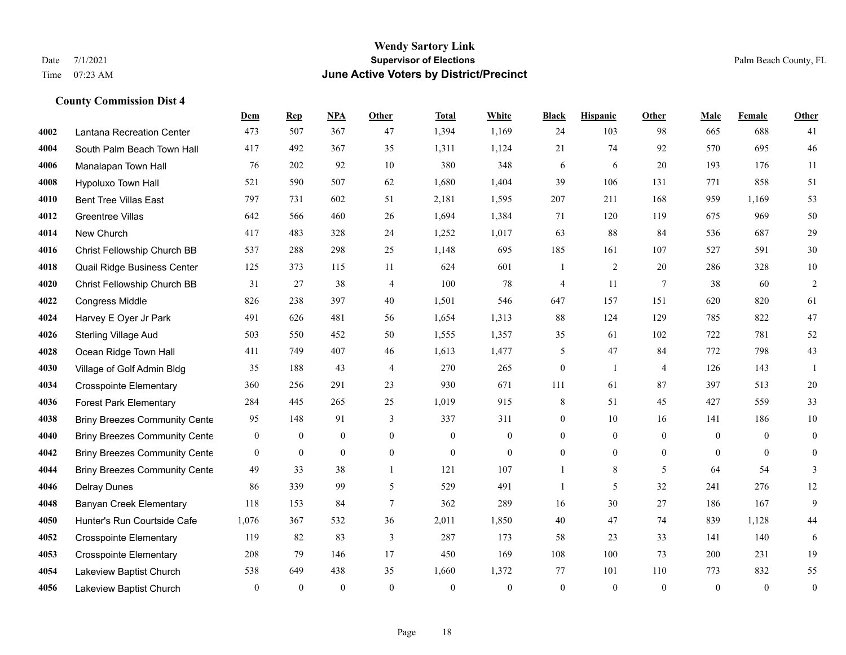#### **Wendy Sartory Link** Date 7/1/2021 **Supervisor of Elections** Palm Beach County, FL Time 07:23 AM **June Active Voters by District/Precinct**

# **Dem Rep NPA Other Total White Black Hispanic Other Male Female Other** Lantana Recreation Center 473 507 367 47 1,394 1,169 24 103 98 665 688 41 South Palm Beach Town Hall 417 492 367 35 1,311 1,124 21 74 92 570 695 46 Manalapan Town Hall 76 202 92 10 380 348 6 6 20 193 176 11 Hypoluxo Town Hall 521 590 507 62 1,680 1,404 39 106 131 771 858 51 Bent Tree Villas East 797 731 602 51 2,181 1,595 207 211 168 959 1,169 53 Greentree Villas 642 566 460 26 1,694 1,384 71 120 119 675 969 50 New Church 417 483 328 24 1,252 1,017 63 88 84 536 687 29 Christ Fellowship Church BB 537 288 298 25 1,148 695 185 161 107 527 591 30 Quail Ridge Business Center 125 373 115 11 624 601 1 2 20 286 328 10 Christ Fellowship Church BB 31 27 38 4 100 78 4 11 7 38 60 2 Congress Middle 826 238 397 40 1,501 546 647 157 151 620 820 61 Harvey E Oyer Jr Park 491 626 481 56 1,654 1,313 88 124 129 785 822 47 Sterling Village Aud 503 550 452 50 1,555 1,357 35 61 102 722 781 52 Ocean Ridge Town Hall 411 749 407 46 1,613 1,477 5 47 84 772 798 43 Village of Golf Admin Bldg 35 188 43 4 270 265 0 1 4 126 143 1 Crosspointe Elementary 360 256 291 23 930 671 111 61 87 397 513 20 Forest Park Elementary 284 445 265 25 1,019 915 8 51 45 427 559 33 **4038 Briny Breezes Community Cente** 95 148 91 3 337 311 0 10 16 141 186 10 Briny Breezes Community Center 0 0 0 0 0 0 0 0 0 0 0 0 Briny Breezes Community Center 0 0 0 0 0 0 0 0 0 0 0 0 Briny Breezes Community Cente 49 33 38 1 121 107 1 8 5 64 54 3 Delray Dunes 86 339 99 5 529 491 1 5 32 241 276 12 Banyan Creek Elementary 118 153 84 7 362 289 16 30 27 186 167 9 Hunter's Run Courtside Cafe 1,076 367 532 36 2,011 1,850 40 47 74 839 1,128 44 Crosspointe Elementary 119 82 83 3 287 173 58 23 33 141 140 6 Crosspointe Elementary 208 79 146 17 450 169 108 100 73 200 231 19 Lakeview Baptist Church 538 649 438 35 1,660 1,372 77 101 110 773 832 55 Lakeview Baptist Church 0 0 0 0 0 0 0 0 0 0 0 0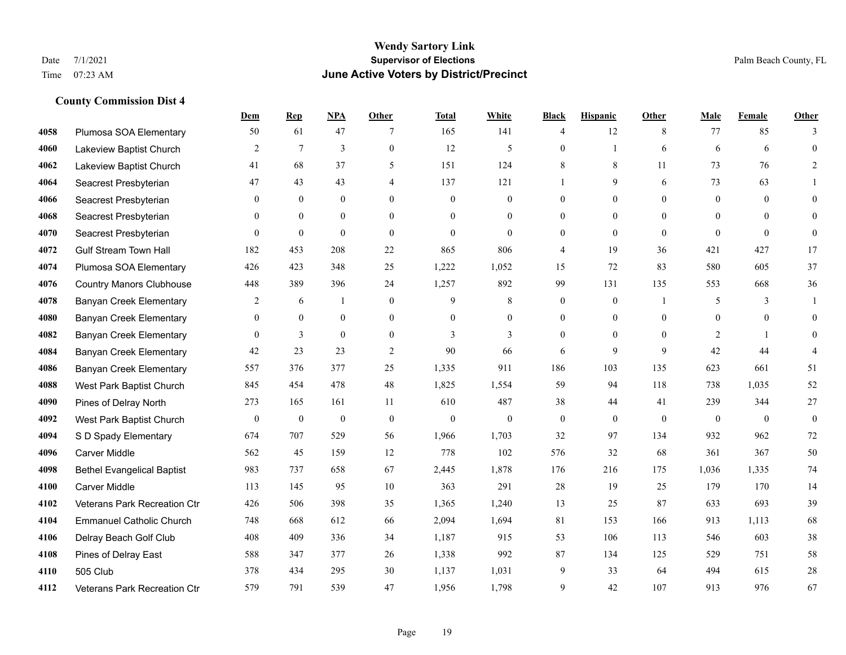### **Wendy Sartory Link** Date 7/1/2021 **Supervisor of Elections Supervisor of Elections** Palm Beach County, FL Time 07:23 AM **June Active Voters by District/Precinct**

|      |                                   | Dem              | <b>Rep</b>       | <b>NPA</b>       | Other          | <b>Total</b> | White            | <b>Black</b>   | <b>Hispanic</b> | Other        | Male           | Female       | Other                    |
|------|-----------------------------------|------------------|------------------|------------------|----------------|--------------|------------------|----------------|-----------------|--------------|----------------|--------------|--------------------------|
| 4058 | Plumosa SOA Elementary            | 50               | 61               | 47               | 7              | 165          | 141              | $\overline{4}$ | 12              | 8            | 77             | 85           | 3                        |
| 4060 | Lakeview Baptist Church           | $\overline{2}$   | $\tau$           | 3                | $\overline{0}$ | 12           | $\mathfrak{H}$   | $\theta$       | $\mathbf{1}$    | 6            | 6              | 6            | $\mathbf{0}$             |
| 4062 | Lakeview Baptist Church           | 41               | 68               | 37               | 5              | 151          | 124              | 8              | 8               | 11           | 73             | 76           | 2                        |
| 4064 | Seacrest Presbyterian             | 47               | 43               | 43               | $\overline{4}$ | 137          | 121              | $\mathbf{1}$   | 9               | 6            | 73             | 63           |                          |
| 4066 | Seacrest Presbyterian             | $\overline{0}$   | $\mathbf{0}$     | $\mathbf{0}$     | $\Omega$       | $\theta$     | $\mathbf{0}$     | $\mathbf{0}$   | $\mathbf{0}$    | $\Omega$     | $\theta$       | $\theta$     | $\theta$                 |
| 4068 | Seacrest Presbyterian             | $\theta$         | $\mathbf{0}$     | $\mathbf{0}$     | $\theta$       | $\theta$     | $\mathbf{0}$     | $\overline{0}$ | $\overline{0}$  | $\theta$     | $\overline{0}$ | $\theta$     | $\overline{0}$           |
| 4070 | Seacrest Presbyterian             | $\theta$         | $\mathbf{0}$     | $\theta$         | $\Omega$       | $\theta$     | $\mathbf{0}$     | $\overline{0}$ | $\theta$        | $\mathbf{0}$ | $\Omega$       | $\theta$     | $\overline{0}$           |
| 4072 | <b>Gulf Stream Town Hall</b>      | 182              | 453              | 208              | 22             | 865          | 806              | $\overline{4}$ | 19              | 36           | 421            | 427          | 17                       |
| 4074 | Plumosa SOA Elementary            | 426              | 423              | 348              | 25             | 1,222        | 1,052            | 15             | 72              | 83           | 580            | 605          | 37                       |
| 4076 | <b>Country Manors Clubhouse</b>   | 448              | 389              | 396              | 24             | 1,257        | 892              | 99             | 131             | 135          | 553            | 668          | 36                       |
| 4078 | <b>Banyan Creek Elementary</b>    | 2                | 6                | 1                | $\overline{0}$ | 9            | 8                | $\mathbf{0}$   | $\mathbf{0}$    |              | 5              | 3            | 1                        |
| 4080 | <b>Banyan Creek Elementary</b>    | $\overline{0}$   | $\mathbf{0}$     | $\mathbf{0}$     | $\overline{0}$ | $\theta$     | $\boldsymbol{0}$ | $\overline{0}$ | $\mathbf{0}$    | $\mathbf{0}$ | $\mathbf{0}$   | $\theta$     | $\overline{0}$           |
| 4082 | <b>Banyan Creek Elementary</b>    | $\theta$         | 3                | $\theta$         | $\overline{0}$ | 3            | 3                | $\mathbf{0}$   | $\theta$        | $\Omega$     | $\overline{2}$ | $\mathbf{1}$ | $\theta$                 |
| 4084 | <b>Banyan Creek Elementary</b>    | $42\,$           | 23               | 23               | $\overline{2}$ | 90           | 66               | 6              | 9               | 9            | 42             | 44           | $\overline{\mathcal{A}}$ |
| 4086 | <b>Banyan Creek Elementary</b>    | 557              | 376              | 377              | 25             | 1,335        | 911              | 186            | 103             | 135          | 623            | 661          | 51                       |
| 4088 | West Park Baptist Church          | 845              | 454              | 478              | 48             | 1,825        | 1,554            | 59             | 94              | 118          | 738            | 1.035        | 52                       |
| 4090 | Pines of Delray North             | 273              | 165              | 161              | 11             | 610          | 487              | 38             | 44              | 41           | 239            | 344          | $27\,$                   |
| 4092 | West Park Baptist Church          | $\boldsymbol{0}$ | $\boldsymbol{0}$ | $\boldsymbol{0}$ | $\mathbf{0}$   | $\mathbf{0}$ | $\mathbf{0}$     | $\mathbf{0}$   | $\mathbf{0}$    | $\mathbf{0}$ | $\mathbf{0}$   | $\theta$     | $\mathbf{0}$             |
| 4094 | S D Spady Elementary              | 674              | 707              | 529              | 56             | 1,966        | 1,703            | 32             | 97              | 134          | 932            | 962          | 72                       |
| 4096 | Carver Middle                     | 562              | 45               | 159              | 12             | 778          | 102              | 576            | 32              | 68           | 361            | 367          | 50                       |
| 4098 | <b>Bethel Evangelical Baptist</b> | 983              | 737              | 658              | 67             | 2,445        | 1,878            | 176            | 216             | 175          | 1,036          | 1,335        | 74                       |
| 4100 | <b>Carver Middle</b>              | 113              | 145              | 95               | 10             | 363          | 291              | 28             | 19              | 25           | 179            | 170          | 14                       |
| 4102 | Veterans Park Recreation Ctr      | 426              | 506              | 398              | 35             | 1,365        | 1,240            | 13             | 25              | 87           | 633            | 693          | 39                       |
| 4104 | <b>Emmanuel Catholic Church</b>   | 748              | 668              | 612              | 66             | 2,094        | 1,694            | 81             | 153             | 166          | 913            | 1.113        | 68                       |
| 4106 | Delray Beach Golf Club            | 408              | 409              | 336              | 34             | 1,187        | 915              | 53             | 106             | 113          | 546            | 603          | 38                       |
| 4108 | Pines of Delray East              | 588              | 347              | 377              | 26             | 1,338        | 992              | 87             | 134             | 125          | 529            | 751          | 58                       |
| 4110 | 505 Club                          | 378              | 434              | 295              | 30             | 1,137        | 1,031            | 9              | 33              | 64           | 494            | 615          | $28\,$                   |
| 4112 | Veterans Park Recreation Ctr      | 579              | 791              | 539              | 47             | 1.956        | 1.798            | 9              | 42              | 107          | 913            | 976          | 67                       |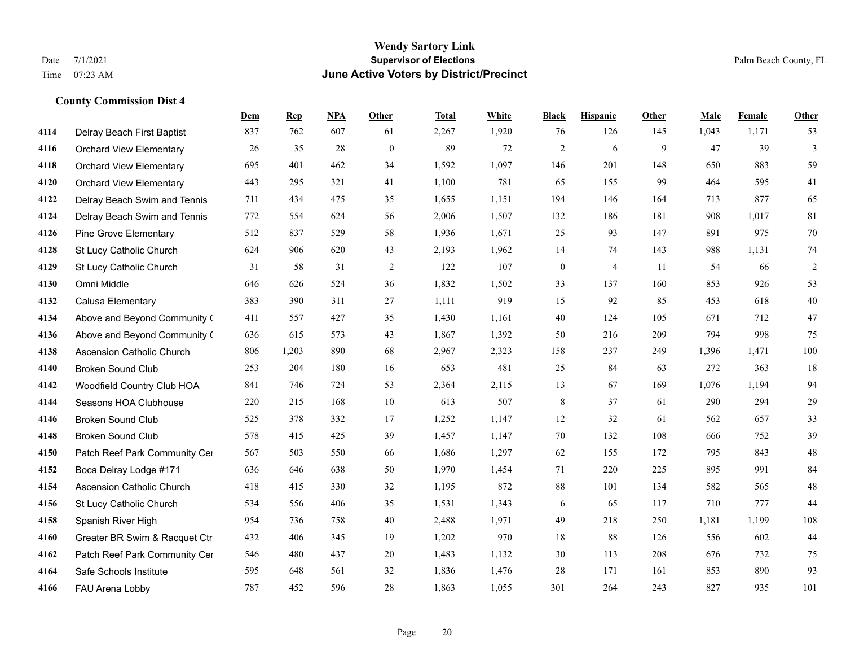#### **Wendy Sartory Link** Date 7/1/2021 **Supervisor of Elections** Palm Beach County, FL Time 07:23 AM **June Active Voters by District/Precinct**

# **Dem Rep NPA Other Total White Black Hispanic Other Male Female Other** Delray Beach First Baptist 837 762 607 61 2,267 1,920 76 126 145 1,043 1,171 53 Orchard View Elementary 26 35 28 0 89 72 2 6 9 47 39 3 Orchard View Elementary 695 401 462 34 1,592 1,097 146 201 148 650 883 59 Orchard View Elementary 443 295 321 41 1,100 781 65 155 99 464 595 41 Delray Beach Swim and Tennis 711 434 475 35 1,655 1,151 194 146 164 713 877 65 Delray Beach Swim and Tennis 772 554 624 56 2,006 1,507 132 186 181 908 1,017 81 Pine Grove Elementary 512 837 529 58 1,936 1,671 25 93 147 891 975 70 St Lucy Catholic Church 624 906 620 43 2,193 1,962 14 74 143 988 1,131 74 St Lucy Catholic Church 31 58 31 2 122 107 0 4 11 54 66 2 Omni Middle 646 626 524 36 1,832 1,502 33 137 160 853 926 53 Calusa Elementary 383 390 311 27 1,111 919 15 92 85 453 618 40 Above and Beyond Community Church 411 557 427 35 1,430 1,161 40 124 105 671 712 47 Above and Beyond Community Church 636 615 573 43 1,867 1,392 50 216 209 794 998 75 Ascension Catholic Church 806 1,203 890 68 2,967 2,323 158 237 249 1,396 1,471 100 Broken Sound Club 253 204 180 16 653 481 25 84 63 272 363 18 Woodfield Country Club HOA 841 746 724 53 2,364 2,115 13 67 169 1,076 1,194 94 Seasons HOA Clubhouse 220 215 168 10 613 507 8 37 61 290 294 29 Broken Sound Club 525 378 332 17 1,252 1,147 12 32 61 562 657 33 Broken Sound Club 578 415 425 39 1,457 1,147 70 132 108 666 752 39 4150 Patch Reef Park Community Center 567 503 550 66 1,686 1,297 62 155 172 795 843 48 Boca Delray Lodge #171 636 646 638 50 1,970 1,454 71 220 225 895 991 84 Ascension Catholic Church 418 415 330 32 1,195 872 88 101 134 582 565 48 St Lucy Catholic Church 534 556 406 35 1,531 1,343 6 65 117 710 777 44 Spanish River High 954 736 758 40 2,488 1,971 49 218 250 1,181 1,199 108 Greater BR Swim & Racquet Ctr 432 406 345 19 1,202 970 18 88 126 556 602 44 4162 Patch Reef Park Community Center 546 480 437 20 1,483 1,132 30 113 208 676 732 75 Safe Schools Institute 595 648 561 32 1,836 1,476 28 171 161 853 890 93 FAU Arena Lobby 787 452 596 28 1,863 1,055 301 264 243 827 935 101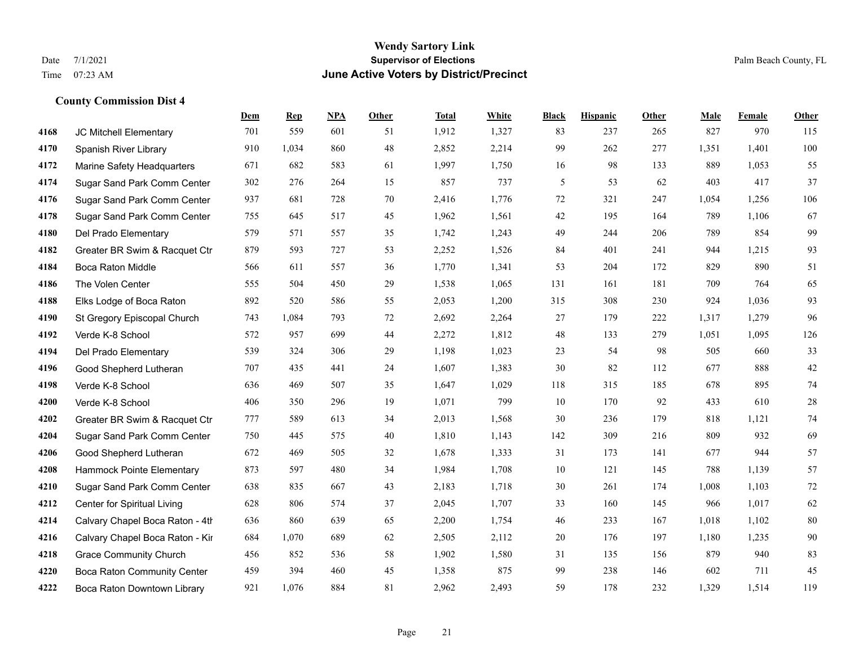## **Wendy Sartory Link** Date 7/1/2021 **Supervisor of Elections Supervisor of Elections** Palm Beach County, FL Time 07:23 AM **June Active Voters by District/Precinct**

|      |                                    | Dem | <b>Rep</b> | NPA | <b>Other</b> | <b>Total</b> | White | <b>Black</b> | <b>Hispanic</b> | <b>Other</b> | Male  | Female | Other   |
|------|------------------------------------|-----|------------|-----|--------------|--------------|-------|--------------|-----------------|--------------|-------|--------|---------|
| 4168 | JC Mitchell Elementary             | 701 | 559        | 601 | 51           | 1,912        | 1,327 | 83           | 237             | 265          | 827   | 970    | 115     |
| 4170 | Spanish River Library              | 910 | 1,034      | 860 | 48           | 2,852        | 2,214 | 99           | 262             | 277          | 1,351 | 1,401  | $100\,$ |
| 4172 | Marine Safety Headquarters         | 671 | 682        | 583 | 61           | 1,997        | 1,750 | 16           | 98              | 133          | 889   | 1,053  | 55      |
| 4174 | Sugar Sand Park Comm Center        | 302 | 276        | 264 | 15           | 857          | 737   | 5            | 53              | 62           | 403   | 417    | 37      |
| 4176 | Sugar Sand Park Comm Center        | 937 | 681        | 728 | 70           | 2,416        | 1,776 | $72\,$       | 321             | 247          | 1,054 | 1,256  | 106     |
| 4178 | Sugar Sand Park Comm Center        | 755 | 645        | 517 | 45           | 1,962        | 1,561 | 42           | 195             | 164          | 789   | 1,106  | 67      |
| 4180 | Del Prado Elementary               | 579 | 571        | 557 | 35           | 1,742        | 1,243 | 49           | 244             | 206          | 789   | 854    | 99      |
| 4182 | Greater BR Swim & Racquet Ctr      | 879 | 593        | 727 | 53           | 2,252        | 1,526 | 84           | 401             | 241          | 944   | 1,215  | 93      |
| 4184 | <b>Boca Raton Middle</b>           | 566 | 611        | 557 | 36           | 1,770        | 1,341 | 53           | 204             | 172          | 829   | 890    | 51      |
| 4186 | The Volen Center                   | 555 | 504        | 450 | 29           | 1,538        | 1,065 | 131          | 161             | 181          | 709   | 764    | 65      |
| 4188 | Elks Lodge of Boca Raton           | 892 | 520        | 586 | 55           | 2,053        | 1,200 | 315          | 308             | 230          | 924   | 1,036  | 93      |
| 4190 | St Gregory Episcopal Church        | 743 | 1,084      | 793 | 72           | 2,692        | 2,264 | 27           | 179             | 222          | 1,317 | 1,279  | 96      |
| 4192 | Verde K-8 School                   | 572 | 957        | 699 | 44           | 2,272        | 1,812 | 48           | 133             | 279          | 1,051 | 1,095  | 126     |
| 4194 | Del Prado Elementary               | 539 | 324        | 306 | 29           | 1,198        | 1,023 | 23           | 54              | 98           | 505   | 660    | 33      |
| 4196 | Good Shepherd Lutheran             | 707 | 435        | 441 | 24           | 1,607        | 1,383 | 30           | 82              | 112          | 677   | 888    | $42\,$  |
| 4198 | Verde K-8 School                   | 636 | 469        | 507 | 35           | 1,647        | 1,029 | 118          | 315             | 185          | 678   | 895    | 74      |
| 4200 | Verde K-8 School                   | 406 | 350        | 296 | 19           | 1,071        | 799   | 10           | 170             | 92           | 433   | 610    | $28\,$  |
| 4202 | Greater BR Swim & Racquet Ctr      | 777 | 589        | 613 | 34           | 2,013        | 1,568 | 30           | 236             | 179          | 818   | 1,121  | 74      |
| 4204 | Sugar Sand Park Comm Center        | 750 | 445        | 575 | 40           | 1,810        | 1,143 | 142          | 309             | 216          | 809   | 932    | 69      |
| 4206 | Good Shepherd Lutheran             | 672 | 469        | 505 | 32           | 1,678        | 1,333 | 31           | 173             | 141          | 677   | 944    | 57      |
| 4208 | Hammock Pointe Elementary          | 873 | 597        | 480 | 34           | 1,984        | 1,708 | 10           | 121             | 145          | 788   | 1,139  | 57      |
| 4210 | Sugar Sand Park Comm Center        | 638 | 835        | 667 | 43           | 2,183        | 1,718 | 30           | 261             | 174          | 1,008 | 1,103  | $72\,$  |
| 4212 | Center for Spiritual Living        | 628 | 806        | 574 | 37           | 2,045        | 1,707 | 33           | 160             | 145          | 966   | 1,017  | 62      |
| 4214 | Calvary Chapel Boca Raton - 4th    | 636 | 860        | 639 | 65           | 2,200        | 1,754 | 46           | 233             | 167          | 1,018 | 1,102  | $80\,$  |
| 4216 | Calvary Chapel Boca Raton - Kir    | 684 | 1,070      | 689 | 62           | 2,505        | 2,112 | 20           | 176             | 197          | 1,180 | 1,235  | 90      |
| 4218 | <b>Grace Community Church</b>      | 456 | 852        | 536 | 58           | 1,902        | 1,580 | 31           | 135             | 156          | 879   | 940    | 83      |
| 4220 | <b>Boca Raton Community Center</b> | 459 | 394        | 460 | 45           | 1,358        | 875   | 99           | 238             | 146          | 602   | 711    | 45      |
| 4222 | Boca Raton Downtown Library        | 921 | 1.076      | 884 | 81           | 2.962        | 2,493 | 59           | 178             | 232          | 1,329 | 1.514  | 119     |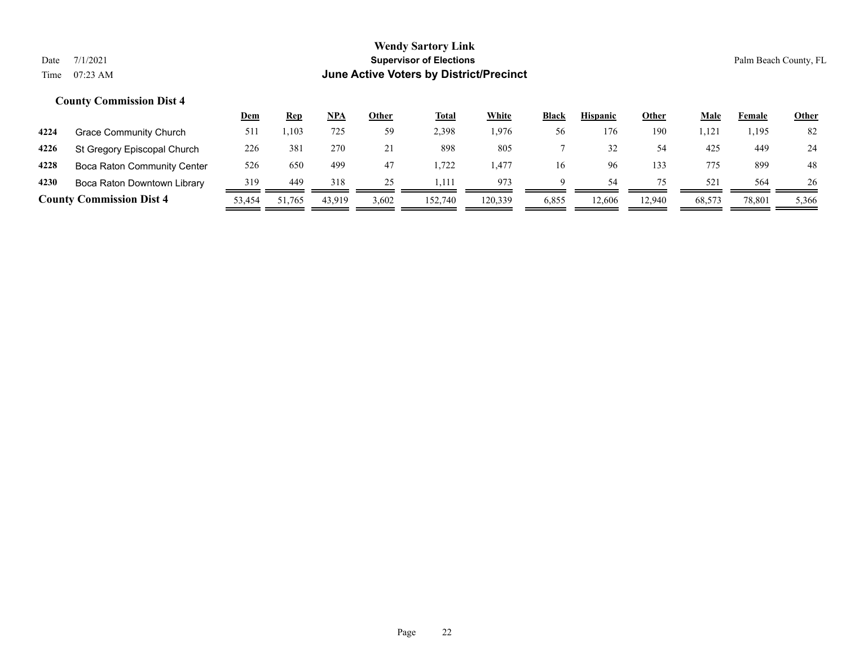|      |                                    | <u>Dem</u> | <u>Rep</u>      | <b>NPA</b> | Other | <b>Total</b> | White   | <b>Black</b> | <b>Hispanic</b> | Other  | Male            | Female | <b>Other</b> |
|------|------------------------------------|------------|-----------------|------------|-------|--------------|---------|--------------|-----------------|--------|-----------------|--------|--------------|
| 4224 | Grace Community Church             | 511        | 1,103           | 725        | 59    | 2,398        | .976    | 56           | 176             | 190    | 1,121           | 1,195  | 82           |
| 4226 | St Gregory Episcopal Church        | 226        | 38 <sup>2</sup> | 270        |       | 898          | 805     |              |                 | 54     | 425             | 449    | 24           |
| 4228 | <b>Boca Raton Community Center</b> | 526        | 650             | 499        | 47    | 1.722        | . 477   | 16           | 96              | 133    | 775             | 899    | 48           |
| 4230 | Boca Raton Downtown Library        | 319        | 449             | 318        | 25    | 1.111        | 973     | a            | 54              |        | 52 <sup>2</sup> | 564    | 26           |
|      | <b>County Commission Dist 4</b>    | 53,454     | 51,765          | 43.919     | 3,602 | 152,740      | 120,339 | 6,855        | 12.606          | 12,940 | 68,573          | 78,801 | 5,366        |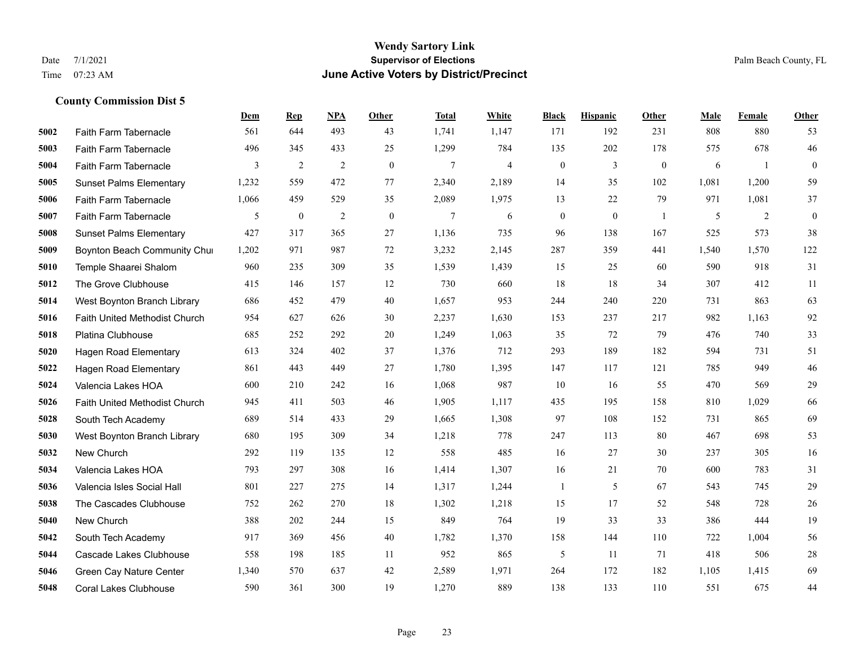#### **Wendy Sartory Link** Date 7/1/2021 **Supervisor of Elections** Palm Beach County, FL Time 07:23 AM **June Active Voters by District/Precinct**

# **Dem Rep NPA Other Total White Black Hispanic Other Male Female Other** Faith Farm Tabernacle 561 644 493 43 1,741 1,147 171 192 231 808 880 53 Faith Farm Tabernacle 496 345 433 25 1,299 784 135 202 178 575 678 46 Faith Farm Tabernacle 3 2 2 0 7 4 0 3 0 6 1 0 Sunset Palms Elementary 1,232 559 472 77 2,340 2,189 14 35 102 1,081 1,200 59 Faith Farm Tabernacle 1,066 459 529 35 2,089 1,975 13 22 79 971 1,081 37 Faith Farm Tabernacle 5 0 2 0 7 6 0 0 1 5 2 0 Sunset Palms Elementary 427 317 365 27 1,136 735 96 138 167 525 573 38 Boynton Beach Community Church 1,202 971 987 72 3,232 2,145 287 359 441 1,540 1,570 122 Temple Shaarei Shalom 960 235 309 35 1,539 1,439 15 25 60 590 918 31 The Grove Clubhouse 415 146 157 12 730 660 18 18 34 307 412 11 West Boynton Branch Library 686 452 479 40 1,657 953 244 240 220 731 863 63 Faith United Methodist Church 954 627 626 30 2,237 1,630 153 237 217 982 1,163 92 Platina Clubhouse 685 252 292 20 1,249 1,063 35 72 79 476 740 33 Hagen Road Elementary 613 324 402 37 1,376 712 293 189 182 594 731 51 Hagen Road Elementary 861 443 449 27 1,780 1,395 147 117 121 785 949 46 Valencia Lakes HOA 600 210 242 16 1,068 987 10 16 55 470 569 29 Faith United Methodist Church 945 411 503 46 1,905 1,117 435 195 158 810 1,029 66 South Tech Academy 689 514 433 29 1,665 1,308 97 108 152 731 865 69 West Boynton Branch Library 680 195 309 34 1,218 778 247 113 80 467 698 53 New Church 292 119 135 12 558 485 16 27 30 237 305 16 Valencia Lakes HOA 793 297 308 16 1,414 1,307 16 21 70 600 783 31 Valencia Isles Social Hall 801 227 275 14 1,317 1,244 1 5 67 543 745 29 The Cascades Clubhouse 752 262 270 18 1,302 1,218 15 17 52 548 728 26 New Church 388 202 244 15 849 764 19 33 33 386 444 19 South Tech Academy 917 369 456 40 1,782 1,370 158 144 110 722 1,004 56 Cascade Lakes Clubhouse 558 198 185 11 952 865 5 11 71 418 506 28 Green Cay Nature Center 1,340 570 637 42 2,589 1,971 264 172 182 1,105 1,415 69 Coral Lakes Clubhouse 590 361 300 19 1,270 889 138 133 110 551 675 44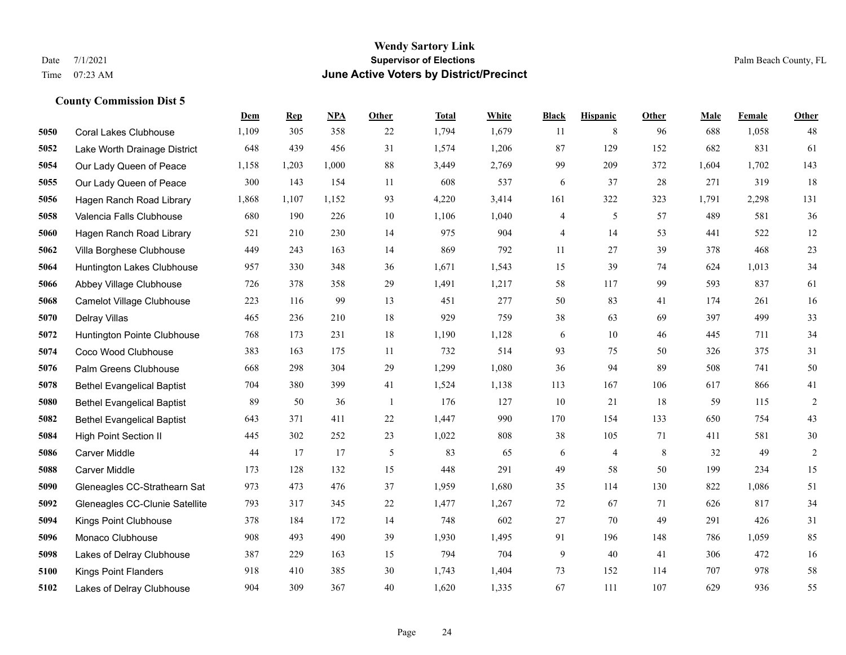#### **Wendy Sartory Link** Date 7/1/2021 **Supervisor of Elections** Palm Beach County, FL Time 07:23 AM **June Active Voters by District/Precinct**

# **Dem Rep NPA Other Total White Black Hispanic Other Male Female Other** Coral Lakes Clubhouse 1,109 305 358 22 1,794 1,679 11 8 96 688 1,058 48 Lake Worth Drainage District 648 439 456 31 1,574 1,206 87 129 152 682 831 61 Our Lady Queen of Peace 1,158 1,203 1,000 88 3,449 2,769 99 209 372 1,604 1,702 143 Our Lady Queen of Peace 300 143 154 11 608 537 6 37 28 271 319 18 Hagen Ranch Road Library 1,868 1,107 1,152 93 4,220 3,414 161 322 323 1,791 2,298 131 Valencia Falls Clubhouse 680 190 226 10 1,106 1,040 4 5 57 489 581 36 Hagen Ranch Road Library 521 210 230 14 975 904 4 14 53 441 522 12 Villa Borghese Clubhouse 449 243 163 14 869 792 11 27 39 378 468 23 Huntington Lakes Clubhouse 957 330 348 36 1,671 1,543 15 39 74 624 1,013 34 Abbey Village Clubhouse 726 378 358 29 1,491 1,217 58 117 99 593 837 61 Camelot Village Clubhouse 223 116 99 13 451 277 50 83 41 174 261 16 Delray Villas 465 236 210 18 929 759 38 63 69 397 499 33 Huntington Pointe Clubhouse 768 173 231 18 1,190 1,128 6 10 46 445 711 34 Coco Wood Clubhouse 383 163 175 11 732 514 93 75 50 326 375 31 Palm Greens Clubhouse 668 298 304 29 1,299 1,080 36 94 89 508 741 50 Bethel Evangelical Baptist 704 380 399 41 1,524 1,138 113 167 106 617 866 41 Bethel Evangelical Baptist 89 50 36 1 176 127 10 21 18 59 115 2 Bethel Evangelical Baptist 643 371 411 22 1,447 990 170 154 133 650 754 43 High Point Section II 445 302 252 23 1,022 808 38 105 71 411 581 30 Carver Middle 44 17 17 5 83 65 6 4 8 32 49 2 Carver Middle 173 128 132 15 448 291 49 58 50 199 234 15 Gleneagles CC-Strathearn Sat 973 473 476 37 1,959 1,680 35 114 130 822 1,086 51 Gleneagles CC-Clunie Satellite 793 317 345 22 1,477 1,267 72 67 71 626 817 34 Kings Point Clubhouse 378 184 172 14 748 602 27 70 49 291 426 31 Monaco Clubhouse 908 493 490 39 1,930 1,495 91 196 148 786 1,059 85 Lakes of Delray Clubhouse 387 229 163 15 794 704 9 40 41 306 472 16 Kings Point Flanders 918 410 385 30 1,743 1,404 73 152 114 707 978 58 Lakes of Delray Clubhouse 904 309 367 40 1,620 1,335 67 111 107 629 936 55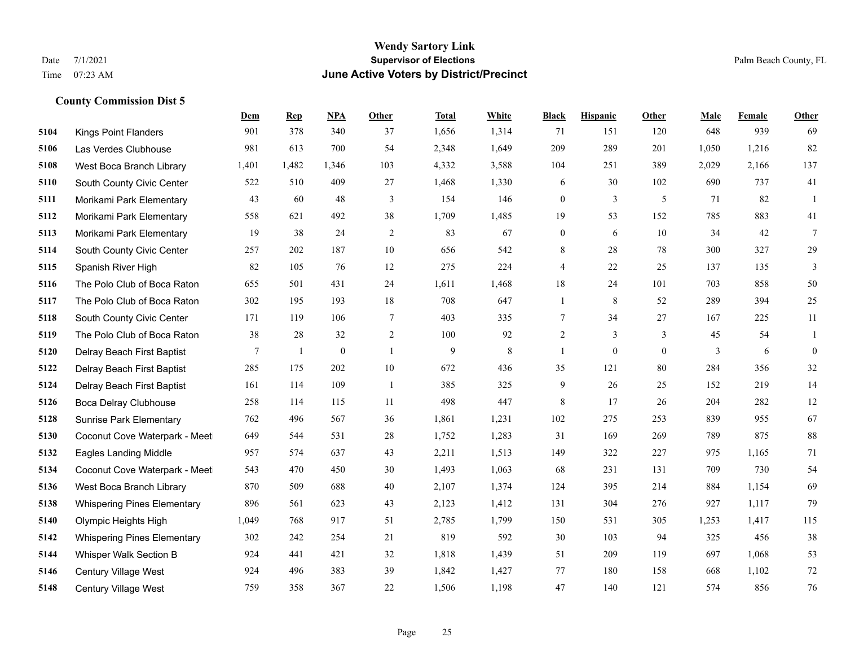#### **Wendy Sartory Link** Date 7/1/2021 **Supervisor of Elections** Palm Beach County, FL Time 07:23 AM **June Active Voters by District/Precinct**

# **Dem Rep NPA Other Total White Black Hispanic Other Male Female Other** Kings Point Flanders 901 378 340 37 1,656 1,314 71 151 120 648 939 69 Las Verdes Clubhouse 981 613 700 54 2,348 1,649 209 289 201 1,050 1,216 82 West Boca Branch Library 1,401 1,482 1,346 103 4,332 3,588 104 251 389 2,029 2,166 137 South County Civic Center 522 510 409 27 1,468 1,330 6 30 102 690 737 41 Morikami Park Elementary 43 60 48 3 154 146 0 3 5 71 82 1 Morikami Park Elementary 558 621 492 38 1,709 1,485 19 53 152 785 883 41 Morikami Park Elementary 19 38 24 2 83 67 0 6 10 34 42 7 South County Civic Center 257 202 187 10 656 542 8 28 78 300 327 29 Spanish River High 82 105 76 12 275 224 4 22 25 137 135 3 The Polo Club of Boca Raton 655 501 431 24 1,611 1,468 18 24 101 703 858 50 The Polo Club of Boca Raton 302 195 193 18 708 647 1 8 52 289 394 25 South County Civic Center 171 119 106 7 403 335 7 34 27 167 225 11 The Polo Club of Boca Raton 38 28 32 2 100 92 2 3 3 45 54 1 Delray Beach First Baptist  $\begin{array}{cccccccc} 7 & 1 & 0 & 1 & 9 & 8 & 1 & 0 & 0 & 3 & 6 & 0 \end{array}$  Delray Beach First Baptist 285 175 202 10 672 436 35 121 80 284 356 32 Delray Beach First Baptist 161 114 109 1 385 325 9 26 25 152 219 14 Boca Delray Clubhouse 258 114 115 11 498 447 8 17 26 204 282 12 Sunrise Park Elementary 762 496 567 36 1,861 1,231 102 275 253 839 955 67 Coconut Cove Waterpark - Meet 649 544 531 28 1,752 1,283 31 169 269 789 875 88 Eagles Landing Middle 957 574 637 43 2,211 1,513 149 322 227 975 1,165 71 Coconut Cove Waterpark - Meet 543 470 450 30 1,493 1,063 68 231 131 709 730 54 West Boca Branch Library 870 509 688 40 2,107 1,374 124 395 214 884 1,154 69 Whispering Pines Elementary 896 561 623 43 2,123 1,412 131 304 276 927 1,117 79 Olympic Heights High 1,049 768 917 51 2,785 1,799 150 531 305 1,253 1,417 115 Whispering Pines Elementary 302 242 254 21 819 592 30 103 94 325 456 38 Whisper Walk Section B 924 441 421 32 1,818 1,439 51 209 119 697 1,068 53 Century Village West 924 496 383 39 1,842 1,427 77 180 158 668 1,102 72 Century Village West 759 358 367 22 1,506 1,198 47 140 121 574 856 76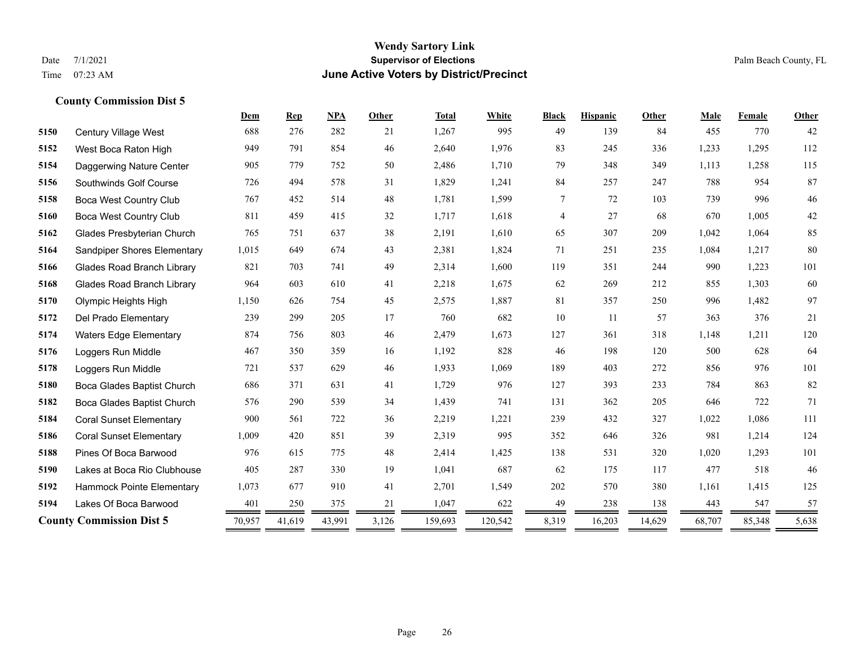#### **Wendy Sartory Link** Date 7/1/2021 **Supervisor of Elections** Palm Beach County, FL Time 07:23 AM **June Active Voters by District/Precinct**

# **Dem Rep NPA Other Total White Black Hispanic Other Male Female Other** Century Village West 688 276 282 21 1,267 995 49 139 84 455 770 42 West Boca Raton High 949 791 854 46 2,640 1,976 83 245 336 1,233 1,295 112 Daggerwing Nature Center 905 779 752 50 2,486 1,710 79 348 349 1,113 1,258 115 Southwinds Golf Course 726 494 578 31 1,829 1,241 84 257 247 788 954 87 Boca West Country Club 767 452 514 48 1,781 1,599 7 72 103 739 996 46 Boca West Country Club 811 459 415 32 1,717 1,618 4 27 68 670 1,005 42 Glades Presbyterian Church 765 751 637 38 2,191 1,610 65 307 209 1,042 1,064 85 Sandpiper Shores Elementary 1,015 649 674 43 2,381 1,824 71 251 235 1,084 1,217 80 Glades Road Branch Library 821 703 741 49 2,314 1,600 119 351 244 990 1,223 101 Glades Road Branch Library 964 603 610 41 2,218 1,675 62 269 212 855 1,303 60 Olympic Heights High 1,150 626 754 45 2,575 1,887 81 357 250 996 1,482 97 Del Prado Elementary 239 299 205 17 760 682 10 11 57 363 376 21 Waters Edge Elementary 874 756 803 46 2,479 1,673 127 361 318 1,148 1,211 120 Loggers Run Middle 467 350 359 16 1,192 828 46 198 120 500 628 64 Loggers Run Middle 721 537 629 46 1,933 1,069 189 403 272 856 976 101 Boca Glades Baptist Church 686 371 631 41 1,729 976 127 393 233 784 863 82 Boca Glades Baptist Church 576 290 539 34 1,439 741 131 362 205 646 722 71 Coral Sunset Elementary 900 561 722 36 2,219 1,221 239 432 327 1,022 1,086 111 Coral Sunset Elementary 1,009 420 851 39 2,319 995 352 646 326 981 1,214 124 Pines Of Boca Barwood 976 615 775 48 2,414 1,425 138 531 320 1,020 1,293 101 Lakes at Boca Rio Clubhouse 405 287 330 19 1,041 687 62 175 117 477 518 46 Hammock Pointe Elementary 1,073 677 910 41 2,701 1,549 202 570 380 1,161 1,415 125 Lakes Of Boca Barwood 401 250 375 21 1,047 622 49 238 138 443 547 57 **County Commission Dist 5** 70,957 41,619 43,991 3,126 159,693 120,542 8,319 16,203 14,629 68,707 85,348 5,638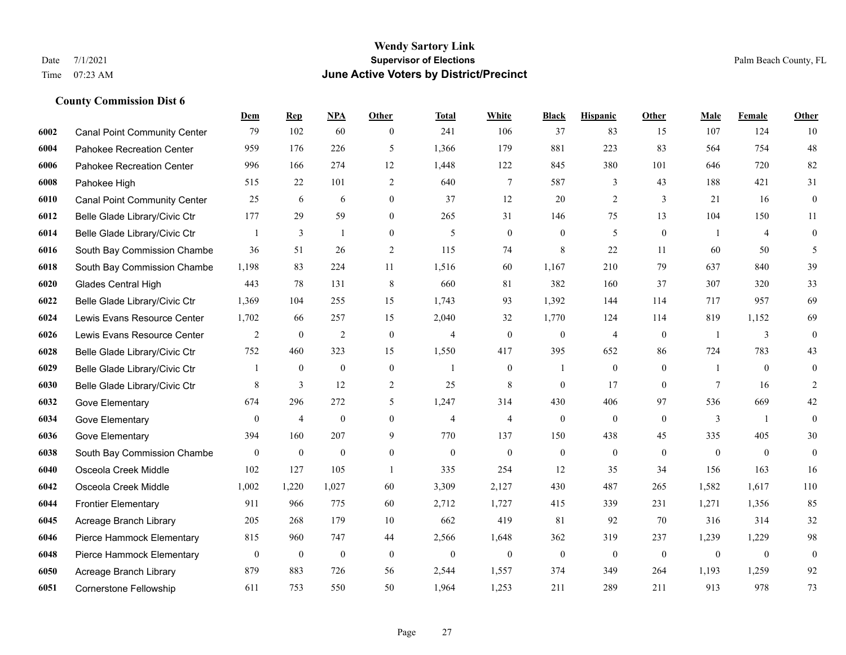#### **Wendy Sartory Link** Date 7/1/2021 **Supervisor of Elections** Palm Beach County, FL Time 07:23 AM **June Active Voters by District/Precinct**

# **Dem Rep NPA Other Total White Black Hispanic Other Male Female Other** Canal Point Community Center 79 102 60 0 241 106 37 83 15 107 124 10 Pahokee Recreation Center 959 176 226 5 1,366 179 881 223 83 564 754 48 Pahokee Recreation Center 996 166 274 12 1,448 122 845 380 101 646 720 82 Pahokee High 515 22 101 2 640 7 587 3 43 188 421 31 Canal Point Community Center 25 6 6 0 37 12 20 2 3 21 16 0 Belle Glade Library/Civic Ctr 177 29 59 0 265 31 146 75 13 104 150 11 Belle Glade Library/Civic Ctr  $\begin{array}{cccccccc} 1 & 3 & 1 & 0 & 5 & 0 & 0 & 5 & 0 & 1 & 4 & 0 \end{array}$  South Bay Commission Chambe 36 51 26 2 115 74 8 22 11 60 50 5 South Bay Commission Chambe 1,198 83 224 11 1,516 60 1,167 210 79 637 840 39 Glades Central High 443 78 131 8 660 81 382 160 37 307 320 33 Belle Glade Library/Civic Ctr 1,369 104 255 15 1,743 93 1,392 144 114 717 957 69 Lewis Evans Resource Center 1,702 66 257 15 2,040 32 1,770 124 114 819 1,152 69 Lewis Evans Resource Center  $\begin{array}{ccccccccccccc}\n2 & 0 & 2 & 0 & 4 & 0 & 4 & 0 & 1 & 3 & 0\n\end{array}$  Belle Glade Library/Civic Ctr 752 460 323 15 1,550 417 395 652 86 724 783 43 Belle Glade Library/Civic Ctr 1 0 0 0 1 0 1 0 0 1 0 0 Belle Glade Library/Civic Ctr 8 3 12 2 25 8 0 17 0 7 16 2 Gove Elementary 674 296 272 5 1,247 314 430 406 97 536 669 42 Gove Elementary 0 4 0 4 4 0 0 0 3 1 0 Gove Elementary 394 160 207 9 770 137 150 438 45 335 405 30 South Bay Commission Chambers 0 0 0 0 0 0 0 0 0 0 0 0 Osceola Creek Middle 102 127 105 1 335 254 12 35 34 156 163 16 Osceola Creek Middle 1,002 1,220 1,027 60 3,309 2,127 430 487 265 1,582 1,617 110 Frontier Elementary 911 966 775 60 2,712 1,727 415 339 231 1,271 1,356 85 Acreage Branch Library 205 268 179 10 662 419 81 92 70 316 314 32 Pierce Hammock Elementary 815 960 747 44 2,566 1,648 362 319 237 1,239 1,229 98 Pierce Hammock Elementary 0 0 0 0 0 0 0 0 0 0 0 0 Acreage Branch Library 879 883 726 56 2,544 1,557 374 349 264 1,193 1,259 92 Cornerstone Fellowship 611 753 550 50 1,964 1,253 211 289 211 913 978 73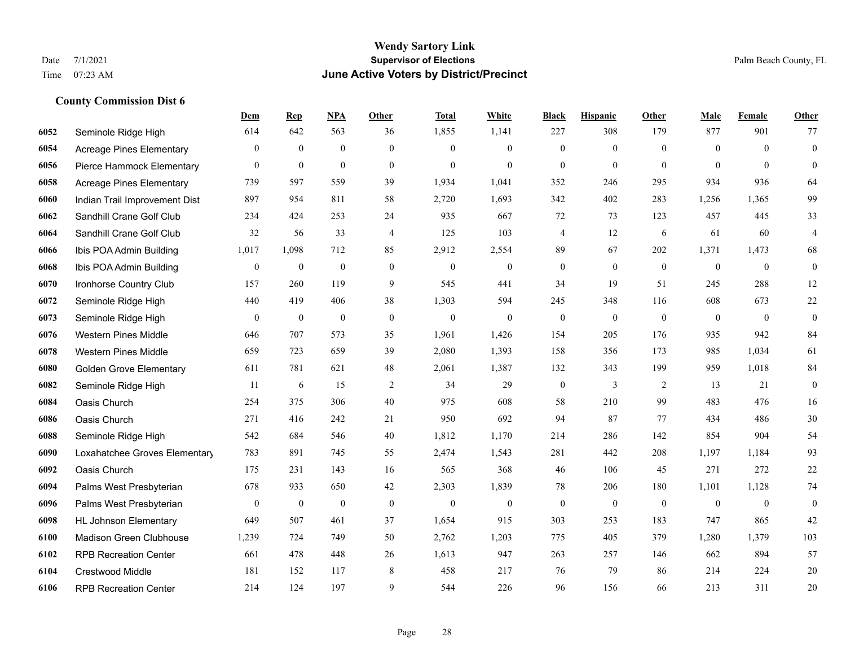|      |                                 | Dem              | <b>Rep</b>       | NPA              | <b>Other</b>   | <b>Total</b>     | White            | <b>Black</b>             | <b>Hispanic</b> | Other        | <b>Male</b>    | <b>Female</b> | <b>Other</b>     |
|------|---------------------------------|------------------|------------------|------------------|----------------|------------------|------------------|--------------------------|-----------------|--------------|----------------|---------------|------------------|
| 6052 | Seminole Ridge High             | 614              | 642              | 563              | 36             | 1,855            | 1,141            | 227                      | 308             | 179          | 877            | 901           | 77               |
| 6054 | <b>Acreage Pines Elementary</b> | $\overline{0}$   | $\mathbf{0}$     | $\mathbf{0}$     | $\overline{0}$ | $\theta$         | $\overline{0}$   | $\mathbf{0}$             | $\mathbf{0}$    | $\theta$     | $\mathbf{0}$   | $\theta$      | $\mathbf{0}$     |
| 6056 | Pierce Hammock Elementary       | $\theta$         | $\mathbf{0}$     | $\mathbf{0}$     | $\theta$       | $\theta$         | $\Omega$         | $\theta$                 | $\mathbf{0}$    | $\Omega$     | $\theta$       | $\theta$      | $\theta$         |
| 6058 | <b>Acreage Pines Elementary</b> | 739              | 597              | 559              | 39             | 1,934            | 1,041            | 352                      | 246             | 295          | 934            | 936           | 64               |
| 6060 | Indian Trail Improvement Dist   | 897              | 954              | 811              | 58             | 2,720            | 1,693            | 342                      | 402             | 283          | 1,256          | 1,365         | 99               |
| 6062 | Sandhill Crane Golf Club        | 234              | 424              | 253              | 24             | 935              | 667              | 72                       | 73              | 123          | 457            | 445           | 33               |
| 6064 | Sandhill Crane Golf Club        | 32               | 56               | 33               | $\overline{4}$ | 125              | 103              | $\overline{\mathcal{A}}$ | 12              | 6            | 61             | 60            | $\overline{4}$   |
| 6066 | Ibis POA Admin Building         | 1,017            | 1,098            | 712              | 85             | 2,912            | 2,554            | 89                       | 67              | 202          | 1,371          | 1,473         | 68               |
| 6068 | Ibis POA Admin Building         | $\boldsymbol{0}$ | $\boldsymbol{0}$ | $\boldsymbol{0}$ | $\mathbf{0}$   | $\boldsymbol{0}$ | $\boldsymbol{0}$ | $\boldsymbol{0}$         | $\mathbf{0}$    | $\mathbf{0}$ | $\mathbf{0}$   | $\mathbf{0}$  | $\boldsymbol{0}$ |
| 6070 | Ironhorse Country Club          | 157              | 260              | 119              | 9              | 545              | 441              | 34                       | 19              | 51           | 245            | 288           | 12               |
| 6072 | Seminole Ridge High             | 440              | 419              | 406              | 38             | 1,303            | 594              | 245                      | 348             | 116          | 608            | 673           | $22\,$           |
| 6073 | Seminole Ridge High             | $\boldsymbol{0}$ | $\boldsymbol{0}$ | $\boldsymbol{0}$ | $\mathbf{0}$   | $\boldsymbol{0}$ | $\boldsymbol{0}$ | $\boldsymbol{0}$         | $\mathbf{0}$    | $\mathbf{0}$ | $\overline{0}$ | $\mathbf{0}$  | $\mathbf{0}$     |
| 6076 | <b>Western Pines Middle</b>     | 646              | 707              | 573              | 35             | 1,961            | 1,426            | 154                      | 205             | 176          | 935            | 942           | 84               |
| 6078 | <b>Western Pines Middle</b>     | 659              | 723              | 659              | 39             | 2,080            | 1,393            | 158                      | 356             | 173          | 985            | 1,034         | 61               |
| 6080 | <b>Golden Grove Elementary</b>  | 611              | 781              | 621              | 48             | 2,061            | 1,387            | 132                      | 343             | 199          | 959            | 1,018         | 84               |
| 6082 | Seminole Ridge High             | 11               | 6                | 15               | 2              | 34               | 29               | $\boldsymbol{0}$         | 3               | 2            | 13             | 21            | $\mathbf{0}$     |
| 6084 | Oasis Church                    | 254              | 375              | 306              | 40             | 975              | 608              | 58                       | 210             | 99           | 483            | 476           | 16               |
| 6086 | Oasis Church                    | 271              | 416              | 242              | 21             | 950              | 692              | 94                       | 87              | 77           | 434            | 486           | 30               |
| 6088 | Seminole Ridge High             | 542              | 684              | 546              | 40             | 1,812            | 1,170            | 214                      | 286             | 142          | 854            | 904           | 54               |
| 6090 | Loxahatchee Groves Elementary   | 783              | 891              | 745              | 55             | 2,474            | 1,543            | 281                      | 442             | 208          | 1,197          | 1.184         | 93               |
| 6092 | Oasis Church                    | 175              | 231              | 143              | 16             | 565              | 368              | 46                       | 106             | 45           | 271            | 272           | 22               |
| 6094 | Palms West Presbyterian         | 678              | 933              | 650              | 42             | 2,303            | 1,839            | 78                       | 206             | 180          | 1,101          | 1,128         | 74               |
| 6096 | Palms West Presbyterian         | $\boldsymbol{0}$ | $\boldsymbol{0}$ | $\boldsymbol{0}$ | $\mathbf{0}$   | $\mathbf{0}$     | $\mathbf{0}$     | $\boldsymbol{0}$         | $\mathbf{0}$    | $\mathbf{0}$ | $\mathbf{0}$   | $\mathbf{0}$  | $\boldsymbol{0}$ |
| 6098 | <b>HL Johnson Elementary</b>    | 649              | 507              | 461              | 37             | 1,654            | 915              | 303                      | 253             | 183          | 747            | 865           | 42               |
| 6100 | Madison Green Clubhouse         | 1,239            | 724              | 749              | 50             | 2,762            | 1,203            | 775                      | 405             | 379          | 1,280          | 1,379         | 103              |
| 6102 | <b>RPB Recreation Center</b>    | 661              | 478              | 448              | 26             | 1,613            | 947              | 263                      | 257             | 146          | 662            | 894           | 57               |
| 6104 | <b>Crestwood Middle</b>         | 181              | 152              | 117              | 8              | 458              | 217              | 76                       | 79              | 86           | 214            | 224           | $20\,$           |
| 6106 | <b>RPB Recreation Center</b>    | 214              | 124              | 197              | 9              | 544              | 226              | 96                       | 156             | 66           | 213            | 311           | 20               |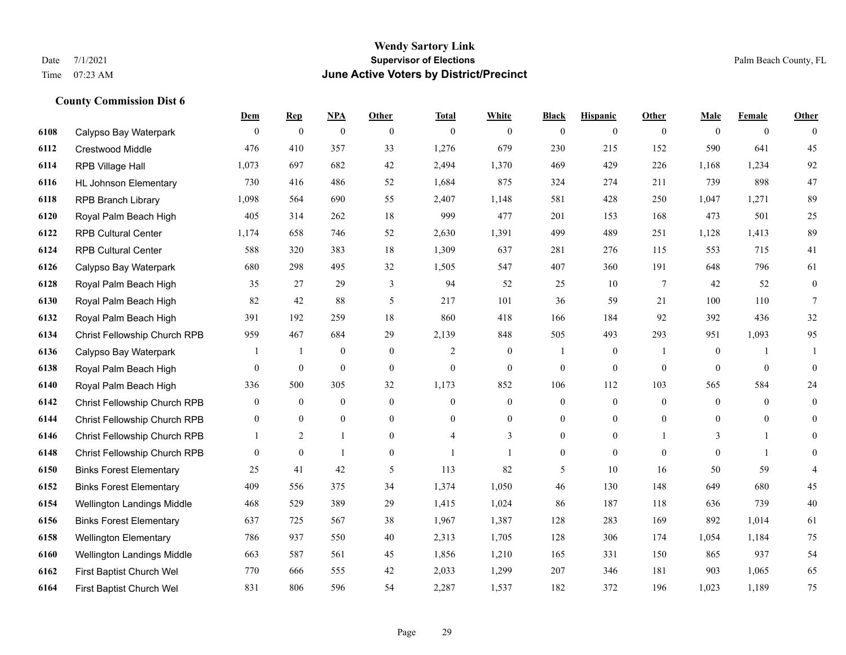#### **Wendy Sartory Link** Date 7/1/2021 **Supervisor of Elections** Palm Beach County, FL Time 07:23 AM **June Active Voters by District/Precinct**

# **Dem Rep NPA Other Total White Black Hispanic Other Male Female Other** Calypso Bay Waterpark 0 0 0 0 0 0 0 0 0 0 0 0 Crestwood Middle 476 410 357 33 1,276 679 230 215 152 590 641 45 RPB Village Hall 1,073 697 682 42 2,494 1,370 469 429 226 1,168 1,234 92 HL Johnson Elementary 730 416 486 52 1,684 875 324 274 211 739 898 47 RPB Branch Library 1,098 564 690 55 2,407 1,148 581 428 250 1,047 1,271 89 Royal Palm Beach High 405 314 262 18 999 477 201 153 168 473 501 25 RPB Cultural Center 1,174 658 746 52 2,630 1,391 499 489 251 1,128 1,413 89 RPB Cultural Center 588 320 383 18 1,309 637 281 276 115 553 715 41 Calypso Bay Waterpark 680 298 495 32 1,505 547 407 360 191 648 796 61 Royal Palm Beach High 35 27 29 3 94 52 25 10 7 42 52 0 Royal Palm Beach High 82 42 88 5 217 101 36 59 21 100 110 7 Royal Palm Beach High 391 192 259 18 860 418 166 184 92 392 436 32 Christ Fellowship Church RPB 959 467 684 29 2,139 848 505 493 293 951 1,093 95 Calypso Bay Waterpark 1 1 0 0 2 0 1 0 1 0 1 1 Royal Palm Beach High 0 0 0 0 0 0 0 0 0 0 0 0 Royal Palm Beach High 336 500 305 32 1,173 852 106 112 103 565 584 24 Christ Fellowship Church RPB 0 0 0 0 0 0 0 0 0 0 0 0 Christ Fellowship Church RPB 0 0 0 0 0 0 0 0 0 0 0 0 Christ Fellowship Church RPB 1 2 1 0 4 3 0 0 1 3 1 0 Christ Fellowship Church RPB 0 0 1 0 1 1 0 0 0 0 1 0 Binks Forest Elementary 25 41 42 5 113 82 5 10 16 50 59 4 Binks Forest Elementary 409 556 375 34 1,374 1,050 46 130 148 649 680 45 Wellington Landings Middle 468 529 389 29 1,415 1,024 86 187 118 636 739 40 Binks Forest Elementary 637 725 567 38 1,967 1,387 128 283 169 892 1,014 61 Wellington Elementary 786 937 550 40 2,313 1,705 128 306 174 1,054 1,184 75 Wellington Landings Middle 663 587 561 45 1,856 1,210 165 331 150 865 937 54 First Baptist Church Wel 770 666 555 42 2,033 1,299 207 346 181 903 1,065 65 First Baptist Church Wel 831 806 596 54 2,287 1,537 182 372 196 1,023 1,189 75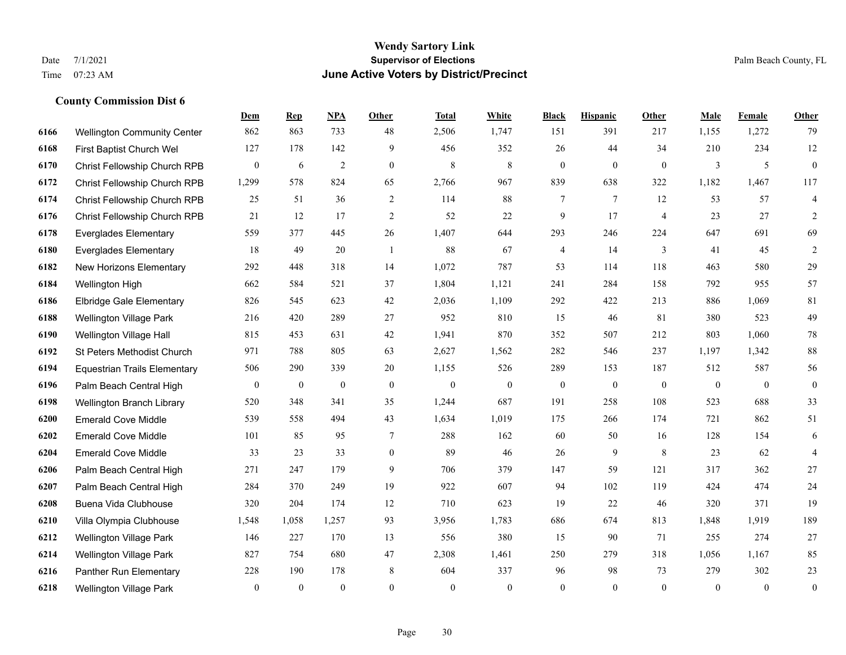#### **Wendy Sartory Link** Date 7/1/2021 **Supervisor of Elections** Palm Beach County, FL Time 07:23 AM **June Active Voters by District/Precinct**

# **Dem Rep NPA Other Total White Black Hispanic Other Male Female Other** Wellington Community Center 862 863 733 48 2,506 1,747 151 391 217 1,155 1,272 79 First Baptist Church Wel 127 178 142 9 456 352 26 44 34 210 234 12 Christ Fellowship Church RPB 0 6 2 0 8 8 0 0 0 3 5 0 Christ Fellowship Church RPB 1,299 578 824 65 2,766 967 839 638 322 1,182 1,467 117 Christ Fellowship Church RPB 25 51 36 2 114 88 7 7 12 53 57 4 Christ Fellowship Church RPB 21 12 17 2 52 22 9 17 4 23 27 2 Everglades Elementary 559 377 445 26 1,407 644 293 246 224 647 691 69 Everglades Elementary 18 49 20 1 88 67 4 14 3 41 45 2 New Horizons Elementary 292 448 318 14 1,072 787 53 114 118 463 580 29 Wellington High 662 584 521 37 1,804 1,121 241 284 158 792 955 57 Elbridge Gale Elementary 826 545 623 42 2,036 1,109 292 422 213 886 1,069 81 Wellington Village Park 216 420 289 27 952 810 15 46 81 380 523 49 Wellington Village Hall 815 453 631 42 1,941 870 352 507 212 803 1,060 78 St Peters Methodist Church 971 788 805 63 2,627 1,562 282 546 237 1,197 1,342 88 Equestrian Trails Elementary 506 290 339 20 1,155 526 289 153 187 512 587 56 Palm Beach Central High 0 0 0 0 0 0 0 0 0 0 0 0 Wellington Branch Library 520 348 341 35 1,244 687 191 258 108 523 688 33 Emerald Cove Middle 539 558 494 43 1,634 1,019 175 266 174 721 862 51 Emerald Cove Middle 101 85 95 7 288 162 60 50 16 128 154 6 Emerald Cove Middle 33 23 33 0 89 46 26 9 8 23 62 4 Palm Beach Central High 271 247 179 9 706 379 147 59 121 317 362 27 Palm Beach Central High 284 370 249 19 922 607 94 102 119 424 474 24 Buena Vida Clubhouse 320 204 174 12 710 623 19 22 46 320 371 19 Villa Olympia Clubhouse 1,548 1,058 1,257 93 3,956 1,783 686 674 813 1,848 1,919 189 Wellington Village Park 146 227 170 13 556 380 15 90 71 255 274 27 Wellington Village Park 827 754 680 47 2,308 1,461 250 279 318 1,056 1,167 85 Panther Run Elementary 228 190 178 8 604 337 96 98 73 279 302 23 Wellington Village Park 0 0 0 0 0 0 0 0 0 0 0 0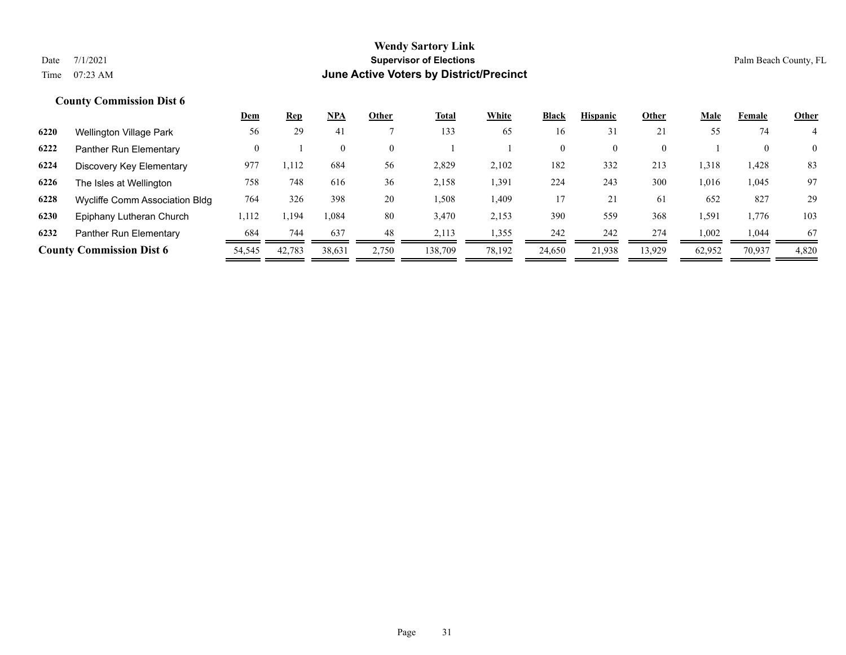|      |                                 | Dem      | <u>Rep</u> | <u>NPA</u> | Other        | <u>Total</u> | White  | <b>Black</b> | <b>Hispanic</b> | Other        | <u>Male</u> | Female       | <b>Other</b>   |
|------|---------------------------------|----------|------------|------------|--------------|--------------|--------|--------------|-----------------|--------------|-------------|--------------|----------------|
| 6220 | Wellington Village Park         | 56       | 29         | 41         |              | 133          | 65     | 16           | 31              | 21           | 55          | 74           |                |
| 6222 | Panther Run Elementary          | $\Omega$ |            |            | $\mathbf{0}$ |              |        | $\mathbf{0}$ |                 | $\mathbf{0}$ |             | $\mathbf{0}$ | $\overline{0}$ |
| 6224 | Discovery Key Elementary        | 977      | 1,112      | 684        | 56           | 2,829        | 2,102  | 182          | 332             | 213          | 1,318       | 1,428        | 83             |
| 6226 | The Isles at Wellington         | 758      | 748        | 616        | 36           | 2,158        | 1,391  | 224          | 243             | 300          | 1,016       | 1,045        | 97             |
| 6228 | Wycliffe Comm Association Bldg  | 764      | 326        | 398        | 20           | 1,508        | 1,409  | 17           | 21              | 61           | 652         | 827          | 29             |
| 6230 | Epiphany Lutheran Church        | 1,112    | .,194      | 1,084      | 80           | 3,470        | 2,153  | 390          | 559             | 368          | 1,591       | 1.776        | 103            |
| 6232 | Panther Run Elementary          | 684      | 744        | 637        | 48           | 2,113        | 1,355  | 242          | 242             | 274          | 1,002       | 1.044        | 67             |
|      | <b>County Commission Dist 6</b> | 54,545   | 42,783     | 38,631     | 2,750        | 138,709      | 78,192 | 24,650       | 21.938          | 13,929       | 62,952      | 70,937       | 4,820          |
|      |                                 |          |            |            |              |              |        |              |                 |              |             |              |                |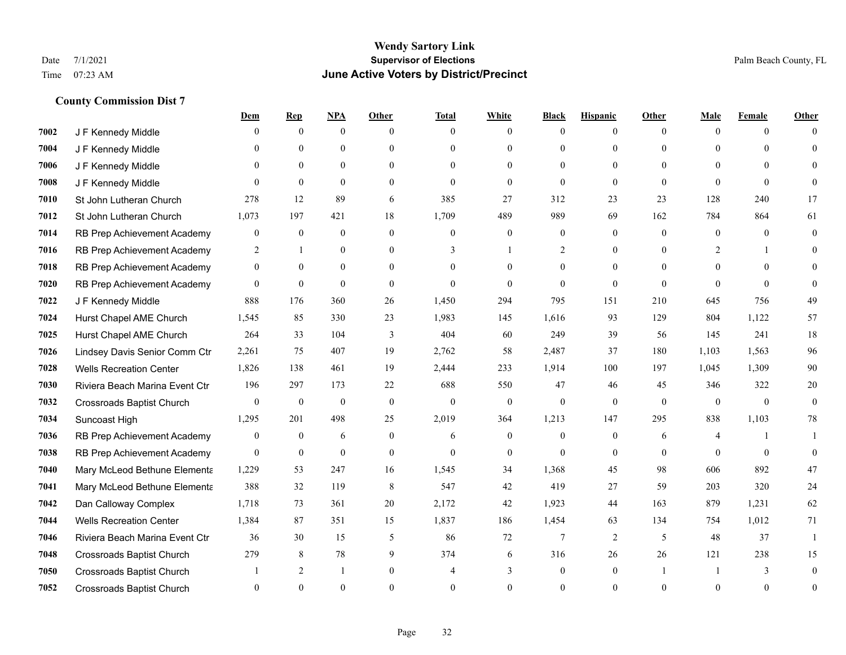|      |                                  | <u>Dem</u>       | <b>Rep</b>       | NPA              | <b>Other</b>     | <b>Total</b>   | <b>White</b>     | <b>Black</b>     | <b>Hispanic</b> | <b>Other</b>   | <b>Male</b>    | <b>Female</b> | <b>Other</b> |
|------|----------------------------------|------------------|------------------|------------------|------------------|----------------|------------------|------------------|-----------------|----------------|----------------|---------------|--------------|
| 7002 | J F Kennedy Middle               | 0                | $\overline{0}$   | $\mathbf{0}$     | $\Omega$         | $\Omega$       | $\overline{0}$   | $\theta$         | $\mathbf{0}$    | $\Omega$       | $\theta$       | $\theta$      | $\Omega$     |
| 7004 | J F Kennedy Middle               | 0                | $\Omega$         | $\theta$         | $\theta$         | $\Omega$       | $\mathbf{0}$     | $\Omega$         | $\theta$        | $\Omega$       | $\theta$       | $\Omega$      | $\Omega$     |
| 7006 | J F Kennedy Middle               | 0                | $\mathbf{0}$     | $\mathbf{0}$     | $\Omega$         | $\Omega$       | $\mathbf{0}$     | $\Omega$         | $\theta$        | $\Omega$       | $\theta$       | $\Omega$      |              |
| 7008 | J F Kennedy Middle               | $\Omega$         | $\mathbf{0}$     | $\mathbf{0}$     | $\overline{0}$   | $\theta$       | $\mathbf{0}$     | $\theta$         | $\theta$        | $\theta$       | $\theta$       | $\mathbf{0}$  | $\Omega$     |
| 7010 | St John Lutheran Church          | 278              | 12               | 89               | 6                | 385            | 27               | 312              | 23              | 23             | 128            | 240           | 17           |
| 7012 | St John Lutheran Church          | 1,073            | 197              | 421              | 18               | 1,709          | 489              | 989              | 69              | 162            | 784            | 864           | 61           |
| 7014 | RB Prep Achievement Academy      | 0                | $\boldsymbol{0}$ | $\mathbf{0}$     | $\mathbf{0}$     | $\overline{0}$ | $\boldsymbol{0}$ | $\boldsymbol{0}$ | $\mathbf{0}$    | $\theta$       | $\mathbf{0}$   | $\Omega$      | $\mathbf{0}$ |
| 7016 | RB Prep Achievement Academy      | 2                | $\mathbf{1}$     | $\theta$         | $\theta$         | 3              | $\mathbf{1}$     | 2                | $\theta$        | $\Omega$       | 2              |               |              |
| 7018 | RB Prep Achievement Academy      | $\overline{0}$   | $\Omega$         | $\mathbf{0}$     | $\theta$         | $\Omega$       | $\theta$         | $\mathbf{0}$     | $\theta$        | $\Omega$       | $\theta$       | $\Omega$      |              |
| 7020 | RB Prep Achievement Academy      | $\overline{0}$   | $\mathbf{0}$     | $\mathbf{0}$     | $\overline{0}$   | $\theta$       | $\mathbf{0}$     | $\theta$         | $\mathbf{0}$    | $\theta$       | $\theta$       | $\Omega$      | $\Omega$     |
| 7022 | J F Kennedy Middle               | 888              | 176              | 360              | 26               | 1,450          | 294              | 795              | 151             | 210            | 645            | 756           | 49           |
| 7024 | Hurst Chapel AME Church          | 1,545            | 85               | 330              | 23               | 1,983          | 145              | 1,616            | 93              | 129            | 804            | 1,122         | 57           |
| 7025 | Hurst Chapel AME Church          | 264              | 33               | 104              | 3                | 404            | 60               | 249              | 39              | 56             | 145            | 241           | 18           |
| 7026 | Lindsey Davis Senior Comm Ctr    | 2,261            | 75               | 407              | 19               | 2,762          | 58               | 2,487            | 37              | 180            | 1,103          | 1,563         | 96           |
| 7028 | <b>Wells Recreation Center</b>   | 1,826            | 138              | 461              | 19               | 2,444          | 233              | 1,914            | 100             | 197            | 1,045          | 1,309         | 90           |
| 7030 | Riviera Beach Marina Event Ctr   | 196              | 297              | 173              | 22               | 688            | 550              | 47               | 46              | 45             | 346            | 322           | 20           |
| 7032 | <b>Crossroads Baptist Church</b> | $\overline{0}$   | $\bf{0}$         | $\boldsymbol{0}$ | $\mathbf{0}$     | $\theta$       | $\boldsymbol{0}$ | $\mathbf{0}$     | $\theta$        | $\mathbf{0}$   | $\overline{0}$ | $\mathbf{0}$  | $\theta$     |
| 7034 | Suncoast High                    | 1,295            | 201              | 498              | 25               | 2,019          | 364              | 1,213            | 147             | 295            | 838            | 1,103         | 78           |
| 7036 | RB Prep Achievement Academy      | $\boldsymbol{0}$ | $\mathbf{0}$     | 6                | $\boldsymbol{0}$ | 6              | $\boldsymbol{0}$ | $\mathbf{0}$     | $\mathbf{0}$    | 6              | 4              |               |              |
| 7038 | RB Prep Achievement Academy      | $\mathbf{0}$     | $\mathbf{0}$     | $\mathbf{0}$     | $\mathbf{0}$     | $\theta$       | $\mathbf{0}$     | $\theta$         | $\Omega$        | $\theta$       | $\theta$       | $\theta$      | $\Omega$     |
| 7040 | Mary McLeod Bethune Elementa     | 1,229            | 53               | 247              | 16               | 1,545          | 34               | 1,368            | 45              | 98             | 606            | 892           | 47           |
| 7041 | Mary McLeod Bethune Elementa     | 388              | 32               | 119              | 8                | 547            | 42               | 419              | 27              | 59             | 203            | 320           | 24           |
| 7042 | Dan Calloway Complex             | 1,718            | 73               | 361              | 20               | 2,172          | 42               | 1,923            | 44              | 163            | 879            | 1,231         | 62           |
| 7044 | <b>Wells Recreation Center</b>   | 1,384            | 87               | 351              | 15               | 1,837          | 186              | 1,454            | 63              | 134            | 754            | 1,012         | 71           |
| 7046 | Riviera Beach Marina Event Ctr   | 36               | 30               | 15               | 5                | 86             | 72               | 7                | $\overline{2}$  | 5              | 48             | 37            | $\mathbf{1}$ |
| 7048 | Crossroads Baptist Church        | 279              | 8                | 78               | 9                | 374            | 6                | 316              | 26              | 26             | 121            | 238           | 15           |
| 7050 | Crossroads Baptist Church        |                  | 2                | 1                | $\overline{0}$   |                | 3                | $\mathbf{0}$     | $\mathbf{0}$    | $\overline{1}$ |                | 3             | $\Omega$     |
| 7052 | <b>Crossroads Baptist Church</b> | $\Omega$         | $\Omega$         | $\theta$         | $\Omega$         | $\Omega$       | $\Omega$         | $\Omega$         | $\Omega$        | $\Omega$       | $\Omega$       | $\theta$      | $\mathbf{0}$ |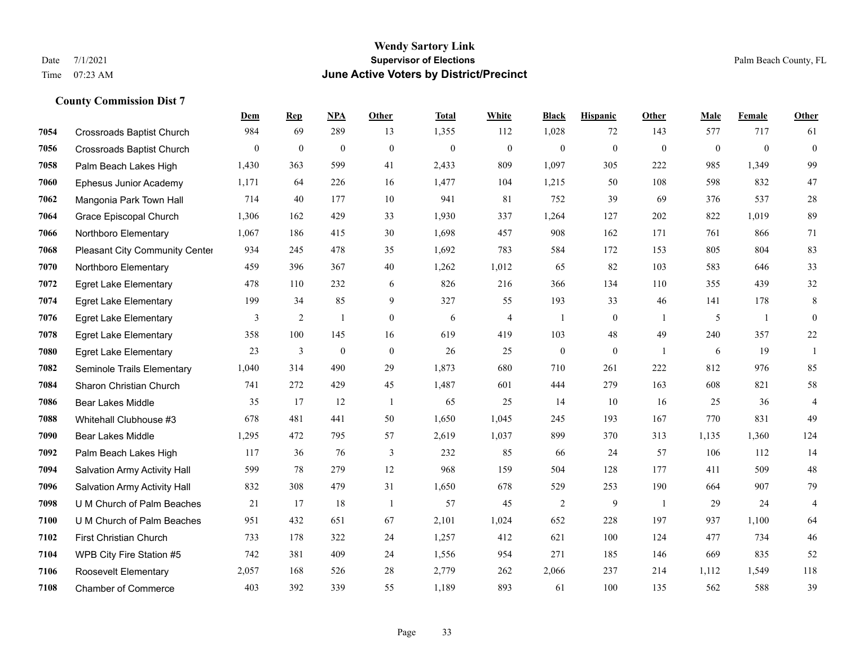#### **Wendy Sartory Link** Date 7/1/2021 **Supervisor of Elections** Palm Beach County, FL Time 07:23 AM **June Active Voters by District/Precinct**

# **Dem Rep NPA Other Total White Black Hispanic Other Male Female Other** Crossroads Baptist Church 984 69 289 13 1,355 112 1,028 72 143 577 717 61 Crossroads Baptist Church 0 0 0 0 0 0 0 0 0 0 0 0 Palm Beach Lakes High 1,430 363 599 41 2,433 809 1,097 305 222 985 1,349 99 Ephesus Junior Academy 1,171 64 226 16 1,477 104 1,215 50 108 598 832 47 Mangonia Park Town Hall 714 40 177 10 941 81 752 39 69 376 537 28 Grace Episcopal Church 1,306 162 429 33 1,930 337 1,264 127 202 822 1,019 89 Northboro Elementary 1,067 186 415 30 1,698 457 908 162 171 761 866 71 Pleasant City Community Center 934 245 478 35 1,692 783 584 172 153 805 804 83 Northboro Elementary 459 396 367 40 1,262 1,012 65 82 103 583 646 33 Egret Lake Elementary 478 110 232 6 826 216 366 134 110 355 439 32 Egret Lake Elementary 199 34 85 9 327 55 193 33 46 141 178 8 Egret Lake Elementary 3 2 1 0 6 4 1 0 1 5 1 0 Egret Lake Elementary 358 100 145 16 619 419 103 48 49 240 357 22 Egret Lake Elementary 23 3 0 0 26 25 0 0 1 6 19 1 Seminole Trails Elementary 1,040 314 490 29 1,873 680 710 261 222 812 976 85 Sharon Christian Church 741 272 429 45 1,487 601 444 279 163 608 821 58 Bear Lakes Middle 35 17 12 1 65 25 14 10 16 25 36 4 Whitehall Clubhouse #3 678 481 441 50 1,650 1,045 245 193 167 770 831 49 Bear Lakes Middle 1,295 472 795 57 2,619 1,037 899 370 313 1,135 1,360 124 Palm Beach Lakes High 117 36 76 3 232 85 66 24 57 106 112 14 Salvation Army Activity Hall 599 78 279 12 968 159 504 128 177 411 509 48 Salvation Army Activity Hall 832 308 479 31 1,650 678 529 253 190 664 907 79 U M Church of Palm Beaches 21 17 18 1 57 45 2 9 1 29 24 4 U M Church of Palm Beaches 951 432 651 67 2,101 1,024 652 228 197 937 1,100 64 First Christian Church 733 178 322 24 1,257 412 621 100 124 477 734 46 WPB City Fire Station #5 742 381 409 24 1,556 954 271 185 146 669 835 52 Roosevelt Elementary 2,057 168 526 28 2,779 262 2,066 237 214 1,112 1,549 118 Chamber of Commerce 403 392 339 55 1,189 893 61 100 135 562 588 39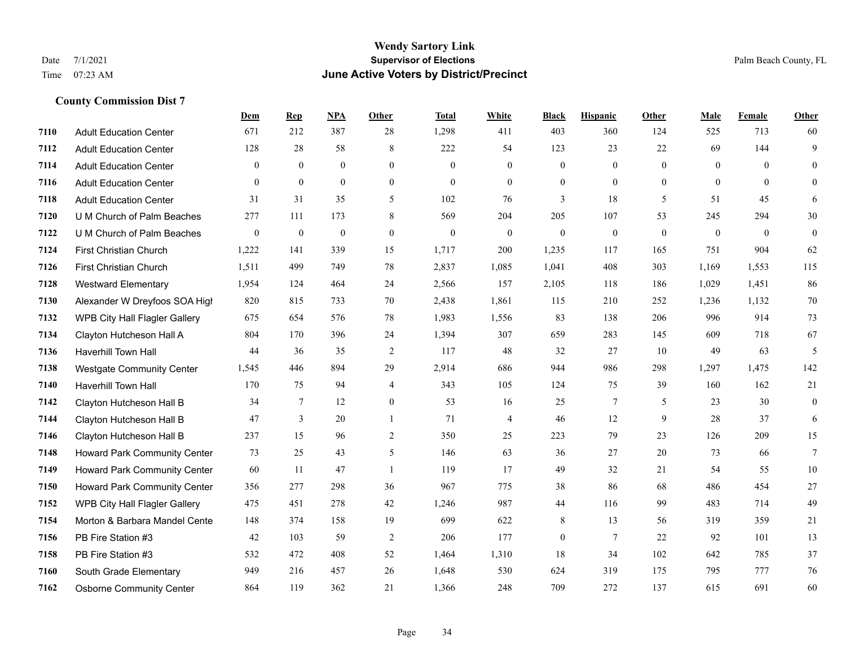### **Wendy Sartory Link** Date 7/1/2021 **Supervisor of Elections** Palm Beach County, FL Time 07:23 AM **June Active Voters by District/Precinct**

# **Dem Rep NPA Other Total White Black Hispanic Other Male Female Other** Adult Education Center 671 212 387 28 1,298 411 403 360 124 525 713 60 Adult Education Center 128 28 58 8 222 54 123 23 22 69 144 9 Adult Education Center 0 0 0 0 0 0 0 0 0 0 0 0 Adult Education Center 0 0 0 0 0 0 0 0 0 0 0 0 Adult Education Center 31 31 35 5 102 76 3 18 5 51 45 6 U M Church of Palm Beaches 277 111 173 8 569 204 205 107 53 245 294 30 U M Church of Palm Beaches 0 0 0 0 0 0 0 0 0 0 0 0 First Christian Church 1,222 141 339 15 1,717 200 1,235 117 165 751 904 62 First Christian Church 1,511 499 749 78 2,837 1,085 1,041 408 303 1,169 1,553 115 Westward Elementary 1,954 124 464 24 2,566 157 2,105 118 186 1,029 1,451 86 Alexander W Dreyfoos SOA High 820 815 733 70 2,438 1,861 115 210 252 1,236 1,132 70 WPB City Hall Flagler Gallery 675 654 576 78 1,983 1,556 83 138 206 996 914 73 Clayton Hutcheson Hall A 804 170 396 24 1,394 307 659 283 145 609 718 67 Haverhill Town Hall 44 36 35 2 117 48 32 27 10 49 63 5 Westgate Community Center 1,545 446 894 29 2,914 686 944 986 298 1,297 1,475 142 Haverhill Town Hall 170 75 94 4 343 105 124 75 39 160 162 21 Clayton Hutcheson Hall B 34 7 12 0 53 16 25 7 5 23 30 0 Clayton Hutcheson Hall B 47 3 20 1 71 4 46 12 9 28 37 6 Clayton Hutcheson Hall B 237 15 96 2 350 25 223 79 23 126 209 15 Howard Park Community Center 73 25 43 5 146 63 36 27 20 73 66 7 Howard Park Community Center 60 11 47 1 119 17 49 32 21 54 55 10 Howard Park Community Center 356 277 298 36 967 775 38 86 68 486 454 27 WPB City Hall Flagler Gallery 475 451 278 42 1,246 987 44 116 99 483 714 49 Morton & Barbara Mandel Center 148 374 158 19 699 622 8 13 56 319 359 21 PB Fire Station #3 42 103 59 2 206 177 0 7 22 92 101 13 PB Fire Station #3 532 472 408 52 1,464 1,310 18 34 102 642 785 37 South Grade Elementary 949 216 457 26 1,648 530 624 319 175 795 777 76 Osborne Community Center 864 119 362 21 1,366 248 709 272 137 615 691 60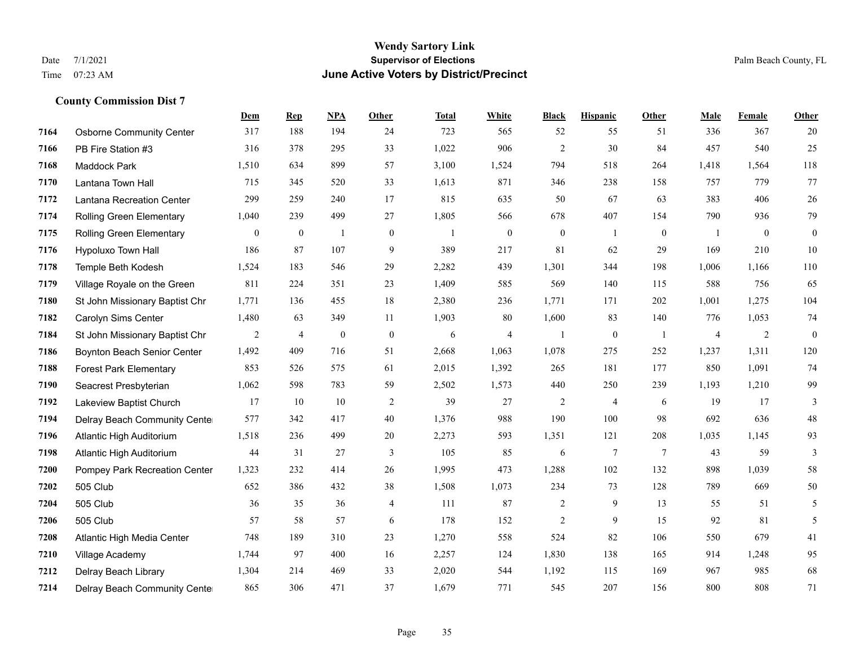#### **Wendy Sartory Link** Date 7/1/2021 **Supervisor of Elections** Palm Beach County, FL Time 07:23 AM **June Active Voters by District/Precinct**

# **Dem Rep NPA Other Total White Black Hispanic Other Male Female Other** Osborne Community Center 317 188 194 24 723 565 52 55 51 336 367 20 PB Fire Station #3 316 378 295 33 1,022 906 2 30 84 457 540 25 Maddock Park 1,510 634 899 57 3,100 1,524 794 518 264 1,418 1,564 118 Lantana Town Hall 715 345 520 33 1,613 871 346 238 158 757 779 77 Lantana Recreation Center 299 259 240 17 815 635 50 67 63 383 406 26 Rolling Green Elementary 1,040 239 499 27 1,805 566 678 407 154 790 936 79 Rolling Green Elementary 0 0 1 0 1 0 0 1 0 1 0 0 Hypoluxo Town Hall 186 87 107 9 389 217 81 62 29 169 210 10 Temple Beth Kodesh 1,524 183 546 29 2,282 439 1,301 344 198 1,006 1,166 110 Village Royale on the Green 811 224 351 23 1,409 585 569 140 115 588 756 65 St John Missionary Baptist Chr 1,771 136 455 18 2,380 236 1,771 171 202 1,001 1,275 104 Carolyn Sims Center 1,480 63 349 11 1,903 80 1,600 83 140 776 1,053 74 St John Missionary Baptist Chr 2 4 0 0 6 4 1 0 1 4 2 0 Boynton Beach Senior Center 1,492 409 716 51 2,668 1,063 1,078 275 252 1,237 1,311 120 Forest Park Elementary 853 526 575 61 2,015 1,392 265 181 177 850 1,091 74 Seacrest Presbyterian 1,062 598 783 59 2,502 1,573 440 250 239 1,193 1,210 99 Lakeview Baptist Church 17 10 10 2 39 27 2 4 6 19 17 3 Delray Beach Community Center 577 342 417 40 1,376 988 190 100 98 692 636 48 Atlantic High Auditorium 1,518 236 499 20 2,273 593 1,351 121 208 1,035 1,145 93 Atlantic High Auditorium 44 31 27 3 105 85 6 7 7 43 59 3 Pompey Park Recreation Center 1,323 232 414 26 1,995 473 1,288 102 132 898 1,039 58 505 Club 652 386 432 38 1,508 1,073 234 73 128 789 669 50 505 Club 36 35 36 4 111 87 2 9 13 55 51 5 505 Club 57 58 57 6 178 152 2 9 15 92 81 5 Atlantic High Media Center 748 189 310 23 1,270 558 524 82 106 550 679 41 Village Academy 1,744 97 400 16 2,257 124 1,830 138 165 914 1,248 95 Delray Beach Library 1,304 214 469 33 2,020 544 1,192 115 169 967 985 68 Delray Beach Community Center 865 306 471 37 1,679 771 545 207 156 800 808 71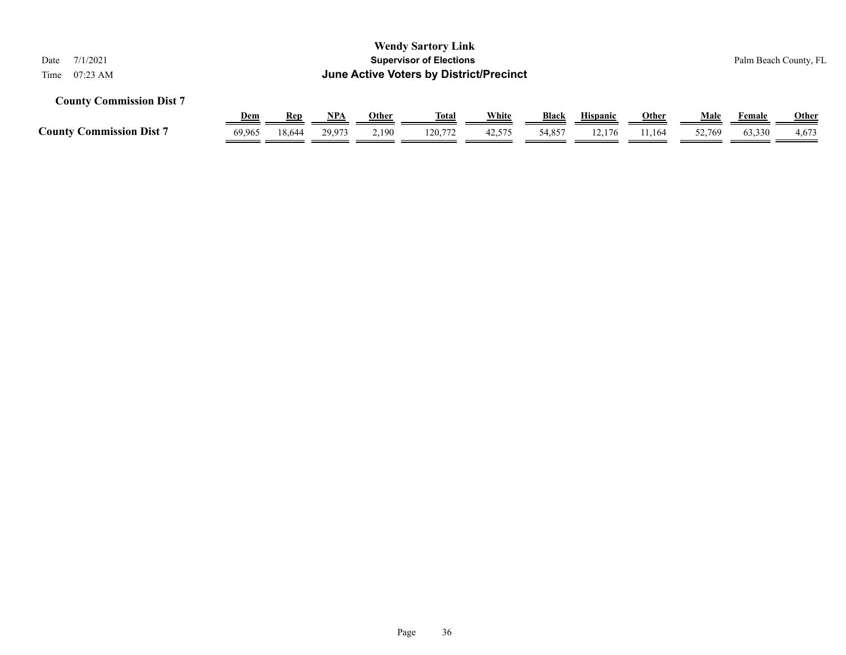| <b>Wendy Sartory Link</b><br><b>Supervisor of Elections</b><br>7/1/2021<br>Date<br>June Active Voters by District/Precinct<br>$07:23 \text{ AM}$<br>Time |            |            |        |              |              |        |              |                 |              |        | Palm Beach County, FL |              |  |
|----------------------------------------------------------------------------------------------------------------------------------------------------------|------------|------------|--------|--------------|--------------|--------|--------------|-----------------|--------------|--------|-----------------------|--------------|--|
| <b>County Commission Dist 7</b>                                                                                                                          |            |            |        |              |              |        |              |                 |              |        |                       |              |  |
|                                                                                                                                                          | <u>Dem</u> | <b>Rep</b> | NPA    | <u>Other</u> | <u>Total</u> | White  | <b>Black</b> | <b>Hispanic</b> | <b>Other</b> | Male   | Female                | <b>Other</b> |  |
| <b>County Commission Dist 7</b>                                                                                                                          | 69.965     | 18.644     | 29.973 | 2,190        | 120.772      | 42,575 | 54,857       | 12.176          | 11.164       | 52,769 | 63,330                | 4,673        |  |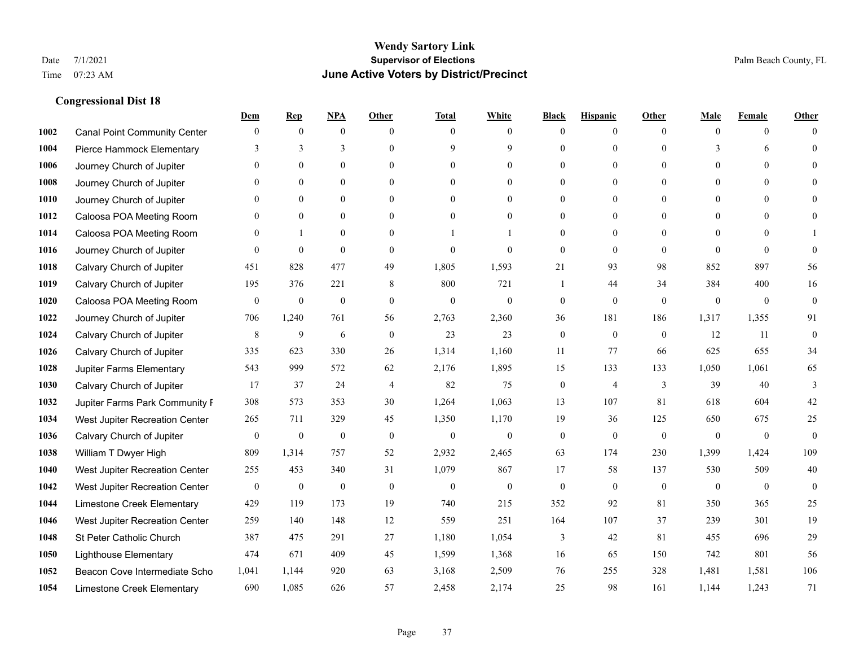|      |                                     | Dem              | <b>Rep</b>       | NPA              | <b>Other</b>   | <b>Total</b>     | <b>White</b>     | <b>Black</b>     | <b>Hispanic</b>  | <b>Other</b> | <b>Male</b>      | <b>Female</b>  | <b>Other</b>     |
|------|-------------------------------------|------------------|------------------|------------------|----------------|------------------|------------------|------------------|------------------|--------------|------------------|----------------|------------------|
| 1002 | <b>Canal Point Community Center</b> | $\mathbf{0}$     | $\mathbf{0}$     | $\mathbf{0}$     | $\theta$       | $\theta$         | $\overline{0}$   | $\Omega$         | $\overline{0}$   | $\theta$     | $\mathbf{0}$     | $\overline{0}$ | $\Omega$         |
| 1004 | Pierce Hammock Elementary           | 3                | 3                | 3                | $\theta$       | 9                | 9                | $\theta$         | $\overline{0}$   | $\Omega$     | 3                | 6              | $\theta$         |
| 1006 | Journey Church of Jupiter           | $\Omega$         | $\theta$         | $\theta$         | $\Omega$       | $\Omega$         | $\theta$         | 0                | $\Omega$         | $\Omega$     | $\Omega$         | $\Omega$       | $\Omega$         |
| 1008 | Journey Church of Jupiter           |                  | $\mathbf{0}$     | $\overline{0}$   | $\mathbf{0}$   | $\mathbf{0}$     | $\overline{0}$   | $\theta$         | $\overline{0}$   | $\theta$     | $\mathbf{0}$     | $\Omega$       |                  |
| 1010 | Journey Church of Jupiter           | $\theta$         | $\theta$         | $\theta$         | $\theta$       | $\theta$         | $\overline{0}$   | 0                | $\overline{0}$   | $\Omega$     | $\theta$         | $\theta$       | $\Omega$         |
| 1012 | Caloosa POA Meeting Room            | $\theta$         | $\mathbf{0}$     | $\mathbf{0}$     | $\theta$       | $\theta$         | $\overline{0}$   | $\theta$         | $\overline{0}$   | $\Omega$     | $\overline{0}$   | $\Omega$       | $\Omega$         |
| 1014 | Caloosa POA Meeting Room            | $\Omega$         | $\mathbf{1}$     | $\mathbf{0}$     | $\mathbf{0}$   |                  |                  | $\theta$         | $\mathbf{0}$     | $\theta$     | $\overline{0}$   | $\Omega$       |                  |
| 1016 | Journey Church of Jupiter           | $\Omega$         | $\mathbf{0}$     | $\theta$         | $\theta$       | $\mathbf{0}$     | $\theta$         | $\mathbf{0}$     | $\overline{0}$   | $\Omega$     | $\Omega$         | $\Omega$       | $\theta$         |
| 1018 | Calvary Church of Jupiter           | 451              | 828              | 477              | 49             | 1,805            | 1,593            | 21               | 93               | 98           | 852              | 897            | 56               |
| 1019 | Calvary Church of Jupiter           | 195              | 376              | 221              | 8              | 800              | 721              | $\mathbf{1}$     | 44               | 34           | 384              | 400            | 16               |
| 1020 | Caloosa POA Meeting Room            | $\mathbf{0}$     | $\boldsymbol{0}$ | $\boldsymbol{0}$ | $\mathbf{0}$   | $\mathbf{0}$     | $\overline{0}$   | $\boldsymbol{0}$ | $\overline{0}$   | $\theta$     | $\mathbf{0}$     | $\overline{0}$ | $\boldsymbol{0}$ |
| 1022 | Journey Church of Jupiter           | 706              | 1,240            | 761              | 56             | 2,763            | 2,360            | 36               | 181              | 186          | 1,317            | 1,355          | 91               |
| 1024 | Calvary Church of Jupiter           | 8                | 9                | 6                | $\mathbf{0}$   | 23               | 23               | $\mathbf{0}$     | $\mathbf{0}$     | $\theta$     | 12               | 11             | $\mathbf{0}$     |
| 1026 | Calvary Church of Jupiter           | 335              | 623              | 330              | 26             | 1,314            | 1,160            | 11               | 77               | 66           | 625              | 655            | 34               |
| 1028 | Jupiter Farms Elementary            | 543              | 999              | 572              | 62             | 2,176            | 1,895            | 15               | 133              | 133          | 1,050            | 1,061          | 65               |
| 1030 | Calvary Church of Jupiter           | 17               | 37               | 24               | $\overline{4}$ | 82               | 75               | $\overline{0}$   | 4                | 3            | 39               | 40             | 3                |
| 1032 | Jupiter Farms Park Community I      | 308              | 573              | 353              | 30             | 1,264            | 1,063            | 13               | 107              | 81           | 618              | 604            | 42               |
| 1034 | West Jupiter Recreation Center      | 265              | 711              | 329              | 45             | 1,350            | 1,170            | 19               | 36               | 125          | 650              | 675            | 25               |
| 1036 | Calvary Church of Jupiter           | $\boldsymbol{0}$ | $\boldsymbol{0}$ | $\boldsymbol{0}$ | $\mathbf{0}$   | $\boldsymbol{0}$ | $\mathbf{0}$     | $\boldsymbol{0}$ | $\overline{0}$   | $\mathbf{0}$ | $\mathbf{0}$     | $\mathbf{0}$   | $\mathbf{0}$     |
| 1038 | William T Dwyer High                | 809              | 1,314            | 757              | 52             | 2,932            | 2,465            | 63               | 174              | 230          | 1,399            | 1,424          | 109              |
| 1040 | West Jupiter Recreation Center      | 255              | 453              | 340              | 31             | 1,079            | 867              | 17               | 58               | 137          | 530              | 509            | 40               |
| 1042 | West Jupiter Recreation Center      | $\boldsymbol{0}$ | $\boldsymbol{0}$ | $\boldsymbol{0}$ | $\mathbf{0}$   | $\boldsymbol{0}$ | $\boldsymbol{0}$ | $\boldsymbol{0}$ | $\boldsymbol{0}$ | $\mathbf{0}$ | $\boldsymbol{0}$ | $\overline{0}$ | $\mathbf{0}$     |
| 1044 | Limestone Creek Elementary          | 429              | 119              | 173              | 19             | 740              | 215              | 352              | 92               | 81           | 350              | 365            | 25               |
| 1046 | West Jupiter Recreation Center      | 259              | 140              | 148              | 12             | 559              | 251              | 164              | 107              | 37           | 239              | 301            | 19               |
| 1048 | St Peter Catholic Church            | 387              | 475              | 291              | 27             | 1,180            | 1,054            | $\mathfrak{Z}$   | 42               | 81           | 455              | 696            | $29\,$           |
| 1050 | <b>Lighthouse Elementary</b>        | 474              | 671              | 409              | 45             | 1,599            | 1,368            | 16               | 65               | 150          | 742              | 801            | 56               |
| 1052 | Beacon Cove Intermediate Scho       | 1,041            | 1,144            | 920              | 63             | 3,168            | 2,509            | 76               | 255              | 328          | 1,481            | 1,581          | 106              |
| 1054 | Limestone Creek Elementary          | 690              | 1,085            | 626              | 57             | 2,458            | 2,174            | 25               | 98               | 161          | 1,144            | 1,243          | 71               |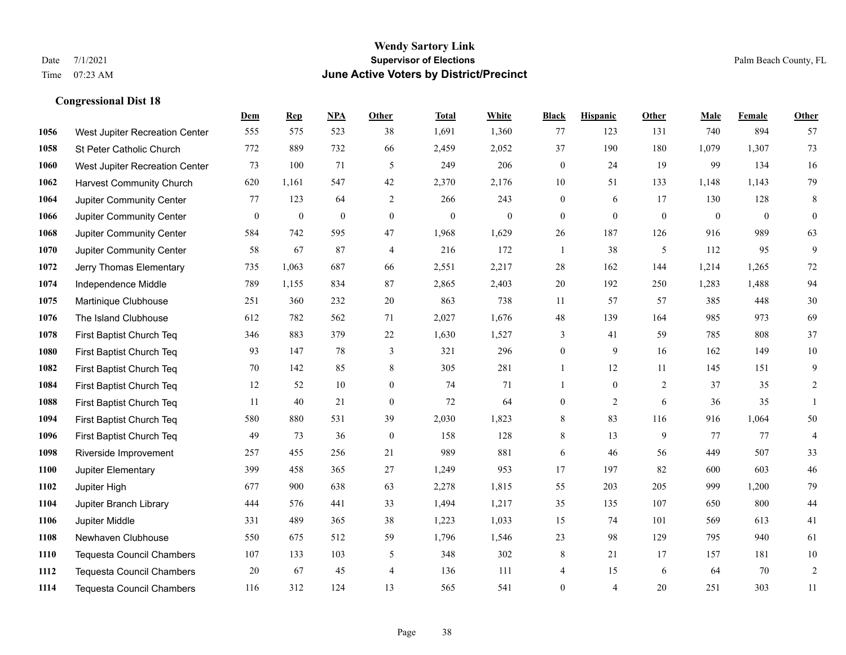|      |                                  | Dem          | <b>Rep</b>       | NPA              | <b>Other</b>     | <b>Total</b> | <b>White</b>     | <b>Black</b>     | <b>Hispanic</b> | <b>Other</b>   | <b>Male</b>    | Female         | Other          |
|------|----------------------------------|--------------|------------------|------------------|------------------|--------------|------------------|------------------|-----------------|----------------|----------------|----------------|----------------|
| 1056 | West Jupiter Recreation Center   | 555          | 575              | 523              | 38               | 1,691        | 1,360            | 77               | 123             | 131            | 740            | 894            | 57             |
| 1058 | St Peter Catholic Church         | 772          | 889              | 732              | 66               | 2,459        | 2,052            | 37               | 190             | 180            | 1,079          | 1,307          | 73             |
| 1060 | West Jupiter Recreation Center   | 73           | 100              | 71               | 5                | 249          | 206              | $\boldsymbol{0}$ | 24              | 19             | 99             | 134            | 16             |
| 1062 | <b>Harvest Community Church</b>  | 620          | 1,161            | 547              | 42               | 2,370        | 2,176            | 10               | 51              | 133            | 1,148          | 1,143          | 79             |
| 1064 | Jupiter Community Center         | 77           | 123              | 64               | 2                | 266          | 243              | $\boldsymbol{0}$ | 6               | 17             | 130            | 128            | 8              |
| 1066 | Jupiter Community Center         | $\mathbf{0}$ | $\boldsymbol{0}$ | $\boldsymbol{0}$ | $\mathbf{0}$     | $\mathbf{0}$ | $\boldsymbol{0}$ | $\boldsymbol{0}$ | $\mathbf{0}$    | $\overline{0}$ | $\overline{0}$ | $\overline{0}$ | $\overline{0}$ |
| 1068 | Jupiter Community Center         | 584          | 742              | 595              | 47               | 1,968        | 1,629            | 26               | 187             | 126            | 916            | 989            | 63             |
| 1070 | Jupiter Community Center         | 58           | 67               | 87               | $\overline{4}$   | 216          | 172              | -1               | 38              | 5              | 112            | 95             | 9              |
| 1072 | Jerry Thomas Elementary          | 735          | 1,063            | 687              | 66               | 2,551        | 2,217            | 28               | 162             | 144            | 1,214          | 1,265          | $72\,$         |
| 1074 | Independence Middle              | 789          | 1,155            | 834              | 87               | 2,865        | 2,403            | 20               | 192             | 250            | 1,283          | 1,488          | 94             |
| 1075 | Martinique Clubhouse             | 251          | 360              | 232              | 20               | 863          | 738              | 11               | 57              | 57             | 385            | 448            | $30\,$         |
| 1076 | The Island Clubhouse             | 612          | 782              | 562              | 71               | 2,027        | 1,676            | 48               | 139             | 164            | 985            | 973            | 69             |
| 1078 | First Baptist Church Teq         | 346          | 883              | 379              | $22\,$           | 1,630        | 1,527            | 3                | 41              | 59             | 785            | 808            | 37             |
| 1080 | First Baptist Church Teq         | 93           | 147              | 78               | 3                | 321          | 296              | $\boldsymbol{0}$ | 9               | 16             | 162            | 149            | $10\,$         |
| 1082 | First Baptist Church Teq         | 70           | 142              | 85               | 8                | 305          | 281              |                  | 12              | 11             | 145            | 151            | 9              |
| 1084 | First Baptist Church Teq         | 12           | 52               | 10               | $\overline{0}$   | 74           | 71               |                  | $\mathbf{0}$    | 2              | 37             | 35             | 2              |
| 1088 | First Baptist Church Teq         | 11           | 40               | 21               | $\overline{0}$   | 72           | 64               | $\mathbf{0}$     | 2               | 6              | 36             | 35             | $\mathbf{1}$   |
| 1094 | First Baptist Church Teq         | 580          | 880              | 531              | 39               | 2,030        | 1,823            | 8                | 83              | 116            | 916            | 1,064          | 50             |
| 1096 | First Baptist Church Teq         | 49           | 73               | 36               | $\boldsymbol{0}$ | 158          | 128              | $\,8\,$          | 13              | 9              | 77             | 77             | $\overline{4}$ |
| 1098 | Riverside Improvement            | 257          | 455              | 256              | 21               | 989          | 881              | 6                | 46              | 56             | 449            | 507            | 33             |
| 1100 | Jupiter Elementary               | 399          | 458              | 365              | 27               | 1,249        | 953              | 17               | 197             | 82             | 600            | 603            | 46             |
| 1102 | Jupiter High                     | 677          | 900              | 638              | 63               | 2,278        | 1,815            | 55               | 203             | 205            | 999            | 1,200          | 79             |
| 1104 | Jupiter Branch Library           | 444          | 576              | 441              | 33               | 1,494        | 1,217            | 35               | 135             | 107            | 650            | 800            | 44             |
| 1106 | Jupiter Middle                   | 331          | 489              | 365              | 38               | 1,223        | 1,033            | 15               | 74              | 101            | 569            | 613            | 41             |
| 1108 | Newhaven Clubhouse               | 550          | 675              | 512              | 59               | 1,796        | 1,546            | 23               | 98              | 129            | 795            | 940            | 61             |
| 1110 | Tequesta Council Chambers        | 107          | 133              | 103              | 5                | 348          | 302              | $\,8\,$          | 21              | 17             | 157            | 181            | $10\,$         |
| 1112 | <b>Tequesta Council Chambers</b> | 20           | 67               | 45               | $\overline{4}$   | 136          | 111              | 4                | 15              | 6              | 64             | 70             | $\sqrt{2}$     |
| 1114 | Tequesta Council Chambers        | 116          | 312              | 124              | 13               | 565          | 541              | $\boldsymbol{0}$ | $\overline{4}$  | 20             | 251            | 303            | 11             |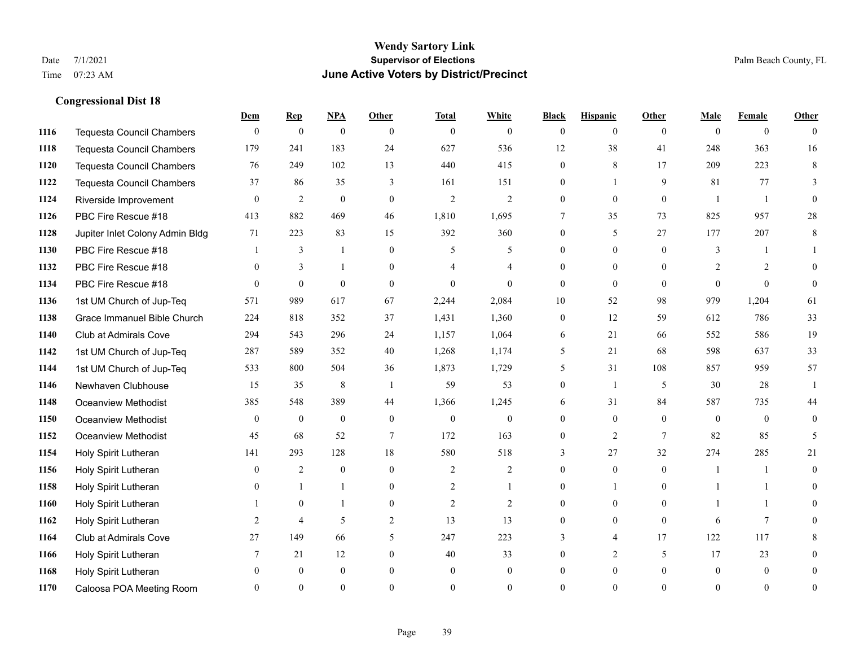### **Wendy Sartory Link** Date 7/1/2021 **Supervisor of Elections** Palm Beach County, FL Time 07:23 AM **June Active Voters by District/Precinct**

# **Dem Rep NPA Other Total White Black Hispanic Other Male Female Other** Tequesta Council Chambers 0 0 0 0 0 0 0 0 0 0 0 0 Tequesta Council Chambers 179 241 183 24 627 536 12 38 41 248 363 16 Tequesta Council Chambers 76 249 102 13 440 415 0 8 17 209 223 8 Tequesta Council Chambers 37 86 35 3 161 151 0 1 9 81 77 3 Riverside Improvement 0 0 2 0 0 2 2 2 0 0 0 0 1 1 0 PBC Fire Rescue #18 413 882 469 46 1,810 1,695 7 35 73 825 957 28 Jupiter Inlet Colony Admin Bldg 71 223 83 15 392 360 0 5 27 177 207 8 PBC Fire Rescue #18 **1** 3 1 0 5 5 0 0 0 3 1 1 **1132 PBC Fire Rescue #18** 0 3 1 0 4 4 0 0 0 2 2 0 PBC Fire Rescue #18 0 0 0 0 0 0 0 0 0 0 0 0 1st UM Church of Jup-Teq 571 989 617 67 2,244 2,084 10 52 98 979 1,204 61 Grace Immanuel Bible Church 224 818 352 37 1,431 1,360 0 12 59 612 786 33 Club at Admirals Cove 294 543 296 24 1,157 1,064 6 21 66 552 586 19 1st UM Church of Jup-Teq 287 589 352 40 1,268 1,174 5 21 68 598 637 33 1st UM Church of Jup-Teq 533 800 504 36 1,873 1,729 5 31 108 857 959 57 Newhaven Clubhouse 15 15 35 8 1 59 53 0 1 5 30 28 1 Oceanview Methodist 385 548 389 44 1,366 1,245 6 31 84 587 735 44 Oceanview Methodist 0 0 0 0 0 0 0 0 0 0 0 0 Oceanview Methodist 45 68 52 7 172 163 0 2 7 82 85 5 Holy Spirit Lutheran 141 293 128 18 580 518 3 27 32 274 285 21 Holy Spirit Lutheran **0** 2 0 0 2 2 2 0 0 0 1 1 0 Holy Spirit Lutheran **0** 1 1 0 2 1 0 1 0 1 1 0 Holy Spirit Lutheran 1 0 1 0 2 2 0 0 0 1 1 0 Holy Spirit Lutheran **2** 4 5 2 13 13 0 0 0 6 7 0 Club at Admirals Cove 27 149 66 5 247 223 3 4 17 122 117 8 Holy Spirit Lutheran **7** 21 12 0 40 33 0 2 5 17 23 0 Holy Spirit Lutheran 0 0 0 0 0 0 0 0 0 0 0 0

Caloosa POA Meeting Room 0 0 0 0 0 0 0 0 0 0 0 0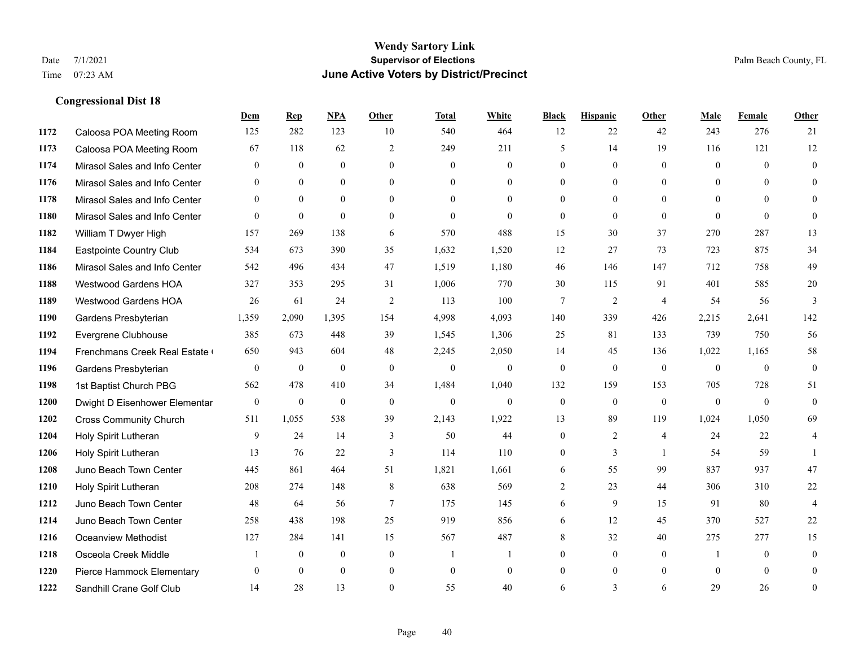### **Wendy Sartory Link** Date 7/1/2021 **Supervisor of Elections** Palm Beach County, FL Time 07:23 AM **June Active Voters by District/Precinct**

# **Dem Rep NPA Other Total White Black Hispanic Other Male Female Other** Caloosa POA Meeting Room 125 282 123 10 540 464 12 22 42 243 276 21 Caloosa POA Meeting Room 67 118 62 2 249 211 5 14 19 116 121 12 Mirasol Sales and Info Center 0 0 0 0 0 0 0 0 0 0 0 0 Mirasol Sales and Info Center 0 0 0 0 0 0 0 0 0 0 0 0 Mirasol Sales and Info Center 0 0 0 0 0 0 0 0 0 0 0 0 Mirasol Sales and Info Center 0 0 0 0 0 0 0 0 0 0 0 0 William T Dwyer High 157 269 138 6 570 488 15 30 37 270 287 13 Eastpointe Country Club 534 673 390 35 1,632 1,520 12 27 73 723 875 34 Mirasol Sales and Info Center 542 496 434 47 1,519 1,180 46 146 147 712 758 49 Westwood Gardens HOA 327 353 295 31 1,006 770 30 115 91 401 585 20 Westwood Gardens HOA 26 61 24 2 113 100 7 2 4 54 56 3 Gardens Presbyterian 1,359 2,090 1,395 154 4,998 4,093 140 339 426 2,215 2,641 142 Evergrene Clubhouse 385 673 448 39 1,545 1,306 25 81 133 739 750 56 1194 Frenchmans Creek Real Estate 650 943 604 48 2,245 2,050 14 45 136 1,022 1,165 58 Gardens Presbyterian 0 0 0 0 0 0 0 0 0 0 0 0 1st Baptist Church PBG 562 478 410 34 1,484 1,040 132 159 153 705 728 51 Dwight D Eisenhower Elementary 0 0 0 0 0 0 0 0 0 0 0 0 Cross Community Church 511 1,055 538 39 2,143 1,922 13 89 119 1,024 1,050 69 Holy Spirit Lutheran 9 24 14 3 50 44 0 2 4 24 22 4 Holy Spirit Lutheran 13 76 22 3 114 110 0 3 1 54 59 1 Juno Beach Town Center 445 861 464 51 1,821 1,661 6 55 99 837 937 47 Holy Spirit Lutheran 208 274 148 8 638 569 2 23 44 306 310 22 Juno Beach Town Center 48 64 56 7 175 145 6 9 15 91 80 4 Juno Beach Town Center 258 438 198 25 919 856 6 12 45 370 527 22 Oceanview Methodist 127 284 141 15 567 487 8 32 40 275 277 15 Osceola Creek Middle  $\begin{array}{cccccccc} 1 & 0 & 0 & 0 & 1 & 1 & 0 & 0 & 0 \end{array}$  Pierce Hammock Elementary 0 0 0 0 0 0 0 0 0 0 0 0 Sandhill Crane Golf Club 14 28 13 0 55 40 6 3 6 29 26 0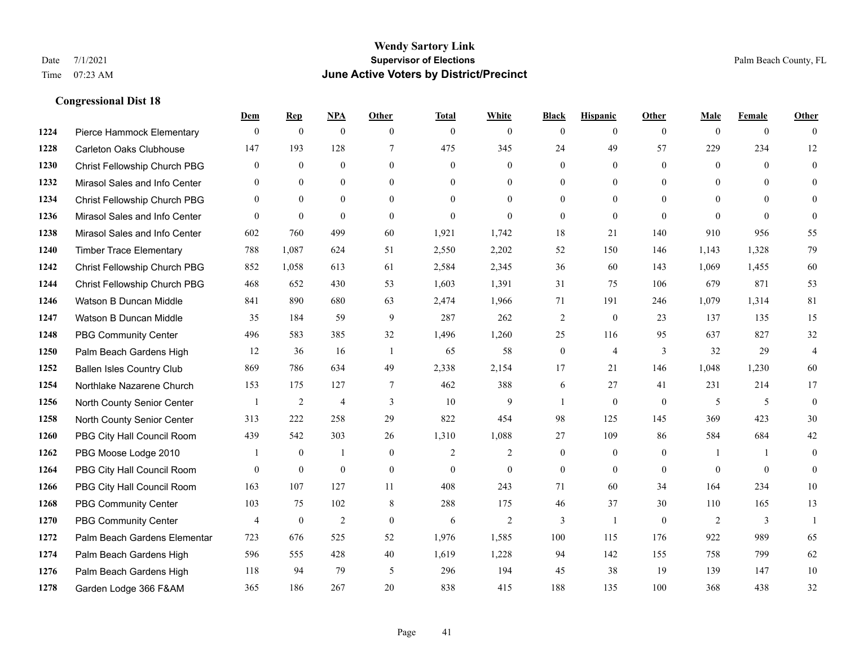|      |                                  | Dem            | <b>Rep</b>       | NPA              | <b>Other</b>   | <b>Total</b>   | <b>White</b>   | <b>Black</b>     | <b>Hispanic</b> | <b>Other</b>   | <b>Male</b>  | <b>Female</b>  | <b>Other</b>   |
|------|----------------------------------|----------------|------------------|------------------|----------------|----------------|----------------|------------------|-----------------|----------------|--------------|----------------|----------------|
| 1224 | Pierce Hammock Elementary        | $\mathbf{0}$   | $\mathbf{0}$     | $\boldsymbol{0}$ | $\theta$       | $\mathbf{0}$   | $\overline{0}$ | $\mathbf{0}$     | $\overline{0}$  | $\theta$       | $\mathbf{0}$ | $\overline{0}$ | $\theta$       |
| 1228 | <b>Carleton Oaks Clubhouse</b>   | 147            | 193              | 128              | $\tau$         | 475            | 345            | 24               | 49              | 57             | 229          | 234            | 12             |
| 1230 | Christ Fellowship Church PBG     | $\theta$       | $\mathbf{0}$     | $\theta$         | $\Omega$       | $\theta$       | $\Omega$       | $\theta$         | $\theta$        | $\Omega$       | $\theta$     | $\theta$       | $\theta$       |
| 1232 | Mirasol Sales and Info Center    | $\mathbf{0}$   | $\boldsymbol{0}$ | $\mathbf{0}$     | $\mathbf{0}$   | $\mathbf{0}$   | $\overline{0}$ | $\boldsymbol{0}$ | $\mathbf{0}$    | $\overline{0}$ | $\mathbf{0}$ | $\theta$       | $\theta$       |
| 1234 | Christ Fellowship Church PBG     | $\theta$       | $\mathbf{0}$     | $\overline{0}$   | $\theta$       | $\Omega$       | $\theta$       | $\mathbf{0}$     | $\overline{0}$  | $\theta$       | $\theta$     | $\theta$       | $\theta$       |
| 1236 | Mirasol Sales and Info Center    | $\theta$       | $\mathbf{0}$     | $\mathbf{0}$     | $\Omega$       | $\mathbf{0}$   | $\theta$       | $\mathbf{0}$     | $\theta$        | $\Omega$       | $\theta$     | $\theta$       | $\theta$       |
| 1238 | Mirasol Sales and Info Center    | 602            | 760              | 499              | 60             | 1,921          | 1,742          | 18               | 21              | 140            | 910          | 956            | 55             |
| 1240 | <b>Timber Trace Elementary</b>   | 788            | 1,087            | 624              | 51             | 2,550          | 2,202          | 52               | 150             | 146            | 1,143        | 1,328          | 79             |
| 1242 | Christ Fellowship Church PBG     | 852            | 1,058            | 613              | 61             | 2,584          | 2,345          | 36               | 60              | 143            | 1,069        | 1,455          | 60             |
| 1244 | Christ Fellowship Church PBG     | 468            | 652              | 430              | 53             | 1,603          | 1,391          | 31               | 75              | 106            | 679          | 871            | 53             |
| 1246 | Watson B Duncan Middle           | 841            | 890              | 680              | 63             | 2,474          | 1,966          | 71               | 191             | 246            | 1,079        | 1,314          | 81             |
| 1247 | Watson B Duncan Middle           | 35             | 184              | 59               | 9              | 287            | 262            | $\sqrt{2}$       | $\mathbf{0}$    | 23             | 137          | 135            | 15             |
| 1248 | <b>PBG Community Center</b>      | 496            | 583              | 385              | 32             | 1,496          | 1,260          | 25               | 116             | 95             | 637          | 827            | 32             |
| 1250 | Palm Beach Gardens High          | 12             | 36               | 16               | -1             | 65             | 58             | $\boldsymbol{0}$ | $\overline{4}$  | 3              | 32           | 29             | $\overline{4}$ |
| 1252 | <b>Ballen Isles Country Club</b> | 869            | 786              | 634              | 49             | 2,338          | 2,154          | 17               | 21              | 146            | 1,048        | 1,230          | 60             |
| 1254 | Northlake Nazarene Church        | 153            | 175              | 127              | $\overline{7}$ | 462            | 388            | 6                | 27              | 41             | 231          | 214            | 17             |
| 1256 | North County Senior Center       |                | $\sqrt{2}$       | $\overline{4}$   | 3              | 10             | 9              | 1                | $\mathbf{0}$    | $\theta$       | 5            | 5              | $\mathbf{0}$   |
| 1258 | North County Senior Center       | 313            | 222              | 258              | 29             | 822            | 454            | 98               | 125             | 145            | 369          | 423            | 30             |
| 1260 | PBG City Hall Council Room       | 439            | 542              | 303              | 26             | 1,310          | 1,088          | 27               | 109             | 86             | 584          | 684            | $42\,$         |
| 1262 | PBG Moose Lodge 2010             |                | $\mathbf{0}$     | 1                | $\mathbf{0}$   | $\overline{2}$ | $\overline{c}$ | $\mathbf{0}$     | $\mathbf{0}$    | $\mathbf{0}$   | -1           | $\mathbf{1}$   | $\theta$       |
| 1264 | PBG City Hall Council Room       | $\theta$       | $\mathbf{0}$     | $\mathbf{0}$     | $\theta$       | $\theta$       | $\overline{0}$ | $\mathbf{0}$     | $\theta$        | $\Omega$       | $\Omega$     | $\theta$       | $\theta$       |
| 1266 | PBG City Hall Council Room       | 163            | 107              | 127              | 11             | 408            | 243            | 71               | 60              | 34             | 164          | 234            | 10             |
| 1268 | <b>PBG Community Center</b>      | 103            | 75               | 102              | 8              | 288            | 175            | 46               | 37              | 30             | 110          | 165            | 13             |
| 1270 | <b>PBG Community Center</b>      | $\overline{4}$ | $\mathbf{0}$     | 2                | $\theta$       | 6              | $\overline{2}$ | 3                | $\mathbf{1}$    | $\theta$       | 2            | 3              | $\mathbf{1}$   |
| 1272 | Palm Beach Gardens Elementar     | 723            | 676              | 525              | 52             | 1,976          | 1,585          | 100              | 115             | 176            | 922          | 989            | 65             |
| 1274 | Palm Beach Gardens High          | 596            | 555              | 428              | 40             | 1,619          | 1,228          | 94               | 142             | 155            | 758          | 799            | 62             |
| 1276 | Palm Beach Gardens High          | 118            | 94               | 79               | 5              | 296            | 194            | 45               | 38              | 19             | 139          | 147            | 10             |
| 1278 | Garden Lodge 366 F&AM            | 365            | 186              | 267              | 20             | 838            | 415            | 188              | 135             | 100            | 368          | 438            | 32             |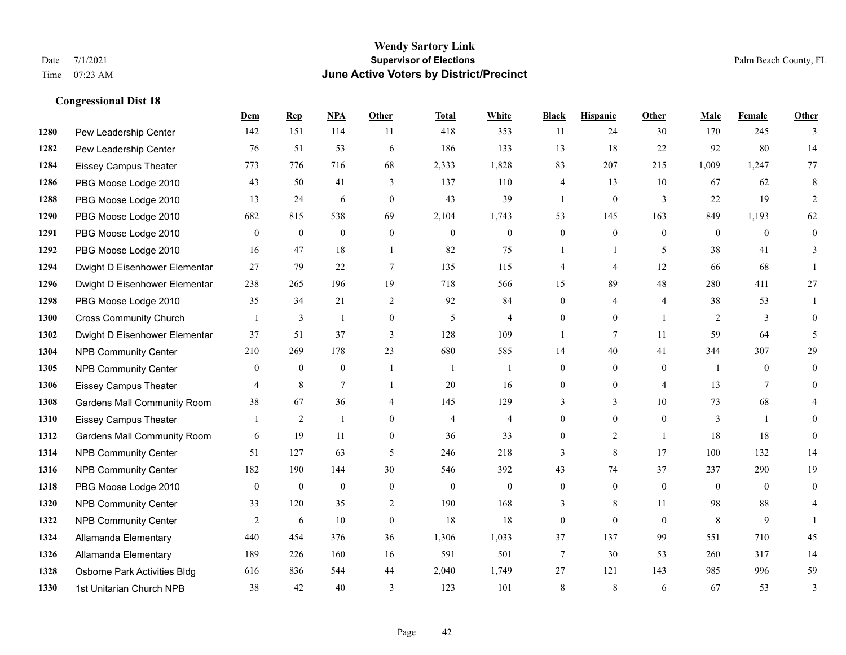### **Wendy Sartory Link** Date 7/1/2021 **Supervisor of Elections** Palm Beach County, FL Time 07:23 AM **June Active Voters by District/Precinct**

# **Dem Rep NPA Other Total White Black Hispanic Other Male Female Other** Pew Leadership Center 142 151 114 11 418 353 11 24 30 170 245 3 Pew Leadership Center 76 51 53 6 186 133 13 18 22 92 80 14 Eissey Campus Theater 773 776 716 68 2,333 1,828 83 207 215 1,009 1,247 77 PBG Moose Lodge 2010 43 50 41 3 137 110 4 13 10 67 62 8 PBG Moose Lodge 2010 13 24 6 0 43 39 1 0 3 22 19 2 PBG Moose Lodge 2010 682 815 538 69 2,104 1,743 53 145 163 849 1,193 62 PBG Moose Lodge 2010 0 0 0 0 0 0 0 0 0 0 0 0 PBG Moose Lodge 2010 16 47 18 1 82 75 1 1 5 38 41 3 Dwight D Eisenhower Elementar 27 79 22 7 135 115 4 4 12 66 68 1 Dwight D Eisenhower Elementary 238 265 196 19 718 566 15 89 48 280 411 27 PBG Moose Lodge 2010 35 34 21 2 92 84 0 4 4 38 53 1 Cross Community Church 1 3 1 0 5 4 0 0 1 2 3 0 Dwight D Eisenhower Elementar 37 51 37 3 128 109 1 7 11 59 64 5 NPB Community Center 210 269 178 23 680 585 14 40 41 344 307 29 NPB Community Center 0 0 0 1 1 1 0 0 0 1 0 0 Eissey Campus Theater **4** 8 7 1 20 16 0 0 4 13 7 0 Gardens Mall Community Room 38 67 36 4 145 129 3 3 10 73 68 4 Eissey Campus Theater 1 2 1 0 4 4 0 0 0 3 1 0 **1312 Gardens Mall Community Room** 6 19 11 0 36 33 0 2 1 18 18 0 NPB Community Center 51 127 63 5 246 218 3 8 17 100 132 14 NPB Community Center 182 190 144 30 546 392 43 74 37 237 290 19 PBG Moose Lodge 2010 0 0 0 0 0 0 0 0 0 0 0 0 **1320 NPB Community Center** 33 120 35 2 190 168 3 8 11 98 88 4 **1322 NPB Community Center** 2 6 10 0 18 18 0 0 0 8 9 1 Allamanda Elementary 440 454 376 36 1,306 1,033 37 137 99 551 710 45 Allamanda Elementary 189 226 160 16 591 501 7 30 53 260 317 14 Osborne Park Activities Bldg 616 836 544 44 2,040 1,749 27 121 143 985 996 59 1st Unitarian Church NPB 38 42 40 3 123 101 8 8 6 67 53 3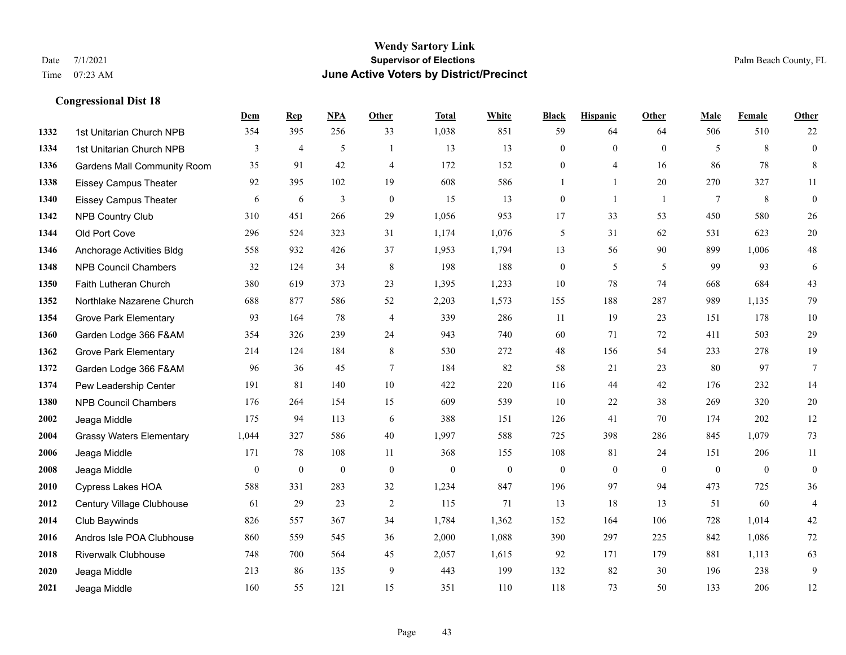|      |                                    | Dem          | <b>Rep</b>     | NPA          | <b>Other</b>   | <b>Total</b> | <b>White</b> | <b>Black</b>     | <b>Hispanic</b>  | <b>Other</b> | <b>Male</b>  | Female       | <b>Other</b>     |
|------|------------------------------------|--------------|----------------|--------------|----------------|--------------|--------------|------------------|------------------|--------------|--------------|--------------|------------------|
| 1332 | 1st Unitarian Church NPB           | 354          | 395            | 256          | 33             | 1,038        | 851          | 59               | 64               | 64           | 506          | 510          | 22               |
| 1334 | 1st Unitarian Church NPB           | 3            | $\overline{4}$ | 5            | $\overline{1}$ | 13           | 13           | $\boldsymbol{0}$ | $\boldsymbol{0}$ | $\mathbf{0}$ | 5            | 8            | $\boldsymbol{0}$ |
| 1336 | <b>Gardens Mall Community Room</b> | 35           | 91             | 42           | 4              | 172          | 152          | $\boldsymbol{0}$ | 4                | 16           | 86           | 78           | $\,8\,$          |
| 1338 | <b>Eissey Campus Theater</b>       | 92           | 395            | 102          | 19             | 608          | 586          | 1                | $\mathbf{1}$     | 20           | 270          | 327          | 11               |
| 1340 | <b>Eissey Campus Theater</b>       | 6            | 6              | 3            | $\mathbf{0}$   | 15           | 13           | $\boldsymbol{0}$ | 1                | -1           | $\tau$       | 8            | $\boldsymbol{0}$ |
| 1342 | NPB Country Club                   | 310          | 451            | 266          | 29             | 1,056        | 953          | 17               | 33               | 53           | 450          | 580          | $26\,$           |
| 1344 | Old Port Cove                      | 296          | 524            | 323          | 31             | 1,174        | 1,076        | 5                | 31               | 62           | 531          | 623          | $20\,$           |
| 1346 | Anchorage Activities Bldg          | 558          | 932            | 426          | 37             | 1,953        | 1,794        | 13               | 56               | 90           | 899          | 1,006        | $48\,$           |
| 1348 | <b>NPB Council Chambers</b>        | 32           | 124            | 34           | $\,8\,$        | 198          | 188          | $\boldsymbol{0}$ | 5                | 5            | 99           | 93           | 6                |
| 1350 | Faith Lutheran Church              | 380          | 619            | 373          | 23             | 1,395        | 1,233        | 10               | 78               | 74           | 668          | 684          | 43               |
| 1352 | Northlake Nazarene Church          | 688          | 877            | 586          | 52             | 2,203        | 1,573        | 155              | 188              | 287          | 989          | 1,135        | 79               |
| 1354 | <b>Grove Park Elementary</b>       | 93           | 164            | 78           | 4              | 339          | 286          | 11               | 19               | 23           | 151          | 178          | $10\,$           |
| 1360 | Garden Lodge 366 F&AM              | 354          | 326            | 239          | 24             | 943          | 740          | 60               | 71               | 72           | 411          | 503          | 29               |
| 1362 | <b>Grove Park Elementary</b>       | 214          | 124            | 184          | $\,8\,$        | 530          | 272          | $48\,$           | 156              | 54           | 233          | 278          | 19               |
| 1372 | Garden Lodge 366 F&AM              | 96           | 36             | 45           | $\overline{7}$ | 184          | 82           | 58               | 21               | 23           | 80           | 97           | $7\phantom{.0}$  |
| 1374 | Pew Leadership Center              | 191          | 81             | 140          | $10\,$         | 422          | 220          | 116              | 44               | 42           | 176          | 232          | 14               |
| 1380 | <b>NPB Council Chambers</b>        | 176          | 264            | 154          | 15             | 609          | 539          | 10               | 22               | 38           | 269          | 320          | $20\,$           |
| 2002 | Jeaga Middle                       | 175          | 94             | 113          | 6              | 388          | 151          | 126              | 41               | 70           | 174          | 202          | 12               |
| 2004 | <b>Grassy Waters Elementary</b>    | 1,044        | 327            | 586          | $40\,$         | 1,997        | 588          | 725              | 398              | 286          | 845          | 1,079        | 73               |
| 2006 | Jeaga Middle                       | 171          | 78             | 108          | 11             | 368          | 155          | 108              | 81               | 24           | 151          | 206          | 11               |
| 2008 | Jeaga Middle                       | $\mathbf{0}$ | $\mathbf{0}$   | $\mathbf{0}$ | $\mathbf{0}$   | $\mathbf{0}$ | $\mathbf{0}$ | $\mathbf{0}$     | $\mathbf{0}$     | $\theta$     | $\mathbf{0}$ | $\mathbf{0}$ | $\boldsymbol{0}$ |
| 2010 | Cypress Lakes HOA                  | 588          | 331            | 283          | 32             | 1,234        | 847          | 196              | 97               | 94           | 473          | 725          | 36               |
| 2012 | Century Village Clubhouse          | 61           | 29             | 23           | 2              | 115          | 71           | 13               | 18               | 13           | 51           | 60           | $\overline{4}$   |
| 2014 | Club Baywinds                      | 826          | 557            | 367          | 34             | 1,784        | 1,362        | 152              | 164              | 106          | 728          | 1,014        | $42\,$           |
| 2016 | Andros Isle POA Clubhouse          | 860          | 559            | 545          | 36             | 2,000        | 1,088        | 390              | 297              | 225          | 842          | 1,086        | 72               |
| 2018 | Riverwalk Clubhouse                | 748          | 700            | 564          | 45             | 2,057        | 1,615        | 92               | 171              | 179          | 881          | 1,113        | 63               |
| 2020 | Jeaga Middle                       | 213          | 86             | 135          | 9              | 443          | 199          | 132              | 82               | 30           | 196          | 238          | 9                |
| 2021 | Jeaga Middle                       | 160          | 55             | 121          | 15             | 351          | 110          | 118              | 73               | 50           | 133          | 206          | 12               |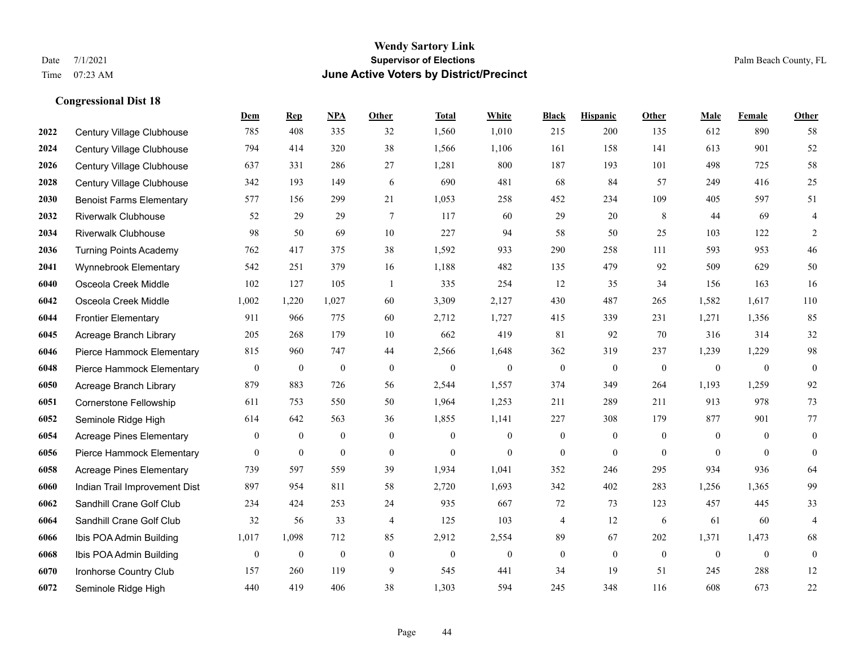#### **Wendy Sartory Link** Date 7/1/2021 **Supervisor of Elections** Palm Beach County, FL Time 07:23 AM **June Active Voters by District/Precinct**

# **Dem Rep NPA Other Total White Black Hispanic Other Male Female Other** Century Village Clubhouse 785 408 335 32 1,560 1,010 215 200 135 612 890 58 Century Village Clubhouse 794 414 320 38 1,566 1,106 161 158 141 613 901 52 Century Village Clubhouse 637 331 286 27 1,281 800 187 193 101 498 725 58 Century Village Clubhouse 342 193 149 6 690 481 68 84 57 249 416 25 Benoist Farms Elementary 577 156 299 21 1,053 258 452 234 109 405 597 51 Riverwalk Clubhouse 52 29 29 7 117 60 29 20 8 44 69 4 Riverwalk Clubhouse 98 50 69 10 227 94 58 50 25 103 122 2 Turning Points Academy 762 417 375 38 1,592 933 290 258 111 593 953 46 Wynnebrook Elementary 542 251 379 16 1,188 482 135 479 92 509 629 50 Osceola Creek Middle 102 127 105 1 335 254 12 35 34 156 163 16 Osceola Creek Middle 1,002 1,220 1,027 60 3,309 2,127 430 487 265 1,582 1,617 110 Frontier Elementary 911 966 775 60 2,712 1,727 415 339 231 1,271 1,356 85 Acreage Branch Library 205 268 179 10 662 419 81 92 70 316 314 32 Pierce Hammock Elementary 815 960 747 44 2,566 1,648 362 319 237 1,239 1,229 98 Pierce Hammock Elementary 0 0 0 0 0 0 0 0 0 0 0 0 Acreage Branch Library 879 883 726 56 2,544 1,557 374 349 264 1,193 1,259 92 Cornerstone Fellowship 611 753 550 50 1,964 1,253 211 289 211 913 978 73 Seminole Ridge High 614 642 563 36 1,855 1,141 227 308 179 877 901 77 Acreage Pines Elementary 0 0 0 0 0 0 0 0 0 0 0 0 Pierce Hammock Elementary 0 0 0 0 0 0 0 0 0 0 0 0 Acreage Pines Elementary 739 597 559 39 1,934 1,041 352 246 295 934 936 64 Indian Trail Improvement Dist 897 954 811 58 2,720 1,693 342 402 283 1,256 1,365 99 Sandhill Crane Golf Club 234 424 253 24 935 667 72 73 123 457 445 33 Sandhill Crane Golf Club 32 56 33 4 125 103 4 12 6 61 60 4 Ibis POA Admin Building 1,017 1,098 712 85 2,912 2,554 89 67 202 1,371 1,473 68 Ibis POA Admin Building 0 0 0 0 0 0 0 0 0 0 0 0 Ironhorse Country Club 157 260 119 9 545 441 34 19 51 245 288 12 Seminole Ridge High 440 419 406 38 1,303 594 245 348 116 608 673 22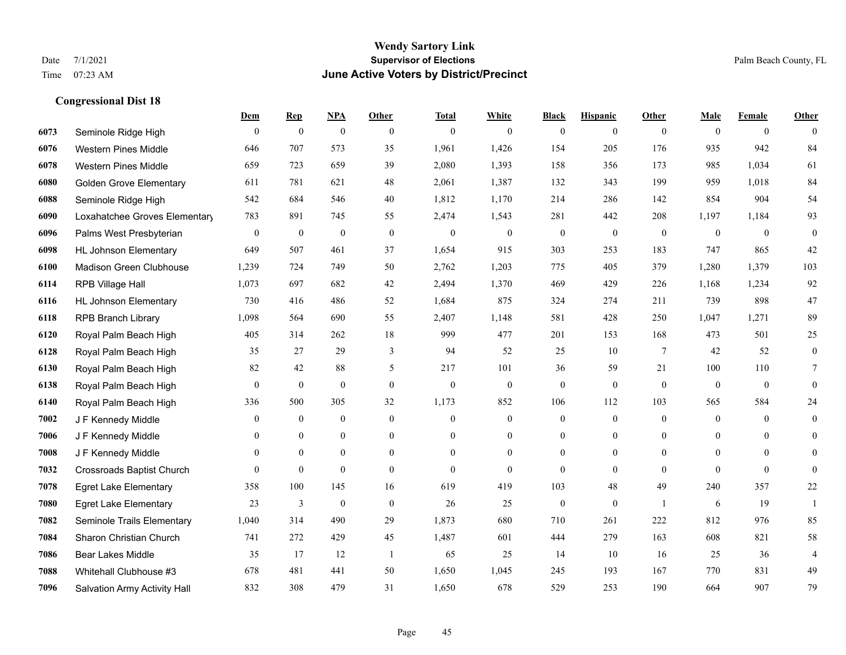## **Wendy Sartory Link** Date 7/1/2021 **Supervisor of Elections** Palm Beach County, FL Time 07:23 AM **June Active Voters by District/Precinct**

# **Dem Rep NPA Other Total White Black Hispanic Other Male Female Other** Seminole Ridge High 0 0 0 0 0 0 0 0 0 0 0 0 Western Pines Middle 646 707 573 35 1,961 1,426 154 205 176 935 942 84 Western Pines Middle 659 723 659 39 2,080 1,393 158 356 173 985 1,034 61 Golden Grove Elementary 611 781 621 48 2,061 1,387 132 343 199 959 1,018 84 Seminole Ridge High 542 684 546 40 1,812 1,170 214 286 142 854 904 54 Loxahatchee Groves Elementary 783 891 745 55 2,474 1,543 281 442 208 1,197 1,184 93 Palms West Presbyterian 0 0 0 0 0 0 0 0 0 0 0 0 HL Johnson Elementary 649 507 461 37 1,654 915 303 253 183 747 865 42 Madison Green Clubhouse 1,239 724 749 50 2,762 1,203 775 405 379 1,280 1,379 103 RPB Village Hall 1,073 697 682 42 2,494 1,370 469 429 226 1,168 1,234 92 HL Johnson Elementary 730 416 486 52 1,684 875 324 274 211 739 898 47 RPB Branch Library 1,098 564 690 55 2,407 1,148 581 428 250 1,047 1,271 89 Royal Palm Beach High 405 314 262 18 999 477 201 153 168 473 501 25 Royal Palm Beach High 35 27 29 3 94 52 25 10 7 42 52 0 Royal Palm Beach High 82 42 88 5 217 101 36 59 21 100 110 7 Royal Palm Beach High 0 0 0 0 0 0 0 0 0 0 0 0 Royal Palm Beach High 336 500 305 32 1,173 852 106 112 103 565 584 24 J F Kennedy Middle 0 0 0 0 0 0 0 0 0 0 0 0 J F Kennedy Middle 0 0 0 0 0 0 0 0 0 0 J F Kennedy Middle 0 0 0 0 0 0 0 0 0 0 Crossroads Baptist Church 0 0 0 0 0 0 0 0 0 0 0 0 Egret Lake Elementary 358 100 145 16 619 419 103 48 49 240 357 22 Egret Lake Elementary 23 3 0 0 26 25 0 0 1 6 19 1 Seminole Trails Elementary 1,040 314 490 29 1,873 680 710 261 222 812 976 85 Sharon Christian Church 741 272 429 45 1,487 601 444 279 163 608 821 58 Bear Lakes Middle 35 17 12 1 65 25 14 10 16 25 36 4 Whitehall Clubhouse #3 678 481 441 50 1,650 1,045 245 193 167 770 831 49 Salvation Army Activity Hall 832 308 479 31 1,650 678 529 253 190 664 907 79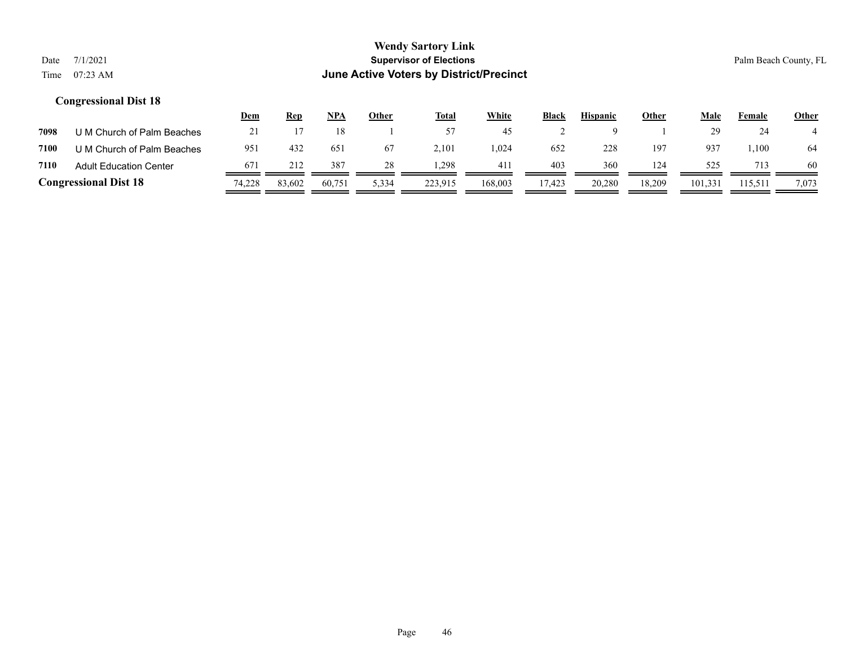|      |                               | Dem    | <b>Rep</b> | NPA    | Other | <u>Total</u> | <u>White</u> | <b>Black</b> | <b>Hispanic</b> | <b>Other</b> | Male    | Female  | <b>Other</b> |
|------|-------------------------------|--------|------------|--------|-------|--------------|--------------|--------------|-----------------|--------------|---------|---------|--------------|
| 7098 | U M Church of Palm Beaches    |        |            |        |       | 57           | 45           |              |                 |              | 29      | 24      |              |
| 7100 | U M Church of Palm Beaches    | 951    | 432        | 651    | 67    | 2,101        | 1,024        | 652          | 228             | 197          | 937     | 1,100   | 64           |
| 7110 | <b>Adult Education Center</b> | 671    | 212        | 387    | 28    | .298         | 411          | 403          | 360             | 124          | 525     | 713     | 60           |
|      | <b>Congressional Dist 18</b>  | 74,228 | 83,602     | 60.751 | 5,334 | 223,915      | 168,003      | 17,423       | 20,280          | 18,209       | 101,331 | 115,511 | 7,073        |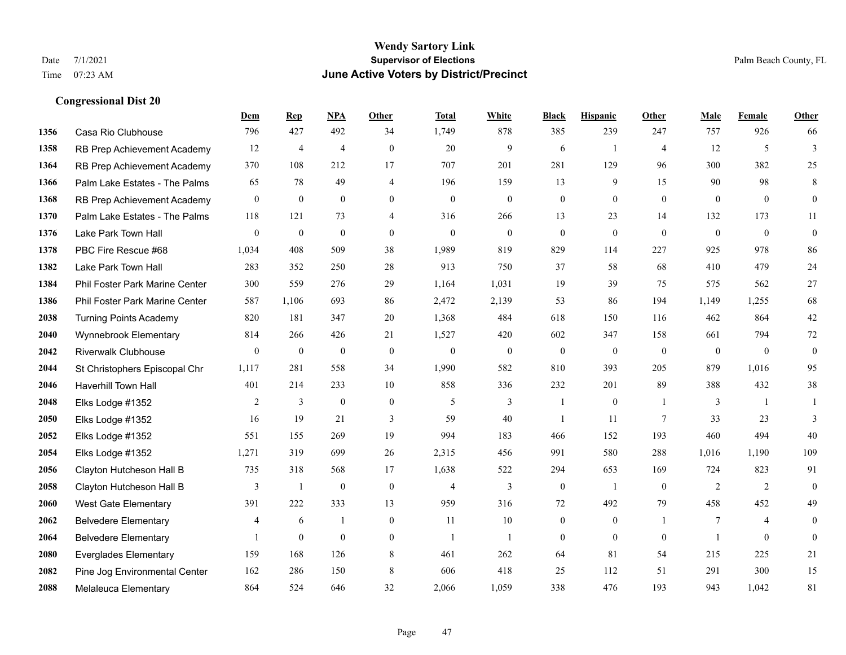|      |                                | Dem              | <b>Rep</b>       | NPA              | <b>Other</b>   | <b>Total</b>     | <b>White</b>     | <b>Black</b>     | <b>Hispanic</b>  | <b>Other</b>   | <b>Male</b>      | Female       | <b>Other</b>     |
|------|--------------------------------|------------------|------------------|------------------|----------------|------------------|------------------|------------------|------------------|----------------|------------------|--------------|------------------|
| 1356 | Casa Rio Clubhouse             | 796              | 427              | 492              | 34             | 1,749            | 878              | 385              | 239              | 247            | 757              | 926          | 66               |
| 1358 | RB Prep Achievement Academy    | 12               | $\overline{4}$   | $\overline{4}$   | $\theta$       | 20               | 9                | 6                | $\mathbf{1}$     | $\overline{4}$ | 12               | 5            | 3                |
| 1364 | RB Prep Achievement Academy    | 370              | 108              | 212              | 17             | 707              | 201              | 281              | 129              | 96             | 300              | 382          | 25               |
| 1366 | Palm Lake Estates - The Palms  | 65               | 78               | 49               | $\overline{4}$ | 196              | 159              | 13               | 9                | 15             | 90               | 98           | 8                |
| 1368 | RB Prep Achievement Academy    | $\mathbf{0}$     | $\mathbf{0}$     | $\theta$         | $\Omega$       | $\theta$         | $\mathbf{0}$     | $\mathbf{0}$     | $\Omega$         | $\theta$       | $\theta$         | $\theta$     | $\mathbf{0}$     |
| 1370 | Palm Lake Estates - The Palms  | 118              | 121              | 73               | 4              | 316              | 266              | 13               | 23               | 14             | 132              | 173          | 11               |
| 1376 | Lake Park Town Hall            | $\overline{0}$   | $\mathbf{0}$     | $\mathbf{0}$     | $\overline{0}$ | $\mathbf{0}$     | $\overline{0}$   | $\mathbf{0}$     | $\mathbf{0}$     | $\theta$       | $\mathbf{0}$     | $\mathbf{0}$ | $\boldsymbol{0}$ |
| 1378 | PBC Fire Rescue #68            | 1,034            | 408              | 509              | 38             | 1,989            | 819              | 829              | 114              | 227            | 925              | 978          | 86               |
| 1382 | Lake Park Town Hall            | 283              | 352              | 250              | 28             | 913              | 750              | 37               | 58               | 68             | 410              | 479          | 24               |
| 1384 | Phil Foster Park Marine Center | 300              | 559              | 276              | 29             | 1,164            | 1,031            | 19               | 39               | 75             | 575              | 562          | 27               |
| 1386 | Phil Foster Park Marine Center | 587              | 1,106            | 693              | 86             | 2,472            | 2,139            | 53               | 86               | 194            | 1,149            | 1,255        | 68               |
| 2038 | <b>Turning Points Academy</b>  | 820              | 181              | 347              | 20             | 1,368            | 484              | 618              | 150              | 116            | 462              | 864          | $42\,$           |
| 2040 | Wynnebrook Elementary          | 814              | 266              | 426              | 21             | 1,527            | 420              | 602              | 347              | 158            | 661              | 794          | 72               |
| 2042 | <b>Riverwalk Clubhouse</b>     | $\boldsymbol{0}$ | $\boldsymbol{0}$ | $\boldsymbol{0}$ | $\mathbf{0}$   | $\boldsymbol{0}$ | $\boldsymbol{0}$ | $\boldsymbol{0}$ | $\boldsymbol{0}$ | $\mathbf{0}$   | $\boldsymbol{0}$ | $\mathbf{0}$ | $\boldsymbol{0}$ |
| 2044 | St Christophers Episcopal Chr  | 1,117            | 281              | 558              | 34             | 1,990            | 582              | 810              | 393              | 205            | 879              | 1,016        | 95               |
| 2046 | Haverhill Town Hall            | 401              | 214              | 233              | 10             | 858              | 336              | 232              | 201              | 89             | 388              | 432          | 38               |
| 2048 | Elks Lodge #1352               | 2                | $\mathfrak{Z}$   | $\boldsymbol{0}$ | $\mathbf{0}$   | 5                | 3                | $\mathbf{1}$     | $\boldsymbol{0}$ | $\overline{1}$ | 3                | -1           |                  |
| 2050 | Elks Lodge #1352               | 16               | 19               | 21               | 3              | 59               | 40               | -1               | 11               | 7              | 33               | 23           | 3                |
| 2052 | Elks Lodge #1352               | 551              | 155              | 269              | 19             | 994              | 183              | 466              | 152              | 193            | 460              | 494          | 40               |
| 2054 | Elks Lodge #1352               | 1,271            | 319              | 699              | 26             | 2,315            | 456              | 991              | 580              | 288            | 1,016            | 1,190        | 109              |
| 2056 | Clayton Hutcheson Hall B       | 735              | 318              | 568              | 17             | 1,638            | 522              | 294              | 653              | 169            | 724              | 823          | 91               |
| 2058 | Clayton Hutcheson Hall B       | $\overline{3}$   | $\mathbf{1}$     | $\mathbf{0}$     | $\overline{0}$ | $\overline{4}$   | 3                | $\boldsymbol{0}$ | $\mathbf{1}$     | $\mathbf{0}$   | $\overline{2}$   | 2            | $\theta$         |
| 2060 | West Gate Elementary           | 391              | 222              | 333              | 13             | 959              | 316              | 72               | 492              | 79             | 458              | 452          | 49               |
| 2062 | <b>Belvedere Elementary</b>    | 4                | 6                | -1               | $\overline{0}$ | 11               | 10               | $\boldsymbol{0}$ | $\mathbf{0}$     | $\overline{1}$ | 7                | 4            | $\Omega$         |
| 2064 | <b>Belvedere Elementary</b>    | 1                | $\mathbf{0}$     | $\mathbf{0}$     | $\Omega$       | $\overline{1}$   | $\mathbf{1}$     | $\mathbf{0}$     | $\theta$         | $\theta$       | $\mathbf{1}$     | $\theta$     | $\mathbf{0}$     |
| 2080 | <b>Everglades Elementary</b>   | 159              | 168              | 126              | 8              | 461              | 262              | 64               | 81               | 54             | 215              | 225          | 21               |
| 2082 | Pine Jog Environmental Center  | 162              | 286              | 150              | 8              | 606              | 418              | 25               | 112              | 51             | 291              | 300          | 15               |
| 2088 | Melaleuca Elementary           | 864              | 524              | 646              | 32             | 2,066            | 1,059            | 338              | 476              | 193            | 943              | 1,042        | 81               |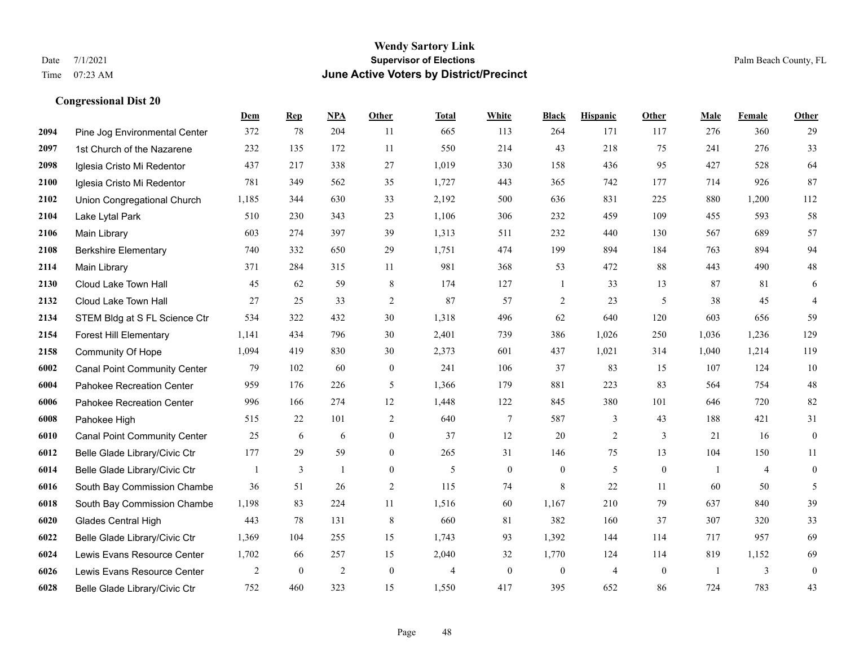#### **Wendy Sartory Link** Date 7/1/2021 **Supervisor of Elections** Palm Beach County, FL Time 07:23 AM **June Active Voters by District/Precinct**

# **Dem Rep NPA Other Total White Black Hispanic Other Male Female Other** Pine Jog Environmental Center 372 78 204 11 665 113 264 171 117 276 360 29 1st Church of the Nazarene 232 135 172 11 550 214 43 218 75 241 276 33 Iglesia Cristo Mi Redentor 437 217 338 27 1,019 330 158 436 95 427 528 64 Iglesia Cristo Mi Redentor 781 349 562 35 1,727 443 365 742 177 714 926 87 Union Congregational Church 1,185 344 630 33 2,192 500 636 831 225 880 1,200 112 Lake Lytal Park 510 230 343 23 1,106 306 232 459 109 455 593 58 Main Library 603 274 397 39 1,313 511 232 440 130 567 689 57 Berkshire Elementary 740 332 650 29 1,751 474 199 894 184 763 894 94 Main Library 371 284 315 11 981 368 53 472 88 443 490 48 Cloud Lake Town Hall 45 62 59 8 174 127 1 33 13 87 81 6 Cloud Lake Town Hall 27 25 33 2 87 57 2 23 5 38 45 4 STEM Bldg at S FL Science Ctr 534 322 432 30 1,318 496 62 640 120 603 656 59 Forest Hill Elementary 1,141 434 796 30 2,401 739 386 1,026 250 1,036 1,236 129 Community Of Hope 1,094 419 830 30 2,373 601 437 1,021 314 1,040 1,214 119 Canal Point Community Center 79 102 60 0 241 106 37 83 15 107 124 10 Pahokee Recreation Center 959 176 226 5 1,366 179 881 223 83 564 754 48 Pahokee Recreation Center 996 166 274 12 1,448 122 845 380 101 646 720 82 Pahokee High 515 22 101 2 640 7 587 3 43 188 421 31 Canal Point Community Center 25 6 6 0 37 12 20 2 3 21 16 0 Belle Glade Library/Civic Ctr 177 29 59 0 265 31 146 75 13 104 150 11 Belle Glade Library/Civic Ctr 1 3 1 0 5 0 0 5 0 1 4 0 South Bay Commission Chambe 36 51 26 2 115 74 8 22 11 60 50 5 South Bay Commission Chambe 1,198 83 224 11 1,516 60 1,167 210 79 637 840 39 Glades Central High 443 78 131 8 660 81 382 160 37 307 320 33 Belle Glade Library/Civic Ctr 1,369 104 255 15 1,743 93 1,392 144 114 717 957 69 Lewis Evans Resource Center 1,702 66 257 15 2,040 32 1,770 124 114 819 1,152 69 Lewis Evans Resource Center  $\begin{array}{ccccccccccccc}\n2 & 0 & 2 & 0 & 4 & 0 & 4 & 0 & 1 & 3 & 0\n\end{array}$

Belle Glade Library/Civic Ctr 752 460 323 15 1,550 417 395 652 86 724 783 43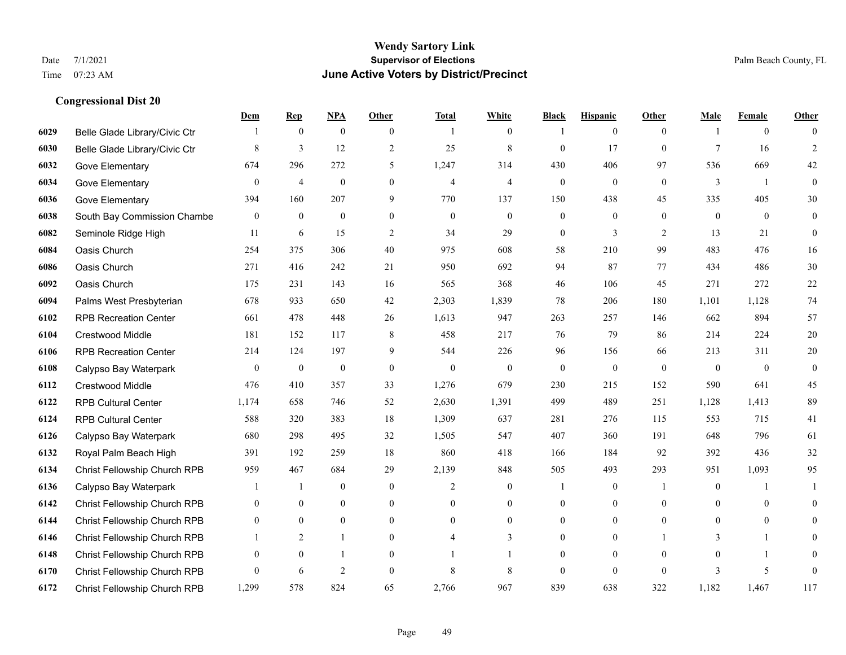|      |                                     | Dem              | <b>Rep</b>       | NPA              | <b>Other</b>     | <b>Total</b>   | <b>White</b>     | <b>Black</b>     | <b>Hispanic</b>  | <b>Other</b>     | <b>Male</b>      | <b>Female</b>    | <b>Other</b>     |
|------|-------------------------------------|------------------|------------------|------------------|------------------|----------------|------------------|------------------|------------------|------------------|------------------|------------------|------------------|
| 6029 | Belle Glade Library/Civic Ctr       |                  | $\boldsymbol{0}$ | $\boldsymbol{0}$ | $\overline{0}$   |                | $\boldsymbol{0}$ |                  | $\mathbf{0}$     | $\overline{0}$   |                  | $\boldsymbol{0}$ | $\Omega$         |
| 6030 | Belle Glade Library/Civic Ctr       | 8                | $\overline{3}$   | 12               | 2                | 25             | $\,$ 8 $\,$      | $\mathbf{0}$     | 17               | $\mathbf{0}$     | $\overline{7}$   | 16               | $\overline{2}$   |
| 6032 | Gove Elementary                     | 674              | 296              | 272              | 5                | 1,247          | 314              | 430              | 406              | 97               | 536              | 669              | 42               |
| 6034 | Gove Elementary                     | $\boldsymbol{0}$ | $\overline{4}$   | $\boldsymbol{0}$ | $\boldsymbol{0}$ | $\overline{4}$ | $\overline{4}$   | $\boldsymbol{0}$ | $\boldsymbol{0}$ | $\boldsymbol{0}$ | $\mathfrak{Z}$   | $\mathbf{1}$     | $\boldsymbol{0}$ |
| 6036 | Gove Elementary                     | 394              | 160              | 207              | 9                | 770            | 137              | 150              | 438              | 45               | 335              | 405              | 30               |
| 6038 | South Bay Commission Chambe         | $\boldsymbol{0}$ | $\bf{0}$         | $\boldsymbol{0}$ | $\overline{0}$   | $\mathbf{0}$   | $\boldsymbol{0}$ | $\boldsymbol{0}$ | $\boldsymbol{0}$ | $\overline{0}$   | $\mathbf{0}$     | $\overline{0}$   | $\boldsymbol{0}$ |
| 6082 | Seminole Ridge High                 | 11               | 6                | 15               | 2                | 34             | 29               | $\boldsymbol{0}$ | 3                | 2                | 13               | 21               | $\mathbf{0}$     |
| 6084 | Oasis Church                        | 254              | 375              | 306              | 40               | 975            | 608              | 58               | 210              | 99               | 483              | 476              | 16               |
| 6086 | Oasis Church                        | 271              | 416              | 242              | 21               | 950            | 692              | 94               | 87               | 77               | 434              | 486              | $30\,$           |
| 6092 | Oasis Church                        | 175              | 231              | 143              | 16               | 565            | 368              | 46               | 106              | 45               | 271              | 272              | 22               |
| 6094 | Palms West Presbyterian             | 678              | 933              | 650              | 42               | 2,303          | 1,839            | 78               | 206              | 180              | 1,101            | 1,128            | $74\,$           |
| 6102 | <b>RPB Recreation Center</b>        | 661              | 478              | 448              | 26               | 1,613          | 947              | 263              | 257              | 146              | 662              | 894              | 57               |
| 6104 | Crestwood Middle                    | 181              | 152              | 117              | 8                | 458            | 217              | 76               | 79               | 86               | 214              | 224              | $20\,$           |
| 6106 | <b>RPB Recreation Center</b>        | 214              | 124              | 197              | 9                | 544            | 226              | 96               | 156              | 66               | 213              | 311              | $20\,$           |
| 6108 | Calypso Bay Waterpark               | $\overline{0}$   | $\mathbf{0}$     | $\overline{0}$   | $\mathbf{0}$     | $\mathbf{0}$   | $\mathbf{0}$     | $\mathbf{0}$     | $\mathbf{0}$     | $\theta$         | $\theta$         | $\theta$         | $\mathbf{0}$     |
| 6112 | Crestwood Middle                    | 476              | 410              | 357              | 33               | 1,276          | 679              | 230              | 215              | 152              | 590              | 641              | 45               |
| 6122 | <b>RPB Cultural Center</b>          | 1,174            | 658              | 746              | 52               | 2,630          | 1,391            | 499              | 489              | 251              | 1,128            | 1,413            | 89               |
| 6124 | <b>RPB Cultural Center</b>          | 588              | 320              | 383              | 18               | 1,309          | 637              | 281              | 276              | 115              | 553              | 715              | 41               |
| 6126 | Calypso Bay Waterpark               | 680              | 298              | 495              | 32               | 1,505          | 547              | 407              | 360              | 191              | 648              | 796              | 61               |
| 6132 | Royal Palm Beach High               | 391              | 192              | 259              | 18               | 860            | 418              | 166              | 184              | 92               | 392              | 436              | $32\,$           |
| 6134 | Christ Fellowship Church RPB        | 959              | 467              | 684              | 29               | 2,139          | 848              | 505              | 493              | 293              | 951              | 1,093            | 95               |
| 6136 | Calypso Bay Waterpark               |                  | 1                | $\boldsymbol{0}$ | $\boldsymbol{0}$ | 2              | $\boldsymbol{0}$ |                  | $\boldsymbol{0}$ | -1               | $\boldsymbol{0}$ |                  | 1                |
| 6142 | Christ Fellowship Church RPB        | $\overline{0}$   | $\mathbf{0}$     | $\mathbf{0}$     | $\overline{0}$   | $\theta$       | $\boldsymbol{0}$ | $\mathbf{0}$     | $\mathbf{0}$     | $\theta$         | $\theta$         | $\mathbf{0}$     | $\mathbf{0}$     |
| 6144 | Christ Fellowship Church RPB        | $\overline{0}$   | $\theta$         | $\theta$         | $\Omega$         | $\theta$       | $\Omega$         | $\mathbf{0}$     | $\theta$         | $\theta$         | $\Omega$         | $\theta$         | $\theta$         |
| 6146 | Christ Fellowship Church RPB        |                  | 2                | 1                | $\overline{0}$   |                | 3                | $\boldsymbol{0}$ | $\boldsymbol{0}$ |                  | 3                | 1                | $\overline{0}$   |
| 6148 | Christ Fellowship Church RPB        | $\mathbf{0}$     | $\mathbf{0}$     | 1                | $\theta$         |                |                  | $\mathbf{0}$     | $\mathbf{0}$     | $\theta$         | $\theta$         |                  | $\overline{0}$   |
| 6170 | Christ Fellowship Church RPB        | $\overline{0}$   | 6                | $\overline{2}$   | $\theta$         | 8              | 8                | $\mathbf{0}$     | $\theta$         | $\theta$         | 3                | 5                | $\mathbf{0}$     |
| 6172 | <b>Christ Fellowship Church RPB</b> | 1,299            | 578              | 824              | 65               | 2,766          | 967              | 839              | 638              | 322              | 1,182            | 1,467            | 117              |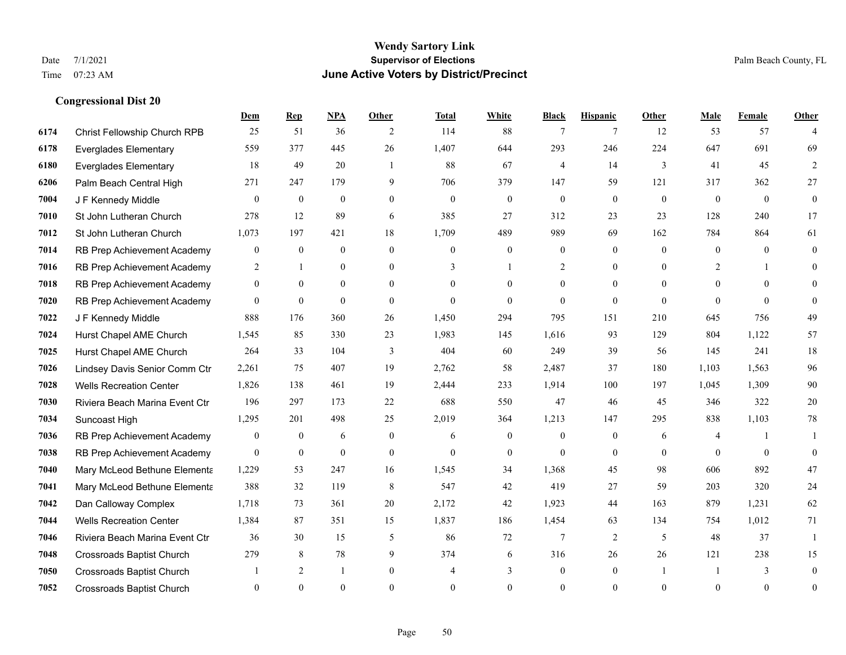# **Dem Rep NPA Other Total White Black Hispanic Other Male Female Other Congressional Dist 20**

| 6174 | Christ Fellowship Church RPB     | 25             | 51               | 36           | 2              | 114          | 88             | $\tau$           | $\tau$       | 12       | 53             | 57       | 4                |
|------|----------------------------------|----------------|------------------|--------------|----------------|--------------|----------------|------------------|--------------|----------|----------------|----------|------------------|
| 6178 | <b>Everglades Elementary</b>     | 559            | 377              | 445          | 26             | 1,407        | 644            | 293              | 246          | 224      | 647            | 691      | 69               |
| 6180 | <b>Everglades Elementary</b>     | 18             | 49               | 20           | $\overline{1}$ | 88           | 67             | $\overline{4}$   | 14           | 3        | 41             | 45       | $\overline{2}$   |
| 6206 | Palm Beach Central High          | 271            | 247              | 179          | 9              | 706          | 379            | 147              | 59           | 121      | 317            | 362      | 27               |
| 7004 | J F Kennedy Middle               | $\theta$       | $\mathbf{0}$     | $\mathbf{0}$ | $\theta$       | $\theta$     | $\overline{0}$ | $\mathbf{0}$     | $\theta$     | $\Omega$ | $\theta$       | $\theta$ | $\mathbf{0}$     |
| 7010 | St John Lutheran Church          | 278            | 12               | 89           | 6              | 385          | 27             | 312              | 23           | 23       | 128            | 240      | 17               |
| 7012 | St John Lutheran Church          | 1,073          | 197              | 421          | 18             | 1,709        | 489            | 989              | 69           | 162      | 784            | 864      | 61               |
| 7014 | RB Prep Achievement Academy      | $\overline{0}$ | $\overline{0}$   | $\mathbf{0}$ | $\Omega$       | $\Omega$     | $\theta$       | $\theta$         | $\theta$     | $\Omega$ | $\theta$       | $\Omega$ | $\mathbf{0}$     |
| 7016 | RB Prep Achievement Academy      | 2              | 1                | $\mathbf{0}$ | $\Omega$       | 3            | $\mathbf{1}$   | 2                | $\theta$     | $\Omega$ | $\overline{2}$ |          | 0                |
| 7018 | RB Prep Achievement Academy      | $\mathbf{0}$   | $\theta$         | $\mathbf{0}$ | $\theta$       | $\theta$     | $\theta$       | $\mathbf{0}$     | $\theta$     | $\theta$ | $\theta$       | $\Omega$ | $\Omega$         |
| 7020 | RB Prep Achievement Academy      | $\theta$       | $\theta$         | $\theta$     | $\Omega$       | $\theta$     | $\theta$       | $\theta$         | $\theta$     | $\Omega$ | $\Omega$       | $\Omega$ | $\theta$         |
| 7022 | J F Kennedy Middle               | 888            | 176              | 360          | 26             | 1,450        | 294            | 795              | 151          | 210      | 645            | 756      | 49               |
| 7024 | Hurst Chapel AME Church          | 1,545          | 85               | 330          | 23             | 1,983        | 145            | 1,616            | 93           | 129      | 804            | 1.122    | 57               |
| 7025 | Hurst Chapel AME Church          | 264            | 33               | 104          | 3              | 404          | 60             | 249              | 39           | 56       | 145            | 241      | $18\,$           |
| 7026 | Lindsey Davis Senior Comm Ctr    | 2,261          | 75               | 407          | 19             | 2,762        | 58             | 2,487            | 37           | 180      | 1,103          | 1,563    | 96               |
| 7028 | <b>Wells Recreation Center</b>   | 1,826          | 138              | 461          | 19             | 2,444        | 233            | 1,914            | 100          | 197      | 1,045          | 1,309    | 90               |
| 7030 | Riviera Beach Marina Event Ctr   | 196            | 297              | 173          | 22             | 688          | 550            | 47               | 46           | 45       | 346            | 322      | $20\,$           |
| 7034 | Suncoast High                    | 1,295          | 201              | 498          | 25             | 2,019        | 364            | 1,213            | 147          | 295      | 838            | 1,103    | $78\,$           |
| 7036 | RB Prep Achievement Academy      | $\mathbf{0}$   | $\mathbf{0}$     | 6            | $\mathbf{0}$   | 6            | $\mathbf{0}$   | $\boldsymbol{0}$ | $\mathbf{0}$ | 6        | 4              |          |                  |
| 7038 | RB Prep Achievement Academy      | $\theta$       | $\boldsymbol{0}$ | $\mathbf{0}$ | $\mathbf{0}$   | $\mathbf{0}$ | $\mathbf{0}$   | $\mathbf{0}$     | $\mathbf{0}$ | $\theta$ | $\Omega$       | $\Omega$ | $\theta$         |
| 7040 | Mary McLeod Bethune Elementa     | 1,229          | 53               | 247          | 16             | 1,545        | 34             | 1,368            | 45           | 98       | 606            | 892      | $47\,$           |
| 7041 | Mary McLeod Bethune Elementa     | 388            | 32               | 119          | 8              | 547          | 42             | 419              | 27           | 59       | 203            | 320      | 24               |
| 7042 | Dan Calloway Complex             | 1,718          | 73               | 361          | 20             | 2,172        | 42             | 1,923            | 44           | 163      | 879            | 1,231    | 62               |
| 7044 | <b>Wells Recreation Center</b>   | 1,384          | 87               | 351          | 15             | 1,837        | 186            | 1,454            | 63           | 134      | 754            | 1,012    | 71               |
| 7046 | Riviera Beach Marina Event Ctr   | 36             | 30               | 15           | 5              | 86           | 72             | 7                | 2            | 5        | 48             | 37       | $\mathbf{1}$     |
| 7048 | <b>Crossroads Baptist Church</b> | 279            | 8                | 78           | 9              | 374          | 6              | 316              | 26           | 26       | 121            | 238      | 15               |
| 7050 | <b>Crossroads Baptist Church</b> |                | 2                | -1           | $\mathbf{0}$   | 4            | 3              | $\mathbf{0}$     | $\mathbf{0}$ |          |                | 3        | $\boldsymbol{0}$ |
| 7052 | <b>Crossroads Baptist Church</b> | $\Omega$       | $\theta$         | $\theta$     | $\theta$       | $\theta$     | $\overline{0}$ | $\mathbf{0}$     | $\theta$     | $\theta$ | $\theta$       | $\theta$ | $\boldsymbol{0}$ |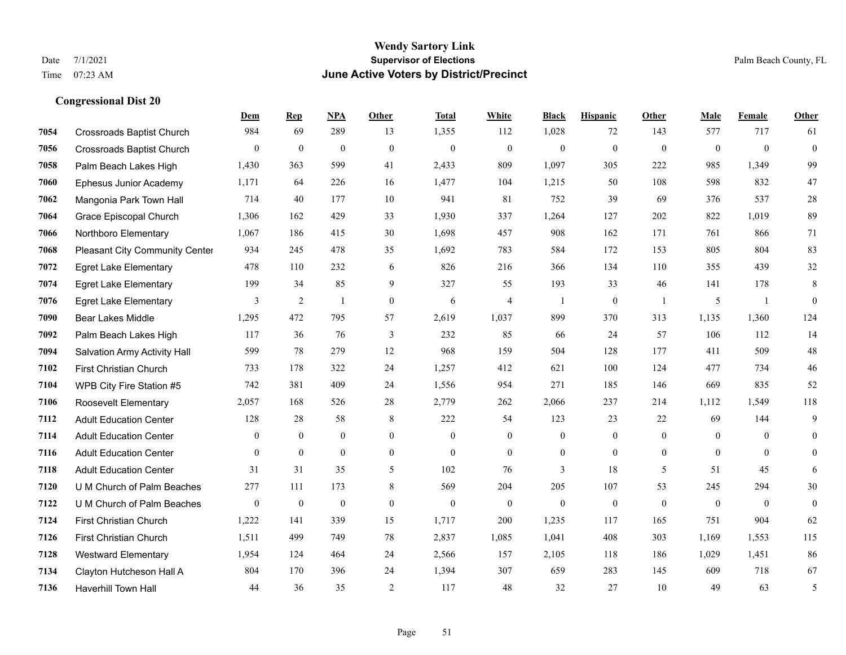|      |                                  | Dem          | <b>Rep</b>       | NPA              | <b>Other</b>   | <b>Total</b> | <b>White</b>     | <b>Black</b>     | <b>Hispanic</b>  | <b>Other</b>   | <b>Male</b>    | Female         | <b>Other</b> |
|------|----------------------------------|--------------|------------------|------------------|----------------|--------------|------------------|------------------|------------------|----------------|----------------|----------------|--------------|
| 7054 | <b>Crossroads Baptist Church</b> | 984          | 69               | 289              | 13             | 1,355        | 112              | 1,028            | 72               | 143            | 577            | 717            | 61           |
| 7056 | <b>Crossroads Baptist Church</b> | $\mathbf{0}$ | $\mathbf{0}$     | $\mathbf{0}$     | $\theta$       | $\mathbf{0}$ | $\mathbf{0}$     | $\mathbf{0}$     | $\mathbf{0}$     | $\theta$       | $\mathbf{0}$   | $\theta$       | $\mathbf{0}$ |
| 7058 | Palm Beach Lakes High            | 1,430        | 363              | 599              | 41             | 2,433        | 809              | 1,097            | 305              | 222            | 985            | 1,349          | 99           |
| 7060 | Ephesus Junior Academy           | 1,171        | 64               | 226              | 16             | 1,477        | 104              | 1,215            | 50               | 108            | 598            | 832            | $47\,$       |
| 7062 | Mangonia Park Town Hall          | 714          | 40               | 177              | 10             | 941          | 81               | 752              | 39               | 69             | 376            | 537            | $28\,$       |
| 7064 | Grace Episcopal Church           | 1,306        | 162              | 429              | 33             | 1,930        | 337              | 1,264            | 127              | 202            | 822            | 1,019          | 89           |
| 7066 | Northboro Elementary             | 1,067        | 186              | 415              | 30             | 1,698        | 457              | 908              | 162              | 171            | 761            | 866            | 71           |
| 7068 | Pleasant City Community Center   | 934          | 245              | 478              | 35             | 1,692        | 783              | 584              | 172              | 153            | 805            | 804            | 83           |
| 7072 | <b>Egret Lake Elementary</b>     | 478          | 110              | 232              | 6              | 826          | 216              | 366              | 134              | 110            | 355            | 439            | $32\,$       |
| 7074 | <b>Egret Lake Elementary</b>     | 199          | 34               | 85               | 9              | 327          | 55               | 193              | 33               | 46             | 141            | 178            | $\,8\,$      |
| 7076 | <b>Egret Lake Elementary</b>     | 3            | $\overline{2}$   | $\mathbf{1}$     | $\mathbf{0}$   | 6            | $\overline{4}$   | 1                | $\mathbf{0}$     | $\overline{1}$ | 5              | -1             | $\mathbf{0}$ |
| 7090 | <b>Bear Lakes Middle</b>         | 1,295        | 472              | 795              | 57             | 2,619        | 1,037            | 899              | 370              | 313            | 1,135          | 1.360          | 124          |
| 7092 | Palm Beach Lakes High            | 117          | 36               | 76               | $\mathfrak{Z}$ | 232          | 85               | 66               | 24               | 57             | 106            | 112            | 14           |
| 7094 | Salvation Army Activity Hall     | 599          | 78               | 279              | 12             | 968          | 159              | 504              | 128              | 177            | 411            | 509            | $48\,$       |
| 7102 | First Christian Church           | 733          | 178              | 322              | 24             | 1,257        | 412              | 621              | 100              | 124            | 477            | 734            | $46\,$       |
| 7104 | WPB City Fire Station #5         | 742          | 381              | 409              | 24             | 1,556        | 954              | 271              | 185              | 146            | 669            | 835            | 52           |
| 7106 | Roosevelt Elementary             | 2,057        | 168              | 526              | 28             | 2,779        | 262              | 2,066            | 237              | 214            | 1,112          | 1,549          | 118          |
| 7112 | <b>Adult Education Center</b>    | 128          | 28               | 58               | 8              | 222          | 54               | 123              | 23               | 22             | 69             | 144            | 9            |
| 7114 | <b>Adult Education Center</b>    | $\mathbf{0}$ | $\bf{0}$         | $\boldsymbol{0}$ | $\mathbf{0}$   | $\mathbf{0}$ | $\boldsymbol{0}$ | $\boldsymbol{0}$ | $\boldsymbol{0}$ | $\mathbf{0}$   | $\overline{0}$ | $\overline{0}$ | $\mathbf{0}$ |
| 7116 | <b>Adult Education Center</b>    | $\mathbf{0}$ | $\mathbf{0}$     | $\mathbf{0}$     | $\overline{0}$ | $\theta$     | $\overline{0}$   | $\mathbf{0}$     | $\mathbf{0}$     | $\theta$       | $\theta$       | $\theta$       | $\mathbf{0}$ |
| 7118 | <b>Adult Education Center</b>    | 31           | 31               | 35               | 5              | 102          | 76               | 3                | 18               | 5              | 51             | 45             | 6            |
| 7120 | U M Church of Palm Beaches       | 277          | 111              | 173              | 8              | 569          | 204              | 205              | 107              | 53             | 245            | 294            | $30\,$       |
| 7122 | U M Church of Palm Beaches       | $\mathbf{0}$ | $\boldsymbol{0}$ | $\mathbf{0}$     | $\theta$       | $\theta$     | $\overline{0}$   | $\mathbf{0}$     | $\mathbf{0}$     | $\theta$       | $\theta$       | $\theta$       | $\mathbf{0}$ |
| 7124 | First Christian Church           | 1,222        | 141              | 339              | 15             | 1,717        | 200              | 1,235            | 117              | 165            | 751            | 904            | 62           |
| 7126 | First Christian Church           | 1,511        | 499              | 749              | 78             | 2,837        | 1,085            | 1,041            | 408              | 303            | 1,169          | 1,553          | 115          |
| 7128 | <b>Westward Elementary</b>       | 1,954        | 124              | 464              | 24             | 2,566        | 157              | 2,105            | 118              | 186            | 1,029          | 1,451          | 86           |
| 7134 | Clayton Hutcheson Hall A         | 804          | 170              | 396              | 24             | 1,394        | 307              | 659              | 283              | 145            | 609            | 718            | 67           |
| 7136 | <b>Haverhill Town Hall</b>       | 44           | 36               | 35               | $\overline{2}$ | 117          | 48               | 32               | 27               | 10             | 49             | 63             | 5            |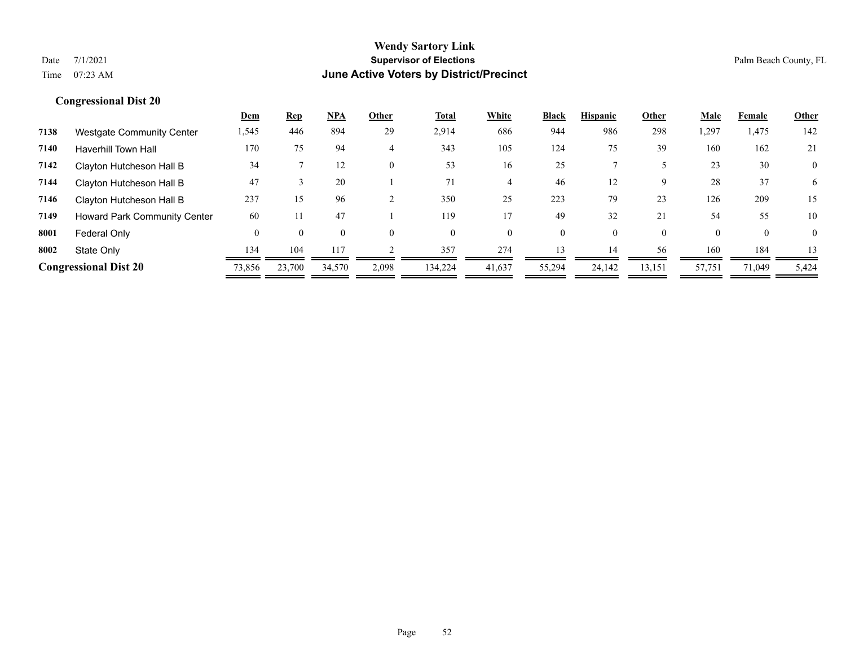|      |                                     | <b>Dem</b> | <u>Rep</u> | <u>NPA</u> | Other    | Total    | White    | <b>Black</b> | <b>Hispanic</b> | Other    | <u>Male</u> | Female   | <b>Other</b>   |
|------|-------------------------------------|------------|------------|------------|----------|----------|----------|--------------|-----------------|----------|-------------|----------|----------------|
| 7138 | <b>Westgate Community Center</b>    | 1,545      | 446        | 894        | 29       | 2,914    | 686      | 944          | 986             | 298      | 1,297       | 1,475    | 142            |
| 7140 | <b>Haverhill Town Hall</b>          | 170        | 75         | 94         | 4        | 343      | 105      | 124          | 75              | 39       | 160         | 162      | 21             |
| 7142 | Clayton Hutcheson Hall B            | 34         |            | 12         | $\Omega$ | 53       | 16       | 25           |                 |          | 23          | 30       | $\overline{0}$ |
| 7144 | Clayton Hutcheson Hall B            | 47         |            | 20         |          | 71       | 4        | 46           | 12              | 9        | 28          | 37       | 6              |
| 7146 | Clayton Hutcheson Hall B            | 237        | 15         | 96         |          | 350      | 25       | 223          | 79              | 23       | 126         | 209      | 15             |
| 7149 | <b>Howard Park Community Center</b> | 60         |            | 47         |          | 119      |          | 49           | 32              | 21       | 54          | 55       | 10             |
| 8001 | Federal Only                        | $\theta$   | 0          | $\Omega$   |          | $\theta$ | $\theta$ | $\theta$     | 0               | $\theta$ | $\Omega$    | $\Omega$ | $\theta$       |
| 8002 | State Only                          | 134        | 104        | 117        |          | 357      | 274      | 13           | 14              | 56       | 160         | 184      | 13             |
|      | <b>Congressional Dist 20</b>        | 73,856     | 23,700     | 34,570     | 2,098    | 134,224  | 41,637   | 55,294       | 24.142          | 13,151   | 57,751      | 71,049   | 5,424          |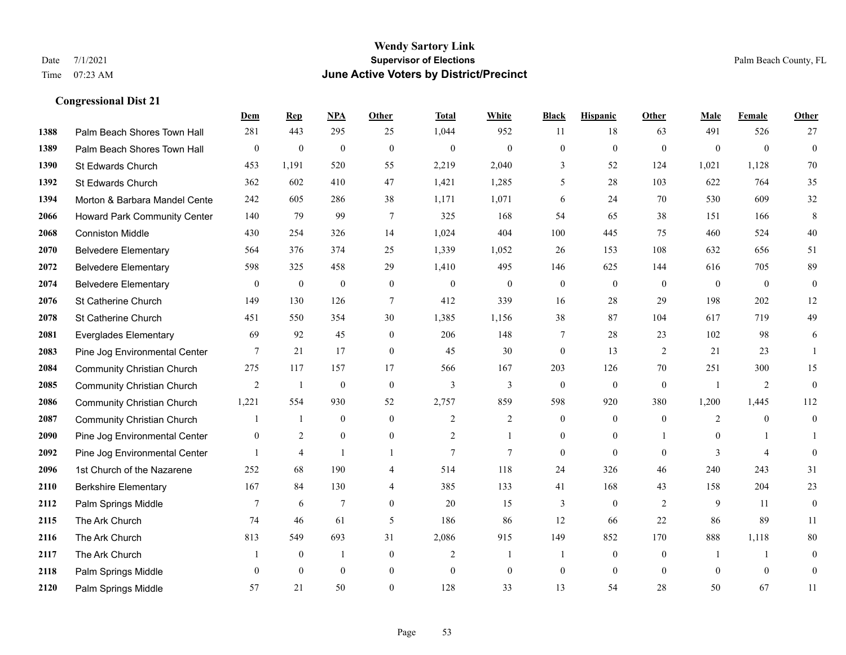|      |                                   | Dem              | <b>Rep</b>       | NPA              | <b>Other</b>     | <b>Total</b>     | <b>White</b>     | <b>Black</b>     | <b>Hispanic</b>  | <b>Other</b>   | <b>Male</b>      | Female         | Other            |
|------|-----------------------------------|------------------|------------------|------------------|------------------|------------------|------------------|------------------|------------------|----------------|------------------|----------------|------------------|
| 1388 | Palm Beach Shores Town Hall       | 281              | 443              | 295              | 25               | 1,044            | 952              | 11               | 18               | 63             | 491              | 526            | 27               |
| 1389 | Palm Beach Shores Town Hall       | $\bf{0}$         | $\boldsymbol{0}$ | $\boldsymbol{0}$ | $\mathbf{0}$     | $\boldsymbol{0}$ | $\boldsymbol{0}$ | $\boldsymbol{0}$ | $\boldsymbol{0}$ | $\mathbf{0}$   | $\mathbf{0}$     | $\overline{0}$ | $\boldsymbol{0}$ |
| 1390 | St Edwards Church                 | 453              | 1,191            | 520              | 55               | 2,219            | 2,040            | 3                | 52               | 124            | 1,021            | 1,128          | 70               |
| 1392 | St Edwards Church                 | 362              | 602              | 410              | 47               | 1,421            | 1,285            | 5                | 28               | 103            | 622              | 764            | 35               |
| 1394 | Morton & Barbara Mandel Cente     | 242              | 605              | 286              | 38               | 1,171            | 1,071            | 6                | 24               | 70             | 530              | 609            | 32               |
| 2066 | Howard Park Community Center      | 140              | 79               | 99               | 7                | 325              | 168              | 54               | 65               | 38             | 151              | 166            | 8                |
| 2068 | <b>Conniston Middle</b>           | 430              | 254              | 326              | 14               | 1,024            | 404              | 100              | 445              | 75             | 460              | 524            | $40\,$           |
| 2070 | <b>Belvedere Elementary</b>       | 564              | 376              | 374              | 25               | 1,339            | 1,052            | 26               | 153              | 108            | 632              | 656            | 51               |
| 2072 | <b>Belvedere Elementary</b>       | 598              | 325              | 458              | 29               | 1,410            | 495              | 146              | 625              | 144            | 616              | 705            | 89               |
| 2074 | <b>Belvedere Elementary</b>       | $\overline{0}$   | $\boldsymbol{0}$ | $\boldsymbol{0}$ | $\bf{0}$         | $\mathbf{0}$     | $\boldsymbol{0}$ | $\boldsymbol{0}$ | $\boldsymbol{0}$ | $\overline{0}$ | $\mathbf{0}$     | $\overline{0}$ | $\overline{0}$   |
| 2076 | St Catherine Church               | 149              | 130              | 126              | $\overline{7}$   | 412              | 339              | 16               | 28               | 29             | 198              | 202            | 12               |
| 2078 | St Catherine Church               | 451              | 550              | 354              | 30               | 1,385            | 1,156            | 38               | 87               | 104            | 617              | 719            | 49               |
| 2081 | <b>Everglades Elementary</b>      | 69               | 92               | 45               | $\mathbf{0}$     | 206              | 148              | 7                | 28               | 23             | 102              | 98             | 6                |
| 2083 | Pine Jog Environmental Center     | 7                | 21               | 17               | $\boldsymbol{0}$ | 45               | 30               | $\boldsymbol{0}$ | 13               | $\overline{2}$ | 21               | 23             | -1               |
| 2084 | <b>Community Christian Church</b> | 275              | 117              | 157              | 17               | 566              | 167              | 203              | 126              | 70             | 251              | 300            | 15               |
| 2085 | <b>Community Christian Church</b> | $\overline{2}$   | -1               | $\mathbf{0}$     | $\mathbf{0}$     | 3                | 3                | $\overline{0}$   | $\mathbf{0}$     | $\mathbf{0}$   | $\overline{1}$   | 2              | $\overline{0}$   |
| 2086 | <b>Community Christian Church</b> | 1,221            | 554              | 930              | 52               | 2,757            | 859              | 598              | 920              | 380            | 1,200            | 1,445          | 112              |
| 2087 | <b>Community Christian Church</b> |                  | $\mathbf{1}$     | $\theta$         | $\theta$         | 2                | $\overline{2}$   | $\overline{0}$   | $\overline{0}$   | $\theta$       | 2                | $\theta$       | $\boldsymbol{0}$ |
| 2090 | Pine Jog Environmental Center     | $\boldsymbol{0}$ | $\overline{2}$   | $\boldsymbol{0}$ | $\boldsymbol{0}$ | $\overline{c}$   | 1                | $\boldsymbol{0}$ | $\boldsymbol{0}$ |                | $\boldsymbol{0}$ |                | $\mathbf{1}$     |
| 2092 | Pine Jog Environmental Center     |                  | $\overline{4}$   |                  | -1               | $\overline{7}$   | 7                | $\overline{0}$   | $\overline{0}$   | $\theta$       | 3                | $\overline{4}$ | $\overline{0}$   |
| 2096 | 1st Church of the Nazarene        | 252              | 68               | 190              | 4                | 514              | 118              | 24               | 326              | 46             | 240              | 243            | 31               |
| 2110 | <b>Berkshire Elementary</b>       | 167              | 84               | 130              | 4                | 385              | 133              | 41               | 168              | 43             | 158              | 204            | 23               |
| 2112 | Palm Springs Middle               | $7\phantom{.0}$  | 6                | 7                | $\theta$         | 20               | 15               | 3                | $\overline{0}$   | 2              | 9                | 11             | $\overline{0}$   |
| 2115 | The Ark Church                    | 74               | 46               | 61               | 5                | 186              | 86               | 12               | 66               | 22             | 86               | 89             | 11               |
| 2116 | The Ark Church                    | 813              | 549              | 693              | 31               | 2,086            | 915              | 149              | 852              | 170            | 888              | 1,118          | $80\,$           |
| 2117 | The Ark Church                    |                  | $\boldsymbol{0}$ | $\overline{1}$   | $\mathbf{0}$     | 2                | $\mathbf{1}$     | $\mathbf{1}$     | $\boldsymbol{0}$ | $\mathbf{0}$   | 1                | $\mathbf{1}$   | $\boldsymbol{0}$ |
| 2118 | Palm Springs Middle               | $\mathbf{0}$     | $\theta$         | $\mathbf{0}$     | $\mathbf{0}$     | $\theta$         | $\mathbf{0}$     | $\boldsymbol{0}$ | $\overline{0}$   | $\mathbf{0}$   | $\theta$         | $\theta$       | $\boldsymbol{0}$ |
| 2120 | Palm Springs Middle               | 57               | 21               | 50               | $\theta$         | 128              | 33               | 13               | 54               | 28             | 50               | 67             | 11               |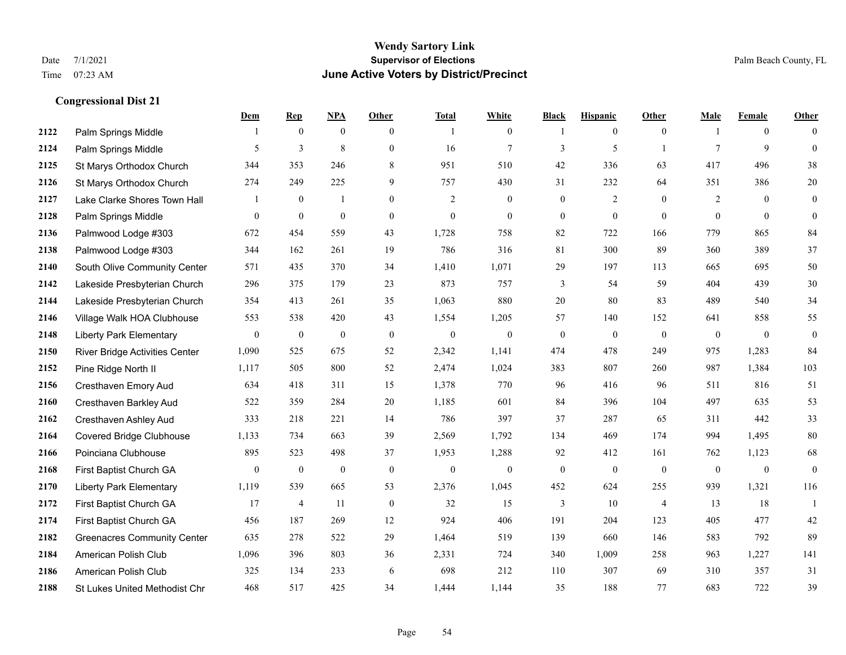|      |                                       | Dem            | <b>Rep</b>       | NPA          | <b>Other</b>     | <b>Total</b>     | <b>White</b>     | <b>Black</b>     | <b>Hispanic</b>  | <b>Other</b>   | <b>Male</b>    | Female         | <b>Other</b>     |
|------|---------------------------------------|----------------|------------------|--------------|------------------|------------------|------------------|------------------|------------------|----------------|----------------|----------------|------------------|
| 2122 | Palm Springs Middle                   | 1              | $\overline{0}$   | $\mathbf{0}$ | $\overline{0}$   | $\overline{1}$   | $\boldsymbol{0}$ | -1               | $\mathbf{0}$     | $\mathbf{0}$   |                | $\overline{0}$ | $\Omega$         |
| 2124 | Palm Springs Middle                   | 5              | $\overline{3}$   | 8            | $\overline{0}$   | 16               | $\overline{7}$   | 3                | 5                |                | $\tau$         | 9              | $\overline{0}$   |
| 2125 | St Marys Orthodox Church              | 344            | 353              | 246          | 8                | 951              | 510              | 42               | 336              | 63             | 417            | 496            | 38               |
| 2126 | St Marys Orthodox Church              | 274            | 249              | 225          | 9                | 757              | 430              | 31               | 232              | 64             | 351            | 386            | $20\,$           |
| 2127 | Lake Clarke Shores Town Hall          | 1              | $\overline{0}$   | $\mathbf{1}$ | $\overline{0}$   | 2                | $\mathbf{0}$     | $\mathbf{0}$     | 2                | $\theta$       | 2              | $\Omega$       | $\overline{0}$   |
| 2128 | Palm Springs Middle                   | 0              | $\boldsymbol{0}$ | $\mathbf{0}$ | $\mathbf{0}$     | $\boldsymbol{0}$ | $\boldsymbol{0}$ | $\mathbf{0}$     | $\boldsymbol{0}$ | $\overline{0}$ | $\overline{0}$ | $\mathbf{0}$   | $\mathbf{0}$     |
| 2136 | Palmwood Lodge #303                   | 672            | 454              | 559          | 43               | 1,728            | 758              | 82               | 722              | 166            | 779            | 865            | 84               |
| 2138 | Palmwood Lodge #303                   | 344            | 162              | 261          | 19               | 786              | 316              | 81               | 300              | 89             | 360            | 389            | 37               |
| 2140 | South Olive Community Center          | 571            | 435              | 370          | 34               | 1,410            | 1,071            | 29               | 197              | 113            | 665            | 695            | 50               |
| 2142 | Lakeside Presbyterian Church          | 296            | 375              | 179          | 23               | 873              | 757              | 3                | 54               | 59             | 404            | 439            | 30               |
| 2144 | Lakeside Presbyterian Church          | 354            | 413              | 261          | 35               | 1,063            | 880              | 20               | 80               | 83             | 489            | 540            | 34               |
| 2146 | Village Walk HOA Clubhouse            | 553            | 538              | 420          | 43               | 1,554            | 1,205            | 57               | 140              | 152            | 641            | 858            | 55               |
| 2148 | <b>Liberty Park Elementary</b>        | $\overline{0}$ | $\mathbf{0}$     | $\mathbf{0}$ | $\mathbf{0}$     | $\mathbf{0}$     | $\mathbf{0}$     | $\boldsymbol{0}$ | $\mathbf{0}$     | $\theta$       | $\overline{0}$ | $\mathbf{0}$   | $\boldsymbol{0}$ |
| 2150 | <b>River Bridge Activities Center</b> | 1,090          | 525              | 675          | 52               | 2,342            | 1,141            | 474              | 478              | 249            | 975            | 1,283          | 84               |
| 2152 | Pine Ridge North II                   | 1,117          | 505              | 800          | 52               | 2,474            | 1,024            | 383              | 807              | 260            | 987            | 1,384          | 103              |
| 2156 | Cresthaven Emory Aud                  | 634            | 418              | 311          | 15               | 1,378            | 770              | 96               | 416              | 96             | 511            | 816            | 51               |
| 2160 | Cresthaven Barkley Aud                | 522            | 359              | 284          | $20\,$           | 1,185            | 601              | 84               | 396              | 104            | 497            | 635            | 53               |
| 2162 | <b>Cresthaven Ashley Aud</b>          | 333            | 218              | 221          | 14               | 786              | 397              | 37               | 287              | 65             | 311            | 442            | 33               |
| 2164 | <b>Covered Bridge Clubhouse</b>       | 1,133          | 734              | 663          | 39               | 2,569            | 1,792            | 134              | 469              | 174            | 994            | 1,495          | 80               |
| 2166 | Poinciana Clubhouse                   | 895            | 523              | 498          | 37               | 1,953            | 1,288            | 92               | 412              | 161            | 762            | 1,123          | 68               |
| 2168 | First Baptist Church GA               | 0              | $\mathbf{0}$     | $\mathbf{0}$ | $\mathbf{0}$     | $\mathbf{0}$     | $\theta$         | $\boldsymbol{0}$ | $\overline{0}$   | $\theta$       | $\overline{0}$ | $\mathbf{0}$   | $\mathbf{0}$     |
| 2170 | <b>Liberty Park Elementary</b>        | 1,119          | 539              | 665          | 53               | 2,376            | 1,045            | 452              | 624              | 255            | 939            | 1,321          | 116              |
| 2172 | First Baptist Church GA               | 17             | 4                | 11           | $\boldsymbol{0}$ | 32               | 15               | 3                | 10               | $\overline{4}$ | 13             | 18             | $\mathbf{1}$     |
| 2174 | First Baptist Church GA               | 456            | 187              | 269          | 12               | 924              | 406              | 191              | 204              | 123            | 405            | 477            | 42               |
| 2182 | <b>Greenacres Community Center</b>    | 635            | 278              | 522          | 29               | 1.464            | 519              | 139              | 660              | 146            | 583            | 792            | 89               |
| 2184 | American Polish Club                  | 1,096          | 396              | 803          | 36               | 2,331            | 724              | 340              | 1,009            | 258            | 963            | 1,227          | 141              |
| 2186 | American Polish Club                  | 325            | 134              | 233          | 6                | 698              | 212              | 110              | 307              | 69             | 310            | 357            | 31               |
| 2188 | St Lukes United Methodist Chr         | 468            | 517              | 425          | 34               | 1,444            | 1,144            | 35               | 188              | 77             | 683            | 722            | 39               |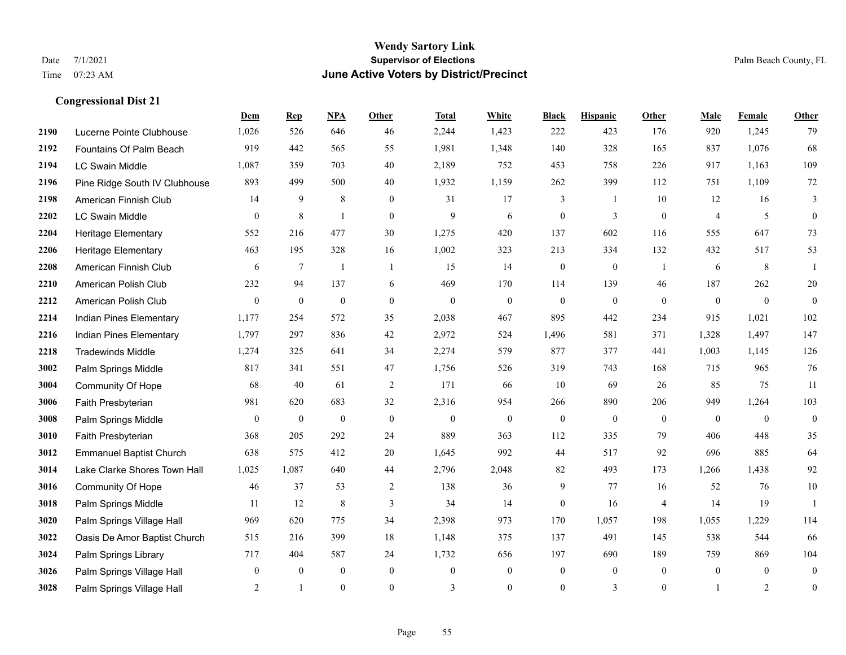|      |                                | Dem            | <b>Rep</b>     | NPA              | <b>Other</b>     | <b>Total</b> | <b>White</b>     | <b>Black</b>     | <b>Hispanic</b> | <b>Other</b>   | <b>Male</b>    | <b>Female</b>  | Other            |
|------|--------------------------------|----------------|----------------|------------------|------------------|--------------|------------------|------------------|-----------------|----------------|----------------|----------------|------------------|
| 2190 | Lucerne Pointe Clubhouse       | 1,026          | 526            | 646              | 46               | 2,244        | 1,423            | 222              | 423             | 176            | 920            | 1,245          | 79               |
| 2192 | Fountains Of Palm Beach        | 919            | 442            | 565              | 55               | 1,981        | 1,348            | 140              | 328             | 165            | 837            | 1,076          | 68               |
| 2194 | <b>LC Swain Middle</b>         | 1,087          | 359            | 703              | 40               | 2,189        | 752              | 453              | 758             | 226            | 917            | 1,163          | 109              |
| 2196 | Pine Ridge South IV Clubhouse  | 893            | 499            | 500              | 40               | 1,932        | 1,159            | 262              | 399             | 112            | 751            | 1,109          | 72               |
| 2198 | American Finnish Club          | 14             | 9              | 8                | $\overline{0}$   | 31           | 17               | 3                | -1              | 10             | 12             | 16             | 3                |
| 2202 | <b>LC Swain Middle</b>         | $\overline{0}$ | $\,8\,$        | $\overline{1}$   | $\overline{0}$   | 9            | 6                | $\boldsymbol{0}$ | 3               | $\mathbf{0}$   | $\overline{4}$ | 5              | $\overline{0}$   |
| 2204 | Heritage Elementary            | 552            | 216            | 477              | 30               | 1,275        | 420              | 137              | 602             | 116            | 555            | 647            | 73               |
| 2206 | <b>Heritage Elementary</b>     | 463            | 195            | 328              | 16               | 1,002        | 323              | 213              | 334             | 132            | 432            | 517            | 53               |
| 2208 | American Finnish Club          | 6              | $\tau$         | $\overline{1}$   | $\mathbf{1}$     | 15           | 14               | $\boldsymbol{0}$ | $\mathbf{0}$    | $\overline{1}$ | 6              | 8              | $\overline{1}$   |
| 2210 | American Polish Club           | 232            | 94             | 137              | 6                | 469          | 170              | 114              | 139             | 46             | 187            | 262            | $20\,$           |
| 2212 | American Polish Club           | $\overline{0}$ | $\overline{0}$ | $\mathbf{0}$     | $\overline{0}$   | $\mathbf{0}$ | $\overline{0}$   | $\mathbf{0}$     | $\mathbf{0}$    | $\theta$       | $\overline{0}$ | $\overline{0}$ | $\overline{0}$   |
| 2214 | Indian Pines Elementary        | 1,177          | 254            | 572              | 35               | 2,038        | 467              | 895              | 442             | 234            | 915            | 1,021          | 102              |
| 2216 | Indian Pines Elementary        | 1,797          | 297            | 836              | 42               | 2,972        | 524              | 1,496            | 581             | 371            | 1,328          | 1,497          | 147              |
| 2218 | <b>Tradewinds Middle</b>       | 1,274          | 325            | 641              | 34               | 2,274        | 579              | 877              | 377             | 441            | 1,003          | 1,145          | 126              |
| 3002 | Palm Springs Middle            | 817            | 341            | 551              | 47               | 1,756        | 526              | 319              | 743             | 168            | 715            | 965            | 76               |
| 3004 | Community Of Hope              | 68             | 40             | 61               | $\overline{2}$   | 171          | 66               | 10               | 69              | 26             | 85             | 75             | 11               |
| 3006 | Faith Presbyterian             | 981            | 620            | 683              | 32               | 2,316        | 954              | 266              | 890             | 206            | 949            | 1,264          | 103              |
| 3008 | Palm Springs Middle            | $\overline{0}$ | $\mathbf{0}$   | $\mathbf{0}$     | $\theta$         | $\theta$     | $\mathbf{0}$     | $\mathbf{0}$     | $\mathbf{0}$    | $\theta$       | $\theta$       | $\theta$       | $\mathbf{0}$     |
| 3010 | Faith Presbyterian             | 368            | 205            | 292              | 24               | 889          | 363              | 112              | 335             | 79             | 406            | 448            | 35               |
| 3012 | <b>Emmanuel Baptist Church</b> | 638            | 575            | 412              | 20               | 1,645        | 992              | 44               | 517             | 92             | 696            | 885            | 64               |
| 3014 | Lake Clarke Shores Town Hall   | 1,025          | 1,087          | 640              | 44               | 2,796        | 2,048            | 82               | 493             | 173            | 1,266          | 1,438          | 92               |
| 3016 | Community Of Hope              | 46             | 37             | 53               | 2                | 138          | 36               | 9                | 77              | 16             | 52             | 76             | $10\,$           |
| 3018 | Palm Springs Middle            | 11             | 12             | 8                | 3                | 34           | 14               | $\mathbf{0}$     | 16              | $\overline{4}$ | 14             | 19             | $\overline{1}$   |
| 3020 | Palm Springs Village Hall      | 969            | 620            | 775              | 34               | 2,398        | 973              | 170              | 1,057           | 198            | 1,055          | 1,229          | 114              |
| 3022 | Oasis De Amor Baptist Church   | 515            | 216            | 399              | 18               | 1,148        | 375              | 137              | 491             | 145            | 538            | 544            | 66               |
| 3024 | Palm Springs Library           | 717            | 404            | 587              | 24               | 1,732        | 656              | 197              | 690             | 189            | 759            | 869            | 104              |
| 3026 | Palm Springs Village Hall      | 0              | $\mathbf{0}$   | $\boldsymbol{0}$ | $\boldsymbol{0}$ | $\mathbf{0}$ | $\boldsymbol{0}$ | $\boldsymbol{0}$ | $\mathbf{0}$    | $\mathbf{0}$   | $\mathbf{0}$   | $\overline{0}$ | $\overline{0}$   |
| 3028 | Palm Springs Village Hall      | 2              | $\mathbf{1}$   | $\mathbf{0}$     | $\Omega$         | 3            | $\overline{0}$   | $\mathbf{0}$     | 3               | $\mathbf{0}$   |                | 2              | $\boldsymbol{0}$ |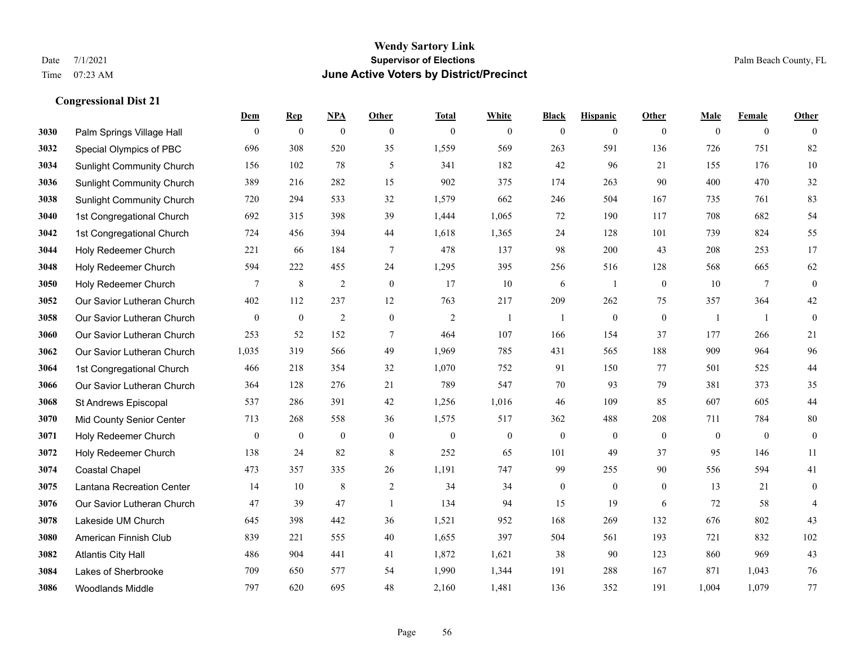|      |                                  | Dem              | <b>Rep</b>       | NPA              | <b>Other</b>     | <b>Total</b>     | <b>White</b>     | <b>Black</b>     | <b>Hispanic</b>  | <b>Other</b>     | <b>Male</b>      | <b>Female</b>  | <b>Other</b>     |
|------|----------------------------------|------------------|------------------|------------------|------------------|------------------|------------------|------------------|------------------|------------------|------------------|----------------|------------------|
| 3030 | Palm Springs Village Hall        | $\mathbf{0}$     | $\boldsymbol{0}$ | $\boldsymbol{0}$ | $\mathbf{0}$     | $\mathbf{0}$     | $\overline{0}$   | $\mathbf{0}$     | $\mathbf{0}$     | $\mathbf{0}$     | $\mathbf{0}$     | $\overline{0}$ | $\theta$         |
| 3032 | Special Olympics of PBC          | 696              | 308              | 520              | 35               | 1,559            | 569              | 263              | 591              | 136              | 726              | 751            | 82               |
| 3034 | <b>Sunlight Community Church</b> | 156              | 102              | 78               | 5                | 341              | 182              | 42               | 96               | 21               | 155              | 176            | $10\,$           |
| 3036 | <b>Sunlight Community Church</b> | 389              | 216              | 282              | 15               | 902              | 375              | 174              | 263              | 90               | 400              | 470            | 32               |
| 3038 | <b>Sunlight Community Church</b> | 720              | 294              | 533              | 32               | 1,579            | 662              | 246              | 504              | 167              | 735              | 761            | 83               |
| 3040 | 1st Congregational Church        | 692              | 315              | 398              | 39               | 1,444            | 1,065            | 72               | 190              | 117              | 708              | 682            | 54               |
| 3042 | 1st Congregational Church        | 724              | 456              | 394              | 44               | 1,618            | 1,365            | 24               | 128              | 101              | 739              | 824            | 55               |
| 3044 | Holy Redeemer Church             | 221              | 66               | 184              | $\tau$           | 478              | 137              | 98               | 200              | 43               | 208              | 253            | 17               |
| 3048 | Holy Redeemer Church             | 594              | 222              | 455              | 24               | 1,295            | 395              | 256              | 516              | 128              | 568              | 665            | 62               |
| 3050 | Holy Redeemer Church             | 7                | $\,8\,$          | 2                | $\mathbf{0}$     | 17               | 10               | 6                | 1                | $\overline{0}$   | 10               | 7              | $\boldsymbol{0}$ |
| 3052 | Our Savior Lutheran Church       | 402              | 112              | 237              | 12               | 763              | 217              | 209              | 262              | 75               | 357              | 364            | $42\,$           |
| 3058 | Our Savior Lutheran Church       | $\mathbf{0}$     | $\boldsymbol{0}$ | 2                | $\mathbf{0}$     | $\overline{2}$   | -1               | 1                | $\boldsymbol{0}$ | $\mathbf{0}$     | -1               | -1             | $\boldsymbol{0}$ |
| 3060 | Our Savior Lutheran Church       | 253              | 52               | 152              | $\tau$           | 464              | 107              | 166              | 154              | 37               | 177              | 266            | 21               |
| 3062 | Our Savior Lutheran Church       | 1,035            | 319              | 566              | 49               | 1,969            | 785              | 431              | 565              | 188              | 909              | 964            | 96               |
| 3064 | 1st Congregational Church        | 466              | 218              | 354              | 32               | 1,070            | 752              | 91               | 150              | 77               | 501              | 525            | $44\,$           |
| 3066 | Our Savior Lutheran Church       | 364              | 128              | 276              | 21               | 789              | 547              | 70               | 93               | 79               | 381              | 373            | 35               |
| 3068 | St Andrews Episcopal             | 537              | 286              | 391              | 42               | 1,256            | 1,016            | 46               | 109              | 85               | 607              | 605            | $44$             |
| 3070 | Mid County Senior Center         | 713              | 268              | 558              | 36               | 1,575            | 517              | 362              | 488              | 208              | 711              | 784            | $80\,$           |
| 3071 | Holy Redeemer Church             | $\boldsymbol{0}$ | $\boldsymbol{0}$ | $\boldsymbol{0}$ | $\boldsymbol{0}$ | $\boldsymbol{0}$ | $\boldsymbol{0}$ | $\boldsymbol{0}$ | $\boldsymbol{0}$ | $\boldsymbol{0}$ | $\boldsymbol{0}$ | $\mathbf{0}$   | $\boldsymbol{0}$ |
| 3072 | Holy Redeemer Church             | 138              | 24               | 82               | 8                | 252              | 65               | 101              | 49               | 37               | 95               | 146            | 11               |
| 3074 | <b>Coastal Chapel</b>            | 473              | 357              | 335              | 26               | 1,191            | 747              | 99               | 255              | 90               | 556              | 594            | 41               |
| 3075 | Lantana Recreation Center        | 14               | 10               | 8                | $\overline{c}$   | 34               | 34               | $\boldsymbol{0}$ | $\boldsymbol{0}$ | $\overline{0}$   | 13               | 21             | $\boldsymbol{0}$ |
| 3076 | Our Savior Lutheran Church       | 47               | 39               | 47               | $\overline{1}$   | 134              | 94               | 15               | 19               | 6                | 72               | 58             | $\overline{4}$   |
| 3078 | Lakeside UM Church               | 645              | 398              | 442              | 36               | 1,521            | 952              | 168              | 269              | 132              | 676              | 802            | 43               |
| 3080 | American Finnish Club            | 839              | 221              | 555              | 40               | 1,655            | 397              | 504              | 561              | 193              | 721              | 832            | 102              |
| 3082 | <b>Atlantis City Hall</b>        | 486              | 904              | 441              | 41               | 1,872            | 1,621            | 38               | 90               | 123              | 860              | 969            | 43               |
| 3084 | Lakes of Sherbrooke              | 709              | 650              | 577              | 54               | 1,990            | 1,344            | 191              | 288              | 167              | 871              | 1,043          | 76               |
| 3086 | <b>Woodlands Middle</b>          | 797              | 620              | 695              | 48               | 2,160            | 1,481            | 136              | 352              | 191              | 1,004            | 1,079          | 77               |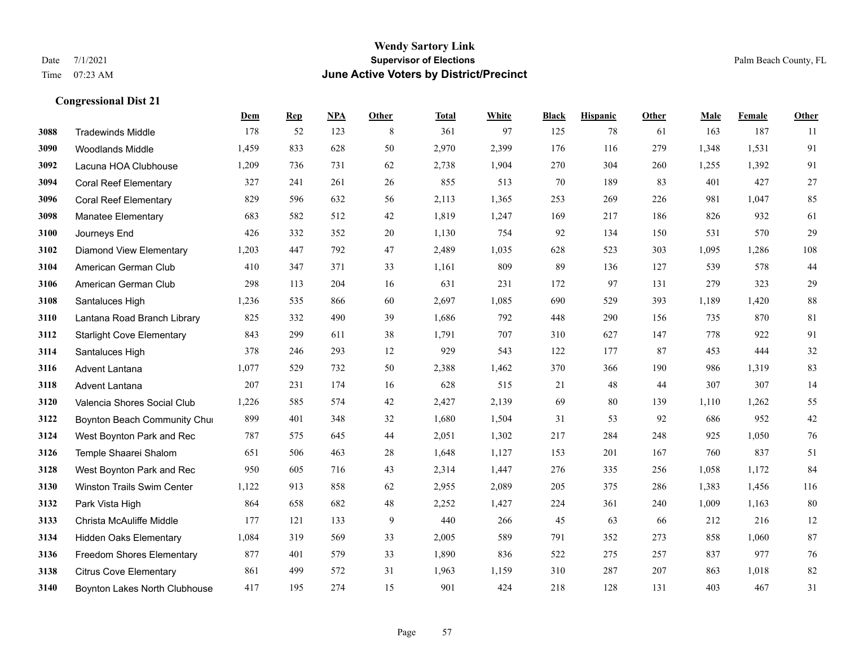#### **Wendy Sartory Link** Date 7/1/2021 **Supervisor of Elections** Palm Beach County, FL Time 07:23 AM **June Active Voters by District/Precinct**

# **Dem Rep NPA Other Total White Black Hispanic Other Male Female Other** Tradewinds Middle 178 52 123 8 361 97 125 78 61 163 187 11 Woodlands Middle 1,459 833 628 50 2,970 2,399 176 116 279 1,348 1,531 91 Lacuna HOA Clubhouse 1,209 736 731 62 2,738 1,904 270 304 260 1,255 1,392 91 Coral Reef Elementary 327 241 261 26 855 513 70 189 83 401 427 27 Coral Reef Elementary 829 596 632 56 2,113 1,365 253 269 226 981 1,047 85 Manatee Elementary 683 582 512 42 1,819 1,247 169 217 186 826 932 61 Journeys End 426 332 352 20 1,130 754 92 134 150 531 570 29 Diamond View Elementary 1,203 447 792 47 2,489 1,035 628 523 303 1,095 1,286 108 American German Club 410 347 371 33 1,161 809 89 136 127 539 578 44 American German Club 298 113 204 16 631 231 172 97 131 279 323 29 Santaluces High 1,236 535 866 60 2,697 1,085 690 529 393 1,189 1,420 88 Lantana Road Branch Library 825 332 490 39 1,686 792 448 290 156 735 870 81 Starlight Cove Elementary 843 299 611 38 1,791 707 310 627 147 778 922 91 Santaluces High 378 246 293 12 929 543 122 177 87 453 444 32 Advent Lantana 1,077 529 732 50 2,388 1,462 370 366 190 986 1,319 83 Advent Lantana 207 231 174 16 628 515 21 48 44 307 307 14 Valencia Shores Social Club 1,226 585 574 42 2,427 2,139 69 80 139 1,110 1,262 55 **3122 Boynton Beach Community Chu**rch 899 401 348 32 1,680 1,504 31 53 92 686 952 42 West Boynton Park and Rec 787 575 645 44 2,051 1,302 217 284 248 925 1,050 76 Temple Shaarei Shalom 651 506 463 28 1,648 1,127 153 201 167 760 837 51 West Boynton Park and Rec 950 605 716 43 2,314 1,447 276 335 256 1,058 1,172 84 Winston Trails Swim Center 1,122 913 858 62 2,955 2,089 205 375 286 1,383 1,456 116 Park Vista High 864 658 682 48 2,252 1,427 224 361 240 1,009 1,163 80 Christa McAuliffe Middle 177 121 133 9 440 266 45 63 66 212 216 12 Hidden Oaks Elementary 1,084 319 569 33 2,005 589 791 352 273 858 1,060 87 Freedom Shores Elementary 877 401 579 33 1,890 836 522 275 257 837 977 76 Citrus Cove Elementary 861 499 572 31 1,963 1,159 310 287 207 863 1,018 82 Boynton Lakes North Clubhouse 417 195 274 15 901 424 218 128 131 403 467 31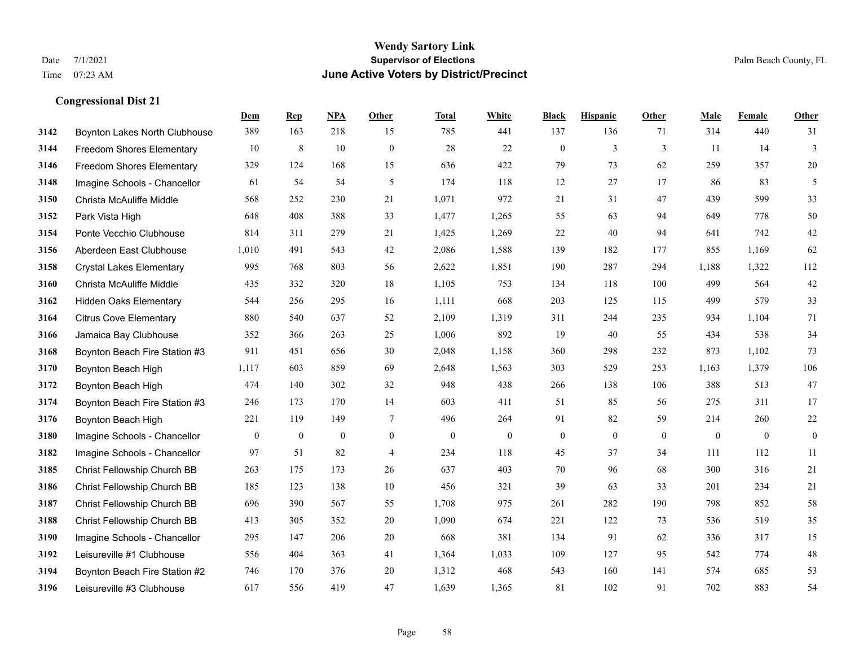#### **Wendy Sartory Link** Date 7/1/2021 **Supervisor of Elections** Palm Beach County, FL Time 07:23 AM **June Active Voters by District/Precinct**

**Dem Rep NPA Other Total White Black Hispanic Other Male Female Other**

# Boynton Lakes North Clubhouse 389 163 218 15 785 441 137 136 71 314 440 31 Freedom Shores Elementary 10 8 10 0 28 22 0 3 3 11 14 3 Freedom Shores Elementary 329 124 168 15 636 422 79 73 62 259 357 20 Imagine Schools - Chancellor 61 54 54 5 61 54 5 174 118 12 27 17 86 83 5 Christa McAuliffe Middle 568 252 230 21 1,071 972 21 31 47 439 599 33 Park Vista High 648 408 388 33 1,477 1,265 55 63 94 649 778 50 Ponte Vecchio Clubhouse 814 311 279 21 1,425 1,269 22 40 94 641 742 42 Aberdeen East Clubhouse 1,010 491 543 42 2,086 1,588 139 182 177 855 1,169 62 Crystal Lakes Elementary 995 768 803 56 2,622 1,851 190 287 294 1,188 1,322 112 Christa McAuliffe Middle 435 332 320 18 1,105 753 134 118 100 499 564 42 Hidden Oaks Elementary 544 256 295 16 1,111 668 203 125 115 499 579 33 Citrus Cove Elementary 880 540 637 52 2,109 1,319 311 244 235 934 1,104 71 Jamaica Bay Clubhouse 352 366 263 25 1,006 892 19 40 55 434 538 34 Boynton Beach Fire Station #3 911 451 656 30 2,048 1,158 360 298 232 873 1,102 73 Boynton Beach High 1,117 603 859 69 2,648 1,563 303 529 253 1,163 1,379 106 Boynton Beach High 474 140 302 32 948 438 266 138 106 388 513 47 Boynton Beach Fire Station #3 246 173 170 14 603 411 51 85 56 275 311 17 Boynton Beach High 221 119 149 7 496 264 91 82 59 214 260 22 Imagine Schools - Chancellor 0 0 0 0 0 0 0 0 0 0 0 0 Imagine Schools - Chancellor 97 51 82 4 234 118 45 37 34 111 112 11 Christ Fellowship Church BB 263 175 173 26 637 403 70 96 68 300 316 21 Christ Fellowship Church BB 185 123 138 10 456 321 39 63 33 201 234 21 Christ Fellowship Church BB 696 390 567 55 1,708 975 261 282 190 798 852 58 Christ Fellowship Church BB 413 305 352 20 1,090 674 221 122 73 536 519 35 Imagine Schools - Chancellor 295 147 206 20 668 381 134 91 62 336 317 15 Leisureville #1 Clubhouse 556 404 363 41 1,364 1,033 109 127 95 542 774 48 Boynton Beach Fire Station #2 746 170 376 20 1,312 468 543 160 141 574 685 53

Leisureville #3 Clubhouse 617 556 419 47 1,639 1,365 81 102 91 702 883 54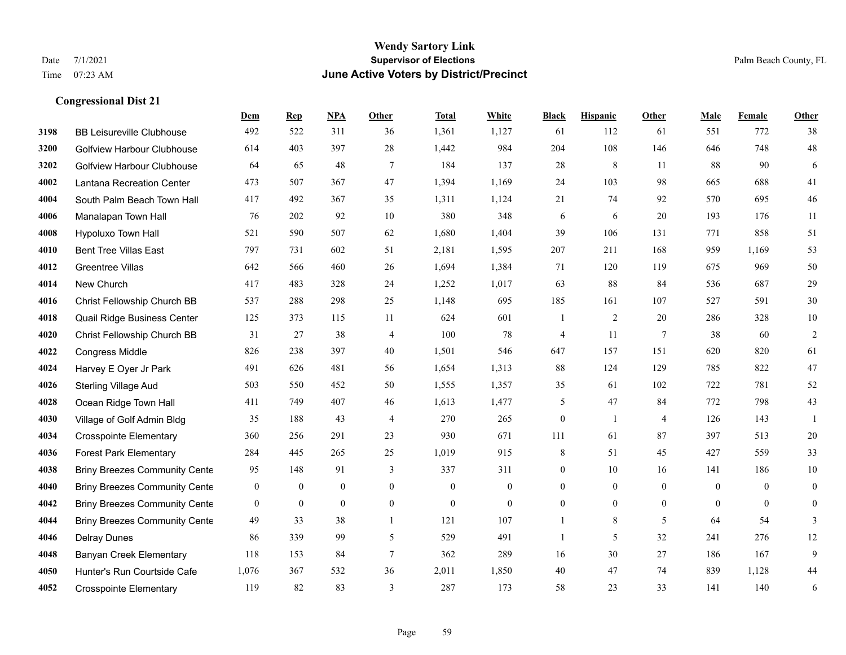|      |                                      | Dem              | <b>Rep</b>       | NPA            | <b>Other</b>   | <b>Total</b>     | White            | <b>Black</b>     | <b>Hispanic</b>  | <b>Other</b>    | <b>Male</b>  | Female         | <b>Other</b>     |
|------|--------------------------------------|------------------|------------------|----------------|----------------|------------------|------------------|------------------|------------------|-----------------|--------------|----------------|------------------|
| 3198 | <b>BB Leisureville Clubhouse</b>     | 492              | 522              | 311            | 36             | 1,361            | 1,127            | 61               | 112              | 61              | 551          | 772            | 38               |
| 3200 | <b>Golfview Harbour Clubhouse</b>    | 614              | 403              | 397            | 28             | 1,442            | 984              | 204              | 108              | 146             | 646          | 748            | $48\,$           |
| 3202 | <b>Golfview Harbour Clubhouse</b>    | 64               | 65               | 48             | $\tau$         | 184              | 137              | 28               | 8                | 11              | 88           | 90             | 6                |
| 4002 | Lantana Recreation Center            | 473              | 507              | 367            | 47             | 1,394            | 1,169            | 24               | 103              | 98              | 665          | 688            | 41               |
| 4004 | South Palm Beach Town Hall           | 417              | 492              | 367            | 35             | 1,311            | 1,124            | 21               | 74               | 92              | 570          | 695            | $46\,$           |
| 4006 | Manalapan Town Hall                  | 76               | 202              | 92             | 10             | 380              | 348              | 6                | 6                | 20              | 193          | 176            | 11               |
| 4008 | Hypoluxo Town Hall                   | 521              | 590              | 507            | 62             | 1,680            | 1,404            | 39               | 106              | 131             | 771          | 858            | 51               |
| 4010 | <b>Bent Tree Villas East</b>         | 797              | 731              | 602            | 51             | 2,181            | 1,595            | 207              | 211              | 168             | 959          | 1,169          | 53               |
| 4012 | <b>Greentree Villas</b>              | 642              | 566              | 460            | 26             | 1,694            | 1,384            | 71               | 120              | 119             | 675          | 969            | 50               |
| 4014 | New Church                           | 417              | 483              | 328            | 24             | 1,252            | 1,017            | 63               | 88               | 84              | 536          | 687            | 29               |
| 4016 | Christ Fellowship Church BB          | 537              | 288              | 298            | 25             | 1,148            | 695              | 185              | 161              | 107             | 527          | 591            | $30\,$           |
| 4018 | Quail Ridge Business Center          | 125              | 373              | 115            | 11             | 624              | 601              | $\mathbf{1}$     | 2                | 20              | 286          | 328            | $10\,$           |
| 4020 | Christ Fellowship Church BB          | 31               | 27               | 38             | $\overline{4}$ | 100              | 78               | $\overline{4}$   | 11               | $7\phantom{.0}$ | 38           | 60             | $\sqrt{2}$       |
| 4022 | <b>Congress Middle</b>               | 826              | 238              | 397            | 40             | 1,501            | 546              | 647              | 157              | 151             | 620          | 820            | 61               |
| 4024 | Harvey E Oyer Jr Park                | 491              | 626              | 481            | 56             | 1,654            | 1,313            | 88               | 124              | 129             | 785          | 822            | 47               |
| 4026 | <b>Sterling Village Aud</b>          | 503              | 550              | 452            | 50             | 1,555            | 1,357            | 35               | 61               | 102             | 722          | 781            | $52\,$           |
| 4028 | Ocean Ridge Town Hall                | 411              | 749              | 407            | 46             | 1,613            | 1,477            | 5                | 47               | 84              | 772          | 798            | 43               |
| 4030 | Village of Golf Admin Bldg           | 35               | 188              | 43             | 4              | 270              | 265              | $\boldsymbol{0}$ | 1                | $\overline{4}$  | 126          | 143            |                  |
| 4034 | <b>Crosspointe Elementary</b>        | 360              | 256              | 291            | 23             | 930              | 671              | 111              | 61               | 87              | 397          | 513            | $20\,$           |
| 4036 | <b>Forest Park Elementary</b>        | 284              | 445              | 265            | 25             | 1,019            | 915              | $\,8\,$          | 51               | 45              | 427          | 559            | 33               |
| 4038 | <b>Briny Breezes Community Cente</b> | 95               | 148              | 91             | 3              | 337              | 311              | $\boldsymbol{0}$ | 10               | 16              | 141          | 186            | $10\,$           |
| 4040 | <b>Briny Breezes Community Cente</b> | $\boldsymbol{0}$ | $\boldsymbol{0}$ | $\mathbf{0}$   | $\mathbf{0}$   | $\boldsymbol{0}$ | $\boldsymbol{0}$ | $\boldsymbol{0}$ | $\boldsymbol{0}$ | $\mathbf{0}$    | $\mathbf{0}$ | $\overline{0}$ | $\boldsymbol{0}$ |
| 4042 | <b>Briny Breezes Community Cente</b> | $\overline{0}$   | $\mathbf{0}$     | $\overline{0}$ | $\overline{0}$ | $\mathbf{0}$     | $\mathbf{0}$     | $\boldsymbol{0}$ | $\overline{0}$   | $\overline{0}$  | $\theta$     | $\theta$       | $\boldsymbol{0}$ |
| 4044 | <b>Briny Breezes Community Cente</b> | 49               | 33               | 38             | $\mathbf{1}$   | 121              | 107              | 1                | 8                | 5               | 64           | 54             | 3                |
| 4046 | <b>Delray Dunes</b>                  | 86               | 339              | 99             | 5              | 529              | 491              | 1                | 5                | 32              | 241          | 276            | 12               |
| 4048 | <b>Banyan Creek Elementary</b>       | 118              | 153              | 84             | 7              | 362              | 289              | 16               | 30               | 27              | 186          | 167            | 9                |
| 4050 | Hunter's Run Courtside Cafe          | 1,076            | 367              | 532            | 36             | 2,011            | 1,850            | 40               | 47               | 74              | 839          | 1,128          | $44\,$           |
| 4052 | <b>Crosspointe Elementary</b>        | 119              | 82               | 83             | 3              | 287              | 173              | 58               | 23               | 33              | 141          | 140            | 6                |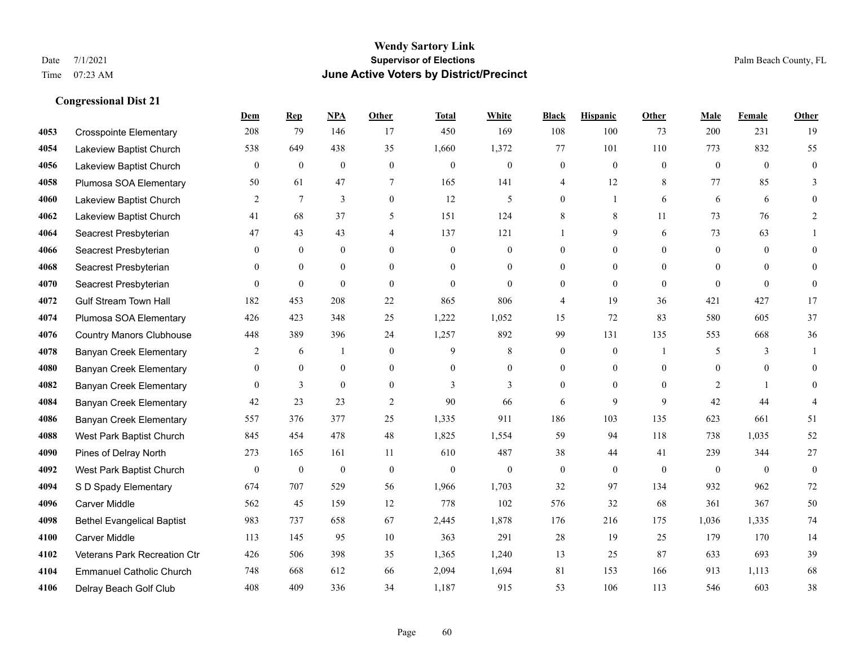### **Wendy Sartory Link** Date 7/1/2021 **Supervisor of Elections** Palm Beach County, FL Time 07:23 AM **June Active Voters by District/Precinct**

# **Dem Rep NPA Other Total White Black Hispanic Other Male Female Other** Crosspointe Elementary 208 79 146 17 450 169 108 100 73 200 231 19 Lakeview Baptist Church 538 649 438 35 1,660 1,372 77 101 110 773 832 55 Lakeview Baptist Church 0 0 0 0 0 0 0 0 0 0 0 0 Plumosa SOA Elementary 50 61 47 7 165 141 4 12 8 77 85 3 Lakeview Baptist Church 2 7 3 0 12 5 0 1 6 6 6 0 Lakeview Baptist Church 41 68 37 5 151 124 8 8 11 73 76 2 Seacrest Presbyterian **47** 43 43 4 4 137 121 1 9 6 73 63 1 Seacrest Presbyterian 0 0 0 0 0 0 0 0 0 0 0 0 Seacrest Presbyterian 0 0 0 0 0 0 0 0 0 0 0 0 Seacrest Presbyterian 0 0 0 0 0 0 0 0 0 0 0 0 Gulf Stream Town Hall 182 453 208 22 865 806 4 19 36 421 427 17 Plumosa SOA Elementary 426 423 348 25 1,222 1,052 15 72 83 580 605 37 Country Manors Clubhouse 448 389 396 24 1,257 892 99 131 135 553 668 36 Banyan Creek Elementary 2 6 1 0 9 8 0 0 1 5 3 1 Banyan Creek Elementary 0 0 0 0 0 0 0 0 0 0 0 0 **4082 Banyan Creek Elementary 0 3 0 0 3 3 3 0 0 0 2 1 0 4084 Banyan Creek Elementary 42 23 23 2 90 66 6 9 9 42 44 4**  Banyan Creek Elementary 557 376 377 25 1,335 911 186 103 135 623 661 51 West Park Baptist Church 845 454 478 48 1,825 1,554 59 94 118 738 1,035 52 Pines of Delray North 273 165 161 11 610 487 38 44 41 239 344 27 West Park Baptist Church 0 0 0 0 0 0 0 0 0 0 0 0 S D Spady Elementary 674 707 529 56 1,966 1,703 32 97 134 932 962 72 Carver Middle 562 45 159 12 778 102 576 32 68 361 367 50 Bethel Evangelical Baptist 983 737 658 67 2,445 1,878 176 216 175 1,036 1,335 74 Carver Middle 113 145 95 10 363 291 28 19 25 179 170 14 Veterans Park Recreation Ctr 426 506 398 35 1,365 1,240 13 25 87 633 693 39 Emmanuel Catholic Church 748 668 612 66 2,094 1,694 81 153 166 913 1,113 68 Delray Beach Golf Club 408 409 336 34 1,187 915 53 106 113 546 603 38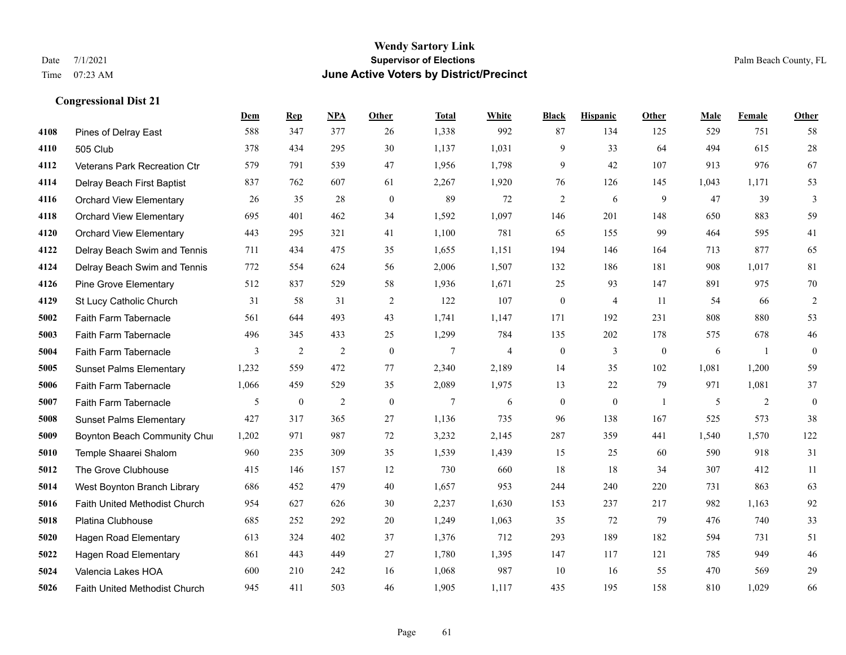#### **Wendy Sartory Link** Date 7/1/2021 **Supervisor of Elections** Palm Beach County, FL Time 07:23 AM **June Active Voters by District/Precinct**

**Dem Rep NPA Other Total White Black Hispanic Other Male Female Other**

# Pines of Delray East 588 347 377 26 1,338 992 87 134 125 529 751 58 505 Club 378 434 295 30 1,137 1,031 9 33 64 494 615 28 Veterans Park Recreation Ctr 579 791 539 47 1,956 1,798 9 42 107 913 976 67 Delray Beach First Baptist 837 762 607 61 2,267 1,920 76 126 145 1,043 1,171 53 Orchard View Elementary 26 35 28 0 89 72 2 6 9 47 39 3 Orchard View Elementary 695 401 462 34 1,592 1,097 146 201 148 650 883 59 Orchard View Elementary 443 295 321 41 1,100 781 65 155 99 464 595 41 Delray Beach Swim and Tennis 711 434 475 35 1,655 1,151 194 146 164 713 877 65 Delray Beach Swim and Tennis 772 554 624 56 2,006 1,507 132 186 181 908 1,017 81 Pine Grove Elementary 512 837 529 58 1,936 1,671 25 93 147 891 975 70 St Lucy Catholic Church 31 58 31 2 122 107 0 4 11 54 66 2 Faith Farm Tabernacle 561 644 493 43 1,741 1,147 171 192 231 808 880 53 Faith Farm Tabernacle 496 345 433 25 1,299 784 135 202 178 575 678 46 Faith Farm Tabernacle 3 2 2 0 7 4 0 3 0 6 1 0 Sunset Palms Elementary 1,232 559 472 77 2,340 2,189 14 35 102 1,081 1,200 59 Faith Farm Tabernacle 1,066 459 529 35 2,089 1,975 13 22 79 971 1,081 37 Faith Farm Tabernacle 5 0 2 0 7 6 0 0 1 5 2 0 Sunset Palms Elementary 427 317 365 27 1,136 735 96 138 167 525 573 38 Boynton Beach Community Church 1,202 971 987 72 3,232 2,145 287 359 441 1,540 1,570 122 Temple Shaarei Shalom 960 235 309 35 1,539 1,439 15 25 60 590 918 31 The Grove Clubhouse 415 146 157 12 730 660 18 18 34 307 412 11 West Boynton Branch Library 686 452 479 40 1,657 953 244 240 220 731 863 63 Faith United Methodist Church 954 627 626 30 2,237 1,630 153 237 217 982 1,163 92 Platina Clubhouse 685 252 292 20 1,249 1,063 35 72 79 476 740 33 Hagen Road Elementary 613 324 402 37 1,376 712 293 189 182 594 731 51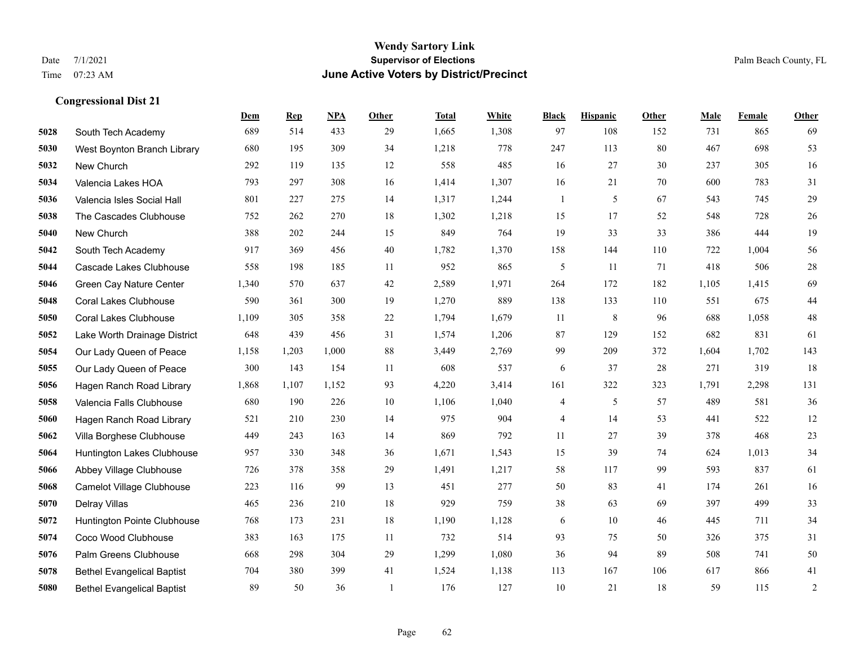|      |                                   | Dem   | <b>Rep</b> | NPA   | <b>Other</b> | <b>Total</b> | White | <b>Black</b> | <b>Hispanic</b> | Other | <b>Male</b> | Female | <b>Other</b>   |
|------|-----------------------------------|-------|------------|-------|--------------|--------------|-------|--------------|-----------------|-------|-------------|--------|----------------|
| 5028 | South Tech Academy                | 689   | 514        | 433   | 29           | 1,665        | 1,308 | 97           | 108             | 152   | 731         | 865    | 69             |
| 5030 | West Boynton Branch Library       | 680   | 195        | 309   | 34           | 1,218        | 778   | 247          | 113             | 80    | 467         | 698    | 53             |
| 5032 | New Church                        | 292   | 119        | 135   | 12           | 558          | 485   | 16           | 27              | 30    | 237         | 305    | 16             |
| 5034 | Valencia Lakes HOA                | 793   | 297        | 308   | 16           | 1,414        | 1,307 | 16           | 21              | 70    | 600         | 783    | 31             |
| 5036 | Valencia Isles Social Hall        | 801   | 227        | 275   | 14           | 1,317        | 1,244 | $\mathbf{1}$ | 5               | 67    | 543         | 745    | $29\,$         |
| 5038 | The Cascades Clubhouse            | 752   | 262        | 270   | 18           | 1,302        | 1,218 | 15           | 17              | 52    | 548         | 728    | $26\,$         |
| 5040 | New Church                        | 388   | 202        | 244   | 15           | 849          | 764   | 19           | 33              | 33    | 386         | 444    | 19             |
| 5042 | South Tech Academy                | 917   | 369        | 456   | 40           | 1,782        | 1,370 | 158          | 144             | 110   | 722         | 1,004  | 56             |
| 5044 | Cascade Lakes Clubhouse           | 558   | 198        | 185   | 11           | 952          | 865   | 5            | 11              | 71    | 418         | 506    | $28\,$         |
| 5046 | Green Cay Nature Center           | 1,340 | 570        | 637   | 42           | 2,589        | 1,971 | 264          | 172             | 182   | 1,105       | 1,415  | 69             |
| 5048 | <b>Coral Lakes Clubhouse</b>      | 590   | 361        | 300   | 19           | 1,270        | 889   | 138          | 133             | 110   | 551         | 675    | $44\,$         |
| 5050 | <b>Coral Lakes Clubhouse</b>      | 1,109 | 305        | 358   | 22           | 1,794        | 1,679 | 11           | 8               | 96    | 688         | 1,058  | $48\,$         |
| 5052 | Lake Worth Drainage District      | 648   | 439        | 456   | 31           | 1,574        | 1,206 | $87\,$       | 129             | 152   | 682         | 831    | 61             |
| 5054 | Our Lady Queen of Peace           | 1,158 | 1,203      | 1,000 | 88           | 3,449        | 2,769 | 99           | 209             | 372   | 1,604       | 1,702  | 143            |
| 5055 | Our Lady Queen of Peace           | 300   | 143        | 154   | 11           | 608          | 537   | 6            | 37              | 28    | 271         | 319    | 18             |
| 5056 | Hagen Ranch Road Library          | 1,868 | 1,107      | 1,152 | 93           | 4,220        | 3,414 | 161          | 322             | 323   | 1,791       | 2,298  | 131            |
| 5058 | Valencia Falls Clubhouse          | 680   | 190        | 226   | 10           | 1,106        | 1,040 | 4            | 5               | 57    | 489         | 581    | 36             |
| 5060 | Hagen Ranch Road Library          | 521   | 210        | 230   | 14           | 975          | 904   | 4            | 14              | 53    | 441         | 522    | 12             |
| 5062 | Villa Borghese Clubhouse          | 449   | 243        | 163   | 14           | 869          | 792   | 11           | 27              | 39    | 378         | 468    | $23\,$         |
| 5064 | Huntington Lakes Clubhouse        | 957   | 330        | 348   | 36           | 1,671        | 1,543 | 15           | 39              | 74    | 624         | 1,013  | 34             |
| 5066 | Abbey Village Clubhouse           | 726   | 378        | 358   | 29           | 1,491        | 1,217 | 58           | 117             | 99    | 593         | 837    | 61             |
| 5068 | Camelot Village Clubhouse         | 223   | 116        | 99    | 13           | 451          | 277   | 50           | 83              | 41    | 174         | 261    | 16             |
| 5070 | Delray Villas                     | 465   | 236        | 210   | 18           | 929          | 759   | 38           | 63              | 69    | 397         | 499    | 33             |
| 5072 | Huntington Pointe Clubhouse       | 768   | 173        | 231   | 18           | 1,190        | 1,128 | 6            | 10              | 46    | 445         | 711    | 34             |
| 5074 | Coco Wood Clubhouse               | 383   | 163        | 175   | 11           | 732          | 514   | 93           | 75              | 50    | 326         | 375    | 31             |
| 5076 | Palm Greens Clubhouse             | 668   | 298        | 304   | 29           | 1,299        | 1,080 | 36           | 94              | 89    | 508         | 741    | $50\,$         |
| 5078 | <b>Bethel Evangelical Baptist</b> | 704   | 380        | 399   | 41           | 1,524        | 1,138 | 113          | 167             | 106   | 617         | 866    | 41             |
| 5080 | <b>Bethel Evangelical Baptist</b> | 89    | 50         | 36    |              | 176          | 127   | 10           | 21              | 18    | 59          | 115    | $\overline{c}$ |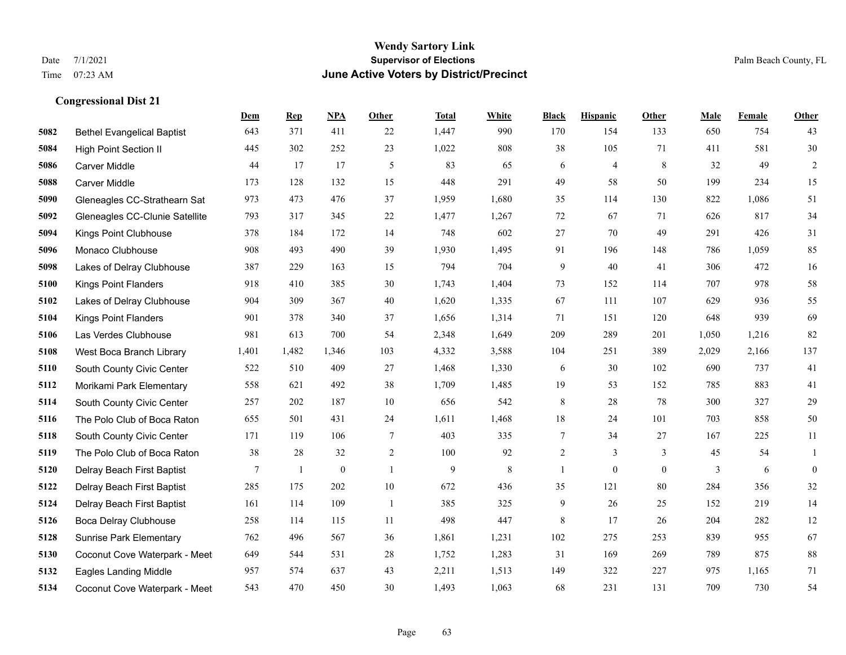|      |                                   | Dem   | <b>Rep</b> | NPA          | <b>Other</b>   | <b>Total</b> | <b>White</b> | <b>Black</b>   | <b>Hispanic</b> | <b>Other</b> | <b>Male</b> | <b>Female</b> | Other            |
|------|-----------------------------------|-------|------------|--------------|----------------|--------------|--------------|----------------|-----------------|--------------|-------------|---------------|------------------|
| 5082 | <b>Bethel Evangelical Baptist</b> | 643   | 371        | 411          | 22             | 1,447        | 990          | 170            | 154             | 133          | 650         | 754           | 43               |
| 5084 | <b>High Point Section II</b>      | 445   | 302        | 252          | 23             | 1,022        | 808          | 38             | 105             | 71           | 411         | 581           | 30               |
| 5086 | <b>Carver Middle</b>              | 44    | 17         | 17           | 5              | 83           | 65           | 6              | 4               | 8            | 32          | 49            | $\overline{c}$   |
| 5088 | <b>Carver Middle</b>              | 173   | 128        | 132          | 15             | 448          | 291          | 49             | 58              | 50           | 199         | 234           | 15               |
| 5090 | Gleneagles CC-Strathearn Sat      | 973   | 473        | 476          | 37             | 1,959        | 1,680        | 35             | 114             | 130          | 822         | 1.086         | 51               |
| 5092 | Gleneagles CC-Clunie Satellite    | 793   | 317        | 345          | $22\,$         | 1,477        | 1,267        | 72             | 67              | 71           | 626         | 817           | 34               |
| 5094 | Kings Point Clubhouse             | 378   | 184        | 172          | 14             | 748          | 602          | 27             | 70              | 49           | 291         | 426           | 31               |
| 5096 | Monaco Clubhouse                  | 908   | 493        | 490          | 39             | 1,930        | 1,495        | 91             | 196             | 148          | 786         | 1,059         | 85               |
| 5098 | Lakes of Delray Clubhouse         | 387   | 229        | 163          | 15             | 794          | 704          | 9              | 40              | 41           | 306         | 472           | 16               |
| 5100 | Kings Point Flanders              | 918   | 410        | 385          | 30             | 1,743        | 1,404        | 73             | 152             | 114          | 707         | 978           | 58               |
| 5102 | Lakes of Delray Clubhouse         | 904   | 309        | 367          | 40             | 1,620        | 1,335        | 67             | 111             | 107          | 629         | 936           | 55               |
| 5104 | <b>Kings Point Flanders</b>       | 901   | 378        | 340          | 37             | 1,656        | 1,314        | 71             | 151             | 120          | 648         | 939           | 69               |
| 5106 | Las Verdes Clubhouse              | 981   | 613        | 700          | 54             | 2,348        | 1,649        | 209            | 289             | 201          | 1,050       | 1,216         | 82               |
| 5108 | West Boca Branch Library          | 1,401 | 1,482      | 1,346        | 103            | 4,332        | 3,588        | 104            | 251             | 389          | 2,029       | 2,166         | 137              |
| 5110 | South County Civic Center         | 522   | 510        | 409          | 27             | 1,468        | 1,330        | 6              | 30              | 102          | 690         | 737           | 41               |
| 5112 | Morikami Park Elementary          | 558   | 621        | 492          | 38             | 1,709        | 1,485        | 19             | 53              | 152          | 785         | 883           | 41               |
| 5114 | South County Civic Center         | 257   | 202        | 187          | 10             | 656          | 542          | $\,8\,$        | $28\,$          | 78           | 300         | 327           | 29               |
| 5116 | The Polo Club of Boca Raton       | 655   | 501        | 431          | 24             | 1,611        | 1,468        | 18             | 24              | 101          | 703         | 858           | 50               |
| 5118 | South County Civic Center         | 171   | 119        | 106          | 7              | 403          | 335          | 7              | 34              | 27           | 167         | 225           | 11               |
| 5119 | The Polo Club of Boca Raton       | 38    | 28         | 32           | $\sqrt{2}$     | 100          | 92           | $\overline{c}$ | 3               | 3            | 45          | 54            | 1                |
| 5120 | Delray Beach First Baptist        | 7     | 1          | $\mathbf{0}$ | $\overline{1}$ | 9            | $\,8\,$      | $\mathbf{1}$   | $\overline{0}$  | $\mathbf{0}$ | 3           | 6             | $\boldsymbol{0}$ |
| 5122 | Delray Beach First Baptist        | 285   | 175        | 202          | 10             | 672          | 436          | 35             | 121             | 80           | 284         | 356           | 32               |
| 5124 | Delray Beach First Baptist        | 161   | 114        | 109          | -1             | 385          | 325          | 9              | 26              | 25           | 152         | 219           | 14               |
| 5126 | Boca Delray Clubhouse             | 258   | 114        | 115          | 11             | 498          | 447          | 8              | 17              | 26           | 204         | 282           | 12               |
| 5128 | <b>Sunrise Park Elementary</b>    | 762   | 496        | 567          | 36             | 1,861        | 1,231        | 102            | 275             | 253          | 839         | 955           | 67               |
| 5130 | Coconut Cove Waterpark - Meet     | 649   | 544        | 531          | 28             | 1,752        | 1,283        | 31             | 169             | 269          | 789         | 875           | $88\,$           |
| 5132 | <b>Eagles Landing Middle</b>      | 957   | 574        | 637          | 43             | 2,211        | 1,513        | 149            | 322             | 227          | 975         | 1,165         | 71               |
| 5134 | Coconut Cove Waterpark - Meet     | 543   | 470        | 450          | 30             | 1,493        | 1,063        | 68             | 231             | 131          | 709         | 730           | 54               |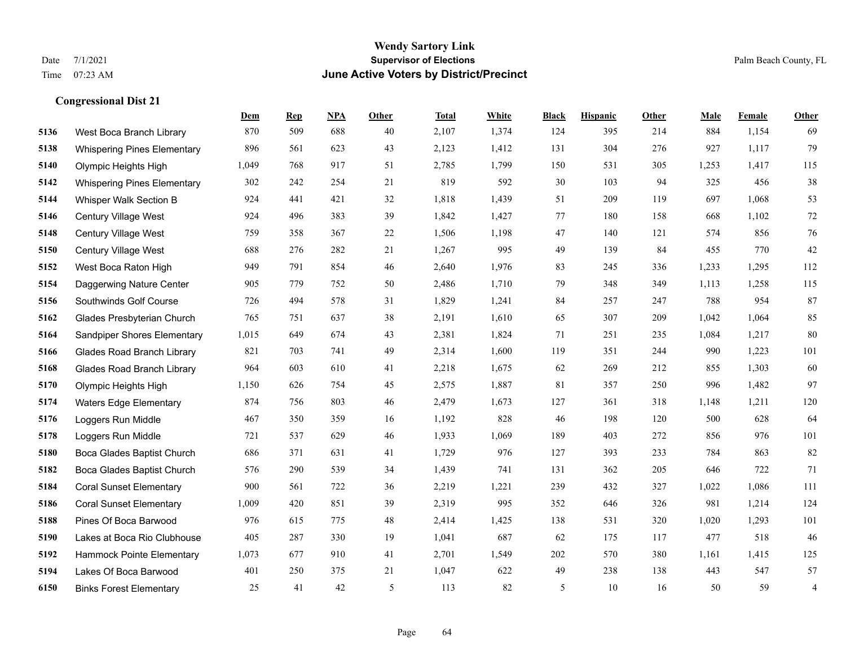#### **Wendy Sartory Link** Date 7/1/2021 **Supervisor of Elections** Palm Beach County, FL Time 07:23 AM **June Active Voters by District/Precinct**

# **Dem Rep NPA Other Total White Black Hispanic Other Male Female Other** West Boca Branch Library 870 509 688 40 2,107 1,374 124 395 214 884 1,154 69 Whispering Pines Elementary 896 561 623 43 2,123 1,412 131 304 276 927 1,117 79 Olympic Heights High 1,049 768 917 51 2,785 1,799 150 531 305 1,253 1,417 115 Whispering Pines Elementary 302 242 254 21 819 592 30 103 94 325 456 38 Whisper Walk Section B 924 441 421 32 1,818 1,439 51 209 119 697 1,068 53 Century Village West 924 496 383 39 1,842 1,427 77 180 158 668 1,102 72 Century Village West 759 358 367 22 1,506 1,198 47 140 121 574 856 76 Century Village West 688 276 282 21 1,267 995 49 139 84 455 770 42 West Boca Raton High 949 791 854 46 2,640 1,976 83 245 336 1,233 1,295 112 Daggerwing Nature Center 905 779 752 50 2,486 1,710 79 348 349 1,113 1,258 115 Southwinds Golf Course 726 494 578 31 1,829 1,241 84 257 247 788 954 87 Glades Presbyterian Church 765 751 637 38 2,191 1,610 65 307 209 1,042 1,064 85 Sandpiper Shores Elementary 1,015 649 674 43 2,381 1,824 71 251 235 1,084 1,217 80 Glades Road Branch Library 821 703 741 49 2,314 1,600 119 351 244 990 1,223 101 Glades Road Branch Library 964 603 610 41 2,218 1,675 62 269 212 855 1,303 60 Olympic Heights High 1,150 626 754 45 2,575 1,887 81 357 250 996 1,482 97 Waters Edge Elementary 874 756 803 46 2,479 1,673 127 361 318 1,148 1,211 120 Loggers Run Middle 467 350 359 16 1,192 828 46 198 120 500 628 64 Loggers Run Middle 721 537 629 46 1,933 1,069 189 403 272 856 976 101 Boca Glades Baptist Church 686 371 631 41 1,729 976 127 393 233 784 863 82 Boca Glades Baptist Church 576 290 539 34 1,439 741 131 362 205 646 722 71 Coral Sunset Elementary 900 561 722 36 2,219 1,221 239 432 327 1,022 1,086 111 Coral Sunset Elementary 1,009 420 851 39 2,319 995 352 646 326 981 1,214 124 Pines Of Boca Barwood 976 615 775 48 2,414 1,425 138 531 320 1,020 1,293 101 Lakes at Boca Rio Clubhouse 405 287 330 19 1,041 687 62 175 117 477 518 46 Hammock Pointe Elementary 1,073 677 910 41 2,701 1,549 202 570 380 1,161 1,415 125 Lakes Of Boca Barwood 401 250 375 21 1,047 622 49 238 138 443 547 57 Binks Forest Elementary 25 41 42 5 113 82 5 10 16 50 59 4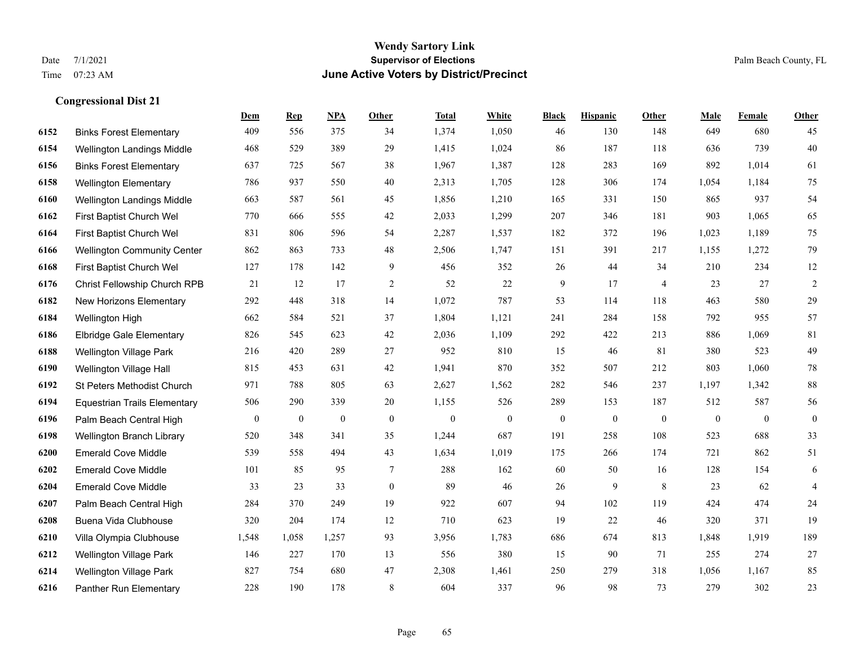#### **Wendy Sartory Link** Date 7/1/2021 **Supervisor of Elections** Palm Beach County, FL Time 07:23 AM **June Active Voters by District/Precinct**

# **Dem Rep NPA Other Total White Black Hispanic Other Male Female Other** Binks Forest Elementary 409 556 375 34 1,374 1,050 46 130 148 649 680 45 Wellington Landings Middle 468 529 389 29 1,415 1,024 86 187 118 636 739 40 Binks Forest Elementary 637 725 567 38 1,967 1,387 128 283 169 892 1,014 61 Wellington Elementary 786 937 550 40 2,313 1,705 128 306 174 1,054 1,184 75 Wellington Landings Middle 663 587 561 45 1,856 1,210 165 331 150 865 937 54 First Baptist Church Wel 770 666 555 42 2,033 1,299 207 346 181 903 1,065 65 First Baptist Church Wel 831 806 596 54 2,287 1,537 182 372 196 1,023 1,189 75 Wellington Community Center 862 863 733 48 2,506 1,747 151 391 217 1,155 1,272 79 First Baptist Church Wel 127 178 142 9 456 352 26 44 34 210 234 12 Christ Fellowship Church RPB 21 12 17 2 52 22 9 17 4 23 27 2 New Horizons Elementary 292 448 318 14 1,072 787 53 114 118 463 580 29 Wellington High 662 584 521 37 1,804 1,121 241 284 158 792 955 57 Elbridge Gale Elementary 826 545 623 42 2,036 1,109 292 422 213 886 1,069 81 Wellington Village Park 216 420 289 27 952 810 15 46 81 380 523 49 Wellington Village Hall 815 453 631 42 1,941 870 352 507 212 803 1,060 78 St Peters Methodist Church 971 788 805 63 2,627 1,562 282 546 237 1,197 1,342 88 Equestrian Trails Elementary 506 290 339 20 1,155 526 289 153 187 512 587 56 Palm Beach Central High 0 0 0 0 0 0 0 0 0 0 0 0 Wellington Branch Library 520 348 341 35 1,244 687 191 258 108 523 688 33 Emerald Cove Middle 539 558 494 43 1,634 1,019 175 266 174 721 862 51 Emerald Cove Middle 101 85 95 7 288 162 60 50 16 128 154 6 Emerald Cove Middle 33 23 33 0 89 46 26 9 8 23 62 4 Palm Beach Central High 284 370 249 19 922 607 94 102 119 424 474 24 Buena Vida Clubhouse 320 204 174 12 710 623 19 22 46 320 371 19 Villa Olympia Clubhouse 1,548 1,058 1,257 93 3,956 1,783 686 674 813 1,848 1,919 189 Wellington Village Park 146 227 170 13 556 380 15 90 71 255 274 27 Wellington Village Park 827 754 680 47 2,308 1,461 250 279 318 1,056 1,167 85

Panther Run Elementary 228 190 178 8 604 337 96 98 73 279 302 23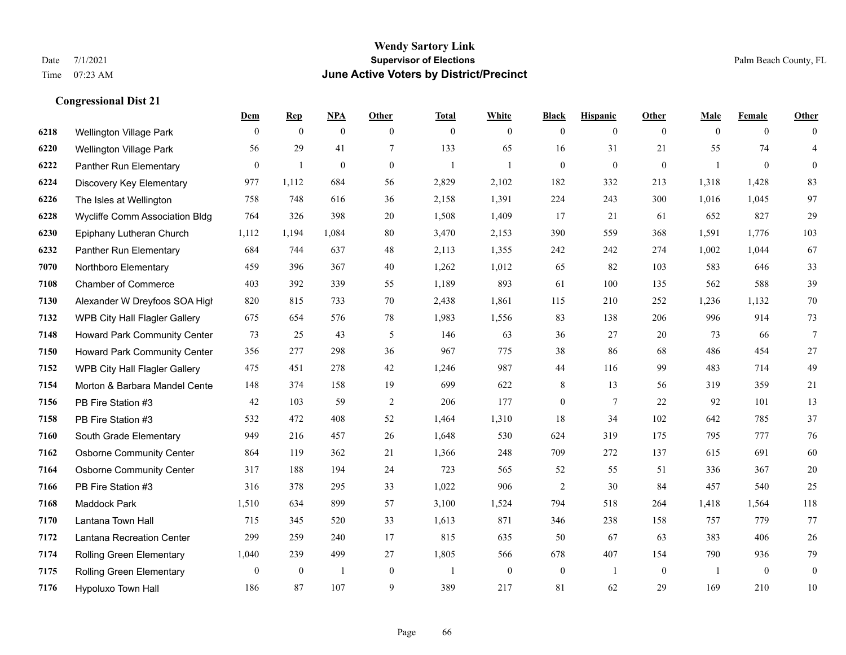## **Wendy Sartory Link** Date 7/1/2021 **Supervisor of Elections** Palm Beach County, FL Time 07:23 AM **June Active Voters by District/Precinct**

|      |                                      | Dem      | <b>Rep</b>     | <u>NPA</u>   | Other          | <b>Total</b>   | White        | <b>Black</b>   | <b>Hispanic</b> | Other        | Male     | Female         | Other            |
|------|--------------------------------------|----------|----------------|--------------|----------------|----------------|--------------|----------------|-----------------|--------------|----------|----------------|------------------|
| 6218 | <b>Wellington Village Park</b>       | $\theta$ | $\mathbf{0}$   | $\mathbf{0}$ | $\theta$       | $\theta$       | $\mathbf{0}$ | $\overline{0}$ | $\mathbf{0}$    | $\theta$     | $\theta$ | $\overline{0}$ | $\theta$         |
| 6220 | <b>Wellington Village Park</b>       | 56       | 29             | 41           | $\overline{7}$ | 133            | 65           | 16             | 31              | 21           | 55       | 74             | $\overline{4}$   |
| 6222 | Panther Run Elementary               | $\Omega$ | $\mathbf{1}$   | $\mathbf{0}$ | $\theta$       | $\overline{1}$ | $\mathbf{1}$ | $\overline{0}$ | $\mathbf{0}$    | $\mathbf{0}$ | 1        | $\mathbf{0}$   | $\boldsymbol{0}$ |
| 6224 | Discovery Key Elementary             | 977      | 1,112          | 684          | 56             | 2,829          | 2,102        | 182            | 332             | 213          | 1,318    | 1,428          | 83               |
| 6226 | The Isles at Wellington              | 758      | 748            | 616          | 36             | 2,158          | 1,391        | 224            | 243             | 300          | 1,016    | 1,045          | 97               |
| 6228 | Wycliffe Comm Association Bldg       | 764      | 326            | 398          | 20             | 1,508          | 1,409        | 17             | 21              | 61           | 652      | 827            | 29               |
| 6230 | Epiphany Lutheran Church             | 1,112    | 1,194          | 1,084        | 80             | 3,470          | 2,153        | 390            | 559             | 368          | 1,591    | 1,776          | 103              |
| 6232 | Panther Run Elementary               | 684      | 744            | 637          | 48             | 2,113          | 1,355        | 242            | 242             | 274          | 1,002    | 1,044          | 67               |
| 7070 | Northboro Elementary                 | 459      | 396            | 367          | 40             | 1,262          | 1,012        | 65             | 82              | 103          | 583      | 646            | 33               |
| 7108 | <b>Chamber of Commerce</b>           | 403      | 392            | 339          | 55             | 1,189          | 893          | 61             | 100             | 135          | 562      | 588            | 39               |
| 7130 | Alexander W Dreyfoos SOA High        | 820      | 815            | 733          | 70             | 2,438          | 1,861        | 115            | 210             | 252          | 1,236    | 1,132          | 70               |
| 7132 | <b>WPB City Hall Flagler Gallery</b> | 675      | 654            | 576          | 78             | 1,983          | 1,556        | 83             | 138             | 206          | 996      | 914            | 73               |
| 7148 | Howard Park Community Center         | 73       | 25             | 43           | 5              | 146            | 63           | 36             | 27              | 20           | 73       | 66             | $\overline{7}$   |
| 7150 | Howard Park Community Center         | 356      | 277            | 298          | 36             | 967            | 775          | 38             | 86              | 68           | 486      | 454            | 27               |
| 7152 | WPB City Hall Flagler Gallery        | 475      | 451            | 278          | 42             | 1,246          | 987          | $44\,$         | 116             | 99           | 483      | 714            | 49               |
| 7154 | Morton & Barbara Mandel Cente        | 148      | 374            | 158          | 19             | 699            | 622          | 8              | 13              | 56           | 319      | 359            | 21               |
| 7156 | PB Fire Station #3                   | 42       | 103            | 59           | 2              | 206            | 177          | $\overline{0}$ | $\tau$          | 22           | 92       | 101            | 13               |
| 7158 | PB Fire Station #3                   | 532      | 472            | 408          | 52             | 1,464          | 1,310        | 18             | 34              | 102          | 642      | 785            | 37               |
| 7160 | South Grade Elementary               | 949      | 216            | 457          | 26             | 1,648          | 530          | 624            | 319             | 175          | 795      | 777            | 76               |
| 7162 | <b>Osborne Community Center</b>      | 864      | 119            | 362          | 21             | 1,366          | 248          | 709            | 272             | 137          | 615      | 691            | 60               |
| 7164 | <b>Osborne Community Center</b>      | 317      | 188            | 194          | 24             | 723            | 565          | 52             | 55              | 51           | 336      | 367            | 20               |
| 7166 | PB Fire Station #3                   | 316      | 378            | 295          | 33             | 1,022          | 906          | $\overline{2}$ | 30              | 84           | 457      | 540            | 25               |
| 7168 | Maddock Park                         | 1,510    | 634            | 899          | 57             | 3,100          | 1,524        | 794            | 518             | 264          | 1,418    | 1,564          | 118              |
| 7170 | Lantana Town Hall                    | 715      | 345            | 520          | 33             | 1,613          | 871          | 346            | 238             | 158          | 757      | 779            | 77               |
| 7172 | Lantana Recreation Center            | 299      | 259            | 240          | 17             | 815            | 635          | 50             | 67              | 63           | 383      | 406            | 26               |
| 7174 | <b>Rolling Green Elementary</b>      | 1,040    | 239            | 499          | 27             | 1,805          | 566          | 678            | 407             | 154          | 790      | 936            | 79               |
| 7175 | Rolling Green Elementary             | $\Omega$ | $\overline{0}$ | $\mathbf{1}$ | $\mathbf{0}$   | $\overline{1}$ | $\mathbf{0}$ | $\mathbf{0}$   | $\mathbf{1}$    | $\theta$     | -1       | $\theta$       | $\overline{0}$   |
| 7176 | <b>Hypoluxo Town Hall</b>            | 186      | 87             | 107          | 9              | 389            | 217          | 81             | 62              | 29           | 169      | 210            | 10               |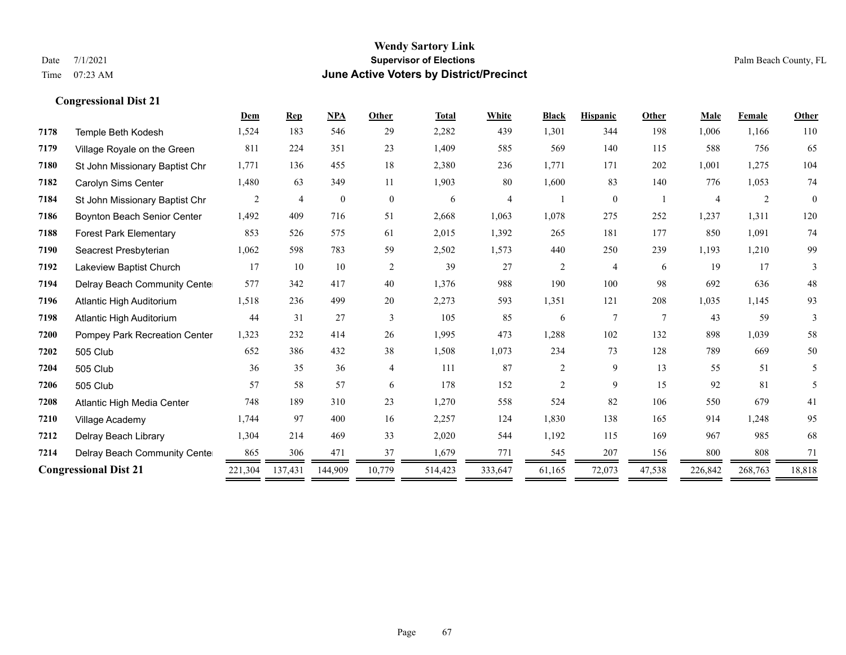|      |                                    | Dem     | <b>Rep</b>     | <b>NPA</b>   | Other          | <b>Total</b> | White   | <b>Black</b>   | <b>Hispanic</b> | Other           | <b>Male</b> | Female  | Other        |
|------|------------------------------------|---------|----------------|--------------|----------------|--------------|---------|----------------|-----------------|-----------------|-------------|---------|--------------|
| 7178 | Temple Beth Kodesh                 | 1,524   | 183            | 546          | 29             | 2,282        | 439     | 1,301          | 344             | 198             | 1,006       | 1,166   | 110          |
| 7179 | Village Royale on the Green        | 811     | 224            | 351          | 23             | 1,409        | 585     | 569            | 140             | 115             | 588         | 756     | 65           |
| 7180 | St John Missionary Baptist Chr     | 1,771   | 136            | 455          | 18             | 2,380        | 236     | 1,771          | 171             | 202             | 1,001       | 1,275   | 104          |
| 7182 | Carolyn Sims Center                | 1,480   | 63             | 349          | 11             | 1,903        | 80      | 1,600          | 83              | 140             | 776         | 1,053   | 74           |
| 7184 | St John Missionary Baptist Chr     | 2       | $\overline{4}$ | $\mathbf{0}$ | $\overline{0}$ | 6            | 4       |                | $\mathbf{0}$    |                 | 4           | 2       | $\mathbf{0}$ |
| 7186 | <b>Boynton Beach Senior Center</b> | 1,492   | 409            | 716          | 51             | 2,668        | 1,063   | 1,078          | 275             | 252             | 1,237       | 1,311   | 120          |
| 7188 | <b>Forest Park Elementary</b>      | 853     | 526            | 575          | 61             | 2,015        | 1,392   | 265            | 181             | 177             | 850         | 1,091   | 74           |
| 7190 | Seacrest Presbyterian              | 1,062   | 598            | 783          | 59             | 2,502        | 1,573   | 440            | 250             | 239             | 1,193       | 1,210   | 99           |
| 7192 | Lakeview Baptist Church            | 17      | 10             | 10           | $\overline{2}$ | 39           | 27      | $\overline{c}$ | $\overline{4}$  | 6               | 19          | 17      | 3            |
| 7194 | Delray Beach Community Cente       | 577     | 342            | 417          | 40             | 1,376        | 988     | 190            | 100             | 98              | 692         | 636     | 48           |
| 7196 | Atlantic High Auditorium           | 1,518   | 236            | 499          | 20             | 2,273        | 593     | 1,351          | 121             | 208             | 1,035       | 1,145   | 93           |
| 7198 | Atlantic High Auditorium           | 44      | 31             | 27           | 3              | 105          | 85      | 6              | 7               | $7\phantom{.0}$ | 43          | 59      | 3            |
| 7200 | Pompey Park Recreation Center      | 1,323   | 232            | 414          | 26             | 1,995        | 473     | 1,288          | 102             | 132             | 898         | 1,039   | 58           |
| 7202 | 505 Club                           | 652     | 386            | 432          | 38             | 1,508        | 1,073   | 234            | 73              | 128             | 789         | 669     | 50           |
| 7204 | 505 Club                           | 36      | 35             | 36           | 4              | 111          | 87      | $\overline{c}$ | 9               | 13              | 55          | 51      | 5            |
| 7206 | 505 Club                           | 57      | 58             | 57           | 6              | 178          | 152     | $\overline{c}$ | 9               | 15              | 92          | 81      | 5            |
| 7208 | Atlantic High Media Center         | 748     | 189            | 310          | 23             | 1,270        | 558     | 524            | 82              | 106             | 550         | 679     | 41           |
| 7210 | Village Academy                    | 1,744   | 97             | 400          | 16             | 2,257        | 124     | 1,830          | 138             | 165             | 914         | 1,248   | 95           |
| 7212 | Delray Beach Library               | 1,304   | 214            | 469          | 33             | 2,020        | 544     | 1,192          | 115             | 169             | 967         | 985     | 68           |
| 7214 | Delray Beach Community Cente       | 865     | 306            | 471          | 37             | 1,679        | 771     | 545            | 207             | 156             | 800         | 808     | 71           |
|      | <b>Congressional Dist 21</b>       | 221,304 | 137,431        | 144,909      | 10,779         | 514,423      | 333,647 | 61,165         | 72,073          | 47,538          | 226,842     | 268,763 | 18,818       |
|      |                                    |         |                |              |                |              |         |                |                 |                 |             |         |              |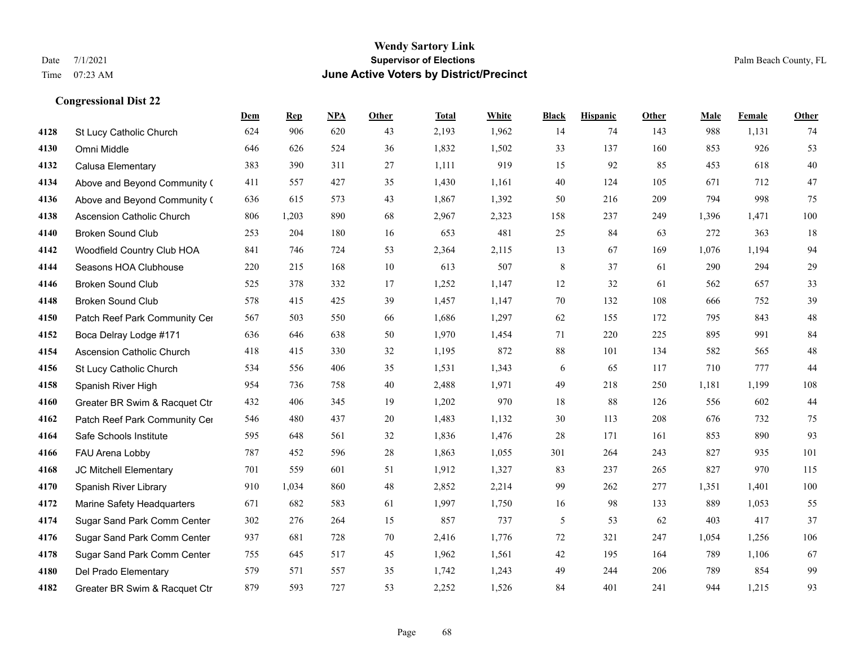|      |                                  | Dem | <b>Rep</b> | NPA | <b>Other</b> | <b>Total</b> | White | <b>Black</b> | <b>Hispanic</b> | <b>Other</b> | <b>Male</b> | Female | <b>Other</b> |
|------|----------------------------------|-----|------------|-----|--------------|--------------|-------|--------------|-----------------|--------------|-------------|--------|--------------|
| 4128 | St Lucy Catholic Church          | 624 | 906        | 620 | 43           | 2,193        | 1,962 | 14           | 74              | 143          | 988         | 1,131  | 74           |
| 4130 | Omni Middle                      | 646 | 626        | 524 | 36           | 1,832        | 1,502 | 33           | 137             | 160          | 853         | 926    | 53           |
| 4132 | Calusa Elementary                | 383 | 390        | 311 | 27           | 1,111        | 919   | 15           | 92              | 85           | 453         | 618    | $40\,$       |
| 4134 | Above and Beyond Community (     | 411 | 557        | 427 | 35           | 1,430        | 1,161 | 40           | 124             | 105          | 671         | 712    | 47           |
| 4136 | Above and Beyond Community (     | 636 | 615        | 573 | 43           | 1,867        | 1,392 | 50           | 216             | 209          | 794         | 998    | 75           |
| 4138 | <b>Ascension Catholic Church</b> | 806 | 1,203      | 890 | 68           | 2,967        | 2,323 | 158          | 237             | 249          | 1,396       | 1,471  | 100          |
| 4140 | <b>Broken Sound Club</b>         | 253 | 204        | 180 | 16           | 653          | 481   | 25           | 84              | 63           | 272         | 363    | 18           |
| 4142 | Woodfield Country Club HOA       | 841 | 746        | 724 | 53           | 2,364        | 2,115 | 13           | 67              | 169          | 1,076       | 1,194  | 94           |
| 4144 | Seasons HOA Clubhouse            | 220 | 215        | 168 | 10           | 613          | 507   | 8            | 37              | 61           | 290         | 294    | $29\,$       |
| 4146 | <b>Broken Sound Club</b>         | 525 | 378        | 332 | 17           | 1,252        | 1,147 | 12           | 32              | 61           | 562         | 657    | 33           |
| 4148 | <b>Broken Sound Club</b>         | 578 | 415        | 425 | 39           | 1,457        | 1,147 | 70           | 132             | 108          | 666         | 752    | 39           |
| 4150 | Patch Reef Park Community Cer    | 567 | 503        | 550 | 66           | 1,686        | 1,297 | 62           | 155             | 172          | 795         | 843    | $48\,$       |
| 4152 | Boca Delray Lodge #171           | 636 | 646        | 638 | 50           | 1,970        | 1,454 | 71           | 220             | 225          | 895         | 991    | 84           |
| 4154 | Ascension Catholic Church        | 418 | 415        | 330 | 32           | 1,195        | 872   | 88           | 101             | 134          | 582         | 565    | $48\,$       |
| 4156 | St Lucy Catholic Church          | 534 | 556        | 406 | 35           | 1,531        | 1,343 | 6            | 65              | 117          | 710         | 777    | 44           |
| 4158 | Spanish River High               | 954 | 736        | 758 | 40           | 2,488        | 1,971 | 49           | 218             | 250          | 1,181       | 1,199  | 108          |
| 4160 | Greater BR Swim & Racquet Ctr    | 432 | 406        | 345 | 19           | 1,202        | 970   | 18           | 88              | 126          | 556         | 602    | $44\,$       |
| 4162 | Patch Reef Park Community Cer    | 546 | 480        | 437 | 20           | 1,483        | 1,132 | 30           | 113             | 208          | 676         | 732    | 75           |
| 4164 | Safe Schools Institute           | 595 | 648        | 561 | 32           | 1,836        | 1,476 | 28           | 171             | 161          | 853         | 890    | 93           |
| 4166 | FAU Arena Lobby                  | 787 | 452        | 596 | 28           | 1,863        | 1,055 | 301          | 264             | 243          | 827         | 935    | 101          |
| 4168 | JC Mitchell Elementary           | 701 | 559        | 601 | 51           | 1,912        | 1,327 | 83           | 237             | 265          | 827         | 970    | 115          |
| 4170 | Spanish River Library            | 910 | 1,034      | 860 | 48           | 2,852        | 2,214 | 99           | 262             | 277          | 1,351       | 1,401  | 100          |
| 4172 | Marine Safety Headquarters       | 671 | 682        | 583 | 61           | 1,997        | 1,750 | 16           | 98              | 133          | 889         | 1,053  | 55           |
| 4174 | Sugar Sand Park Comm Center      | 302 | 276        | 264 | 15           | 857          | 737   | 5            | 53              | 62           | 403         | 417    | 37           |
| 4176 | Sugar Sand Park Comm Center      | 937 | 681        | 728 | 70           | 2,416        | 1,776 | 72           | 321             | 247          | 1,054       | 1,256  | 106          |
| 4178 | Sugar Sand Park Comm Center      | 755 | 645        | 517 | 45           | 1,962        | 1,561 | 42           | 195             | 164          | 789         | 1,106  | 67           |
| 4180 | Del Prado Elementary             | 579 | 571        | 557 | 35           | 1,742        | 1,243 | 49           | 244             | 206          | 789         | 854    | 99           |
| 4182 | Greater BR Swim & Racquet Ctr    | 879 | 593        | 727 | 53           | 2,252        | 1,526 | 84           | 401             | 241          | 944         | 1,215  | 93           |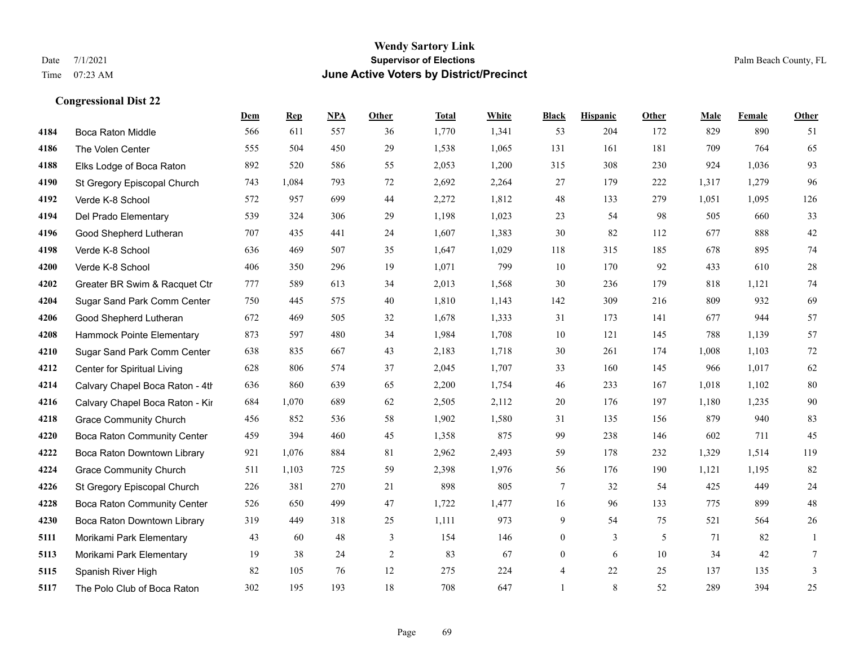|      |                                 | Dem | <b>Rep</b> | NPA | <b>Other</b> | <b>Total</b> | <b>White</b> | <b>Black</b>             | <b>Hispanic</b> | <b>Other</b> | <b>Male</b> | <b>Female</b> | <b>Other</b> |
|------|---------------------------------|-----|------------|-----|--------------|--------------|--------------|--------------------------|-----------------|--------------|-------------|---------------|--------------|
| 4184 | <b>Boca Raton Middle</b>        | 566 | 611        | 557 | 36           | 1,770        | 1,341        | 53                       | 204             | 172          | 829         | 890           | 51           |
| 4186 | The Volen Center                | 555 | 504        | 450 | 29           | 1,538        | 1,065        | 131                      | 161             | 181          | 709         | 764           | 65           |
| 4188 | Elks Lodge of Boca Raton        | 892 | 520        | 586 | 55           | 2,053        | 1,200        | 315                      | 308             | 230          | 924         | 1,036         | 93           |
| 4190 | St Gregory Episcopal Church     | 743 | 1,084      | 793 | 72           | 2,692        | 2,264        | 27                       | 179             | 222          | 1,317       | 1,279         | 96           |
| 4192 | Verde K-8 School                | 572 | 957        | 699 | 44           | 2,272        | 1,812        | 48                       | 133             | 279          | 1,051       | 1,095         | 126          |
| 4194 | Del Prado Elementary            | 539 | 324        | 306 | 29           | 1,198        | 1,023        | 23                       | 54              | 98           | 505         | 660           | 33           |
| 4196 | Good Shepherd Lutheran          | 707 | 435        | 441 | 24           | 1,607        | 1,383        | 30                       | 82              | 112          | 677         | 888           | $42\,$       |
| 4198 | Verde K-8 School                | 636 | 469        | 507 | 35           | 1,647        | 1,029        | 118                      | 315             | 185          | 678         | 895           | $74\,$       |
| 4200 | Verde K-8 School                | 406 | 350        | 296 | 19           | 1,071        | 799          | 10                       | 170             | 92           | 433         | 610           | $28\,$       |
| 4202 | Greater BR Swim & Racquet Ctr   | 777 | 589        | 613 | 34           | 2,013        | 1,568        | 30                       | 236             | 179          | 818         | 1,121         | 74           |
| 4204 | Sugar Sand Park Comm Center     | 750 | 445        | 575 | 40           | 1,810        | 1,143        | 142                      | 309             | 216          | 809         | 932           | 69           |
| 4206 | Good Shepherd Lutheran          | 672 | 469        | 505 | 32           | 1,678        | 1,333        | 31                       | 173             | 141          | 677         | 944           | 57           |
| 4208 | Hammock Pointe Elementary       | 873 | 597        | 480 | 34           | 1,984        | 1,708        | 10                       | 121             | 145          | 788         | 1,139         | 57           |
| 4210 | Sugar Sand Park Comm Center     | 638 | 835        | 667 | 43           | 2,183        | 1,718        | 30                       | 261             | 174          | 1,008       | 1,103         | $72\,$       |
| 4212 | Center for Spiritual Living     | 628 | 806        | 574 | 37           | 2,045        | 1,707        | 33                       | 160             | 145          | 966         | 1,017         | 62           |
| 4214 | Calvary Chapel Boca Raton - 4th | 636 | 860        | 639 | 65           | 2,200        | 1,754        | 46                       | 233             | 167          | 1,018       | 1,102         | 80           |
| 4216 | Calvary Chapel Boca Raton - Kir | 684 | 1,070      | 689 | 62           | 2,505        | 2,112        | 20                       | 176             | 197          | 1,180       | 1,235         | $90\,$       |
| 4218 | <b>Grace Community Church</b>   | 456 | 852        | 536 | 58           | 1,902        | 1,580        | 31                       | 135             | 156          | 879         | 940           | 83           |
| 4220 | Boca Raton Community Center     | 459 | 394        | 460 | 45           | 1,358        | 875          | 99                       | 238             | 146          | 602         | 711           | 45           |
| 4222 | Boca Raton Downtown Library     | 921 | 1,076      | 884 | 81           | 2,962        | 2,493        | 59                       | 178             | 232          | 1,329       | 1,514         | 119          |
| 4224 | <b>Grace Community Church</b>   | 511 | 1,103      | 725 | 59           | 2,398        | 1,976        | 56                       | 176             | 190          | 1,121       | 1,195         | 82           |
| 4226 | St Gregory Episcopal Church     | 226 | 381        | 270 | 21           | 898          | 805          | $\tau$                   | 32              | 54           | 425         | 449           | 24           |
| 4228 | Boca Raton Community Center     | 526 | 650        | 499 | 47           | 1,722        | 1,477        | 16                       | 96              | 133          | 775         | 899           | $48\,$       |
| 4230 | Boca Raton Downtown Library     | 319 | 449        | 318 | 25           | 1,111        | 973          | 9                        | 54              | 75           | 521         | 564           | $26\,$       |
| 5111 | Morikami Park Elementary        | 43  | 60         | 48  | 3            | 154          | 146          | $\overline{0}$           | $\overline{3}$  | 5            | 71          | 82            | 1            |
| 5113 | Morikami Park Elementary        | 19  | 38         | 24  | 2            | 83           | 67           | $\mathbf{0}$             | 6               | 10           | 34          | 42            | $\tau$       |
| 5115 | Spanish River High              | 82  | 105        | 76  | 12           | 275          | 224          | $\overline{\mathcal{A}}$ | 22              | 25           | 137         | 135           | 3            |
| 5117 | The Polo Club of Boca Raton     | 302 | 195        | 193 | 18           | 708          | 647          | $\mathbf{1}$             | 8               | 52           | 289         | 394           | 25           |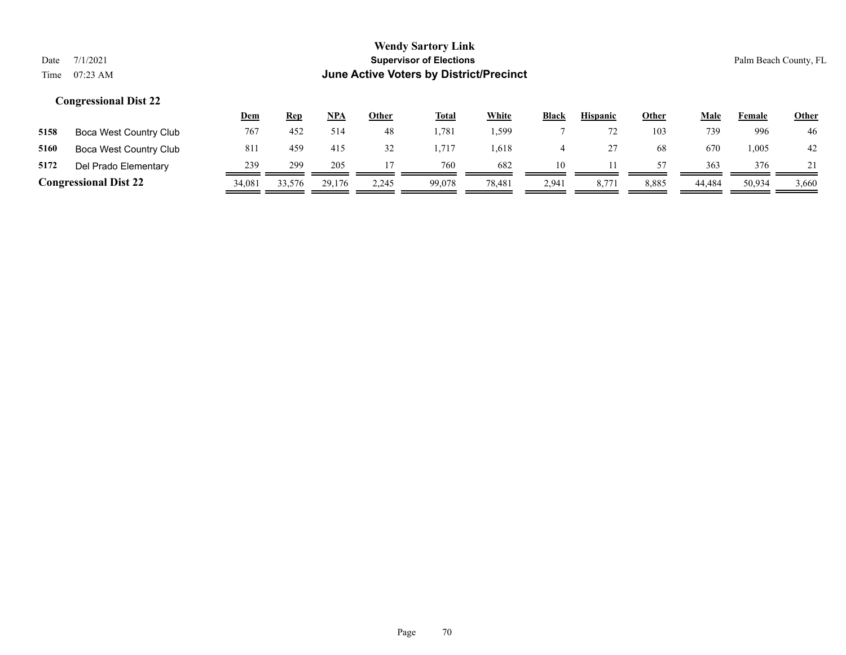|      |                              | <u>Dem</u> | <b>Rep</b> | NPA    | <b>Other</b> | <b>Total</b> | White  | <b>Black</b> | <b>Hispanic</b> | <b>Other</b> | Male   | Female | <b>Other</b> |
|------|------------------------------|------------|------------|--------|--------------|--------------|--------|--------------|-----------------|--------------|--------|--------|--------------|
| 5158 | Boca West Country Club       | 767        | 452        | 514    | 48           | .781         | .599   |              |                 | 103          | 739    | 996    | 46           |
| 5160 | Boca West Country Club       | 811        | 459        | 415    | 32           | .717         | .618   |              |                 | 68           | 670    | 005. ا | 42           |
| 5172 | Del Prado Elementary         | 239        | 299        | 205    |              | 760          | 682    | 10           |                 | 57           | 363    | 376    |              |
|      | <b>Congressional Dist 22</b> | 34,081     | 33,576     | 29.176 | 2.245        | 99,078       | 78,481 | 2,941        | 8,77'           | 8,885        | 44.484 | 50,934 | 3,660        |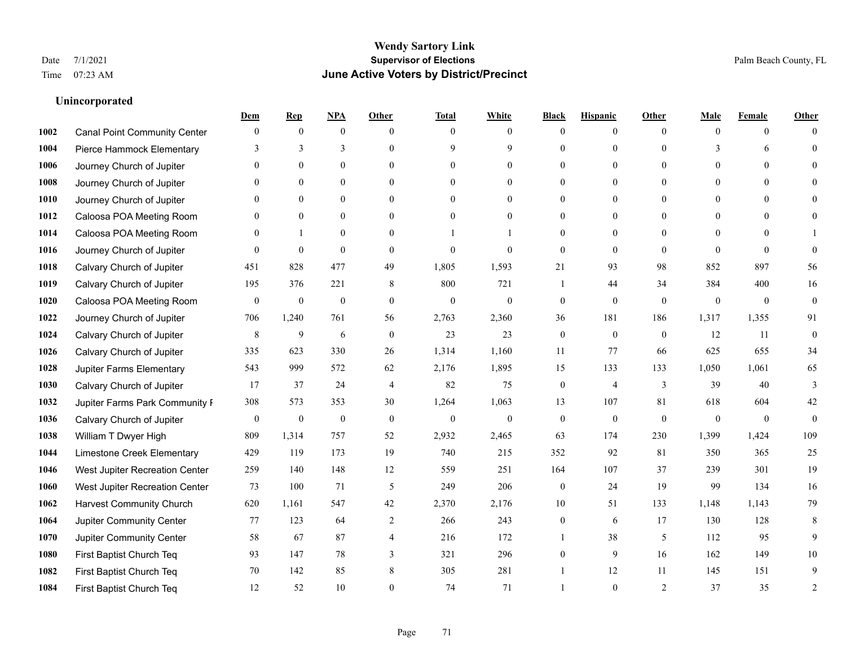## **Unincorporated**

|      |                                     | Dem              | <b>Rep</b>       | NPA              | <b>Other</b>   | <b>Total</b>     | <b>White</b>     | <b>Black</b>     | <b>Hispanic</b>  | <b>Other</b> | <b>Male</b>    | <b>Female</b>  | <b>Other</b>     |
|------|-------------------------------------|------------------|------------------|------------------|----------------|------------------|------------------|------------------|------------------|--------------|----------------|----------------|------------------|
| 1002 | <b>Canal Point Community Center</b> | $\mathbf{0}$     | $\mathbf{0}$     | $\mathbf{0}$     | $\theta$       | $\theta$         | $\overline{0}$   | $\Omega$         | $\overline{0}$   | $\theta$     | $\theta$       | $\overline{0}$ | $\Omega$         |
| 1004 | Pierce Hammock Elementary           | 3                | 3                | 3                | $\Omega$       | $\mathbf Q$      | 9                | $\theta$         | $\overline{0}$   | $\Omega$     | 3              | 6              | $\theta$         |
| 1006 | Journey Church of Jupiter           | $\Omega$         | $\theta$         | $\theta$         | $\Omega$       | $\Omega$         | $\theta$         | 0                | $\Omega$         | $\Omega$     | $\Omega$       | $\Omega$       |                  |
| 1008 | Journey Church of Jupiter           |                  | $\mathbf{0}$     | $\mathbf{0}$     | $\mathbf{0}$   | $\mathbf{0}$     | $\overline{0}$   | $\theta$         | $\overline{0}$   | $\theta$     | $\mathbf{0}$   | $\theta$       |                  |
| 1010 | Journey Church of Jupiter           | $\Omega$         | $\theta$         | $\mathbf{0}$     | $\theta$       | $\theta$         | $\overline{0}$   | 0                | $\overline{0}$   | $\Omega$     | $\theta$       | $\theta$       | $\Omega$         |
| 1012 | Caloosa POA Meeting Room            | 0                | $\mathbf{0}$     | $\mathbf{0}$     | $\theta$       | $\theta$         | $\overline{0}$   | $\theta$         | $\overline{0}$   | $\Omega$     | $\overline{0}$ | $\Omega$       |                  |
| 1014 | Caloosa POA Meeting Room            | $\Omega$         | $\mathbf{1}$     | $\mathbf{0}$     | $\mathbf{0}$   |                  |                  | $\theta$         | $\overline{0}$   | $\theta$     | $\overline{0}$ | $\theta$       |                  |
| 1016 | Journey Church of Jupiter           | $\Omega$         | $\mathbf{0}$     | $\theta$         | $\theta$       | $\mathbf{0}$     | $\theta$         | $\mathbf{0}$     | $\overline{0}$   | $\Omega$     | $\Omega$       | $\Omega$       | $\theta$         |
| 1018 | Calvary Church of Jupiter           | 451              | 828              | 477              | 49             | 1,805            | 1,593            | 21               | 93               | 98           | 852            | 897            | 56               |
| 1019 | Calvary Church of Jupiter           | 195              | 376              | 221              | 8              | 800              | 721              | $\mathbf{1}$     | 44               | 34           | 384            | 400            | 16               |
| 1020 | Caloosa POA Meeting Room            | $\mathbf{0}$     | $\boldsymbol{0}$ | $\boldsymbol{0}$ | $\mathbf{0}$   | $\mathbf{0}$     | $\boldsymbol{0}$ | $\boldsymbol{0}$ | $\overline{0}$   | $\mathbf{0}$ | $\mathbf{0}$   | $\overline{0}$ | $\boldsymbol{0}$ |
| 1022 | Journey Church of Jupiter           | 706              | 1,240            | 761              | 56             | 2,763            | 2,360            | 36               | 181              | 186          | 1,317          | 1,355          | 91               |
| 1024 | Calvary Church of Jupiter           | 8                | 9                | 6                | $\mathbf{0}$   | 23               | 23               | $\mathbf{0}$     | $\mathbf{0}$     | $\theta$     | 12             | 11             | $\boldsymbol{0}$ |
| 1026 | Calvary Church of Jupiter           | 335              | 623              | 330              | 26             | 1,314            | 1,160            | 11               | 77               | 66           | 625            | 655            | 34               |
| 1028 | Jupiter Farms Elementary            | 543              | 999              | 572              | 62             | 2,176            | 1,895            | 15               | 133              | 133          | 1,050          | 1,061          | 65               |
| 1030 | Calvary Church of Jupiter           | 17               | 37               | 24               | $\overline{4}$ | 82               | 75               | $\overline{0}$   | 4                | 3            | 39             | 40             | 3                |
| 1032 | Jupiter Farms Park Community I      | 308              | 573              | 353              | 30             | 1,264            | 1,063            | 13               | 107              | 81           | 618            | 604            | 42               |
| 1036 | Calvary Church of Jupiter           | $\boldsymbol{0}$ | $\boldsymbol{0}$ | $\boldsymbol{0}$ | $\mathbf{0}$   | $\boldsymbol{0}$ | $\boldsymbol{0}$ | $\boldsymbol{0}$ | $\boldsymbol{0}$ | $\mathbf{0}$ | $\theta$       | $\overline{0}$ | $\mathbf{0}$     |
| 1038 | William T Dwyer High                | 809              | 1,314            | 757              | 52             | 2,932            | 2,465            | 63               | 174              | 230          | 1,399          | 1,424          | 109              |
| 1044 | Limestone Creek Elementary          | 429              | 119              | 173              | 19             | 740              | 215              | 352              | 92               | 81           | 350            | 365            | 25               |
| 1046 | West Jupiter Recreation Center      | 259              | 140              | 148              | 12             | 559              | 251              | 164              | 107              | 37           | 239            | 301            | 19               |
| 1060 | West Jupiter Recreation Center      | 73               | 100              | 71               | 5              | 249              | 206              | $\boldsymbol{0}$ | 24               | 19           | 99             | 134            | 16               |
| 1062 | <b>Harvest Community Church</b>     | 620              | 1,161            | 547              | 42             | 2,370            | 2,176            | 10               | 51               | 133          | 1,148          | 1,143          | 79               |
| 1064 | Jupiter Community Center            | 77               | 123              | 64               | 2              | 266              | 243              | $\overline{0}$   | 6                | 17           | 130            | 128            | 8                |
| 1070 | <b>Jupiter Community Center</b>     | 58               | 67               | 87               | $\overline{4}$ | 216              | 172              |                  | 38               | 5            | 112            | 95             | 9                |
| 1080 | First Baptist Church Teq            | 93               | 147              | 78               | 3              | 321              | 296              | $\theta$         | 9                | 16           | 162            | 149            | 10               |
| 1082 | First Baptist Church Teq            | 70               | 142              | 85               | $\,8\,$        | 305              | 281              |                  | 12               | 11           | 145            | 151            | 9                |
| 1084 | First Baptist Church Teq            | 12               | 52               | 10               | $\Omega$       | 74               | 71               |                  | $\theta$         | 2            | 37             | 35             | $\overline{2}$   |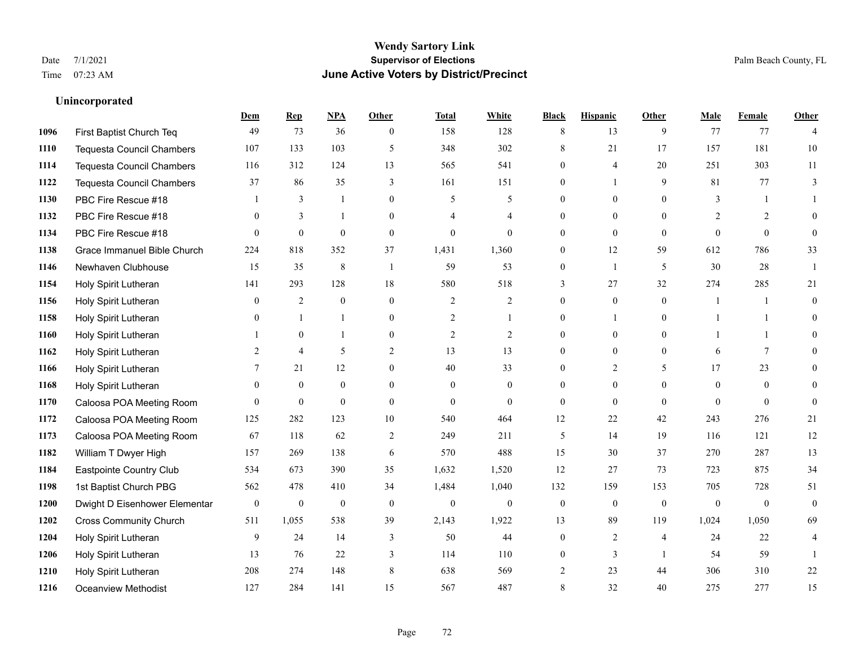**Unincorporated**

### **Wendy Sartory Link** Date 7/1/2021 **Supervisor of Elections** Palm Beach County, FL Time 07:23 AM **June Active Voters by District/Precinct**

# **Dem Rep NPA Other Total White Black Hispanic Other Male Female Other** First Baptist Church Teq **49** 73 36 0 158 128 8 13 9 77 77 4 Tequesta Council Chambers 107 133 103 5 348 302 8 21 17 157 181 10 Tequesta Council Chambers 116 312 124 13 565 541 0 4 20 251 303 11 Tequesta Council Chambers 37 86 35 3 161 151 0 1 9 81 77 3 PBC Fire Rescue #18 **1** 3 1 0 5 5 0 0 0 3 1 1 **1132 PBC Fire Rescue #18** 0 3 1 0 4 4 0 0 0 2 2 0 PBC Fire Rescue #18 0 0 0 0 0 0 0 0 0 0 0 0 Grace Immanuel Bible Church 224 818 352 37 1,431 1,360 0 12 59 612 786 33 Newhaven Clubhouse 15 35 8 1 59 53 0 1 5 30 28 1 Holy Spirit Lutheran 141 293 128 18 580 518 3 27 32 274 285 21 Holy Spirit Lutheran **0** 2 0 0 2 2 2 0 0 0 1 1 0 Holy Spirit Lutheran **0** 1 1 0 2 1 0 1 0 1 1 0 Holy Spirit Lutheran **1** 0 1 0 2 2 0 0 0 1 1 0 Holy Spirit Lutheran 2 4 5 2 13 13 0 0 0 6 7 0 1166 Holy Spirit Lutheran **7** 21 12 0 40 33 0 2 5 17 23 0 Holy Spirit Lutheran 0 0 0 0 0 0 0 0 0 0 0 0 Caloosa POA Meeting Room 0 0 0 0 0 0 0 0 0 0 0 0 Caloosa POA Meeting Room 125 282 123 10 540 464 12 22 42 243 276 21 Caloosa POA Meeting Room 67 118 62 2 249 211 5 14 19 116 121 12 William T Dwyer High 157 269 138 6 570 488 15 30 37 270 287 13 Eastpointe Country Club 534 673 390 35 1,632 1,520 12 27 73 723 875 34 1st Baptist Church PBG 562 478 410 34 1,484 1,040 132 159 153 705 728 51 Dwight D Eisenhower Elementary 0 0 0 0 0 0 0 0 0 0 0 0 Cross Community Church 511 1,055 538 39 2,143 1,922 13 89 119 1,024 1,050 69 Holy Spirit Lutheran **9** 24 14 3 50 44 0 2 4 24 22 4 Holy Spirit Lutheran **13** 76 22 3 114 110 0 3 1 54 59 1 Holy Spirit Lutheran 208 274 148 8 638 569 2 23 44 306 310 22 Oceanview Methodist 127 284 141 15 567 487 8 32 40 275 277 15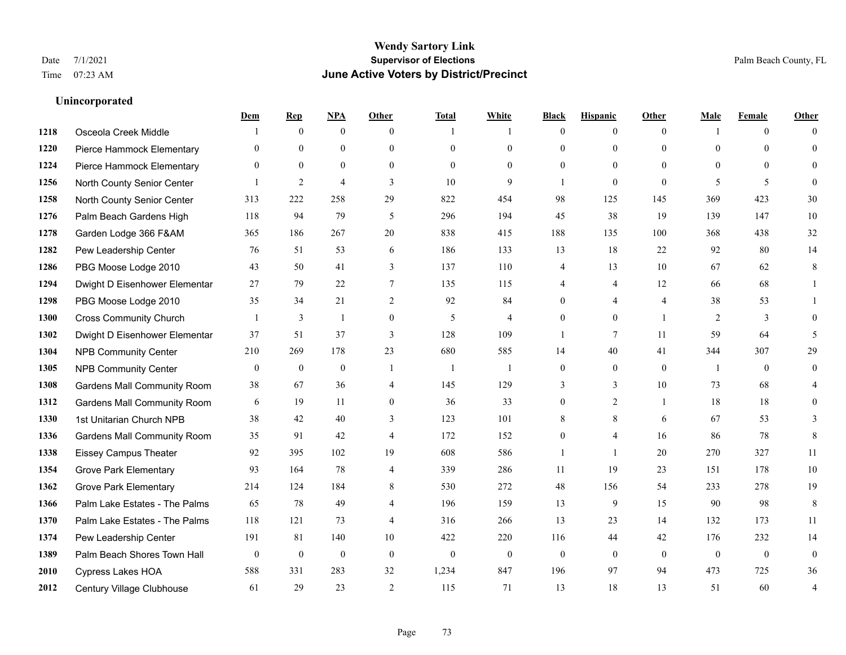|      |                                    | Dem              | <b>Rep</b>       | NPA              | <b>Other</b>   | <b>Total</b> | <b>White</b>   | <b>Black</b>   | <b>Hispanic</b> | <b>Other</b>   | <b>Male</b>    | <b>Female</b>  | <b>Other</b>     |
|------|------------------------------------|------------------|------------------|------------------|----------------|--------------|----------------|----------------|-----------------|----------------|----------------|----------------|------------------|
| 1218 | Osceola Creek Middle               |                  | $\mathbf{0}$     | $\boldsymbol{0}$ | $\theta$       | 1            | 1              | $\mathbf{0}$   | $\overline{0}$  | $\theta$       | $\mathbf{1}$   | $\overline{0}$ | $\Omega$         |
| 1220 | Pierce Hammock Elementary          | $\theta$         | $\mathbf{0}$     | $\mathbf{0}$     | $\theta$       | $\theta$     | $\overline{0}$ | $\theta$       | $\mathbf{0}$    | $\Omega$       | $\theta$       | $\theta$       | $\theta$         |
| 1224 | Pierce Hammock Elementary          | $\Omega$         | $\theta$         | $\theta$         | $\Omega$       | $\Omega$     | $\Omega$       | $\Omega$       | $\theta$        | $\Omega$       | $\Omega$       | $\Omega$       | $\Omega$         |
| 1256 | North County Senior Center         |                  | $\overline{2}$   | $\overline{4}$   | 3              | 10           | 9              | $\overline{1}$ | $\mathbf{0}$    | $\mathbf{0}$   | 5              | 5              | $\theta$         |
| 1258 | North County Senior Center         | 313              | 222              | 258              | 29             | 822          | 454            | 98             | 125             | 145            | 369            | 423            | 30               |
| 1276 | Palm Beach Gardens High            | 118              | 94               | 79               | 5              | 296          | 194            | 45             | 38              | 19             | 139            | 147            | 10               |
| 1278 | Garden Lodge 366 F&AM              | 365              | 186              | 267              | 20             | 838          | 415            | 188            | 135             | 100            | 368            | 438            | 32               |
| 1282 | Pew Leadership Center              | 76               | 51               | 53               | 6              | 186          | 133            | 13             | 18              | 22             | 92             | 80             | 14               |
| 1286 | PBG Moose Lodge 2010               | 43               | 50               | 41               | 3              | 137          | 110            | 4              | 13              | 10             | 67             | 62             | 8                |
| 1294 | Dwight D Eisenhower Elementar      | 27               | 79               | 22               | $\tau$         | 135          | 115            | 4              | 4               | 12             | 66             | 68             | 1                |
| 1298 | PBG Moose Lodge 2010               | 35               | 34               | 21               | 2              | 92           | 84             | $\overline{0}$ | $\overline{4}$  | $\overline{4}$ | 38             | 53             | 1                |
| 1300 | <b>Cross Community Church</b>      |                  | 3                | $\mathbf{1}$     | $\mathbf{0}$   | 5            | 4              | $\theta$       | $\mathbf{0}$    | $\overline{1}$ | $\overline{2}$ | 3              | $\theta$         |
| 1302 | Dwight D Eisenhower Elementar      | 37               | 51               | 37               | 3              | 128          | 109            | 1              | $\tau$          | 11             | 59             | 64             | 5                |
| 1304 | <b>NPB Community Center</b>        | 210              | 269              | 178              | 23             | 680          | 585            | 14             | 40              | 41             | 344            | 307            | 29               |
| 1305 | <b>NPB Community Center</b>        | $\boldsymbol{0}$ | $\mathbf{0}$     | $\mathbf{0}$     | $\overline{1}$ | -1           | $\mathbf{1}$   | $\mathbf{0}$   | $\mathbf{0}$    | $\mathbf{0}$   | $\overline{1}$ | $\theta$       | $\boldsymbol{0}$ |
| 1308 | <b>Gardens Mall Community Room</b> | 38               | 67               | 36               | 4              | 145          | 129            | 3              | 3               | 10             | 73             | 68             | 4                |
| 1312 | <b>Gardens Mall Community Room</b> | 6                | 19               | 11               | $\overline{0}$ | 36           | 33             | $\mathbf{0}$   | $\overline{2}$  | $\overline{1}$ | 18             | 18             | $\theta$         |
| 1330 | 1st Unitarian Church NPB           | 38               | 42               | 40               | 3              | 123          | 101            | 8              | 8               | 6              | 67             | 53             | 3                |
| 1336 | <b>Gardens Mall Community Room</b> | 35               | 91               | 42               | $\overline{4}$ | 172          | 152            | $\overline{0}$ | 4               | 16             | 86             | 78             | 8                |
| 1338 | <b>Eissey Campus Theater</b>       | 92               | 395              | 102              | 19             | 608          | 586            | $\mathbf{1}$   | $\mathbf{1}$    | 20             | 270            | 327            | 11               |
| 1354 | <b>Grove Park Elementary</b>       | 93               | 164              | 78               | $\overline{4}$ | 339          | 286            | 11             | 19              | 23             | 151            | 178            | 10               |
| 1362 | <b>Grove Park Elementary</b>       | 214              | 124              | 184              | 8              | 530          | 272            | $48\,$         | 156             | 54             | 233            | 278            | 19               |
| 1366 | Palm Lake Estates - The Palms      | 65               | 78               | 49               | $\overline{4}$ | 196          | 159            | 13             | 9               | 15             | 90             | 98             | $\,8\,$          |
| 1370 | Palm Lake Estates - The Palms      | 118              | 121              | 73               | $\overline{4}$ | 316          | 266            | 13             | 23              | 14             | 132            | 173            | 11               |
| 1374 | Pew Leadership Center              | 191              | 81               | 140              | 10             | 422          | 220            | 116            | 44              | 42             | 176            | 232            | 14               |
| 1389 | Palm Beach Shores Town Hall        | $\mathbf{0}$     | $\boldsymbol{0}$ | $\mathbf{0}$     | $\theta$       | $\mathbf{0}$ | $\mathbf{0}$   | $\mathbf{0}$   | $\mathbf{0}$    | $\theta$       | $\mathbf{0}$   | $\mathbf{0}$   | $\boldsymbol{0}$ |
| 2010 | Cypress Lakes HOA                  | 588              | 331              | 283              | 32             | 1,234        | 847            | 196            | 97              | 94             | 473            | 725            | 36               |
| 2012 | Century Village Clubhouse          | 61               | 29               | 23               | $\overline{2}$ | 115          | 71             | 13             | 18              | 13             | 51             | 60             | 4                |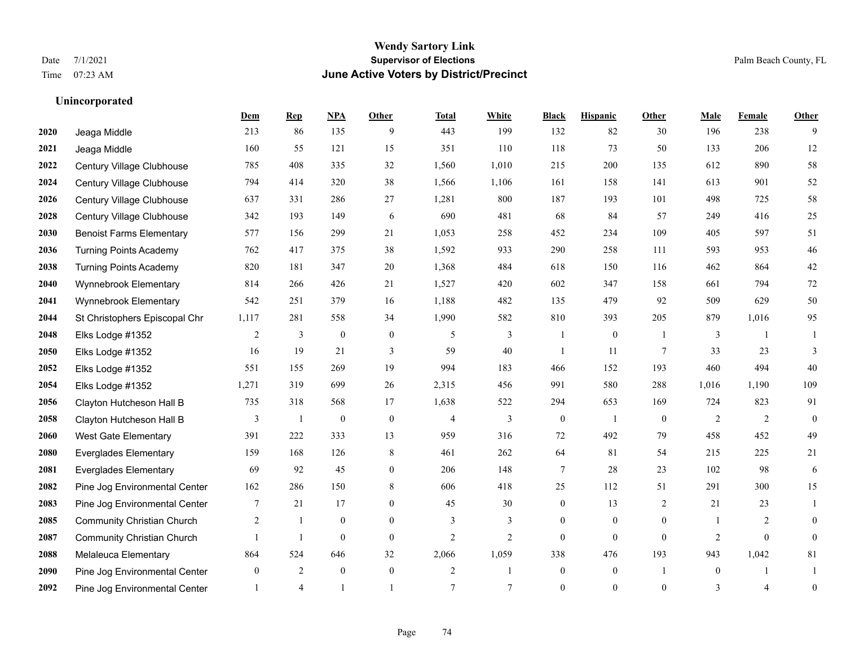**Unincorporated**

### **Wendy Sartory Link** Date 7/1/2021 **Supervisor of Elections** Palm Beach County, FL Time 07:23 AM **June Active Voters by District/Precinct**

### **Dem Rep NPA Other Total White Black Hispanic Other Male Female Other** Jeaga Middle 213 86 135 9 443 199 132 82 30 196 238 9 Jeaga Middle 160 55 121 15 351 110 118 73 50 133 206 12 Century Village Clubhouse 785 408 335 32 1,560 1,010 215 200 135 612 890 58 Century Village Clubhouse 794 414 320 38 1,566 1,106 161 158 141 613 901 52 Century Village Clubhouse 637 331 286 27 1,281 800 187 193 101 498 725 58 Century Village Clubhouse 342 193 149 6 690 481 68 84 57 249 416 25 Benoist Farms Elementary 577 156 299 21 1,053 258 452 234 109 405 597 51 Turning Points Academy 762 417 375 38 1,592 933 290 258 111 593 953 46 Turning Points Academy 820 181 347 20 1,368 484 618 150 116 462 864 42 Wynnebrook Elementary 814 266 426 21 1,527 420 602 347 158 661 794 72 Wynnebrook Elementary 542 251 379 16 1,188 482 135 479 92 509 629 50 St Christophers Episcopal Chr 1,117 281 558 34 1,990 582 810 393 205 879 1,016 95 Elks Lodge #1352 2 3 0 0 5 3 1 0 1 3 1 1 Elks Lodge #1352 16 19 21 3 59 40 1 11 7 33 23 3 Elks Lodge #1352 551 155 269 19 994 183 466 152 193 460 494 40 Elks Lodge #1352 1,271 319 699 26 2,315 456 991 580 288 1,016 1,190 109 Clayton Hutcheson Hall B 735 318 568 17 1,638 522 294 653 169 724 823 91 Clayton Hutcheson Hall B 3 1 0 0 4 3 0 1 0 2 2 0 West Gate Elementary 391 222 333 13 959 316 72 492 79 458 452 49 Everglades Elementary 159 168 126 8 461 262 64 81 54 215 225 21 Everglades Elementary 69 92 45 0 206 148 7 28 23 102 98 6 Pine Jog Environmental Center 162 286 150 8 606 418 25 112 51 291 300 15 Pine Jog Environmental Center 7 21 17 0 45 30 0 13 2 21 23 1 Community Christian Church 2 1 0 0 3 3 0 0 0 1 2 0 Community Christian Church 1 1 0 0 2 2 0 0 0 2 0 0 Melaleuca Elementary 864 524 646 32 2,066 1,059 338 476 193 943 1,042 81 Pine Jog Environmental Center  $\begin{array}{cccccccc} 0 & 2 & 0 & 0 & 2 & 1 & 0 & 1 & 0 & 1 \end{array}$ Pine Jog Environmental Center  $\begin{array}{ccccccccccccc} & 1 & 4 & 1 & 1 & 7 & 7 & 0 & 0 & 0 & 3 & 4 & 0 \end{array}$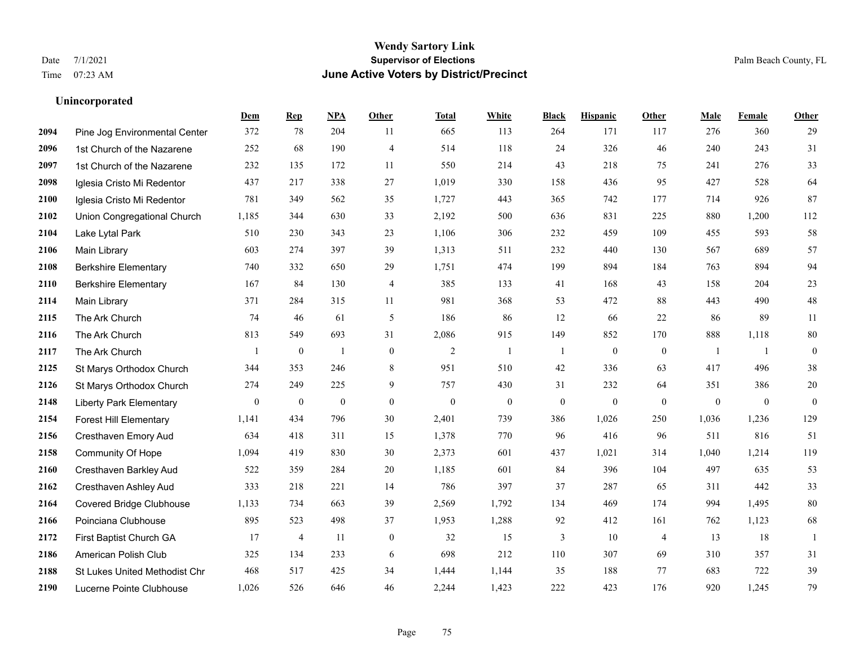|      |                                | Dem              | <b>Rep</b>       | NPA              | <b>Other</b>     | <b>Total</b>     | <b>White</b>     | <b>Black</b>     | <b>Hispanic</b>  | <b>Other</b>     | <b>Male</b>      | Female       | <b>Other</b>     |
|------|--------------------------------|------------------|------------------|------------------|------------------|------------------|------------------|------------------|------------------|------------------|------------------|--------------|------------------|
| 2094 | Pine Jog Environmental Center  | 372              | 78               | 204              | 11               | 665              | 113              | 264              | 171              | 117              | 276              | 360          | 29               |
| 2096 | 1st Church of the Nazarene     | 252              | 68               | 190              | $\overline{4}$   | 514              | 118              | 24               | 326              | 46               | 240              | 243          | 31               |
| 2097 | 1st Church of the Nazarene     | 232              | 135              | 172              | 11               | 550              | 214              | 43               | 218              | 75               | 241              | 276          | 33               |
| 2098 | Iglesia Cristo Mi Redentor     | 437              | 217              | 338              | 27               | 1,019            | 330              | 158              | 436              | 95               | 427              | 528          | 64               |
| 2100 | Iglesia Cristo Mi Redentor     | 781              | 349              | 562              | 35               | 1,727            | 443              | 365              | 742              | 177              | 714              | 926          | 87               |
| 2102 | Union Congregational Church    | 1,185            | 344              | 630              | 33               | 2,192            | 500              | 636              | 831              | 225              | 880              | 1,200        | 112              |
| 2104 | Lake Lytal Park                | 510              | 230              | 343              | 23               | 1,106            | 306              | 232              | 459              | 109              | 455              | 593          | 58               |
| 2106 | Main Library                   | 603              | 274              | 397              | 39               | 1,313            | 511              | 232              | 440              | 130              | 567              | 689          | 57               |
| 2108 | <b>Berkshire Elementary</b>    | 740              | 332              | 650              | 29               | 1,751            | 474              | 199              | 894              | 184              | 763              | 894          | 94               |
| 2110 | <b>Berkshire Elementary</b>    | 167              | 84               | 130              | 4                | 385              | 133              | 41               | 168              | 43               | 158              | 204          | $23\,$           |
| 2114 | Main Library                   | 371              | 284              | 315              | 11               | 981              | 368              | 53               | 472              | 88               | 443              | 490          | $48\,$           |
| 2115 | The Ark Church                 | 74               | 46               | 61               | $\mathfrak{H}$   | 186              | 86               | 12               | 66               | 22               | 86               | 89           | 11               |
| 2116 | The Ark Church                 | 813              | 549              | 693              | 31               | 2,086            | 915              | 149              | 852              | 170              | 888              | 1,118        | $80\,$           |
| 2117 | The Ark Church                 |                  | $\boldsymbol{0}$ | $\mathbf{1}$     | $\mathbf{0}$     | $\sqrt{2}$       | $\mathbf{1}$     | 1                | $\boldsymbol{0}$ | $\boldsymbol{0}$ | -1               | -1           | $\boldsymbol{0}$ |
| 2125 | St Marys Orthodox Church       | 344              | 353              | 246              | 8                | 951              | 510              | 42               | 336              | 63               | 417              | 496          | $38\,$           |
| 2126 | St Marys Orthodox Church       | 274              | 249              | 225              | 9                | 757              | 430              | 31               | 232              | 64               | 351              | 386          | $20\,$           |
| 2148 | <b>Liberty Park Elementary</b> | $\boldsymbol{0}$ | $\boldsymbol{0}$ | $\boldsymbol{0}$ | $\boldsymbol{0}$ | $\boldsymbol{0}$ | $\boldsymbol{0}$ | $\boldsymbol{0}$ | $\mathbf{0}$     | $\mathbf{0}$     | $\boldsymbol{0}$ | $\mathbf{0}$ | $\boldsymbol{0}$ |
| 2154 | <b>Forest Hill Elementary</b>  | 1,141            | 434              | 796              | 30               | 2,401            | 739              | 386              | 1,026            | 250              | 1,036            | 1,236        | 129              |
| 2156 | Cresthaven Emory Aud           | 634              | 418              | 311              | 15               | 1,378            | 770              | 96               | 416              | 96               | 511              | 816          | 51               |
| 2158 | <b>Community Of Hope</b>       | 1,094            | 419              | 830              | 30               | 2,373            | 601              | 437              | 1,021            | 314              | 1,040            | 1,214        | 119              |
| 2160 | Cresthaven Barkley Aud         | 522              | 359              | 284              | 20               | 1,185            | 601              | 84               | 396              | 104              | 497              | 635          | 53               |
| 2162 | Cresthaven Ashley Aud          | 333              | 218              | 221              | 14               | 786              | 397              | 37               | 287              | 65               | 311              | 442          | 33               |
| 2164 | Covered Bridge Clubhouse       | 1,133            | 734              | 663              | 39               | 2,569            | 1,792            | 134              | 469              | 174              | 994              | 1,495        | $80\,$           |
| 2166 | Poinciana Clubhouse            | 895              | 523              | 498              | 37               | 1,953            | 1,288            | 92               | 412              | 161              | 762              | 1,123        | 68               |
| 2172 | First Baptist Church GA        | 17               | $\overline{4}$   | 11               | $\overline{0}$   | 32               | 15               | 3                | 10               | $\overline{4}$   | 13               | 18           | 1                |
| 2186 | American Polish Club           | 325              | 134              | 233              | 6                | 698              | 212              | 110              | 307              | 69               | 310              | 357          | 31               |
| 2188 | St Lukes United Methodist Chr  | 468              | 517              | 425              | 34               | 1,444            | 1,144            | 35               | 188              | 77               | 683              | 722          | 39               |
| 2190 | Lucerne Pointe Clubhouse       | 1,026            | 526              | 646              | 46               | 2,244            | 1,423            | 222              | 423              | 176              | 920              | 1,245        | 79               |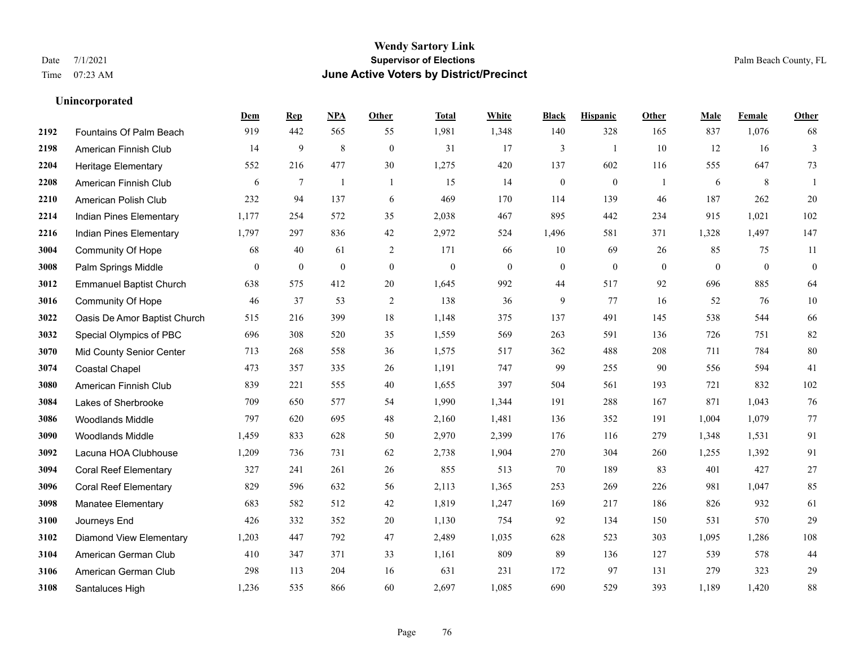|      |                                | Dem            | <b>Rep</b>       | NPA              | <b>Other</b>     | <b>Total</b>     | White        | <b>Black</b>     | <b>Hispanic</b> | Other        | <b>Male</b>  | Female       | <b>Other</b>     |
|------|--------------------------------|----------------|------------------|------------------|------------------|------------------|--------------|------------------|-----------------|--------------|--------------|--------------|------------------|
| 2192 | Fountains Of Palm Beach        | 919            | 442              | 565              | 55               | 1,981            | 1,348        | 140              | 328             | 165          | 837          | 1,076        | 68               |
| 2198 | American Finnish Club          | 14             | $\mathbf{9}$     | 8                | $\boldsymbol{0}$ | 31               | 17           | 3                | $\mathbf{1}$    | 10           | 12           | 16           | $\mathfrak{Z}$   |
| 2204 | <b>Heritage Elementary</b>     | 552            | 216              | 477              | 30               | 1,275            | 420          | 137              | 602             | 116          | 555          | 647          | 73               |
| 2208 | American Finnish Club          | 6              | $\tau$           | $\mathbf{1}$     | $\overline{1}$   | 15               | 14           | $\boldsymbol{0}$ | $\mathbf{0}$    | -1           | 6            | $\,8\,$      | $\mathbf{1}$     |
| 2210 | American Polish Club           | 232            | 94               | 137              | 6                | 469              | 170          | 114              | 139             | 46           | 187          | 262          | $20\,$           |
| 2214 | Indian Pines Elementary        | 1,177          | 254              | 572              | 35               | 2,038            | 467          | 895              | 442             | 234          | 915          | 1,021        | 102              |
| 2216 | Indian Pines Elementary        | 1,797          | 297              | 836              | 42               | 2,972            | 524          | 1,496            | 581             | 371          | 1,328        | 1,497        | 147              |
| 3004 | <b>Community Of Hope</b>       | 68             | 40               | 61               | 2                | 171              | 66           | 10               | 69              | 26           | 85           | 75           | 11               |
| 3008 | Palm Springs Middle            | $\overline{0}$ | $\boldsymbol{0}$ | $\boldsymbol{0}$ | $\mathbf{0}$     | $\boldsymbol{0}$ | $\mathbf{0}$ | $\boldsymbol{0}$ | $\mathbf{0}$    | $\mathbf{0}$ | $\mathbf{0}$ | $\mathbf{0}$ | $\boldsymbol{0}$ |
| 3012 | <b>Emmanuel Baptist Church</b> | 638            | 575              | 412              | 20               | 1,645            | 992          | 44               | 517             | 92           | 696          | 885          | 64               |
| 3016 | <b>Community Of Hope</b>       | 46             | 37               | 53               | 2                | 138              | 36           | 9                | 77              | 16           | 52           | 76           | $10\,$           |
| 3022 | Oasis De Amor Baptist Church   | 515            | 216              | 399              | 18               | 1,148            | 375          | 137              | 491             | 145          | 538          | 544          | 66               |
| 3032 | Special Olympics of PBC        | 696            | 308              | 520              | 35               | 1,559            | 569          | 263              | 591             | 136          | 726          | 751          | $82\,$           |
| 3070 | Mid County Senior Center       | 713            | 268              | 558              | 36               | 1,575            | 517          | 362              | 488             | 208          | 711          | 784          | $80\,$           |
| 3074 | <b>Coastal Chapel</b>          | 473            | 357              | 335              | 26               | 1,191            | 747          | 99               | 255             | 90           | 556          | 594          | 41               |
| 3080 | American Finnish Club          | 839            | 221              | 555              | 40               | 1,655            | 397          | 504              | 561             | 193          | 721          | 832          | 102              |
| 3084 | Lakes of Sherbrooke            | 709            | 650              | 577              | 54               | 1,990            | 1,344        | 191              | 288             | 167          | 871          | 1,043        | 76               |
| 3086 | <b>Woodlands Middle</b>        | 797            | 620              | 695              | 48               | 2,160            | 1,481        | 136              | 352             | 191          | 1,004        | 1,079        | $77\,$           |
| 3090 | Woodlands Middle               | 1,459          | 833              | 628              | 50               | 2,970            | 2,399        | 176              | 116             | 279          | 1,348        | 1,531        | 91               |
| 3092 | Lacuna HOA Clubhouse           | 1,209          | 736              | 731              | 62               | 2,738            | 1,904        | 270              | 304             | 260          | 1,255        | 1,392        | 91               |
| 3094 | <b>Coral Reef Elementary</b>   | 327            | 241              | 261              | 26               | 855              | 513          | 70               | 189             | 83           | 401          | 427          | 27               |
| 3096 | <b>Coral Reef Elementary</b>   | 829            | 596              | 632              | 56               | 2,113            | 1,365        | 253              | 269             | 226          | 981          | 1,047        | 85               |
| 3098 | Manatee Elementary             | 683            | 582              | 512              | 42               | 1,819            | 1,247        | 169              | 217             | 186          | 826          | 932          | 61               |
| 3100 | Journeys End                   | 426            | 332              | 352              | 20               | 1,130            | 754          | 92               | 134             | 150          | 531          | 570          | 29               |
| 3102 | <b>Diamond View Elementary</b> | 1,203          | 447              | 792              | 47               | 2,489            | 1,035        | 628              | 523             | 303          | 1,095        | 1,286        | 108              |
| 3104 | American German Club           | 410            | 347              | 371              | 33               | 1,161            | 809          | 89               | 136             | 127          | 539          | 578          | 44               |
| 3106 | American German Club           | 298            | 113              | 204              | 16               | 631              | 231          | 172              | 97              | 131          | 279          | 323          | 29               |
| 3108 | Santaluces High                | 1,236          | 535              | 866              | 60               | 2,697            | 1,085        | 690              | 529             | 393          | 1,189        | 1,420        | 88               |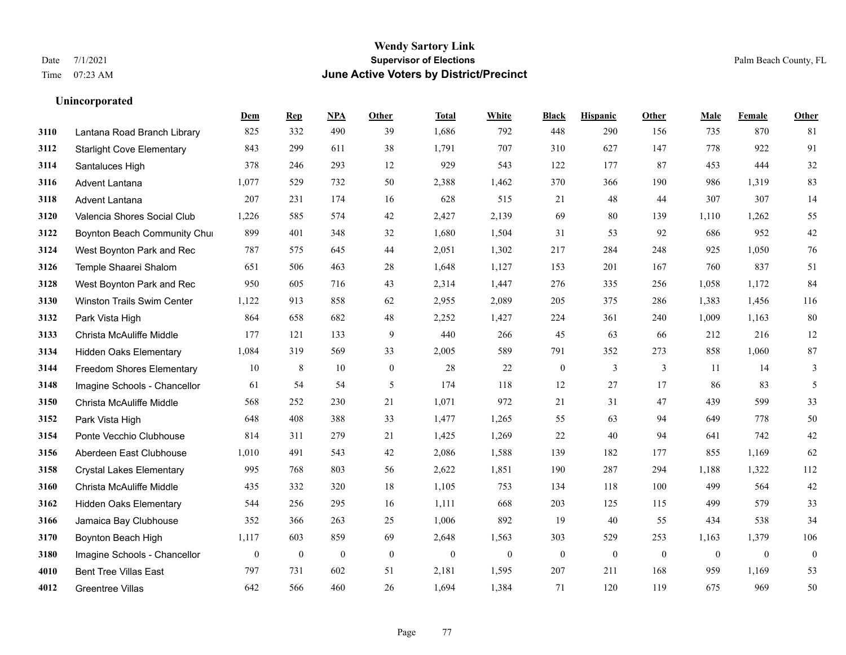|      |                                   | Dem            | <b>Rep</b>       | NPA              | <b>Other</b>   | <b>Total</b> | <b>White</b>     | <b>Black</b>     | <b>Hispanic</b> | <b>Other</b>   | <b>Male</b>  | Female       | <b>Other</b>     |
|------|-----------------------------------|----------------|------------------|------------------|----------------|--------------|------------------|------------------|-----------------|----------------|--------------|--------------|------------------|
| 3110 | Lantana Road Branch Library       | 825            | 332              | 490              | 39             | 1,686        | 792              | 448              | 290             | 156            | 735          | 870          | 81               |
| 3112 | <b>Starlight Cove Elementary</b>  | 843            | 299              | 611              | 38             | 1,791        | 707              | 310              | 627             | 147            | 778          | 922          | 91               |
| 3114 | Santaluces High                   | 378            | 246              | 293              | 12             | 929          | 543              | 122              | 177             | 87             | 453          | 444          | $32\,$           |
| 3116 | <b>Advent Lantana</b>             | 1,077          | 529              | 732              | 50             | 2,388        | 1,462            | 370              | 366             | 190            | 986          | 1,319        | 83               |
| 3118 | Advent Lantana                    | 207            | 231              | 174              | 16             | 628          | 515              | 21               | 48              | 44             | 307          | 307          | 14               |
| 3120 | Valencia Shores Social Club       | 1,226          | 585              | 574              | 42             | 2,427        | 2,139            | 69               | 80              | 139            | 1,110        | 1,262        | 55               |
| 3122 | Boynton Beach Community Chur      | 899            | 401              | 348              | 32             | 1,680        | 1,504            | 31               | 53              | 92             | 686          | 952          | $42\,$           |
| 3124 | West Boynton Park and Rec         | 787            | 575              | 645              | 44             | 2,051        | 1,302            | 217              | 284             | 248            | 925          | 1,050        | 76               |
| 3126 | Temple Shaarei Shalom             | 651            | 506              | 463              | 28             | 1,648        | 1,127            | 153              | 201             | 167            | 760          | 837          | 51               |
| 3128 | West Boynton Park and Rec         | 950            | 605              | 716              | 43             | 2,314        | 1,447            | 276              | 335             | 256            | 1.058        | 1,172        | 84               |
| 3130 | <b>Winston Trails Swim Center</b> | 1,122          | 913              | 858              | 62             | 2,955        | 2,089            | 205              | 375             | 286            | 1,383        | 1,456        | 116              |
| 3132 | Park Vista High                   | 864            | 658              | 682              | 48             | 2,252        | 1,427            | 224              | 361             | 240            | 1.009        | 1,163        | 80               |
| 3133 | Christa McAuliffe Middle          | 177            | 121              | 133              | 9              | 440          | 266              | 45               | 63              | 66             | 212          | 216          | $12\,$           |
| 3134 | <b>Hidden Oaks Elementary</b>     | 1,084          | 319              | 569              | 33             | 2,005        | 589              | 791              | 352             | 273            | 858          | 1,060        | $87\,$           |
| 3144 | <b>Freedom Shores Elementary</b>  | 10             | 8                | 10               | $\overline{0}$ | 28           | 22               | $\boldsymbol{0}$ | 3               | 3              | 11           | 14           | $\mathfrak{Z}$   |
| 3148 | Imagine Schools - Chancellor      | 61             | 54               | 54               | 5              | 174          | 118              | 12               | 27              | 17             | 86           | 83           | 5                |
| 3150 | Christa McAuliffe Middle          | 568            | 252              | 230              | 21             | 1,071        | 972              | 21               | 31              | 47             | 439          | 599          | 33               |
| 3152 | Park Vista High                   | 648            | 408              | 388              | 33             | 1,477        | 1,265            | 55               | 63              | 94             | 649          | 778          | $50\,$           |
| 3154 | Ponte Vecchio Clubhouse           | 814            | 311              | 279              | 21             | 1,425        | 1,269            | 22               | 40              | 94             | 641          | 742          | $42\,$           |
| 3156 | Aberdeen East Clubhouse           | 1,010          | 491              | 543              | 42             | 2,086        | 1,588            | 139              | 182             | 177            | 855          | 1,169        | 62               |
| 3158 | <b>Crystal Lakes Elementary</b>   | 995            | 768              | 803              | 56             | 2,622        | 1,851            | 190              | 287             | 294            | 1,188        | 1,322        | 112              |
| 3160 | Christa McAuliffe Middle          | 435            | 332              | 320              | 18             | 1,105        | 753              | 134              | 118             | 100            | 499          | 564          | 42               |
| 3162 | <b>Hidden Oaks Elementary</b>     | 544            | 256              | 295              | 16             | 1,111        | 668              | 203              | 125             | 115            | 499          | 579          | 33               |
| 3166 | Jamaica Bay Clubhouse             | 352            | 366              | 263              | 25             | 1,006        | 892              | 19               | 40              | 55             | 434          | 538          | 34               |
| 3170 | Boynton Beach High                | 1,117          | 603              | 859              | 69             | 2,648        | 1,563            | 303              | 529             | 253            | 1,163        | 1,379        | 106              |
| 3180 | Imagine Schools - Chancellor      | $\overline{0}$ | $\boldsymbol{0}$ | $\boldsymbol{0}$ | $\mathbf{0}$   | $\mathbf{0}$ | $\boldsymbol{0}$ | $\boldsymbol{0}$ | $\mathbf{0}$    | $\overline{0}$ | $\mathbf{0}$ | $\mathbf{0}$ | $\boldsymbol{0}$ |
| 4010 | <b>Bent Tree Villas East</b>      | 797            | 731              | 602              | 51             | 2,181        | 1,595            | 207              | 211             | 168            | 959          | 1,169        | 53               |
| 4012 | <b>Greentree Villas</b>           | 642            | 566              | 460              | 26             | 1,694        | 1,384            | 71               | 120             | 119            | 675          | 969          | 50               |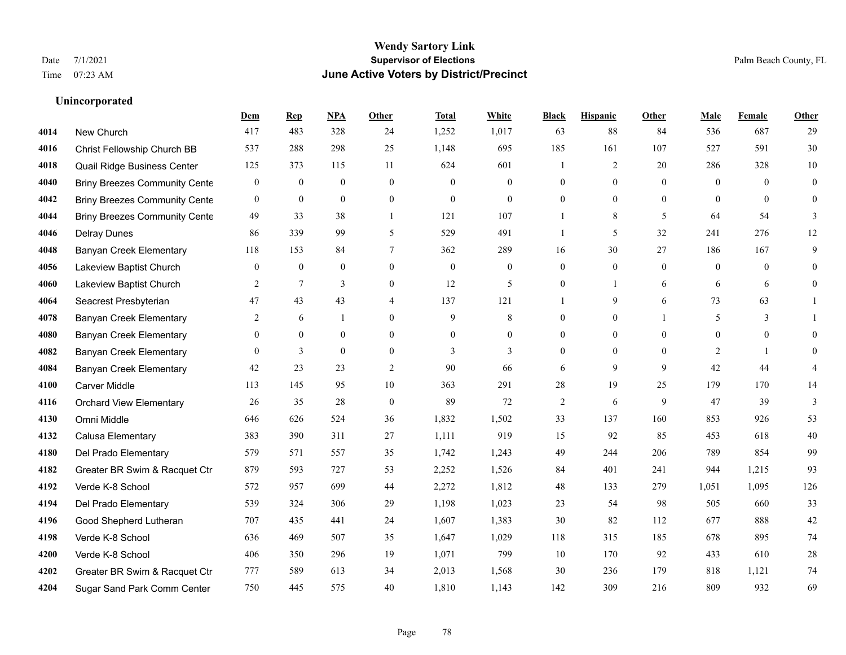|      |                                      | Dem              | <b>Rep</b>       | NPA              | <b>Other</b>     | <b>Total</b>     | <b>White</b>     | <b>Black</b>     | <b>Hispanic</b>  | Other        | <b>Male</b>      | <b>Female</b>  | <b>Other</b>   |
|------|--------------------------------------|------------------|------------------|------------------|------------------|------------------|------------------|------------------|------------------|--------------|------------------|----------------|----------------|
| 4014 | New Church                           | 417              | 483              | 328              | 24               | 1,252            | 1,017            | 63               | 88               | 84           | 536              | 687            | 29             |
| 4016 | Christ Fellowship Church BB          | 537              | 288              | 298              | 25               | 1,148            | 695              | 185              | 161              | 107          | 527              | 591            | $30\,$         |
| 4018 | Quail Ridge Business Center          | 125              | 373              | 115              | 11               | 624              | 601              | 1                | 2                | 20           | 286              | 328            | 10             |
| 4040 | <b>Briny Breezes Community Cente</b> | $\boldsymbol{0}$ | $\boldsymbol{0}$ | $\boldsymbol{0}$ | $\boldsymbol{0}$ | $\mathbf{0}$     | $\boldsymbol{0}$ | $\overline{0}$   | $\overline{0}$   | $\mathbf{0}$ | $\mathbf{0}$     | $\mathbf{0}$   | $\overline{0}$ |
| 4042 | <b>Briny Breezes Community Cente</b> | $\mathbf{0}$     | $\mathbf{0}$     | $\mathbf{0}$     | $\theta$         | $\Omega$         | $\theta$         | $\Omega$         | $\Omega$         | $\theta$     | $\Omega$         | $\Omega$       | $\mathbf{0}$   |
| 4044 | <b>Briny Breezes Community Cente</b> | 49               | 33               | 38               | $\overline{1}$   | 121              | 107              |                  | 8                | 5            | 64               | 54             | 3              |
| 4046 | <b>Delray Dunes</b>                  | 86               | 339              | 99               | 5                | 529              | 491              | 1                | 5                | 32           | 241              | 276            | 12             |
| 4048 | Banyan Creek Elementary              | 118              | 153              | 84               | $\tau$           | 362              | 289              | 16               | 30               | 27           | 186              | 167            | 9              |
| 4056 | Lakeview Baptist Church              | $\mathbf{0}$     | $\boldsymbol{0}$ | $\boldsymbol{0}$ | $\mathbf{0}$     | $\boldsymbol{0}$ | $\boldsymbol{0}$ | $\boldsymbol{0}$ | $\boldsymbol{0}$ | $\mathbf{0}$ | $\boldsymbol{0}$ | $\overline{0}$ | $\overline{0}$ |
| 4060 | Lakeview Baptist Church              | 2                | 7                | 3                | $\overline{0}$   | 12               | 5                | $\overline{0}$   | $\mathbf{1}$     | 6            | 6                | 6              | $\overline{0}$ |
| 4064 | Seacrest Presbyterian                | 47               | 43               | 43               | $\overline{4}$   | 137              | 121              | 1                | 9                | 6            | 73               | 63             |                |
| 4078 | Banyan Creek Elementary              | 2                | 6                | 1                | $\Omega$         | 9                | 8                | $\overline{0}$   | $\overline{0}$   |              | 5                | 3              |                |
| 4080 | Banyan Creek Elementary              | $\theta$         | $\mathbf{0}$     | $\mathbf{0}$     | $\theta$         | $\theta$         | $\overline{0}$   | $\overline{0}$   | $\overline{0}$   | $\Omega$     | $\Omega$         | $\overline{0}$ | $\theta$       |
| 4082 | <b>Banyan Creek Elementary</b>       | $\mathbf{0}$     | 3                | $\mathbf{0}$     | $\boldsymbol{0}$ | 3                | $\mathfrak{Z}$   | $\boldsymbol{0}$ | $\overline{0}$   | $\mathbf{0}$ | $\overline{2}$   | $\overline{1}$ | $\theta$       |
| 4084 | <b>Banyan Creek Elementary</b>       | 42               | 23               | 23               | 2                | 90               | 66               | 6                | 9                | 9            | 42               | 44             | 4              |
| 4100 | <b>Carver Middle</b>                 | 113              | 145              | 95               | 10               | 363              | 291              | 28               | 19               | 25           | 179              | 170            | 14             |
| 4116 | <b>Orchard View Elementary</b>       | 26               | 35               | 28               | $\boldsymbol{0}$ | 89               | 72               | $\overline{c}$   | 6                | 9            | 47               | 39             | $\mathfrak{Z}$ |
| 4130 | Omni Middle                          | 646              | 626              | 524              | 36               | 1,832            | 1,502            | 33               | 137              | 160          | 853              | 926            | 53             |
| 4132 | Calusa Elementary                    | 383              | 390              | 311              | 27               | 1,111            | 919              | 15               | 92               | 85           | 453              | 618            | 40             |
| 4180 | Del Prado Elementary                 | 579              | 571              | 557              | 35               | 1,742            | 1,243            | 49               | 244              | 206          | 789              | 854            | 99             |
| 4182 | Greater BR Swim & Racquet Ctr        | 879              | 593              | 727              | 53               | 2,252            | 1,526            | 84               | 401              | 241          | 944              | 1,215          | 93             |
| 4192 | Verde K-8 School                     | 572              | 957              | 699              | 44               | 2,272            | 1,812            | 48               | 133              | 279          | 1,051            | 1,095          | 126            |
| 4194 | Del Prado Elementary                 | 539              | 324              | 306              | 29               | 1,198            | 1,023            | 23               | 54               | 98           | 505              | 660            | 33             |
| 4196 | Good Shepherd Lutheran               | 707              | 435              | 441              | 24               | 1,607            | 1,383            | 30               | 82               | 112          | 677              | 888            | $42\,$         |
| 4198 | Verde K-8 School                     | 636              | 469              | 507              | 35               | 1,647            | 1,029            | 118              | 315              | 185          | 678              | 895            | 74             |
| 4200 | Verde K-8 School                     | 406              | 350              | 296              | 19               | 1,071            | 799              | 10               | 170              | 92           | 433              | 610            | $28\,$         |
| 4202 | Greater BR Swim & Racquet Ctr        | 777              | 589              | 613              | 34               | 2,013            | 1,568            | 30               | 236              | 179          | 818              | 1,121          | $74\,$         |
| 4204 | Sugar Sand Park Comm Center          | 750              | 445              | 575              | 40               | 1,810            | 1,143            | 142              | 309              | 216          | 809              | 932            | 69             |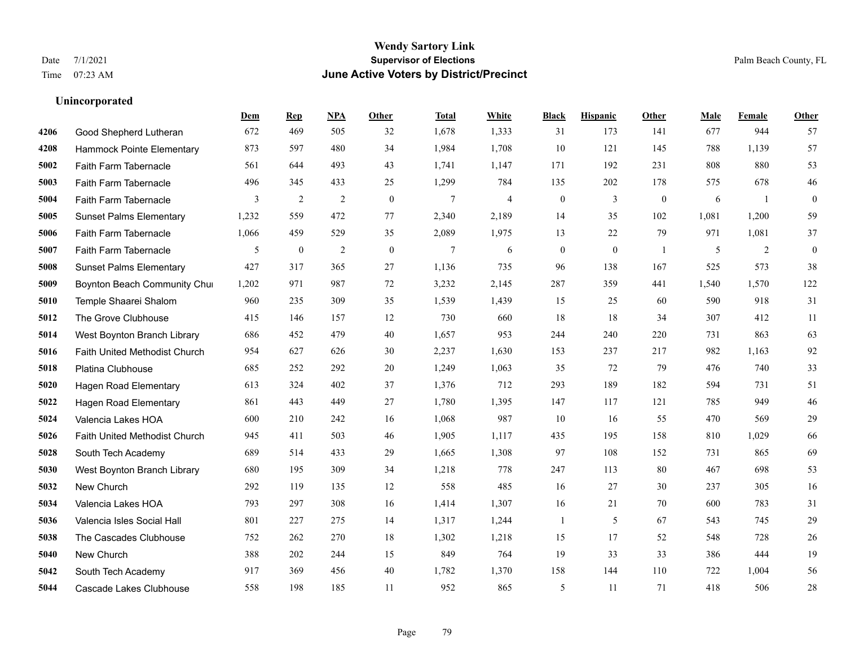**Unincorporated**

### **Wendy Sartory Link** Date 7/1/2021 **Supervisor of Elections** Palm Beach County, FL Time 07:23 AM **June Active Voters by District/Precinct**

**Dem Rep NPA Other Total White Black Hispanic Other Male Female Other**

### Good Shepherd Lutheran 672 469 505 32 1,678 1,333 31 173 141 677 944 57 Hammock Pointe Elementary 873 597 480 34 1,984 1,708 10 121 145 788 1,139 57 Faith Farm Tabernacle 561 644 493 43 1,741 1,147 171 192 231 808 880 53 Faith Farm Tabernacle 496 345 433 25 1,299 784 135 202 178 575 678 46 Faith Farm Tabernacle 3 2 2 0 7 4 0 3 0 6 1 0 Sunset Palms Elementary 1,232 559 472 77 2,340 2,189 14 35 102 1,081 1,200 59 Faith Farm Tabernacle 1,066 459 529 35 2,089 1,975 13 22 79 971 1,081 37 Faith Farm Tabernacle 5 0 2 0 7 6 0 0 1 5 2 0 Sunset Palms Elementary 427 317 365 27 1,136 735 96 138 167 525 573 38 Boynton Beach Community Church 1,202 971 987 72 3,232 2,145 287 359 441 1,540 1,570 122 Temple Shaarei Shalom 960 235 309 35 1,539 1,439 15 25 60 590 918 31 The Grove Clubhouse 415 146 157 12 730 660 18 18 34 307 412 11 West Boynton Branch Library 686 452 479 40 1,657 953 244 240 220 731 863 63 Faith United Methodist Church 954 627 626 30 2,237 1,630 153 237 217 982 1,163 92 Platina Clubhouse 685 252 292 20 1,249 1,063 35 72 79 476 740 33 Hagen Road Elementary 613 324 402 37 1,376 712 293 189 182 594 731 51 Hagen Road Elementary 861 443 449 27 1,780 1,395 147 117 121 785 949 46 Valencia Lakes HOA 600 210 242 16 1,068 987 10 16 55 470 569 29 Faith United Methodist Church 945 411 503 46 1,905 1,117 435 195 158 810 1,029 66 South Tech Academy 689 514 433 29 1,665 1,308 97 108 152 731 865 69 West Boynton Branch Library 680 195 309 34 1,218 778 247 113 80 467 698 53 New Church 292 119 135 12 558 485 16 27 30 237 305 16 Valencia Lakes HOA 793 297 308 16 1,414 1,307 16 21 70 600 783 31 Valencia Isles Social Hall 801 227 275 14 1,317 1,244 1 5 67 543 745 29 The Cascades Clubhouse 752 262 270 18 1,302 1,218 15 17 52 548 728 26 New Church 388 202 244 15 849 764 19 33 33 386 444 19 South Tech Academy 917 369 456 40 1,782 1,370 158 144 110 722 1,004 56

Cascade Lakes Clubhouse 558 198 185 11 952 865 5 11 71 418 506 28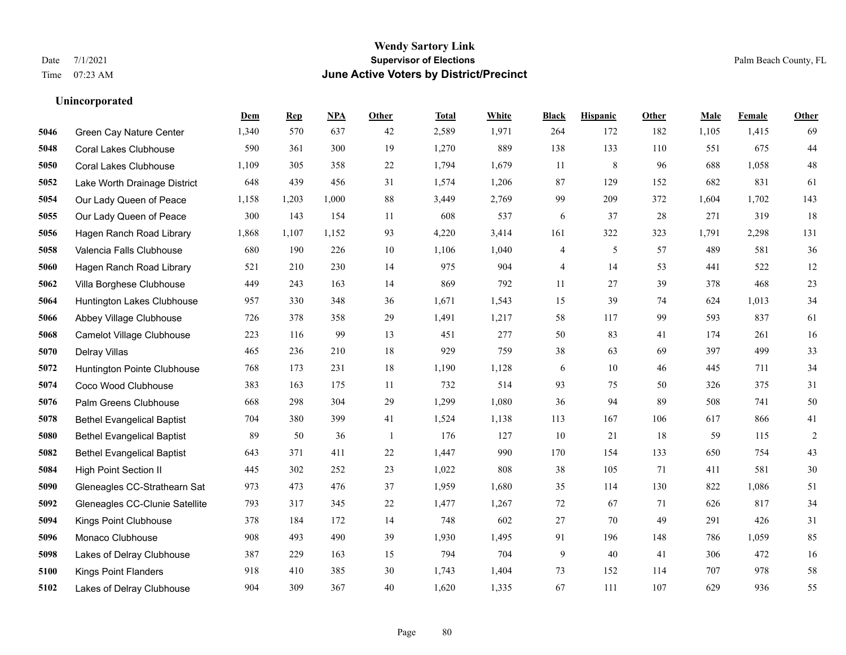|      |                                   | Dem   | <b>Rep</b> | NPA   | <b>Other</b> | <b>Total</b> | White | <b>Black</b> | <b>Hispanic</b> | <b>Other</b> | <b>Male</b> | <b>Female</b> | <b>Other</b> |
|------|-----------------------------------|-------|------------|-------|--------------|--------------|-------|--------------|-----------------|--------------|-------------|---------------|--------------|
| 5046 | Green Cay Nature Center           | 1,340 | 570        | 637   | 42           | 2,589        | 1,971 | 264          | 172             | 182          | 1,105       | 1,415         | 69           |
| 5048 | <b>Coral Lakes Clubhouse</b>      | 590   | 361        | 300   | 19           | 1,270        | 889   | 138          | 133             | 110          | 551         | 675           | $44\,$       |
| 5050 | <b>Coral Lakes Clubhouse</b>      | 1,109 | 305        | 358   | 22           | 1,794        | 1,679 | 11           | 8               | 96           | 688         | 1,058         | $48\,$       |
| 5052 | Lake Worth Drainage District      | 648   | 439        | 456   | 31           | 1,574        | 1,206 | 87           | 129             | 152          | 682         | 831           | 61           |
| 5054 | Our Lady Queen of Peace           | 1,158 | 1,203      | 1,000 | 88           | 3,449        | 2,769 | 99           | 209             | 372          | 1.604       | 1.702         | 143          |
| 5055 | Our Lady Queen of Peace           | 300   | 143        | 154   | 11           | 608          | 537   | 6            | 37              | 28           | 271         | 319           | 18           |
| 5056 | Hagen Ranch Road Library          | 1,868 | 1,107      | 1,152 | 93           | 4,220        | 3,414 | 161          | 322             | 323          | 1,791       | 2,298         | 131          |
| 5058 | Valencia Falls Clubhouse          | 680   | 190        | 226   | 10           | 1,106        | 1,040 | 4            | 5               | 57           | 489         | 581           | 36           |
| 5060 | Hagen Ranch Road Library          | 521   | 210        | 230   | 14           | 975          | 904   | 4            | 14              | 53           | 441         | 522           | 12           |
| 5062 | Villa Borghese Clubhouse          | 449   | 243        | 163   | 14           | 869          | 792   | 11           | 27              | 39           | 378         | 468           | $23\,$       |
| 5064 | Huntington Lakes Clubhouse        | 957   | 330        | 348   | 36           | 1,671        | 1,543 | 15           | 39              | 74           | 624         | 1.013         | 34           |
| 5066 | Abbey Village Clubhouse           | 726   | 378        | 358   | 29           | 1,491        | 1,217 | 58           | 117             | 99           | 593         | 837           | 61           |
| 5068 | Camelot Village Clubhouse         | 223   | 116        | 99    | 13           | 451          | 277   | 50           | 83              | 41           | 174         | 261           | 16           |
| 5070 | Delray Villas                     | 465   | 236        | 210   | 18           | 929          | 759   | 38           | 63              | 69           | 397         | 499           | 33           |
| 5072 | Huntington Pointe Clubhouse       | 768   | 173        | 231   | 18           | 1,190        | 1,128 | 6            | 10              | 46           | 445         | 711           | 34           |
| 5074 | Coco Wood Clubhouse               | 383   | 163        | 175   | 11           | 732          | 514   | 93           | 75              | 50           | 326         | 375           | 31           |
| 5076 | Palm Greens Clubhouse             | 668   | 298        | 304   | 29           | 1,299        | 1,080 | 36           | 94              | 89           | 508         | 741           | $50\,$       |
| 5078 | <b>Bethel Evangelical Baptist</b> | 704   | 380        | 399   | 41           | 1,524        | 1,138 | 113          | 167             | 106          | 617         | 866           | 41           |
| 5080 | <b>Bethel Evangelical Baptist</b> | 89    | 50         | 36    | -1           | 176          | 127   | 10           | 21              | 18           | 59          | 115           | $\sqrt{2}$   |
| 5082 | <b>Bethel Evangelical Baptist</b> | 643   | 371        | 411   | $22\,$       | 1,447        | 990   | 170          | 154             | 133          | 650         | 754           | $43\,$       |
| 5084 | <b>High Point Section II</b>      | 445   | 302        | 252   | 23           | 1,022        | 808   | 38           | 105             | 71           | 411         | 581           | $30\,$       |
| 5090 | Gleneagles CC-Strathearn Sat      | 973   | 473        | 476   | 37           | 1,959        | 1,680 | 35           | 114             | 130          | 822         | 1,086         | 51           |
| 5092 | Gleneagles CC-Clunie Satellite    | 793   | 317        | 345   | 22           | 1,477        | 1,267 | 72           | 67              | 71           | 626         | 817           | 34           |
| 5094 | Kings Point Clubhouse             | 378   | 184        | 172   | 14           | 748          | 602   | 27           | 70              | 49           | 291         | 426           | 31           |
| 5096 | Monaco Clubhouse                  | 908   | 493        | 490   | 39           | 1,930        | 1,495 | 91           | 196             | 148          | 786         | 1.059         | 85           |
| 5098 | Lakes of Delray Clubhouse         | 387   | 229        | 163   | 15           | 794          | 704   | 9            | 40              | 41           | 306         | 472           | 16           |
| 5100 | <b>Kings Point Flanders</b>       | 918   | 410        | 385   | 30           | 1,743        | 1,404 | 73           | 152             | 114          | 707         | 978           | 58           |
| 5102 | Lakes of Delray Clubhouse         | 904   | 309        | 367   | 40           | 1,620        | 1,335 | 67           | 111             | 107          | 629         | 936           | 55           |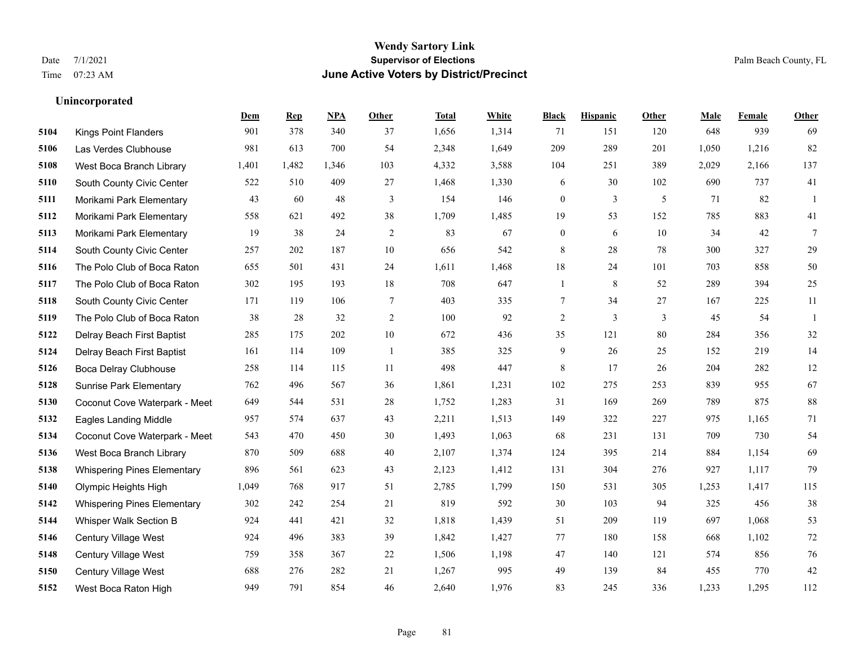### **Wendy Sartory Link** Date 7/1/2021 Palm Beach County, FL Time 07:23 AM **June Active Voters by District/Precinct**

|      |                                    | <b>Dem</b> | <b>Rep</b> | NPA   | <b>Other</b>   | <b>Total</b> | <b>White</b> | <b>Black</b>     | <b>Hispanic</b> | <b>Other</b> | <b>Male</b> | Female | <b>Other</b> |
|------|------------------------------------|------------|------------|-------|----------------|--------------|--------------|------------------|-----------------|--------------|-------------|--------|--------------|
| 5104 | <b>Kings Point Flanders</b>        | 901        | 378        | 340   | 37             | 1,656        | 1,314        | 71               | 151             | 120          | 648         | 939    | 69           |
| 5106 | Las Verdes Clubhouse               | 981        | 613        | 700   | 54             | 2,348        | 1,649        | 209              | 289             | 201          | 1,050       | 1,216  | 82           |
| 5108 | West Boca Branch Library           | 1,401      | 1,482      | 1,346 | 103            | 4,332        | 3,588        | 104              | 251             | 389          | 2,029       | 2,166  | 137          |
| 5110 | South County Civic Center          | 522        | 510        | 409   | 27             | 1,468        | 1,330        | 6                | 30              | 102          | 690         | 737    | 41           |
| 5111 | Morikami Park Elementary           | 43         | 60         | 48    | 3              | 154          | 146          | $\boldsymbol{0}$ | 3               | 5            | 71          | 82     | 1            |
| 5112 | Morikami Park Elementary           | 558        | 621        | 492   | 38             | 1,709        | 1,485        | 19               | 53              | 152          | 785         | 883    | 41           |
| 5113 | Morikami Park Elementary           | 19         | 38         | 24    | $\sqrt{2}$     | 83           | 67           | $\boldsymbol{0}$ | 6               | $10\,$       | 34          | 42     | $\tau$       |
| 5114 | South County Civic Center          | 257        | 202        | 187   | 10             | 656          | 542          | 8                | 28              | 78           | 300         | 327    | 29           |
| 5116 | The Polo Club of Boca Raton        | 655        | 501        | 431   | 24             | 1,611        | 1,468        | $18\,$           | 24              | 101          | 703         | 858    | 50           |
| 5117 | The Polo Club of Boca Raton        | 302        | 195        | 193   | 18             | 708          | 647          | 1                | 8               | 52           | 289         | 394    | 25           |
| 5118 | South County Civic Center          | 171        | 119        | 106   | 7              | 403          | 335          | 7                | 34              | 27           | 167         | 225    | 11           |
| 5119 | The Polo Club of Boca Raton        | 38         | 28         | 32    | $\overline{c}$ | 100          | 92           | $\overline{c}$   | $\mathfrak{Z}$  | 3            | 45          | 54     | -1           |
| 5122 | Delray Beach First Baptist         | 285        | 175        | 202   | 10             | 672          | 436          | 35               | 121             | 80           | 284         | 356    | 32           |
| 5124 | Delray Beach First Baptist         | 161        | 114        | 109   | -1             | 385          | 325          | $\mathbf{9}$     | 26              | 25           | 152         | 219    | 14           |
| 5126 | Boca Delray Clubhouse              | 258        | 114        | 115   | 11             | 498          | 447          | 8                | 17              | 26           | 204         | 282    | 12           |
| 5128 | <b>Sunrise Park Elementary</b>     | 762        | 496        | 567   | 36             | 1,861        | 1,231        | 102              | 275             | 253          | 839         | 955    | 67           |
| 5130 | Coconut Cove Waterpark - Meet      | 649        | 544        | 531   | 28             | 1,752        | 1,283        | 31               | 169             | 269          | 789         | 875    | 88           |
| 5132 | <b>Eagles Landing Middle</b>       | 957        | 574        | 637   | 43             | 2,211        | 1,513        | 149              | 322             | 227          | 975         | 1,165  | 71           |
| 5134 | Coconut Cove Waterpark - Meet      | 543        | 470        | 450   | 30             | 1,493        | 1,063        | 68               | 231             | 131          | 709         | 730    | 54           |
| 5136 | West Boca Branch Library           | 870        | 509        | 688   | 40             | 2,107        | 1,374        | 124              | 395             | 214          | 884         | 1,154  | 69           |
| 5138 | <b>Whispering Pines Elementary</b> | 896        | 561        | 623   | 43             | 2,123        | 1,412        | 131              | 304             | 276          | 927         | 1,117  | 79           |
| 5140 | Olympic Heights High               | 1,049      | 768        | 917   | 51             | 2,785        | 1,799        | 150              | 531             | 305          | 1,253       | 1,417  | 115          |
| 5142 | <b>Whispering Pines Elementary</b> | 302        | 242        | 254   | 21             | 819          | 592          | 30               | 103             | 94           | 325         | 456    | 38           |
| 5144 | Whisper Walk Section B             | 924        | 441        | 421   | 32             | 1,818        | 1,439        | 51               | 209             | 119          | 697         | 1,068  | 53           |
| 5146 | Century Village West               | 924        | 496        | 383   | 39             | 1,842        | 1,427        | 77               | 180             | 158          | 668         | 1,102  | 72           |
| 5148 | <b>Century Village West</b>        | 759        | 358        | 367   | 22             | 1,506        | 1,198        | 47               | 140             | 121          | 574         | 856    | $76\,$       |
| 5150 | Century Village West               | 688        | 276        | 282   | 21             | 1,267        | 995          | 49               | 139             | 84           | 455         | 770    | 42           |
| 5152 | West Boca Raton High               | 949        | 791        | 854   | 46             | 2,640        | 1,976        | 83               | 245             | 336          | 1,233       | 1,295  | 112          |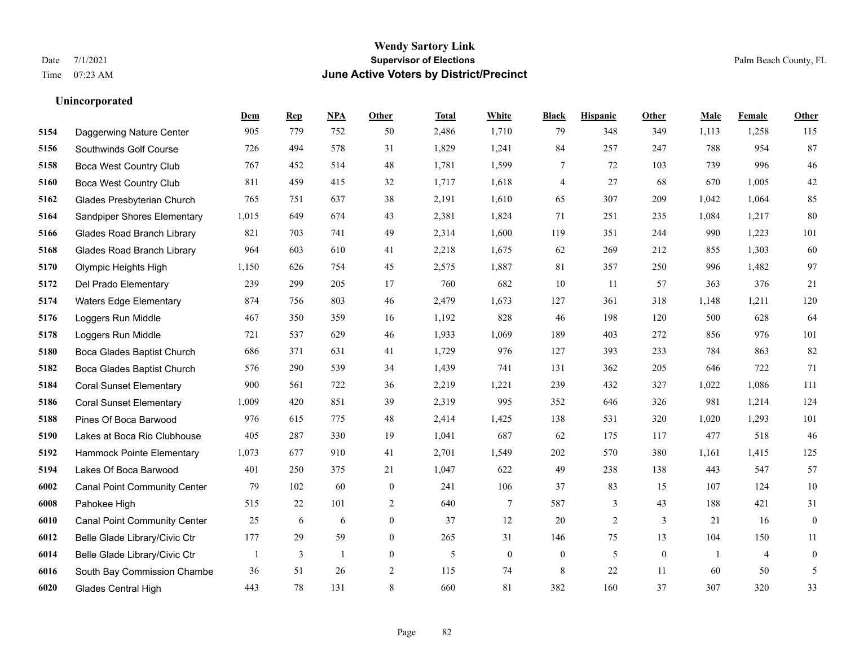**Unincorporated**

### **Wendy Sartory Link** Date 7/1/2021 **Supervisor of Elections** Palm Beach County, FL Time 07:23 AM **June Active Voters by District/Precinct**

**Dem Rep NPA Other Total White Black Hispanic Other Male Female Other**

# Daggerwing Nature Center 905 779 752 50 2,486 1,710 79 348 349 1,113 1,258 115 Southwinds Golf Course 726 494 578 31 1,829 1,241 84 257 247 788 954 87

| 5158 | Boca West Country Club              | 767   | 452 | 514 | 48               | 1,781 | 1,599        | 7                | 72  | 103          | 739            | 996            | 46               |
|------|-------------------------------------|-------|-----|-----|------------------|-------|--------------|------------------|-----|--------------|----------------|----------------|------------------|
| 5160 | <b>Boca West Country Club</b>       | 811   | 459 | 415 | 32               | 1,717 | 1,618        | $\overline{4}$   | 27  | 68           | 670            | 1,005          | $42\,$           |
| 5162 | Glades Presbyterian Church          | 765   | 751 | 637 | 38               | 2,191 | 1,610        | 65               | 307 | 209          | 1.042          | 1,064          | 85               |
| 5164 | Sandpiper Shores Elementary         | 1,015 | 649 | 674 | 43               | 2,381 | 1,824        | 71               | 251 | 235          | 1,084          | 1,217          | 80               |
| 5166 | <b>Glades Road Branch Library</b>   | 821   | 703 | 741 | 49               | 2,314 | 1,600        | 119              | 351 | 244          | 990            | 1,223          | 101              |
| 5168 | <b>Glades Road Branch Library</b>   | 964   | 603 | 610 | 41               | 2,218 | 1,675        | 62               | 269 | 212          | 855            | 1,303          | 60               |
| 5170 | Olympic Heights High                | 1,150 | 626 | 754 | 45               | 2,575 | 1,887        | 81               | 357 | 250          | 996            | 1,482          | 97               |
| 5172 | Del Prado Elementary                | 239   | 299 | 205 | 17               | 760   | 682          | 10               | -11 | 57           | 363            | 376            | 21               |
| 5174 | <b>Waters Edge Elementary</b>       | 874   | 756 | 803 | 46               | 2,479 | 1,673        | 127              | 361 | 318          | 1,148          | 1,211          | 120              |
| 5176 | Loggers Run Middle                  | 467   | 350 | 359 | 16               | 1,192 | 828          | 46               | 198 | 120          | 500            | 628            | 64               |
| 5178 | Loggers Run Middle                  | 721   | 537 | 629 | 46               | 1,933 | 1,069        | 189              | 403 | 272          | 856            | 976            | 101              |
| 5180 | Boca Glades Baptist Church          | 686   | 371 | 631 | 41               | 1,729 | 976          | 127              | 393 | 233          | 784            | 863            | 82               |
| 5182 | Boca Glades Baptist Church          | 576   | 290 | 539 | 34               | 1,439 | 741          | 131              | 362 | 205          | 646            | 722            | 71               |
| 5184 | <b>Coral Sunset Elementary</b>      | 900   | 561 | 722 | 36               | 2,219 | 1,221        | 239              | 432 | 327          | 1,022          | 1,086          | 111              |
| 5186 | <b>Coral Sunset Elementary</b>      | 1,009 | 420 | 851 | 39               | 2,319 | 995          | 352              | 646 | 326          | 981            | 1,214          | 124              |
| 5188 | Pines Of Boca Barwood               | 976   | 615 | 775 | 48               | 2,414 | 1,425        | 138              | 531 | 320          | 1,020          | 1,293          | 101              |
| 5190 | Lakes at Boca Rio Clubhouse         | 405   | 287 | 330 | 19               | 1,041 | 687          | 62               | 175 | 117          | 477            | 518            | 46               |
| 5192 | Hammock Pointe Elementary           | 1,073 | 677 | 910 | 41               | 2,701 | 1,549        | 202              | 570 | 380          | 1,161          | 1,415          | 125              |
| 5194 | Lakes Of Boca Barwood               | 401   | 250 | 375 | 21               | 1,047 | 622          | 49               | 238 | 138          | 443            | 547            | 57               |
| 6002 | <b>Canal Point Community Center</b> | 79    | 102 | 60  | $\mathbf{0}$     | 241   | 106          | 37               | 83  | 15           | 107            | 124            | 10               |
| 6008 | Pahokee High                        | 515   | 22  | 101 | $\overline{c}$   | 640   | $\tau$       | 587              | 3   | 43           | 188            | 421            | 31               |
| 6010 | <b>Canal Point Community Center</b> | 25    | 6   | 6   | $\boldsymbol{0}$ | 37    | 12           | 20               | 2   | 3            | 21             | 16             | $\overline{0}$   |
| 6012 | Belle Glade Library/Civic Ctr       | 177   | 29  | 59  | $\theta$         | 265   | 31           | 146              | 75  | 13           | 104            | 150            | 11               |
| 6014 | Belle Glade Library/Civic Ctr       |       | 3   |     | $\mathbf{0}$     | 5     | $\mathbf{0}$ | $\boldsymbol{0}$ | 5   | $\mathbf{0}$ | $\overline{1}$ | $\overline{4}$ | $\boldsymbol{0}$ |
| 6016 | South Bay Commission Chambe         | 36    | 51  | 26  | 2                | 115   | 74           | 8                | 22  | 11           | 60             | 50             | 5                |
| 6020 | Glades Central High                 | 443   | 78  | 131 | 8                | 660   | 81           | 382              | 160 | 37           | 307            | 320            | 33               |
|      |                                     |       |     |     |                  |       |              |                  |     |              |                |                |                  |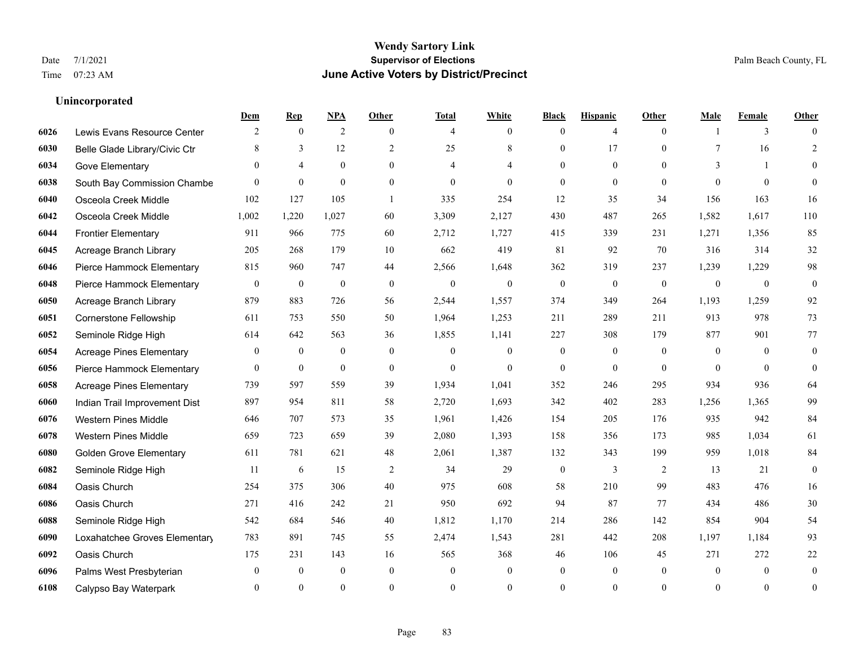|      |                                 | Dem              | <b>Rep</b>       | NPA              | <b>Other</b>     | <b>Total</b>     | <b>White</b>     | <b>Black</b>     | <b>Hispanic</b>  | <b>Other</b>   | <b>Male</b>  | <b>Female</b> | <b>Other</b>     |
|------|---------------------------------|------------------|------------------|------------------|------------------|------------------|------------------|------------------|------------------|----------------|--------------|---------------|------------------|
| 6026 | Lewis Evans Resource Center     | 2                | $\mathbf{0}$     | 2                | $\theta$         | $\overline{4}$   | $\overline{0}$   | $\mathbf{0}$     | $\overline{4}$   | $\theta$       |              | 3             | $\Omega$         |
| 6030 | Belle Glade Library/Civic Ctr   | 8                | 3                | 12               | $\overline{2}$   | 25               | 8                | $\mathbf{0}$     | 17               | $\theta$       | 7            | 16            | $\overline{2}$   |
| 6034 | Gove Elementary                 | $\theta$         | $\overline{4}$   | $\overline{0}$   | $\Omega$         | 4                | 4                | $\mathbf{0}$     | $\mathbf{0}$     | $\theta$       | 3            | $\mathbf{1}$  | $\Omega$         |
| 6038 | South Bay Commission Chambe     | $\theta$         | $\mathbf{0}$     | $\mathbf{0}$     | $\overline{0}$   | $\mathbf{0}$     | $\overline{0}$   | $\mathbf{0}$     | $\mathbf{0}$     | $\theta$       | $\theta$     | $\mathbf{0}$  | $\theta$         |
| 6040 | Osceola Creek Middle            | 102              | 127              | 105              | $\overline{1}$   | 335              | 254              | 12               | 35               | 34             | 156          | 163           | 16               |
| 6042 | Osceola Creek Middle            | 1,002            | 1,220            | 1,027            | 60               | 3,309            | 2,127            | 430              | 487              | 265            | 1,582        | 1,617         | 110              |
| 6044 | <b>Frontier Elementary</b>      | 911              | 966              | 775              | 60               | 2,712            | 1,727            | 415              | 339              | 231            | 1,271        | 1,356         | 85               |
| 6045 | Acreage Branch Library          | 205              | 268              | 179              | 10               | 662              | 419              | 81               | 92               | 70             | 316          | 314           | 32               |
| 6046 | Pierce Hammock Elementary       | 815              | 960              | 747              | 44               | 2,566            | 1,648            | 362              | 319              | 237            | 1,239        | 1,229         | 98               |
| 6048 | Pierce Hammock Elementary       | $\boldsymbol{0}$ | $\boldsymbol{0}$ | $\boldsymbol{0}$ | $\mathbf{0}$     | $\mathbf{0}$     | $\overline{0}$   | $\mathbf{0}$     | $\mathbf{0}$     | $\mathbf{0}$   | $\mathbf{0}$ | $\mathbf{0}$  | $\boldsymbol{0}$ |
| 6050 | Acreage Branch Library          | 879              | 883              | 726              | 56               | 2,544            | 1,557            | 374              | 349              | 264            | 1,193        | 1,259         | 92               |
| 6051 | Cornerstone Fellowship          | 611              | 753              | 550              | 50               | 1,964            | 1,253            | 211              | 289              | 211            | 913          | 978           | 73               |
| 6052 | Seminole Ridge High             | 614              | 642              | 563              | 36               | 1,855            | 1,141            | 227              | 308              | 179            | 877          | 901           | 77               |
| 6054 | <b>Acreage Pines Elementary</b> | $\mathbf{0}$     | $\boldsymbol{0}$ | $\boldsymbol{0}$ | $\boldsymbol{0}$ | $\mathbf{0}$     | $\boldsymbol{0}$ | $\boldsymbol{0}$ | $\boldsymbol{0}$ | $\mathbf{0}$   | $\mathbf{0}$ | $\mathbf{0}$  | $\boldsymbol{0}$ |
| 6056 | Pierce Hammock Elementary       | $\mathbf{0}$     | $\boldsymbol{0}$ | $\mathbf{0}$     | $\overline{0}$   | $\mathbf{0}$     | $\overline{0}$   | $\mathbf{0}$     | $\mathbf{0}$     | $\theta$       | $\theta$     | $\theta$      | $\mathbf{0}$     |
| 6058 | <b>Acreage Pines Elementary</b> | 739              | 597              | 559              | 39               | 1,934            | 1,041            | 352              | 246              | 295            | 934          | 936           | 64               |
| 6060 | Indian Trail Improvement Dist   | 897              | 954              | 811              | 58               | 2,720            | 1,693            | 342              | 402              | 283            | 1,256        | 1,365         | 99               |
| 6076 | <b>Western Pines Middle</b>     | 646              | 707              | 573              | 35               | 1,961            | 1,426            | 154              | 205              | 176            | 935          | 942           | 84               |
| 6078 | <b>Western Pines Middle</b>     | 659              | 723              | 659              | 39               | 2,080            | 1,393            | 158              | 356              | 173            | 985          | 1,034         | 61               |
| 6080 | <b>Golden Grove Elementary</b>  | 611              | 781              | 621              | 48               | 2,061            | 1,387            | 132              | 343              | 199            | 959          | 1,018         | 84               |
| 6082 | Seminole Ridge High             | 11               | 6                | 15               | 2                | 34               | 29               | $\boldsymbol{0}$ | 3                | 2              | 13           | 21            | $\mathbf{0}$     |
| 6084 | Oasis Church                    | 254              | 375              | 306              | 40               | 975              | 608              | 58               | 210              | 99             | 483          | 476           | 16               |
| 6086 | Oasis Church                    | 271              | 416              | 242              | 21               | 950              | 692              | 94               | 87               | 77             | 434          | 486           | 30               |
| 6088 | Seminole Ridge High             | 542              | 684              | 546              | 40               | 1,812            | 1,170            | 214              | 286              | 142            | 854          | 904           | 54               |
| 6090 | Loxahatchee Groves Elementary   | 783              | 891              | 745              | 55               | 2,474            | 1,543            | 281              | 442              | 208            | 1,197        | 1.184         | 93               |
| 6092 | Oasis Church                    | 175              | 231              | 143              | 16               | 565              | 368              | 46               | 106              | 45             | 271          | 272           | $22\,$           |
| 6096 | Palms West Presbyterian         | $\mathbf{0}$     | $\boldsymbol{0}$ | $\boldsymbol{0}$ | $\overline{0}$   | $\boldsymbol{0}$ | $\boldsymbol{0}$ | $\boldsymbol{0}$ | $\boldsymbol{0}$ | $\overline{0}$ | $\mathbf{0}$ | $\mathbf{0}$  | $\boldsymbol{0}$ |
| 6108 | Calypso Bay Waterpark           | $\Omega$         | $\theta$         | $\theta$         | $\Omega$         | $\theta$         | $\Omega$         | $\theta$         | $\theta$         | $\theta$       | $\theta$     | $\theta$      | $\boldsymbol{0}$ |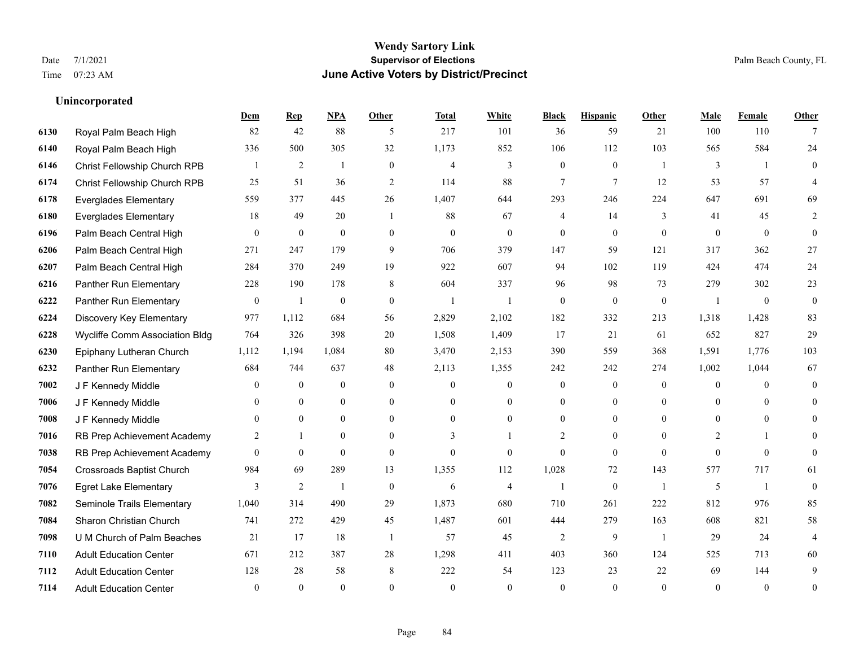|      |                                  | Dem            | <b>Rep</b>       | NPA              | <b>Other</b>   | <b>Total</b>   | <b>White</b>     | <b>Black</b>     | <b>Hispanic</b>  | <b>Other</b>   | <b>Male</b>    | Female         | <b>Other</b>   |
|------|----------------------------------|----------------|------------------|------------------|----------------|----------------|------------------|------------------|------------------|----------------|----------------|----------------|----------------|
| 6130 | Royal Palm Beach High            | 82             | 42               | 88               | 5              | 217            | 101              | 36               | 59               | 21             | 100            | 110            |                |
| 6140 | Royal Palm Beach High            | 336            | 500              | 305              | 32             | 1,173          | 852              | 106              | 112              | 103            | 565            | 584            | 24             |
| 6146 | Christ Fellowship Church RPB     |                | $\overline{2}$   | $\mathbf{1}$     | $\overline{0}$ | 4              | 3                | $\mathbf{0}$     | $\mathbf{0}$     | $\overline{1}$ | 3              | $\overline{1}$ | $\overline{0}$ |
| 6174 | Christ Fellowship Church RPB     | 25             | 51               | 36               | $\overline{2}$ | 114            | 88               | 7                | 7                | 12             | 53             | 57             | 4              |
| 6178 | <b>Everglades Elementary</b>     | 559            | 377              | 445              | 26             | 1.407          | 644              | 293              | 246              | 224            | 647            | 691            | 69             |
| 6180 | <b>Everglades Elementary</b>     | 18             | 49               | 20               | $\overline{1}$ | 88             | 67               | 4                | 14               | 3              | 41             | 45             | 2              |
| 6196 | Palm Beach Central High          | $\mathbf{0}$   | $\mathbf{0}$     | $\mathbf{0}$     | $\overline{0}$ | $\theta$       | $\overline{0}$   | $\mathbf{0}$     | $\mathbf{0}$     | $\theta$       | $\theta$       | $\theta$       | $\mathbf{0}$   |
| 6206 | Palm Beach Central High          | 271            | 247              | 179              | 9              | 706            | 379              | 147              | 59               | 121            | 317            | 362            | 27             |
| 6207 | Palm Beach Central High          | 284            | 370              | 249              | 19             | 922            | 607              | 94               | 102              | 119            | 424            | 474            | 24             |
| 6216 | Panther Run Elementary           | 228            | 190              | 178              | 8              | 604            | 337              | 96               | 98               | 73             | 279            | 302            | 23             |
| 6222 | Panther Run Elementary           | $\overline{0}$ | $\mathbf{1}$     | $\mathbf{0}$     | $\theta$       | $\overline{1}$ | $\mathbf{1}$     | $\theta$         | $\theta$         | $\theta$       | $\overline{1}$ | $\theta$       | $\mathbf{0}$   |
| 6224 | Discovery Key Elementary         | 977            | 1,112            | 684              | 56             | 2,829          | 2,102            | 182              | 332              | 213            | 1,318          | 1,428          | 83             |
| 6228 | Wycliffe Comm Association Bldg   | 764            | 326              | 398              | 20             | 1,508          | 1,409            | 17               | 21               | 61             | 652            | 827            | 29             |
| 6230 | Epiphany Lutheran Church         | 1,112          | 1,194            | 1,084            | 80             | 3,470          | 2,153            | 390              | 559              | 368            | 1,591          | 1,776          | 103            |
| 6232 | Panther Run Elementary           | 684            | 744              | 637              | 48             | 2,113          | 1,355            | 242              | 242              | 274            | 1,002          | 1,044          | 67             |
| 7002 | J F Kennedy Middle               | $\theta$       | $\mathbf{0}$     | $\mathbf{0}$     | $\theta$       | $\theta$       | $\overline{0}$   | $\mathbf{0}$     | $\mathbf{0}$     | $\theta$       | $\overline{0}$ | $\theta$       | $\mathbf{0}$   |
| 7006 | J F Kennedy Middle               | $\mathbf{0}$   | $\boldsymbol{0}$ | $\boldsymbol{0}$ | $\overline{0}$ | $\mathbf{0}$   | $\boldsymbol{0}$ | $\boldsymbol{0}$ | $\boldsymbol{0}$ | $\overline{0}$ | $\mathbf{0}$   | $\theta$       | $\theta$       |
| 7008 | J F Kennedy Middle               | $\theta$       | $\theta$         | $\mathbf{0}$     | $\theta$       | $\theta$       | $\overline{0}$   | $\overline{0}$   | $\mathbf{0}$     | $\Omega$       | $\theta$       | $\theta$       | $\theta$       |
| 7016 | RB Prep Achievement Academy      | 2              | $\mathbf{1}$     | $\mathbf{0}$     | $\theta$       | $\mathbf{3}$   |                  | $\overline{2}$   | $\theta$         | $\Omega$       | 2              |                | $\Omega$       |
| 7038 | RB Prep Achievement Academy      | $\mathbf{0}$   | $\mathbf{0}$     | $\mathbf{0}$     | $\overline{0}$ | $\mathbf{0}$   | $\overline{0}$   | $\mathbf{0}$     | $\mathbf{0}$     | $\theta$       | $\Omega$       | $\theta$       | $\mathbf{0}$   |
| 7054 | <b>Crossroads Baptist Church</b> | 984            | 69               | 289              | 13             | 1,355          | 112              | 1,028            | 72               | 143            | 577            | 717            | 61             |
| 7076 | <b>Egret Lake Elementary</b>     | 3              | $\overline{2}$   | $\mathbf{1}$     | $\mathbf{0}$   | 6              | $\overline{4}$   | $\mathbf{1}$     | $\mathbf{0}$     | $\overline{1}$ | 5              | -1             | $\mathbf{0}$   |
| 7082 | Seminole Trails Elementary       | 1,040          | 314              | 490              | 29             | 1,873          | 680              | 710              | 261              | 222            | 812            | 976            | 85             |
| 7084 | Sharon Christian Church          | 741            | 272              | 429              | 45             | 1,487          | 601              | 444              | 279              | 163            | 608            | 821            | 58             |
| 7098 | U M Church of Palm Beaches       | 21             | 17               | 18               | $\overline{1}$ | 57             | 45               | $\overline{2}$   | 9                | $\overline{1}$ | 29             | 24             | $\overline{4}$ |
| 7110 | <b>Adult Education Center</b>    | 671            | 212              | 387              | 28             | 1,298          | 411              | 403              | 360              | 124            | 525            | 713            | 60             |
| 7112 | <b>Adult Education Center</b>    | 128            | 28               | 58               | 8              | 222            | 54               | 123              | 23               | 22             | 69             | 144            | 9              |
| 7114 | <b>Adult Education Center</b>    | $\theta$       | $\theta$         | $\theta$         | $\theta$       | $\theta$       | $\Omega$         | $\theta$         | $\theta$         | $\Omega$       | $\Omega$       | $\theta$       | $\overline{0}$ |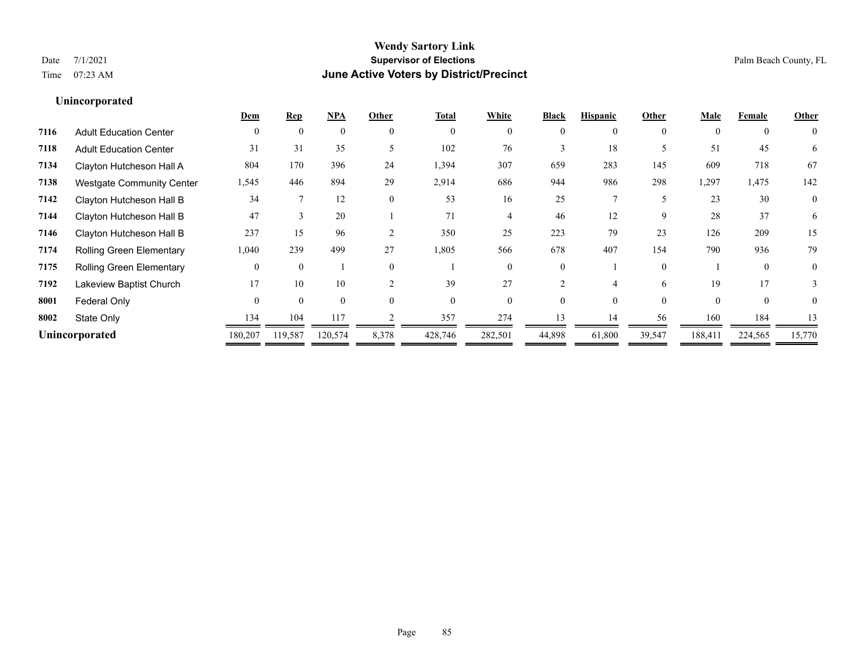**Unincorporated**

### **Wendy Sartory Link** Date 7/1/2021 **Supervisor of Elections** Palm Beach County, FL Time 07:23 AM **June Active Voters by District/Precinct**

## **Dem Rep NPA Other Total White Black Hispanic Other Male Female Other**

| <b>Adult Education Center</b>    | $\theta$ |          |         | $\Omega$     |         | $\Omega$ |          |        | $\Omega$ | $\Omega$ | $\Omega$ | $\theta$       |
|----------------------------------|----------|----------|---------|--------------|---------|----------|----------|--------|----------|----------|----------|----------------|
| <b>Adult Education Center</b>    | 31       | 31       | 35      |              | 102     | 76       |          | 18     |          | 51       | 45       | 6              |
| Clayton Hutcheson Hall A         | 804      | 170      | 396     | 24           | 1,394   | 307      | 659      | 283    | 145      | 609      | 718      | 67             |
| <b>Westgate Community Center</b> | 1,545    | 446      | 894     | 29           | 2,914   | 686      | 944      | 986    | 298      | 1,297    | 1,475    | 142            |
| Clayton Hutcheson Hall B         | 34       |          | 12      | $\mathbf{0}$ | 53      | 16       | 25       |        |          | 23       | 30       | $\overline{0}$ |
| Clayton Hutcheson Hall B         | 47       |          | 20      |              | 71      |          | 46       | 12     | 9        | 28       | 37       | 6              |
| Clayton Hutcheson Hall B         | 237      | 15       | 96      | ↑            | 350     | 25       | 223      | 79     | 23       | 126      | 209      | 15             |
| <b>Rolling Green Elementary</b>  | 1,040    | 239      | 499     | 27           | 1,805   | 566      | 678      | 407    | 154      | 790      | 936      | 79             |
| <b>Rolling Green Elementary</b>  | $\Omega$ | $\theta$ |         | $\Omega$     |         | $\Omega$ | $\Omega$ |        | $\Omega$ |          | $\Omega$ | $\theta$       |
| Lakeview Baptist Church          | 17       | 10       | 10      |              | 39      | 27       |          |        | 6        | 19       | 17       |                |
| Federal Only                     | $\Omega$ | $\theta$ |         | $\Omega$     |         | $\theta$ |          |        | $\Omega$ | $\Omega$ | $\theta$ | $\theta$       |
| State Only                       | 134      | 104      | 117     |              | 357     | 274      |          | 14     | 56       | 160      | 184      |                |
| Unincorporated                   | 180,207  | 119,587  | 120,574 | 8,378        | 428,746 | 282,501  | 44,898   | 61,800 | 39,547   | 188,411  | 224,565  | 15,770         |
|                                  |          |          |         |              |         |          |          |        |          |          |          |                |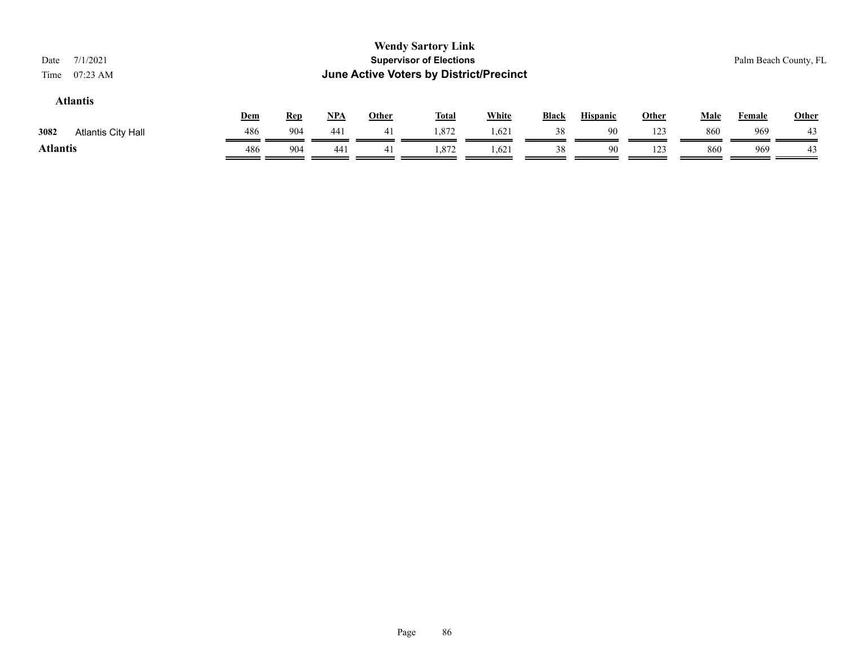| 7/1/2021<br>Date<br>$07:23$ AM<br>Time |            |            |            |              | <b>Wendy Sartory Link</b><br><b>Supervisor of Elections</b><br>June Active Voters by District/Precinct |              |              |                 |              |             |               | Palm Beach County, FL |
|----------------------------------------|------------|------------|------------|--------------|--------------------------------------------------------------------------------------------------------|--------------|--------------|-----------------|--------------|-------------|---------------|-----------------------|
| <b>Atlantis</b>                        | <u>Dem</u> | <b>Rep</b> | <u>NPA</u> | <b>Other</b> | <b>Total</b>                                                                                           | <b>White</b> | <b>Black</b> | <b>Hispanic</b> | <u>Other</u> | <b>Male</b> | <b>Female</b> | <b>Other</b>          |
| 3082<br>Atlantis City Hall             | 486        | 904        | 441        | 41           | 1,872                                                                                                  | 1,621        | 38           | 90              | 123          | 860         | 969           | 43                    |
| <b>Atlantis</b>                        | 486        | 904        | 441        | 41           | 1,872                                                                                                  | 1,621        | 38           | 90              | 123          | 860         | 969           | 43                    |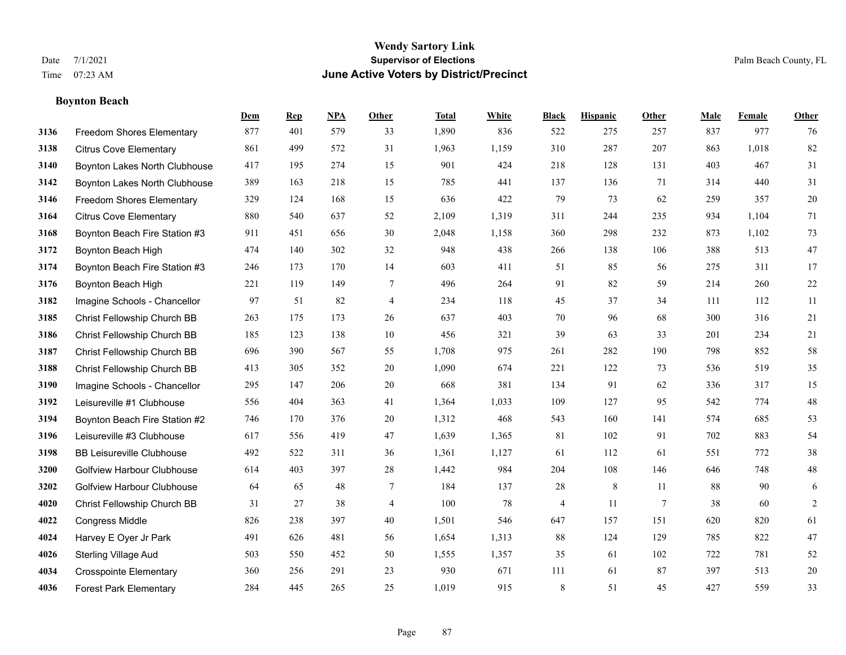### **Boynton Beach**

|      |                                   | Dem | <b>Rep</b> | NPA | <b>Other</b>   | <b>Total</b> | <b>White</b> | <b>Black</b> | <b>Hispanic</b> | <b>Other</b>    | <b>Male</b> | <b>Female</b> | <b>Other</b>   |
|------|-----------------------------------|-----|------------|-----|----------------|--------------|--------------|--------------|-----------------|-----------------|-------------|---------------|----------------|
| 3136 | Freedom Shores Elementary         | 877 | 401        | 579 | 33             | 1,890        | 836          | 522          | 275             | 257             | 837         | 977           | 76             |
| 3138 | <b>Citrus Cove Elementary</b>     | 861 | 499        | 572 | 31             | 1,963        | 1,159        | 310          | 287             | 207             | 863         | 1,018         | 82             |
| 3140 | Boynton Lakes North Clubhouse     | 417 | 195        | 274 | 15             | 901          | 424          | 218          | 128             | 131             | 403         | 467           | 31             |
| 3142 | Boynton Lakes North Clubhouse     | 389 | 163        | 218 | 15             | 785          | 441          | 137          | 136             | 71              | 314         | 440           | 31             |
| 3146 | <b>Freedom Shores Elementary</b>  | 329 | 124        | 168 | 15             | 636          | 422          | 79           | 73              | 62              | 259         | 357           | $20\,$         |
| 3164 | <b>Citrus Cove Elementary</b>     | 880 | 540        | 637 | 52             | 2,109        | 1,319        | 311          | 244             | 235             | 934         | 1,104         | 71             |
| 3168 | Boynton Beach Fire Station #3     | 911 | 451        | 656 | 30             | 2,048        | 1,158        | 360          | 298             | 232             | 873         | 1,102         | 73             |
| 3172 | Boynton Beach High                | 474 | 140        | 302 | 32             | 948          | 438          | 266          | 138             | 106             | 388         | 513           | 47             |
| 3174 | Boynton Beach Fire Station #3     | 246 | 173        | 170 | 14             | 603          | 411          | 51           | 85              | 56              | 275         | 311           | 17             |
| 3176 | Boynton Beach High                | 221 | 119        | 149 | 7              | 496          | 264          | 91           | 82              | 59              | 214         | 260           | $22\,$         |
| 3182 | Imagine Schools - Chancellor      | 97  | 51         | 82  | 4              | 234          | 118          | 45           | 37              | 34              | 111         | 112           | 11             |
| 3185 | Christ Fellowship Church BB       | 263 | 175        | 173 | 26             | 637          | 403          | 70           | 96              | 68              | 300         | 316           | 21             |
| 3186 | Christ Fellowship Church BB       | 185 | 123        | 138 | $10\,$         | 456          | 321          | 39           | 63              | 33              | 201         | 234           | 21             |
| 3187 | Christ Fellowship Church BB       | 696 | 390        | 567 | 55             | 1,708        | 975          | 261          | 282             | 190             | 798         | 852           | 58             |
| 3188 | Christ Fellowship Church BB       | 413 | 305        | 352 | 20             | 1,090        | 674          | 221          | 122             | 73              | 536         | 519           | 35             |
| 3190 | Imagine Schools - Chancellor      | 295 | 147        | 206 | 20             | 668          | 381          | 134          | 91              | 62              | 336         | 317           | 15             |
| 3192 | Leisureville #1 Clubhouse         | 556 | 404        | 363 | 41             | 1,364        | 1,033        | 109          | 127             | 95              | 542         | 774           | 48             |
| 3194 | Boynton Beach Fire Station #2     | 746 | 170        | 376 | 20             | 1,312        | 468          | 543          | 160             | 141             | 574         | 685           | 53             |
| 3196 | Leisureville #3 Clubhouse         | 617 | 556        | 419 | 47             | 1,639        | 1,365        | 81           | 102             | 91              | 702         | 883           | 54             |
| 3198 | <b>BB Leisureville Clubhouse</b>  | 492 | 522        | 311 | 36             | 1,361        | 1,127        | 61           | 112             | 61              | 551         | 772           | 38             |
| 3200 | <b>Golfview Harbour Clubhouse</b> | 614 | 403        | 397 | 28             | 1,442        | 984          | 204          | 108             | 146             | 646         | 748           | $48\,$         |
| 3202 | <b>Golfview Harbour Clubhouse</b> | 64  | 65         | 48  | 7              | 184          | 137          | 28           | $\,$ 8 $\,$     | 11              | 88          | 90            | 6              |
| 4020 | Christ Fellowship Church BB       | 31  | 27         | 38  | $\overline{4}$ | 100          | 78           | 4            | 11              | $7\phantom{.0}$ | 38          | 60            | $\overline{2}$ |
| 4022 | <b>Congress Middle</b>            | 826 | 238        | 397 | 40             | 1,501        | 546          | 647          | 157             | 151             | 620         | 820           | 61             |
| 4024 | Harvey E Oyer Jr Park             | 491 | 626        | 481 | 56             | 1,654        | 1,313        | 88           | 124             | 129             | 785         | 822           | 47             |
| 4026 | <b>Sterling Village Aud</b>       | 503 | 550        | 452 | 50             | 1,555        | 1,357        | 35           | 61              | 102             | 722         | 781           | 52             |
| 4034 | <b>Crosspointe Elementary</b>     | 360 | 256        | 291 | 23             | 930          | 671          | 111          | 61              | 87              | 397         | 513           | $20\,$         |
| 4036 | <b>Forest Park Elementary</b>     | 284 | 445        | 265 | 25             | 1,019        | 915          | $\,$ 8 $\,$  | 51              | 45              | 427         | 559           | 33             |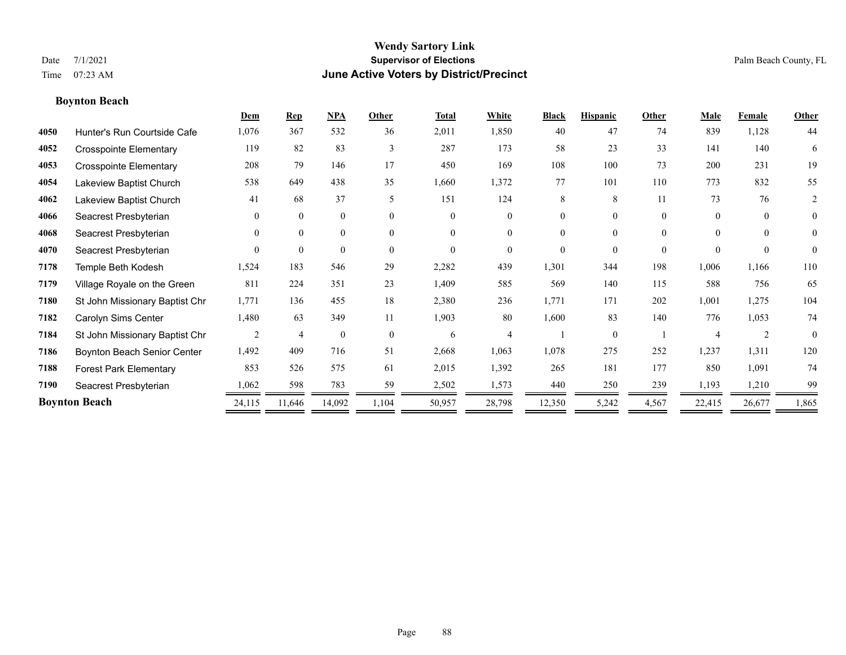### **Boynton Beach**

|      |                                | Dem      | <b>Rep</b>     | <b>NPA</b>   | Other    | <b>Total</b> | White          | <b>Black</b> | <b>Hispanic</b> | Other    | Male                  | Female         | Other          |
|------|--------------------------------|----------|----------------|--------------|----------|--------------|----------------|--------------|-----------------|----------|-----------------------|----------------|----------------|
| 4050 | Hunter's Run Courtside Cafe    | 1,076    | 367            | 532          | 36       | 2,011        | 1,850          | 40           | 47              | 74       | 839                   | 1,128          | 44             |
| 4052 | <b>Crosspointe Elementary</b>  | 119      | 82             | 83           | 3        | 287          | 173            | 58           | 23              | 33       | 141                   | 140            | 6              |
| 4053 | <b>Crosspointe Elementary</b>  | 208      | 79             | 146          | 17       | 450          | 169            | 108          | 100             | 73       | 200                   | 231            | 19             |
| 4054 | Lakeview Baptist Church        | 538      | 649            | 438          | 35       | 1,660        | 1,372          | 77           | 101             | 110      | 773                   | 832            | 55             |
| 4062 | Lakeview Baptist Church        | 41       | 68             | 37           | 5        | 151          | 124            | 8            | 8               | 11       | 73                    | 76             | 2              |
| 4066 | Seacrest Presbyterian          | $\Omega$ | $\mathbf{0}$   | $\mathbf{0}$ | $\Omega$ | $\Omega$     | $\overline{0}$ | 0            | $\Omega$        | $\theta$ | $\theta$              | $\theta$       | $\overline{0}$ |
| 4068 | Seacrest Presbyterian          | $\theta$ | $\theta$       | $\mathbf{0}$ | $\theta$ | $\Omega$     | $\theta$       | $\theta$     | $\theta$        | $\Omega$ | $\theta$              | $\theta$       | $\overline{0}$ |
| 4070 | Seacrest Presbyterian          | $\Omega$ | $\theta$       | $\theta$     | $\theta$ | $\Omega$     | $\theta$       | $\Omega$     | $\Omega$        | $\Omega$ | $\Omega$              | $\theta$       | $\theta$       |
| 7178 | Temple Beth Kodesh             | 1,524    | 183            | 546          | 29       | 2,282        | 439            | 1,301        | 344             | 198      | 1,006                 | 1,166          | 110            |
| 7179 | Village Royale on the Green    | 811      | 224            | 351          | 23       | 1,409        | 585            | 569          | 140             | 115      | 588                   | 756            | 65             |
| 7180 | St John Missionary Baptist Chr | 1,771    | 136            | 455          | 18       | 2,380        | 236            | 1,771        | 171             | 202      | 1,001                 | 1,275          | 104            |
| 7182 | Carolyn Sims Center            | 1,480    | 63             | 349          | 11       | 1,903        | 80             | 1,600        | 83              | 140      | 776                   | 1,053          | 74             |
| 7184 | St John Missionary Baptist Chr | 2        | $\overline{4}$ | $\mathbf{0}$ | $\theta$ | 6            | 4              |              | $\Omega$        |          | $\boldsymbol{\Delta}$ | $\mathfrak{D}$ | $\theta$       |
| 7186 | Boynton Beach Senior Center    | 1,492    | 409            | 716          | 51       | 2,668        | 1,063          | 1,078        | 275             | 252      | 1,237                 | 1,311          | 120            |
| 7188 | <b>Forest Park Elementary</b>  | 853      | 526            | 575          | 61       | 2,015        | 1,392          | 265          | 181             | 177      | 850                   | 1,091          | 74             |
| 7190 | Seacrest Presbyterian          | 1,062    | 598            | 783          | 59       | 2,502        | 1,573          | 440          | 250             | 239      | 1,193                 | 1,210          | 99             |
|      | <b>Boynton Beach</b>           | 24,115   | 11,646         | 14,092       | 1,104    | 50,957       | 28,798         | 12,350       | 5,242           | 4,567    | 22,415                | 26,677         | 1,865          |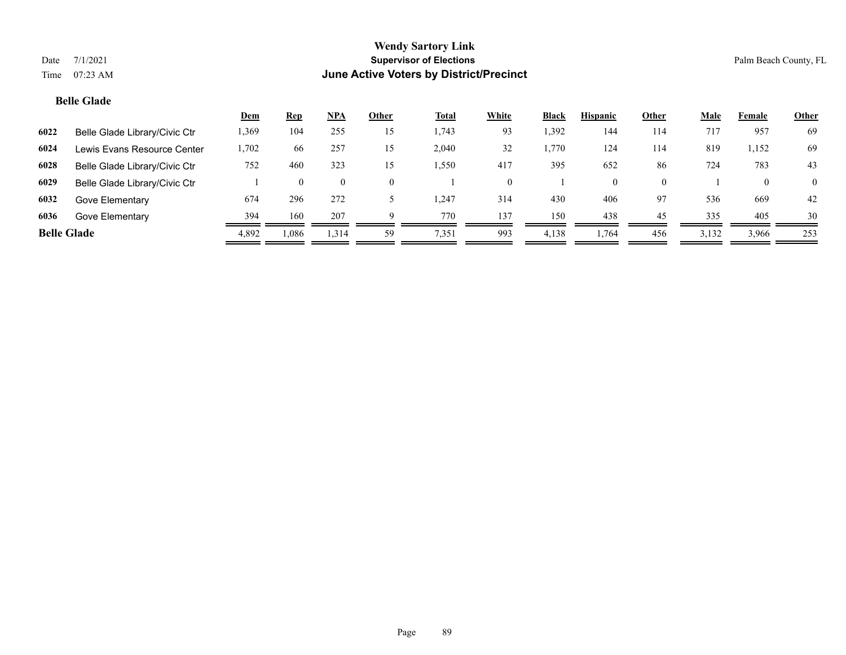### **Belle Glade**

|                    |                               | <u>Dem</u> | <b>Rep</b> | <u>NPA</u> | Other | <u>Total</u> | White | <b>Black</b> | <b>Hispanic</b> | Other | <u>Male</u> | Female       | <b>Other</b> |
|--------------------|-------------------------------|------------|------------|------------|-------|--------------|-------|--------------|-----------------|-------|-------------|--------------|--------------|
| 6022               | Belle Glade Library/Civic Ctr | 1,369      | 104        | 255        | 15    | 1,743        | 93    | 1,392        | 144             | 114   | 717         | 957          | 69           |
| 6024               | Lewis Evans Resource Center   | 1,702      | 66         | 257        | 15    | 2,040        | 32    | 1.770        | 124             | 114   | 819         | 1,152        | 69           |
| 6028               | Belle Glade Library/Civic Ctr | 752        | 460        | 323        | 15    | 1,550        | 417   | 395          | 652             | 86    | 724         | 783          | 43           |
| 6029               | Belle Glade Library/Civic Ctr |            |            | $\theta$   | 0     |              |       |              | $\Omega$        |       |             | $\mathbf{0}$ | $\Omega$     |
| 6032               | Gove Elementary               | 674        | 296        | 272        |       | 1,247        | 314   | 430          | 406             | 97    | 536         | 669          | 42           |
| 6036               | Gove Elementary               | 394        | 160        | 207        |       | 770          | 137   | 150          | 438             | 45    | 335         | 405          | 30           |
| <b>Belle Glade</b> |                               | 4,892      | .086       | 1,314      | 59    | 7,351        | 993   | 4,138        | 1,764           | 456   | 3,132       | 3,966        | 253          |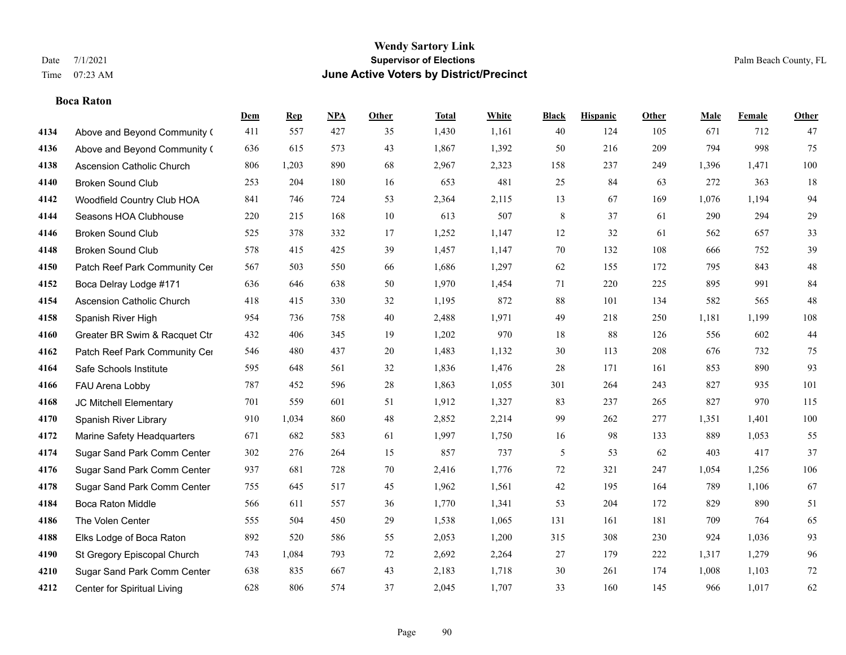### **Boca Raton**

|      |                               | Dem | <b>Rep</b> | NPA | <b>Other</b> | <b>Total</b> | <b>White</b> | <b>Black</b>   | <b>Hispanic</b> | <b>Other</b> | <b>Male</b> | <b>Female</b> | <b>Other</b> |
|------|-------------------------------|-----|------------|-----|--------------|--------------|--------------|----------------|-----------------|--------------|-------------|---------------|--------------|
| 4134 | Above and Beyond Community (  | 411 | 557        | 427 | 35           | 1,430        | 1,161        | 40             | 124             | 105          | 671         | 712           | 47           |
| 4136 | Above and Beyond Community (  | 636 | 615        | 573 | 43           | 1,867        | 1,392        | 50             | 216             | 209          | 794         | 998           | 75           |
| 4138 | Ascension Catholic Church     | 806 | 1,203      | 890 | 68           | 2,967        | 2,323        | 158            | 237             | 249          | 1,396       | 1,471         | 100          |
| 4140 | <b>Broken Sound Club</b>      | 253 | 204        | 180 | 16           | 653          | 481          | 25             | 84              | 63           | 272         | 363           | 18           |
| 4142 | Woodfield Country Club HOA    | 841 | 746        | 724 | 53           | 2,364        | 2,115        | 13             | 67              | 169          | 1.076       | 1.194         | 94           |
| 4144 | Seasons HOA Clubhouse         | 220 | 215        | 168 | 10           | 613          | 507          | 8              | 37              | 61           | 290         | 294           | $29\,$       |
| 4146 | <b>Broken Sound Club</b>      | 525 | 378        | 332 | 17           | 1,252        | 1,147        | 12             | 32              | 61           | 562         | 657           | 33           |
| 4148 | <b>Broken Sound Club</b>      | 578 | 415        | 425 | 39           | 1,457        | 1,147        | 70             | 132             | 108          | 666         | 752           | 39           |
| 4150 | Patch Reef Park Community Cer | 567 | 503        | 550 | 66           | 1,686        | 1,297        | 62             | 155             | 172          | 795         | 843           | $48\,$       |
| 4152 | Boca Delray Lodge #171        | 636 | 646        | 638 | 50           | 1,970        | 1,454        | 71             | 220             | 225          | 895         | 991           | 84           |
| 4154 | Ascension Catholic Church     | 418 | 415        | 330 | 32           | 1,195        | 872          | 88             | 101             | 134          | 582         | 565           | 48           |
| 4158 | Spanish River High            | 954 | 736        | 758 | 40           | 2,488        | 1,971        | 49             | 218             | 250          | 1,181       | 1,199         | 108          |
| 4160 | Greater BR Swim & Racquet Ctr | 432 | 406        | 345 | 19           | 1,202        | 970          | 18             | 88              | 126          | 556         | 602           | $44$         |
| 4162 | Patch Reef Park Community Cer | 546 | 480        | 437 | $20\,$       | 1,483        | 1,132        | $30\,$         | 113             | 208          | 676         | 732           | 75           |
| 4164 | Safe Schools Institute        | 595 | 648        | 561 | 32           | 1,836        | 1,476        | 28             | 171             | 161          | 853         | 890           | 93           |
| 4166 | FAU Arena Lobby               | 787 | 452        | 596 | 28           | 1,863        | 1,055        | 301            | 264             | 243          | 827         | 935           | 101          |
| 4168 | JC Mitchell Elementary        | 701 | 559        | 601 | 51           | 1,912        | 1,327        | 83             | 237             | 265          | 827         | 970           | 115          |
| 4170 | Spanish River Library         | 910 | 1,034      | 860 | 48           | 2,852        | 2,214        | 99             | 262             | 277          | 1,351       | 1,401         | 100          |
| 4172 | Marine Safety Headquarters    | 671 | 682        | 583 | 61           | 1,997        | 1,750        | 16             | 98              | 133          | 889         | 1,053         | 55           |
| 4174 | Sugar Sand Park Comm Center   | 302 | 276        | 264 | 15           | 857          | 737          | $\mathfrak{S}$ | 53              | 62           | 403         | 417           | 37           |
| 4176 | Sugar Sand Park Comm Center   | 937 | 681        | 728 | 70           | 2,416        | 1,776        | 72             | 321             | 247          | 1,054       | 1,256         | 106          |
| 4178 | Sugar Sand Park Comm Center   | 755 | 645        | 517 | 45           | 1,962        | 1,561        | $42\,$         | 195             | 164          | 789         | 1,106         | 67           |
| 4184 | <b>Boca Raton Middle</b>      | 566 | 611        | 557 | 36           | 1,770        | 1,341        | 53             | 204             | 172          | 829         | 890           | 51           |
| 4186 | The Volen Center              | 555 | 504        | 450 | 29           | 1,538        | 1,065        | 131            | 161             | 181          | 709         | 764           | 65           |
| 4188 | Elks Lodge of Boca Raton      | 892 | 520        | 586 | 55           | 2,053        | 1,200        | 315            | 308             | 230          | 924         | 1.036         | 93           |
| 4190 | St Gregory Episcopal Church   | 743 | 1,084      | 793 | 72           | 2,692        | 2,264        | 27             | 179             | 222          | 1,317       | 1,279         | 96           |
| 4210 | Sugar Sand Park Comm Center   | 638 | 835        | 667 | 43           | 2,183        | 1,718        | 30             | 261             | 174          | 1,008       | 1,103         | $72\,$       |
| 4212 | Center for Spiritual Living   | 628 | 806        | 574 | 37           | 2,045        | 1,707        | 33             | 160             | 145          | 966         | 1,017         | 62           |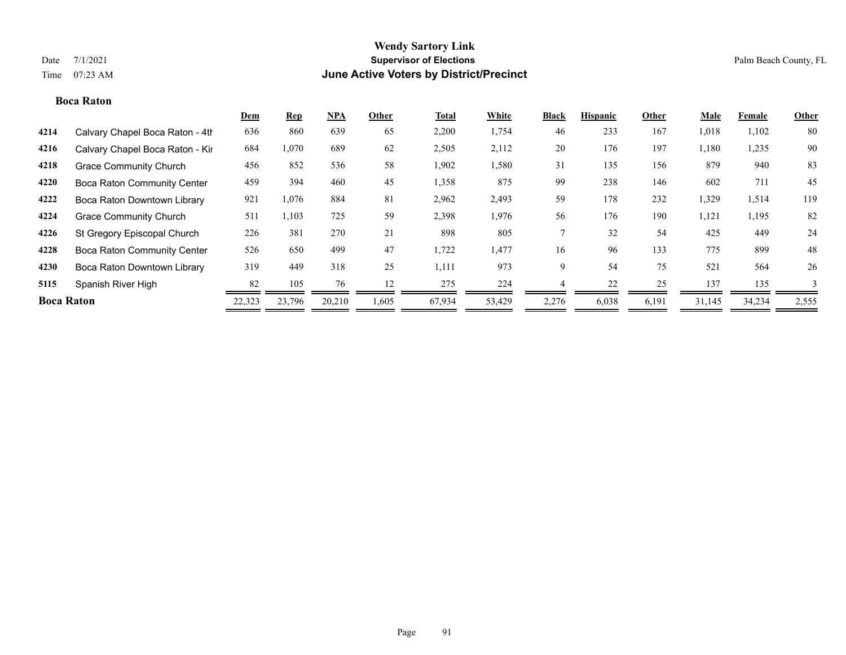### **Boca Raton**

|                   |                                    | Dem    | <b>Rep</b> | <b>NPA</b> | Other | <b>Total</b> | White  | <b>Black</b> | <b>Hispanic</b> | Other | Male   | Female | <b>Other</b> |
|-------------------|------------------------------------|--------|------------|------------|-------|--------------|--------|--------------|-----------------|-------|--------|--------|--------------|
| 4214              | Calvary Chapel Boca Raton - 4th    | 636    | 860        | 639        | 65    | 2,200        | 1,754  | 46           | 233             | 167   | 1,018  | 1,102  | 80           |
| 4216              | Calvary Chapel Boca Raton - Kir    | 684    | 1,070      | 689        | 62    | 2,505        | 2,112  | 20           | 176             | 197   | 1,180  | 1,235  | 90           |
| 4218              | <b>Grace Community Church</b>      | 456    | 852        | 536        | 58    | 1,902        | 1,580  | 31           | 135             | 156   | 879    | 940    | 83           |
| 4220              | <b>Boca Raton Community Center</b> | 459    | 394        | 460        | 45    | 1,358        | 875    | 99           | 238             | 146   | 602    | 711    | 45           |
| 4222              | Boca Raton Downtown Library        | 921    | 1,076      | 884        | 81    | 2,962        | 2,493  | 59           | 178             | 232   | 1,329  | 1,514  | 119          |
| 4224              | <b>Grace Community Church</b>      | 511    | 1,103      | 725        | 59    | 2,398        | 1,976  | 56           | 176             | 190   | 1,121  | 1,195  | 82           |
| 4226              | St Gregory Episcopal Church        | 226    | 381        | 270        | 21    | 898          | 805    |              | 32              | 54    | 425    | 449    | 24           |
| 4228              | <b>Boca Raton Community Center</b> | 526    | 650        | 499        | 47    | 1,722        | 1,477  | 16           | 96              | 133   | 775    | 899    | 48           |
| 4230              | Boca Raton Downtown Library        | 319    | 449        | 318        | 25    | 1,111        | 973    | 9            | 54              | 75    | 521    | 564    | 26           |
| 5115              | Spanish River High                 | 82     | 105        | 76         | 12    | 275          | 224    |              | 22              | 25    | 137    | 135    | 3            |
| <b>Boca Raton</b> |                                    | 22,323 | 23,796     | 20,210     | 1,605 | 67,934       | 53,429 | 2,276        | 6,038           | 6,191 | 31,145 | 34,234 | 2,555        |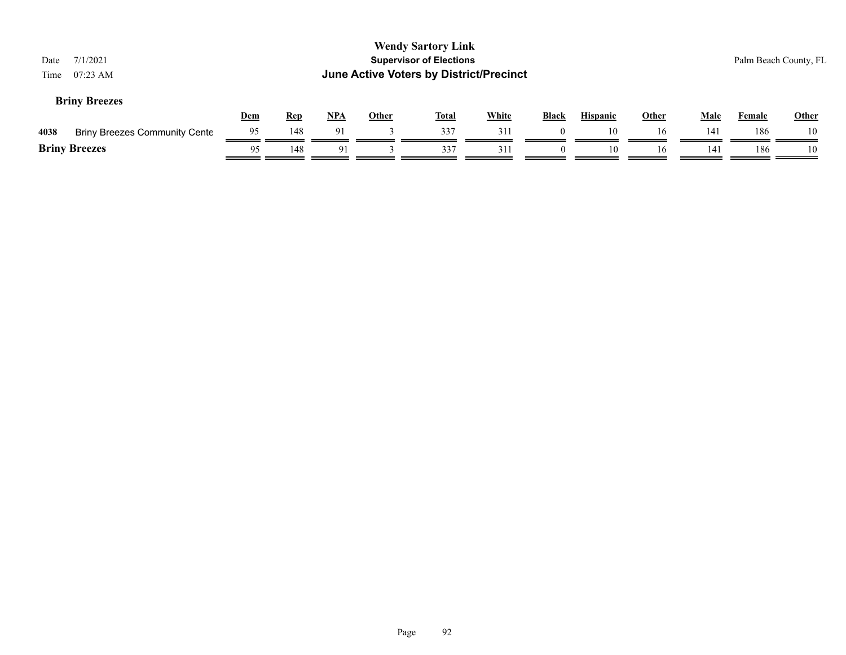| Date<br>Time | 7/1/2021<br>$07:23$ AM               |            |            |            |              | <b>Wendy Sartory Link</b><br><b>Supervisor of Elections</b><br>June Active Voters by District/Precinct |              |          |                 |       |             | Palm Beach County, FL |              |
|--------------|--------------------------------------|------------|------------|------------|--------------|--------------------------------------------------------------------------------------------------------|--------------|----------|-----------------|-------|-------------|-----------------------|--------------|
|              | <b>Briny Breezes</b>                 | <b>Dem</b> | <b>Rep</b> | <u>NPA</u> | <b>Other</b> | <u>Total</u>                                                                                           | <b>White</b> | Black    | <b>Hispanic</b> | Other | <b>Male</b> | Female                | <b>Other</b> |
| 4038         | <b>Briny Breezes Community Cente</b> | 95         | 148        | 91         |              | 337                                                                                                    | 311          |          | 10              | 16    | 141         | 186                   | 10           |
|              | <b>Briny Breezes</b>                 | 95         | 148        | 91         |              | 337                                                                                                    | 311          | $\Omega$ | 10              | 16    | 141         | 186                   | 10           |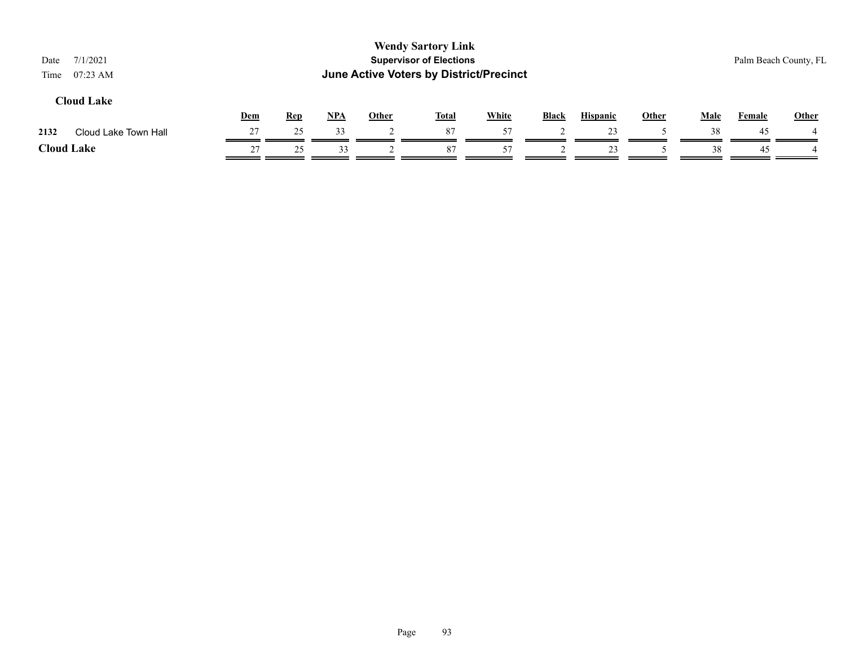| Date<br>Time | 7/1/2021<br>$07:23$ AM |     |            |            | June Active Voters by District/Precinct | <b>Wendy Sartory Link</b><br><b>Supervisor of Elections</b> |              |              |                 |       |      |               | Palm Beach County, FL |
|--------------|------------------------|-----|------------|------------|-----------------------------------------|-------------------------------------------------------------|--------------|--------------|-----------------|-------|------|---------------|-----------------------|
|              | <b>Cloud Lake</b>      | Dem | <b>Rep</b> | <u>NPA</u> | <b>Other</b>                            | <u>Total</u>                                                | <b>White</b> | <b>Black</b> | <b>Hispanic</b> | Other | Male | <b>Female</b> | <b>Other</b>          |
| 2132         | Cloud Lake Town Hall   | 27  | 25         | 33         |                                         | 87                                                          | 57           |              | 23              |       | 38   | 45            |                       |
|              | <b>Cloud Lake</b>      | 27  | 25         | 33         |                                         | 87                                                          | 57           |              | 23              |       | 38   | 45            |                       |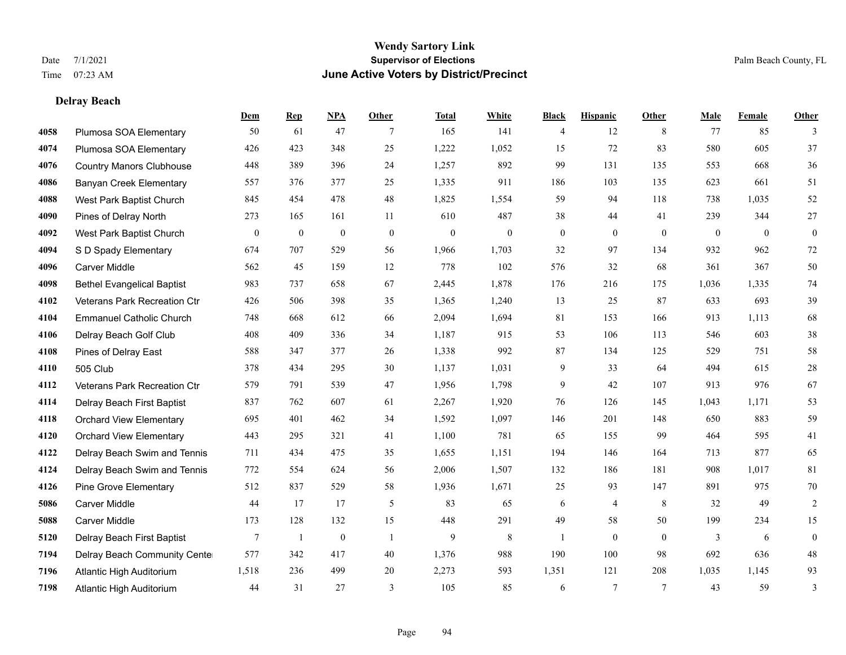### **Delray Beach**

|      |                                   | Dem             | <b>Rep</b>       | NPA          | <b>Other</b>   | <b>Total</b>     | <b>White</b> | <b>Black</b>   | <b>Hispanic</b> | <b>Other</b>   | <b>Male</b>  | Female       | <b>Other</b>   |
|------|-----------------------------------|-----------------|------------------|--------------|----------------|------------------|--------------|----------------|-----------------|----------------|--------------|--------------|----------------|
| 4058 | Plumosa SOA Elementary            | 50              | 61               | 47           | 7              | 165              | 141          | 4              | 12              | 8              | 77           | 85           | 3              |
| 4074 | Plumosa SOA Elementary            | 426             | 423              | 348          | 25             | 1,222            | 1,052        | 15             | 72              | 83             | 580          | 605          | 37             |
| 4076 | <b>Country Manors Clubhouse</b>   | 448             | 389              | 396          | 24             | 1,257            | 892          | 99             | 131             | 135            | 553          | 668          | 36             |
| 4086 | <b>Banyan Creek Elementary</b>    | 557             | 376              | 377          | 25             | 1,335            | 911          | 186            | 103             | 135            | 623          | 661          | 51             |
| 4088 | West Park Baptist Church          | 845             | 454              | 478          | 48             | 1,825            | 1,554        | 59             | 94              | 118            | 738          | 1.035        | 52             |
| 4090 | Pines of Delray North             | 273             | 165              | 161          | 11             | 610              | 487          | 38             | 44              | 41             | 239          | 344          | $27\,$         |
| 4092 | West Park Baptist Church          | $\mathbf{0}$    | $\boldsymbol{0}$ | $\mathbf{0}$ | $\mathbf{0}$   | $\boldsymbol{0}$ | $\mathbf{0}$ | $\overline{0}$ | $\mathbf{0}$    | $\mathbf{0}$   | $\mathbf{0}$ | $\mathbf{0}$ | $\mathbf{0}$   |
| 4094 | S D Spady Elementary              | 674             | 707              | 529          | 56             | 1,966            | 1,703        | 32             | 97              | 134            | 932          | 962          | $72\,$         |
| 4096 | Carver Middle                     | 562             | 45               | 159          | 12             | 778              | 102          | 576            | 32              | 68             | 361          | 367          | $50\,$         |
| 4098 | <b>Bethel Evangelical Baptist</b> | 983             | 737              | 658          | 67             | 2,445            | 1,878        | 176            | 216             | 175            | 1,036        | 1,335        | $74\,$         |
| 4102 | Veterans Park Recreation Ctr      | 426             | 506              | 398          | 35             | 1,365            | 1,240        | 13             | 25              | 87             | 633          | 693          | 39             |
| 4104 | <b>Emmanuel Catholic Church</b>   | 748             | 668              | 612          | 66             | 2,094            | 1,694        | 81             | 153             | 166            | 913          | 1,113        | 68             |
| 4106 | Delray Beach Golf Club            | 408             | 409              | 336          | 34             | 1,187            | 915          | 53             | 106             | 113            | 546          | 603          | $38\,$         |
| 4108 | Pines of Delray East              | 588             | 347              | 377          | $26\,$         | 1,338            | 992          | 87             | 134             | 125            | 529          | 751          | $58\,$         |
| 4110 | 505 Club                          | 378             | 434              | 295          | 30             | 1,137            | 1,031        | 9              | 33              | 64             | 494          | 615          | $28\,$         |
| 4112 | Veterans Park Recreation Ctr      | 579             | 791              | 539          | 47             | 1,956            | 1,798        | 9              | 42              | 107            | 913          | 976          | 67             |
| 4114 | Delray Beach First Baptist        | 837             | 762              | 607          | 61             | 2,267            | 1,920        | 76             | 126             | 145            | 1,043        | 1,171        | 53             |
| 4118 | <b>Orchard View Elementary</b>    | 695             | 401              | 462          | 34             | 1,592            | 1,097        | 146            | 201             | 148            | 650          | 883          | 59             |
| 4120 | <b>Orchard View Elementary</b>    | 443             | 295              | 321          | 41             | 1,100            | 781          | 65             | 155             | 99             | 464          | 595          | 41             |
| 4122 | Delray Beach Swim and Tennis      | 711             | 434              | 475          | 35             | 1,655            | 1,151        | 194            | 146             | 164            | 713          | 877          | 65             |
| 4124 | Delray Beach Swim and Tennis      | 772             | 554              | 624          | 56             | 2,006            | 1,507        | 132            | 186             | 181            | 908          | 1,017        | $81\,$         |
| 4126 | <b>Pine Grove Elementary</b>      | 512             | 837              | 529          | 58             | 1,936            | 1,671        | 25             | 93              | 147            | 891          | 975          | $70\,$         |
| 5086 | <b>Carver Middle</b>              | 44              | 17               | 17           | 5              | 83               | 65           | 6              | 4               | 8              | 32           | 49           | $\overline{c}$ |
| 5088 | <b>Carver Middle</b>              | 173             | 128              | 132          | 15             | 448              | 291          | 49             | 58              | 50             | 199          | 234          | 15             |
| 5120 | Delray Beach First Baptist        | $7\phantom{.0}$ | 1                | $\mathbf{0}$ | $\overline{1}$ | 9                | 8            | $\mathbf{1}$   | $\Omega$        | $\theta$       | 3            | 6            | $\mathbf{0}$   |
| 7194 | Delray Beach Community Cente      | 577             | 342              | 417          | 40             | 1,376            | 988          | 190            | 100             | 98             | 692          | 636          | $48\,$         |
| 7196 | Atlantic High Auditorium          | 1,518           | 236              | 499          | 20             | 2,273            | 593          | 1,351          | 121             | 208            | 1,035        | 1,145        | 93             |
| 7198 | Atlantic High Auditorium          | 44              | 31               | 27           | 3              | 105              | 85           | 6              | $\overline{7}$  | $\overline{7}$ | 43           | 59           | 3              |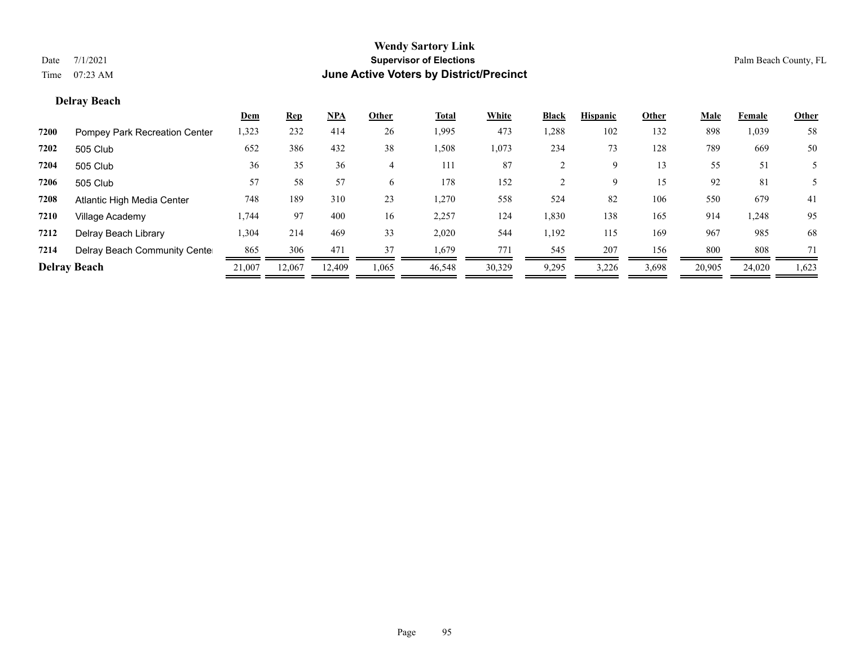### **Delray Beach**

|      |                               | <u>Dem</u> | <b>Rep</b> | <u>NPA</u> | Other | Total  | White  | <b>Black</b> | <b>Hispanic</b> | Other | <b>Male</b> | Female | <b>Other</b> |
|------|-------------------------------|------------|------------|------------|-------|--------|--------|--------------|-----------------|-------|-------------|--------|--------------|
| 7200 | Pompey Park Recreation Center | 1,323      | 232        | 414        | 26    | 1,995  | 473    | 1,288        | 102             | 132   | 898         | 1,039  | 58           |
| 7202 | 505 Club                      | 652        | 386        | 432        | 38    | 1,508  | 1,073  | 234          | 73              | 128   | 789         | 669    | 50           |
| 7204 | 505 Club                      | 36         | 35         | 36         | 4     | 111    | 87     |              | 9               | 13    | 55          | 51     |              |
| 7206 | 505 Club                      | 57         | 58         | 57         | 6.    | 178    | 152    |              | 9               | 15    | 92          | 81     |              |
| 7208 | Atlantic High Media Center    | 748        | 189        | 310        | 23    | 1,270  | 558    | 524          | 82              | 106   | 550         | 679    | 41           |
| 7210 | Village Academy               | 1,744      | 97         | 400        | 16    | 2,257  | 124    | 1,830        | 138             | 165   | 914         | 1,248  | 95           |
| 7212 | Delray Beach Library          | 1,304      | 214        | 469        | 33    | 2,020  | 544    | 1,192        | 115             | 169   | 967         | 985    | 68           |
| 7214 | Delray Beach Community Cente  | 865        | 306        | 471        | 37    | 1,679  | 771    | 545          | 207             | 156   | 800         | 808    | 71           |
|      | <b>Delray Beach</b>           | 21,007     | 12,067     | 12,409     | 1,065 | 46,548 | 30,329 | 9,295        | 3,226           | 3,698 | 20,905      | 24,020 | 1,623        |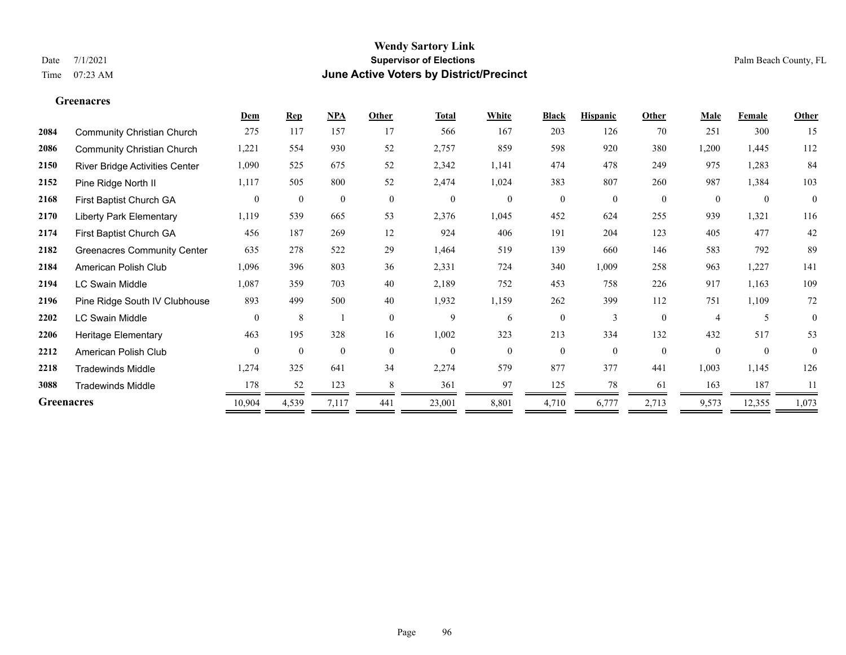**Greenacres**

### **Wendy Sartory Link** Date 7/1/2021 **Supervisor of Elections** Palm Beach County, FL Time 07:23 AM **June Active Voters by District/Precinct**

|                   |                                       | Dem            | <b>Rep</b>       | NPA              | Other          | <b>Total</b>     | White          | <b>Black</b>   | <b>Hispanic</b> | Other            | <b>Male</b>    | Female         | Other    |
|-------------------|---------------------------------------|----------------|------------------|------------------|----------------|------------------|----------------|----------------|-----------------|------------------|----------------|----------------|----------|
| 2084              | <b>Community Christian Church</b>     | 275            | 117              | 157              | 17             | 566              | 167            | 203            | 126             | 70               | 251            | 300            | 15       |
| 2086              | <b>Community Christian Church</b>     | 1,221          | 554              | 930              | 52             | 2,757            | 859            | 598            | 920             | 380              | 1,200          | 1,445          | 112      |
| 2150              | <b>River Bridge Activities Center</b> | 1,090          | 525              | 675              | 52             | 2,342            | 1,141          | 474            | 478             | 249              | 975            | 1,283          | 84       |
| 2152              | Pine Ridge North II                   | 1,117          | 505              | 800              | 52             | 2,474            | 1,024          | 383            | 807             | 260              | 987            | 1,384          | 103      |
| 2168              | First Baptist Church GA               | $\overline{0}$ | $\boldsymbol{0}$ | $\boldsymbol{0}$ | $\overline{0}$ | $\boldsymbol{0}$ | $\overline{0}$ | $\overline{0}$ | $\overline{0}$  | $\boldsymbol{0}$ | $\mathbf{0}$   | $\overline{0}$ | $\bf{0}$ |
| 2170              | <b>Liberty Park Elementary</b>        | 1,119          | 539              | 665              | 53             | 2,376            | 1,045          | 452            | 624             | 255              | 939            | 1,321          | 116      |
| 2174              | First Baptist Church GA               | 456            | 187              | 269              | 12             | 924              | 406            | 191            | 204             | 123              | 405            | 477            | 42       |
| 2182              | <b>Greenacres Community Center</b>    | 635            | 278              | 522              | 29             | 1,464            | 519            | 139            | 660             | 146              | 583            | 792            | 89       |
| 2184              | American Polish Club                  | 1,096          | 396              | 803              | 36             | 2,331            | 724            | 340            | 1,009           | 258              | 963            | 1,227          | 141      |
| 2194              | LC Swain Middle                       | 1,087          | 359              | 703              | 40             | 2,189            | 752            | 453            | 758             | 226              | 917            | 1,163          | 109      |
| 2196              | Pine Ridge South IV Clubhouse         | 893            | 499              | 500              | 40             | 1,932            | 1,159          | 262            | 399             | 112              | 751            | 1,109          | 72       |
| 2202              | <b>LC Swain Middle</b>                | $\theta$       | 8                |                  | $\theta$       | 9                | 6              | $\theta$       | 3               | $\theta$         | $\overline{4}$ | 5              | $\theta$ |
| 2206              | Heritage Elementary                   | 463            | 195              | 328              | 16             | 1,002            | 323            | 213            | 334             | 132              | 432            | 517            | 53       |
| 2212              | American Polish Club                  | $\theta$       | $\mathbf{0}$     | $\mathbf{0}$     | $\theta$       | $\theta$         | $\Omega$       | $\theta$       | $\theta$        | $\theta$         | $\theta$       | $\theta$       | $\theta$ |
| 2218              | <b>Tradewinds Middle</b>              | 1,274          | 325              | 641              | 34             | 2,274            | 579            | 877            | 377             | 441              | 1,003          | 1,145          | 126      |
| 3088              | <b>Tradewinds Middle</b>              | 178            | 52               | 123              | 8              | 361              | 97             | 125            | 78              | 61               | 163            | 187            | 11       |
| <b>Greenacres</b> |                                       | 10,904         | 4,539            | 7,117            | 441            | 23,001           | 8,801          | 4,710          | 6,777           | 2,713            | 9,573          | 12,355         | 1,073    |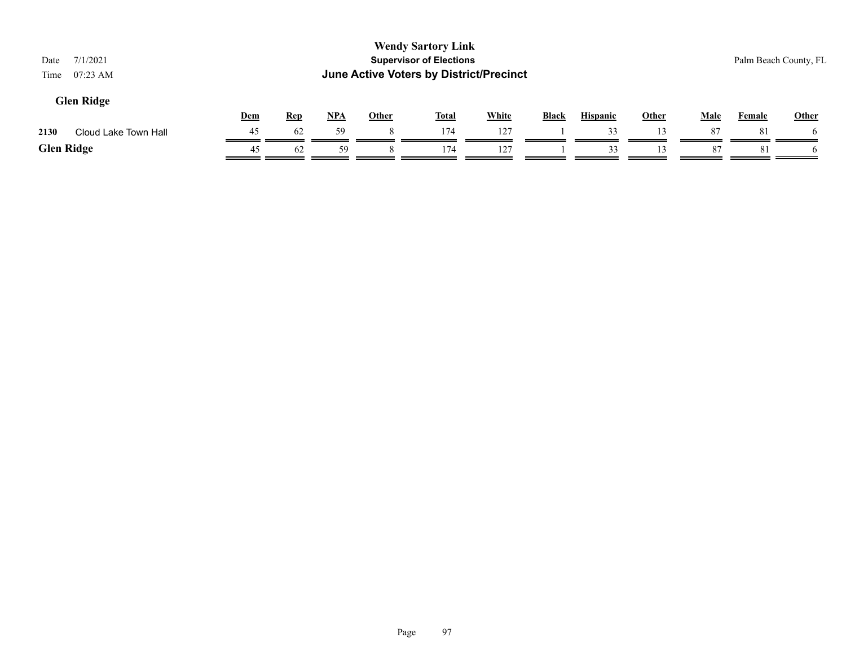| 7/1/2021<br>Date<br>$07:23$ AM<br>Time |            |            |            |              | <b>Wendy Sartory Link</b><br><b>Supervisor of Elections</b><br>June Active Voters by District/Precinct |              |              |                 |       |             |               | Palm Beach County, FL |
|----------------------------------------|------------|------------|------------|--------------|--------------------------------------------------------------------------------------------------------|--------------|--------------|-----------------|-------|-------------|---------------|-----------------------|
| <b>Glen Ridge</b>                      | <b>Dem</b> | <u>Rep</u> | <u>NPA</u> | <b>Other</b> | <b>Total</b>                                                                                           | <b>White</b> | <b>Black</b> | <b>Hispanic</b> | Other | <u>Male</u> | <b>Female</b> | <b>Other</b>          |
| 2130<br>Cloud Lake Town Hall           | 45         | -62        | 59         | 8            | 174                                                                                                    | 127          |              | 33              | 13    | 87          | 81            |                       |
| <b>Glen Ridge</b>                      | 45         | 62         | 59         |              | 174                                                                                                    | 127          |              | 33              | 13    | 87          | 81            |                       |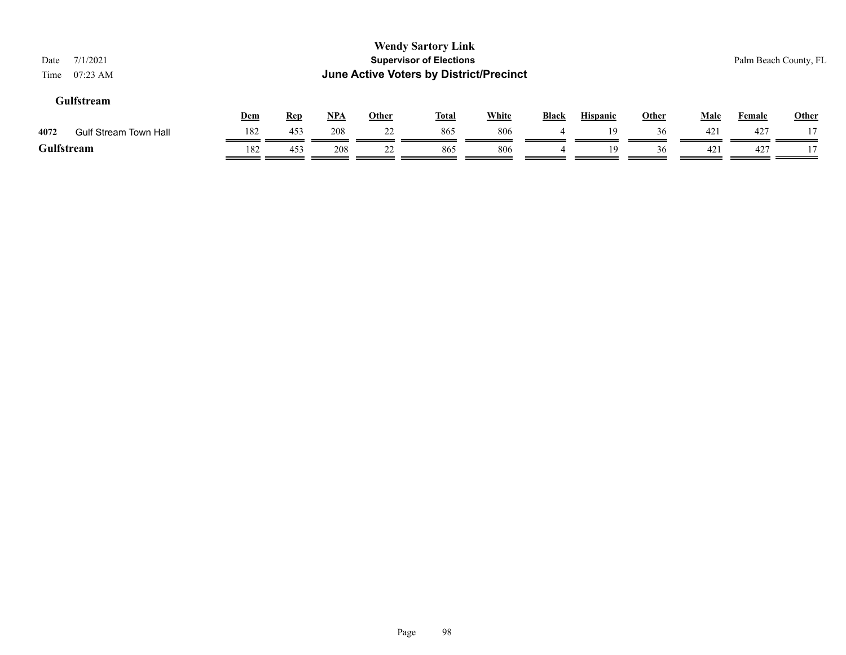| 7/1/2021<br>Date<br>$07:23$ AM<br>Time |     |            |            |              | <b>Wendy Sartory Link</b><br><b>Supervisor of Elections</b><br>June Active Voters by District/Precinct |              |       |                 |              |      | Palm Beach County, FL |              |
|----------------------------------------|-----|------------|------------|--------------|--------------------------------------------------------------------------------------------------------|--------------|-------|-----------------|--------------|------|-----------------------|--------------|
| Gulfstream                             | Dem | <b>Rep</b> | <u>NPA</u> | <b>Other</b> | <u>Total</u>                                                                                           | <b>White</b> | Black | <b>Hispanic</b> | <b>Other</b> | Male | <b>Female</b>         | <b>Other</b> |
| 4072<br><b>Gulf Stream Town Hall</b>   | 182 | 453        | 208        | 22           | 865                                                                                                    | 806          |       | 19              | 36           | 421  | 427                   |              |
| Gulfstream                             | 182 | 453        | 208        | 22           | 865                                                                                                    | 806          |       | 19              | 36           | 421  | 427                   |              |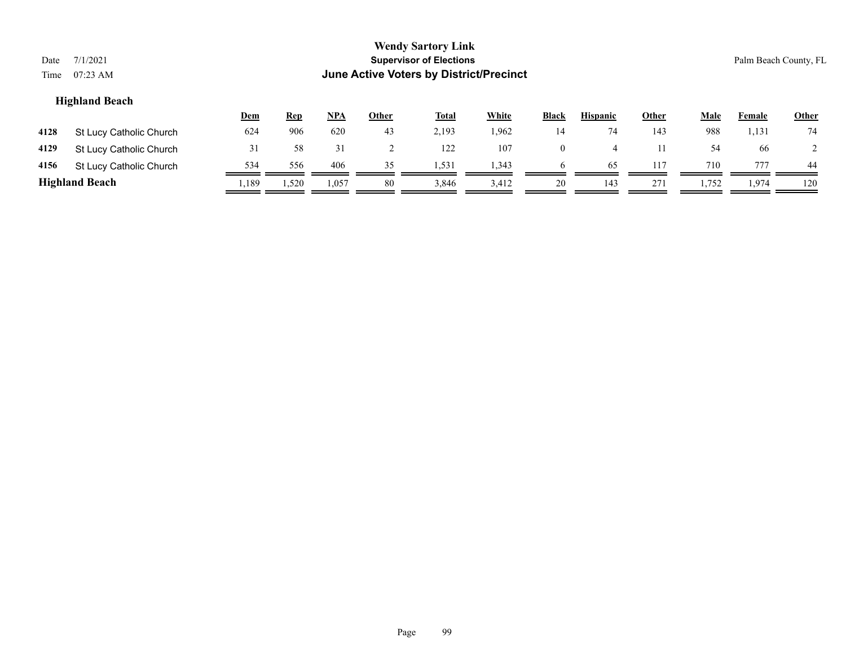| Date<br>Time | 7/1/2021<br>$07:23$ AM  |            |            |            |       | <b>Wendy Sartory Link</b><br><b>Supervisor of Elections</b><br>June Active Voters by District/Precinct |              |                |                 |       |       |        | Palm Beach County, FL |
|--------------|-------------------------|------------|------------|------------|-------|--------------------------------------------------------------------------------------------------------|--------------|----------------|-----------------|-------|-------|--------|-----------------------|
|              | <b>Highland Beach</b>   | <u>Dem</u> | <b>Rep</b> | <u>NPA</u> | Other | <u>Total</u>                                                                                           | <b>White</b> | <b>Black</b>   | <b>Hispanic</b> | Other | Male  | Female | Other                 |
| 4128         | St Lucy Catholic Church | 624        | 906        | 620        | 43    | 2,193                                                                                                  | 1,962        | 14             | 74              | 143   | 988   | 1,131  | 74                    |
| 4129         | St Lucy Catholic Church | 31         | 58         | 31         | 2     | 122                                                                                                    | 107          | $\overline{0}$ | $\overline{4}$  | 11    | 54    | 66     |                       |
| 4156         | St Lucy Catholic Church | 534        | 556        | 406        | 35    | 1,531                                                                                                  | 1,343        | $\sigma$       | 65              | 117   | 710   | 777    | 44                    |
|              | <b>Highland Beach</b>   | .189       | 1,520      | 1,057      | 80    | 3,846                                                                                                  | 3,412        | 20             | 143             | 271   | 1,752 | 1,974  | 120                   |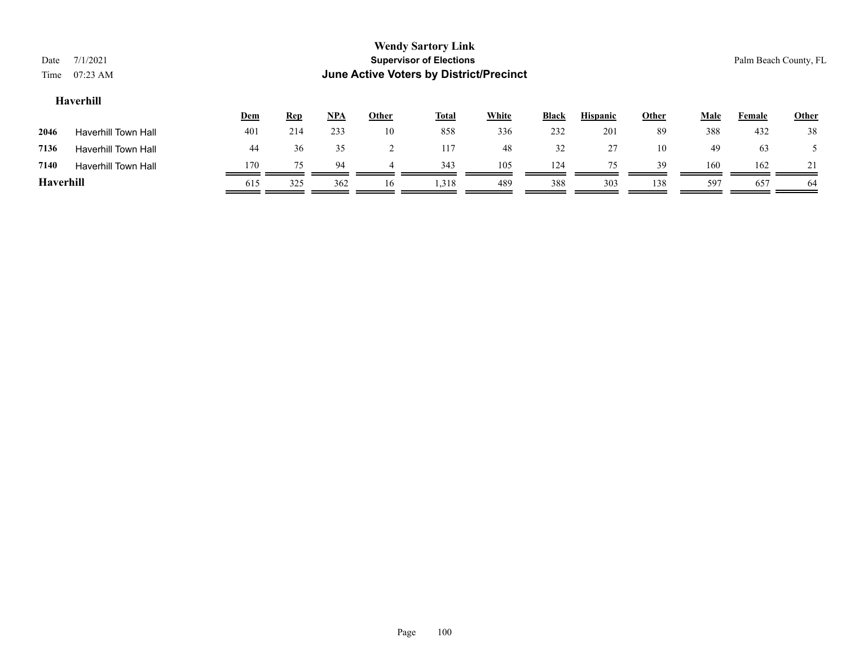| Date<br>Time | 7/1/2021<br>$07:23$ AM     |            |            |            |              | <b>Wendy Sartory Link</b><br><b>Supervisor of Elections</b><br>June Active Voters by District/Precinct |       |              |                 |       |             |               | Palm Beach County, FL |
|--------------|----------------------------|------------|------------|------------|--------------|--------------------------------------------------------------------------------------------------------|-------|--------------|-----------------|-------|-------------|---------------|-----------------------|
|              | Haverhill                  |            |            |            |              |                                                                                                        |       |              |                 |       |             |               |                       |
|              |                            | <u>Dem</u> | <b>Rep</b> | <u>NPA</u> | <b>Other</b> | <b>Total</b>                                                                                           | White | <b>Black</b> | <b>Hispanic</b> | Other | <b>Male</b> | <b>Female</b> | <b>Other</b>          |
| 2046         | <b>Haverhill Town Hall</b> | 401        | 214        | 233        | 10           | 858                                                                                                    | 336   | 232          | 201             | 89    | 388         | 432           | 38                    |
| 7136         | <b>Haverhill Town Hall</b> | 44         | 36         | 35         | 2            | 117                                                                                                    | 48    | 32           | 27              | 10    | 49          | 63            |                       |
| 7140         | <b>Haverhill Town Hall</b> | 170        | 75         | 94         | 4            | 343                                                                                                    | 105   | 124          | 75              | 39    | 160         | 162           |                       |
| Haverhill    |                            | 615        | 325        | 362        | 16           | 1,318                                                                                                  | 489   | 388          | 303             | 138   | 597         | 657           | 64                    |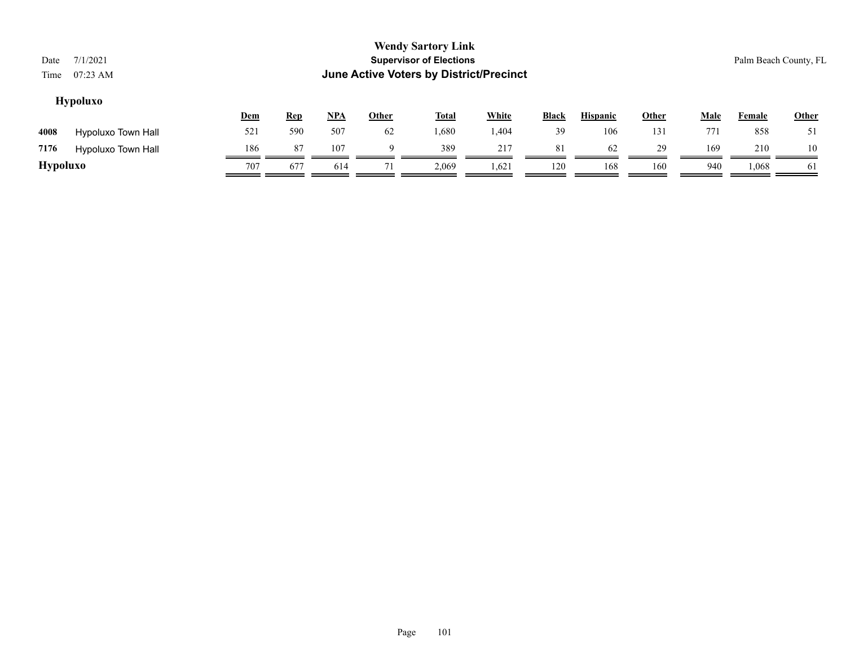| Date<br>Time    | 7/1/2021<br>07:23 AM      |     |            |            |              | <b>Wendy Sartory Link</b><br><b>Supervisor of Elections</b> | <b>June Active Voters by District/Precinct</b> |              |                 |       |             | Palm Beach County, FL |              |
|-----------------|---------------------------|-----|------------|------------|--------------|-------------------------------------------------------------|------------------------------------------------|--------------|-----------------|-------|-------------|-----------------------|--------------|
|                 | <b>Hypoluxo</b>           | Dem | <b>Rep</b> | <u>NPA</u> | <b>Other</b> | <b>Total</b>                                                | <b>White</b>                                   | <b>Black</b> | <b>Hispanic</b> | Other | <b>Male</b> | Female                | <b>Other</b> |
| 4008            | <b>Hypoluxo Town Hall</b> | 521 | 590        | 507        | 62           | 1,680                                                       | 1,404                                          | 39           | 106             | 131   | 771         | 858                   | 51           |
| 7176            | <b>Hypoluxo Town Hall</b> | 186 | 87         | 107        | a            | 389                                                         | 217                                            | 81           | 62              | 29    | 169         | 210                   | 10           |
| <b>Hypoluxo</b> |                           | 707 | 677        | 614        |              | 2,069                                                       | 1,621                                          | 120          | 168             | 160   | 940         | 1,068                 | 61           |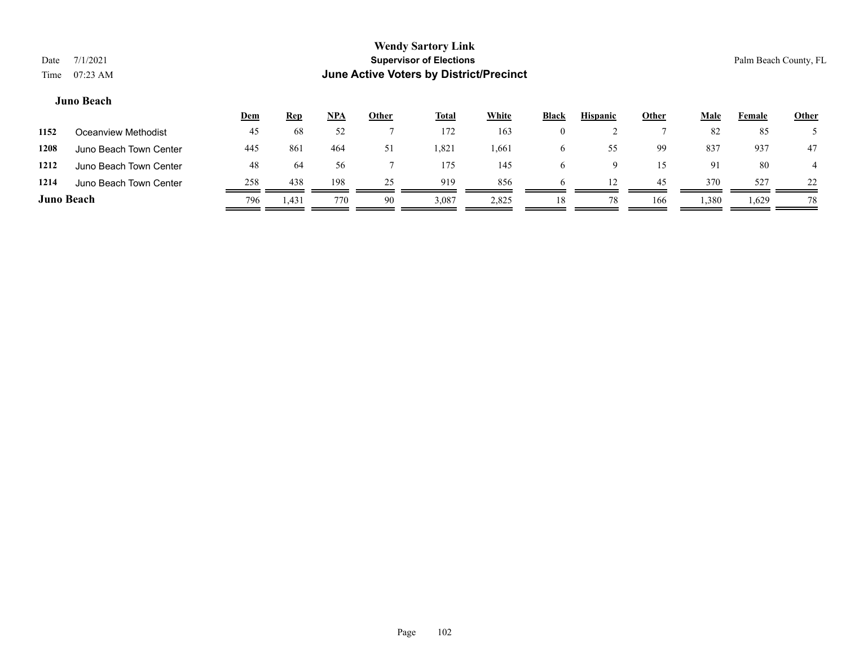### **Juno Beach**

|                   |                        | <u>Dem</u> | <b>Rep</b> | <u>NPA</u> | <u>Other</u> | <u>Total</u> | White | <b>Black</b> | <b>Hispanic</b> | Other | <u>Male</u> | Female | <b>Other</b> |
|-------------------|------------------------|------------|------------|------------|--------------|--------------|-------|--------------|-----------------|-------|-------------|--------|--------------|
| 1152              | Oceanview Methodist    | 45         | 68         | 52         |              | 172          | 163   | $\theta$     |                 |       | 82          | 85     |              |
| 1208              | Juno Beach Town Center | 445        | 861        | 464        | 51           | 1,821        | 1,661 | O            | 55              | 99    | 837         | 937    | 47           |
| 1212              | Juno Beach Town Center | 48         | 64         | 56         |              | 175          | 145   | h            |                 | 15    | 91          | 80     |              |
| 1214              | Juno Beach Town Center | 258        | 438        | 198        | 25           | 919          | 856   | h            | 12              | 45    | 370         | 527    | 22           |
| <b>Juno Beach</b> |                        | 796        | 1.431      | 770        | 90           | 3,087        | 2,825 | 18           | 78              | 166   | 1,380       | 1,629  | 78           |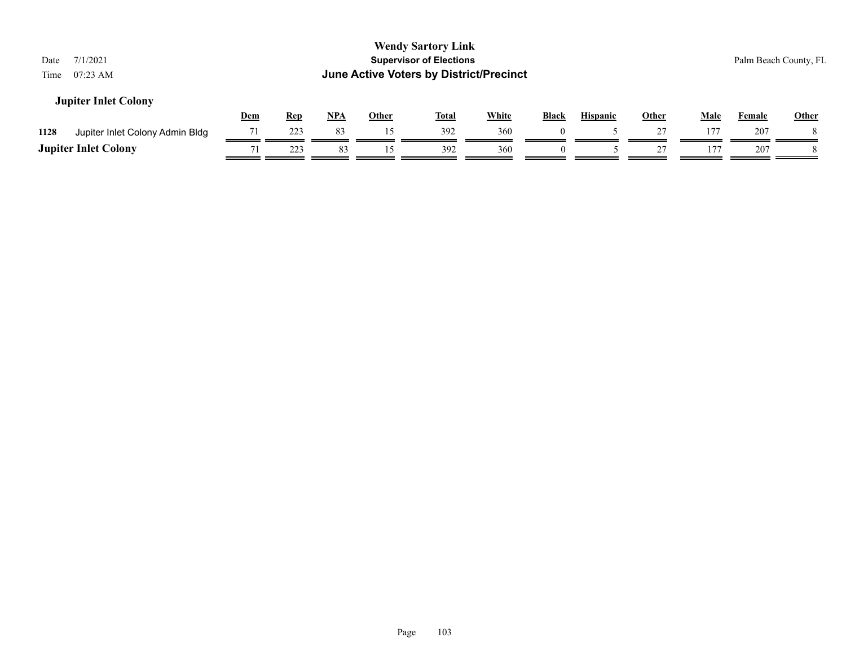| 7/1/2021<br>Date<br>$07:23$ AM<br>Time  |            |            |            |              | <b>Wendy Sartory Link</b><br><b>Supervisor of Elections</b><br>June Active Voters by District/Precinct |              |              |                 |              |             | Palm Beach County, FL |       |
|-----------------------------------------|------------|------------|------------|--------------|--------------------------------------------------------------------------------------------------------|--------------|--------------|-----------------|--------------|-------------|-----------------------|-------|
| <b>Jupiter Inlet Colony</b>             | <u>Dem</u> | <u>Rep</u> | <u>NPA</u> | <b>Other</b> | <u>Total</u>                                                                                           | <b>White</b> | <b>Black</b> | <b>Hispanic</b> | <b>Other</b> | <b>Male</b> | <b>Female</b>         | Other |
| 1128<br>Jupiter Inlet Colony Admin Bldg | 71         | 223        | 83         | 15           | 392                                                                                                    | 360          |              |                 | 27           | 177         | 207                   |       |
| <b>Jupiter Inlet Colony</b>             |            | 223        | 83         |              | 392                                                                                                    | 360          | $\Omega$     |                 |              | 177         | 207                   |       |
|                                         |            |            |            |              |                                                                                                        |              |              |                 |              |             |                       |       |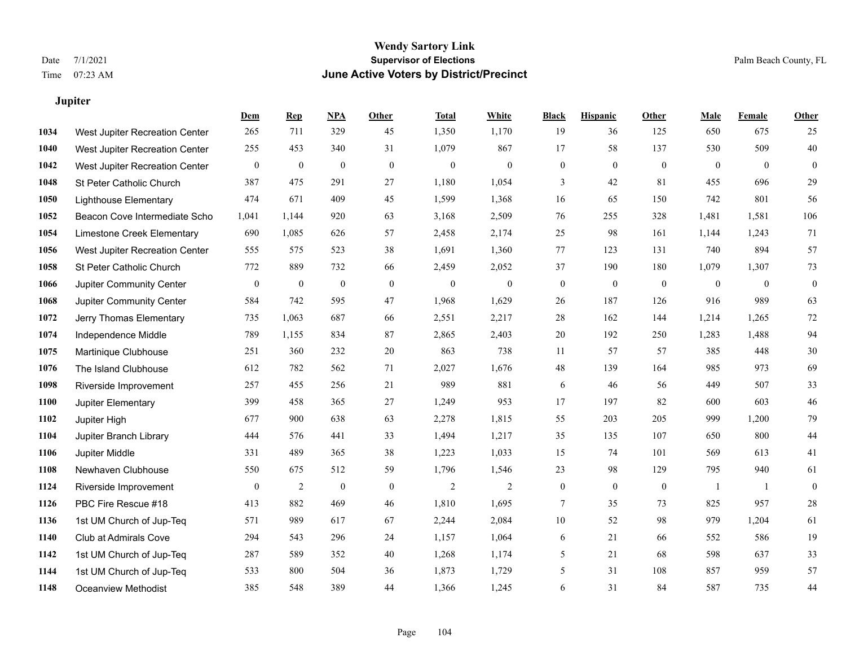**Jupiter**

### **Wendy Sartory Link** Date 7/1/2021 **Supervisor of Elections** Palm Beach County, FL Time 07:23 AM **June Active Voters by District/Precinct**

|      |                                | <b>Dem</b>   | <b>Rep</b>       | NPA              | <b>Other</b>     | <b>Total</b>     | <b>White</b>     | <b>Black</b>   | <b>Hispanic</b> | <b>Other</b>     | <b>Male</b>    | <b>Female</b>  | <b>Other</b>   |
|------|--------------------------------|--------------|------------------|------------------|------------------|------------------|------------------|----------------|-----------------|------------------|----------------|----------------|----------------|
| 1034 | West Jupiter Recreation Center | 265          | 711              | 329              | 45               | 1,350            | 1,170            | 19             | 36              | 125              | 650            | 675            | 25             |
| 1040 | West Jupiter Recreation Center | 255          | 453              | 340              | 31               | 1,079            | 867              | 17             | 58              | 137              | 530            | 509            | 40             |
| 1042 | West Jupiter Recreation Center | $\mathbf{0}$ | $\boldsymbol{0}$ | $\boldsymbol{0}$ | $\boldsymbol{0}$ | $\boldsymbol{0}$ | $\boldsymbol{0}$ | $\overline{0}$ | $\mathbf{0}$    | $\boldsymbol{0}$ | $\mathbf{0}$   | $\overline{0}$ | $\overline{0}$ |
| 1048 | St Peter Catholic Church       | 387          | 475              | 291              | 27               | 1,180            | 1,054            | 3              | 42              | 81               | 455            | 696            | 29             |
| 1050 | <b>Lighthouse Elementary</b>   | 474          | 671              | 409              | 45               | 1,599            | 1,368            | 16             | 65              | 150              | 742            | 801            | 56             |
| 1052 | Beacon Cove Intermediate Scho  | 1,041        | 1,144            | 920              | 63               | 3,168            | 2,509            | 76             | 255             | 328              | 1,481          | 1,581          | 106            |
| 1054 | Limestone Creek Elementary     | 690          | 1,085            | 626              | 57               | 2,458            | 2,174            | 25             | 98              | 161              | 1,144          | 1,243          | 71             |
| 1056 | West Jupiter Recreation Center | 555          | 575              | 523              | 38               | 1,691            | 1,360            | 77             | 123             | 131              | 740            | 894            | 57             |
| 1058 | St Peter Catholic Church       | 772          | 889              | 732              | 66               | 2,459            | 2,052            | 37             | 190             | 180              | 1,079          | 1,307          | 73             |
| 1066 | Jupiter Community Center       | $\mathbf{0}$ | $\mathbf{0}$     | $\boldsymbol{0}$ | $\boldsymbol{0}$ | $\boldsymbol{0}$ | $\boldsymbol{0}$ | $\mathbf{0}$   | $\mathbf{0}$    | $\boldsymbol{0}$ | $\mathbf{0}$   | $\overline{0}$ | $\overline{0}$ |
| 1068 | Jupiter Community Center       | 584          | 742              | 595              | 47               | 1,968            | 1,629            | 26             | 187             | 126              | 916            | 989            | 63             |
| 1072 | Jerry Thomas Elementary        | 735          | 1,063            | 687              | 66               | 2,551            | 2,217            | 28             | 162             | 144              | 1,214          | 1,265          | 72             |
| 1074 | Independence Middle            | 789          | 1,155            | 834              | 87               | 2,865            | 2,403            | 20             | 192             | 250              | 1,283          | 1,488          | 94             |
| 1075 | Martinique Clubhouse           | 251          | 360              | 232              | 20               | 863              | 738              | 11             | 57              | 57               | 385            | 448            | 30             |
| 1076 | The Island Clubhouse           | 612          | 782              | 562              | 71               | 2,027            | 1,676            | 48             | 139             | 164              | 985            | 973            | 69             |
| 1098 | Riverside Improvement          | 257          | 455              | 256              | 21               | 989              | 881              | 6              | 46              | 56               | 449            | 507            | 33             |
| 1100 | Jupiter Elementary             | 399          | 458              | 365              | 27               | 1,249            | 953              | 17             | 197             | 82               | 600            | 603            | 46             |
| 1102 | Jupiter High                   | 677          | 900              | 638              | 63               | 2,278            | 1,815            | 55             | 203             | 205              | 999            | 1,200          | 79             |
| 1104 | Jupiter Branch Library         | 444          | 576              | 441              | 33               | 1,494            | 1,217            | 35             | 135             | 107              | 650            | 800            | 44             |
| 1106 | Jupiter Middle                 | 331          | 489              | 365              | 38               | 1,223            | 1,033            | 15             | 74              | 101              | 569            | 613            | 41             |
| 1108 | Newhaven Clubhouse             | 550          | 675              | 512              | 59               | 1,796            | 1,546            | 23             | 98              | 129              | 795            | 940            | 61             |
| 1124 | Riverside Improvement          | $\mathbf{0}$ | $\overline{2}$   | $\mathbf{0}$     | $\mathbf{0}$     | $\overline{2}$   | $\overline{2}$   | $\theta$       | $\mathbf{0}$    | $\mathbf{0}$     | $\overline{1}$ | $\overline{1}$ | $\overline{0}$ |
| 1126 | PBC Fire Rescue #18            | 413          | 882              | 469              | 46               | 1,810            | 1,695            | $\overline{7}$ | 35              | 73               | 825            | 957            | 28             |
| 1136 | 1st UM Church of Jup-Teq       | 571          | 989              | 617              | 67               | 2,244            | 2,084            | 10             | 52              | 98               | 979            | 1,204          | 61             |
| 1140 | Club at Admirals Cove          | 294          | 543              | 296              | 24               | 1,157            | 1,064            | 6              | 21              | 66               | 552            | 586            | 19             |
| 1142 | 1st UM Church of Jup-Teq       | 287          | 589              | 352              | 40               | 1,268            | 1,174            | 5              | 21              | 68               | 598            | 637            | 33             |
| 1144 | 1st UM Church of Jup-Teq       | 533          | 800              | 504              | 36               | 1,873            | 1,729            | 5              | 31              | 108              | 857            | 959            | 57             |
| 1148 | <b>Oceanview Methodist</b>     | 385          | 548              | 389              | 44               | 1,366            | 1,245            | 6              | 31              | 84               | 587            | 735            | 44             |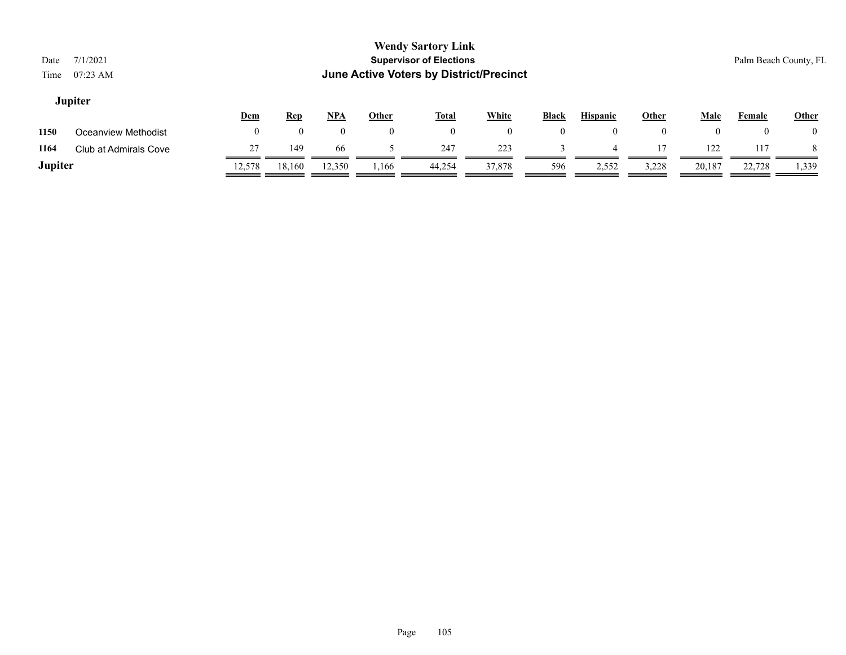### **Jupiter**

|         |                       | <u>Dem</u> | <u>Rep</u> | NPA    | Other | Total  | <b>White</b> | <b>Black</b> | <b>Hispanic</b> | Other        | Male   | Female | Other |
|---------|-----------------------|------------|------------|--------|-------|--------|--------------|--------------|-----------------|--------------|--------|--------|-------|
| 1150    | Oceanview Methodist   |            |            |        |       |        | $\Omega$     |              |                 | $\mathbf{0}$ |        | v      |       |
| 1164    | Club at Admirals Cove |            | 149        | 66     |       | 247    | 223          |              |                 | 17           | 122    | 117    |       |
| Jupiter |                       | 12.578     | 18,160     | 12,350 | 1,166 | 44,254 | 37,878       | 596          | 2,552           | 3,228        | 20,187 | 22,728 | 1,339 |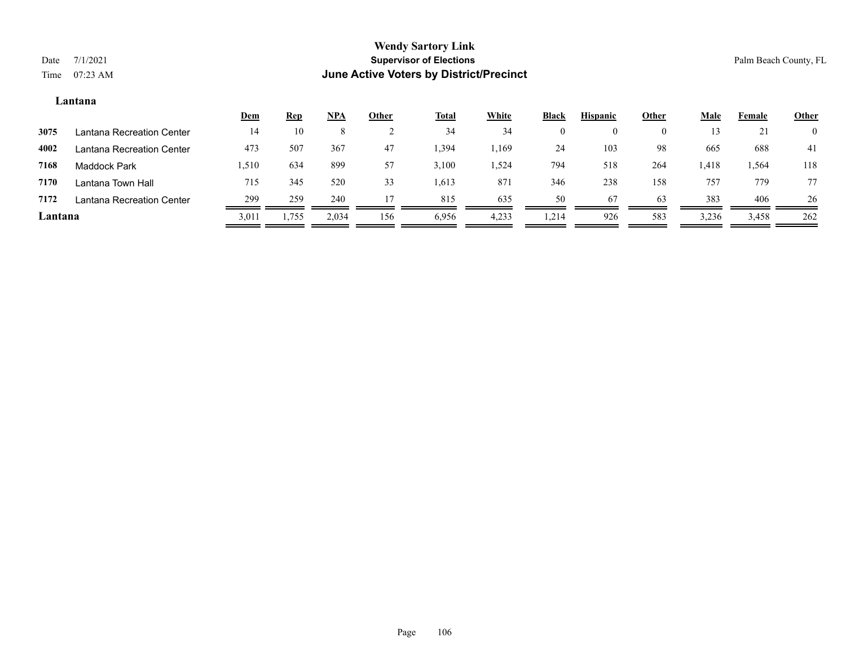### **Lantana**

|         |                           | <u>Dem</u> | <b>Rep</b> | $NPA$   | Other | <b>Total</b> | <b>White</b> | <b>Black</b> | <b>Hispanic</b> | Other    | <u>Male</u> | Female | <b>Other</b>   |
|---------|---------------------------|------------|------------|---------|-------|--------------|--------------|--------------|-----------------|----------|-------------|--------|----------------|
| 3075    | Lantana Recreation Center | 14         | 10         | $\circ$ |       | 34           | 34           |              |                 | $\theta$ | 13          | ∠⊥     | $\overline{0}$ |
| 4002    | Lantana Recreation Center | 473        | 507        | 367     | 47    | 1,394        | .,169        | 24           | 103             | 98       | 665         | 688    | 41             |
| 7168    | Maddock Park              | 1,510      | 634        | 899     | 57    | 3,100        | 1,524        | 794          | 518             | 264      | 1,418       | 1,564  | 118            |
| 7170    | Lantana Town Hall         | 715        | 345        | 520     | 33    | 1,613        | 87           | 346          | 238             | 158      | 757         | 779    | 77             |
| 7172    | Lantana Recreation Center | 299        | 259        | 240     |       | 815          | 635          | 50           | 67              | 63       | 383         | 406    | 26             |
| Lantana |                           | 3,011      | 1,755      | 2,034   | 156   | 6,956        | 4,233        | 1,214        | 926             | 583      | 3,236       | 3,458  | 262            |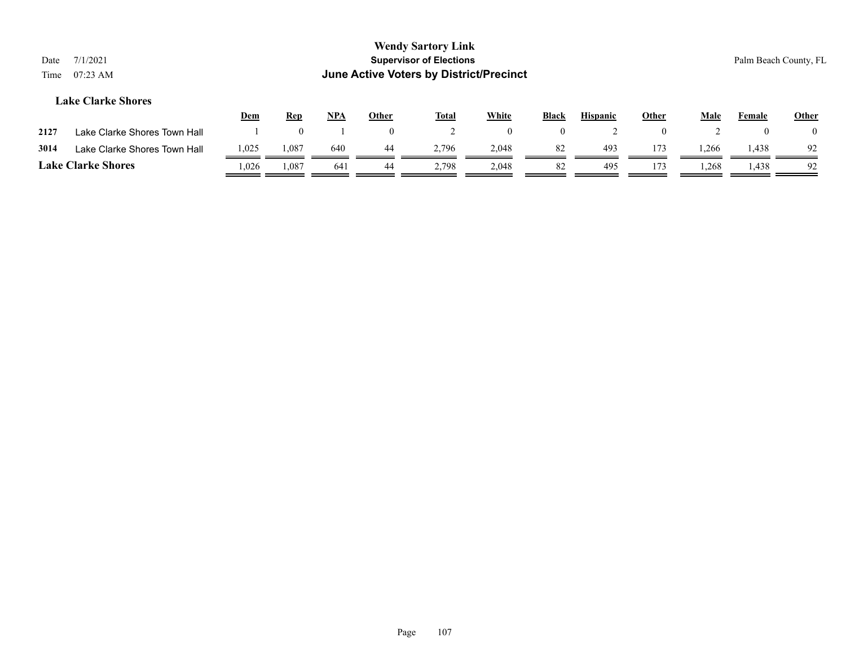| Date<br>Time | 7/1/2021<br>$07:23$ AM       |            |            |            |              | <b>Wendy Sartory Link</b><br><b>Supervisor of Elections</b><br>June Active Voters by District/Precinct |              |                |                 |                |             |        | Palm Beach County, FL |
|--------------|------------------------------|------------|------------|------------|--------------|--------------------------------------------------------------------------------------------------------|--------------|----------------|-----------------|----------------|-------------|--------|-----------------------|
|              | <b>Lake Clarke Shores</b>    | <u>Dem</u> | <b>Rep</b> | <u>NPA</u> | <u>Other</u> | <b>Total</b>                                                                                           | <b>White</b> | Black          | <b>Hispanic</b> | <b>Other</b>   | <b>Male</b> | Female | <b>Other</b>          |
| 2127         | Lake Clarke Shores Town Hall |            | $\theta$   |            |              |                                                                                                        | $\theta$     | $\overline{0}$ |                 | $\overline{0}$ |             |        | $\overline{0}$        |
| 3014         | Lake Clarke Shores Town Hall | 1,025      | 1,087      | 640        | 44           | 2.796                                                                                                  | 2,048        | 82             | 493             | 173            | 1,266       | 1,438  | 92                    |
|              | <b>Lake Clarke Shores</b>    | 1,026      | 1,087      | 641        | 44           | 2,798                                                                                                  | 2,048        | 82             | 495             | 173            | 1,268       | 1,438  | 92                    |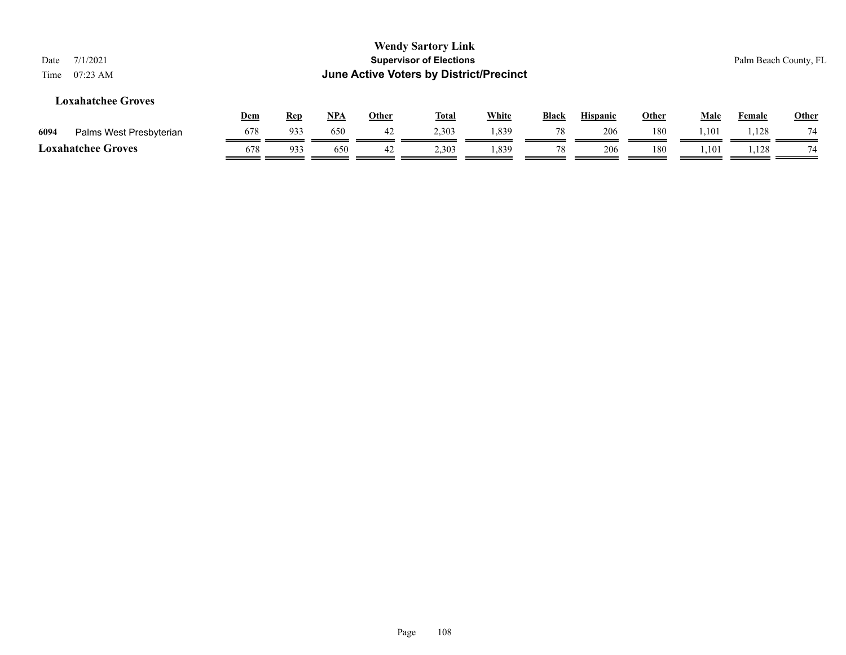| 7/1/2021<br>$07:23$ AM    |     |            |            |       |              |              |                                                                             |                                         |     |              |        |                       |
|---------------------------|-----|------------|------------|-------|--------------|--------------|-----------------------------------------------------------------------------|-----------------------------------------|-----|--------------|--------|-----------------------|
| <b>Loxahatchee Groves</b> |     |            |            |       |              |              | <b>Black</b>                                                                | <b>Hispanic</b>                         |     | Male         | Female | Other                 |
| Palms West Presbyterian   | 678 | 933        | 650        | 42    | 2,303        | 1,839        | 78                                                                          | 206                                     | 180 | 1,101        | 1,128  | 74                    |
| <b>Loxahatchee Groves</b> | 678 | 933        | 650        | 42    | 2,303        | 1,839        | 78                                                                          | 206                                     | 180 | 1,101        | 1,128  | 74                    |
|                           |     | <b>Dem</b> | <u>Rep</u> | $NPA$ | <b>Other</b> | <b>Total</b> | <b>Wendy Sartory Link</b><br><b>Supervisor of Elections</b><br><b>White</b> | June Active Voters by District/Precinct |     | <u>Other</u> |        | Palm Beach County, FL |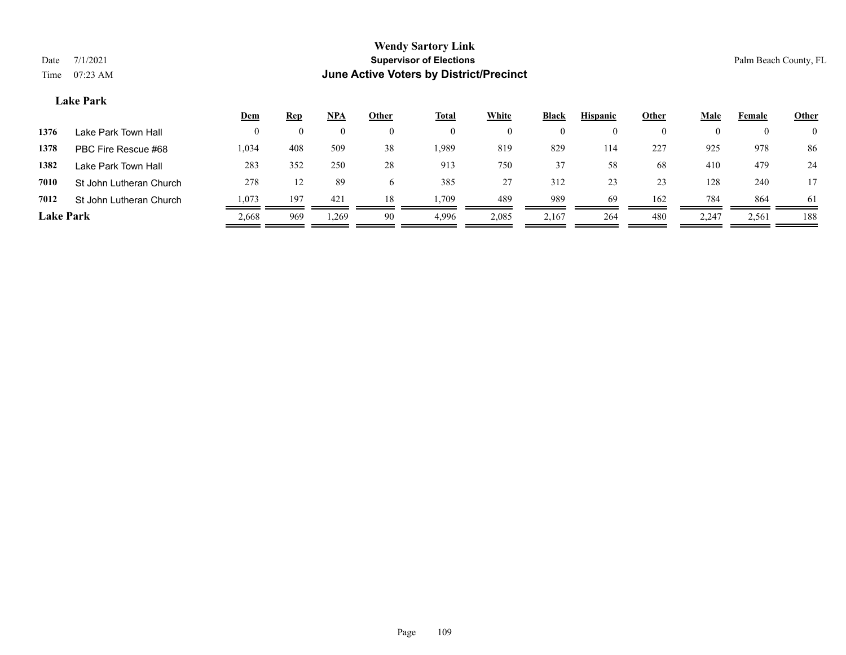# **Lake Park**

|                  |                         | Dem   | <u>Rep</u> | <u>NPA</u>      | Other | <b>Total</b> | White                | <b>Black</b> | <b>Hispanic</b> | Other    | Male     | Female   | <b>Other</b>   |
|------------------|-------------------------|-------|------------|-----------------|-------|--------------|----------------------|--------------|-----------------|----------|----------|----------|----------------|
| 1376             | Lake Park Town Hall     |       |            |                 |       |              | $\theta$             |              |                 | $\Omega$ | $\theta$ | $\theta$ | $\overline{0}$ |
| 1378             | PBC Fire Rescue #68     | 1,034 | 408        | 509             | 38    | .989         | 819                  | 829          | 114             | 227      | 925      | 978      | 86             |
| 1382             | Lake Park Town Hall     | 283   | 352        | 250             | 28    | 913          | 750                  | 37           | 58              | 68       | 410      | 479      | 24             |
| 7010             | St John Lutheran Church | 278   | 12         | 89              | b.    | 385          | 27<br>$\overline{2}$ | 312          | 23              | 23       | 128      | 240      |                |
| 7012             | St John Lutheran Church | 1,073 | 197        | 42 <sup>2</sup> | 18    | . 709        | 489                  | 989          | 69              | 162      | 784      | 864      | -61            |
| <b>Lake Park</b> |                         | 2,668 | 969        | 1,269           | 90    | 4.996        | 2,085                | 2,167        | 264             | 480      | 2,247    | 2,561    | 188            |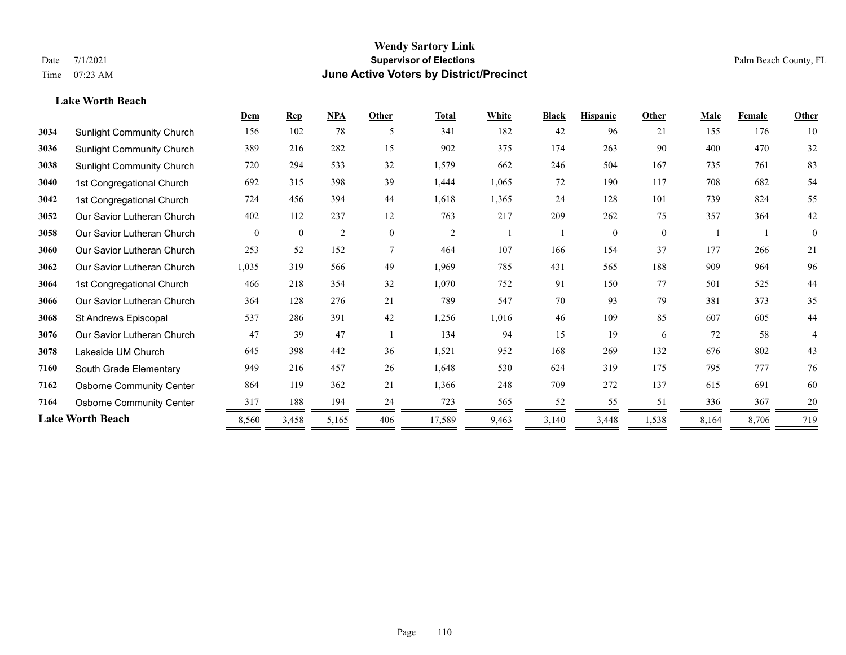## **Lake Worth Beach**

|      |                                  | Dem      | <b>Rep</b>   | NPA            | Other        | <b>Total</b>   | White | <b>Black</b> | <b>Hispanic</b> | Other        | Male  | Female | <b>Other</b>   |
|------|----------------------------------|----------|--------------|----------------|--------------|----------------|-------|--------------|-----------------|--------------|-------|--------|----------------|
| 3034 | <b>Sunlight Community Church</b> | 156      | 102          | 78             | -5           | 341            | 182   | 42           | 96              | 21           | 155   | 176    | 10             |
| 3036 | <b>Sunlight Community Church</b> | 389      | 216          | 282            | 15           | 902            | 375   | 174          | 263             | 90           | 400   | 470    | 32             |
| 3038 | <b>Sunlight Community Church</b> | 720      | 294          | 533            | 32           | 1,579          | 662   | 246          | 504             | 167          | 735   | 761    | 83             |
| 3040 | 1st Congregational Church        | 692      | 315          | 398            | 39           | 1,444          | 1,065 | 72           | 190             | 117          | 708   | 682    | 54             |
| 3042 | 1st Congregational Church        | 724      | 456          | 394            | 44           | 1,618          | 1,365 | 24           | 128             | 101          | 739   | 824    | 55             |
| 3052 | Our Savior Lutheran Church       | 402      | 112          | 237            | 12           | 763            | 217   | 209          | 262             | 75           | 357   | 364    | 42             |
| 3058 | Our Savior Lutheran Church       | $\theta$ | $\mathbf{0}$ | $\overline{c}$ | $\mathbf{0}$ | $\overline{2}$ |       |              | $\theta$        | $\mathbf{0}$ |       |        | $\overline{0}$ |
| 3060 | Our Savior Lutheran Church       | 253      | 52           | 152            | 7            | 464            | 107   | 166          | 154             | 37           | 177   | 266    | 21             |
| 3062 | Our Savior Lutheran Church       | 1,035    | 319          | 566            | 49           | 1,969          | 785   | 431          | 565             | 188          | 909   | 964    | 96             |
| 3064 | 1st Congregational Church        | 466      | 218          | 354            | 32           | 1,070          | 752   | 91           | 150             | 77           | 501   | 525    | 44             |
| 3066 | Our Savior Lutheran Church       | 364      | 128          | 276            | 21           | 789            | 547   | 70           | 93              | 79           | 381   | 373    | 35             |
| 3068 | St Andrews Episcopal             | 537      | 286          | 391            | 42           | 1,256          | 1,016 | 46           | 109             | 85           | 607   | 605    | 44             |
| 3076 | Our Savior Lutheran Church       | 47       | 39           | 47             |              | 134            | 94    | 15           | 19              | 6            | 72    | 58     | 4              |
| 3078 | Lakeside UM Church               | 645      | 398          | 442            | 36           | 1,521          | 952   | 168          | 269             | 132          | 676   | 802    | 43             |
| 7160 | South Grade Elementary           | 949      | 216          | 457            | 26           | 1,648          | 530   | 624          | 319             | 175          | 795   | 777    | 76             |
| 7162 | <b>Osborne Community Center</b>  | 864      | 119          | 362            | 21           | 1,366          | 248   | 709          | 272             | 137          | 615   | 691    | 60             |
| 7164 | <b>Osborne Community Center</b>  | 317      | 188          | 194            | 24           | 723            | 565   | 52           | 55              | 51           | 336   | 367    | 20             |
|      | <b>Lake Worth Beach</b>          | 8,560    | 3,458        | 5,165          | 406          | 17,589         | 9,463 | 3,140        | 3,448           | 1,538        | 8,164 | 8,706  | 719            |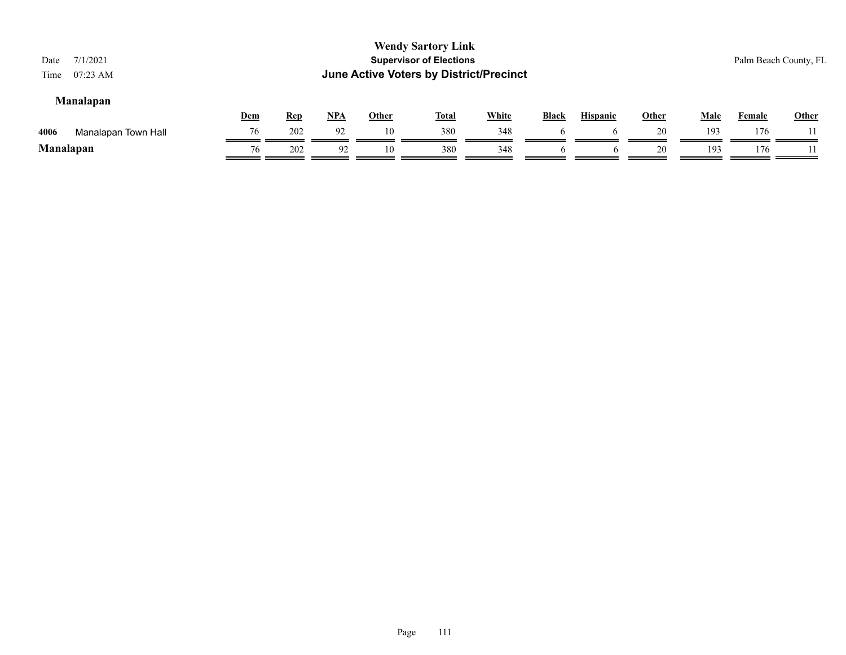| Date<br>Time | 7/1/2021<br>$07:23$ AM |            |            |            |              | <b>Wendy Sartory Link</b><br><b>Supervisor of Elections</b><br><b>June Active Voters by District/Precinct</b> |              |              |                 |              |      |        | Palm Beach County, FL |
|--------------|------------------------|------------|------------|------------|--------------|---------------------------------------------------------------------------------------------------------------|--------------|--------------|-----------------|--------------|------|--------|-----------------------|
|              | <b>Manalapan</b>       | <b>Dem</b> | <u>Rep</u> | <u>NPA</u> | <u>Other</u> | <u>Total</u>                                                                                                  | <b>White</b> | <b>Black</b> | <b>Hispanic</b> | <b>Other</b> | Male | Female | <b>Other</b>          |
| 4006         | Manalapan Town Hall    | 76         | 202        | 92         | 10           | 380                                                                                                           | 348          | h            | $\mathbf{a}$    | 20           | 193  | 176    |                       |
| Manalapan    |                        | 76         | 202        | 92         | 10           | 380                                                                                                           | 348          |              | O               | 20           | 193  | 176    |                       |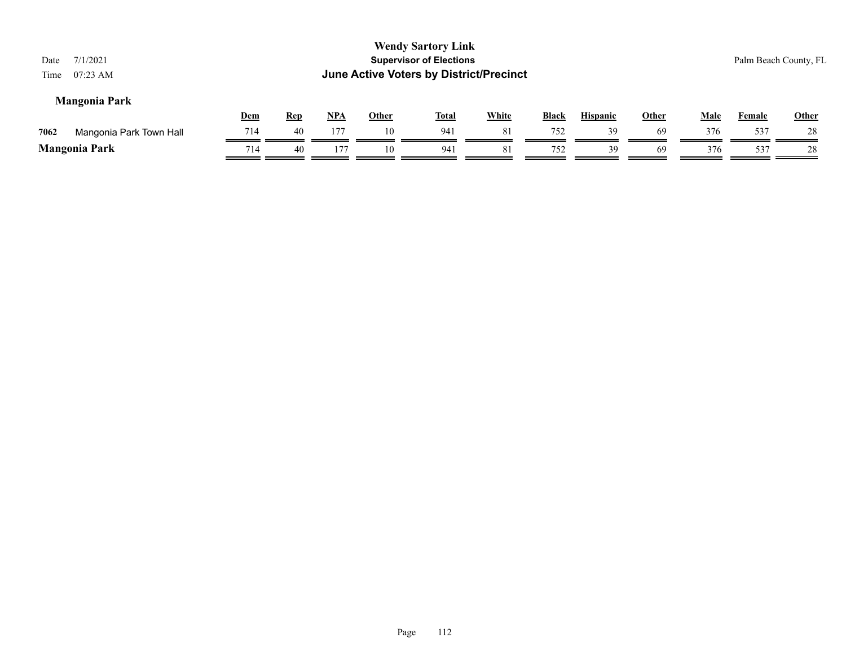| 7/1/2021<br>Date<br>$07:23$ AM<br>Time |     |            |       |              | <b>Wendy Sartory Link</b><br><b>Supervisor of Elections</b><br>June Active Voters by District/Precinct |              |              |                 |              |             |               | Palm Beach County, FL |
|----------------------------------------|-----|------------|-------|--------------|--------------------------------------------------------------------------------------------------------|--------------|--------------|-----------------|--------------|-------------|---------------|-----------------------|
| <b>Mangonia Park</b>                   | Dem | <b>Rep</b> | $NPA$ | <b>Other</b> | <b>Total</b>                                                                                           | <b>White</b> | <b>Black</b> | <b>Hispanic</b> | <b>Other</b> | <b>Male</b> | <b>Female</b> | <b>Other</b>          |
| 7062<br>Mangonia Park Town Hall        | 714 | 40         | 177   | 10           | 941                                                                                                    | 81           | 752          | 39              | -69          | 376         | 537           | 28                    |
| <b>Mangonia Park</b>                   | 714 | 40         | 177   | 10           | 941                                                                                                    | 81           | 752          | 39              | -69          | 376         | 537           | 28                    |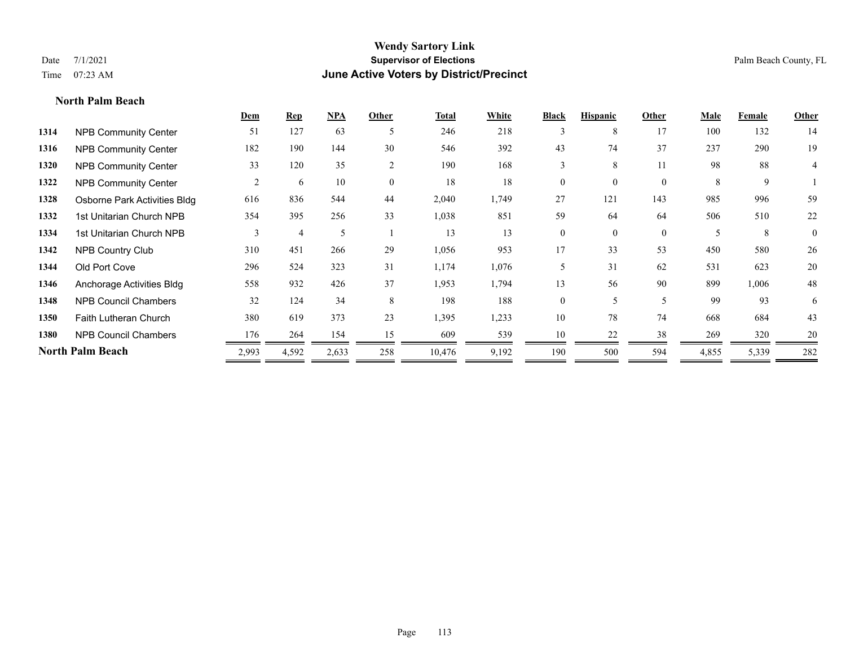**North Palm Beach**

#### **Wendy Sartory Link** Date 7/1/2021 **Supervisor of Elections** Palm Beach County, FL Time 07:23 AM **June Active Voters by District/Precinct**

# **Dem Rep NPA Other Total White Black Hispanic Other Male Female Other 1314** NPB Community Center 51 127 63 5 246 218 3 8 17 100 132 14 **1316** NPB Community Center 182 190 144 30 546 392 43 74 37 237 290 19 **1320** NPB Community Center 33 120 35 2 190 168 3 8 11 98 88 4 **1322 NPB Community Center**  $\begin{array}{cccccccc} 2 & 6 & 10 & 0 & 18 & 18 & 0 & 0 & 8 & 9 & 1 \end{array}$ **1328** Osborne Park Activities Bldg 616 836 544 44 2,040 1,749 27 121 143 985 996 59 **1332** 1st Unitarian Church NPB 354 395 256 33 1,038 851 59 64 64 506 510 22 1334 1st Unitarian Church NPB 3 4 5 1 13 13 0 0 0 5 8 0 **1342** NPB Country Club 310 451 266 29 1,056 953 17 33 53 450 580 26 **1344** Old Port Cove 296 524 323 31 1,174 1,076 5 31 62 531 623 20 **1346** Anchorage Activities Bldg 558 932 426 37 1,953 1,794 13 56 90 899 1,006 48 **1348** NPB Council Chambers 32 124 34 8 198 188 0 5 5 99 93 6 **1350** Faith Lutheran Church 380 619 373 23 1,395 1,233 10 78 74 668 684 43 **1380** NPB Council Chambers 176 264 154 15 609 539 10 22 38 269 320 20 **North Palm Beach** 2,993 4,592 2,633 258 10,476 9,192 190 500 594 4,855 5,339 282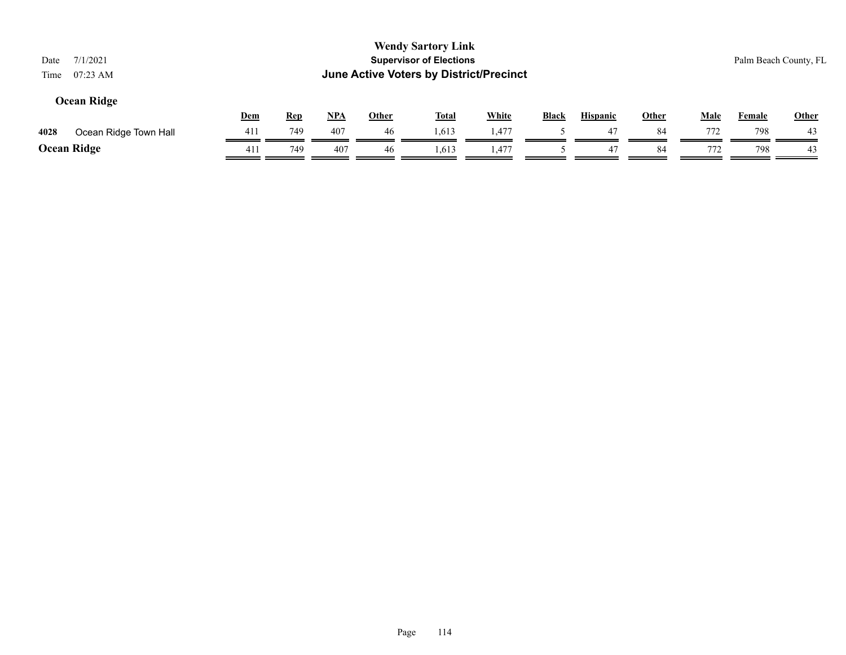| Date<br>Time | 7/1/2021<br>$07:23$ AM |            |            |       |              | <b>Wendy Sartory Link</b><br><b>Supervisor of Elections</b><br>June Active Voters by District/Precinct |              |              |                 |              |             |               | Palm Beach County, FL |
|--------------|------------------------|------------|------------|-------|--------------|--------------------------------------------------------------------------------------------------------|--------------|--------------|-----------------|--------------|-------------|---------------|-----------------------|
|              | <b>Ocean Ridge</b>     | <b>Dem</b> | <b>Rep</b> | $NPA$ | <u>Other</u> | <u>Total</u>                                                                                           | <b>White</b> | <b>Black</b> | <b>Hispanic</b> | <b>Other</b> | <u>Male</u> | <b>Female</b> | Other                 |
| 4028         | Ocean Ridge Town Hall  | 411        | 749        | 407   | 46           | 1,613                                                                                                  | 1.477        |              | 47              | 84           | 772         | 798           | 43                    |
|              | Ocean Ridge            | 411        | 749        | 407   | 46           | 1,613                                                                                                  | 1,477        |              | 47              | 84           | 772         | 798           | 43                    |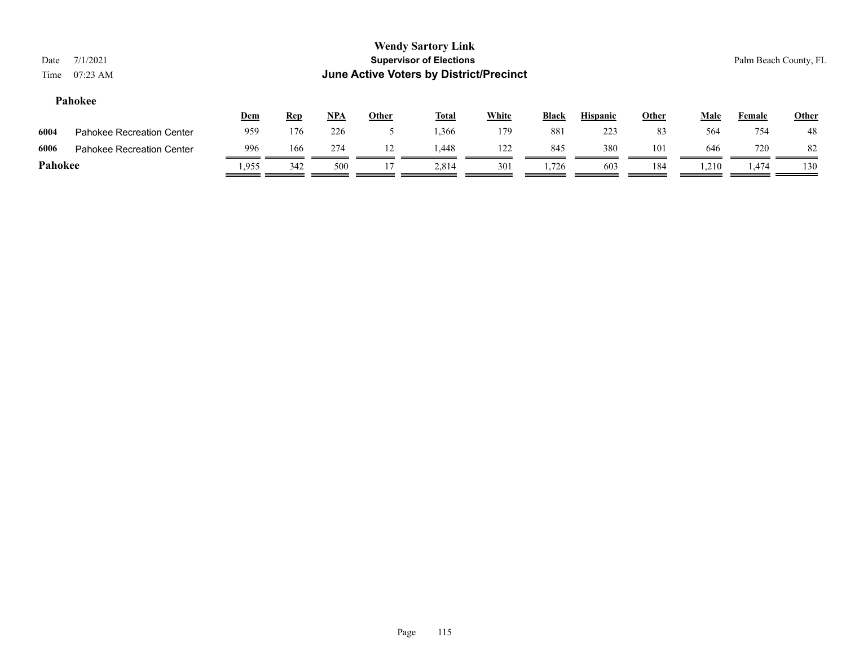#### **Pahokee**

|         |                                  | <u>Dem</u> | <u>Rep</u> | <b>NPA</b> | Other | <b>Total</b> | White | <b>Black</b> | <b>Hispanic</b> | Other | Male  | Female         | <b>Other</b> |
|---------|----------------------------------|------------|------------|------------|-------|--------------|-------|--------------|-----------------|-------|-------|----------------|--------------|
| 6004    | <b>Pahokee Recreation Center</b> | 959        | 176        | 226        |       | .366         | 179   | 881          | 223             | 83    | 564   | 754            | 48           |
| 6006    | <b>Pahokee Recreation Center</b> | 996        | 166        | 274        |       | 1.448        | 122   | 845          | 380             | 101   | 646   | 720            | 82           |
| Pahokee |                                  | .955       | 342        | 500        |       | 2.814        | 301   | 1.726        | 603             | 184   | 1,210 | <sup>474</sup> | 130          |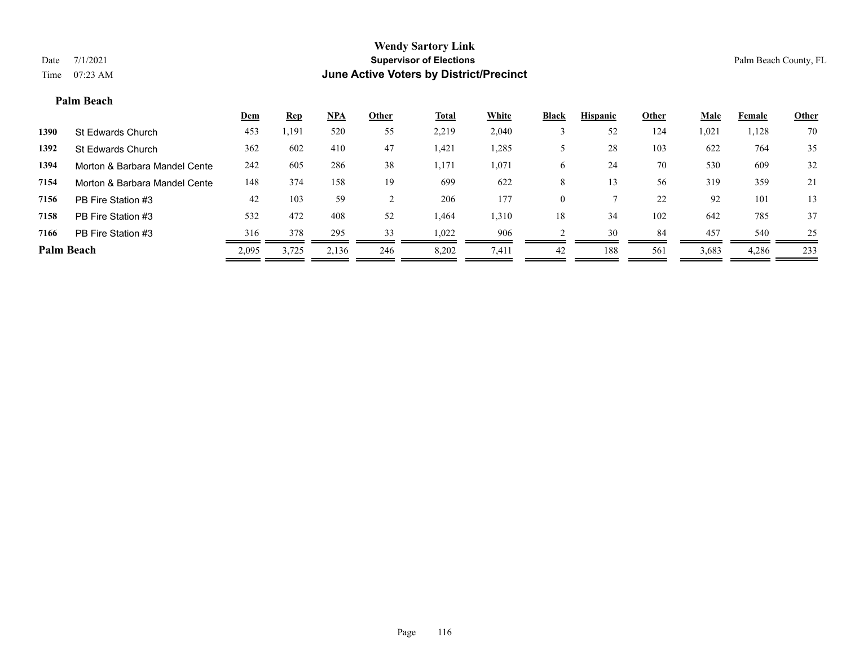#### **Palm Beach**

|                   |                               | <u>Dem</u> | <b>Rep</b> | $NPA$ | <b>Other</b> | <u>Total</u> | <b>White</b> | <b>Black</b> | <b>Hispanic</b> | Other | <b>Male</b> | Female | <b>Other</b> |
|-------------------|-------------------------------|------------|------------|-------|--------------|--------------|--------------|--------------|-----------------|-------|-------------|--------|--------------|
| 1390              | St Edwards Church             | 453        | ,191       | 520   | 55           | 2,219        | 2,040        |              | 52              | 124   | 1,021       | 1,128  | 70           |
| 1392              | St Edwards Church             | 362        | 602        | 410   | 47           | 1,421        | 1,285        |              | 28              | 103   | 622         | 764    | 35           |
| 1394              | Morton & Barbara Mandel Cente | 242        | 605        | 286   | 38           | 1,171        | 1,071        | 6            | 24              | 70    | 530         | 609    | 32           |
| 7154              | Morton & Barbara Mandel Cente | 148        | 374        | 158   | 19           | 699          | 622          | 8            | 13              | 56    | 319         | 359    | 21           |
| 7156              | PB Fire Station #3            | 42         | 103        | 59    |              | 206          | 177          | $\theta$     |                 | 22    | 92          | 101    | 13           |
| 7158              | PB Fire Station #3            | 532        | 472        | 408   | 52           | 1,464        | 1,310        | 18           | 34              | 102   | 642         | 785    | 37           |
| 7166              | PB Fire Station #3            | 316        | 378        | 295   | 33           | 1,022        | 906          |              | 30              | 84    | 457         | 540    | 25           |
| <b>Palm Beach</b> |                               | 2,095      | 3.725      | 2,136 | 246          | 8.202        | 7,411        | 42           | 188             | 561   | 3,683       | 4,286  | 233          |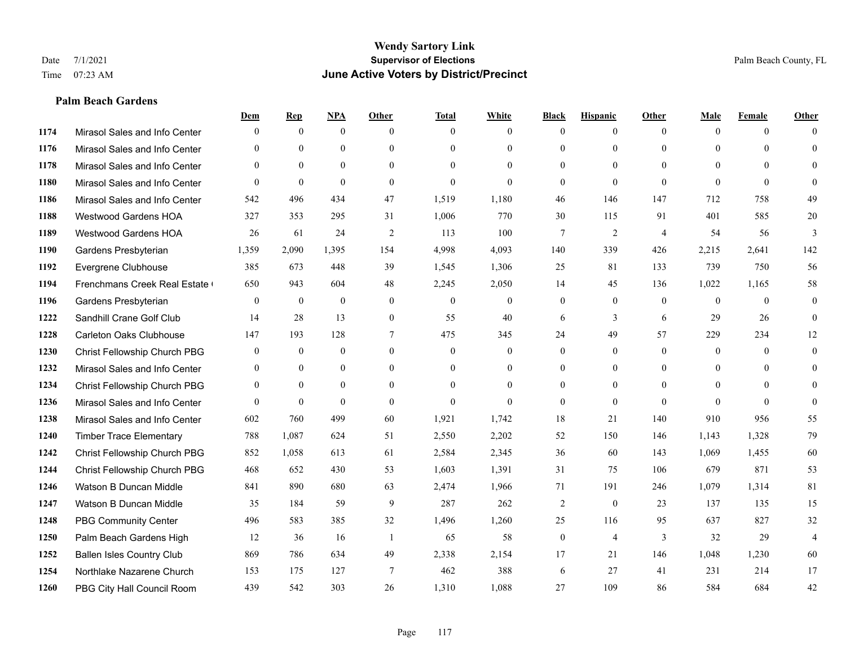# **Palm Beach Gardens**

|      |                                  | Dem            | <b>Rep</b>   | NPA          | <b>Other</b>   | <b>Total</b> | <b>White</b>   | <b>Black</b>   | <b>Hispanic</b> | <b>Other</b>   | <b>Male</b>    | <b>Female</b> | <b>Other</b> |
|------|----------------------------------|----------------|--------------|--------------|----------------|--------------|----------------|----------------|-----------------|----------------|----------------|---------------|--------------|
| 1174 | Mirasol Sales and Info Center    | $\theta$       | $\mathbf{0}$ | $\mathbf{0}$ | $\theta$       | $\theta$     | $\overline{0}$ | $\Omega$       | $\mathbf{0}$    | $\theta$       | $\theta$       | $\theta$      | $\Omega$     |
| 1176 | Mirasol Sales and Info Center    | $\Omega$       | $\theta$     | $\theta$     | $\Omega$       | $\Omega$     | $\overline{0}$ | $\Omega$       | $\theta$        | $\Omega$       | $\theta$       | $\Omega$      | $\theta$     |
| 1178 | Mirasol Sales and Info Center    | $\theta$       | $\mathbf{0}$ | $\mathbf{0}$ | $\theta$       | $\Omega$     | $\theta$       | $\Omega$       | $\theta$        | $\Omega$       | $\Omega$       | $\Omega$      | $\Omega$     |
| 1180 | Mirasol Sales and Info Center    | $\theta$       | $\mathbf{0}$ | $\theta$     | $\theta$       | $\mathbf{0}$ | $\Omega$       | $\overline{0}$ | $\mathbf{0}$    | $\theta$       | $\theta$       | $\theta$      | $\Omega$     |
| 1186 | Mirasol Sales and Info Center    | 542            | 496          | 434          | 47             | 1,519        | 1,180          | 46             | 146             | 147            | 712            | 758           | 49           |
| 1188 | Westwood Gardens HOA             | 327            | 353          | 295          | 31             | 1,006        | 770            | 30             | 115             | 91             | 401            | 585           | $20\,$       |
| 1189 | Westwood Gardens HOA             | 26             | 61           | 24           | 2              | 113          | 100            | 7              | $\overline{2}$  | $\overline{4}$ | 54             | 56            | 3            |
| 1190 | Gardens Presbyterian             | 1,359          | 2,090        | 1,395        | 154            | 4,998        | 4,093          | 140            | 339             | 426            | 2,215          | 2,641         | 142          |
| 1192 | Evergrene Clubhouse              | 385            | 673          | 448          | 39             | 1,545        | 1,306          | 25             | 81              | 133            | 739            | 750           | 56           |
| 1194 | Frenchmans Creek Real Estate     | 650            | 943          | 604          | 48             | 2,245        | 2,050          | 14             | 45              | 136            | 1,022          | 1,165         | 58           |
| 1196 | Gardens Presbyterian             | $\theta$       | $\mathbf{0}$ | $\mathbf{0}$ | $\theta$       | $\mathbf{0}$ | $\overline{0}$ | $\overline{0}$ | $\mathbf{0}$    | $\theta$       | $\theta$       | $\theta$      | $\mathbf{0}$ |
| 1222 | Sandhill Crane Golf Club         | 14             | 28           | 13           | $\mathbf{0}$   | 55           | 40             | 6              | 3               | 6              | 29             | 26            | $\theta$     |
| 1228 | <b>Carleton Oaks Clubhouse</b>   | 147            | 193          | 128          | $\tau$         | 475          | 345            | 24             | 49              | 57             | 229            | 234           | 12           |
| 1230 | Christ Fellowship Church PBG     | $\mathbf{0}$   | $\mathbf{0}$ | $\mathbf{0}$ | $\mathbf{0}$   | $\mathbf{0}$ | $\overline{0}$ | $\overline{0}$ | $\mathbf{0}$    | $\theta$       | $\mathbf{0}$   | $\theta$      | $\theta$     |
| 1232 | Mirasol Sales and Info Center    | $\theta$       | $\theta$     | $\theta$     | $\theta$       | $\Omega$     | $\overline{0}$ | $\overline{0}$ | $\theta$        | $\Omega$       | $\theta$       | $\Omega$      | $\theta$     |
| 1234 | Christ Fellowship Church PBG     | $\overline{0}$ | $\mathbf{0}$ | $\mathbf{0}$ | $\theta$       | $\theta$     | $\overline{0}$ | $\overline{0}$ | $\mathbf{0}$    | $\theta$       | $\overline{0}$ | $\theta$      | $\theta$     |
| 1236 | Mirasol Sales and Info Center    | $\Omega$       | $\mathbf{0}$ | $\theta$     | $\theta$       | $\theta$     | $\theta$       | $\overline{0}$ | $\mathbf{0}$    | $\theta$       | $\Omega$       | $\theta$      | $\Omega$     |
| 1238 | Mirasol Sales and Info Center    | 602            | 760          | 499          | 60             | 1,921        | 1,742          | 18             | 21              | 140            | 910            | 956           | 55           |
| 1240 | <b>Timber Trace Elementary</b>   | 788            | 1,087        | 624          | 51             | 2,550        | 2,202          | 52             | 150             | 146            | 1,143          | 1,328         | 79           |
| 1242 | Christ Fellowship Church PBG     | 852            | 1,058        | 613          | 61             | 2,584        | 2,345          | 36             | 60              | 143            | 1,069          | 1,455         | 60           |
| 1244 | Christ Fellowship Church PBG     | 468            | 652          | 430          | 53             | 1,603        | 1,391          | 31             | 75              | 106            | 679            | 871           | 53           |
| 1246 | Watson B Duncan Middle           | 841            | 890          | 680          | 63             | 2,474        | 1,966          | 71             | 191             | 246            | 1,079          | 1,314         | 81           |
| 1247 | Watson B Duncan Middle           | 35             | 184          | 59           | 9              | 287          | 262            | $\overline{c}$ | $\mathbf{0}$    | 23             | 137            | 135           | 15           |
| 1248 | <b>PBG Community Center</b>      | 496            | 583          | 385          | 32             | 1,496        | 1,260          | 25             | 116             | 95             | 637            | 827           | 32           |
| 1250 | Palm Beach Gardens High          | 12             | 36           | 16           | $\overline{1}$ | 65           | 58             | $\overline{0}$ | $\overline{4}$  | 3              | 32             | 29            | 4            |
| 1252 | <b>Ballen Isles Country Club</b> | 869            | 786          | 634          | 49             | 2,338        | 2,154          | 17             | 21              | 146            | 1,048          | 1,230         | 60           |
| 1254 | Northlake Nazarene Church        | 153            | 175          | 127          | 7              | 462          | 388            | 6              | 27              | 41             | 231            | 214           | 17           |
| 1260 | PBG City Hall Council Room       | 439            | 542          | 303          | 26             | 1,310        | 1,088          | 27             | 109             | 86             | 584            | 684           | 42           |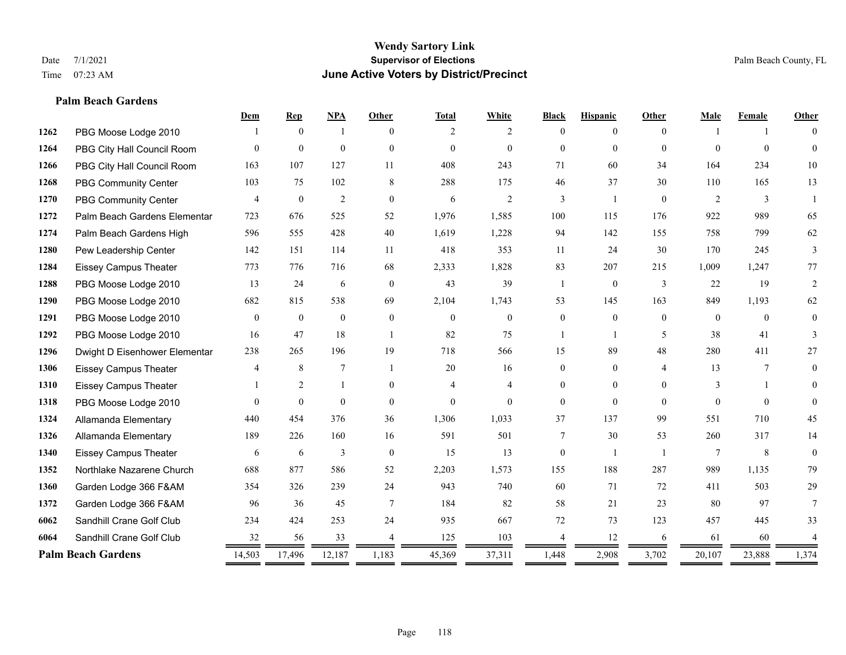**Palm Beach Gardens**

#### **Wendy Sartory Link** Date 7/1/2021 **Supervisor of Elections** Palm Beach County, FL Time 07:23 AM **June Active Voters by District/Precinct**

# **Dem Rep NPA Other Total White Black Hispanic Other Male Female Other** PBG Moose Lodge 2010 1 0 1 0 2 2 0 0 0 1 1 0 PBG City Hall Council Room 0 0 0 0 0 0 0 0 0 0 0 0 PBG City Hall Council Room 163 107 127 11 408 243 71 60 34 164 234 10 PBG Community Center 103 75 102 8 288 175 46 37 30 110 165 13 PBG Community Center  $\begin{array}{ccccccccccccc}\n4 & 0 & 2 & 0 & 6 & 2 & 3 & 1 & 0 & 2 & 3 & 1\n\end{array}$  Palm Beach Gardens Elementary 723 676 525 52 1,976 1,585 100 115 176 922 989 65 Palm Beach Gardens High 596 555 428 40 1,619 1,228 94 142 155 758 799 62 Pew Leadership Center 142 151 114 11 418 353 11 24 30 170 245 3 Eissey Campus Theater 773 776 716 68 2,333 1,828 83 207 215 1,009 1,247 77 PBG Moose Lodge 2010 13 24 6 0 43 39 1 0 3 22 19 2 PBG Moose Lodge 2010 682 815 538 69 2,104 1,743 53 145 163 849 1,193 62 PBG Moose Lodge 2010 0 0 0 0 0 0 0 0 0 0 0 0 PBG Moose Lodge 2010 16 47 18 1 82 75 1 1 5 38 41 3 Dwight D Eisenhower Elementary 238 265 196 19 718 566 15 89 48 280 411 27 Eissey Campus Theater 4 8 7 1 20 16 0 0 4 13 7 0 Eissey Campus Theater 1 2 1 0 4 4 0 0 0 3 1 0 PBG Moose Lodge 2010 0 0 0 0 0 0 0 0 0 0 0 0 Allamanda Elementary 440 454 376 36 1,306 1,033 37 137 99 551 710 45 Allamanda Elementary 189 226 160 16 591 501 7 30 53 260 317 14 Eissey Campus Theater 6 6 6 3 0 15 13 0 1 1 7 8 0 Northlake Nazarene Church 688 877 586 52 2,203 1,573 155 188 287 989 1,135 79 Garden Lodge 366 F&AM 354 326 239 24 943 740 60 71 72 411 503 29 Garden Lodge 366 F&AM 96 36 45 7 184 82 58 21 23 80 97 7 Sandhill Crane Golf Club 234 424 253 24 935 667 72 73 123 457 445 33 **6064** Sandhill Crane Golf Club  $\frac{32}{2} \frac{56}{2} \frac{33}{2} \frac{4}{2} \frac{125}{2} \frac{103}{2} \frac{4}{2} \frac{12}{2} \frac{4}{2} \frac{12}{2} \frac{6}{2} \frac{61}{2} \frac{60}{2} \frac{4}{2} \frac{4}{2} \frac{1}{2} \frac{1}{2} \frac{1}{2} \frac{1}{2} \frac{1}{2} \frac{1}{2} \frac{1}{2} \frac{1}{2} \frac{1}{2} \frac{1}{2} \frac$ **Palm Beach Gardens** 14,503 17,496 12,187 1,183 45,369 37,311 1,448 2,908 3,702 20,107 23,888 1,374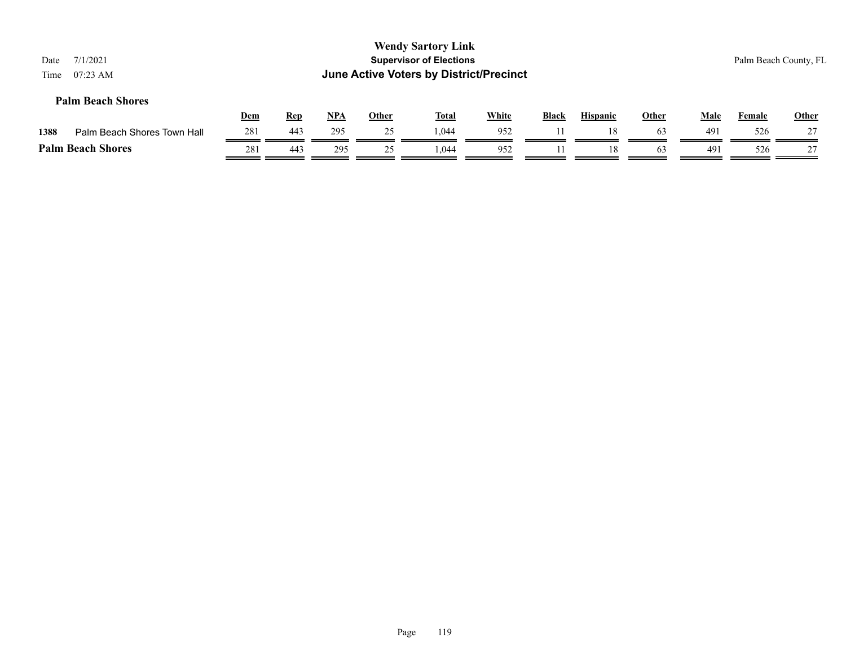| Date<br>Time | 7/1/2021<br>$07:23$ AM      |            |            |       |              | <b>Wendy Sartory Link</b><br><b>Supervisor of Elections</b><br><b>June Active Voters by District/Precinct</b> |              |              |                 |              |             |        | Palm Beach County, FL |
|--------------|-----------------------------|------------|------------|-------|--------------|---------------------------------------------------------------------------------------------------------------|--------------|--------------|-----------------|--------------|-------------|--------|-----------------------|
|              | <b>Palm Beach Shores</b>    | <u>Dem</u> | <b>Rep</b> | $NPA$ | <u>Other</u> | <b>Total</b>                                                                                                  | <b>White</b> | <b>Black</b> | <b>Hispanic</b> | <b>Other</b> | <b>Male</b> | Female | <b>Other</b>          |
| 1388         | Palm Beach Shores Town Hall | 281        | 443        | 295   | 25           | 1.044                                                                                                         | 952          |              | 18              | 63           | 491         | 526    | 27                    |
|              | <b>Palm Beach Shores</b>    | 281        | 443        | 295   | 25           | 1.044                                                                                                         | 952          |              | 18              | 63           | 491         | 526    | 27                    |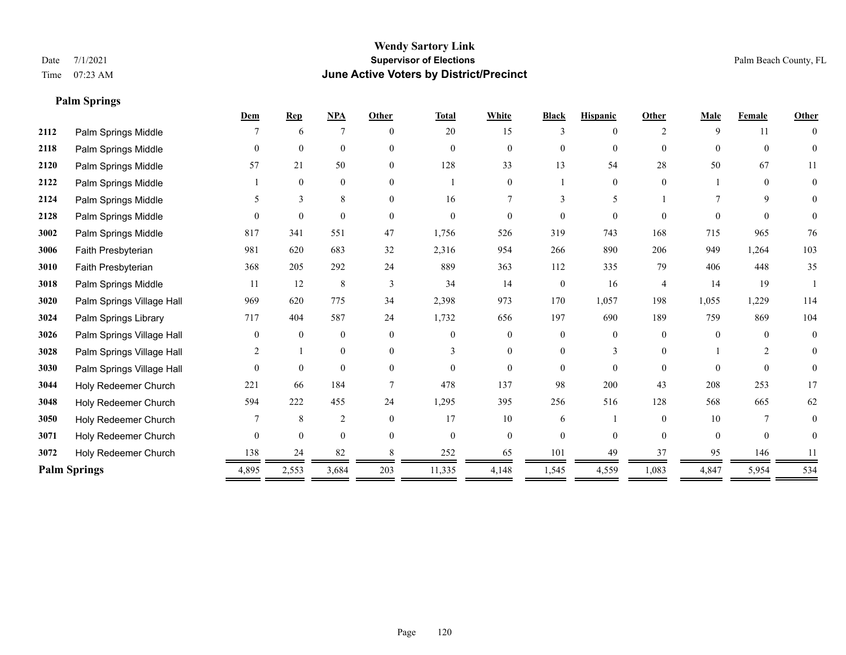**Palm Springs**

# **Wendy Sartory Link** Date 7/1/2021 **Supervisor of Elections** Palm Beach County, FL Time 07:23 AM **June Active Voters by District/Precinct**

|      |                           | Dem            | <b>Rep</b>   | <b>NPA</b>     | Other         | <b>Total</b>   | White          | <b>Black</b>   | <b>Hispanic</b> | Other          | <b>Male</b> | Female         | Other        |
|------|---------------------------|----------------|--------------|----------------|---------------|----------------|----------------|----------------|-----------------|----------------|-------------|----------------|--------------|
| 2112 | Palm Springs Middle       |                | 6            | 7              | $\theta$      | 20             | 15             | 3              | 0               | 2              | 9           | 11             | $\theta$     |
| 2118 | Palm Springs Middle       | $\Omega$       | $\mathbf{0}$ | $\mathbf{0}$   | $\theta$      | $\overline{0}$ | $\overline{0}$ | $\overline{0}$ | $\mathbf{0}$    | $\Omega$       | $\Omega$    | $\theta$       | $\Omega$     |
| 2120 | Palm Springs Middle       | 57             | 21           | 50             | $\theta$      | 128            | 33             | 13             | 54              | 28             | 50          | 67             | 11           |
| 2122 | Palm Springs Middle       |                | $\mathbf{0}$ | $\mathbf{0}$   | $\theta$      |                | $\theta$       |                | $\theta$        | $\Omega$       |             | $\theta$       | $\Omega$     |
| 2124 | Palm Springs Middle       | 5              | 3            | 8              | $\theta$      | 16             |                | 3              | 5               |                |             | 9              | $\Omega$     |
| 2128 | Palm Springs Middle       | $\Omega$       | $\theta$     | $\theta$       | $\theta$      | $\Omega$       | 0              | $\Omega$       | $\Omega$        | $\Omega$       |             | $\Omega$       | $\Omega$     |
| 3002 | Palm Springs Middle       | 817            | 341          | 551            | 47            | 1,756          | 526            | 319            | 743             | 168            | 715         | 965            | 76           |
| 3006 | Faith Presbyterian        | 981            | 620          | 683            | 32            | 2,316          | 954            | 266            | 890             | 206            | 949         | 1,264          | 103          |
| 3010 | Faith Presbyterian        | 368            | 205          | 292            | 24            | 889            | 363            | 112            | 335             | 79             | 406         | 448            | 35           |
| 3018 | Palm Springs Middle       | 11             | 12           | $\,8\,$        | $\mathcal{R}$ | 34             | 14             | $\overline{0}$ | 16              | $\overline{4}$ | 14          | 19             |              |
| 3020 | Palm Springs Village Hall | 969            | 620          | 775            | 34            | 2,398          | 973            | 170            | 1,057           | 198            | 1,055       | 1,229          | 114          |
| 3024 | Palm Springs Library      | 717            | 404          | 587            | 24            | 1,732          | 656            | 197            | 690             | 189            | 759         | 869            | 104          |
| 3026 | Palm Springs Village Hall | $\Omega$       | $\theta$     | $\mathbf{0}$   | $\Omega$      | $\Omega$       | $\Omega$       | $\Omega$       | $\theta$        | $\Omega$       | $\Omega$    | $\Omega$       | $\theta$     |
| 3028 | Palm Springs Village Hall | 2              |              | $\mathbf{0}$   | $\theta$      | 3              | $\Omega$       | $\Omega$       | 3               | $\Omega$       |             | $\overline{c}$ | $\theta$     |
| 3030 | Palm Springs Village Hall | $\Omega$       | $\theta$     | $\theta$       | $\Omega$      | $\Omega$       | $\theta$       | $\Omega$       | $\theta$        | $\Omega$       | $\Omega$    | $\Omega$       | $\mathbf{0}$ |
| 3044 | Holy Redeemer Church      | 221            | 66           | 184            |               | 478            | 137            | 98             | 200             | 43             | 208         | 253            | 17           |
| 3048 | Holy Redeemer Church      | 594            | 222          | 455            | 24            | 1,295          | 395            | 256            | 516             | 128            | 568         | 665            | 62           |
| 3050 | Holy Redeemer Church      |                | 8            | $\overline{2}$ | $\theta$      | 17             | 10             | 6              |                 | $\Omega$       | 10          | 7              | $\theta$     |
| 3071 | Holy Redeemer Church      | $\overline{0}$ | $\mathbf{0}$ | $\mathbf{0}$   | $\theta$      | $\overline{0}$ | $\overline{0}$ | $\Omega$       | $\theta$        | $\Omega$       | $\theta$    | $\mathbf{0}$   | $\Omega$     |
| 3072 | Holy Redeemer Church      | 138            | 24           | 82             |               | 252            | 65             | 101            | 49              | 37             | 95          | 146            |              |
|      | <b>Palm Springs</b>       | 4,895          | 2,553        | 3,684          | 203           | 11,335         | 4,148          | 1,545          | 4,559           | 1,083          | 4,847       | 5,954          | 534          |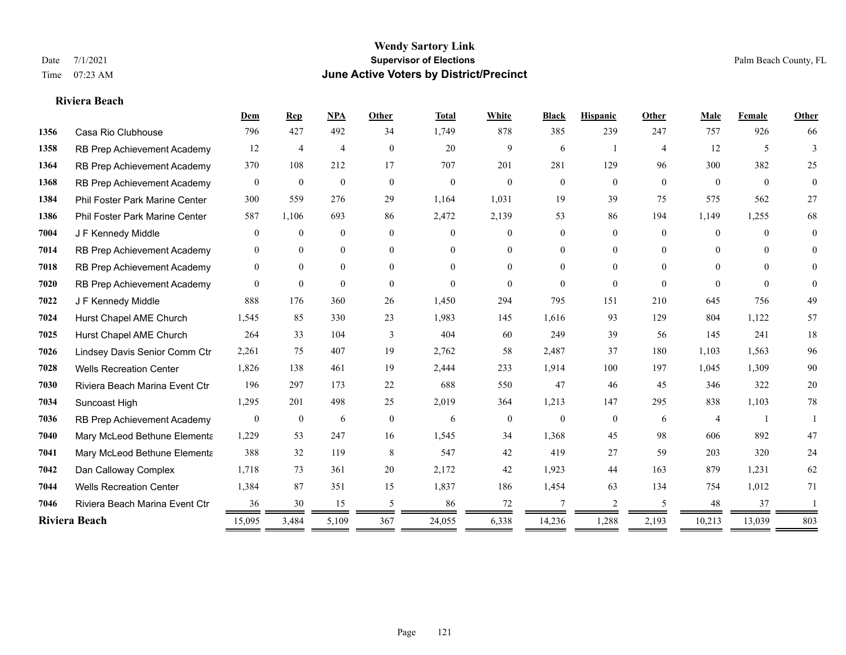#### **Riviera Beach**

|      |                                | Dem              | Rep              | <b>NPA</b>     | Other          | <b>Total</b> | White            | <b>Black</b>   | <b>Hispanic</b> | Other          | Male           | Female   | Other          |
|------|--------------------------------|------------------|------------------|----------------|----------------|--------------|------------------|----------------|-----------------|----------------|----------------|----------|----------------|
| 1356 | Casa Rio Clubhouse             | 796              | 427              | 492            | 34             | 1,749        | 878              | 385            | 239             | 247            | 757            | 926      | 66             |
| 1358 | RB Prep Achievement Academy    | 12               | 4                | $\overline{4}$ | $\overline{0}$ | 20           | 9                | 6              |                 | $\overline{4}$ | 12             | 5        | 3              |
| 1364 | RB Prep Achievement Academy    | 370              | 108              | 212            | 17             | 707          | 201              | 281            | 129             | 96             | 300            | 382      | 25             |
| 1368 | RB Prep Achievement Academy    | $\mathbf{0}$     | $\mathbf{0}$     | $\mathbf{0}$   | $\mathbf{0}$   | $\theta$     | $\overline{0}$   | $\mathbf{0}$   | $\mathbf{0}$    | $\mathbf{0}$   | $\overline{0}$ | $\theta$ | $\overline{0}$ |
| 1384 | Phil Foster Park Marine Center | 300              | 559              | 276            | 29             | 1,164        | 1,031            | 19             | 39              | 75             | 575            | 562      | 27             |
| 1386 | Phil Foster Park Marine Center | 587              | 1,106            | 693            | 86             | 2,472        | 2,139            | 53             | 86              | 194            | 1,149          | 1,255    | 68             |
| 7004 | J F Kennedy Middle             | $\mathbf{0}$     | $\mathbf{0}$     | $\mathbf{0}$   | $\overline{0}$ | $\Omega$     | $\overline{0}$   | $\overline{0}$ | $\overline{0}$  | $\Omega$       | $\overline{0}$ | $\theta$ | $\theta$       |
| 7014 | RB Prep Achievement Academy    | $\mathbf{0}$     | $\theta$         | $\mathbf{0}$   | $\overline{0}$ | $\Omega$     | $\overline{0}$   | 0              | $\overline{0}$  | $\Omega$       | $\theta$       | $\Omega$ | $\theta$       |
| 7018 | RB Prep Achievement Academy    | $\mathbf{0}$     | $\overline{0}$   | $\mathbf{0}$   | $\Omega$       | $\Omega$     | $\overline{0}$   | $\Omega$       | $\overline{0}$  | $\Omega$       | $\theta$       | $\Omega$ | $\Omega$       |
| 7020 | RB Prep Achievement Academy    | $\theta$         | $\theta$         | $\theta$       | $\theta$       | $\Omega$     | $\Omega$         | $\theta$       | $\Omega$        | $\theta$       | $\theta$       | $\theta$ | $\theta$       |
| 7022 | J F Kennedy Middle             | 888              | 176              | 360            | 26             | 1,450        | 294              | 795            | 151             | 210            | 645            | 756      | 49             |
| 7024 | Hurst Chapel AME Church        | 1,545            | 85               | 330            | 23             | 1,983        | 145              | 1,616          | 93              | 129            | 804            | 1,122    | 57             |
| 7025 | Hurst Chapel AME Church        | 264              | 33               | 104            | 3              | 404          | 60               | 249            | 39              | 56             | 145            | 241      | $18\,$         |
| 7026 | Lindsey Davis Senior Comm Ctr  | 2,261            | 75               | 407            | 19             | 2,762        | 58               | 2,487          | 37              | 180            | 1,103          | 1,563    | 96             |
| 7028 | <b>Wells Recreation Center</b> | 1,826            | 138              | 461            | 19             | 2,444        | 233              | 1,914          | 100             | 197            | 1,045          | 1,309    | 90             |
| 7030 | Riviera Beach Marina Event Ctr | 196              | 297              | 173            | 22             | 688          | 550              | 47             | 46              | 45             | 346            | 322      | $20\,$         |
| 7034 | Suncoast High                  | 1,295            | 201              | 498            | 25             | 2,019        | 364              | 1,213          | 147             | 295            | 838            | 1,103    | 78             |
| 7036 | RB Prep Achievement Academy    | $\boldsymbol{0}$ | $\boldsymbol{0}$ | 6              | $\mathbf{0}$   | 6            | $\boldsymbol{0}$ | $\mathbf{0}$   | $\overline{0}$  | 6              | $\overline{4}$ |          |                |
| 7040 | Mary McLeod Bethune Elementa   | 1,229            | 53               | 247            | 16             | 1,545        | 34               | 1,368          | 45              | 98             | 606            | 892      | 47             |
| 7041 | Mary McLeod Bethune Elementa   | 388              | 32               | 119            | 8              | 547          | 42               | 419            | 27              | 59             | 203            | 320      | 24             |
| 7042 | Dan Calloway Complex           | 1,718            | 73               | 361            | 20             | 2,172        | 42               | 1,923          | 44              | 163            | 879            | 1,231    | 62             |
| 7044 | <b>Wells Recreation Center</b> | 1,384            | 87               | 351            | 15             | 1,837        | 186              | 1,454          | 63              | 134            | 754            | 1,012    | 71             |
| 7046 | Riviera Beach Marina Event Ctr | 36               | 30               | 15             | 5              | 86           | 72               | 7              | 2               | .5             | 48             | 37       |                |
|      | Riviera Beach                  | 15,095           | 3,484            | 5,109          | 367            | 24,055       | 6,338            | 14,236         | 1,288           | 2,193          | 10,213         | 13,039   | 803            |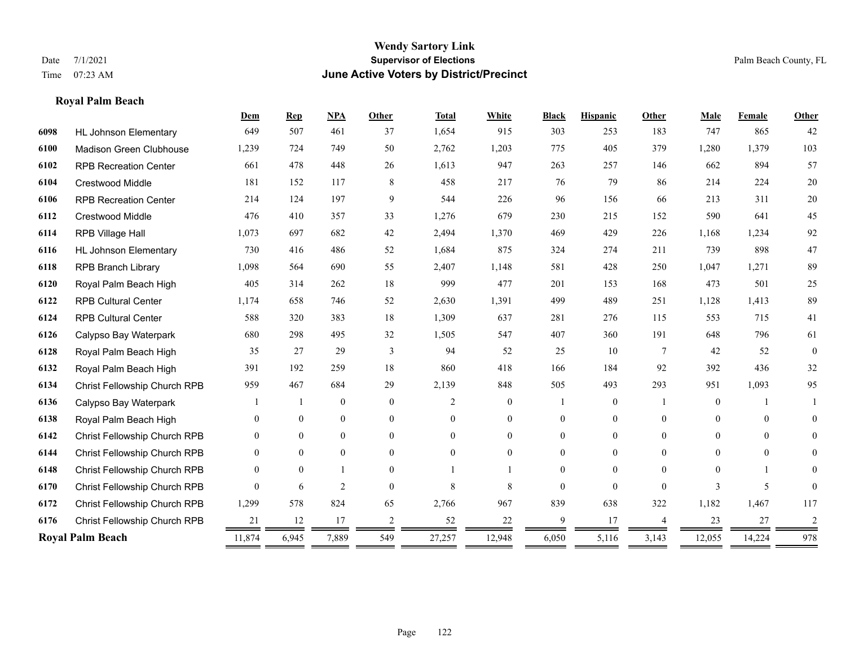**Royal Palm Beach**

#### **Wendy Sartory Link** Date 7/1/2021 **Supervisor of Elections** Palm Beach County, FL Time 07:23 AM **June Active Voters by District/Precinct**

# **Dem Rep NPA Other Total White Black Hispanic Other Male Female Other** HL Johnson Elementary 649 507 461 37 1,654 915 303 253 183 747 865 42 Madison Green Clubhouse 1,239 724 749 50 2,762 1,203 775 405 379 1,280 1,379 103 RPB Recreation Center 661 478 448 26 1,613 947 263 257 146 662 894 57 Crestwood Middle 181 152 117 8 458 217 76 79 86 214 224 20 RPB Recreation Center 214 124 197 9 544 226 96 156 66 213 311 20 Crestwood Middle 476 410 357 33 1,276 679 230 215 152 590 641 45 RPB Village Hall 1,073 697 682 42 2,494 1,370 469 429 226 1,168 1,234 92 HL Johnson Elementary 730 416 486 52 1,684 875 324 274 211 739 898 47 RPB Branch Library 1,098 564 690 55 2,407 1,148 581 428 250 1,047 1,271 89 Royal Palm Beach High 405 314 262 18 999 477 201 153 168 473 501 25 RPB Cultural Center 1,174 658 746 52 2,630 1,391 499 489 251 1,128 1,413 89 RPB Cultural Center 588 320 383 18 1,309 637 281 276 115 553 715 41 Calypso Bay Waterpark 680 298 495 32 1,505 547 407 360 191 648 796 61 Royal Palm Beach High 35 27 29 3 94 52 25 10 7 42 52 0 Royal Palm Beach High 391 192 259 18 860 418 166 184 92 392 436 32 Christ Fellowship Church RPB 959 467 684 29 2,139 848 505 493 293 951 1,093 95 Calypso Bay Waterpark 1 1 0 0 2 0 1 0 1 0 1 1 Royal Palm Beach High 0 0 0 0 0 0 0 0 0 0 0 0 Christ Fellowship Church RPB 0 0 0 0 0 0 0 0 0 0 0 0 Christ Fellowship Church RPB 0 0 0 0 0 0 0 0 0 0 0 0 Christ Fellowship Church RPB 0 0 1 0 1 1 0 0 0 0 1 0 Christ Fellowship Church RPB 0 6 2 0 8 8 0 0 0 3 5 0 Christ Fellowship Church RPB 1,299 578 824 65 2,766 967 839 638 322 1,182 1,467 117 Christ Fellowship Church RPB 21 12 17 2 52 22 9 17 4 23 27 2 **Royal Palm Beach** 11,874 6,945 7,889 549 27,257 12,948 6,050 5,116 3,143 12,055 14,224 978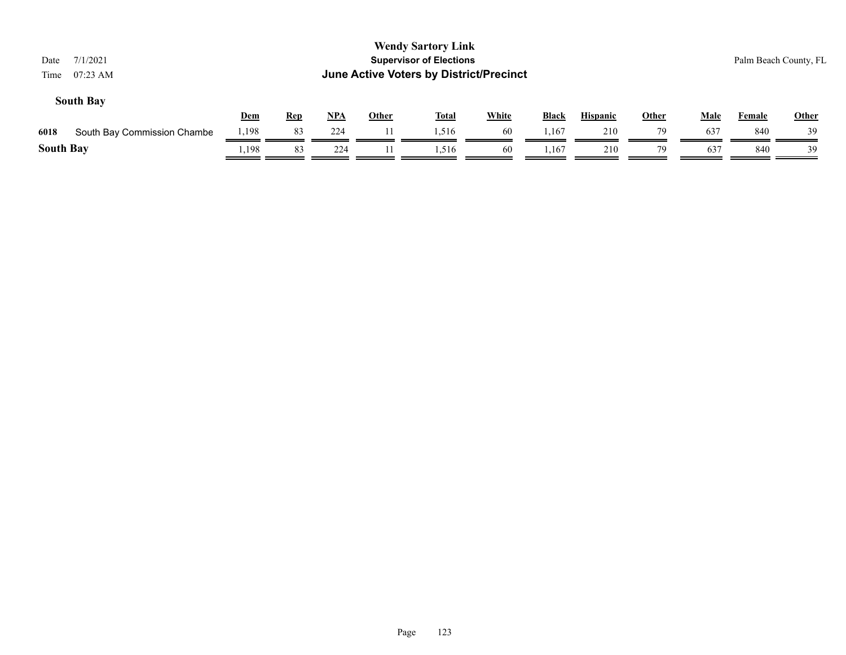| 7/1/2021<br>Date<br>07:23 AM<br>Time |            |            |            |              | <b>Wendy Sartory Link</b><br><b>Supervisor of Elections</b><br>June Active Voters by District/Precinct |              |       |                 |              |             |        | Palm Beach County, FL |
|--------------------------------------|------------|------------|------------|--------------|--------------------------------------------------------------------------------------------------------|--------------|-------|-----------------|--------------|-------------|--------|-----------------------|
| <b>South Bay</b>                     | <b>Dem</b> | <b>Rep</b> | <u>NPA</u> | <b>Other</b> | <b>Total</b>                                                                                           | <b>White</b> | Black | <b>Hispanic</b> | <b>Other</b> | <b>Male</b> | Female | <b>Other</b>          |
| 6018<br>South Bay Commission Chambe  | 1,198      | 83         | 224        | 11           | 1,516                                                                                                  | 60           | l,167 | 210             | 79           | 637         | 840    | 39                    |
| <b>South Bay</b>                     | 1,198      | 83         | 224        |              | 1,516                                                                                                  | 60           | 1,167 | 210             | 79           | 637         | 840    | 39                    |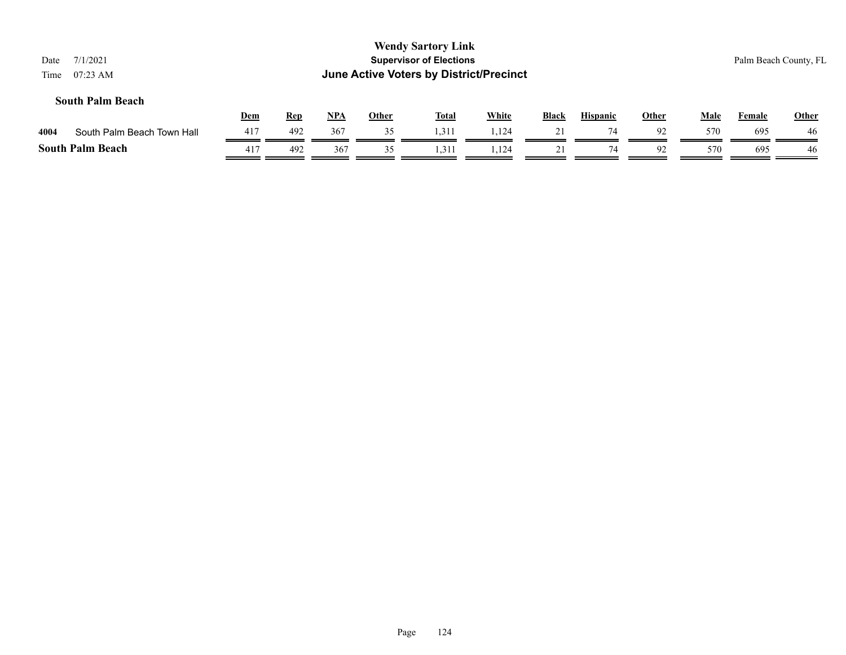| 7/1/2021<br>Date<br>$07:23 \text{ AM}$<br>Time |     |            |            |              | <b>Wendy Sartory Link</b><br><b>Supervisor of Elections</b><br><b>June Active Voters by District/Precinct</b> |              |              |                 |              |             |               | Palm Beach County, FL |
|------------------------------------------------|-----|------------|------------|--------------|---------------------------------------------------------------------------------------------------------------|--------------|--------------|-----------------|--------------|-------------|---------------|-----------------------|
| <b>South Palm Beach</b>                        | Dem | <u>Rep</u> | <u>NPA</u> | <b>Other</b> | <u>Total</u>                                                                                                  | <b>White</b> | <b>Black</b> | <b>Hispanic</b> | <b>Other</b> | <b>Male</b> | <b>Female</b> | <b>Other</b>          |
| South Palm Beach Town Hall<br>4004             | 417 | 492        | 367        | 35           | 1,311                                                                                                         | 1,124        | 21           | 74              | 92           | 570         | 695           | 46                    |
| <b>South Palm Beach</b>                        | 417 | 492        | 367        | 35           | 1,311                                                                                                         | 1.124        | 21           | 74              | 92           | 570         | 695           | 46                    |

# Page 124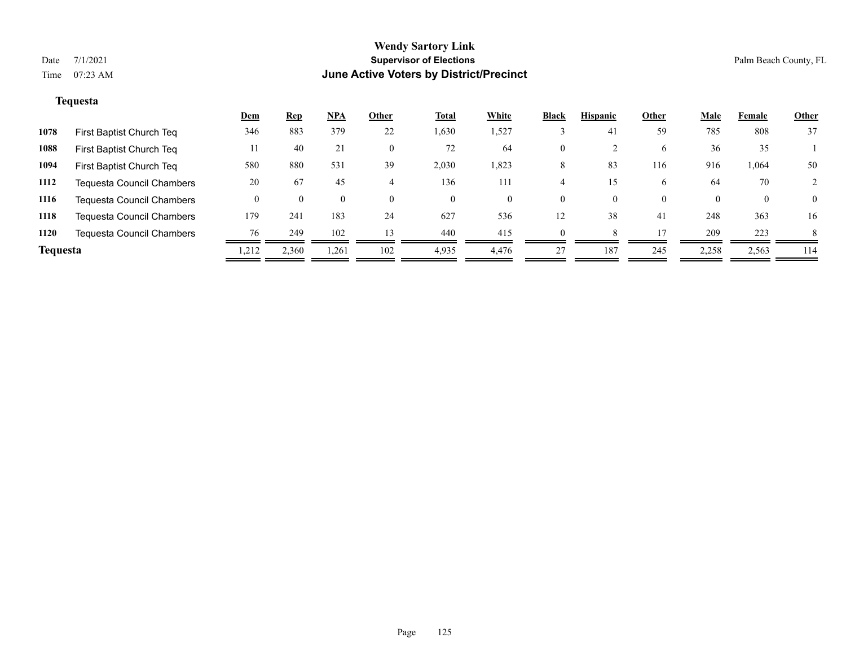# **Tequesta**

|                 |                                  | <u>Dem</u> | <b>Rep</b> | NPA      | Other          | <b>Total</b> | White | <b>Black</b> | <b>Hispanic</b> | Other    | <b>Male</b> | Female   | <b>Other</b> |
|-----------------|----------------------------------|------------|------------|----------|----------------|--------------|-------|--------------|-----------------|----------|-------------|----------|--------------|
| 1078            | First Baptist Church Teq         | 346        | 883        | 379      | 22             | 1,630        | 1,527 |              | 4 <sub>i</sub>  | 59       | 785         | 808      | 37           |
| 1088            | First Baptist Church Teq         | 11         | 40         | 21       | $\overline{0}$ | 72           | 64    | 0            |                 | 6        | 36          | 35       |              |
| 1094            | First Baptist Church Teq         | 580        | 880        | 531      | 39             | 2,030        | 1,823 | 8            | 83              | 116      | 916         | 1,064    | 50           |
| 1112            | Tequesta Council Chambers        | 20         | 67         | 45       |                | 136          | 111   |              | 15              | 6        | 64          | 70       |              |
| 1116            | <b>Tequesta Council Chambers</b> |            | $\theta$   | $\theta$ | $\theta$       | $\theta$     | 0     | 0            | 0               | $\theta$ | $\Omega$    | $\theta$ | $\theta$     |
| 1118            | <b>Tequesta Council Chambers</b> | 179        | 241        | 183      | 24             | 627          | 536   | 12           | 38              | 41       | 248         | 363      | 16           |
| 1120            | <b>Tequesta Council Chambers</b> | 76         | 249        | 102      | 13             | 440          | 415   |              |                 |          | 209         | 223      | 8            |
| <b>Tequesta</b> |                                  | 1,212      | 2,360      | 1,261    | 102            | 4,935        | 4.476 | 27           | 187             | 245      | 2,258       | 2,563    | 114          |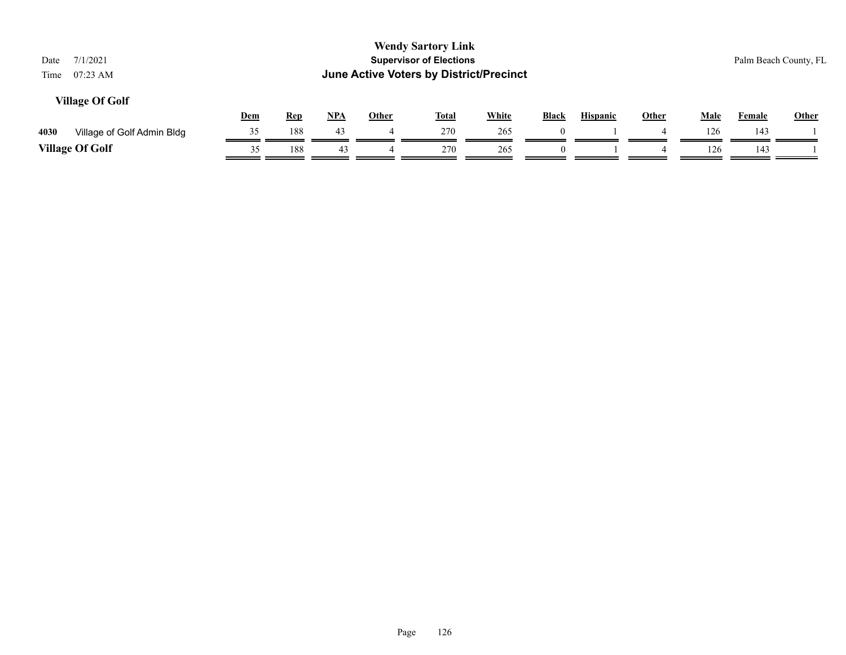| 7/1/2021<br>Date<br>$07:23 \text{ AM}$<br>Time |     |            |       |              | <b>Wendy Sartory Link</b><br><b>Supervisor of Elections</b><br><b>June Active Voters by District/Precinct</b> |              |              |                 |              |             | Palm Beach County, FL |              |
|------------------------------------------------|-----|------------|-------|--------------|---------------------------------------------------------------------------------------------------------------|--------------|--------------|-----------------|--------------|-------------|-----------------------|--------------|
| <b>Village Of Golf</b>                         | Dem | <b>Rep</b> | $NPA$ | <b>Other</b> | <b>Total</b>                                                                                                  | <b>White</b> | <b>Black</b> | <b>Hispanic</b> | <b>Other</b> | <b>Male</b> | <b>Female</b>         | <b>Other</b> |
| 4030<br>Village of Golf Admin Bldg             | 35  | 188        | 43    |              | 270                                                                                                           | 265          | $\theta$     |                 | 4            | 126         | 143                   |              |
| <b>Village Of Golf</b>                         | 35  | 188        | 43    |              | 270                                                                                                           | 265          | $\Omega$     |                 | 4            | 126         | 143                   |              |
|                                                |     |            |       |              |                                                                                                               |              |              |                 |              |             |                       |              |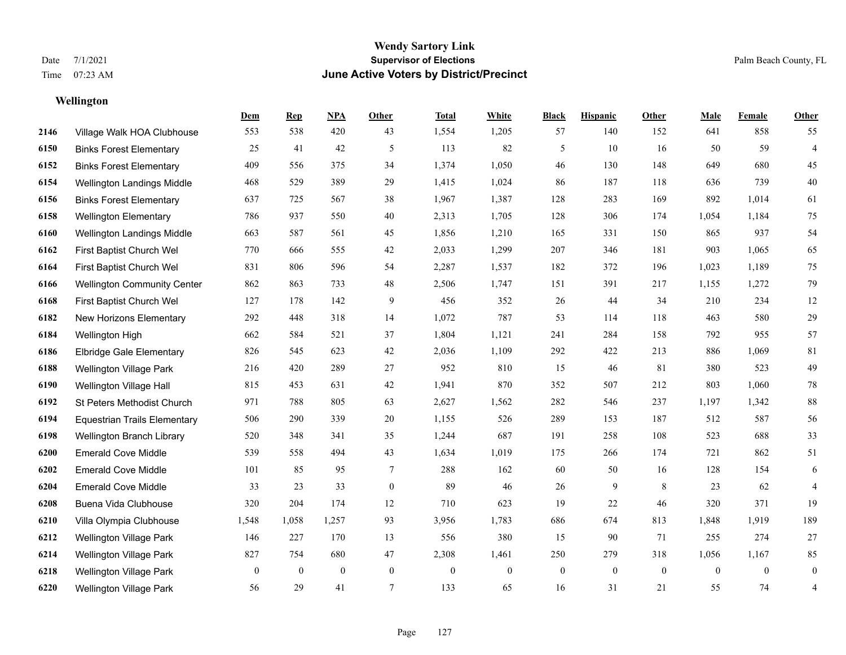# **Wellington**

|      |                                     | Dem          | <b>Rep</b>       | NPA              | <b>Other</b> | <b>Total</b> | <b>White</b> | <b>Black</b>     | <b>Hispanic</b> | <b>Other</b>     | <b>Male</b>    | Female         | <b>Other</b>     |
|------|-------------------------------------|--------------|------------------|------------------|--------------|--------------|--------------|------------------|-----------------|------------------|----------------|----------------|------------------|
| 2146 | Village Walk HOA Clubhouse          | 553          | 538              | 420              | 43           | 1,554        | 1,205        | 57               | 140             | 152              | 641            | 858            | 55               |
| 6150 | <b>Binks Forest Elementary</b>      | 25           | 41               | 42               | 5            | 113          | 82           | 5                | 10              | 16               | 50             | 59             | $\overline{4}$   |
| 6152 | <b>Binks Forest Elementary</b>      | 409          | 556              | 375              | 34           | 1,374        | 1,050        | 46               | 130             | 148              | 649            | 680            | 45               |
| 6154 | Wellington Landings Middle          | 468          | 529              | 389              | 29           | 1,415        | 1,024        | 86               | 187             | 118              | 636            | 739            | $40\,$           |
| 6156 | <b>Binks Forest Elementary</b>      | 637          | 725              | 567              | 38           | 1,967        | 1,387        | 128              | 283             | 169              | 892            | 1,014          | 61               |
| 6158 | <b>Wellington Elementary</b>        | 786          | 937              | 550              | 40           | 2,313        | 1,705        | 128              | 306             | 174              | 1,054          | 1,184          | 75               |
| 6160 | Wellington Landings Middle          | 663          | 587              | 561              | 45           | 1,856        | 1,210        | 165              | 331             | 150              | 865            | 937            | 54               |
| 6162 | First Baptist Church Wel            | 770          | 666              | 555              | 42           | 2,033        | 1,299        | 207              | 346             | 181              | 903            | 1,065          | 65               |
| 6164 | First Baptist Church Wel            | 831          | 806              | 596              | 54           | 2,287        | 1,537        | 182              | 372             | 196              | 1,023          | 1,189          | 75               |
| 6166 | <b>Wellington Community Center</b>  | 862          | 863              | 733              | 48           | 2,506        | 1,747        | 151              | 391             | 217              | 1,155          | 1,272          | 79               |
| 6168 | First Baptist Church Wel            | 127          | 178              | 142              | 9            | 456          | 352          | 26               | 44              | 34               | 210            | 234            | 12               |
| 6182 | New Horizons Elementary             | 292          | 448              | 318              | 14           | 1,072        | 787          | 53               | 114             | 118              | 463            | 580            | $29\,$           |
| 6184 | Wellington High                     | 662          | 584              | 521              | 37           | 1,804        | 1,121        | 241              | 284             | 158              | 792            | 955            | 57               |
| 6186 | Elbridge Gale Elementary            | 826          | 545              | 623              | 42           | 2,036        | 1,109        | 292              | 422             | 213              | 886            | 1,069          | $81\,$           |
| 6188 | Wellington Village Park             | 216          | 420              | 289              | 27           | 952          | 810          | 15               | 46              | 81               | 380            | 523            | 49               |
| 6190 | Wellington Village Hall             | 815          | 453              | 631              | 42           | 1,941        | 870          | 352              | 507             | 212              | 803            | 1,060          | $78\,$           |
| 6192 | St Peters Methodist Church          | 971          | 788              | 805              | 63           | 2,627        | 1,562        | 282              | 546             | 237              | 1,197          | 1,342          | $88\,$           |
| 6194 | <b>Equestrian Trails Elementary</b> | 506          | 290              | 339              | 20           | 1,155        | 526          | 289              | 153             | 187              | 512            | 587            | 56               |
| 6198 | Wellington Branch Library           | 520          | 348              | 341              | 35           | 1,244        | 687          | 191              | 258             | 108              | 523            | 688            | 33               |
| 6200 | <b>Emerald Cove Middle</b>          | 539          | 558              | 494              | 43           | 1,634        | 1,019        | 175              | 266             | 174              | 721            | 862            | 51               |
| 6202 | <b>Emerald Cove Middle</b>          | 101          | 85               | 95               | $\tau$       | 288          | 162          | 60               | 50              | 16               | 128            | 154            | 6                |
| 6204 | <b>Emerald Cove Middle</b>          | 33           | 23               | 33               | $\mathbf{0}$ | 89           | 46           | 26               | 9               | 8                | 23             | 62             | 4                |
| 6208 | Buena Vida Clubhouse                | 320          | 204              | 174              | 12           | 710          | 623          | 19               | 22              | 46               | 320            | 371            | 19               |
| 6210 | Villa Olympia Clubhouse             | 1,548        | 1,058            | 1,257            | 93           | 3,956        | 1,783        | 686              | 674             | 813              | 1,848          | 1,919          | 189              |
| 6212 | Wellington Village Park             | 146          | 227              | 170              | 13           | 556          | 380          | 15               | 90              | 71               | 255            | 274            | 27               |
| 6214 | Wellington Village Park             | 827          | 754              | 680              | 47           | 2,308        | 1,461        | 250              | 279             | 318              | 1,056          | 1,167          | 85               |
| 6218 | Wellington Village Park             | $\mathbf{0}$ | $\boldsymbol{0}$ | $\boldsymbol{0}$ | $\mathbf{0}$ | $\theta$     | $\mathbf{0}$ | $\boldsymbol{0}$ | $\mathbf{0}$    | $\boldsymbol{0}$ | $\overline{0}$ | $\overline{0}$ | $\boldsymbol{0}$ |
| 6220 | <b>Wellington Village Park</b>      | 56           | 29               | 41               | 7            | 133          | 65           | 16               | 31              | 21               | 55             | 74             | $\overline{4}$   |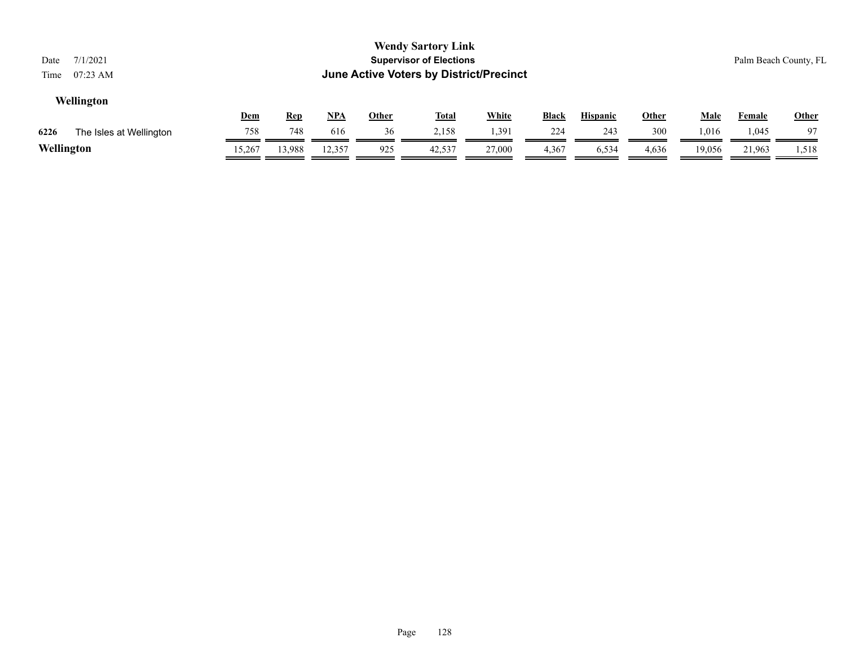| <b>June Active Voters by District/Precinct</b><br>$07:23$ AM<br>Time                                                                              |                 |
|---------------------------------------------------------------------------------------------------------------------------------------------------|-----------------|
| Wellington<br><b>White</b><br>NPA<br>Dem<br>Other<br><b>Black</b><br><b>Other</b><br><b>Hispanic</b><br><u>Male</u><br><u>Total</u><br><u>Rep</u> | Other<br>Female |
| 748<br>2,158<br>1,391<br>300<br>36<br>243<br>758<br>616<br>1.016<br>224<br>6226<br>The Isles at Wellington                                        | 1,045<br>97     |
| Wellington<br>925<br>13,988<br>12,357<br>42,537<br>27,000<br>4,367<br>6,534<br>15,267<br>4,636<br>19,056                                          | 21,963<br>1,518 |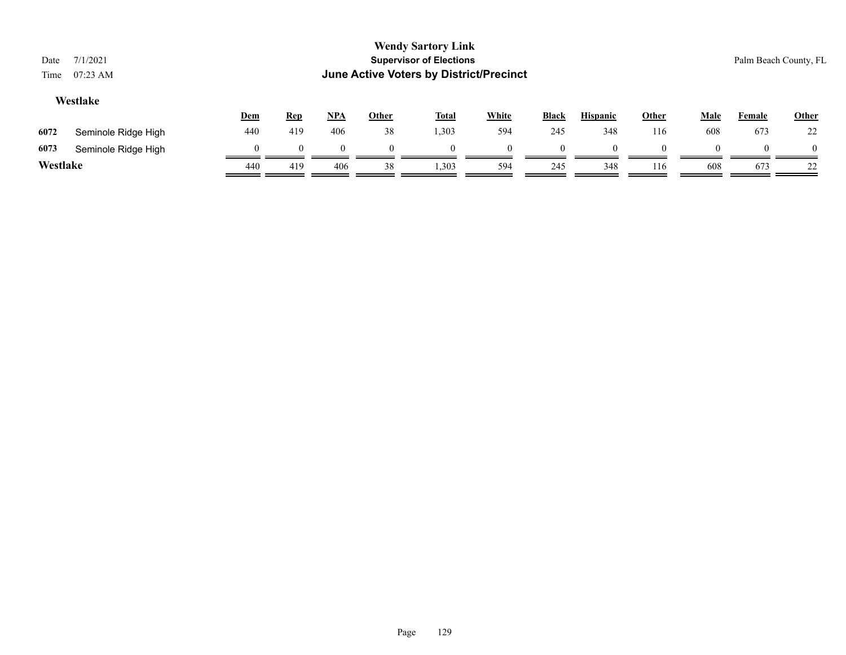| Date<br>Time | 7/1/2021<br>$07:23 \text{ AM}$ |          |            |            |              | <b>Wendy Sartory Link</b><br><b>Supervisor of Elections</b><br><b>June Active Voters by District/Precinct</b> |              |              |                 |          |             |               | Palm Beach County, FL |
|--------------|--------------------------------|----------|------------|------------|--------------|---------------------------------------------------------------------------------------------------------------|--------------|--------------|-----------------|----------|-------------|---------------|-----------------------|
|              | Westlake                       | Dem      | <b>Rep</b> | <u>NPA</u> | <b>Other</b> | <b>Total</b>                                                                                                  | <b>White</b> | <b>Black</b> | <b>Hispanic</b> | Other    | <b>Male</b> | <b>Female</b> | <b>Other</b>          |
| 6072         | Seminole Ridge High            | 440      | 419        | 406        | 38           | 1,303                                                                                                         | 594          | 245          | 348             | 116      | 608         | 673           | 22                    |
| 6073         | Seminole Ridge High            | $\Omega$ | $\Omega$   | $\Omega$   |              | $\Omega$                                                                                                      |              | $\Omega$     |                 | $\Omega$ |             |               | $\Omega$              |
| Westlake     |                                | 440      | 419        | 406        | 38           | 1,303                                                                                                         | 594          | 245          | 348             | 116      | 608         | 673           | 22                    |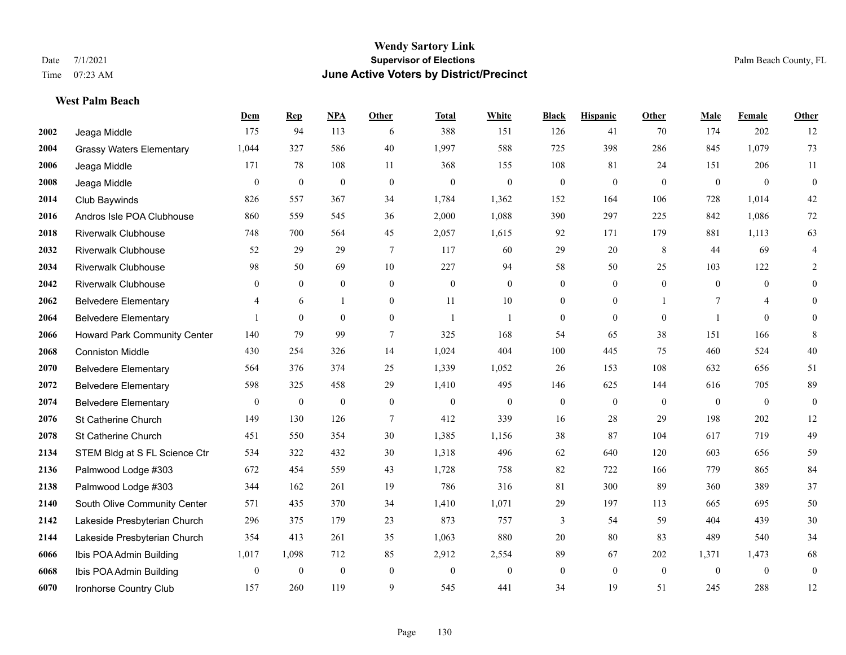#### **West Palm Beach**

|      |                                 | Dem              | <b>Rep</b>       | NPA              | <b>Other</b>     | <b>Total</b>   | <b>White</b>     | <b>Black</b>     | <b>Hispanic</b>  | <b>Other</b>   | <b>Male</b>  | Female         | <b>Other</b>     |
|------|---------------------------------|------------------|------------------|------------------|------------------|----------------|------------------|------------------|------------------|----------------|--------------|----------------|------------------|
| 2002 | Jeaga Middle                    | 175              | 94               | 113              | 6                | 388            | 151              | 126              | 41               | 70             | 174          | 202            | 12               |
| 2004 | <b>Grassy Waters Elementary</b> | 1,044            | 327              | 586              | 40               | 1,997          | 588              | 725              | 398              | 286            | 845          | 1,079          | 73               |
| 2006 | Jeaga Middle                    | 171              | 78               | 108              | 11               | 368            | 155              | 108              | 81               | 24             | 151          | 206            | 11               |
| 2008 | Jeaga Middle                    | $\mathbf{0}$     | $\boldsymbol{0}$ | $\mathbf{0}$     | $\mathbf{0}$     | $\mathbf{0}$   | $\boldsymbol{0}$ | $\boldsymbol{0}$ | $\mathbf{0}$     | $\mathbf{0}$   | $\mathbf{0}$ | $\mathbf{0}$   | $\boldsymbol{0}$ |
| 2014 | Club Baywinds                   | 826              | 557              | 367              | 34               | 1,784          | 1,362            | 152              | 164              | 106            | 728          | 1,014          | $42\,$           |
| 2016 | Andros Isle POA Clubhouse       | 860              | 559              | 545              | 36               | 2,000          | 1,088            | 390              | 297              | 225            | 842          | 1,086          | $72\,$           |
| 2018 | <b>Riverwalk Clubhouse</b>      | 748              | 700              | 564              | 45               | 2,057          | 1,615            | 92               | 171              | 179            | 881          | 1,113          | 63               |
| 2032 | <b>Riverwalk Clubhouse</b>      | 52               | 29               | 29               | $\tau$           | 117            | 60               | 29               | 20               | 8              | 44           | 69             | 4                |
| 2034 | <b>Riverwalk Clubhouse</b>      | 98               | 50               | 69               | 10               | 227            | 94               | 58               | 50               | 25             | 103          | 122            | 2                |
| 2042 | <b>Riverwalk Clubhouse</b>      | $\mathbf{0}$     | $\mathbf{0}$     | $\mathbf{0}$     | $\overline{0}$   | $\theta$       | $\overline{0}$   | $\mathbf{0}$     | $\mathbf{0}$     | $\overline{0}$ | $\theta$     | $\theta$       | $\mathbf{0}$     |
| 2062 | <b>Belvedere Elementary</b>     | 4                | 6                | $\mathbf{1}$     | $\theta$         | 11             | 10               | $\mathbf{0}$     | $\theta$         | $\overline{1}$ | 7            | $\overline{4}$ | $\theta$         |
| 2064 | <b>Belvedere Elementary</b>     |                  | $\mathbf{0}$     | $\theta$         | $\overline{0}$   | $\overline{1}$ | 1                | $\boldsymbol{0}$ | $\mathbf{0}$     | $\overline{0}$ | -1           | $\theta$       | $\theta$         |
| 2066 | Howard Park Community Center    | 140              | 79               | 99               | $\tau$           | 325            | 168              | 54               | 65               | 38             | 151          | 166            | 8                |
| 2068 | <b>Conniston Middle</b>         | 430              | 254              | 326              | 14               | 1,024          | 404              | 100              | 445              | 75             | 460          | 524            | $40\,$           |
| 2070 | <b>Belvedere Elementary</b>     | 564              | 376              | 374              | 25               | 1,339          | 1,052            | 26               | 153              | 108            | 632          | 656            | 51               |
| 2072 | <b>Belvedere Elementary</b>     | 598              | 325              | 458              | 29               | 1,410          | 495              | 146              | 625              | 144            | 616          | 705            | 89               |
| 2074 | <b>Belvedere Elementary</b>     | $\boldsymbol{0}$ | $\boldsymbol{0}$ | $\boldsymbol{0}$ | $\boldsymbol{0}$ | $\mathbf{0}$   | $\boldsymbol{0}$ | $\boldsymbol{0}$ | $\boldsymbol{0}$ | $\mathbf{0}$   | $\mathbf{0}$ | $\mathbf{0}$   | $\boldsymbol{0}$ |
| 2076 | St Catherine Church             | 149              | 130              | 126              | 7                | 412            | 339              | 16               | 28               | 29             | 198          | 202            | 12               |
| 2078 | St Catherine Church             | 451              | 550              | 354              | 30               | 1,385          | 1,156            | 38               | 87               | 104            | 617          | 719            | 49               |
| 2134 | STEM Bldg at S FL Science Ctr   | 534              | 322              | 432              | 30               | 1,318          | 496              | 62               | 640              | 120            | 603          | 656            | 59               |
| 2136 | Palmwood Lodge #303             | 672              | 454              | 559              | 43               | 1,728          | 758              | 82               | 722              | 166            | 779          | 865            | 84               |
| 2138 | Palmwood Lodge #303             | 344              | 162              | 261              | 19               | 786            | 316              | 81               | 300              | 89             | 360          | 389            | 37               |
| 2140 | South Olive Community Center    | 571              | 435              | 370              | 34               | 1,410          | 1,071            | 29               | 197              | 113            | 665          | 695            | $50\,$           |
| 2142 | Lakeside Presbyterian Church    | 296              | 375              | 179              | 23               | 873            | 757              | 3                | 54               | 59             | 404          | 439            | $30\,$           |
| 2144 | Lakeside Presbyterian Church    | 354              | 413              | 261              | 35               | 1,063          | 880              | 20               | 80               | 83             | 489          | 540            | 34               |
| 6066 | Ibis POA Admin Building         | 1,017            | 1,098            | 712              | 85               | 2,912          | 2,554            | 89               | 67               | 202            | 1,371        | 1,473          | 68               |
| 6068 | Ibis POA Admin Building         | $\mathbf{0}$     | $\boldsymbol{0}$ | $\boldsymbol{0}$ | $\mathbf{0}$     | $\theta$       | $\overline{0}$   | $\boldsymbol{0}$ | $\mathbf{0}$     | $\mathbf{0}$   | $\mathbf{0}$ | $\mathbf{0}$   | $\boldsymbol{0}$ |
| 6070 | Ironhorse Country Club          | 157              | 260              | 119              | 9                | 545            | 441              | 34               | 19               | 51             | 245          | 288            | 12               |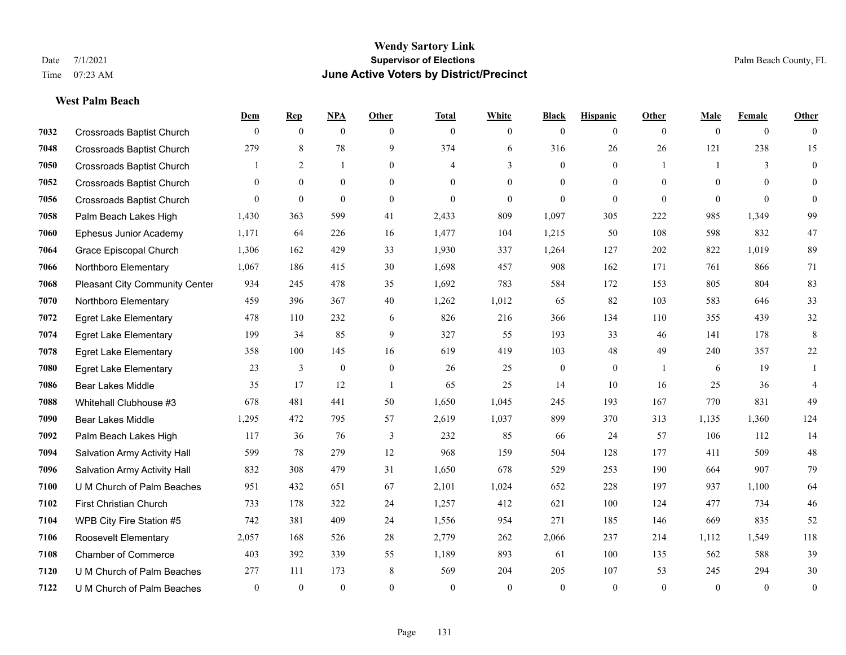**West Palm Beach**

#### **Wendy Sartory Link** Date 7/1/2021 **Supervisor of Elections** Palm Beach County, FL Time 07:23 AM **June Active Voters by District/Precinct**

# **Dem Rep NPA Other Total White Black Hispanic Other Male Female Other** Crossroads Baptist Church 0 0 0 0 0 0 0 0 0 0 0 0 Crossroads Baptist Church 279 8 78 9 374 6 316 26 26 121 238 15 Crossroads Baptist Church 1 2 1 0 4 3 0 1 1 3 0 Crossroads Baptist Church 0 0 0 0 0 0 0 0 0 0 0 0 Crossroads Baptist Church 0 0 0 0 0 0 0 0 0 0 0 0 Palm Beach Lakes High 1,430 363 599 41 2,433 809 1,097 305 222 985 1,349 99 Ephesus Junior Academy 1,171 64 226 16 1,477 104 1,215 50 108 598 832 47 Grace Episcopal Church 1,306 162 429 33 1,930 337 1,264 127 202 822 1,019 89 Northboro Elementary 1,067 186 415 30 1,698 457 908 162 171 761 866 71 Pleasant City Community Center 934 245 478 35 1,692 783 584 172 153 805 804 83 Northboro Elementary 459 396 367 40 1,262 1,012 65 82 103 583 646 33 Egret Lake Elementary 478 110 232 6 826 216 366 134 110 355 439 32 Egret Lake Elementary 199 34 85 9 327 55 193 33 46 141 178 8 Egret Lake Elementary 358 100 145 16 619 419 103 48 49 240 357 22 Egret Lake Elementary 23 3 0 0 26 25 0 0 1 6 19 1 Bear Lakes Middle 35 17 12 1 65 25 14 10 16 25 36 4 Whitehall Clubhouse #3 678 481 441 50 1,650 1,045 245 193 167 770 831 49 Bear Lakes Middle 1,295 472 795 57 2,619 1,037 899 370 313 1,135 1,360 124 Palm Beach Lakes High 117 36 76 3 232 85 66 24 57 106 112 14 Salvation Army Activity Hall 599 78 279 12 968 159 504 128 177 411 509 48 Salvation Army Activity Hall 832 308 479 31 1,650 678 529 253 190 664 907 79 U M Church of Palm Beaches 951 432 651 67 2,101 1,024 652 228 197 937 1,100 64 First Christian Church 733 178 322 24 1,257 412 621 100 124 477 734 46 WPB City Fire Station #5 742 381 409 24 1,556 954 271 185 146 669 835 52 Roosevelt Elementary 2,057 168 526 28 2,779 262 2,066 237 214 1,112 1,549 118 Chamber of Commerce 403 392 339 55 1,189 893 61 100 135 562 588 39 U M Church of Palm Beaches 277 111 173 8 569 204 205 107 53 245 294 30 U M Church of Palm Beaches 0 0 0 0 0 0 0 0 0 0 0 0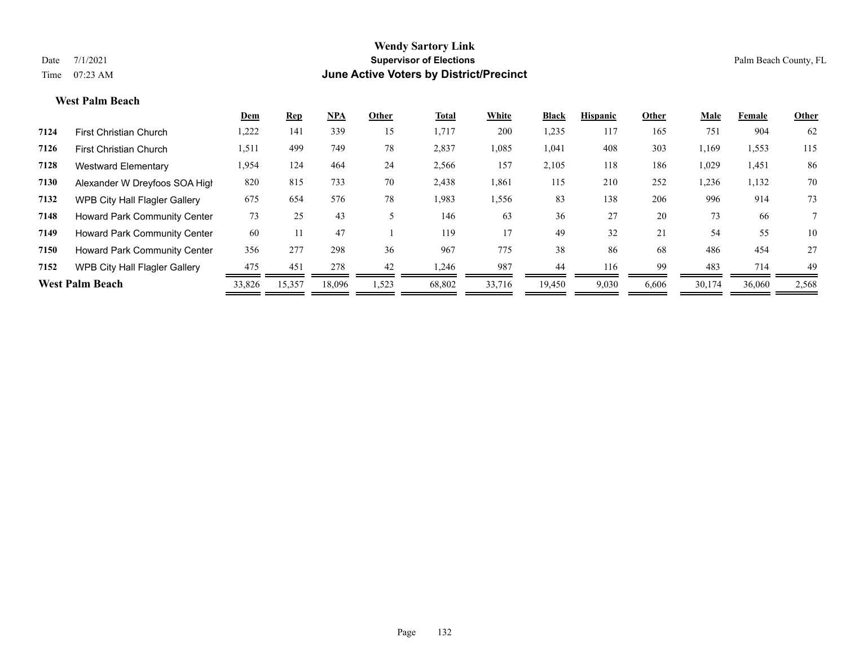#### **West Palm Beach**

|                                     | Dem                    | <b>Rep</b> | <b>NPA</b> | Other | Total  | White  | <b>Black</b> | <b>Hispanic</b> | Other | Male   | Female | Other |
|-------------------------------------|------------------------|------------|------------|-------|--------|--------|--------------|-----------------|-------|--------|--------|-------|
| <b>First Christian Church</b>       | 1,222                  | 141        | 339        | 15    | 1,717  | 200    | 1,235        | 117             | 165   | 751    | 904    | 62    |
| <b>First Christian Church</b>       | 1,511                  | 499        | 749        | 78    | 2,837  | 1,085  | 1,041        | 408             | 303   | 1,169  | 1,553  | 115   |
| <b>Westward Elementary</b>          | 1,954                  | 124        | 464        | 24    | 2,566  | 157    | 2,105        | 118             | 186   | 1,029  | 1,451  | 86    |
| Alexander W Dreyfoos SOA High       | 820                    | 815        | 733        | 70    | 2,438  | 1,861  | 115          | 210             | 252   | 1,236  | 1,132  | 70    |
| WPB City Hall Flagler Gallery       | 675                    | 654        | 576        | 78    | 1,983  | 1,556  | 83           | 138             | 206   | 996    | 914    | 73    |
| <b>Howard Park Community Center</b> | 73                     | 25         | 43         |       | 146    | 63     | 36           | 27              | 20    | 73     | 66     | 7     |
| <b>Howard Park Community Center</b> | 60                     |            | 47         |       | 119    | 17     | 49           | 32              | 21    | 54     | 55     | 10    |
| Howard Park Community Center        | 356                    | 277        | 298        | 36    | 967    | 775    | 38           | 86              | 68    | 486    | 454    | 27    |
| WPB City Hall Flagler Gallery       | 475                    | 451        | 278        | 42    | 1,246  | 987    | 44           | 116             | 99    | 483    | 714    | 49    |
|                                     | 33,826                 | 15,357     | 18,096     | 1,523 | 68,802 | 33,716 | 19,450       | 9,030           | 6,606 | 30,174 | 36,060 | 2,568 |
|                                     | <b>West Palm Beach</b> |            |            |       |        |        |              |                 |       |        |        |       |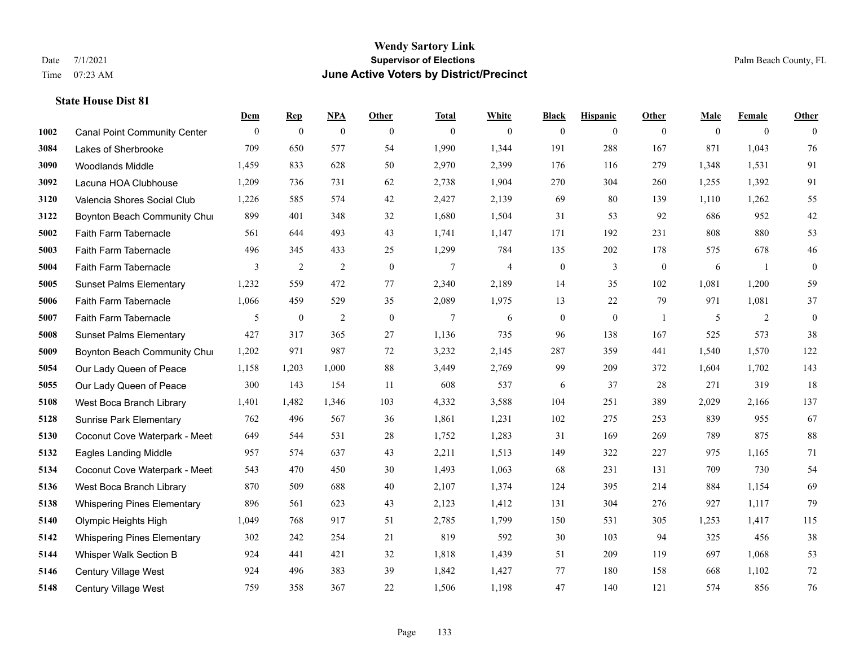|      |                                     | Dem          | <b>Rep</b>       | NPA              | <b>Other</b> | <b>Total</b> | <b>White</b>   | <b>Black</b>     | <b>Hispanic</b>  | <b>Other</b>   | <b>Male</b> | <b>Female</b>  | <b>Other</b> |
|------|-------------------------------------|--------------|------------------|------------------|--------------|--------------|----------------|------------------|------------------|----------------|-------------|----------------|--------------|
| 1002 | <b>Canal Point Community Center</b> | $\mathbf{0}$ | $\boldsymbol{0}$ | $\boldsymbol{0}$ | $\theta$     | $\mathbf{0}$ | $\overline{0}$ | $\overline{0}$   | $\overline{0}$   | $\overline{0}$ | $\theta$    | $\overline{0}$ | $\Omega$     |
| 3084 | Lakes of Sherbrooke                 | 709          | 650              | 577              | 54           | 1,990        | 1,344          | 191              | 288              | 167            | 871         | 1,043          | 76           |
| 3090 | <b>Woodlands Middle</b>             | 1,459        | 833              | 628              | 50           | 2,970        | 2,399          | 176              | 116              | 279            | 1,348       | 1,531          | 91           |
| 3092 | Lacuna HOA Clubhouse                | 1,209        | 736              | 731              | 62           | 2,738        | 1,904          | 270              | 304              | 260            | 1,255       | 1,392          | 91           |
| 3120 | Valencia Shores Social Club         | 1,226        | 585              | 574              | 42           | 2,427        | 2,139          | 69               | 80               | 139            | 1,110       | 1,262          | 55           |
| 3122 | Boynton Beach Community Chur        | 899          | 401              | 348              | 32           | 1,680        | 1,504          | 31               | 53               | 92             | 686         | 952            | $42\,$       |
| 5002 | Faith Farm Tabernacle               | 561          | 644              | 493              | 43           | 1,741        | 1,147          | 171              | 192              | 231            | 808         | 880            | 53           |
| 5003 | Faith Farm Tabernacle               | 496          | 345              | 433              | 25           | 1,299        | 784            | 135              | 202              | 178            | 575         | 678            | 46           |
| 5004 | Faith Farm Tabernacle               | 3            | $\sqrt{2}$       | $\sqrt{2}$       | $\mathbf{0}$ | $\tau$       | $\overline{4}$ | $\boldsymbol{0}$ | $\mathfrak{Z}$   | $\mathbf{0}$   | 6           | -1             | $\mathbf{0}$ |
| 5005 | <b>Sunset Palms Elementary</b>      | 1,232        | 559              | 472              | 77           | 2,340        | 2,189          | 14               | 35               | 102            | 1,081       | 1,200          | 59           |
| 5006 | Faith Farm Tabernacle               | 1,066        | 459              | 529              | 35           | 2,089        | 1,975          | 13               | 22               | 79             | 971         | 1,081          | 37           |
| 5007 | Faith Farm Tabernacle               | 5            | $\boldsymbol{0}$ | $\overline{2}$   | $\mathbf{0}$ | $\tau$       | 6              | $\boldsymbol{0}$ | $\boldsymbol{0}$ | -1             | 5           | 2              | $\mathbf{0}$ |
| 5008 | <b>Sunset Palms Elementary</b>      | 427          | 317              | 365              | 27           | 1,136        | 735            | 96               | 138              | 167            | 525         | 573            | 38           |
| 5009 | Boynton Beach Community Chur        | 1,202        | 971              | 987              | $72\,$       | 3,232        | 2,145          | 287              | 359              | 441            | 1,540       | 1,570          | 122          |
| 5054 | Our Lady Queen of Peace             | 1,158        | 1,203            | 1,000            | 88           | 3,449        | 2,769          | 99               | 209              | 372            | 1,604       | 1,702          | 143          |
| 5055 | Our Lady Queen of Peace             | 300          | 143              | 154              | 11           | 608          | 537            | 6                | 37               | 28             | 271         | 319            | 18           |
| 5108 | West Boca Branch Library            | 1,401        | 1,482            | 1,346            | 103          | 4,332        | 3,588          | 104              | 251              | 389            | 2,029       | 2,166          | 137          |
| 5128 | <b>Sunrise Park Elementary</b>      | 762          | 496              | 567              | 36           | 1,861        | 1,231          | 102              | 275              | 253            | 839         | 955            | 67           |
| 5130 | Coconut Cove Waterpark - Meet       | 649          | 544              | 531              | 28           | 1,752        | 1,283          | 31               | 169              | 269            | 789         | 875            | $88\,$       |
| 5132 | Eagles Landing Middle               | 957          | 574              | 637              | 43           | 2,211        | 1,513          | 149              | 322              | 227            | 975         | 1,165          | 71           |
| 5134 | Coconut Cove Waterpark - Meet       | 543          | 470              | 450              | 30           | 1,493        | 1,063          | 68               | 231              | 131            | 709         | 730            | 54           |
| 5136 | West Boca Branch Library            | 870          | 509              | 688              | 40           | 2,107        | 1,374          | 124              | 395              | 214            | 884         | 1,154          | 69           |
| 5138 | <b>Whispering Pines Elementary</b>  | 896          | 561              | 623              | 43           | 2,123        | 1,412          | 131              | 304              | 276            | 927         | 1,117          | 79           |
| 5140 | Olympic Heights High                | 1,049        | 768              | 917              | 51           | 2,785        | 1,799          | 150              | 531              | 305            | 1,253       | 1,417          | 115          |
| 5142 | <b>Whispering Pines Elementary</b>  | 302          | 242              | 254              | 21           | 819          | 592            | 30               | 103              | 94             | 325         | 456            | 38           |
| 5144 | Whisper Walk Section B              | 924          | 441              | 421              | 32           | 1,818        | 1,439          | 51               | 209              | 119            | 697         | 1,068          | 53           |
| 5146 | <b>Century Village West</b>         | 924          | 496              | 383              | 39           | 1,842        | 1,427          | 77               | 180              | 158            | 668         | 1,102          | $72\,$       |
| 5148 | <b>Century Village West</b>         | 759          | 358              | 367              | 22           | 1,506        | 1,198          | 47               | 140              | 121            | 574         | 856            | 76           |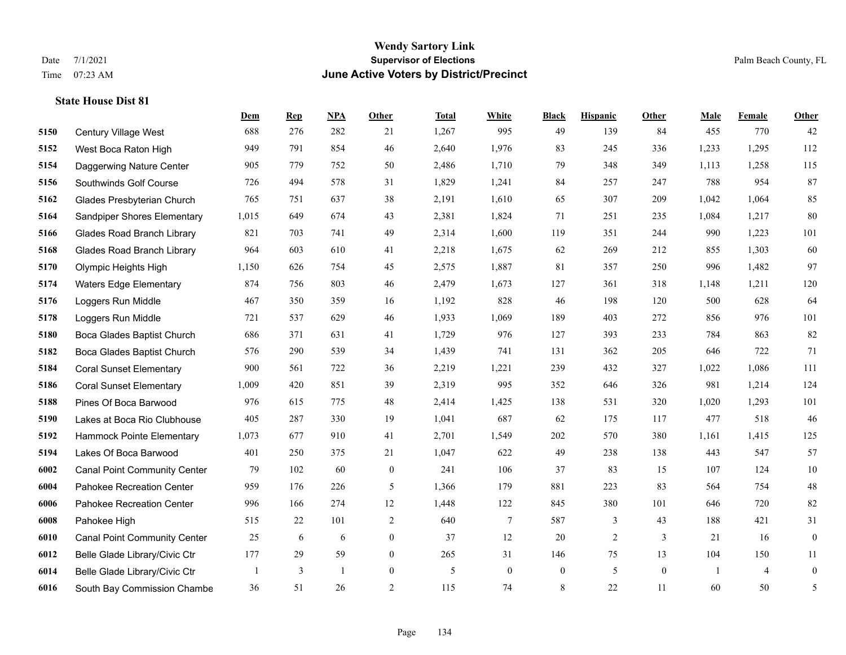**State House Dist 81**

## **Wendy Sartory Link** Date 7/1/2021 **Supervisor of Elections** Palm Beach County, FL Time 07:23 AM **June Active Voters by District/Precinct**

# **Dem Rep NPA Other Total White Black Hispanic Other Male Female Other** Century Village West 688 276 282 21 1,267 995 49 139 84 455 770 42 West Boca Raton High 949 791 854 46 2,640 1,976 83 245 336 1,233 1,295 112

| 5154 | Daggerwing Nature Center            | 905   | 779 | 752          | 50               | 2,486 | 1,710            | 79             | 348            | 349              | 1,113 | 1,258          | 115              |
|------|-------------------------------------|-------|-----|--------------|------------------|-------|------------------|----------------|----------------|------------------|-------|----------------|------------------|
| 5156 | Southwinds Golf Course              | 726   | 494 | 578          | 31               | 1,829 | 1,241            | 84             | 257            | 247              | 788   | 954            | 87               |
| 5162 | Glades Presbyterian Church          | 765   | 751 | 637          | 38               | 2,191 | 1,610            | 65             | 307            | 209              | 1,042 | 1,064          | 85               |
| 5164 | Sandpiper Shores Elementary         | 1,015 | 649 | 674          | 43               | 2,381 | 1,824            | 71             | 251            | 235              | 1,084 | 1,217          | 80               |
| 5166 | <b>Glades Road Branch Library</b>   | 821   | 703 | 741          | 49               | 2,314 | 1,600            | 119            | 351            | 244              | 990   | 1,223          | 101              |
| 5168 | <b>Glades Road Branch Library</b>   | 964   | 603 | 610          | 41               | 2,218 | 1,675            | 62             | 269            | 212              | 855   | 1,303          | 60               |
| 5170 | Olympic Heights High                | 1,150 | 626 | 754          | 45               | 2,575 | 1,887            | 81             | 357            | 250              | 996   | 1,482          | 97               |
| 5174 | Waters Edge Elementary              | 874   | 756 | 803          | 46               | 2,479 | 1,673            | 127            | 361            | 318              | 1,148 | 1,211          | 120              |
| 5176 | Loggers Run Middle                  | 467   | 350 | 359          | 16               | 1,192 | 828              | 46             | 198            | 120              | 500   | 628            | 64               |
| 5178 | Loggers Run Middle                  | 721   | 537 | 629          | 46               | 1,933 | 1,069            | 189            | 403            | 272              | 856   | 976            | 101              |
| 5180 | Boca Glades Baptist Church          | 686   | 371 | 631          | 41               | 1,729 | 976              | 127            | 393            | 233              | 784   | 863            | 82               |
| 5182 | Boca Glades Baptist Church          | 576   | 290 | 539          | 34               | 1,439 | 741              | 131            | 362            | 205              | 646   | 722            | 71               |
| 5184 | <b>Coral Sunset Elementary</b>      | 900   | 561 | 722          | 36               | 2,219 | 1,221            | 239            | 432            | 327              | 1,022 | 1,086          | 111              |
| 5186 | <b>Coral Sunset Elementary</b>      | 1,009 | 420 | 851          | 39               | 2,319 | 995              | 352            | 646            | 326              | 981   | 1,214          | 124              |
| 5188 | Pines Of Boca Barwood               | 976   | 615 | 775          | 48               | 2,414 | 1,425            | 138            | 531            | 320              | 1,020 | 1,293          | 101              |
| 5190 | Lakes at Boca Rio Clubhouse         | 405   | 287 | 330          | 19               | 1,041 | 687              | 62             | 175            | 117              | 477   | 518            | 46               |
| 5192 | Hammock Pointe Elementary           | 1,073 | 677 | 910          | 41               | 2,701 | 1,549            | 202            | 570            | 380              | 1,161 | 1,415          | 125              |
| 5194 | Lakes Of Boca Barwood               | 401   | 250 | 375          | 21               | 1,047 | 622              | 49             | 238            | 138              | 443   | 547            | 57               |
| 6002 | <b>Canal Point Community Center</b> | 79    | 102 | 60           | $\mathbf{0}$     | 241   | 106              | 37             | 83             | 15               | 107   | 124            | 10               |
| 6004 | Pahokee Recreation Center           | 959   | 176 | 226          | 5                | 1,366 | 179              | 881            | 223            | 83               | 564   | 754            | $48\,$           |
| 6006 | Pahokee Recreation Center           | 996   | 166 | 274          | 12               | 1,448 | 122              | 845            | 380            | 101              | 646   | 720            | 82               |
| 6008 | Pahokee High                        | 515   | 22  | 101          | 2                | 640   | 7                | 587            | 3              | 43               | 188   | 421            | 31               |
| 6010 | <b>Canal Point Community Center</b> | 25    | 6   | 6            | $\overline{0}$   | 37    | 12               | 20             | $\overline{2}$ | 3                | 21    | 16             | $\mathbf{0}$     |
| 6012 | Belle Glade Library/Civic Ctr       | 177   | 29  | 59           | $\boldsymbol{0}$ | 265   | 31               | 146            | 75             | 13               | 104   | 150            | 11               |
| 6014 | Belle Glade Library/Civic Ctr       |       | 3   | $\mathbf{1}$ | $\boldsymbol{0}$ | 5     | $\boldsymbol{0}$ | $\overline{0}$ | 5              | $\boldsymbol{0}$ | -1    | $\overline{4}$ | $\boldsymbol{0}$ |
| 6016 | South Bay Commission Chambe         | 36    | 51  | 26           | $\overline{2}$   | 115   | 74               | 8              | 22             | 11               | 60    | 50             | 5                |
|      |                                     |       |     |              |                  |       |                  |                |                |                  |       |                |                  |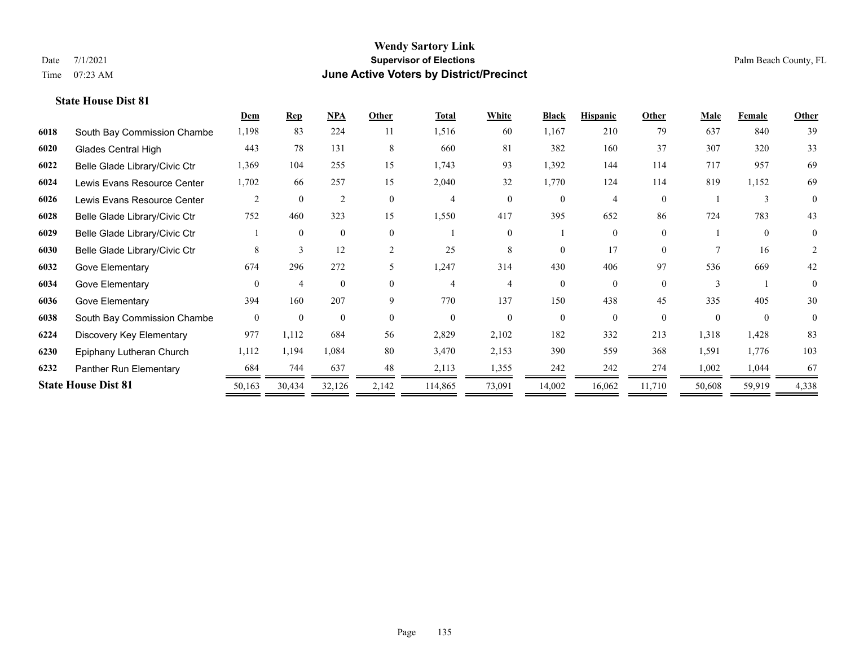|      |                               | Dem            | <b>Rep</b>     | NPA            | Other          | <b>Total</b> | <b>White</b> | <b>Black</b> | <b>Hispanic</b> | Other    | <b>Male</b> | Female   | <b>Other</b> |
|------|-------------------------------|----------------|----------------|----------------|----------------|--------------|--------------|--------------|-----------------|----------|-------------|----------|--------------|
| 6018 | South Bay Commission Chambe   | 1,198          | 83             | 224            | 11             | 1,516        | 60           | 1,167        | 210             | 79       | 637         | 840      | 39           |
| 6020 | <b>Glades Central High</b>    | 443            | 78             | 131            | 8              | 660          | 81           | 382          | 160             | 37       | 307         | 320      | 33           |
| 6022 | Belle Glade Library/Civic Ctr | 1,369          | 104            | 255            | 15             | 1,743        | 93           | 1,392        | 144             | 114      | 717         | 957      | 69           |
| 6024 | Lewis Evans Resource Center   | 1,702          | 66             | 257            | 15             | 2,040        | 32           | 1,770        | 124             | 114      | 819         | 1,152    | 69           |
| 6026 | Lewis Evans Resource Center   | 2              | $\theta$       | $\overline{2}$ | $\Omega$       | 4            | $\Omega$     | $\Omega$     | 4               | $\theta$ |             | 3        | $\theta$     |
| 6028 | Belle Glade Library/Civic Ctr | 752            | 460            | 323            | 15             | 1,550        | 417          | 395          | 652             | 86       | 724         | 783      | 43           |
| 6029 | Belle Glade Library/Civic Ctr |                | $\theta$       | $\mathbf{0}$   | $\theta$       |              | $\theta$     |              | $\Omega$        | $\theta$ |             | $\theta$ | 0            |
| 6030 | Belle Glade Library/Civic Ctr | 8              | 3              | 12             | $\overline{2}$ | 25           | 8            | $\Omega$     | 17              | $\Omega$ |             | 16       | 2            |
| 6032 | Gove Elementary               | 674            | 296            | 272            | 5.             | 1,247        | 314          | 430          | 406             | 97       | 536         | 669      | 42           |
| 6034 | Gove Elementary               | $\Omega$       | $\overline{4}$ | $\theta$       | $\Omega$       | 4            |              | $\Omega$     | $\Omega$        | $\Omega$ |             |          | $\theta$     |
| 6036 | Gove Elementary               | 394            | 160            | 207            | 9              | 770          | 137          | 150          | 438             | 45       | 335         | 405      | 30           |
| 6038 | South Bay Commission Chambe   | $\overline{0}$ | $\mathbf{0}$   | $\mathbf{0}$   | $\Omega$       | $\Omega$     | $\theta$     | $\Omega$     | $\Omega$        | $\theta$ | $\Omega$    | $\Omega$ | $\theta$     |
| 6224 | Discovery Key Elementary      | 977            | 1,112          | 684            | 56             | 2,829        | 2,102        | 182          | 332             | 213      | 1,318       | 1,428    | 83           |
| 6230 | Epiphany Lutheran Church      | 1,112          | 1,194          | 1,084          | 80             | 3,470        | 2,153        | 390          | 559             | 368      | 1,591       | 1,776    | 103          |
| 6232 | Panther Run Elementary        | 684            | 744            | 637            | 48             | 2,113        | 1,355        | 242          | 242             | 274      | 1,002       | 1,044    | 67           |
|      | <b>State House Dist 81</b>    | 50,163         | 30,434         | 32,126         | 2,142          | 114,865      | 73,091       | 14,002       | 16,062          | 11,710   | 50,608      | 59,919   | 4,338        |
|      |                               |                |                |                |                |              |              |              |                 |          |             |          |              |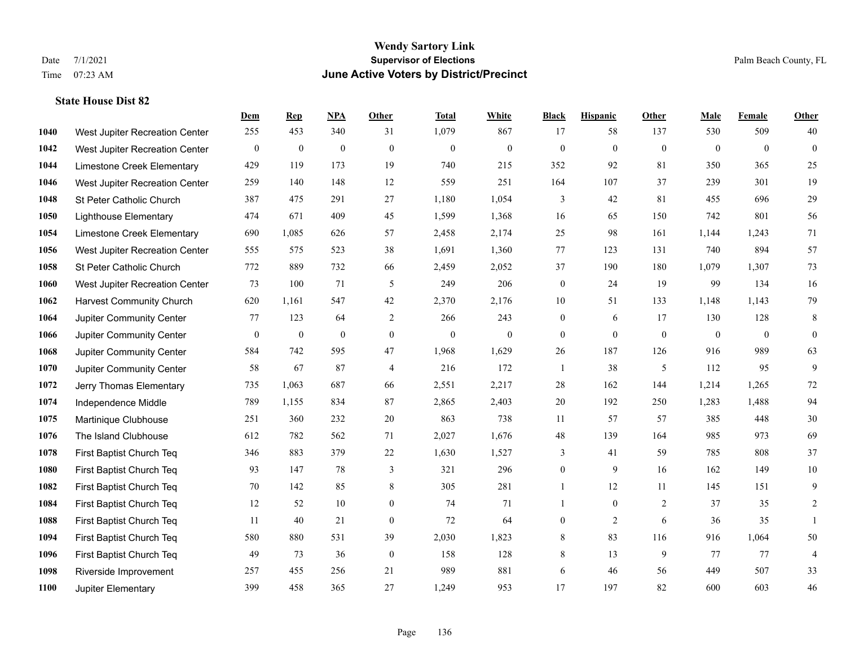|      |                                 | Dem          | <b>Rep</b>       | NPA              | <b>Other</b>   | <b>Total</b>     | <b>White</b>   | <b>Black</b>     | <b>Hispanic</b> | Other          | <b>Male</b>    | <b>Female</b>  | <b>Other</b>   |
|------|---------------------------------|--------------|------------------|------------------|----------------|------------------|----------------|------------------|-----------------|----------------|----------------|----------------|----------------|
| 1040 | West Jupiter Recreation Center  | 255          | 453              | 340              | 31             | 1,079            | 867            | 17               | 58              | 137            | 530            | 509            | 40             |
| 1042 | West Jupiter Recreation Center  | $\mathbf{0}$ | $\mathbf{0}$     | $\mathbf{0}$     | $\mathbf{0}$   | $\mathbf{0}$     | $\mathbf{0}$   | $\mathbf{0}$     | $\mathbf{0}$    | $\overline{0}$ | $\overline{0}$ | $\theta$       | $\mathbf{0}$   |
| 1044 | Limestone Creek Elementary      | 429          | 119              | 173              | 19             | 740              | 215            | 352              | 92              | 81             | 350            | 365            | 25             |
| 1046 | West Jupiter Recreation Center  | 259          | 140              | 148              | 12             | 559              | 251            | 164              | 107             | 37             | 239            | 301            | 19             |
| 1048 | St Peter Catholic Church        | 387          | 475              | 291              | 27             | 1,180            | 1,054          | 3                | 42              | 81             | 455            | 696            | 29             |
| 1050 | <b>Lighthouse Elementary</b>    | 474          | 671              | 409              | 45             | 1,599            | 1,368          | 16               | 65              | 150            | 742            | 801            | 56             |
| 1054 | Limestone Creek Elementary      | 690          | 1,085            | 626              | 57             | 2,458            | 2,174          | 25               | 98              | 161            | 1,144          | 1,243          | 71             |
| 1056 | West Jupiter Recreation Center  | 555          | 575              | 523              | 38             | 1,691            | 1,360          | 77               | 123             | 131            | 740            | 894            | 57             |
| 1058 | St Peter Catholic Church        | 772          | 889              | 732              | 66             | 2,459            | 2,052          | 37               | 190             | 180            | 1,079          | 1,307          | 73             |
| 1060 | West Jupiter Recreation Center  | 73           | 100              | 71               | 5              | 249              | 206            | $\boldsymbol{0}$ | 24              | 19             | 99             | 134            | 16             |
| 1062 | <b>Harvest Community Church</b> | 620          | 1,161            | 547              | 42             | 2,370            | 2,176          | 10               | 51              | 133            | 1,148          | 1,143          | 79             |
| 1064 | Jupiter Community Center        | 77           | 123              | 64               | 2              | 266              | 243            | $\boldsymbol{0}$ | 6               | 17             | 130            | 128            | 8              |
| 1066 | Jupiter Community Center        | $\mathbf{0}$ | $\boldsymbol{0}$ | $\boldsymbol{0}$ | $\mathbf{0}$   | $\boldsymbol{0}$ | $\overline{0}$ | $\mathbf{0}$     | $\mathbf{0}$    | $\mathbf{0}$   | $\overline{0}$ | $\overline{0}$ | $\overline{0}$ |
| 1068 | Jupiter Community Center        | 584          | 742              | 595              | 47             | 1,968            | 1,629          | 26               | 187             | 126            | 916            | 989            | 63             |
| 1070 | Jupiter Community Center        | 58           | 67               | 87               | $\overline{4}$ | 216              | 172            | 1                | 38              | 5              | 112            | 95             | 9              |
| 1072 | Jerry Thomas Elementary         | 735          | 1,063            | 687              | 66             | 2,551            | 2,217          | 28               | 162             | 144            | 1,214          | 1,265          | $72\,$         |
| 1074 | Independence Middle             | 789          | 1,155            | 834              | 87             | 2,865            | 2,403          | $20\,$           | 192             | 250            | 1,283          | 1,488          | 94             |
| 1075 | Martinique Clubhouse            | 251          | 360              | 232              | 20             | 863              | 738            | 11               | 57              | 57             | 385            | 448            | $30\,$         |
| 1076 | The Island Clubhouse            | 612          | 782              | 562              | 71             | 2,027            | 1,676          | $48\,$           | 139             | 164            | 985            | 973            | 69             |
| 1078 | First Baptist Church Teq        | 346          | 883              | 379              | 22             | 1,630            | 1,527          | 3                | 41              | 59             | 785            | 808            | 37             |
| 1080 | First Baptist Church Teq        | 93           | 147              | 78               | 3              | 321              | 296            | $\overline{0}$   | 9               | 16             | 162            | 149            | $10\,$         |
| 1082 | First Baptist Church Teq        | 70           | 142              | 85               | $\,8\,$        | 305              | 281            | $\mathbf{1}$     | $12\,$          | 11             | 145            | 151            | $\mathbf{9}$   |
| 1084 | First Baptist Church Teq        | 12           | 52               | 10               | $\mathbf{0}$   | 74               | 71             | 1                | $\overline{0}$  | 2              | 37             | 35             | 2              |
| 1088 | First Baptist Church Teq        | 11           | 40               | 21               | $\mathbf{0}$   | 72               | 64             | 0                | 2               | 6              | 36             | 35             |                |
| 1094 | First Baptist Church Teq        | 580          | 880              | 531              | 39             | 2,030            | 1,823          | 8                | 83              | 116            | 916            | 1,064          | 50             |
| 1096 | First Baptist Church Teq        | 49           | 73               | 36               | $\mathbf{0}$   | 158              | 128            | 8                | 13              | 9              | 77             | 77             | 4              |
| 1098 | Riverside Improvement           | 257          | 455              | 256              | 21             | 989              | 881            | 6                | 46              | 56             | 449            | 507            | 33             |
| 1100 | Jupiter Elementary              | 399          | 458              | 365              | 27             | 1,249            | 953            | 17               | 197             | 82             | 600            | 603            | $46\,$         |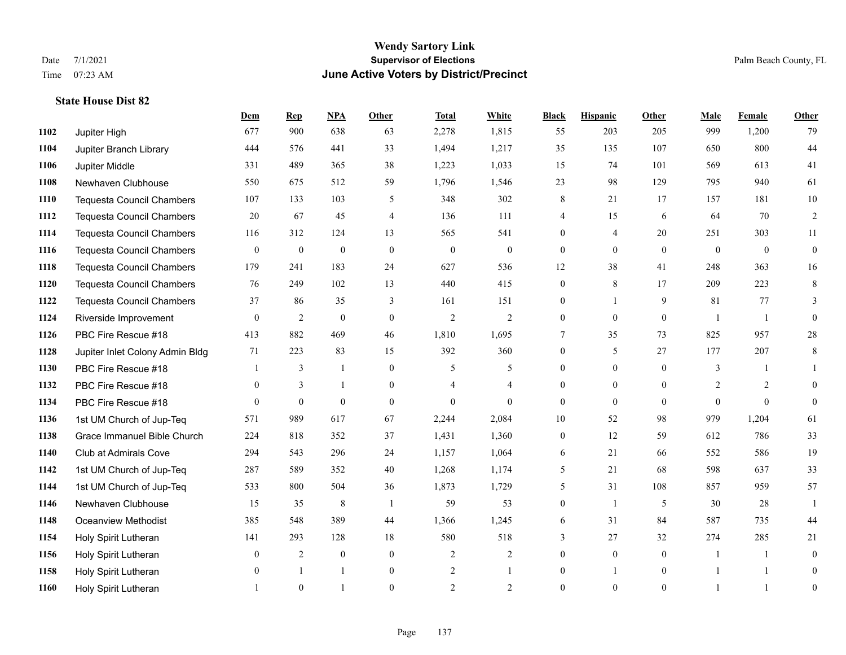**State House Dist 82**

#### **Wendy Sartory Link** Date 7/1/2021 **Supervisor of Elections** Palm Beach County, FL Time 07:23 AM **June Active Voters by District/Precinct**

# **Dem Rep NPA Other Total White Black Hispanic Other Male Female Other** Jupiter High 677 900 638 63 2,278 1,815 55 203 205 999 1,200 79 Jupiter Branch Library 444 576 441 33 1,494 1,217 35 135 107 650 800 44 Jupiter Middle 331 489 365 38 1,223 1,033 15 74 101 569 613 41 Newhaven Clubhouse 550 675 512 59 1,796 1,546 23 98 129 795 940 61 Tequesta Council Chambers 107 133 103 5 348 302 8 21 17 157 181 10 Tequesta Council Chambers 20 67 45 4 136 111 4 15 6 64 70 2 Tequesta Council Chambers 116 312 124 13 565 541 0 4 20 251 303 11 Tequesta Council Chambers 0 0 0 0 0 0 0 0 0 0 0 0 Tequesta Council Chambers 179 241 183 24 627 536 12 38 41 248 363 16 Tequesta Council Chambers 76 249 102 13 440 415 0 8 17 209 223 8 Tequesta Council Chambers 37 86 35 3 161 151 0 1 9 81 77 3 Riverside Improvement 0 0 2 0 0 2 2 2 0 0 0 1 1 0 PBC Fire Rescue #18 413 882 469 46 1,810 1,695 7 35 73 825 957 28 Jupiter Inlet Colony Admin Bldg 71 223 83 15 392 360 0 5 27 177 207 8 PBC Fire Rescue #18 **1** 3 1 0 5 5 0 0 0 3 1 1 PBC Fire Rescue #18 0 3 1 0 4 4 0 0 0 2 2 0 PBC Fire Rescue #18 0 0 0 0 0 0 0 0 0 0 0 0 1st UM Church of Jup-Teq 571 989 617 67 2,244 2,084 10 52 98 979 1,204 61 Grace Immanuel Bible Church 224 818 352 37 1,431 1,360 0 12 59 612 786 33 Club at Admirals Cove 294 543 296 24 1,157 1,064 6 21 66 552 586 19 1st UM Church of Jup-Teq 287 589 352 40 1,268 1,174 5 21 68 598 637 33 1st UM Church of Jup-Teq 533 800 504 36 1,873 1,729 5 31 108 857 959 57 Newhaven Clubhouse 15 35 8 1 59 53 0 1 5 30 28 1 Oceanview Methodist 385 548 389 44 1,366 1,245 6 31 84 587 735 44 Holy Spirit Lutheran 141 293 128 18 580 518 3 27 32 274 285 21 Holy Spirit Lutheran **0** 2 0 0 2 2 2 0 0 0 1 1 0 1158 Holy Spirit Lutheran 0 1 1 0 2 1 0 1 0 1 1 0 Holy Spirit Lutheran **1** 0 1 0 2 2 0 0 0 1 1 0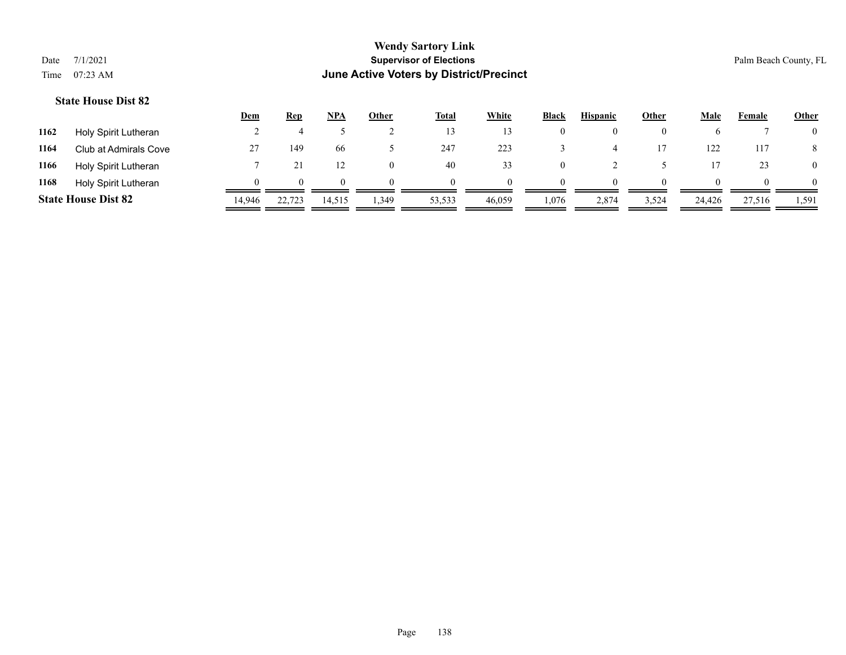|                            |                       | <u>Dem</u>    | Rep    | <b>NPA</b>  | Other | <b>Total</b> | <b>White</b> | <b>Black</b> | <b>Hispanic</b> | <b>Other</b> | Male       | Female | <b>Other</b>   |
|----------------------------|-----------------------|---------------|--------|-------------|-------|--------------|--------------|--------------|-----------------|--------------|------------|--------|----------------|
| 1162                       | Holy Spirit Lutheran  |               |        |             |       | 13           |              | $\bf{0}$     |                 |              |            |        | $\overline{0}$ |
| 1164                       | Club at Admirals Cove | $\mathcal{L}$ | 149    | 66          |       | 247          | 223          |              |                 |              | 122        | 117    | 8              |
| 1166                       | Holy Spirit Lutheran  |               |        | 12          |       | 40           | 33           | $\theta$     |                 |              |            | 23     | $\overline{0}$ |
| 1168                       | Holy Spirit Lutheran  |               |        | $^{\prime}$ |       | $^{\circ}$   | $^{\circ}$   | $\Omega$     | $\Omega$        |              | $^{\circ}$ |        | $\Omega$       |
| <b>State House Dist 82</b> |                       | 14,946        | 22,723 | 14,515      | 349ء  | 53,533       | 46,059       | 1,076        | 2,874           | 3,524        | 24,426     | 27,516 | 1,591          |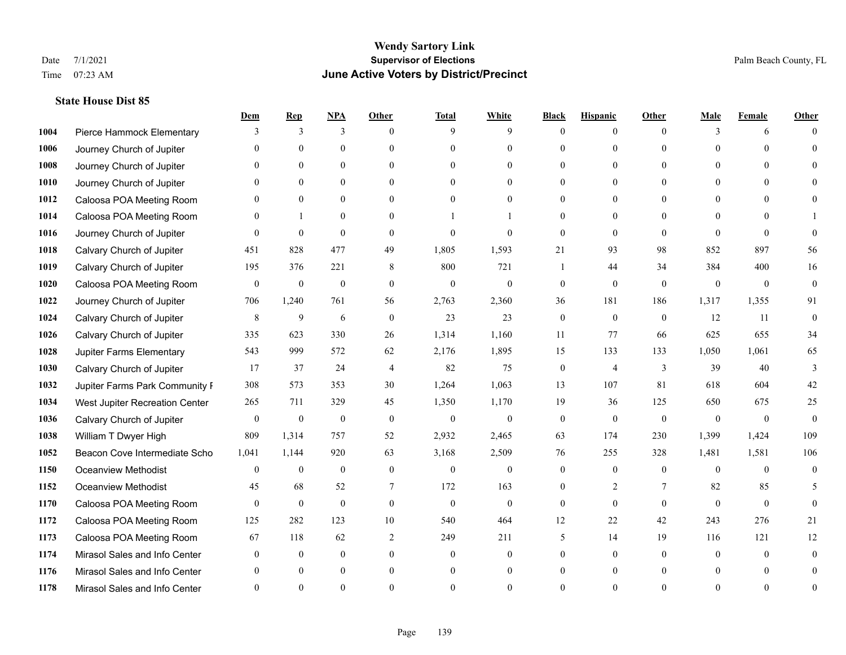|      |                                | Dem          | <b>Rep</b>       | NPA              | <b>Other</b>   | <b>Total</b>     | <b>White</b>     | <b>Black</b>     | <b>Hispanic</b> | <b>Other</b> | <b>Male</b>  | <b>Female</b>  | <b>Other</b>   |
|------|--------------------------------|--------------|------------------|------------------|----------------|------------------|------------------|------------------|-----------------|--------------|--------------|----------------|----------------|
| 1004 | Pierce Hammock Elementary      | 3            | 3                | 3                | $\Omega$       | 9                | 9                | $\theta$         | $\mathbf{0}$    | $\theta$     | 3            | 6              | $\Omega$       |
| 1006 | Journey Church of Jupiter      | $\Omega$     | $\theta$         | $\theta$         | $\Omega$       | $\Omega$         | $\mathbf{0}$     | $\theta$         | $\mathbf{0}$    | $\Omega$     | $\Omega$     | $\Omega$       | $\Omega$       |
| 1008 | Journey Church of Jupiter      | $\Omega$     | $\theta$         | $\theta$         | $\Omega$       | $\Omega$         | $\Omega$         | $\Omega$         | $\theta$        | $\Omega$     | $\Omega$     | $\Omega$       |                |
| 1010 | Journey Church of Jupiter      |              | $\mathbf{0}$     | $\mathbf{0}$     | $\mathbf{0}$   | $\theta$         | $\mathbf{0}$     | $\overline{0}$   | $\mathbf{0}$    | $\Omega$     | $\mathbf{0}$ | $\theta$       |                |
| 1012 | Caloosa POA Meeting Room       | $\Omega$     | $\theta$         | $\mathbf{0}$     | $\Omega$       | $\Omega$         | $\theta$         | $\theta$         | $\theta$        | $\Omega$     | $\theta$     | $\Omega$       | $\Omega$       |
| 1014 | Caloosa POA Meeting Room       | $\Omega$     | $\mathbf{1}$     | $\mathbf{0}$     | $\Omega$       |                  |                  | $\theta$         | $\theta$        | $\Omega$     | $\theta$     | $\Omega$       |                |
| 1016 | Journey Church of Jupiter      | $\theta$     | $\mathbf{0}$     | $\mathbf{0}$     | $\mathbf{0}$   | $\theta$         | $\mathbf{0}$     | $\mathbf{0}$     | $\mathbf{0}$    | $\theta$     | $\theta$     | $\theta$       | $\theta$       |
| 1018 | Calvary Church of Jupiter      | 451          | 828              | 477              | 49             | 1,805            | 1,593            | 21               | 93              | 98           | 852          | 897            | 56             |
| 1019 | Calvary Church of Jupiter      | 195          | 376              | 221              | 8              | 800              | 721              |                  | 44              | 34           | 384          | 400            | 16             |
| 1020 | Caloosa POA Meeting Room       | $\mathbf{0}$ | $\mathbf{0}$     | $\mathbf{0}$     | $\theta$       | $\mathbf{0}$     | $\mathbf{0}$     | $\mathbf{0}$     | $\theta$        | $\theta$     | $\mathbf{0}$ | $\mathbf{0}$   | $\mathbf{0}$   |
| 1022 | Journey Church of Jupiter      | 706          | 1,240            | 761              | 56             | 2,763            | 2,360            | 36               | 181             | 186          | 1,317        | 1,355          | 91             |
| 1024 | Calvary Church of Jupiter      | $\,$ 8 $\,$  | 9                | 6                | $\mathbf{0}$   | 23               | 23               | $\boldsymbol{0}$ | $\mathbf{0}$    | $\mathbf{0}$ | 12           | 11             | $\theta$       |
| 1026 | Calvary Church of Jupiter      | 335          | 623              | 330              | 26             | 1,314            | 1,160            | 11               | 77              | 66           | 625          | 655            | 34             |
| 1028 | Jupiter Farms Elementary       | 543          | 999              | 572              | 62             | 2,176            | 1,895            | 15               | 133             | 133          | 1,050        | 1,061          | 65             |
| 1030 | Calvary Church of Jupiter      | 17           | 37               | 24               | 4              | 82               | 75               | $\boldsymbol{0}$ | 4               | 3            | 39           | 40             | 3              |
| 1032 | Jupiter Farms Park Community I | 308          | 573              | 353              | 30             | 1,264            | 1,063            | 13               | 107             | 81           | 618          | 604            | 42             |
| 1034 | West Jupiter Recreation Center | 265          | 711              | 329              | 45             | 1,350            | 1,170            | 19               | 36              | 125          | 650          | 675            | 25             |
| 1036 | Calvary Church of Jupiter      | $\mathbf{0}$ | $\boldsymbol{0}$ | $\boldsymbol{0}$ | $\mathbf{0}$   | $\boldsymbol{0}$ | $\boldsymbol{0}$ | $\mathbf{0}$     | $\mathbf{0}$    | $\mathbf{0}$ | $\theta$     | $\overline{0}$ | $\mathbf{0}$   |
| 1038 | William T Dwyer High           | 809          | 1,314            | 757              | 52             | 2,932            | 2,465            | 63               | 174             | 230          | 1,399        | 1,424          | 109            |
| 1052 | Beacon Cove Intermediate Scho  | 1,041        | 1,144            | 920              | 63             | 3,168            | 2,509            | 76               | 255             | 328          | 1,481        | 1,581          | 106            |
| 1150 | <b>Oceanview Methodist</b>     | $\theta$     | $\mathbf{0}$     | $\mathbf{0}$     | $\theta$       | $\theta$         | $\mathbf{0}$     | $\theta$         | $\theta$        | $\theta$     | $\Omega$     | $\Omega$       | $\theta$       |
| 1152 | <b>Oceanview Methodist</b>     | 45           | 68               | 52               | 7              | 172              | 163              | $\overline{0}$   | 2               | 7            | 82           | 85             | 5              |
| 1170 | Caloosa POA Meeting Room       | $\mathbf{0}$ | $\mathbf{0}$     | $\mathbf{0}$     | $\mathbf{0}$   | $\mathbf{0}$     | $\mathbf{0}$     | $\mathbf{0}$     | $\mathbf{0}$    | $\theta$     | $\theta$     | $\theta$       | $\theta$       |
| 1172 | Caloosa POA Meeting Room       | 125          | 282              | 123              | 10             | 540              | 464              | 12               | 22              | 42           | 243          | 276            | 21             |
| 1173 | Caloosa POA Meeting Room       | 67           | 118              | 62               | $\overline{2}$ | 249              | 211              | 5                | 14              | 19           | 116          | 121            | 12             |
| 1174 | Mirasol Sales and Info Center  | $\theta$     | $\mathbf{0}$     | $\mathbf{0}$     | $\theta$       | $\overline{0}$   | $\overline{0}$   | $\theta$         | $\mathbf{0}$    | $\theta$     | $\theta$     | $\theta$       | $\overline{0}$ |
| 1176 | Mirasol Sales and Info Center  | $\Omega$     | $\theta$         | $\Omega$         | $\theta$       | $\theta$         | $\overline{0}$   | $\theta$         | $\theta$        | $\Omega$     |              | $\theta$       | $\theta$       |
| 1178 | Mirasol Sales and Info Center  |              | $\Omega$         | $\Omega$         | $\Omega$       | $\Omega$         | $\Omega$         | $\Omega$         | $\Omega$        | $\Omega$     |              | $\Omega$       | $\theta$       |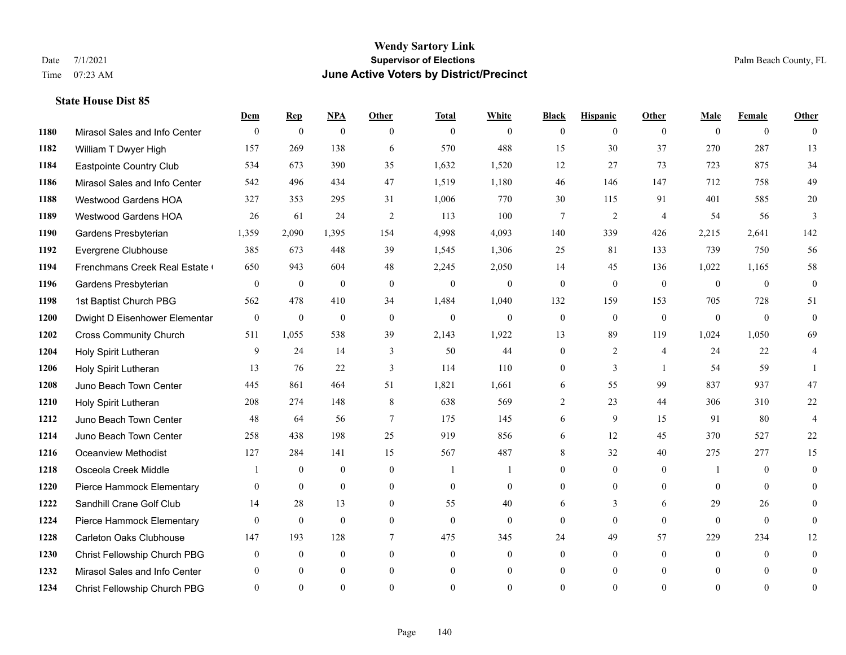**State House Dist 85**

#### **Wendy Sartory Link** Date 7/1/2021 **Supervisor of Elections** Palm Beach County, FL Time 07:23 AM **June Active Voters by District/Precinct**

# **Dem Rep NPA Other Total White Black Hispanic Other Male Female Other** Mirasol Sales and Info Center 0 0 0 0 0 0 0 0 0 0 0 0 William T Dwyer High 157 269 138 6 570 488 15 30 37 270 287 13 Eastpointe Country Club 534 673 390 35 1,632 1,520 12 27 73 723 875 34 Mirasol Sales and Info Center 542 496 434 47 1,519 1,180 46 146 147 712 758 49 Westwood Gardens HOA 327 353 295 31 1,006 770 30 115 91 401 585 20 Westwood Gardens HOA 26 61 24 2 113 100 7 2 4 54 56 3 Gardens Presbyterian 1,359 2,090 1,395 154 4,998 4,093 140 339 426 2,215 2,641 142 Evergrene Clubhouse 385 673 448 39 1,545 1,306 25 81 133 739 750 56 1194 Frenchmans Creek Real Estate 650 943 604 48 2,245 2,050 14 45 136 1,022 1,165 58 Gardens Presbyterian 0 0 0 0 0 0 0 0 0 0 0 0 1st Baptist Church PBG 562 478 410 34 1,484 1,040 132 159 153 705 728 51 Dwight D Eisenhower Elementary 0 0 0 0 0 0 0 0 0 0 0 0 Cross Community Church 511 1,055 538 39 2,143 1,922 13 89 119 1,024 1,050 69 Holy Spirit Lutheran 9 24 14 3 50 44 0 2 4 24 22 4 Holy Spirit Lutheran 13 76 22 3 114 110 0 3 1 54 59 1 Juno Beach Town Center 445 861 464 51 1,821 1,661 6 55 99 837 937 47 Holy Spirit Lutheran 208 274 148 8 638 569 2 23 44 306 310 22 Juno Beach Town Center 48 64 56 7 175 145 6 9 15 91 80 4 Juno Beach Town Center 258 438 198 25 919 856 6 12 45 370 527 22 Oceanview Methodist 127 284 141 15 567 487 8 32 40 275 277 15 Osceola Creek Middle  $\begin{array}{cccccccc} 1 & 0 & 0 & 0 & 1 & 1 & 0 & 0 & 0 \\ 0 & 0 & 0 & 1 & 0 & 0 & 0 & 0 \\ 0 & 0 & 0 & 0 & 0 & 0 & 0 & 0 \\ 0 & 0 & 0 & 0 & 0 & 0 & 0 & 0 \\ 0 & 0 & 0 & 0 & 0 & 0 & 0 & 0 \\ 0 & 0 & 0 & 0 & 0 & 0 & 0 & 0 \\ 0 & 0 & 0 & 0 & 0 & 0 & 0 & 0 \\ 0 & 0 & 0 & 0 & 0$  Pierce Hammock Elementary 0 0 0 0 0 0 0 0 0 0 0 0 Sandhill Crane Golf Club 14 28 13 0 55 40 6 3 6 29 26 0 Pierce Hammock Elementary 0 0 0 0 0 0 0 0 0 0 0 0 Carleton Oaks Clubhouse 147 193 128 7 475 345 24 49 57 229 234 12 Christ Fellowship Church PBG 0 0 0 0 0 0 0 0 0 0 0 0 Mirasol Sales and Info Center 0 0 0 0 0 0 0 0 0 0 0 0 Christ Fellowship Church PBG 0 0 0 0 0 0 0 0 0 0 0 0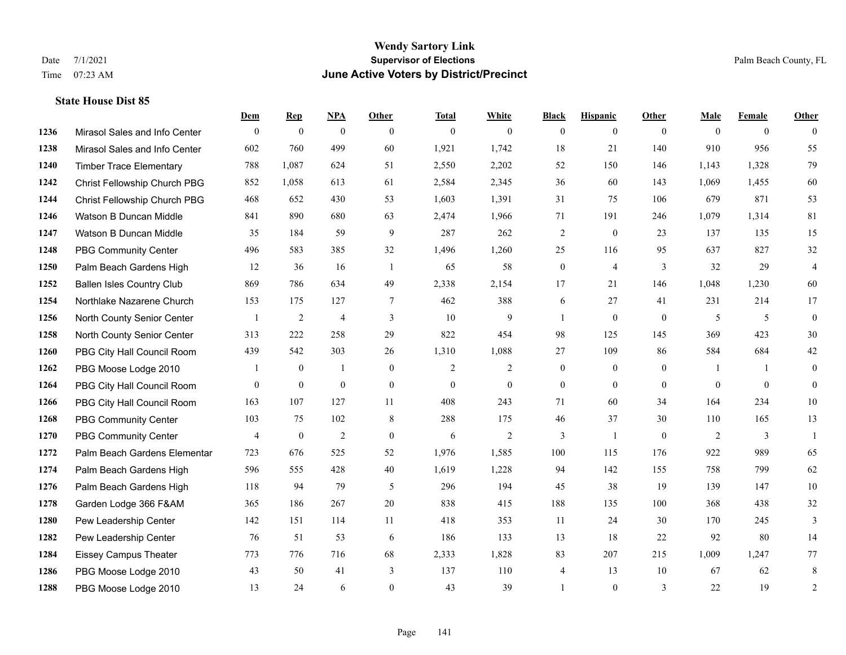|      |                                  | Dem            | <b>Rep</b>       | NPA              | <b>Other</b> | <b>Total</b>   | <b>White</b>     | <b>Black</b>     | <b>Hispanic</b> | <b>Other</b>   | <b>Male</b>  | <b>Female</b>  | <b>Other</b>   |
|------|----------------------------------|----------------|------------------|------------------|--------------|----------------|------------------|------------------|-----------------|----------------|--------------|----------------|----------------|
| 1236 | Mirasol Sales and Info Center    | $\mathbf{0}$   | $\mathbf{0}$     | $\boldsymbol{0}$ | $\theta$     | $\mathbf{0}$   | $\overline{0}$   | $\mathbf{0}$     | $\overline{0}$  | $\theta$       | $\theta$     | $\overline{0}$ | $\theta$       |
| 1238 | Mirasol Sales and Info Center    | 602            | 760              | 499              | 60           | 1,921          | 1,742            | 18               | 21              | 140            | 910          | 956            | 55             |
| 1240 | <b>Timber Trace Elementary</b>   | 788            | 1,087            | 624              | 51           | 2,550          | 2,202            | 52               | 150             | 146            | 1,143        | 1,328          | 79             |
| 1242 | Christ Fellowship Church PBG     | 852            | 1,058            | 613              | 61           | 2,584          | 2,345            | 36               | 60              | 143            | 1,069        | 1,455          | 60             |
| 1244 | Christ Fellowship Church PBG     | 468            | 652              | 430              | 53           | 1,603          | 1,391            | 31               | 75              | 106            | 679          | 871            | 53             |
| 1246 | Watson B Duncan Middle           | 841            | 890              | 680              | 63           | 2,474          | 1,966            | 71               | 191             | 246            | 1,079        | 1,314          | 81             |
| 1247 | Watson B Duncan Middle           | 35             | 184              | 59               | 9            | 287            | 262              | $\overline{2}$   | $\mathbf{0}$    | 23             | 137          | 135            | 15             |
| 1248 | <b>PBG Community Center</b>      | 496            | 583              | 385              | 32           | 1,496          | 1,260            | 25               | 116             | 95             | 637          | 827            | $32\,$         |
| 1250 | Palm Beach Gardens High          | 12             | 36               | 16               | -1           | 65             | 58               | $\boldsymbol{0}$ | $\overline{4}$  | 3              | 32           | 29             | $\overline{4}$ |
| 1252 | <b>Ballen Isles Country Club</b> | 869            | 786              | 634              | 49           | 2,338          | 2,154            | 17               | 21              | 146            | 1,048        | 1,230          | 60             |
| 1254 | Northlake Nazarene Church        | 153            | 175              | 127              | 7            | 462            | 388              | 6                | 27              | 41             | 231          | 214            | 17             |
| 1256 | North County Senior Center       | $\mathbf{1}$   | $\overline{2}$   | $\overline{4}$   | 3            | 10             | 9                | $\mathbf{1}$     | $\mathbf{0}$    | $\overline{0}$ | 5            | 5              | $\mathbf{0}$   |
| 1258 | North County Senior Center       | 313            | 222              | 258              | 29           | 822            | 454              | 98               | 125             | 145            | 369          | 423            | $30\,$         |
| 1260 | PBG City Hall Council Room       | 439            | 542              | 303              | 26           | 1,310          | 1,088            | 27               | 109             | 86             | 584          | 684            | $42\,$         |
| 1262 | PBG Moose Lodge 2010             |                | $\mathbf{0}$     | $\mathbf{1}$     | $\theta$     | $\overline{2}$ | $\overline{2}$   | $\mathbf{0}$     | $\theta$        | $\theta$       | $\mathbf{1}$ |                | $\mathbf{0}$   |
| 1264 | PBG City Hall Council Room       | $\overline{0}$ | $\boldsymbol{0}$ | $\boldsymbol{0}$ | $\mathbf{0}$ | $\mathbf{0}$   | $\boldsymbol{0}$ | $\boldsymbol{0}$ | $\mathbf{0}$    | $\overline{0}$ | $\mathbf{0}$ | $\overline{0}$ | $\mathbf{0}$   |
| 1266 | PBG City Hall Council Room       | 163            | 107              | 127              | 11           | 408            | 243              | 71               | 60              | 34             | 164          | 234            | 10             |
| 1268 | PBG Community Center             | 103            | 75               | 102              | 8            | 288            | 175              | 46               | 37              | 30             | 110          | 165            | 13             |
| 1270 | <b>PBG Community Center</b>      | 4              | $\boldsymbol{0}$ | $\overline{2}$   | $\mathbf{0}$ | 6              | $\overline{2}$   | 3                | 1               | $\overline{0}$ | 2            | 3              | $\mathbf{1}$   |
| 1272 | Palm Beach Gardens Elementar     | 723            | 676              | 525              | 52           | 1,976          | 1,585            | 100              | 115             | 176            | 922          | 989            | 65             |
| 1274 | Palm Beach Gardens High          | 596            | 555              | 428              | 40           | 1,619          | 1,228            | 94               | 142             | 155            | 758          | 799            | 62             |
| 1276 | Palm Beach Gardens High          | 118            | 94               | 79               | 5            | 296            | 194              | 45               | 38              | 19             | 139          | 147            | 10             |
| 1278 | Garden Lodge 366 F&AM            | 365            | 186              | 267              | 20           | 838            | 415              | 188              | 135             | 100            | 368          | 438            | 32             |
| 1280 | Pew Leadership Center            | 142            | 151              | 114              | 11           | 418            | 353              | 11               | 24              | 30             | 170          | 245            | 3              |
| 1282 | Pew Leadership Center            | 76             | 51               | 53               | 6            | 186            | 133              | 13               | 18              | 22             | 92           | 80             | 14             |
| 1284 | <b>Eissey Campus Theater</b>     | 773            | 776              | 716              | 68           | 2,333          | 1,828            | 83               | 207             | 215            | 1,009        | 1,247          | 77             |
| 1286 | PBG Moose Lodge 2010             | 43             | 50               | 41               | 3            | 137            | 110              | 4                | 13              | 10             | 67           | 62             | 8              |
| 1288 | PBG Moose Lodge 2010             | 13             | 24               | 6                | $\theta$     | 43             | 39               |                  | $\mathbf{0}$    | 3              | 22           | 19             | 2              |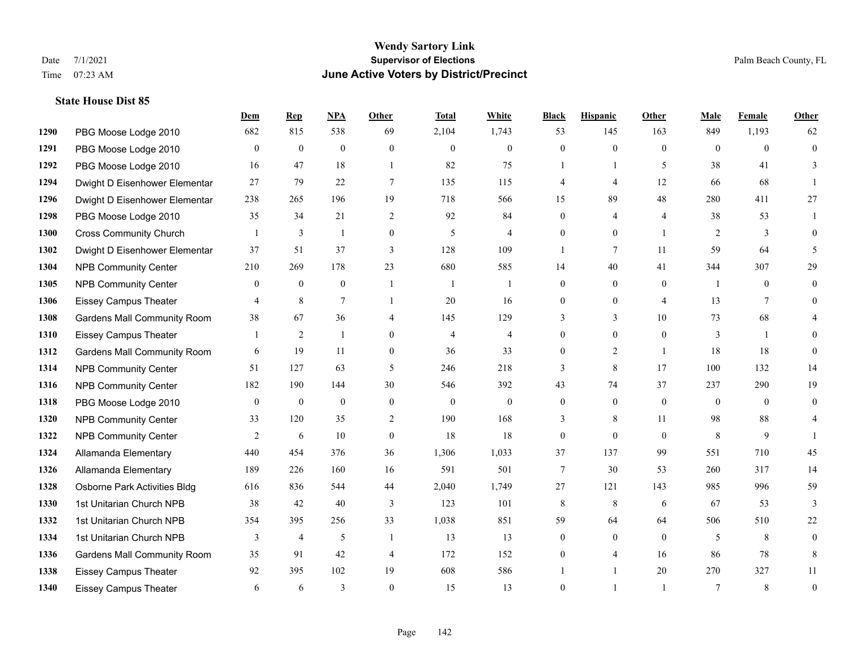|      |                                    | Dem            | <b>Rep</b>       | NPA              | <b>Other</b>     | <b>Total</b>   | <b>White</b>     | <b>Black</b>     | <b>Hispanic</b>  | Other          | <b>Male</b>    | <b>Female</b>  | <b>Other</b>   |
|------|------------------------------------|----------------|------------------|------------------|------------------|----------------|------------------|------------------|------------------|----------------|----------------|----------------|----------------|
| 1290 | PBG Moose Lodge 2010               | 682            | 815              | 538              | 69               | 2,104          | 1,743            | 53               | 145              | 163            | 849            | 1,193          | 62             |
| 1291 | PBG Moose Lodge 2010               | $\mathbf{0}$   | $\mathbf{0}$     | $\boldsymbol{0}$ | $\mathbf{0}$     | $\mathbf{0}$   | $\boldsymbol{0}$ | $\overline{0}$   | $\overline{0}$   | $\mathbf{0}$   | $\theta$       | $\theta$       | $\mathbf{0}$   |
| 1292 | PBG Moose Lodge 2010               | 16             | 47               | 18               | $\overline{1}$   | 82             | 75               | 1                | $\mathbf{1}$     | 5              | 38             | 41             | 3              |
| 1294 | Dwight D Eisenhower Elementar      | 27             | 79               | 22               | $\tau$           | 135            | 115              | 4                | $\overline{4}$   | 12             | 66             | 68             |                |
| 1296 | Dwight D Eisenhower Elementar      | 238            | 265              | 196              | 19               | 718            | 566              | 15               | 89               | 48             | 280            | 411            | 27             |
| 1298 | PBG Moose Lodge 2010               | 35             | 34               | 21               | 2                | 92             | 84               | $\overline{0}$   | 4                | $\overline{4}$ | 38             | 53             |                |
| 1300 | <b>Cross Community Church</b>      |                | 3                | $\mathbf{1}$     | $\boldsymbol{0}$ | 5              | $\overline{4}$   | $\overline{0}$   | $\boldsymbol{0}$ | $\overline{1}$ | 2              | 3              | $\mathbf{0}$   |
| 1302 | Dwight D Eisenhower Elementar      | 37             | 51               | 37               | 3                | 128            | 109              | $\mathbf{1}$     | $\tau$           | 11             | 59             | 64             | 5              |
| 1304 | <b>NPB Community Center</b>        | 210            | 269              | 178              | 23               | 680            | 585              | 14               | 40               | 41             | 344            | 307            | 29             |
| 1305 | <b>NPB Community Center</b>        | $\mathbf{0}$   | $\boldsymbol{0}$ | $\boldsymbol{0}$ | $\overline{1}$   | -1             | 1                | 0                | $\overline{0}$   | $\Omega$       | $\overline{1}$ | $\theta$       | 0              |
| 1306 | <b>Eissey Campus Theater</b>       | $\overline{4}$ | 8                | $\overline{7}$   | $\overline{1}$   | 20             | 16               | $\overline{0}$   | $\overline{0}$   | $\overline{4}$ | 13             | $\tau$         | $\Omega$       |
| 1308 | <b>Gardens Mall Community Room</b> | 38             | 67               | 36               | $\overline{4}$   | 145            | 129              | 3                | 3                | 10             | 73             | 68             |                |
| 1310 | <b>Eissey Campus Theater</b>       |                | $\overline{c}$   | $\mathbf{1}$     | $\theta$         | $\overline{4}$ | $\overline{4}$   | $\Omega$         | $\Omega$         | $\Omega$       | 3              | $\overline{1}$ | 0              |
| 1312 | <b>Gardens Mall Community Room</b> | 6              | 19               | 11               | $\mathbf{0}$     | 36             | 33               | $\boldsymbol{0}$ | $\overline{c}$   | $\overline{1}$ | 18             | 18             | $\theta$       |
| 1314 | <b>NPB Community Center</b>        | 51             | 127              | 63               | 5                | 246            | 218              | 3                | 8                | 17             | 100            | 132            | 14             |
| 1316 | <b>NPB Community Center</b>        | 182            | 190              | 144              | 30               | 546            | 392              | 43               | 74               | 37             | 237            | 290            | 19             |
| 1318 | PBG Moose Lodge 2010               | $\overline{0}$ | $\mathbf{0}$     | $\mathbf{0}$     | $\boldsymbol{0}$ | $\mathbf{0}$   | $\boldsymbol{0}$ | $\overline{0}$   | $\mathbf{0}$     | $\mathbf{0}$   | $\overline{0}$ | $\theta$       | $\overline{0}$ |
| 1320 | <b>NPB Community Center</b>        | 33             | 120              | 35               | 2                | 190            | 168              | 3                | 8                | 11             | 98             | 88             | 4              |
| 1322 | <b>NPB Community Center</b>        | 2              | 6                | 10               | $\boldsymbol{0}$ | 18             | 18               | $\boldsymbol{0}$ | $\overline{0}$   | $\theta$       | $\,8\,$        | $\mathbf{9}$   |                |
| 1324 | Allamanda Elementary               | 440            | 454              | 376              | 36               | 1,306          | 1,033            | 37               | 137              | 99             | 551            | 710            | 45             |
| 1326 | Allamanda Elementary               | 189            | 226              | 160              | 16               | 591            | 501              | $\tau$           | 30               | 53             | 260            | 317            | 14             |
| 1328 | Osborne Park Activities Bldg       | 616            | 836              | 544              | 44               | 2,040          | 1,749            | 27               | 121              | 143            | 985            | 996            | 59             |
| 1330 | 1st Unitarian Church NPB           | 38             | 42               | 40               | 3                | 123            | 101              | 8                | 8                | 6              | 67             | 53             | 3              |
| 1332 | 1st Unitarian Church NPB           | 354            | 395              | 256              | 33               | 1,038          | 851              | 59               | 64               | 64             | 506            | 510            | 22             |
| 1334 | 1st Unitarian Church NPB           | 3              | $\overline{4}$   | 5                | $\overline{1}$   | 13             | 13               | $\overline{0}$   | $\overline{0}$   | $\theta$       | 5              | 8              | $\overline{0}$ |
| 1336 | Gardens Mall Community Room        | 35             | 91               | 42               | $\overline{4}$   | 172            | 152              | 0                | 4                | 16             | 86             | 78             | 8              |
| 1338 | <b>Eissey Campus Theater</b>       | 92             | 395              | 102              | 19               | 608            | 586              |                  |                  | 20             | 270            | 327            | 11             |
| 1340 | Eissey Campus Theater              | 6              | 6                | 3                | $\Omega$         | 15             | 13               | $\theta$         |                  | $\overline{1}$ | $\tau$         | 8              | $\mathbf{0}$   |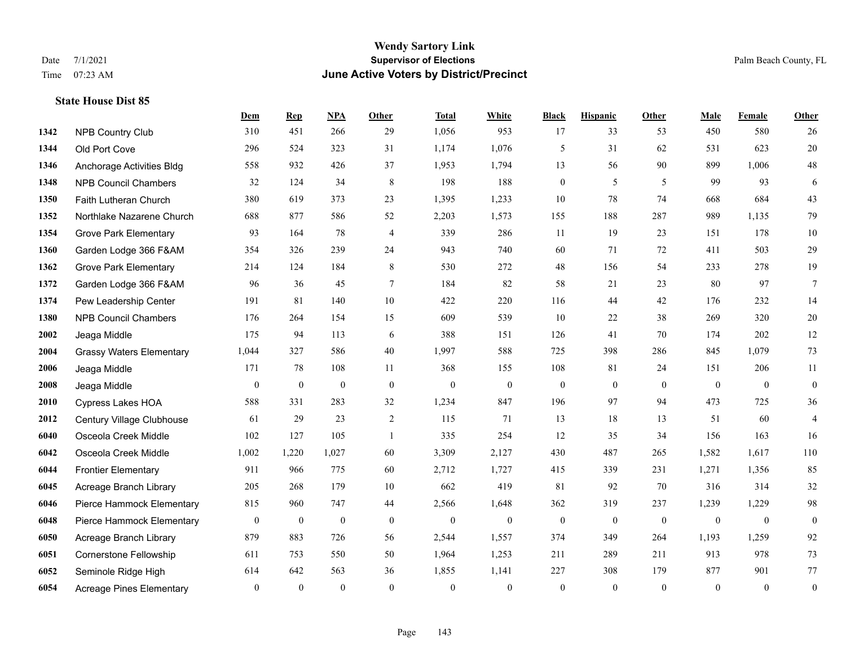**State House Dist 85**

# **Wendy Sartory Link** Date 7/1/2021 **Supervisor of Elections Supervisor of Elections** Palm Beach County, FL Time 07:23 AM **June Active Voters by District/Precinct**

|      |                                 | Dem            | <b>Rep</b>       | NPA              | Other          | <b>Total</b>     | White            | <b>Black</b>     | <b>Hispanic</b>  | Other          | Male         | Female       | Other            |
|------|---------------------------------|----------------|------------------|------------------|----------------|------------------|------------------|------------------|------------------|----------------|--------------|--------------|------------------|
| 1342 | <b>NPB Country Club</b>         | 310            | 451              | 266              | 29             | 1,056            | 953              | 17               | 33               | 53             | 450          | 580          | 26               |
| 1344 | Old Port Cove                   | 296            | 524              | 323              | 31             | 1,174            | 1,076            | 5                | 31               | 62             | 531          | 623          | 20               |
| 1346 | Anchorage Activities Bldg       | 558            | 932              | 426              | 37             | 1,953            | 1,794            | 13               | 56               | 90             | 899          | 1,006        | $48\,$           |
| 1348 | <b>NPB Council Chambers</b>     | 32             | 124              | 34               | 8              | 198              | 188              | $\boldsymbol{0}$ | 5                | 5              | 99           | 93           | 6                |
| 1350 | Faith Lutheran Church           | 380            | 619              | 373              | 23             | 1,395            | 1,233            | 10               | 78               | 74             | 668          | 684          | $43\,$           |
| 1352 | Northlake Nazarene Church       | 688            | 877              | 586              | 52             | 2,203            | 1,573            | 155              | 188              | 287            | 989          | 1,135        | 79               |
| 1354 | <b>Grove Park Elementary</b>    | 93             | 164              | 78               | $\overline{4}$ | 339              | 286              | 11               | 19               | 23             | 151          | 178          | $10\,$           |
| 1360 | Garden Lodge 366 F&AM           | 354            | 326              | 239              | 24             | 943              | 740              | 60               | 71               | 72             | 411          | 503          | 29               |
| 1362 | <b>Grove Park Elementary</b>    | 214            | 124              | 184              | $\,8\,$        | 530              | 272              | 48               | 156              | 54             | 233          | 278          | 19               |
| 1372 | Garden Lodge 366 F&AM           | 96             | 36               | 45               | $\overline{7}$ | 184              | 82               | 58               | 21               | 23             | 80           | 97           | $\boldsymbol{7}$ |
| 1374 | Pew Leadership Center           | 191            | 81               | 140              | 10             | 422              | 220              | 116              | 44               | 42             | 176          | 232          | 14               |
| 1380 | <b>NPB Council Chambers</b>     | 176            | 264              | 154              | 15             | 609              | 539              | 10               | 22               | 38             | 269          | 320          | $20\,$           |
| 2002 | Jeaga Middle                    | 175            | 94               | 113              | 6              | 388              | 151              | 126              | 41               | 70             | 174          | 202          | $12\,$           |
| 2004 | <b>Grassy Waters Elementary</b> | 1,044          | 327              | 586              | 40             | 1,997            | 588              | 725              | 398              | 286            | 845          | 1,079        | 73               |
| 2006 | Jeaga Middle                    | 171            | 78               | 108              | 11             | 368              | 155              | 108              | 81               | 24             | 151          | 206          | 11               |
| 2008 | Jeaga Middle                    | $\mathbf{0}$   | $\boldsymbol{0}$ | $\boldsymbol{0}$ | $\mathbf{0}$   | $\mathbf{0}$     | $\boldsymbol{0}$ | $\boldsymbol{0}$ | $\boldsymbol{0}$ | $\overline{0}$ | $\mathbf{0}$ | $\mathbf{0}$ | $\boldsymbol{0}$ |
| 2010 | <b>Cypress Lakes HOA</b>        | 588            | 331              | 283              | 32             | 1,234            | 847              | 196              | 97               | 94             | 473          | 725          | 36               |
| 2012 | Century Village Clubhouse       | 61             | 29               | 23               | $\overline{2}$ | 115              | 71               | 13               | 18               | 13             | 51           | 60           | $\overline{4}$   |
| 6040 | Osceola Creek Middle            | 102            | 127              | 105              | $\mathbf{1}$   | 335              | 254              | 12               | 35               | 34             | 156          | 163          | 16               |
| 6042 | Osceola Creek Middle            | 1,002          | 1,220            | 1,027            | 60             | 3,309            | 2,127            | 430              | 487              | 265            | 1,582        | 1,617        | 110              |
| 6044 | <b>Frontier Elementary</b>      | 911            | 966              | 775              | 60             | 2,712            | 1,727            | 415              | 339              | 231            | 1,271        | 1,356        | 85               |
| 6045 | Acreage Branch Library          | 205            | 268              | 179              | 10             | 662              | 419              | 81               | 92               | 70             | 316          | 314          | 32               |
| 6046 | Pierce Hammock Elementary       | 815            | 960              | 747              | 44             | 2,566            | 1,648            | 362              | 319              | 237            | 1,239        | 1,229        | 98               |
| 6048 | Pierce Hammock Elementary       | $\mathbf{0}$   | $\boldsymbol{0}$ | $\boldsymbol{0}$ | $\mathbf{0}$   | $\boldsymbol{0}$ | $\boldsymbol{0}$ | $\boldsymbol{0}$ | $\mathbf{0}$     | $\overline{0}$ | $\mathbf{0}$ | $\mathbf{0}$ | $\boldsymbol{0}$ |
| 6050 | Acreage Branch Library          | 879            | 883              | 726              | 56             | 2,544            | 1,557            | 374              | 349              | 264            | 1,193        | 1,259        | 92               |
| 6051 | <b>Cornerstone Fellowship</b>   | 611            | 753              | 550              | 50             | 1,964            | 1,253            | 211              | 289              | 211            | 913          | 978          | 73               |
| 6052 | Seminole Ridge High             | 614            | 642              | 563              | 36             | 1,855            | 1,141            | 227              | 308              | 179            | 877          | 901          | $77\,$           |
| 6054 | <b>Acreage Pines Elementary</b> | $\overline{0}$ | $\theta$         | $\mathbf{0}$     | $\theta$       | $\theta$         | $\mathbf{0}$     | $\theta$         | $\theta$         | $\theta$       | $\theta$     | $\theta$     | $\boldsymbol{0}$ |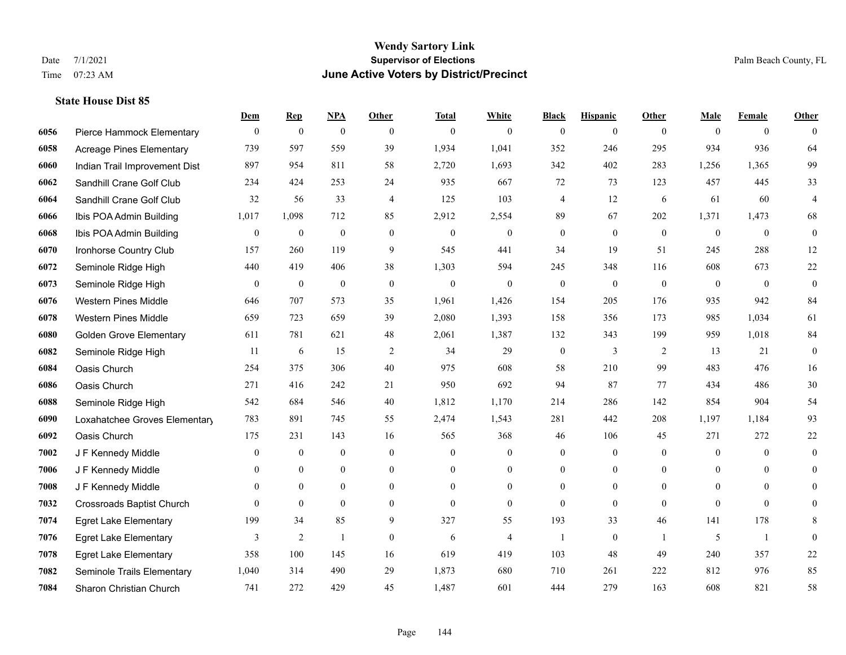# **Wendy Sartory Link** Date 7/1/2021 Palm Beach County, FL Time 07:23 AM **June Active Voters by District/Precinct**

|      |                                  | Dem              | <b>Rep</b>       | NPA              | <b>Other</b>     | <b>Total</b>     | <b>White</b>     | <b>Black</b>     | <b>Hispanic</b>  | <b>Other</b>   | <b>Male</b>      | <b>Female</b>    | <b>Other</b>     |
|------|----------------------------------|------------------|------------------|------------------|------------------|------------------|------------------|------------------|------------------|----------------|------------------|------------------|------------------|
| 6056 | Pierce Hammock Elementary        | $\boldsymbol{0}$ | $\bf{0}$         | $\boldsymbol{0}$ | $\overline{0}$   | $\mathbf{0}$     | $\overline{0}$   | $\mathbf{0}$     | $\boldsymbol{0}$ | $\overline{0}$ | $\mathbf{0}$     | $\overline{0}$   | $\theta$         |
| 6058 | <b>Acreage Pines Elementary</b>  | 739              | 597              | 559              | 39               | 1,934            | 1,041            | 352              | 246              | 295            | 934              | 936              | 64               |
| 6060 | Indian Trail Improvement Dist    | 897              | 954              | 811              | 58               | 2,720            | 1,693            | 342              | 402              | 283            | 1,256            | 1,365            | 99               |
| 6062 | Sandhill Crane Golf Club         | 234              | 424              | 253              | 24               | 935              | 667              | 72               | 73               | 123            | 457              | 445              | 33               |
| 6064 | Sandhill Crane Golf Club         | 32               | 56               | 33               | $\overline{4}$   | 125              | 103              | 4                | 12               | 6              | 61               | 60               | $\overline{4}$   |
| 6066 | Ibis POA Admin Building          | 1,017            | 1,098            | 712              | 85               | 2,912            | 2,554            | 89               | 67               | 202            | 1,371            | 1,473            | 68               |
| 6068 | Ibis POA Admin Building          | $\boldsymbol{0}$ | $\boldsymbol{0}$ | $\boldsymbol{0}$ | $\boldsymbol{0}$ | $\boldsymbol{0}$ | $\boldsymbol{0}$ | $\boldsymbol{0}$ | $\boldsymbol{0}$ | $\mathbf{0}$   | $\boldsymbol{0}$ | $\boldsymbol{0}$ | $\boldsymbol{0}$ |
| 6070 | Ironhorse Country Club           | 157              | 260              | 119              | 9                | 545              | 441              | 34               | 19               | 51             | 245              | 288              | 12               |
| 6072 | Seminole Ridge High              | 440              | 419              | 406              | 38               | 1,303            | 594              | 245              | 348              | 116            | 608              | 673              | $22\,$           |
| 6073 | Seminole Ridge High              | $\mathbf{0}$     | $\boldsymbol{0}$ | $\boldsymbol{0}$ | $\theta$         | $\mathbf{0}$     | $\overline{0}$   | $\boldsymbol{0}$ | $\mathbf{0}$     | $\theta$       | $\mathbf{0}$     | $\mathbf{0}$     | $\boldsymbol{0}$ |
| 6076 | <b>Western Pines Middle</b>      | 646              | 707              | 573              | 35               | 1,961            | 1,426            | 154              | 205              | 176            | 935              | 942              | 84               |
| 6078 | <b>Western Pines Middle</b>      | 659              | 723              | 659              | 39               | 2,080            | 1,393            | 158              | 356              | 173            | 985              | 1,034            | 61               |
| 6080 | <b>Golden Grove Elementary</b>   | 611              | 781              | 621              | 48               | 2,061            | 1,387            | 132              | 343              | 199            | 959              | 1,018            | 84               |
| 6082 | Seminole Ridge High              | 11               | 6                | 15               | $\overline{2}$   | 34               | 29               | $\boldsymbol{0}$ | 3                | 2              | 13               | 21               | $\boldsymbol{0}$ |
| 6084 | Oasis Church                     | 254              | 375              | 306              | 40               | 975              | 608              | 58               | 210              | 99             | 483              | 476              | 16               |
| 6086 | Oasis Church                     | 271              | 416              | 242              | 21               | 950              | 692              | 94               | 87               | 77             | 434              | 486              | $30\,$           |
| 6088 | Seminole Ridge High              | 542              | 684              | 546              | 40               | 1,812            | 1,170            | 214              | 286              | 142            | 854              | 904              | 54               |
| 6090 | Loxahatchee Groves Elementary    | 783              | 891              | 745              | 55               | 2,474            | 1,543            | 281              | 442              | 208            | 1,197            | 1,184            | 93               |
| 6092 | Oasis Church                     | 175              | 231              | 143              | 16               | 565              | 368              | 46               | 106              | 45             | 271              | 272              | 22               |
| 7002 | J F Kennedy Middle               | $\overline{0}$   | $\boldsymbol{0}$ | $\mathbf{0}$     | $\overline{0}$   | $\mathbf{0}$     | $\boldsymbol{0}$ | $\boldsymbol{0}$ | $\boldsymbol{0}$ | $\overline{0}$ | $\mathbf{0}$     | $\theta$         | $\mathbf{0}$     |
| 7006 | J F Kennedy Middle               | $\Omega$         | $\mathbf{0}$     | $\overline{0}$   | $\Omega$         | $\Omega$         | $\overline{0}$   | $\mathbf{0}$     | $\mathbf{0}$     | $\Omega$       | $\theta$         | $\Omega$         | $\theta$         |
| 7008 | J F Kennedy Middle               | $\mathbf{0}$     | $\mathbf{0}$     | $\boldsymbol{0}$ | $\boldsymbol{0}$ | $\mathbf{0}$     | $\boldsymbol{0}$ | $\boldsymbol{0}$ | $\boldsymbol{0}$ | $\overline{0}$ | $\mathbf{0}$     | $\mathbf{0}$     | $\theta$         |
| 7032 | <b>Crossroads Baptist Church</b> | $\Omega$         | $\mathbf{0}$     | $\mathbf{0}$     | $\overline{0}$   | $\theta$         | $\overline{0}$   | $\mathbf{0}$     | $\mathbf{0}$     | $\theta$       | $\theta$         | $\theta$         | $\overline{0}$   |
| 7074 | <b>Egret Lake Elementary</b>     | 199              | 34               | 85               | 9                | 327              | 55               | 193              | 33               | 46             | 141              | 178              | 8                |
| 7076 | <b>Egret Lake Elementary</b>     | 3                | $\sqrt{2}$       | $\overline{1}$   | $\boldsymbol{0}$ | 6                | $\overline{4}$   | $\overline{1}$   | $\boldsymbol{0}$ | $\mathbf{1}$   | 5                | $\mathbf{1}$     | $\mathbf{0}$     |
| 7078 | <b>Egret Lake Elementary</b>     | 358              | 100              | 145              | 16               | 619              | 419              | 103              | 48               | 49             | 240              | 357              | $22\,$           |
| 7082 | Seminole Trails Elementary       | 1,040            | 314              | 490              | 29               | 1,873            | 680              | 710              | 261              | 222            | 812              | 976              | 85               |
| 7084 | Sharon Christian Church          | 741              | 272              | 429              | 45               | 1,487            | 601              | 444              | 279              | 163            | 608              | 821              | 58               |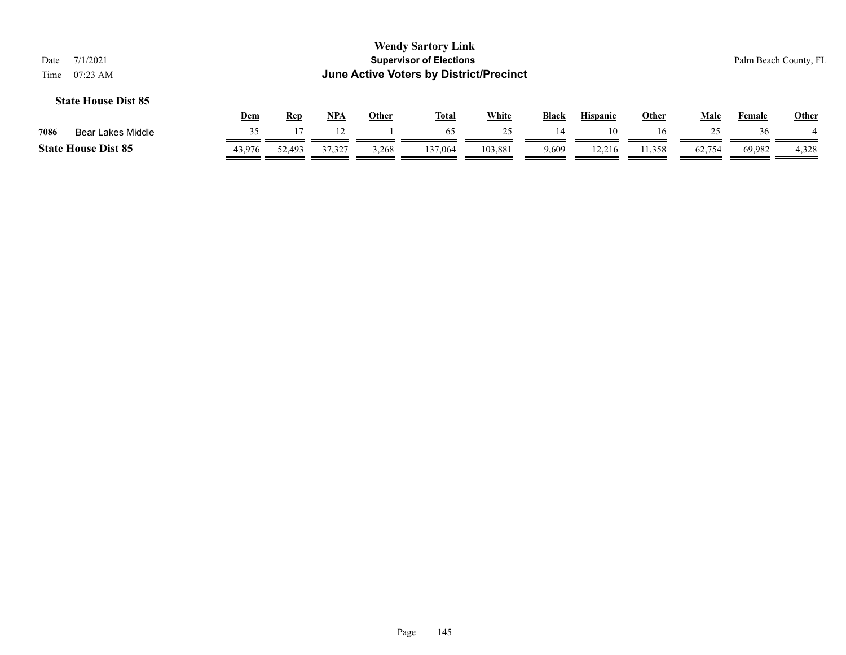|      |                            | <b>Dem</b> | Rep    | <b>NPA</b> | Other | <b>Total</b> | White   | <b>Black</b> | <b>Hispanic</b> | Other | Male   | Female | Other |
|------|----------------------------|------------|--------|------------|-------|--------------|---------|--------------|-----------------|-------|--------|--------|-------|
| 7086 | Bear Lakes Middle          |            |        |            |       | 65           |         | -14          |                 | 16    |        | 36     |       |
|      | <b>State House Dist 85</b> | 43.976     | 52,493 | 37,327     | 3,268 | 137,064      | 103,881 | 9,609        | 12.216          | 1,358 | 62,754 | 69,982 | 4,328 |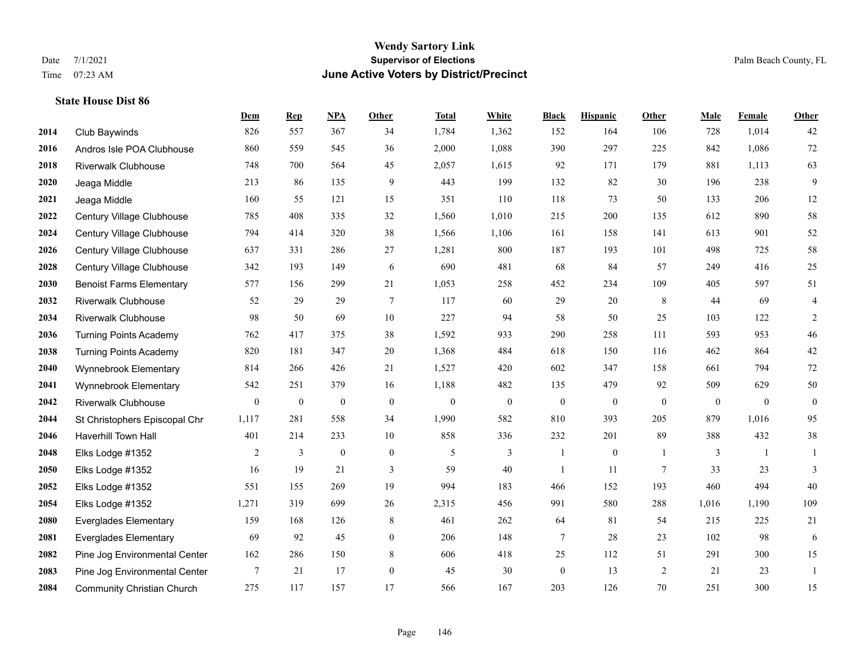#### **Wendy Sartory Link** Date 7/1/2021 **Supervisor of Elections** Palm Beach County, FL Time 07:23 AM **June Active Voters by District/Precinct**

# **Dem Rep NPA Other Total White Black Hispanic Other Male Female Other** Club Baywinds 826 557 367 34 1,784 1,362 152 164 106 728 1,014 42 Andros Isle POA Clubhouse 860 559 545 36 2,000 1,088 390 297 225 842 1,086 72 Riverwalk Clubhouse 748 700 564 45 2,057 1,615 92 171 179 881 1,113 63 Jeaga Middle 213 86 135 9 443 199 132 82 30 196 238 9 Jeaga Middle 160 55 121 15 351 110 118 73 50 133 206 12 Century Village Clubhouse 785 408 335 32 1,560 1,010 215 200 135 612 890 58 Century Village Clubhouse 794 414 320 38 1,566 1,106 161 158 141 613 901 52 Century Village Clubhouse 637 331 286 27 1,281 800 187 193 101 498 725 58 Century Village Clubhouse 342 193 149 6 690 481 68 84 57 249 416 25 Benoist Farms Elementary 577 156 299 21 1,053 258 452 234 109 405 597 51 Riverwalk Clubhouse 52 29 29 7 117 60 29 20 8 44 69 4 Riverwalk Clubhouse 98 50 69 10 227 94 58 50 25 103 122 2 Turning Points Academy 762 417 375 38 1,592 933 290 258 111 593 953 46 Turning Points Academy 820 181 347 20 1,368 484 618 150 116 462 864 42 Wynnebrook Elementary 814 266 426 21 1,527 420 602 347 158 661 794 72 Wynnebrook Elementary 542 251 379 16 1,188 482 135 479 92 509 629 50 Riverwalk Clubhouse 0 0 0 0 0 0 0 0 0 0 0 0 St Christophers Episcopal Chr 1,117 281 558 34 1,990 582 810 393 205 879 1,016 95 Haverhill Town Hall 401 214 233 10 858 336 232 201 89 388 432 38 Elks Lodge #1352 2 3 0 0 5 3 1 0 1 3 1 1 Elks Lodge #1352 16 19 21 3 59 40 1 11 7 33 23 3 Elks Lodge #1352 551 155 269 19 994 183 466 152 193 460 494 40 Elks Lodge #1352 1,271 319 699 26 2,315 456 991 580 288 1,016 1,190 109 Everglades Elementary 159 168 126 8 461 262 64 81 54 215 225 21 Everglades Elementary 69 92 45 0 206 148 7 28 23 102 98 6 Pine Jog Environmental Center 162 286 150 8 606 418 25 112 51 291 300 15 Pine Jog Environmental Center 7 21 17 0 45 30 0 13 2 21 23 1 Community Christian Church 275 117 157 17 566 167 203 126 70 251 300 15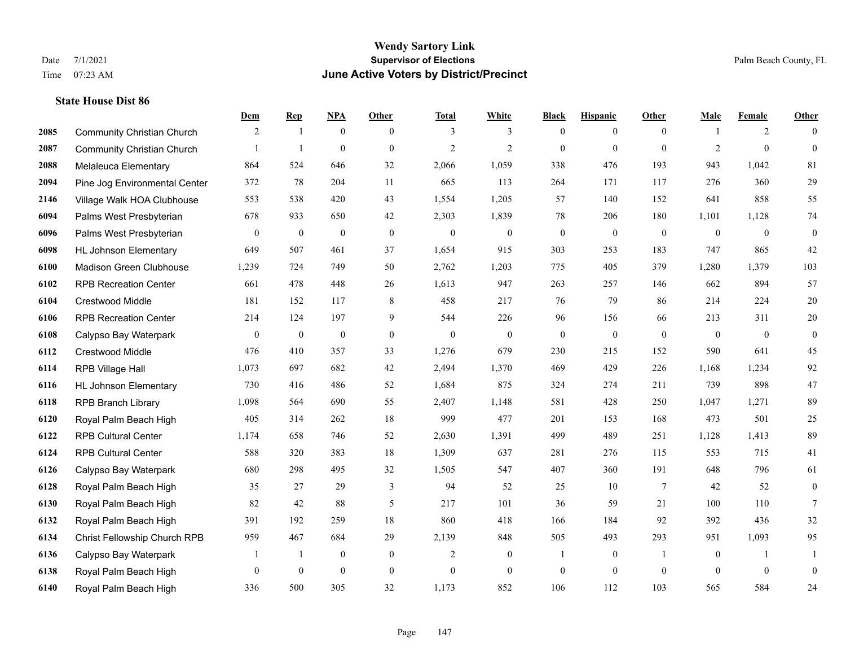|      |                                   | Dem              | <b>Rep</b>       | NPA              | <b>Other</b>   | <b>Total</b>   | <b>White</b>   | <b>Black</b>     | <b>Hispanic</b>  | <b>Other</b>   | <b>Male</b>    | <b>Female</b>  | <b>Other</b>     |
|------|-----------------------------------|------------------|------------------|------------------|----------------|----------------|----------------|------------------|------------------|----------------|----------------|----------------|------------------|
| 2085 | <b>Community Christian Church</b> | 2                | $\mathbf{1}$     | $\mathbf{0}$     | $\theta$       | 3              | 3              | $\mathbf{0}$     | $\overline{0}$   | $\theta$       | -1             | 2              | $\theta$         |
| 2087 | <b>Community Christian Church</b> |                  | $\overline{1}$   | $\overline{0}$   | $\Omega$       | $\overline{2}$ | $\overline{2}$ | $\mathbf{0}$     | $\mathbf{0}$     | $\theta$       | $\overline{2}$ | $\theta$       | $\mathbf{0}$     |
| 2088 | Melaleuca Elementary              | 864              | 524              | 646              | 32             | 2,066          | 1,059          | 338              | 476              | 193            | 943            | 1,042          | 81               |
| 2094 | Pine Jog Environmental Center     | 372              | 78               | 204              | 11             | 665            | 113            | 264              | 171              | 117            | 276            | 360            | 29               |
| 2146 | Village Walk HOA Clubhouse        | 553              | 538              | 420              | 43             | 1,554          | 1,205          | 57               | 140              | 152            | 641            | 858            | 55               |
| 6094 | Palms West Presbyterian           | 678              | 933              | 650              | 42             | 2,303          | 1,839          | 78               | 206              | 180            | 1,101          | 1,128          | 74               |
| 6096 | Palms West Presbyterian           | $\boldsymbol{0}$ | $\boldsymbol{0}$ | $\boldsymbol{0}$ | $\mathbf{0}$   | $\mathbf{0}$   | $\mathbf{0}$   | $\boldsymbol{0}$ | $\mathbf{0}$     | $\mathbf{0}$   | $\mathbf{0}$   | $\mathbf{0}$   | $\boldsymbol{0}$ |
| 6098 | <b>HL Johnson Elementary</b>      | 649              | 507              | 461              | 37             | 1,654          | 915            | 303              | 253              | 183            | 747            | 865            | 42               |
| 6100 | Madison Green Clubhouse           | 1,239            | 724              | 749              | 50             | 2,762          | 1,203          | 775              | 405              | 379            | 1,280          | 1,379          | 103              |
| 6102 | <b>RPB Recreation Center</b>      | 661              | 478              | 448              | 26             | 1,613          | 947            | 263              | 257              | 146            | 662            | 894            | 57               |
| 6104 | Crestwood Middle                  | 181              | 152              | 117              | 8              | 458            | 217            | 76               | 79               | 86             | 214            | 224            | $20\,$           |
| 6106 | <b>RPB Recreation Center</b>      | 214              | 124              | 197              | 9              | 544            | 226            | 96               | 156              | 66             | 213            | 311            | $20\,$           |
| 6108 | Calypso Bay Waterpark             | $\boldsymbol{0}$ | $\boldsymbol{0}$ | $\boldsymbol{0}$ | $\overline{0}$ | $\mathbf{0}$   | $\overline{0}$ | $\mathbf{0}$     | $\mathbf{0}$     | $\theta$       | $\mathbf{0}$   | $\mathbf{0}$   | $\boldsymbol{0}$ |
| 6112 | Crestwood Middle                  | 476              | 410              | 357              | 33             | 1,276          | 679            | 230              | 215              | 152            | 590            | 641            | 45               |
| 6114 | RPB Village Hall                  | 1,073            | 697              | 682              | 42             | 2,494          | 1,370          | 469              | 429              | 226            | 1,168          | 1,234          | 92               |
| 6116 | <b>HL Johnson Elementary</b>      | 730              | 416              | 486              | 52             | 1,684          | 875            | 324              | 274              | 211            | 739            | 898            | $47\,$           |
| 6118 | <b>RPB Branch Library</b>         | 1,098            | 564              | 690              | 55             | 2,407          | 1,148          | 581              | 428              | 250            | 1,047          | 1,271          | 89               |
| 6120 | Royal Palm Beach High             | 405              | 314              | 262              | 18             | 999            | 477            | 201              | 153              | 168            | 473            | 501            | $25\,$           |
| 6122 | <b>RPB Cultural Center</b>        | 1,174            | 658              | 746              | 52             | 2,630          | 1,391          | 499              | 489              | 251            | 1,128          | 1,413          | 89               |
| 6124 | <b>RPB Cultural Center</b>        | 588              | 320              | 383              | 18             | 1,309          | 637            | 281              | 276              | 115            | 553            | 715            | 41               |
| 6126 | Calypso Bay Waterpark             | 680              | 298              | 495              | 32             | 1,505          | 547            | 407              | 360              | 191            | 648            | 796            | 61               |
| 6128 | Royal Palm Beach High             | 35               | 27               | 29               | 3              | 94             | 52             | 25               | 10               | $\overline{7}$ | 42             | 52             | $\boldsymbol{0}$ |
| 6130 | Royal Palm Beach High             | 82               | 42               | 88               | 5              | 217            | 101            | 36               | 59               | 21             | 100            | 110            | 7                |
| 6132 | Royal Palm Beach High             | 391              | 192              | 259              | 18             | 860            | 418            | 166              | 184              | 92             | 392            | 436            | $32\,$           |
| 6134 | Christ Fellowship Church RPB      | 959              | 467              | 684              | 29             | 2,139          | 848            | 505              | 493              | 293            | 951            | 1,093          | 95               |
| 6136 | Calypso Bay Waterpark             |                  | -1               | $\boldsymbol{0}$ | $\mathbf{0}$   | 2              | $\mathbf{0}$   | 1                | $\boldsymbol{0}$ | $\overline{1}$ | $\overline{0}$ | $\overline{1}$ | 1                |
| 6138 | Royal Palm Beach High             | $\mathbf{0}$     | $\mathbf{0}$     | $\mathbf{0}$     | $\overline{0}$ | $\mathbf{0}$   | $\overline{0}$ | $\boldsymbol{0}$ | $\mathbf{0}$     | $\mathbf{0}$   | $\theta$       | $\mathbf{0}$   | $\boldsymbol{0}$ |
| 6140 | Royal Palm Beach High             | 336              | 500              | 305              | 32             | 1,173          | 852            | 106              | 112              | 103            | 565            | 584            | 24               |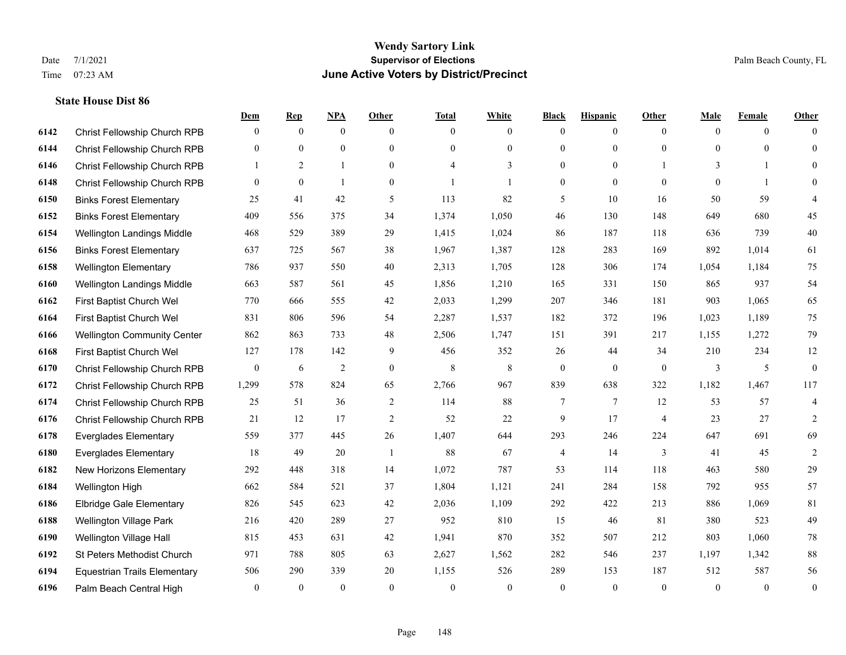|      |                                     | Dem              | <b>Rep</b>   | NPA            | <b>Other</b>   | <b>Total</b> | <b>White</b>   | <b>Black</b>     | <b>Hispanic</b> | <b>Other</b>   | <b>Male</b>  | <b>Female</b>  | <b>Other</b>     |
|------|-------------------------------------|------------------|--------------|----------------|----------------|--------------|----------------|------------------|-----------------|----------------|--------------|----------------|------------------|
| 6142 | Christ Fellowship Church RPB        | $\mathbf{0}$     | $\mathbf{0}$ | $\mathbf{0}$   | $\theta$       | $\theta$     | $\overline{0}$ | $\mathbf{0}$     | $\overline{0}$  | $\theta$       | $\mathbf{0}$ | $\overline{0}$ | $\Omega$         |
| 6144 | <b>Christ Fellowship Church RPB</b> | $\theta$         | $\mathbf{0}$ | $\mathbf{0}$   | $\Omega$       | $\Omega$     | $\overline{0}$ | $\mathbf{0}$     | $\mathbf{0}$    | $\theta$       | $\theta$     | $\theta$       | $\mathbf{0}$     |
| 6146 | Christ Fellowship Church RPB        | 1                | 2            | $\mathbf{1}$   | $\overline{0}$ | 4            | 3              | $\mathbf{0}$     | $\mathbf{0}$    |                | 3            |                | $\Omega$         |
| 6148 | Christ Fellowship Church RPB        | $\overline{0}$   | $\theta$     | $\overline{1}$ | $\overline{0}$ |              | $\mathbf{1}$   | $\boldsymbol{0}$ | $\mathbf{0}$    | $\theta$       | $\theta$     | $\mathbf{1}$   | $\theta$         |
| 6150 | <b>Binks Forest Elementary</b>      | 25               | 41           | 42             | 5              | 113          | 82             | 5                | 10              | 16             | 50           | 59             | 4                |
| 6152 | <b>Binks Forest Elementary</b>      | 409              | 556          | 375            | 34             | 1,374        | 1,050          | 46               | 130             | 148            | 649          | 680            | 45               |
| 6154 | Wellington Landings Middle          | 468              | 529          | 389            | 29             | 1,415        | 1,024          | 86               | 187             | 118            | 636          | 739            | $40\,$           |
| 6156 | <b>Binks Forest Elementary</b>      | 637              | 725          | 567            | 38             | 1,967        | 1,387          | 128              | 283             | 169            | 892          | 1,014          | 61               |
| 6158 | <b>Wellington Elementary</b>        | 786              | 937          | 550            | 40             | 2,313        | 1,705          | 128              | 306             | 174            | 1,054        | 1,184          | $75\,$           |
| 6160 | <b>Wellington Landings Middle</b>   | 663              | 587          | 561            | 45             | 1,856        | 1,210          | 165              | 331             | 150            | 865          | 937            | 54               |
| 6162 | First Baptist Church Wel            | 770              | 666          | 555            | 42             | 2,033        | 1,299          | 207              | 346             | 181            | 903          | 1,065          | 65               |
| 6164 | First Baptist Church Wel            | 831              | 806          | 596            | 54             | 2,287        | 1,537          | 182              | 372             | 196            | 1,023        | 1,189          | 75               |
| 6166 | <b>Wellington Community Center</b>  | 862              | 863          | 733            | 48             | 2,506        | 1,747          | 151              | 391             | 217            | 1,155        | 1,272          | 79               |
| 6168 | First Baptist Church Wel            | 127              | 178          | 142            | 9              | 456          | 352            | 26               | 44              | 34             | 210          | 234            | $12\,$           |
| 6170 | Christ Fellowship Church RPB        | $\boldsymbol{0}$ | 6            | $\overline{2}$ | $\overline{0}$ | 8            | 8              | $\mathbf{0}$     | $\mathbf{0}$    | $\overline{0}$ | 3            | 5              | $\boldsymbol{0}$ |
| 6172 | Christ Fellowship Church RPB        | 1,299            | 578          | 824            | 65             | 2,766        | 967            | 839              | 638             | 322            | 1,182        | 1,467          | 117              |
| 6174 | Christ Fellowship Church RPB        | 25               | 51           | 36             | $\overline{2}$ | 114          | $88\,$         | 7                | 7               | 12             | 53           | 57             | $\overline{4}$   |
| 6176 | Christ Fellowship Church RPB        | 21               | 12           | 17             | $\overline{2}$ | 52           | 22             | 9                | 17              | $\overline{4}$ | 23           | 27             | 2                |
| 6178 | <b>Everglades Elementary</b>        | 559              | 377          | 445            | 26             | 1,407        | 644            | 293              | 246             | 224            | 647          | 691            | 69               |
| 6180 | <b>Everglades Elementary</b>        | 18               | 49           | 20             | $\overline{1}$ | 88           | 67             | 4                | 14              | $\overline{3}$ | 41           | 45             | $\sqrt{2}$       |
| 6182 | New Horizons Elementary             | 292              | 448          | 318            | 14             | 1,072        | 787            | 53               | 114             | 118            | 463          | 580            | 29               |
| 6184 | Wellington High                     | 662              | 584          | 521            | 37             | 1,804        | 1,121          | 241              | 284             | 158            | 792          | 955            | 57               |
| 6186 | <b>Elbridge Gale Elementary</b>     | 826              | 545          | 623            | 42             | 2,036        | 1,109          | 292              | 422             | 213            | 886          | 1,069          | 81               |
| 6188 | Wellington Village Park             | 216              | 420          | 289            | 27             | 952          | 810            | 15               | 46              | 81             | 380          | 523            | 49               |
| 6190 | Wellington Village Hall             | 815              | 453          | 631            | 42             | 1,941        | 870            | 352              | 507             | 212            | 803          | 1.060          | $78\,$           |
| 6192 | St Peters Methodist Church          | 971              | 788          | 805            | 63             | 2,627        | 1,562          | 282              | 546             | 237            | 1,197        | 1,342          | $88\,$           |
| 6194 | <b>Equestrian Trails Elementary</b> | 506              | 290          | 339            | 20             | 1,155        | 526            | 289              | 153             | 187            | 512          | 587            | 56               |
| 6196 | Palm Beach Central High             | $\mathbf{0}$     | $\mathbf{0}$ | $\mathbf{0}$   | $\theta$       | $\theta$     | $\mathbf{0}$   | $\theta$         | $\mathbf{0}$    | $\theta$       | $\theta$     | $\overline{0}$ | $\boldsymbol{0}$ |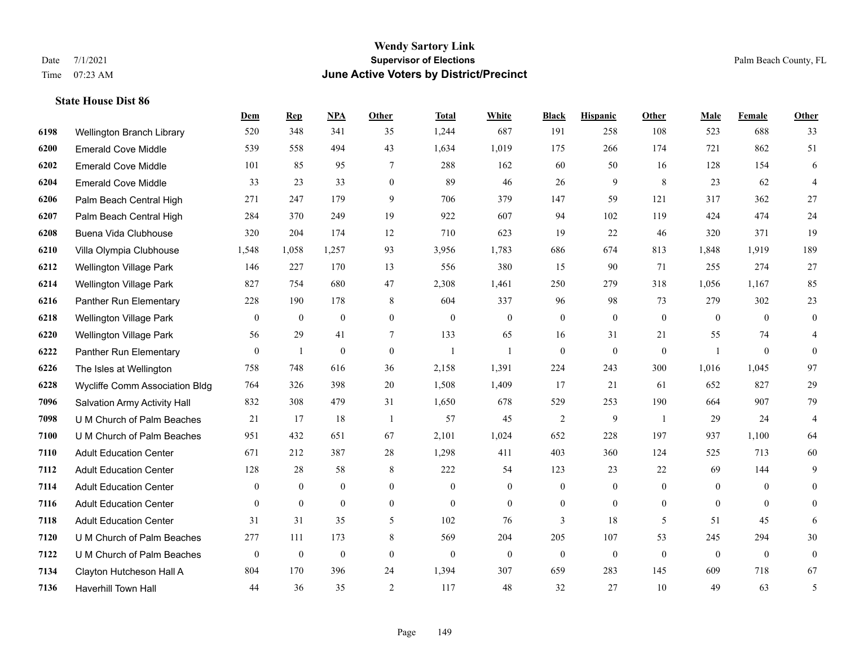|      |                                | Dem              | <b>Rep</b>     | NPA              | <b>Other</b>     | <b>Total</b>   | <b>White</b>     | <b>Black</b>     | <b>Hispanic</b>  | Other          | <b>Male</b>    | Female           | <b>Other</b>   |
|------|--------------------------------|------------------|----------------|------------------|------------------|----------------|------------------|------------------|------------------|----------------|----------------|------------------|----------------|
| 6198 | Wellington Branch Library      | 520              | 348            | 341              | 35               | 1,244          | 687              | 191              | 258              | 108            | 523            | 688              | 33             |
| 6200 | <b>Emerald Cove Middle</b>     | 539              | 558            | 494              | 43               | 1,634          | 1,019            | 175              | 266              | 174            | 721            | 862              | 51             |
| 6202 | <b>Emerald Cove Middle</b>     | 101              | 85             | 95               | 7                | 288            | 162              | 60               | 50               | 16             | 128            | 154              | 6              |
| 6204 | <b>Emerald Cove Middle</b>     | 33               | 23             | 33               | $\overline{0}$   | 89             | 46               | 26               | 9                | 8              | 23             | 62               | $\overline{4}$ |
| 6206 | Palm Beach Central High        | 271              | 247            | 179              | 9                | 706            | 379              | 147              | 59               | 121            | 317            | 362              | 27             |
| 6207 | Palm Beach Central High        | 284              | 370            | 249              | 19               | 922            | 607              | 94               | 102              | 119            | 424            | 474              | 24             |
| 6208 | Buena Vida Clubhouse           | 320              | 204            | 174              | 12               | 710            | 623              | 19               | 22               | 46             | 320            | 371              | 19             |
| 6210 | Villa Olympia Clubhouse        | 1,548            | 1,058          | 1,257            | 93               | 3,956          | 1,783            | 686              | 674              | 813            | 1,848          | 1,919            | 189            |
| 6212 | <b>Wellington Village Park</b> | 146              | 227            | 170              | 13               | 556            | 380              | 15               | 90               | 71             | 255            | 274              | $27\,$         |
| 6214 | <b>Wellington Village Park</b> | 827              | 754            | 680              | 47               | 2,308          | 1,461            | 250              | 279              | 318            | 1,056          | 1,167            | 85             |
| 6216 | Panther Run Elementary         | 228              | 190            | 178              | 8                | 604            | 337              | 96               | 98               | 73             | 279            | 302              | 23             |
| 6218 | <b>Wellington Village Park</b> | $\boldsymbol{0}$ | $\mathbf{0}$   | $\mathbf{0}$     | $\boldsymbol{0}$ | $\theta$       | $\mathbf{0}$     | $\boldsymbol{0}$ | $\overline{0}$   | $\mathbf{0}$   | $\overline{0}$ | $\theta$         | $\mathbf{0}$   |
| 6220 | Wellington Village Park        | 56               | 29             | 41               | 7                | 133            | 65               | 16               | 31               | 21             | 55             | 74               | 4              |
| 6222 | Panther Run Elementary         | $\boldsymbol{0}$ | 1              | $\boldsymbol{0}$ | $\boldsymbol{0}$ | $\overline{1}$ | 1                | $\boldsymbol{0}$ | $\boldsymbol{0}$ | $\mathbf{0}$   | $\overline{1}$ | $\boldsymbol{0}$ | $\theta$       |
| 6226 | The Isles at Wellington        | 758              | 748            | 616              | 36               | 2,158          | 1,391            | 224              | 243              | 300            | 1,016          | 1,045            | 97             |
| 6228 | Wycliffe Comm Association Bldg | 764              | 326            | 398              | 20               | 1,508          | 1,409            | 17               | 21               | 61             | 652            | 827              | 29             |
| 7096 | Salvation Army Activity Hall   | 832              | 308            | 479              | 31               | 1,650          | 678              | 529              | 253              | 190            | 664            | 907              | 79             |
| 7098 | U M Church of Palm Beaches     | 21               | 17             | 18               | $\overline{1}$   | 57             | 45               | $\overline{c}$   | 9                | $\overline{1}$ | 29             | 24               | $\overline{4}$ |
| 7100 | U M Church of Palm Beaches     | 951              | 432            | 651              | 67               | 2,101          | 1,024            | 652              | 228              | 197            | 937            | 1,100            | 64             |
| 7110 | <b>Adult Education Center</b>  | 671              | 212            | 387              | 28               | 1,298          | 411              | 403              | 360              | 124            | 525            | 713              | $60\,$         |
| 7112 | <b>Adult Education Center</b>  | 128              | 28             | 58               | 8                | 222            | 54               | 123              | 23               | 22             | 69             | 144              | 9              |
| 7114 | <b>Adult Education Center</b>  | $\overline{0}$   | $\overline{0}$ | $\overline{0}$   | $\overline{0}$   | $\theta$       | $\overline{0}$   | $\mathbf{0}$     | $\overline{0}$   | $\theta$       | $\mathbf{0}$   | $\theta$         | $\theta$       |
| 7116 | <b>Adult Education Center</b>  | $\overline{0}$   | $\mathbf{0}$   | $\mathbf{0}$     | $\overline{0}$   | $\mathbf{0}$   | $\overline{0}$   | $\boldsymbol{0}$ | $\overline{0}$   | $\overline{0}$ | $\overline{0}$ | $\overline{0}$   | 0              |
| 7118 | <b>Adult Education Center</b>  | 31               | 31             | 35               | 5                | 102            | 76               | 3                | 18               | 5              | 51             | 45               | 6              |
| 7120 | U M Church of Palm Beaches     | 277              | 111            | 173              | 8                | 569            | 204              | 205              | 107              | 53             | 245            | 294              | 30             |
| 7122 | U M Church of Palm Beaches     | $\boldsymbol{0}$ | $\bf{0}$       | $\boldsymbol{0}$ | $\theta$         | $\theta$       | $\boldsymbol{0}$ | $\mathbf{0}$     | $\overline{0}$   | $\Omega$       | $\mathbf{0}$   | $\mathbf{0}$     | $\overline{0}$ |
| 7134 | Clayton Hutcheson Hall A       | 804              | 170            | 396              | 24               | 1,394          | 307              | 659              | 283              | 145            | 609            | 718              | 67             |
| 7136 | <b>Haverhill Town Hall</b>     | 44               | 36             | 35               | $\overline{2}$   | 117            | 48               | 32               | 27               | 10             | 49             | 63               | 5              |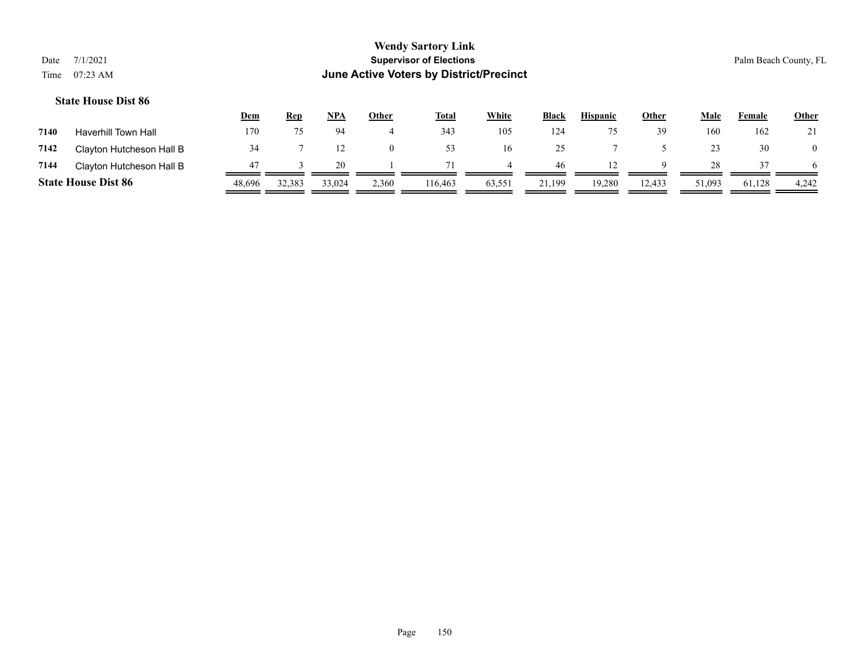|                            |            |            |     |              | <b>Wendy Sartory Link</b>               |              |              |                 |              |             |                       |              |
|----------------------------|------------|------------|-----|--------------|-----------------------------------------|--------------|--------------|-----------------|--------------|-------------|-----------------------|--------------|
| 7/1/2021<br>Date           |            |            |     |              | <b>Supervisor of Elections</b>          |              |              |                 |              |             | Palm Beach County, FL |              |
| Time $07:23 \text{ AM}$    |            |            |     |              | June Active Voters by District/Precinct |              |              |                 |              |             |                       |              |
| <b>State House Dist 86</b> |            |            |     |              |                                         |              |              |                 |              |             |                       |              |
|                            | <u>Dem</u> | <u>Rep</u> | NPA | <b>Other</b> | <u>Total</u>                            | <b>White</b> | <b>Black</b> | <b>Hispanic</b> | <b>Other</b> | <b>Male</b> | Female                | <b>Other</b> |

| 7140 | Haverhill Town Hall        | 170    |        |        |       | 343     | 105    | 124    |        | 39     | 160    | 162    |          |
|------|----------------------------|--------|--------|--------|-------|---------|--------|--------|--------|--------|--------|--------|----------|
| 7142 | Clayton Hutcheson Hall B   |        |        |        |       |         | 16.    |        |        |        |        | 30     | $\theta$ |
| 7144 | Clayton Hutcheson Hall B   |        |        | 20     |       |         |        | 46     |        |        | 28     |        | 6        |
|      | <b>State House Dist 86</b> | 48,696 | 32,383 | 33,024 | 2,360 | 116,463 | 63,551 | 21,199 | 19,280 | 12,433 | 51,093 | 61,128 | 4,242    |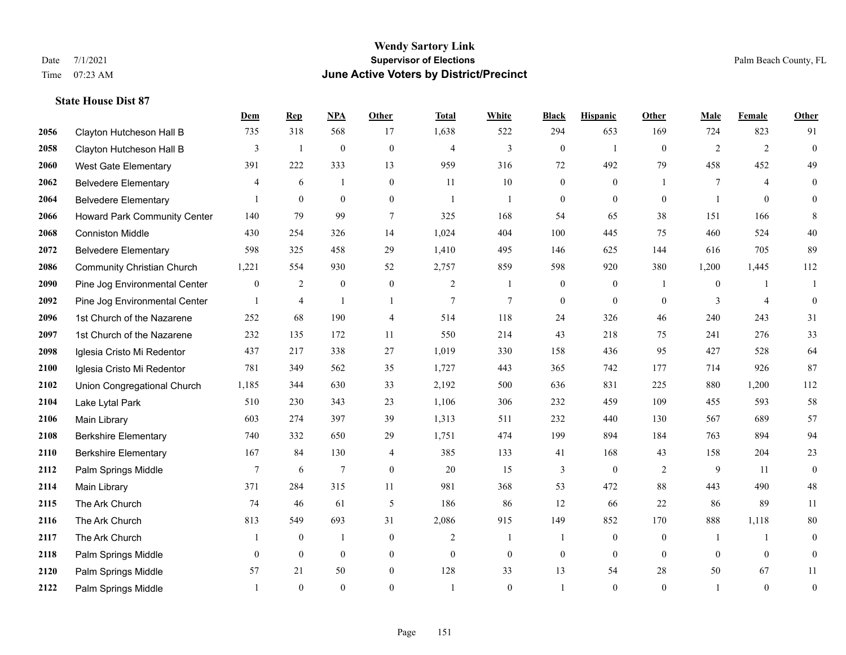|      |                                   | Dem              | <b>Rep</b>     | NPA              | <b>Other</b>     | <b>Total</b>   | <b>White</b>     | <b>Black</b>     | <b>Hispanic</b>  | <b>Other</b>   | <b>Male</b>    | Female         | <b>Other</b>     |
|------|-----------------------------------|------------------|----------------|------------------|------------------|----------------|------------------|------------------|------------------|----------------|----------------|----------------|------------------|
| 2056 | Clayton Hutcheson Hall B          | 735              | 318            | 568              | 17               | 1,638          | 522              | 294              | 653              | 169            | 724            | 823            | 91               |
| 2058 | Clayton Hutcheson Hall B          | 3                | $\mathbf{1}$   | $\boldsymbol{0}$ | $\mathbf{0}$     | $\overline{4}$ | 3                | $\boldsymbol{0}$ | $\mathbf{1}$     | $\mathbf{0}$   | $\overline{2}$ | 2              | $\boldsymbol{0}$ |
| 2060 | <b>West Gate Elementary</b>       | 391              | 222            | 333              | 13               | 959            | 316              | 72               | 492              | 79             | 458            | 452            | 49               |
| 2062 | <b>Belvedere Elementary</b>       | $\overline{4}$   | 6              | $\overline{1}$   | $\overline{0}$   | 11             | 10               | $\boldsymbol{0}$ | $\mathbf{0}$     |                | 7              | $\overline{4}$ | $\mathbf{0}$     |
| 2064 | <b>Belvedere Elementary</b>       |                  | $\mathbf{0}$   | $\overline{0}$   | $\overline{0}$   | $\overline{1}$ | -1               | $\boldsymbol{0}$ | $\mathbf{0}$     | $\theta$       |                | $\theta$       | $\mathbf{0}$     |
| 2066 | Howard Park Community Center      | 140              | 79             | 99               | 7                | 325            | 168              | 54               | 65               | 38             | 151            | 166            | 8                |
| 2068 | <b>Conniston Middle</b>           | 430              | 254            | 326              | 14               | 1,024          | 404              | 100              | 445              | 75             | 460            | 524            | $40\,$           |
| 2072 | <b>Belvedere Elementary</b>       | 598              | 325            | 458              | 29               | 1,410          | 495              | 146              | 625              | 144            | 616            | 705            | 89               |
| 2086 | <b>Community Christian Church</b> | 1,221            | 554            | 930              | 52               | 2,757          | 859              | 598              | 920              | 380            | 1,200          | 1,445          | 112              |
| 2090 | Pine Jog Environmental Center     | $\boldsymbol{0}$ | $\overline{2}$ | $\boldsymbol{0}$ | $\boldsymbol{0}$ | 2              | $\mathbf{1}$     | $\boldsymbol{0}$ | $\boldsymbol{0}$ | $\overline{1}$ | $\overline{0}$ | -1             | 1                |
| 2092 | Pine Jog Environmental Center     | $\mathbf{1}$     | $\overline{4}$ | $\mathbf{1}$     | $\overline{1}$   | 7              | $\overline{7}$   | $\boldsymbol{0}$ | $\mathbf{0}$     | $\theta$       | 3              | $\overline{4}$ | $\mathbf{0}$     |
| 2096 | 1st Church of the Nazarene        | 252              | 68             | 190              | 4                | 514            | 118              | 24               | 326              | 46             | 240            | 243            | 31               |
| 2097 | 1st Church of the Nazarene        | 232              | 135            | 172              | 11               | 550            | 214              | 43               | 218              | 75             | 241            | 276            | 33               |
| 2098 | Iglesia Cristo Mi Redentor        | 437              | 217            | 338              | 27               | 1,019          | 330              | 158              | 436              | 95             | 427            | 528            | 64               |
| 2100 | Iglesia Cristo Mi Redentor        | 781              | 349            | 562              | 35               | 1,727          | 443              | 365              | 742              | 177            | 714            | 926            | 87               |
| 2102 | Union Congregational Church       | 1,185            | 344            | 630              | 33               | 2,192          | 500              | 636              | 831              | 225            | 880            | 1,200          | 112              |
| 2104 | Lake Lytal Park                   | 510              | 230            | 343              | 23               | 1,106          | 306              | 232              | 459              | 109            | 455            | 593            | 58               |
| 2106 | Main Library                      | 603              | 274            | 397              | 39               | 1,313          | 511              | 232              | 440              | 130            | 567            | 689            | 57               |
| 2108 | <b>Berkshire Elementary</b>       | 740              | 332            | 650              | 29               | 1,751          | 474              | 199              | 894              | 184            | 763            | 894            | 94               |
| 2110 | <b>Berkshire Elementary</b>       | 167              | 84             | 130              | 4                | 385            | 133              | 41               | 168              | 43             | 158            | 204            | 23               |
| 2112 | Palm Springs Middle               | $\tau$           | 6              | $\overline{7}$   | $\Omega$         | 20             | 15               | 3                | $\mathbf{0}$     | 2              | 9              | 11             | $\mathbf{0}$     |
| 2114 | Main Library                      | 371              | 284            | 315              | 11               | 981            | 368              | 53               | 472              | 88             | 443            | 490            | $48\,$           |
| 2115 | The Ark Church                    | 74               | 46             | 61               | 5                | 186            | 86               | 12               | 66               | 22             | 86             | 89             | 11               |
| 2116 | The Ark Church                    | 813              | 549            | 693              | 31               | 2,086          | 915              | 149              | 852              | 170            | 888            | 1,118          | $80\,$           |
| 2117 | The Ark Church                    | 1                | $\mathbf{0}$   | $\mathbf{1}$     | $\mathbf{0}$     | $\overline{2}$ | $\mathbf{1}$     | 1                | $\mathbf{0}$     | $\theta$       | -1             | $\mathbf{1}$   | $\boldsymbol{0}$ |
| 2118 | Palm Springs Middle               | $\mathbf{0}$     | $\mathbf{0}$   | $\overline{0}$   | $\overline{0}$   | $\mathbf{0}$   | $\boldsymbol{0}$ | $\boldsymbol{0}$ | $\mathbf{0}$     | $\mathbf{0}$   | $\mathbf{0}$   | $\mathbf{0}$   | $\boldsymbol{0}$ |
| 2120 | Palm Springs Middle               | 57               | 21             | 50               | $\overline{0}$   | 128            | 33               | 13               | 54               | 28             | 50             | 67             | 11               |
| 2122 | Palm Springs Middle               |                  | $\theta$       | $\theta$         | $\Omega$         |                | $\Omega$         | $\mathbf{1}$     | $\theta$         | $\theta$       |                | $\theta$       | $\boldsymbol{0}$ |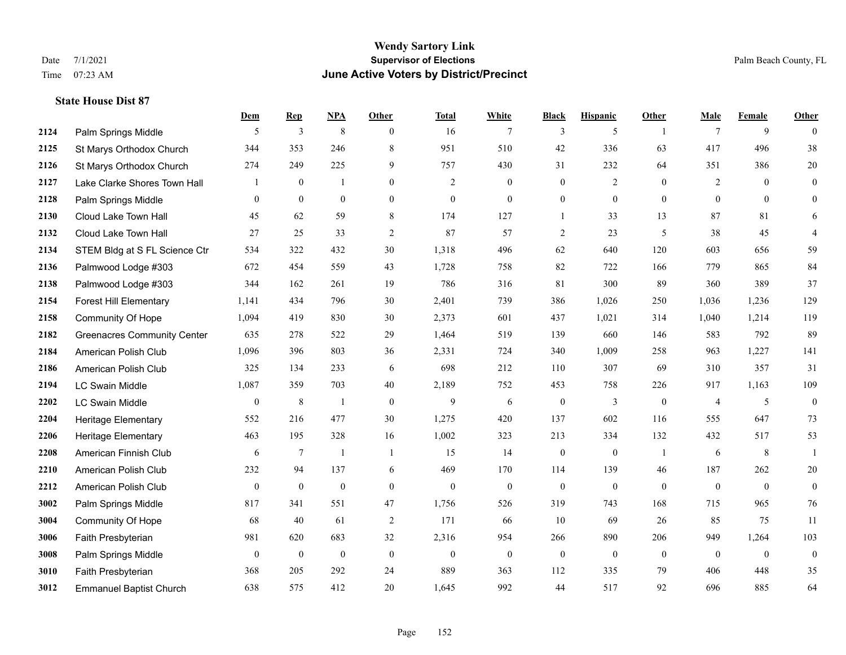#### **Wendy Sartory Link** Date 7/1/2021 **Supervisor of Elections** Palm Beach County, FL Time 07:23 AM **June Active Voters by District/Precinct**

# **Dem Rep NPA Other Total White Black Hispanic Other Male Female Other 2124** Palm Springs Middle  $\begin{array}{ccccccccccccc} & 5 & 3 & 8 & 0 & 16 & 7 & 3 & 5 & 1 & 7 & 9 & 0 \end{array}$  St Marys Orthodox Church 344 353 246 8 951 510 42 336 63 417 496 38 St Marys Orthodox Church 274 249 225 9 757 430 31 232 64 351 386 20 Lake Clarke Shores Town Hall  $\begin{array}{ccccccccc} 1 & 0 & 1 & 0 & 2 & 0 & 0 & 2 & 0 & 2 & 0 & 0 \end{array}$  Palm Springs Middle 0 0 0 0 0 0 0 0 0 0 0 0 Cloud Lake Town Hall 45 62 59 8 174 127 1 33 13 87 81 6 Cloud Lake Town Hall 27 25 33 2 87 57 2 23 5 38 45 4 STEM Bldg at S FL Science Ctr 534 322 432 30 1,318 496 62 640 120 603 656 59 Palmwood Lodge #303 672 454 559 43 1,728 758 82 722 166 779 865 84 Palmwood Lodge #303 344 162 261 19 786 316 81 300 89 360 389 37 Forest Hill Elementary 1,141 434 796 30 2,401 739 386 1,026 250 1,036 1,236 129 Community Of Hope 1,094 419 830 30 2,373 601 437 1,021 314 1,040 1,214 119 Greenacres Community Center 635 278 522 29 1,464 519 139 660 146 583 792 89 American Polish Club 1,096 396 803 36 2,331 724 340 1,009 258 963 1,227 141 American Polish Club 325 134 233 6 698 212 110 307 69 310 357 31 LC Swain Middle 1,087 359 703 40 2,189 752 453 758 226 917 1,163 109 LC Swain Middle 0 8 1 0 9 6 0 3 0 4 5 0 Heritage Elementary 552 216 477 30 1,275 420 137 602 116 555 647 73 Heritage Elementary 463 195 328 16 1,002 323 213 334 132 432 517 53 American Finnish Club 6 7 1 1 15 14 0 0 1 6 8 1 American Polish Club 232 94 137 6 469 170 114 139 46 187 262 20 American Polish Club 0 0 0 0 0 0 0 0 0 0 0 0 Palm Springs Middle 817 341 551 47 1,756 526 319 743 168 715 965 76 Community Of Hope 68 40 61 2 171 66 10 69 26 85 75 11 Faith Presbyterian 981 620 683 32 2,316 954 266 890 206 949 1,264 103 Palm Springs Middle 0 0 0 0 0 0 0 0 0 0 0 0 Faith Presbyterian 368 205 292 24 889 363 112 335 79 406 448 35 Emmanuel Baptist Church 638 575 412 20 1,645 992 44 517 92 696 885 64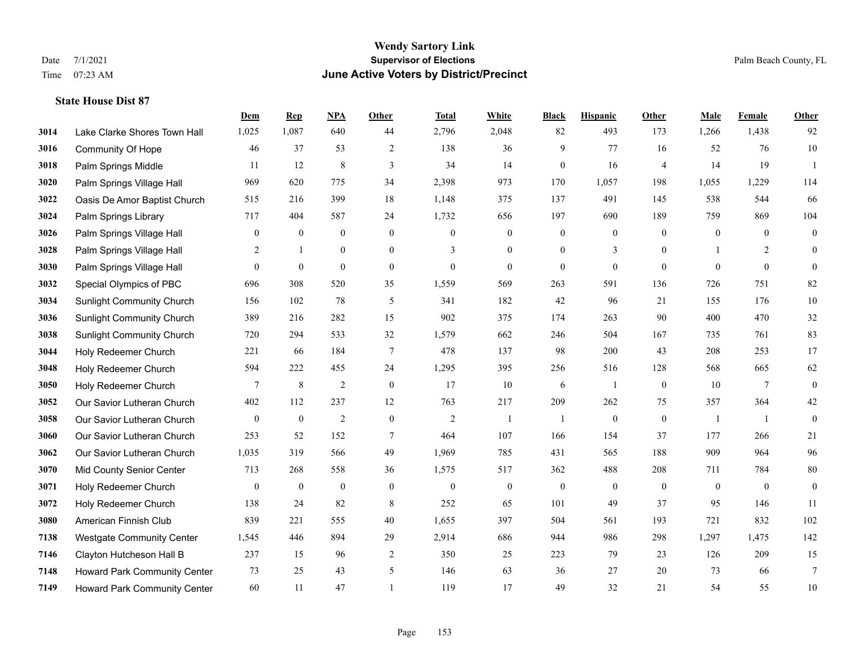|      |                                  | Dem              | <b>Rep</b>       | NPA              | <b>Other</b>     | <b>Total</b>     | <b>White</b>     | <b>Black</b>     | <b>Hispanic</b>  | <b>Other</b>   | <b>Male</b>  | <b>Female</b>  | <b>Other</b>     |
|------|----------------------------------|------------------|------------------|------------------|------------------|------------------|------------------|------------------|------------------|----------------|--------------|----------------|------------------|
| 3014 | Lake Clarke Shores Town Hall     | 1,025            | 1,087            | 640              | 44               | 2,796            | 2,048            | 82               | 493              | 173            | 1,266        | 1,438          | 92               |
| 3016 | <b>Community Of Hope</b>         | 46               | 37               | 53               | $\overline{2}$   | 138              | 36               | 9                | 77               | 16             | 52           | 76             | $10\,$           |
| 3018 | Palm Springs Middle              | 11               | 12               | 8                | 3                | 34               | 14               | $\mathbf{0}$     | 16               | $\overline{4}$ | 14           | 19             | $\overline{1}$   |
| 3020 | Palm Springs Village Hall        | 969              | 620              | 775              | 34               | 2,398            | 973              | 170              | 1,057            | 198            | 1,055        | 1,229          | 114              |
| 3022 | Oasis De Amor Baptist Church     | 515              | 216              | 399              | 18               | 1,148            | 375              | 137              | 491              | 145            | 538          | 544            | 66               |
| 3024 | Palm Springs Library             | 717              | 404              | 587              | 24               | 1,732            | 656              | 197              | 690              | 189            | 759          | 869            | 104              |
| 3026 | Palm Springs Village Hall        | $\mathbf{0}$     | $\boldsymbol{0}$ | $\boldsymbol{0}$ | $\boldsymbol{0}$ | $\boldsymbol{0}$ | $\boldsymbol{0}$ | $\boldsymbol{0}$ | $\boldsymbol{0}$ | $\mathbf{0}$   | $\mathbf{0}$ | $\mathbf{0}$   | $\boldsymbol{0}$ |
| 3028 | Palm Springs Village Hall        | 2                | $\mathbf{1}$     | $\overline{0}$   | $\overline{0}$   | 3                | $\overline{0}$   | $\mathbf{0}$     | 3                | $\theta$       |              | $\overline{2}$ | $\mathbf{0}$     |
| 3030 | Palm Springs Village Hall        | $\overline{0}$   | $\boldsymbol{0}$ | $\mathbf{0}$     | $\overline{0}$   | $\boldsymbol{0}$ | $\mathbf{0}$     | $\mathbf{0}$     | $\mathbf{0}$     | $\mathbf{0}$   | $\theta$     | $\mathbf{0}$   | $\theta$         |
| 3032 | Special Olympics of PBC          | 696              | 308              | 520              | 35               | 1,559            | 569              | 263              | 591              | 136            | 726          | 751            | 82               |
| 3034 | <b>Sunlight Community Church</b> | 156              | 102              | 78               | 5                | 341              | 182              | 42               | 96               | 21             | 155          | 176            | $10\,$           |
| 3036 | <b>Sunlight Community Church</b> | 389              | 216              | 282              | 15               | 902              | 375              | 174              | 263              | 90             | 400          | 470            | $32\,$           |
| 3038 | <b>Sunlight Community Church</b> | 720              | 294              | 533              | 32               | 1,579            | 662              | 246              | 504              | 167            | 735          | 761            | 83               |
| 3044 | Holy Redeemer Church             | 221              | 66               | 184              | $\tau$           | 478              | 137              | 98               | 200              | 43             | 208          | 253            | 17               |
| 3048 | Holy Redeemer Church             | 594              | 222              | 455              | 24               | 1,295            | 395              | 256              | 516              | 128            | 568          | 665            | 62               |
| 3050 | Holy Redeemer Church             | 7                | $\,8\,$          | $\overline{2}$   | $\mathbf{0}$     | 17               | 10               | 6                | 1                | $\overline{0}$ | 10           | $\overline{7}$ | $\mathbf{0}$     |
| 3052 | Our Savior Lutheran Church       | 402              | 112              | 237              | 12               | 763              | 217              | 209              | 262              | 75             | 357          | 364            | $42\,$           |
| 3058 | Our Savior Lutheran Church       | $\mathbf{0}$     | $\boldsymbol{0}$ | $\overline{2}$   | $\overline{0}$   | $\overline{c}$   | $\mathbf{1}$     | 1                | $\boldsymbol{0}$ | $\overline{0}$ | -1           | -1             | $\mathbf{0}$     |
| 3060 | Our Savior Lutheran Church       | 253              | 52               | 152              | $\tau$           | 464              | 107              | 166              | 154              | 37             | 177          | 266            | 21               |
| 3062 | Our Savior Lutheran Church       | 1,035            | 319              | 566              | 49               | 1,969            | 785              | 431              | 565              | 188            | 909          | 964            | 96               |
| 3070 | <b>Mid County Senior Center</b>  | 713              | 268              | 558              | 36               | 1,575            | 517              | 362              | 488              | 208            | 711          | 784            | $80\,$           |
| 3071 | Holy Redeemer Church             | $\boldsymbol{0}$ | $\boldsymbol{0}$ | $\boldsymbol{0}$ | $\mathbf{0}$     | $\boldsymbol{0}$ | $\boldsymbol{0}$ | $\boldsymbol{0}$ | $\boldsymbol{0}$ | $\mathbf{0}$   | $\mathbf{0}$ | $\mathbf{0}$   | $\boldsymbol{0}$ |
| 3072 | Holy Redeemer Church             | 138              | 24               | 82               | 8                | 252              | 65               | 101              | 49               | 37             | 95           | 146            | 11               |
| 3080 | American Finnish Club            | 839              | 221              | 555              | 40               | 1,655            | 397              | 504              | 561              | 193            | 721          | 832            | 102              |
| 7138 | <b>Westgate Community Center</b> | 1,545            | 446              | 894              | 29               | 2,914            | 686              | 944              | 986              | 298            | 1,297        | 1,475          | 142              |
| 7146 | Clayton Hutcheson Hall B         | 237              | 15               | 96               | $\overline{2}$   | 350              | 25               | 223              | 79               | 23             | 126          | 209            | 15               |
| 7148 | Howard Park Community Center     | 73               | 25               | 43               | 5                | 146              | 63               | 36               | 27               | 20             | 73           | 66             | $7\phantom{.0}$  |
| 7149 | Howard Park Community Center     | 60               | 11               | 47               |                  | 119              | 17               | 49               | 32               | 21             | 54           | 55             | $10\,$           |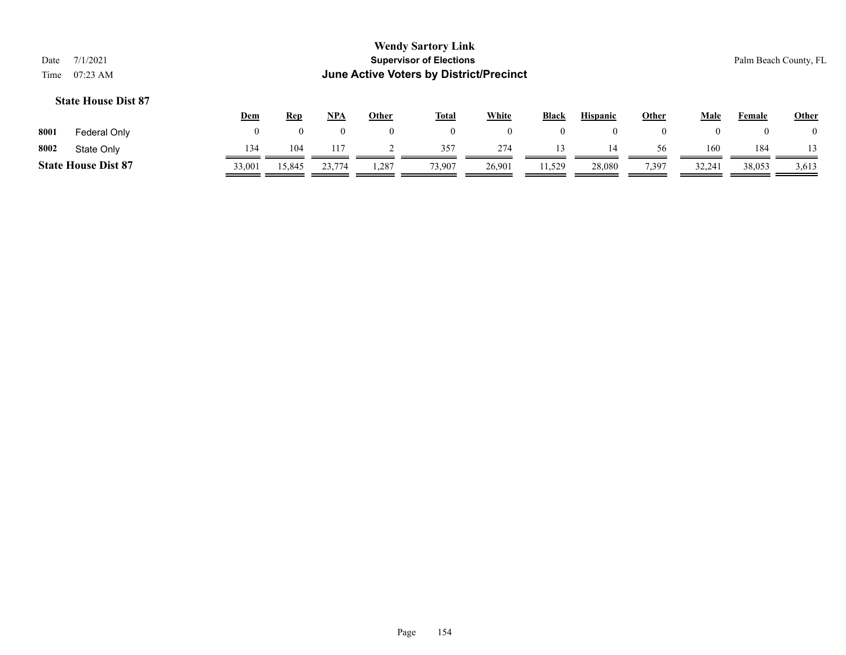|                                                       | <b>Wendy Sartory Link</b>               |                       |
|-------------------------------------------------------|-----------------------------------------|-----------------------|
| Date 7/1/2021                                         | <b>Supervisor of Elections</b>          | Palm Beach County, FL |
| Time $07:23 \text{ AM}$                               | June Active Voters by District/Precinct |                       |
| $\Omega_{\text{L}}$ is the $\Omega$ $\Omega$ $\Omega$ |                                         |                       |

|      |                            | <u>Dem</u> | <b>Rep</b> | NPA           | Other | <b>Total</b> | White  | <b>Black</b> | <b>Hispanic</b> | Other    | Male  | Female | <b>Other</b> |
|------|----------------------------|------------|------------|---------------|-------|--------------|--------|--------------|-----------------|----------|-------|--------|--------------|
| 8001 | Federal Only               |            |            |               | 0     |              |        |              |                 | $\Omega$ |       |        |              |
| 8002 | State Only                 | 134        | 104        |               |       | 357          | 274    |              | 14              | 56       | 160   | 184    |              |
|      | <b>State House Dist 87</b> | 33,001     | 15,845     | 23,774<br>۰ ب | .287  | 73,907       | 26,901 | 11,529       | 28,080          | 7,397    | 32,24 | 38,053 | 3,613        |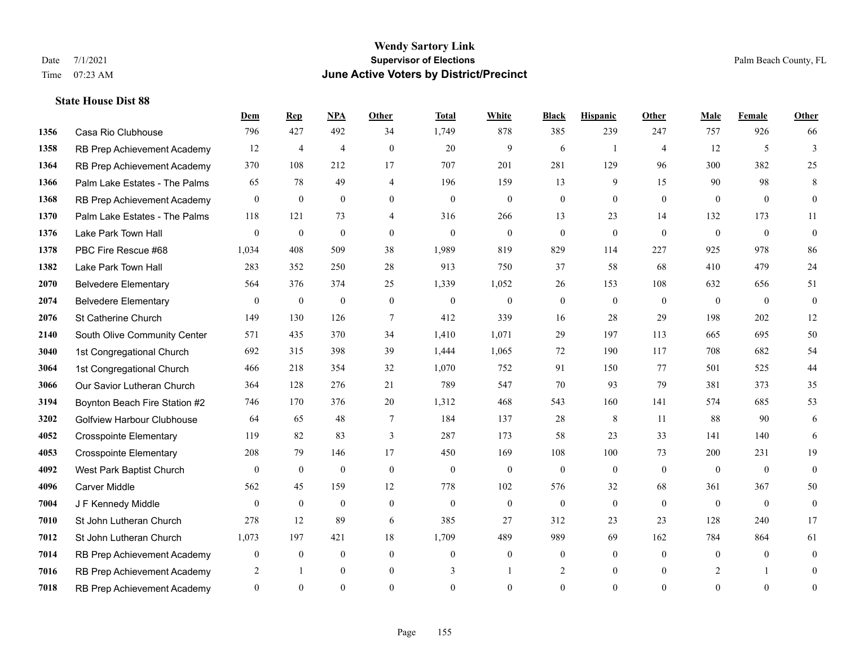|      |                                   | Dem              | <b>Rep</b>       | NPA            | <b>Other</b>   | <b>Total</b> | <b>White</b>   | <b>Black</b>     | <b>Hispanic</b> | Other          | <b>Male</b>  | Female         | <b>Other</b>     |
|------|-----------------------------------|------------------|------------------|----------------|----------------|--------------|----------------|------------------|-----------------|----------------|--------------|----------------|------------------|
| 1356 | Casa Rio Clubhouse                | 796              | 427              | 492            | 34             | 1,749        | 878            | 385              | 239             | 247            | 757          | 926            | 66               |
| 1358 | RB Prep Achievement Academy       | 12               | $\overline{4}$   | $\overline{4}$ | $\theta$       | 20           | 9              | 6                | $\overline{1}$  | $\overline{4}$ | 12           | 5              | 3                |
| 1364 | RB Prep Achievement Academy       | 370              | 108              | 212            | 17             | 707          | 201            | 281              | 129             | 96             | 300          | 382            | 25               |
| 1366 | Palm Lake Estates - The Palms     | 65               | 78               | 49             | $\overline{4}$ | 196          | 159            | 13               | 9               | 15             | 90           | 98             | 8                |
| 1368 | RB Prep Achievement Academy       | $\mathbf{0}$     | $\mathbf{0}$     | $\mathbf{0}$   | $\theta$       | $\mathbf{0}$ | $\mathbf{0}$   | $\overline{0}$   | $\overline{0}$  | $\theta$       | $\theta$     | $\theta$       | $\overline{0}$   |
| 1370 | Palm Lake Estates - The Palms     | 118              | 121              | 73             | $\overline{4}$ | 316          | 266            | 13               | 23              | 14             | 132          | 173            | 11               |
| 1376 | Lake Park Town Hall               | $\mathbf{0}$     | $\mathbf{0}$     | $\mathbf{0}$   | $\overline{0}$ | $\theta$     | $\mathbf{0}$   | $\boldsymbol{0}$ | $\overline{0}$  | $\mathbf{0}$   | $\mathbf{0}$ | $\overline{0}$ | $\mathbf{0}$     |
| 1378 | PBC Fire Rescue #68               | 1,034            | 408              | 509            | 38             | 1,989        | 819            | 829              | 114             | 227            | 925          | 978            | 86               |
| 1382 | Lake Park Town Hall               | 283              | 352              | 250            | 28             | 913          | 750            | 37               | 58              | 68             | 410          | 479            | 24               |
| 2070 | <b>Belvedere Elementary</b>       | 564              | 376              | 374            | 25             | 1,339        | 1,052          | 26               | 153             | 108            | 632          | 656            | 51               |
| 2074 | <b>Belvedere Elementary</b>       | $\mathbf{0}$     | $\mathbf{0}$     | $\mathbf{0}$   | $\theta$       | $\mathbf{0}$ | $\mathbf{0}$   | $\overline{0}$   | $\overline{0}$  | $\theta$       | $\mathbf{0}$ | $\theta$       | $\mathbf{0}$     |
| 2076 | St Catherine Church               | 149              | 130              | 126            | $\tau$         | 412          | 339            | 16               | 28              | 29             | 198          | 202            | 12               |
| 2140 | South Olive Community Center      | 571              | 435              | 370            | 34             | 1,410        | 1,071          | 29               | 197             | 113            | 665          | 695            | 50               |
| 3040 | 1st Congregational Church         | 692              | 315              | 398            | 39             | 1,444        | 1,065          | 72               | 190             | 117            | 708          | 682            | 54               |
| 3064 | 1st Congregational Church         | 466              | 218              | 354            | 32             | 1,070        | 752            | 91               | 150             | 77             | 501          | 525            | 44               |
| 3066 | Our Savior Lutheran Church        | 364              | 128              | 276            | 21             | 789          | 547            | 70               | 93              | 79             | 381          | 373            | 35               |
| 3194 | Boynton Beach Fire Station #2     | 746              | 170              | 376            | 20             | 1,312        | 468            | 543              | 160             | 141            | 574          | 685            | 53               |
| 3202 | <b>Golfview Harbour Clubhouse</b> | 64               | 65               | 48             | 7              | 184          | 137            | 28               | 8               | 11             | 88           | 90             | 6                |
| 4052 | <b>Crosspointe Elementary</b>     | 119              | 82               | 83             | $\mathfrak{Z}$ | 287          | 173            | 58               | 23              | 33             | 141          | 140            | 6                |
| 4053 | <b>Crosspointe Elementary</b>     | 208              | 79               | 146            | 17             | 450          | 169            | 108              | 100             | 73             | 200          | 231            | 19               |
| 4092 | West Park Baptist Church          | $\theta$         | $\mathbf{0}$     | $\mathbf{0}$   | $\theta$       | $\mathbf{0}$ | $\mathbf{0}$   | $\overline{0}$   | $\mathbf{0}$    | $\theta$       | $\theta$     | $\theta$       | $\overline{0}$   |
| 4096 | Carver Middle                     | 562              | 45               | 159            | 12             | 778          | 102            | 576              | 32              | 68             | 361          | 367            | 50               |
| 7004 | J F Kennedy Middle                | $\theta$         | $\mathbf{0}$     | $\mathbf{0}$   | $\overline{0}$ | $\mathbf{0}$ | $\mathbf{0}$   | $\overline{0}$   | $\overline{0}$  | $\theta$       | $\mathbf{0}$ | $\overline{0}$ | $\overline{0}$   |
| 7010 | St John Lutheran Church           | 278              | 12               | 89             | 6              | 385          | 27             | 312              | 23              | 23             | 128          | 240            | 17               |
| 7012 | St John Lutheran Church           | 1,073            | 197              | 421            | 18             | 1,709        | 489            | 989              | 69              | 162            | 784          | 864            | 61               |
| 7014 | RB Prep Achievement Academy       | $\boldsymbol{0}$ | $\boldsymbol{0}$ | $\mathbf{0}$   | $\mathbf{0}$   | $\theta$     | $\overline{0}$ | $\boldsymbol{0}$ | $\overline{0}$  | $\theta$       | $\mathbf{0}$ | $\overline{0}$ | $\boldsymbol{0}$ |
| 7016 | RB Prep Achievement Academy       | 2                | -1               | $\mathbf{0}$   | $\mathbf{0}$   | 3            | 1              | 2                | $\overline{0}$  | $\overline{0}$ | 2            | $\mathbf{1}$   | $\overline{0}$   |
| 7018 | RB Prep Achievement Academy       | $\overline{0}$   | $\Omega$         | $\theta$       | $\theta$       | $\theta$     | $\theta$       | $\overline{0}$   | $\Omega$        | $\theta$       | $\Omega$     | $\theta$       | $\overline{0}$   |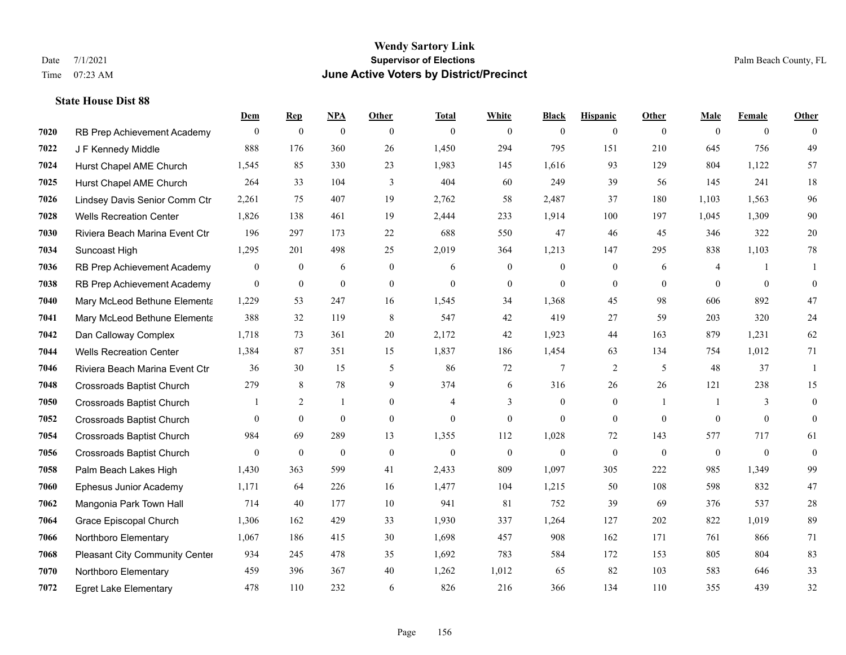|      |                                  | Dem            | <b>Rep</b>       | NPA          | <b>Other</b>   | <b>Total</b>   | <b>White</b>   | <b>Black</b>     | <b>Hispanic</b> | Other          | <b>Male</b>    | <b>Female</b>  | <b>Other</b>     |
|------|----------------------------------|----------------|------------------|--------------|----------------|----------------|----------------|------------------|-----------------|----------------|----------------|----------------|------------------|
| 7020 | RB Prep Achievement Academy      | $\overline{0}$ | $\bf{0}$         | $\mathbf{0}$ | $\theta$       | $\theta$       | $\overline{0}$ | $\mathbf{0}$     | $\mathbf{0}$    | $\theta$       | $\mathbf{0}$   | $\overline{0}$ | $\theta$         |
| 7022 | J F Kennedy Middle               | 888            | 176              | 360          | 26             | 1,450          | 294            | 795              | 151             | 210            | 645            | 756            | 49               |
| 7024 | Hurst Chapel AME Church          | 1,545          | 85               | 330          | 23             | 1,983          | 145            | 1,616            | 93              | 129            | 804            | 1,122          | 57               |
| 7025 | Hurst Chapel AME Church          | 264            | 33               | 104          | 3              | 404            | 60             | 249              | 39              | 56             | 145            | 241            | 18               |
| 7026 | Lindsey Davis Senior Comm Ctr    | 2,261          | 75               | 407          | 19             | 2,762          | 58             | 2,487            | 37              | 180            | 1,103          | 1,563          | 96               |
| 7028 | <b>Wells Recreation Center</b>   | 1,826          | 138              | 461          | 19             | 2,444          | 233            | 1,914            | 100             | 197            | 1,045          | 1,309          | $90\,$           |
| 7030 | Riviera Beach Marina Event Ctr   | 196            | 297              | 173          | 22             | 688            | 550            | 47               | 46              | 45             | 346            | 322            | $20\,$           |
| 7034 | Suncoast High                    | 1,295          | 201              | 498          | 25             | 2,019          | 364            | 1,213            | 147             | 295            | 838            | 1,103          | $78\,$           |
| 7036 | RB Prep Achievement Academy      | $\mathbf{0}$   | $\bf{0}$         | 6            | $\overline{0}$ | 6              | $\overline{0}$ | $\mathbf{0}$     | $\mathbf{0}$    | 6              | $\overline{4}$ | $\mathbf{1}$   | -1               |
| 7038 | RB Prep Achievement Academy      | $\mathbf{0}$   | $\boldsymbol{0}$ | $\mathbf{0}$ | $\overline{0}$ | $\mathbf{0}$   | $\mathbf{0}$   | $\mathbf{0}$     | $\overline{0}$  | $\overline{0}$ | $\overline{0}$ | $\overline{0}$ | $\boldsymbol{0}$ |
| 7040 | Mary McLeod Bethune Elementa     | 1,229          | 53               | 247          | 16             | 1,545          | 34             | 1,368            | 45              | 98             | 606            | 892            | 47               |
| 7041 | Mary McLeod Bethune Elementa     | 388            | 32               | 119          | 8              | 547            | 42             | 419              | 27              | 59             | 203            | 320            | 24               |
| 7042 | Dan Calloway Complex             | 1,718          | 73               | 361          | 20             | 2,172          | 42             | 1,923            | 44              | 163            | 879            | 1,231          | 62               |
| 7044 | <b>Wells Recreation Center</b>   | 1,384          | 87               | 351          | 15             | 1,837          | 186            | 1,454            | 63              | 134            | 754            | 1,012          | 71               |
| 7046 | Riviera Beach Marina Event Ctr   | 36             | 30               | 15           | 5              | 86             | 72             | $\overline{7}$   | $\overline{2}$  | 5              | 48             | 37             | 1                |
| 7048 | <b>Crossroads Baptist Church</b> | 279            | 8                | 78           | 9              | 374            | 6              | 316              | 26              | 26             | 121            | 238            | 15               |
| 7050 | <b>Crossroads Baptist Church</b> |                | 2                | 1            | $\overline{0}$ | $\overline{4}$ | 3              | $\boldsymbol{0}$ | $\mathbf{0}$    | $\overline{1}$ |                | 3              | $\boldsymbol{0}$ |
| 7052 | <b>Crossroads Baptist Church</b> | $\Omega$       | $\overline{0}$   | $\mathbf{0}$ | $\Omega$       | $\theta$       | $\mathbf{0}$   | $\mathbf{0}$     | $\mathbf{0}$    | $\theta$       | $\theta$       | $\theta$       | $\mathbf{0}$     |
| 7054 | Crossroads Baptist Church        | 984            | 69               | 289          | 13             | 1,355          | 112            | 1,028            | 72              | 143            | 577            | 717            | 61               |
| 7056 | Crossroads Baptist Church        | $\overline{0}$ | $\mathbf{0}$     | $\theta$     | $\theta$       | $\mathbf{0}$   | $\overline{0}$ | $\mathbf{0}$     | $\mathbf{0}$    | $\theta$       | $\mathbf{0}$   | $\mathbf{0}$   | $\boldsymbol{0}$ |
| 7058 | Palm Beach Lakes High            | 1,430          | 363              | 599          | 41             | 2,433          | 809            | 1,097            | 305             | 222            | 985            | 1,349          | 99               |
| 7060 | Ephesus Junior Academy           | 1,171          | 64               | 226          | 16             | 1,477          | 104            | 1,215            | 50              | 108            | 598            | 832            | 47               |
| 7062 | Mangonia Park Town Hall          | 714            | 40               | 177          | 10             | 941            | 81             | 752              | 39              | 69             | 376            | 537            | $28\,$           |
| 7064 | Grace Episcopal Church           | 1,306          | 162              | 429          | 33             | 1,930          | 337            | 1,264            | 127             | 202            | 822            | 1,019          | 89               |
| 7066 | Northboro Elementary             | 1,067          | 186              | 415          | 30             | 1,698          | 457            | 908              | 162             | 171            | 761            | 866            | 71               |
| 7068 | Pleasant City Community Center   | 934            | 245              | 478          | 35             | 1,692          | 783            | 584              | 172             | 153            | 805            | 804            | 83               |
| 7070 | Northboro Elementary             | 459            | 396              | 367          | 40             | 1,262          | 1,012          | 65               | 82              | 103            | 583            | 646            | 33               |
| 7072 | <b>Egret Lake Elementary</b>     | 478            | 110              | 232          | 6              | 826            | 216            | 366              | 134             | 110            | 355            | 439            | 32               |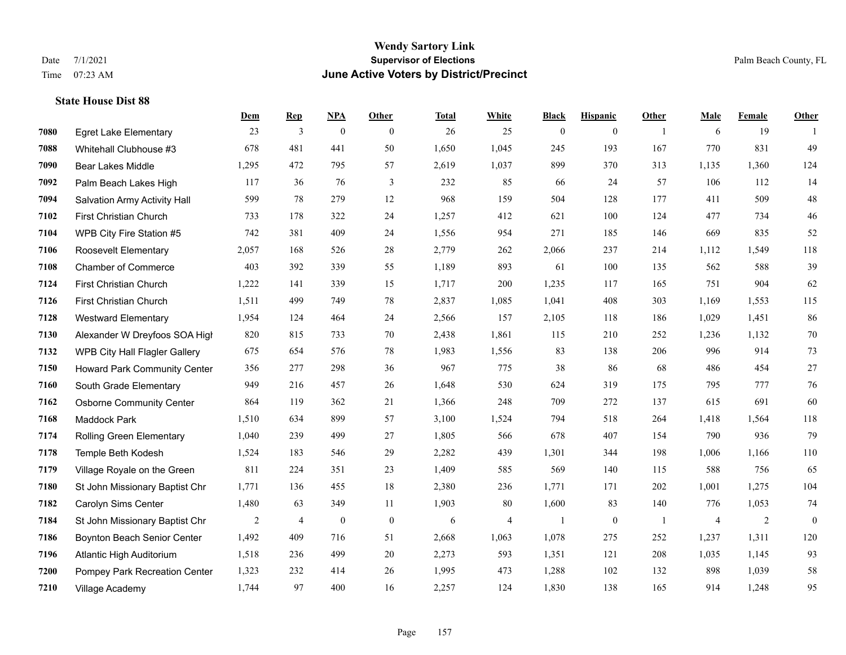#### **Wendy Sartory Link** Date 7/1/2021 **Supervisor of Elections** Palm Beach County, FL Time 07:23 AM **June Active Voters by District/Precinct**

# **Dem Rep NPA Other Total White Black Hispanic Other Male Female Other** Egret Lake Elementary 23 3 0 0 26 25 0 0 1 6 19 1 Whitehall Clubhouse #3 678 481 441 50 1,650 1,045 245 193 167 770 831 49 Bear Lakes Middle 1,295 472 795 57 2,619 1,037 899 370 313 1,135 1,360 124 Palm Beach Lakes High 117 36 76 3 232 85 66 24 57 106 112 14 Salvation Army Activity Hall 599 78 279 12 968 159 504 128 177 411 509 48 First Christian Church 733 178 322 24 1,257 412 621 100 124 477 734 46 WPB City Fire Station #5 742 381 409 24 1,556 954 271 185 146 669 835 52 Roosevelt Elementary 2,057 168 526 28 2,779 262 2,066 237 214 1,112 1,549 118 Chamber of Commerce 403 392 339 55 1,189 893 61 100 135 562 588 39 First Christian Church 1,222 141 339 15 1,717 200 1,235 117 165 751 904 62 First Christian Church 1,511 499 749 78 2,837 1,085 1,041 408 303 1,169 1,553 115 Westward Elementary 1,954 124 464 24 2,566 157 2,105 118 186 1,029 1,451 86 Alexander W Dreyfoos SOA High 820 815 733 70 2,438 1,861 115 210 252 1,236 1,132 70 WPB City Hall Flagler Gallery 675 654 576 78 1,983 1,556 83 138 206 996 914 73 Howard Park Community Center 356 277 298 36 967 775 38 86 68 486 454 27 South Grade Elementary 949 216 457 26 1,648 530 624 319 175 795 777 76 Osborne Community Center 864 119 362 21 1,366 248 709 272 137 615 691 60 Maddock Park 1,510 634 899 57 3,100 1,524 794 518 264 1,418 1,564 118 Rolling Green Elementary 1,040 239 499 27 1,805 566 678 407 154 790 936 79 Temple Beth Kodesh 1,524 183 546 29 2,282 439 1,301 344 198 1,006 1,166 110 Village Royale on the Green 811 224 351 23 1,409 585 569 140 115 588 756 65 St John Missionary Baptist Chr 1,771 136 455 18 2,380 236 1,771 171 202 1,001 1,275 104 Carolyn Sims Center 1,480 63 349 11 1,903 80 1,600 83 140 776 1,053 74 St John Missionary Baptist Chr 2 4 0 0 6 4 1 0 1 4 2 0 Boynton Beach Senior Center 1,492 409 716 51 2,668 1,063 1,078 275 252 1,237 1,311 120 Atlantic High Auditorium 1,518 236 499 20 2,273 593 1,351 121 208 1,035 1,145 93 Pompey Park Recreation Center 1,323 232 414 26 1,995 473 1,288 102 132 898 1,039 58 Village Academy 1,744 97 400 16 2,257 124 1,830 138 165 914 1,248 95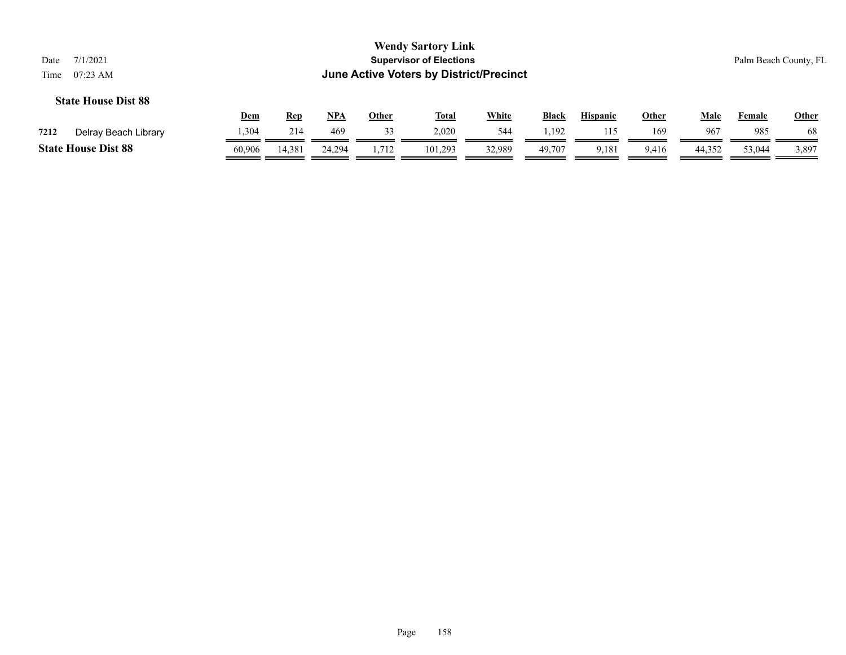| 7/1/2021<br>Date<br>$07:23 \text{ AM}$<br>Time                                                                                                                                |        |        |        |       | <b>Wendy Sartory Link</b><br><b>Supervisor of Elections</b><br>June Active Voters by District/Precinct |        |        |       |       |        |        | Palm Beach County, FL |  |
|-------------------------------------------------------------------------------------------------------------------------------------------------------------------------------|--------|--------|--------|-------|--------------------------------------------------------------------------------------------------------|--------|--------|-------|-------|--------|--------|-----------------------|--|
| <b>State House Dist 88</b><br><b>White</b><br>$NPA$<br>Dem<br><u>Total</u><br><b>Black</b><br><b>Hispanic</b><br>Male<br><b>Rep</b><br><b>Other</b><br><b>Other</b><br>Female |        |        |        |       |                                                                                                        |        |        |       |       |        |        |                       |  |
| Delray Beach Library<br>7212                                                                                                                                                  | 1,304  | 214    | 469    | 33    | 2,020                                                                                                  | 544    | 1,192  | 115   | 169   | 967    | 985    | 68                    |  |
| <b>State House Dist 88</b>                                                                                                                                                    | 60,906 | 14,381 | 24.294 | 1,712 | 101,293                                                                                                | 32,989 | 49,707 | 9,181 | 9,416 | 44,352 | 53,044 | 3,897                 |  |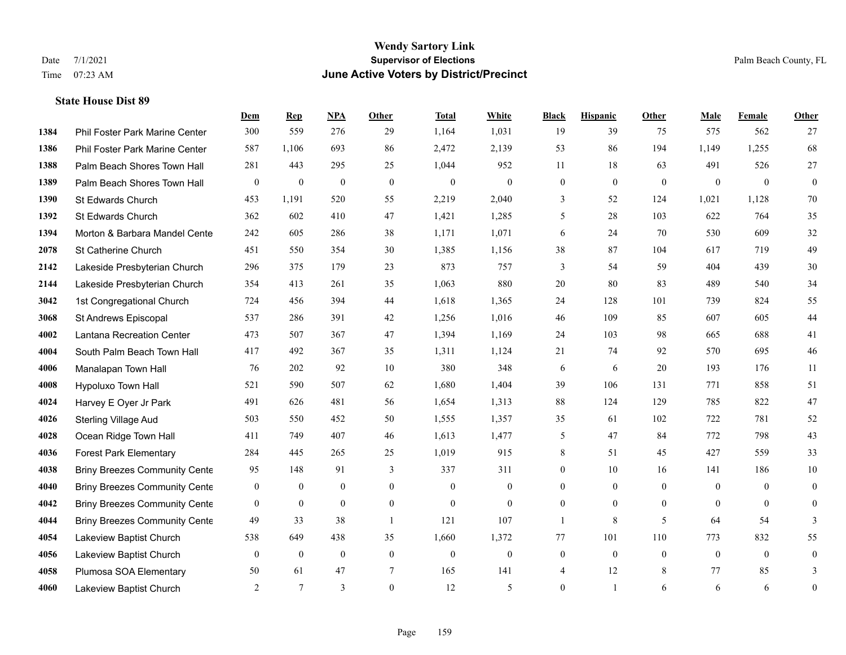# **Wendy Sartory Link** Date 7/1/2021 Palm Beach County, FL Time 07:23 AM **June Active Voters by District/Precinct**

|      |                                      | Dem              | <b>Rep</b>       | NPA              | <b>Other</b>   | <b>Total</b> | White            | <b>Black</b>     | <b>Hispanic</b>  | <b>Other</b>   | <b>Male</b>    | Female       | <b>Other</b>     |
|------|--------------------------------------|------------------|------------------|------------------|----------------|--------------|------------------|------------------|------------------|----------------|----------------|--------------|------------------|
| 1384 | Phil Foster Park Marine Center       | 300              | 559              | 276              | 29             | 1,164        | 1,031            | 19               | 39               | 75             | 575            | 562          | 27               |
| 1386 | Phil Foster Park Marine Center       | 587              | 1,106            | 693              | 86             | 2,472        | 2,139            | 53               | 86               | 194            | 1,149          | 1,255        | 68               |
| 1388 | Palm Beach Shores Town Hall          | 281              | 443              | 295              | 25             | 1,044        | 952              | 11               | 18               | 63             | 491            | 526          | 27               |
| 1389 | Palm Beach Shores Town Hall          | $\boldsymbol{0}$ | $\boldsymbol{0}$ | $\overline{0}$   | $\mathbf{0}$   | $\mathbf{0}$ | $\mathbf{0}$     | $\boldsymbol{0}$ | $\mathbf{0}$     | $\mathbf{0}$   | $\mathbf{0}$   | $\mathbf{0}$ | $\boldsymbol{0}$ |
| 1390 | St Edwards Church                    | 453              | 1,191            | 520              | 55             | 2,219        | 2,040            | 3                | 52               | 124            | 1,021          | 1,128        | $70\,$           |
| 1392 | St Edwards Church                    | 362              | 602              | 410              | 47             | 1,421        | 1,285            | 5                | 28               | 103            | 622            | 764          | 35               |
| 1394 | Morton & Barbara Mandel Cente        | 242              | 605              | 286              | 38             | 1,171        | 1,071            | 6                | 24               | 70             | 530            | 609          | 32               |
| 2078 | St Catherine Church                  | 451              | 550              | 354              | 30             | 1,385        | 1,156            | 38               | 87               | 104            | 617            | 719          | 49               |
| 2142 | Lakeside Presbyterian Church         | 296              | 375              | 179              | 23             | 873          | 757              | 3                | 54               | 59             | 404            | 439          | $30\,$           |
| 2144 | Lakeside Presbyterian Church         | 354              | 413              | 261              | 35             | 1,063        | 880              | 20               | 80               | 83             | 489            | 540          | 34               |
| 3042 | 1st Congregational Church            | 724              | 456              | 394              | 44             | 1,618        | 1,365            | 24               | 128              | 101            | 739            | 824          | 55               |
| 3068 | St Andrews Episcopal                 | 537              | 286              | 391              | 42             | 1,256        | 1,016            | 46               | 109              | 85             | 607            | 605          | 44               |
| 4002 | Lantana Recreation Center            | 473              | 507              | 367              | 47             | 1,394        | 1,169            | 24               | 103              | 98             | 665            | 688          | 41               |
| 4004 | South Palm Beach Town Hall           | 417              | 492              | 367              | 35             | 1,311        | 1,124            | 21               | 74               | 92             | 570            | 695          | $46\,$           |
| 4006 | Manalapan Town Hall                  | 76               | 202              | 92               | 10             | 380          | 348              | 6                | 6                | 20             | 193            | 176          | 11               |
| 4008 | Hypoluxo Town Hall                   | 521              | 590              | 507              | 62             | 1,680        | 1,404            | 39               | 106              | 131            | 771            | 858          | 51               |
| 4024 | Harvey E Oyer Jr Park                | 491              | 626              | 481              | 56             | 1,654        | 1,313            | 88               | 124              | 129            | 785            | 822          | 47               |
| 4026 | <b>Sterling Village Aud</b>          | 503              | 550              | 452              | 50             | 1,555        | 1,357            | 35               | 61               | 102            | 722            | 781          | 52               |
| 4028 | Ocean Ridge Town Hall                | 411              | 749              | 407              | 46             | 1,613        | 1,477            | 5                | 47               | 84             | 772            | 798          | 43               |
| 4036 | <b>Forest Park Elementary</b>        | 284              | 445              | 265              | 25             | 1,019        | 915              | 8                | 51               | 45             | 427            | 559          | 33               |
| 4038 | <b>Briny Breezes Community Cente</b> | 95               | 148              | 91               | 3              | 337          | 311              | $\mathbf{0}$     | 10               | 16             | 141            | 186          | 10               |
| 4040 | <b>Briny Breezes Community Cente</b> | $\mathbf{0}$     | $\boldsymbol{0}$ | $\boldsymbol{0}$ | $\mathbf{0}$   | $\mathbf{0}$ | $\boldsymbol{0}$ | $\mathbf{0}$     | $\mathbf{0}$     | $\overline{0}$ | $\overline{0}$ | $\theta$     | $\boldsymbol{0}$ |
| 4042 | <b>Briny Breezes Community Cente</b> | $\mathbf{0}$     | $\mathbf{0}$     | $\mathbf{0}$     | $\overline{0}$ | $\Omega$     | $\mathbf{0}$     | $\mathbf{0}$     | $\mathbf{0}$     | $\theta$       | $\theta$       | $\theta$     | $\mathbf{0}$     |
| 4044 | <b>Briny Breezes Community Cente</b> | 49               | 33               | 38               | -1             | 121          | 107              | 1                | 8                | 5              | 64             | 54           | 3                |
| 4054 | Lakeview Baptist Church              | 538              | 649              | 438              | 35             | 1,660        | 1,372            | 77               | 101              | 110            | 773            | 832          | 55               |
| 4056 | Lakeview Baptist Church              | $\mathbf{0}$     | $\boldsymbol{0}$ | $\boldsymbol{0}$ | $\mathbf{0}$   | $\theta$     | $\boldsymbol{0}$ | $\boldsymbol{0}$ | $\boldsymbol{0}$ | $\mathbf{0}$   | $\mathbf{0}$   | $\mathbf{0}$ | $\boldsymbol{0}$ |
| 4058 | Plumosa SOA Elementary               | 50               | 61               | 47               | $\tau$         | 165          | 141              | 4                | 12               | 8              | 77             | 85           | 3                |
| 4060 | Lakeview Baptist Church              | 2                | $\tau$           | 3                | $\theta$       | 12           | 5                | $\mathbf{0}$     | 1                | 6              | 6              | 6            | $\boldsymbol{0}$ |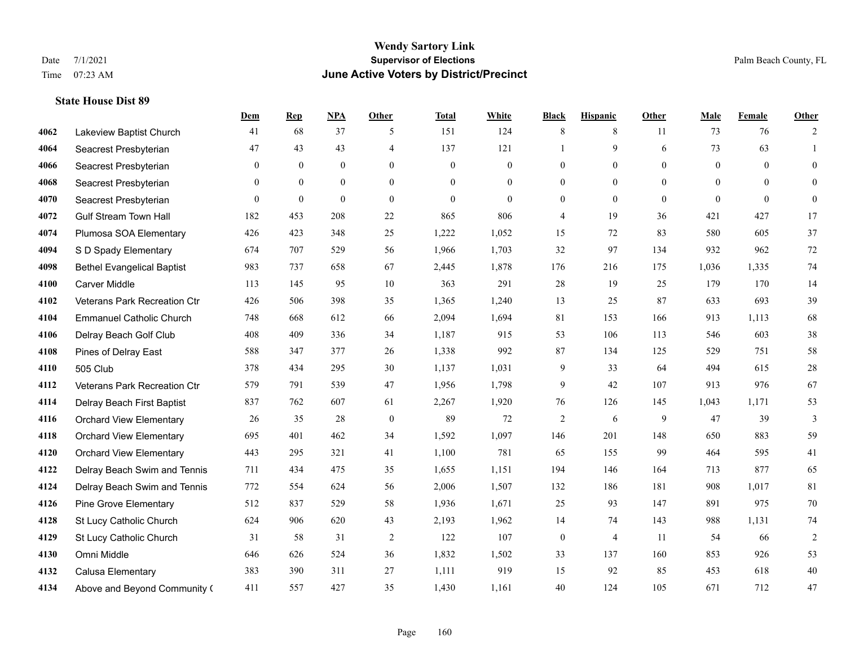#### **Wendy Sartory Link** Date 7/1/2021 **Supervisor of Elections** Palm Beach County, FL Time 07:23 AM **June Active Voters by District/Precinct**

# **Dem Rep NPA Other Total White Black Hispanic Other Male Female Other** Lakeview Baptist Church 41 68 37 5 151 124 8 8 11 73 76 2 Seacrest Presbyterian **47** 43 43 4 4 137 121 1 9 6 73 63 1 Seacrest Presbyterian 0 0 0 0 0 0 0 0 0 0 0 0 Seacrest Presbyterian 0 0 0 0 0 0 0 0 0 0 0 0 Seacrest Presbyterian 0 0 0 0 0 0 0 0 0 0 0 0 Gulf Stream Town Hall 182 453 208 22 865 806 4 19 36 421 427 17 Plumosa SOA Elementary 426 423 348 25 1,222 1,052 15 72 83 580 605 37 S D Spady Elementary 674 707 529 56 1,966 1,703 32 97 134 932 962 72 Bethel Evangelical Baptist 983 737 658 67 2,445 1,878 176 216 175 1,036 1,335 74 Carver Middle 113 145 95 10 363 291 28 19 25 179 170 14 Veterans Park Recreation Ctr 426 506 398 35 1,365 1,240 13 25 87 633 693 39 Emmanuel Catholic Church 748 668 612 66 2,094 1,694 81 153 166 913 1,113 68 Delray Beach Golf Club 408 409 336 34 1,187 915 53 106 113 546 603 38 Pines of Delray East 588 347 377 26 1,338 992 87 134 125 529 751 58 505 Club 378 434 295 30 1,137 1,031 9 33 64 494 615 28 Veterans Park Recreation Ctr 579 791 539 47 1,956 1,798 9 42 107 913 976 67 Delray Beach First Baptist 837 762 607 61 2,267 1,920 76 126 145 1,043 1,171 53 Orchard View Elementary 26 35 28 0 89 72 2 6 9 47 39 3 Orchard View Elementary 695 401 462 34 1,592 1,097 146 201 148 650 883 59 Orchard View Elementary 443 295 321 41 1,100 781 65 155 99 464 595 41 Delray Beach Swim and Tennis 711 434 475 35 1,655 1,151 194 146 164 713 877 65 Delray Beach Swim and Tennis 772 554 624 56 2,006 1,507 132 186 181 908 1,017 81 Pine Grove Elementary 512 837 529 58 1,936 1,671 25 93 147 891 975 70 St Lucy Catholic Church 624 906 620 43 2,193 1,962 14 74 143 988 1,131 74 St Lucy Catholic Church 31 58 31 2 122 107 0 4 11 54 66 2 Omni Middle 646 626 524 36 1,832 1,502 33 137 160 853 926 53 Calusa Elementary 383 390 311 27 1,111 919 15 92 85 453 618 40 Above and Beyond Community Church 411 557 427 35 1,430 1,161 40 124 105 671 712 47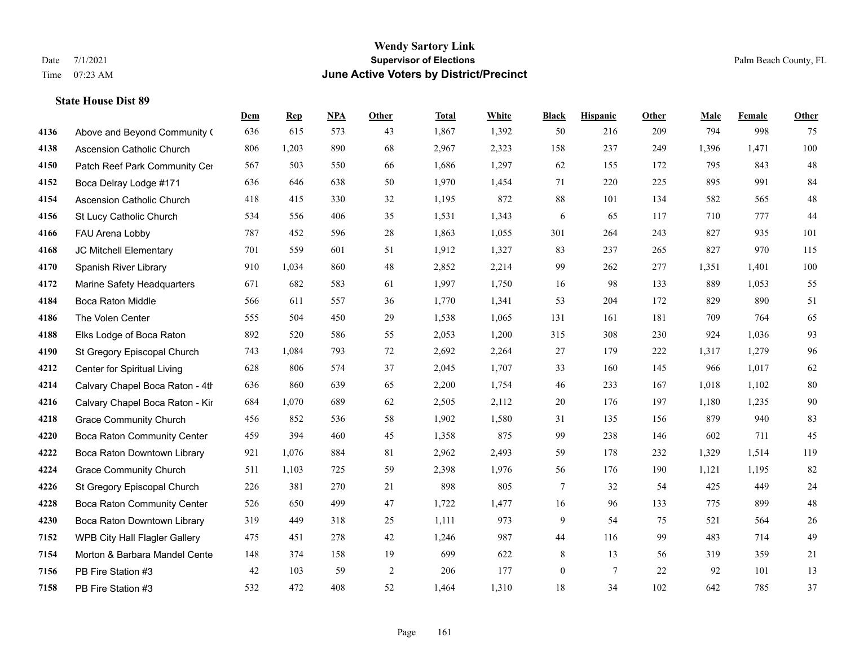# **Wendy Sartory Link** Date 7/1/2021 Palm Beach County, FL Time 07:23 AM **June Active Voters by District/Precinct**

|      |                                  | Dem | <b>Rep</b> | NPA | <b>Other</b> | <b>Total</b> | <b>White</b> | <b>Black</b>     | <b>Hispanic</b> | <b>Other</b> | <b>Male</b> | <b>Female</b> | Other   |
|------|----------------------------------|-----|------------|-----|--------------|--------------|--------------|------------------|-----------------|--------------|-------------|---------------|---------|
| 4136 | Above and Beyond Community (     | 636 | 615        | 573 | 43           | 1,867        | 1,392        | 50               | 216             | 209          | 794         | 998           | 75      |
| 4138 | <b>Ascension Catholic Church</b> | 806 | 1,203      | 890 | 68           | 2,967        | 2,323        | 158              | 237             | 249          | 1,396       | 1,471         | 100     |
| 4150 | Patch Reef Park Community Cer    | 567 | 503        | 550 | 66           | 1,686        | 1,297        | 62               | 155             | 172          | 795         | 843           | $48\,$  |
| 4152 | Boca Delray Lodge #171           | 636 | 646        | 638 | 50           | 1,970        | 1,454        | 71               | 220             | 225          | 895         | 991           | 84      |
| 4154 | <b>Ascension Catholic Church</b> | 418 | 415        | 330 | 32           | 1,195        | 872          | 88               | 101             | 134          | 582         | 565           | 48      |
| 4156 | St Lucy Catholic Church          | 534 | 556        | 406 | 35           | 1,531        | 1,343        | 6                | 65              | 117          | 710         | 777           | $44\,$  |
| 4166 | FAU Arena Lobby                  | 787 | 452        | 596 | 28           | 1,863        | 1,055        | 301              | 264             | 243          | 827         | 935           | 101     |
| 4168 | JC Mitchell Elementary           | 701 | 559        | 601 | 51           | 1,912        | 1,327        | 83               | 237             | 265          | 827         | 970           | 115     |
| 4170 | Spanish River Library            | 910 | 1,034      | 860 | 48           | 2,852        | 2,214        | 99               | 262             | 277          | 1,351       | 1,401         | $100\,$ |
| 4172 | Marine Safety Headquarters       | 671 | 682        | 583 | 61           | 1,997        | 1,750        | 16               | 98              | 133          | 889         | 1,053         | 55      |
| 4184 | Boca Raton Middle                | 566 | 611        | 557 | 36           | 1,770        | 1,341        | 53               | 204             | 172          | 829         | 890           | 51      |
| 4186 | The Volen Center                 | 555 | 504        | 450 | 29           | 1,538        | 1,065        | 131              | 161             | 181          | 709         | 764           | 65      |
| 4188 | Elks Lodge of Boca Raton         | 892 | 520        | 586 | 55           | 2,053        | 1,200        | 315              | 308             | 230          | 924         | 1,036         | 93      |
| 4190 | St Gregory Episcopal Church      | 743 | 1,084      | 793 | 72           | 2,692        | 2,264        | $27\,$           | 179             | 222          | 1,317       | 1,279         | 96      |
| 4212 | Center for Spiritual Living      | 628 | 806        | 574 | 37           | 2,045        | 1,707        | 33               | 160             | 145          | 966         | 1,017         | 62      |
| 4214 | Calvary Chapel Boca Raton - 4th  | 636 | 860        | 639 | 65           | 2,200        | 1,754        | 46               | 233             | 167          | 1,018       | 1,102         | 80      |
| 4216 | Calvary Chapel Boca Raton - Kir  | 684 | 1,070      | 689 | 62           | 2,505        | 2,112        | $20\,$           | 176             | 197          | 1,180       | 1,235         | $90\,$  |
| 4218 | <b>Grace Community Church</b>    | 456 | 852        | 536 | 58           | 1,902        | 1,580        | 31               | 135             | 156          | 879         | 940           | 83      |
| 4220 | Boca Raton Community Center      | 459 | 394        | 460 | 45           | 1,358        | 875          | 99               | 238             | 146          | 602         | 711           | 45      |
| 4222 | Boca Raton Downtown Library      | 921 | 1,076      | 884 | $81\,$       | 2,962        | 2,493        | 59               | 178             | 232          | 1,329       | 1,514         | 119     |
| 4224 | <b>Grace Community Church</b>    | 511 | 1,103      | 725 | 59           | 2,398        | 1,976        | 56               | 176             | 190          | 1,121       | 1,195         | 82      |
| 4226 | St Gregory Episcopal Church      | 226 | 381        | 270 | 21           | 898          | 805          | $\tau$           | 32              | 54           | 425         | 449           | 24      |
| 4228 | Boca Raton Community Center      | 526 | 650        | 499 | 47           | 1,722        | 1,477        | 16               | 96              | 133          | 775         | 899           | $48\,$  |
| 4230 | Boca Raton Downtown Library      | 319 | 449        | 318 | 25           | 1,111        | 973          | 9                | 54              | 75           | 521         | 564           | $26\,$  |
| 7152 | WPB City Hall Flagler Gallery    | 475 | 451        | 278 | 42           | 1,246        | 987          | 44               | 116             | 99           | 483         | 714           | 49      |
| 7154 | Morton & Barbara Mandel Cente    | 148 | 374        | 158 | 19           | 699          | 622          | 8                | 13              | 56           | 319         | 359           | 21      |
| 7156 | PB Fire Station #3               | 42  | 103        | 59  | $\sqrt{2}$   | 206          | 177          | $\boldsymbol{0}$ | $7\phantom{.0}$ | 22           | 92          | 101           | 13      |
| 7158 | PB Fire Station #3               | 532 | 472        | 408 | 52           | 1,464        | 1,310        | 18               | 34              | 102          | 642         | 785           | 37      |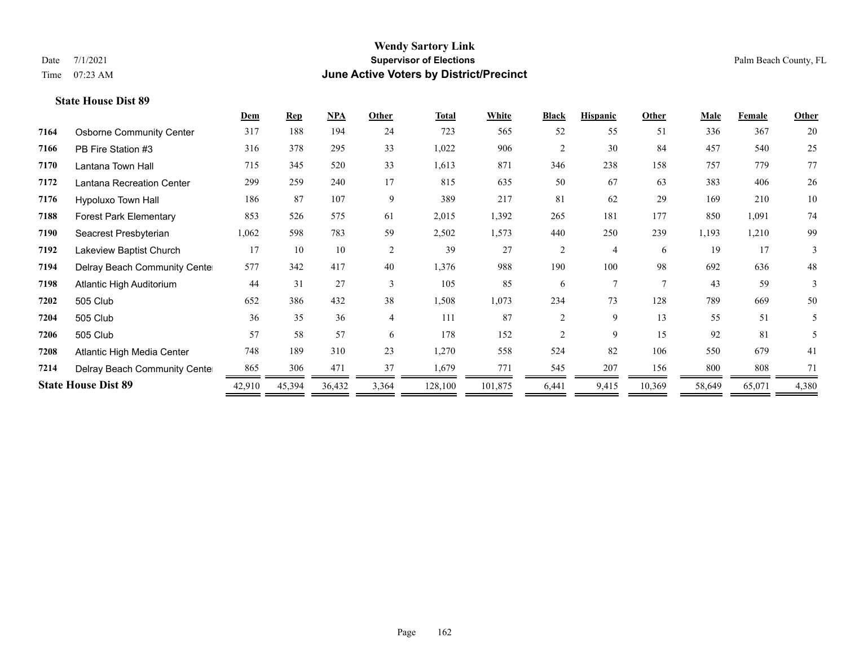## **Wendy Sartory Link** Date 7/1/2021 **Supervisor of Elections Supervisor of Elections** Palm Beach County, FL Time 07:23 AM **June Active Voters by District/Precinct**

|      |                                 | Dem    | <b>Rep</b> | <b>NPA</b> | Other          | <b>Total</b> | White   | <b>Black</b>   | <b>Hispanic</b> | Other  | Male   | Female | Other  |
|------|---------------------------------|--------|------------|------------|----------------|--------------|---------|----------------|-----------------|--------|--------|--------|--------|
| 7164 | <b>Osborne Community Center</b> | 317    | 188        | 194        | 24             | 723          | 565     | 52             | 55              | 51     | 336    | 367    | 20     |
| 7166 | PB Fire Station #3              | 316    | 378        | 295        | 33             | 1,022        | 906     | $\overline{2}$ | 30              | 84     | 457    | 540    | 25     |
| 7170 | Lantana Town Hall               | 715    | 345        | 520        | 33             | 1,613        | 871     | 346            | 238             | 158    | 757    | 779    | 77     |
| 7172 | Lantana Recreation Center       | 299    | 259        | 240        | 17             | 815          | 635     | 50             | 67              | 63     | 383    | 406    | 26     |
| 7176 | Hypoluxo Town Hall              | 186    | 87         | 107        | 9              | 389          | 217     | 81             | 62              | 29     | 169    | 210    | 10     |
| 7188 | <b>Forest Park Elementary</b>   | 853    | 526        | 575        | 61             | 2,015        | 1,392   | 265            | 181             | 177    | 850    | 1,091  | 74     |
| 7190 | Seacrest Presbyterian           | 1,062  | 598        | 783        | 59             | 2,502        | 1,573   | 440            | 250             | 239    | 1,193  | 1,210  | 99     |
| 7192 | Lakeview Baptist Church         | 17     | 10         | 10         | 2              | 39           | 27      | $\overline{2}$ | 4               | 6      | 19     | 17     | 3      |
| 7194 | Delray Beach Community Cente    | 577    | 342        | 417        | 40             | 1,376        | 988     | 190            | 100             | 98     | 692    | 636    | $48\,$ |
| 7198 | Atlantic High Auditorium        | 44     | 31         | 27         | 3              | 105          | 85      | 6              | 7               | $\tau$ | 43     | 59     | 3      |
| 7202 | 505 Club                        | 652    | 386        | 432        | 38             | 1,508        | 1,073   | 234            | 73              | 128    | 789    | 669    | 50     |
| 7204 | 505 Club                        | 36     | 35         | 36         | $\overline{4}$ | 111          | 87      | $\mathfrak{D}$ | 9               | 13     | 55     | 51     | 5      |
| 7206 | 505 Club                        | 57     | 58         | 57         | 6              | 178          | 152     | $\overline{c}$ | 9               | 15     | 92     | 81     | 5      |
| 7208 | Atlantic High Media Center      | 748    | 189        | 310        | 23             | 1,270        | 558     | 524            | 82              | 106    | 550    | 679    | 41     |
| 7214 | Delray Beach Community Cente    | 865    | 306        | 471        | 37             | 1,679        | 771     | 545            | 207             | 156    | 800    | 808    | 71     |
|      | <b>State House Dist 89</b>      | 42,910 | 45,394     | 36,432     | 3,364          | 128,100      | 101,875 | 6,441          | 9,415           | 10,369 | 58,649 | 65,071 | 4,380  |

# Page 162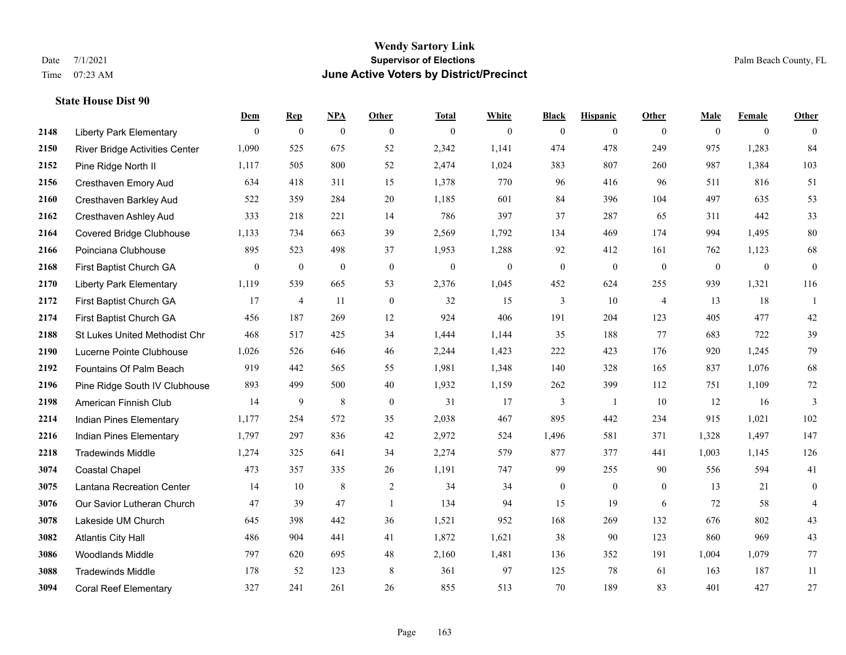#### **Wendy Sartory Link** Date 7/1/2021 **Supervisor of Elections** Palm Beach County, FL Time 07:23 AM **June Active Voters by District/Precinct**

# **Dem Rep NPA Other Total White Black Hispanic Other Male Female Other** Liberty Park Elementary 0 0 0 0 0 0 0 0 0 0 0 0 River Bridge Activities Center 1,090 525 675 52 2,342 1,141 474 478 249 975 1,283 84 Pine Ridge North II 1,117 505 800 52 2,474 1,024 383 807 260 987 1,384 103 Cresthaven Emory Aud 634 418 311 15 1,378 770 96 416 96 511 816 51 Cresthaven Barkley Aud 522 359 284 20 1,185 601 84 396 104 497 635 53 Cresthaven Ashley Aud 333 218 221 14 786 397 37 287 65 311 442 33 Covered Bridge Clubhouse 1,133 734 663 39 2,569 1,792 134 469 174 994 1,495 80 Poinciana Clubhouse 895 523 498 37 1,953 1,288 92 412 161 762 1,123 68 First Baptist Church GA 0 0 0 0 0 0 0 0 0 0 0 0 Liberty Park Elementary 1,119 539 665 53 2,376 1,045 452 624 255 939 1,321 116 First Baptist Church GA 17 4 11 0 32 15 3 10 4 13 18 1 First Baptist Church GA 456 187 269 12 924 406 191 204 123 405 477 42 St Lukes United Methodist Chr 468 517 425 34 1,444 1,144 35 188 77 683 722 39 Lucerne Pointe Clubhouse 1,026 526 646 46 2,244 1,423 222 423 176 920 1,245 79 Fountains Of Palm Beach 919 442 565 55 1,981 1,348 140 328 165 837 1,076 68 Pine Ridge South IV Clubhouse 893 499 500 40 1,932 1,159 262 399 112 751 1,109 72 American Finnish Club 14 9 8 0 31 17 3 1 10 12 16 3 Indian Pines Elementary 1,177 254 572 35 2,038 467 895 442 234 915 1,021 102 Indian Pines Elementary 1,797 297 836 42 2,972 524 1,496 581 371 1,328 1,497 147 Tradewinds Middle 1,274 325 641 34 2,274 579 877 377 441 1,003 1,145 126 Coastal Chapel 473 357 335 26 1,191 747 99 255 90 556 594 41 Lantana Recreation Center 14 10 8 2 34 34 0 0 0 13 21 0 Our Savior Lutheran Church 47 39 47 1 134 94 15 19 6 72 58 4 Lakeside UM Church 645 398 442 36 1,521 952 168 269 132 676 802 43 Atlantis City Hall 486 904 441 41 1,872 1,621 38 90 123 860 969 43 Woodlands Middle 797 620 695 48 2,160 1,481 136 352 191 1,004 1,079 77 Tradewinds Middle 178 52 123 8 361 97 125 78 61 163 187 11 Coral Reef Elementary 327 241 261 26 855 513 70 189 83 401 427 27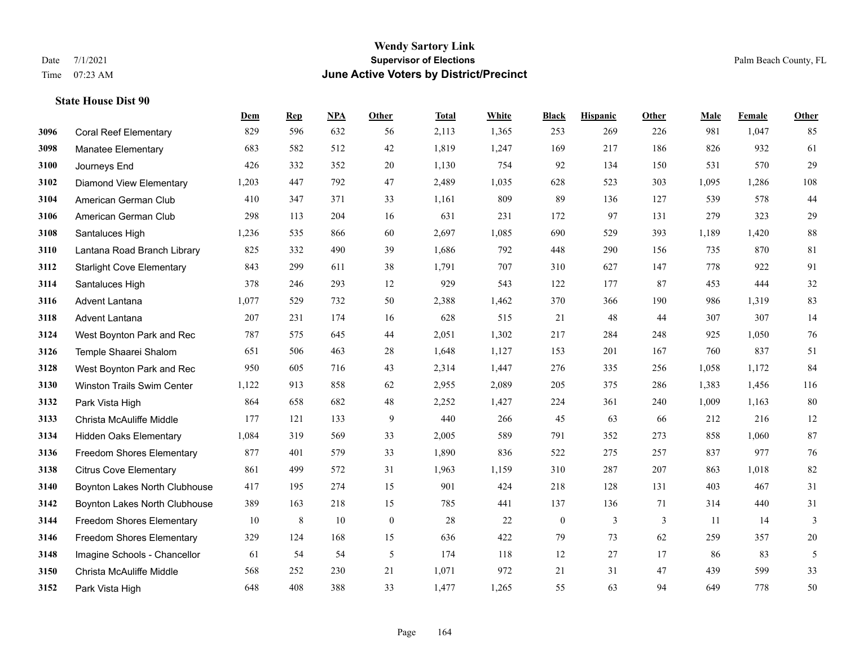#### **Wendy Sartory Link** Date 7/1/2021 **Supervisor of Elections** Palm Beach County, FL Time 07:23 AM **June Active Voters by District/Precinct**

# **Dem Rep NPA Other Total White Black Hispanic Other Male Female Other** Coral Reef Elementary 829 596 632 56 2,113 1,365 253 269 226 981 1,047 85 Manatee Elementary 683 582 512 42 1,819 1,247 169 217 186 826 932 61 Journeys End 426 332 352 20 1,130 754 92 134 150 531 570 29 Diamond View Elementary 1,203 447 792 47 2,489 1,035 628 523 303 1,095 1,286 108 American German Club 410 347 371 33 1,161 809 89 136 127 539 578 44 American German Club 298 113 204 16 631 231 172 97 131 279 323 29 Santaluces High 1,236 535 866 60 2,697 1,085 690 529 393 1,189 1,420 88 Lantana Road Branch Library 825 332 490 39 1,686 792 448 290 156 735 870 81 Starlight Cove Elementary 843 299 611 38 1,791 707 310 627 147 778 922 91 Santaluces High 378 246 293 12 929 543 122 177 87 453 444 32 Advent Lantana 1,077 529 732 50 2,388 1,462 370 366 190 986 1,319 83 Advent Lantana 207 231 174 16 628 515 21 48 44 307 307 14 West Boynton Park and Rec 787 575 645 44 2,051 1,302 217 284 248 925 1,050 76 Temple Shaarei Shalom 651 506 463 28 1,648 1,127 153 201 167 760 837 51 West Boynton Park and Rec 950 605 716 43 2,314 1,447 276 335 256 1,058 1,172 84 Winston Trails Swim Center 1,122 913 858 62 2,955 2,089 205 375 286 1,383 1,456 116 Park Vista High 864 658 682 48 2,252 1,427 224 361 240 1,009 1,163 80 Christa McAuliffe Middle 177 121 133 9 440 266 45 63 66 212 216 12 Hidden Oaks Elementary 1,084 319 569 33 2,005 589 791 352 273 858 1,060 87 Freedom Shores Elementary 877 401 579 33 1,890 836 522 275 257 837 977 76 Citrus Cove Elementary 861 499 572 31 1,963 1,159 310 287 207 863 1,018 82 Boynton Lakes North Clubhouse 417 195 274 15 901 424 218 128 131 403 467 31 Boynton Lakes North Clubhouse 389 163 218 15 785 441 137 136 71 314 440 31 Freedom Shores Elementary 10 8 10 0 28 22 0 3 3 11 14 3 Freedom Shores Elementary 329 124 168 15 636 422 79 73 62 259 357 20 Imagine Schools - Chancellor 61 54 54 5 174 118 12 27 17 86 83 5 Christa McAuliffe Middle 568 252 230 21 1,071 972 21 31 47 439 599 33

Park Vista High 648 408 388 33 1,477 1,265 55 63 94 649 778 50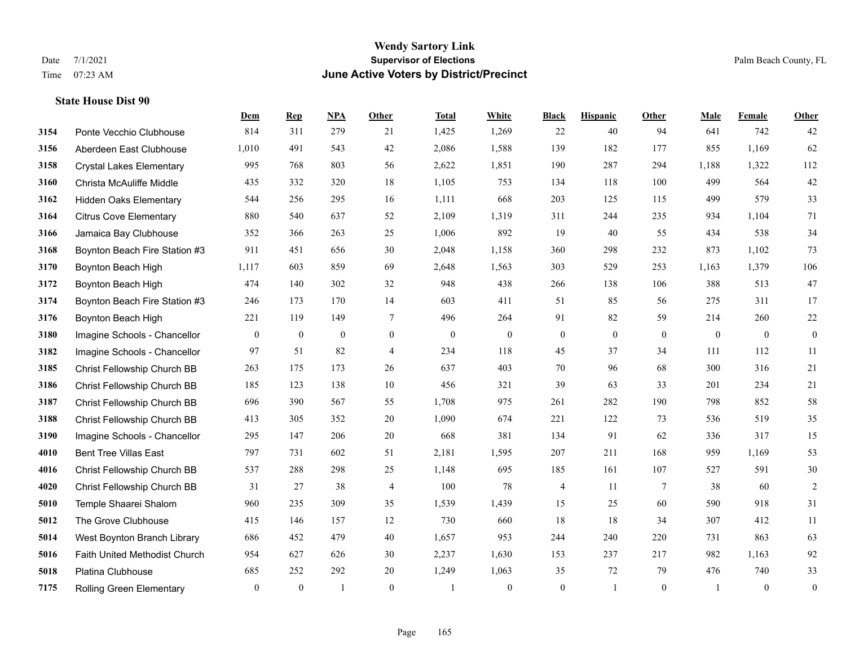#### **Wendy Sartory Link** Date 7/1/2021 **Supervisor of Elections** Palm Beach County, FL Time 07:23 AM **June Active Voters by District/Precinct**

# **Dem Rep NPA Other Total White Black Hispanic Other Male Female Other** Ponte Vecchio Clubhouse 814 311 279 21 1,425 1,269 22 40 94 641 742 42 Aberdeen East Clubhouse 1,010 491 543 42 2,086 1,588 139 182 177 855 1,169 62 Crystal Lakes Elementary 995 768 803 56 2,622 1,851 190 287 294 1,188 1,322 112 Christa McAuliffe Middle 435 332 320 18 1,105 753 134 118 100 499 564 42 Hidden Oaks Elementary 544 256 295 16 1,111 668 203 125 115 499 579 33 Citrus Cove Elementary 880 540 637 52 2,109 1,319 311 244 235 934 1,104 71 Jamaica Bay Clubhouse 352 366 263 25 1,006 892 19 40 55 434 538 34 Boynton Beach Fire Station #3 911 451 656 30 2,048 1,158 360 298 232 873 1,102 73 Boynton Beach High 1,117 603 859 69 2,648 1,563 303 529 253 1,163 1,379 106 Boynton Beach High 474 140 302 32 948 438 266 138 106 388 513 47 Boynton Beach Fire Station #3 246 173 170 14 603 411 51 85 56 275 311 17 Boynton Beach High 221 119 149 7 496 264 91 82 59 214 260 22 Imagine Schools - Chancellor 0 0 0 0 0 0 0 0 0 0 0 0 Imagine Schools - Chancellor 97 51 82 4 234 118 45 37 34 111 112 11 Christ Fellowship Church BB 263 175 173 26 637 403 70 96 68 300 316 21 Christ Fellowship Church BB 185 123 138 10 456 321 39 63 33 201 234 21 Christ Fellowship Church BB 696 390 567 55 1,708 975 261 282 190 798 852 58 Christ Fellowship Church BB 413 305 352 20 1,090 674 221 122 73 536 519 35 Imagine Schools - Chancellor 295 147 206 20 668 381 134 91 62 336 317 15 Bent Tree Villas East 797 731 602 51 2,181 1,595 207 211 168 959 1,169 53 Christ Fellowship Church BB 537 288 298 25 1,148 695 185 161 107 527 591 30 Christ Fellowship Church BB 31 27 38 4 100 78 4 11 7 38 60 2 Temple Shaarei Shalom 960 235 309 35 1,539 1,439 15 25 60 590 918 31 The Grove Clubhouse 415 146 157 12 730 660 18 18 34 307 412 11 West Boynton Branch Library 686 452 479 40 1,657 953 244 240 220 731 863 63 Faith United Methodist Church 954 627 626 30 2,237 1,630 153 237 217 982 1,163 92 Platina Clubhouse 685 252 292 20 1,249 1,063 35 72 79 476 740 33 Rolling Green Elementary 0 0 1 0 1 0 0 1 0 1 0 0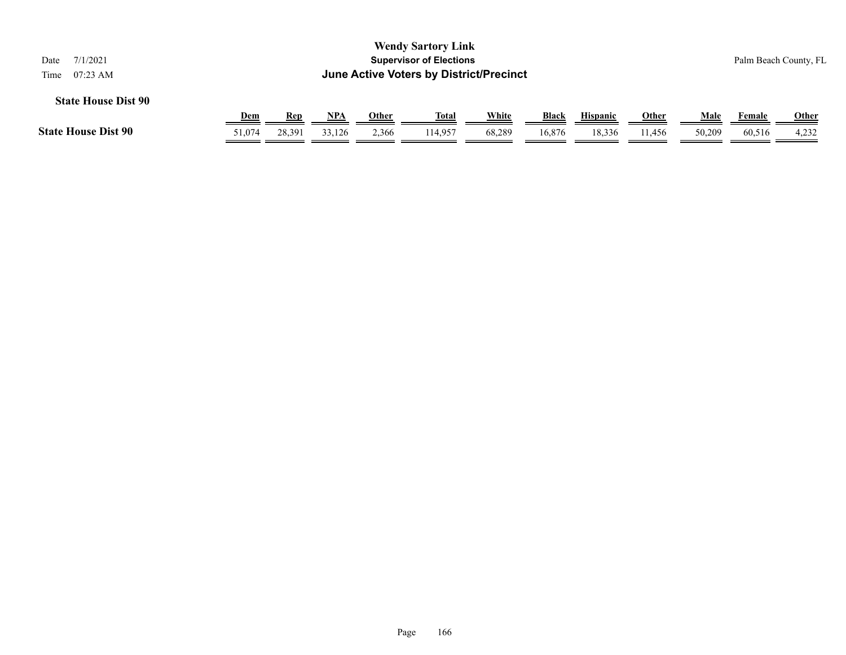| 7/1/2021<br>Date<br>$07:23$ AM<br>Time                                                                                                                                                         |        |        |        |       | <b>Wendy Sartory Link</b><br><b>Supervisor of Elections</b> |        |        |        |        |        |        | Palm Beach County, FL |
|------------------------------------------------------------------------------------------------------------------------------------------------------------------------------------------------|--------|--------|--------|-------|-------------------------------------------------------------|--------|--------|--------|--------|--------|--------|-----------------------|
| June Active Voters by District/Precinct<br><b>State House Dist 90</b><br>White<br><b>Black</b><br><u>NPA</u><br>Other<br><b>Hispanic</b><br><b>Other</b><br>Dem<br><u>Total</u><br>Male<br>Rep |        |        |        |       |                                                             |        |        |        |        |        | Female | <u>Other</u>          |
| <b>State House Dist 90</b>                                                                                                                                                                     | 51,074 | 28.391 | 33,126 | 2,366 | 114,957                                                     | 68,289 | 16,876 | 18,336 | 11,456 | 50,209 | 60,516 | 4,232                 |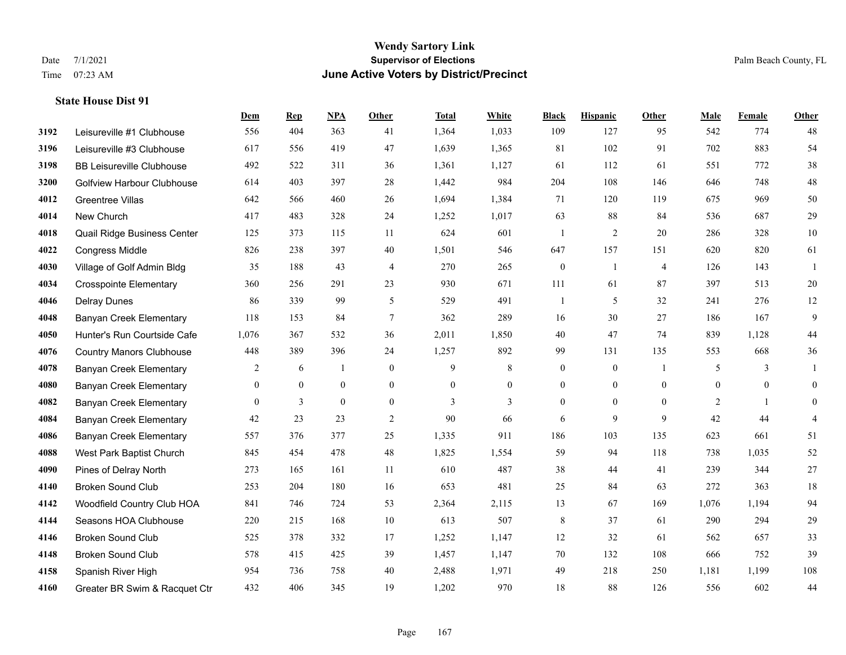#### **Wendy Sartory Link** Date 7/1/2021 **Supervisor of Elections** Palm Beach County, FL Time 07:23 AM **June Active Voters by District/Precinct**

# **Dem Rep NPA Other Total White Black Hispanic Other Male Female Other** Leisureville #1 Clubhouse 556 404 363 41 1,364 1,033 109 127 95 542 774 48 Leisureville #3 Clubhouse 617 556 419 47 1,639 1,365 81 102 91 702 883 54 BB Leisureville Clubhouse 492 522 311 36 1,361 1,127 61 112 61 551 772 38 Golfview Harbour Clubhouse 614 403 397 28 1,442 984 204 108 146 646 748 48 Greentree Villas 642 566 460 26 1,694 1,384 71 120 119 675 969 50 New Church 417 483 328 24 1,252 1,017 63 88 84 536 687 29 Quail Ridge Business Center 125 373 115 11 624 601 1 2 20 286 328 10 Congress Middle 826 238 397 40 1,501 546 647 157 151 620 820 61 Village of Golf Admin Bldg 35 188 43 4 270 265 0 1 4 126 143 1 Crosspointe Elementary 360 256 291 23 930 671 111 61 87 397 513 20 Delray Dunes 86 339 99 5 529 491 1 5 32 241 276 12 Banyan Creek Elementary 118 153 84 7 362 289 16 30 27 186 167 9 Hunter's Run Courtside Cafe 1,076 367 532 36 2,011 1,850 40 47 74 839 1,128 44 Country Manors Clubhouse 448 389 396 24 1,257 892 99 131 135 553 668 36 Banyan Creek Elementary 2 6 1 0 9 8 0 0 1 5 3 1 Banyan Creek Elementary 0 0 0 0 0 0 0 0 0 0 0 0 **4082 Banyan Creek Elementary 0 3 0 0 3 3 3 0 0 0 2 1 0 4084 Banyan Creek Elementary 42 23 23 2 90 66 6 9 9 42 44 4**  Banyan Creek Elementary 557 376 377 25 1,335 911 186 103 135 623 661 51 West Park Baptist Church 845 454 478 48 1,825 1,554 59 94 118 738 1,035 52 Pines of Delray North 273 165 161 11 610 487 38 44 41 239 344 27 Broken Sound Club 253 204 180 16 653 481 25 84 63 272 363 18 Woodfield Country Club HOA 841 746 724 53 2,364 2,115 13 67 169 1,076 1,194 94 Seasons HOA Clubhouse 220 215 168 10 613 507 8 37 61 290 294 29 Broken Sound Club 525 378 332 17 1,252 1,147 12 32 61 562 657 33 Broken Sound Club 578 415 425 39 1,457 1,147 70 132 108 666 752 39 Spanish River High 954 736 758 40 2,488 1,971 49 218 250 1,181 1,199 108 Greater BR Swim & Racquet Ctr 432 406 345 19 1,202 970 18 88 126 556 602 44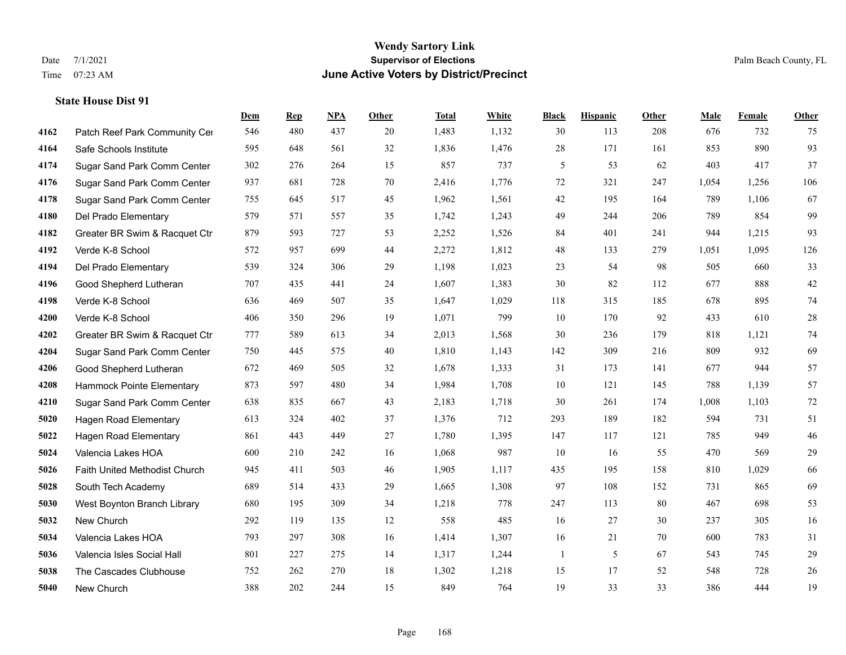# **Wendy Sartory Link** Date 7/1/2021 Palm Beach County, FL Time 07:23 AM **June Active Voters by District/Precinct**

|      |                               | Dem | <b>Rep</b> | NPA | <b>Other</b> | <b>Total</b> | White | <b>Black</b> | <b>Hispanic</b> | Other | <b>Male</b> | Female | <b>Other</b> |
|------|-------------------------------|-----|------------|-----|--------------|--------------|-------|--------------|-----------------|-------|-------------|--------|--------------|
| 4162 | Patch Reef Park Community Cer | 546 | 480        | 437 | 20           | 1,483        | 1,132 | 30           | 113             | 208   | 676         | 732    | 75           |
| 4164 | Safe Schools Institute        | 595 | 648        | 561 | 32           | 1,836        | 1,476 | 28           | 171             | 161   | 853         | 890    | 93           |
| 4174 | Sugar Sand Park Comm Center   | 302 | 276        | 264 | 15           | 857          | 737   | 5            | 53              | 62    | 403         | 417    | 37           |
| 4176 | Sugar Sand Park Comm Center   | 937 | 681        | 728 | 70           | 2,416        | 1,776 | 72           | 321             | 247   | 1,054       | 1,256  | 106          |
| 4178 | Sugar Sand Park Comm Center   | 755 | 645        | 517 | 45           | 1,962        | 1,561 | 42           | 195             | 164   | 789         | 1,106  | 67           |
| 4180 | Del Prado Elementary          | 579 | 571        | 557 | 35           | 1,742        | 1,243 | 49           | 244             | 206   | 789         | 854    | 99           |
| 4182 | Greater BR Swim & Racquet Ctr | 879 | 593        | 727 | 53           | 2,252        | 1,526 | 84           | 401             | 241   | 944         | 1,215  | 93           |
| 4192 | Verde K-8 School              | 572 | 957        | 699 | 44           | 2,272        | 1,812 | 48           | 133             | 279   | 1,051       | 1,095  | 126          |
| 4194 | Del Prado Elementary          | 539 | 324        | 306 | 29           | 1,198        | 1,023 | 23           | 54              | 98    | 505         | 660    | 33           |
| 4196 | Good Shepherd Lutheran        | 707 | 435        | 441 | 24           | 1,607        | 1,383 | 30           | 82              | 112   | 677         | 888    | $42\,$       |
| 4198 | Verde K-8 School              | 636 | 469        | 507 | 35           | 1,647        | 1,029 | 118          | 315             | 185   | 678         | 895    | 74           |
| 4200 | Verde K-8 School              | 406 | 350        | 296 | 19           | 1,071        | 799   | 10           | 170             | 92    | 433         | 610    | $28\,$       |
| 4202 | Greater BR Swim & Racquet Ctr | 777 | 589        | 613 | 34           | 2,013        | 1,568 | 30           | 236             | 179   | 818         | 1,121  | $74\,$       |
| 4204 | Sugar Sand Park Comm Center   | 750 | 445        | 575 | 40           | 1,810        | 1,143 | 142          | 309             | 216   | 809         | 932    | 69           |
| 4206 | Good Shepherd Lutheran        | 672 | 469        | 505 | 32           | 1,678        | 1,333 | 31           | 173             | 141   | 677         | 944    | 57           |
| 4208 | Hammock Pointe Elementary     | 873 | 597        | 480 | 34           | 1,984        | 1,708 | 10           | 121             | 145   | 788         | 1,139  | 57           |
| 4210 | Sugar Sand Park Comm Center   | 638 | 835        | 667 | 43           | 2,183        | 1,718 | 30           | 261             | 174   | 1,008       | 1,103  | 72           |
| 5020 | <b>Hagen Road Elementary</b>  | 613 | 324        | 402 | 37           | 1,376        | 712   | 293          | 189             | 182   | 594         | 731    | 51           |
| 5022 | <b>Hagen Road Elementary</b>  | 861 | 443        | 449 | 27           | 1,780        | 1,395 | 147          | 117             | 121   | 785         | 949    | $46\,$       |
| 5024 | Valencia Lakes HOA            | 600 | 210        | 242 | 16           | 1,068        | 987   | 10           | 16              | 55    | 470         | 569    | $29\,$       |
| 5026 | Faith United Methodist Church | 945 | 411        | 503 | 46           | 1,905        | 1,117 | 435          | 195             | 158   | 810         | 1,029  | 66           |
| 5028 | South Tech Academy            | 689 | 514        | 433 | 29           | 1,665        | 1,308 | 97           | 108             | 152   | 731         | 865    | 69           |
| 5030 | West Boynton Branch Library   | 680 | 195        | 309 | 34           | 1,218        | 778   | 247          | 113             | 80    | 467         | 698    | 53           |
| 5032 | New Church                    | 292 | 119        | 135 | 12           | 558          | 485   | 16           | 27              | 30    | 237         | 305    | 16           |
| 5034 | Valencia Lakes HOA            | 793 | 297        | 308 | 16           | 1,414        | 1,307 | 16           | 21              | 70    | 600         | 783    | 31           |
| 5036 | Valencia Isles Social Hall    | 801 | 227        | 275 | 14           | 1,317        | 1,244 | $\mathbf{1}$ | 5               | 67    | 543         | 745    | 29           |
| 5038 | The Cascades Clubhouse        | 752 | 262        | 270 | 18           | 1,302        | 1,218 | 15           | 17              | 52    | 548         | 728    | $26\,$       |
| 5040 | New Church                    | 388 | 202        | 244 | 15           | 849          | 764   | 19           | 33              | 33    | 386         | 444    | 19           |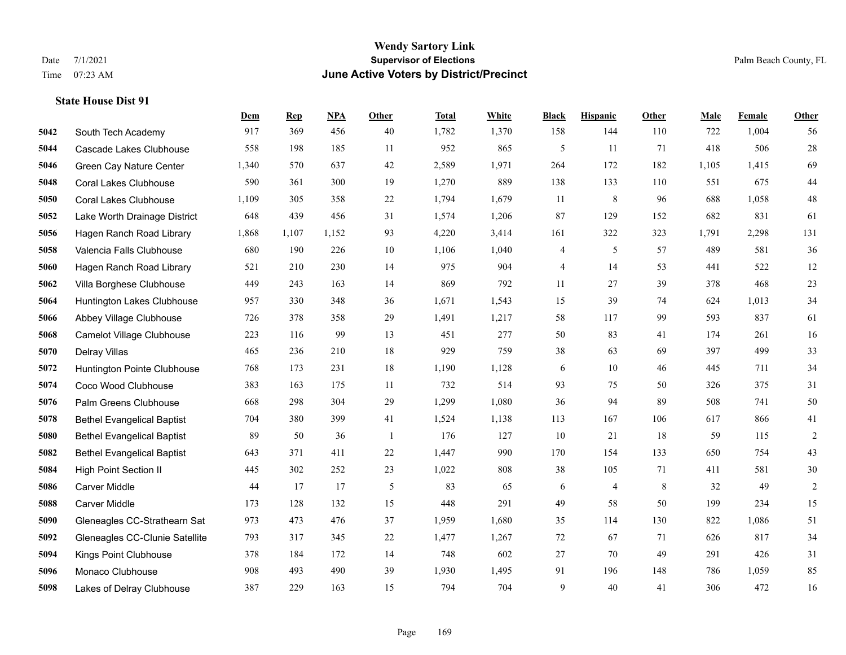#### **Wendy Sartory Link** Date 7/1/2021 **Supervisor of Elections** Palm Beach County, FL Time 07:23 AM **June Active Voters by District/Precinct**

**Dem Rep NPA Other Total White Black Hispanic Other Male Female Other**

# South Tech Academy 917 369 456 40 1,782 1,370 158 144 110 722 1,004 56 Cascade Lakes Clubhouse 558 198 185 11 952 865 5 11 71 418 506 28 Green Cay Nature Center 1,340 570 637 42 2,589 1,971 264 172 182 1,105 1,415 69 Coral Lakes Clubhouse 590 361 300 19 1,270 889 138 133 110 551 675 44 Coral Lakes Clubhouse 1,109 305 358 22 1,794 1,679 11 8 96 688 1,058 48 Lake Worth Drainage District 648 439 456 31 1,574 1,206 87 129 152 682 831 61 Hagen Ranch Road Library 1,868 1,107 1,152 93 4,220 3,414 161 322 323 1,791 2,298 131 Valencia Falls Clubhouse 680 190 226 10 1,106 1,040 4 5 57 489 581 36 Hagen Ranch Road Library 521 210 230 14 975 904 4 14 53 441 522 12 Villa Borghese Clubhouse 449 243 163 14 869 792 11 27 39 378 468 23 Huntington Lakes Clubhouse 957 330 348 36 1,671 1,543 15 39 74 624 1,013 34 Abbey Village Clubhouse 726 378 358 29 1,491 1,217 58 117 99 593 837 61 Camelot Village Clubhouse 223 116 99 13 451 277 50 83 41 174 261 16 Delray Villas 465 236 210 18 929 759 38 63 69 397 499 33 Huntington Pointe Clubhouse 768 173 231 18 1,190 1,128 6 10 46 445 711 34 Coco Wood Clubhouse 383 163 175 11 732 514 93 75 50 326 375 31 Palm Greens Clubhouse 668 298 304 29 1,299 1,080 36 94 89 508 741 50 Bethel Evangelical Baptist 704 380 399 41 1,524 1,138 113 167 106 617 866 41 Bethel Evangelical Baptist 89 50 36 1 176 127 10 21 18 59 115 2 Bethel Evangelical Baptist 643 371 411 22 1,447 990 170 154 133 650 754 43 High Point Section II 445 302 252 23 1,022 808 38 105 71 411 581 30 Carver Middle 44 17 17 5 83 65 6 4 8 32 49 2 Carver Middle 173 128 132 15 448 291 49 58 50 199 234 15 Gleneagles CC-Strathearn Sat 973 473 476 37 1,959 1,680 35 114 130 822 1,086 51 Gleneagles CC-Clunie Satellite 793 317 345 22 1,477 1,267 72 67 71 626 817 34

 Kings Point Clubhouse 378 184 172 14 748 602 27 70 49 291 426 31 Monaco Clubhouse 908 493 490 39 1,930 1,495 91 196 148 786 1,059 85 Lakes of Delray Clubhouse 387 229 163 15 794 704 9 40 41 306 472 16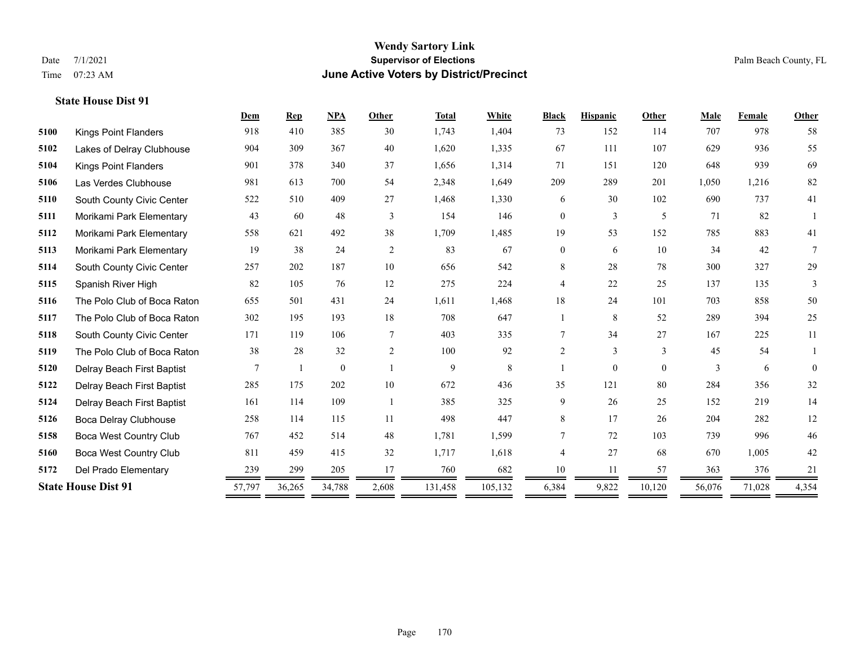#### **Wendy Sartory Link** Date 7/1/2021 **Supervisor of Elections** Palm Beach County, FL Time 07:23 AM **June Active Voters by District/Precinct**

# **Dem Rep NPA Other Total White Black Hispanic Other Male Female Other** Kings Point Flanders 918 410 385 30 1,743 1,404 73 152 114 707 978 58 Lakes of Delray Clubhouse 904 309 367 40 1,620 1,335 67 111 107 629 936 55 Kings Point Flanders 901 378 340 37 1,656 1,314 71 151 120 648 939 69 Las Verdes Clubhouse 981 613 700 54 2,348 1,649 209 289 201 1,050 1,216 82 South County Civic Center 522 510 409 27 1,468 1,330 6 30 102 690 737 41 Morikami Park Elementary 43 60 48 3 154 146 0 3 5 71 82 1 Morikami Park Elementary 558 621 492 38 1,709 1,485 19 53 152 785 883 41 Morikami Park Elementary 19 38 24 2 83 67 0 6 10 34 42 7 South County Civic Center 257 202 187 10 656 542 8 28 78 300 327 29 Spanish River High 82 105 76 12 275 224 4 22 25 137 135 3 The Polo Club of Boca Raton 655 501 431 24 1,611 1,468 18 24 101 703 858 50 The Polo Club of Boca Raton 302 195 193 18 708 647 1 8 52 289 394 25 South County Civic Center 171 119 106 7 403 335 7 34 27 167 225 11 The Polo Club of Boca Raton 38 28 32 2 100 92 2 3 3 45 54 1 Delray Beach First Baptist  $\begin{array}{cccccccc} 7 & 1 & 0 & 1 & 9 & 8 & 1 & 0 & 0 & 3 & 6 & 0 \end{array}$  Delray Beach First Baptist 285 175 202 10 672 436 35 121 80 284 356 32 Delray Beach First Baptist 161 114 109 1 385 325 9 26 25 152 219 14 Boca Delray Clubhouse 258 114 115 11 498 447 8 17 26 204 282 12 Boca West Country Club 767 452 514 48 1,781 1,599 7 72 103 739 996 46 Boca West Country Club 811 459 415 32 1,717 1,618 4 27 68 670 1,005 42 Del Prado Elementary 239 299 205 17 760 682 10 11 57 363 376 21 **State House Dist 91** 57,797 36,265 34,788 2,608 131,458 105,132 6,384 9,822 10,120 56,076 71,028 4,354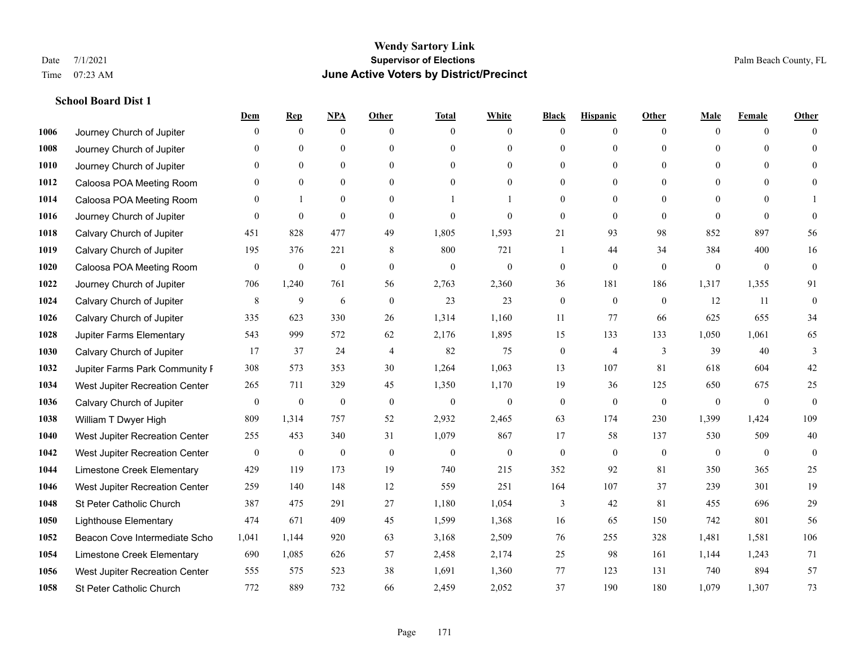#### **School Board Dist 1**

|      |                                | Dem              | <b>Rep</b>       | NPA              | <b>Other</b>     | <b>Total</b>     | <b>White</b>     | <b>Black</b>     | <b>Hispanic</b>  | <b>Other</b> | <b>Male</b>  | <b>Female</b>    | <b>Other</b>     |
|------|--------------------------------|------------------|------------------|------------------|------------------|------------------|------------------|------------------|------------------|--------------|--------------|------------------|------------------|
| 1006 | Journey Church of Jupiter      | $\Omega$         | $\mathbf{0}$     | $\mathbf{0}$     | $\Omega$         | $\Omega$         | $\overline{0}$   | $\mathbf{0}$     | $\mathbf{0}$     | $\theta$     | $\theta$     | $\theta$         | $\Omega$         |
| 1008 | Journey Church of Jupiter      | $\theta$         | $\theta$         | $\mathbf{0}$     | $\Omega$         | $\Omega$         | $\overline{0}$   | $\theta$         | $\mathbf{0}$     | $\Omega$     | $\theta$     | $\Omega$         | $\theta$         |
| 1010 | Journey Church of Jupiter      | 0                | $\mathbf{0}$     | $\mathbf{0}$     | $\theta$         | $\Omega$         | $\overline{0}$   | $\theta$         | $\mathbf{0}$     | $\Omega$     | $\theta$     | $\Omega$         | $\Omega$         |
| 1012 | Caloosa POA Meeting Room       | 0                | $\mathbf{0}$     | $\mathbf{0}$     | $\Omega$         | $\theta$         | $\overline{0}$   | $\overline{0}$   | $\mathbf{0}$     | $\theta$     | $\Omega$     | $\theta$         | $\Omega$         |
| 1014 | Caloosa POA Meeting Room       | $\theta$         |                  | $\theta$         | $\Omega$         |                  |                  | $\theta$         | $\Omega$         | $\Omega$     | $\Omega$     | $\Omega$         |                  |
| 1016 | Journey Church of Jupiter      | $\mathbf{0}$     | $\mathbf{0}$     | $\mathbf{0}$     | $\theta$         | $\theta$         | $\overline{0}$   | $\overline{0}$   | $\mathbf{0}$     | $\theta$     | $\theta$     | $\theta$         | $\Omega$         |
| 1018 | Calvary Church of Jupiter      | 451              | 828              | 477              | 49               | 1,805            | 1,593            | 21               | 93               | 98           | 852          | 897              | 56               |
| 1019 | Calvary Church of Jupiter      | 195              | 376              | 221              | 8                | 800              | 721              | 1                | 44               | 34           | 384          | 400              | 16               |
| 1020 | Caloosa POA Meeting Room       | $\boldsymbol{0}$ | $\boldsymbol{0}$ | $\boldsymbol{0}$ | $\mathbf{0}$     | $\boldsymbol{0}$ | $\boldsymbol{0}$ | $\boldsymbol{0}$ | $\boldsymbol{0}$ | $\mathbf{0}$ | $\mathbf{0}$ | $\mathbf{0}$     | $\mathbf{0}$     |
| 1022 | Journey Church of Jupiter      | 706              | 1,240            | 761              | 56               | 2,763            | 2,360            | 36               | 181              | 186          | 1,317        | 1,355            | 91               |
| 1024 | Calvary Church of Jupiter      | 8                | 9                | 6                | $\theta$         | 23               | 23               | $\mathbf{0}$     | $\theta$         | $\theta$     | 12           | 11               | $\theta$         |
| 1026 | Calvary Church of Jupiter      | 335              | 623              | 330              | 26               | 1,314            | 1,160            | 11               | 77               | 66           | 625          | 655              | 34               |
| 1028 | Jupiter Farms Elementary       | 543              | 999              | 572              | 62               | 2,176            | 1,895            | 15               | 133              | 133          | 1,050        | 1,061            | 65               |
| 1030 | Calvary Church of Jupiter      | 17               | 37               | 24               | $\overline{4}$   | 82               | 75               | $\boldsymbol{0}$ | $\overline{4}$   | 3            | 39           | 40               | 3                |
| 1032 | Jupiter Farms Park Community I | 308              | 573              | 353              | 30               | 1,264            | 1,063            | 13               | 107              | 81           | 618          | 604              | 42               |
| 1034 | West Jupiter Recreation Center | 265              | 711              | 329              | 45               | 1,350            | 1,170            | 19               | 36               | 125          | 650          | 675              | 25               |
| 1036 | Calvary Church of Jupiter      | $\boldsymbol{0}$ | $\boldsymbol{0}$ | $\boldsymbol{0}$ | $\boldsymbol{0}$ | $\boldsymbol{0}$ | $\boldsymbol{0}$ | $\boldsymbol{0}$ | $\mathbf{0}$     | $\mathbf{0}$ | $\mathbf{0}$ | $\boldsymbol{0}$ | $\mathbf{0}$     |
| 1038 | William T Dwyer High           | 809              | 1,314            | 757              | 52               | 2,932            | 2,465            | 63               | 174              | 230          | 1,399        | 1,424            | 109              |
| 1040 | West Jupiter Recreation Center | 255              | 453              | 340              | 31               | 1,079            | 867              | 17               | 58               | 137          | 530          | 509              | 40               |
| 1042 | West Jupiter Recreation Center | $\boldsymbol{0}$ | $\boldsymbol{0}$ | $\boldsymbol{0}$ | $\mathbf{0}$     | $\overline{0}$   | $\boldsymbol{0}$ | $\boldsymbol{0}$ | $\mathbf{0}$     | $\mathbf{0}$ | $\mathbf{0}$ | $\mathbf{0}$     | $\boldsymbol{0}$ |
| 1044 | Limestone Creek Elementary     | 429              | 119              | 173              | 19               | 740              | 215              | 352              | 92               | 81           | 350          | 365              | 25               |
| 1046 | West Jupiter Recreation Center | 259              | 140              | 148              | 12               | 559              | 251              | 164              | 107              | 37           | 239          | 301              | 19               |
| 1048 | St Peter Catholic Church       | 387              | 475              | 291              | 27               | 1,180            | 1,054            | 3                | 42               | 81           | 455          | 696              | 29               |
| 1050 | <b>Lighthouse Elementary</b>   | 474              | 671              | 409              | 45               | 1,599            | 1,368            | 16               | 65               | 150          | 742          | 801              | 56               |
| 1052 | Beacon Cove Intermediate Scho  | 1.041            | 1.144            | 920              | 63               | 3,168            | 2,509            | 76               | 255              | 328          | 1,481        | 1,581            | 106              |
| 1054 | Limestone Creek Elementary     | 690              | 1,085            | 626              | 57               | 2,458            | 2,174            | 25               | 98               | 161          | 1,144        | 1,243            | 71               |
| 1056 | West Jupiter Recreation Center | 555              | 575              | 523              | 38               | 1,691            | 1,360            | 77               | 123              | 131          | 740          | 894              | 57               |
| 1058 | St Peter Catholic Church       | 772              | 889              | 732              | 66               | 2,459            | 2,052            | 37               | 190              | 180          | 1,079        | 1,307            | 73               |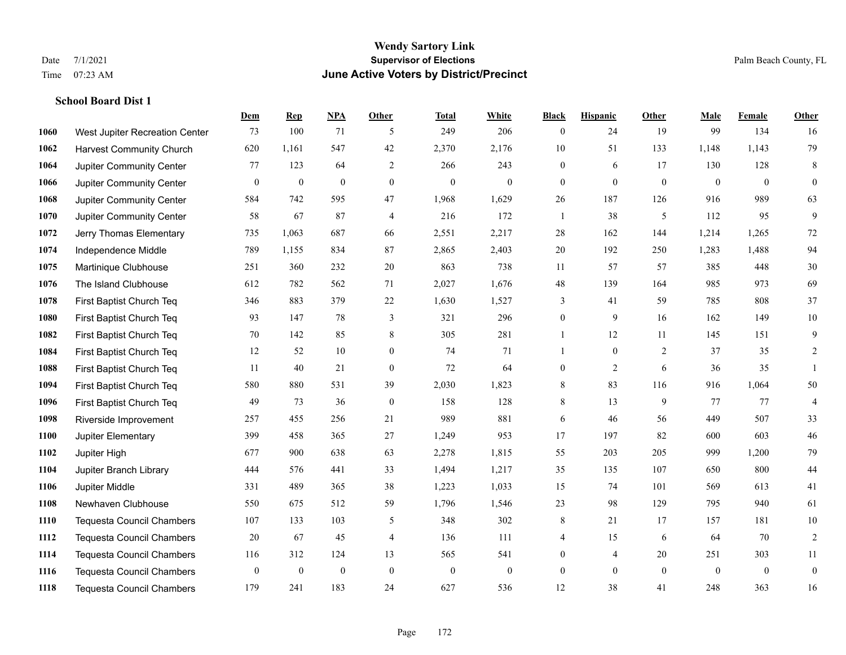# **Wendy Sartory Link** Date 7/1/2021 Palm Beach County, FL Time 07:23 AM **June Active Voters by District/Precinct**

# **School Board Dist 1**

|      |                                  | Dem          | <b>Rep</b>       | NPA          | <b>Other</b>     | <b>Total</b> | <b>White</b>     | <b>Black</b>     | <b>Hispanic</b>  | <b>Other</b>   | <b>Male</b>  | <b>Female</b>  | <b>Other</b>     |
|------|----------------------------------|--------------|------------------|--------------|------------------|--------------|------------------|------------------|------------------|----------------|--------------|----------------|------------------|
| 1060 | West Jupiter Recreation Center   | 73           | 100              | 71           | 5                | 249          | 206              | $\overline{0}$   | 24               | 19             | 99           | 134            | 16               |
| 1062 | <b>Harvest Community Church</b>  | 620          | 1,161            | 547          | 42               | 2,370        | 2,176            | 10               | 51               | 133            | 1,148        | 1,143          | 79               |
| 1064 | Jupiter Community Center         | 77           | 123              | 64           | 2                | 266          | 243              | $\overline{0}$   | 6                | 17             | 130          | 128            | 8                |
| 1066 | Jupiter Community Center         | $\mathbf{0}$ | $\boldsymbol{0}$ | $\mathbf{0}$ | $\mathbf{0}$     | $\mathbf{0}$ | $\mathbf{0}$     | $\boldsymbol{0}$ | $\mathbf{0}$     | $\mathbf{0}$   | $\mathbf{0}$ | $\overline{0}$ | $\overline{0}$   |
| 1068 | Jupiter Community Center         | 584          | 742              | 595          | 47               | 1,968        | 1,629            | 26               | 187              | 126            | 916          | 989            | 63               |
| 1070 | Jupiter Community Center         | 58           | 67               | 87           | 4                | 216          | 172              | $\overline{1}$   | 38               | 5              | 112          | 95             | 9                |
| 1072 | Jerry Thomas Elementary          | 735          | 1,063            | 687          | 66               | 2,551        | 2,217            | $28\,$           | 162              | 144            | 1,214        | 1,265          | $72\,$           |
| 1074 | Independence Middle              | 789          | 1,155            | 834          | 87               | 2,865        | 2,403            | 20               | 192              | 250            | 1,283        | 1,488          | 94               |
| 1075 | Martinique Clubhouse             | 251          | 360              | 232          | 20               | 863          | 738              | 11               | 57               | 57             | 385          | 448            | 30               |
| 1076 | The Island Clubhouse             | 612          | 782              | 562          | 71               | 2,027        | 1,676            | 48               | 139              | 164            | 985          | 973            | 69               |
| 1078 | First Baptist Church Teq         | 346          | 883              | 379          | 22               | 1,630        | 1,527            | 3                | 41               | 59             | 785          | 808            | 37               |
| 1080 | First Baptist Church Teq         | 93           | 147              | 78           | 3                | 321          | 296              | $\boldsymbol{0}$ | 9                | 16             | 162          | 149            | $10\,$           |
| 1082 | First Baptist Church Teq         | 70           | 142              | 85           | 8                | 305          | 281              | 1                | 12               | 11             | 145          | 151            | 9                |
| 1084 | First Baptist Church Teq         | 12           | 52               | 10           | $\boldsymbol{0}$ | 74           | 71               | 1                | $\boldsymbol{0}$ | $\overline{2}$ | 37           | 35             | $\overline{c}$   |
| 1088 | First Baptist Church Teq         | 11           | 40               | 21           | $\mathbf{0}$     | 72           | 64               | $\boldsymbol{0}$ | $\overline{2}$   | 6              | 36           | 35             |                  |
| 1094 | First Baptist Church Teq         | 580          | 880              | 531          | 39               | 2,030        | 1,823            | 8                | 83               | 116            | 916          | 1,064          | 50               |
| 1096 | First Baptist Church Teq         | 49           | 73               | 36           | $\mathbf{0}$     | 158          | 128              | 8                | 13               | 9              | 77           | 77             | 4                |
| 1098 | Riverside Improvement            | 257          | 455              | 256          | 21               | 989          | 881              | 6                | 46               | 56             | 449          | 507            | 33               |
| 1100 | Jupiter Elementary               | 399          | 458              | 365          | 27               | 1,249        | 953              | 17               | 197              | 82             | 600          | 603            | $46\,$           |
| 1102 | Jupiter High                     | 677          | 900              | 638          | 63               | 2,278        | 1,815            | 55               | 203              | 205            | 999          | 1,200          | 79               |
| 1104 | Jupiter Branch Library           | 444          | 576              | 441          | 33               | 1,494        | 1,217            | 35               | 135              | 107            | 650          | 800            | 44               |
| 1106 | Jupiter Middle                   | 331          | 489              | 365          | 38               | 1,223        | 1,033            | 15               | 74               | 101            | 569          | 613            | 41               |
| 1108 | Newhaven Clubhouse               | 550          | 675              | 512          | 59               | 1,796        | 1,546            | 23               | 98               | 129            | 795          | 940            | 61               |
| 1110 | <b>Tequesta Council Chambers</b> | 107          | 133              | 103          | 5                | 348          | 302              | 8                | 21               | 17             | 157          | 181            | $10\,$           |
| 1112 | Tequesta Council Chambers        | 20           | 67               | 45           | $\overline{4}$   | 136          | 111              | 4                | 15               | 6              | 64           | 70             | $\overline{2}$   |
| 1114 | Tequesta Council Chambers        | 116          | 312              | 124          | 13               | 565          | 541              | $\boldsymbol{0}$ | 4                | 20             | 251          | 303            | 11               |
| 1116 | <b>Tequesta Council Chambers</b> | $\bf{0}$     | $\boldsymbol{0}$ | $\theta$     | $\mathbf{0}$     | $\mathbf{0}$ | $\boldsymbol{0}$ | $\boldsymbol{0}$ | $\overline{0}$   | $\mathbf{0}$   | $\mathbf{0}$ | $\overline{0}$ | $\boldsymbol{0}$ |
| 1118 | Tequesta Council Chambers        | 179          | 241              | 183          | 24               | 627          | 536              | 12               | 38               | 41             | 248          | 363            | 16               |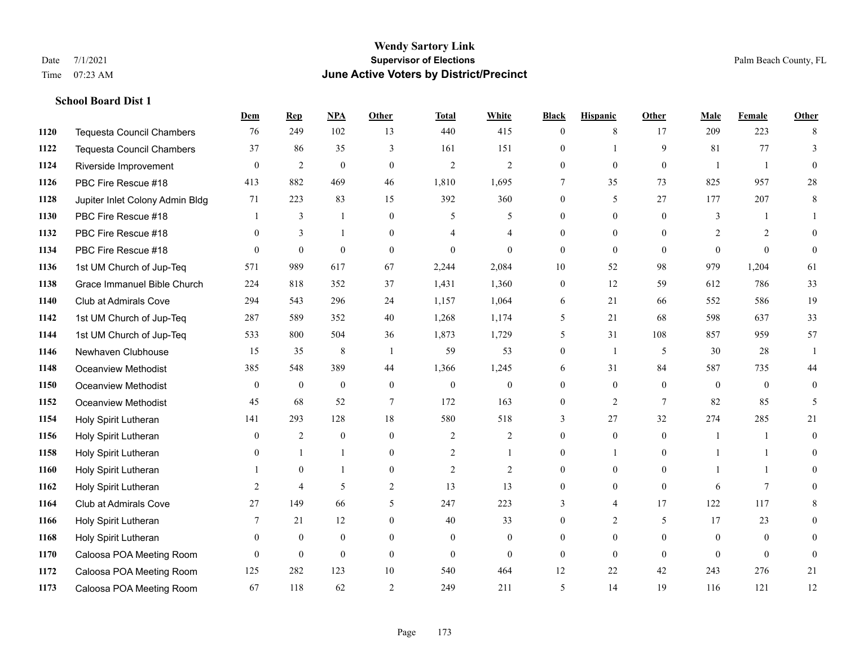**School Board Dist 1**

#### **Wendy Sartory Link** Date 7/1/2021 **Supervisor of Elections** Palm Beach County, FL Time 07:23 AM **June Active Voters by District/Precinct**

**Dem Rep NPA Other Total White Black Hispanic Other Male Female Other**

# Tequesta Council Chambers 76 249 102 13 440 415 0 8 17 209 223 8 Tequesta Council Chambers 37 86 35 3 161 151 0 1 9 81 77 3 Riverside Improvement 0 0 2 0 0 2 2 2 0 0 0 0 1 1 0 PBC Fire Rescue #18 413 882 469 46 1,810 1,695 7 35 73 825 957 28 Jupiter Inlet Colony Admin Bldg 71 223 83 15 392 360 0 5 27 177 207 8 PBC Fire Rescue #18 **1** 3 1 0 5 5 0 0 0 3 1 1 PBC Fire Rescue #18 0 3 1 0 4 4 0 0 0 2 2 0 PBC Fire Rescue #18 0 0 0 0 0 0 0 0 0 0 0 0 1st UM Church of Jup-Teq 571 989 617 67 2,244 2,084 10 52 98 979 1,204 61 Grace Immanuel Bible Church 224 818 352 37 1,431 1,360 0 12 59 612 786 33 Club at Admirals Cove 294 543 296 24 1,157 1,064 6 21 66 552 586 19 1st UM Church of Jup-Teq 287 589 352 40 1,268 1,174 5 21 68 598 637 33 1st UM Church of Jup-Teq 533 800 504 36 1,873 1,729 5 31 108 857 959 57 Newhaven Clubhouse 15 35 8 1 59 53 0 1 5 30 28 1 Oceanview Methodist 385 548 389 44 1,366 1,245 6 31 84 587 735 44 Oceanview Methodist 0 0 0 0 0 0 0 0 0 0 0 0 Oceanview Methodist 45 68 52 7 172 163 0 2 7 82 85 5 Holy Spirit Lutheran 141 293 128 18 580 518 3 27 32 274 285 21 Holy Spirit Lutheran 0 2 0 0 2 2 0 0 0 1 1 0 Holy Spirit Lutheran 0 1 1 0 2 1 0 1 0 1 1 0 Holy Spirit Lutheran 1 0 1 0 2 2 0 0 0 1 1 0 Holy Spirit Lutheran **2** 4 5 2 13 13 0 0 0 6 7 0 Club at Admirals Cove 27 149 66 5 247 223 3 4 17 122 117 8 Holy Spirit Lutheran **7** 21 12 0 40 33 0 2 5 17 23 0 Holy Spirit Lutheran 0 0 0 0 0 0 0 0 0 0 0 0

 Caloosa POA Meeting Room 0 0 0 0 0 0 0 0 0 0 0 0 Caloosa POA Meeting Room 125 282 123 10 540 464 12 22 42 243 276 21 Caloosa POA Meeting Room 67 118 62 2 249 211 5 14 19 116 121 12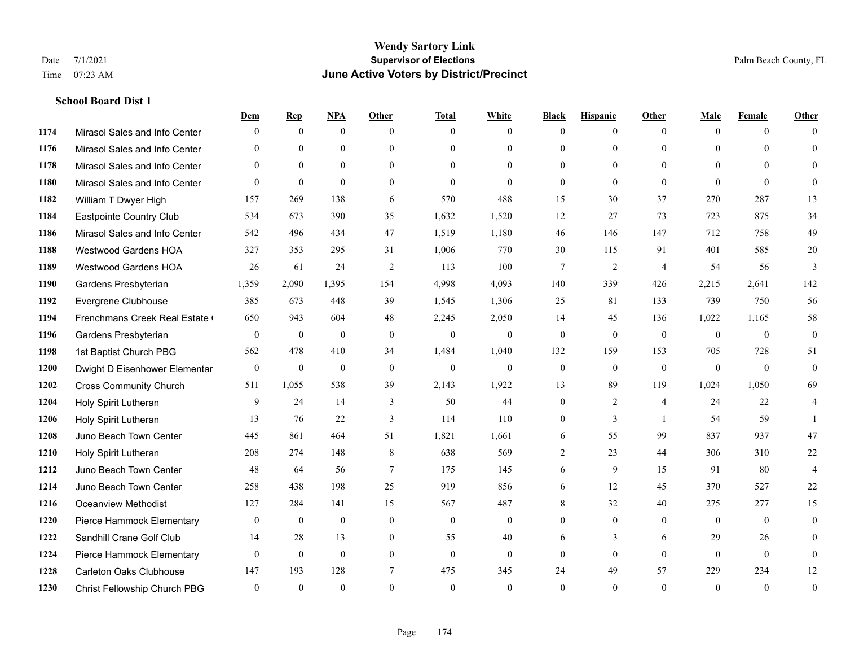#### **School Board Dist 1**

|      |                                | Dem            | <b>Rep</b>       | NPA          | <b>Other</b> | <b>Total</b> | <b>White</b>   | <b>Black</b> | <b>Hispanic</b> | <b>Other</b>   | <b>Male</b>  | <b>Female</b> | <b>Other</b>     |
|------|--------------------------------|----------------|------------------|--------------|--------------|--------------|----------------|--------------|-----------------|----------------|--------------|---------------|------------------|
| 1174 | Mirasol Sales and Info Center  | $\Omega$       | $\mathbf{0}$     | $\mathbf{0}$ | $\Omega$     | $\Omega$     | $\overline{0}$ | $\mathbf{0}$ | $\overline{0}$  | $\theta$       | $\theta$     | $\theta$      | $\Omega$         |
| 1176 | Mirasol Sales and Info Center  | $\Omega$       | $\theta$         | $\theta$     | $\Omega$     | $\Omega$     | $\overline{0}$ | $\theta$     | $\theta$        | $\Omega$       | $\theta$     | $\Omega$      | $\theta$         |
| 1178 | Mirasol Sales and Info Center  | $\theta$       | $\mathbf{0}$     | $\mathbf{0}$ | $\theta$     | $\theta$     | $\overline{0}$ | $\theta$     | $\theta$        | $\Omega$       | $\theta$     | $\Omega$      | $\Omega$         |
| 1180 | Mirasol Sales and Info Center  | $\theta$       | $\mathbf{0}$     | $\theta$     | $\theta$     | $\theta$     | $\mathbf{0}$   | $\mathbf{0}$ | $\theta$        | $\theta$       | $\theta$     | $\theta$      | $\Omega$         |
| 1182 | William T Dwyer High           | 157            | 269              | 138          | 6            | 570          | 488            | 15           | 30              | 37             | 270          | 287           | 13               |
| 1184 | Eastpointe Country Club        | 534            | 673              | 390          | 35           | 1,632        | 1,520          | 12           | 27              | 73             | 723          | 875           | 34               |
| 1186 | Mirasol Sales and Info Center  | 542            | 496              | 434          | 47           | 1,519        | 1,180          | 46           | 146             | 147            | 712          | 758           | 49               |
| 1188 | <b>Westwood Gardens HOA</b>    | 327            | 353              | 295          | 31           | 1,006        | 770            | 30           | 115             | 91             | 401          | 585           | $20\,$           |
| 1189 | <b>Westwood Gardens HOA</b>    | 26             | 61               | 24           | 2            | 113          | 100            | $\tau$       | $\overline{2}$  | $\overline{4}$ | 54           | 56            | 3                |
| 1190 | Gardens Presbyterian           | 1,359          | 2,090            | 1,395        | 154          | 4,998        | 4,093          | 140          | 339             | 426            | 2,215        | 2,641         | 142              |
| 1192 | Evergrene Clubhouse            | 385            | 673              | 448          | 39           | 1,545        | 1,306          | 25           | 81              | 133            | 739          | 750           | 56               |
| 1194 | Frenchmans Creek Real Estate   | 650            | 943              | 604          | 48           | 2,245        | 2,050          | 14           | 45              | 136            | 1,022        | 1,165         | 58               |
| 1196 | Gardens Presbyterian           | $\mathbf{0}$   | $\boldsymbol{0}$ | $\mathbf{0}$ | $\mathbf{0}$ | $\mathbf{0}$ | $\mathbf{0}$   | $\mathbf{0}$ | $\mathbf{0}$    | $\mathbf{0}$   | $\mathbf{0}$ | $\mathbf{0}$  | $\boldsymbol{0}$ |
| 1198 | 1st Baptist Church PBG         | 562            | 478              | 410          | 34           | 1,484        | 1,040          | 132          | 159             | 153            | 705          | 728           | 51               |
| 1200 | Dwight D Eisenhower Elementar  | $\mathbf{0}$   | $\mathbf{0}$     | $\mathbf{0}$ | $\theta$     | $\mathbf{0}$ | $\mathbf{0}$   | $\mathbf{0}$ | $\theta$        | $\theta$       | $\theta$     | $\theta$      | $\mathbf{0}$     |
| 1202 | <b>Cross Community Church</b>  | 511            | 1,055            | 538          | 39           | 2,143        | 1,922          | 13           | 89              | 119            | 1,024        | 1,050         | 69               |
| 1204 | Holy Spirit Lutheran           | 9              | 24               | 14           | 3            | 50           | 44             | $\mathbf{0}$ | 2               | $\overline{4}$ | 24           | 22            | 4                |
| 1206 | Holy Spirit Lutheran           | 13             | 76               | 22           | 3            | 114          | 110            | $\mathbf{0}$ | 3               | $\overline{1}$ | 54           | 59            |                  |
| 1208 | Juno Beach Town Center         | 445            | 861              | 464          | 51           | 1,821        | 1,661          | 6            | 55              | 99             | 837          | 937           | $47\,$           |
| 1210 | Holy Spirit Lutheran           | 208            | 274              | 148          | 8            | 638          | 569            | 2            | 23              | 44             | 306          | 310           | 22               |
| 1212 | Juno Beach Town Center         | 48             | 64               | 56           | $\tau$       | 175          | 145            | 6            | 9               | 15             | 91           | 80            | $\overline{4}$   |
| 1214 | Juno Beach Town Center         | 258            | 438              | 198          | 25           | 919          | 856            | 6            | 12              | 45             | 370          | 527           | $22\,$           |
| 1216 | <b>Oceanview Methodist</b>     | 127            | 284              | 141          | 15           | 567          | 487            | 8            | 32              | 40             | 275          | 277           | 15               |
| 1220 | Pierce Hammock Elementary      | $\overline{0}$ | $\mathbf{0}$     | $\mathbf{0}$ | $\mathbf{0}$ | $\mathbf{0}$ | $\mathbf{0}$   | $\mathbf{0}$ | $\mathbf{0}$    | $\theta$       | $\mathbf{0}$ | $\mathbf{0}$  | $\mathbf{0}$     |
| 1222 | Sandhill Crane Golf Club       | 14             | 28               | 13           | $\theta$     | 55           | 40             | 6            | 3               | 6              | 29           | 26            | $\theta$         |
| 1224 | Pierce Hammock Elementary      | $\mathbf{0}$   | $\mathbf{0}$     | $\mathbf{0}$ | $\theta$     | $\theta$     | $\mathbf{0}$   | $\mathbf{0}$ | $\mathbf{0}$    | $\theta$       | $\theta$     | $\theta$      | $\mathbf{0}$     |
| 1228 | <b>Carleton Oaks Clubhouse</b> | 147            | 193              | 128          | 7            | 475          | 345            | 24           | 49              | 57             | 229          | 234           | 12               |
| 1230 | Christ Fellowship Church PBG   | $\theta$       | $\theta$         | $\theta$     | $\theta$     | $\theta$     | $\theta$       | $\theta$     | $\theta$        | $\Omega$       | $\Omega$     | $\theta$      | $\boldsymbol{0}$ |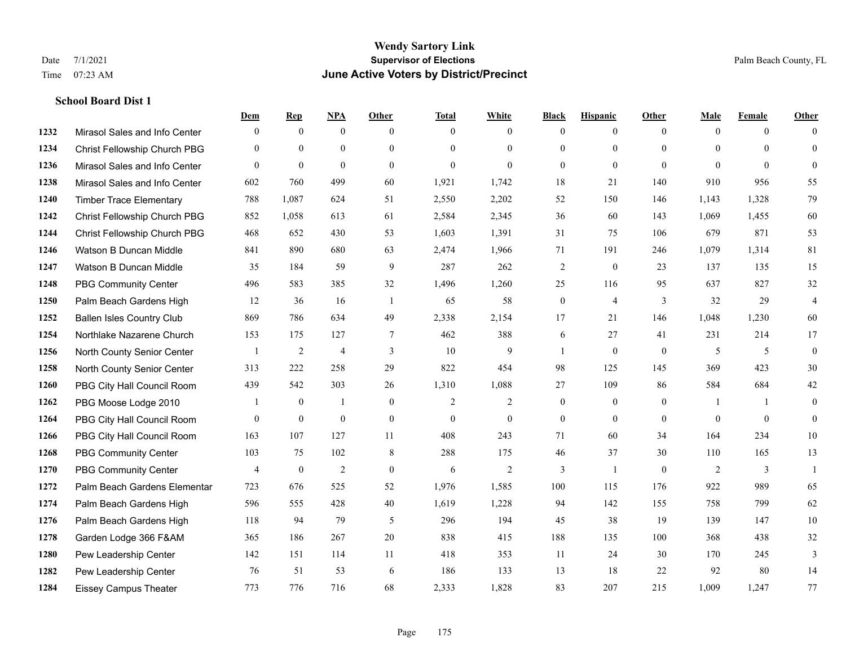#### **School Board Dist 1**

|      |                                  | Dem            | <b>Rep</b>       | NPA            | <b>Other</b>   | <b>Total</b> | <b>White</b>   | <b>Black</b>     | <b>Hispanic</b>  | <b>Other</b>   | <b>Male</b>  | <b>Female</b> | <b>Other</b>   |
|------|----------------------------------|----------------|------------------|----------------|----------------|--------------|----------------|------------------|------------------|----------------|--------------|---------------|----------------|
| 1232 | Mirasol Sales and Info Center    | $\mathbf{0}$   | $\mathbf{0}$     | $\mathbf{0}$   | $\theta$       | $\Omega$     | $\overline{0}$ | $\mathbf{0}$     | $\overline{0}$   | $\theta$       | $\mathbf{0}$ | $\theta$      | $\Omega$       |
| 1234 | Christ Fellowship Church PBG     | $\theta$       | $\mathbf{0}$     | $\mathbf{0}$   | $\theta$       | $\Omega$     | $\overline{0}$ | $\theta$         | $\mathbf{0}$     | $\Omega$       | $\theta$     | $\Omega$      | $\theta$       |
| 1236 | Mirasol Sales and Info Center    | $\theta$       | $\boldsymbol{0}$ | $\mathbf{0}$   | $\theta$       | $\mathbf{0}$ | $\overline{0}$ | $\theta$         | $\mathbf{0}$     | $\theta$       | $\Omega$     | $\theta$      | $\theta$       |
| 1238 | Mirasol Sales and Info Center    | 602            | 760              | 499            | 60             | 1,921        | 1,742          | 18               | 21               | 140            | 910          | 956           | 55             |
| 1240 | <b>Timber Trace Elementary</b>   | 788            | 1,087            | 624            | 51             | 2,550        | 2,202          | 52               | 150              | 146            | 1,143        | 1,328         | 79             |
| 1242 | Christ Fellowship Church PBG     | 852            | 1,058            | 613            | 61             | 2,584        | 2,345          | 36               | 60               | 143            | 1,069        | 1,455         | 60             |
| 1244 | Christ Fellowship Church PBG     | 468            | 652              | 430            | 53             | 1,603        | 1,391          | 31               | 75               | 106            | 679          | 871           | 53             |
| 1246 | Watson B Duncan Middle           | 841            | 890              | 680            | 63             | 2,474        | 1,966          | 71               | 191              | 246            | 1,079        | 1,314         | 81             |
| 1247 | Watson B Duncan Middle           | 35             | 184              | 59             | 9              | 287          | 262            | $\overline{2}$   | $\mathbf{0}$     | 23             | 137          | 135           | 15             |
| 1248 | <b>PBG Community Center</b>      | 496            | 583              | 385            | 32             | 1,496        | 1,260          | 25               | 116              | 95             | 637          | 827           | $32\,$         |
| 1250 | Palm Beach Gardens High          | 12             | 36               | 16             | $\overline{1}$ | 65           | 58             | $\boldsymbol{0}$ | $\overline{4}$   | 3              | 32           | 29            | $\overline{4}$ |
| 1252 | <b>Ballen Isles Country Club</b> | 869            | 786              | 634            | 49             | 2,338        | 2,154          | 17               | 21               | 146            | 1,048        | 1,230         | 60             |
| 1254 | Northlake Nazarene Church        | 153            | 175              | 127            | 7              | 462          | 388            | 6                | 27               | 41             | 231          | 214           | 17             |
| 1256 | North County Senior Center       |                | $\overline{c}$   | $\overline{4}$ | 3              | 10           | 9              | $\overline{1}$   | $\mathbf{0}$     | $\overline{0}$ | 5            | 5             | $\mathbf{0}$   |
| 1258 | North County Senior Center       | 313            | 222              | 258            | 29             | 822          | 454            | 98               | 125              | 145            | 369          | 423           | 30             |
| 1260 | PBG City Hall Council Room       | 439            | 542              | 303            | 26             | 1,310        | 1,088          | 27               | 109              | 86             | 584          | 684           | 42             |
| 1262 | PBG Moose Lodge 2010             |                | $\boldsymbol{0}$ | -1             | $\mathbf{0}$   | 2            | $\overline{2}$ | $\boldsymbol{0}$ | $\boldsymbol{0}$ | $\overline{0}$ | -1           | -1            | $\mathbf{0}$   |
| 1264 | PBG City Hall Council Room       | $\theta$       | $\mathbf{0}$     | $\mathbf{0}$   | $\mathbf{0}$   | $\theta$     | $\overline{0}$ | $\mathbf{0}$     | $\overline{0}$   | $\theta$       | $\theta$     | $\theta$      | $\mathbf{0}$   |
| 1266 | PBG City Hall Council Room       | 163            | 107              | 127            | 11             | 408          | 243            | 71               | 60               | 34             | 164          | 234           | $10\,$         |
| 1268 | PBG Community Center             | 103            | 75               | 102            | 8              | 288          | 175            | 46               | 37               | 30             | 110          | 165           | 13             |
| 1270 | <b>PBG Community Center</b>      | $\overline{4}$ | $\mathbf{0}$     | $\overline{c}$ | $\theta$       | 6            | $\mathbf{2}$   | 3                | $\mathbf{1}$     | $\Omega$       | 2            | 3             | $\mathbf{1}$   |
| 1272 | Palm Beach Gardens Elementar     | 723            | 676              | 525            | 52             | 1,976        | 1,585          | 100              | 115              | 176            | 922          | 989           | 65             |
| 1274 | Palm Beach Gardens High          | 596            | 555              | 428            | 40             | 1,619        | 1,228          | 94               | 142              | 155            | 758          | 799           | 62             |
| 1276 | Palm Beach Gardens High          | 118            | 94               | 79             | 5              | 296          | 194            | 45               | 38               | 19             | 139          | 147           | 10             |
| 1278 | Garden Lodge 366 F&AM            | 365            | 186              | 267            | 20             | 838          | 415            | 188              | 135              | 100            | 368          | 438           | 32             |
| 1280 | Pew Leadership Center            | 142            | 151              | 114            | 11             | 418          | 353            | 11               | 24               | 30             | 170          | 245           | 3              |
| 1282 | Pew Leadership Center            | 76             | 51               | 53             | 6              | 186          | 133            | 13               | 18               | 22             | 92           | 80            | 14             |
| 1284 | <b>Eissey Campus Theater</b>     | 773            | 776              | 716            | 68             | 2,333        | 1,828          | 83               | 207              | 215            | 1,009        | 1,247         | 77             |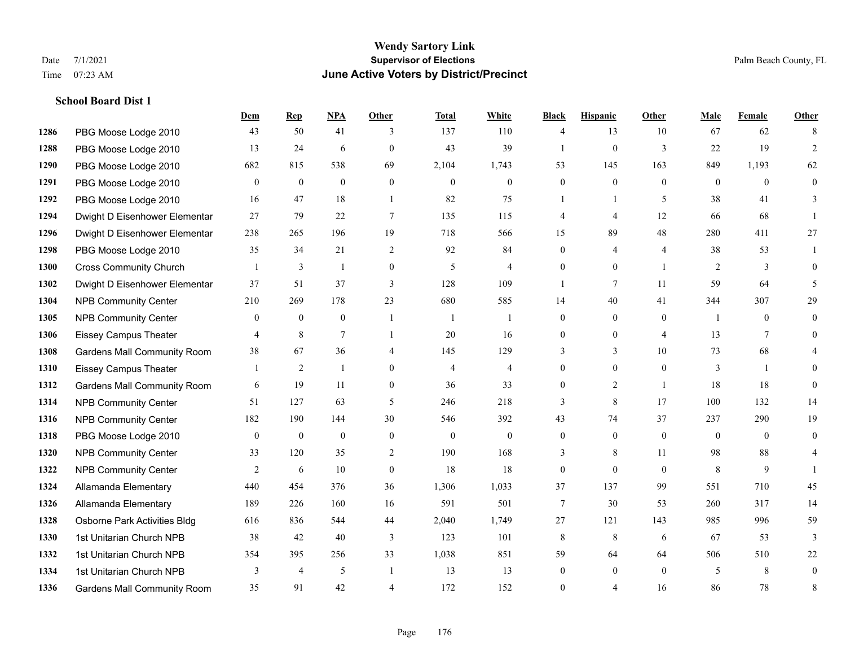**School Board Dist 1**

#### **Wendy Sartory Link** Date 7/1/2021 **Supervisor of Elections** Palm Beach County, FL Time 07:23 AM **June Active Voters by District/Precinct**

# **Dem Rep NPA Other Total White Black Hispanic Other Male Female Other** PBG Moose Lodge 2010 43 50 41 3 137 110 4 13 10 67 62 8 PBG Moose Lodge 2010 13 24 6 0 43 39 1 0 3 22 19 2 PBG Moose Lodge 2010 682 815 538 69 2,104 1,743 53 145 163 849 1,193 62 PBG Moose Lodge 2010 0 0 0 0 0 0 0 0 0 0 0 0 PBG Moose Lodge 2010 16 47 18 1 82 75 1 1 5 38 41 3 Dwight D Eisenhower Elementar 27 79 22 7 135 115 4 4 12 66 68 1 Dwight D Eisenhower Elementar 238 265 196 19 718 566 15 89 48 280 411 27 PBG Moose Lodge 2010 35 34 21 2 92 84 0 4 4 38 53 1 Cross Community Church 1 3 1 0 5 4 0 0 1 2 3 0 Dwight D Eisenhower Elementar 37 51 37 3 128 109 1 7 11 59 64 5 NPB Community Center 210 269 178 23 680 585 14 40 41 344 307 29 1305 NPB Community Center  $\begin{array}{ccccccccccccc}\n & 0 & 0 & 0 & 1 & 1 & 0 & 0 & 0 & 1 & 0 & 0\n\end{array}$  Eissey Campus Theater 4 8 7 1 20 16 0 0 4 13 7 0 Gardens Mall Community Room 38 67 36 4 145 129 3 3 10 73 68 4 Eissey Campus Theater 1 2 1 0 4 4 0 0 0 3 1 0 Gardens Mall Community Room 6 19 11 0 36 33 0 2 1 18 18 0 NPB Community Center 51 127 63 5 246 218 3 8 17 100 132 14 NPB Community Center 182 190 144 30 546 392 43 74 37 237 290 19 PBG Moose Lodge 2010 0 0 0 0 0 0 0 0 0 0 0 0 NPB Community Center 33 120 35 2 190 168 3 8 11 98 88 4 **1322 NPB Community Center**  $\begin{array}{cccccccc} 2 & 6 & 10 & 0 & 18 & 18 & 0 & 0 & 8 & 9 & 1 \end{array}$  Allamanda Elementary 440 454 376 36 1,306 1,033 37 137 99 551 710 45 Allamanda Elementary 189 226 160 16 591 501 7 30 53 260 317 14 Osborne Park Activities Bldg 616 836 544 44 2,040 1,749 27 121 143 985 996 59 1st Unitarian Church NPB 38 42 40 3 123 101 8 8 6 67 53 3 1st Unitarian Church NPB 354 395 256 33 1,038 851 59 64 64 506 510 22 1334 1st Unitarian Church NPB 3 4 5 1 13 13 0 0 0 5 8 0 Gardens Mall Community Room 35 91 42 4 172 152 0 4 16 86 78 8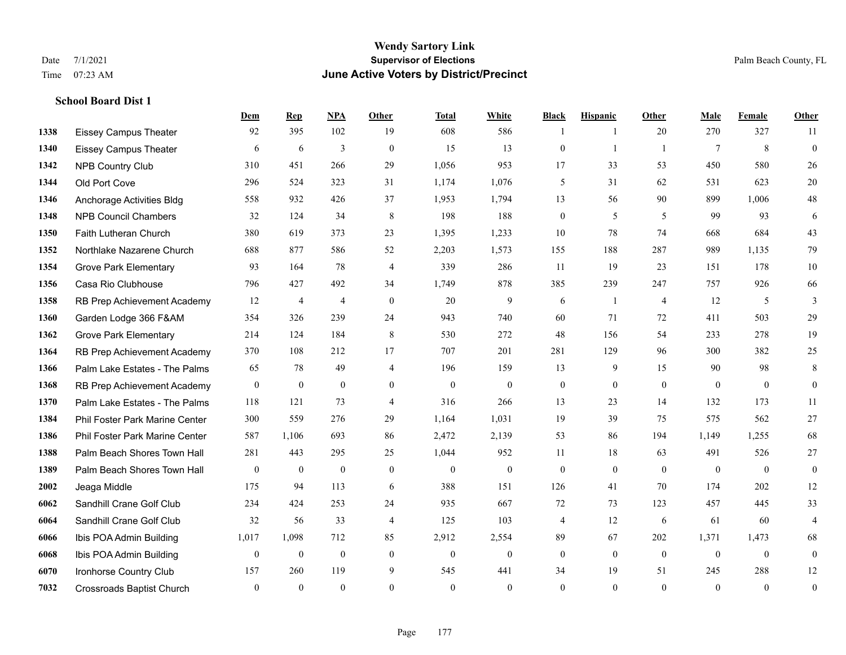**School Board Dist 1**

#### **Wendy Sartory Link** Date 7/1/2021 **Supervisor of Elections** Palm Beach County, FL Time 07:23 AM **June Active Voters by District/Precinct**

# **Dem Rep NPA Other Total White Black Hispanic Other Male Female Other** Eissey Campus Theater 92 395 102 19 608 586 1 1 20 270 327 11 Eissey Campus Theater 6 6 6 3 0 15 13 0 1 1 7 8 0 NPB Country Club 310 451 266 29 1,056 953 17 33 53 450 580 26 Old Port Cove 296 524 323 31 1,174 1,076 5 31 62 531 623 20 Anchorage Activities Bldg 558 932 426 37 1,953 1,794 13 56 90 899 1,006 48 NPB Council Chambers 32 124 34 8 198 188 0 5 5 99 93 6 Faith Lutheran Church 380 619 373 23 1,395 1,233 10 78 74 668 684 43 Northlake Nazarene Church 688 877 586 52 2,203 1,573 155 188 287 989 1,135 79 **1354 Grove Park Elementary 023 164 78 4 339 286 11 19 23 151 178 10**  Casa Rio Clubhouse 796 427 492 34 1,749 878 385 239 247 757 926 66 RB Prep Achievement Academy 12 4 4 0 20 9 6 1 4 12 5 3 Garden Lodge 366 F&AM 354 326 239 24 943 740 60 71 72 411 503 29 Grove Park Elementary 214 124 184 8 530 272 48 156 54 233 278 19 RB Prep Achievement Academy 370 108 212 17 707 201 281 129 96 300 382 25 Palm Lake Estates - The Palms 65 78 49 4 196 159 13 9 15 90 98 8 RB Prep Achievement Academy 0 0 0 0 0 0 0 0 0 0 0 0 Palm Lake Estates - The Palms 118 121 73 4 316 266 13 23 14 132 173 11 Phil Foster Park Marine Center 300 559 276 29 1,164 1,031 19 39 75 575 562 27 Phil Foster Park Marine Center 587 1,106 693 86 2,472 2,139 53 86 194 1,149 1,255 68 Palm Beach Shores Town Hall 281 443 295 25 1,044 952 11 18 63 491 526 27 Palm Beach Shores Town Hall 0 0 0 0 0 0 0 0 0 0 0 0 Jeaga Middle 175 94 113 6 388 151 126 41 70 174 202 12 Sandhill Crane Golf Club 234 424 253 24 935 667 72 73 123 457 445 33 Sandhill Crane Golf Club 32 56 33 4 125 103 4 12 6 61 60 4 Ibis POA Admin Building 1,017 1,098 712 85 2,912 2,554 89 67 202 1,371 1,473 68 Ibis POA Admin Building 0 0 0 0 0 0 0 0 0 0 0 0 Ironhorse Country Club 157 260 119 9 545 441 34 19 51 245 288 12 Crossroads Baptist Church 0 0 0 0 0 0 0 0 0 0 0 0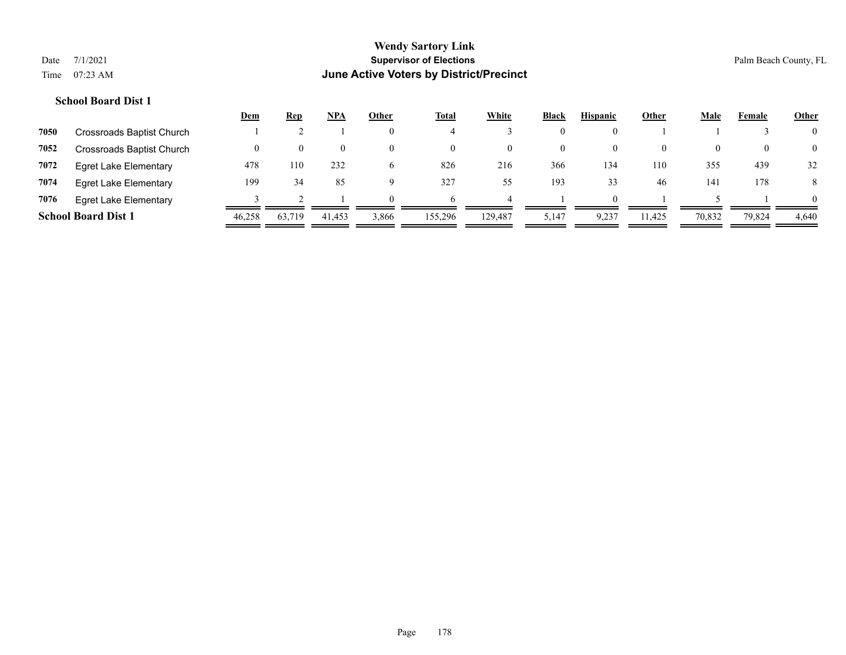# **School Board Dist 1**

|      |                              | <u>Dem</u> | <u>Rep</u> | <u>NPA</u> | Other          | <b>Total</b> | White    | <b>Black</b> | <b>Hispanic</b> | Other    | <b>Male</b> | Female | <b>Other</b>   |
|------|------------------------------|------------|------------|------------|----------------|--------------|----------|--------------|-----------------|----------|-------------|--------|----------------|
| 7050 | Crossroads Baptist Church    |            |            |            | $\theta$       |              |          | $\theta$     |                 |          |             |        | $\overline{0}$ |
| 7052 | Crossroads Baptist Church    | $_{0}$     | $\theta$   | $\theta$   | $\theta$       | $\left($     | $\theta$ | 0            | $\theta$        | $\theta$ | 0           |        | $\overline{0}$ |
| 7072 | <b>Egret Lake Elementary</b> | 478        | 110        | 232        | $\mathfrak{h}$ | 826          | 216      | 366          | 134             | 110      | 355         | 439    | 32             |
| 7074 | <b>Egret Lake Elementary</b> | 199        | 34         | 85         | 9              | 327          | 55       | 193          | 33              | -46      | 141         | 178    | 8              |
| 7076 | <b>Egret Lake Elementary</b> |            |            |            | $\Omega$       | <sub>t</sub> |          |              | $\Omega$        |          |             |        | $\overline{0}$ |
|      | <b>School Board Dist 1</b>   | 46.258     | 63,719     | 41,453     | 3,866          | 155,296      | 129,487  | 5,147        | 9,237           | 11,425   | 70,832      | 79,824 | 4,640          |
|      |                              |            |            |            |                |              |          |              |                 |          |             |        |                |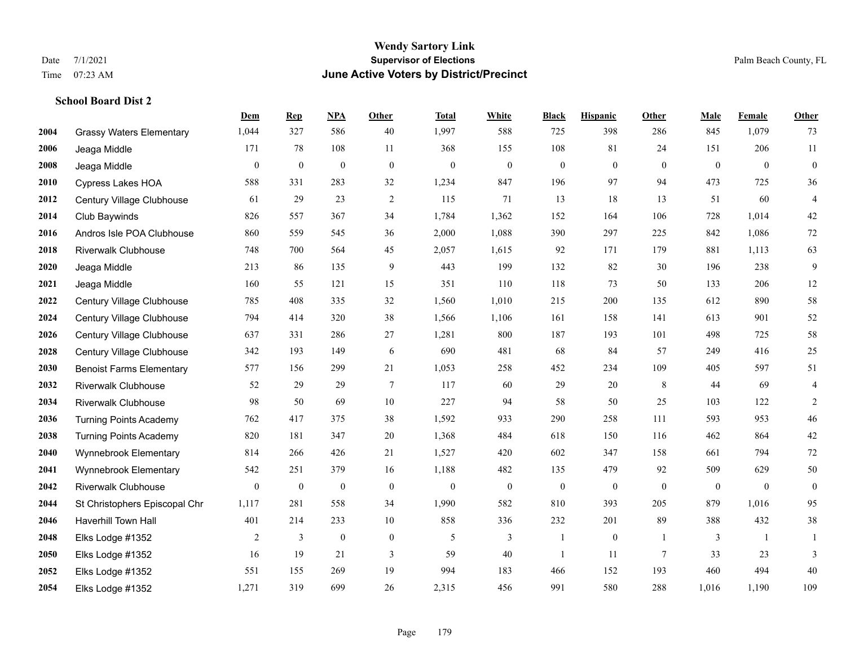# **Wendy Sartory Link** Date 7/1/2021 Palm Beach County, FL Time 07:23 AM **June Active Voters by District/Precinct**

# **School Board Dist 2**

|      |                                 | Dem              | <b>Rep</b>       | NPA              | <b>Other</b>   | <b>Total</b>     | <b>White</b>     | <b>Black</b>     | <b>Hispanic</b>  | <b>Other</b>     | <b>Male</b>  | Female         | <b>Other</b>     |
|------|---------------------------------|------------------|------------------|------------------|----------------|------------------|------------------|------------------|------------------|------------------|--------------|----------------|------------------|
| 2004 | <b>Grassy Waters Elementary</b> | 1,044            | 327              | 586              | 40             | 1,997            | 588              | 725              | 398              | 286              | 845          | 1,079          | 73               |
| 2006 | Jeaga Middle                    | 171              | 78               | 108              | 11             | 368              | 155              | 108              | 81               | 24               | 151          | 206            | $11\,$           |
| 2008 | Jeaga Middle                    | $\boldsymbol{0}$ | $\boldsymbol{0}$ | $\boldsymbol{0}$ | $\mathbf{0}$   | $\theta$         | $\mathbf{0}$     | $\boldsymbol{0}$ | $\boldsymbol{0}$ | $\overline{0}$   | $\mathbf{0}$ | $\overline{0}$ | $\boldsymbol{0}$ |
| 2010 | <b>Cypress Lakes HOA</b>        | 588              | 331              | 283              | 32             | 1,234            | 847              | 196              | 97               | 94               | 473          | 725            | 36               |
| 2012 | Century Village Clubhouse       | 61               | 29               | 23               | $\overline{2}$ | 115              | 71               | 13               | 18               | 13               | 51           | 60             | $\overline{4}$   |
| 2014 | Club Baywinds                   | 826              | 557              | 367              | 34             | 1,784            | 1,362            | 152              | 164              | 106              | 728          | 1,014          | $42\,$           |
| 2016 | Andros Isle POA Clubhouse       | 860              | 559              | 545              | 36             | 2,000            | 1,088            | 390              | 297              | 225              | 842          | 1,086          | $72\,$           |
| 2018 | <b>Riverwalk Clubhouse</b>      | 748              | 700              | 564              | 45             | 2,057            | 1,615            | 92               | 171              | 179              | 881          | 1,113          | 63               |
| 2020 | Jeaga Middle                    | 213              | 86               | 135              | 9              | 443              | 199              | 132              | 82               | 30               | 196          | 238            | 9                |
| 2021 | Jeaga Middle                    | 160              | 55               | 121              | 15             | 351              | 110              | 118              | 73               | 50               | 133          | 206            | $12\,$           |
| 2022 | Century Village Clubhouse       | 785              | 408              | 335              | 32             | 1,560            | 1,010            | 215              | 200              | 135              | 612          | 890            | 58               |
| 2024 | Century Village Clubhouse       | 794              | 414              | 320              | 38             | 1,566            | 1,106            | 161              | 158              | 141              | 613          | 901            | 52               |
| 2026 | Century Village Clubhouse       | 637              | 331              | 286              | 27             | 1,281            | 800              | 187              | 193              | 101              | 498          | 725            | 58               |
| 2028 | Century Village Clubhouse       | 342              | 193              | 149              | 6              | 690              | 481              | 68               | 84               | 57               | 249          | 416            | $25\,$           |
| 2030 | <b>Benoist Farms Elementary</b> | 577              | 156              | 299              | 21             | 1,053            | 258              | 452              | 234              | 109              | 405          | 597            | 51               |
| 2032 | <b>Riverwalk Clubhouse</b>      | 52               | 29               | 29               | $\tau$         | 117              | 60               | 29               | 20               | 8                | 44           | 69             | $\overline{4}$   |
| 2034 | <b>Riverwalk Clubhouse</b>      | 98               | 50               | 69               | 10             | 227              | 94               | 58               | 50               | 25               | 103          | 122            | $\overline{c}$   |
| 2036 | <b>Turning Points Academy</b>   | 762              | 417              | 375              | 38             | 1,592            | 933              | 290              | 258              | 111              | 593          | 953            | $46\,$           |
| 2038 | <b>Turning Points Academy</b>   | 820              | 181              | 347              | $20\,$         | 1,368            | 484              | 618              | 150              | 116              | 462          | 864            | $42\,$           |
| 2040 | Wynnebrook Elementary           | 814              | 266              | 426              | 21             | 1,527            | 420              | 602              | 347              | 158              | 661          | 794            | $72\,$           |
| 2041 | Wynnebrook Elementary           | 542              | 251              | 379              | 16             | 1,188            | 482              | 135              | 479              | 92               | 509          | 629            | 50               |
| 2042 | <b>Riverwalk Clubhouse</b>      | $\mathbf{0}$     | $\boldsymbol{0}$ | $\boldsymbol{0}$ | $\mathbf{0}$   | $\boldsymbol{0}$ | $\boldsymbol{0}$ | $\boldsymbol{0}$ | $\boldsymbol{0}$ | $\boldsymbol{0}$ | $\mathbf{0}$ | $\mathbf{0}$   | $\boldsymbol{0}$ |
| 2044 | St Christophers Episcopal Chr   | 1,117            | 281              | 558              | 34             | 1,990            | 582              | 810              | 393              | 205              | 879          | 1,016          | 95               |
| 2046 | <b>Haverhill Town Hall</b>      | 401              | 214              | 233              | $10\,$         | 858              | 336              | 232              | 201              | 89               | 388          | 432            | $38\,$           |
| 2048 | Elks Lodge #1352                | 2                | 3                | $\mathbf{0}$     | $\mathbf{0}$   | 5                | 3                | 1                | $\boldsymbol{0}$ | -1               | 3            | -1             | 1                |
| 2050 | Elks Lodge #1352                | 16               | 19               | 21               | 3              | 59               | 40               | $\mathbf{1}$     | 11               | $7\phantom{.0}$  | 33           | 23             | 3                |
| 2052 | Elks Lodge #1352                | 551              | 155              | 269              | 19             | 994              | 183              | 466              | 152              | 193              | 460          | 494            | 40               |
| 2054 | Elks Lodge #1352                | 1,271            | 319              | 699              | 26             | 2,315            | 456              | 991              | 580              | 288              | 1,016        | 1,190          | 109              |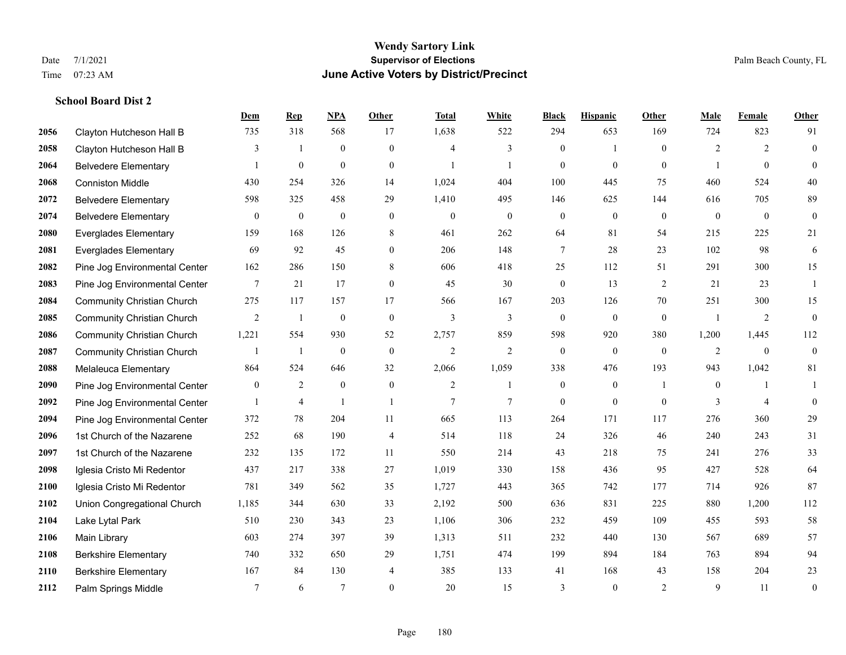**School Board Dist 2**

## **Wendy Sartory Link** Date 7/1/2021 **Supervisor of Elections** Palm Beach County, FL Time 07:23 AM **June Active Voters by District/Precinct**

# **Dem Rep NPA Other Total White Black Hispanic Other Male Female Other** Clayton Hutcheson Hall B 735 318 568 17 1,638 522 294 653 169 724 823 91

| 2058 | Clayton Hutcheson Hall B          | 3              |              | $\mathbf{0}$     | $\mathbf{0}$     | $\overline{4}$   | 3            | $\mathbf{0}$     | $\mathbf{1}$     | $\mathbf{0}$     | $\overline{2}$ | $\overline{2}$   | $\theta$         |
|------|-----------------------------------|----------------|--------------|------------------|------------------|------------------|--------------|------------------|------------------|------------------|----------------|------------------|------------------|
| 2064 | <b>Belvedere Elementary</b>       |                | $\mathbf{0}$ | $\mathbf{0}$     | $\mathbf{0}$     |                  |              | $\mathbf{0}$     | $\mathbf{0}$     | $\mathbf{0}$     |                | $\mathbf{0}$     | $\theta$         |
| 2068 | <b>Conniston Middle</b>           | 430            | 254          | 326              | 14               | 1,024            | 404          | 100              | 445              | 75               | 460            | 524              | 40               |
| 2072 | <b>Belvedere Elementary</b>       | 598            | 325          | 458              | 29               | 1,410            | 495          | 146              | 625              | 144              | 616            | 705              | 89               |
| 2074 | <b>Belvedere Elementary</b>       | $\overline{0}$ | $\mathbf{0}$ | $\boldsymbol{0}$ | $\mathbf{0}$     | $\boldsymbol{0}$ | $\mathbf{0}$ | $\overline{0}$   | $\overline{0}$   | $\mathbf{0}$     | $\mathbf{0}$   | $\mathbf{0}$     | $\mathbf{0}$     |
| 2080 | <b>Everglades Elementary</b>      | 159            | 168          | 126              | 8                | 461              | 262          | 64               | 81               | 54               | 215            | 225              | 21               |
| 2081 | <b>Everglades Elementary</b>      | 69             | 92           | 45               | $\mathbf{0}$     | 206              | 148          | 7                | 28               | 23               | 102            | 98               | 6                |
| 2082 | Pine Jog Environmental Center     | 162            | 286          | 150              | 8                | 606              | 418          | 25               | 112              | 51               | 291            | 300              | 15               |
| 2083 | Pine Jog Environmental Center     | 7              | 21           | 17               | $\mathbf{0}$     | 45               | 30           | $\mathbf{0}$     | 13               | $\overline{2}$   | 21             | 23               |                  |
| 2084 | <b>Community Christian Church</b> | 275            | 117          | 157              | 17               | 566              | 167          | 203              | 126              | 70               | 251            | 300              | 15               |
| 2085 | <b>Community Christian Church</b> | 2              |              | $\boldsymbol{0}$ | $\mathbf{0}$     | 3                | 3            | $\theta$         | $\mathbf{0}$     | $\mathbf{0}$     |                | 2                | $\mathbf{0}$     |
| 2086 | <b>Community Christian Church</b> | 1,221          | 554          | 930              | 52               | 2,757            | 859          | 598              | 920              | 380              | 1,200          | 1,445            | 112              |
| 2087 | <b>Community Christian Church</b> |                | $\mathbf{1}$ | $\boldsymbol{0}$ | $\boldsymbol{0}$ | $\sqrt{2}$       | $\mathbf{2}$ | $\boldsymbol{0}$ | $\boldsymbol{0}$ | $\boldsymbol{0}$ | $\overline{2}$ | $\boldsymbol{0}$ | $\mathbf{0}$     |
| 2088 | Melaleuca Elementary              | 864            | 524          | 646              | 32               | 2,066            | 1,059        | 338              | 476              | 193              | 943            | 1,042            | 81               |
| 2090 | Pine Jog Environmental Center     | $\mathbf{0}$   | 2            | $\mathbf{0}$     | $\mathbf{0}$     | 2                |              | $\mathbf{0}$     | $\overline{0}$   |                  | $\theta$       |                  |                  |
| 2092 | Pine Jog Environmental Center     | $\overline{1}$ | 4            |                  | $\mathbf{1}$     | 7                | $\tau$       | $\theta$         | $\theta$         | $\theta$         | 3              | $\overline{4}$   | $\theta$         |
| 2094 | Pine Jog Environmental Center     | 372            | 78           | 204              | 11               | 665              | 113          | 264              | 171              | 117              | 276            | 360              | 29               |
| 2096 | 1st Church of the Nazarene        | 252            | 68           | 190              | $\overline{4}$   | 514              | 118          | 24               | 326              | 46               | 240            | 243              | 31               |
| 2097 | 1st Church of the Nazarene        | 232            | 135          | 172              | 11               | 550              | 214          | 43               | 218              | 75               | 241            | 276              | 33               |
| 2098 | Iglesia Cristo Mi Redentor        | 437            | 217          | 338              | 27               | 1,019            | 330          | 158              | 436              | 95               | 427            | 528              | 64               |
| 2100 | Iglesia Cristo Mi Redentor        | 781            | 349          | 562              | 35               | 1,727            | 443          | 365              | 742              | 177              | 714            | 926              | 87               |
| 2102 | Union Congregational Church       | 1,185          | 344          | 630              | 33               | 2,192            | 500          | 636              | 831              | 225              | 880            | 1,200            | 112              |
| 2104 | Lake Lytal Park                   | 510            | 230          | 343              | 23               | 1,106            | 306          | 232              | 459              | 109              | 455            | 593              | 58               |
| 2106 | Main Library                      | 603            | 274          | 397              | 39               | 1,313            | 511          | 232              | 440              | 130              | 567            | 689              | 57               |
| 2108 | <b>Berkshire Elementary</b>       | 740            | 332          | 650              | 29               | 1,751            | 474          | 199              | 894              | 184              | 763            | 894              | 94               |
| 2110 | <b>Berkshire Elementary</b>       | 167            | 84           | 130              | $\overline{4}$   | 385              | 133          | 41               | 168              | 43               | 158            | 204              | 23               |
| 2112 | Palm Springs Middle               | 7              | 6            | 7                | $\mathbf{0}$     | 20               | 15           | 3                | $\mathbf{0}$     | $\overline{2}$   | 9              | 11               | $\boldsymbol{0}$ |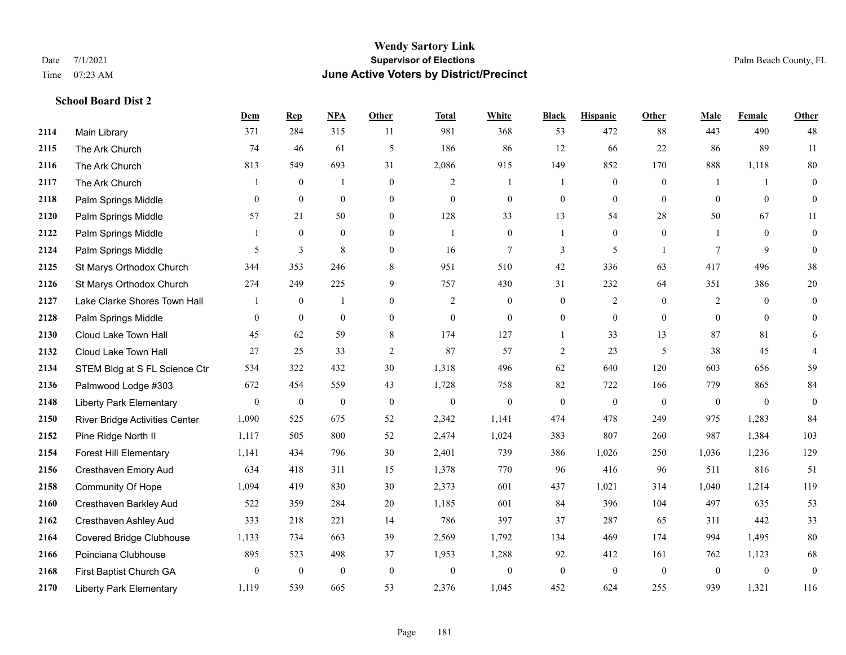|      |                                 | Dem              | <b>Rep</b>     | NPA              | Other            | <b>Total</b>   | <b>White</b>     | <b>Black</b>     | <b>Hispanic</b>  | <b>Other</b>   | <b>Male</b>    | <b>Female</b>  | <b>Other</b>     |
|------|---------------------------------|------------------|----------------|------------------|------------------|----------------|------------------|------------------|------------------|----------------|----------------|----------------|------------------|
| 2114 | Main Library                    | 371              | 284            | 315              | 11               | 981            | 368              | 53               | 472              | 88             | 443            | 490            | 48               |
| 2115 | The Ark Church                  | 74               | 46             | 61               | $\mathfrak{H}$   | 186            | 86               | 12               | 66               | 22             | 86             | 89             | $11\,$           |
| 2116 | The Ark Church                  | 813              | 549            | 693              | 31               | 2,086          | 915              | 149              | 852              | 170            | 888            | 1,118          | 80               |
| 2117 | The Ark Church                  |                  | $\mathbf{0}$   | $\mathbf{1}$     | $\mathbf{0}$     | $\overline{2}$ | 1                |                  | $\mathbf{0}$     | $\mathbf{0}$   |                | $\mathbf{1}$   | $\mathbf{0}$     |
| 2118 | Palm Springs Middle             | $\overline{0}$   | $\mathbf{0}$   | $\overline{0}$   | $\overline{0}$   | $\mathbf{0}$   | $\boldsymbol{0}$ | $\boldsymbol{0}$ | $\overline{0}$   | $\theta$       | $\mathbf{0}$   | $\overline{0}$ | $\mathbf{0}$     |
| 2120 | Palm Springs Middle             | 57               | 21             | 50               | $\overline{0}$   | 128            | 33               | 13               | 54               | 28             | 50             | 67             | 11               |
| 2122 | Palm Springs Middle             | 1                | $\mathbf{0}$   | $\boldsymbol{0}$ | $\overline{0}$   | $\mathbf{1}$   | $\boldsymbol{0}$ |                  | $\boldsymbol{0}$ | $\mathbf{0}$   |                | $\mathbf{0}$   | $\boldsymbol{0}$ |
| 2124 | Palm Springs Middle             | 5                | 3              | 8                | $\overline{0}$   | 16             | 7                | 3                | 5                | $\overline{1}$ | 7              | 9              | $\mathbf{0}$     |
| 2125 | St Marys Orthodox Church        | 344              | 353            | 246              | 8                | 951            | 510              | 42               | 336              | 63             | 417            | 496            | 38               |
| 2126 | St Marys Orthodox Church        | 274              | 249            | 225              | 9                | 757            | 430              | 31               | 232              | 64             | 351            | 386            | $20\,$           |
| 2127 | Lake Clarke Shores Town Hall    | 1                | $\overline{0}$ | $\overline{1}$   | $\overline{0}$   | 2              | $\mathbf{0}$     | $\mathbf{0}$     | $\overline{c}$   | $\theta$       | $\overline{2}$ | $\overline{0}$ | $\mathbf{0}$     |
| 2128 | Palm Springs Middle             | 0                | $\overline{0}$ | $\mathbf{0}$     | $\overline{0}$   | $\mathbf{0}$   | $\mathbf{0}$     | $\boldsymbol{0}$ | $\boldsymbol{0}$ | $\overline{0}$ | $\mathbf{0}$   | $\theta$       | $\mathbf{0}$     |
| 2130 | Cloud Lake Town Hall            | 45               | 62             | 59               | 8                | 174            | 127              |                  | 33               | 13             | 87             | 81             | 6                |
| 2132 | Cloud Lake Town Hall            | 27               | 25             | 33               | $\sqrt{2}$       | 87             | 57               | $\overline{c}$   | 23               | 5              | 38             | 45             | $\overline{4}$   |
| 2134 | STEM Bldg at S FL Science Ctr   | 534              | 322            | 432              | 30               | 1,318          | 496              | 62               | 640              | 120            | 603            | 656            | 59               |
| 2136 | Palmwood Lodge #303             | 672              | 454            | 559              | 43               | 1,728          | 758              | 82               | 722              | 166            | 779            | 865            | 84               |
| 2148 | <b>Liberty Park Elementary</b>  | $\boldsymbol{0}$ | $\mathbf{0}$   | $\boldsymbol{0}$ | $\boldsymbol{0}$ | $\mathbf{0}$   | $\mathbf{0}$     | $\mathbf{0}$     | $\mathbf{0}$     | $\overline{0}$ | $\mathbf{0}$   | $\overline{0}$ | $\boldsymbol{0}$ |
| 2150 | River Bridge Activities Center  | 1,090            | 525            | 675              | 52               | 2,342          | 1,141            | 474              | 478              | 249            | 975            | 1,283          | 84               |
| 2152 | Pine Ridge North II             | 1,117            | 505            | 800              | 52               | 2,474          | 1,024            | 383              | 807              | 260            | 987            | 1,384          | 103              |
| 2154 | <b>Forest Hill Elementary</b>   | 1,141            | 434            | 796              | 30               | 2,401          | 739              | 386              | 1,026            | 250            | 1,036          | 1,236          | 129              |
| 2156 | Cresthaven Emory Aud            | 634              | 418            | 311              | 15               | 1,378          | 770              | 96               | 416              | 96             | 511            | 816            | 51               |
| 2158 | Community Of Hope               | 1,094            | 419            | 830              | 30               | 2,373          | 601              | 437              | 1,021            | 314            | 1,040          | 1,214          | 119              |
| 2160 | Cresthaven Barkley Aud          | 522              | 359            | 284              | 20               | 1,185          | 601              | 84               | 396              | 104            | 497            | 635            | 53               |
| 2162 | Cresthaven Ashley Aud           | 333              | 218            | 221              | 14               | 786            | 397              | 37               | 287              | 65             | 311            | 442            | 33               |
| 2164 | <b>Covered Bridge Clubhouse</b> | 1,133            | 734            | 663              | 39               | 2,569          | 1,792            | 134              | 469              | 174            | 994            | 1,495          | $80\,$           |
| 2166 | Poinciana Clubhouse             | 895              | 523            | 498              | 37               | 1,953          | 1,288            | 92               | 412              | 161            | 762            | 1,123          | 68               |
| 2168 | First Baptist Church GA         | $\boldsymbol{0}$ | $\mathbf{0}$   | $\boldsymbol{0}$ | $\boldsymbol{0}$ | $\theta$       | $\boldsymbol{0}$ | $\boldsymbol{0}$ | $\mathbf{0}$     | $\mathbf{0}$   | $\mathbf{0}$   | $\mathbf{0}$   | $\boldsymbol{0}$ |
| 2170 | <b>Liberty Park Elementary</b>  | 1,119            | 539            | 665              | 53               | 2,376          | 1,045            | 452              | 624              | 255            | 939            | 1,321          | 116              |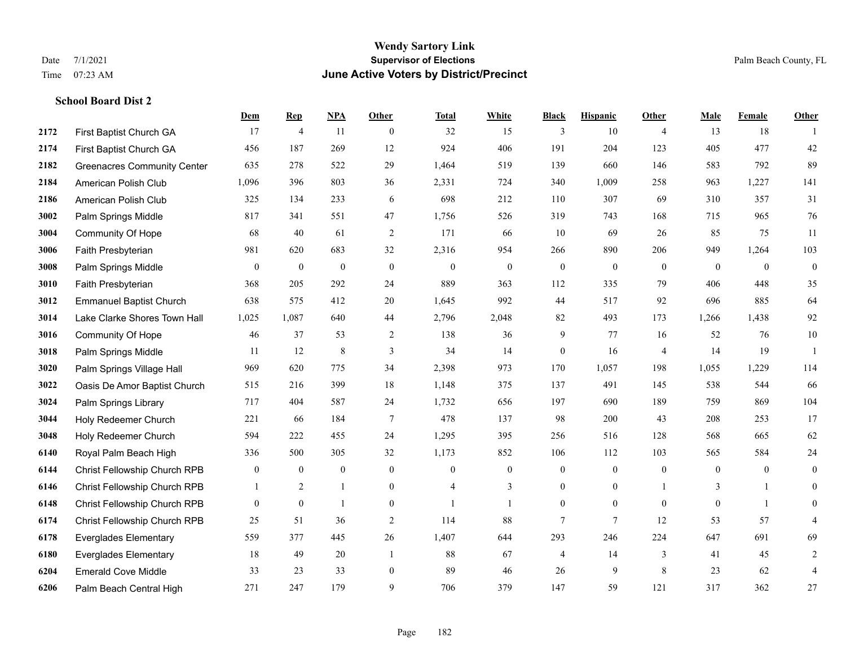# **Wendy Sartory Link** Date 7/1/2021 Palm Beach County, FL Time 07:23 AM **June Active Voters by District/Precinct**

|      |                                    | Dem            | <b>Rep</b>       | NPA              | <b>Other</b>   | <b>Total</b>   | <b>White</b>     | <b>Black</b>     | <b>Hispanic</b>  | <b>Other</b>   | <b>Male</b>      | Female         | <b>Other</b>     |
|------|------------------------------------|----------------|------------------|------------------|----------------|----------------|------------------|------------------|------------------|----------------|------------------|----------------|------------------|
| 2172 | First Baptist Church GA            | 17             | $\overline{4}$   | 11               | $\overline{0}$ | 32             | 15               | 3                | 10               | $\overline{4}$ | 13               | 18             |                  |
| 2174 | First Baptist Church GA            | 456            | 187              | 269              | 12             | 924            | 406              | 191              | 204              | 123            | 405              | 477            | 42               |
| 2182 | <b>Greenacres Community Center</b> | 635            | 278              | 522              | 29             | 1,464          | 519              | 139              | 660              | 146            | 583              | 792            | 89               |
| 2184 | American Polish Club               | 1,096          | 396              | 803              | 36             | 2,331          | 724              | 340              | 1,009            | 258            | 963              | 1,227          | 141              |
| 2186 | American Polish Club               | 325            | 134              | 233              | 6              | 698            | 212              | 110              | 307              | 69             | 310              | 357            | 31               |
| 3002 | Palm Springs Middle                | 817            | 341              | 551              | 47             | 1,756          | 526              | 319              | 743              | 168            | 715              | 965            | 76               |
| 3004 | Community Of Hope                  | 68             | 40               | 61               | $\overline{2}$ | 171            | 66               | 10               | 69               | 26             | 85               | 75             | 11               |
| 3006 | Faith Presbyterian                 | 981            | 620              | 683              | 32             | 2,316          | 954              | 266              | 890              | 206            | 949              | 1,264          | 103              |
| 3008 | Palm Springs Middle                | $\overline{0}$ | $\boldsymbol{0}$ | $\boldsymbol{0}$ | $\mathbf{0}$   | $\mathbf{0}$   | $\boldsymbol{0}$ | $\boldsymbol{0}$ | $\boldsymbol{0}$ | $\mathbf{0}$   | $\boldsymbol{0}$ | $\overline{0}$ | $\boldsymbol{0}$ |
| 3010 | Faith Presbyterian                 | 368            | 205              | 292              | 24             | 889            | 363              | 112              | 335              | 79             | 406              | 448            | 35               |
| 3012 | <b>Emmanuel Baptist Church</b>     | 638            | 575              | 412              | 20             | 1,645          | 992              | 44               | 517              | 92             | 696              | 885            | 64               |
| 3014 | Lake Clarke Shores Town Hall       | 1,025          | 1,087            | 640              | 44             | 2,796          | 2,048            | 82               | 493              | 173            | 1,266            | 1,438          | 92               |
| 3016 | Community Of Hope                  | 46             | 37               | 53               | 2              | 138            | 36               | 9                | 77               | 16             | 52               | 76             | $10\,$           |
| 3018 | Palm Springs Middle                | 11             | 12               | 8                | 3              | 34             | 14               | $\boldsymbol{0}$ | 16               | $\overline{4}$ | 14               | 19             | -1               |
| 3020 | Palm Springs Village Hall          | 969            | 620              | 775              | 34             | 2,398          | 973              | 170              | 1,057            | 198            | 1,055            | 1,229          | 114              |
| 3022 | Oasis De Amor Baptist Church       | 515            | 216              | 399              | 18             | 1,148          | 375              | 137              | 491              | 145            | 538              | 544            | 66               |
| 3024 | Palm Springs Library               | 717            | 404              | 587              | 24             | 1,732          | 656              | 197              | 690              | 189            | 759              | 869            | 104              |
| 3044 | Holy Redeemer Church               | 221            | 66               | 184              | $\tau$         | 478            | 137              | 98               | 200              | 43             | 208              | 253            | 17               |
| 3048 | Holy Redeemer Church               | 594            | 222              | 455              | 24             | 1,295          | 395              | 256              | 516              | 128            | 568              | 665            | 62               |
| 6140 | Royal Palm Beach High              | 336            | 500              | 305              | 32             | 1,173          | 852              | 106              | 112              | 103            | 565              | 584            | 24               |
| 6144 | Christ Fellowship Church RPB       | $\overline{0}$ | $\boldsymbol{0}$ | $\mathbf{0}$     | $\overline{0}$ | $\theta$       | $\boldsymbol{0}$ | $\boldsymbol{0}$ | $\mathbf{0}$     | $\mathbf{0}$   | $\mathbf{0}$     | $\overline{0}$ | $\overline{0}$   |
| 6146 | Christ Fellowship Church RPB       |                | 2                | $\mathbf{1}$     | $\overline{0}$ | $\overline{4}$ | 3                | $\overline{0}$   | $\mathbf{0}$     |                | 3                | $\mathbf{1}$   | $\overline{0}$   |
| 6148 | Christ Fellowship Church RPB       | $\overline{0}$ | $\boldsymbol{0}$ | -1               | $\overline{0}$ |                | 1                | $\mathbf{0}$     | $\mathbf{0}$     | $\mathbf{0}$   | $\mathbf{0}$     | -1             | $\boldsymbol{0}$ |
| 6174 | Christ Fellowship Church RPB       | 25             | 51               | 36               | $\overline{2}$ | 114            | 88               | $\overline{7}$   | $\overline{7}$   | 12             | 53               | 57             | 4                |
| 6178 | <b>Everglades Elementary</b>       | 559            | 377              | 445              | 26             | 1,407          | 644              | 293              | 246              | 224            | 647              | 691            | 69               |
| 6180 | <b>Everglades Elementary</b>       | 18             | 49               | 20               | $\overline{1}$ | 88             | 67               | 4                | 14               | 3              | 41               | 45             | 2                |
| 6204 | <b>Emerald Cove Middle</b>         | 33             | 23               | 33               | $\overline{0}$ | 89             | 46               | 26               | 9                | 8              | 23               | 62             | 4                |
| 6206 | Palm Beach Central High            | 271            | 247              | 179              | 9              | 706            | 379              | 147              | 59               | 121            | 317              | 362            | 27               |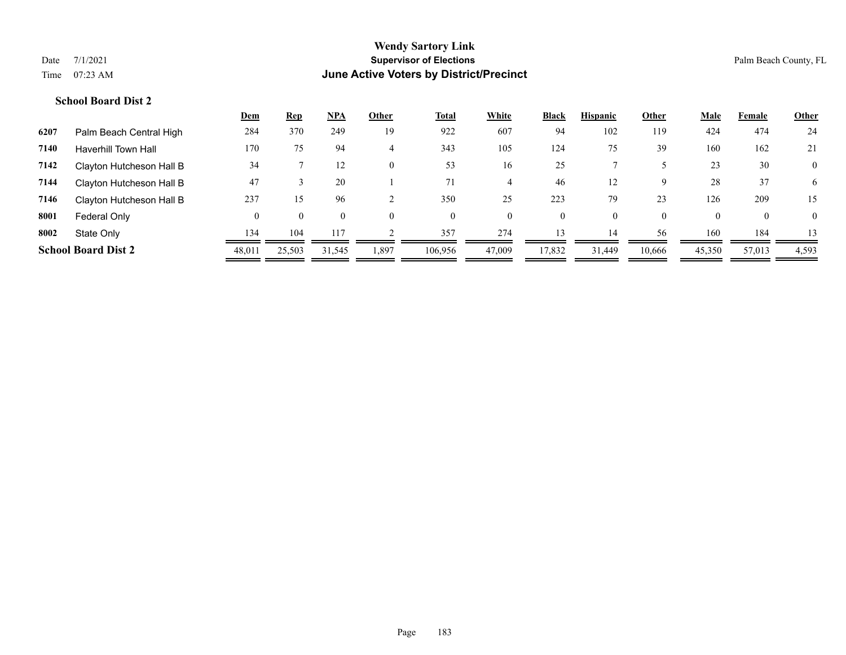|      |                            | <u>Dem</u> | <u>Rep</u> | <u>NPA</u> | Other          | <u>Total</u> | White    | <b>Black</b> | <b>Hispanic</b> | Other    | Male     | Female   | <b>Other</b> |
|------|----------------------------|------------|------------|------------|----------------|--------------|----------|--------------|-----------------|----------|----------|----------|--------------|
| 6207 | Palm Beach Central High    | 284        | 370        | 249        | 19             | 922          | 607      | 94           | 102             | 119      | 424      | 474      | 24           |
| 7140 | <b>Haverhill Town Hall</b> | 170        | 75         | 94         | 4              | 343          | 105      | 124          | 75              | 39       | 160      | 162      | 21           |
| 7142 | Clayton Hutcheson Hall B   | 34         |            | 12         | $\overline{0}$ | 53           | 16       | 25           |                 |          | 23       | 30       | $\mathbf{0}$ |
| 7144 | Clayton Hutcheson Hall B   | 47         |            | 20         |                | 71           |          | 46           | 12              | 9        | 28       | 37       | 6            |
| 7146 | Clayton Hutcheson Hall B   | 237        | 15         | 96         |                | 350          | 25       | 223          | 79              | 23       | 126      | 209      | 15           |
| 8001 | Federal Only               | $\theta$   | $\theta$   | $\Omega$   | $\Omega$       | $\theta$     | $\theta$ | $\mathbf{0}$ | $\theta$        | $\theta$ | $\theta$ | $\theta$ | $\mathbf{0}$ |
| 8002 | State Only                 | 134        | 104        | 117        |                | 357          | 274      | 13           | 14              | 56       | 160      | 184      |              |
|      | <b>School Board Dist 2</b> | 48,011     | 25,503     | 31,545     | 1,897          | 106,956      | 47,009   | 17,832       | 31,449          | 10,666   | 45,350   | 57,013   | 4,593        |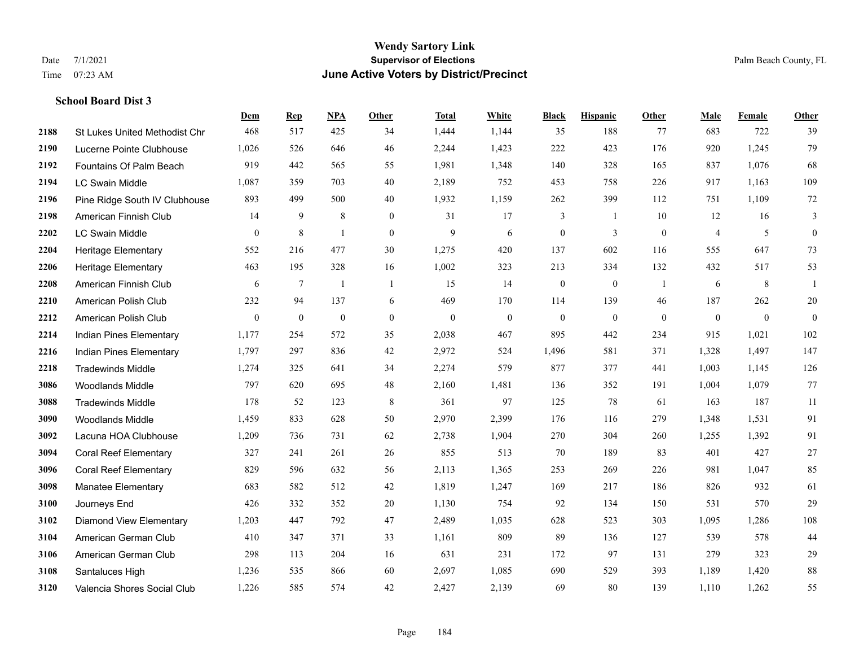|      |                                      | Dem              | <b>Rep</b>       | NPA              | <b>Other</b>   | <b>Total</b> | White          | <b>Black</b>     | <b>Hispanic</b> | <b>Other</b>   | <b>Male</b>    | <b>Female</b>    | <b>Other</b>     |
|------|--------------------------------------|------------------|------------------|------------------|----------------|--------------|----------------|------------------|-----------------|----------------|----------------|------------------|------------------|
| 2188 | <b>St Lukes United Methodist Chr</b> | 468              | 517              | 425              | 34             | 1,444        | 1,144          | 35               | 188             | 77             | 683            | 722              | 39               |
| 2190 | Lucerne Pointe Clubhouse             | 1,026            | 526              | 646              | 46             | 2,244        | 1,423          | 222              | 423             | 176            | 920            | 1,245            | 79               |
| 2192 | Fountains Of Palm Beach              | 919              | 442              | 565              | 55             | 1,981        | 1,348          | 140              | 328             | 165            | 837            | 1,076            | 68               |
| 2194 | <b>LC Swain Middle</b>               | 1,087            | 359              | 703              | 40             | 2,189        | 752            | 453              | 758             | 226            | 917            | 1,163            | 109              |
| 2196 | Pine Ridge South IV Clubhouse        | 893              | 499              | 500              | 40             | 1,932        | 1,159          | 262              | 399             | 112            | 751            | 1,109            | 72               |
| 2198 | American Finnish Club                | 14               | 9                | $\,$ 8 $\,$      | $\overline{0}$ | 31           | 17             | 3                | -1              | 10             | 12             | 16               | 3                |
| 2202 | LC Swain Middle                      | $\overline{0}$   | 8                | 1                | $\mathbf{0}$   | 9            | 6              | $\boldsymbol{0}$ | 3               | $\mathbf{0}$   | $\overline{4}$ | 5                | $\boldsymbol{0}$ |
| 2204 | <b>Heritage Elementary</b>           | 552              | 216              | 477              | 30             | 1,275        | 420            | 137              | 602             | 116            | 555            | 647              | 73               |
| 2206 | <b>Heritage Elementary</b>           | 463              | 195              | 328              | 16             | 1,002        | 323            | 213              | 334             | 132            | 432            | 517              | 53               |
| 2208 | American Finnish Club                | 6                | $\tau$           | $\overline{1}$   | $\overline{1}$ | 15           | 14             | $\boldsymbol{0}$ | $\mathbf{0}$    | $\overline{1}$ | 6              | 8                | 1                |
| 2210 | American Polish Club                 | 232              | 94               | 137              | 6              | 469          | 170            | 114              | 139             | 46             | 187            | 262              | $20\,$           |
| 2212 | American Polish Club                 | $\boldsymbol{0}$ | $\boldsymbol{0}$ | $\boldsymbol{0}$ | $\overline{0}$ | $\mathbf{0}$ | $\overline{0}$ | $\boldsymbol{0}$ | $\mathbf{0}$    | $\mathbf{0}$   | $\overline{0}$ | $\boldsymbol{0}$ | $\mathbf{0}$     |
| 2214 | Indian Pines Elementary              | 1,177            | 254              | 572              | 35             | 2,038        | 467            | 895              | 442             | 234            | 915            | 1,021            | 102              |
| 2216 | Indian Pines Elementary              | 1,797            | 297              | 836              | 42             | 2,972        | 524            | 1,496            | 581             | 371            | 1,328          | 1,497            | 147              |
| 2218 | <b>Tradewinds Middle</b>             | 1,274            | 325              | 641              | 34             | 2,274        | 579            | 877              | 377             | 441            | 1,003          | 1,145            | 126              |
| 3086 | <b>Woodlands Middle</b>              | 797              | 620              | 695              | 48             | 2,160        | 1,481          | 136              | 352             | 191            | 1,004          | 1,079            | 77               |
| 3088 | <b>Tradewinds Middle</b>             | 178              | 52               | 123              | $\,8\,$        | 361          | 97             | 125              | 78              | 61             | 163            | 187              | 11               |
| 3090 | <b>Woodlands Middle</b>              | 1,459            | 833              | 628              | 50             | 2,970        | 2,399          | 176              | 116             | 279            | 1,348          | 1,531            | 91               |
| 3092 | Lacuna HOA Clubhouse                 | 1,209            | 736              | 731              | 62             | 2,738        | 1,904          | 270              | 304             | 260            | 1,255          | 1,392            | 91               |
| 3094 | <b>Coral Reef Elementary</b>         | 327              | 241              | 261              | 26             | 855          | 513            | 70               | 189             | 83             | 401            | 427              | 27               |
| 3096 | <b>Coral Reef Elementary</b>         | 829              | 596              | 632              | 56             | 2,113        | 1,365          | 253              | 269             | 226            | 981            | 1,047            | 85               |
| 3098 | Manatee Elementary                   | 683              | 582              | 512              | 42             | 1,819        | 1,247          | 169              | 217             | 186            | 826            | 932              | 61               |
| 3100 | Journeys End                         | 426              | 332              | 352              | 20             | 1,130        | 754            | 92               | 134             | 150            | 531            | 570              | 29               |
| 3102 | <b>Diamond View Elementary</b>       | 1,203            | 447              | 792              | 47             | 2,489        | 1,035          | 628              | 523             | 303            | 1,095          | 1,286            | $108\,$          |
| 3104 | American German Club                 | 410              | 347              | 371              | 33             | 1,161        | 809            | 89               | 136             | 127            | 539            | 578              | 44               |
| 3106 | American German Club                 | 298              | 113              | 204              | 16             | 631          | 231            | 172              | 97              | 131            | 279            | 323              | 29               |
| 3108 | Santaluces High                      | 1,236            | 535              | 866              | 60             | 2,697        | 1,085          | 690              | 529             | 393            | 1,189          | 1,420            | $88\,$           |
| 3120 | Valencia Shores Social Club          | 1,226            | 585              | 574              | 42             | 2,427        | 2,139          | 69               | 80              | 139            | 1,110          | 1,262            | 55               |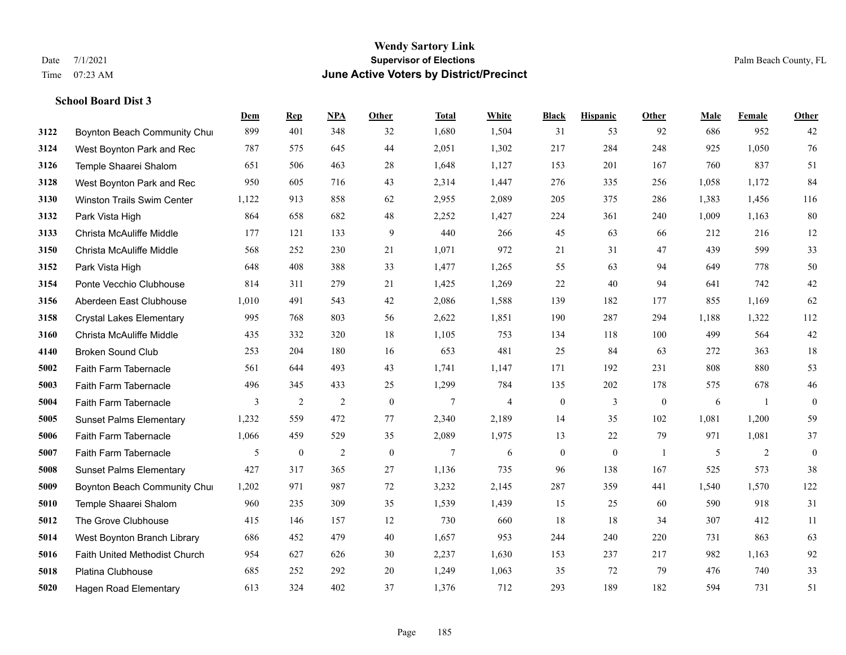|      |                                 | Dem   | <b>Rep</b>       | NPA | <b>Other</b> | <b>Total</b> | White          | <b>Black</b>     | <b>Hispanic</b> | <b>Other</b>   | <b>Male</b> | Female | <b>Other</b>     |
|------|---------------------------------|-------|------------------|-----|--------------|--------------|----------------|------------------|-----------------|----------------|-------------|--------|------------------|
| 3122 | Boynton Beach Community Chur    | 899   | 401              | 348 | 32           | 1,680        | 1,504          | 31               | 53              | 92             | 686         | 952    | 42               |
| 3124 | West Boynton Park and Rec       | 787   | 575              | 645 | 44           | 2,051        | 1,302          | 217              | 284             | 248            | 925         | 1,050  | 76               |
| 3126 | Temple Shaarei Shalom           | 651   | 506              | 463 | 28           | 1,648        | 1,127          | 153              | 201             | 167            | 760         | 837    | 51               |
| 3128 | West Boynton Park and Rec       | 950   | 605              | 716 | 43           | 2,314        | 1,447          | 276              | 335             | 256            | 1,058       | 1,172  | 84               |
| 3130 | Winston Trails Swim Center      | 1,122 | 913              | 858 | 62           | 2,955        | 2,089          | 205              | 375             | 286            | 1,383       | 1,456  | 116              |
| 3132 | Park Vista High                 | 864   | 658              | 682 | 48           | 2,252        | 1,427          | 224              | 361             | 240            | 1,009       | 1,163  | $80\,$           |
| 3133 | Christa McAuliffe Middle        | 177   | 121              | 133 | 9            | 440          | 266            | 45               | 63              | 66             | 212         | 216    | 12               |
| 3150 | Christa McAuliffe Middle        | 568   | 252              | 230 | 21           | 1,071        | 972            | 21               | 31              | 47             | 439         | 599    | 33               |
| 3152 | Park Vista High                 | 648   | 408              | 388 | 33           | 1,477        | 1,265          | 55               | 63              | 94             | 649         | 778    | 50               |
| 3154 | Ponte Vecchio Clubhouse         | 814   | 311              | 279 | 21           | 1,425        | 1,269          | 22               | 40              | 94             | 641         | 742    | $42\,$           |
| 3156 | Aberdeen East Clubhouse         | 1,010 | 491              | 543 | 42           | 2,086        | 1,588          | 139              | 182             | 177            | 855         | 1,169  | 62               |
| 3158 | <b>Crystal Lakes Elementary</b> | 995   | 768              | 803 | 56           | 2,622        | 1,851          | 190              | 287             | 294            | 1,188       | 1,322  | 112              |
| 3160 | Christa McAuliffe Middle        | 435   | 332              | 320 | 18           | 1,105        | 753            | 134              | 118             | 100            | 499         | 564    | $42\,$           |
| 4140 | <b>Broken Sound Club</b>        | 253   | 204              | 180 | 16           | 653          | 481            | 25               | 84              | 63             | 272         | 363    | $18\,$           |
| 5002 | Faith Farm Tabernacle           | 561   | 644              | 493 | 43           | 1,741        | 1,147          | 171              | 192             | 231            | 808         | 880    | 53               |
| 5003 | Faith Farm Tabernacle           | 496   | 345              | 433 | 25           | 1,299        | 784            | 135              | 202             | 178            | 575         | 678    | $46\,$           |
| 5004 | Faith Farm Tabernacle           | 3     | 2                | 2   | $\mathbf{0}$ | 7            | $\overline{4}$ | $\boldsymbol{0}$ | 3               | $\mathbf{0}$   | 6           | -1     | $\mathbf{0}$     |
| 5005 | <b>Sunset Palms Elementary</b>  | 1,232 | 559              | 472 | 77           | 2,340        | 2,189          | 14               | 35              | 102            | 1,081       | 1,200  | 59               |
| 5006 | Faith Farm Tabernacle           | 1,066 | 459              | 529 | 35           | 2,089        | 1,975          | 13               | 22              | 79             | 971         | 1,081  | 37               |
| 5007 | Faith Farm Tabernacle           | 5     | $\boldsymbol{0}$ | 2   | $\mathbf{0}$ | 7            | 6              | $\boldsymbol{0}$ | $\mathbf{0}$    | $\overline{1}$ | 5           | 2      | $\boldsymbol{0}$ |
| 5008 | <b>Sunset Palms Elementary</b>  | 427   | 317              | 365 | 27           | 1,136        | 735            | 96               | 138             | 167            | 525         | 573    | 38               |
| 5009 | Boynton Beach Community Chur    | 1,202 | 971              | 987 | 72           | 3,232        | 2,145          | 287              | 359             | 441            | 1,540       | 1,570  | 122              |
| 5010 | Temple Shaarei Shalom           | 960   | 235              | 309 | 35           | 1,539        | 1,439          | 15               | 25              | 60             | 590         | 918    | 31               |
| 5012 | The Grove Clubhouse             | 415   | 146              | 157 | 12           | 730          | 660            | 18               | 18              | 34             | 307         | 412    | 11               |
| 5014 | West Boynton Branch Library     | 686   | 452              | 479 | 40           | 1,657        | 953            | 244              | 240             | 220            | 731         | 863    | 63               |
| 5016 | Faith United Methodist Church   | 954   | 627              | 626 | 30           | 2,237        | 1,630          | 153              | 237             | 217            | 982         | 1,163  | 92               |
| 5018 | <b>Platina Clubhouse</b>        | 685   | 252              | 292 | 20           | 1,249        | 1,063          | 35               | 72              | 79             | 476         | 740    | 33               |
| 5020 | <b>Hagen Road Elementary</b>    | 613   | 324              | 402 | 37           | 1,376        | 712            | 293              | 189             | 182            | 594         | 731    | 51               |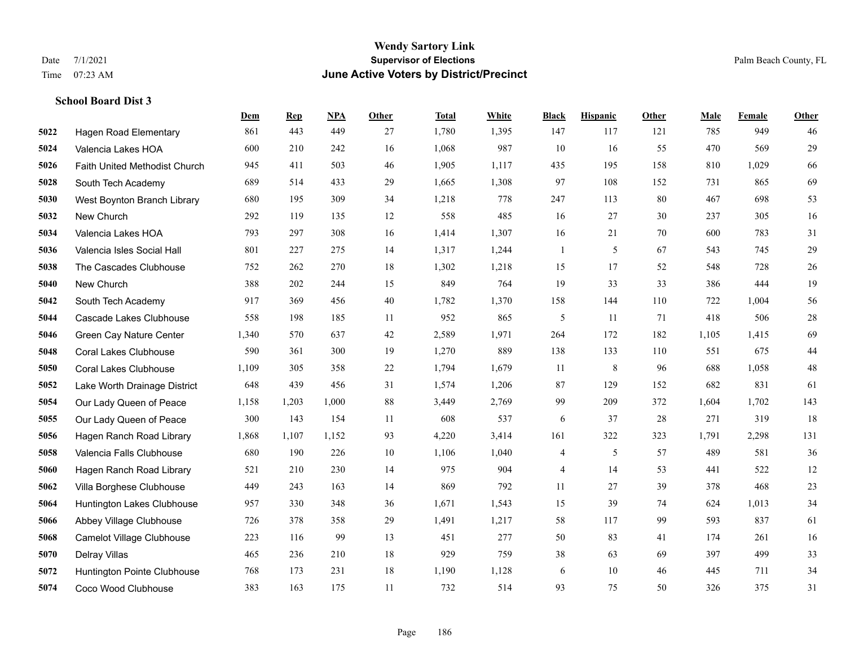|      |                               | Dem   | <b>Rep</b> | NPA   | <b>Other</b> | <b>Total</b> | White | <b>Black</b> | <b>Hispanic</b> | <b>Other</b> | <b>Male</b> | Female | <b>Other</b> |
|------|-------------------------------|-------|------------|-------|--------------|--------------|-------|--------------|-----------------|--------------|-------------|--------|--------------|
| 5022 | <b>Hagen Road Elementary</b>  | 861   | 443        | 449   | 27           | 1,780        | 1,395 | 147          | 117             | 121          | 785         | 949    | 46           |
| 5024 | Valencia Lakes HOA            | 600   | 210        | 242   | 16           | 1,068        | 987   | 10           | 16              | 55           | 470         | 569    | 29           |
| 5026 | Faith United Methodist Church | 945   | 411        | 503   | 46           | 1,905        | 1,117 | 435          | 195             | 158          | 810         | 1,029  | 66           |
| 5028 | South Tech Academy            | 689   | 514        | 433   | 29           | 1,665        | 1,308 | 97           | 108             | 152          | 731         | 865    | 69           |
| 5030 | West Boynton Branch Library   | 680   | 195        | 309   | 34           | 1,218        | 778   | 247          | 113             | 80           | 467         | 698    | 53           |
| 5032 | New Church                    | 292   | 119        | 135   | 12           | 558          | 485   | 16           | 27              | 30           | 237         | 305    | 16           |
| 5034 | Valencia Lakes HOA            | 793   | 297        | 308   | 16           | 1,414        | 1,307 | 16           | 21              | 70           | 600         | 783    | 31           |
| 5036 | Valencia Isles Social Hall    | 801   | 227        | 275   | 14           | 1,317        | 1,244 | $\mathbf{1}$ | 5               | 67           | 543         | 745    | 29           |
| 5038 | The Cascades Clubhouse        | 752   | 262        | 270   | 18           | 1,302        | 1,218 | 15           | 17              | 52           | 548         | 728    | $26\,$       |
| 5040 | New Church                    | 388   | 202        | 244   | 15           | 849          | 764   | 19           | 33              | 33           | 386         | 444    | 19           |
| 5042 | South Tech Academy            | 917   | 369        | 456   | 40           | 1,782        | 1,370 | 158          | 144             | 110          | 722         | 1,004  | 56           |
| 5044 | Cascade Lakes Clubhouse       | 558   | 198        | 185   | 11           | 952          | 865   | 5            | 11              | 71           | 418         | 506    | 28           |
| 5046 | Green Cay Nature Center       | 1,340 | 570        | 637   | $42\,$       | 2,589        | 1,971 | 264          | 172             | 182          | 1,105       | 1,415  | 69           |
| 5048 | Coral Lakes Clubhouse         | 590   | 361        | 300   | 19           | 1,270        | 889   | 138          | 133             | 110          | 551         | 675    | 44           |
| 5050 | <b>Coral Lakes Clubhouse</b>  | 1,109 | 305        | 358   | 22           | 1,794        | 1,679 | 11           | 8               | 96           | 688         | 1.058  | $48\,$       |
| 5052 | Lake Worth Drainage District  | 648   | 439        | 456   | 31           | 1,574        | 1,206 | 87           | 129             | 152          | 682         | 831    | 61           |
| 5054 | Our Lady Queen of Peace       | 1,158 | 1,203      | 1,000 | 88           | 3,449        | 2,769 | 99           | 209             | 372          | 1,604       | 1.702  | 143          |
| 5055 | Our Lady Queen of Peace       | 300   | 143        | 154   | 11           | 608          | 537   | 6            | 37              | 28           | 271         | 319    | 18           |
| 5056 | Hagen Ranch Road Library      | 1,868 | 1,107      | 1,152 | 93           | 4,220        | 3,414 | 161          | 322             | 323          | 1,791       | 2,298  | 131          |
| 5058 | Valencia Falls Clubhouse      | 680   | 190        | 226   | 10           | 1,106        | 1,040 | 4            | 5               | 57           | 489         | 581    | 36           |
| 5060 | Hagen Ranch Road Library      | 521   | 210        | 230   | 14           | 975          | 904   | 4            | 14              | 53           | 441         | 522    | 12           |
| 5062 | Villa Borghese Clubhouse      | 449   | 243        | 163   | 14           | 869          | 792   | 11           | 27              | 39           | 378         | 468    | 23           |
| 5064 | Huntington Lakes Clubhouse    | 957   | 330        | 348   | 36           | 1,671        | 1,543 | 15           | 39              | 74           | 624         | 1,013  | 34           |
| 5066 | Abbey Village Clubhouse       | 726   | 378        | 358   | 29           | 1,491        | 1,217 | 58           | 117             | 99           | 593         | 837    | 61           |
| 5068 | Camelot Village Clubhouse     | 223   | 116        | 99    | 13           | 451          | 277   | 50           | 83              | 41           | 174         | 261    | 16           |
| 5070 | Delray Villas                 | 465   | 236        | 210   | 18           | 929          | 759   | 38           | 63              | 69           | 397         | 499    | 33           |
| 5072 | Huntington Pointe Clubhouse   | 768   | 173        | 231   | 18           | 1,190        | 1,128 | 6            | 10              | 46           | 445         | 711    | 34           |
| 5074 | Coco Wood Clubhouse           | 383   | 163        | 175   | 11           | 732          | 514   | 93           | 75              | 50           | 326         | 375    | 31           |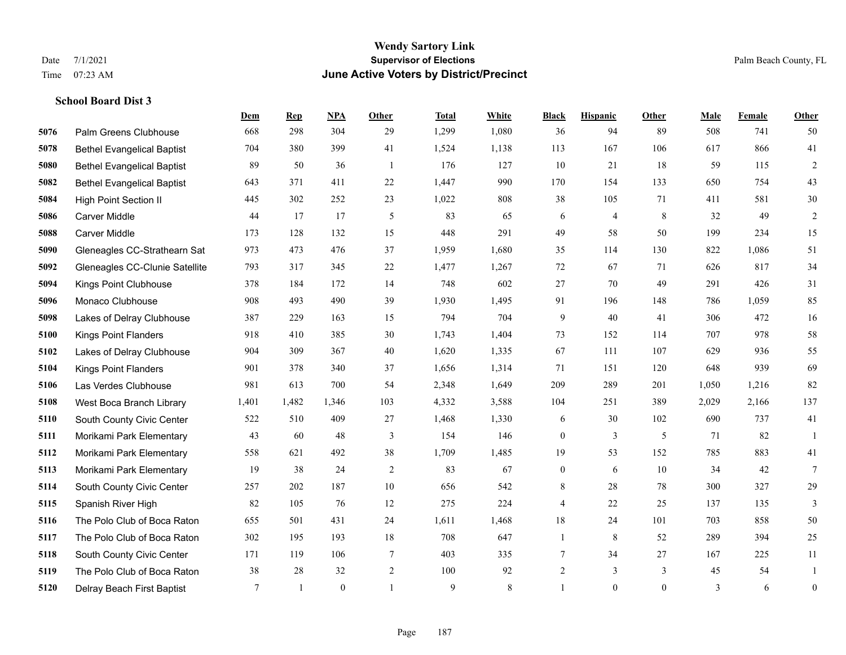#### **Wendy Sartory Link** Date 7/1/2021 **Supervisor of Elections** Palm Beach County, FL Time 07:23 AM **June Active Voters by District/Precinct**

Palm Greens Clubhouse 668 298 304 29 1,299 1,080 36 94 89 508 741 50

**Dem Rep NPA Other Total White Black Hispanic Other Male Female Other**

# Bethel Evangelical Baptist 704 380 399 41 1,524 1,138 113 167 106 617 866 41 Bethel Evangelical Baptist 89 50 36 1 176 127 10 21 18 59 115 2 Bethel Evangelical Baptist 643 371 411 22 1,447 990 170 154 133 650 754 43 High Point Section II 445 302 252 23 1,022 808 38 105 71 411 581 30 Carver Middle 44 17 17 5 83 65 6 4 8 32 49 2 Carver Middle 173 128 132 15 448 291 49 58 50 199 234 15 Gleneagles CC-Strathearn Sat 973 473 476 37 1,959 1,680 35 114 130 822 1,086 51

| 5092 | Gleneagles CC-Clunie Satellite | 793   | 317   | 345            | 22             | 1,477 | 1,267 | 72             | 67             | 71             | 626   | 817   | 34             |
|------|--------------------------------|-------|-------|----------------|----------------|-------|-------|----------------|----------------|----------------|-------|-------|----------------|
| 5094 | Kings Point Clubhouse          | 378   | 184   | 172            | 14             | 748   | 602   | 27             | 70             | 49             | 291   | 426   | 31             |
| 5096 | Monaco Clubhouse               | 908   | 493   | 490            | 39             | 1,930 | 1,495 | 91             | 196            | 148            | 786   | 1,059 | 85             |
| 5098 | Lakes of Delray Clubhouse      | 387   | 229   | 163            | 15             | 794   | 704   | 9              | 40             | 41             | 306   | 472   | 16             |
| 5100 | Kings Point Flanders           | 918   | 410   | 385            | 30             | 1,743 | 1,404 | 73             | 152            | 114            | 707   | 978   | 58             |
| 5102 | Lakes of Delray Clubhouse      | 904   | 309   | 367            | 40             | 1,620 | 1,335 | 67             | 111            | 107            | 629   | 936   | 55             |
| 5104 | Kings Point Flanders           | 901   | 378   | 340            | 37             | 1,656 | 1,314 | 71             | 151            | 120            | 648   | 939   | 69             |
| 5106 | Las Verdes Clubhouse           | 981   | 613   | 700            | 54             | 2,348 | 1,649 | 209            | 289            | 201            | 1,050 | 1,216 | 82             |
| 5108 | West Boca Branch Library       | 1,401 | 1,482 | 1,346          | 103            | 4,332 | 3,588 | 104            | 251            | 389            | 2,029 | 2,166 | 137            |
| 5110 | South County Civic Center      | 522   | 510   | 409            | 27             | 1,468 | 1,330 | 6              | 30             | 102            | 690   | 737   | 41             |
| 5111 | Morikami Park Elementary       | 43    | 60    | 48             | 3              | 154   | 146   | $\theta$       | 3              | 5              | 71    | 82    |                |
| 5112 | Morikami Park Elementary       | 558   | 621   | 492            | 38             | 1,709 | 1,485 | 19             | 53             | 152            | 785   | 883   | 41             |
| 5113 | Morikami Park Elementary       | 19    | 38    | 24             | $\overline{2}$ | 83    | 67    | $\overline{0}$ | 6              | 10             | 34    | 42    |                |
| 5114 | South County Civic Center      | 257   | 202   | 187            | 10             | 656   | 542   | 8              | 28             | 78             | 300   | 327   | 29             |
| 5115 | Spanish River High             | 82    | 105   | 76             | 12             | 275   | 224   | 4              | 22             | 25             | 137   | 135   |                |
| 5116 | The Polo Club of Boca Raton    | 655   | 501   | 431            | 24             | 1,611 | 1,468 | 18             | 24             | 101            | 703   | 858   | 50             |
| 5117 | The Polo Club of Boca Raton    | 302   | 195   | 193            | 18             | 708   | 647   |                | 8              | 52             | 289   | 394   | 25             |
| 5118 | South County Civic Center      | 171   | 119   | 106            | $\tau$         | 403   | 335   |                | 34             | 27             | 167   | 225   | 11             |
| 5119 | The Polo Club of Boca Raton    | 38    | 28    | 32             | $\overline{2}$ | 100   | 92    | $\overline{2}$ | $\mathfrak{Z}$ | 3              | 45    | 54    |                |
| 5120 | Delray Beach First Baptist     |       |       | $\overline{0}$ |                | 9     | 8     |                | $\mathbf{0}$   | $\overline{0}$ | 3     | 6     | $\overline{0}$ |
|      |                                |       |       |                |                |       |       |                |                |                |       |       |                |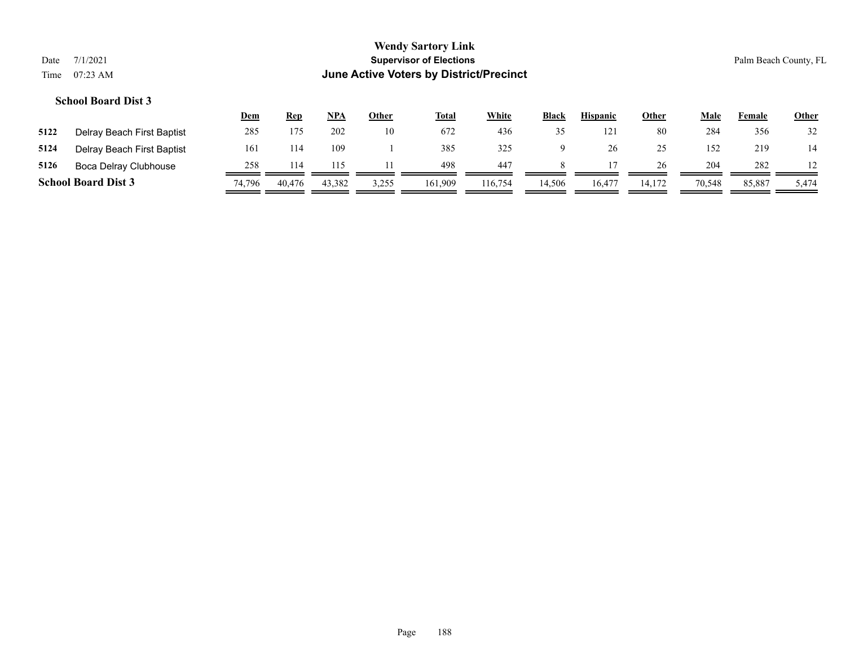|      |                            | <u>Dem</u> | Rep    | <u>NPA</u> | <u>Other</u> | <u>Total</u> | White   | Black  | <b>Hispanic</b> | <b>Other</b> | Male   | Female | <b>Other</b> |
|------|----------------------------|------------|--------|------------|--------------|--------------|---------|--------|-----------------|--------------|--------|--------|--------------|
| 5122 | Delray Beach First Baptist | 285        | 175    | 202        | 10           | 672          | 436     |        | $12^{\circ}$    | 80           | 284    | 356    | 32           |
| 5124 | Delray Beach First Baptist | 161        | 114    | 109        |              | 385          | 325     |        |                 | 25           | 152    | 219    | 14           |
| 5126 | Boca Delray Clubhouse      | 258        |        |            |              | 498          | -447    |        |                 | 26           | 204    | 282    |              |
|      | <b>School Board Dist 3</b> | 74.796     | 40,476 | 43,382     | 3,255        | 161.909      | 116,754 | 14.506 | 16,477          | 14.172       | 70,548 | 85,887 | 5,474        |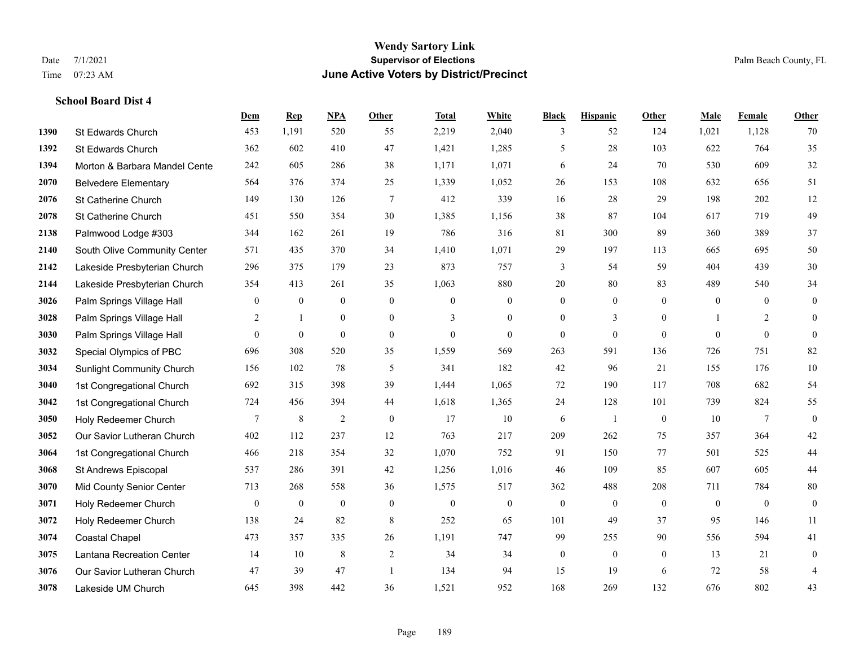#### **Wendy Sartory Link** Date 7/1/2021 **Supervisor of Elections** Palm Beach County, FL Time 07:23 AM **June Active Voters by District/Precinct**

# **Dem Rep NPA Other Total White Black Hispanic Other Male Female Other** St Edwards Church 453 1,191 520 55 2,219 2,040 3 52 124 1,021 1,128 70 St Edwards Church 362 602 410 47 1,421 1,285 5 28 103 622 764 35 **1394 Morton & Barbara Mandel Cente** 242 605 286 38 1,171 1,071 6 24 70 530 609 32 Belvedere Elementary 564 376 374 25 1,339 1,052 26 153 108 632 656 51 St Catherine Church 149 130 126 7 412 339 16 28 29 198 202 12 St Catherine Church 451 550 354 30 1,385 1,156 38 87 104 617 719 49 Palmwood Lodge #303 344 162 261 19 786 316 81 300 89 360 389 37 South Olive Community Center 571 435 370 34 1,410 1,071 29 197 113 665 695 50 Lakeside Presbyterian Church 296 375 179 23 873 757 3 54 59 404 439 30 Lakeside Presbyterian Church 354 413 261 35 1,063 880 20 80 83 489 540 34 **3026** Palm Springs Village Hall  $\begin{pmatrix} 0 & 0 & 0 & 0 \\ 0 & 0 & 0 & 0 \\ 0 & 0 & 0 & 0 \end{pmatrix}$  Palm Springs Village Hall 2 1 0 0 3 0 0 3 0 1 2 0 **3030** Palm Springs Village Hall  $\begin{pmatrix} 0 & 0 & 0 & 0 \\ 0 & 0 & 0 & 0 \\ 0 & 0 & 0 & 0 \end{pmatrix}$  Special Olympics of PBC 696 308 520 35 1,559 569 263 591 136 726 751 82 Sunlight Community Church 156 102 78 5 341 182 42 96 21 155 176 10 1st Congregational Church 692 315 398 39 1,444 1,065 72 190 117 708 682 54 1st Congregational Church 724 456 394 44 1,618 1,365 24 128 101 739 824 55 Holy Redeemer Church **7** 8 2 0 17 10 6 1 0 10 7 0 Our Savior Lutheran Church 402 112 237 12 763 217 209 262 75 357 364 42 1st Congregational Church 466 218 354 32 1,070 752 91 150 77 501 525 44 St Andrews Episcopal 537 286 391 42 1,256 1,016 46 109 85 607 605 44 Mid County Senior Center 713 268 558 36 1,575 517 362 488 208 711 784 80 Holy Redeemer Church 0 0 0 0 0 0 0 0 0 0 0 0 Holy Redeemer Church 138 24 82 8 252 65 101 49 37 95 146 11 Coastal Chapel 473 357 335 26 1,191 747 99 255 90 556 594 41 Lantana Recreation Center 14 10 8 2 34 34 0 0 0 13 21 0 Our Savior Lutheran Church 47 39 47 1 134 94 15 19 6 72 58 4 Lakeside UM Church 645 398 442 36 1,521 952 168 269 132 676 802 43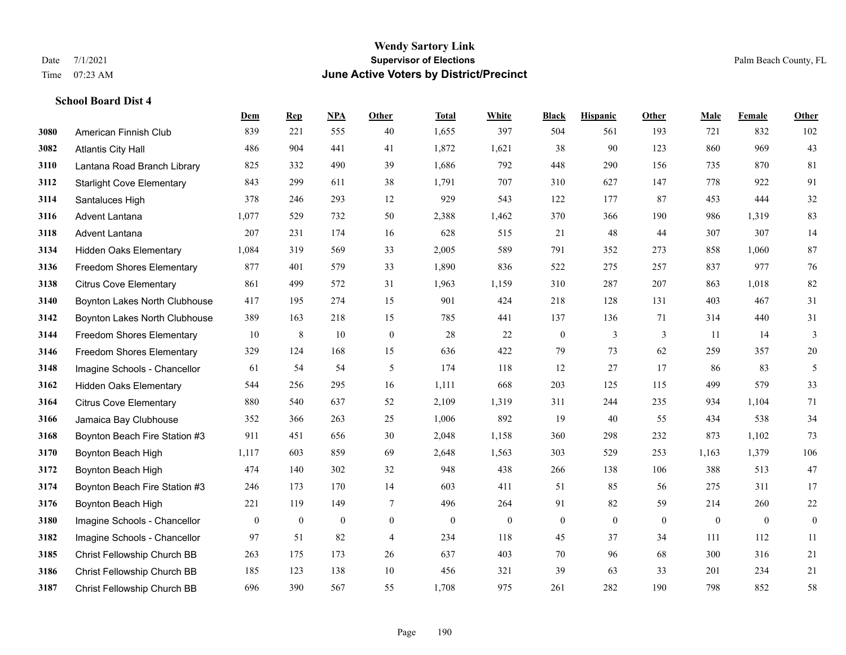|      |                                  | Dem          | <b>Rep</b>       | NPA              | <b>Other</b>     | <b>Total</b>     | <b>White</b>     | <b>Black</b>     | <b>Hispanic</b>  | <b>Other</b> | <b>Male</b>      | Female       | <b>Other</b>     |
|------|----------------------------------|--------------|------------------|------------------|------------------|------------------|------------------|------------------|------------------|--------------|------------------|--------------|------------------|
| 3080 | American Finnish Club            | 839          | 221              | 555              | 40               | 1,655            | 397              | 504              | 561              | 193          | 721              | 832          | 102              |
| 3082 | <b>Atlantis City Hall</b>        | 486          | 904              | 441              | 41               | 1,872            | 1,621            | 38               | 90               | 123          | 860              | 969          | 43               |
| 3110 | Lantana Road Branch Library      | 825          | 332              | 490              | 39               | 1,686            | 792              | 448              | 290              | 156          | 735              | 870          | 81               |
| 3112 | <b>Starlight Cove Elementary</b> | 843          | 299              | 611              | 38               | 1,791            | 707              | 310              | 627              | 147          | 778              | 922          | 91               |
| 3114 | Santaluces High                  | 378          | 246              | 293              | 12               | 929              | 543              | 122              | 177              | 87           | 453              | 444          | $32\,$           |
| 3116 | Advent Lantana                   | 1,077        | 529              | 732              | 50               | 2,388            | 1,462            | 370              | 366              | 190          | 986              | 1,319        | 83               |
| 3118 | Advent Lantana                   | 207          | 231              | 174              | 16               | 628              | 515              | 21               | 48               | 44           | 307              | 307          | 14               |
| 3134 | <b>Hidden Oaks Elementary</b>    | 1,084        | 319              | 569              | 33               | 2,005            | 589              | 791              | 352              | 273          | 858              | 1.060        | 87               |
| 3136 | <b>Freedom Shores Elementary</b> | 877          | 401              | 579              | 33               | 1,890            | 836              | 522              | 275              | 257          | 837              | 977          | 76               |
| 3138 | <b>Citrus Cove Elementary</b>    | 861          | 499              | 572              | 31               | 1,963            | 1,159            | 310              | 287              | 207          | 863              | 1.018        | 82               |
| 3140 | Boynton Lakes North Clubhouse    | 417          | 195              | 274              | 15               | 901              | 424              | 218              | 128              | 131          | 403              | 467          | 31               |
| 3142 | Boynton Lakes North Clubhouse    | 389          | 163              | 218              | 15               | 785              | 441              | 137              | 136              | 71           | 314              | 440          | 31               |
| 3144 | <b>Freedom Shores Elementary</b> | 10           | $\,8\,$          | 10               | $\boldsymbol{0}$ | 28               | $22\,$           | $\boldsymbol{0}$ | $\mathfrak{Z}$   | 3            | 11               | 14           | $\mathfrak{Z}$   |
| 3146 | <b>Freedom Shores Elementary</b> | 329          | 124              | 168              | 15               | 636              | 422              | 79               | 73               | 62           | 259              | 357          | $20\,$           |
| 3148 | Imagine Schools - Chancellor     | 61           | 54               | 54               | 5                | 174              | 118              | 12               | 27               | 17           | 86               | 83           | 5                |
| 3162 | <b>Hidden Oaks Elementary</b>    | 544          | 256              | 295              | 16               | 1,111            | 668              | 203              | 125              | 115          | 499              | 579          | 33               |
| 3164 | <b>Citrus Cove Elementary</b>    | 880          | 540              | 637              | 52               | 2,109            | 1,319            | 311              | 244              | 235          | 934              | 1.104        | 71               |
| 3166 | Jamaica Bay Clubhouse            | 352          | 366              | 263              | 25               | 1,006            | 892              | 19               | 40               | 55           | 434              | 538          | 34               |
| 3168 | Boynton Beach Fire Station #3    | 911          | 451              | 656              | 30               | 2,048            | 1,158            | 360              | 298              | 232          | 873              | 1,102        | 73               |
| 3170 | Boynton Beach High               | 1,117        | 603              | 859              | 69               | 2,648            | 1,563            | 303              | 529              | 253          | 1,163            | 1,379        | 106              |
| 3172 | Boynton Beach High               | 474          | 140              | 302              | 32               | 948              | 438              | 266              | 138              | 106          | 388              | 513          | $47\,$           |
| 3174 | Boynton Beach Fire Station #3    | 246          | 173              | 170              | 14               | 603              | 411              | 51               | 85               | 56           | 275              | 311          | 17               |
| 3176 | Boynton Beach High               | 221          | 119              | 149              | $\tau$           | 496              | 264              | 91               | 82               | 59           | 214              | 260          | $22\,$           |
| 3180 | Imagine Schools - Chancellor     | $\mathbf{0}$ | $\boldsymbol{0}$ | $\boldsymbol{0}$ | $\boldsymbol{0}$ | $\boldsymbol{0}$ | $\boldsymbol{0}$ | $\boldsymbol{0}$ | $\boldsymbol{0}$ | $\mathbf{0}$ | $\boldsymbol{0}$ | $\mathbf{0}$ | $\boldsymbol{0}$ |
| 3182 | Imagine Schools - Chancellor     | 97           | 51               | 82               | $\overline{4}$   | 234              | 118              | 45               | 37               | 34           | 111              | 112          | 11               |
| 3185 | Christ Fellowship Church BB      | 263          | 175              | 173              | 26               | 637              | 403              | 70               | 96               | 68           | 300              | 316          | 21               |
| 3186 | Christ Fellowship Church BB      | 185          | 123              | 138              | 10               | 456              | 321              | 39               | 63               | 33           | 201              | 234          | 21               |
| 3187 | Christ Fellowship Church BB      | 696          | 390              | 567              | 55               | 1,708            | 975              | 261              | 282              | 190          | 798              | 852          | 58               |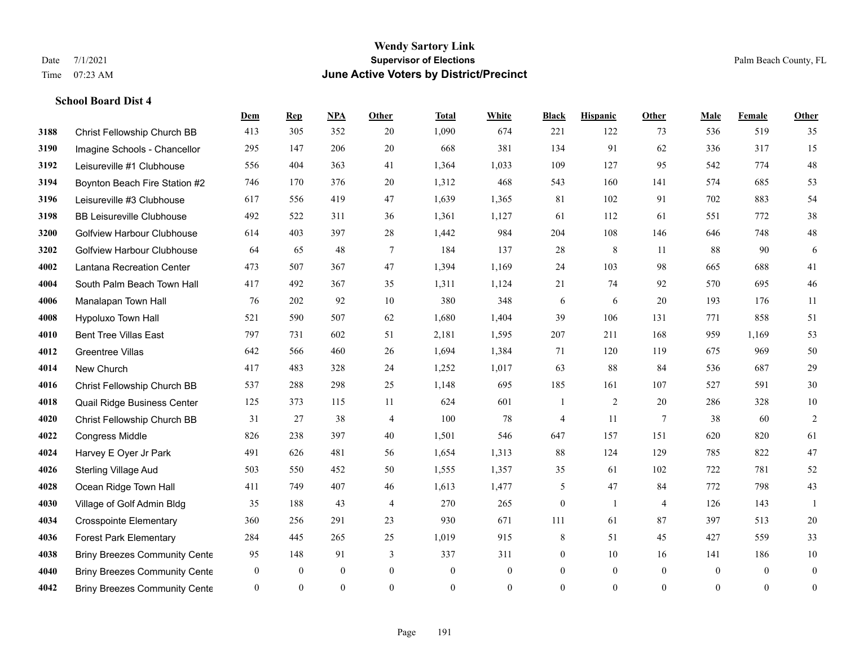#### **Wendy Sartory Link** Date 7/1/2021 **Supervisor of Elections** Palm Beach County, FL Time 07:23 AM **June Active Voters by District/Precinct**

**Dem Rep NPA Other Total White Black Hispanic Other Male Female Other**

# Christ Fellowship Church BB 413 305 352 20 1,090 674 221 122 73 536 519 35 Imagine Schools - Chancellor 295 147 206 20 668 381 134 91 62 336 317 15 Leisureville #1 Clubhouse 556 404 363 41 1,364 1,033 109 127 95 542 774 48 Boynton Beach Fire Station #2 746 170 376 20 1,312 468 543 160 141 574 685 53 Leisureville #3 Clubhouse 617 556 419 47 1,639 1,365 81 102 91 702 883 54 BB Leisureville Clubhouse 492 522 311 36 1,361 1,127 61 112 61 551 772 38 Golfview Harbour Clubhouse 614 403 397 28 1,442 984 204 108 146 646 748 48 Golfview Harbour Clubhouse 64 65 48 7 184 137 28 8 11 88 90 6 Lantana Recreation Center 473 507 367 47 1,394 1,169 24 103 98 665 688 41 South Palm Beach Town Hall 417 492 367 35 1,311 1,124 21 74 92 570 695 46 Manalapan Town Hall 76 202 92 10 380 348 6 6 20 193 176 11 Hypoluxo Town Hall 521 590 507 62 1,680 1,404 39 106 131 771 858 51 Bent Tree Villas East 797 731 602 51 2,181 1,595 207 211 168 959 1,169 53 Greentree Villas 642 566 460 26 1,694 1,384 71 120 119 675 969 50 New Church 417 483 328 24 1,252 1,017 63 88 84 536 687 29 Christ Fellowship Church BB 537 288 298 25 1,148 695 185 161 107 527 591 30 Quail Ridge Business Center 125 373 115 11 624 601 1 2 20 286 328 10 Christ Fellowship Church BB 31 27 38 4 100 78 4 11 7 38 60 2 Congress Middle 826 238 397 40 1,501 546 647 157 151 620 820 61 Harvey E Oyer Jr Park 491 626 481 56 1,654 1,313 88 124 129 785 822 47 Sterling Village Aud 503 550 452 50 1,555 1,357 35 61 102 722 781 52 Ocean Ridge Town Hall 411 749 407 46 1,613 1,477 5 47 84 772 798 43 Village of Golf Admin Bldg 35 188 43 4 270 265 0 1 4 126 143 1 Crosspointe Elementary 360 256 291 23 930 671 111 61 87 397 513 20 Forest Park Elementary 284 445 265 25 1,019 915 8 51 45 427 559 33 **4038 Briny Breezes Community Cente** 95 148 91 3 337 311 0 10 16 141 186 10 Briny Breezes Community Center 0 0 0 0 0 0 0 0 0 0 0 0

Briny Breezes Community Center 0 0 0 0 0 0 0 0 0 0 0 0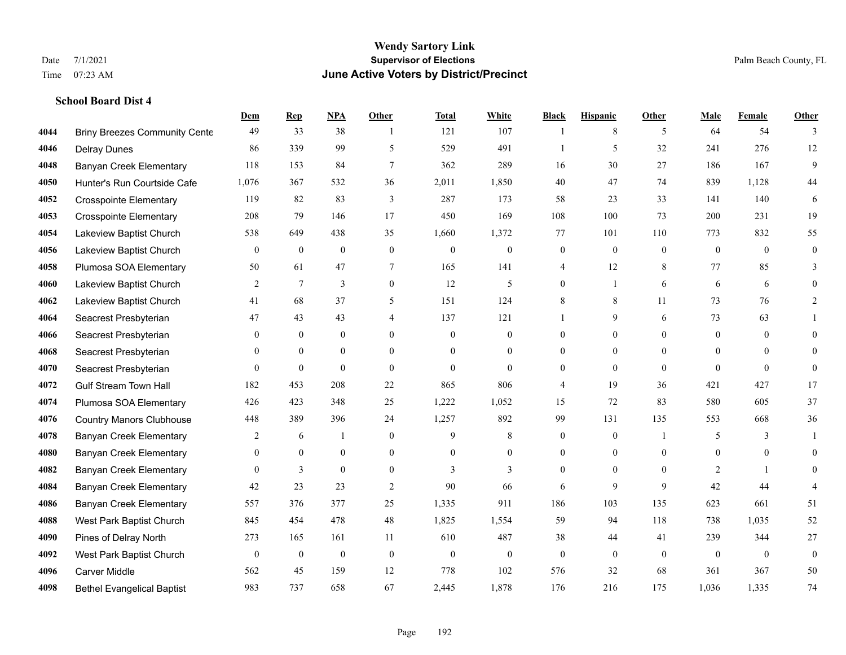|      |                                      | Dem            | <b>Rep</b>       | NPA              | <b>Other</b>   | <b>Total</b> | <b>White</b>     | <b>Black</b>     | <b>Hispanic</b>  | <b>Other</b>   | <b>Male</b>    | <b>Female</b>  | <b>Other</b>     |
|------|--------------------------------------|----------------|------------------|------------------|----------------|--------------|------------------|------------------|------------------|----------------|----------------|----------------|------------------|
| 4044 | <b>Briny Breezes Community Cente</b> | 49             | 33               | 38               | -1             | 121          | 107              | $\mathbf{1}$     | 8                | 5              | 64             | 54             | 3                |
| 4046 | <b>Delray Dunes</b>                  | 86             | 339              | 99               | 5              | 529          | 491              |                  | 5                | 32             | 241            | 276            | $12\,$           |
| 4048 | <b>Banyan Creek Elementary</b>       | 118            | 153              | 84               | 7              | 362          | 289              | 16               | 30               | 27             | 186            | 167            | 9                |
| 4050 | Hunter's Run Courtside Cafe          | 1,076          | 367              | 532              | 36             | 2,011        | 1,850            | 40               | 47               | 74             | 839            | 1,128          | 44               |
| 4052 | <b>Crosspointe Elementary</b>        | 119            | 82               | 83               | 3              | 287          | 173              | 58               | 23               | 33             | 141            | 140            | 6                |
| 4053 | <b>Crosspointe Elementary</b>        | 208            | 79               | 146              | 17             | 450          | 169              | 108              | 100              | 73             | 200            | 231            | 19               |
| 4054 | Lakeview Baptist Church              | 538            | 649              | 438              | 35             | 1,660        | 1,372            | 77               | 101              | 110            | 773            | 832            | 55               |
| 4056 | Lakeview Baptist Church              | $\theta$       | $\mathbf{0}$     | $\mathbf{0}$     | $\theta$       | $\theta$     | $\mathbf{0}$     | $\mathbf{0}$     | $\overline{0}$   | $\Omega$       | $\theta$       | $\Omega$       | $\Omega$         |
| 4058 | Plumosa SOA Elementary               | 50             | 61               | 47               | 7              | 165          | 141              | 4                | 12               | 8              | 77             | 85             | 3                |
| 4060 | Lakeview Baptist Church              | 2              | 7                | 3                | $\overline{0}$ | 12           | 5                | $\overline{0}$   | $\mathbf{1}$     | 6              | 6              | 6              | $\theta$         |
| 4062 | Lakeview Baptist Church              | 41             | 68               | 37               | 5              | 151          | 124              | 8                | 8                | 11             | 73             | 76             | $\overline{2}$   |
| 4064 | Seacrest Presbyterian                | 47             | 43               | 43               | 4              | 137          | 121              |                  | 9                | 6              | 73             | 63             |                  |
| 4066 | Seacrest Presbyterian                | $\theta$       | $\mathbf{0}$     | $\mathbf{0}$     | $\theta$       | $\mathbf{0}$ | $\mathbf{0}$     | $\theta$         | $\overline{0}$   | $\Omega$       | $\mathbf{0}$   | $\theta$       | $\theta$         |
| 4068 | Seacrest Presbyterian                | $\mathbf{0}$   | $\mathbf{0}$     | $\boldsymbol{0}$ | $\mathbf{0}$   | $\theta$     | $\boldsymbol{0}$ | $\boldsymbol{0}$ | $\boldsymbol{0}$ | $\mathbf{0}$   | $\mathbf{0}$   | $\mathbf{0}$   | $\Omega$         |
| 4070 | Seacrest Presbyterian                | $\theta$       | $\mathbf{0}$     | $\mathbf{0}$     | $\theta$       | $\theta$     | $\overline{0}$   | $\overline{0}$   | $\overline{0}$   | $\theta$       | $\theta$       | $\Omega$       | $\overline{0}$   |
| 4072 | <b>Gulf Stream Town Hall</b>         | 182            | 453              | 208              | 22             | 865          | 806              | 4                | 19               | 36             | 421            | 427            | 17               |
| 4074 | Plumosa SOA Elementary               | 426            | 423              | 348              | 25             | 1,222        | 1,052            | 15               | 72               | 83             | 580            | 605            | 37               |
| 4076 | <b>Country Manors Clubhouse</b>      | 448            | 389              | 396              | 24             | 1,257        | 892              | 99               | 131              | 135            | 553            | 668            | 36               |
| 4078 | <b>Banyan Creek Elementary</b>       | 2              | 6                |                  | $\mathbf{0}$   | 9            | 8                | $\overline{0}$   | $\overline{0}$   | $\overline{1}$ | 5              | 3              | $\overline{1}$   |
| 4080 | <b>Banyan Creek Elementary</b>       | $\overline{0}$ | $\mathbf{0}$     | $\boldsymbol{0}$ | $\mathbf{0}$   | $\theta$     | $\boldsymbol{0}$ | $\boldsymbol{0}$ | $\boldsymbol{0}$ | $\mathbf{0}$   | $\overline{0}$ | $\overline{0}$ | $\overline{0}$   |
| 4082 | <b>Banyan Creek Elementary</b>       | $\theta$       | 3                | $\theta$         | $\theta$       | 3            | 3                | $\Omega$         | $\Omega$         | $\Omega$       | 2              | $\mathbf{1}$   | $\Omega$         |
| 4084 | <b>Banyan Creek Elementary</b>       | 42             | 23               | 23               | 2              | 90           | 66               | 6                | 9                | 9              | 42             | 44             |                  |
| 4086 | <b>Banyan Creek Elementary</b>       | 557            | 376              | 377              | 25             | 1,335        | 911              | 186              | 103              | 135            | 623            | 661            | 51               |
| 4088 | West Park Baptist Church             | 845            | 454              | 478              | 48             | 1,825        | 1,554            | 59               | 94               | 118            | 738            | 1,035          | 52               |
| 4090 | Pines of Delray North                | 273            | 165              | 161              | 11             | 610          | 487              | 38               | 44               | 41             | 239            | 344            | 27               |
| 4092 | West Park Baptist Church             | $\mathbf{0}$   | $\boldsymbol{0}$ | $\boldsymbol{0}$ | $\mathbf{0}$   | $\theta$     | $\boldsymbol{0}$ | $\overline{0}$   | $\overline{0}$   | $\theta$       | $\mathbf{0}$   | $\theta$       | $\boldsymbol{0}$ |
| 4096 | Carver Middle                        | 562            | 45               | 159              | 12             | 778          | 102              | 576              | 32               | 68             | 361            | 367            | 50               |
| 4098 | <b>Bethel Evangelical Baptist</b>    | 983            | 737              | 658              | 67             | 2,445        | 1,878            | 176              | 216              | 175            | 1,036          | 1,335          | 74               |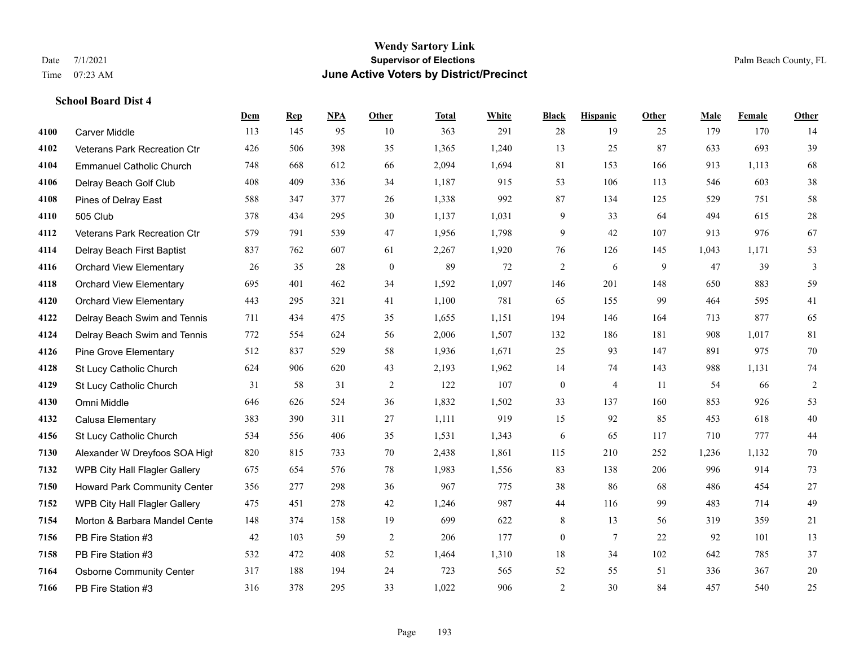#### **Wendy Sartory Link** Date 7/1/2021 **Supervisor of Elections** Palm Beach County, FL Time 07:23 AM **June Active Voters by District/Precinct**

# **Dem Rep NPA Other Total White Black Hispanic Other Male Female Other** Carver Middle 113 145 95 10 363 291 28 19 25 179 170 14 Veterans Park Recreation Ctr 426 506 398 35 1,365 1,240 13 25 87 633 693 39 Emmanuel Catholic Church 748 668 612 66 2,094 1,694 81 153 166 913 1,113 68 Delray Beach Golf Club 408 409 336 34 1,187 915 53 106 113 546 603 38 Pines of Delray East 588 347 377 26 1,338 992 87 134 125 529 751 58 505 Club 378 434 295 30 1,137 1,031 9 33 64 494 615 28 Veterans Park Recreation Ctr 579 791 539 47 1,956 1,798 9 42 107 913 976 67 Delray Beach First Baptist 837 762 607 61 2,267 1,920 76 126 145 1,043 1,171 53 Orchard View Elementary 26 35 28 0 89 72 2 6 9 47 39 3 Orchard View Elementary 695 401 462 34 1,592 1,097 146 201 148 650 883 59 Orchard View Elementary 443 295 321 41 1,100 781 65 155 99 464 595 41 Delray Beach Swim and Tennis 711 434 475 35 1,655 1,151 194 146 164 713 877 65 Delray Beach Swim and Tennis 772 554 624 56 2,006 1,507 132 186 181 908 1,017 81 Pine Grove Elementary 512 837 529 58 1,936 1,671 25 93 147 891 975 70 St Lucy Catholic Church 624 906 620 43 2,193 1,962 14 74 143 988 1,131 74 St Lucy Catholic Church 31 58 31 2 122 107 0 4 11 54 66 2 Omni Middle 646 626 524 36 1,832 1,502 33 137 160 853 926 53 Calusa Elementary 383 390 311 27 1,111 919 15 92 85 453 618 40 St Lucy Catholic Church 534 556 406 35 1,531 1,343 6 65 117 710 777 44 Alexander W Dreyfoos SOA High 820 815 733 70 2,438 1,861 115 210 252 1,236 1,132 70 WPB City Hall Flagler Gallery 675 654 576 78 1,983 1,556 83 138 206 996 914 73 Howard Park Community Center 356 277 298 36 967 775 38 86 68 486 454 27 WPB City Hall Flagler Gallery 475 451 278 42 1,246 987 44 116 99 483 714 49 Morton & Barbara Mandel Center 148 374 158 19 699 622 8 13 56 319 359 21 PB Fire Station #3 42 103 59 2 206 177 0 7 22 92 101 13 PB Fire Station #3 532 472 408 52 1,464 1,310 18 34 102 642 785 37 Osborne Community Center 317 188 194 24 723 565 52 55 51 336 367 20 PB Fire Station #3 316 378 295 33 1,022 906 2 30 84 457 540 25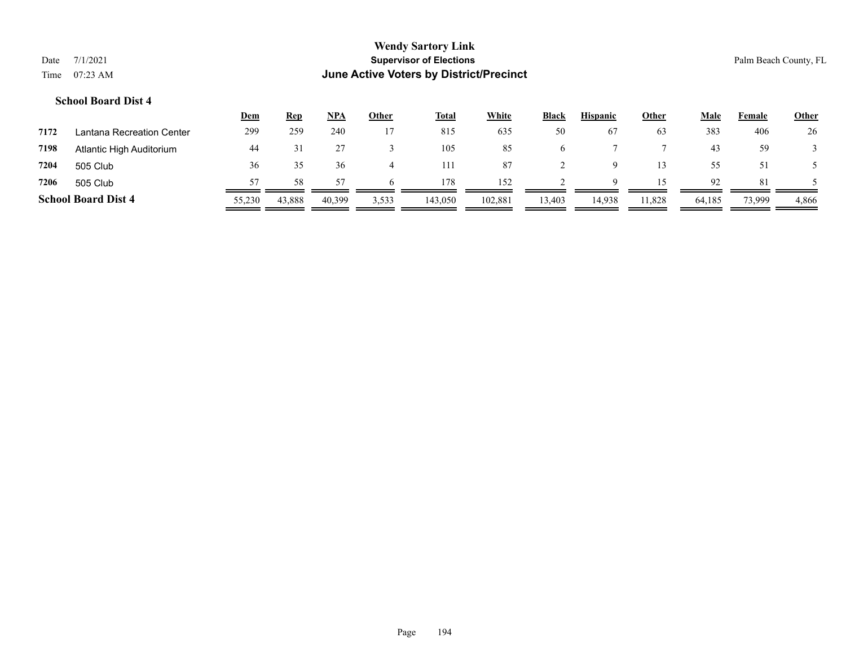|      |                            | <u>Dem</u> | <b>Rep</b> | NPA    | <u>Other</u> | <b>Total</b> | <b>White</b> | <b>Black</b> | <b>Hispanic</b> | <b>Other</b> | Male   | Female | <b>Other</b> |
|------|----------------------------|------------|------------|--------|--------------|--------------|--------------|--------------|-----------------|--------------|--------|--------|--------------|
| 7172 | Lantana Recreation Center  | 299        | 259        | 240    |              | 815          | 635          | 50           | 67              | 63           | 383    | 406    | 26           |
| 7198 | Atlantic High Auditorium   | 44         |            |        |              | 105          | 85           |              |                 |              | 43     | 59     |              |
| 7204 | 505 Club                   | 36         |            | 36     |              | 111          | 87           |              |                 |              |        | 51     |              |
| 7206 | 505 Club                   |            | 58         |        |              | 178          | 152          |              | Q               |              | 92     | -81    |              |
|      | <b>School Board Dist 4</b> | 55,230     | 43,888     | 40,399 | 3,533        | 143,050      | 102,881      | 13,403       | 14,938          | 11,828       | 64,185 | 73,999 | 4,866        |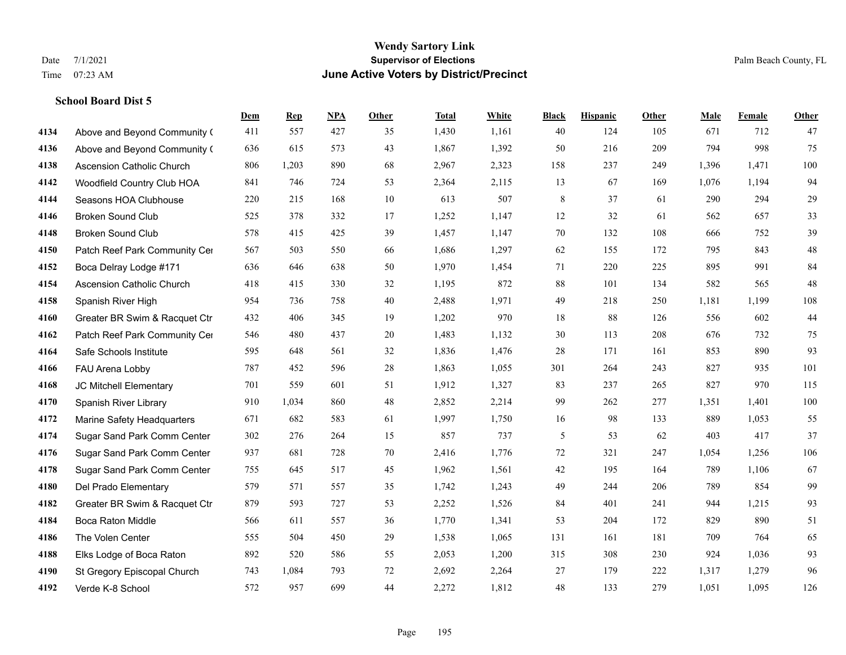|      |                                  | Dem | <b>Rep</b> | NPA | <b>Other</b> | <b>Total</b> | <b>White</b> | <b>Black</b> | <b>Hispanic</b> | <b>Other</b> | <b>Male</b> | <b>Female</b> | <b>Other</b> |
|------|----------------------------------|-----|------------|-----|--------------|--------------|--------------|--------------|-----------------|--------------|-------------|---------------|--------------|
| 4134 | Above and Beyond Community (     | 411 | 557        | 427 | 35           | 1,430        | 1,161        | 40           | 124             | 105          | 671         | 712           | 47           |
| 4136 | Above and Beyond Community (     | 636 | 615        | 573 | 43           | 1,867        | 1,392        | 50           | 216             | 209          | 794         | 998           | 75           |
| 4138 | <b>Ascension Catholic Church</b> | 806 | 1,203      | 890 | 68           | 2,967        | 2,323        | 158          | 237             | 249          | 1,396       | 1,471         | 100          |
| 4142 | Woodfield Country Club HOA       | 841 | 746        | 724 | 53           | 2,364        | 2,115        | 13           | 67              | 169          | 1,076       | 1,194         | 94           |
| 4144 | Seasons HOA Clubhouse            | 220 | 215        | 168 | 10           | 613          | 507          | $\,$ 8 $\,$  | 37              | 61           | 290         | 294           | 29           |
| 4146 | <b>Broken Sound Club</b>         | 525 | 378        | 332 | 17           | 1,252        | 1,147        | 12           | 32              | 61           | 562         | 657           | 33           |
| 4148 | <b>Broken Sound Club</b>         | 578 | 415        | 425 | 39           | 1,457        | 1,147        | 70           | 132             | 108          | 666         | 752           | 39           |
| 4150 | Patch Reef Park Community Cer    | 567 | 503        | 550 | 66           | 1,686        | 1,297        | 62           | 155             | 172          | 795         | 843           | $48\,$       |
| 4152 | Boca Delray Lodge #171           | 636 | 646        | 638 | 50           | 1,970        | 1,454        | 71           | 220             | 225          | 895         | 991           | 84           |
| 4154 | <b>Ascension Catholic Church</b> | 418 | 415        | 330 | 32           | 1,195        | 872          | 88           | 101             | 134          | 582         | 565           | 48           |
| 4158 | Spanish River High               | 954 | 736        | 758 | 40           | 2,488        | 1,971        | 49           | 218             | 250          | 1,181       | 1,199         | 108          |
| 4160 | Greater BR Swim & Racquet Ctr    | 432 | 406        | 345 | 19           | 1,202        | 970          | 18           | 88              | 126          | 556         | 602           | $44$         |
| 4162 | Patch Reef Park Community Cer    | 546 | 480        | 437 | 20           | 1,483        | 1,132        | 30           | 113             | 208          | 676         | 732           | 75           |
| 4164 | Safe Schools Institute           | 595 | 648        | 561 | 32           | 1,836        | 1,476        | 28           | 171             | 161          | 853         | 890           | 93           |
| 4166 | FAU Arena Lobby                  | 787 | 452        | 596 | 28           | 1,863        | 1,055        | 301          | 264             | 243          | 827         | 935           | 101          |
| 4168 | JC Mitchell Elementary           | 701 | 559        | 601 | 51           | 1,912        | 1,327        | 83           | 237             | 265          | 827         | 970           | 115          |
| 4170 | Spanish River Library            | 910 | 1,034      | 860 | 48           | 2,852        | 2,214        | 99           | 262             | 277          | 1,351       | 1,401         | 100          |
| 4172 | Marine Safety Headquarters       | 671 | 682        | 583 | 61           | 1,997        | 1,750        | 16           | 98              | 133          | 889         | 1,053         | 55           |
| 4174 | Sugar Sand Park Comm Center      | 302 | 276        | 264 | 15           | 857          | 737          | 5            | 53              | 62           | 403         | 417           | 37           |
| 4176 | Sugar Sand Park Comm Center      | 937 | 681        | 728 | 70           | 2,416        | 1,776        | 72           | 321             | 247          | 1,054       | 1,256         | 106          |
| 4178 | Sugar Sand Park Comm Center      | 755 | 645        | 517 | 45           | 1,962        | 1,561        | 42           | 195             | 164          | 789         | 1,106         | 67           |
| 4180 | Del Prado Elementary             | 579 | 571        | 557 | 35           | 1,742        | 1,243        | 49           | 244             | 206          | 789         | 854           | 99           |
| 4182 | Greater BR Swim & Racquet Ctr    | 879 | 593        | 727 | 53           | 2,252        | 1,526        | 84           | 401             | 241          | 944         | 1,215         | 93           |
| 4184 | <b>Boca Raton Middle</b>         | 566 | 611        | 557 | 36           | 1,770        | 1,341        | 53           | 204             | 172          | 829         | 890           | 51           |
| 4186 | The Volen Center                 | 555 | 504        | 450 | 29           | 1,538        | 1,065        | 131          | 161             | 181          | 709         | 764           | 65           |
| 4188 | Elks Lodge of Boca Raton         | 892 | 520        | 586 | 55           | 2,053        | 1,200        | 315          | 308             | 230          | 924         | 1,036         | 93           |
| 4190 | St Gregory Episcopal Church      | 743 | 1,084      | 793 | 72           | 2,692        | 2,264        | 27           | 179             | 222          | 1,317       | 1,279         | 96           |
| 4192 | Verde K-8 School                 | 572 | 957        | 699 | 44           | 2,272        | 1,812        | 48           | 133             | 279          | 1,051       | 1,095         | 126          |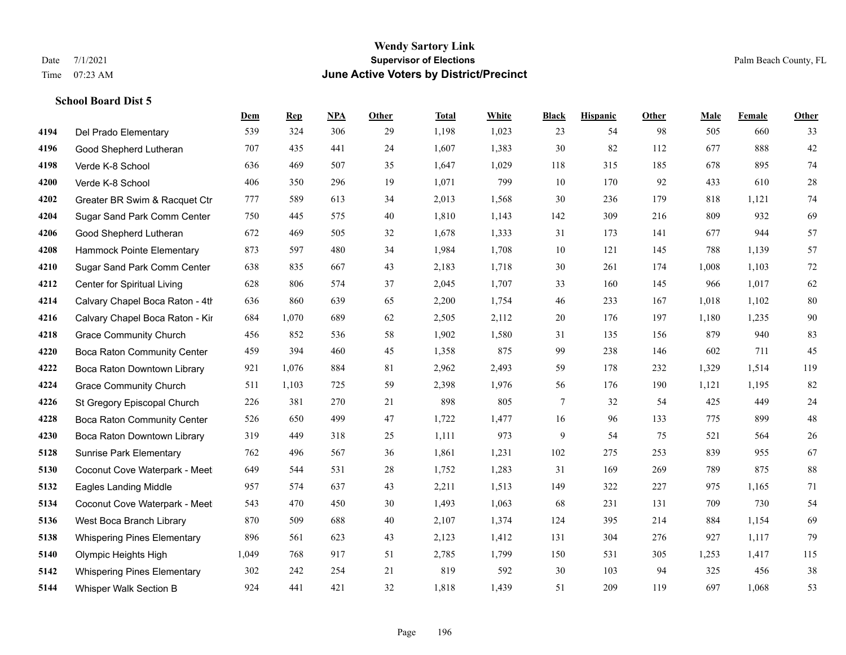#### **Wendy Sartory Link** Date 7/1/2021 **Supervisor of Elections** Palm Beach County, FL Time 07:23 AM **June Active Voters by District/Precinct**

# **Dem Rep NPA Other Total White Black Hispanic Other Male Female Other** Del Prado Elementary 539 324 306 29 1,198 1,023 23 54 98 505 660 33 Good Shepherd Lutheran 707 435 441 24 1,607 1,383 30 82 112 677 888 42 Verde K-8 School 636 469 507 35 1,647 1,029 118 315 185 678 895 74 Verde K-8 School 406 350 296 19 1,071 799 10 170 92 433 610 28 Greater BR Swim & Racquet Ctr 777 589 613 34 2,013 1,568 30 236 179 818 1,121 74 Sugar Sand Park Comm Center 750 445 575 40 1,810 1,143 142 309 216 809 932 69 Good Shepherd Lutheran 672 469 505 32 1,678 1,333 31 173 141 677 944 57 Hammock Pointe Elementary 873 597 480 34 1,984 1,708 10 121 145 788 1,139 57 Sugar Sand Park Comm Center 638 835 667 43 2,183 1,718 30 261 174 1,008 1,103 72 Center for Spiritual Living 628 806 574 37 2,045 1,707 33 160 145 966 1,017 62 **4214** Calvary Chapel Boca Raton - 4th  $636$   $639$   $65$   $2,200$   $1,754$   $46$   $233$   $167$   $1,018$   $1,102$   $80$  Calvary Chapel Boca Raton - Kir 684 1,070 689 62 2,505 2,112 20 176 197 1,180 1,235 90 Grace Community Church 456 852 536 58 1,902 1,580 31 135 156 879 940 83 Boca Raton Community Center 459 394 460 45 1,358 875 99 238 146 602 711 45 Boca Raton Downtown Library 921 1,076 884 81 2,962 2,493 59 178 232 1,329 1,514 119 Grace Community Church 511 1,103 725 59 2,398 1,976 56 176 190 1,121 1,195 82 St Gregory Episcopal Church 226 381 270 21 898 805 7 32 54 425 449 24 Boca Raton Community Center 526 650 499 47 1,722 1,477 16 96 133 775 899 48 Boca Raton Downtown Library 319 449 318 25 1,111 973 9 54 75 521 564 26 Sunrise Park Elementary 762 496 567 36 1,861 1,231 102 275 253 839 955 67 Coconut Cove Waterpark - Meet 649 544 531 28 1,752 1,283 31 169 269 789 875 88 Eagles Landing Middle 957 574 637 43 2,211 1,513 149 322 227 975 1,165 71 Coconut Cove Waterpark - Meeting Room B 543 470 450 30 1,493 1,063 68 231 131 709 730 54 West Boca Branch Library 870 509 688 40 2,107 1,374 124 395 214 884 1,154 69 Whispering Pines Elementary 896 561 623 43 2,123 1,412 131 304 276 927 1,117 79 Olympic Heights High 1,049 768 917 51 2,785 1,799 150 531 305 1,253 1,417 115 Whispering Pines Elementary 302 242 254 21 819 592 30 103 94 325 456 38 Whisper Walk Section B 924 441 421 32 1,818 1,439 51 209 119 697 1,068 53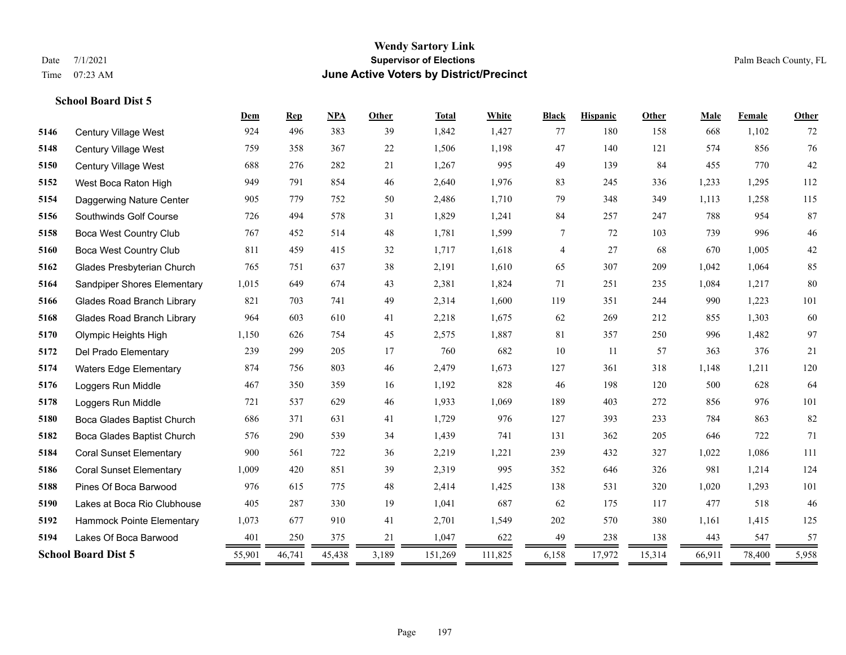# **Wendy Sartory Link** Date 7/1/2021 **Supervisor of Elections Supervisor of Elections** Palm Beach County, FL Time 07:23 AM **June Active Voters by District/Precinct**

|      |                                   | Dem    | <b>Rep</b> | NPA    | Other | <b>Total</b> | White   | <b>Black</b> | <b>Hispanic</b> | Other  | Male   | Female | Other |
|------|-----------------------------------|--------|------------|--------|-------|--------------|---------|--------------|-----------------|--------|--------|--------|-------|
| 5146 | Century Village West              | 924    | 496        | 383    | 39    | 1,842        | 1,427   | 77           | 180             | 158    | 668    | 1,102  | 72    |
| 5148 | Century Village West              | 759    | 358        | 367    | 22    | 1,506        | 1,198   | 47           | 140             | 121    | 574    | 856    | 76    |
| 5150 | Century Village West              | 688    | 276        | 282    | 21    | 1,267        | 995     | 49           | 139             | 84     | 455    | 770    | 42    |
| 5152 | West Boca Raton High              | 949    | 791        | 854    | 46    | 2,640        | 1,976   | 83           | 245             | 336    | 1,233  | 1,295  | 112   |
| 5154 | Daggerwing Nature Center          | 905    | 779        | 752    | 50    | 2,486        | 1,710   | 79           | 348             | 349    | 1,113  | 1,258  | 115   |
| 5156 | Southwinds Golf Course            | 726    | 494        | 578    | 31    | 1,829        | 1,241   | 84           | 257             | 247    | 788    | 954    | 87    |
| 5158 | <b>Boca West Country Club</b>     | 767    | 452        | 514    | 48    | 1,781        | 1,599   | 7            | 72              | 103    | 739    | 996    | 46    |
| 5160 | <b>Boca West Country Club</b>     | 811    | 459        | 415    | 32    | 1,717        | 1,618   | 4            | 27              | 68     | 670    | 1,005  | 42    |
| 5162 | Glades Presbyterian Church        | 765    | 751        | 637    | 38    | 2,191        | 1,610   | 65           | 307             | 209    | 1,042  | 1,064  | 85    |
| 5164 | Sandpiper Shores Elementary       | 1,015  | 649        | 674    | 43    | 2,381        | 1,824   | 71           | 251             | 235    | 1,084  | 1,217  | 80    |
| 5166 | <b>Glades Road Branch Library</b> | 821    | 703        | 741    | 49    | 2,314        | 1,600   | 119          | 351             | 244    | 990    | 1,223  | 101   |
| 5168 | <b>Glades Road Branch Library</b> | 964    | 603        | 610    | 41    | 2,218        | 1,675   | 62           | 269             | 212    | 855    | 1,303  | 60    |
| 5170 | Olympic Heights High              | 1,150  | 626        | 754    | 45    | 2,575        | 1,887   | 81           | 357             | 250    | 996    | 1,482  | 97    |
| 5172 | Del Prado Elementary              | 239    | 299        | 205    | 17    | 760          | 682     | 10           | 11              | 57     | 363    | 376    | 21    |
| 5174 | <b>Waters Edge Elementary</b>     | 874    | 756        | 803    | 46    | 2,479        | 1,673   | 127          | 361             | 318    | 1,148  | 1,211  | 120   |
| 5176 | Loggers Run Middle                | 467    | 350        | 359    | 16    | 1,192        | 828     | 46           | 198             | 120    | 500    | 628    | 64    |
| 5178 | Loggers Run Middle                | 721    | 537        | 629    | 46    | 1,933        | 1,069   | 189          | 403             | 272    | 856    | 976    | 101   |
| 5180 | Boca Glades Baptist Church        | 686    | 371        | 631    | 41    | 1,729        | 976     | 127          | 393             | 233    | 784    | 863    | 82    |
| 5182 | Boca Glades Baptist Church        | 576    | 290        | 539    | 34    | 1,439        | 741     | 131          | 362             | 205    | 646    | 722    | 71    |
| 5184 | <b>Coral Sunset Elementary</b>    | 900    | 561        | 722    | 36    | 2,219        | 1,221   | 239          | 432             | 327    | 1,022  | 1,086  | 111   |
| 5186 | <b>Coral Sunset Elementary</b>    | 1,009  | 420        | 851    | 39    | 2,319        | 995     | 352          | 646             | 326    | 981    | 1,214  | 124   |
| 5188 | Pines Of Boca Barwood             | 976    | 615        | 775    | 48    | 2,414        | 1,425   | 138          | 531             | 320    | 1,020  | 1,293  | 101   |
| 5190 | Lakes at Boca Rio Clubhouse       | 405    | 287        | 330    | 19    | 1,041        | 687     | 62           | 175             | 117    | 477    | 518    | 46    |
| 5192 | Hammock Pointe Elementary         | 1,073  | 677        | 910    | 41    | 2,701        | 1,549   | 202          | 570             | 380    | 1,161  | 1,415  | 125   |
| 5194 | Lakes Of Boca Barwood             | 401    | 250        | 375    | 21    | 1,047        | 622     | 49           | 238             | 138    | 443    | 547    | 57    |
|      | <b>School Board Dist 5</b>        | 55,901 | 46,741     | 45,438 | 3,189 | 151,269      | 111,825 | 6,158        | 17,972          | 15,314 | 66,911 | 78,400 | 5,958 |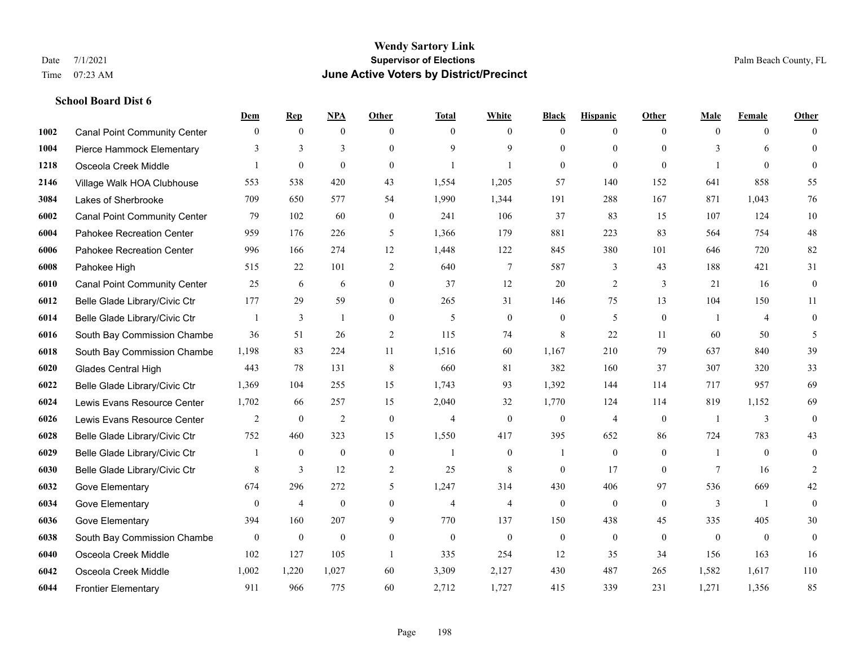|      |                                     | Dem          | <b>Rep</b>       | NPA              | <b>Other</b>     | <b>Total</b>   | <b>White</b>   | <b>Black</b> | <b>Hispanic</b> | <b>Other</b> | <b>Male</b> | <b>Female</b>  | <b>Other</b>     |
|------|-------------------------------------|--------------|------------------|------------------|------------------|----------------|----------------|--------------|-----------------|--------------|-------------|----------------|------------------|
| 1002 | <b>Canal Point Community Center</b> | $\mathbf{0}$ | $\mathbf{0}$     | $\mathbf{0}$     | $\theta$         | $\theta$       | $\overline{0}$ | $\mathbf{0}$ | $\overline{0}$  | $\theta$     | $\theta$    | $\overline{0}$ | $\Omega$         |
| 1004 | Pierce Hammock Elementary           | 3            | 3                | 3                | $\Omega$         | $\mathbf Q$    | 9              | $\theta$     | $\mathbf{0}$    | $\Omega$     | 3           | 6              | $\mathbf{0}$     |
| 1218 | Osceola Creek Middle                |              | $\boldsymbol{0}$ | $\mathbf{0}$     | $\Omega$         |                | 1              | $\mathbf{0}$ | $\mathbf{0}$    | $\theta$     |             | $\theta$       | $\mathbf{0}$     |
| 2146 | Village Walk HOA Clubhouse          | 553          | 538              | 420              | 43               | 1,554          | 1,205          | 57           | 140             | 152          | 641         | 858            | 55               |
| 3084 | Lakes of Sherbrooke                 | 709          | 650              | 577              | 54               | 1,990          | 1,344          | 191          | 288             | 167          | 871         | 1.043          | 76               |
| 6002 | <b>Canal Point Community Center</b> | 79           | 102              | 60               | $\boldsymbol{0}$ | 241            | 106            | 37           | 83              | 15           | 107         | 124            | $10\,$           |
| 6004 | Pahokee Recreation Center           | 959          | 176              | 226              | 5                | 1,366          | 179            | 881          | 223             | 83           | 564         | 754            | $48\,$           |
| 6006 | Pahokee Recreation Center           | 996          | 166              | 274              | 12               | 1,448          | 122            | 845          | 380             | 101          | 646         | 720            | 82               |
| 6008 | Pahokee High                        | 515          | 22               | 101              | $\mathfrak{2}$   | 640            | $\tau$         | 587          | 3               | 43           | 188         | 421            | 31               |
| 6010 | <b>Canal Point Community Center</b> | 25           | 6                | 6                | $\overline{0}$   | 37             | 12             | 20           | 2               | 3            | 21          | 16             | $\boldsymbol{0}$ |
| 6012 | Belle Glade Library/Civic Ctr       | 177          | 29               | 59               | $\Omega$         | 265            | 31             | 146          | 75              | 13           | 104         | 150            | 11               |
| 6014 | Belle Glade Library/Civic Ctr       |              | 3                | $\mathbf{1}$     | $\Omega$         | 5              | $\overline{0}$ | $\mathbf{0}$ | 5               | $\theta$     |             | $\overline{4}$ | $\boldsymbol{0}$ |
| 6016 | South Bay Commission Chambe         | 36           | 51               | 26               | 2                | 115            | 74             | 8            | 22              | 11           | 60          | 50             | 5                |
| 6018 | South Bay Commission Chambe         | 1,198        | 83               | 224              | 11               | 1,516          | 60             | 1,167        | 210             | 79           | 637         | 840            | 39               |
| 6020 | <b>Glades Central High</b>          | 443          | 78               | 131              | 8                | 660            | 81             | 382          | 160             | 37           | 307         | 320            | 33               |
| 6022 | Belle Glade Library/Civic Ctr       | 1,369        | 104              | 255              | 15               | 1,743          | 93             | 1,392        | 144             | 114          | 717         | 957            | 69               |
| 6024 | Lewis Evans Resource Center         | 1,702        | 66               | 257              | 15               | 2,040          | 32             | 1,770        | 124             | 114          | 819         | 1,152          | 69               |
| 6026 | Lewis Evans Resource Center         | 2            | $\mathbf{0}$     | 2                | $\theta$         | $\overline{4}$ | $\overline{0}$ | $\mathbf{0}$ | $\overline{4}$  | $\theta$     |             | 3              | $\mathbf{0}$     |
| 6028 | Belle Glade Library/Civic Ctr       | 752          | 460              | 323              | 15               | 1,550          | 417            | 395          | 652             | 86           | 724         | 783            | 43               |
| 6029 | Belle Glade Library/Civic Ctr       | 1            | $\mathbf{0}$     | $\mathbf{0}$     | $\mathbf{0}$     | -1             | $\mathbf{0}$   | 1            | $\mathbf{0}$    | $\theta$     | -1          | $\theta$       | $\mathbf{0}$     |
| 6030 | Belle Glade Library/Civic Ctr       | 8            | 3                | 12               | 2                | 25             | 8              | $\mathbf{0}$ | 17              | $\theta$     | 7           | 16             | 2                |
| 6032 | Gove Elementary                     | 674          | 296              | 272              | 5                | 1,247          | 314            | 430          | 406             | 97           | 536         | 669            | 42               |
| 6034 | Gove Elementary                     | $\mathbf{0}$ | $\overline{4}$   | $\boldsymbol{0}$ | $\overline{0}$   | $\overline{4}$ | 4              | $\mathbf{0}$ | $\mathbf{0}$    | $\theta$     | 3           | $\overline{1}$ | $\mathbf{0}$     |
| 6036 | Gove Elementary                     | 394          | 160              | 207              | 9                | 770            | 137            | 150          | 438             | 45           | 335         | 405            | 30               |
| 6038 | South Bay Commission Chambe         | $\mathbf{0}$ | $\mathbf{0}$     | $\overline{0}$   | $\overline{0}$   | $\theta$       | $\mathbf{0}$   | $\mathbf{0}$ | $\theta$        | $\theta$     | $\theta$    | $\theta$       | $\mathbf{0}$     |
| 6040 | Osceola Creek Middle                | 102          | 127              | 105              | $\overline{1}$   | 335            | 254            | 12           | 35              | 34           | 156         | 163            | 16               |
| 6042 | Osceola Creek Middle                | 1,002        | 1,220            | 1,027            | 60               | 3,309          | 2,127          | 430          | 487             | 265          | 1,582       | 1,617          | 110              |
| 6044 | <b>Frontier Elementary</b>          | 911          | 966              | 775              | 60               | 2,712          | 1,727          | 415          | 339             | 231          | 1,271       | 1,356          | 85               |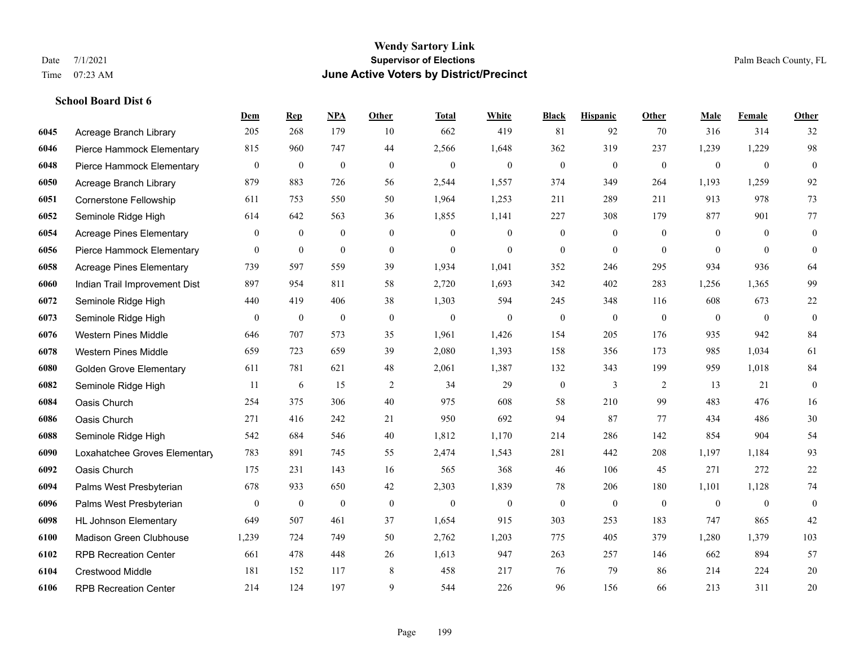|      |                                 | Dem            | <b>Rep</b>   | NPA          | Other            | <b>Total</b> | <b>White</b>     | <b>Black</b>     | <b>Hispanic</b>  | <b>Other</b> | <b>Male</b>    | Female       | <b>Other</b>     |
|------|---------------------------------|----------------|--------------|--------------|------------------|--------------|------------------|------------------|------------------|--------------|----------------|--------------|------------------|
| 6045 | Acreage Branch Library          | 205            | 268          | 179          | 10               | 662          | 419              | 81               | 92               | 70           | 316            | 314          | 32               |
| 6046 | Pierce Hammock Elementary       | 815            | 960          | 747          | 44               | 2,566        | 1,648            | 362              | 319              | 237          | 1,239          | 1,229        | 98               |
| 6048 | Pierce Hammock Elementary       | $\mathbf{0}$   | $\mathbf{0}$ | $\mathbf{0}$ | $\mathbf{0}$     | $\mathbf{0}$ | $\boldsymbol{0}$ | $\boldsymbol{0}$ | $\boldsymbol{0}$ | $\mathbf{0}$ | $\overline{0}$ | $\mathbf{0}$ | $\mathbf{0}$     |
| 6050 | Acreage Branch Library          | 879            | 883          | 726          | 56               | 2,544        | 1,557            | 374              | 349              | 264          | 1,193          | 1,259        | 92               |
| 6051 | <b>Cornerstone Fellowship</b>   | 611            | 753          | 550          | 50               | 1,964        | 1,253            | 211              | 289              | 211          | 913            | 978          | 73               |
| 6052 | Seminole Ridge High             | 614            | 642          | 563          | 36               | 1,855        | 1,141            | 227              | 308              | 179          | 877            | 901          | 77               |
| 6054 | <b>Acreage Pines Elementary</b> | $\overline{0}$ | $\mathbf{0}$ | $\mathbf{0}$ | $\boldsymbol{0}$ | $\theta$     | $\boldsymbol{0}$ | $\boldsymbol{0}$ | $\mathbf{0}$     | $\mathbf{0}$ | $\mathbf{0}$   | $\theta$     | $\boldsymbol{0}$ |
| 6056 | Pierce Hammock Elementary       | $\overline{0}$ | $\mathbf{0}$ | $\mathbf{0}$ | $\theta$         | $\Omega$     | $\theta$         | $\overline{0}$   | $\theta$         | $\Omega$     | $\Omega$       | $\Omega$     | $\theta$         |
| 6058 | <b>Acreage Pines Elementary</b> | 739            | 597          | 559          | 39               | 1,934        | 1,041            | 352              | 246              | 295          | 934            | 936          | 64               |
| 6060 | Indian Trail Improvement Dist   | 897            | 954          | 811          | 58               | 2,720        | 1,693            | 342              | 402              | 283          | 1,256          | 1,365        | 99               |
| 6072 | Seminole Ridge High             | 440            | 419          | 406          | 38               | 1,303        | 594              | 245              | 348              | 116          | 608            | 673          | 22               |
| 6073 | Seminole Ridge High             | 0              | $\mathbf{0}$ | $\mathbf{0}$ | $\boldsymbol{0}$ | $\mathbf{0}$ | $\boldsymbol{0}$ | $\boldsymbol{0}$ | $\boldsymbol{0}$ | $\mathbf{0}$ | $\overline{0}$ | $\mathbf{0}$ | $\boldsymbol{0}$ |
| 6076 | <b>Western Pines Middle</b>     | 646            | 707          | 573          | 35               | 1,961        | 1,426            | 154              | 205              | 176          | 935            | 942          | 84               |
| 6078 | <b>Western Pines Middle</b>     | 659            | 723          | 659          | 39               | 2,080        | 1,393            | 158              | 356              | 173          | 985            | 1,034        | 61               |
| 6080 | <b>Golden Grove Elementary</b>  | 611            | 781          | 621          | 48               | 2,061        | 1,387            | 132              | 343              | 199          | 959            | 1,018        | 84               |
| 6082 | Seminole Ridge High             | 11             | 6            | 15           | 2                | 34           | 29               | $\boldsymbol{0}$ | 3                | 2            | 13             | 21           | $\overline{0}$   |
| 6084 | Oasis Church                    | 254            | 375          | 306          | 40               | 975          | 608              | 58               | 210              | 99           | 483            | 476          | $16\,$           |
| 6086 | Oasis Church                    | 271            | 416          | 242          | 21               | 950          | 692              | 94               | 87               | 77           | 434            | 486          | $30\,$           |
| 6088 | Seminole Ridge High             | 542            | 684          | 546          | 40               | 1,812        | 1,170            | 214              | 286              | 142          | 854            | 904          | 54               |
| 6090 | Loxahatchee Groves Elementary   | 783            | 891          | 745          | 55               | 2,474        | 1,543            | 281              | 442              | 208          | 1,197          | 1,184        | 93               |
| 6092 | Oasis Church                    | 175            | 231          | 143          | 16               | 565          | 368              | 46               | 106              | 45           | 271            | 272          | 22               |
| 6094 | Palms West Presbyterian         | 678            | 933          | 650          | 42               | 2,303        | 1,839            | 78               | 206              | 180          | 1,101          | 1,128        | 74               |
| 6096 | Palms West Presbyterian         | 0              | $\mathbf{0}$ | $\mathbf{0}$ | $\boldsymbol{0}$ | $\mathbf{0}$ | $\boldsymbol{0}$ | $\boldsymbol{0}$ | $\boldsymbol{0}$ | $\mathbf{0}$ | $\mathbf{0}$   | $\mathbf{0}$ | $\boldsymbol{0}$ |
| 6098 | <b>HL Johnson Elementary</b>    | 649            | 507          | 461          | 37               | 1,654        | 915              | 303              | 253              | 183          | 747            | 865          | 42               |
| 6100 | Madison Green Clubhouse         | 1,239          | 724          | 749          | 50               | 2,762        | 1,203            | 775              | 405              | 379          | 1,280          | 1.379        | 103              |
| 6102 | <b>RPB Recreation Center</b>    | 661            | 478          | 448          | $26\,$           | 1,613        | 947              | 263              | 257              | 146          | 662            | 894          | 57               |
| 6104 | <b>Crestwood Middle</b>         | 181            | 152          | 117          | 8                | 458          | 217              | 76               | 79               | 86           | 214            | 224          | 20               |
| 6106 | <b>RPB Recreation Center</b>    | 214            | 124          | 197          | 9                | 544          | 226              | 96               | 156              | 66           | 213            | 311          | 20               |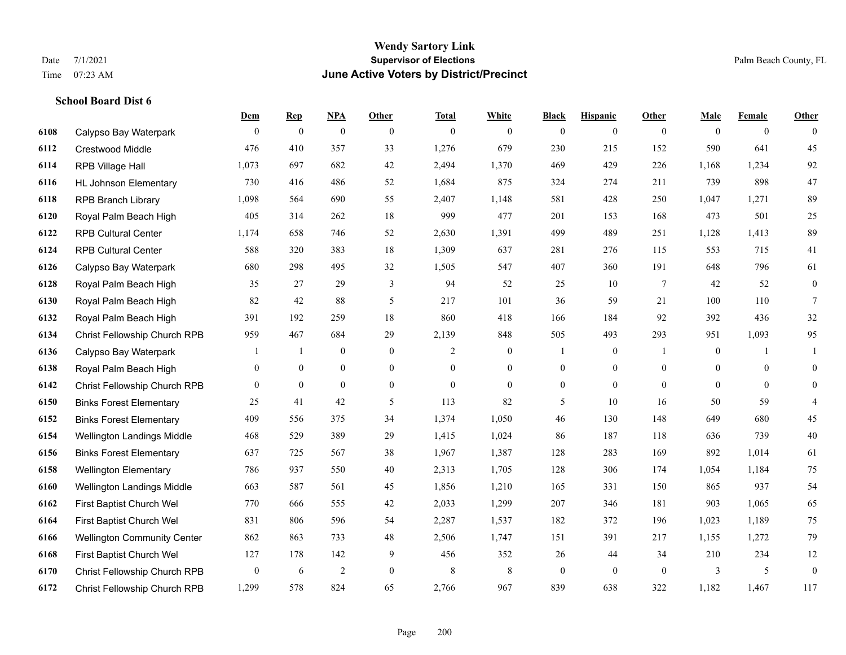# **Wendy Sartory Link** Date 7/1/2021 **Supervisor of Elections Supervisor of Elections** Palm Beach County, FL Time 07:23 AM **June Active Voters by District/Precinct**

|      |                                    | Dem          | <b>Rep</b>       | NPA              | Other            | <b>Total</b>   | White            | <b>Black</b>     | <b>Hispanic</b>  | Other           | Male           | Female         | Other            |
|------|------------------------------------|--------------|------------------|------------------|------------------|----------------|------------------|------------------|------------------|-----------------|----------------|----------------|------------------|
| 6108 | Calypso Bay Waterpark              | $\theta$     | $\mathbf{0}$     | $\mathbf{0}$     | $\theta$         | $\mathbf{0}$   | $\overline{0}$   | $\mathbf{0}$     | $\mathbf{0}$     | $\theta$        | $\theta$       | $\overline{0}$ | $\theta$         |
| 6112 | <b>Crestwood Middle</b>            | 476          | 410              | 357              | 33               | 1,276          | 679              | 230              | 215              | 152             | 590            | 641            | 45               |
| 6114 | RPB Village Hall                   | 1,073        | 697              | 682              | 42               | 2,494          | 1,370            | 469              | 429              | 226             | 1,168          | 1,234          | $92\,$           |
| 6116 | <b>HL Johnson Elementary</b>       | 730          | 416              | 486              | 52               | 1,684          | 875              | 324              | 274              | 211             | 739            | 898            | 47               |
| 6118 | <b>RPB Branch Library</b>          | 1,098        | 564              | 690              | 55               | 2,407          | 1,148            | 581              | 428              | 250             | 1,047          | 1,271          | 89               |
| 6120 | Royal Palm Beach High              | 405          | 314              | 262              | 18               | 999            | 477              | 201              | 153              | 168             | 473            | 501            | 25               |
| 6122 | <b>RPB Cultural Center</b>         | 1,174        | 658              | 746              | 52               | 2,630          | 1,391            | 499              | 489              | 251             | 1,128          | 1,413          | 89               |
| 6124 | <b>RPB Cultural Center</b>         | 588          | 320              | 383              | 18               | 1,309          | 637              | 281              | 276              | 115             | 553            | 715            | 41               |
| 6126 | Calypso Bay Waterpark              | 680          | 298              | 495              | 32               | 1,505          | 547              | 407              | 360              | 191             | 648            | 796            | 61               |
| 6128 | Royal Palm Beach High              | 35           | 27               | 29               | $\mathfrak{Z}$   | 94             | 52               | 25               | 10               | $7\phantom{.0}$ | 42             | 52             | $\boldsymbol{0}$ |
| 6130 | Royal Palm Beach High              | 82           | 42               | 88               | 5                | 217            | 101              | 36               | 59               | 21              | 100            | 110            | $7\phantom{.0}$  |
| 6132 | Royal Palm Beach High              | 391          | 192              | 259              | 18               | 860            | 418              | 166              | 184              | 92              | 392            | 436            | 32               |
| 6134 | Christ Fellowship Church RPB       | 959          | 467              | 684              | 29               | 2,139          | 848              | 505              | 493              | 293             | 951            | 1,093          | 95               |
| 6136 | Calypso Bay Waterpark              |              | $\mathbf{1}$     | $\boldsymbol{0}$ | $\mathbf{0}$     | 2              | $\boldsymbol{0}$ | $\mathbf{1}$     | $\boldsymbol{0}$ | $\overline{1}$  | $\overline{0}$ |                | $\mathbf{1}$     |
| 6138 | Royal Palm Beach High              | $\mathbf{0}$ | $\boldsymbol{0}$ | $\boldsymbol{0}$ | $\boldsymbol{0}$ | $\overline{0}$ | $\boldsymbol{0}$ | $\boldsymbol{0}$ | $\boldsymbol{0}$ | $\overline{0}$  | $\mathbf{0}$   | $\overline{0}$ | $\mathbf{0}$     |
| 6142 | Christ Fellowship Church RPB       | $\theta$     | $\mathbf{0}$     | $\overline{0}$   | $\overline{0}$   | $\Omega$       | $\overline{0}$   | $\mathbf{0}$     | $\mathbf{0}$     | $\theta$        | $\theta$       | $\theta$       | $\mathbf{0}$     |
| 6150 | <b>Binks Forest Elementary</b>     | 25           | 41               | 42               | 5                | 113            | 82               | 5                | 10               | 16              | 50             | 59             | $\overline{4}$   |
| 6152 | <b>Binks Forest Elementary</b>     | 409          | 556              | 375              | 34               | 1,374          | 1,050            | 46               | 130              | 148             | 649            | 680            | 45               |
| 6154 | <b>Wellington Landings Middle</b>  | 468          | 529              | 389              | 29               | 1,415          | 1,024            | 86               | 187              | 118             | 636            | 739            | 40               |
| 6156 | <b>Binks Forest Elementary</b>     | 637          | 725              | 567              | 38               | 1,967          | 1,387            | 128              | 283              | 169             | 892            | 1,014          | 61               |
| 6158 | <b>Wellington Elementary</b>       | 786          | 937              | 550              | 40               | 2,313          | 1,705            | 128              | 306              | 174             | 1,054          | 1,184          | 75               |
| 6160 | Wellington Landings Middle         | 663          | 587              | 561              | 45               | 1,856          | 1,210            | 165              | 331              | 150             | 865            | 937            | 54               |
| 6162 | First Baptist Church Wel           | 770          | 666              | 555              | 42               | 2,033          | 1,299            | 207              | 346              | 181             | 903            | 1,065          | 65               |
| 6164 | First Baptist Church Wel           | 831          | 806              | 596              | 54               | 2,287          | 1,537            | 182              | 372              | 196             | 1,023          | 1,189          | 75               |
| 6166 | <b>Wellington Community Center</b> | 862          | 863              | 733              | 48               | 2,506          | 1,747            | 151              | 391              | 217             | 1,155          | 1,272          | 79               |
| 6168 | First Baptist Church Wel           | 127          | 178              | 142              | 9                | 456            | 352              | 26               | 44               | 34              | 210            | 234            | 12               |
| 6170 | Christ Fellowship Church RPB       | $\theta$     | 6                | $\overline{c}$   | $\theta$         | 8              | 8                | $\mathbf{0}$     | $\theta$         | $\theta$        | 3              | 5              | $\overline{0}$   |
| 6172 | Christ Fellowship Church RPB       | 1,299        | 578              | 824              | 65               | 2.766          | 967              | 839              | 638              | 322             | 1,182          | 1.467          | 117              |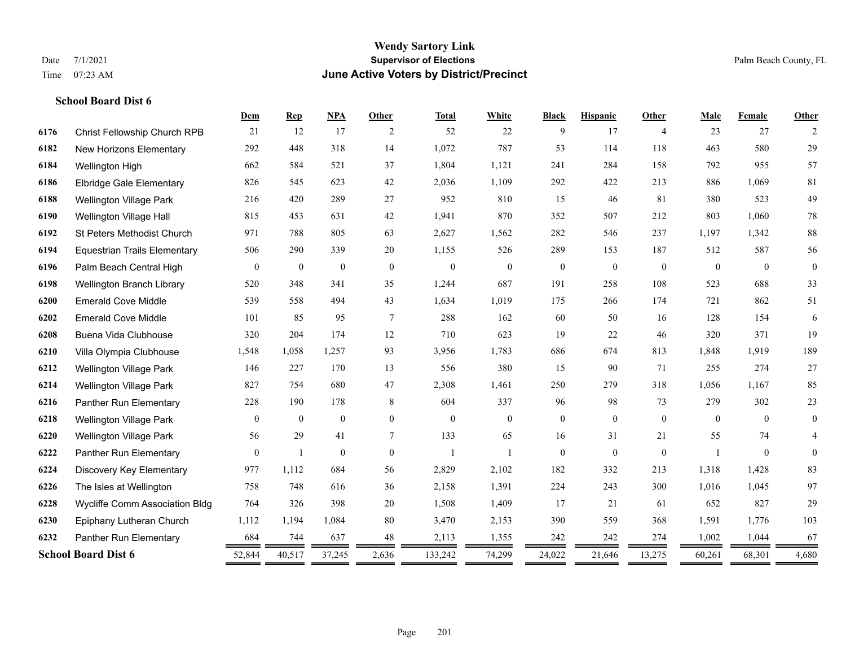|      |                                     | Dem              | <b>Rep</b>       | <b>NPA</b>       | <b>Other</b>   | <b>Total</b>   | White        | <b>Black</b>     | <b>Hispanic</b> | Other          | Male         | Female   | Other          |
|------|-------------------------------------|------------------|------------------|------------------|----------------|----------------|--------------|------------------|-----------------|----------------|--------------|----------|----------------|
| 6176 | Christ Fellowship Church RPB        | 21               | 12               | 17               | 2              | 52             | 22           | 9                | 17              | $\overline{4}$ | 23           | 27       | 2              |
| 6182 | New Horizons Elementary             | 292              | 448              | 318              | 14             | 1,072          | 787          | 53               | 114             | 118            | 463          | 580      | 29             |
| 6184 | Wellington High                     | 662              | 584              | 521              | 37             | 1,804          | 1,121        | 241              | 284             | 158            | 792          | 955      | 57             |
| 6186 | <b>Elbridge Gale Elementary</b>     | 826              | 545              | 623              | 42             | 2,036          | 1,109        | 292              | 422             | 213            | 886          | 1,069    | 81             |
| 6188 | <b>Wellington Village Park</b>      | 216              | 420              | 289              | 27             | 952            | 810          | 15               | 46              | 81             | 380          | 523      | 49             |
| 6190 | Wellington Village Hall             | 815              | 453              | 631              | 42             | 1,941          | 870          | 352              | 507             | 212            | 803          | 1,060    | $78\,$         |
| 6192 | St Peters Methodist Church          | 971              | 788              | 805              | 63             | 2,627          | 1,562        | 282              | 546             | 237            | 1,197        | 1,342    | $88\,$         |
| 6194 | <b>Equestrian Trails Elementary</b> | 506              | 290              | 339              | 20             | 1,155          | 526          | 289              | 153             | 187            | 512          | 587      | 56             |
| 6196 | Palm Beach Central High             | $\boldsymbol{0}$ | $\boldsymbol{0}$ | $\boldsymbol{0}$ | $\overline{0}$ | $\theta$       | $\mathbf{0}$ | $\boldsymbol{0}$ | $\mathbf{0}$    | $\mathbf{0}$   | $\mathbf{0}$ | $\theta$ | $\mathbf{0}$   |
| 6198 | Wellington Branch Library           | 520              | 348              | 341              | 35             | 1,244          | 687          | 191              | 258             | 108            | 523          | 688      | 33             |
| 6200 | <b>Emerald Cove Middle</b>          | 539              | 558              | 494              | 43             | 1,634          | 1,019        | 175              | 266             | 174            | 721          | 862      | 51             |
| 6202 | <b>Emerald Cove Middle</b>          | 101              | 85               | 95               | 7              | 288            | 162          | 60               | 50              | 16             | 128          | 154      | 6              |
| 6208 | Buena Vida Clubhouse                | 320              | 204              | 174              | 12             | 710            | 623          | 19               | 22              | 46             | 320          | 371      | 19             |
| 6210 | Villa Olympia Clubhouse             | 1,548            | 1,058            | 1,257            | 93             | 3,956          | 1,783        | 686              | 674             | 813            | 1.848        | 1.919    | 189            |
| 6212 | Wellington Village Park             | 146              | 227              | 170              | 13             | 556            | 380          | 15               | 90              | 71             | 255          | 274      | 27             |
| 6214 | Wellington Village Park             | 827              | 754              | 680              | 47             | 2,308          | 1,461        | 250              | 279             | 318            | 1,056        | 1,167    | 85             |
| 6216 | Panther Run Elementary              | 228              | 190              | 178              | 8              | 604            | 337          | 96               | 98              | 73             | 279          | 302      | 23             |
| 6218 | <b>Wellington Village Park</b>      | $\mathbf{0}$     | $\mathbf{0}$     | $\mathbf{0}$     | $\overline{0}$ | $\theta$       | $\mathbf{0}$ | $\boldsymbol{0}$ | $\mathbf{0}$    | $\mathbf{0}$   | $\theta$     | $\theta$ | $\overline{0}$ |
| 6220 | <b>Wellington Village Park</b>      | 56               | 29               | 41               | 7              | 133            | 65           | 16               | 31              | 21             | 55           | 74       | 4              |
| 6222 | Panther Run Elementary              | $\mathbf{0}$     | $\overline{1}$   | $\mathbf{0}$     | $\theta$       | $\overline{1}$ |              | $\mathbf{0}$     | $\mathbf{0}$    | $\theta$       |              | $\theta$ | $\mathbf{0}$   |
| 6224 | Discovery Key Elementary            | 977              | 1,112            | 684              | 56             | 2,829          | 2,102        | 182              | 332             | 213            | 1,318        | 1,428    | 83             |
| 6226 | The Isles at Wellington             | 758              | 748              | 616              | 36             | 2,158          | 1,391        | 224              | 243             | 300            | 1,016        | 1,045    | 97             |
| 6228 | Wycliffe Comm Association Bldg      | 764              | 326              | 398              | 20             | 1,508          | 1,409        | 17               | 21              | 61             | 652          | 827      | 29             |
| 6230 | Epiphany Lutheran Church            | 1,112            | 1,194            | 1,084            | 80             | 3,470          | 2,153        | 390              | 559             | 368            | 1,591        | 1,776    | 103            |
| 6232 | Panther Run Elementary              | 684              | 744              | 637              | 48             | 2,113          | 1,355        | 242              | 242             | 274            | 1,002        | 1,044    | 67             |
|      | <b>School Board Dist 6</b>          | 52,844           | 40,517           | 37,245           | 2,636          | 133,242        | 74,299       | 24,022           | 21,646          | 13,275         | 60,261       | 68,301   | 4,680          |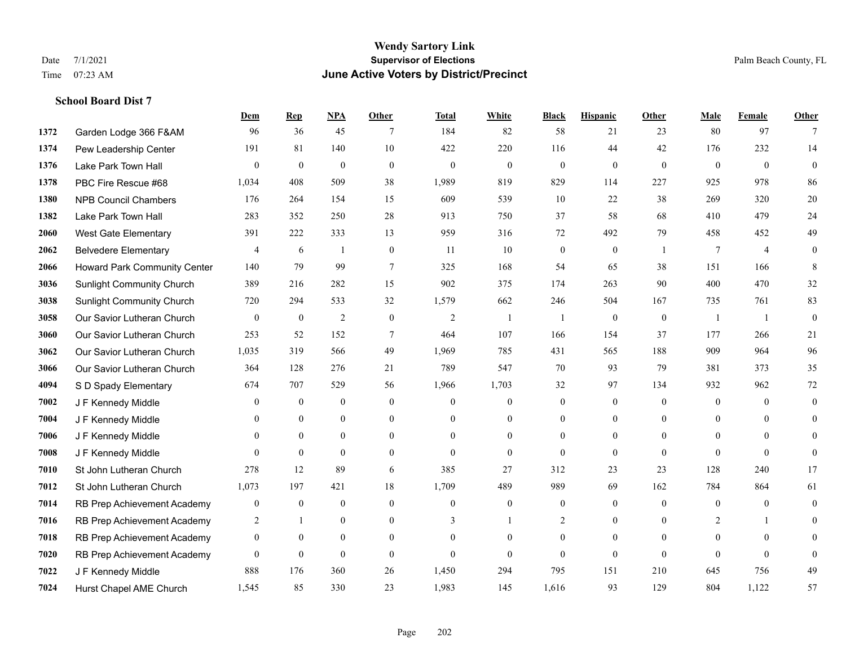#### **Wendy Sartory Link** Date 7/1/2021 **Supervisor of Elections** Palm Beach County, FL Time 07:23 AM **June Active Voters by District/Precinct**

# **Dem Rep NPA Other Total White Black Hispanic Other Male Female Other** Garden Lodge 366 F&AM 96 36 45 7 184 82 58 21 23 80 97 7 Pew Leadership Center 191 81 140 10 422 220 116 44 42 176 232 14 Lake Park Town Hall 0 0 0 0 0 0 0 0 0 0 0 0 PBC Fire Rescue #68 1,034 408 509 38 1,989 819 829 114 227 925 978 86 NPB Council Chambers 176 264 154 15 609 539 10 22 38 269 320 20 Lake Park Town Hall 283 352 250 28 913 750 37 58 68 410 479 24 West Gate Elementary 391 222 333 13 959 316 72 492 79 458 452 49 Belvedere Elementary 4 6 1 0 11 10 0 0 1 7 4 0 Howard Park Community Center 140 79 99 7 325 168 54 65 38 151 166 8 Sunlight Community Church 389 216 282 15 902 375 174 263 90 400 470 32 Sunlight Community Church 720 294 533 32 1,579 662 246 504 167 735 761 83 Our Savior Lutheran Church 0 0 0 2 0 0 2 1 1 0 0 0 1 1 0 Our Savior Lutheran Church 253 52 152 7 464 107 166 154 37 177 266 21 Our Savior Lutheran Church 1,035 319 566 49 1,969 785 431 565 188 909 964 96 Our Savior Lutheran Church 364 128 276 21 789 547 70 93 79 381 373 35 S D Spady Elementary 674 707 529 56 1,966 1,703 32 97 134 932 962 72 J F Kennedy Middle 0 0 0 0 0 0 0 0 0 0 0 0 **7004 J F Kennedy Middle 0 0 0 0 0 0 0 0 0** 0 J F Kennedy Middle 0 0 0 0 0 0 0 0 0 0 J F Kennedy Middle 0 0 0 0 0 0 0 0 0 0 St John Lutheran Church 278 12 89 6 385 27 312 23 23 128 240 17 St John Lutheran Church 1,073 197 421 18 1,709 489 989 69 162 784 864 61 RB Prep Achievement Academy 0 0 0 0 0 0 0 0 0 0 0 0 RB Prep Achievement Academy 2 1 0 0 3 1 2 0 0 2 1 0 RB Prep Achievement Academy 0 0 0 0 0 0 0 0 0 0 0 0 RB Prep Achievement Academy 0 0 0 0 0 0 0 0 0 0 0 0 J F Kennedy Middle 888 176 360 26 1,450 294 795 151 210 645 756 49

Hurst Chapel AME Church 1,545 85 330 23 1,983 145 1,616 93 129 804 1,122 57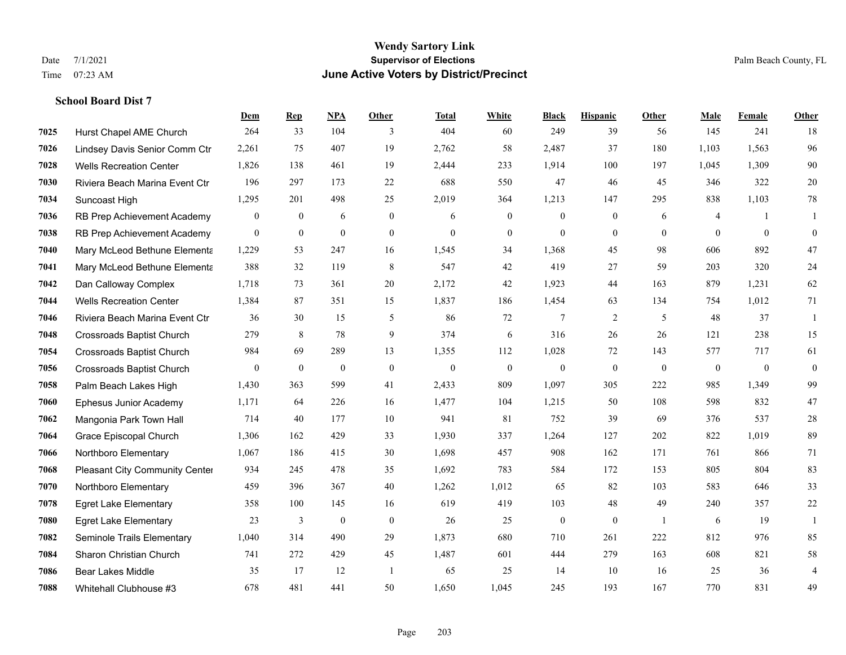|      |                                  | Dem              | <b>Rep</b>       | NPA              | <b>Other</b>     | Total        | <b>White</b>     | <b>Black</b>     | <b>Hispanic</b>  | Other          | <b>Male</b>    | Female         | <b>Other</b>     |
|------|----------------------------------|------------------|------------------|------------------|------------------|--------------|------------------|------------------|------------------|----------------|----------------|----------------|------------------|
| 7025 | Hurst Chapel AME Church          | 264              | 33               | 104              | 3                | 404          | 60               | 249              | 39               | 56             | 145            | 241            | 18               |
| 7026 | Lindsey Davis Senior Comm Ctr    | 2,261            | 75               | 407              | 19               | 2,762        | 58               | 2,487            | 37               | 180            | 1,103          | 1,563          | 96               |
| 7028 | <b>Wells Recreation Center</b>   | 1,826            | 138              | 461              | 19               | 2,444        | 233              | 1,914            | 100              | 197            | 1,045          | 1,309          | 90               |
| 7030 | Riviera Beach Marina Event Ctr   | 196              | 297              | 173              | 22               | 688          | 550              | 47               | 46               | 45             | 346            | 322            | 20               |
| 7034 | Suncoast High                    | 1,295            | 201              | 498              | 25               | 2,019        | 364              | 1,213            | 147              | 295            | 838            | 1,103          | $78\,$           |
| 7036 | RB Prep Achievement Academy      | $\mathbf{0}$     | $\boldsymbol{0}$ | 6                | $\overline{0}$   | 6            | $\boldsymbol{0}$ | $\mathbf{0}$     | $\mathbf{0}$     | 6              | $\overline{4}$ | -1             | -1               |
| 7038 | RB Prep Achievement Academy      | $\boldsymbol{0}$ | $\mathbf{0}$     | $\mathbf{0}$     | $\mathbf{0}$     | $\mathbf{0}$ | $\boldsymbol{0}$ | $\mathbf{0}$     | $\mathbf{0}$     | $\overline{0}$ | $\overline{0}$ | $\mathbf{0}$   | $\boldsymbol{0}$ |
| 7040 | Mary McLeod Bethune Elementa     | 1,229            | 53               | 247              | 16               | 1,545        | 34               | 1,368            | 45               | 98             | 606            | 892            | 47               |
| 7041 | Mary McLeod Bethune Elementa     | 388              | 32               | 119              | 8                | 547          | 42               | 419              | 27               | 59             | 203            | 320            | 24               |
| 7042 | Dan Calloway Complex             | 1,718            | 73               | 361              | 20               | 2,172        | 42               | 1,923            | 44               | 163            | 879            | 1,231          | 62               |
| 7044 | <b>Wells Recreation Center</b>   | 1,384            | 87               | 351              | 15               | 1,837        | 186              | 1,454            | 63               | 134            | 754            | 1,012          | 71               |
| 7046 | Riviera Beach Marina Event Ctr   | 36               | 30               | 15               | 5                | 86           | 72               | 7                | 2                | 5              | 48             | 37             | -1               |
| 7048 | <b>Crossroads Baptist Church</b> | 279              | 8                | 78               | 9                | 374          | 6                | 316              | 26               | 26             | 121            | 238            | 15               |
| 7054 | <b>Crossroads Baptist Church</b> | 984              | 69               | 289              | 13               | 1,355        | 112              | 1,028            | 72               | 143            | 577            | 717            | 61               |
| 7056 | <b>Crossroads Baptist Church</b> | $\overline{0}$   | $\bf{0}$         | $\mathbf{0}$     | $\overline{0}$   | $\theta$     | $\boldsymbol{0}$ | $\boldsymbol{0}$ | $\mathbf{0}$     | $\theta$       | $\overline{0}$ | $\overline{0}$ | $\boldsymbol{0}$ |
| 7058 | Palm Beach Lakes High            | 1,430            | 363              | 599              | 41               | 2,433        | 809              | 1,097            | 305              | 222            | 985            | 1,349          | 99               |
| 7060 | Ephesus Junior Academy           | 1,171            | 64               | 226              | 16               | 1,477        | 104              | 1,215            | 50               | 108            | 598            | 832            | 47               |
| 7062 | Mangonia Park Town Hall          | 714              | 40               | 177              | 10               | 941          | 81               | 752              | 39               | 69             | 376            | 537            | $28\,$           |
| 7064 | Grace Episcopal Church           | 1,306            | 162              | 429              | 33               | 1,930        | 337              | 1,264            | 127              | 202            | 822            | 1,019          | 89               |
| 7066 | Northboro Elementary             | 1,067            | 186              | 415              | 30               | 1,698        | 457              | 908              | 162              | 171            | 761            | 866            | 71               |
| 7068 | Pleasant City Community Center   | 934              | 245              | 478              | 35               | 1,692        | 783              | 584              | 172              | 153            | 805            | 804            | 83               |
| 7070 | Northboro Elementary             | 459              | 396              | 367              | 40               | 1,262        | 1,012            | 65               | 82               | 103            | 583            | 646            | 33               |
| 7078 | <b>Egret Lake Elementary</b>     | 358              | 100              | 145              | 16               | 619          | 419              | 103              | 48               | 49             | 240            | 357            | 22               |
| 7080 | <b>Egret Lake Elementary</b>     | 23               | 3                | $\boldsymbol{0}$ | $\boldsymbol{0}$ | 26           | 25               | $\boldsymbol{0}$ | $\boldsymbol{0}$ | -1             | 6              | 19             | $\mathbf{1}$     |
| 7082 | Seminole Trails Elementary       | 1,040            | 314              | 490              | 29               | 1,873        | 680              | 710              | 261              | 222            | 812            | 976            | 85               |
| 7084 | Sharon Christian Church          | 741              | 272              | 429              | 45               | 1,487        | 601              | 444              | 279              | 163            | 608            | 821            | 58               |
| 7086 | <b>Bear Lakes Middle</b>         | 35               | 17               | 12               | $\overline{1}$   | 65           | 25               | 14               | 10               | 16             | 25             | 36             | $\overline{4}$   |
| 7088 | Whitehall Clubhouse #3           | 678              | 481              | 441              | 50               | 1,650        | 1,045            | 245              | 193              | 167            | 770            | 831            | 49               |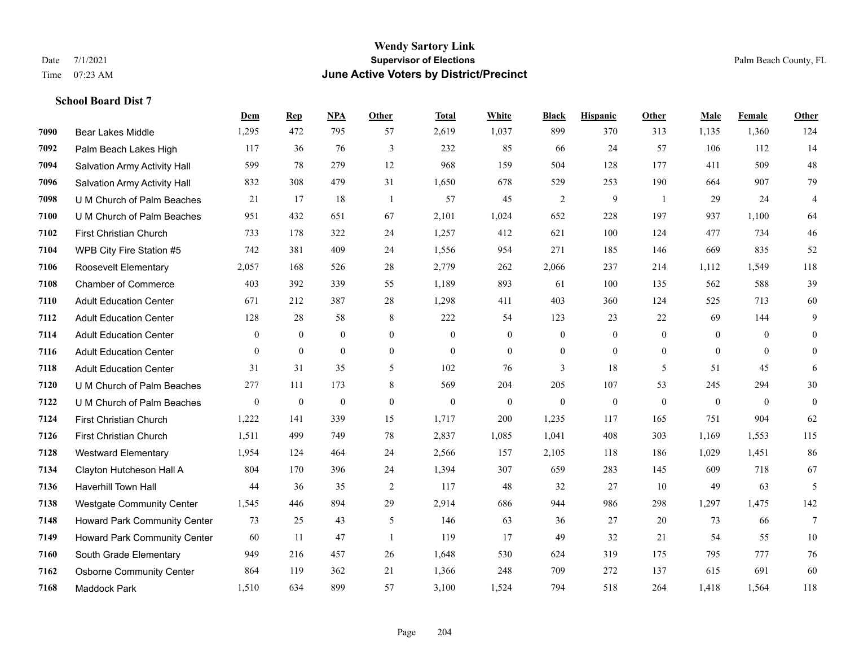#### **Wendy Sartory Link** Date 7/1/2021 **Supervisor of Elections** Palm Beach County, FL Time 07:23 AM **June Active Voters by District/Precinct**

# **Dem Rep NPA Other Total White Black Hispanic Other Male Female Other** Bear Lakes Middle 1,295 472 795 57 2,619 1,037 899 370 313 1,135 1,360 124 Palm Beach Lakes High 117 36 76 3 232 85 66 24 57 106 112 14 Salvation Army Activity Hall 599 78 279 12 968 159 504 128 177 411 509 48 Salvation Army Activity Hall 832 308 479 31 1,650 678 529 253 190 664 907 79 U M Church of Palm Beaches 21 17 18 1 57 45 2 9 1 29 24 4 U M Church of Palm Beaches 951 432 651 67 2,101 1,024 652 228 197 937 1,100 64 First Christian Church 733 178 322 24 1,257 412 621 100 124 477 734 46 WPB City Fire Station #5 742 381 409 24 1,556 954 271 185 146 669 835 52 Roosevelt Elementary 2,057 168 526 28 2,779 262 2,066 237 214 1,112 1,549 118 Chamber of Commerce 403 392 339 55 1,189 893 61 100 135 562 588 39 Adult Education Center 671 212 387 28 1,298 411 403 360 124 525 713 60 Adult Education Center 128 28 58 8 222 54 123 23 22 69 144 9 Adult Education Center 0 0 0 0 0 0 0 0 0 0 0 0 Adult Education Center 0 0 0 0 0 0 0 0 0 0 0 0 Adult Education Center 31 31 35 5 102 76 3 18 5 51 45 6 U M Church of Palm Beaches 277 111 173 8 569 204 205 107 53 245 294 30 U M Church of Palm Beaches 0 0 0 0 0 0 0 0 0 0 0 0 First Christian Church 1,222 141 339 15 1,717 200 1,235 117 165 751 904 62 First Christian Church 1,511 499 749 78 2,837 1,085 1,041 408 303 1,169 1,553 115 Westward Elementary 1,954 124 464 24 2,566 157 2,105 118 186 1,029 1,451 86 Clayton Hutcheson Hall A 804 170 396 24 1,394 307 659 283 145 609 718 67 Haverhill Town Hall 44 36 35 2 117 48 32 27 10 49 63 5 Westgate Community Center 1,545 446 894 29 2,914 686 944 986 298 1,297 1,475 142 Howard Park Community Center 73 25 43 5 146 63 36 27 20 73 66 7 Howard Park Community Center 60 11 47 1 119 17 49 32 21 54 55 10 South Grade Elementary 949 216 457 26 1,648 530 624 319 175 795 777 76 Osborne Community Center 864 119 362 21 1,366 248 709 272 137 615 691 60 Maddock Park 1,510 634 899 57 3,100 1,524 794 518 264 1,418 1,564 118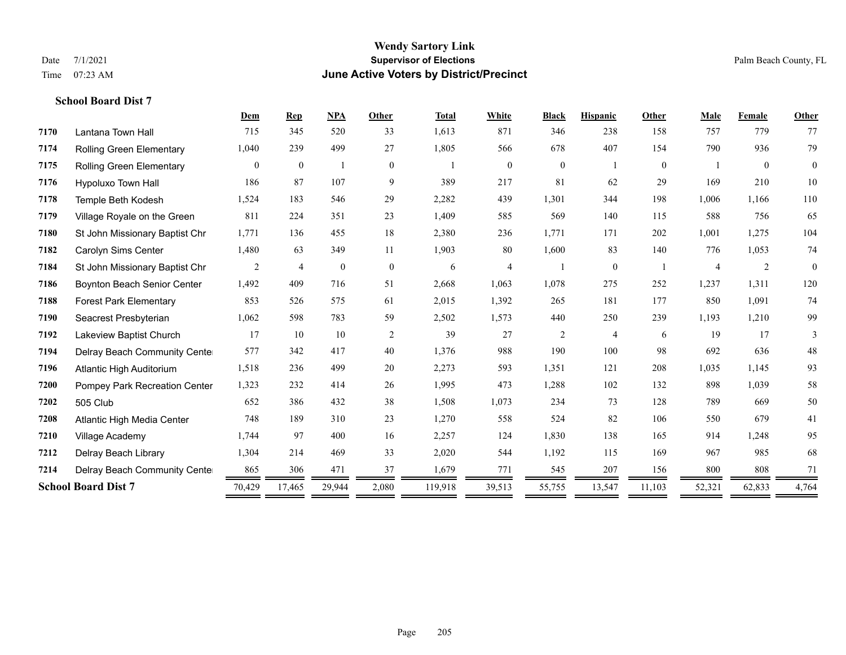|                                 | Dem            | <b>Rep</b>     | <b>NPA</b>   | Other          | <b>Total</b> | White          | <b>Black</b>     | <b>Hispanic</b> | Other          | Male           | Female         | Other        |
|---------------------------------|----------------|----------------|--------------|----------------|--------------|----------------|------------------|-----------------|----------------|----------------|----------------|--------------|
| Lantana Town Hall               | 715            | 345            | 520          | 33             | 1,613        | 871            | 346              | 238             | 158            | 757            | 779            | 77           |
| <b>Rolling Green Elementary</b> | 1,040          | 239            | 499          | 27             | 1,805        | 566            | 678              | 407             | 154            | 790            | 936            | 79           |
| Rolling Green Elementary        | $\overline{0}$ | $\mathbf{0}$   |              | $\overline{0}$ |              | $\overline{0}$ | $\boldsymbol{0}$ |                 | $\overline{0}$ |                | $\theta$       | $\mathbf{0}$ |
| Hypoluxo Town Hall              | 186            | 87             | 107          | 9              | 389          | 217            | 81               | 62              | 29             | 169            | 210            | 10           |
| Temple Beth Kodesh              | 1,524          | 183            | 546          | 29             | 2,282        | 439            | 1,301            | 344             | 198            | 1,006          | 1,166          | 110          |
| Village Royale on the Green     | 811            | 224            | 351          | 23             | 1,409        | 585            | 569              | 140             | 115            | 588            | 756            | 65           |
| St John Missionary Baptist Chr  | 1,771          | 136            | 455          | 18             | 2,380        | 236            | 1.771            | 171             | 202            | 1,001          | 1,275          | 104          |
| Carolyn Sims Center             | 1,480          | 63             | 349          | 11             | 1,903        | 80             | 1,600            | 83              | 140            | 776            | 1,053          | 74           |
| St John Missionary Baptist Chr  | 2              | $\overline{4}$ | $\mathbf{0}$ | $\overline{0}$ | 6            | 4              |                  | $\overline{0}$  |                | $\overline{4}$ | $\overline{2}$ | $\theta$     |
| Boynton Beach Senior Center     | 1,492          | 409            | 716          | 51             | 2,668        | 1,063          | 1,078            | 275             | 252            | 1,237          | 1,311          | 120          |
| <b>Forest Park Elementary</b>   | 853            | 526            | 575          | 61             | 2,015        | 1,392          | 265              | 181             | 177            | 850            | 1,091          | 74           |
| Seacrest Presbyterian           | 1,062          | 598            | 783          | 59             | 2,502        | 1,573          | 440              | 250             | 239            | 1,193          | 1,210          | 99           |
| Lakeview Baptist Church         | 17             | 10             | 10           | $\overline{2}$ | 39           | 27             | $\overline{c}$   | 4               | 6              | 19             | 17             | 3            |
| Delray Beach Community Cente    | 577            | 342            | 417          | 40             | 1,376        | 988            | 190              | 100             | 98             | 692            | 636            | 48           |
| Atlantic High Auditorium        | 1,518          | 236            | 499          | 20             | 2,273        | 593            | 1,351            | 121             | 208            | 1,035          | 1,145          | 93           |
| Pompey Park Recreation Center   | 1,323          | 232            | 414          | 26             | 1,995        | 473            | 1,288            | 102             | 132            | 898            | 1,039          | 58           |
| 505 Club                        | 652            | 386            | 432          | 38             | 1,508        | 1,073          | 234              | 73              | 128            | 789            | 669            | 50           |
| Atlantic High Media Center      | 748            | 189            | 310          | 23             | 1,270        | 558            | 524              | 82              | 106            | 550            | 679            | 41           |
| Village Academy                 | 1,744          | 97             | 400          | 16             | 2,257        | 124            | 1,830            | 138             | 165            | 914            | 1,248          | 95           |
| Delray Beach Library            | 1,304          | 214            | 469          | 33             | 2,020        | 544            | 1,192            | 115             | 169            | 967            | 985            | 68           |
| Delray Beach Community Cente    | 865            | 306            | 471          | 37             | 1,679        | 771            | 545              | 207             | 156            | 800            | 808            | 71           |
| <b>School Board Dist 7</b>      | 70,429         | 17,465         | 29,944       | 2,080          | 119,918      | 39,513         | 55,755           | 13,547          | 11,103         | 52,321         | 62,833         | 4,764        |
|                                 |                |                |              |                |              |                |                  |                 |                |                |                |              |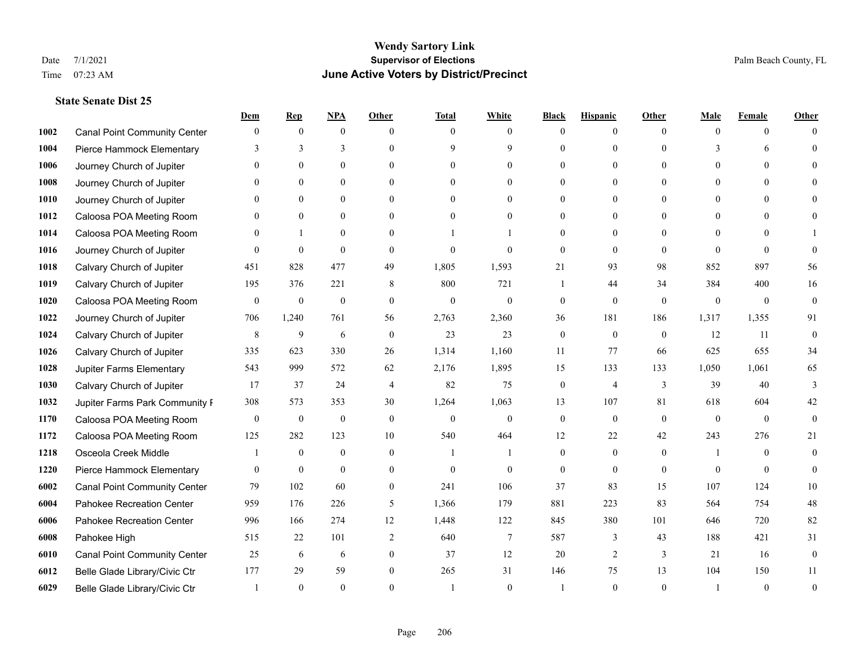|      |                                     | Dem            | <b>Rep</b>       | NPA              | <b>Other</b>   | <b>Total</b> | <b>White</b>     | <b>Black</b>     | <b>Hispanic</b> | <b>Other</b> | <b>Male</b>  | <b>Female</b> | <b>Other</b>     |
|------|-------------------------------------|----------------|------------------|------------------|----------------|--------------|------------------|------------------|-----------------|--------------|--------------|---------------|------------------|
| 1002 | <b>Canal Point Community Center</b> | $\mathbf{0}$   | $\mathbf{0}$     | $\mathbf{0}$     | $\Omega$       | $\Omega$     | $\theta$         | $\theta$         | $\mathbf{0}$    | $\Omega$     | $\theta$     | $\theta$      | $\Omega$         |
| 1004 | Pierce Hammock Elementary           | 3              | 3                | 3                | $\Omega$       | $\mathbf Q$  | 9                | $\theta$         | $\mathbf{0}$    | $\Omega$     | 3            | 6             | $\Omega$         |
| 1006 | Journey Church of Jupiter           | $\theta$       | $\mathbf{0}$     | $\mathbf{0}$     | $\Omega$       | $\theta$     | $\overline{0}$   | $\theta$         | $\mathbf{0}$    | $\Omega$     | $\Omega$     | $\Omega$      |                  |
| 1008 | Journey Church of Jupiter           |                | $\mathbf{0}$     | $\mathbf{0}$     | $\mathbf{0}$   | $\theta$     | $\mathbf{0}$     | $\overline{0}$   | $\mathbf{0}$    | $\Omega$     | $\theta$     | $\theta$      |                  |
| 1010 | Journey Church of Jupiter           | 0              | $\theta$         | $\mathbf{0}$     | $\Omega$       | $\Omega$     | $\theta$         | $\theta$         | $\theta$        | $\Omega$     | $\theta$     | $\Omega$      |                  |
| 1012 | Caloosa POA Meeting Room            |                | $\boldsymbol{0}$ | $\boldsymbol{0}$ | $\theta$       | $\Omega$     | $\boldsymbol{0}$ | $\overline{0}$   | $\mathbf{0}$    | $\Omega$     | $\mathbf{0}$ | $\Omega$      |                  |
| 1014 | Caloosa POA Meeting Room            | $\Omega$       | 1                | $\mathbf{0}$     | $\Omega$       |              |                  | $\Omega$         | $\mathbf{0}$    | $\Omega$     | $\theta$     | $\theta$      |                  |
| 1016 | Journey Church of Jupiter           | $\Omega$       | $\theta$         | $\theta$         | $\Omega$       | $\theta$     | $\theta$         | $\theta$         | $\theta$        | $\Omega$     | $\Omega$     | $\Omega$      | $\Omega$         |
| 1018 | Calvary Church of Jupiter           | 451            | 828              | 477              | 49             | 1,805        | 1,593            | 21               | 93              | 98           | 852          | 897           | 56               |
| 1019 | Calvary Church of Jupiter           | 195            | 376              | 221              | 8              | 800          | 721              | 1                | 44              | 34           | 384          | 400           | 16               |
| 1020 | Caloosa POA Meeting Room            | $\overline{0}$ | $\mathbf{0}$     | $\mathbf{0}$     | $\theta$       | $\mathbf{0}$ | $\mathbf{0}$     | $\mathbf{0}$     | $\mathbf{0}$    | $\theta$     | $\theta$     | $\theta$      | $\mathbf{0}$     |
| 1022 | Journey Church of Jupiter           | 706            | 1,240            | 761              | 56             | 2,763        | 2,360            | 36               | 181             | 186          | 1,317        | 1,355         | 91               |
| 1024 | Calvary Church of Jupiter           | 8              | 9                | 6                | $\mathbf{0}$   | 23           | 23               | $\mathbf{0}$     | $\mathbf{0}$    | $\theta$     | 12           | 11            | $\boldsymbol{0}$ |
| 1026 | Calvary Church of Jupiter           | 335            | 623              | 330              | 26             | 1,314        | 1,160            | 11               | 77              | 66           | 625          | 655           | 34               |
| 1028 | Jupiter Farms Elementary            | 543            | 999              | 572              | 62             | 2,176        | 1,895            | 15               | 133             | 133          | 1,050        | 1,061         | 65               |
| 1030 | Calvary Church of Jupiter           | 17             | 37               | 24               | $\overline{4}$ | 82           | 75               | $\boldsymbol{0}$ | 4               | 3            | 39           | 40            | 3                |
| 1032 | Jupiter Farms Park Community I      | 308            | 573              | 353              | 30             | 1,264        | 1,063            | 13               | 107             | 81           | 618          | 604           | 42               |
| 1170 | Caloosa POA Meeting Room            | $\mathbf{0}$   | $\boldsymbol{0}$ | $\boldsymbol{0}$ | $\theta$       | $\theta$     | $\mathbf{0}$     | $\mathbf{0}$     | $\mathbf{0}$    | $\theta$     | $\theta$     | $\theta$      | $\theta$         |
| 1172 | Caloosa POA Meeting Room            | 125            | 282              | 123              | 10             | 540          | 464              | 12               | 22              | 42           | 243          | 276           | 21               |
| 1218 | Osceola Creek Middle                |                | $\mathbf{0}$     | $\mathbf{0}$     | $\theta$       | -1           | 1                | $\mathbf{0}$     | $\mathbf{0}$    | $\theta$     | -1           | $\theta$      | $\mathbf{0}$     |
| 1220 | Pierce Hammock Elementary           | $\theta$       | $\mathbf{0}$     | $\theta$         | $\Omega$       | $\theta$     | $\theta$         | $\theta$         | $\theta$        | $\Omega$     | $\Omega$     | $\Omega$      | $\theta$         |
| 6002 | <b>Canal Point Community Center</b> | 79             | 102              | 60               | $\mathbf{0}$   | 241          | 106              | 37               | 83              | 15           | 107          | 124           | $10\,$           |
| 6004 | Pahokee Recreation Center           | 959            | 176              | 226              | 5              | 1,366        | 179              | 881              | 223             | 83           | 564          | 754           | $48\,$           |
| 6006 | Pahokee Recreation Center           | 996            | 166              | 274              | 12             | 1,448        | 122              | 845              | 380             | 101          | 646          | 720           | 82               |
| 6008 | Pahokee High                        | 515            | 22               | 101              | 2              | 640          | 7                | 587              | 3               | 43           | 188          | 421           | 31               |
| 6010 | <b>Canal Point Community Center</b> | 25             | 6                | 6                | $\mathbf{0}$   | 37           | 12               | 20               | 2               | 3            | 21           | 16            | $\boldsymbol{0}$ |
| 6012 | Belle Glade Library/Civic Ctr       | 177            | 29               | 59               | $\theta$       | 265          | 31               | 146              | 75              | 13           | 104          | 150           | 11               |
| 6029 | Belle Glade Library/Civic Ctr       |                | $\Omega$         | $\theta$         | $\Omega$       |              | $\theta$         |                  | $\theta$        | $\Omega$     |              | $\theta$      | $\overline{0}$   |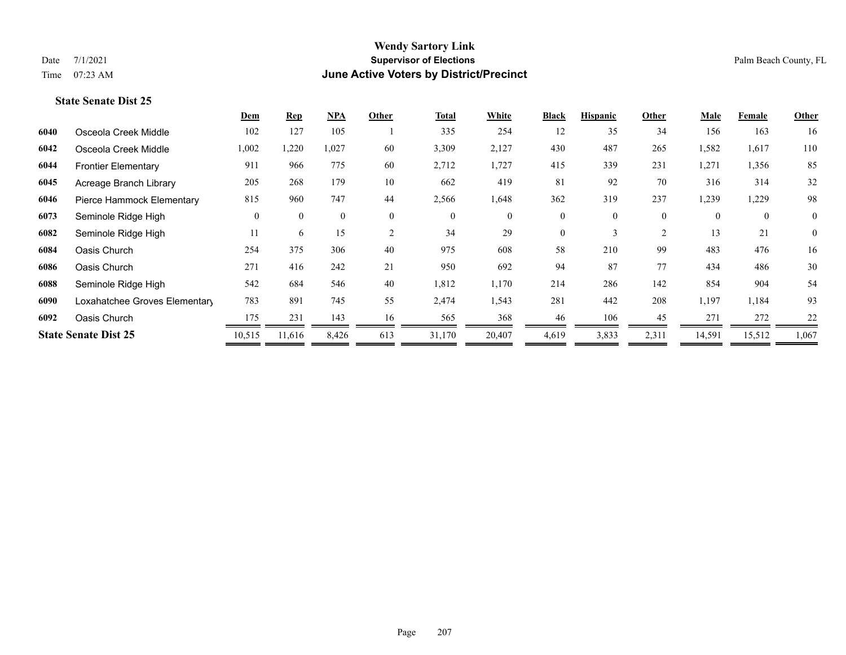|                               | Dem                         | $\mathbf{Rep}$ | $NPA$        | Other        | <b>Total</b> | White        | <b>Black</b>   | <b>Hispanic</b> | Other          | <b>Male</b> | Female       | Other          |
|-------------------------------|-----------------------------|----------------|--------------|--------------|--------------|--------------|----------------|-----------------|----------------|-------------|--------------|----------------|
| Osceola Creek Middle          | 102                         | 127            | 105          |              | 335          | 254          | 12             | 35              | 34             | 156         | 163          | 16             |
| Osceola Creek Middle          | 1,002                       | 1,220          | 1,027        | 60           | 3,309        | 2,127        | 430            | 487             | 265            | 1,582       | 1,617        | 110            |
| <b>Frontier Elementary</b>    | 911                         | 966            | 775          | 60           | 2,712        | 1,727        | 415            | 339             | 231            | 1,271       | 1,356        | 85             |
| Acreage Branch Library        | 205                         | 268            | 179          | 10           | 662          | 419          | 81             | 92              | 70             | 316         | 314          | 32             |
| Pierce Hammock Elementary     | 815                         | 960            | 747          | 44           | 2,566        | 1,648        | 362            | 319             | 237            | 1,239       | 1,229        | 98             |
| Seminole Ridge High           | $\theta$                    | $\theta$       | $\mathbf{0}$ | $\mathbf{0}$ | $\mathbf{0}$ | $\mathbf{0}$ | $\overline{0}$ | $\theta$        | $\overline{0}$ | $\theta$    | $\mathbf{0}$ | $\overline{0}$ |
| Seminole Ridge High           | 11                          | 6              | 15           | 2            | 34           | 29           | $\Omega$       | 3               | $\overline{2}$ | 13          | 21           | $\overline{0}$ |
| Oasis Church                  | 254                         | 375            | 306          | 40           | 975          | 608          | 58             | 210             | 99             | 483         | 476          | 16             |
| Oasis Church                  | 271                         | 416            | 242          | 21           | 950          | 692          | 94             | 87              | 77             | 434         | 486          | 30             |
| Seminole Ridge High           | 542                         | 684            | 546          | 40           | 1,812        | 1,170        | 214            | 286             | 142            | 854         | 904          | 54             |
| Loxahatchee Groves Elementary | 783                         | 891            | 745          | 55           | 2,474        | 1,543        | 281            | 442             | 208            | 1,197       | 1,184        | 93             |
| Oasis Church                  | 175                         | 231            | 143          | 16           | 565          | 368          | 46             | 106             | 45             | 271         | 272          | 22             |
|                               | 10,515                      | 11,616         | 8,426        | 613          | 31,170       | 20,407       | 4,619          | 3,833           | 2,311          | 14,591      | 15,512       | 1,067          |
|                               | <b>State Senate Dist 25</b> |                |              |              |              |              |                |                 |                |             |              |                |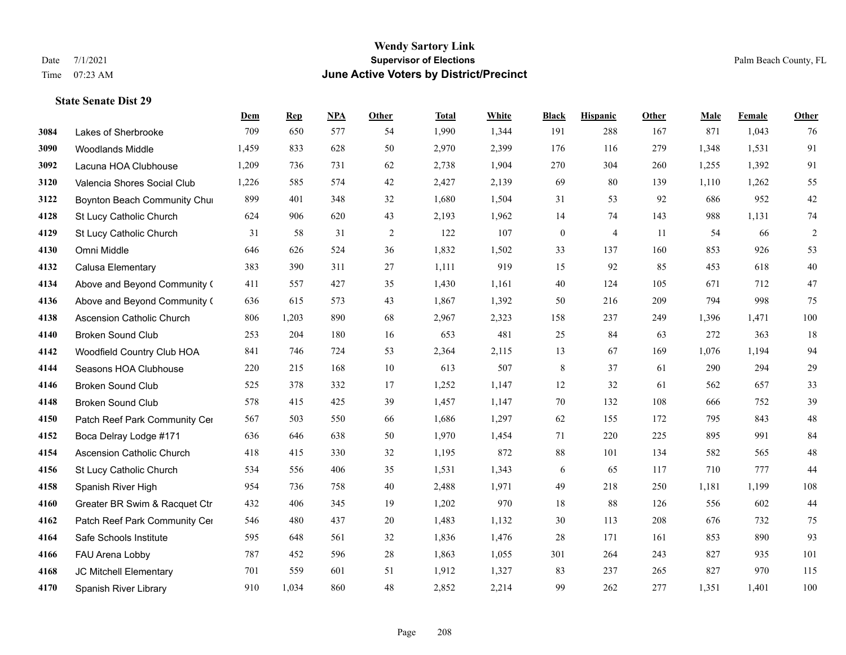**State Senate Dist 29**

#### **Wendy Sartory Link** Date 7/1/2021 **Supervisor of Elections** Palm Beach County, FL Time 07:23 AM **June Active Voters by District/Precinct**

**Dem Rep NPA Other Total White Black Hispanic Other Male Female Other**

# Lakes of Sherbrooke 709 650 577 54 1,990 1,344 191 288 167 871 1,043 76 Woodlands Middle 1,459 833 628 50 2,970 2,399 176 116 279 1,348 1,531 91 Lacuna HOA Clubhouse 1,209 736 731 62 2,738 1,904 270 304 260 1,255 1,392 91 Valencia Shores Social Club 1,226 585 574 42 2,427 2,139 69 80 139 1,110 1,262 55 **3122 Boynton Beach Community Chu**rch 899 401 348 32 1,680 1,504 31 53 92 686 952 42 St Lucy Catholic Church 624 906 620 43 2,193 1,962 14 74 143 988 1,131 74 St Lucy Catholic Church 31 58 31 2 122 107 0 4 11 54 66 2 Omni Middle 646 626 524 36 1,832 1,502 33 137 160 853 926 53 Calusa Elementary 383 390 311 27 1,111 919 15 92 85 453 618 40 Above and Beyond Community Church 411 557 427 35 1,430 1,161 40 124 105 671 712 47 Above and Beyond Community Church 636 615 573 43 1,867 1,392 50 216 209 794 998 75 Ascension Catholic Church 806 1,203 890 68 2,967 2,323 158 237 249 1,396 1,471 100 Broken Sound Club 253 204 180 16 653 481 25 84 63 272 363 18 Woodfield Country Club HOA 841 746 724 53 2,364 2,115 13 67 169 1,076 1,194 94 Seasons HOA Clubhouse 220 215 168 10 613 507 8 37 61 290 294 29 Broken Sound Club 525 378 332 17 1,252 1,147 12 32 61 562 657 33 Broken Sound Club 578 415 425 39 1,457 1,147 70 132 108 666 752 39 4150 Patch Reef Park Community Center 567 503 550 66 1,686 1,297 62 155 172 795 843 48 Boca Delray Lodge #171 636 646 638 50 1,970 1,454 71 220 225 895 991 84 Ascension Catholic Church 418 415 330 32 1,195 872 88 101 134 582 565 48 St Lucy Catholic Church 534 556 406 35 1,531 1,343 6 65 117 710 777 44 Spanish River High 954 736 758 40 2,488 1,971 49 218 250 1,181 1,199 108 Greater BR Swim & Racquet Ctr 432 406 345 19 1,202 970 18 88 126 556 602 44 4162 Patch Reef Park Community Center 546 480 437 20 1,483 1,132 30 113 208 676 732 75 Safe Schools Institute 595 648 561 32 1,836 1,476 28 171 161 853 890 93 FAU Arena Lobby 787 452 596 28 1,863 1,055 301 264 243 827 935 101

 JC Mitchell Elementary 701 559 601 51 1,912 1,327 83 237 265 827 970 115 Spanish River Library 910 1,034 860 48 2,852 2,214 99 262 277 1,351 1,401 100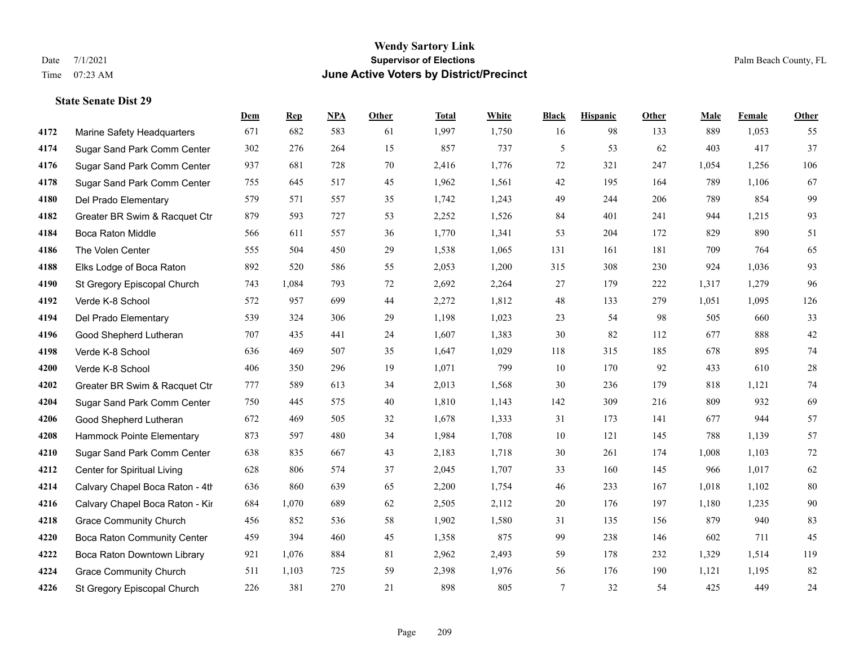|      |                                 | Dem | <b>Rep</b> | NPA | <b>Other</b> | <b>Total</b> | White | <b>Black</b> | <b>Hispanic</b> | <b>Other</b> | <b>Male</b> | Female | <b>Other</b> |
|------|---------------------------------|-----|------------|-----|--------------|--------------|-------|--------------|-----------------|--------------|-------------|--------|--------------|
| 4172 | Marine Safety Headquarters      | 671 | 682        | 583 | 61           | 1,997        | 1,750 | 16           | 98              | 133          | 889         | 1,053  | 55           |
| 4174 | Sugar Sand Park Comm Center     | 302 | 276        | 264 | 15           | 857          | 737   | 5            | 53              | 62           | 403         | 417    | 37           |
| 4176 | Sugar Sand Park Comm Center     | 937 | 681        | 728 | 70           | 2,416        | 1,776 | 72           | 321             | 247          | 1,054       | 1,256  | 106          |
| 4178 | Sugar Sand Park Comm Center     | 755 | 645        | 517 | 45           | 1,962        | 1,561 | 42           | 195             | 164          | 789         | 1,106  | 67           |
| 4180 | Del Prado Elementary            | 579 | 571        | 557 | 35           | 1,742        | 1,243 | 49           | 244             | 206          | 789         | 854    | 99           |
| 4182 | Greater BR Swim & Racquet Ctr   | 879 | 593        | 727 | 53           | 2,252        | 1,526 | 84           | 401             | 241          | 944         | 1,215  | 93           |
| 4184 | <b>Boca Raton Middle</b>        | 566 | 611        | 557 | 36           | 1,770        | 1,341 | 53           | 204             | 172          | 829         | 890    | 51           |
| 4186 | The Volen Center                | 555 | 504        | 450 | 29           | 1,538        | 1,065 | 131          | 161             | 181          | 709         | 764    | 65           |
| 4188 | Elks Lodge of Boca Raton        | 892 | 520        | 586 | 55           | 2,053        | 1,200 | 315          | 308             | 230          | 924         | 1,036  | 93           |
| 4190 | St Gregory Episcopal Church     | 743 | 1,084      | 793 | 72           | 2,692        | 2,264 | 27           | 179             | 222          | 1,317       | 1,279  | 96           |
| 4192 | Verde K-8 School                | 572 | 957        | 699 | 44           | 2,272        | 1,812 | 48           | 133             | 279          | 1,051       | 1,095  | 126          |
| 4194 | Del Prado Elementary            | 539 | 324        | 306 | 29           | 1,198        | 1,023 | 23           | 54              | 98           | 505         | 660    | 33           |
| 4196 | Good Shepherd Lutheran          | 707 | 435        | 441 | 24           | 1,607        | 1,383 | 30           | 82              | 112          | 677         | 888    | $42\,$       |
| 4198 | Verde K-8 School                | 636 | 469        | 507 | 35           | 1,647        | 1,029 | 118          | 315             | 185          | 678         | 895    | 74           |
| 4200 | Verde K-8 School                | 406 | 350        | 296 | 19           | 1,071        | 799   | 10           | 170             | 92           | 433         | 610    | 28           |
| 4202 | Greater BR Swim & Racquet Ctr   | 777 | 589        | 613 | 34           | 2,013        | 1,568 | 30           | 236             | 179          | 818         | 1,121  | 74           |
| 4204 | Sugar Sand Park Comm Center     | 750 | 445        | 575 | 40           | 1,810        | 1,143 | 142          | 309             | 216          | 809         | 932    | 69           |
| 4206 | Good Shepherd Lutheran          | 672 | 469        | 505 | 32           | 1,678        | 1,333 | 31           | 173             | 141          | 677         | 944    | 57           |
| 4208 | Hammock Pointe Elementary       | 873 | 597        | 480 | 34           | 1,984        | 1,708 | 10           | 121             | 145          | 788         | 1,139  | 57           |
| 4210 | Sugar Sand Park Comm Center     | 638 | 835        | 667 | 43           | 2,183        | 1,718 | 30           | 261             | 174          | 1,008       | 1,103  | 72           |
| 4212 | Center for Spiritual Living     | 628 | 806        | 574 | 37           | 2,045        | 1,707 | 33           | 160             | 145          | 966         | 1,017  | 62           |
| 4214 | Calvary Chapel Boca Raton - 4th | 636 | 860        | 639 | 65           | 2,200        | 1,754 | 46           | 233             | 167          | 1,018       | 1,102  | $80\,$       |
| 4216 | Calvary Chapel Boca Raton - Kir | 684 | 1,070      | 689 | 62           | 2,505        | 2,112 | 20           | 176             | 197          | 1,180       | 1,235  | 90           |
| 4218 | <b>Grace Community Church</b>   | 456 | 852        | 536 | 58           | 1,902        | 1,580 | 31           | 135             | 156          | 879         | 940    | 83           |
| 4220 | Boca Raton Community Center     | 459 | 394        | 460 | 45           | 1,358        | 875   | 99           | 238             | 146          | 602         | 711    | 45           |
| 4222 | Boca Raton Downtown Library     | 921 | 1,076      | 884 | 81           | 2,962        | 2,493 | 59           | 178             | 232          | 1,329       | 1,514  | 119          |
| 4224 | <b>Grace Community Church</b>   | 511 | 1,103      | 725 | 59           | 2,398        | 1,976 | 56           | 176             | 190          | 1,121       | 1,195  | 82           |
| 4226 | St Gregory Episcopal Church     | 226 | 381        | 270 | 21           | 898          | 805   | 7            | 32              | 54           | 425         | 449    | 24           |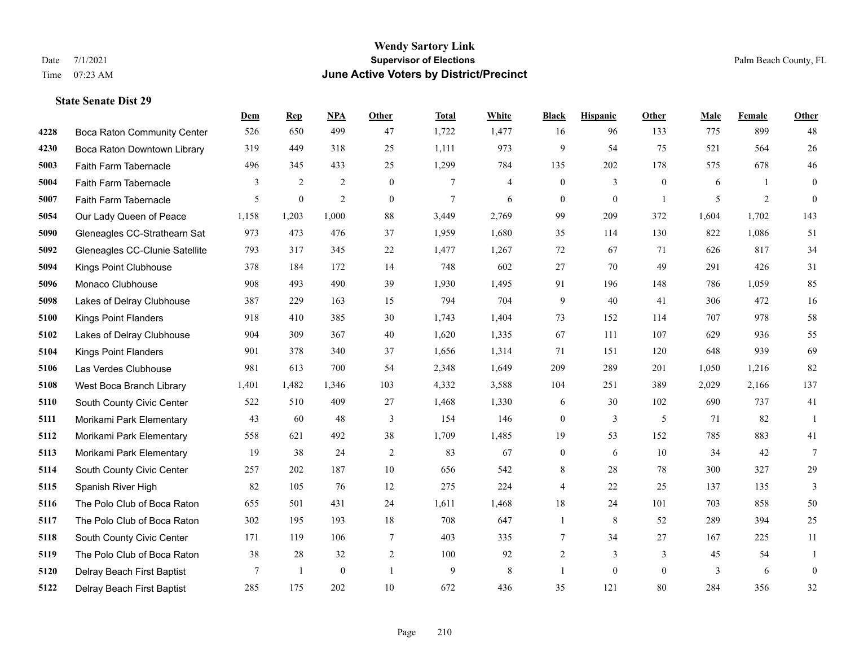|      |                                    | <b>Dem</b> | <b>Rep</b>       | NPA              | Other            | <b>Total</b>   | <b>White</b>             | <b>Black</b>     | <b>Hispanic</b>  | <b>Other</b>   | <b>Male</b> | Female         | <b>Other</b>     |
|------|------------------------------------|------------|------------------|------------------|------------------|----------------|--------------------------|------------------|------------------|----------------|-------------|----------------|------------------|
| 4228 | <b>Boca Raton Community Center</b> | 526        | 650              | 499              | 47               | 1,722          | 1,477                    | 16               | 96               | 133            | 775         | 899            | 48               |
| 4230 | Boca Raton Downtown Library        | 319        | 449              | 318              | 25               | 1,111          | 973                      | 9                | 54               | 75             | 521         | 564            | 26               |
| 5003 | Faith Farm Tabernacle              | 496        | 345              | 433              | 25               | 1,299          | 784                      | 135              | 202              | 178            | 575         | 678            | 46               |
| 5004 | Faith Farm Tabernacle              | 3          | 2                | $\overline{2}$   | $\mathbf{0}$     | 7              | $\overline{\mathcal{L}}$ | $\boldsymbol{0}$ | $\overline{3}$   | $\mathbf{0}$   | 6           | -1             | $\overline{0}$   |
| 5007 | Faith Farm Tabernacle              | 5          | $\boldsymbol{0}$ | $\overline{2}$   | $\boldsymbol{0}$ | $\overline{7}$ | 6                        | $\boldsymbol{0}$ | $\boldsymbol{0}$ | $\overline{1}$ | 5           | $\overline{2}$ | $\boldsymbol{0}$ |
| 5054 | Our Lady Queen of Peace            | 1,158      | 1,203            | 1,000            | 88               | 3,449          | 2,769                    | 99               | 209              | 372            | 1,604       | 1,702          | 143              |
| 5090 | Gleneagles CC-Strathearn Sat       | 973        | 473              | 476              | 37               | 1,959          | 1,680                    | 35               | 114              | 130            | 822         | 1,086          | 51               |
| 5092 | Gleneagles CC-Clunie Satellite     | 793        | 317              | 345              | 22               | 1,477          | 1,267                    | 72               | 67               | 71             | 626         | 817            | 34               |
| 5094 | Kings Point Clubhouse              | 378        | 184              | 172              | 14               | 748            | 602                      | 27               | 70               | 49             | 291         | 426            | 31               |
| 5096 | Monaco Clubhouse                   | 908        | 493              | 490              | 39               | 1,930          | 1,495                    | 91               | 196              | 148            | 786         | 1,059          | 85               |
| 5098 | Lakes of Delray Clubhouse          | 387        | 229              | 163              | 15               | 794            | 704                      | 9                | 40               | 41             | 306         | 472            | 16               |
| 5100 | <b>Kings Point Flanders</b>        | 918        | 410              | 385              | 30               | 1,743          | 1,404                    | 73               | 152              | 114            | 707         | 978            | 58               |
| 5102 | Lakes of Delray Clubhouse          | 904        | 309              | 367              | 40               | 1,620          | 1,335                    | 67               | 111              | 107            | 629         | 936            | 55               |
| 5104 | <b>Kings Point Flanders</b>        | 901        | 378              | 340              | 37               | 1,656          | 1,314                    | 71               | 151              | 120            | 648         | 939            | 69               |
| 5106 | Las Verdes Clubhouse               | 981        | 613              | 700              | 54               | 2,348          | 1,649                    | 209              | 289              | 201            | 1,050       | 1,216          | 82               |
| 5108 | West Boca Branch Library           | 1,401      | 1,482            | 1,346            | 103              | 4,332          | 3,588                    | 104              | 251              | 389            | 2,029       | 2,166          | 137              |
| 5110 | South County Civic Center          | 522        | 510              | 409              | 27               | 1,468          | 1,330                    | 6                | 30               | 102            | 690         | 737            | 41               |
| 5111 | Morikami Park Elementary           | 43         | 60               | 48               | 3                | 154            | 146                      | $\boldsymbol{0}$ | 3                | 5              | 71          | 82             | $\overline{1}$   |
| 5112 | Morikami Park Elementary           | 558        | 621              | 492              | 38               | 1,709          | 1,485                    | 19               | 53               | 152            | 785         | 883            | 41               |
| 5113 | Morikami Park Elementary           | 19         | 38               | 24               | $\overline{2}$   | 83             | 67                       | $\mathbf{0}$     | 6                | 10             | 34          | 42             | $\tau$           |
| 5114 | South County Civic Center          | 257        | 202              | 187              | 10               | 656            | 542                      | 8                | 28               | 78             | 300         | 327            | 29               |
| 5115 | Spanish River High                 | 82         | 105              | 76               | 12               | 275            | 224                      | $\overline{4}$   | 22               | 25             | 137         | 135            | 3                |
| 5116 | The Polo Club of Boca Raton        | 655        | 501              | 431              | 24               | 1,611          | 1,468                    | 18               | 24               | 101            | 703         | 858            | 50               |
| 5117 | The Polo Club of Boca Raton        | 302        | 195              | 193              | $18\,$           | 708            | 647                      | 1                | 8                | 52             | 289         | 394            | 25               |
| 5118 | South County Civic Center          | 171        | 119              | 106              | $\tau$           | 403            | 335                      | 7                | 34               | 27             | 167         | 225            | 11               |
| 5119 | The Polo Club of Boca Raton        | 38         | 28               | 32               | $\overline{2}$   | 100            | 92                       | 2                | $\overline{3}$   | 3              | 45          | 54             | $\mathbf{1}$     |
| 5120 | Delray Beach First Baptist         | 7          | 1                | $\boldsymbol{0}$ | $\mathbf{1}$     | 9              | $\,8\,$                  | $\mathbf{1}$     | $\mathbf{0}$     | $\overline{0}$ | 3           | 6              | $\boldsymbol{0}$ |
| 5122 | Delray Beach First Baptist         | 285        | 175              | 202              | $10\,$           | 672            | 436                      | 35               | 121              | 80             | 284         | 356            | 32               |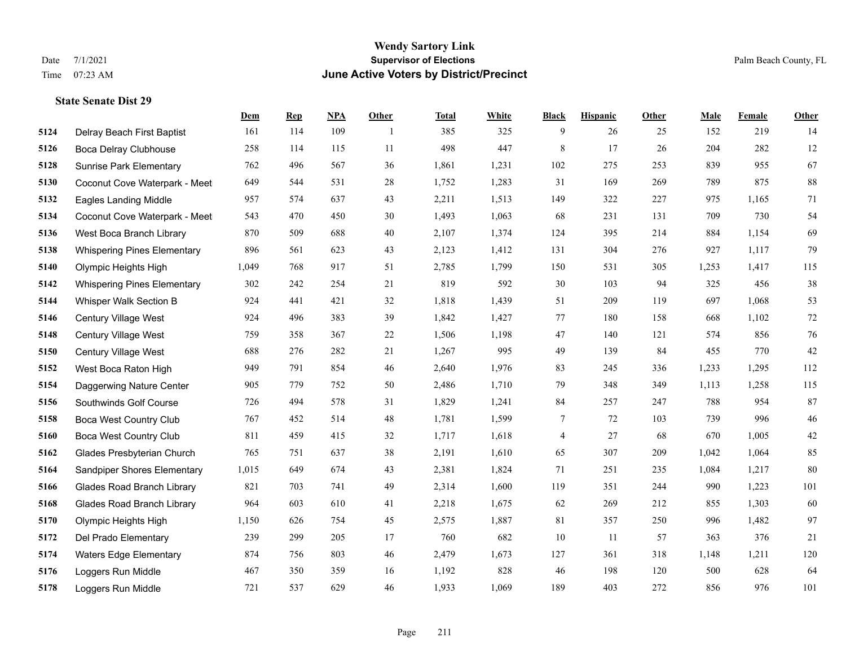**State Senate Dist 29**

#### **Wendy Sartory Link** Date 7/1/2021 **Supervisor of Elections** Palm Beach County, FL Time 07:23 AM **June Active Voters by District/Precinct**

# **Dem Rep NPA Other Total White Black Hispanic Other Male Female Other** Delray Beach First Baptist 161 114 109 1 385 325 9 26 25 152 219 14 Boca Delray Clubhouse 258 114 115 11 498 447 8 17 26 204 282 12 Sunrise Park Elementary 762 496 567 36 1,861 1,231 102 275 253 839 955 67 Coconut Cove Waterpark - Meet 649 544 531 28 1,752 1,283 31 169 269 789 875 88 Eagles Landing Middle 957 574 637 43 2,211 1,513 149 322 227 975 1,165 71 Coconut Cove Waterpark - Meeting Room B 543 470 450 30 1,493 1,063 68 231 131 709 730 54 West Boca Branch Library 870 509 688 40 2,107 1,374 124 395 214 884 1,154 69 Whispering Pines Elementary 896 561 623 43 2,123 1,412 131 304 276 927 1,117 79 Olympic Heights High 1,049 768 917 51 2,785 1,799 150 531 305 1,253 1,417 115 Whispering Pines Elementary 302 242 254 21 819 592 30 103 94 325 456 38 Whisper Walk Section B 924 441 421 32 1,818 1,439 51 209 119 697 1,068 53 Century Village West 924 496 383 39 1,842 1,427 77 180 158 668 1,102 72 Century Village West 759 358 367 22 1,506 1,198 47 140 121 574 856 76 Century Village West 688 276 282 21 1,267 995 49 139 84 455 770 42 West Boca Raton High 949 791 854 46 2,640 1,976 83 245 336 1,233 1,295 112 Daggerwing Nature Center 905 779 752 50 2,486 1,710 79 348 349 1,113 1,258 115 Southwinds Golf Course 726 494 578 31 1,829 1,241 84 257 247 788 954 87 Boca West Country Club 767 452 514 48 1,781 1,599 7 72 103 739 996 46 Boca West Country Club 811 459 415 32 1,717 1,618 4 27 68 670 1,005 42 Glades Presbyterian Church 765 751 637 38 2,191 1,610 65 307 209 1,042 1,064 85 Sandpiper Shores Elementary 1,015 649 674 43 2,381 1,824 71 251 235 1,084 1,217 80 Glades Road Branch Library 821 703 741 49 2,314 1,600 119 351 244 990 1,223 101 Glades Road Branch Library 964 603 610 41 2,218 1,675 62 269 212 855 1,303 60 Olympic Heights High 1,150 626 754 45 2,575 1,887 81 357 250 996 1,482 97 Del Prado Elementary 239 299 205 17 760 682 10 11 57 363 376 21 Waters Edge Elementary 874 756 803 46 2,479 1,673 127 361 318 1,148 1,211 120 Loggers Run Middle 467 350 359 16 1,192 828 46 198 120 500 628 64

Loggers Run Middle 721 537 629 46 1,933 1,069 189 403 272 856 976 101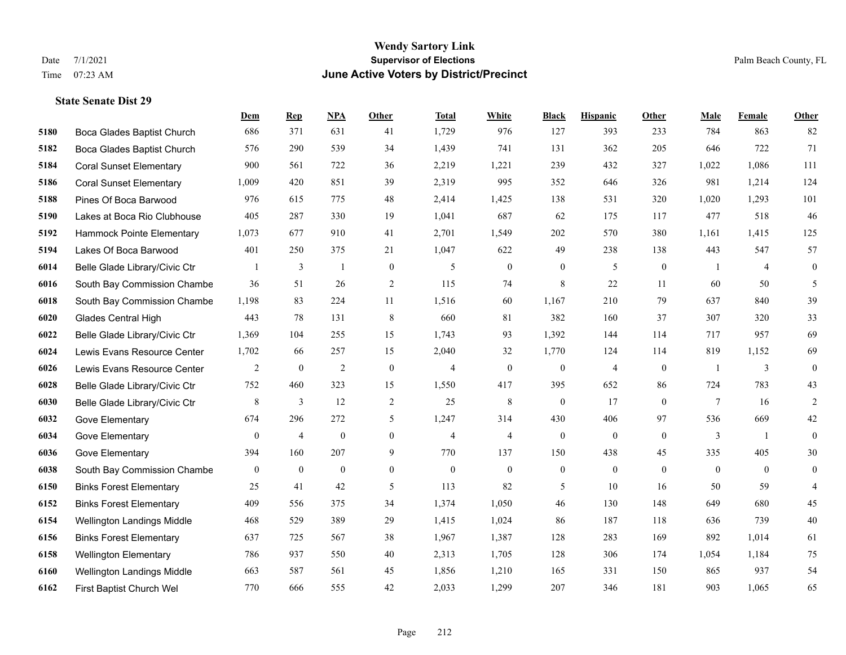|      |                                | Dem              | <b>Rep</b>     | NPA              | <b>Other</b>   | <b>Total</b>   | <b>White</b>   | <b>Black</b>     | <b>Hispanic</b>  | Other          | <b>Male</b>    | Female         | <b>Other</b>     |
|------|--------------------------------|------------------|----------------|------------------|----------------|----------------|----------------|------------------|------------------|----------------|----------------|----------------|------------------|
| 5180 | Boca Glades Baptist Church     | 686              | 371            | 631              | 41             | 1,729          | 976            | 127              | 393              | 233            | 784            | 863            | 82               |
| 5182 | Boca Glades Baptist Church     | 576              | 290            | 539              | 34             | 1,439          | 741            | 131              | 362              | 205            | 646            | 722            | 71               |
| 5184 | <b>Coral Sunset Elementary</b> | 900              | 561            | 722              | 36             | 2,219          | 1,221          | 239              | 432              | 327            | 1,022          | 1,086          | 111              |
| 5186 | <b>Coral Sunset Elementary</b> | 1,009            | 420            | 851              | 39             | 2,319          | 995            | 352              | 646              | 326            | 981            | 1,214          | 124              |
| 5188 | Pines Of Boca Barwood          | 976              | 615            | 775              | 48             | 2,414          | 1,425          | 138              | 531              | 320            | 1,020          | 1,293          | 101              |
| 5190 | Lakes at Boca Rio Clubhouse    | 405              | 287            | 330              | 19             | 1,041          | 687            | 62               | 175              | 117            | 477            | 518            | 46               |
| 5192 | Hammock Pointe Elementary      | 1,073            | 677            | 910              | 41             | 2,701          | 1,549          | 202              | 570              | 380            | 1,161          | 1,415          | 125              |
| 5194 | Lakes Of Boca Barwood          | 401              | 250            | 375              | 21             | 1,047          | 622            | 49               | 238              | 138            | 443            | 547            | 57               |
| 6014 | Belle Glade Library/Civic Ctr  |                  | $\mathfrak{Z}$ | $\mathbf{1}$     | $\mathbf{0}$   | 5              | $\mathbf{0}$   | $\boldsymbol{0}$ | 5                | $\mathbf{0}$   | -1             | $\overline{4}$ | $\boldsymbol{0}$ |
| 6016 | South Bay Commission Chambe    | 36               | 51             | 26               | 2              | 115            | 74             | 8                | 22               | 11             | 60             | 50             | 5                |
| 6018 | South Bay Commission Chambe    | 1,198            | 83             | 224              | 11             | 1,516          | 60             | 1,167            | 210              | 79             | 637            | 840            | 39               |
| 6020 | <b>Glades Central High</b>     | 443              | 78             | 131              | 8              | 660            | 81             | 382              | 160              | 37             | 307            | 320            | 33               |
| 6022 | Belle Glade Library/Civic Ctr  | 1,369            | 104            | 255              | 15             | 1,743          | 93             | 1,392            | 144              | 114            | 717            | 957            | 69               |
| 6024 | Lewis Evans Resource Center    | 1,702            | 66             | 257              | 15             | 2,040          | 32             | 1,770            | 124              | 114            | 819            | 1,152          | 69               |
| 6026 | Lewis Evans Resource Center    | 2                | $\mathbf{0}$   | $\overline{2}$   | $\mathbf{0}$   | $\overline{4}$ | $\overline{0}$ | $\mathbf{0}$     | $\overline{4}$   | $\theta$       | $\overline{1}$ | 3              | $\mathbf{0}$     |
| 6028 | Belle Glade Library/Civic Ctr  | 752              | 460            | 323              | 15             | 1,550          | 417            | 395              | 652              | 86             | 724            | 783            | 43               |
| 6030 | Belle Glade Library/Civic Ctr  | $\,8\,$          | 3              | 12               | 2              | 25             | $\,8\,$        | $\mathbf{0}$     | 17               | $\theta$       | $\tau$         | 16             | $\overline{2}$   |
| 6032 | Gove Elementary                | 674              | 296            | 272              | 5              | 1,247          | 314            | 430              | 406              | 97             | 536            | 669            | $42\,$           |
| 6034 | Gove Elementary                | $\boldsymbol{0}$ | $\overline{4}$ | $\boldsymbol{0}$ | $\mathbf{0}$   | $\overline{4}$ | $\overline{4}$ | $\boldsymbol{0}$ | $\boldsymbol{0}$ | $\overline{0}$ | 3              | -1             | $\mathbf{0}$     |
| 6036 | Gove Elementary                | 394              | 160            | 207              | 9              | 770            | 137            | 150              | 438              | 45             | 335            | 405            | 30               |
| 6038 | South Bay Commission Chambe    | $\overline{0}$   | $\mathbf{0}$   | $\mathbf{0}$     | $\overline{0}$ | $\theta$       | $\mathbf{0}$   | $\boldsymbol{0}$ | $\mathbf{0}$     | $\theta$       | $\overline{0}$ | $\overline{0}$ | $\mathbf{0}$     |
| 6150 | <b>Binks Forest Elementary</b> | 25               | 41             | 42               | 5              | 113            | 82             | 5                | 10               | 16             | 50             | 59             | $\overline{4}$   |
| 6152 | <b>Binks Forest Elementary</b> | 409              | 556            | 375              | 34             | 1,374          | 1,050          | 46               | 130              | 148            | 649            | 680            | 45               |
| 6154 | Wellington Landings Middle     | 468              | 529            | 389              | 29             | 1,415          | 1,024          | 86               | 187              | 118            | 636            | 739            | $40\,$           |
| 6156 | <b>Binks Forest Elementary</b> | 637              | 725            | 567              | 38             | 1,967          | 1,387          | 128              | 283              | 169            | 892            | 1,014          | 61               |
| 6158 | <b>Wellington Elementary</b>   | 786              | 937            | 550              | 40             | 2,313          | 1,705          | 128              | 306              | 174            | 1,054          | 1,184          | 75               |
| 6160 | Wellington Landings Middle     | 663              | 587            | 561              | 45             | 1,856          | 1,210          | 165              | 331              | 150            | 865            | 937            | 54               |
| 6162 | First Baptist Church Wel       | 770              | 666            | 555              | 42             | 2,033          | 1,299          | 207              | 346              | 181            | 903            | 1,065          | 65               |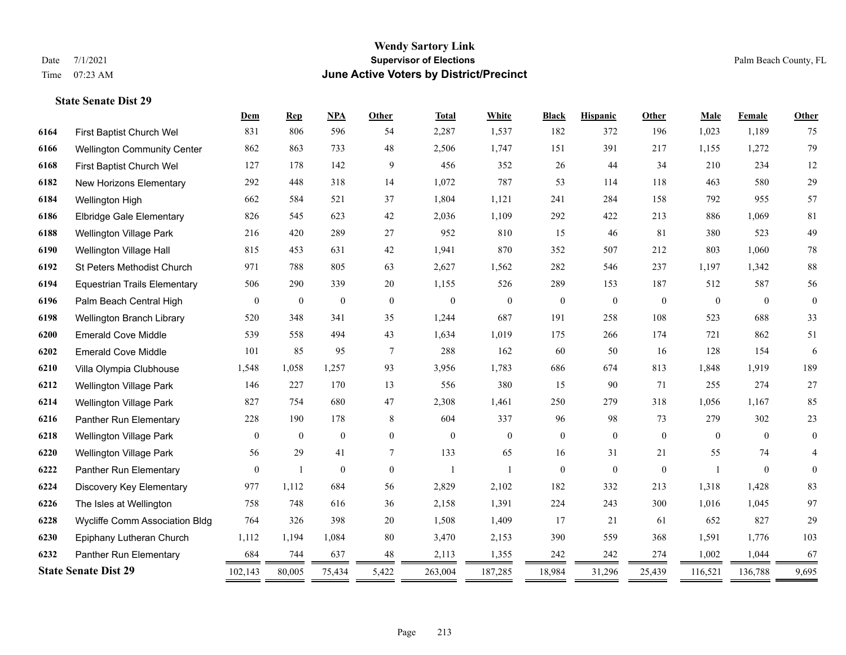|      |                                     | Dem            | <b>Rep</b>       | <b>NPA</b>       | <b>Other</b>   | <b>Total</b>     | White          | <b>Black</b>     | <b>Hispanic</b> | Other        | Male         | Female       | Other        |
|------|-------------------------------------|----------------|------------------|------------------|----------------|------------------|----------------|------------------|-----------------|--------------|--------------|--------------|--------------|
| 6164 | First Baptist Church Wel            | 831            | 806              | 596              | 54             | 2,287            | 1,537          | 182              | 372             | 196          | 1,023        | 1,189        | 75           |
| 6166 | <b>Wellington Community Center</b>  | 862            | 863              | 733              | 48             | 2,506            | 1,747          | 151              | 391             | 217          | 1,155        | 1,272        | 79           |
| 6168 | First Baptist Church Wel            | 127            | 178              | 142              | 9              | 456              | 352            | 26               | 44              | 34           | 210          | 234          | $12\,$       |
| 6182 | New Horizons Elementary             | 292            | 448              | 318              | 14             | 1,072            | 787            | 53               | 114             | 118          | 463          | 580          | 29           |
| 6184 | Wellington High                     | 662            | 584              | 521              | 37             | 1,804            | 1,121          | 241              | 284             | 158          | 792          | 955          | 57           |
| 6186 | <b>Elbridge Gale Elementary</b>     | 826            | 545              | 623              | 42             | 2,036            | 1,109          | 292              | 422             | 213          | 886          | 1.069        | 81           |
| 6188 | Wellington Village Park             | 216            | 420              | 289              | 27             | 952              | 810            | 15               | 46              | 81           | 380          | 523          | 49           |
| 6190 | Wellington Village Hall             | 815            | 453              | 631              | 42             | 1,941            | 870            | 352              | 507             | 212          | 803          | 1,060        | $78\,$       |
| 6192 | St Peters Methodist Church          | 971            | 788              | 805              | 63             | 2,627            | 1,562          | 282              | 546             | 237          | 1,197        | 1,342        | 88           |
| 6194 | <b>Equestrian Trails Elementary</b> | 506            | 290              | 339              | 20             | 1,155            | 526            | 289              | 153             | 187          | 512          | 587          | 56           |
| 6196 | Palm Beach Central High             | $\mathbf{0}$   | $\boldsymbol{0}$ | $\boldsymbol{0}$ | $\mathbf{0}$   | $\boldsymbol{0}$ | $\mathbf{0}$   | $\boldsymbol{0}$ | $\mathbf{0}$    | $\mathbf{0}$ | $\mathbf{0}$ | $\mathbf{0}$ | $\mathbf{0}$ |
| 6198 | Wellington Branch Library           | 520            | 348              | 341              | 35             | 1,244            | 687            | 191              | 258             | 108          | 523          | 688          | 33           |
| 6200 | <b>Emerald Cove Middle</b>          | 539            | 558              | 494              | 43             | 1,634            | 1,019          | 175              | 266             | 174          | 721          | 862          | 51           |
| 6202 | <b>Emerald Cove Middle</b>          | 101            | 85               | 95               | $\overline{7}$ | 288              | 162            | 60               | 50              | 16           | 128          | 154          | 6            |
| 6210 | Villa Olympia Clubhouse             | 1,548          | 1,058            | 1,257            | 93             | 3,956            | 1,783          | 686              | 674             | 813          | 1,848        | 1,919        | 189          |
| 6212 | Wellington Village Park             | 146            | 227              | 170              | 13             | 556              | 380            | 15               | 90              | 71           | 255          | 274          | $27\,$       |
| 6214 | Wellington Village Park             | 827            | 754              | 680              | 47             | 2,308            | 1,461          | 250              | 279             | 318          | 1,056        | 1,167        | 85           |
| 6216 | Panther Run Elementary              | 228            | 190              | 178              | 8              | 604              | 337            | 96               | 98              | 73           | 279          | 302          | $23\,$       |
| 6218 | <b>Wellington Village Park</b>      | $\Omega$       | $\overline{0}$   | $\mathbf{0}$     | $\Omega$       | $\theta$         | $\overline{0}$ | $\boldsymbol{0}$ | $\mathbf{0}$    | $\theta$     | $\Omega$     | $\theta$     | $\mathbf{0}$ |
| 6220 | <b>Wellington Village Park</b>      | 56             | 29               | 41               | 7              | 133              | 65             | 16               | 31              | 21           | 55           | 74           | 4            |
| 6222 | Panther Run Elementary              | $\overline{0}$ | 1                | $\overline{0}$   | $\overline{0}$ | $\mathbf{1}$     | $\mathbf{1}$   | $\boldsymbol{0}$ | $\mathbf{0}$    | $\mathbf{0}$ |              | $\mathbf{0}$ | $\mathbf{0}$ |
| 6224 | Discovery Key Elementary            | 977            | 1,112            | 684              | 56             | 2,829            | 2,102          | 182              | 332             | 213          | 1,318        | 1,428        | 83           |
| 6226 | The Isles at Wellington             | 758            | 748              | 616              | 36             | 2,158            | 1,391          | 224              | 243             | 300          | 1,016        | 1,045        | 97           |
| 6228 | Wycliffe Comm Association Bldg      | 764            | 326              | 398              | 20             | 1,508            | 1,409          | 17               | 21              | 61           | 652          | 827          | 29           |
| 6230 | Epiphany Lutheran Church            | 1,112          | 1,194            | 1,084            | 80             | 3,470            | 2,153          | 390              | 559             | 368          | 1,591        | 1,776        | 103          |
| 6232 | Panther Run Elementary              | 684            | 744              | 637              | 48             | 2,113            | 1,355          | 242              | 242             | 274          | 1,002        | 1,044        | 67           |
|      | <b>State Senate Dist 29</b>         | 102,143        | 80,005           | 75,434           | 5,422          | 263,004          | 187,285        | 18,984           | 31,296          | 25,439       | 116,521      | 136,788      | 9,695        |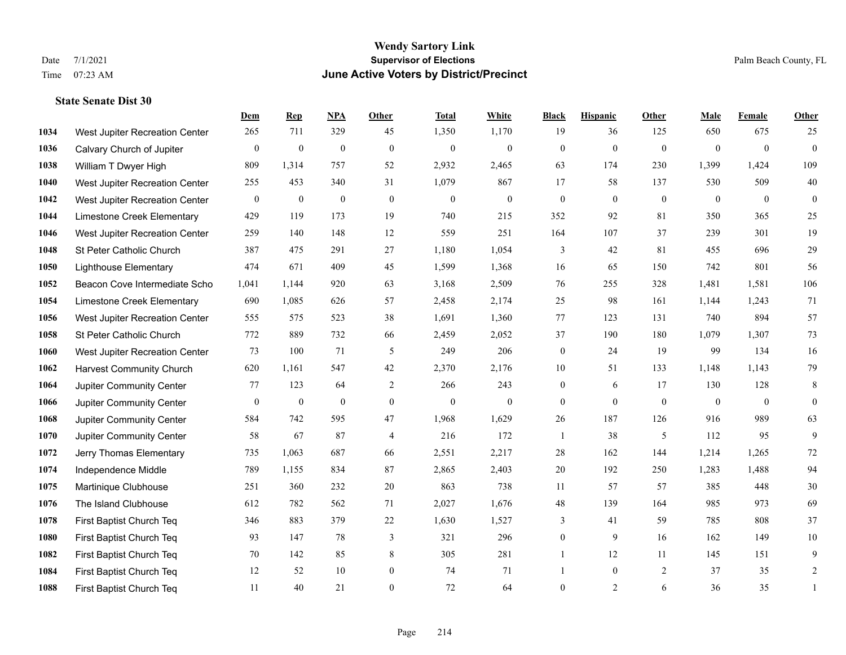|      |                                 | Dem          | <b>Rep</b>       | NPA          | <b>Other</b>     | <b>Total</b>     | <b>White</b>   | <b>Black</b>     | <b>Hispanic</b> | Other        | <b>Male</b>    | <b>Female</b>  | <b>Other</b>   |
|------|---------------------------------|--------------|------------------|--------------|------------------|------------------|----------------|------------------|-----------------|--------------|----------------|----------------|----------------|
| 1034 | West Jupiter Recreation Center  | 265          | 711              | 329          | 45               | 1,350            | 1,170          | 19               | 36              | 125          | 650            | 675            | 25             |
| 1036 | Calvary Church of Jupiter       | $\mathbf{0}$ | $\mathbf{0}$     | $\mathbf{0}$ | $\mathbf{0}$     | $\mathbf{0}$     | $\overline{0}$ | $\mathbf{0}$     | $\mathbf{0}$    | $\mathbf{0}$ | $\overline{0}$ | $\overline{0}$ | $\overline{0}$ |
| 1038 | William T Dwyer High            | 809          | 1,314            | 757          | 52               | 2,932            | 2,465          | 63               | 174             | 230          | 1,399          | 1,424          | 109            |
| 1040 | West Jupiter Recreation Center  | 255          | 453              | 340          | 31               | 1,079            | 867            | 17               | 58              | 137          | 530            | 509            | $40\,$         |
| 1042 | West Jupiter Recreation Center  | $\mathbf{0}$ | $\boldsymbol{0}$ | $\mathbf{0}$ | $\theta$         | $\overline{0}$   | $\overline{0}$ | $\mathbf{0}$     | $\mathbf{0}$    | $\theta$     | $\theta$       | $\theta$       | $\overline{0}$ |
| 1044 | Limestone Creek Elementary      | 429          | 119              | 173          | 19               | 740              | 215            | 352              | 92              | 81           | 350            | 365            | $25\,$         |
| 1046 | West Jupiter Recreation Center  | 259          | 140              | 148          | 12               | 559              | 251            | 164              | 107             | 37           | 239            | 301            | 19             |
| 1048 | St Peter Catholic Church        | 387          | 475              | 291          | 27               | 1,180            | 1,054          | 3                | 42              | 81           | 455            | 696            | 29             |
| 1050 | <b>Lighthouse Elementary</b>    | 474          | 671              | 409          | 45               | 1,599            | 1,368          | 16               | 65              | 150          | 742            | 801            | 56             |
| 1052 | Beacon Cove Intermediate Scho   | 1,041        | 1,144            | 920          | 63               | 3,168            | 2,509          | 76               | 255             | 328          | 1,481          | 1,581          | 106            |
| 1054 | Limestone Creek Elementary      | 690          | 1,085            | 626          | 57               | 2,458            | 2,174          | 25               | 98              | 161          | 1,144          | 1,243          | 71             |
| 1056 | West Jupiter Recreation Center  | 555          | 575              | 523          | 38               | 1,691            | 1,360          | 77               | 123             | 131          | 740            | 894            | 57             |
| 1058 | St Peter Catholic Church        | 772          | 889              | 732          | 66               | 2,459            | 2,052          | 37               | 190             | 180          | 1,079          | 1,307          | 73             |
| 1060 | West Jupiter Recreation Center  | 73           | 100              | 71           | 5                | 249              | 206            | $\overline{0}$   | 24              | 19           | 99             | 134            | 16             |
| 1062 | <b>Harvest Community Church</b> | 620          | 1,161            | 547          | 42               | 2,370            | 2,176          | 10               | 51              | 133          | 1,148          | 1,143          | 79             |
| 1064 | Jupiter Community Center        | 77           | 123              | 64           | 2                | 266              | 243            | $\boldsymbol{0}$ | 6               | 17           | 130            | 128            | 8              |
| 1066 | Jupiter Community Center        | $\mathbf{0}$ | $\boldsymbol{0}$ | $\mathbf{0}$ | $\boldsymbol{0}$ | $\boldsymbol{0}$ | $\mathbf{0}$   | $\overline{0}$   | $\overline{0}$  | $\mathbf{0}$ | $\mathbf{0}$   | $\overline{0}$ | $\overline{0}$ |
| 1068 | Jupiter Community Center        | 584          | 742              | 595          | 47               | 1,968            | 1,629          | 26               | 187             | 126          | 916            | 989            | 63             |
| 1070 | Jupiter Community Center        | 58           | 67               | 87           | $\overline{4}$   | 216              | 172            | $\mathbf{1}$     | 38              | 5            | 112            | 95             | 9              |
| 1072 | Jerry Thomas Elementary         | 735          | 1,063            | 687          | 66               | 2,551            | 2,217          | 28               | 162             | 144          | 1,214          | 1,265          | 72             |
| 1074 | Independence Middle             | 789          | 1,155            | 834          | 87               | 2,865            | 2,403          | 20               | 192             | 250          | 1,283          | 1,488          | 94             |
| 1075 | Martinique Clubhouse            | 251          | 360              | 232          | $20\,$           | 863              | 738            | $11\,$           | 57              | 57           | 385            | 448            | $30\,$         |
| 1076 | The Island Clubhouse            | 612          | 782              | 562          | 71               | 2,027            | 1,676          | $48\,$           | 139             | 164          | 985            | 973            | 69             |
| 1078 | First Baptist Church Teq        | 346          | 883              | 379          | 22               | 1,630            | 1,527          | 3                | 41              | 59           | 785            | 808            | 37             |
| 1080 | First Baptist Church Teq        | 93           | 147              | 78           | 3                | 321              | 296            | $\overline{0}$   | 9               | 16           | 162            | 149            | $10\,$         |
| 1082 | First Baptist Church Teq        | 70           | 142              | 85           | 8                | 305              | 281            | 1                | 12              | 11           | 145            | 151            | 9              |
| 1084 | First Baptist Church Teq        | 12           | 52               | 10           | $\boldsymbol{0}$ | 74               | 71             | 1                | $\overline{0}$  | 2            | 37             | 35             | $\overline{2}$ |
| 1088 | First Baptist Church Teq        | 11           | 40               | 21           | $\theta$         | 72               | 64             | $\overline{0}$   | $\overline{2}$  | 6            | 36             | 35             | $\mathbf{1}$   |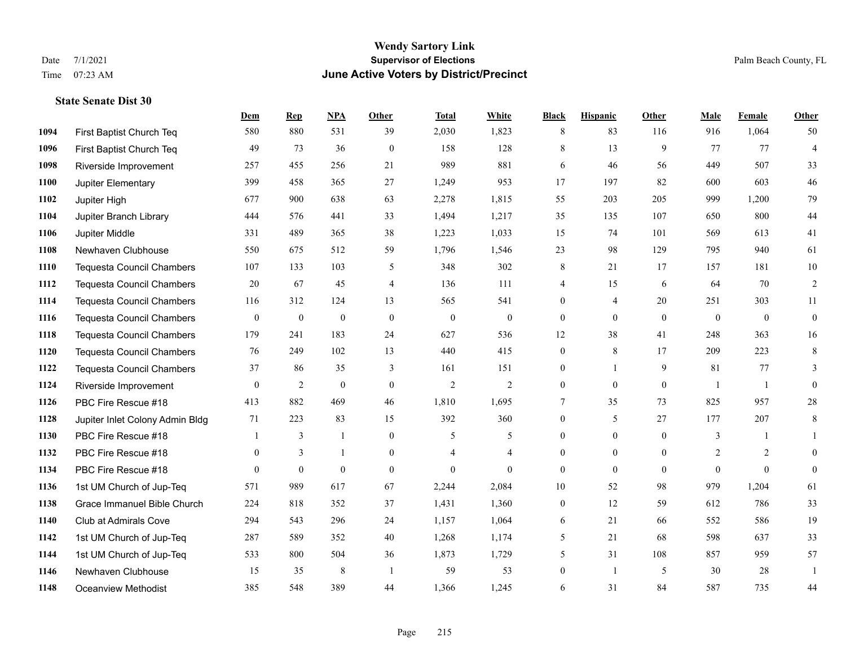**State Senate Dist 30**

# **Wendy Sartory Link** Date 7/1/2021 **Supervisor of Elections Supervisor of Elections** Palm Beach County, FL Time 07:23 AM **June Active Voters by District/Precinct**

|      |                                  | Dem          | <b>Rep</b>       | NPA              | Other          | <b>Total</b>   | White          | <b>Black</b>     | <b>Hispanic</b> | Other          | Male           | Female       | Other            |
|------|----------------------------------|--------------|------------------|------------------|----------------|----------------|----------------|------------------|-----------------|----------------|----------------|--------------|------------------|
| 1094 | First Baptist Church Teq         | 580          | 880              | 531              | 39             | 2,030          | 1,823          | 8                | 83              | 116            | 916            | 1,064        | 50               |
| 1096 | First Baptist Church Teq         | 49           | 73               | 36               | $\mathbf{0}$   | 158            | 128            | 8                | 13              | 9              | 77             | 77           | $\overline{4}$   |
| 1098 | Riverside Improvement            | 257          | 455              | 256              | 21             | 989            | 881            | 6                | 46              | 56             | 449            | 507          | 33               |
| 1100 | Jupiter Elementary               | 399          | 458              | 365              | 27             | 1,249          | 953            | 17               | 197             | 82             | 600            | 603          | 46               |
| 1102 | Jupiter High                     | 677          | 900              | 638              | 63             | 2,278          | 1,815          | 55               | 203             | 205            | 999            | 1,200        | 79               |
| 1104 | Jupiter Branch Library           | 444          | 576              | 441              | 33             | 1,494          | 1,217          | 35               | 135             | 107            | 650            | 800          | 44               |
| 1106 | Jupiter Middle                   | 331          | 489              | 365              | 38             | 1,223          | 1,033          | 15               | 74              | 101            | 569            | 613          | 41               |
| 1108 | Newhaven Clubhouse               | 550          | 675              | 512              | 59             | 1,796          | 1,546          | 23               | 98              | 129            | 795            | 940          | 61               |
| 1110 | <b>Tequesta Council Chambers</b> | 107          | 133              | 103              | 5              | 348            | 302            | 8                | 21              | 17             | 157            | 181          | 10               |
| 1112 | <b>Tequesta Council Chambers</b> | 20           | 67               | 45               | $\overline{4}$ | 136            | 111            | 4                | 15              | 6              | 64             | 70           | 2                |
| 1114 | <b>Tequesta Council Chambers</b> | 116          | 312              | 124              | 13             | 565            | 541            | $\boldsymbol{0}$ | $\overline{4}$  | 20             | 251            | 303          | 11               |
| 1116 | <b>Tequesta Council Chambers</b> | $\bf{0}$     | $\boldsymbol{0}$ | $\boldsymbol{0}$ | $\overline{0}$ | $\bf{0}$       | $\mathbf{0}$   | $\mathbf{0}$     | $\mathbf{0}$    | $\mathbf{0}$   | $\mathbf{0}$   | $\mathbf{0}$ | $\boldsymbol{0}$ |
| 1118 | <b>Tequesta Council Chambers</b> | 179          | 241              | 183              | 24             | 627            | 536            | 12               | 38              | 41             | 248            | 363          | 16               |
| 1120 | <b>Tequesta Council Chambers</b> | 76           | 249              | 102              | 13             | 440            | 415            | $\mathbf{0}$     | $\,$ 8 $\,$     | 17             | 209            | 223          | $\,8\,$          |
| 1122 | <b>Tequesta Council Chambers</b> | 37           | 86               | 35               | 3              | 161            | 151            | $\boldsymbol{0}$ | $\mathbf{1}$    | 9              | 81             | 77           | 3                |
| 1124 | Riverside Improvement            | $\theta$     | $\overline{c}$   | $\mathbf{0}$     | $\overline{0}$ | $\mathfrak{2}$ | $\overline{2}$ | $\mathbf{0}$     | $\theta$        | $\mathbf{0}$   | $\mathbf{1}$   | $\mathbf{1}$ | $\overline{0}$   |
| 1126 | PBC Fire Rescue #18              | 413          | 882              | 469              | 46             | 1,810          | 1,695          | 7                | 35              | 73             | 825            | 957          | $28\,$           |
| 1128 | Jupiter Inlet Colony Admin Bldg  | 71           | 223              | 83               | 15             | 392            | 360            | $\mathbf{0}$     | 5               | 27             | 177            | 207          | $\,8\,$          |
| 1130 | PBC Fire Rescue #18              |              | 3                | 1                | $\theta$       | 5              | 5              | $\overline{0}$   | $\overline{0}$  | $\theta$       | 3              |              | $\mathbf{1}$     |
| 1132 | PBC Fire Rescue #18              | $\mathbf{0}$ | 3                | 1                | $\overline{0}$ | 4              | 4              | $\boldsymbol{0}$ | $\mathbf{0}$    | $\overline{0}$ | 2              | 2            | $\theta$         |
| 1134 | PBC Fire Rescue #18              | $\Omega$     | $\mathbf{0}$     | $\mathbf{0}$     | $\mathbf{0}$   | $\theta$       | $\Omega$       | $\mathbf{0}$     | $\mathbf{0}$    | $\mathbf{0}$   | $\overline{0}$ | $\theta$     | $\overline{0}$   |
| 1136 | 1st UM Church of Jup-Teq         | 571          | 989              | 617              | 67             | 2,244          | 2,084          | 10               | 52              | 98             | 979            | 1,204        | 61               |
| 1138 | Grace Immanuel Bible Church      | 224          | 818              | 352              | 37             | 1,431          | 1,360          | $\mathbf{0}$     | 12              | 59             | 612            | 786          | 33               |
| 1140 | <b>Club at Admirals Cove</b>     | 294          | 543              | 296              | 24             | 1,157          | 1,064          | 6                | 21              | 66             | 552            | 586          | 19               |
| 1142 | 1st UM Church of Jup-Teq         | 287          | 589              | 352              | 40             | 1,268          | 1,174          | 5                | 21              | 68             | 598            | 637          | 33               |
| 1144 | 1st UM Church of Jup-Teq         | 533          | 800              | 504              | 36             | 1,873          | 1,729          | 5                | 31              | 108            | 857            | 959          | 57               |
| 1146 | Newhaven Clubhouse               | 15           | 35               | 8                | $\overline{1}$ | 59             | 53             | $\theta$         | $\mathbf{1}$    | 5              | 30             | 28           | $\overline{1}$   |
| 1148 | <b>Oceanview Methodist</b>       | 385          | 548              | 389              | 44             | 1,366          | 1.245          | 6                | 31              | 84             | 587            | 735          | 44               |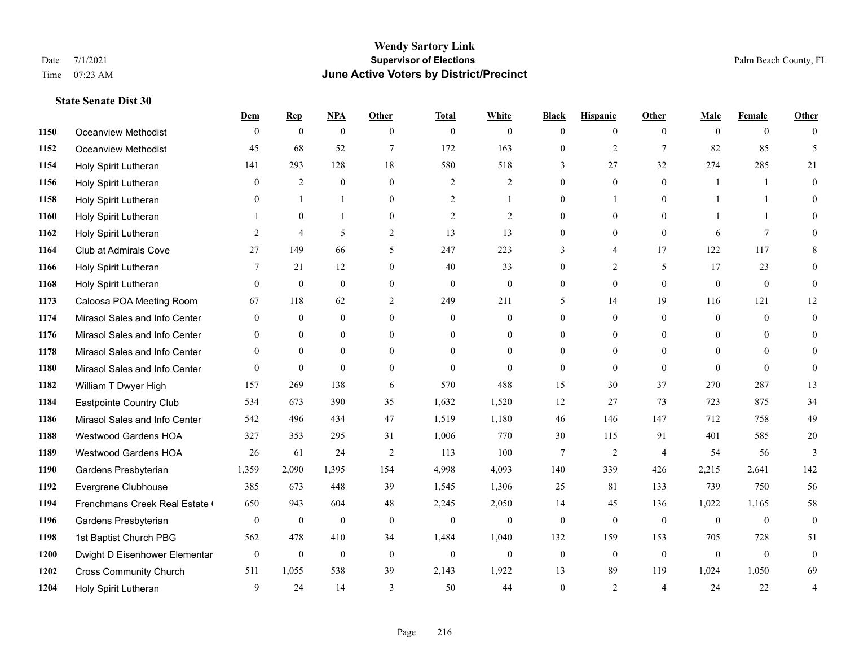**State Senate Dist 30**

#### **Wendy Sartory Link** Date 7/1/2021 **Supervisor of Elections** Palm Beach County, FL Time 07:23 AM **June Active Voters by District/Precinct**

# **Dem Rep NPA Other Total White Black Hispanic Other Male Female Other** Oceanview Methodist 0 0 0 0 0 0 0 0 0 0 0 0 Oceanview Methodist 45 68 52 7 172 163 0 2 7 82 85 5 Holy Spirit Lutheran 141 293 128 18 580 518 3 27 32 274 285 21 Holy Spirit Lutheran 0 2 0 0 2 2 0 0 0 1 1 0 Holy Spirit Lutheran **0** 1 1 0 2 1 0 1 0 1 1 0 Holy Spirit Lutheran 1 0 1 0 2 2 0 0 0 1 1 0 Holy Spirit Lutheran **2** 4 5 2 13 13 0 0 0 6 7 0 Club at Admirals Cove 27 149 66 5 247 223 3 4 17 122 117 8 Holy Spirit Lutheran **7** 21 12 0 40 33 0 2 5 17 23 0 Holy Spirit Lutheran 0 0 0 0 0 0 0 0 0 0 0 0 Caloosa POA Meeting Room 67 118 62 2 249 211 5 14 19 116 121 12 Mirasol Sales and Info Center 0 0 0 0 0 0 0 0 0 0 0 0 Mirasol Sales and Info Center 0 0 0 0 0 0 0 0 0 0 0 0 Mirasol Sales and Info Center 0 0 0 0 0 0 0 0 0 0 0 0 Mirasol Sales and Info Center 0 0 0 0 0 0 0 0 0 0 0 0 William T Dwyer High 157 269 138 6 570 488 15 30 37 270 287 13 Eastpointe Country Club 534 673 390 35 1,632 1,520 12 27 73 723 875 34 Mirasol Sales and Info Center 542 496 434 47 1,519 1,180 46 146 147 712 758 49 Westwood Gardens HOA 327 353 295 31 1,006 770 30 115 91 401 585 20 Westwood Gardens HOA 26 61 24 2 113 100 7 2 4 54 56 3 Gardens Presbyterian 1,359 2,090 1,395 154 4,998 4,093 140 339 426 2,215 2,641 142 Evergrene Clubhouse 385 673 448 39 1,545 1,306 25 81 133 739 750 56 1194 Frenchmans Creek Real Estate 650 943 604 48 2,245 2,050 14 45 136 1,022 1,165 58 Gardens Presbyterian 0 0 0 0 0 0 0 0 0 0 0 0 1st Baptist Church PBG 562 478 410 34 1,484 1,040 132 159 153 705 728 51 Dwight D Eisenhower Elementary 0 0 0 0 0 0 0 0 0 0 0 0 Cross Community Church 511 1,055 538 39 2,143 1,922 13 89 119 1,024 1,050 69 Holy Spirit Lutheran 9 24 14 3 50 44 0 2 4 24 22 4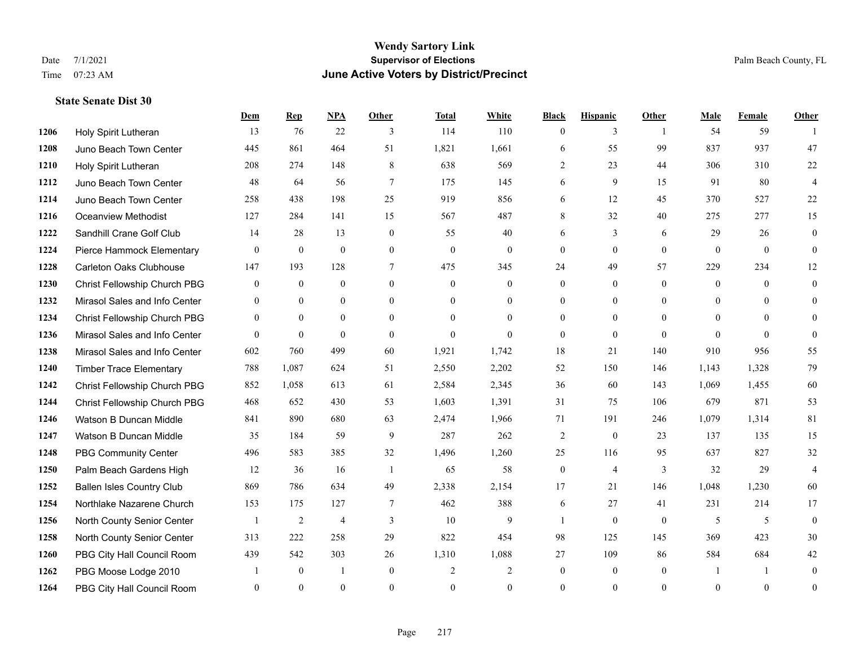#### **Wendy Sartory Link** Date 7/1/2021 **Supervisor of Elections** Palm Beach County, FL Time 07:23 AM **June Active Voters by District/Precinct**

# **Dem Rep NPA Other Total White Black Hispanic Other Male Female Other** Holy Spirit Lutheran 13 76 22 3 114 110 0 3 1 54 59 1 Juno Beach Town Center 445 861 464 51 1,821 1,661 6 55 99 837 937 47 Holy Spirit Lutheran 208 274 148 8 638 569 2 23 44 306 310 22 Juno Beach Town Center 48 64 56 7 175 145 6 9 15 91 80 4 Juno Beach Town Center 258 438 198 25 919 856 6 12 45 370 527 22 Oceanview Methodist 127 284 141 15 567 487 8 32 40 275 277 15 Sandhill Crane Golf Club 14 28 13 0 55 40 6 3 6 29 26 0 Pierce Hammock Elementary 0 0 0 0 0 0 0 0 0 0 0 0 Carleton Oaks Clubhouse 147 193 128 7 475 345 24 49 57 229 234 12 Christ Fellowship Church PBG 0 0 0 0 0 0 0 0 0 0 0 0 Mirasol Sales and Info Center 0 0 0 0 0 0 0 0 0 0 0 0 Christ Fellowship Church PBG 0 0 0 0 0 0 0 0 0 0 0 0 Mirasol Sales and Info Center 0 0 0 0 0 0 0 0 0 0 0 0 Mirasol Sales and Info Center 602 760 499 60 1,921 1,742 18 21 140 910 956 55 Timber Trace Elementary 788 1,087 624 51 2,550 2,202 52 150 146 1,143 1,328 79 Christ Fellowship Church PBG 852 1,058 613 61 2,584 2,345 36 60 143 1,069 1,455 60 Christ Fellowship Church PBG 468 652 430 53 1,603 1,391 31 75 106 679 871 53 Watson B Duncan Middle 841 890 680 63 2,474 1,966 71 191 246 1,079 1,314 81 Watson B Duncan Middle 35 184 59 9 287 262 2 0 23 137 135 15 PBG Community Center 496 583 385 32 1,496 1,260 25 116 95 637 827 32 Palm Beach Gardens High 12 36 16 1 65 58 0 4 3 32 29 4 Ballen Isles Country Club 869 786 634 49 2,338 2,154 17 21 146 1,048 1,230 60 Northlake Nazarene Church 153 175 127 7 462 388 6 27 41 231 214 17 North County Senior Center 1 2 4 3 10 9 1 0 0 5 5 0 North County Senior Center 313 222 258 29 822 454 98 125 145 369 423 30 PBG City Hall Council Room 439 542 303 26 1,310 1,088 27 109 86 584 684 42 PBG Moose Lodge 2010 1 0 1 0 2 2 0 0 0 1 1 0 PBG City Hall Council Room 0 0 0 0 0 0 0 0 0 0 0 0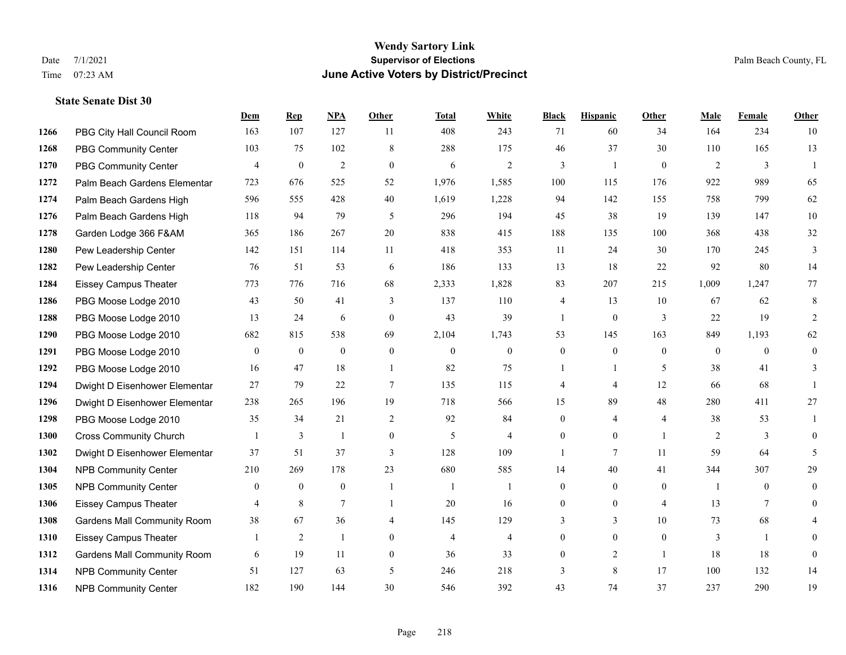|      |                                    | Dem              | <b>Rep</b>       | NPA              | <b>Other</b>   | <b>Total</b>     | <b>White</b>     | <b>Black</b>     | <b>Hispanic</b>  | <b>Other</b>     | <b>Male</b>      | <b>Female</b>  | <b>Other</b>   |
|------|------------------------------------|------------------|------------------|------------------|----------------|------------------|------------------|------------------|------------------|------------------|------------------|----------------|----------------|
| 1266 | PBG City Hall Council Room         | 163              | 107              | 127              | 11             | 408              | 243              | 71               | 60               | 34               | 164              | 234            | 10             |
| 1268 | <b>PBG Community Center</b>        | 103              | 75               | 102              | 8              | 288              | 175              | 46               | 37               | 30               | 110              | 165            | 13             |
| 1270 | <b>PBG Community Center</b>        | $\overline{4}$   | $\mathbf{0}$     | $\overline{2}$   | $\theta$       | 6                | 2                | 3                | $\mathbf{1}$     | $\theta$         | 2                | 3              | $\mathbf{1}$   |
| 1272 | Palm Beach Gardens Elementar       | 723              | 676              | 525              | 52             | 1,976            | 1,585            | 100              | 115              | 176              | 922              | 989            | 65             |
| 1274 | Palm Beach Gardens High            | 596              | 555              | 428              | 40             | 1,619            | 1,228            | 94               | 142              | 155              | 758              | 799            | 62             |
| 1276 | Palm Beach Gardens High            | 118              | 94               | 79               | 5              | 296              | 194              | 45               | 38               | 19               | 139              | 147            | 10             |
| 1278 | Garden Lodge 366 F&AM              | 365              | 186              | 267              | 20             | 838              | 415              | 188              | 135              | 100              | 368              | 438            | 32             |
| 1280 | Pew Leadership Center              | 142              | 151              | 114              | 11             | 418              | 353              | 11               | 24               | 30               | 170              | 245            | 3              |
| 1282 | Pew Leadership Center              | 76               | 51               | 53               | 6              | 186              | 133              | 13               | 18               | 22               | 92               | 80             | 14             |
| 1284 | <b>Eissey Campus Theater</b>       | 773              | 776              | 716              | 68             | 2,333            | 1,828            | 83               | 207              | 215              | 1,009            | 1,247          | 77             |
| 1286 | PBG Moose Lodge 2010               | 43               | 50               | 41               | 3              | 137              | 110              | 4                | 13               | 10               | 67               | 62             | 8              |
| 1288 | PBG Moose Lodge 2010               | 13               | 24               | 6                | $\mathbf{0}$   | 43               | 39               | 1                | $\mathbf{0}$     | 3                | 22               | 19             | 2              |
| 1290 | PBG Moose Lodge 2010               | 682              | 815              | 538              | 69             | 2,104            | 1,743            | 53               | 145              | 163              | 849              | 1,193          | 62             |
| 1291 | PBG Moose Lodge 2010               | $\boldsymbol{0}$ | $\boldsymbol{0}$ | $\boldsymbol{0}$ | $\mathbf{0}$   | $\boldsymbol{0}$ | $\boldsymbol{0}$ | $\boldsymbol{0}$ | $\overline{0}$   | $\mathbf{0}$     | $\boldsymbol{0}$ | $\mathbf{0}$   | $\mathbf{0}$   |
| 1292 | PBG Moose Lodge 2010               | 16               | 47               | 18               | -1             | 82               | 75               |                  | 1                | 5                | 38               | 41             | 3              |
| 1294 | Dwight D Eisenhower Elementar      | 27               | 79               | 22               | $\tau$         | 135              | 115              | 4                | 4                | 12               | 66               | 68             | 1              |
| 1296 | Dwight D Eisenhower Elementar      | 238              | 265              | 196              | 19             | 718              | 566              | 15               | 89               | 48               | 280              | 411            | 27             |
| 1298 | PBG Moose Lodge 2010               | 35               | 34               | 21               | $\overline{2}$ | 92               | 84               | $\overline{0}$   | 4                | $\overline{4}$   | 38               | 53             |                |
| 1300 | <b>Cross Community Church</b>      |                  | 3                | 1                | $\mathbf{0}$   | 5                | $\overline{4}$   | $\mathbf{0}$     | $\overline{0}$   | $\overline{1}$   | 2                | 3              | $\theta$       |
| 1302 | Dwight D Eisenhower Elementar      | 37               | 51               | 37               | 3              | 128              | 109              | 1                | $\tau$           | 11               | 59               | 64             | 5              |
| 1304 | <b>NPB Community Center</b>        | 210              | 269              | 178              | 23             | 680              | 585              | 14               | 40               | 41               | 344              | 307            | 29             |
| 1305 | <b>NPB Community Center</b>        | $\mathbf{0}$     | $\boldsymbol{0}$ | $\boldsymbol{0}$ | -1             | $\mathbf{1}$     | 1                | $\boldsymbol{0}$ | $\overline{0}$   | $\boldsymbol{0}$ | -1               | $\overline{0}$ | $\overline{0}$ |
| 1306 | <b>Eissey Campus Theater</b>       | $\overline{4}$   | 8                | 7                | -1             | 20               | 16               | $\boldsymbol{0}$ | $\boldsymbol{0}$ | $\overline{4}$   | 13               | 7              | $\overline{0}$ |
| 1308 | <b>Gardens Mall Community Room</b> | 38               | 67               | 36               | $\overline{4}$ | 145              | 129              | 3                | $\overline{3}$   | 10               | 73               | 68             |                |
| 1310 | <b>Eissey Campus Theater</b>       |                  | $\overline{2}$   | $\mathbf{1}$     | $\mathbf{0}$   | $\overline{4}$   | $\overline{4}$   | $\overline{0}$   | $\boldsymbol{0}$ | $\mathbf{0}$     | 3                | $\mathbf{1}$   | $\theta$       |
| 1312 | <b>Gardens Mall Community Room</b> | 6                | 19               | 11               | $\overline{0}$ | 36               | 33               | $\overline{0}$   | 2                | $\overline{1}$   | 18               | 18             | $\mathbf{0}$   |
| 1314 | <b>NPB Community Center</b>        | 51               | 127              | 63               | 5              | 246              | 218              | 3                | 8                | 17               | 100              | 132            | 14             |
| 1316 | <b>NPB Community Center</b>        | 182              | 190              | 144              | 30             | 546              | 392              | 43               | 74               | 37               | 237              | 290            | 19             |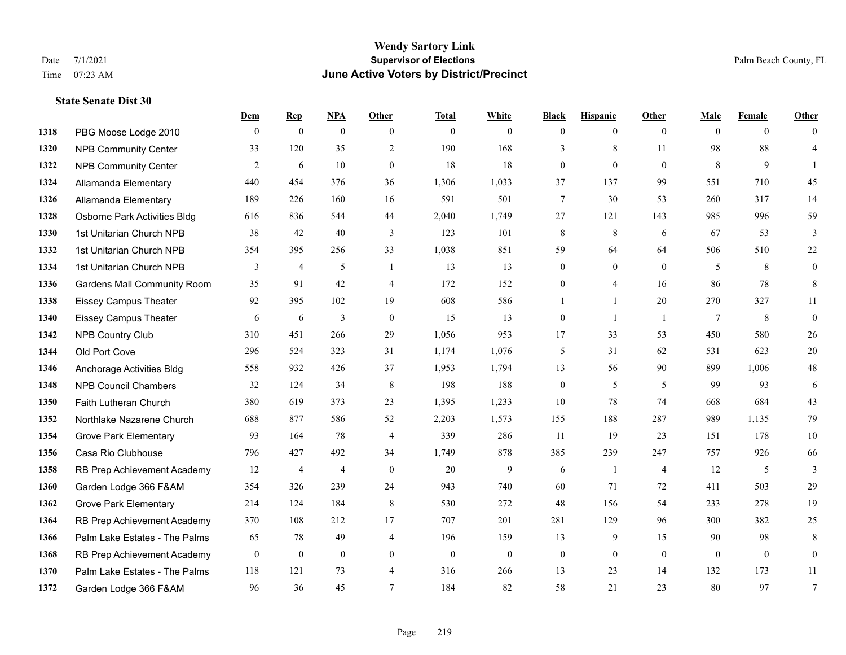## **Wendy Sartory Link** Date 7/1/2021 **Supervisor of Elections Supervisor of Elections** Palm Beach County, FL Time 07:23 AM **June Active Voters by District/Precinct**

|      |                                    | Dem      | <b>Rep</b>     | NPA            | Other           | <b>Total</b> | White            | <b>Black</b>     | <b>Hispanic</b>  | <b>Other</b>   | Male         | Female       | Other            |
|------|------------------------------------|----------|----------------|----------------|-----------------|--------------|------------------|------------------|------------------|----------------|--------------|--------------|------------------|
| 1318 | PBG Moose Lodge 2010               | $\theta$ | $\overline{0}$ | $\overline{0}$ | $\theta$        | $\mathbf{0}$ | $\mathbf{0}$     | $\mathbf{0}$     | $\overline{0}$   | $\theta$       | $\theta$     | $\theta$     | $\mathbf{0}$     |
| 1320 | <b>NPB Community Center</b>        | 33       | 120            | 35             | 2               | 190          | 168              | 3                | 8                | 11             | 98           | 88           | $\overline{4}$   |
| 1322 | <b>NPB Community Center</b>        | 2        | 6              | 10             | $\overline{0}$  | 18           | 18               | $\boldsymbol{0}$ | $\mathbf{0}$     | $\mathbf{0}$   | 8            | 9            | $\mathbf{1}$     |
| 1324 | Allamanda Elementary               | 440      | 454            | 376            | 36              | 1,306        | 1,033            | 37               | 137              | 99             | 551          | 710          | 45               |
| 1326 | Allamanda Elementary               | 189      | 226            | 160            | 16              | 591          | 501              | 7                | 30               | 53             | 260          | 317          | 14               |
| 1328 | Osborne Park Activities Bldg       | 616      | 836            | 544            | 44              | 2,040        | 1,749            | 27               | 121              | 143            | 985          | 996          | 59               |
| 1330 | 1st Unitarian Church NPB           | 38       | 42             | 40             | 3               | 123          | 101              | 8                | $\,8\,$          | 6              | 67           | 53           | 3                |
| 1332 | 1st Unitarian Church NPB           | 354      | 395            | 256            | 33              | 1,038        | 851              | 59               | 64               | 64             | 506          | 510          | $22\,$           |
| 1334 | 1st Unitarian Church NPB           | 3        | 4              | 5              | $\mathbf{1}$    | 13           | 13               | $\boldsymbol{0}$ | $\overline{0}$   | $\theta$       | 5            | 8            | $\boldsymbol{0}$ |
| 1336 | <b>Gardens Mall Community Room</b> | 35       | 91             | 42             | $\overline{4}$  | 172          | 152              | $\boldsymbol{0}$ | $\overline{4}$   | 16             | 86           | 78           | 8                |
| 1338 | <b>Eissey Campus Theater</b>       | 92       | 395            | 102            | 19              | 608          | 586              |                  | $\mathbf{1}$     | 20             | 270          | 327          | 11               |
| 1340 | <b>Eissey Campus Theater</b>       | 6        | 6              | 3              | $\mathbf{0}$    | 15           | 13               | $\boldsymbol{0}$ | 1                | $\overline{1}$ | $\tau$       | 8            | $\boldsymbol{0}$ |
| 1342 | NPB Country Club                   | 310      | 451            | 266            | 29              | 1,056        | 953              | 17               | 33               | 53             | 450          | 580          | 26               |
| 1344 | Old Port Cove                      | 296      | 524            | 323            | 31              | 1,174        | 1,076            | 5                | 31               | 62             | 531          | 623          | $20\,$           |
| 1346 | Anchorage Activities Bldg          | 558      | 932            | 426            | 37              | 1,953        | 1,794            | 13               | 56               | 90             | 899          | 1,006        | $48\,$           |
| 1348 | <b>NPB Council Chambers</b>        | 32       | 124            | 34             | $\,8\,$         | 198          | 188              | $\boldsymbol{0}$ | 5                | 5              | 99           | 93           | 6                |
| 1350 | Faith Lutheran Church              | 380      | 619            | 373            | 23              | 1,395        | 1,233            | 10               | 78               | 74             | 668          | 684          | 43               |
| 1352 | Northlake Nazarene Church          | 688      | 877            | 586            | 52              | 2,203        | 1,573            | 155              | 188              | 287            | 989          | 1,135        | 79               |
| 1354 | <b>Grove Park Elementary</b>       | 93       | 164            | 78             | $\overline{4}$  | 339          | 286              | 11               | 19               | 23             | 151          | 178          | $10\,$           |
| 1356 | Casa Rio Clubhouse                 | 796      | 427            | 492            | 34              | 1,749        | 878              | 385              | 239              | 247            | 757          | 926          | 66               |
| 1358 | RB Prep Achievement Academy        | 12       | 4              | 4              | $\mathbf{0}$    | 20           | 9                | 6                | 1                | $\overline{4}$ | 12           | 5            | 3                |
| 1360 | Garden Lodge 366 F&AM              | 354      | 326            | 239            | 24              | 943          | 740              | 60               | 71               | 72             | 411          | 503          | 29               |
| 1362 | <b>Grove Park Elementary</b>       | 214      | 124            | 184            | $\,8\,$         | 530          | 272              | 48               | 156              | 54             | 233          | 278          | 19               |
| 1364 | RB Prep Achievement Academy        | 370      | 108            | 212            | 17              | 707          | 201              | 281              | 129              | 96             | 300          | 382          | 25               |
| 1366 | Palm Lake Estates - The Palms      | 65       | 78             | 49             | $\overline{4}$  | 196          | 159              | 13               | 9                | 15             | 90           | 98           | $\,8\,$          |
| 1368 | RB Prep Achievement Academy        | $\bf{0}$ | $\overline{0}$ | $\overline{0}$ | $\mathbf{0}$    | $\mathbf{0}$ | $\boldsymbol{0}$ | $\boldsymbol{0}$ | $\boldsymbol{0}$ | $\overline{0}$ | $\mathbf{0}$ | $\mathbf{0}$ | $\overline{0}$   |
| 1370 | Palm Lake Estates - The Palms      | 118      | 121            | 73             | $\overline{4}$  | 316          | 266              | 13               | 23               | 14             | 132          | 173          | 11               |
| 1372 | Garden Lodge 366 F&AM              | 96       | 36             | 45             | $7\phantom{.0}$ | 184          | 82               | 58               | 21               | 23             | 80           | 97           | $\tau$           |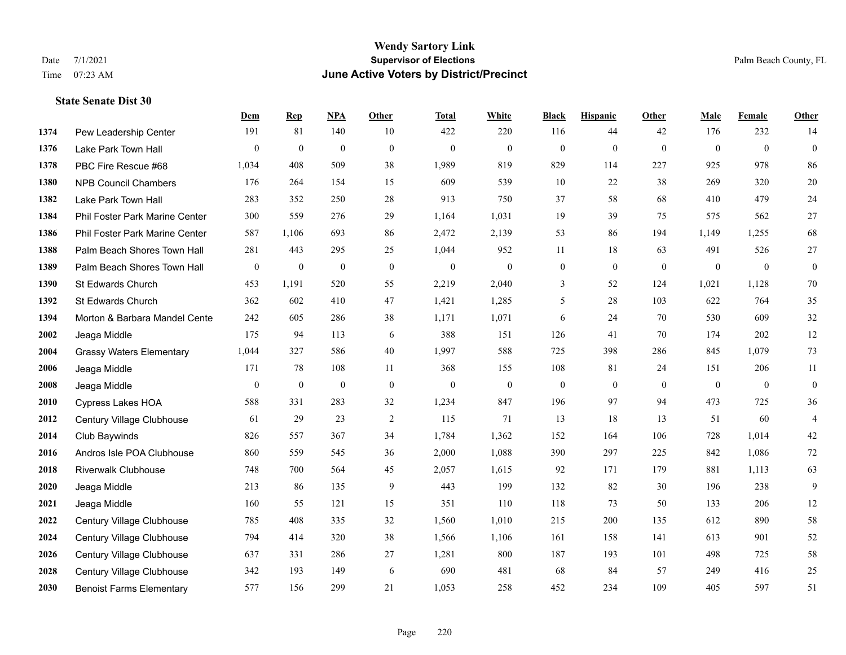#### **Wendy Sartory Link** Date 7/1/2021 **Supervisor of Elections** Palm Beach County, FL Time 07:23 AM **June Active Voters by District/Precinct**

# **Dem Rep NPA Other Total White Black Hispanic Other Male Female Other** Pew Leadership Center 191 81 140 10 422 220 116 44 42 176 232 14 Lake Park Town Hall 0 0 0 0 0 0 0 0 0 0 0 0 PBC Fire Rescue #68 1,034 408 509 38 1,989 819 829 114 227 925 978 86 NPB Council Chambers 176 264 154 15 609 539 10 22 38 269 320 20 Lake Park Town Hall 283 352 250 28 913 750 37 58 68 410 479 24 Phil Foster Park Marine Center 300 559 276 29 1,164 1,031 19 39 75 575 562 27 Phil Foster Park Marine Center 587 1,106 693 86 2,472 2,139 53 86 194 1,149 1,255 68 Palm Beach Shores Town Hall 281 443 295 25 1,044 952 11 18 63 491 526 27 Palm Beach Shores Town Hall 0 0 0 0 0 0 0 0 0 0 0 0 St Edwards Church 453 1,191 520 55 2,219 2,040 3 52 124 1,021 1,128 70 St Edwards Church 362 602 410 47 1,421 1,285 5 28 103 622 764 35 **1394 Morton & Barbara Mandel Cente** 242 605 286 38 1,171 1,071 6 24 70 530 609 32 Jeaga Middle 175 94 113 6 388 151 126 41 70 174 202 12 Grassy Waters Elementary 1,044 327 586 40 1,997 588 725 398 286 845 1,079 73 Jeaga Middle 171 78 108 11 368 155 108 81 24 151 206 11 Jeaga Middle 0 0 0 0 0 0 0 0 0 0 0 0 Cypress Lakes HOA 588 331 283 32 1,234 847 196 97 94 473 725 36 Century Village Clubhouse 61 29 23 2 115 71 13 18 13 51 60 4 Club Baywinds 826 557 367 34 1,784 1,362 152 164 106 728 1,014 42 Andros Isle POA Clubhouse 860 559 545 36 2,000 1,088 390 297 225 842 1,086 72 Riverwalk Clubhouse 748 700 564 45 2,057 1,615 92 171 179 881 1,113 63 Jeaga Middle 213 86 135 9 443 199 132 82 30 196 238 9 Jeaga Middle 160 55 121 15 351 110 118 73 50 133 206 12 Century Village Clubhouse 785 408 335 32 1,560 1,010 215 200 135 612 890 58 Century Village Clubhouse 794 414 320 38 1,566 1,106 161 158 141 613 901 52 Century Village Clubhouse 637 331 286 27 1,281 800 187 193 101 498 725 58 Century Village Clubhouse 342 193 149 6 690 481 68 84 57 249 416 25

Benoist Farms Elementary 577 156 299 21 1,053 258 452 234 109 405 597 51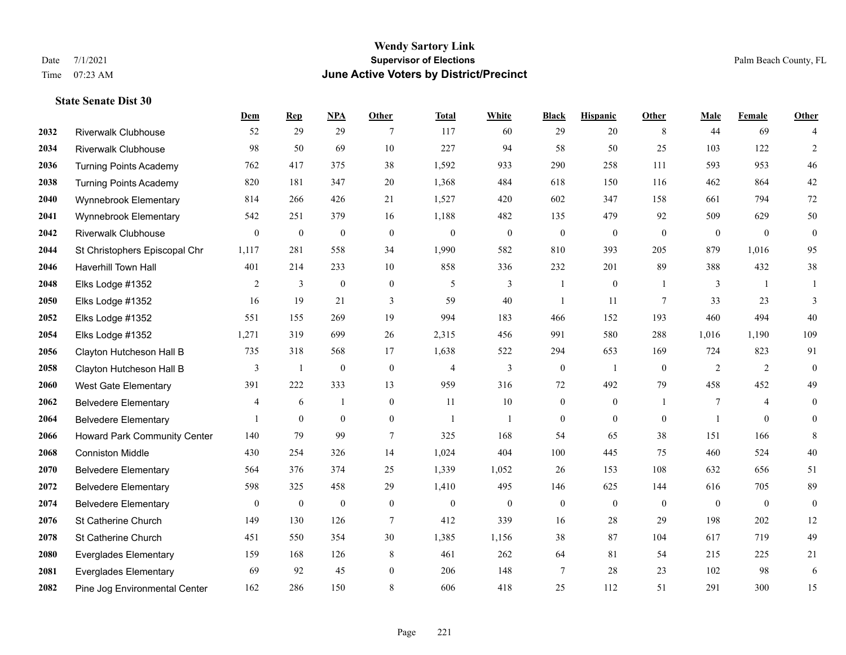#### **Wendy Sartory Link** Date 7/1/2021 **Supervisor of Elections** Palm Beach County, FL Time 07:23 AM **June Active Voters by District/Precinct**

# **Dem Rep NPA Other Total White Black Hispanic Other Male Female Other** Riverwalk Clubhouse 52 29 29 7 117 60 29 20 8 44 69 4 Riverwalk Clubhouse 98 50 69 10 227 94 58 50 25 103 122 2 Turning Points Academy 762 417 375 38 1,592 933 290 258 111 593 953 46 Turning Points Academy 820 181 347 20 1,368 484 618 150 116 462 864 42 Wynnebrook Elementary 814 266 426 21 1,527 420 602 347 158 661 794 72 Wynnebrook Elementary 542 251 379 16 1,188 482 135 479 92 509 629 50 Riverwalk Clubhouse 0 0 0 0 0 0 0 0 0 0 0 0 St Christophers Episcopal Chr 1,117 281 558 34 1,990 582 810 393 205 879 1,016 95 Haverhill Town Hall 401 214 233 10 858 336 232 201 89 388 432 38 Elks Lodge #1352 2 3 0 0 5 3 1 0 1 3 1 1 Elks Lodge #1352 16 19 21 3 59 40 1 11 7 33 23 3 Elks Lodge #1352 551 155 269 19 994 183 466 152 193 460 494 40 Elks Lodge #1352 1,271 319 699 26 2,315 456 991 580 288 1,016 1,190 109 Clayton Hutcheson Hall B 735 318 568 17 1,638 522 294 653 169 724 823 91 Clayton Hutcheson Hall B 3 1 0 0 4 3 0 1 0 2 2 0 West Gate Elementary 391 222 333 13 959 316 72 492 79 458 452 49 Belvedere Elementary 4 6 1 0 11 10 0 0 1 7 4 0 Belvedere Elementary 1 0 0 0 1 1 0 0 0 1 0 0 Howard Park Community Center 140 79 99 7 325 168 54 65 38 151 166 8 Conniston Middle 430 254 326 14 1,024 404 100 445 75 460 524 40 Belvedere Elementary 564 376 374 25 1,339 1,052 26 153 108 632 656 51 Belvedere Elementary 598 325 458 29 1,410 495 146 625 144 616 705 89 Belvedere Elementary 0 0 0 0 0 0 0 0 0 0 0 0 St Catherine Church 149 130 126 7 412 339 16 28 29 198 202 12 St Catherine Church 451 550 354 30 1,385 1,156 38 87 104 617 719 49 Everglades Elementary 159 168 126 8 461 262 64 81 54 215 225 21 Everglades Elementary 69 92 45 0 206 148 7 28 23 102 98 6

Pine Jog Environmental Center 162 286 150 8 606 418 25 112 51 291 300 15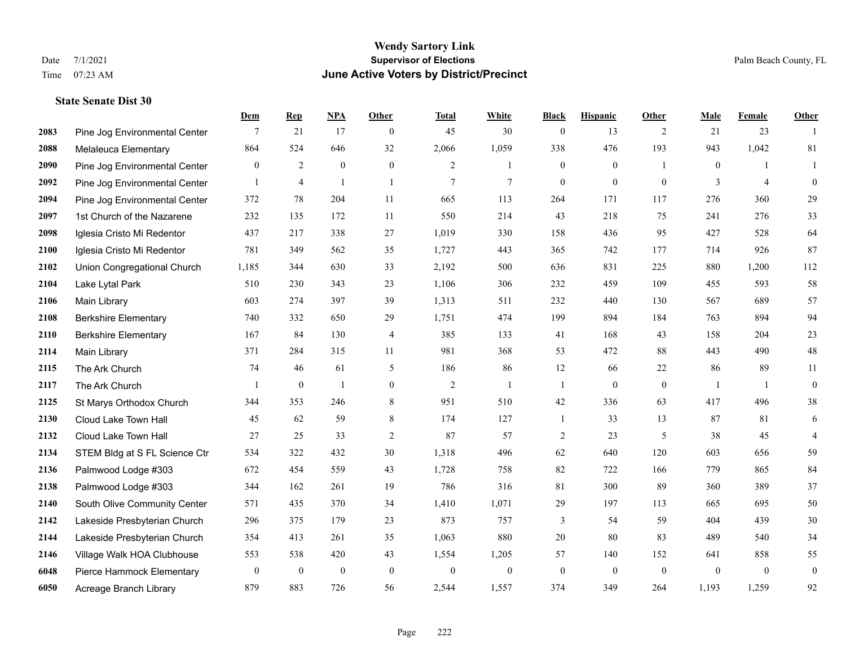|      |                               | Dem              | <b>Rep</b>       | NPA              | <b>Other</b>   | <b>Total</b>     | <b>White</b>     | <b>Black</b>     | <b>Hispanic</b>  | <b>Other</b> | <b>Male</b>    | <b>Female</b>  | <b>Other</b>     |
|------|-------------------------------|------------------|------------------|------------------|----------------|------------------|------------------|------------------|------------------|--------------|----------------|----------------|------------------|
| 2083 | Pine Jog Environmental Center | 7                | 21               | 17               | $\overline{0}$ | 45               | 30               | $\boldsymbol{0}$ | 13               | 2            | 21             | 23             | $\overline{1}$   |
| 2088 | Melaleuca Elementary          | 864              | 524              | 646              | 32             | 2,066            | 1,059            | 338              | 476              | 193          | 943            | 1,042          | 81               |
| 2090 | Pine Jog Environmental Center | $\overline{0}$   | $\overline{c}$   | $\boldsymbol{0}$ | $\overline{0}$ | 2                | 1                | $\boldsymbol{0}$ | $\boldsymbol{0}$ | -1           | $\overline{0}$ | -1             | 1                |
| 2092 | Pine Jog Environmental Center | $\mathbf{1}$     | $\overline{4}$   | $\overline{1}$   | $\mathbf{1}$   | 7                | $\tau$           | $\boldsymbol{0}$ | $\mathbf{0}$     | $\mathbf{0}$ | 3              | $\overline{4}$ | $\mathbf{0}$     |
| 2094 | Pine Jog Environmental Center | 372              | 78               | 204              | 11             | 665              | 113              | 264              | 171              | 117          | 276            | 360            | 29               |
| 2097 | 1st Church of the Nazarene    | 232              | 135              | 172              | 11             | 550              | 214              | 43               | 218              | 75           | 241            | 276            | 33               |
| 2098 | Iglesia Cristo Mi Redentor    | 437              | 217              | 338              | 27             | 1,019            | 330              | 158              | 436              | 95           | 427            | 528            | 64               |
| 2100 | Iglesia Cristo Mi Redentor    | 781              | 349              | 562              | 35             | 1,727            | 443              | 365              | 742              | 177          | 714            | 926            | 87               |
| 2102 | Union Congregational Church   | 1,185            | 344              | 630              | 33             | 2,192            | 500              | 636              | 831              | 225          | 880            | 1,200          | 112              |
| 2104 | Lake Lytal Park               | 510              | 230              | 343              | 23             | 1,106            | 306              | 232              | 459              | 109          | 455            | 593            | 58               |
| 2106 | Main Library                  | 603              | 274              | 397              | 39             | 1,313            | 511              | 232              | 440              | 130          | 567            | 689            | 57               |
| 2108 | <b>Berkshire Elementary</b>   | 740              | 332              | 650              | 29             | 1,751            | 474              | 199              | 894              | 184          | 763            | 894            | 94               |
| 2110 | <b>Berkshire Elementary</b>   | 167              | 84               | 130              | 4              | 385              | 133              | 41               | 168              | 43           | 158            | 204            | $23\,$           |
| 2114 | Main Library                  | 371              | 284              | 315              | 11             | 981              | 368              | 53               | 472              | 88           | 443            | 490            | $48\,$           |
| 2115 | The Ark Church                | 74               | 46               | 61               | 5              | 186              | 86               | 12               | 66               | 22           | 86             | 89             | 11               |
| 2117 | The Ark Church                | $\mathbf{1}$     | $\boldsymbol{0}$ | $\mathbf{1}$     | $\mathbf{0}$   | $\overline{2}$   | $\mathbf{1}$     | $\mathbf{1}$     | $\mathbf{0}$     | $\mathbf{0}$ | -1             | $\mathbf{1}$   | $\boldsymbol{0}$ |
| 2125 | St Marys Orthodox Church      | 344              | 353              | 246              | $8\,$          | 951              | 510              | 42               | 336              | 63           | 417            | 496            | $38\,$           |
| 2130 | Cloud Lake Town Hall          | 45               | 62               | 59               | 8              | 174              | 127              | 1                | 33               | 13           | 87             | 81             | 6                |
| 2132 | Cloud Lake Town Hall          | 27               | 25               | 33               | 2              | 87               | 57               | $\overline{c}$   | 23               | 5            | 38             | 45             | $\overline{4}$   |
| 2134 | STEM Bldg at S FL Science Ctr | 534              | 322              | 432              | 30             | 1,318            | 496              | 62               | 640              | 120          | 603            | 656            | 59               |
| 2136 | Palmwood Lodge #303           | 672              | 454              | 559              | 43             | 1,728            | 758              | 82               | 722              | 166          | 779            | 865            | 84               |
| 2138 | Palmwood Lodge #303           | 344              | 162              | 261              | 19             | 786              | 316              | 81               | 300              | 89           | 360            | 389            | 37               |
| 2140 | South Olive Community Center  | 571              | 435              | 370              | 34             | 1,410            | 1,071            | 29               | 197              | 113          | 665            | 695            | $50\,$           |
| 2142 | Lakeside Presbyterian Church  | 296              | 375              | 179              | 23             | 873              | 757              | 3                | 54               | 59           | 404            | 439            | $30\,$           |
| 2144 | Lakeside Presbyterian Church  | 354              | 413              | 261              | 35             | 1,063            | 880              | 20               | 80               | 83           | 489            | 540            | 34               |
| 2146 | Village Walk HOA Clubhouse    | 553              | 538              | 420              | 43             | 1,554            | 1,205            | 57               | 140              | 152          | 641            | 858            | 55               |
| 6048 | Pierce Hammock Elementary     | $\boldsymbol{0}$ | $\boldsymbol{0}$ | $\boldsymbol{0}$ | $\mathbf{0}$   | $\boldsymbol{0}$ | $\boldsymbol{0}$ | $\boldsymbol{0}$ | $\mathbf{0}$     | $\mathbf{0}$ | $\mathbf{0}$   | $\mathbf{0}$   | $\boldsymbol{0}$ |
| 6050 | Acreage Branch Library        | 879              | 883              | 726              | 56             | 2,544            | 1,557            | 374              | 349              | 264          | 1,193          | 1,259          | 92               |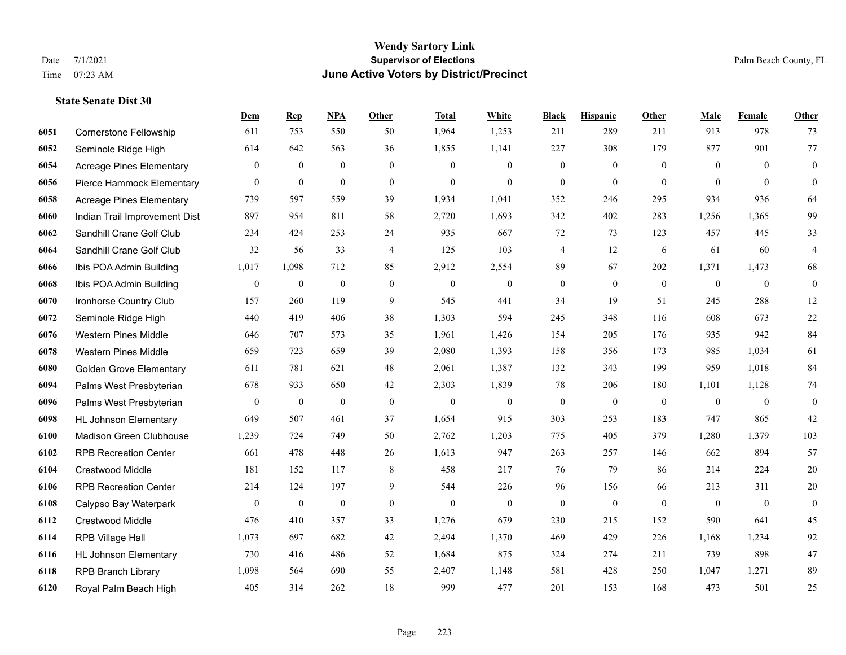#### **Wendy Sartory Link** Date 7/1/2021 **Supervisor of Elections** Palm Beach County, FL Time 07:23 AM **June Active Voters by District/Precinct**

# **Dem Rep NPA Other Total White Black Hispanic Other Male Female Other** Cornerstone Fellowship 611 753 550 50 1,964 1,253 211 289 211 913 978 73 Seminole Ridge High 614 642 563 36 1,855 1,141 227 308 179 877 901 77 Acreage Pines Elementary 0 0 0 0 0 0 0 0 0 0 0 0 Pierce Hammock Elementary 0 0 0 0 0 0 0 0 0 0 0 0 Acreage Pines Elementary 739 597 559 39 1,934 1,041 352 246 295 934 936 64 Indian Trail Improvement Dist 897 954 811 58 2,720 1,693 342 402 283 1,256 1,365 99 Sandhill Crane Golf Club 234 424 253 24 935 667 72 73 123 457 445 33 Sandhill Crane Golf Club 32 56 33 4 125 103 4 12 6 61 60 4 Ibis POA Admin Building 1,017 1,098 712 85 2,912 2,554 89 67 202 1,371 1,473 68 Ibis POA Admin Building 0 0 0 0 0 0 0 0 0 0 0 0 Ironhorse Country Club 157 260 119 9 545 441 34 19 51 245 288 12 Seminole Ridge High 440 419 406 38 1,303 594 245 348 116 608 673 22 Western Pines Middle 646 707 573 35 1,961 1,426 154 205 176 935 942 84 Western Pines Middle 659 723 659 39 2,080 1,393 158 356 173 985 1,034 61 Golden Grove Elementary 611 781 621 48 2,061 1,387 132 343 199 959 1,018 84 Palms West Presbyterian 678 933 650 42 2,303 1,839 78 206 180 1,101 1,128 74 Palms West Presbyterian 0 0 0 0 0 0 0 0 0 0 0 0 HL Johnson Elementary 649 507 461 37 1,654 915 303 253 183 747 865 42 Madison Green Clubhouse 1,239 724 749 50 2,762 1,203 775 405 379 1,280 1,379 103 RPB Recreation Center 661 478 448 26 1,613 947 263 257 146 662 894 57 Crestwood Middle 181 152 117 8 458 217 76 79 86 214 224 20 RPB Recreation Center 214 124 197 9 544 226 96 156 66 213 311 20 Calypso Bay Waterpark 0 0 0 0 0 0 0 0 0 0 0 0 Crestwood Middle 476 410 357 33 1,276 679 230 215 152 590 641 45 RPB Village Hall 1,073 697 682 42 2,494 1,370 469 429 226 1,168 1,234 92 HL Johnson Elementary 730 416 486 52 1,684 875 324 274 211 739 898 47 RPB Branch Library 1,098 564 690 55 2,407 1,148 581 428 250 1,047 1,271 89

Royal Palm Beach High 405 314 262 18 999 477 201 153 168 473 501 25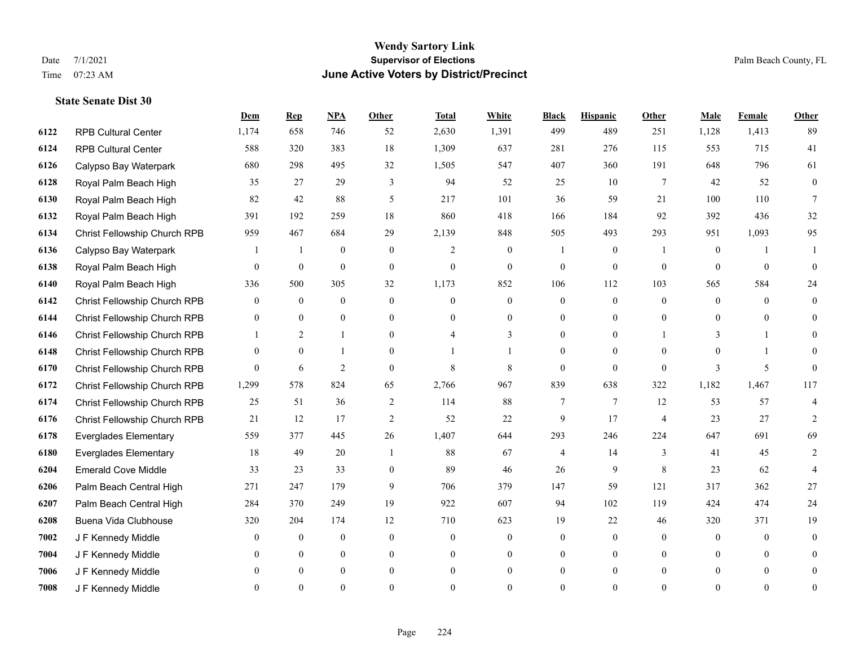#### **Wendy Sartory Link** Date 7/1/2021 **Supervisor of Elections** Palm Beach County, FL Time 07:23 AM **June Active Voters by District/Precinct**

# **Dem Rep NPA Other Total White Black Hispanic Other Male Female Other** RPB Cultural Center 1,174 658 746 52 2,630 1,391 499 489 251 1,128 1,413 89 RPB Cultural Center 588 320 383 18 1,309 637 281 276 115 553 715 41 Calypso Bay Waterpark 680 298 495 32 1,505 547 407 360 191 648 796 61 Royal Palm Beach High 35 27 29 3 94 52 25 10 7 42 52 0 Royal Palm Beach High 82 42 88 5 217 101 36 59 21 100 110 7 Royal Palm Beach High 391 192 259 18 860 418 166 184 92 392 436 32 Christ Fellowship Church RPB 959 467 684 29 2,139 848 505 493 293 951 1,093 95 Calypso Bay Waterpark 1 1 0 0 2 0 1 0 1 0 1 1 Royal Palm Beach High 0 0 0 0 0 0 0 0 0 0 0 0 Royal Palm Beach High 336 500 305 32 1,173 852 106 112 103 565 584 24 Christ Fellowship Church RPB 0 0 0 0 0 0 0 0 0 0 0 0 Christ Fellowship Church RPB 0 0 0 0 0 0 0 0 0 0 0 0 Christ Fellowship Church RPB 1 2 1 0 4 3 0 0 1 3 1 0 Christ Fellowship Church RPB 0 0 1 0 1 1 0 0 0 0 1 0 Christ Fellowship Church RPB 0 6 2 0 8 8 0 0 0 3 5 0 Christ Fellowship Church RPB 1,299 578 824 65 2,766 967 839 638 322 1,182 1,467 117 Christ Fellowship Church RPB 25 51 36 2 114 88 7 7 12 53 57 4 Christ Fellowship Church RPB 21 12 17 2 52 22 9 17 4 23 27 2 Everglades Elementary 559 377 445 26 1,407 644 293 246 224 647 691 69 Everglades Elementary 18 49 20 1 88 67 4 14 3 41 45 2 Emerald Cove Middle 33 23 33 0 89 46 26 9 8 23 62 4 Palm Beach Central High 271 247 179 9 706 379 147 59 121 317 362 27 Palm Beach Central High 284 370 249 19 922 607 94 102 119 424 474 24 Buena Vida Clubhouse 320 204 174 12 710 623 19 22 46 320 371 19 J F Kennedy Middle 0 0 0 0 0 0 0 0 0 0 0 0 J F Kennedy Middle 0 0 0 0 0 0 0 0 0 0 0 0 J F Kennedy Middle 0 0 0 0 0 0 0 0 0 0 0 0 J F Kennedy Middle 0 0 0 0 0 0 0 0 0 0 0 0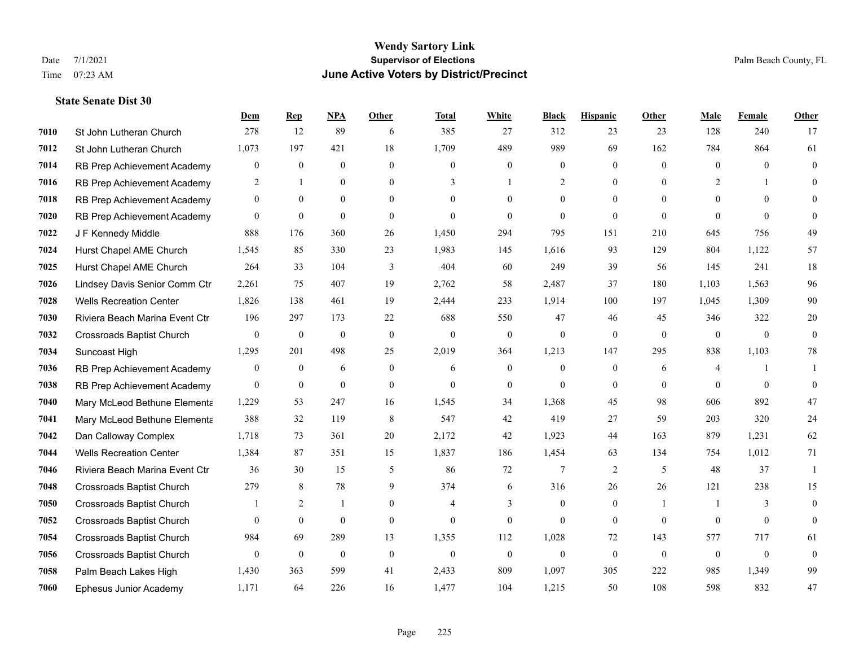#### **Wendy Sartory Link** Date 7/1/2021 **Supervisor of Elections** Palm Beach County, FL Time 07:23 AM **June Active Voters by District/Precinct**

**Dem Rep NPA Other Total White Black Hispanic Other Male Female Other**

# St John Lutheran Church 278 12 89 6 385 27 312 23 23 128 240 17 St John Lutheran Church 1,073 197 421 18 1,709 489 989 69 162 784 864 61 RB Prep Achievement Academy 0 0 0 0 0 0 0 0 0 0 0 0 RB Prep Achievement Academy 2 1 0 0 3 1 2 0 0 2 1 0 RB Prep Achievement Academy 0 0 0 0 0 0 0 0 0 0 0 0 RB Prep Achievement Academy 0 0 0 0 0 0 0 0 0 0 0 0 J F Kennedy Middle 888 176 360 26 1,450 294 795 151 210 645 756 49 Hurst Chapel AME Church 1,545 85 330 23 1,983 145 1,616 93 129 804 1,122 57 Hurst Chapel AME Church 264 33 104 3 404 60 249 39 56 145 241 18 Lindsey Davis Senior Comm Ctr 2,261 75 407 19 2,762 58 2,487 37 180 1,103 1,563 96 Wells Recreation Center 1,826 138 461 19 2,444 233 1,914 100 197 1,045 1,309 90 Riviera Beach Marina Event Ctr 196 297 173 22 688 550 47 46 45 346 322 20 Crossroads Baptist Church 0 0 0 0 0 0 0 0 0 0 0 0 Suncoast High 1,295 201 498 25 2,019 364 1,213 147 295 838 1,103 78 RB Prep Achievement Academy 0 0 0 6 0 0 6 0 0 0 0 6 4 1 1 RB Prep Achievement Academy 0 0 0 0 0 0 0 0 0 0 0 0 Mary McLeod Bethune Elementary 1,229 53 247 16 1,545 34 1,368 45 98 606 892 47 Mary McLeod Bethune Elementary 388 32 119 8 547 42 419 27 59 203 320 24 Dan Calloway Complex 1,718 73 361 20 2,172 42 1,923 44 163 879 1,231 62 Wells Recreation Center 1,384 87 351 15 1,837 186 1,454 63 134 754 1,012 71 Riviera Beach Marina Event Ctr 36 30 15 5 86 72 7 2 5 48 37 1 Crossroads Baptist Church 279 8 78 9 374 6 316 26 26 121 238 15 Crossroads Baptist Church 1 2 1 0 4 3 0 0 1 1 3 0 Crossroads Baptist Church 0 0 0 0 0 0 0 0 0 0 0 0 Crossroads Baptist Church 984 69 289 13 1,355 112 1,028 72 143 577 717 61 Crossroads Baptist Church 0 0 0 0 0 0 0 0 0 0 0 0 Palm Beach Lakes High 1,430 363 599 41 2,433 809 1,097 305 222 985 1,349 99

Ephesus Junior Academy 1,171 64 226 16 1,477 104 1,215 50 108 598 832 47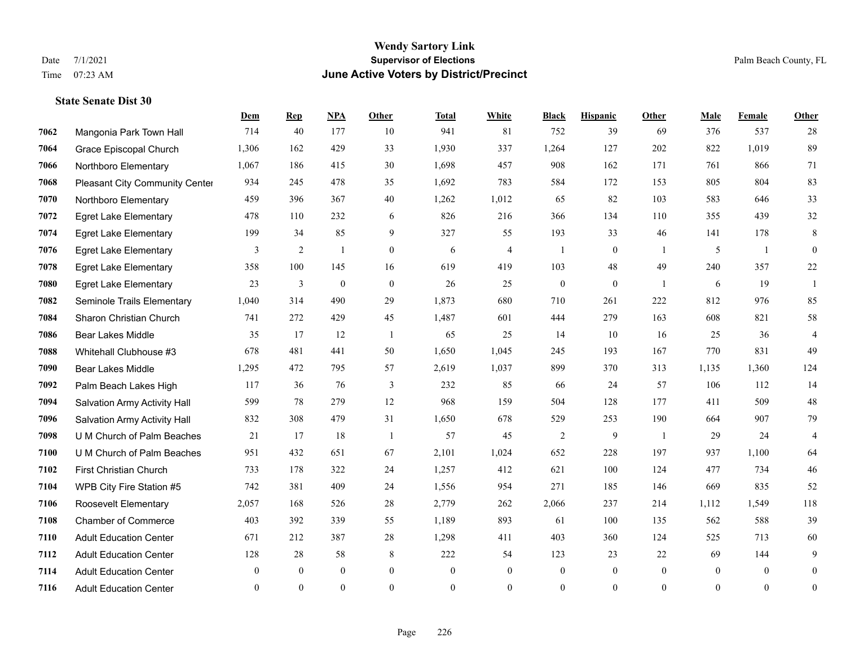#### **Wendy Sartory Link** Date 7/1/2021 **Supervisor of Elections** Palm Beach County, FL Time 07:23 AM **June Active Voters by District/Precinct**

# **Dem Rep NPA Other Total White Black Hispanic Other Male Female Other** Mangonia Park Town Hall 714 40 177 10 941 81 752 39 69 376 537 28 Grace Episcopal Church 1,306 162 429 33 1,930 337 1,264 127 202 822 1,019 89 Northboro Elementary 1,067 186 415 30 1,698 457 908 162 171 761 866 71 Pleasant City Community Center 934 245 478 35 1,692 783 584 172 153 805 804 83 Northboro Elementary 459 396 367 40 1,262 1,012 65 82 103 583 646 33 Egret Lake Elementary 478 110 232 6 826 216 366 134 110 355 439 32 Egret Lake Elementary 199 34 85 9 327 55 193 33 46 141 178 8 Egret Lake Elementary 3 2 1 0 6 4 1 0 1 5 1 0 Egret Lake Elementary 358 100 145 16 619 419 103 48 49 240 357 22 Egret Lake Elementary 23 3 0 0 26 25 0 0 1 6 19 1 Seminole Trails Elementary 1,040 314 490 29 1,873 680 710 261 222 812 976 85 Sharon Christian Church 741 272 429 45 1,487 601 444 279 163 608 821 58 Bear Lakes Middle 35 17 12 1 65 25 14 10 16 25 36 4 Whitehall Clubhouse #3 678 481 441 50 1,650 1,045 245 193 167 770 831 49 Bear Lakes Middle 1,295 472 795 57 2,619 1,037 899 370 313 1,135 1,360 124 Palm Beach Lakes High 117 36 76 3 232 85 66 24 57 106 112 14 Salvation Army Activity Hall 599 78 279 12 968 159 504 128 177 411 509 48 Salvation Army Activity Hall 832 308 479 31 1,650 678 529 253 190 664 907 79 U M Church of Palm Beaches 21 17 18 1 57 45 2 9 1 29 24 4 U M Church of Palm Beaches 951 432 651 67 2,101 1,024 652 228 197 937 1,100 64 First Christian Church 733 178 322 24 1,257 412 621 100 124 477 734 46 WPB City Fire Station #5 742 381 409 24 1,556 954 271 185 146 669 835 52 Roosevelt Elementary 2,057 168 526 28 2,779 262 2,066 237 214 1,112 1,549 118 Chamber of Commerce 403 392 339 55 1,189 893 61 100 135 562 588 39 Adult Education Center 671 212 387 28 1,298 411 403 360 124 525 713 60 Adult Education Center 128 28 58 8 222 54 123 23 22 69 144 9 Adult Education Center 0 0 0 0 0 0 0 0 0 0 0 0 Adult Education Center 0 0 0 0 0 0 0 0 0 0 0 0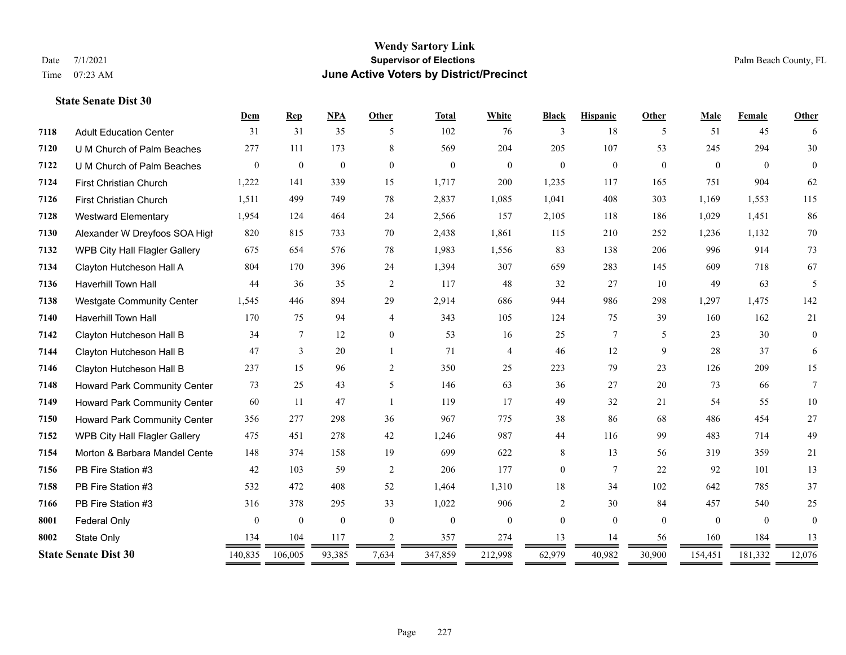#### **Wendy Sartory Link** Date 7/1/2021 **Supervisor of Elections** Palm Beach County, FL Time 07:23 AM **June Active Voters by District/Precinct**

# **Dem Rep NPA Other Total White Black Hispanic Other Male Female Other** Adult Education Center 31 31 35 5 102 76 3 18 5 51 45 6 U M Church of Palm Beaches 277 111 173 8 569 204 205 107 53 245 294 30 U M Church of Palm Beaches 0 0 0 0 0 0 0 0 0 0 0 0 First Christian Church 1,222 141 339 15 1,717 200 1,235 117 165 751 904 62 First Christian Church 1,511 499 749 78 2,837 1,085 1,041 408 303 1,169 1,553 115 Westward Elementary 1,954 124 464 24 2,566 157 2,105 118 186 1,029 1,451 86 Alexander W Dreyfoos SOA High 820 815 733 70 2,438 1,861 115 210 252 1,236 1,132 70 WPB City Hall Flagler Gallery 675 654 576 78 1,983 1,556 83 138 206 996 914 73 Clayton Hutcheson Hall A 804 170 396 24 1,394 307 659 283 145 609 718 67 Haverhill Town Hall 44 36 35 2 117 48 32 27 10 49 63 5 Westgate Community Center 1,545 446 894 29 2,914 686 944 986 298 1,297 1,475 142 Haverhill Town Hall 170 75 94 4 343 105 124 75 39 160 162 21 Clayton Hutcheson Hall B 34 7 12 0 53 16 25 7 5 23 30 0 Clayton Hutcheson Hall B 47 3 20 1 71 4 46 12 9 28 37 6 Clayton Hutcheson Hall B 237 15 96 2 350 25 223 79 23 126 209 15 Howard Park Community Center 73 25 43 5 146 63 36 27 20 73 66 7 Howard Park Community Center 60 11 47 1 119 17 49 32 21 54 55 10 Howard Park Community Center 356 277 298 36 967 775 38 86 68 486 454 27 WPB City Hall Flagler Gallery 475 451 278 42 1,246 987 44 116 99 483 714 49 Morton & Barbara Mandel Center 148 374 158 19 699 622 8 13 56 319 359 21 PB Fire Station #3 42 103 59 2 206 177 0 7 22 92 101 13 PB Fire Station #3 532 472 408 52 1,464 1,310 18 34 102 642 785 37 PB Fire Station #3 316 378 295 33 1,022 906 2 30 84 457 540 25 **8001 Federal Only 0 0 0 0 0 0 0 0 0** 0 State Only 134 104 117 2 357 274 13 14 56 160 184 13 **State Senate Dist 30** 140,835 106,005 93,385 7,634 347,859 212,998 62,979 40,982 30,900 154,451 181,332 12,076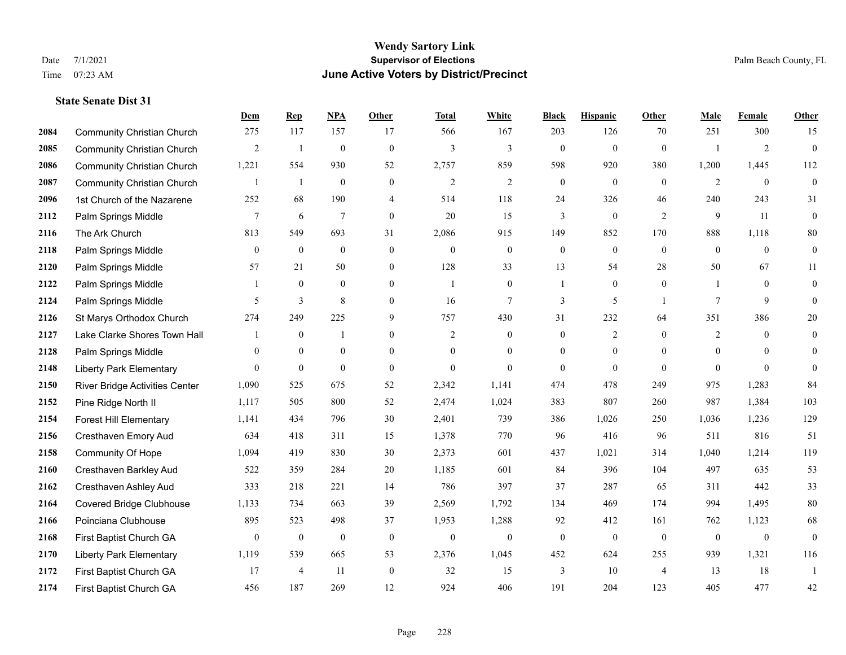|      |                                   | Dem            | <b>Rep</b>     | NPA              | <b>Other</b>   | <b>Total</b>   | <b>White</b>     | <b>Black</b>     | <b>Hispanic</b> | <b>Other</b>   | <b>Male</b>    | Female         | <b>Other</b>     |
|------|-----------------------------------|----------------|----------------|------------------|----------------|----------------|------------------|------------------|-----------------|----------------|----------------|----------------|------------------|
| 2084 | <b>Community Christian Church</b> | 275            | 117            | 157              | 17             | 566            | 167              | 203              | 126             | 70             | 251            | 300            | 15               |
| 2085 | <b>Community Christian Church</b> | $\overline{2}$ | $\mathbf{1}$   | $\overline{0}$   | $\mathbf{0}$   | 3              | 3                | $\mathbf{0}$     | $\mathbf{0}$    | $\theta$       |                | $\overline{2}$ | $\mathbf{0}$     |
| 2086 | <b>Community Christian Church</b> | 1,221          | 554            | 930              | 52             | 2,757          | 859              | 598              | 920             | 380            | 1,200          | 1,445          | 112              |
| 2087 | <b>Community Christian Church</b> | $\mathbf{1}$   | $\mathbf{1}$   | $\boldsymbol{0}$ | $\overline{0}$ | $\sqrt{2}$     | $\mathfrak{2}$   | $\boldsymbol{0}$ | $\mathbf{0}$    | $\mathbf{0}$   | $\overline{2}$ | $\mathbf{0}$   | $\mathbf{0}$     |
| 2096 | 1st Church of the Nazarene        | 252            | 68             | 190              | $\overline{4}$ | 514            | 118              | 24               | 326             | 46             | 240            | 243            | 31               |
| 2112 | Palm Springs Middle               | 7              | 6              | $\overline{7}$   | $\overline{0}$ | 20             | 15               | 3                | $\mathbf{0}$    | 2              | 9              | 11             | $\mathbf{0}$     |
| 2116 | The Ark Church                    | 813            | 549            | 693              | 31             | 2,086          | 915              | 149              | 852             | 170            | 888            | 1,118          | 80               |
| 2118 | Palm Springs Middle               | $\overline{0}$ | $\mathbf{0}$   | $\mathbf{0}$     | $\overline{0}$ | $\theta$       | $\boldsymbol{0}$ | $\boldsymbol{0}$ | $\mathbf{0}$    | $\theta$       | $\overline{0}$ | $\theta$       | $\boldsymbol{0}$ |
| 2120 | Palm Springs Middle               | 57             | 21             | 50               | $\overline{0}$ | 128            | 33               | 13               | 54              | 28             | 50             | 67             | 11               |
| 2122 | Palm Springs Middle               | 1              | $\mathbf{0}$   | $\theta$         | $\Omega$       | $\mathbf{1}$   | $\overline{0}$   | $\mathbf{1}$     | $\mathbf{0}$    | $\theta$       |                | $\theta$       | $\mathbf{0}$     |
| 2124 | Palm Springs Middle               | 5              | 3              | 8                | $\overline{0}$ | 16             | 7                | 3                | 5               | $\overline{1}$ | 7              | 9              | $\mathbf{0}$     |
| 2126 | St Marys Orthodox Church          | 274            | 249            | 225              | 9              | 757            | 430              | 31               | 232             | 64             | 351            | 386            | 20               |
| 2127 | Lake Clarke Shores Town Hall      |                | $\bf{0}$       | $\mathbf{1}$     | $\overline{0}$ | $\overline{2}$ | $\boldsymbol{0}$ | $\mathbf{0}$     | $\overline{c}$  | $\theta$       | $\overline{2}$ | $\theta$       | $\overline{0}$   |
| 2128 | Palm Springs Middle               | $\Omega$       | $\mathbf{0}$   | $\mathbf{0}$     | $\overline{0}$ | $\theta$       | $\overline{0}$   | $\boldsymbol{0}$ | $\mathbf{0}$    | $\theta$       | $\mathbf{0}$   | $\theta$       | $\Omega$         |
| 2148 | <b>Liberty Park Elementary</b>    | $\Omega$       | $\mathbf{0}$   | $\theta$         | $\Omega$       | $\Omega$       | $\Omega$         | $\theta$         | $\theta$        | $\theta$       | $\Omega$       | $\Omega$       | $\Omega$         |
| 2150 | River Bridge Activities Center    | 1,090          | 525            | 675              | 52             | 2,342          | 1,141            | 474              | 478             | 249            | 975            | 1,283          | 84               |
| 2152 | Pine Ridge North II               | 1,117          | 505            | 800              | 52             | 2,474          | 1,024            | 383              | 807             | 260            | 987            | 1,384          | 103              |
| 2154 | Forest Hill Elementary            | 1,141          | 434            | 796              | 30             | 2,401          | 739              | 386              | 1,026           | 250            | 1,036          | 1,236          | 129              |
| 2156 | Cresthaven Emory Aud              | 634            | 418            | 311              | 15             | 1,378          | 770              | 96               | 416             | 96             | 511            | 816            | 51               |
| 2158 | Community Of Hope                 | 1,094          | 419            | 830              | 30             | 2,373          | 601              | 437              | 1,021           | 314            | 1,040          | 1,214          | 119              |
| 2160 | Cresthaven Barkley Aud            | 522            | 359            | 284              | 20             | 1,185          | 601              | 84               | 396             | 104            | 497            | 635            | 53               |
| 2162 | Cresthaven Ashley Aud             | 333            | 218            | 221              | 14             | 786            | 397              | 37               | 287             | 65             | 311            | 442            | 33               |
| 2164 | <b>Covered Bridge Clubhouse</b>   | 1,133          | 734            | 663              | 39             | 2,569          | 1,792            | 134              | 469             | 174            | 994            | 1,495          | $80\,$           |
| 2166 | Poinciana Clubhouse               | 895            | 523            | 498              | 37             | 1,953          | 1,288            | 92               | 412             | 161            | 762            | 1,123          | 68               |
| 2168 | First Baptist Church GA           | $\mathbf{0}$   | $\mathbf{0}$   | $\overline{0}$   | $\theta$       | $\mathbf{0}$   | $\boldsymbol{0}$ | $\boldsymbol{0}$ | $\mathbf{0}$    | $\mathbf{0}$   | $\mathbf{0}$   | $\mathbf{0}$   | $\mathbf{0}$     |
| 2170 | <b>Liberty Park Elementary</b>    | 1,119          | 539            | 665              | 53             | 2,376          | 1,045            | 452              | 624             | 255            | 939            | 1,321          | 116              |
| 2172 | First Baptist Church GA           | 17             | $\overline{4}$ | -11              | $\theta$       | 32             | 15               | 3                | 10              | $\overline{4}$ | 13             | 18             | 1                |
| 2174 | First Baptist Church GA           | 456            | 187            | 269              | 12             | 924            | 406              | 191              | 204             | 123            | 405            | 477            | 42               |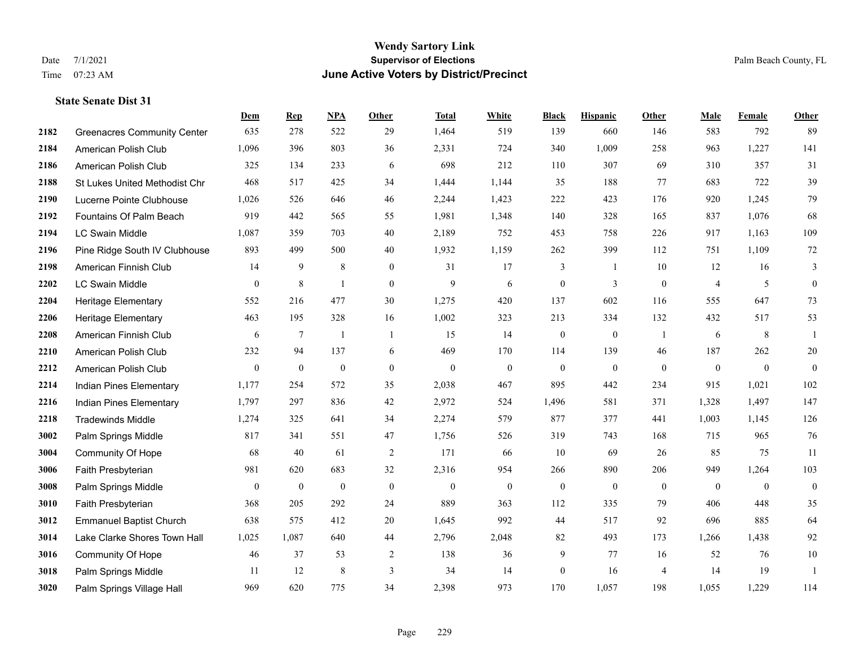|      |                                    | Dem              | <b>Rep</b>       | NPA              | <b>Other</b>     | <b>Total</b>     | <b>White</b>     | <b>Black</b>     | <b>Hispanic</b>  | Other          | <b>Male</b>      | <b>Female</b>    | <b>Other</b>     |
|------|------------------------------------|------------------|------------------|------------------|------------------|------------------|------------------|------------------|------------------|----------------|------------------|------------------|------------------|
| 2182 | <b>Greenacres Community Center</b> | 635              | 278              | 522              | 29               | 1,464            | 519              | 139              | 660              | 146            | 583              | 792              | 89               |
| 2184 | American Polish Club               | 1,096            | 396              | 803              | 36               | 2,331            | 724              | 340              | 1,009            | 258            | 963              | 1,227            | 141              |
| 2186 | American Polish Club               | 325              | 134              | 233              | 6                | 698              | 212              | 110              | 307              | 69             | 310              | 357              | 31               |
| 2188 | St Lukes United Methodist Chr      | 468              | 517              | 425              | 34               | 1,444            | 1,144            | 35               | 188              | 77             | 683              | 722              | 39               |
| 2190 | Lucerne Pointe Clubhouse           | 1,026            | 526              | 646              | 46               | 2,244            | 1,423            | 222              | 423              | 176            | 920              | 1,245            | 79               |
| 2192 | Fountains Of Palm Beach            | 919              | 442              | 565              | 55               | 1,981            | 1,348            | 140              | 328              | 165            | 837              | 1,076            | 68               |
| 2194 | <b>LC Swain Middle</b>             | 1,087            | 359              | 703              | 40               | 2,189            | 752              | 453              | 758              | 226            | 917              | 1,163            | 109              |
| 2196 | Pine Ridge South IV Clubhouse      | 893              | 499              | 500              | 40               | 1,932            | 1,159            | 262              | 399              | 112            | 751              | 1,109            | $72\,$           |
| 2198 | American Finnish Club              | 14               | 9                | 8                | $\mathbf{0}$     | 31               | 17               | 3                | 1                | 10             | 12               | 16               | 3                |
| 2202 | <b>LC Swain Middle</b>             | $\mathbf{0}$     | 8                | $\overline{1}$   | $\overline{0}$   | 9                | 6                | $\boldsymbol{0}$ | 3                | $\overline{0}$ | 4                | 5                | $\boldsymbol{0}$ |
| 2204 | <b>Heritage Elementary</b>         | 552              | 216              | 477              | 30               | 1,275            | 420              | 137              | 602              | 116            | 555              | 647              | 73               |
| 2206 | <b>Heritage Elementary</b>         | 463              | 195              | 328              | 16               | 1,002            | 323              | 213              | 334              | 132            | 432              | 517              | 53               |
| 2208 | American Finnish Club              | 6                | $\tau$           | $\overline{1}$   | -1               | 15               | 14               | $\boldsymbol{0}$ | $\boldsymbol{0}$ | -1             | 6                | 8                | 1                |
| 2210 | American Polish Club               | 232              | 94               | 137              | 6                | 469              | 170              | 114              | 139              | 46             | 187              | 262              | $20\,$           |
| 2212 | American Polish Club               | $\overline{0}$   | $\mathbf{0}$     | $\overline{0}$   | $\Omega$         | $\mathbf{0}$     | $\overline{0}$   | $\mathbf{0}$     | $\mathbf{0}$     | $\theta$       | $\theta$         | $\mathbf{0}$     | $\mathbf{0}$     |
| 2214 | Indian Pines Elementary            | 1,177            | 254              | 572              | 35               | 2,038            | 467              | 895              | 442              | 234            | 915              | 1,021            | 102              |
| 2216 | Indian Pines Elementary            | 1,797            | 297              | 836              | 42               | 2,972            | 524              | 1,496            | 581              | 371            | 1,328            | 1,497            | 147              |
| 2218 | <b>Tradewinds Middle</b>           | 1,274            | 325              | 641              | 34               | 2,274            | 579              | 877              | 377              | 441            | 1,003            | 1,145            | 126              |
| 3002 | Palm Springs Middle                | 817              | 341              | 551              | 47               | 1,756            | 526              | 319              | 743              | 168            | 715              | 965              | 76               |
| 3004 | <b>Community Of Hope</b>           | 68               | 40               | 61               | 2                | 171              | 66               | 10               | 69               | 26             | 85               | 75               | 11               |
| 3006 | Faith Presbyterian                 | 981              | 620              | 683              | 32               | 2,316            | 954              | 266              | 890              | 206            | 949              | 1,264            | 103              |
| 3008 | Palm Springs Middle                | $\boldsymbol{0}$ | $\boldsymbol{0}$ | $\boldsymbol{0}$ | $\boldsymbol{0}$ | $\boldsymbol{0}$ | $\boldsymbol{0}$ | $\boldsymbol{0}$ | $\boldsymbol{0}$ | $\mathbf{0}$   | $\boldsymbol{0}$ | $\boldsymbol{0}$ | $\boldsymbol{0}$ |
| 3010 | Faith Presbyterian                 | 368              | 205              | 292              | 24               | 889              | 363              | 112              | 335              | 79             | 406              | 448              | 35               |
| 3012 | <b>Emmanuel Baptist Church</b>     | 638              | 575              | 412              | 20               | 1,645            | 992              | 44               | 517              | 92             | 696              | 885              | 64               |
| 3014 | Lake Clarke Shores Town Hall       | 1,025            | 1,087            | 640              | 44               | 2,796            | 2,048            | 82               | 493              | 173            | 1,266            | 1,438            | 92               |
| 3016 | Community Of Hope                  | 46               | 37               | 53               | $\overline{2}$   | 138              | 36               | 9                | 77               | 16             | 52               | 76               | $10\,$           |
| 3018 | Palm Springs Middle                | 11               | 12               | 8                | 3                | 34               | 14               | $\boldsymbol{0}$ | 16               | $\overline{4}$ | 14               | 19               | $\mathbf{1}$     |
| 3020 | Palm Springs Village Hall          | 969              | 620              | 775              | 34               | 2,398            | 973              | 170              | 1,057            | 198            | 1,055            | 1,229            | 114              |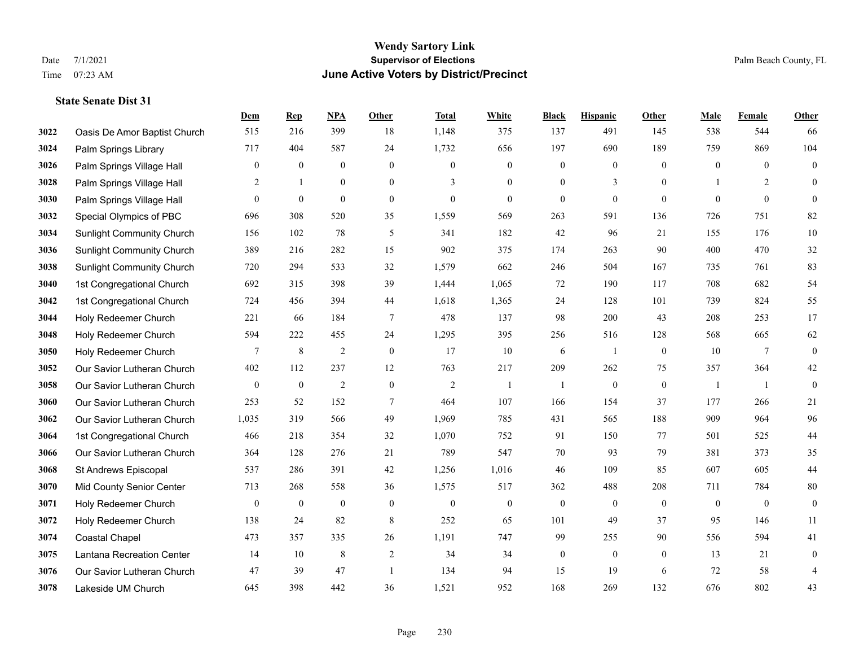|      |                                  | Dem              | <b>Rep</b>       | NPA              | <b>Other</b>     | <b>Total</b>   | <b>White</b>     | <b>Black</b>     | <b>Hispanic</b>  | <b>Other</b>     | <b>Male</b>    | Female       | <b>Other</b>     |
|------|----------------------------------|------------------|------------------|------------------|------------------|----------------|------------------|------------------|------------------|------------------|----------------|--------------|------------------|
| 3022 | Oasis De Amor Baptist Church     | 515              | 216              | 399              | 18               | 1,148          | 375              | 137              | 491              | 145              | 538            | 544          | 66               |
| 3024 | Palm Springs Library             | 717              | 404              | 587              | 24               | 1,732          | 656              | 197              | 690              | 189              | 759            | 869          | 104              |
| 3026 | Palm Springs Village Hall        | $\boldsymbol{0}$ | $\bf{0}$         | $\mathbf{0}$     | $\overline{0}$   | $\mathbf{0}$   | $\overline{0}$   | $\boldsymbol{0}$ | $\boldsymbol{0}$ | $\theta$         | $\overline{0}$ | $\theta$     | $\boldsymbol{0}$ |
| 3028 | Palm Springs Village Hall        | $\overline{c}$   | $\mathbf{1}$     | $\mathbf{0}$     | $\overline{0}$   | 3              | $\mathbf{0}$     | $\boldsymbol{0}$ | 3                | $\mathbf{0}$     |                | 2            | $\mathbf{0}$     |
| 3030 | Palm Springs Village Hall        | $\overline{0}$   | $\mathbf{0}$     | $\mathbf{0}$     | $\overline{0}$   | $\mathbf{0}$   | $\overline{0}$   | $\boldsymbol{0}$ | $\mathbf{0}$     | $\theta$         | $\mathbf{0}$   | $\mathbf{0}$ | $\mathbf{0}$     |
| 3032 | Special Olympics of PBC          | 696              | 308              | 520              | 35               | 1,559          | 569              | 263              | 591              | 136              | 726            | 751          | 82               |
| 3034 | <b>Sunlight Community Church</b> | 156              | 102              | 78               | 5                | 341            | 182              | 42               | 96               | 21               | 155            | 176          | $10\,$           |
| 3036 | <b>Sunlight Community Church</b> | 389              | 216              | 282              | 15               | 902            | 375              | 174              | 263              | 90               | 400            | 470          | $32\,$           |
| 3038 | <b>Sunlight Community Church</b> | 720              | 294              | 533              | 32               | 1,579          | 662              | 246              | 504              | 167              | 735            | 761          | 83               |
| 3040 | 1st Congregational Church        | 692              | 315              | 398              | 39               | 1,444          | 1,065            | 72               | 190              | 117              | 708            | 682          | 54               |
| 3042 | 1st Congregational Church        | 724              | 456              | 394              | 44               | 1,618          | 1,365            | 24               | 128              | 101              | 739            | 824          | 55               |
| 3044 | Holy Redeemer Church             | 221              | 66               | 184              | $\tau$           | 478            | 137              | 98               | 200              | 43               | 208            | 253          | 17               |
| 3048 | Holy Redeemer Church             | 594              | 222              | 455              | 24               | 1,295          | 395              | 256              | 516              | 128              | 568            | 665          | 62               |
| 3050 | Holy Redeemer Church             | $\overline{7}$   | $\,$ 8 $\,$      | $\overline{2}$   | $\boldsymbol{0}$ | 17             | $10\,$           | 6                | $\mathbf{1}$     | $\boldsymbol{0}$ | 10             | $\tau$       | $\boldsymbol{0}$ |
| 3052 | Our Savior Lutheran Church       | 402              | 112              | 237              | 12               | 763            | 217              | 209              | 262              | 75               | 357            | 364          | $42\,$           |
| 3058 | Our Savior Lutheran Church       | $\mathbf{0}$     | $\boldsymbol{0}$ | $\overline{2}$   | $\mathbf{0}$     | $\overline{2}$ | -1               | $\overline{1}$   | $\mathbf{0}$     | $\mathbf{0}$     | -1             | -1           | $\mathbf{0}$     |
| 3060 | Our Savior Lutheran Church       | 253              | 52               | 152              | $\tau$           | 464            | 107              | 166              | 154              | 37               | 177            | 266          | 21               |
| 3062 | Our Savior Lutheran Church       | 1,035            | 319              | 566              | 49               | 1,969          | 785              | 431              | 565              | 188              | 909            | 964          | 96               |
| 3064 | 1st Congregational Church        | 466              | 218              | 354              | 32               | 1,070          | 752              | 91               | 150              | 77               | 501            | 525          | $44\,$           |
| 3066 | Our Savior Lutheran Church       | 364              | 128              | 276              | 21               | 789            | 547              | 70               | 93               | 79               | 381            | 373          | 35               |
| 3068 | St Andrews Episcopal             | 537              | 286              | 391              | 42               | 1,256          | 1,016            | 46               | 109              | 85               | 607            | 605          | $44\,$           |
| 3070 | Mid County Senior Center         | 713              | 268              | 558              | 36               | 1,575          | 517              | 362              | 488              | 208              | 711            | 784          | $80\,$           |
| 3071 | Holy Redeemer Church             | $\mathbf{0}$     | $\bf{0}$         | $\boldsymbol{0}$ | $\mathbf{0}$     | $\mathbf{0}$   | $\boldsymbol{0}$ | $\boldsymbol{0}$ | $\mathbf{0}$     | $\theta$         | $\mathbf{0}$   | $\mathbf{0}$ | $\boldsymbol{0}$ |
| 3072 | Holy Redeemer Church             | 138              | 24               | 82               | 8                | 252            | 65               | 101              | 49               | 37               | 95             | 146          | 11               |
| 3074 | <b>Coastal Chapel</b>            | 473              | 357              | 335              | 26               | 1,191          | 747              | 99               | 255              | 90               | 556            | 594          | 41               |
| 3075 | Lantana Recreation Center        | 14               | 10               | $\,8\,$          | $\sqrt{2}$       | 34             | 34               | $\boldsymbol{0}$ | $\boldsymbol{0}$ | $\mathbf{0}$     | 13             | 21           | $\boldsymbol{0}$ |
| 3076 | Our Savior Lutheran Church       | 47               | 39               | 47               | $\overline{1}$   | 134            | 94               | 15               | 19               | 6                | 72             | 58           | 4                |
| 3078 | Lakeside UM Church               | 645              | 398              | 442              | 36               | 1,521          | 952              | 168              | 269              | 132              | 676            | 802          | 43               |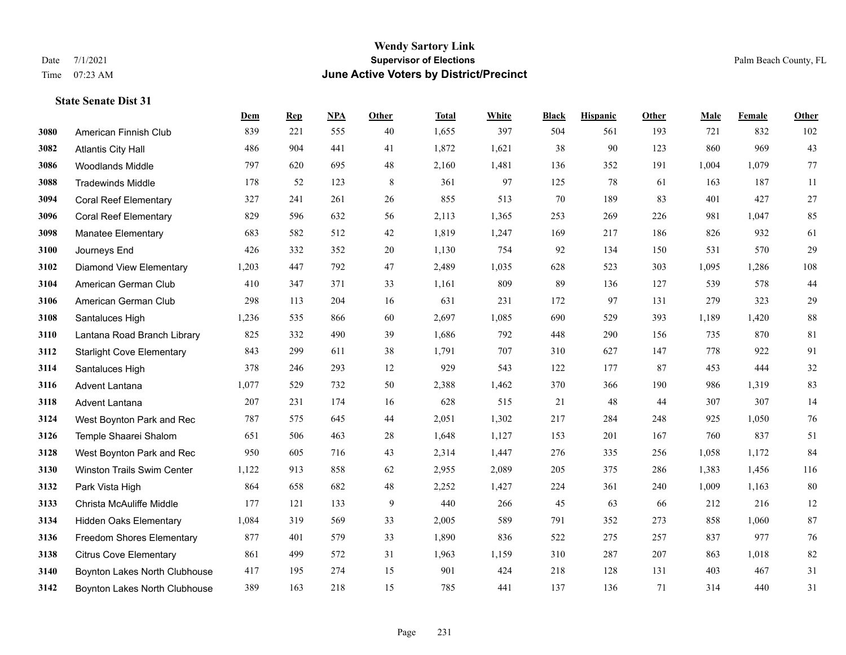#### **Wendy Sartory Link** Date 7/1/2021 **Supervisor of Elections** Palm Beach County, FL Time 07:23 AM **June Active Voters by District/Precinct**

# **Dem Rep NPA Other Total White Black Hispanic Other Male Female Other** American Finnish Club 839 221 555 40 1,655 397 504 561 193 721 832 102 Atlantis City Hall 486 904 441 41 1,872 1,621 38 90 123 860 969 43 Woodlands Middle 797 620 695 48 2,160 1,481 136 352 191 1,004 1,079 77 Tradewinds Middle 178 52 123 8 361 97 125 78 61 163 187 11 Coral Reef Elementary 327 241 261 26 855 513 70 189 83 401 427 27 Coral Reef Elementary 829 596 632 56 2,113 1,365 253 269 226 981 1,047 85 Manatee Elementary 683 582 512 42 1,819 1,247 169 217 186 826 932 61 Journeys End 426 332 352 20 1,130 754 92 134 150 531 570 29 Diamond View Elementary 1,203 447 792 47 2,489 1,035 628 523 303 1,095 1,286 108 American German Club 410 347 371 33 1,161 809 89 136 127 539 578 44 American German Club 298 113 204 16 631 231 172 97 131 279 323 29 Santaluces High 1,236 535 866 60 2,697 1,085 690 529 393 1,189 1,420 88 Lantana Road Branch Library 825 332 490 39 1,686 792 448 290 156 735 870 81 Starlight Cove Elementary 843 299 611 38 1,791 707 310 627 147 778 922 91 Santaluces High 378 246 293 12 929 543 122 177 87 453 444 32 Advent Lantana 1,077 529 732 50 2,388 1,462 370 366 190 986 1,319 83 Advent Lantana 207 231 174 16 628 515 21 48 44 307 307 14 West Boynton Park and Rec 787 575 645 44 2,051 1,302 217 284 248 925 1,050 76 Temple Shaarei Shalom 651 506 463 28 1,648 1,127 153 201 167 760 837 51 West Boynton Park and Rec 950 605 716 43 2,314 1,447 276 335 256 1,058 1,172 84 Winston Trails Swim Center 1,122 913 858 62 2,955 2,089 205 375 286 1,383 1,456 116 Park Vista High 864 658 682 48 2,252 1,427 224 361 240 1,009 1,163 80 Christa McAuliffe Middle 177 121 133 9 440 266 45 63 66 212 216 12 Hidden Oaks Elementary 1,084 319 569 33 2,005 589 791 352 273 858 1,060 87 Freedom Shores Elementary 877 401 579 33 1,890 836 522 275 257 837 977 76 Citrus Cove Elementary 861 499 572 31 1,963 1,159 310 287 207 863 1,018 82 Boynton Lakes North Clubhouse 417 195 274 15 901 424 218 128 131 403 467 31 Boynton Lakes North Clubhouse 389 163 218 15 785 441 137 136 71 314 440 31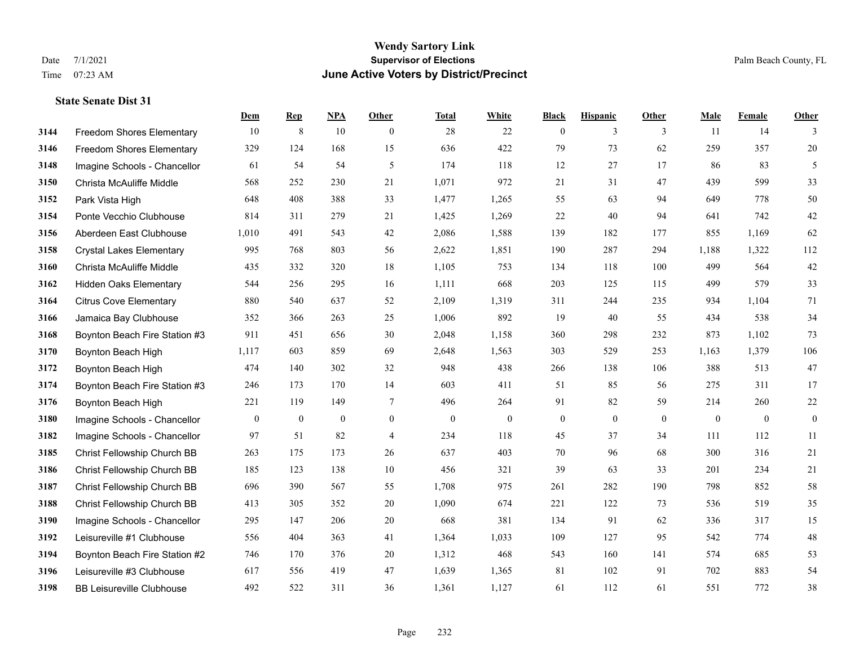#### **Wendy Sartory Link** Date 7/1/2021 **Supervisor of Elections** Palm Beach County, FL Time 07:23 AM **June Active Voters by District/Precinct**

# **Dem Rep NPA Other Total White Black Hispanic Other Male Female Other** Freedom Shores Elementary 10 8 10 0 28 22 0 3 3 11 14 3 Freedom Shores Elementary 329 124 168 15 636 422 79 73 62 259 357 20 Imagine Schools - Chancellor 61 54 54 5 61 54 5 174 118 12 27 17 86 83 5 Christa McAuliffe Middle 568 252 230 21 1,071 972 21 31 47 439 599 33 Park Vista High 648 408 388 33 1,477 1,265 55 63 94 649 778 50 Ponte Vecchio Clubhouse 814 311 279 21 1,425 1,269 22 40 94 641 742 42 Aberdeen East Clubhouse 1,010 491 543 42 2,086 1,588 139 182 177 855 1,169 62 Crystal Lakes Elementary 995 768 803 56 2,622 1,851 190 287 294 1,188 1,322 112 Christa McAuliffe Middle 435 332 320 18 1,105 753 134 118 100 499 564 42 Hidden Oaks Elementary 544 256 295 16 1,111 668 203 125 115 499 579 33 Citrus Cove Elementary 880 540 637 52 2,109 1,319 311 244 235 934 1,104 71 Jamaica Bay Clubhouse 352 366 263 25 1,006 892 19 40 55 434 538 34 Boynton Beach Fire Station #3 911 451 656 30 2,048 1,158 360 298 232 873 1,102 73 Boynton Beach High 1,117 603 859 69 2,648 1,563 303 529 253 1,163 1,379 106 Boynton Beach High 474 140 302 32 948 438 266 138 106 388 513 47 Boynton Beach Fire Station #3 246 173 170 14 603 411 51 85 56 275 311 17 Boynton Beach High 221 119 149 7 496 264 91 82 59 214 260 22 Imagine Schools - Chancellor 0 0 0 0 0 0 0 0 0 0 0 0 Imagine Schools - Chancellor 97 51 82 4 234 118 45 37 34 111 112 11 Christ Fellowship Church BB 263 175 173 26 637 403 70 96 68 300 316 21 Christ Fellowship Church BB 185 123 138 10 456 321 39 63 33 201 234 21 Christ Fellowship Church BB 696 390 567 55 1,708 975 261 282 190 798 852 58 Christ Fellowship Church BB 413 305 352 20 1,090 674 221 122 73 536 519 35 Imagine Schools - Chancellor 295 147 206 20 668 381 134 91 62 336 317 15 Leisureville #1 Clubhouse 556 404 363 41 1,364 1,033 109 127 95 542 774 48 Boynton Beach Fire Station #2 746 170 376 20 1,312 468 543 160 141 574 685 53 Leisureville #3 Clubhouse 617 556 419 47 1,639 1,365 81 102 91 702 883 54 BB Leisureville Clubhouse 492 522 311 36 1,361 1,127 61 112 61 551 772 38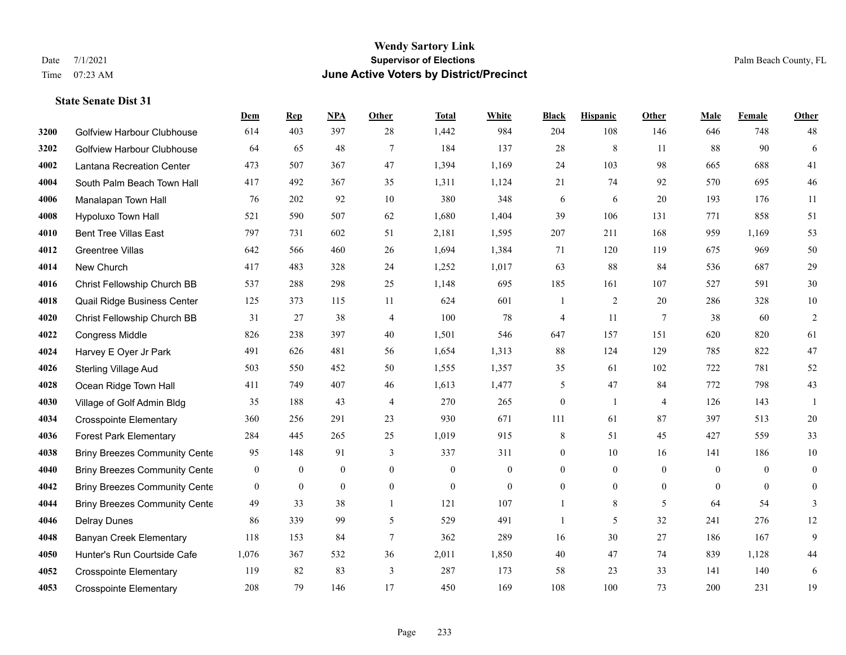#### **Wendy Sartory Link** Date 7/1/2021 **Supervisor of Elections** Palm Beach County, FL Time 07:23 AM **June Active Voters by District/Precinct**

Golfview Harbour Clubhouse 614 403 397 28 1,442 984 204 108 146 646 748 48

**Dem Rep NPA Other Total White Black Hispanic Other Male Female Other**

# Golfview Harbour Clubhouse 64 65 48 7 184 137 28 8 11 88 90 6 Lantana Recreation Center 473 507 367 47 1,394 1,169 24 103 98 665 688 41 South Palm Beach Town Hall 417 492 367 35 1,311 1,124 21 74 92 570 695 46 Manalapan Town Hall 76 202 92 10 380 348 6 6 20 193 176 11 Hypoluxo Town Hall 521 590 507 62 1,680 1,404 39 106 131 771 858 51 Bent Tree Villas East 797 731 602 51 2,181 1,595 207 211 168 959 1,169 53 Greentree Villas 642 566 460 26 1,694 1,384 71 120 119 675 969 50 New Church 417 483 328 24 1,252 1,017 63 88 84 536 687 29 Christ Fellowship Church BB 537 288 298 25 1,148 695 185 161 107 527 591 30 Quail Ridge Business Center 125 373 115 11 624 601 1 2 20 286 328 10 Christ Fellowship Church BB 31 27 38 4 100 78 4 11 7 38 60 2 Congress Middle 826 238 397 40 1,501 546 647 157 151 620 820 61 Harvey E Oyer Jr Park 491 626 481 56 1,654 1,313 88 124 129 785 822 47 Sterling Village Aud 503 550 452 50 1,555 1,357 35 61 102 722 781 52 Ocean Ridge Town Hall 411 749 407 46 1,613 1,477 5 47 84 772 798 43 Village of Golf Admin Bldg 35 188 43 4 270 265 0 1 4 126 143 1 Crosspointe Elementary 360 256 291 23 930 671 111 61 87 397 513 20 Forest Park Elementary 284 445 265 25 1,019 915 8 51 45 427 559 33 **4038 Briny Breezes Community Cente** 95 148 91 3 337 311 0 10 16 141 186 10 Briny Breezes Community Center 0 0 0 0 0 0 0 0 0 0 0 0 Briny Breezes Community Center 0 0 0 0 0 0 0 0 0 0 0 0 Briny Breezes Community Cente 49 33 38 1 121 107 1 8 5 64 54 3 Delray Dunes 86 339 99 5 529 491 1 5 32 241 276 12

 Banyan Creek Elementary 118 153 84 7 362 289 16 30 27 186 167 9 Hunter's Run Courtside Cafe 1,076 367 532 36 2,011 1,850 40 47 74 839 1,128 44 Crosspointe Elementary 119 82 83 3 287 173 58 23 33 141 140 6 Crosspointe Elementary 208 79 146 17 450 169 108 100 73 200 231 19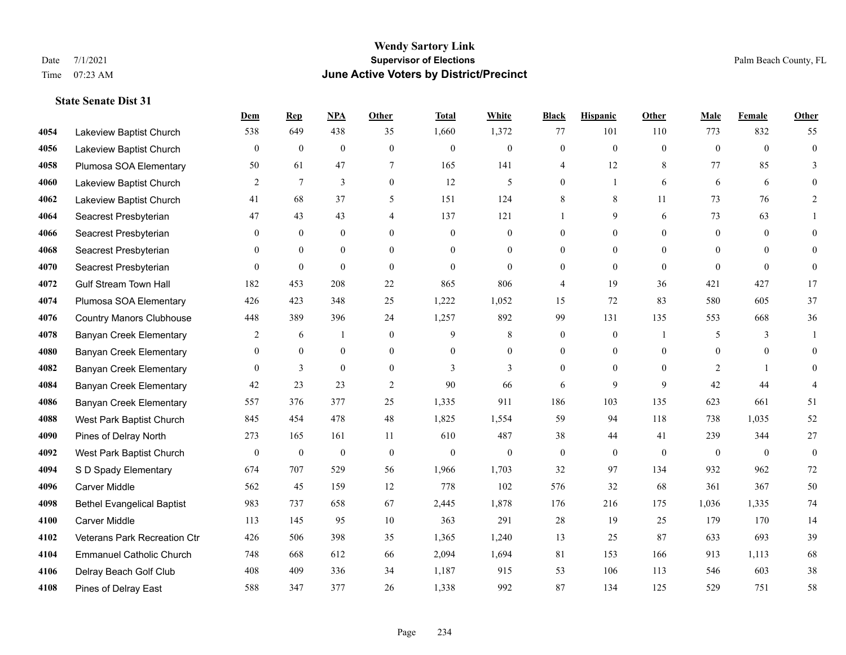#### **Wendy Sartory Link** Date 7/1/2021 **Supervisor of Elections** Palm Beach County, FL Time 07:23 AM **June Active Voters by District/Precinct**

# **Dem Rep NPA Other Total White Black Hispanic Other Male Female Other** Lakeview Baptist Church 538 649 438 35 1,660 1,372 77 101 110 773 832 55 Lakeview Baptist Church 0 0 0 0 0 0 0 0 0 0 0 0 Plumosa SOA Elementary 50 61 47 7 165 141 4 12 8 77 85 3 Lakeview Baptist Church 2 7 3 0 12 5 0 1 6 6 6 0 Lakeview Baptist Church 41 68 37 5 151 124 8 8 11 73 76 2 Seacrest Presbyterian **47** 43 43 4 137 121 1 9 6 73 63 1 Seacrest Presbyterian 0 0 0 0 0 0 0 0 0 0 0 0 Seacrest Presbyterian 0 0 0 0 0 0 0 0 0 0 0 0 Seacrest Presbyterian 0 0 0 0 0 0 0 0 0 0 0 0 Gulf Stream Town Hall 182 453 208 22 865 806 4 19 36 421 427 17 Plumosa SOA Elementary 426 423 348 25 1,222 1,052 15 72 83 580 605 37 Country Manors Clubhouse 448 389 396 24 1,257 892 99 131 135 553 668 36 Banyan Creek Elementary 2 6 1 0 9 8 0 0 1 5 3 1 Banyan Creek Elementary 0 0 0 0 0 0 0 0 0 0 0 0 **4082 Banyan Creek Elementary 0 3 0 0 3 3 3 0 0 0 2 1 0 4084 Banyan Creek Elementary 42 23 23 23 2 90 66 6 9 9 42 44 4**  Banyan Creek Elementary 557 376 377 25 1,335 911 186 103 135 623 661 51 West Park Baptist Church 845 454 478 48 1,825 1,554 59 94 118 738 1,035 52 Pines of Delray North 273 165 161 11 610 487 38 44 41 239 344 27 West Park Baptist Church 0 0 0 0 0 0 0 0 0 0 0 0 S D Spady Elementary 674 707 529 56 1,966 1,703 32 97 134 932 962 72 Carver Middle 562 45 159 12 778 102 576 32 68 361 367 50 Bethel Evangelical Baptist 983 737 658 67 2,445 1,878 176 216 175 1,036 1,335 74 Carver Middle 113 145 95 10 363 291 28 19 25 179 170 14 Veterans Park Recreation Ctr 426 506 398 35 1,365 1,240 13 25 87 633 693 39 Emmanuel Catholic Church 748 668 612 66 2,094 1,694 81 153 166 913 1,113 68 Delray Beach Golf Club 408 409 336 34 1,187 915 53 106 113 546 603 38 Pines of Delray East 588 347 377 26 1,338 992 87 134 125 529 751 58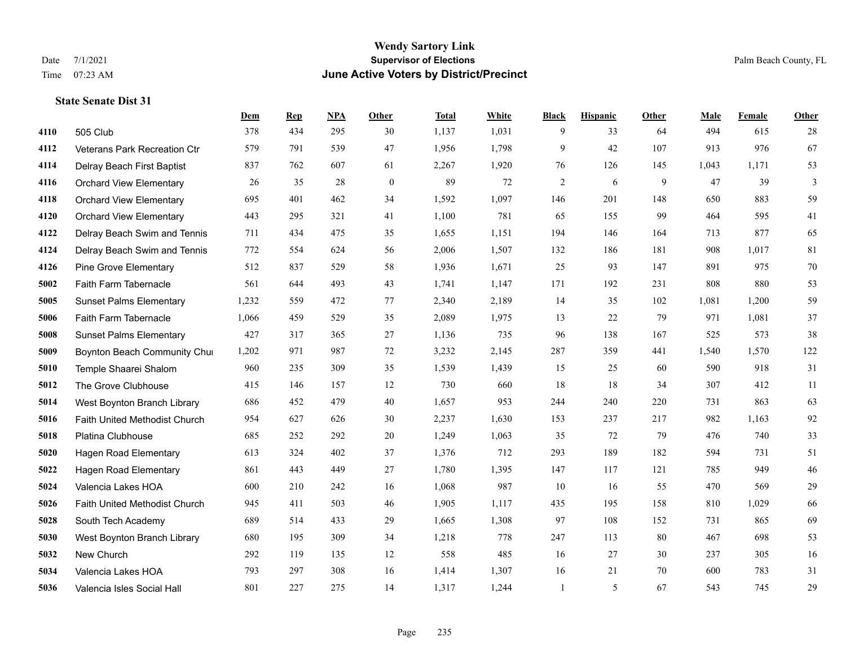|      |                                | Dem   | <b>Rep</b> | NPA | <b>Other</b> | <b>Total</b> | White | <b>Black</b>   | <b>Hispanic</b> | Other | <b>Male</b> | Female | <b>Other</b> |
|------|--------------------------------|-------|------------|-----|--------------|--------------|-------|----------------|-----------------|-------|-------------|--------|--------------|
| 4110 | 505 Club                       | 378   | 434        | 295 | 30           | 1,137        | 1,031 | 9              | 33              | 64    | 494         | 615    | 28           |
| 4112 | Veterans Park Recreation Ctr   | 579   | 791        | 539 | 47           | 1,956        | 1,798 | 9              | 42              | 107   | 913         | 976    | 67           |
| 4114 | Delray Beach First Baptist     | 837   | 762        | 607 | 61           | 2,267        | 1,920 | 76             | 126             | 145   | 1,043       | 1,171  | 53           |
| 4116 | <b>Orchard View Elementary</b> | 26    | 35         | 28  | $\mathbf{0}$ | 89           | 72    | $\mathfrak{2}$ | 6               | 9     | 47          | 39     | 3            |
| 4118 | <b>Orchard View Elementary</b> | 695   | 401        | 462 | 34           | 1,592        | 1,097 | 146            | 201             | 148   | 650         | 883    | 59           |
| 4120 | <b>Orchard View Elementary</b> | 443   | 295        | 321 | 41           | 1,100        | 781   | 65             | 155             | 99    | 464         | 595    | 41           |
| 4122 | Delray Beach Swim and Tennis   | 711   | 434        | 475 | 35           | 1,655        | 1,151 | 194            | 146             | 164   | 713         | 877    | 65           |
| 4124 | Delray Beach Swim and Tennis   | 772   | 554        | 624 | 56           | 2,006        | 1,507 | 132            | 186             | 181   | 908         | 1,017  | 81           |
| 4126 | <b>Pine Grove Elementary</b>   | 512   | 837        | 529 | 58           | 1,936        | 1,671 | 25             | 93              | 147   | 891         | 975    | $70\,$       |
| 5002 | Faith Farm Tabernacle          | 561   | 644        | 493 | 43           | 1,741        | 1,147 | 171            | 192             | 231   | 808         | 880    | 53           |
| 5005 | <b>Sunset Palms Elementary</b> | 1,232 | 559        | 472 | 77           | 2,340        | 2,189 | 14             | 35              | 102   | 1,081       | 1,200  | 59           |
| 5006 | Faith Farm Tabernacle          | 1,066 | 459        | 529 | 35           | 2,089        | 1,975 | 13             | 22              | 79    | 971         | 1,081  | 37           |
| 5008 | <b>Sunset Palms Elementary</b> | 427   | 317        | 365 | 27           | 1,136        | 735   | 96             | 138             | 167   | 525         | 573    | 38           |
| 5009 | Boynton Beach Community Chur   | 1,202 | 971        | 987 | 72           | 3,232        | 2,145 | 287            | 359             | 441   | 1,540       | 1,570  | 122          |
| 5010 | Temple Shaarei Shalom          | 960   | 235        | 309 | 35           | 1,539        | 1,439 | 15             | 25              | 60    | 590         | 918    | 31           |
| 5012 | The Grove Clubhouse            | 415   | 146        | 157 | 12           | 730          | 660   | 18             | 18              | 34    | 307         | 412    | 11           |
| 5014 | West Boynton Branch Library    | 686   | 452        | 479 | 40           | 1,657        | 953   | 244            | 240             | 220   | 731         | 863    | 63           |
| 5016 | Faith United Methodist Church  | 954   | 627        | 626 | 30           | 2,237        | 1,630 | 153            | 237             | 217   | 982         | 1,163  | 92           |
| 5018 | Platina Clubhouse              | 685   | 252        | 292 | 20           | 1,249        | 1,063 | 35             | 72              | 79    | 476         | 740    | 33           |
| 5020 | <b>Hagen Road Elementary</b>   | 613   | 324        | 402 | 37           | 1,376        | 712   | 293            | 189             | 182   | 594         | 731    | 51           |
| 5022 | <b>Hagen Road Elementary</b>   | 861   | 443        | 449 | 27           | 1,780        | 1,395 | 147            | 117             | 121   | 785         | 949    | 46           |
| 5024 | Valencia Lakes HOA             | 600   | 210        | 242 | 16           | 1,068        | 987   | 10             | 16              | 55    | 470         | 569    | $29\,$       |
| 5026 | Faith United Methodist Church  | 945   | 411        | 503 | 46           | 1,905        | 1,117 | 435            | 195             | 158   | 810         | 1,029  | 66           |
| 5028 | South Tech Academy             | 689   | 514        | 433 | 29           | 1,665        | 1,308 | 97             | 108             | 152   | 731         | 865    | 69           |
| 5030 | West Boynton Branch Library    | 680   | 195        | 309 | 34           | 1,218        | 778   | 247            | 113             | 80    | 467         | 698    | 53           |
| 5032 | New Church                     | 292   | 119        | 135 | 12           | 558          | 485   | 16             | 27              | 30    | 237         | 305    | 16           |
| 5034 | Valencia Lakes HOA             | 793   | 297        | 308 | 16           | 1,414        | 1,307 | 16             | 21              | 70    | 600         | 783    | 31           |
| 5036 | Valencia Isles Social Hall     | 801   | 227        | 275 | 14           | 1,317        | 1,244 | 1              | 5               | 67    | 543         | 745    | 29           |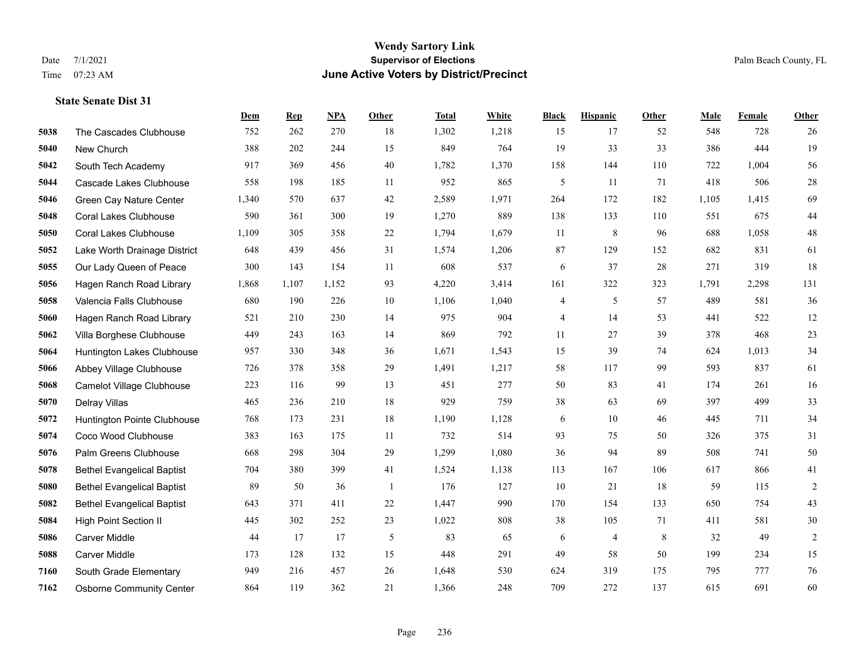#### **Wendy Sartory Link** Date 7/1/2021 **Supervisor of Elections** Palm Beach County, FL Time 07:23 AM **June Active Voters by District/Precinct**

# **Dem Rep NPA Other Total White Black Hispanic Other Male Female Other** The Cascades Clubhouse 752 262 270 18 1,302 1,218 15 17 52 548 728 26 New Church 388 202 244 15 849 764 19 33 33 386 444 19 South Tech Academy 917 369 456 40 1,782 1,370 158 144 110 722 1,004 56 Cascade Lakes Clubhouse 558 198 185 11 952 865 5 11 71 418 506 28 Green Cay Nature Center 1,340 570 637 42 2,589 1,971 264 172 182 1,105 1,415 69 Coral Lakes Clubhouse 590 361 300 19 1,270 889 138 133 110 551 675 44 Coral Lakes Clubhouse 1,109 305 358 22 1,794 1,679 11 8 96 688 1,058 48 Lake Worth Drainage District 648 439 456 31 1,574 1,206 87 129 152 682 831 61 Our Lady Queen of Peace 300 143 154 11 608 537 6 37 28 271 319 18 Hagen Ranch Road Library 1,868 1,107 1,152 93 4,220 3,414 161 322 323 1,791 2,298 131 Valencia Falls Clubhouse 680 190 226 10 1,106 1,040 4 5 57 489 581 36 Hagen Ranch Road Library 521 210 230 14 975 904 4 14 53 441 522 12 Villa Borghese Clubhouse 449 243 163 14 869 792 11 27 39 378 468 23 Huntington Lakes Clubhouse 957 330 348 36 1,671 1,543 15 39 74 624 1,013 34 Abbey Village Clubhouse 726 378 358 29 1,491 1,217 58 117 99 593 837 61 Camelot Village Clubhouse 223 116 99 13 451 277 50 83 41 174 261 16 Delray Villas 465 236 210 18 929 759 38 63 69 397 499 33 Huntington Pointe Clubhouse 768 173 231 18 1,190 1,128 6 10 46 445 711 34 Coco Wood Clubhouse 383 163 175 11 732 514 93 75 50 326 375 31 Palm Greens Clubhouse 668 298 304 29 1,299 1,080 36 94 89 508 741 50 Bethel Evangelical Baptist 704 380 399 41 1,524 1,138 113 167 106 617 866 41 Bethel Evangelical Baptist 89 50 36 1 176 127 10 21 18 59 115 2 Bethel Evangelical Baptist 643 371 411 22 1,447 990 170 154 133 650 754 43 High Point Section II 445 302 252 23 1,022 808 38 105 71 411 581 30 Carver Middle 44 17 17 5 83 65 6 4 8 32 49 2 Carver Middle 173 128 132 15 448 291 49 58 50 199 234 15 South Grade Elementary 949 216 457 26 1,648 530 624 319 175 795 777 76

Osborne Community Center 864 119 362 21 1,366 248 709 272 137 615 691 60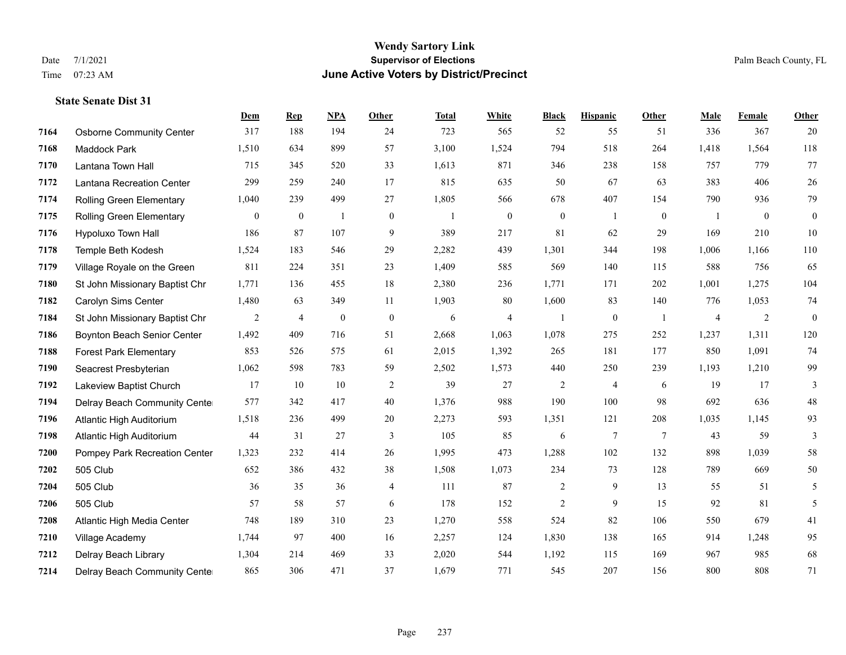|      |                                 | Dem            | <b>Rep</b>     | <b>NPA</b>       | <b>Other</b>   | <b>Total</b> | White          | <b>Black</b>     | <b>Hispanic</b>  | Other           | Male           | Female         | Other            |
|------|---------------------------------|----------------|----------------|------------------|----------------|--------------|----------------|------------------|------------------|-----------------|----------------|----------------|------------------|
| 7164 | <b>Osborne Community Center</b> | 317            | 188            | 194              | 24             | 723          | 565            | 52               | 55               | 51              | 336            | 367            | 20               |
| 7168 | Maddock Park                    | 1,510          | 634            | 899              | 57             | 3,100        | 1,524          | 794              | 518              | 264             | 1,418          | 1,564          | 118              |
| 7170 | Lantana Town Hall               | 715            | 345            | 520              | 33             | 1,613        | 871            | 346              | 238              | 158             | 757            | 779            | 77               |
| 7172 | Lantana Recreation Center       | 299            | 259            | 240              | 17             | 815          | 635            | 50               | 67               | 63              | 383            | 406            | $26\,$           |
| 7174 | <b>Rolling Green Elementary</b> | 1,040          | 239            | 499              | 27             | 1,805        | 566            | 678              | 407              | 154             | 790            | 936            | 79               |
| 7175 | <b>Rolling Green Elementary</b> | $\overline{0}$ | $\bf{0}$       | $\overline{1}$   | $\mathbf{0}$   | $\mathbf{1}$ | $\overline{0}$ | $\boldsymbol{0}$ | 1                | $\theta$        | -1             | $\overline{0}$ | $\boldsymbol{0}$ |
| 7176 | Hypoluxo Town Hall              | 186            | 87             | 107              | 9              | 389          | 217            | 81               | 62               | 29              | 169            | 210            | 10               |
| 7178 | Temple Beth Kodesh              | 1,524          | 183            | 546              | 29             | 2,282        | 439            | 1,301            | 344              | 198             | 1,006          | 1,166          | 110              |
| 7179 | Village Royale on the Green     | 811            | 224            | 351              | 23             | 1,409        | 585            | 569              | 140              | 115             | 588            | 756            | 65               |
| 7180 | St John Missionary Baptist Chr  | 1,771          | 136            | 455              | 18             | 2,380        | 236            | 1,771            | 171              | 202             | 1,001          | 1,275          | 104              |
| 7182 | Carolyn Sims Center             | 1,480          | 63             | 349              | 11             | 1,903        | 80             | 1,600            | 83               | 140             | 776            | 1,053          | 74               |
| 7184 | St John Missionary Baptist Chr  | $\overline{c}$ | $\overline{4}$ | $\boldsymbol{0}$ | $\mathbf{0}$   | 6            | $\overline{4}$ | $\mathbf{1}$     | $\boldsymbol{0}$ | -1              | $\overline{4}$ | 2              | $\boldsymbol{0}$ |
| 7186 | Boynton Beach Senior Center     | 1,492          | 409            | 716              | 51             | 2,668        | 1,063          | 1,078            | 275              | 252             | 1,237          | 1,311          | 120              |
| 7188 | <b>Forest Park Elementary</b>   | 853            | 526            | 575              | 61             | 2,015        | 1,392          | 265              | 181              | 177             | 850            | 1,091          | 74               |
| 7190 | Seacrest Presbyterian           | 1,062          | 598            | 783              | 59             | 2,502        | 1,573          | 440              | 250              | 239             | 1,193          | 1,210          | 99               |
| 7192 | Lakeview Baptist Church         | 17             | 10             | 10               | $\overline{c}$ | 39           | 27             | $\overline{c}$   | $\overline{4}$   | 6               | 19             | 17             | 3                |
| 7194 | Delray Beach Community Cente    | 577            | 342            | 417              | 40             | 1,376        | 988            | 190              | 100              | 98              | 692            | 636            | $48\,$           |
| 7196 | Atlantic High Auditorium        | 1,518          | 236            | 499              | 20             | 2,273        | 593            | 1,351            | 121              | 208             | 1,035          | 1,145          | 93               |
| 7198 | Atlantic High Auditorium        | 44             | 31             | 27               | 3              | 105          | 85             | 6                | $7\phantom{.0}$  | $7\phantom{.0}$ | 43             | 59             | 3                |
| 7200 | Pompey Park Recreation Center   | 1,323          | 232            | 414              | 26             | 1,995        | 473            | 1,288            | 102              | 132             | 898            | 1,039          | 58               |
| 7202 | 505 Club                        | 652            | 386            | 432              | 38             | 1,508        | 1,073          | 234              | 73               | 128             | 789            | 669            | 50               |
| 7204 | 505 Club                        | 36             | 35             | 36               | $\overline{4}$ | 111          | 87             | $\overline{c}$   | 9                | 13              | 55             | 51             | 5                |
| 7206 | 505 Club                        | 57             | 58             | 57               | 6              | 178          | 152            | $\overline{c}$   | 9                | 15              | 92             | 81             | 5                |
| 7208 | Atlantic High Media Center      | 748            | 189            | 310              | 23             | 1,270        | 558            | 524              | 82               | 106             | 550            | 679            | 41               |
| 7210 | Village Academy                 | 1,744          | 97             | 400              | 16             | 2,257        | 124            | 1,830            | 138              | 165             | 914            | 1,248          | 95               |
| 7212 | Delray Beach Library            | 1,304          | 214            | 469              | 33             | 2,020        | 544            | 1,192            | 115              | 169             | 967            | 985            | 68               |
| 7214 | Delray Beach Community Cente    | 865            | 306            | 471              | 37             | 1,679        | 771            | 545              | 207              | 156             | 800            | 808            | 71               |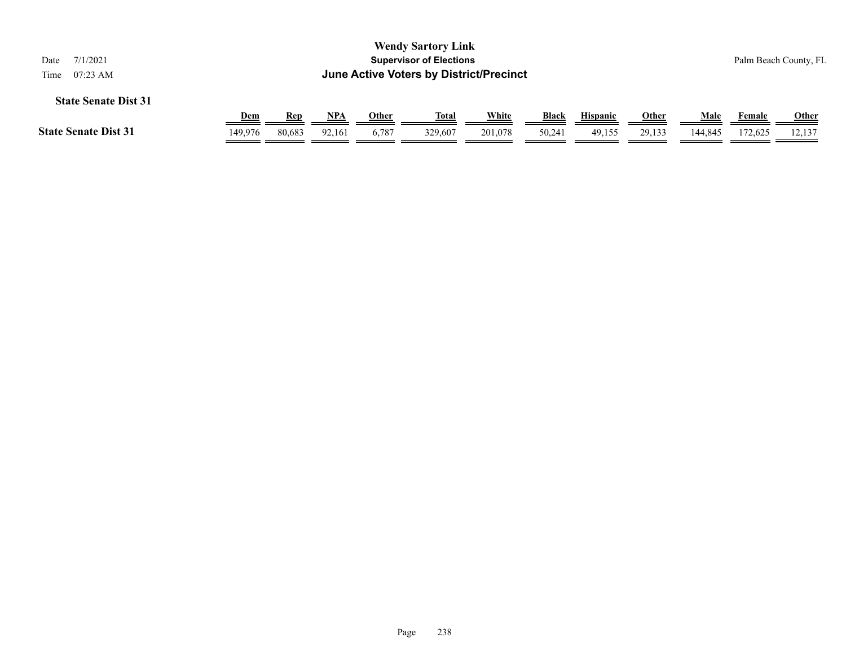| <b>Wendy Sartory Link</b><br><b>Supervisor of Elections</b><br>7/1/2021<br>Date<br>June Active Voters by District/Precinct<br>$07:23$ AM<br>Time                                                  |         |        |        |       |         |         |        |        |        |         |         | Palm Beach County, FL |
|---------------------------------------------------------------------------------------------------------------------------------------------------------------------------------------------------|---------|--------|--------|-------|---------|---------|--------|--------|--------|---------|---------|-----------------------|
| <b>State Senate Dist 31</b><br><u>White</u><br><b>Black</b><br><b>Other</b><br><u>NPA</u><br><b>Hispanic</b><br><u>Other</u><br><u>Total</u><br><u>Male</u><br><u>Dem</u><br>Rep<br><b>Female</b> |         |        |        |       |         |         |        |        |        |         |         |                       |
| <b>State Senate Dist 31</b>                                                                                                                                                                       | 149.976 | 80.683 | 92.161 | 6,787 | 329,607 | 201,078 | 50,241 | 49,155 | 29.133 | 144,845 | 172.625 | 12.137                |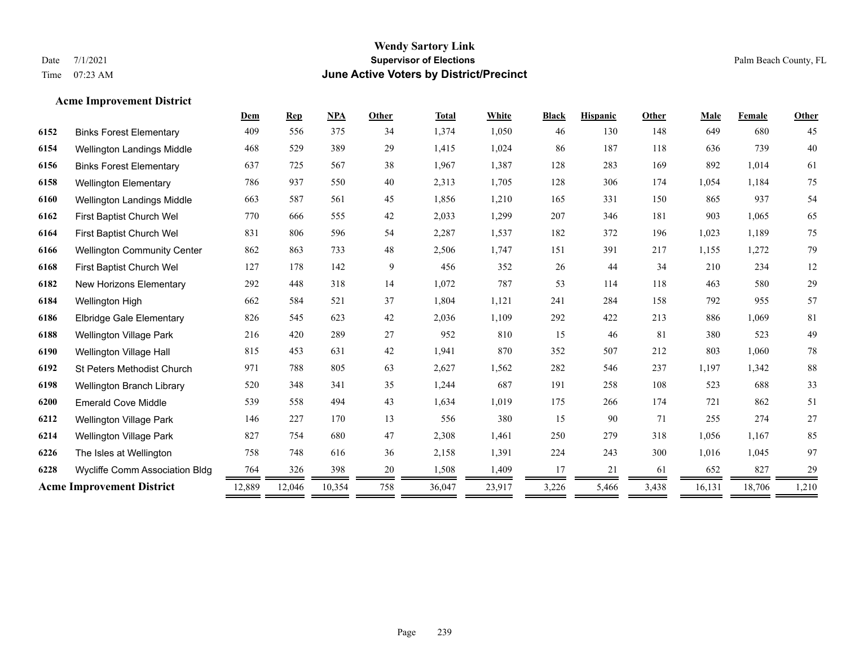## **Wendy Sartory Link** Date 7/1/2021 Palm Beach County, FL Time 07:23 AM **June Active Voters by District/Precinct**

## **Acme Improvement District**

|      |                                    | Dem    | <b>Rep</b> | <b>NPA</b> | <b>Other</b> | <b>Total</b> | White  | <b>Black</b> | <b>Hispanic</b> | Other | Male   | Female | Other  |
|------|------------------------------------|--------|------------|------------|--------------|--------------|--------|--------------|-----------------|-------|--------|--------|--------|
| 6152 | <b>Binks Forest Elementary</b>     | 409    | 556        | 375        | 34           | 1,374        | 1,050  | 46           | 130             | 148   | 649    | 680    | 45     |
| 6154 | <b>Wellington Landings Middle</b>  | 468    | 529        | 389        | 29           | 1,415        | 1,024  | 86           | 187             | 118   | 636    | 739    | 40     |
| 6156 | <b>Binks Forest Elementary</b>     | 637    | 725        | 567        | 38           | 1,967        | 1,387  | 128          | 283             | 169   | 892    | 1,014  | 61     |
| 6158 | <b>Wellington Elementary</b>       | 786    | 937        | 550        | 40           | 2,313        | 1,705  | 128          | 306             | 174   | 1,054  | 1,184  | 75     |
| 6160 | Wellington Landings Middle         | 663    | 587        | 561        | 45           | 1,856        | 1,210  | 165          | 331             | 150   | 865    | 937    | 54     |
| 6162 | First Baptist Church Wel           | 770    | 666        | 555        | 42           | 2,033        | 1,299  | 207          | 346             | 181   | 903    | 1,065  | 65     |
| 6164 | First Baptist Church Wel           | 831    | 806        | 596        | 54           | 2,287        | 1,537  | 182          | 372             | 196   | 1,023  | 1,189  | 75     |
| 6166 | <b>Wellington Community Center</b> | 862    | 863        | 733        | 48           | 2,506        | 1,747  | 151          | 391             | 217   | 1,155  | 1,272  | 79     |
| 6168 | First Baptist Church Wel           | 127    | 178        | 142        | 9            | 456          | 352    | 26           | 44              | 34    | 210    | 234    | 12     |
| 6182 | New Horizons Elementary            | 292    | 448        | 318        | 14           | 1,072        | 787    | 53           | 114             | 118   | 463    | 580    | 29     |
| 6184 | Wellington High                    | 662    | 584        | 521        | 37           | 1,804        | 1,121  | 241          | 284             | 158   | 792    | 955    | 57     |
| 6186 | <b>Elbridge Gale Elementary</b>    | 826    | 545        | 623        | 42           | 2,036        | 1,109  | 292          | 422             | 213   | 886    | 1,069  | 81     |
| 6188 | <b>Wellington Village Park</b>     | 216    | 420        | 289        | 27           | 952          | 810    | 15           | 46              | 81    | 380    | 523    | 49     |
| 6190 | Wellington Village Hall            | 815    | 453        | 631        | 42           | 1,941        | 870    | 352          | 507             | 212   | 803    | 1,060  | $78\,$ |
| 6192 | <b>St Peters Methodist Church</b>  | 971    | 788        | 805        | 63           | 2,627        | 1,562  | 282          | 546             | 237   | 1,197  | 1,342  | $88\,$ |
| 6198 | Wellington Branch Library          | 520    | 348        | 341        | 35           | 1,244        | 687    | 191          | 258             | 108   | 523    | 688    | 33     |
| 6200 | <b>Emerald Cove Middle</b>         | 539    | 558        | 494        | 43           | 1,634        | 1,019  | 175          | 266             | 174   | 721    | 862    | 51     |
| 6212 | <b>Wellington Village Park</b>     | 146    | 227        | 170        | 13           | 556          | 380    | 15           | 90              | 71    | 255    | 274    | $27\,$ |
| 6214 | <b>Wellington Village Park</b>     | 827    | 754        | 680        | 47           | 2,308        | 1,461  | 250          | 279             | 318   | 1,056  | 1,167  | 85     |
| 6226 | The Isles at Wellington            | 758    | 748        | 616        | 36           | 2,158        | 1,391  | 224          | 243             | 300   | 1,016  | 1,045  | 97     |
| 6228 | Wycliffe Comm Association Bldg     | 764    | 326        | 398        | 20           | 1,508        | 1,409  | 17           | 21              | 61    | 652    | 827    | 29     |
|      | <b>Acme Improvement District</b>   | 12,889 | 12,046     | 10,354     | 758          | 36,047       | 23,917 | 3,226        | 5,466           | 3,438 | 16,131 | 18,706 | 1,210  |
|      |                                    |        |            |            |              |              |        |              |                 |       |        |        |        |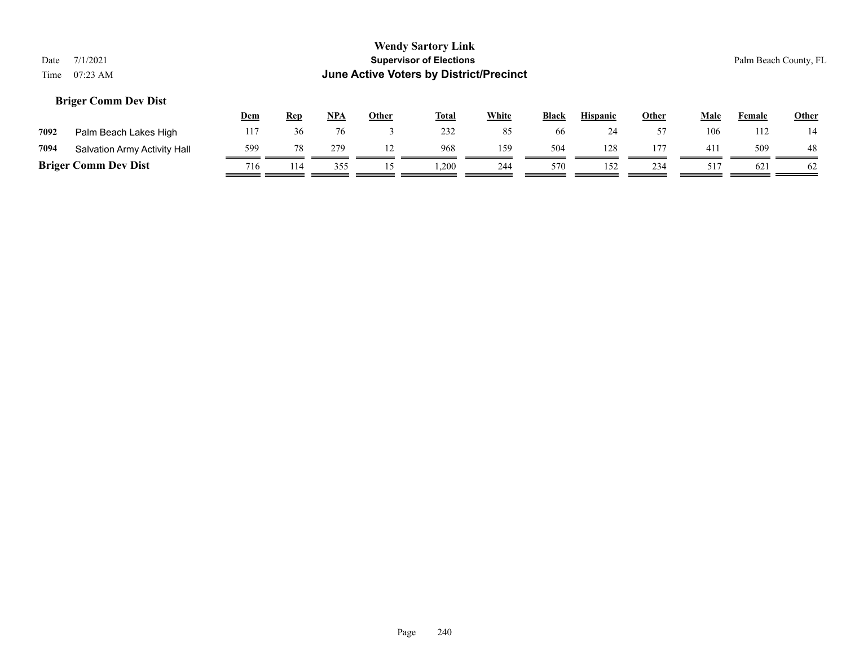## **Briger Comm Dev Dist**

|      |                              | <u>Dem</u> | <u>Rep</u> | NPA | Other | <b>Total</b> | White | <b>Black</b> | <b>Hispanic</b> | Other | Male | Female | <b>Other</b> |
|------|------------------------------|------------|------------|-----|-------|--------------|-------|--------------|-----------------|-------|------|--------|--------------|
| 7092 | Palm Beach Lakes High        |            |            |     |       | 232          |       | 66           | ∠⊤              |       | 106  | 12     |              |
| 7094 | Salvation Army Activity Hall | 599        |            | 279 |       | 968          | 159   | 504          | 128             | 177   | 411  | 509    | 48           |
|      | <b>Briger Comm Dev Dist</b>  | 716        | 114        | 355 |       | ,200         | 244   | 570          | 152             | 234   | 51   | 621    | -62          |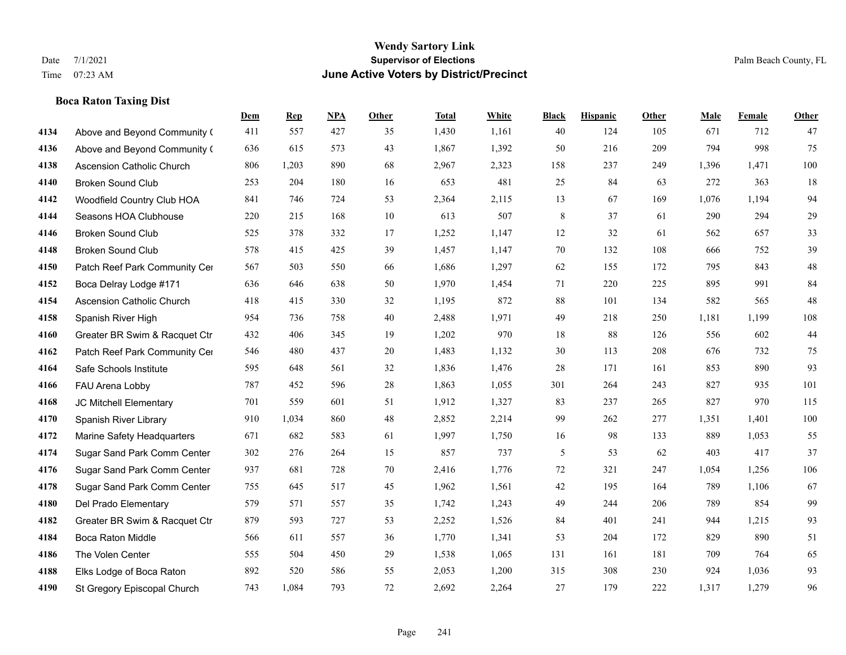## **Boca Raton Taxing Dist**

|      |                                  | Dem | <b>Rep</b> | NPA | <b>Other</b> | <b>Total</b> | White | <b>Black</b> | <b>Hispanic</b> | <b>Other</b> | <b>Male</b> | Female | <b>Other</b> |
|------|----------------------------------|-----|------------|-----|--------------|--------------|-------|--------------|-----------------|--------------|-------------|--------|--------------|
| 4134 | Above and Beyond Community (     | 411 | 557        | 427 | 35           | 1,430        | 1,161 | 40           | 124             | 105          | 671         | 712    | 47           |
| 4136 | Above and Beyond Community (     | 636 | 615        | 573 | 43           | 1,867        | 1,392 | 50           | 216             | 209          | 794         | 998    | 75           |
| 4138 | <b>Ascension Catholic Church</b> | 806 | 1,203      | 890 | 68           | 2,967        | 2,323 | 158          | 237             | 249          | 1,396       | 1,471  | 100          |
| 4140 | <b>Broken Sound Club</b>         | 253 | 204        | 180 | 16           | 653          | 481   | 25           | 84              | 63           | 272         | 363    | 18           |
| 4142 | Woodfield Country Club HOA       | 841 | 746        | 724 | 53           | 2,364        | 2,115 | 13           | 67              | 169          | 1,076       | 1,194  | 94           |
| 4144 | Seasons HOA Clubhouse            | 220 | 215        | 168 | 10           | 613          | 507   | 8            | 37              | 61           | 290         | 294    | $29\,$       |
| 4146 | <b>Broken Sound Club</b>         | 525 | 378        | 332 | 17           | 1,252        | 1,147 | 12           | 32              | 61           | 562         | 657    | 33           |
| 4148 | <b>Broken Sound Club</b>         | 578 | 415        | 425 | 39           | 1,457        | 1,147 | 70           | 132             | 108          | 666         | 752    | 39           |
| 4150 | Patch Reef Park Community Cer    | 567 | 503        | 550 | 66           | 1,686        | 1,297 | 62           | 155             | 172          | 795         | 843    | $48\,$       |
| 4152 | Boca Delray Lodge #171           | 636 | 646        | 638 | 50           | 1,970        | 1,454 | 71           | 220             | 225          | 895         | 991    | 84           |
| 4154 | <b>Ascension Catholic Church</b> | 418 | 415        | 330 | 32           | 1,195        | 872   | 88           | 101             | 134          | 582         | 565    | $48\,$       |
| 4158 | Spanish River High               | 954 | 736        | 758 | 40           | 2,488        | 1,971 | 49           | 218             | 250          | 1,181       | 1.199  | 108          |
| 4160 | Greater BR Swim & Racquet Ctr    | 432 | 406        | 345 | 19           | 1,202        | 970   | 18           | 88              | 126          | 556         | 602    | $44\,$       |
| 4162 | Patch Reef Park Community Cer    | 546 | 480        | 437 | 20           | 1,483        | 1,132 | 30           | 113             | 208          | 676         | 732    | 75           |
| 4164 | Safe Schools Institute           | 595 | 648        | 561 | 32           | 1,836        | 1,476 | 28           | 171             | 161          | 853         | 890    | 93           |
| 4166 | FAU Arena Lobby                  | 787 | 452        | 596 | 28           | 1,863        | 1,055 | 301          | 264             | 243          | 827         | 935    | 101          |
| 4168 | JC Mitchell Elementary           | 701 | 559        | 601 | 51           | 1,912        | 1,327 | 83           | 237             | 265          | 827         | 970    | 115          |
| 4170 | Spanish River Library            | 910 | 1,034      | 860 | 48           | 2,852        | 2,214 | 99           | 262             | 277          | 1,351       | 1,401  | $100\,$      |
| 4172 | Marine Safety Headquarters       | 671 | 682        | 583 | 61           | 1,997        | 1,750 | 16           | 98              | 133          | 889         | 1,053  | 55           |
| 4174 | Sugar Sand Park Comm Center      | 302 | 276        | 264 | 15           | 857          | 737   | 5            | 53              | 62           | 403         | 417    | 37           |
| 4176 | Sugar Sand Park Comm Center      | 937 | 681        | 728 | 70           | 2,416        | 1,776 | 72           | 321             | 247          | 1,054       | 1,256  | 106          |
| 4178 | Sugar Sand Park Comm Center      | 755 | 645        | 517 | 45           | 1,962        | 1,561 | 42           | 195             | 164          | 789         | 1,106  | 67           |
| 4180 | Del Prado Elementary             | 579 | 571        | 557 | 35           | 1,742        | 1,243 | 49           | 244             | 206          | 789         | 854    | 99           |
| 4182 | Greater BR Swim & Racquet Ctr    | 879 | 593        | 727 | 53           | 2,252        | 1,526 | 84           | 401             | 241          | 944         | 1,215  | 93           |
| 4184 | <b>Boca Raton Middle</b>         | 566 | 611        | 557 | 36           | 1,770        | 1,341 | 53           | 204             | 172          | 829         | 890    | 51           |
| 4186 | The Volen Center                 | 555 | 504        | 450 | 29           | 1,538        | 1,065 | 131          | 161             | 181          | 709         | 764    | 65           |
| 4188 | Elks Lodge of Boca Raton         | 892 | 520        | 586 | 55           | 2,053        | 1,200 | 315          | 308             | 230          | 924         | 1,036  | 93           |
| 4190 | St Gregory Episcopal Church      | 743 | 1,084      | 793 | 72           | 2,692        | 2,264 | 27           | 179             | 222          | 1,317       | 1,279  | 96           |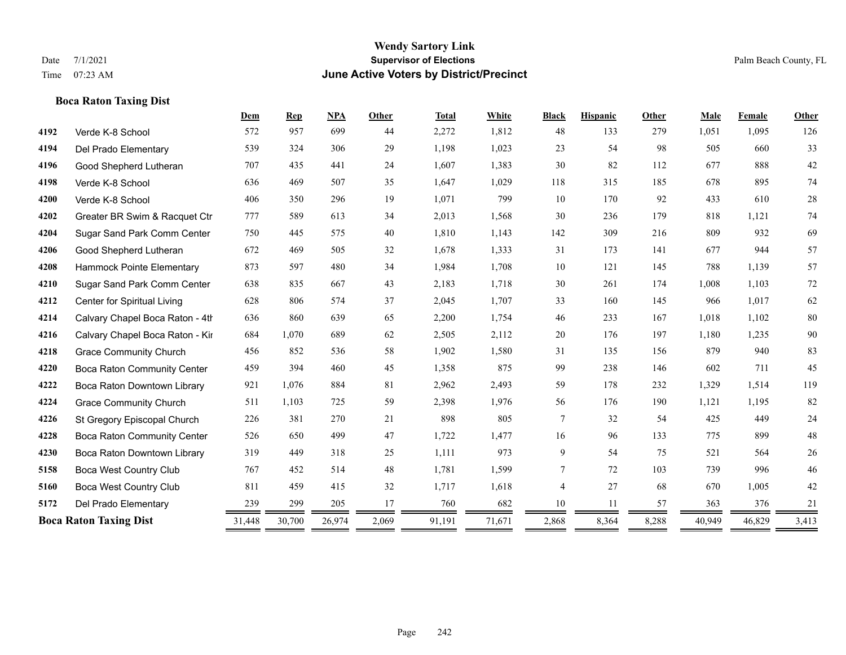|      | <b>Boca Raton Taxing Dist</b>   |        |                |            |        |              |        |                |                 |       |        |        |        |
|------|---------------------------------|--------|----------------|------------|--------|--------------|--------|----------------|-----------------|-------|--------|--------|--------|
|      |                                 | Dem    | $\mathbf{Rep}$ | <b>NPA</b> | Other  | <b>Total</b> | White  | <b>Black</b>   | <b>Hispanic</b> | Other | Male   | Female | Other  |
| 4192 | Verde K-8 School                | 572    | 957            | 699        | 44     | 2,272        | 1,812  | 48             | 133             | 279   | 1,051  | 1,095  | 126    |
| 4194 | Del Prado Elementary            | 539    | 324            | 306        | 29     | 1,198        | 1,023  | 23             | 54              | 98    | 505    | 660    | 33     |
| 4196 | Good Shepherd Lutheran          | 707    | 435            | 441        | 24     | 1,607        | 1,383  | $30\,$         | 82              | 112   | 677    | 888    | $42\,$ |
| 4198 | Verde K-8 School                | 636    | 469            | 507        | 35     | 1,647        | 1,029  | 118            | 315             | 185   | 678    | 895    | 74     |
| 4200 | Verde K-8 School                | 406    | 350            | 296        | 19     | 1,071        | 799    | 10             | 170             | 92    | 433    | 610    | 28     |
| 4202 | Greater BR Swim & Racquet Ctr   | 777    | 589            | 613        | 34     | 2,013        | 1,568  | 30             | 236             | 179   | 818    | 1,121  | 74     |
| 4204 | Sugar Sand Park Comm Center     | 750    | 445            | 575        | $40\,$ | 1,810        | 1,143  | 142            | 309             | 216   | 809    | 932    | 69     |
| 4206 | Good Shepherd Lutheran          | 672    | 469            | 505        | 32     | 1,678        | 1,333  | 31             | 173             | 141   | 677    | 944    | 57     |
| 4208 | Hammock Pointe Elementary       | 873    | 597            | 480        | 34     | 1,984        | 1,708  | 10             | 121             | 145   | 788    | 1,139  | 57     |
| 4210 | Sugar Sand Park Comm Center     | 638    | 835            | 667        | 43     | 2,183        | 1,718  | 30             | 261             | 174   | 1,008  | 1,103  | 72     |
| 4212 | Center for Spiritual Living     | 628    | 806            | 574        | 37     | 2,045        | 1,707  | 33             | 160             | 145   | 966    | 1,017  | 62     |
| 4214 | Calvary Chapel Boca Raton - 4th | 636    | 860            | 639        | 65     | 2,200        | 1,754  | 46             | 233             | 167   | 1,018  | 1,102  | 80     |
| 4216 | Calvary Chapel Boca Raton - Kir | 684    | 1,070          | 689        | 62     | 2,505        | 2,112  | $20\,$         | 176             | 197   | 1,180  | 1,235  | 90     |
| 4218 | <b>Grace Community Church</b>   | 456    | 852            | 536        | 58     | 1,902        | 1,580  | 31             | 135             | 156   | 879    | 940    | 83     |
| 4220 | Boca Raton Community Center     | 459    | 394            | 460        | 45     | 1,358        | 875    | 99             | 238             | 146   | 602    | 711    | 45     |
| 4222 | Boca Raton Downtown Library     | 921    | 1,076          | 884        | 81     | 2,962        | 2,493  | 59             | 178             | 232   | 1,329  | 1,514  | 119    |
| 4224 | <b>Grace Community Church</b>   | 511    | 1,103          | 725        | 59     | 2,398        | 1,976  | 56             | 176             | 190   | 1,121  | 1,195  | 82     |
| 4226 | St Gregory Episcopal Church     | 226    | 381            | 270        | 21     | 898          | 805    | $\tau$         | 32              | 54    | 425    | 449    | 24     |
| 4228 | Boca Raton Community Center     | 526    | 650            | 499        | 47     | 1,722        | 1,477  | 16             | 96              | 133   | 775    | 899    | 48     |
| 4230 | Boca Raton Downtown Library     | 319    | 449            | 318        | 25     | 1,111        | 973    | 9              | 54              | 75    | 521    | 564    | $26\,$ |
| 5158 | <b>Boca West Country Club</b>   | 767    | 452            | 514        | 48     | 1,781        | 1,599  | $\overline{7}$ | 72              | 103   | 739    | 996    | 46     |
| 5160 | Boca West Country Club          | 811    | 459            | 415        | 32     | 1,717        | 1,618  | $\overline{4}$ | 27              | 68    | 670    | 1,005  | 42     |
| 5172 | Del Prado Elementary            | 239    | 299            | 205        | 17     | 760          | 682    | 10             | 11              | 57    | 363    | 376    | 21     |
|      | <b>Boca Raton Taxing Dist</b>   | 31,448 | 30,700         | 26,974     | 2,069  | 91,191       | 71,671 | 2,868          | 8,364           | 8,288 | 40,949 | 46,829 | 3,413  |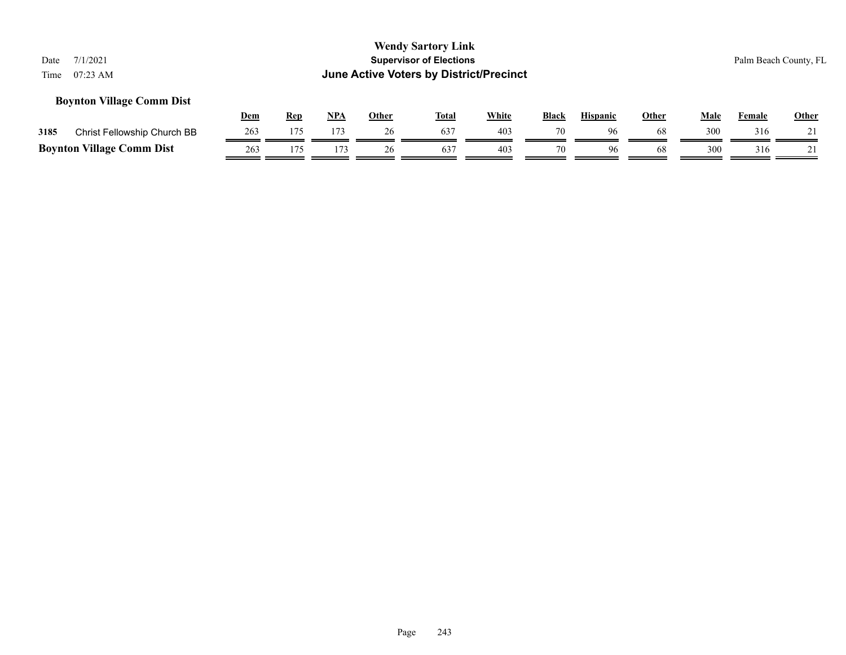## **Boynton Village Comm Dist**

|                                  |                             | Dem | Rep | NPA | Other | <b>Total</b> | White           | <b>Black</b> | <b>Hispanic</b> | Other | Male | Female | <b>Other</b> |
|----------------------------------|-----------------------------|-----|-----|-----|-------|--------------|-----------------|--------------|-----------------|-------|------|--------|--------------|
| 3185                             | Christ Fellowship Church BB | 263 |     |     | 26    |              | 403             | 70           | 96              | 68    | 300  | 316    |              |
| <b>Boynton Village Comm Dist</b> |                             | 263 |     |     |       | 637          | 40 <sup>2</sup> | 70           | 96              | 68    | 300  | 316    |              |

Page 243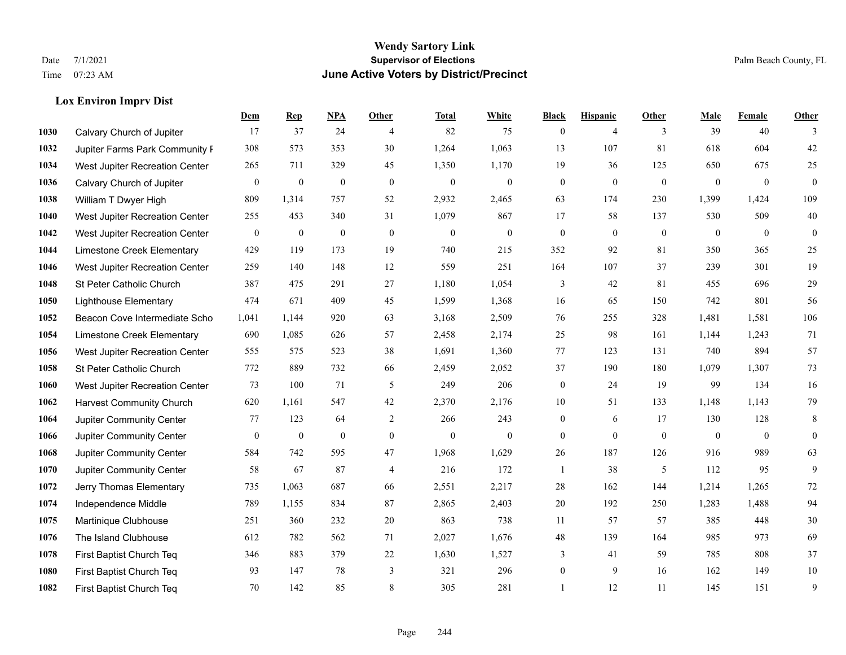## **Wendy Sartory Link** Date 7/1/2021 Palm Beach County, FL Time 07:23 AM **June Active Voters by District/Precinct**

## **Lox Environ Imprv Dist**

|      |                                 | Dem          | <b>Rep</b>       | NPA              | <b>Other</b>   | <b>Total</b>     | <b>White</b>     | <b>Black</b>     | <b>Hispanic</b> | <b>Other</b>   | <b>Male</b>      | Female       | <b>Other</b>     |
|------|---------------------------------|--------------|------------------|------------------|----------------|------------------|------------------|------------------|-----------------|----------------|------------------|--------------|------------------|
| 1030 | Calvary Church of Jupiter       | 17           | 37               | 24               | $\overline{4}$ | 82               | 75               | $\mathbf{0}$     | $\overline{4}$  | 3              | 39               | 40           | 3                |
| 1032 | Jupiter Farms Park Community I  | 308          | 573              | 353              | 30             | 1,264            | 1,063            | 13               | 107             | 81             | 618              | 604          | $42\,$           |
| 1034 | West Jupiter Recreation Center  | 265          | 711              | 329              | 45             | 1,350            | 1,170            | 19               | 36              | 125            | 650              | 675          | 25               |
| 1036 | Calvary Church of Jupiter       | $\mathbf{0}$ | $\boldsymbol{0}$ | $\mathbf{0}$     | $\mathbf{0}$   | $\boldsymbol{0}$ | $\boldsymbol{0}$ | $\boldsymbol{0}$ | $\mathbf{0}$    | $\mathbf{0}$   | $\mathbf{0}$     | $\mathbf{0}$ | $\mathbf{0}$     |
| 1038 | William T Dwyer High            | 809          | 1,314            | 757              | 52             | 2,932            | 2,465            | 63               | 174             | 230            | 1,399            | 1,424        | 109              |
| 1040 | West Jupiter Recreation Center  | 255          | 453              | 340              | 31             | 1,079            | 867              | 17               | 58              | 137            | 530              | 509          | $40\,$           |
| 1042 | West Jupiter Recreation Center  | $\mathbf{0}$ | $\mathbf{0}$     | $\mathbf{0}$     | $\mathbf{0}$   | $\theta$         | $\mathbf{0}$     | $\boldsymbol{0}$ | $\mathbf{0}$    | $\mathbf{0}$   | $\mathbf{0}$     | $\mathbf{0}$ | $\boldsymbol{0}$ |
| 1044 | Limestone Creek Elementary      | 429          | 119              | 173              | 19             | 740              | 215              | 352              | 92              | 81             | 350              | 365          | $25\,$           |
| 1046 | West Jupiter Recreation Center  | 259          | 140              | 148              | 12             | 559              | 251              | 164              | 107             | 37             | 239              | 301          | 19               |
| 1048 | St Peter Catholic Church        | 387          | 475              | 291              | 27             | 1,180            | 1,054            | 3                | 42              | 81             | 455              | 696          | $29\,$           |
| 1050 | <b>Lighthouse Elementary</b>    | 474          | 671              | 409              | 45             | 1,599            | 1,368            | 16               | 65              | 150            | 742              | 801          | 56               |
| 1052 | Beacon Cove Intermediate Scho   | 1,041        | 1.144            | 920              | 63             | 3,168            | 2,509            | 76               | 255             | 328            | 1,481            | 1,581        | 106              |
| 1054 | Limestone Creek Elementary      | 690          | 1,085            | 626              | 57             | 2,458            | 2,174            | 25               | 98              | 161            | 1,144            | 1,243        | 71               |
| 1056 | West Jupiter Recreation Center  | 555          | 575              | 523              | 38             | 1,691            | 1,360            | 77               | 123             | 131            | 740              | 894          | 57               |
| 1058 | St Peter Catholic Church        | 772          | 889              | 732              | 66             | 2,459            | 2,052            | 37               | 190             | 180            | 1,079            | 1,307        | 73               |
| 1060 | West Jupiter Recreation Center  | 73           | 100              | 71               | 5              | 249              | 206              | $\boldsymbol{0}$ | 24              | 19             | 99               | 134          | 16               |
| 1062 | <b>Harvest Community Church</b> | 620          | 1,161            | 547              | 42             | 2,370            | 2,176            | 10               | 51              | 133            | 1,148            | 1,143        | 79               |
| 1064 | Jupiter Community Center        | 77           | 123              | 64               | 2              | 266              | 243              | $\boldsymbol{0}$ | 6               | 17             | 130              | 128          | 8                |
| 1066 | Jupiter Community Center        | $\mathbf{0}$ | $\boldsymbol{0}$ | $\boldsymbol{0}$ | $\mathbf{0}$   | $\boldsymbol{0}$ | $\mathbf{0}$     | $\boldsymbol{0}$ | $\mathbf{0}$    | $\overline{0}$ | $\boldsymbol{0}$ | $\mathbf{0}$ | $\mathbf{0}$     |
| 1068 | Jupiter Community Center        | 584          | 742              | 595              | 47             | 1,968            | 1,629            | 26               | 187             | 126            | 916              | 989          | 63               |
| 1070 | Jupiter Community Center        | 58           | 67               | 87               | $\overline{4}$ | 216              | 172              | 1                | 38              | 5              | 112              | 95           | 9                |
| 1072 | Jerry Thomas Elementary         | 735          | 1,063            | 687              | 66             | 2,551            | 2,217            | 28               | 162             | 144            | 1,214            | 1,265        | $72\,$           |
| 1074 | Independence Middle             | 789          | 1,155            | 834              | 87             | 2,865            | 2,403            | 20               | 192             | 250            | 1,283            | 1,488        | 94               |
| 1075 | Martinique Clubhouse            | 251          | 360              | 232              | 20             | 863              | 738              | 11               | 57              | 57             | 385              | 448          | $30\,$           |
| 1076 | The Island Clubhouse            | 612          | 782              | 562              | 71             | 2,027            | 1,676            | 48               | 139             | 164            | 985              | 973          | 69               |
| 1078 | First Baptist Church Teq        | 346          | 883              | 379              | $22\,$         | 1,630            | 1,527            | 3                | 41              | 59             | 785              | 808          | 37               |
| 1080 | First Baptist Church Teq        | 93           | 147              | 78               | 3              | 321              | 296              | $\boldsymbol{0}$ | 9               | 16             | 162              | 149          | $10\,$           |
| 1082 | First Baptist Church Teq        | 70           | 142              | 85               | 8              | 305              | 281              |                  | 12              | 11             | 145              | 151          | 9                |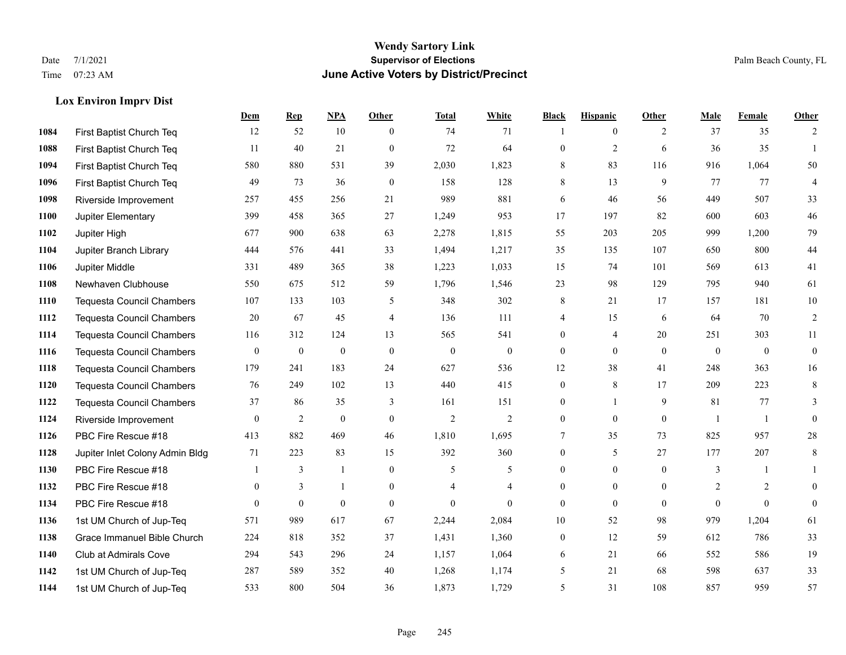**Lox Environ Imprv Dist**

## **Wendy Sartory Link** Date 7/1/2021 **Supervisor of Elections Supervisor of Elections** Palm Beach County, FL Time 07:23 AM **June Active Voters by District/Precinct**

|      |                                  | <b>Dem</b>       | <b>Rep</b>       | NPA              | <b>Other</b>   | <b>Total</b>   | White            | <b>Black</b>     | <b>Hispanic</b> | Other        | <b>Male</b>    | Female       | <b>Other</b>     |
|------|----------------------------------|------------------|------------------|------------------|----------------|----------------|------------------|------------------|-----------------|--------------|----------------|--------------|------------------|
| 1084 | First Baptist Church Teq         | 12               | 52               | 10               | $\theta$       | 74             | 71               |                  | $\mathbf{0}$    | 2            | 37             | 35           | 2                |
| 1088 | First Baptist Church Teq         | 11               | 40               | 21               | $\mathbf{0}$   | 72             | 64               | $\mathbf{0}$     | $\overline{c}$  | 6            | 36             | 35           |                  |
| 1094 | First Baptist Church Teq         | 580              | 880              | 531              | 39             | 2,030          | 1,823            | 8                | 83              | 116          | 916            | 1,064        | 50               |
| 1096 | First Baptist Church Teq         | 49               | 73               | 36               | $\theta$       | 158            | 128              | 8                | 13              | 9            | 77             | 77           | $\overline{4}$   |
| 1098 | Riverside Improvement            | 257              | 455              | 256              | 21             | 989            | 881              | 6                | 46              | 56           | 449            | 507          | 33               |
| 1100 | Jupiter Elementary               | 399              | 458              | 365              | 27             | 1,249          | 953              | 17               | 197             | 82           | 600            | 603          | 46               |
| 1102 | Jupiter High                     | 677              | 900              | 638              | 63             | 2,278          | 1,815            | 55               | 203             | 205          | 999            | 1,200        | 79               |
| 1104 | Jupiter Branch Library           | 444              | 576              | 441              | 33             | 1,494          | 1,217            | 35               | 135             | 107          | 650            | 800          | 44               |
| 1106 | Jupiter Middle                   | 331              | 489              | 365              | 38             | 1,223          | 1,033            | 15               | 74              | 101          | 569            | 613          | 41               |
| 1108 | Newhaven Clubhouse               | 550              | 675              | 512              | 59             | 1,796          | 1,546            | 23               | 98              | 129          | 795            | 940          | 61               |
| 1110 | Tequesta Council Chambers        | 107              | 133              | 103              | 5              | 348            | 302              | 8                | 21              | 17           | 157            | 181          | $10\,$           |
| 1112 | <b>Tequesta Council Chambers</b> | $20\,$           | 67               | 45               | $\overline{4}$ | 136            | 111              | 4                | 15              | 6            | 64             | 70           | $\sqrt{2}$       |
| 1114 | <b>Tequesta Council Chambers</b> | 116              | 312              | 124              | 13             | 565            | 541              | $\mathbf{0}$     | $\overline{4}$  | 20           | 251            | 303          | 11               |
| 1116 | <b>Tequesta Council Chambers</b> | $\boldsymbol{0}$ | $\boldsymbol{0}$ | $\boldsymbol{0}$ | $\mathbf{0}$   | $\mathbf{0}$   | $\boldsymbol{0}$ | $\boldsymbol{0}$ | $\overline{0}$  | $\theta$     | $\mathbf{0}$   | $\mathbf{0}$ | $\boldsymbol{0}$ |
| 1118 | <b>Tequesta Council Chambers</b> | 179              | 241              | 183              | 24             | 627            | 536              | 12               | 38              | 41           | 248            | 363          | 16               |
| 1120 | Tequesta Council Chambers        | 76               | 249              | 102              | 13             | 440            | 415              | $\boldsymbol{0}$ | 8               | 17           | 209            | 223          | 8                |
| 1122 | <b>Tequesta Council Chambers</b> | 37               | 86               | 35               | 3              | 161            | 151              | 0                | $\mathbf{1}$    | 9            | 81             | 77           | 3                |
| 1124 | Riverside Improvement            | $\overline{0}$   | $\overline{c}$   | $\mathbf{0}$     | $\mathbf{0}$   | $\mathfrak{2}$ | $\mathfrak{2}$   | $\boldsymbol{0}$ | $\theta$        | $\mathbf{0}$ |                | 1            | $\mathbf{0}$     |
| 1126 | PBC Fire Rescue #18              | 413              | 882              | 469              | 46             | 1,810          | 1,695            | 7                | 35              | 73           | 825            | 957          | $28\,$           |
| 1128 | Jupiter Inlet Colony Admin Bldg  | 71               | 223              | 83               | 15             | 392            | 360              | $\boldsymbol{0}$ | 5               | 27           | 177            | 207          | $\,8\,$          |
| 1130 | PBC Fire Rescue #18              | $\overline{1}$   | 3                | $\mathbf{1}$     | $\mathbf{0}$   | 5              | 5                | $\boldsymbol{0}$ | $\mathbf{0}$    | $\mathbf{0}$ | $\mathfrak{Z}$ | 1            |                  |
| 1132 | PBC Fire Rescue #18              | $\theta$         | 3                | $\mathbf{1}$     | $\theta$       | 4              | $\overline{4}$   | $\boldsymbol{0}$ | $\mathbf{0}$    | $\theta$     | 2              | 2            | $\mathbf{0}$     |
| 1134 | PBC Fire Rescue #18              | $\Omega$         | $\theta$         | $\mathbf{0}$     | $\mathbf{0}$   | $\mathbf{0}$   | $\theta$         | $\mathbf{0}$     | $\theta$        | $\theta$     | $\theta$       | $\theta$     | $\mathbf{0}$     |
| 1136 | 1st UM Church of Jup-Teq         | 571              | 989              | 617              | 67             | 2,244          | 2,084            | 10               | 52              | 98           | 979            | 1,204        | 61               |
| 1138 | Grace Immanuel Bible Church      | 224              | 818              | 352              | 37             | 1,431          | 1,360            | $\boldsymbol{0}$ | 12              | 59           | 612            | 786          | 33               |
| 1140 | Club at Admirals Cove            | 294              | 543              | 296              | 24             | 1,157          | 1,064            | 6                | 21              | 66           | 552            | 586          | 19               |
| 1142 | 1st UM Church of Jup-Teq         | 287              | 589              | 352              | 40             | 1,268          | 1,174            | 5                | 21              | 68           | 598            | 637          | 33               |
| 1144 | 1st UM Church of Jup-Teq         | 533              | 800              | 504              | 36             | 1,873          | 1.729            | 5                | 31              | 108          | 857            | 959          | 57               |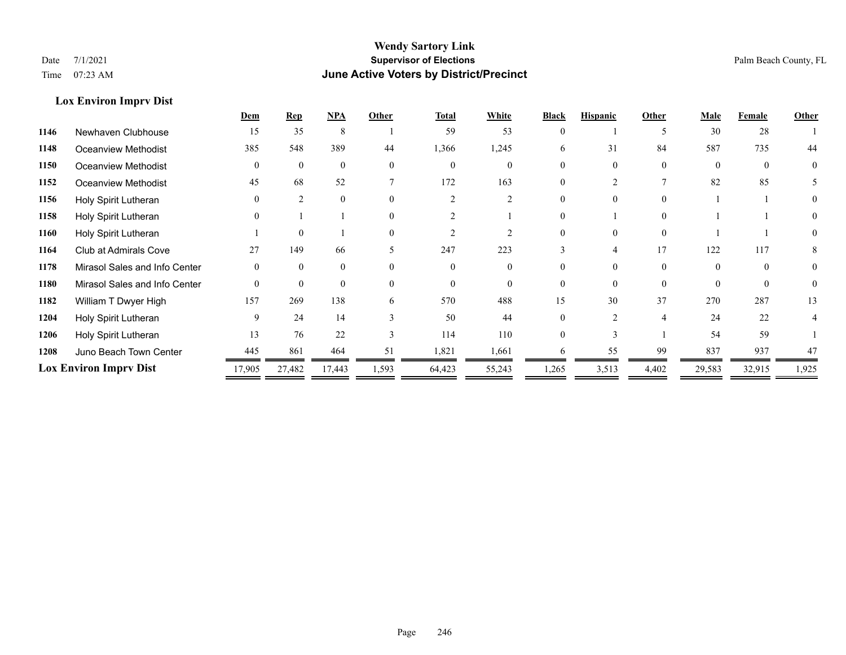**Lox Environ Imprv Dist**

## **Wendy Sartory Link** Date 7/1/2021 **Supervisor of Elections** Palm Beach County, FL Time 07:23 AM **June Active Voters by District/Precinct**

|      |                               | Dem          | <b>Rep</b>     | <b>NPA</b> | Other    | <b>Total</b> | White         | <b>Black</b> | <b>Hispanic</b> | Other    | Male     | Female   | Other    |
|------|-------------------------------|--------------|----------------|------------|----------|--------------|---------------|--------------|-----------------|----------|----------|----------|----------|
| 1146 | Newhaven Clubhouse            | 15           | 35             | 8          |          | 59           | 53            | $\Omega$     |                 | 5        | 30       | 28       |          |
| 1148 | <b>Oceanview Methodist</b>    | 385          | 548            | 389        | 44       | 1,366        | 1,245         | 6            | 31              | 84       | 587      | 735      | 44       |
| 1150 | Oceanview Methodist           | $\mathbf{0}$ | $\mathbf{0}$   | $\theta$   | $\Omega$ |              | $\theta$      |              |                 | 0        | $\Omega$ | $\theta$ | $\theta$ |
| 1152 | <b>Oceanview Methodist</b>    | 45           | 68             | 52         |          | 172          | 163           |              |                 |          | 82       | 85       |          |
| 1156 | Holy Spirit Lutheran          | $\Omega$     | $\mathfrak{D}$ |            | $\Omega$ |              | $\mathcal{D}$ |              |                 | 0        |          |          |          |
| 1158 | Holy Spirit Lutheran          | $\theta$     |                |            |          |              |               |              |                 |          |          |          |          |
| 1160 | Holy Spirit Lutheran          |              | $\theta$       |            | $\Omega$ |              |               |              |                 | $\Omega$ |          |          |          |
| 1164 | Club at Admirals Cove         | 27           | 149            | 66         |          | 247          | 223           |              |                 | 17       | 122      | 117      |          |
| 1178 | Mirasol Sales and Info Center | $\Omega$     | $\theta$       | $\theta$   | $\Omega$ |              | $\theta$      |              |                 | $\theta$ |          | $\theta$ |          |
| 1180 | Mirasol Sales and Info Center | $\Omega$     | $\theta$       | $\Omega$   | $\Omega$ |              | $\Omega$      |              |                 | $\Omega$ |          | $\Omega$ |          |
| 1182 | William T Dwyer High          | 157          | 269            | 138        | h        | 570          | 488           | 15           | 30              | 37       | 270      | 287      | 13       |
| 1204 | Holy Spirit Lutheran          | 9            | 24             | 14         | 3        | 50           | 44            |              | 2               | 4        | 24       | 22       |          |
| 1206 | Holy Spirit Lutheran          | 13           | 76             | 22         | 3        | 114          | 110           |              |                 |          | 54       | 59       |          |
| 1208 | Juno Beach Town Center        | 445          | 861            | 464        | 51       | 1,821        | 1,661         |              | 55              | 99       | 837      | 937      | 47       |
|      | <b>Lox Environ Imprv Dist</b> | 17,905       | 27,482         | 17,443     | 1,593    | 64,423       | 55,243        | 1,265        | 3,513           | 4,402    | 29,583   | 32,915   | 1,925    |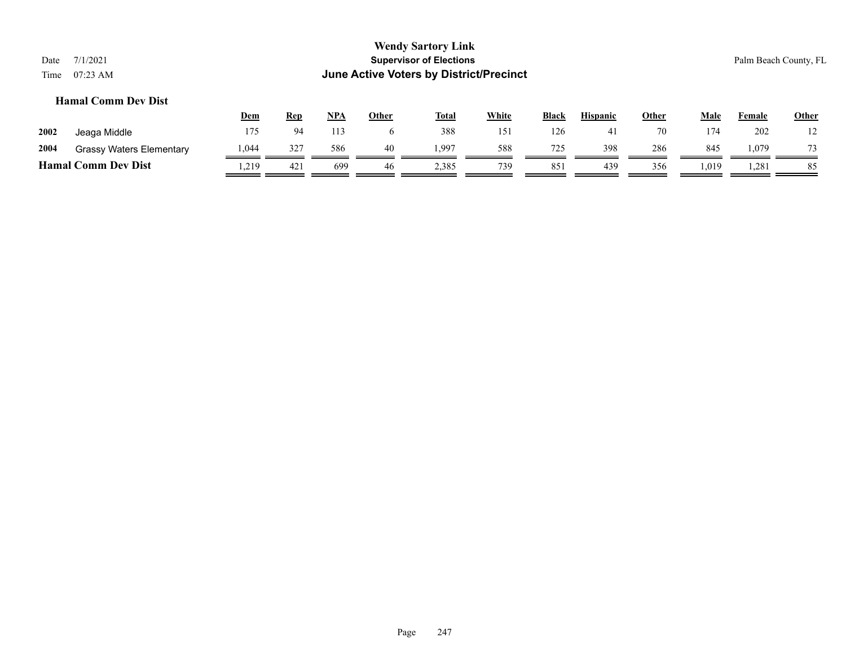## **Hamal Comm Dev Dist**

|                            |                                 | <u>Dem</u> | <b>Rep</b> | <b>NPA</b> | Other | <b>Total</b> | White | <b>Black</b> | <b>Hispanic</b> | Other | Male | Female | <b>Other</b> |
|----------------------------|---------------------------------|------------|------------|------------|-------|--------------|-------|--------------|-----------------|-------|------|--------|--------------|
| 2002                       | Jeaga Middle                    | 175        | 94         |            |       | 388          | 151   | 126          |                 | 70    | 174  | 202    |              |
| 2004                       | <b>Grassy Waters Elementary</b> | 1,044      | 327        | 586        | 40    | . 997        | 588   | 725          | 398             | 286   | 845  | 1,079  | 73           |
| <b>Hamal Comm Dev Dist</b> |                                 | .219       | 421        | 699        | 46    | 2,385        | 739   | 851          | 439             | 356   | .019 | 1,281  | 85           |
|                            |                                 |            |            |            |       |              |       |              |                 |       |      |        |              |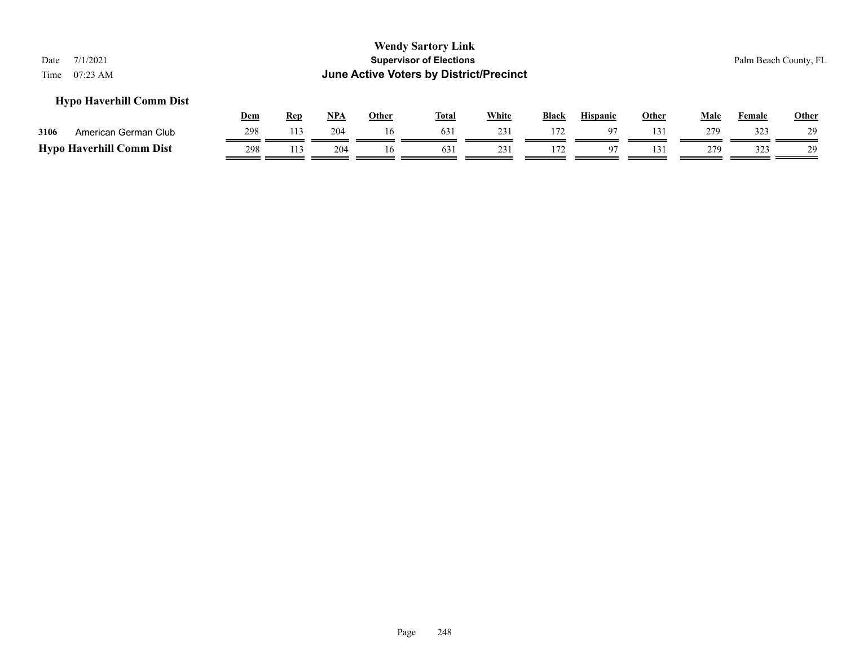## **Hypo Haverhill Comm Dist**

|      |                                 | Dem | Ren | NPA | Other | <b>Total</b>    | White | <b>Black</b> | <b>Hispanic</b> | Other | Male | <b>Female</b> | <b>Other</b> |
|------|---------------------------------|-----|-----|-----|-------|-----------------|-------|--------------|-----------------|-------|------|---------------|--------------|
| 3106 | American German Club            | 298 | 113 | 204 |       | 63.             |       | 172          |                 |       | 279  | 323           | 29           |
|      | <b>Hypo Haverhill Comm Dist</b> | 298 | 113 | 204 |       | 63 <sub>1</sub> |       |              |                 |       | 270  | 323<br>ن نے ب | 20           |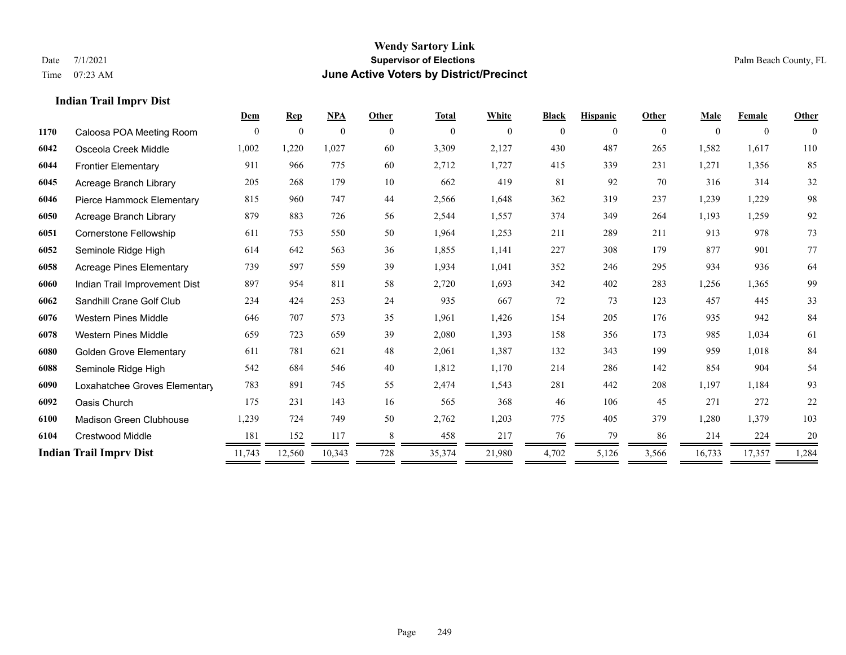**Indian Trail Imprv Dist**

### **Wendy Sartory Link** Date 7/1/2021 **Supervisor of Elections Supervisor of Elections** Palm Beach County, FL Time 07:23 AM **June Active Voters by District/Precinct**

|      |                                 | Dem      | <b>Rep</b>     | NPA            | Other    | <b>Total</b> | White    | <b>Black</b> | <b>Hispanic</b> | Other    | <b>Male</b> | Female         | Other        |
|------|---------------------------------|----------|----------------|----------------|----------|--------------|----------|--------------|-----------------|----------|-------------|----------------|--------------|
| 1170 | Caloosa POA Meeting Room        | $\theta$ | $\overline{0}$ | $\overline{0}$ | $\theta$ | $\mathbf{0}$ | $\theta$ | $\Omega$     | $\theta$        | $\theta$ | $\theta$    | $\overline{0}$ | $\mathbf{0}$ |
| 6042 | Osceola Creek Middle            | 1,002    | 1,220          | 1,027          | 60       | 3,309        | 2,127    | 430          | 487             | 265      | 1,582       | 1,617          | 110          |
| 6044 | <b>Frontier Elementary</b>      | 911      | 966            | 775            | 60       | 2,712        | 1,727    | 415          | 339             | 231      | 1,271       | 1,356          | 85           |
| 6045 | Acreage Branch Library          | 205      | 268            | 179            | 10       | 662          | 419      | 81           | 92              | 70       | 316         | 314            | 32           |
| 6046 | Pierce Hammock Elementary       | 815      | 960            | 747            | 44       | 2,566        | 1,648    | 362          | 319             | 237      | 1,239       | 1,229          | 98           |
| 6050 | Acreage Branch Library          | 879      | 883            | 726            | 56       | 2,544        | 1,557    | 374          | 349             | 264      | 1,193       | 1,259          | 92           |
| 6051 | Cornerstone Fellowship          | 611      | 753            | 550            | 50       | 1,964        | 1,253    | 211          | 289             | 211      | 913         | 978            | 73           |
| 6052 | Seminole Ridge High             | 614      | 642            | 563            | 36       | 1,855        | 1,141    | 227          | 308             | 179      | 877         | 901            | 77           |
| 6058 | <b>Acreage Pines Elementary</b> | 739      | 597            | 559            | 39       | 1,934        | 1,041    | 352          | 246             | 295      | 934         | 936            | 64           |
| 6060 | Indian Trail Improvement Dist   | 897      | 954            | 811            | 58       | 2,720        | 1,693    | 342          | 402             | 283      | 1,256       | 1,365          | 99           |
| 6062 | Sandhill Crane Golf Club        | 234      | 424            | 253            | 24       | 935          | 667      | 72           | 73              | 123      | 457         | 445            | 33           |
| 6076 | <b>Western Pines Middle</b>     | 646      | 707            | 573            | 35       | 1,961        | 1,426    | 154          | 205             | 176      | 935         | 942            | 84           |
| 6078 | <b>Western Pines Middle</b>     | 659      | 723            | 659            | 39       | 2,080        | 1,393    | 158          | 356             | 173      | 985         | 1,034          | 61           |
| 6080 | <b>Golden Grove Elementary</b>  | 611      | 781            | 621            | 48       | 2,061        | 1,387    | 132          | 343             | 199      | 959         | 1.018          | 84           |
| 6088 | Seminole Ridge High             | 542      | 684            | 546            | 40       | 1,812        | 1,170    | 214          | 286             | 142      | 854         | 904            | 54           |
| 6090 | Loxahatchee Groves Elementary   | 783      | 891            | 745            | 55       | 2,474        | 1,543    | 281          | 442             | 208      | 1,197       | 1,184          | 93           |
| 6092 | Oasis Church                    | 175      | 231            | 143            | 16       | 565          | 368      | 46           | 106             | 45       | 271         | 272            | 22           |
| 6100 | <b>Madison Green Clubhouse</b>  | 1,239    | 724            | 749            | 50       | 2,762        | 1,203    | 775          | 405             | 379      | 1,280       | 1,379          | 103          |
| 6104 | Crestwood Middle                | 181      | 152            | 117            | 8        | 458          | 217      | 76           | 79              | 86       | 214         | 224            | 20           |
|      | <b>Indian Trail Imprv Dist</b>  | 11,743   | 12,560         | 10,343         | 728      | 35,374       | 21,980   | 4,702        | 5,126           | 3,566    | 16,733      | 17,357         | 1,284        |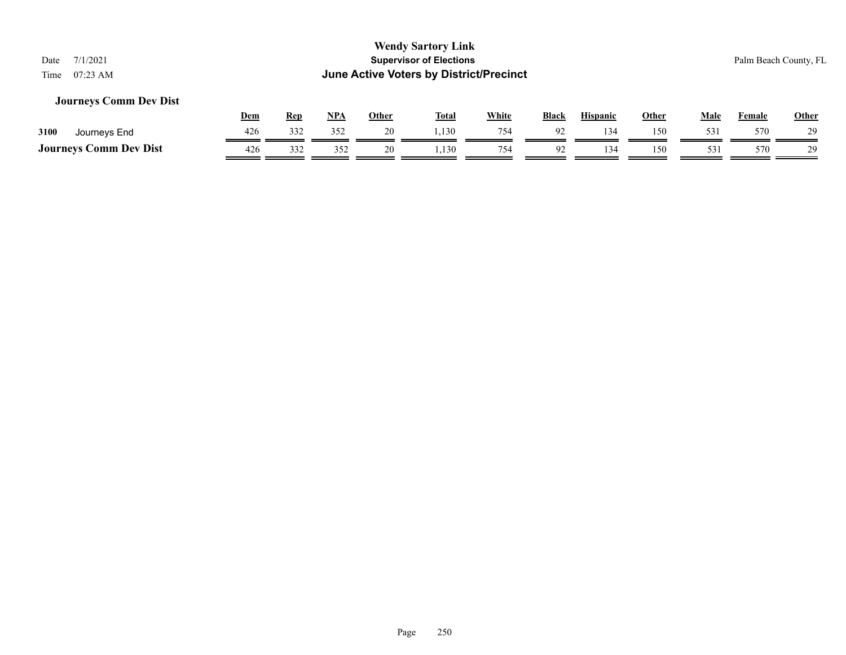## **Journeys Comm Dev Dist**

|                               | <u>Dem</u> | Rep | NPA | Other | <b>Total</b> | <b>White</b> | <b>Black</b>   | <b>Hispanic</b> | Other | Male | Female | <b>Other</b> |
|-------------------------------|------------|-----|-----|-------|--------------|--------------|----------------|-----------------|-------|------|--------|--------------|
| 3100<br>Journeys End          | 426        | 332 | 352 | 20    | .,130        | 754          | Q <sub>2</sub> | 134             | 150   | 531  | 570    | 29           |
| <b>Journeys Comm Dev Dist</b> | 426        | 332 | ے ب |       | ,130         | 754          | $\Omega$       | 34              | 150   | 531  | 570    | 29           |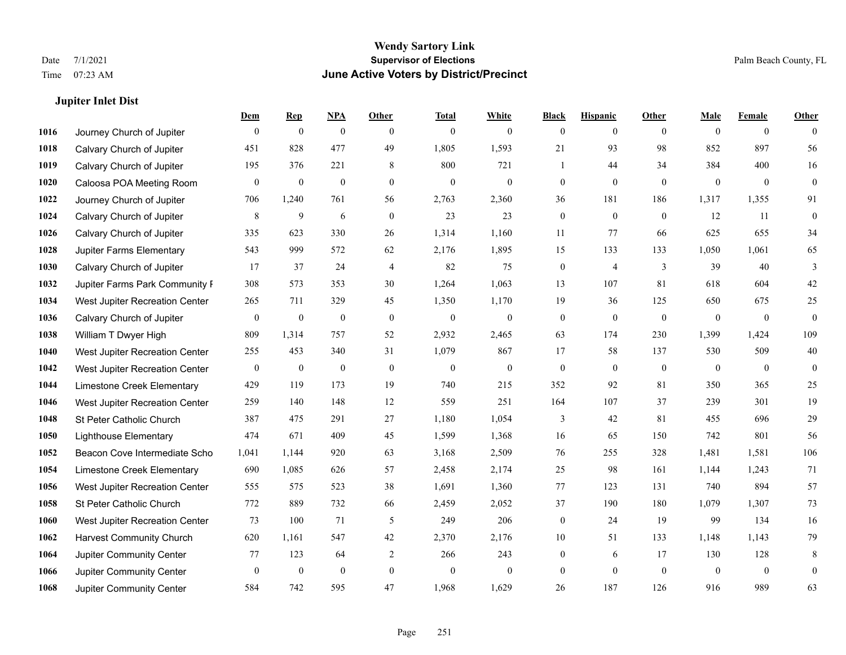**Jupiter Inlet Dist**

### **Wendy Sartory Link** Date 7/1/2021 **Supervisor of Elections** Palm Beach County, FL Time 07:23 AM **June Active Voters by District/Precinct**

# **Dem Rep NPA Other Total White Black Hispanic Other Male Female Other** Journey Church of Jupiter 0 0 0 0 0 0 0 0 0 0 0 0 Calvary Church of Jupiter 451 828 477 49 1,805 1,593 21 93 98 852 897 56 **1019 Calvary Church of Jupiter** 195 376 221 8 800 721 1 44 34 384 400 16 Caloosa POA Meeting Room 0 0 0 0 0 0 0 0 0 0 0 0 Journey Church of Jupiter 706 1,240 761 56 2,763 2,360 36 181 186 1,317 1,355 91 Calvary Church of Jupiter  $\begin{array}{cccccccc} 8 & 9 & 6 & 0 & 23 & 23 & 0 & 0 & 12 & 11 & 0 \end{array}$  Calvary Church of Jupiter 335 623 330 26 1,314 1,160 11 77 66 625 655 34 Jupiter Farms Elementary 543 999 572 62 2,176 1,895 15 133 133 1,050 1,061 65 **1030 Calvary Church of Jupiter 17** 37 24 4 82 75 0 4 3 39 40 3 Jupiter Farms Park Community F 308 573 353 30 1,264 1,063 13 107 81 618 604 42 West Jupiter Recreation Center 265 711 329 45 1,350 1,170 19 36 125 650 675 25 Calvary Church of Jupiter 0 0 0 0 0 0 0 0 0 0 0 0 William T Dwyer High 809 1,314 757 52 2,932 2,465 63 174 230 1,399 1,424 109 West Jupiter Recreation Center 255 453 340 31 1,079 867 17 58 137 530 509 40 West Jupiter Recreation Center 0 0 0 0 0 0 0 0 0 0 0 0 Limestone Creek Elementary 429 119 173 19 740 215 352 92 81 350 365 25 West Jupiter Recreation Center 259 140 148 12 559 251 164 107 37 239 301 19 St Peter Catholic Church 387 475 291 27 1,180 1,054 3 42 81 455 696 29 Lighthouse Elementary 474 671 409 45 1,599 1,368 16 65 150 742 801 56 Beacon Cove Intermediate School 1,041 1,144 920 63 3,168 2,509 76 255 328 1,481 1,581 106 Limestone Creek Elementary 690 1,085 626 57 2,458 2,174 25 98 161 1,144 1,243 71 West Jupiter Recreation Center 555 575 523 38 1,691 1,360 77 123 131 740 894 57 St Peter Catholic Church 772 889 732 66 2,459 2,052 37 190 180 1,079 1,307 73 West Jupiter Recreation Center 73 100 71 5 249 206 0 24 19 99 134 16 Harvest Community Church 620 1,161 547 42 2,370 2,176 10 51 133 1,148 1,143 79 Jupiter Community Center **10.123** 64 2 266 243 0 6 17 130 128 8 Jupiter Community Center 0 0 0 0 0 0 0 0 0 0 0 0 Jupiter Community Center 584 742 595 47 1,968 1,629 26 187 126 916 989 63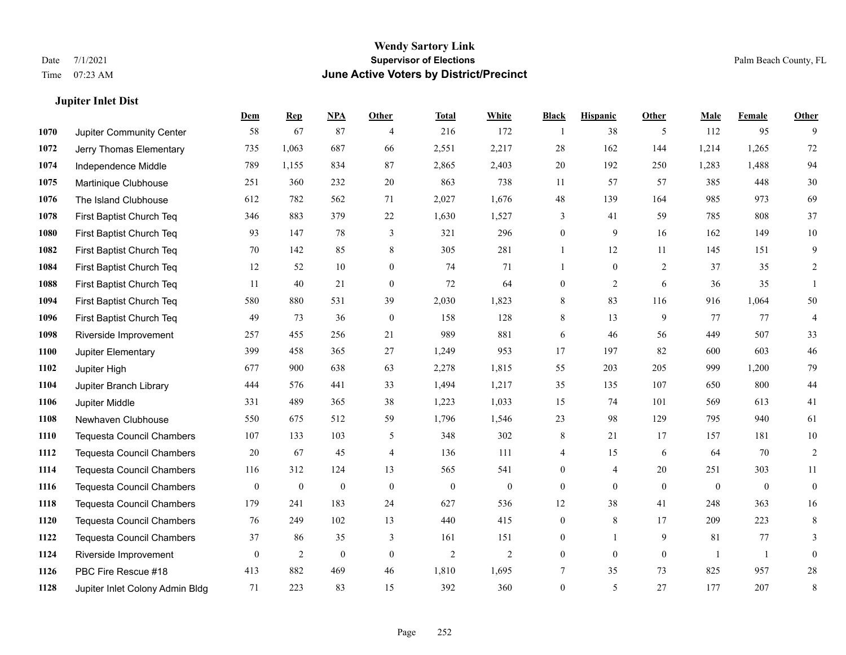**Jupiter Inlet Dist**

#### **Wendy Sartory Link** Date 7/1/2021 **Supervisor of Elections** Palm Beach County, FL Time 07:23 AM **June Active Voters by District/Precinct**

# **Dem Rep NPA Other Total White Black Hispanic Other Male Female Other** Jupiter Community Center 58 67 87 4 216 172 1 38 5 112 95 9 Jerry Thomas Elementary 735 1,063 687 66 2,551 2,217 28 162 144 1,214 1,265 72 Independence Middle 789 1,155 834 87 2,865 2,403 20 192 250 1,283 1,488 94 Martinique Clubhouse 251 360 232 20 863 738 11 57 57 385 448 30 The Island Clubhouse 612 782 562 71 2,027 1,676 48 139 164 985 973 69 First Baptist Church Teq 346 883 379 22 1,630 1,527 3 41 59 785 808 37 First Baptist Church Teq 93 147 78 3 321 296 0 9 16 162 149 10 First Baptist Church Teq 70 142 85 8 305 281 1 12 11 145 151 9 First Baptist Church Teq 12 52 10 0 74 71 1 0 2 37 35 2 First Baptist Church Teq 11 40 21 0 72 64 0 2 6 36 35 1 First Baptist Church Teq 580 880 531 39 2,030 1,823 8 83 116 916 1,064 50 First Baptist Church Teq **49** 73 36 0 158 128 8 13 9 77 77 4 Riverside Improvement 257 455 256 21 989 881 6 46 56 449 507 33 Jupiter Elementary 399 458 365 27 1,249 953 17 197 82 600 603 46 Jupiter High 677 900 638 63 2,278 1,815 55 203 205 999 1,200 79 Jupiter Branch Library 444 576 441 33 1,494 1,217 35 135 107 650 800 44 Jupiter Middle 331 489 365 38 1,223 1,033 15 74 101 569 613 41 Newhaven Clubhouse 550 675 512 59 1,796 1,546 23 98 129 795 940 61 Tequesta Council Chambers 107 133 103 5 348 302 8 21 17 157 181 10 Tequesta Council Chambers 20 67 45 4 136 111 4 15 6 64 70 2 Tequesta Council Chambers 116 312 124 13 565 541 0 4 20 251 303 11 Tequesta Council Chambers 0 0 0 0 0 0 0 0 0 0 0 0 Tequesta Council Chambers 179 241 183 24 627 536 12 38 41 248 363 16 Tequesta Council Chambers 76 249 102 13 440 415 0 8 17 209 223 8 Tequesta Council Chambers 37 86 35 3 161 151 0 1 9 81 77 3 Riverside Improvement 0 0 2 0 0 2 2 2 0 0 0 0 1 1 0 PBC Fire Rescue #18 413 882 469 46 1,810 1,695 7 35 73 825 957 28 Jupiter Inlet Colony Admin Bldg 71 223 83 15 392 360 0 5 27 177 207 8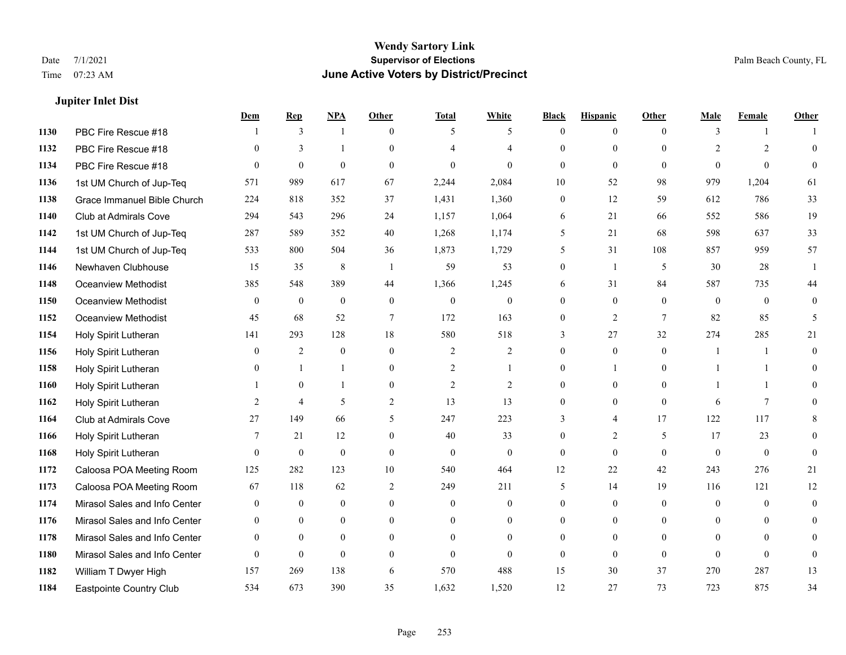**Jupiter Inlet Dist**

#### **Wendy Sartory Link** Date 7/1/2021 **Supervisor of Elections** Palm Beach County, FL Time 07:23 AM **June Active Voters by District/Precinct**

## **Dem Rep NPA Other Total White Black Hispanic Other Male Female Other** PBC Fire Rescue #18 **1** 3 1 0 5 5 0 0 0 3 1 1 PBC Fire Rescue #18 0 3 1 0 4 4 0 0 0 2 2 0 PBC Fire Rescue #18 0 0 0 0 0 0 0 0 0 0 0 0 1st UM Church of Jup-Teq 571 989 617 67 2,244 2,084 10 52 98 979 1,204 61 Grace Immanuel Bible Church 224 818 352 37 1,431 1,360 0 12 59 612 786 33 Club at Admirals Cove 294 543 296 24 1,157 1,064 6 21 66 552 586 19 1st UM Church of Jup-Teq 287 589 352 40 1,268 1,174 5 21 68 598 637 33 1st UM Church of Jup-Teq 533 800 504 36 1,873 1,729 5 31 108 857 959 57 Newhaven Clubhouse 15 35 8 1 59 53 0 1 5 30 28 1 Oceanview Methodist 385 548 389 44 1,366 1,245 6 31 84 587 735 44 Oceanview Methodist 0 0 0 0 0 0 0 0 0 0 0 0 Oceanview Methodist 45 68 52 7 172 163 0 2 7 82 85 5 Holy Spirit Lutheran 141 293 128 18 580 518 3 27 32 274 285 21 Holy Spirit Lutheran 0 2 0 0 2 2 0 0 0 1 1 0 1158 Holy Spirit Lutheran 0 1 1 0 2 1 0 1 0 1 1 0 Holy Spirit Lutheran 1 0 1 0 2 2 0 0 0 1 1 0 Holy Spirit Lutheran 2 4 5 2 13 13 0 0 0 6 7 0 Club at Admirals Cove 27 149 66 5 247 223 3 4 17 122 117 8 Holy Spirit Lutheran 7 21 12 0 40 33 0 2 5 17 23 0 Holy Spirit Lutheran 0 0 0 0 0 0 0 0 0 0 0 0 Caloosa POA Meeting Room 125 282 123 10 540 464 12 22 42 243 276 21 Caloosa POA Meeting Room 67 118 62 2 249 211 5 14 19 116 121 12 Mirasol Sales and Info Center 0 0 0 0 0 0 0 0 0 0 0 0 Mirasol Sales and Info Center 0 0 0 0 0 0 0 0 0 0 0 0 Mirasol Sales and Info Center 0 0 0 0 0 0 0 0 0 0 0 0 Mirasol Sales and Info Center 0 0 0 0 0 0 0 0 0 0 0 0 William T Dwyer High 157 269 138 6 570 488 15 30 37 270 287 13 Eastpointe Country Club 534 673 390 35 1,632 1,520 12 27 73 723 875 34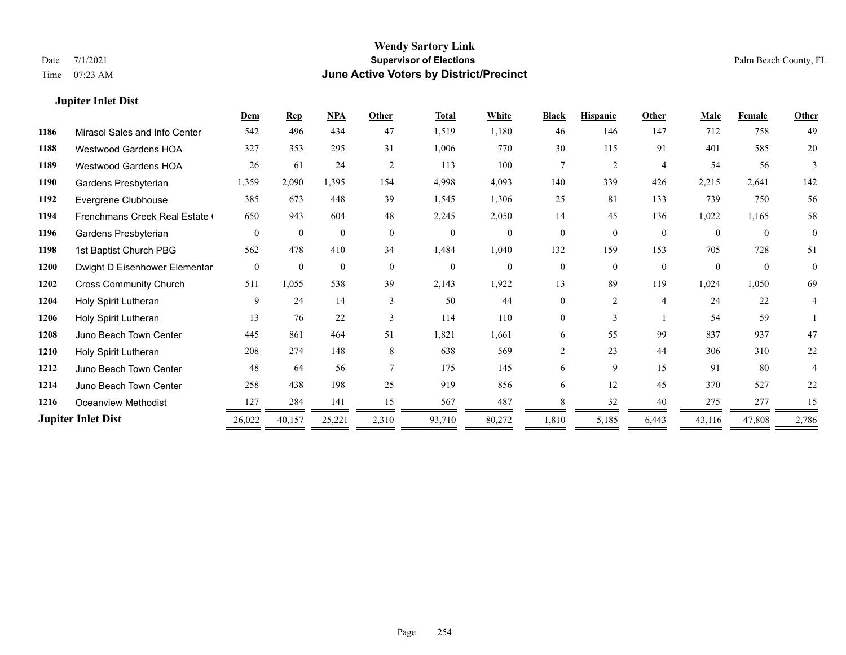### **Jupiter Inlet Dist**

|      |                                     | Dem      | <b>Rep</b>   | NPA          | Other          | <b>Total</b> | White          | <b>Black</b>   | <b>Hispanic</b> | Other          | Male     | <b>Female</b> | <b>Other</b>   |
|------|-------------------------------------|----------|--------------|--------------|----------------|--------------|----------------|----------------|-----------------|----------------|----------|---------------|----------------|
| 1186 | Mirasol Sales and Info Center       | 542      | 496          | 434          | 47             | 1,519        | 1,180          | 46             | 146             | 147            | 712      | 758           | 49             |
| 1188 | <b>Westwood Gardens HOA</b>         | 327      | 353          | 295          | 31             | 1,006        | 770            | 30             | 115             | 91             | 401      | 585           | 20             |
| 1189 | <b>Westwood Gardens HOA</b>         | 26       | 61           | 24           | $\overline{2}$ | 113          | 100            | 7              | 2               | $\overline{4}$ | 54       | 56            | 3              |
| 1190 | Gardens Presbyterian                | 1,359    | 2,090        | 1,395        | 154            | 4,998        | 4,093          | 140            | 339             | 426            | 2,215    | 2,641         | 142            |
| 1192 | Evergrene Clubhouse                 | 385      | 673          | 448          | 39             | 1,545        | 1,306          | 25             | 81              | 133            | 739      | 750           | 56             |
| 1194 | <b>Frenchmans Creek Real Estate</b> | 650      | 943          | 604          | 48             | 2,245        | 2,050          | 14             | 45              | 136            | 1,022    | 1,165         | 58             |
| 1196 | Gardens Presbyterian                | $\theta$ | $\mathbf{0}$ | $\mathbf{0}$ | $\mathbf{0}$   | $\mathbf{0}$ | $\overline{0}$ | $\theta$       | $\theta$        | $\mathbf{0}$   | $\Omega$ | $\theta$      | $\overline{0}$ |
| 1198 | 1st Baptist Church PBG              | 562      | 478          | 410          | 34             | 1,484        | 1,040          | 132            | 159             | 153            | 705      | 728           | 51             |
| 1200 | Dwight D Eisenhower Elementar       | $\theta$ | $\theta$     | $\mathbf{0}$ | $\theta$       | $\mathbf{0}$ | $\theta$       | $\theta$       | $\theta$        | $\theta$       | $\Omega$ | $\theta$      | $\theta$       |
| 1202 | <b>Cross Community Church</b>       | 511      | 1,055        | 538          | 39             | 2,143        | 1,922          | 13             | 89              | 119            | 1,024    | 1,050         | 69             |
| 1204 | Holy Spirit Lutheran                | 9        | 24           | 14           | $\mathbf{3}$   | 50           | 44             | 0              | $\overline{c}$  | $\overline{4}$ | 24       | 22            | 4              |
| 1206 | Holy Spirit Lutheran                | 13       | 76           | 22           | 3              | 114          | 110            | $\theta$       | 3               |                | 54       | 59            |                |
| 1208 | Juno Beach Town Center              | 445      | 861          | 464          | 51             | 1,821        | 1,661          | 6              | 55              | 99             | 837      | 937           | 47             |
| 1210 | Holy Spirit Lutheran                | 208      | 274          | 148          | 8              | 638          | 569            | $\overline{2}$ | 23              | 44             | 306      | 310           | 22             |
| 1212 | Juno Beach Town Center              | 48       | 64           | 56           |                | 175          | 145            | 6              | 9               | 15             | 91       | 80            | 4              |
| 1214 | Juno Beach Town Center              | 258      | 438          | 198          | 25             | 919          | 856            | 6              | 12              | 45             | 370      | 527           | 22             |
| 1216 | Oceanview Methodist                 | 127      | 284          | 141          | 15             | 567          | 487            |                | 32              | 40             | 275      | 277           | 15             |
|      | <b>Jupiter Inlet Dist</b>           | 26,022   | 40,157       | 25,221       | 2,310          | 93,710       | 80,272         | 1,810          | 5,185           | 6,443          | 43,116   | 47,808        | 2,786          |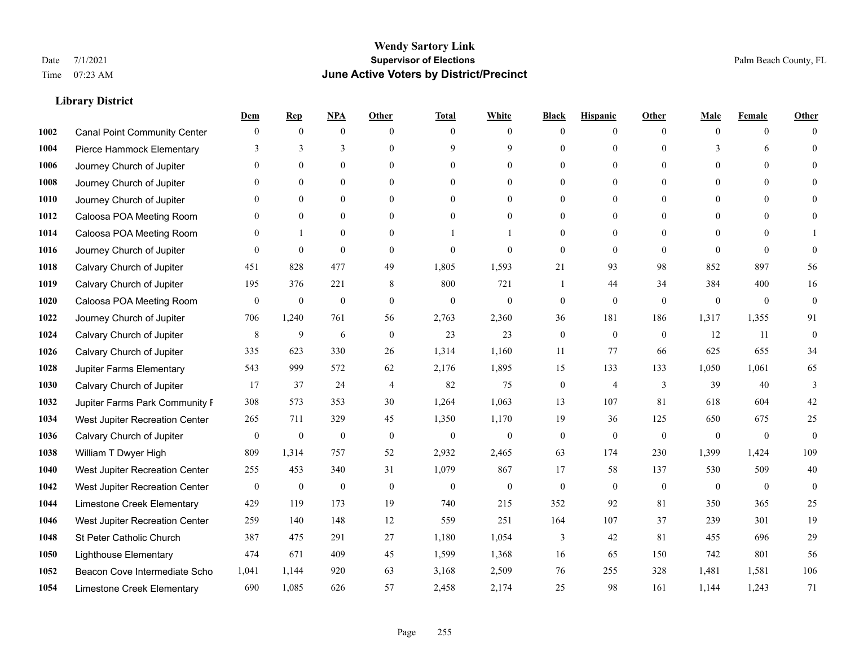|      |                                     | Dem              | <b>Rep</b>       | NPA              | <b>Other</b>   | <b>Total</b>     | <b>White</b>     | <b>Black</b>     | <b>Hispanic</b>  | <b>Other</b> | <b>Male</b>  | <b>Female</b> | <b>Other</b>     |
|------|-------------------------------------|------------------|------------------|------------------|----------------|------------------|------------------|------------------|------------------|--------------|--------------|---------------|------------------|
| 1002 | <b>Canal Point Community Center</b> | $\mathbf{0}$     | $\mathbf{0}$     | $\boldsymbol{0}$ | $\Omega$       | $\Omega$         | $\overline{0}$   | $\mathbf{0}$     | $\boldsymbol{0}$ | $\theta$     | $\theta$     | $\theta$      | $\Omega$         |
| 1004 | Pierce Hammock Elementary           | 3                | 3                | 3                | $\Omega$       | 9                | 9                | $\theta$         | $\mathbf{0}$     | $\Omega$     | 3            | 6             | $\theta$         |
| 1006 | Journey Church of Jupiter           | $\Omega$         | $\theta$         | $\theta$         | $\Omega$       | $\Omega$         | $\Omega$         | $\Omega$         | $\theta$         | $\Omega$     | $\Omega$     | $\Omega$      | $\Omega$         |
| 1008 | Journey Church of Jupiter           | 0                | $\mathbf{0}$     | $\mathbf{0}$     | $\overline{0}$ | $\theta$         | $\overline{0}$   | $\overline{0}$   | $\mathbf{0}$     | $\theta$     | $\mathbf{0}$ | $\mathbf{0}$  |                  |
| 1010 | Journey Church of Jupiter           | 0                | $\mathbf{0}$     | $\mathbf{0}$     | $\theta$       | $\Omega$         | $\overline{0}$   | $\overline{0}$   | $\mathbf{0}$     | $\theta$     | $\theta$     | $\theta$      | $\Omega$         |
| 1012 | Caloosa POA Meeting Room            | $\theta$         | $\mathbf{0}$     | $\mathbf{0}$     | $\theta$       | $\Omega$         | $\mathbf{0}$     | $\overline{0}$   | $\mathbf{0}$     | $\Omega$     | $\theta$     | $\theta$      | $\Omega$         |
| 1014 | Caloosa POA Meeting Room            | $\theta$         |                  | $\mathbf{0}$     | $\overline{0}$ |                  | 1                | $\overline{0}$   | $\mathbf{0}$     | $\theta$     | $\mathbf{0}$ | $\theta$      |                  |
| 1016 | Journey Church of Jupiter           | $\theta$         | $\mathbf{0}$     | $\mathbf{0}$     | $\theta$       | $\Omega$         | $\theta$         | $\mathbf{0}$     | $\theta$         | $\theta$     | $\Omega$     | $\theta$      | $\theta$         |
| 1018 | Calvary Church of Jupiter           | 451              | 828              | 477              | 49             | 1,805            | 1,593            | 21               | 93               | 98           | 852          | 897           | 56               |
| 1019 | Calvary Church of Jupiter           | 195              | 376              | 221              | 8              | 800              | 721              | 1                | 44               | 34           | 384          | 400           | 16               |
| 1020 | Caloosa POA Meeting Room            | $\mathbf{0}$     | $\boldsymbol{0}$ | $\boldsymbol{0}$ | $\theta$       | $\mathbf{0}$     | $\mathbf{0}$     | $\boldsymbol{0}$ | $\mathbf{0}$     | $\theta$     | $\mathbf{0}$ | $\mathbf{0}$  | $\mathbf{0}$     |
| 1022 | Journey Church of Jupiter           | 706              | 1,240            | 761              | 56             | 2,763            | 2,360            | 36               | 181              | 186          | 1,317        | 1,355         | 91               |
| 1024 | Calvary Church of Jupiter           | 8                | 9                | 6                | $\theta$       | 23               | 23               | $\mathbf{0}$     | $\mathbf{0}$     | $\theta$     | 12           | 11            | $\mathbf{0}$     |
| 1026 | Calvary Church of Jupiter           | 335              | 623              | 330              | 26             | 1,314            | 1,160            | 11               | 77               | 66           | 625          | 655           | 34               |
| 1028 | Jupiter Farms Elementary            | 543              | 999              | 572              | 62             | 2,176            | 1,895            | 15               | 133              | 133          | 1,050        | 1,061         | 65               |
| 1030 | Calvary Church of Jupiter           | 17               | 37               | 24               | $\overline{4}$ | 82               | 75               | $\boldsymbol{0}$ | $\overline{4}$   | 3            | 39           | 40            | 3                |
| 1032 | Jupiter Farms Park Community I      | 308              | 573              | 353              | 30             | 1,264            | 1,063            | 13               | 107              | 81           | 618          | 604           | 42               |
| 1034 | West Jupiter Recreation Center      | 265              | 711              | 329              | 45             | 1,350            | 1,170            | 19               | 36               | 125          | 650          | 675           | $25\,$           |
| 1036 | Calvary Church of Jupiter           | $\boldsymbol{0}$ | $\boldsymbol{0}$ | $\boldsymbol{0}$ | $\mathbf{0}$   | $\boldsymbol{0}$ | $\boldsymbol{0}$ | $\boldsymbol{0}$ | $\mathbf{0}$     | $\mathbf{0}$ | $\mathbf{0}$ | $\mathbf{0}$  | $\mathbf{0}$     |
| 1038 | William T Dwyer High                | 809              | 1,314            | 757              | 52             | 2,932            | 2,465            | 63               | 174              | 230          | 1,399        | 1,424         | 109              |
| 1040 | West Jupiter Recreation Center      | 255              | 453              | 340              | 31             | 1,079            | 867              | 17               | 58               | 137          | 530          | 509           | 40               |
| 1042 | West Jupiter Recreation Center      | $\boldsymbol{0}$ | $\boldsymbol{0}$ | $\boldsymbol{0}$ | $\mathbf{0}$   | $\boldsymbol{0}$ | $\mathbf{0}$     | $\boldsymbol{0}$ | $\boldsymbol{0}$ | $\mathbf{0}$ | $\mathbf{0}$ | $\mathbf{0}$  | $\boldsymbol{0}$ |
| 1044 | Limestone Creek Elementary          | 429              | 119              | 173              | 19             | 740              | 215              | 352              | 92               | 81           | 350          | 365           | 25               |
| 1046 | West Jupiter Recreation Center      | 259              | 140              | 148              | 12             | 559              | 251              | 164              | 107              | 37           | 239          | 301           | 19               |
| 1048 | St Peter Catholic Church            | 387              | 475              | 291              | 27             | 1,180            | 1,054            | 3                | 42               | 81           | 455          | 696           | 29               |
| 1050 | <b>Lighthouse Elementary</b>        | 474              | 671              | 409              | 45             | 1,599            | 1,368            | 16               | 65               | 150          | 742          | 801           | 56               |
| 1052 | Beacon Cove Intermediate Scho       | 1,041            | 1,144            | 920              | 63             | 3,168            | 2,509            | 76               | 255              | 328          | 1,481        | 1,581         | 106              |
| 1054 | Limestone Creek Elementary          | 690              | 1,085            | 626              | 57             | 2,458            | 2,174            | 25               | 98               | 161          | 1,144        | 1,243         | 71               |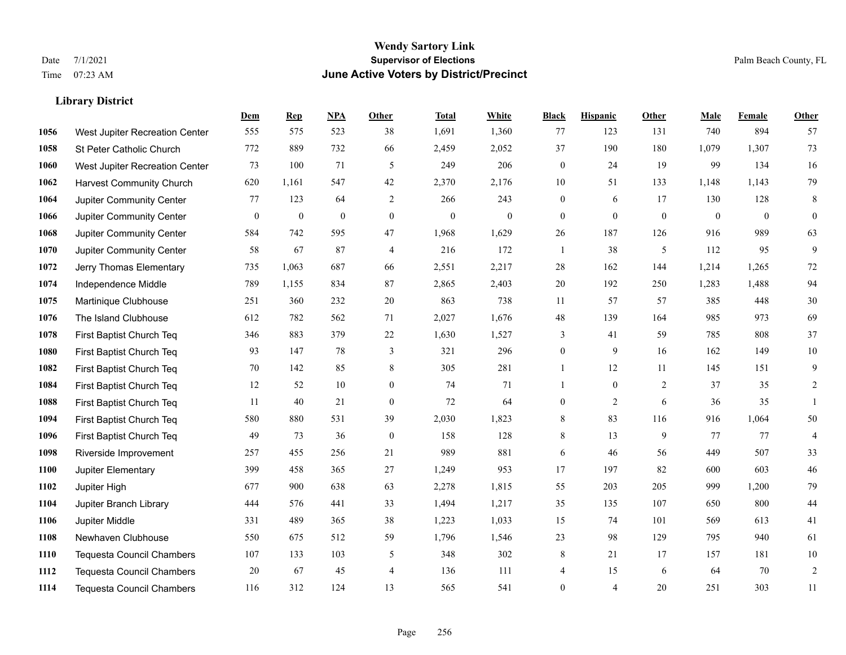|      |                                  | Dem          | <b>Rep</b>       | NPA              | <b>Other</b>     | <b>Total</b>     | <b>White</b> | <b>Black</b>     | <b>Hispanic</b> | <b>Other</b> | <b>Male</b>  | <b>Female</b> | Other            |
|------|----------------------------------|--------------|------------------|------------------|------------------|------------------|--------------|------------------|-----------------|--------------|--------------|---------------|------------------|
| 1056 | West Jupiter Recreation Center   | 555          | 575              | 523              | 38               | 1,691            | 1,360        | 77               | 123             | 131          | 740          | 894           | 57               |
| 1058 | St Peter Catholic Church         | 772          | 889              | 732              | 66               | 2,459            | 2,052        | 37               | 190             | 180          | 1,079        | 1,307         | 73               |
| 1060 | West Jupiter Recreation Center   | 73           | 100              | 71               | 5                | 249              | 206          | $\boldsymbol{0}$ | 24              | 19           | 99           | 134           | 16               |
| 1062 | <b>Harvest Community Church</b>  | 620          | 1,161            | 547              | 42               | 2,370            | 2,176        | 10               | 51              | 133          | 1,148        | 1,143         | 79               |
| 1064 | Jupiter Community Center         | 77           | 123              | 64               | 2                | 266              | 243          | $\mathbf{0}$     | 6               | 17           | 130          | 128           | $\,8\,$          |
| 1066 | Jupiter Community Center         | $\mathbf{0}$ | $\boldsymbol{0}$ | $\boldsymbol{0}$ | $\mathbf{0}$     | $\boldsymbol{0}$ | $\mathbf{0}$ | $\boldsymbol{0}$ | $\mathbf{0}$    | $\mathbf{0}$ | $\mathbf{0}$ | $\mathbf{0}$  | $\boldsymbol{0}$ |
| 1068 | Jupiter Community Center         | 584          | 742              | 595              | 47               | 1,968            | 1,629        | 26               | 187             | 126          | 916          | 989           | 63               |
| 1070 | <b>Jupiter Community Center</b>  | 58           | 67               | 87               | $\overline{4}$   | 216              | 172          | $\mathbf{1}$     | 38              | 5            | 112          | 95            | 9                |
| 1072 | Jerry Thomas Elementary          | 735          | 1,063            | 687              | 66               | 2,551            | 2,217        | 28               | 162             | 144          | 1,214        | 1,265         | $72\,$           |
| 1074 | Independence Middle              | 789          | 1,155            | 834              | 87               | 2,865            | 2,403        | 20               | 192             | 250          | 1,283        | 1,488         | 94               |
| 1075 | Martinique Clubhouse             | 251          | 360              | 232              | 20               | 863              | 738          | 11               | 57              | 57           | 385          | 448           | $30\,$           |
| 1076 | The Island Clubhouse             | 612          | 782              | 562              | 71               | 2,027            | 1,676        | $48\,$           | 139             | 164          | 985          | 973           | 69               |
| 1078 | First Baptist Church Teq         | 346          | 883              | 379              | $22\,$           | 1,630            | 1,527        | 3                | 41              | 59           | 785          | 808           | 37               |
| 1080 | First Baptist Church Teq         | 93           | 147              | 78               | $\mathfrak{Z}$   | 321              | 296          | $\boldsymbol{0}$ | 9               | 16           | 162          | 149           | $10\,$           |
| 1082 | First Baptist Church Teq         | 70           | 142              | 85               | 8                | 305              | 281          | 1                | 12              | 11           | 145          | 151           | 9                |
| 1084 | First Baptist Church Teq         | 12           | 52               | 10               | $\overline{0}$   | 74               | 71           | $\mathbf{1}$     | $\mathbf{0}$    | 2            | 37           | 35            | 2                |
| 1088 | First Baptist Church Teq         | 11           | 40               | 21               | $\boldsymbol{0}$ | 72               | 64           | $\boldsymbol{0}$ | $\overline{2}$  | 6            | 36           | 35            | $\mathbf{1}$     |
| 1094 | First Baptist Church Teq         | 580          | 880              | 531              | 39               | 2,030            | 1,823        | 8                | 83              | 116          | 916          | 1,064         | $50\,$           |
| 1096 | First Baptist Church Teq         | 49           | 73               | 36               | $\mathbf{0}$     | 158              | 128          | 8                | 13              | 9            | 77           | 77            | $\overline{4}$   |
| 1098 | Riverside Improvement            | 257          | 455              | 256              | 21               | 989              | 881          | 6                | 46              | 56           | 449          | 507           | 33               |
| 1100 | Jupiter Elementary               | 399          | 458              | 365              | 27               | 1,249            | 953          | 17               | 197             | 82           | 600          | 603           | $46\,$           |
| 1102 | Jupiter High                     | 677          | 900              | 638              | 63               | 2,278            | 1,815        | 55               | 203             | 205          | 999          | 1,200         | 79               |
| 1104 | Jupiter Branch Library           | 444          | 576              | 441              | 33               | 1,494            | 1,217        | 35               | 135             | 107          | 650          | 800           | $44\,$           |
| 1106 | Jupiter Middle                   | 331          | 489              | 365              | 38               | 1,223            | 1,033        | 15               | 74              | 101          | 569          | 613           | 41               |
| 1108 | Newhaven Clubhouse               | 550          | 675              | 512              | 59               | 1,796            | 1,546        | 23               | 98              | 129          | 795          | 940           | 61               |
| 1110 | <b>Tequesta Council Chambers</b> | 107          | 133              | 103              | 5                | 348              | 302          | 8                | 21              | 17           | 157          | 181           | $10\,$           |
| 1112 | <b>Tequesta Council Chambers</b> | 20           | 67               | 45               | $\overline{4}$   | 136              | 111          | 4                | 15              | 6            | 64           | 70            | $\sqrt{2}$       |
| 1114 | <b>Tequesta Council Chambers</b> | 116          | 312              | 124              | 13               | 565              | 541          | $\mathbf{0}$     | 4               | 20           | 251          | 303           | 11               |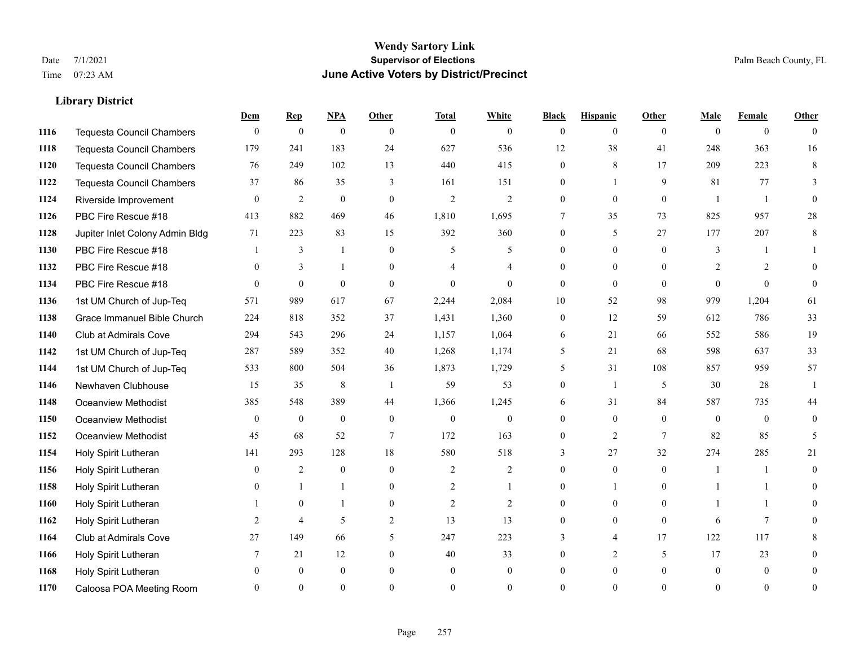#### **Wendy Sartory Link** Date 7/1/2021 **Supervisor of Elections** Palm Beach County, FL Time 07:23 AM **June Active Voters by District/Precinct**

## **Dem Rep NPA Other Total White Black Hispanic Other Male Female Other** Tequesta Council Chambers 0 0 0 0 0 0 0 0 0 0 0 0 Tequesta Council Chambers 179 241 183 24 627 536 12 38 41 248 363 16 Tequesta Council Chambers 76 249 102 13 440 415 0 8 17 209 223 8 Tequesta Council Chambers 37 86 35 3 161 151 0 1 9 81 77 3 Riverside Improvement 0 0 2 0 0 2 2 2 0 0 0 0 1 1 0 PBC Fire Rescue #18 413 882 469 46 1,810 1,695 7 35 73 825 957 28 Jupiter Inlet Colony Admin Bldg 71 223 83 15 392 360 0 5 27 177 207 8 PBC Fire Rescue #18 **1** 3 1 0 5 5 0 0 0 3 1 1 **1132 PBC Fire Rescue #18** 0 3 1 0 4 4 0 0 0 2 2 0 PBC Fire Rescue #18 0 0 0 0 0 0 0 0 0 0 0 0 1st UM Church of Jup-Teq 571 989 617 67 2,244 2,084 10 52 98 979 1,204 61 Grace Immanuel Bible Church 224 818 352 37 1,431 1,360 0 12 59 612 786 33 Club at Admirals Cove 294 543 296 24 1,157 1,064 6 21 66 552 586 19 1st UM Church of Jup-Teq 287 589 352 40 1,268 1,174 5 21 68 598 637 33 1st UM Church of Jup-Teq 533 800 504 36 1,873 1,729 5 31 108 857 959 57 Newhaven Clubhouse 15 15 35 8 1 59 53 0 1 5 30 28 1 Oceanview Methodist 385 548 389 44 1,366 1,245 6 31 84 587 735 44 Oceanview Methodist 0 0 0 0 0 0 0 0 0 0 0 0 Oceanview Methodist 45 68 52 7 172 163 0 2 7 82 85 5 Holy Spirit Lutheran 141 293 128 18 580 518 3 27 32 274 285 21 Holy Spirit Lutheran **0** 2 0 0 2 2 2 0 0 0 1 1 0 Holy Spirit Lutheran **0** 1 1 0 2 1 0 1 0 1 1 0 Holy Spirit Lutheran 1 0 1 0 2 2 0 0 0 1 1 0 Holy Spirit Lutheran **2** 4 5 2 13 13 0 0 0 6 7 0 Club at Admirals Cove 27 149 66 5 247 223 3 4 17 122 117 8 Holy Spirit Lutheran **7** 21 12 0 40 33 0 2 5 17 23 0 Holy Spirit Lutheran 0 0 0 0 0 0 0 0 0 0 0 0 Caloosa POA Meeting Room 0 0 0 0 0 0 0 0 0 0 0 0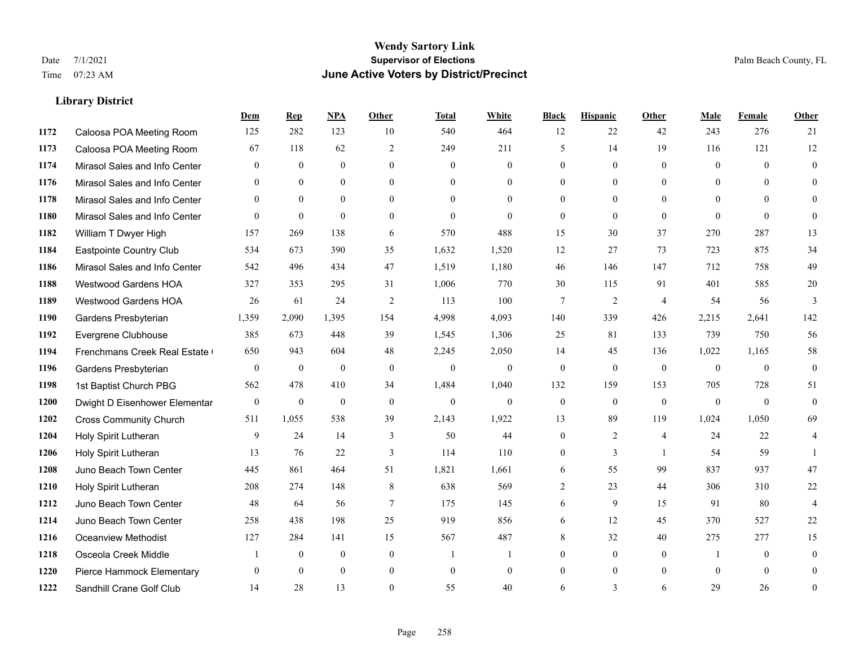#### **Wendy Sartory Link** Date 7/1/2021 **Supervisor of Elections** Palm Beach County, FL Time 07:23 AM **June Active Voters by District/Precinct**

**Dem Rep NPA Other Total White Black Hispanic Other Male Female Other**

# Caloosa POA Meeting Room 125 282 123 10 540 464 12 22 42 243 276 21 Caloosa POA Meeting Room 67 118 62 2 249 211 5 14 19 116 121 12 Mirasol Sales and Info Center 0 0 0 0 0 0 0 0 0 0 0 0 Mirasol Sales and Info Center 0 0 0 0 0 0 0 0 0 0 0 0 Mirasol Sales and Info Center 0 0 0 0 0 0 0 0 0 0 0 0 Mirasol Sales and Info Center 0 0 0 0 0 0 0 0 0 0 0 0 William T Dwyer High 157 269 138 6 570 488 15 30 37 270 287 13 Eastpointe Country Club 534 673 390 35 1,632 1,520 12 27 73 723 875 34 Mirasol Sales and Info Center 542 496 434 47 1,519 1,180 46 146 147 712 758 49 Westwood Gardens HOA 327 353 295 31 1,006 770 30 115 91 401 585 20 Westwood Gardens HOA 26 61 24 2 113 100 7 2 4 54 56 3 Gardens Presbyterian 1,359 2,090 1,395 154 4,998 4,093 140 339 426 2,215 2,641 142 Evergrene Clubhouse 385 673 448 39 1,545 1,306 25 81 133 739 750 56 1194 Frenchmans Creek Real Estate 650 943 604 48 2,245 2,050 14 45 136 1,022 1,165 58 Gardens Presbyterian 0 0 0 0 0 0 0 0 0 0 0 0 1st Baptist Church PBG 562 478 410 34 1,484 1,040 132 159 153 705 728 51 Dwight D Eisenhower Elementary 0 0 0 0 0 0 0 0 0 0 0 0 Cross Community Church 511 1,055 538 39 2,143 1,922 13 89 119 1,024 1,050 69 Holy Spirit Lutheran 9 24 14 3 50 44 0 2 4 24 22 4 Holy Spirit Lutheran **13** 13 76 22 3 114 110 0 3 1 54 59 1 Juno Beach Town Center 445 861 464 51 1,821 1,661 6 55 99 837 937 47 Holy Spirit Lutheran 208 274 148 8 638 569 2 23 44 306 310 22 Juno Beach Town Center 48 64 56 7 175 145 6 9 15 91 80 4 Juno Beach Town Center 258 438 198 25 919 856 6 12 45 370 527 22 Oceanview Methodist 127 284 141 15 567 487 8 32 40 275 277 15 Osceola Creek Middle  $\begin{array}{cccccccc} 1 & 0 & 0 & 0 & 1 & 1 & 0 & 0 & 0 \end{array}$

 Pierce Hammock Elementary 0 0 0 0 0 0 0 0 0 0 0 0 Sandhill Crane Golf Club 14 28 13 0 55 40 6 3 6 29 26 0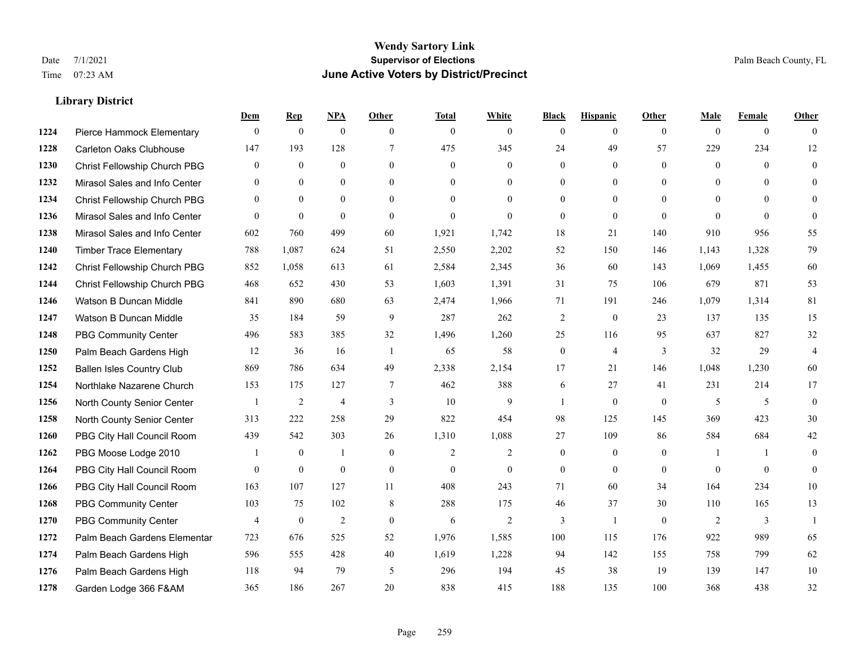|      |                                  | Dem            | <b>Rep</b>       | NPA              | <b>Other</b>   | <b>Total</b>   | <b>White</b>   | <b>Black</b>     | <b>Hispanic</b> | <b>Other</b>   | <b>Male</b>  | <b>Female</b>  | <b>Other</b>   |
|------|----------------------------------|----------------|------------------|------------------|----------------|----------------|----------------|------------------|-----------------|----------------|--------------|----------------|----------------|
| 1224 | Pierce Hammock Elementary        | $\mathbf{0}$   | $\mathbf{0}$     | $\boldsymbol{0}$ | $\theta$       | $\mathbf{0}$   | $\overline{0}$ | $\mathbf{0}$     | $\overline{0}$  | $\theta$       | $\mathbf{0}$ | $\overline{0}$ | $\theta$       |
| 1228 | <b>Carleton Oaks Clubhouse</b>   | 147            | 193              | 128              | $\tau$         | 475            | 345            | 24               | 49              | 57             | 229          | 234            | 12             |
| 1230 | Christ Fellowship Church PBG     | $\theta$       | $\mathbf{0}$     | $\theta$         | $\Omega$       | $\theta$       | $\Omega$       | $\theta$         | $\theta$        | $\Omega$       | $\theta$     | $\theta$       | $\theta$       |
| 1232 | Mirasol Sales and Info Center    | $\mathbf{0}$   | $\boldsymbol{0}$ | $\mathbf{0}$     | $\mathbf{0}$   | $\mathbf{0}$   | $\overline{0}$ | $\boldsymbol{0}$ | $\mathbf{0}$    | $\overline{0}$ | $\mathbf{0}$ | $\theta$       | $\theta$       |
| 1234 | Christ Fellowship Church PBG     | $\theta$       | $\mathbf{0}$     | $\overline{0}$   | $\theta$       | $\Omega$       | $\theta$       | $\mathbf{0}$     | $\overline{0}$  | $\theta$       | $\theta$     | $\theta$       | $\theta$       |
| 1236 | Mirasol Sales and Info Center    | $\theta$       | $\mathbf{0}$     | $\mathbf{0}$     | $\Omega$       | $\mathbf{0}$   | $\theta$       | $\mathbf{0}$     | $\theta$        | $\Omega$       | $\theta$     | $\theta$       | $\theta$       |
| 1238 | Mirasol Sales and Info Center    | 602            | 760              | 499              | 60             | 1,921          | 1,742          | 18               | 21              | 140            | 910          | 956            | 55             |
| 1240 | <b>Timber Trace Elementary</b>   | 788            | 1,087            | 624              | 51             | 2,550          | 2,202          | 52               | 150             | 146            | 1,143        | 1,328          | 79             |
| 1242 | Christ Fellowship Church PBG     | 852            | 1,058            | 613              | 61             | 2,584          | 2,345          | 36               | 60              | 143            | 1,069        | 1,455          | 60             |
| 1244 | Christ Fellowship Church PBG     | 468            | 652              | 430              | 53             | 1,603          | 1,391          | 31               | 75              | 106            | 679          | 871            | 53             |
| 1246 | Watson B Duncan Middle           | 841            | 890              | 680              | 63             | 2,474          | 1,966          | 71               | 191             | 246            | 1,079        | 1,314          | 81             |
| 1247 | Watson B Duncan Middle           | 35             | 184              | 59               | 9              | 287            | 262            | $\sqrt{2}$       | $\mathbf{0}$    | 23             | 137          | 135            | 15             |
| 1248 | <b>PBG Community Center</b>      | 496            | 583              | 385              | 32             | 1,496          | 1,260          | 25               | 116             | 95             | 637          | 827            | 32             |
| 1250 | Palm Beach Gardens High          | 12             | 36               | 16               | -1             | 65             | 58             | $\boldsymbol{0}$ | $\overline{4}$  | 3              | 32           | 29             | $\overline{4}$ |
| 1252 | <b>Ballen Isles Country Club</b> | 869            | 786              | 634              | 49             | 2,338          | 2,154          | 17               | 21              | 146            | 1,048        | 1,230          | 60             |
| 1254 | Northlake Nazarene Church        | 153            | 175              | 127              | $\overline{7}$ | 462            | 388            | 6                | 27              | 41             | 231          | 214            | 17             |
| 1256 | North County Senior Center       |                | $\sqrt{2}$       | $\overline{4}$   | 3              | 10             | 9              | 1                | $\mathbf{0}$    | $\theta$       | 5            | 5              | $\mathbf{0}$   |
| 1258 | North County Senior Center       | 313            | 222              | 258              | 29             | 822            | 454            | 98               | 125             | 145            | 369          | 423            | 30             |
| 1260 | PBG City Hall Council Room       | 439            | 542              | 303              | 26             | 1,310          | 1,088          | 27               | 109             | 86             | 584          | 684            | $42\,$         |
| 1262 | PBG Moose Lodge 2010             |                | $\mathbf{0}$     | 1                | $\mathbf{0}$   | $\overline{2}$ | $\overline{c}$ | $\mathbf{0}$     | $\mathbf{0}$    | $\mathbf{0}$   | -1           | $\mathbf{1}$   | $\theta$       |
| 1264 | PBG City Hall Council Room       | $\theta$       | $\mathbf{0}$     | $\mathbf{0}$     | $\theta$       | $\theta$       | $\overline{0}$ | $\mathbf{0}$     | $\theta$        | $\Omega$       | $\Omega$     | $\theta$       | $\theta$       |
| 1266 | PBG City Hall Council Room       | 163            | 107              | 127              | 11             | 408            | 243            | 71               | 60              | 34             | 164          | 234            | 10             |
| 1268 | <b>PBG Community Center</b>      | 103            | 75               | 102              | 8              | 288            | 175            | 46               | 37              | 30             | 110          | 165            | 13             |
| 1270 | <b>PBG Community Center</b>      | $\overline{4}$ | $\mathbf{0}$     | 2                | $\theta$       | 6              | $\overline{2}$ | 3                | $\mathbf{1}$    | $\theta$       | 2            | 3              | $\mathbf{1}$   |
| 1272 | Palm Beach Gardens Elementar     | 723            | 676              | 525              | 52             | 1,976          | 1,585          | 100              | 115             | 176            | 922          | 989            | 65             |
| 1274 | Palm Beach Gardens High          | 596            | 555              | 428              | 40             | 1,619          | 1,228          | 94               | 142             | 155            | 758          | 799            | 62             |
| 1276 | Palm Beach Gardens High          | 118            | 94               | 79               | 5              | 296            | 194            | 45               | 38              | 19             | 139          | 147            | 10             |
| 1278 | Garden Lodge 366 F&AM            | 365            | 186              | 267              | 20             | 838            | 415            | 188              | 135             | 100            | 368          | 438            | 32             |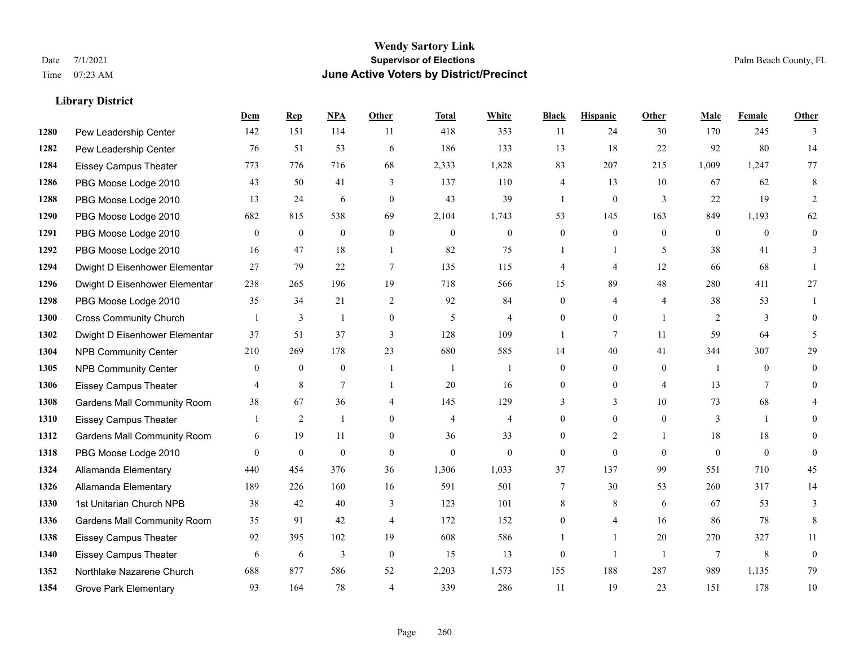#### **Wendy Sartory Link** Date 7/1/2021 **Supervisor of Elections** Palm Beach County, FL Time 07:23 AM **June Active Voters by District/Precinct**

**Dem Rep NPA Other Total White Black Hispanic Other Male Female Other**

## Pew Leadership Center 142 151 114 11 418 353 11 24 30 170 245 3 Pew Leadership Center 76 51 53 6 186 133 13 18 22 92 80 14 Eissey Campus Theater 773 776 716 68 2,333 1,828 83 207 215 1,009 1,247 77 PBG Moose Lodge 2010 43 50 41 3 137 110 4 13 10 67 62 8 PBG Moose Lodge 2010 13 24 6 0 43 39 1 0 3 22 19 2 PBG Moose Lodge 2010 682 815 538 69 2,104 1,743 53 145 163 849 1,193 62 PBG Moose Lodge 2010 0 0 0 0 0 0 0 0 0 0 0 0 PBG Moose Lodge 2010 16 47 18 1 82 75 1 1 5 38 41 3 Dwight D Eisenhower Elementar 27 79 22 7 135 115 4 4 12 66 68 1 Dwight D Eisenhower Elementary 238 265 196 19 718 566 15 89 48 280 411 27 PBG Moose Lodge 2010 35 34 21 2 92 84 0 4 4 38 53 1 Cross Community Church 1 3 1 0 5 4 0 0 1 2 3 0 Dwight D Eisenhower Elementar 37 51 37 3 128 109 1 7 11 59 64 5 NPB Community Center 210 269 178 23 680 585 14 40 41 344 307 29 NPB Community Center 0 0 0 1 1 1 0 0 0 1 0 0 Eissey Campus Theater **4** 8 7 1 20 16 0 0 4 13 7 0 Gardens Mall Community Room 38 67 36 4 145 129 3 3 10 73 68 4 Eissey Campus Theater 1 2 1 0 4 4 0 0 0 3 1 0 **1312 Gardens Mall Community Room** 6 19 11 0 36 33 0 2 1 18 18 0 PBG Moose Lodge 2010 0 0 0 0 0 0 0 0 0 0 0 0 Allamanda Elementary 440 454 376 36 1,306 1,033 37 137 99 551 710 45 Allamanda Elementary 189 226 160 16 591 501 7 30 53 260 317 14 1st Unitarian Church NPB 38 42 40 3 123 101 8 8 6 67 53 3 Gardens Mall Community Room 35 91 42 4 172 152 0 4 16 86 78 8 Eissey Campus Theater 92 395 102 19 608 586 1 1 20 270 327 11 Eissey Campus Theater 6 6 6 3 0 15 13 0 1 1 7 8 0

 Northlake Nazarene Church 688 877 586 52 2,203 1,573 155 188 287 989 1,135 79 **1354 Grove Park Elementary 023 164 78 4 339 286 11 19 23 151 178 10**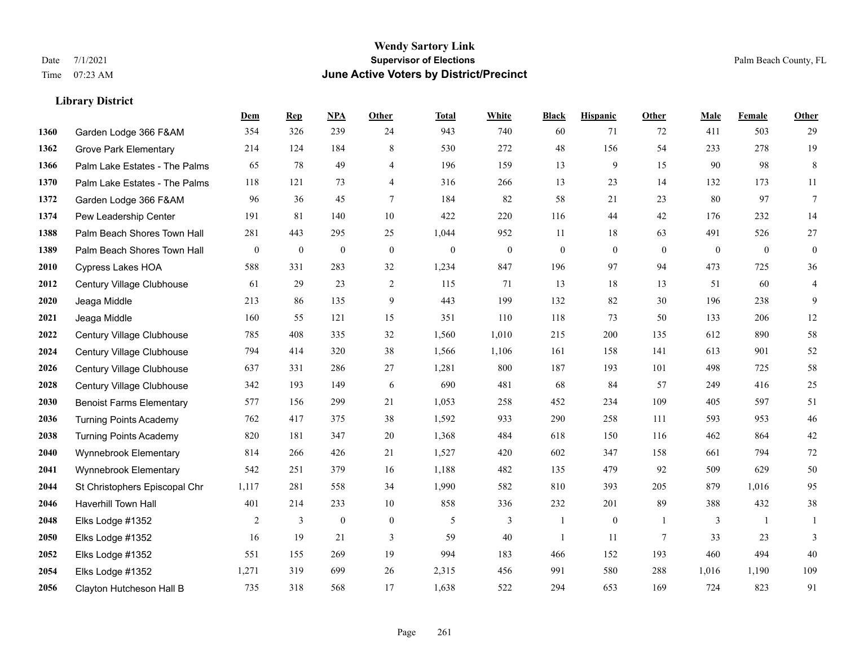|      |                                 | Dem            | <b>Rep</b>       | NPA              | <b>Other</b>     | <b>Total</b>     | <b>White</b>     | <b>Black</b>   | <b>Hispanic</b> | <b>Other</b>   | <b>Male</b>    | Female         | <b>Other</b>     |
|------|---------------------------------|----------------|------------------|------------------|------------------|------------------|------------------|----------------|-----------------|----------------|----------------|----------------|------------------|
| 1360 | Garden Lodge 366 F&AM           | 354            | 326              | 239              | 24               | 943              | 740              | 60             | 71              | 72             | 411            | 503            | 29               |
| 1362 | <b>Grove Park Elementary</b>    | 214            | 124              | 184              | 8                | 530              | 272              | 48             | 156             | 54             | 233            | 278            | 19               |
| 1366 | Palm Lake Estates - The Palms   | 65             | 78               | 49               | $\overline{4}$   | 196              | 159              | 13             | 9               | 15             | 90             | 98             | $\,8\,$          |
| 1370 | Palm Lake Estates - The Palms   | 118            | 121              | 73               | $\overline{4}$   | 316              | 266              | 13             | 23              | 14             | 132            | 173            | 11               |
| 1372 | Garden Lodge 366 F&AM           | 96             | 36               | 45               | $\overline{7}$   | 184              | 82               | 58             | 21              | 23             | 80             | 97             | $\tau$           |
| 1374 | Pew Leadership Center           | 191            | 81               | 140              | 10               | 422              | 220              | 116            | 44              | 42             | 176            | 232            | 14               |
| 1388 | Palm Beach Shores Town Hall     | 281            | 443              | 295              | 25               | 1,044            | 952              | 11             | 18              | 63             | 491            | 526            | 27               |
| 1389 | Palm Beach Shores Town Hall     | $\overline{0}$ | $\boldsymbol{0}$ | $\boldsymbol{0}$ | $\mathbf{0}$     | $\boldsymbol{0}$ | $\boldsymbol{0}$ | $\mathbf{0}$   | $\overline{0}$  | $\theta$       | $\overline{0}$ | $\overline{0}$ | $\boldsymbol{0}$ |
| 2010 | <b>Cypress Lakes HOA</b>        | 588            | 331              | 283              | 32               | 1,234            | 847              | 196            | 97              | 94             | 473            | 725            | 36               |
| 2012 | Century Village Clubhouse       | 61             | 29               | 23               | 2                | 115              | 71               | 13             | 18              | 13             | 51             | 60             | $\overline{4}$   |
| 2020 | Jeaga Middle                    | 213            | 86               | 135              | 9                | 443              | 199              | 132            | 82              | 30             | 196            | 238            | 9                |
| 2021 | Jeaga Middle                    | 160            | 55               | 121              | 15               | 351              | 110              | 118            | 73              | 50             | 133            | 206            | 12               |
| 2022 | Century Village Clubhouse       | 785            | 408              | 335              | 32               | 1,560            | 1,010            | 215            | 200             | 135            | 612            | 890            | 58               |
| 2024 | Century Village Clubhouse       | 794            | 414              | 320              | 38               | 1,566            | 1,106            | 161            | 158             | 141            | 613            | 901            | 52               |
| 2026 | Century Village Clubhouse       | 637            | 331              | 286              | 27               | 1,281            | 800              | 187            | 193             | 101            | 498            | 725            | 58               |
| 2028 | Century Village Clubhouse       | 342            | 193              | 149              | 6                | 690              | 481              | 68             | 84              | 57             | 249            | 416            | $25\,$           |
| 2030 | <b>Benoist Farms Elementary</b> | 577            | 156              | 299              | 21               | 1,053            | 258              | 452            | 234             | 109            | 405            | 597            | 51               |
| 2036 | <b>Turning Points Academy</b>   | 762            | 417              | 375              | 38               | 1,592            | 933              | 290            | 258             | 111            | 593            | 953            | $46\,$           |
| 2038 | <b>Turning Points Academy</b>   | 820            | 181              | 347              | 20               | 1,368            | 484              | 618            | 150             | 116            | 462            | 864            | $42\,$           |
| 2040 | Wynnebrook Elementary           | 814            | 266              | 426              | 21               | 1,527            | 420              | 602            | 347             | 158            | 661            | 794            | $72\,$           |
| 2041 | Wynnebrook Elementary           | 542            | 251              | 379              | 16               | 1,188            | 482              | 135            | 479             | 92             | 509            | 629            | $50\,$           |
| 2044 | St Christophers Episcopal Chr   | 1,117          | 281              | 558              | 34               | 1,990            | 582              | 810            | 393             | 205            | 879            | 1,016          | 95               |
| 2046 | <b>Haverhill Town Hall</b>      | 401            | 214              | 233              | 10               | 858              | 336              | 232            | 201             | 89             | 388            | 432            | $38\,$           |
| 2048 | Elks Lodge #1352                | 2              | 3                | $\boldsymbol{0}$ | $\boldsymbol{0}$ | 5                | 3                | $\mathbf{1}$   | $\mathbf{0}$    | $\overline{1}$ | 3              | -1             | -1               |
| 2050 | Elks Lodge #1352                | 16             | 19               | 21               | 3                | 59               | 40               | $\overline{1}$ | 11              | $\tau$         | 33             | 23             | 3                |
| 2052 | Elks Lodge #1352                | 551            | 155              | 269              | 19               | 994              | 183              | 466            | 152             | 193            | 460            | 494            | 40               |
| 2054 | Elks Lodge #1352                | 1,271          | 319              | 699              | 26               | 2,315            | 456              | 991            | 580             | 288            | 1,016          | 1,190          | 109              |
| 2056 | Clayton Hutcheson Hall B        | 735            | 318              | 568              | 17               | 1,638            | 522              | 294            | 653             | 169            | 724            | 823            | 91               |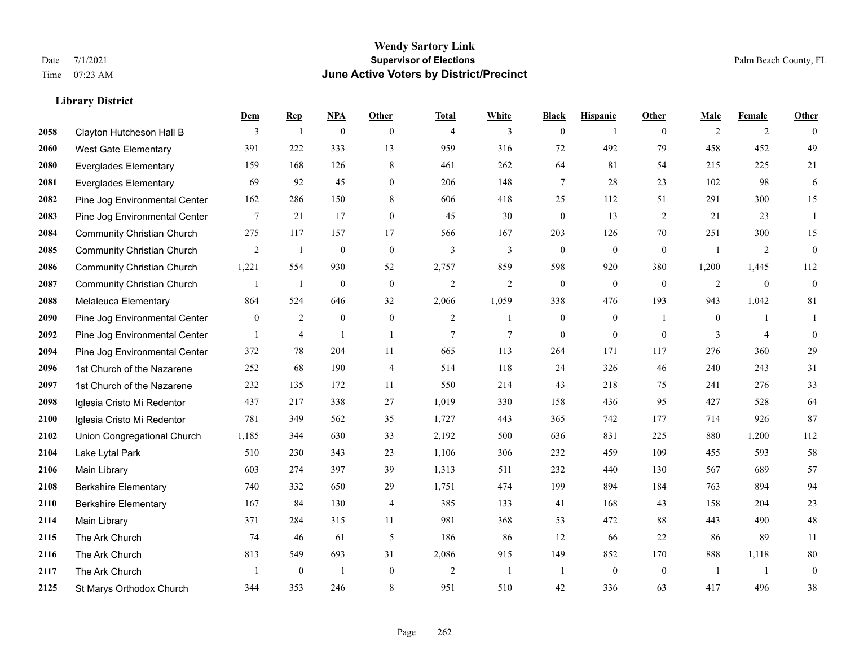#### **Wendy Sartory Link** Date 7/1/2021 **Supervisor of Elections** Palm Beach County, FL Time 07:23 AM **June Active Voters by District/Precinct**

**Dem Rep NPA Other Total White Black Hispanic Other Male Female Other**

# Clayton Hutcheson Hall B 3 1 0 0 4 3 0 1 0 2 2 0 West Gate Elementary 391 222 333 13 959 316 72 492 79 458 452 49 Everglades Elementary 159 168 126 8 461 262 64 81 54 215 225 21 Everglades Elementary 69 92 45 0 206 148 7 28 23 102 98 6 Pine Jog Environmental Center 162 286 150 8 606 418 25 112 51 291 300 15 Pine Jog Environmental Center 7 21 17 0 45 30 0 13 2 21 23 1 Community Christian Church 275 117 157 17 566 167 203 126 70 251 300 15 Community Christian Church 2 1 0 0 3 3 0 0 0 1 2 0 Community Christian Church 1,221 554 930 52 2,757 859 598 920 380 1,200 1,445 112 Community Christian Church 1 1 0 0 2 2 0 0 0 2 0 0 Melaleuca Elementary 864 524 646 32 2,066 1,059 338 476 193 943 1,042 81 Pine Jog Environmental Center  $\begin{array}{ccccccccccccc} & 0 & 2 & 0 & 0 & 2 & 1 & 0 & 0 & 1 & 1 \end{array}$  Pine Jog Environmental Center 1 4 1 1 1 7 7 0 0 0 3 4 0 Pine Jog Environmental Center 372 78 204 11 665 113 264 171 117 276 360 29 1st Church of the Nazarene 252 68 190 4 514 118 24 326 46 240 243 31 1st Church of the Nazarene 232 135 172 11 550 214 43 218 75 241 276 33 Iglesia Cristo Mi Redentor 437 217 338 27 1,019 330 158 436 95 427 528 64 Iglesia Cristo Mi Redentor 781 349 562 35 1,727 443 365 742 177 714 926 87 Union Congregational Church 1,185 344 630 33 2,192 500 636 831 225 880 1,200 112 Lake Lytal Park 510 230 343 23 1,106 306 232 459 109 455 593 58 Main Library 603 274 397 39 1,313 511 232 440 130 567 689 57 Berkshire Elementary 740 332 650 29 1,751 474 199 894 184 763 894 94 Berkshire Elementary 167 84 130 4 385 133 41 168 43 158 204 23 Main Library 371 284 315 11 981 368 53 472 88 443 490 48 The Ark Church 74 46 61 5 186 86 12 66 22 86 89 11 The Ark Church 813 549 693 31 2,086 915 149 852 170 888 1,118 80 The Ark Church 1 0 1 0 2 1 1 0 0 1 1 0

St Marys Orthodox Church 344 353 246 8 951 510 42 336 63 417 496 38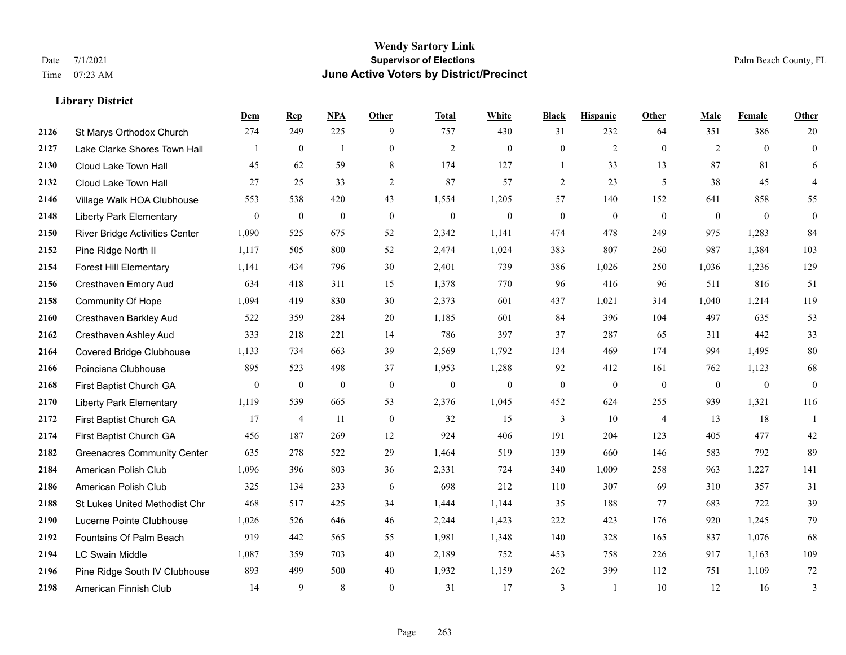|      |                                       | Dem            | <b>Rep</b>       | NPA              | <b>Other</b>     | <b>Total</b>   | <b>White</b>     | <b>Black</b>     | <b>Hispanic</b> | <b>Other</b>   | <b>Male</b>  | Female       | <b>Other</b>     |
|------|---------------------------------------|----------------|------------------|------------------|------------------|----------------|------------------|------------------|-----------------|----------------|--------------|--------------|------------------|
| 2126 | St Marys Orthodox Church              | 274            | 249              | 225              | 9                | 757            | 430              | 31               | 232             | 64             | 351          | 386          | 20               |
| 2127 | Lake Clarke Shores Town Hall          |                | $\boldsymbol{0}$ | $\mathbf{1}$     | $\boldsymbol{0}$ | $\mathfrak{2}$ | $\boldsymbol{0}$ | $\boldsymbol{0}$ | $\mathfrak{2}$  | $\mathbf{0}$   | 2            | $\mathbf{0}$ | $\boldsymbol{0}$ |
| 2130 | Cloud Lake Town Hall                  | 45             | 62               | 59               | 8                | 174            | 127              | $\mathbf{1}$     | 33              | 13             | 87           | 81           | 6                |
| 2132 | Cloud Lake Town Hall                  | 27             | 25               | 33               | $\mathfrak{2}$   | 87             | 57               | $\overline{c}$   | 23              | 5              | 38           | 45           | $\overline{4}$   |
| 2146 | Village Walk HOA Clubhouse            | 553            | 538              | 420              | 43               | 1,554          | 1,205            | 57               | 140             | 152            | 641          | 858          | 55               |
| 2148 | <b>Liberty Park Elementary</b>        | $\overline{0}$ | $\bf{0}$         | $\boldsymbol{0}$ | $\mathbf{0}$     | $\mathbf{0}$   | $\boldsymbol{0}$ | $\boldsymbol{0}$ | $\mathbf{0}$    | $\mathbf{0}$   | $\mathbf{0}$ | $\mathbf{0}$ | $\mathbf{0}$     |
| 2150 | <b>River Bridge Activities Center</b> | 1,090          | 525              | 675              | 52               | 2,342          | 1,141            | 474              | 478             | 249            | 975          | 1,283        | 84               |
| 2152 | Pine Ridge North II                   | 1,117          | 505              | 800              | 52               | 2,474          | 1,024            | 383              | 807             | 260            | 987          | 1,384        | 103              |
| 2154 | <b>Forest Hill Elementary</b>         | 1,141          | 434              | 796              | 30               | 2,401          | 739              | 386              | 1,026           | 250            | 1,036        | 1,236        | 129              |
| 2156 | Cresthaven Emory Aud                  | 634            | 418              | 311              | 15               | 1,378          | 770              | 96               | 416             | 96             | 511          | 816          | 51               |
| 2158 | <b>Community Of Hope</b>              | 1,094          | 419              | 830              | 30               | 2,373          | 601              | 437              | 1,021           | 314            | 1,040        | 1,214        | 119              |
| 2160 | Cresthaven Barkley Aud                | 522            | 359              | 284              | 20               | 1,185          | 601              | 84               | 396             | 104            | 497          | 635          | 53               |
| 2162 | Cresthaven Ashley Aud                 | 333            | 218              | 221              | 14               | 786            | 397              | 37               | 287             | 65             | 311          | 442          | 33               |
| 2164 | <b>Covered Bridge Clubhouse</b>       | 1,133          | 734              | 663              | 39               | 2,569          | 1,792            | 134              | 469             | 174            | 994          | 1,495        | 80               |
| 2166 | Poinciana Clubhouse                   | 895            | 523              | 498              | 37               | 1,953          | 1,288            | 92               | 412             | 161            | 762          | 1,123        | 68               |
| 2168 | First Baptist Church GA               | $\overline{0}$ | $\boldsymbol{0}$ | $\boldsymbol{0}$ | $\mathbf{0}$     | $\mathbf{0}$   | $\boldsymbol{0}$ | $\boldsymbol{0}$ | $\mathbf{0}$    | $\mathbf{0}$   | $\mathbf{0}$ | $\mathbf{0}$ | $\mathbf{0}$     |
| 2170 | <b>Liberty Park Elementary</b>        | 1,119          | 539              | 665              | 53               | 2,376          | 1,045            | 452              | 624             | 255            | 939          | 1,321        | 116              |
| 2172 | First Baptist Church GA               | 17             | $\overline{4}$   | 11               | $\mathbf{0}$     | 32             | 15               | 3                | 10              | $\overline{4}$ | 13           | 18           | $\mathbf{1}$     |
| 2174 | First Baptist Church GA               | 456            | 187              | 269              | 12               | 924            | 406              | 191              | 204             | 123            | 405          | 477          | 42               |
| 2182 | <b>Greenacres Community Center</b>    | 635            | 278              | 522              | 29               | 1,464          | 519              | 139              | 660             | 146            | 583          | 792          | 89               |
| 2184 | American Polish Club                  | 1,096          | 396              | 803              | 36               | 2,331          | 724              | 340              | 1,009           | 258            | 963          | 1,227        | 141              |
| 2186 | American Polish Club                  | 325            | 134              | 233              | 6                | 698            | 212              | 110              | 307             | 69             | 310          | 357          | 31               |
| 2188 | St Lukes United Methodist Chr         | 468            | 517              | 425              | 34               | 1,444          | 1,144            | 35               | 188             | 77             | 683          | 722          | 39               |
| 2190 | Lucerne Pointe Clubhouse              | 1,026          | 526              | 646              | 46               | 2,244          | 1,423            | 222              | 423             | 176            | 920          | 1,245        | 79               |
| 2192 | Fountains Of Palm Beach               | 919            | 442              | 565              | 55               | 1,981          | 1,348            | 140              | 328             | 165            | 837          | 1,076        | 68               |
| 2194 | <b>LC Swain Middle</b>                | 1,087          | 359              | 703              | 40               | 2,189          | 752              | 453              | 758             | 226            | 917          | 1,163        | 109              |
| 2196 | Pine Ridge South IV Clubhouse         | 893            | 499              | 500              | 40               | 1,932          | 1,159            | 262              | 399             | 112            | 751          | 1,109        | 72               |
| 2198 | American Finnish Club                 | 14             | 9                | 8                | $\theta$         | 31             | 17               | 3                | -1              | 10             | 12           | 16           | 3                |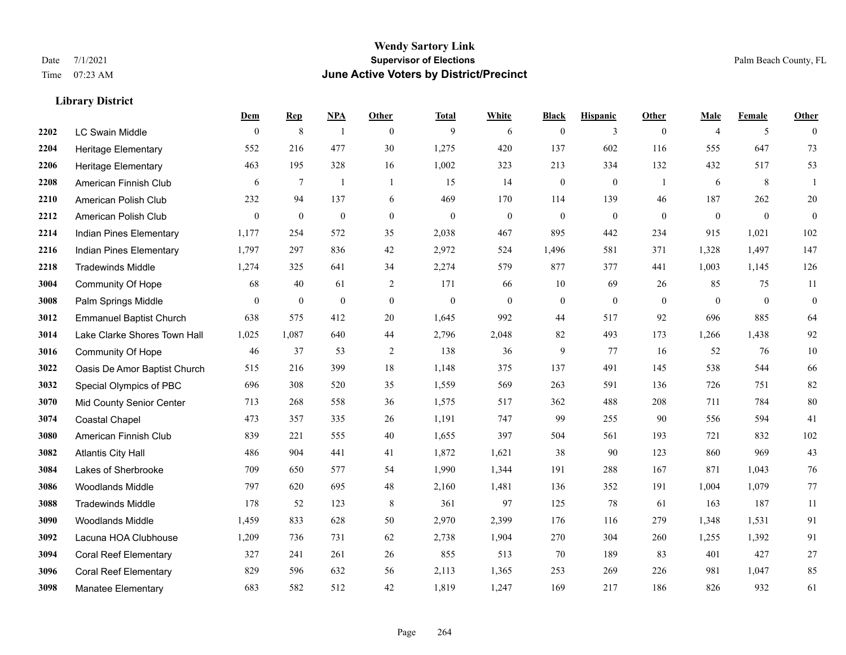#### **Wendy Sartory Link** Date 7/1/2021 **Supervisor of Elections** Palm Beach County, FL Time 07:23 AM **June Active Voters by District/Precinct**

## **Dem Rep NPA Other Total White Black Hispanic Other Male Female Other** LC Swain Middle 0 8 1 0 9 6 0 3 0 4 5 0 Heritage Elementary 552 216 477 30 1,275 420 137 602 116 555 647 73 Heritage Elementary 463 195 328 16 1,002 323 213 334 132 432 517 53 American Finnish Club 6 7 1 1 15 14 0 0 1 6 8 1 American Polish Club 232 94 137 6 469 170 114 139 46 187 262 20 American Polish Club 0 0 0 0 0 0 0 0 0 0 0 0 Indian Pines Elementary 1,177 254 572 35 2,038 467 895 442 234 915 1,021 102 Indian Pines Elementary 1,797 297 836 42 2,972 524 1,496 581 371 1,328 1,497 147 Tradewinds Middle 1,274 325 641 34 2,274 579 877 377 441 1,003 1,145 126 Community Of Hope 68 40 61 2 171 66 10 69 26 85 75 11 Palm Springs Middle 0 0 0 0 0 0 0 0 0 0 0 0 Emmanuel Baptist Church 638 575 412 20 1,645 992 44 517 92 696 885 64 Lake Clarke Shores Town Hall 1,025 1,087 640 44 2,796 2,048 82 493 173 1,266 1,438 92 Community Of Hope 46 37 53 2 138 36 9 77 16 52 76 10 Oasis De Amor Baptist Church 515 216 399 18 1,148 375 137 491 145 538 544 66 Special Olympics of PBC 696 308 520 35 1,559 569 263 591 136 726 751 82 Mid County Senior Center 713 268 558 36 1,575 517 362 488 208 711 784 80 Coastal Chapel 473 357 335 26 1,191 747 99 255 90 556 594 41 American Finnish Club 839 221 555 40 1,655 397 504 561 193 721 832 102 Atlantis City Hall 486 904 441 41 1,872 1,621 38 90 123 860 969 43 Lakes of Sherbrooke 709 650 577 54 1,990 1,344 191 288 167 871 1,043 76 Woodlands Middle 797 620 695 48 2,160 1,481 136 352 191 1,004 1,079 77 Tradewinds Middle 178 52 123 8 361 97 125 78 61 163 187 11 Woodlands Middle 1,459 833 628 50 2,970 2,399 176 116 279 1,348 1,531 91 Lacuna HOA Clubhouse 1,209 736 731 62 2,738 1,904 270 304 260 1,255 1,392 91 Coral Reef Elementary 327 241 261 26 855 513 70 189 83 401 427 27 Coral Reef Elementary 829 596 632 56 2,113 1,365 253 269 226 981 1,047 85 Manatee Elementary 683 582 512 42 1,819 1,247 169 217 186 826 932 61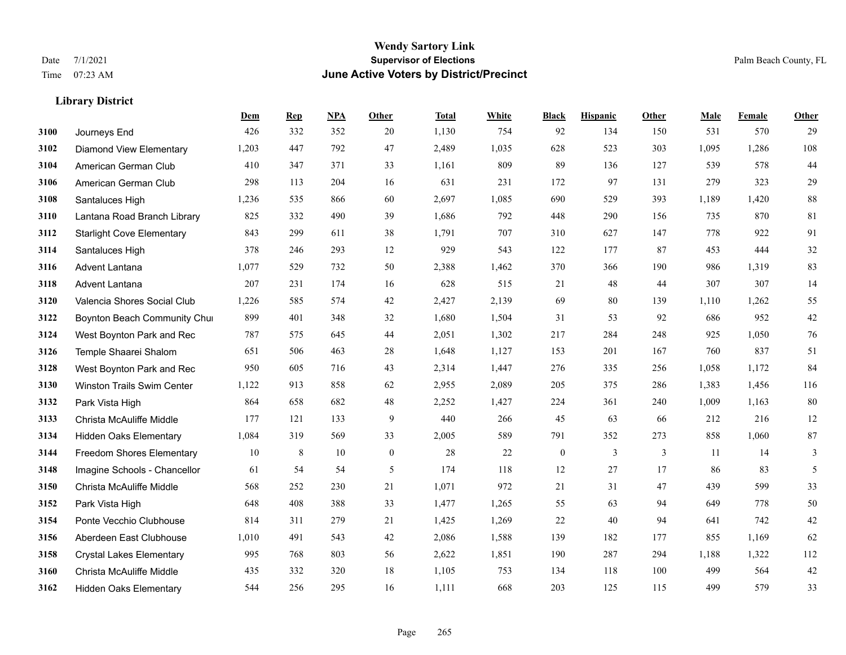|      |                                  | Dem   | <b>Rep</b> | NPA | <b>Other</b>     | <b>Total</b> | White | <b>Black</b>     | <b>Hispanic</b> | Other        | <b>Male</b> | Female | <b>Other</b>   |
|------|----------------------------------|-------|------------|-----|------------------|--------------|-------|------------------|-----------------|--------------|-------------|--------|----------------|
| 3100 | Journeys End                     | 426   | 332        | 352 | 20               | 1,130        | 754   | 92               | 134             | 150          | 531         | 570    | 29             |
| 3102 | <b>Diamond View Elementary</b>   | 1,203 | 447        | 792 | 47               | 2,489        | 1,035 | 628              | 523             | 303          | 1,095       | 1,286  | 108            |
| 3104 | American German Club             | 410   | 347        | 371 | 33               | 1,161        | 809   | 89               | 136             | 127          | 539         | 578    | 44             |
| 3106 | American German Club             | 298   | 113        | 204 | 16               | 631          | 231   | 172              | 97              | 131          | 279         | 323    | 29             |
| 3108 | Santaluces High                  | 1,236 | 535        | 866 | 60               | 2,697        | 1,085 | 690              | 529             | 393          | 1,189       | 1.420  | $\bf 88$       |
| 3110 | Lantana Road Branch Library      | 825   | 332        | 490 | 39               | 1,686        | 792   | 448              | 290             | 156          | 735         | 870    | 81             |
| 3112 | <b>Starlight Cove Elementary</b> | 843   | 299        | 611 | 38               | 1,791        | 707   | 310              | 627             | 147          | 778         | 922    | 91             |
| 3114 | Santaluces High                  | 378   | 246        | 293 | 12               | 929          | 543   | 122              | 177             | 87           | 453         | 444    | 32             |
| 3116 | Advent Lantana                   | 1,077 | 529        | 732 | 50               | 2,388        | 1,462 | 370              | 366             | 190          | 986         | 1,319  | 83             |
| 3118 | Advent Lantana                   | 207   | 231        | 174 | 16               | 628          | 515   | 21               | 48              | 44           | 307         | 307    | 14             |
| 3120 | Valencia Shores Social Club      | 1,226 | 585        | 574 | 42               | 2,427        | 2,139 | 69               | 80              | 139          | 1,110       | 1,262  | 55             |
| 3122 | Boynton Beach Community Chur     | 899   | 401        | 348 | 32               | 1,680        | 1,504 | 31               | 53              | 92           | 686         | 952    | $42\,$         |
| 3124 | West Boynton Park and Rec        | 787   | 575        | 645 | 44               | 2,051        | 1,302 | 217              | 284             | 248          | 925         | 1,050  | 76             |
| 3126 | Temple Shaarei Shalom            | 651   | 506        | 463 | 28               | 1,648        | 1,127 | 153              | 201             | 167          | 760         | 837    | 51             |
| 3128 | West Boynton Park and Rec        | 950   | 605        | 716 | 43               | 2,314        | 1,447 | 276              | 335             | 256          | 1,058       | 1,172  | 84             |
| 3130 | Winston Trails Swim Center       | 1,122 | 913        | 858 | 62               | 2,955        | 2,089 | 205              | 375             | 286          | 1,383       | 1,456  | 116            |
| 3132 | Park Vista High                  | 864   | 658        | 682 | 48               | 2,252        | 1,427 | 224              | 361             | 240          | 1,009       | 1,163  | 80             |
| 3133 | Christa McAuliffe Middle         | 177   | 121        | 133 | 9                | 440          | 266   | 45               | 63              | 66           | 212         | 216    | $12\,$         |
| 3134 | <b>Hidden Oaks Elementary</b>    | 1,084 | 319        | 569 | 33               | 2,005        | 589   | 791              | 352             | 273          | 858         | 1,060  | 87             |
| 3144 | <b>Freedom Shores Elementary</b> | 10    | $\,8\,$    | 10  | $\boldsymbol{0}$ | 28           | 22    | $\boldsymbol{0}$ | 3               | $\mathbf{3}$ | 11          | 14     | $\mathfrak{Z}$ |
| 3148 | Imagine Schools - Chancellor     | 61    | 54         | 54  | 5                | 174          | 118   | 12               | 27              | 17           | 86          | 83     | 5              |
| 3150 | Christa McAuliffe Middle         | 568   | 252        | 230 | 21               | 1,071        | 972   | 21               | 31              | 47           | 439         | 599    | 33             |
| 3152 | Park Vista High                  | 648   | 408        | 388 | 33               | 1,477        | 1,265 | 55               | 63              | 94           | 649         | 778    | $50\,$         |
| 3154 | Ponte Vecchio Clubhouse          | 814   | 311        | 279 | 21               | 1,425        | 1,269 | 22               | 40              | 94           | 641         | 742    | $42\,$         |
| 3156 | Aberdeen East Clubhouse          | 1,010 | 491        | 543 | 42               | 2,086        | 1,588 | 139              | 182             | 177          | 855         | 1.169  | 62             |
| 3158 | <b>Crystal Lakes Elementary</b>  | 995   | 768        | 803 | 56               | 2,622        | 1,851 | 190              | 287             | 294          | 1,188       | 1,322  | 112            |
| 3160 | Christa McAuliffe Middle         | 435   | 332        | 320 | 18               | 1,105        | 753   | 134              | 118             | 100          | 499         | 564    | 42             |
| 3162 | <b>Hidden Oaks Elementary</b>    | 544   | 256        | 295 | 16               | 1,111        | 668   | 203              | 125             | 115          | 499         | 579    | 33             |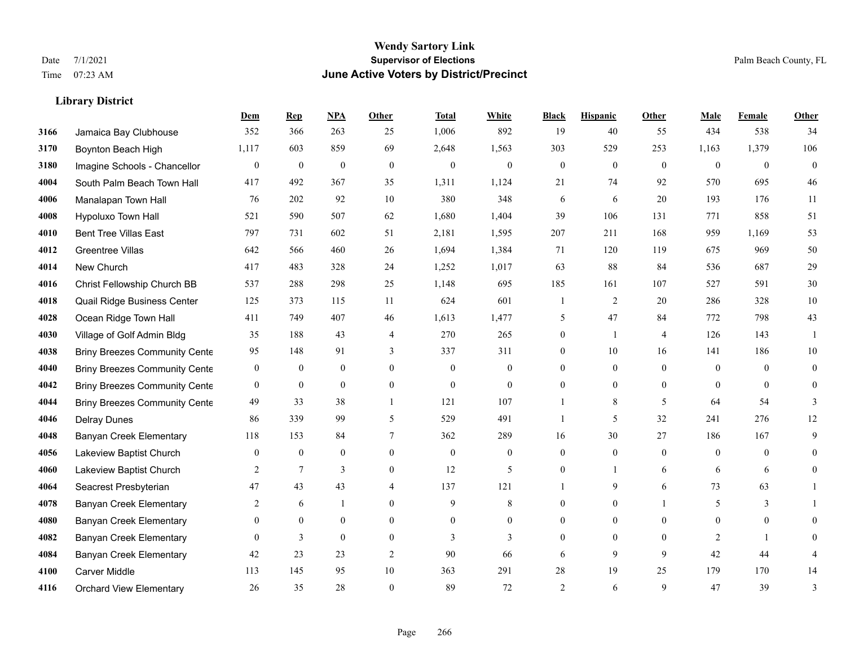|      |                                      | Dem          | <b>Rep</b>       | NPA              | <b>Other</b>   | <b>Total</b>     | <b>White</b>     | <b>Black</b>     | <b>Hispanic</b> | <b>Other</b>   | <b>Male</b>    | <b>Female</b> | <b>Other</b>   |
|------|--------------------------------------|--------------|------------------|------------------|----------------|------------------|------------------|------------------|-----------------|----------------|----------------|---------------|----------------|
| 3166 | Jamaica Bay Clubhouse                | 352          | 366              | 263              | 25             | 1,006            | 892              | 19               | 40              | 55             | 434            | 538           | 34             |
| 3170 | Boynton Beach High                   | 1,117        | 603              | 859              | 69             | 2,648            | 1,563            | 303              | 529             | 253            | 1,163          | 1,379         | 106            |
| 3180 | Imagine Schools - Chancellor         | $\mathbf{0}$ | $\boldsymbol{0}$ | $\boldsymbol{0}$ | $\mathbf{0}$   | $\boldsymbol{0}$ | $\mathbf{0}$     | $\boldsymbol{0}$ | $\mathbf{0}$    | $\mathbf{0}$   | $\overline{0}$ | $\mathbf{0}$  | $\overline{0}$ |
| 4004 | South Palm Beach Town Hall           | 417          | 492              | 367              | 35             | 1,311            | 1,124            | 21               | 74              | 92             | 570            | 695           | 46             |
| 4006 | Manalapan Town Hall                  | 76           | 202              | 92               | 10             | 380              | 348              | 6                | 6               | 20             | 193            | 176           | 11             |
| 4008 | Hypoluxo Town Hall                   | 521          | 590              | 507              | 62             | 1,680            | 1,404            | 39               | 106             | 131            | 771            | 858           | 51             |
| 4010 | <b>Bent Tree Villas East</b>         | 797          | 731              | 602              | 51             | 2,181            | 1,595            | 207              | 211             | 168            | 959            | 1,169         | 53             |
| 4012 | <b>Greentree Villas</b>              | 642          | 566              | 460              | 26             | 1,694            | 1,384            | 71               | 120             | 119            | 675            | 969           | 50             |
| 4014 | New Church                           | 417          | 483              | 328              | 24             | 1,252            | 1,017            | 63               | $88\,$          | 84             | 536            | 687           | $29\,$         |
| 4016 | Christ Fellowship Church BB          | 537          | 288              | 298              | 25             | 1,148            | 695              | 185              | 161             | 107            | 527            | 591           | $30\,$         |
| 4018 | Quail Ridge Business Center          | 125          | 373              | 115              | 11             | 624              | 601              | $\mathbf{1}$     | 2               | 20             | 286            | 328           | 10             |
| 4028 | Ocean Ridge Town Hall                | 411          | 749              | 407              | 46             | 1,613            | 1,477            | 5                | 47              | 84             | 772            | 798           | 43             |
| 4030 | Village of Golf Admin Bldg           | 35           | 188              | 43               | $\overline{4}$ | 270              | 265              | $\overline{0}$   | 1               | $\overline{4}$ | 126            | 143           | -1             |
| 4038 | <b>Briny Breezes Community Cente</b> | 95           | 148              | 91               | 3              | 337              | 311              | 0                | 10              | 16             | 141            | 186           | $10\,$         |
| 4040 | <b>Briny Breezes Community Cente</b> | $\mathbf{0}$ | $\overline{0}$   | $\mathbf{0}$     | $\Omega$       | $\mathbf{0}$     | 0                | 0                | $\overline{0}$  | $\theta$       | $\theta$       | $\theta$      | $\mathbf{0}$   |
| 4042 | <b>Briny Breezes Community Cente</b> | $\mathbf{0}$ | $\mathbf{0}$     | $\mathbf{0}$     | $\theta$       | $\theta$         | $\overline{0}$   | $\theta$         | $\overline{0}$  | $\theta$       | $\theta$       | $\theta$      | $\theta$       |
| 4044 | <b>Briny Breezes Community Cente</b> | 49           | 33               | 38               | $\mathbf{1}$   | 121              | 107              |                  | 8               | 5              | 64             | 54            | 3              |
| 4046 | <b>Delray Dunes</b>                  | 86           | 339              | 99               | 5              | 529              | 491              |                  | 5               | 32             | 241            | 276           | 12             |
| 4048 | <b>Banyan Creek Elementary</b>       | 118          | 153              | 84               | 7              | 362              | 289              | 16               | 30              | 27             | 186            | 167           | 9              |
| 4056 | Lakeview Baptist Church              | $\mathbf{0}$ | $\boldsymbol{0}$ | $\boldsymbol{0}$ | $\mathbf{0}$   | $\boldsymbol{0}$ | $\boldsymbol{0}$ | $\boldsymbol{0}$ | $\overline{0}$  | $\mathbf{0}$   | $\mathbf{0}$   | $\mathbf{0}$  | $\overline{0}$ |
| 4060 | Lakeview Baptist Church              | 2            | $\tau$           | 3                | $\theta$       | 12               | 5                | $\mathbf{0}$     | 1               | 6              | 6              | 6             | $\Omega$       |
| 4064 | Seacrest Presbyterian                | 47           | 43               | 43               | 4              | 137              | 121              |                  | 9               | 6              | 73             | 63            |                |
| 4078 | <b>Banyan Creek Elementary</b>       | 2            | 6                |                  | $\mathbf{0}$   | 9                | 8                | 0                | $\overline{0}$  |                | 5              | 3             |                |
| 4080 | <b>Banyan Creek Elementary</b>       | $\mathbf{0}$ | $\overline{0}$   | $\mathbf{0}$     | $\mathbf{0}$   | $\theta$         | 0                | $\mathbf{0}$     | $\overline{0}$  | $\theta$       | $\overline{0}$ | $\mathbf{0}$  | 0              |
| 4082 | <b>Banyan Creek Elementary</b>       | $\theta$     | 3                | $\theta$         | $\theta$       | 3                | $\overline{3}$   | $\Omega$         | $\Omega$        | $\Omega$       | $\overline{2}$ |               | $\Omega$       |
| 4084 | <b>Banyan Creek Elementary</b>       | 42           | 23               | 23               | $\overline{2}$ | 90               | 66               | 6                | 9               | 9              | 42             | 44            | 4              |
| 4100 | Carver Middle                        | 113          | 145              | 95               | $10\,$         | 363              | 291              | 28               | 19              | 25             | 179            | 170           | 14             |
| 4116 | <b>Orchard View Elementary</b>       | 26           | 35               | 28               | $\theta$       | 89               | 72               | $\overline{2}$   | 6               | 9              | 47             | 39            | 3              |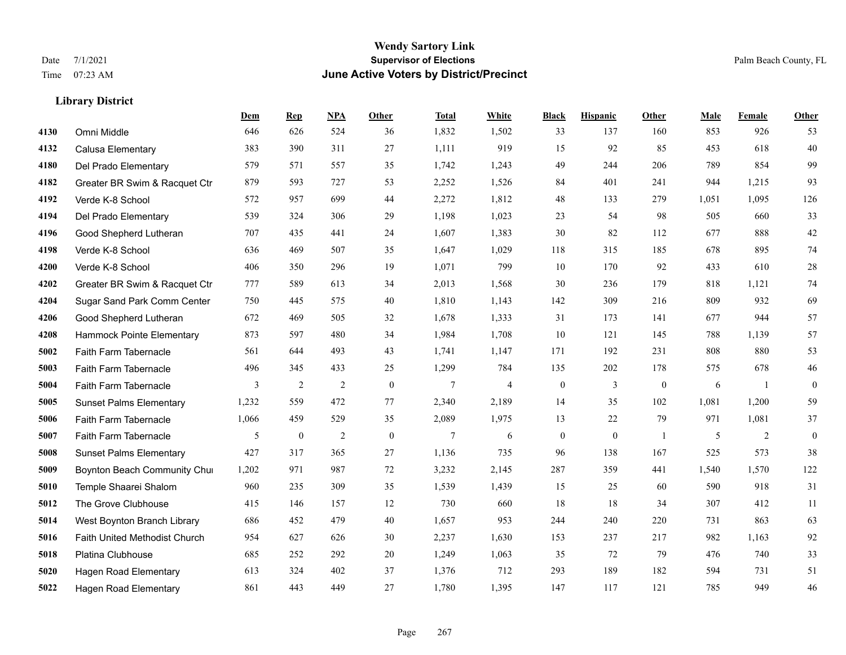#### **Wendy Sartory Link** Date 7/1/2021 **Supervisor of Elections** Palm Beach County, FL Time 07:23 AM **June Active Voters by District/Precinct**

**Dem Rep NPA Other Total White Black Hispanic Other Male Female Other**

## Omni Middle 646 626 524 36 1,832 1,502 33 137 160 853 926 53 Calusa Elementary 383 390 311 27 1,111 919 15 92 85 453 618 40 Del Prado Elementary 579 571 557 35 1,742 1,243 49 244 206 789 854 99 Greater BR Swim & Racquet Ctr 879 593 727 53 2,252 1,526 84 401 241 944 1,215 93 Verde K-8 School 572 957 699 44 2,272 1,812 48 133 279 1,051 1,095 126 Del Prado Elementary 539 324 306 29 1,198 1,023 23 54 98 505 660 33 Good Shepherd Lutheran 707 435 441 24 1,607 1,383 30 82 112 677 888 42 Verde K-8 School 636 469 507 35 1,647 1,029 118 315 185 678 895 74 Verde K-8 School 406 350 296 19 1,071 799 10 170 92 433 610 28 Greater BR Swim & Racquet Ctr 777 589 613 34 2,013 1,568 30 236 179 818 1,121 74 Sugar Sand Park Comm Center 750 445 575 40 1,810 1,143 142 309 216 809 932 69 Good Shepherd Lutheran 672 469 505 32 1,678 1,333 31 173 141 677 944 57 Hammock Pointe Elementary 873 597 480 34 1,984 1,708 10 121 145 788 1,139 57 Faith Farm Tabernacle 561 644 493 43 1,741 1,147 171 192 231 808 880 53 Faith Farm Tabernacle 496 345 433 25 1,299 784 135 202 178 575 678 46 Faith Farm Tabernacle 3 2 2 0 7 4 0 3 0 6 1 0 Sunset Palms Elementary 1,232 559 472 77 2,340 2,189 14 35 102 1,081 1,200 59 Faith Farm Tabernacle 1,066 459 529 35 2,089 1,975 13 22 79 971 1,081 37 Faith Farm Tabernacle 5 0 2 0 7 6 0 0 1 5 2 0 Sunset Palms Elementary 427 317 365 27 1,136 735 96 138 167 525 573 38 Boynton Beach Community Church 1,202 971 987 72 3,232 2,145 287 359 441 1,540 1,570 122 Temple Shaarei Shalom 960 235 309 35 1,539 1,439 15 25 60 590 918 31 The Grove Clubhouse 415 146 157 12 730 660 18 18 34 307 412 11 West Boynton Branch Library 686 452 479 40 1,657 953 244 240 220 731 863 63 Faith United Methodist Church 954 627 626 30 2,237 1,630 153 237 217 982 1,163 92

 Platina Clubhouse 685 252 292 20 1,249 1,063 35 72 79 476 740 33 Hagen Road Elementary 613 324 402 37 1,376 712 293 189 182 594 731 51 Hagen Road Elementary 861 443 449 27 1,780 1,395 147 117 121 785 949 46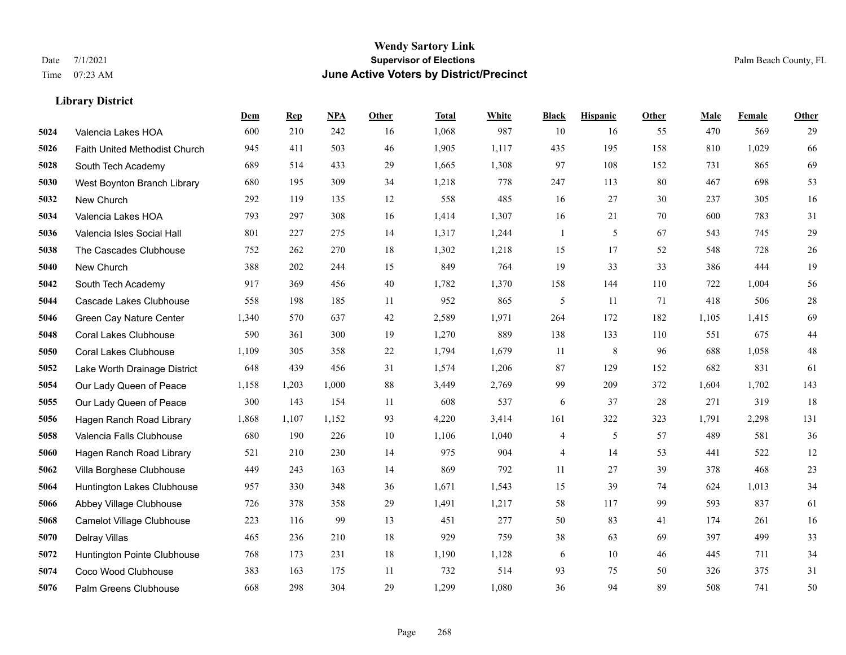|      |                               | Dem   | <b>Rep</b> | NPA   | <b>Other</b> | <b>Total</b> | <b>White</b> | <b>Black</b>             | <b>Hispanic</b> | <b>Other</b> | <b>Male</b> | Female | <b>Other</b> |
|------|-------------------------------|-------|------------|-------|--------------|--------------|--------------|--------------------------|-----------------|--------------|-------------|--------|--------------|
| 5024 | Valencia Lakes HOA            | 600   | 210        | 242   | 16           | 1,068        | 987          | 10                       | 16              | 55           | 470         | 569    | 29           |
| 5026 | Faith United Methodist Church | 945   | 411        | 503   | 46           | 1,905        | 1,117        | 435                      | 195             | 158          | 810         | 1,029  | 66           |
| 5028 | South Tech Academy            | 689   | 514        | 433   | 29           | 1,665        | 1,308        | 97                       | 108             | 152          | 731         | 865    | 69           |
| 5030 | West Boynton Branch Library   | 680   | 195        | 309   | 34           | 1,218        | 778          | 247                      | 113             | 80           | 467         | 698    | 53           |
| 5032 | New Church                    | 292   | 119        | 135   | 12           | 558          | 485          | 16                       | 27              | 30           | 237         | 305    | 16           |
| 5034 | Valencia Lakes HOA            | 793   | 297        | 308   | 16           | 1,414        | 1,307        | 16                       | 21              | 70           | 600         | 783    | 31           |
| 5036 | Valencia Isles Social Hall    | 801   | 227        | 275   | 14           | 1,317        | 1,244        | $\mathbf{1}$             | 5               | 67           | 543         | 745    | 29           |
| 5038 | The Cascades Clubhouse        | 752   | 262        | 270   | 18           | 1,302        | 1,218        | 15                       | 17              | 52           | 548         | 728    | 26           |
| 5040 | New Church                    | 388   | 202        | 244   | 15           | 849          | 764          | 19                       | 33              | 33           | 386         | 444    | 19           |
| 5042 | South Tech Academy            | 917   | 369        | 456   | 40           | 1,782        | 1,370        | 158                      | 144             | 110          | 722         | 1,004  | 56           |
| 5044 | Cascade Lakes Clubhouse       | 558   | 198        | 185   | 11           | 952          | 865          | 5                        | 11              | 71           | 418         | 506    | $28\,$       |
| 5046 | Green Cay Nature Center       | 1,340 | 570        | 637   | 42           | 2,589        | 1,971        | 264                      | 172             | 182          | 1,105       | 1,415  | 69           |
| 5048 | <b>Coral Lakes Clubhouse</b>  | 590   | 361        | 300   | 19           | 1,270        | 889          | 138                      | 133             | 110          | 551         | 675    | $44\,$       |
| 5050 | <b>Coral Lakes Clubhouse</b>  | 1,109 | 305        | 358   | 22           | 1,794        | 1,679        | 11                       | $\,$ 8 $\,$     | 96           | 688         | 1,058  | $48\,$       |
| 5052 | Lake Worth Drainage District  | 648   | 439        | 456   | 31           | 1,574        | 1,206        | 87                       | 129             | 152          | 682         | 831    | 61           |
| 5054 | Our Lady Queen of Peace       | 1,158 | 1,203      | 1,000 | 88           | 3,449        | 2,769        | 99                       | 209             | 372          | 1,604       | 1,702  | 143          |
| 5055 | Our Lady Queen of Peace       | 300   | 143        | 154   | 11           | 608          | 537          | 6                        | 37              | 28           | 271         | 319    | 18           |
| 5056 | Hagen Ranch Road Library      | 1,868 | 1,107      | 1,152 | 93           | 4,220        | 3,414        | 161                      | 322             | 323          | 1,791       | 2,298  | 131          |
| 5058 | Valencia Falls Clubhouse      | 680   | 190        | 226   | 10           | 1,106        | 1,040        | 4                        | 5               | 57           | 489         | 581    | 36           |
| 5060 | Hagen Ranch Road Library      | 521   | 210        | 230   | 14           | 975          | 904          | $\overline{\mathcal{A}}$ | 14              | 53           | 441         | 522    | $12\,$       |
| 5062 | Villa Borghese Clubhouse      | 449   | 243        | 163   | 14           | 869          | 792          | 11                       | 27              | 39           | 378         | 468    | $23\,$       |
| 5064 | Huntington Lakes Clubhouse    | 957   | 330        | 348   | 36           | 1,671        | 1,543        | 15                       | 39              | 74           | 624         | 1,013  | 34           |
| 5066 | Abbey Village Clubhouse       | 726   | 378        | 358   | 29           | 1,491        | 1,217        | 58                       | 117             | 99           | 593         | 837    | 61           |
| 5068 | Camelot Village Clubhouse     | 223   | 116        | 99    | 13           | 451          | 277          | 50                       | 83              | 41           | 174         | 261    | 16           |
| 5070 | Delray Villas                 | 465   | 236        | 210   | 18           | 929          | 759          | 38                       | 63              | 69           | 397         | 499    | 33           |
| 5072 | Huntington Pointe Clubhouse   | 768   | 173        | 231   | 18           | 1,190        | 1,128        | 6                        | 10              | 46           | 445         | 711    | 34           |
| 5074 | Coco Wood Clubhouse           | 383   | 163        | 175   | 11           | 732          | 514          | 93                       | 75              | 50           | 326         | 375    | 31           |
| 5076 | Palm Greens Clubhouse         | 668   | 298        | 304   | 29           | 1,299        | 1,080        | 36                       | 94              | 89           | 508         | 741    | 50           |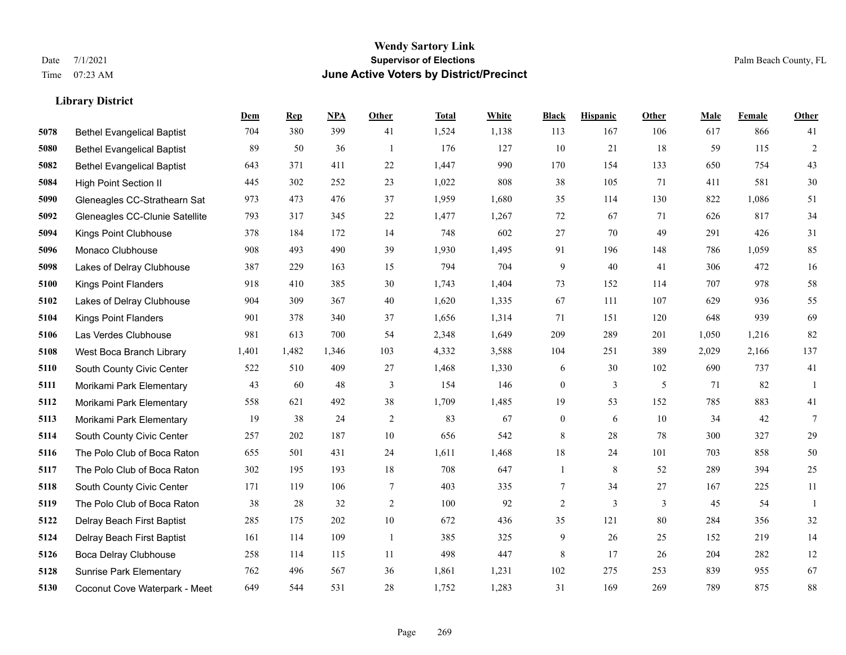|      |                                   | Dem   | <b>Rep</b> | NPA   | <b>Other</b> | <b>Total</b> | White | <b>Black</b>     | <b>Hispanic</b> | <b>Other</b> | <b>Male</b> | <b>Female</b> | <b>Other</b>    |
|------|-----------------------------------|-------|------------|-------|--------------|--------------|-------|------------------|-----------------|--------------|-------------|---------------|-----------------|
| 5078 | <b>Bethel Evangelical Baptist</b> | 704   | 380        | 399   | 41           | 1,524        | 1,138 | 113              | 167             | 106          | 617         | 866           | 41              |
| 5080 | <b>Bethel Evangelical Baptist</b> | 89    | 50         | 36    | -1           | 176          | 127   | 10               | 21              | 18           | 59          | 115           | $\overline{2}$  |
| 5082 | <b>Bethel Evangelical Baptist</b> | 643   | 371        | 411   | 22           | 1,447        | 990   | 170              | 154             | 133          | 650         | 754           | 43              |
| 5084 | <b>High Point Section II</b>      | 445   | 302        | 252   | 23           | 1,022        | 808   | 38               | 105             | 71           | 411         | 581           | $30\,$          |
| 5090 | Gleneagles CC-Strathearn Sat      | 973   | 473        | 476   | 37           | 1,959        | 1,680 | 35               | 114             | 130          | 822         | 1.086         | 51              |
| 5092 | Gleneagles CC-Clunie Satellite    | 793   | 317        | 345   | $22\,$       | 1,477        | 1,267 | 72               | 67              | 71           | 626         | 817           | 34              |
| 5094 | Kings Point Clubhouse             | 378   | 184        | 172   | 14           | 748          | 602   | 27               | 70              | 49           | 291         | 426           | 31              |
| 5096 | Monaco Clubhouse                  | 908   | 493        | 490   | 39           | 1,930        | 1,495 | 91               | 196             | 148          | 786         | 1.059         | 85              |
| 5098 | Lakes of Delray Clubhouse         | 387   | 229        | 163   | 15           | 794          | 704   | 9                | 40              | 41           | 306         | 472           | $16\,$          |
| 5100 | <b>Kings Point Flanders</b>       | 918   | 410        | 385   | 30           | 1,743        | 1,404 | 73               | 152             | 114          | 707         | 978           | 58              |
| 5102 | Lakes of Delray Clubhouse         | 904   | 309        | 367   | 40           | 1,620        | 1,335 | 67               | 111             | 107          | 629         | 936           | 55              |
| 5104 | Kings Point Flanders              | 901   | 378        | 340   | 37           | 1,656        | 1,314 | 71               | 151             | 120          | 648         | 939           | 69              |
| 5106 | Las Verdes Clubhouse              | 981   | 613        | 700   | 54           | 2,348        | 1,649 | 209              | 289             | 201          | 1,050       | 1,216         | 82              |
| 5108 | West Boca Branch Library          | 1,401 | 1,482      | 1,346 | 103          | 4,332        | 3,588 | 104              | 251             | 389          | 2,029       | 2,166         | 137             |
| 5110 | South County Civic Center         | 522   | 510        | 409   | 27           | 1,468        | 1,330 | 6                | 30              | 102          | 690         | 737           | 41              |
| 5111 | Morikami Park Elementary          | 43    | 60         | 48    | 3            | 154          | 146   | $\boldsymbol{0}$ | 3               | 5            | 71          | 82            | -1              |
| 5112 | Morikami Park Elementary          | 558   | 621        | 492   | 38           | 1,709        | 1,485 | 19               | 53              | 152          | 785         | 883           | 41              |
| 5113 | Morikami Park Elementary          | 19    | 38         | 24    | 2            | 83           | 67    | $\boldsymbol{0}$ | 6               | 10           | 34          | 42            | $7\phantom{.0}$ |
| 5114 | South County Civic Center         | 257   | 202        | 187   | 10           | 656          | 542   | 8                | 28              | 78           | 300         | 327           | 29              |
| 5116 | The Polo Club of Boca Raton       | 655   | 501        | 431   | 24           | 1,611        | 1,468 | 18               | 24              | 101          | 703         | 858           | $50\,$          |
| 5117 | The Polo Club of Boca Raton       | 302   | 195        | 193   | 18           | 708          | 647   | $\mathbf{1}$     | 8               | 52           | 289         | 394           | 25              |
| 5118 | South County Civic Center         | 171   | 119        | 106   | $\tau$       | 403          | 335   | $7\phantom{.0}$  | 34              | 27           | 167         | 225           | 11              |
| 5119 | The Polo Club of Boca Raton       | 38    | 28         | 32    | 2            | 100          | 92    | $\overline{c}$   | 3               | 3            | 45          | 54            | $\mathbf{1}$    |
| 5122 | Delray Beach First Baptist        | 285   | 175        | 202   | $10\,$       | 672          | 436   | 35               | 121             | 80           | 284         | 356           | $32\,$          |
| 5124 | Delray Beach First Baptist        | 161   | 114        | 109   | -1           | 385          | 325   | 9                | 26              | 25           | 152         | 219           | 14              |
| 5126 | Boca Delray Clubhouse             | 258   | 114        | 115   | 11           | 498          | 447   | 8                | 17              | 26           | 204         | 282           | 12              |
| 5128 | <b>Sunrise Park Elementary</b>    | 762   | 496        | 567   | 36           | 1,861        | 1,231 | 102              | 275             | 253          | 839         | 955           | 67              |
| 5130 | Coconut Cove Waterpark - Meet     | 649   | 544        | 531   | 28           | 1,752        | 1,283 | 31               | 169             | 269          | 789         | 875           | $88\,$          |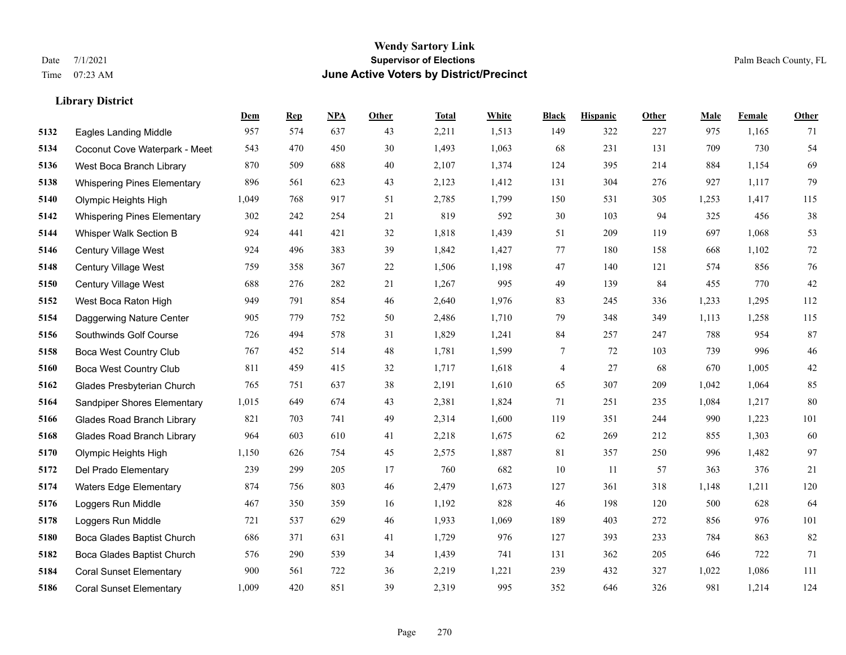|      |                                    | Dem   | <b>Rep</b> | NPA | <b>Other</b> | <b>Total</b> | <b>White</b> | <b>Black</b> | <b>Hispanic</b> | <b>Other</b> | <b>Male</b> | Female | <b>Other</b> |
|------|------------------------------------|-------|------------|-----|--------------|--------------|--------------|--------------|-----------------|--------------|-------------|--------|--------------|
| 5132 | <b>Eagles Landing Middle</b>       | 957   | 574        | 637 | 43           | 2,211        | 1,513        | 149          | 322             | 227          | 975         | 1,165  | 71           |
| 5134 | Coconut Cove Waterpark - Meet      | 543   | 470        | 450 | 30           | 1,493        | 1,063        | 68           | 231             | 131          | 709         | 730    | 54           |
| 5136 | West Boca Branch Library           | 870   | 509        | 688 | 40           | 2,107        | 1,374        | 124          | 395             | 214          | 884         | 1,154  | 69           |
| 5138 | <b>Whispering Pines Elementary</b> | 896   | 561        | 623 | 43           | 2,123        | 1,412        | 131          | 304             | 276          | 927         | 1,117  | 79           |
| 5140 | Olympic Heights High               | 1,049 | 768        | 917 | 51           | 2,785        | 1,799        | 150          | 531             | 305          | 1,253       | 1,417  | 115          |
| 5142 | <b>Whispering Pines Elementary</b> | 302   | 242        | 254 | 21           | 819          | 592          | 30           | 103             | 94           | 325         | 456    | $38\,$       |
| 5144 | Whisper Walk Section B             | 924   | 441        | 421 | 32           | 1,818        | 1,439        | 51           | 209             | 119          | 697         | 1,068  | 53           |
| 5146 | <b>Century Village West</b>        | 924   | 496        | 383 | 39           | 1,842        | 1,427        | 77           | 180             | 158          | 668         | 1,102  | $72\,$       |
| 5148 | Century Village West               | 759   | 358        | 367 | 22           | 1,506        | 1,198        | 47           | 140             | 121          | 574         | 856    | 76           |
| 5150 | Century Village West               | 688   | 276        | 282 | 21           | 1,267        | 995          | 49           | 139             | 84           | 455         | 770    | $42\,$       |
| 5152 | West Boca Raton High               | 949   | 791        | 854 | 46           | 2,640        | 1,976        | 83           | 245             | 336          | 1,233       | 1,295  | 112          |
| 5154 | Daggerwing Nature Center           | 905   | 779        | 752 | 50           | 2,486        | 1,710        | 79           | 348             | 349          | 1,113       | 1,258  | 115          |
| 5156 | Southwinds Golf Course             | 726   | 494        | 578 | 31           | 1,829        | 1,241        | 84           | 257             | 247          | 788         | 954    | 87           |
| 5158 | Boca West Country Club             | 767   | 452        | 514 | 48           | 1,781        | 1,599        | 7            | 72              | 103          | 739         | 996    | 46           |
| 5160 | <b>Boca West Country Club</b>      | 811   | 459        | 415 | 32           | 1,717        | 1,618        | 4            | 27              | 68           | 670         | 1,005  | $42\,$       |
| 5162 | Glades Presbyterian Church         | 765   | 751        | 637 | 38           | 2,191        | 1,610        | 65           | 307             | 209          | 1,042       | 1,064  | 85           |
| 5164 | Sandpiper Shores Elementary        | 1,015 | 649        | 674 | 43           | 2,381        | 1,824        | 71           | 251             | 235          | 1,084       | 1,217  | 80           |
| 5166 | <b>Glades Road Branch Library</b>  | 821   | 703        | 741 | 49           | 2,314        | 1,600        | 119          | 351             | 244          | 990         | 1,223  | 101          |
| 5168 | <b>Glades Road Branch Library</b>  | 964   | 603        | 610 | 41           | 2,218        | 1,675        | 62           | 269             | 212          | 855         | 1,303  | 60           |
| 5170 | Olympic Heights High               | 1,150 | 626        | 754 | 45           | 2,575        | 1,887        | 81           | 357             | 250          | 996         | 1,482  | 97           |
| 5172 | Del Prado Elementary               | 239   | 299        | 205 | 17           | 760          | 682          | 10           | 11              | 57           | 363         | 376    | 21           |
| 5174 | <b>Waters Edge Elementary</b>      | 874   | 756        | 803 | 46           | 2,479        | 1,673        | 127          | 361             | 318          | 1,148       | 1,211  | 120          |
| 5176 | Loggers Run Middle                 | 467   | 350        | 359 | 16           | 1,192        | 828          | 46           | 198             | 120          | 500         | 628    | 64           |
| 5178 | Loggers Run Middle                 | 721   | 537        | 629 | 46           | 1,933        | 1,069        | 189          | 403             | 272          | 856         | 976    | 101          |
| 5180 | Boca Glades Baptist Church         | 686   | 371        | 631 | 41           | 1,729        | 976          | 127          | 393             | 233          | 784         | 863    | 82           |
| 5182 | Boca Glades Baptist Church         | 576   | 290        | 539 | 34           | 1,439        | 741          | 131          | 362             | 205          | 646         | 722    | 71           |
| 5184 | <b>Coral Sunset Elementary</b>     | 900   | 561        | 722 | 36           | 2,219        | 1,221        | 239          | 432             | 327          | 1,022       | 1,086  | 111          |
| 5186 | <b>Coral Sunset Elementary</b>     | 1,009 | 420        | 851 | 39           | 2,319        | 995          | 352          | 646             | 326          | 981         | 1,214  | 124          |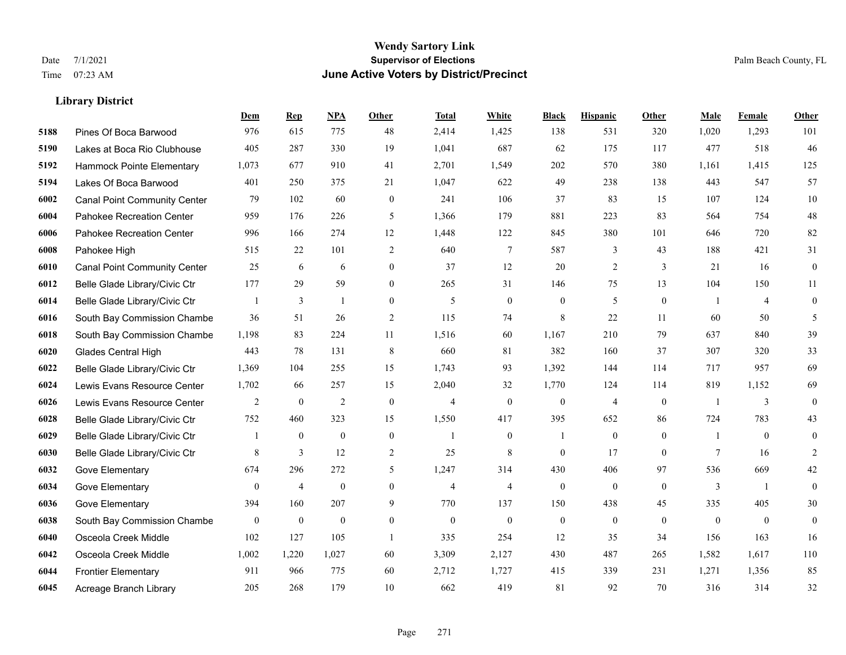|      |                                     | <b>Dem</b>     | <b>Rep</b>       | NPA              | <b>Other</b>     | <b>Total</b>   | <b>White</b>     | <b>Black</b>     | <b>Hispanic</b>  | Other          | <b>Male</b>    | <b>Female</b>  | <b>Other</b>     |
|------|-------------------------------------|----------------|------------------|------------------|------------------|----------------|------------------|------------------|------------------|----------------|----------------|----------------|------------------|
| 5188 | Pines Of Boca Barwood               | 976            | 615              | 775              | 48               | 2,414          | 1,425            | 138              | 531              | 320            | 1,020          | 1,293          | 101              |
| 5190 | Lakes at Boca Rio Clubhouse         | 405            | 287              | 330              | 19               | 1,041          | 687              | 62               | 175              | 117            | 477            | 518            | 46               |
| 5192 | Hammock Pointe Elementary           | 1,073          | 677              | 910              | 41               | 2,701          | 1,549            | 202              | 570              | 380            | 1,161          | 1,415          | 125              |
| 5194 | Lakes Of Boca Barwood               | 401            | 250              | 375              | 21               | 1,047          | 622              | 49               | 238              | 138            | 443            | 547            | 57               |
| 6002 | <b>Canal Point Community Center</b> | 79             | 102              | 60               | $\mathbf{0}$     | 241            | 106              | 37               | 83               | 15             | 107            | 124            | 10               |
| 6004 | Pahokee Recreation Center           | 959            | 176              | 226              | 5                | 1,366          | 179              | 881              | 223              | 83             | 564            | 754            | 48               |
| 6006 | Pahokee Recreation Center           | 996            | 166              | 274              | 12               | 1,448          | 122              | 845              | 380              | 101            | 646            | 720            | 82               |
| 6008 | Pahokee High                        | 515            | 22               | 101              | 2                | 640            | 7                | 587              | 3                | 43             | 188            | 421            | 31               |
| 6010 | <b>Canal Point Community Center</b> | 25             | 6                | 6                | $\mathbf{0}$     | 37             | 12               | 20               | $\overline{2}$   | 3              | 21             | 16             | $\boldsymbol{0}$ |
| 6012 | Belle Glade Library/Civic Ctr       | 177            | 29               | 59               | $\overline{0}$   | 265            | 31               | 146              | 75               | 13             | 104            | 150            | 11               |
| 6014 | Belle Glade Library/Civic Ctr       | 1              | 3                | $\mathbf{1}$     | $\mathbf{0}$     | 5              | $\mathbf{0}$     | $\mathbf{0}$     | 5                | $\theta$       | $\overline{1}$ | $\overline{4}$ | $\mathbf{0}$     |
| 6016 | South Bay Commission Chambe         | 36             | 51               | 26               | 2                | 115            | 74               | $\,$ 8 $\,$      | 22               | 11             | 60             | 50             | 5                |
| 6018 | South Bay Commission Chambe         | 1,198          | 83               | 224              | 11               | 1,516          | 60               | 1.167            | 210              | 79             | 637            | 840            | 39               |
| 6020 | Glades Central High                 | 443            | 78               | 131              | 8                | 660            | 81               | 382              | 160              | 37             | 307            | 320            | 33               |
| 6022 | Belle Glade Library/Civic Ctr       | 1,369          | 104              | 255              | 15               | 1,743          | 93               | 1,392            | 144              | 114            | 717            | 957            | 69               |
| 6024 | Lewis Evans Resource Center         | 1,702          | 66               | 257              | 15               | 2,040          | 32               | 1,770            | 124              | 114            | 819            | 1,152          | 69               |
| 6026 | Lewis Evans Resource Center         | $\overline{2}$ | $\mathbf{0}$     | 2                | $\mathbf{0}$     | $\overline{4}$ | $\mathbf{0}$     | $\mathbf{0}$     | $\overline{4}$   | $\mathbf{0}$   | $\overline{1}$ | 3              | $\mathbf{0}$     |
| 6028 | Belle Glade Library/Civic Ctr       | 752            | 460              | 323              | 15               | 1,550          | 417              | 395              | 652              | 86             | 724            | 783            | 43               |
| 6029 | Belle Glade Library/Civic Ctr       | 1              | $\boldsymbol{0}$ | $\boldsymbol{0}$ | $\boldsymbol{0}$ | $\mathbf{1}$   | $\boldsymbol{0}$ | -1               | $\mathbf{0}$     | $\overline{0}$ | -1             | $\mathbf{0}$   | $\mathbf{0}$     |
| 6030 | Belle Glade Library/Civic Ctr       | 8              | 3                | 12               | $\overline{2}$   | 25             | 8                | $\theta$         | 17               | $\theta$       | $\tau$         | 16             | 2                |
| 6032 | Gove Elementary                     | 674            | 296              | 272              | 5                | 1,247          | 314              | 430              | 406              | 97             | 536            | 669            | 42               |
| 6034 | Gove Elementary                     | $\overline{0}$ | $\overline{4}$   | $\boldsymbol{0}$ | $\boldsymbol{0}$ | $\overline{4}$ | $\overline{4}$   | $\boldsymbol{0}$ | $\boldsymbol{0}$ | $\mathbf{0}$   | 3              | -1             | $\mathbf{0}$     |
| 6036 | Gove Elementary                     | 394            | 160              | 207              | 9                | 770            | 137              | 150              | 438              | 45             | 335            | 405            | 30               |
| 6038 | South Bay Commission Chambe         | $\mathbf{0}$   | $\mathbf{0}$     | $\mathbf{0}$     | $\mathbf{0}$     | $\Omega$       | $\mathbf{0}$     | $\mathbf{0}$     | $\mathbf{0}$     | $\theta$       | $\theta$       | $\mathbf{0}$   | $\mathbf{0}$     |
| 6040 | Osceola Creek Middle                | 102            | 127              | 105              | $\mathbf{1}$     | 335            | 254              | 12               | 35               | 34             | 156            | 163            | 16               |
| 6042 | Osceola Creek Middle                | 1,002          | 1,220            | 1,027            | 60               | 3,309          | 2,127            | 430              | 487              | 265            | 1,582          | 1,617          | 110              |
| 6044 | <b>Frontier Elementary</b>          | 911            | 966              | 775              | 60               | 2,712          | 1,727            | 415              | 339              | 231            | 1,271          | 1,356          | 85               |
| 6045 | Acreage Branch Library              | 205            | 268              | 179              | 10               | 662            | 419              | 81               | 92               | 70             | 316            | 314            | 32               |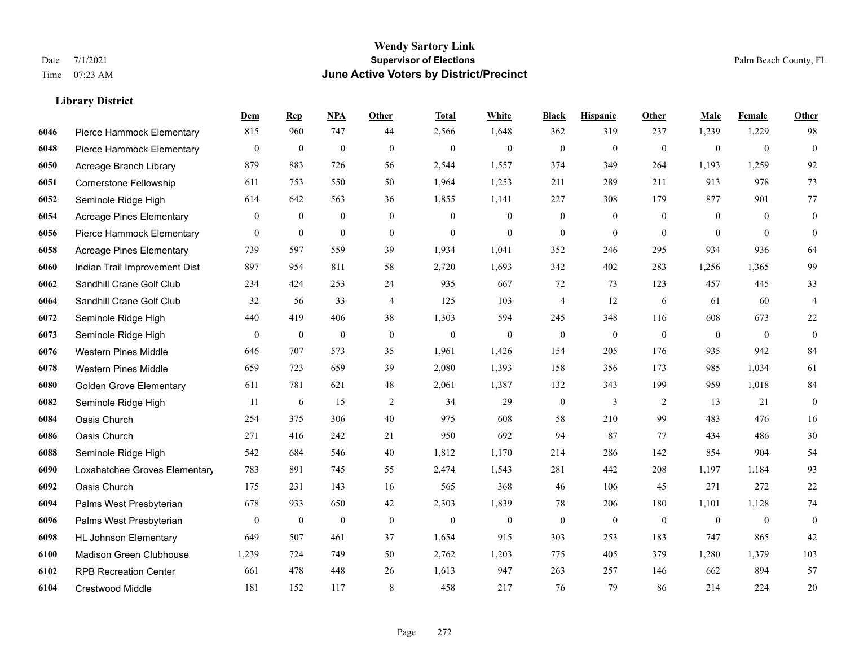|      |                                 | Dem              | <b>Rep</b>       | NPA              | <b>Other</b>   | <b>Total</b> | White            | <b>Black</b>     | <b>Hispanic</b>  | <b>Other</b>   | <b>Male</b>    | Female         | <b>Other</b>            |
|------|---------------------------------|------------------|------------------|------------------|----------------|--------------|------------------|------------------|------------------|----------------|----------------|----------------|-------------------------|
| 6046 | Pierce Hammock Elementary       | 815              | 960              | 747              | 44             | 2,566        | 1,648            | 362              | 319              | 237            | 1,239          | 1,229          | 98                      |
| 6048 | Pierce Hammock Elementary       | $\boldsymbol{0}$ | $\mathbf{0}$     | $\mathbf{0}$     | $\Omega$       | $\mathbf{0}$ | $\mathbf{0}$     | $\mathbf{0}$     | $\mathbf{0}$     | $\mathbf{0}$   | $\overline{0}$ | $\mathbf{0}$   | $\mathbf{0}$            |
| 6050 | Acreage Branch Library          | 879              | 883              | 726              | 56             | 2,544        | 1,557            | 374              | 349              | 264            | 1,193          | 1,259          | 92                      |
| 6051 | Cornerstone Fellowship          | 611              | 753              | 550              | 50             | 1,964        | 1,253            | 211              | 289              | 211            | 913            | 978            | 73                      |
| 6052 | Seminole Ridge High             | 614              | 642              | 563              | 36             | 1,855        | 1,141            | 227              | 308              | 179            | 877            | 901            | 77                      |
| 6054 | <b>Acreage Pines Elementary</b> | $\mathbf{0}$     | $\boldsymbol{0}$ | $\boldsymbol{0}$ | $\overline{0}$ | $\mathbf{0}$ | $\boldsymbol{0}$ | $\boldsymbol{0}$ | $\boldsymbol{0}$ | $\overline{0}$ | $\overline{0}$ | $\overline{0}$ | $\boldsymbol{0}$        |
| 6056 | Pierce Hammock Elementary       | $\mathbf{0}$     | $\mathbf{0}$     | $\mathbf{0}$     | $\mathbf{0}$   | $\mathbf{0}$ | $\overline{0}$   | $\boldsymbol{0}$ | $\mathbf{0}$     | $\theta$       | $\theta$       | $\theta$       | $\boldsymbol{0}$        |
| 6058 | <b>Acreage Pines Elementary</b> | 739              | 597              | 559              | 39             | 1,934        | 1,041            | 352              | 246              | 295            | 934            | 936            | 64                      |
| 6060 | Indian Trail Improvement Dist   | 897              | 954              | 811              | 58             | 2,720        | 1,693            | 342              | 402              | 283            | 1,256          | 1,365          | 99                      |
| 6062 | Sandhill Crane Golf Club        | 234              | 424              | 253              | 24             | 935          | 667              | 72               | 73               | 123            | 457            | 445            | 33                      |
| 6064 | Sandhill Crane Golf Club        | 32               | 56               | 33               | $\overline{4}$ | 125          | 103              | $\overline{4}$   | 12               | 6              | 61             | 60             | $\overline{\mathbf{4}}$ |
| 6072 | Seminole Ridge High             | 440              | 419              | 406              | 38             | 1,303        | 594              | 245              | 348              | 116            | 608            | 673            | $22\,$                  |
| 6073 | Seminole Ridge High             | $\mathbf{0}$     | $\boldsymbol{0}$ | $\boldsymbol{0}$ | $\mathbf{0}$   | $\mathbf{0}$ | $\overline{0}$   | $\mathbf{0}$     | $\mathbf{0}$     | $\theta$       | $\mathbf{0}$   | $\mathbf{0}$   | $\mathbf{0}$            |
| 6076 | <b>Western Pines Middle</b>     | 646              | 707              | 573              | 35             | 1,961        | 1,426            | 154              | 205              | 176            | 935            | 942            | 84                      |
| 6078 | <b>Western Pines Middle</b>     | 659              | 723              | 659              | 39             | 2,080        | 1,393            | 158              | 356              | 173            | 985            | 1,034          | 61                      |
| 6080 | <b>Golden Grove Elementary</b>  | 611              | 781              | 621              | 48             | 2,061        | 1,387            | 132              | 343              | 199            | 959            | 1,018          | 84                      |
| 6082 | Seminole Ridge High             | 11               | 6                | 15               | $\overline{2}$ | 34           | 29               | $\boldsymbol{0}$ | $\mathfrak{Z}$   | 2              | 13             | 21             | $\boldsymbol{0}$        |
| 6084 | Oasis Church                    | 254              | 375              | 306              | 40             | 975          | 608              | 58               | 210              | 99             | 483            | 476            | 16                      |
| 6086 | Oasis Church                    | 271              | 416              | 242              | 21             | 950          | 692              | 94               | 87               | 77             | 434            | 486            | 30                      |
| 6088 | Seminole Ridge High             | 542              | 684              | 546              | 40             | 1,812        | 1,170            | 214              | 286              | 142            | 854            | 904            | 54                      |
| 6090 | Loxahatchee Groves Elementary   | 783              | 891              | 745              | 55             | 2,474        | 1,543            | 281              | 442              | 208            | 1,197          | 1,184          | 93                      |
| 6092 | Oasis Church                    | 175              | 231              | 143              | 16             | 565          | 368              | 46               | 106              | 45             | 271            | 272            | $22\,$                  |
| 6094 | Palms West Presbyterian         | 678              | 933              | 650              | 42             | 2,303        | 1,839            | 78               | 206              | 180            | 1,101          | 1,128          | 74                      |
| 6096 | Palms West Presbyterian         | $\mathbf{0}$     | $\boldsymbol{0}$ | $\boldsymbol{0}$ | $\mathbf{0}$   | $\mathbf{0}$ | $\boldsymbol{0}$ | $\boldsymbol{0}$ | $\mathbf{0}$     | $\mathbf{0}$   | $\overline{0}$ | $\mathbf{0}$   | $\mathbf{0}$            |
| 6098 | <b>HL Johnson Elementary</b>    | 649              | 507              | 461              | 37             | 1,654        | 915              | 303              | 253              | 183            | 747            | 865            | 42                      |
| 6100 | Madison Green Clubhouse         | 1,239            | 724              | 749              | 50             | 2,762        | 1,203            | 775              | 405              | 379            | 1,280          | 1,379          | 103                     |
| 6102 | <b>RPB Recreation Center</b>    | 661              | 478              | 448              | 26             | 1,613        | 947              | 263              | 257              | 146            | 662            | 894            | 57                      |
| 6104 | Crestwood Middle                | 181              | 152              | 117              | 8              | 458          | 217              | 76               | 79               | 86             | 214            | 224            | 20                      |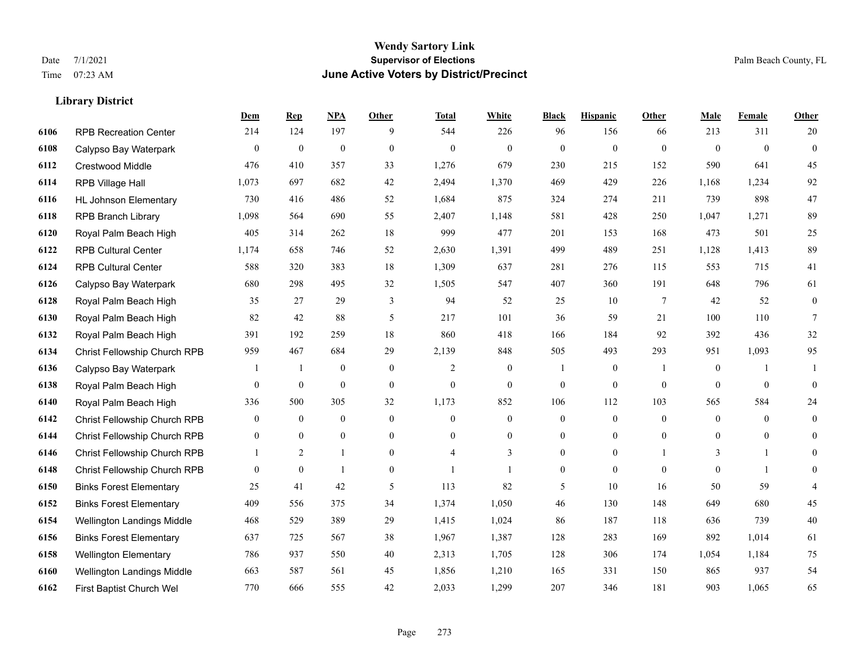|      |                                | Dem            | <b>Rep</b>       | NPA          | <b>Other</b>   | <b>Total</b>   | <b>White</b>     | <b>Black</b>     | <b>Hispanic</b>  | <b>Other</b> | <b>Male</b>    | Female         | <b>Other</b>     |
|------|--------------------------------|----------------|------------------|--------------|----------------|----------------|------------------|------------------|------------------|--------------|----------------|----------------|------------------|
| 6106 | <b>RPB Recreation Center</b>   | 214            | 124              | 197          | 9              | 544            | 226              | 96               | 156              | 66           | 213            | 311            | 20               |
| 6108 | Calypso Bay Waterpark          | $\mathbf{0}$   | $\mathbf{0}$     | $\mathbf{0}$ | $\mathbf{0}$   | $\mathbf{0}$   | $\mathbf{0}$     | $\Omega$         | $\mathbf{0}$     | $\theta$     | $\theta$       | $\theta$       | $\mathbf{0}$     |
| 6112 | Crestwood Middle               | 476            | 410              | 357          | 33             | 1,276          | 679              | 230              | 215              | 152          | 590            | 641            | 45               |
| 6114 | RPB Village Hall               | 1,073          | 697              | 682          | 42             | 2,494          | 1,370            | 469              | 429              | 226          | 1,168          | 1,234          | 92               |
| 6116 | <b>HL Johnson Elementary</b>   | 730            | 416              | 486          | 52             | 1,684          | 875              | 324              | 274              | 211          | 739            | 898            | 47               |
| 6118 | <b>RPB Branch Library</b>      | 1,098          | 564              | 690          | 55             | 2,407          | 1,148            | 581              | 428              | 250          | 1,047          | 1,271          | 89               |
| 6120 | Royal Palm Beach High          | 405            | 314              | 262          | 18             | 999            | 477              | 201              | 153              | 168          | 473            | 501            | $25\,$           |
| 6122 | <b>RPB Cultural Center</b>     | 1,174          | 658              | 746          | 52             | 2,630          | 1,391            | 499              | 489              | 251          | 1,128          | 1,413          | 89               |
| 6124 | <b>RPB Cultural Center</b>     | 588            | 320              | 383          | 18             | 1,309          | 637              | 281              | 276              | 115          | 553            | 715            | 41               |
| 6126 | Calypso Bay Waterpark          | 680            | 298              | 495          | 32             | 1,505          | 547              | 407              | 360              | 191          | 648            | 796            | 61               |
| 6128 | Royal Palm Beach High          | 35             | 27               | 29           | 3              | 94             | 52               | 25               | 10               | $\tau$       | 42             | 52             | $\overline{0}$   |
| 6130 | Royal Palm Beach High          | 82             | 42               | 88           | 5              | 217            | 101              | 36               | 59               | 21           | 100            | 110            | 7                |
| 6132 | Royal Palm Beach High          | 391            | 192              | 259          | 18             | 860            | 418              | 166              | 184              | 92           | 392            | 436            | 32               |
| 6134 | Christ Fellowship Church RPB   | 959            | 467              | 684          | 29             | 2,139          | 848              | 505              | 493              | 293          | 951            | 1,093          | 95               |
| 6136 | Calypso Bay Waterpark          |                | 1                | $\mathbf{0}$ | $\mathbf{0}$   | 2              | $\boldsymbol{0}$ |                  | $\boldsymbol{0}$ |              | $\mathbf{0}$   | -1             |                  |
| 6138 | Royal Palm Beach High          | $\overline{0}$ | $\boldsymbol{0}$ | $\mathbf{0}$ | $\mathbf{0}$   | $\mathbf{0}$   | $\mathbf{0}$     | $\overline{0}$   | $\overline{0}$   | $\theta$     | $\mathbf{0}$   | $\overline{0}$ | $\overline{0}$   |
| 6140 | Royal Palm Beach High          | 336            | 500              | 305          | 32             | 1,173          | 852              | 106              | 112              | 103          | 565            | 584            | 24               |
| 6142 | Christ Fellowship Church RPB   | $\overline{0}$ | $\overline{0}$   | $\mathbf{0}$ | $\theta$       | $\theta$       | $\mathbf{0}$     | $\overline{0}$   | $\overline{0}$   | $\theta$     | $\overline{0}$ | $\theta$       | $\boldsymbol{0}$ |
| 6144 | Christ Fellowship Church RPB   | $\overline{0}$ | $\mathbf{0}$     | $\mathbf{0}$ | $\mathbf{0}$   | $\overline{0}$ | $\boldsymbol{0}$ | $\overline{0}$   | $\overline{0}$   | $\theta$     | $\overline{0}$ | $\overline{0}$ | $\overline{0}$   |
| 6146 | Christ Fellowship Church RPB   |                | $\overline{2}$   | $\mathbf{1}$ | $\overline{0}$ | $\overline{4}$ | 3                | $\boldsymbol{0}$ | $\boldsymbol{0}$ |              | 3              | 1              | $\overline{0}$   |
| 6148 | Christ Fellowship Church RPB   | $\theta$       | $\mathbf{0}$     | $\mathbf{1}$ | $\theta$       | $\mathbf{1}$   | $\mathbf{1}$     | $\overline{0}$   | $\Omega$         | $\theta$     | $\theta$       | $\mathbf{1}$   | $\overline{0}$   |
| 6150 | <b>Binks Forest Elementary</b> | 25             | 41               | 42           | 5              | 113            | 82               | 5                | 10               | 16           | 50             | 59             |                  |
| 6152 | <b>Binks Forest Elementary</b> | 409            | 556              | 375          | 34             | 1,374          | 1,050            | $46\,$           | 130              | 148          | 649            | 680            | 45               |
| 6154 | Wellington Landings Middle     | 468            | 529              | 389          | 29             | 1,415          | 1,024            | 86               | 187              | 118          | 636            | 739            | $40\,$           |
| 6156 | <b>Binks Forest Elementary</b> | 637            | 725              | 567          | 38             | 1,967          | 1,387            | 128              | 283              | 169          | 892            | 1,014          | 61               |
| 6158 | <b>Wellington Elementary</b>   | 786            | 937              | 550          | 40             | 2,313          | 1,705            | 128              | 306              | 174          | 1,054          | 1,184          | 75               |
| 6160 | Wellington Landings Middle     | 663            | 587              | 561          | 45             | 1,856          | 1,210            | 165              | 331              | 150          | 865            | 937            | 54               |
| 6162 | First Baptist Church Wel       | 770            | 666              | 555          | 42             | 2,033          | 1,299            | 207              | 346              | 181          | 903            | 1,065          | 65               |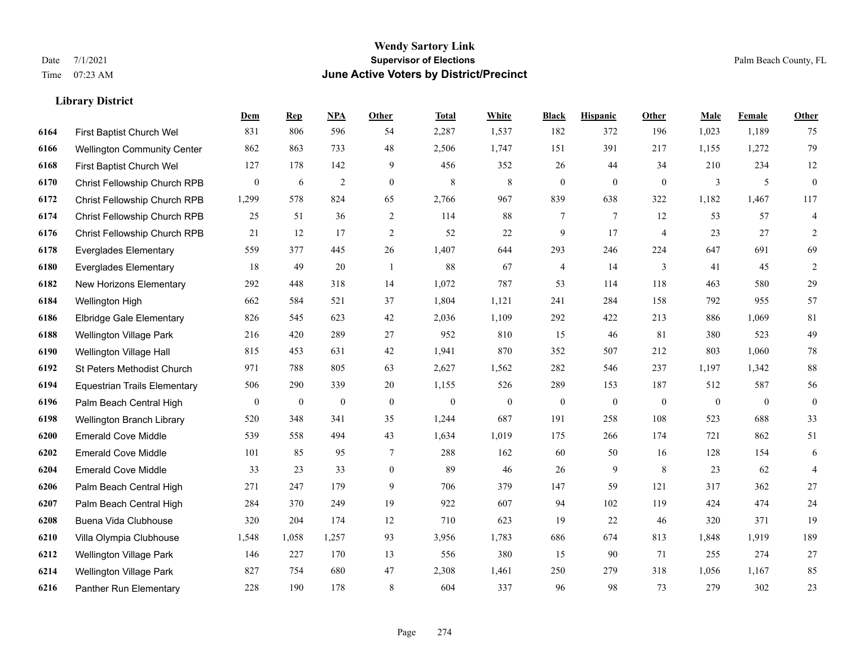|      |                                     | Dem              | <b>Rep</b>       | NPA            | <b>Other</b>     | <b>Total</b> | White        | <b>Black</b>             | <b>Hispanic</b> | Other          | <b>Male</b>  | <b>Female</b> | <b>Other</b>     |
|------|-------------------------------------|------------------|------------------|----------------|------------------|--------------|--------------|--------------------------|-----------------|----------------|--------------|---------------|------------------|
| 6164 | First Baptist Church Wel            | 831              | 806              | 596            | 54               | 2,287        | 1,537        | 182                      | 372             | 196            | 1,023        | 1,189         | 75               |
| 6166 | <b>Wellington Community Center</b>  | 862              | 863              | 733            | 48               | 2,506        | 1,747        | 151                      | 391             | 217            | 1,155        | 1,272         | 79               |
| 6168 | First Baptist Church Wel            | 127              | 178              | 142            | 9                | 456          | 352          | 26                       | 44              | 34             | 210          | 234           | 12               |
| 6170 | Christ Fellowship Church RPB        | $\boldsymbol{0}$ | 6                | $\overline{2}$ | $\boldsymbol{0}$ | 8            | $\,$ 8 $\,$  | $\boldsymbol{0}$         | $\mathbf{0}$    | $\mathbf{0}$   | 3            | 5             | $\boldsymbol{0}$ |
| 6172 | <b>Christ Fellowship Church RPB</b> | 1,299            | 578              | 824            | 65               | 2,766        | 967          | 839                      | 638             | 322            | 1,182        | 1,467         | 117              |
| 6174 | Christ Fellowship Church RPB        | 25               | 51               | 36             | 2                | 114          | 88           | 7                        | $\tau$          | 12             | 53           | 57            | $\overline{4}$   |
| 6176 | Christ Fellowship Church RPB        | 21               | 12               | 17             | $\sqrt{2}$       | 52           | 22           | 9                        | 17              | $\overline{4}$ | 23           | 27            | $\overline{c}$   |
| 6178 | <b>Everglades Elementary</b>        | 559              | 377              | 445            | 26               | 1,407        | 644          | 293                      | 246             | 224            | 647          | 691           | 69               |
| 6180 | <b>Everglades Elementary</b>        | 18               | 49               | 20             | -1               | 88           | 67           | $\overline{\mathcal{A}}$ | 14              | $\mathfrak{Z}$ | 41           | 45            | 2                |
| 6182 | New Horizons Elementary             | 292              | 448              | 318            | 14               | 1,072        | 787          | 53                       | 114             | 118            | 463          | 580           | 29               |
| 6184 | Wellington High                     | 662              | 584              | 521            | 37               | 1,804        | 1,121        | 241                      | 284             | 158            | 792          | 955           | 57               |
| 6186 | <b>Elbridge Gale Elementary</b>     | 826              | 545              | 623            | 42               | 2,036        | 1,109        | 292                      | 422             | 213            | 886          | 1,069         | 81               |
| 6188 | <b>Wellington Village Park</b>      | 216              | 420              | 289            | 27               | 952          | 810          | 15                       | 46              | 81             | 380          | 523           | 49               |
| 6190 | Wellington Village Hall             | 815              | 453              | 631            | 42               | 1,941        | 870          | 352                      | 507             | 212            | 803          | 1,060         | $78\,$           |
| 6192 | St Peters Methodist Church          | 971              | 788              | 805            | 63               | 2,627        | 1,562        | 282                      | 546             | 237            | 1,197        | 1,342         | $88\,$           |
| 6194 | <b>Equestrian Trails Elementary</b> | 506              | 290              | 339            | 20               | 1,155        | 526          | 289                      | 153             | 187            | 512          | 587           | 56               |
| 6196 | Palm Beach Central High             | $\mathbf{0}$     | $\boldsymbol{0}$ | $\overline{0}$ | $\mathbf{0}$     | $\mathbf{0}$ | $\mathbf{0}$ | $\boldsymbol{0}$         | $\mathbf{0}$    | $\theta$       | $\mathbf{0}$ | $\theta$      | $\mathbf{0}$     |
| 6198 | Wellington Branch Library           | 520              | 348              | 341            | 35               | 1,244        | 687          | 191                      | 258             | 108            | 523          | 688           | 33               |
| 6200 | <b>Emerald Cove Middle</b>          | 539              | 558              | 494            | 43               | 1,634        | 1,019        | 175                      | 266             | 174            | 721          | 862           | 51               |
| 6202 | <b>Emerald Cove Middle</b>          | 101              | 85               | 95             | $\tau$           | 288          | 162          | 60                       | 50              | 16             | 128          | 154           | 6                |
| 6204 | <b>Emerald Cove Middle</b>          | 33               | 23               | 33             | $\Omega$         | 89           | 46           | 26                       | 9               | 8              | 23           | 62            | $\overline{4}$   |
| 6206 | Palm Beach Central High             | 271              | 247              | 179            | 9                | 706          | 379          | 147                      | 59              | 121            | 317          | 362           | $27\,$           |
| 6207 | Palm Beach Central High             | 284              | 370              | 249            | 19               | 922          | 607          | 94                       | 102             | 119            | 424          | 474           | $24\,$           |
| 6208 | Buena Vida Clubhouse                | 320              | 204              | 174            | 12               | 710          | 623          | 19                       | 22              | 46             | 320          | 371           | 19               |
| 6210 | Villa Olympia Clubhouse             | 1,548            | 1,058            | 1,257          | 93               | 3,956        | 1,783        | 686                      | 674             | 813            | 1,848        | 1,919         | 189              |
| 6212 | <b>Wellington Village Park</b>      | 146              | 227              | 170            | 13               | 556          | 380          | 15                       | 90              | 71             | 255          | 274           | 27               |
| 6214 | <b>Wellington Village Park</b>      | 827              | 754              | 680            | 47               | 2,308        | 1,461        | 250                      | 279             | 318            | 1,056        | 1,167         | 85               |
| 6216 | Panther Run Elementary              | 228              | 190              | 178            | 8                | 604          | 337          | 96                       | 98              | 73             | 279          | 302           | 23               |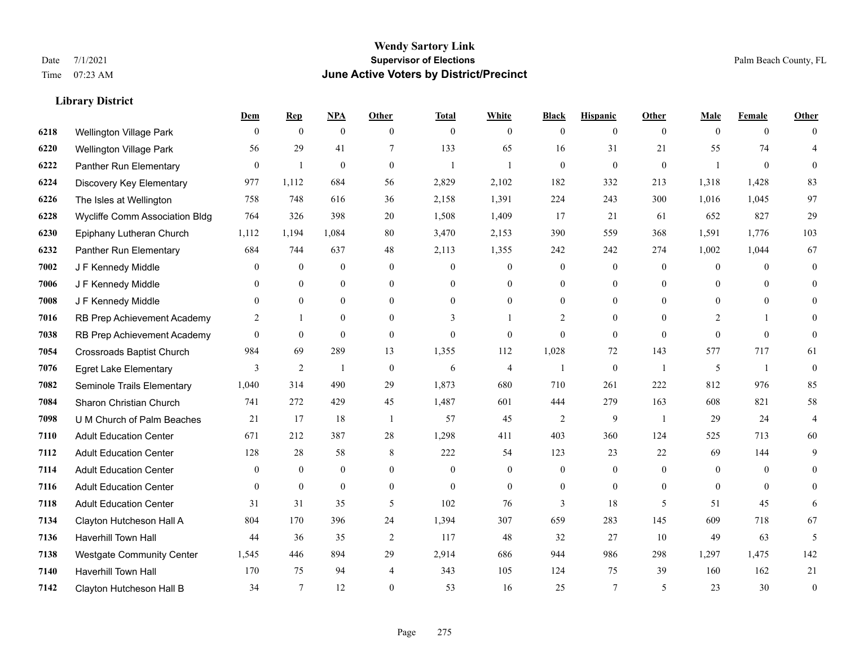#### **Wendy Sartory Link** Date 7/1/2021 **Supervisor of Elections** Palm Beach County, FL Time 07:23 AM **June Active Voters by District/Precinct**

## **Dem Rep NPA Other Total White Black Hispanic Other Male Female Other** Wellington Village Park 0 0 0 0 0 0 0 0 0 0 0 0 Wellington Village Park 56 29 41 7 133 65 16 31 21 55 74 4 Panther Run Elementary 0 1 0 0 1 1 0 0 0 1 0 0 Discovery Key Elementary 977 1,112 684 56 2,829 2,102 182 332 213 1,318 1,428 83 The Isles at Wellington 758 748 616 36 2,158 1,391 224 243 300 1,016 1,045 97 Wycliffe Comm Association Bldg 764 326 398 20 1,508 1,409 17 21 61 652 827 29 Epiphany Lutheran Church 1,112 1,194 1,084 80 3,470 2,153 390 559 368 1,591 1,776 103 Panther Run Elementary 684 744 637 48 2,113 1,355 242 242 274 1,002 1,044 67 J F Kennedy Middle 0 0 0 0 0 0 0 0 0 0 0 0 J F Kennedy Middle 0 0 0 0 0 0 0 0 0 0 0 0 J F Kennedy Middle 0 0 0 0 0 0 0 0 0 0 0 0 RB Prep Achievement Academy 2 1 0 0 3 1 2 0 0 2 1 0 RB Prep Achievement Academy 0 0 0 0 0 0 0 0 0 0 0 0 Crossroads Baptist Church 984 69 289 13 1,355 112 1,028 72 143 577 717 61 Egret Lake Elementary 3 2 1 0 6 4 1 0 1 5 1 0 Seminole Trails Elementary 1,040 314 490 29 1,873 680 710 261 222 812 976 85 Sharon Christian Church 741 272 429 45 1,487 601 444 279 163 608 821 58 U M Church of Palm Beaches 21 17 18 1 57 45 2 9 1 29 24 4 Adult Education Center 671 212 387 28 1,298 411 403 360 124 525 713 60 Adult Education Center 128 28 58 8 222 54 123 23 22 69 144 9 Adult Education Center 0 0 0 0 0 0 0 0 0 0 0 0 Adult Education Center 0 0 0 0 0 0 0 0 0 0 0 0 Adult Education Center 31 31 35 5 102 76 3 18 5 51 45 6 Clayton Hutcheson Hall A 804 170 396 24 1,394 307 659 283 145 609 718 67 Haverhill Town Hall 44 36 35 2 117 48 32 27 10 49 63 5 Westgate Community Center 1,545 446 894 29 2,914 686 944 986 298 1,297 1,475 142 Haverhill Town Hall 170 75 94 4 343 105 124 75 39 160 162 21

Clayton Hutcheson Hall B 34 7 12 0 53 16 25 7 5 23 30 0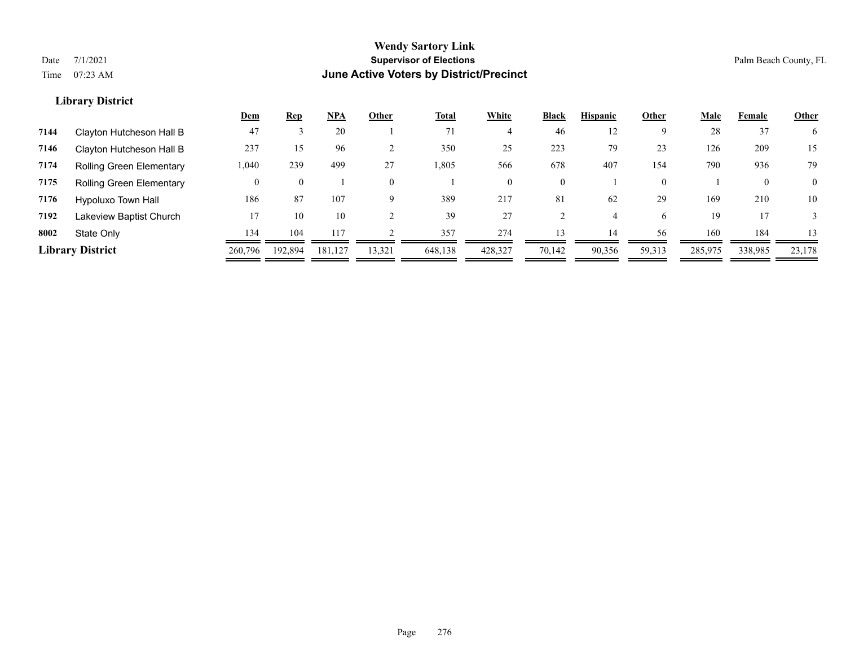|      |                                 | <u>Dem</u> | <b>Rep</b> | <u>NPA</u> | Other    | <b>Total</b> | White    | <b>Black</b>   | <b>Hispanic</b> | Other          | Male    | Female       | Other    |
|------|---------------------------------|------------|------------|------------|----------|--------------|----------|----------------|-----------------|----------------|---------|--------------|----------|
| 7144 | Clayton Hutcheson Hall B        | 47         |            | 20         |          | 71           |          | 46             | 12              | 9              | 28      | 37           | 6        |
| 7146 | Clayton Hutcheson Hall B        | 237        | 15         | 96         |          | 350          | 25       | 223            | 79              | 23             | 126     | 209          | 15       |
| 7174 | <b>Rolling Green Elementary</b> | 1,040      | 239        | 499        | 27       | 1,805        | 566      | 678            | 407             | 154            | 790     | 936          | 79       |
| 7175 | <b>Rolling Green Elementary</b> | 0          | $\theta$   |            | $\theta$ |              | $\Omega$ | $\overline{0}$ |                 | $\overline{0}$ |         | $\mathbf{0}$ | $\Omega$ |
| 7176 | Hypoluxo Town Hall              | 186        | 87         | 107        | 9        | 389          | 217      | 81             | 62              | 29             | 169     | 210          | 10       |
| 7192 | Lakeview Baptist Church         | 17         | 10         | 10         |          | 39           | 27       |                |                 | 6.             | 19      |              |          |
| 8002 | State Only                      | 134        | 104        |            |          | 357          | 274      | 13             | 14              | 56             | 160     | 184          | 13       |
|      | <b>Library District</b>         | 260,796    | 192.894    | 181,127    | 13,321   | 648,138      | 428,327  | 70,142         | 90,356          | 59,313         | 285,975 | 338,985      | 23,178   |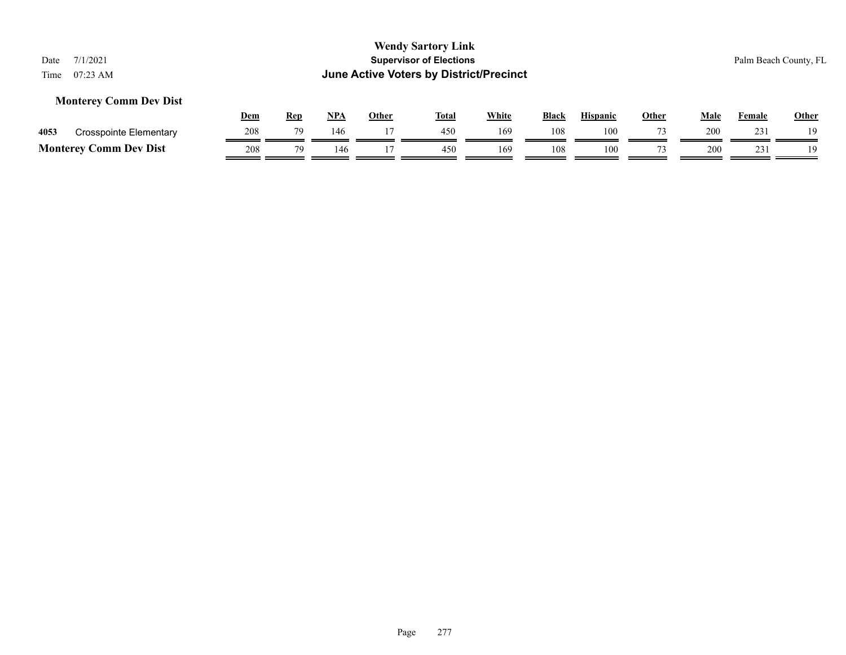### **Monterey Comm Dev Dist**

|      |                               | Dem | Rep | <b>NPA</b> | Other | <b>Total</b> | White | <b>Black</b> | <b>Hispanic</b> | Other | Male | Female     | <b>Other</b> |
|------|-------------------------------|-----|-----|------------|-------|--------------|-------|--------------|-----------------|-------|------|------------|--------------|
| 4053 | Crosspointe Elementary        |     |     | 146        |       | 450          | 169   | 108          | 100             |       | 200  | 231        | 10           |
|      | <b>Monterey Comm Dev Dist</b> | 208 | 70  |            |       | 450          | 169   | 108          | 100             |       | 200  | 231<br>. ب | 1 Q          |

Page 277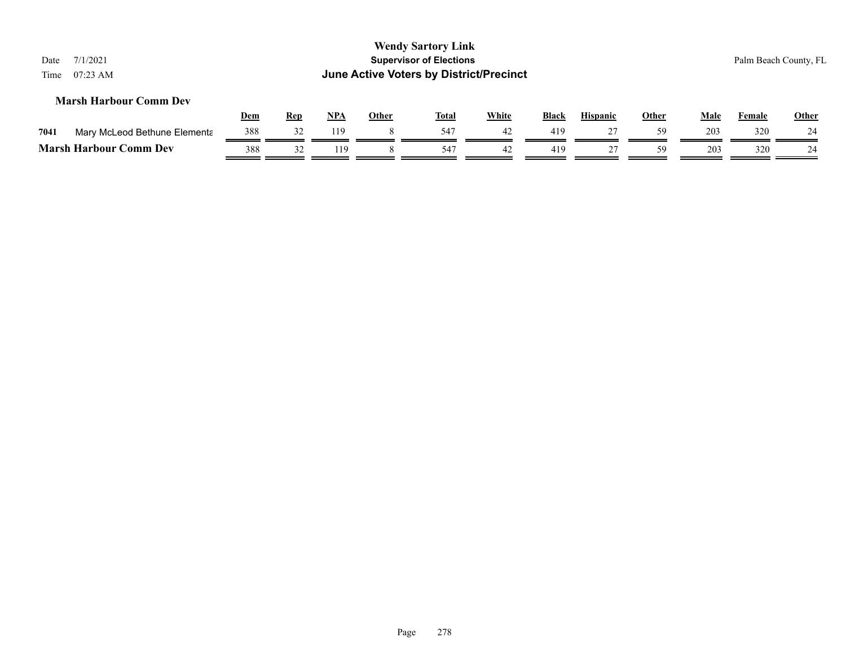| Date<br>Time | 7/1/2021<br>$07:23$ AM        |            |            |       |              | <b>Wendy Sartory Link</b><br><b>Supervisor of Elections</b><br>June Active Voters by District/Precinct |       |       |                 |              |      |        | Palm Beach County, FL |
|--------------|-------------------------------|------------|------------|-------|--------------|--------------------------------------------------------------------------------------------------------|-------|-------|-----------------|--------------|------|--------|-----------------------|
|              | <b>Marsh Harbour Comm Dev</b> | <u>Dem</u> | <b>Rep</b> | $NPA$ | <b>Other</b> | <b>Total</b>                                                                                           | White | Black | <b>Hispanic</b> | <b>Other</b> | Male | Female | <b>Other</b>          |
| 7041         | Mary McLeod Bethune Elementa  | 388        | 32         | 119   | 8            | 547                                                                                                    | 42    | 419   | 27              | 59           | 203  | 320    | 24                    |
|              | <b>Marsh Harbour Comm Dev</b> | 388        | 32         | 119   |              | 54'                                                                                                    | 42    | 419   | 27              | 59           | 203  | 320    | 24                    |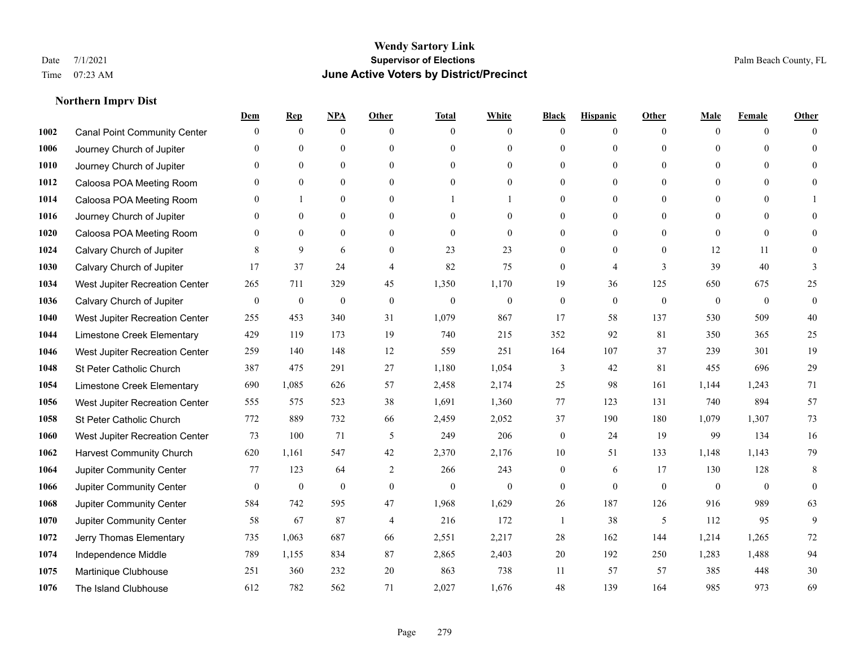### **Northern Imprv Dist**

|      |                                     | Dem              | <b>Rep</b>       | NPA              | <b>Other</b>     | <b>Total</b>     | <b>White</b>     | <b>Black</b>     | <b>Hispanic</b>  | <b>Other</b>   | Male           | <b>Female</b>  | <b>Other</b>     |
|------|-------------------------------------|------------------|------------------|------------------|------------------|------------------|------------------|------------------|------------------|----------------|----------------|----------------|------------------|
| 1002 | <b>Canal Point Community Center</b> | $\mathbf{0}$     | $\mathbf{0}$     | $\mathbf{0}$     | $\theta$         | $\theta$         | $\overline{0}$   | $\Omega$         | $\overline{0}$   | $\theta$       | $\mathbf{0}$   | $\overline{0}$ | $\Omega$         |
| 1006 | Journey Church of Jupiter           | $\Omega$         | $\mathbf{0}$     | $\mathbf{0}$     | $\theta$         | $\theta$         | $\overline{0}$   | $\theta$         | $\overline{0}$   | $\Omega$       | $\Omega$       | $\Omega$       | $\theta$         |
| 1010 | Journey Church of Jupiter           | $\Omega$         | $\theta$         | $\theta$         | $\Omega$         | $\Omega$         | $\theta$         | $\Omega$         | $\Omega$         | $\Omega$       | $\Omega$       | $\Omega$       | $\Omega$         |
| 1012 | Caloosa POA Meeting Room            | $\mathbf{0}$     | $\mathbf{0}$     | $\mathbf{0}$     | $\mathbf{0}$     | $\boldsymbol{0}$ | $\overline{0}$   | $\theta$         | $\overline{0}$   | $\mathbf{0}$   | $\overline{0}$ | $\overline{0}$ | $\theta$         |
| 1014 | Caloosa POA Meeting Room            | $\Omega$         | 1                | $\mathbf{0}$     | $\theta$         |                  |                  | 0                | $\overline{0}$   | $\theta$       | $\theta$       | $\theta$       |                  |
| 1016 | Journey Church of Jupiter           | $\mathbf{0}$     | $\mathbf{0}$     | $\mathbf{0}$     | $\theta$         | $\theta$         | $\overline{0}$   | $\theta$         | $\overline{0}$   | $\Omega$       | $\overline{0}$ | $\Omega$       | $\Omega$         |
| 1020 | Caloosa POA Meeting Room            | $\mathbf{0}$     | $\mathbf{0}$     | $\mathbf{0}$     | $\mathbf{0}$     | $\mathbf{0}$     | $\overline{0}$   | $\overline{0}$   | $\boldsymbol{0}$ | $\mathbf{0}$   | $\overline{0}$ | $\mathbf{0}$   | $\theta$         |
| 1024 | Calvary Church of Jupiter           | 8                | 9                | 6                | $\theta$         | 23               | 23               | $\overline{0}$   | $\overline{0}$   | $\theta$       | 12             | 11             | $\Omega$         |
| 1030 | Calvary Church of Jupiter           | 17               | 37               | 24               | $\overline{4}$   | 82               | 75               | $\overline{0}$   | 4                | $\overline{3}$ | 39             | 40             | 3                |
| 1034 | West Jupiter Recreation Center      | 265              | 711              | 329              | 45               | 1,350            | 1,170            | 19               | 36               | 125            | 650            | 675            | 25               |
| 1036 | Calvary Church of Jupiter           | $\boldsymbol{0}$ | $\boldsymbol{0}$ | $\boldsymbol{0}$ | $\mathbf{0}$     | $\mathbf{0}$     | $\boldsymbol{0}$ | $\overline{0}$   | $\overline{0}$   | $\mathbf{0}$   | $\mathbf{0}$   | $\overline{0}$ | $\boldsymbol{0}$ |
| 1040 | West Jupiter Recreation Center      | 255              | 453              | 340              | 31               | 1,079            | 867              | 17               | 58               | 137            | 530            | 509            | 40               |
| 1044 | Limestone Creek Elementary          | 429              | 119              | 173              | 19               | 740              | 215              | 352              | 92               | 81             | 350            | 365            | 25               |
| 1046 | West Jupiter Recreation Center      | 259              | 140              | 148              | 12               | 559              | 251              | 164              | 107              | 37             | 239            | 301            | 19               |
| 1048 | St Peter Catholic Church            | 387              | 475              | 291              | 27               | 1,180            | 1,054            | 3                | 42               | 81             | 455            | 696            | 29               |
| 1054 | Limestone Creek Elementary          | 690              | 1,085            | 626              | 57               | 2,458            | 2,174            | 25               | 98               | 161            | 1,144          | 1,243          | 71               |
| 1056 | West Jupiter Recreation Center      | 555              | 575              | 523              | 38               | 1,691            | 1,360            | 77               | 123              | 131            | 740            | 894            | 57               |
| 1058 | St Peter Catholic Church            | 772              | 889              | 732              | 66               | 2,459            | 2,052            | 37               | 190              | 180            | 1,079          | 1,307          | 73               |
| 1060 | West Jupiter Recreation Center      | 73               | 100              | 71               | 5                | 249              | 206              | $\overline{0}$   | 24               | 19             | 99             | 134            | 16               |
| 1062 | <b>Harvest Community Church</b>     | 620              | 1.161            | 547              | 42               | 2,370            | 2,176            | 10               | 51               | 133            | 1,148          | 1,143          | 79               |
| 1064 | Jupiter Community Center            | 77               | 123              | 64               | 2                | 266              | 243              | $\overline{0}$   | 6                | 17             | 130            | 128            | 8                |
| 1066 | Jupiter Community Center            | $\boldsymbol{0}$ | $\boldsymbol{0}$ | $\boldsymbol{0}$ | $\boldsymbol{0}$ | $\boldsymbol{0}$ | $\boldsymbol{0}$ | $\boldsymbol{0}$ | $\mathbf{0}$     | $\mathbf{0}$   | $\mathbf{0}$   | $\overline{0}$ | $\mathbf{0}$     |
| 1068 | Jupiter Community Center            | 584              | 742              | 595              | 47               | 1,968            | 1,629            | 26               | 187              | 126            | 916            | 989            | 63               |
| 1070 | Jupiter Community Center            | 58               | 67               | 87               | $\overline{4}$   | 216              | 172              | $\mathbf{1}$     | 38               | 5              | 112            | 95             | 9                |
| 1072 | Jerry Thomas Elementary             | 735              | 1,063            | 687              | 66               | 2,551            | 2,217            | $28\,$           | 162              | 144            | 1,214          | 1,265          | $72\,$           |
| 1074 | Independence Middle                 | 789              | 1,155            | 834              | 87               | 2,865            | 2,403            | 20               | 192              | 250            | 1,283          | 1,488          | 94               |
| 1075 | Martinique Clubhouse                | 251              | 360              | 232              | 20               | 863              | 738              | 11               | 57               | 57             | 385            | 448            | $30\,$           |
| 1076 | The Island Clubhouse                | 612              | 782              | 562              | 71               | 2,027            | 1,676            | 48               | 139              | 164            | 985            | 973            | 69               |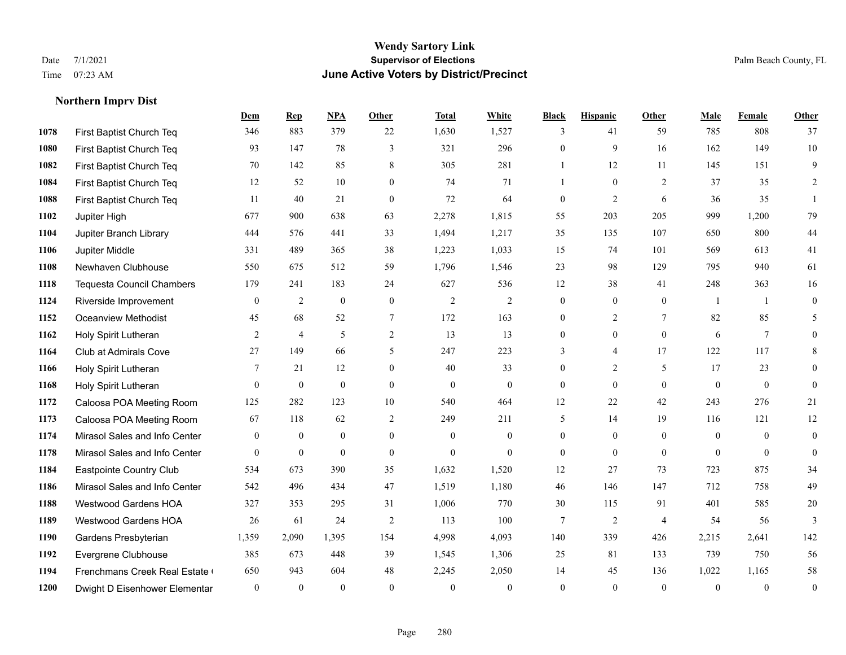#### **Wendy Sartory Link** Date 7/1/2021 **Supervisor of Elections** Palm Beach County, FL Time 07:23 AM **June Active Voters by District/Precinct**

# **Dem Rep NPA Other Total White Black Hispanic Other Male Female Other** First Baptist Church Teq 346 883 379 22 1,630 1,527 3 41 59 785 808 37 First Baptist Church Teq 93 147 78 3 321 296 0 9 16 162 149 10 First Baptist Church Teq 70 142 85 8 305 281 1 12 11 145 151 9 First Baptist Church Teq **12** 52 10 0 74 71 1 0 2 37 35 2 First Baptist Church Teq 11 40 21 0 72 64 0 2 6 36 35 1 Jupiter High 677 900 638 63 2,278 1,815 55 203 205 999 1,200 79 Jupiter Branch Library 444 576 441 33 1,494 1,217 35 135 107 650 800 44 Jupiter Middle 331 489 365 38 1,223 1,033 15 74 101 569 613 41 Newhaven Clubhouse 550 675 512 59 1,796 1,546 23 98 129 795 940 61 Tequesta Council Chambers 179 241 183 24 627 536 12 38 41 248 363 16 Riverside Improvement 0 0 2 0 0 2 2 2 0 0 0 1 1 0 Oceanview Methodist 45 68 52 7 172 163 0 2 7 82 85 5 Holy Spirit Lutheran **2** 4 5 2 13 13 0 0 0 6 7 0 Club at Admirals Cove 27 149 66 5 247 223 3 4 17 122 117 8 Holy Spirit Lutheran 7 21 12 0 40 33 0 2 5 17 23 0 Holy Spirit Lutheran 0 0 0 0 0 0 0 0 0 0 0 0 Caloosa POA Meeting Room 125 282 123 10 540 464 12 22 42 243 276 21 Caloosa POA Meeting Room 67 118 62 2 249 211 5 14 19 116 121 12 Mirasol Sales and Info Center 0 0 0 0 0 0 0 0 0 0 0 0 Mirasol Sales and Info Center 0 0 0 0 0 0 0 0 0 0 0 0 Eastpointe Country Club 534 673 390 35 1,632 1,520 12 27 73 723 875 34 Mirasol Sales and Info Center 542 496 434 47 1,519 1,180 46 146 147 712 758 49 Westwood Gardens HOA 327 353 295 31 1,006 770 30 115 91 401 585 20 Westwood Gardens HOA 26 61 24 2 113 100 7 2 4 54 56 3 Gardens Presbyterian 1,359 2,090 1,395 154 4,998 4,093 140 339 426 2,215 2,641 142 Evergrene Clubhouse 385 673 448 39 1,545 1,306 25 81 133 739 750 56 Frenchmans Creek Real Estate 650 943 604 48 2,245 2,050 14 45 136 1,022 1,165 58 Dwight D Eisenhower Elementary 0 0 0 0 0 0 0 0 0 0 0 0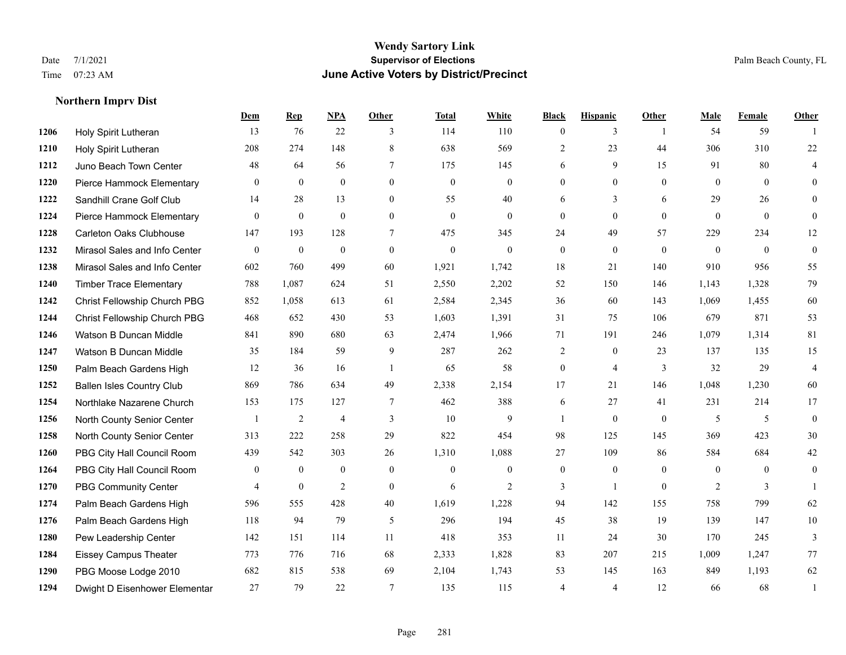#### **Wendy Sartory Link** Date 7/1/2021 **Supervisor of Elections** Palm Beach County, FL Time 07:23 AM **June Active Voters by District/Precinct**

# **Dem Rep NPA Other Total White Black Hispanic Other Male Female Other** Holy Spirit Lutheran 13 76 22 3 114 110 0 3 1 54 59 1 Holy Spirit Lutheran 208 274 148 8 638 569 2 23 44 306 310 22 Juno Beach Town Center 48 64 56 7 175 145 6 9 15 91 80 4 Pierce Hammock Elementary 0 0 0 0 0 0 0 0 0 0 0 0 Sandhill Crane Golf Club 14 28 13 0 55 40 6 3 6 29 26 0 Pierce Hammock Elementary 0 0 0 0 0 0 0 0 0 0 0 0 Carleton Oaks Clubhouse 147 193 128 7 475 345 24 49 57 229 234 12 Mirasol Sales and Info Center 0 0 0 0 0 0 0 0 0 0 0 0 Mirasol Sales and Info Center 602 760 499 60 1,921 1,742 18 21 140 910 956 55 Timber Trace Elementary 788 1,087 624 51 2,550 2,202 52 150 146 1,143 1,328 79 Christ Fellowship Church PBG 852 1,058 613 61 2,584 2,345 36 60 143 1,069 1,455 60 Christ Fellowship Church PBG 468 652 430 53 1,603 1,391 31 75 106 679 871 53 Watson B Duncan Middle 841 890 680 63 2,474 1,966 71 191 246 1,079 1,314 81 Watson B Duncan Middle 35 184 59 9 287 262 2 0 23 137 135 15 Palm Beach Gardens High 12 36 16 1 65 58 0 4 3 32 29 4 Ballen Isles Country Club 869 786 634 49 2,338 2,154 17 21 146 1,048 1,230 60 Northlake Nazarene Church 153 175 127 7 462 388 6 27 41 231 214 17 North County Senior Center 1 2 4 3 10 9 1 0 0 5 5 5 0 North County Senior Center 313 222 258 29 822 454 98 125 145 369 423 30 PBG City Hall Council Room 439 542 303 26 1,310 1,088 27 109 86 584 684 42 PBG City Hall Council Room 0 0 0 0 0 0 0 0 0 0 0 0 PBG Community Center  $\begin{array}{ccccccccccccc}\n4 & 0 & 2 & 0 & 6 & 2 & 3 & 1 & 0 & 2 & 3 & 1\n\end{array}$  Palm Beach Gardens High 596 555 428 40 1,619 1,228 94 142 155 758 799 62 Palm Beach Gardens High 118 94 79 5 296 194 45 38 19 139 147 10 Pew Leadership Center 142 151 114 11 418 353 11 24 30 170 245 3 Eissey Campus Theater 773 776 716 68 2,333 1,828 83 207 215 1,009 1,247 77 PBG Moose Lodge 2010 682 815 538 69 2,104 1,743 53 145 163 849 1,193 62 Dwight D Eisenhower Elementar 27 79 22 7 135 115 4 4 12 66 68 1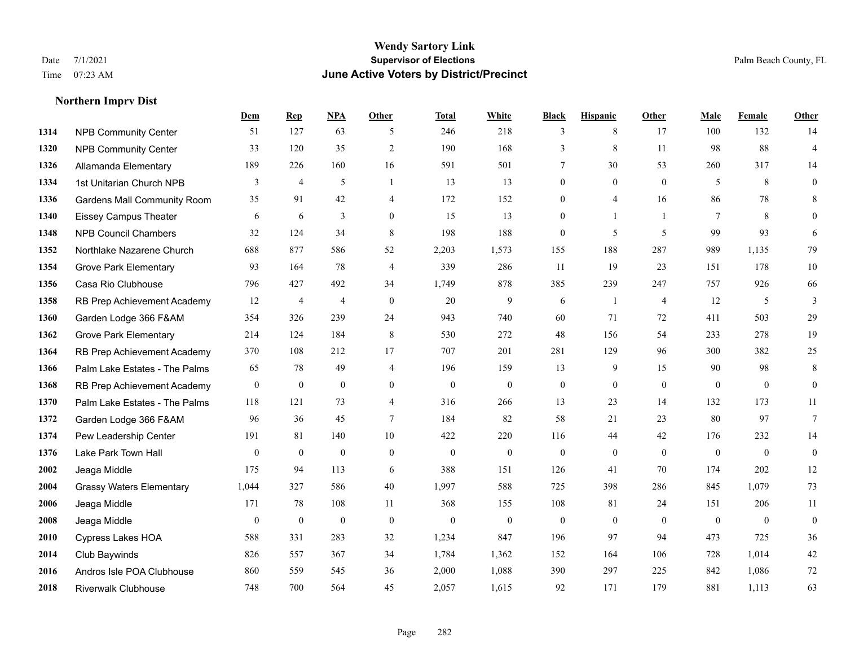#### **Wendy Sartory Link** Date 7/1/2021 **Supervisor of Elections** Palm Beach County, FL Time 07:23 AM **June Active Voters by District/Precinct**

## **Dem Rep NPA Other Total White Black Hispanic Other Male Female Other** NPB Community Center 51 127 63 5 246 218 3 8 17 100 132 14 NPB Community Center 33 120 35 2 190 168 3 8 11 98 88 4 Allamanda Elementary 189 226 160 16 591 501 7 30 53 260 317 14 1334 1st Unitarian Church NPB 3 4 5 1 13 13 0 0 0 5 8 0 Gardens Mall Community Room 35 91 42 4 172 152 0 4 16 86 78 8 Eissey Campus Theater 6 6 6 3 0 15 13 0 1 1 7 8 0 NPB Council Chambers 32 124 34 8 198 188 0 5 5 99 93 6 Northlake Nazarene Church 688 877 586 52 2,203 1,573 155 188 287 989 1,135 79 **1354 Grove Park Elementary 023 164 78 4 339 286 11 19 23 151 178 10**  Casa Rio Clubhouse 796 427 492 34 1,749 878 385 239 247 757 926 66 RB Prep Achievement Academy 12 4 4 0 20 9 6 1 4 12 5 3 Garden Lodge 366 F&AM 354 326 239 24 943 740 60 71 72 411 503 29 Grove Park Elementary 214 124 184 8 530 272 48 156 54 233 278 19 RB Prep Achievement Academy 370 108 212 17 707 201 281 129 96 300 382 25 Palm Lake Estates - The Palms 65 78 49 4 196 159 13 9 15 90 98 8 RB Prep Achievement Academy 0 0 0 0 0 0 0 0 0 0 0 0 Palm Lake Estates - The Palms 118 121 73 4 316 266 13 23 14 132 173 11 Garden Lodge 366 F&AM 96 36 45 7 184 82 58 21 23 80 97 7 Pew Leadership Center 191 81 140 10 422 220 116 44 42 176 232 14 Lake Park Town Hall 0 0 0 0 0 0 0 0 0 0 0 0 Jeaga Middle 175 94 113 6 388 151 126 41 70 174 202 12 Grassy Waters Elementary 1,044 327 586 40 1,997 588 725 398 286 845 1,079 73 Jeaga Middle 171 78 108 11 368 155 108 81 24 151 206 11 Jeaga Middle 0 0 0 0 0 0 0 0 0 0 0 0 Cypress Lakes HOA 588 331 283 32 1,234 847 196 97 94 473 725 36 Club Baywinds 826 557 367 34 1,784 1,362 152 164 106 728 1,014 42 Andros Isle POA Clubhouse 860 559 545 36 2,000 1,088 390 297 225 842 1,086 72 Riverwalk Clubhouse 748 700 564 45 2,057 1,615 92 171 179 881 1,113 63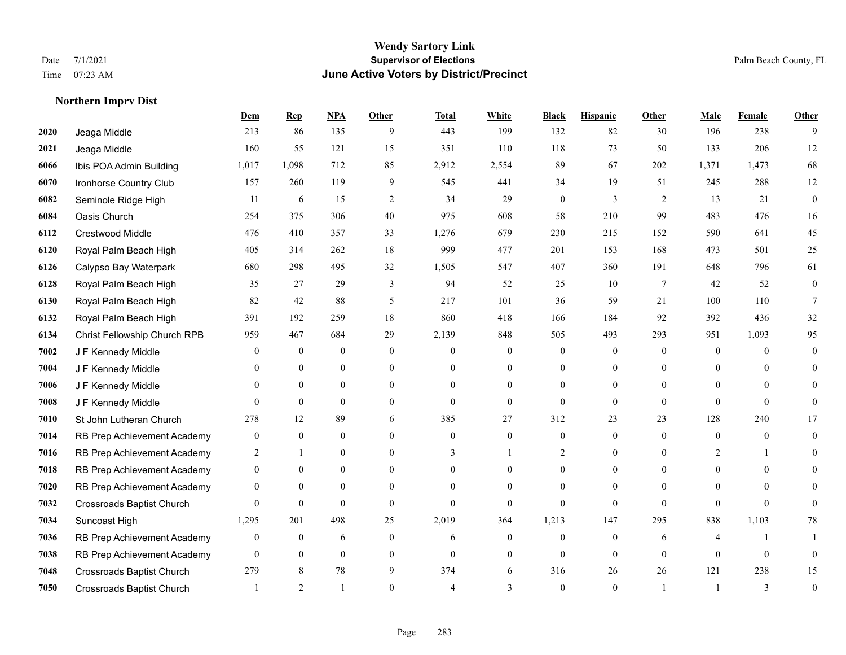#### **Wendy Sartory Link** Date 7/1/2021 **Supervisor of Elections** Palm Beach County, FL Time 07:23 AM **June Active Voters by District/Precinct**

# **Dem Rep NPA Other Total White Black Hispanic Other Male Female Other** Jeaga Middle 213 86 135 9 443 199 132 82 30 196 238 9 Jeaga Middle 160 55 121 15 351 110 118 73 50 133 206 12 Ibis POA Admin Building 1,017 1,098 712 85 2,912 2,554 89 67 202 1,371 1,473 68 Ironhorse Country Club 157 260 119 9 545 441 34 19 51 245 288 12 Seminole Ridge High 11 6 15 2 34 29 0 3 2 13 21 0 Oasis Church 254 375 306 40 975 608 58 210 99 483 476 16 Crestwood Middle 476 410 357 33 1,276 679 230 215 152 590 641 45 Royal Palm Beach High 405 314 262 18 999 477 201 153 168 473 501 25 Calypso Bay Waterpark 680 298 495 32 1,505 547 407 360 191 648 796 61 Royal Palm Beach High 35 27 29 3 94 52 25 10 7 42 52 0 Royal Palm Beach High 82 42 88 5 217 101 36 59 21 100 110 7 Royal Palm Beach High 391 192 259 18 860 418 166 184 92 392 436 32 Christ Fellowship Church RPB 959 467 684 29 2,139 848 505 493 293 951 1,093 95 J F Kennedy Middle 0 0 0 0 0 0 0 0 0 0 0 0 J F Kennedy Middle 0 0 0 0 0 0 0 0 0 0 0 0 J F Kennedy Middle 0 0 0 0 0 0 0 0 0 0 0 0 J F Kennedy Middle 0 0 0 0 0 0 0 0 0 0 St John Lutheran Church 278 12 89 6 385 27 312 23 23 128 240 17 RB Prep Achievement Academy 0 0 0 0 0 0 0 0 0 0 0 0 RB Prep Achievement Academy 2 1 0 0 3 1 2 0 0 2 1 0 RB Prep Achievement Academy 0 0 0 0 0 0 0 0 0 0 0 0 RB Prep Achievement Academy 0 0 0 0 0 0 0 0 0 0 0 0 Crossroads Baptist Church 0 0 0 0 0 0 0 0 0 0 0 0 Suncoast High 1,295 201 498 25 2,019 364 1,213 147 295 838 1,103 78 RB Prep Achievement Academy 0 0 0 6 0 0 6 0 0 0 0 6 4 1 1 RB Prep Achievement Academy 0 0 0 0 0 0 0 0 0 0 0 0 Crossroads Baptist Church 279 8 78 9 374 6 316 26 26 121 238 15 Crossroads Baptist Church 1 2 1 0 4 3 0 1 1 3 0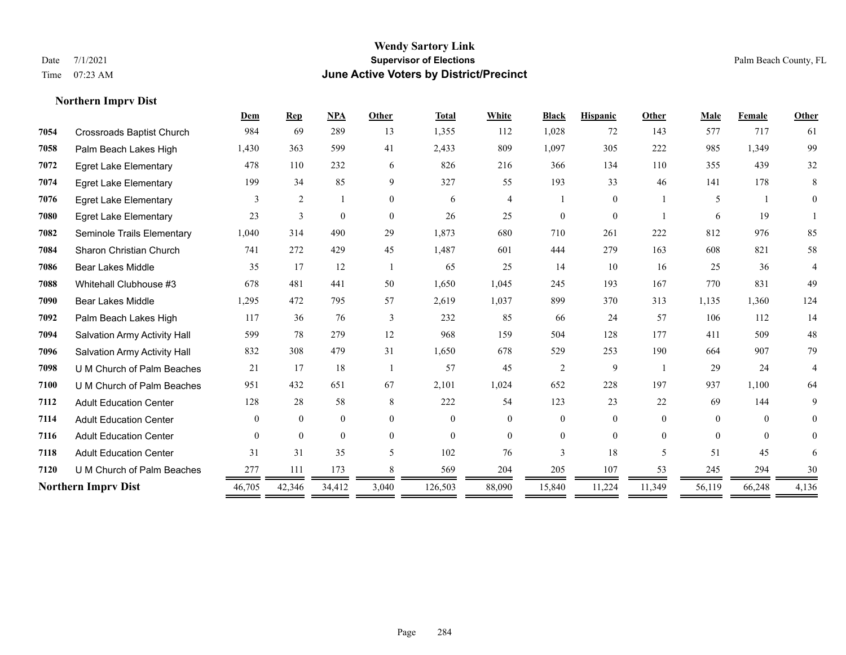#### **Wendy Sartory Link** Date 7/1/2021 **Supervisor of Elections** Palm Beach County, FL Time 07:23 AM **June Active Voters by District/Precinct**

# **Dem Rep NPA Other Total White Black Hispanic Other Male Female Other** Crossroads Baptist Church 984 69 289 13 1,355 112 1,028 72 143 577 717 61 Palm Beach Lakes High 1,430 363 599 41 2,433 809 1,097 305 222 985 1,349 99 Egret Lake Elementary 478 110 232 6 826 216 366 134 110 355 439 32 Egret Lake Elementary 199 34 85 9 327 55 193 33 46 141 178 8 Egret Lake Elementary 3 2 1 0 6 4 1 0 1 5 1 0 Egret Lake Elementary 23 3 0 0 26 25 0 0 1 6 19 1 Seminole Trails Elementary 1,040 314 490 29 1,873 680 710 261 222 812 976 85 Sharon Christian Church 741 272 429 45 1,487 601 444 279 163 608 821 58 Bear Lakes Middle 35 17 12 1 65 25 14 10 16 25 36 4 Whitehall Clubhouse #3 678 481 441 50 1,650 1,045 245 193 167 770 831 49 Bear Lakes Middle 1,295 472 795 57 2,619 1,037 899 370 313 1,135 1,360 124 Palm Beach Lakes High 117 36 76 3 232 85 66 24 57 106 112 14 Salvation Army Activity Hall 599 78 279 12 968 159 504 128 177 411 509 48 Salvation Army Activity Hall 832 308 479 31 1,650 678 529 253 190 664 907 79 U M Church of Palm Beaches 21 17 18 1 57 45 2 9 1 29 24 4 U M Church of Palm Beaches 951 432 651 67 2,101 1,024 652 228 197 937 1,100 64 Adult Education Center 128 28 58 8 222 54 123 23 22 69 144 9 Adult Education Center 0 0 0 0 0 0 0 0 0 0 0 0 Adult Education Center 0 0 0 0 0 0 0 0 0 0 0 0 Adult Education Center 31 31 35 5 102 76 3 18 5 51 45 6 **7120** U M Church of Palm Beaches  $\frac{277}{200} = \frac{111}{200} = \frac{173}{200} = \frac{8}{200} = \frac{569}{200} = \frac{204}{200} = \frac{205}{200} = \frac{107}{200} = \frac{53}{200} = \frac{245}{200} = \frac{294}{200} = \frac{30}{200} = \frac{215}{200} = \frac{215}{200} = \frac{215}{200} = \frac{215}{200$ **Northern Imprv Dist 46,705** 42,346 34,412 3,040 126,503 88,090 15,840 11,224 11,349 56,119 66,248 4,136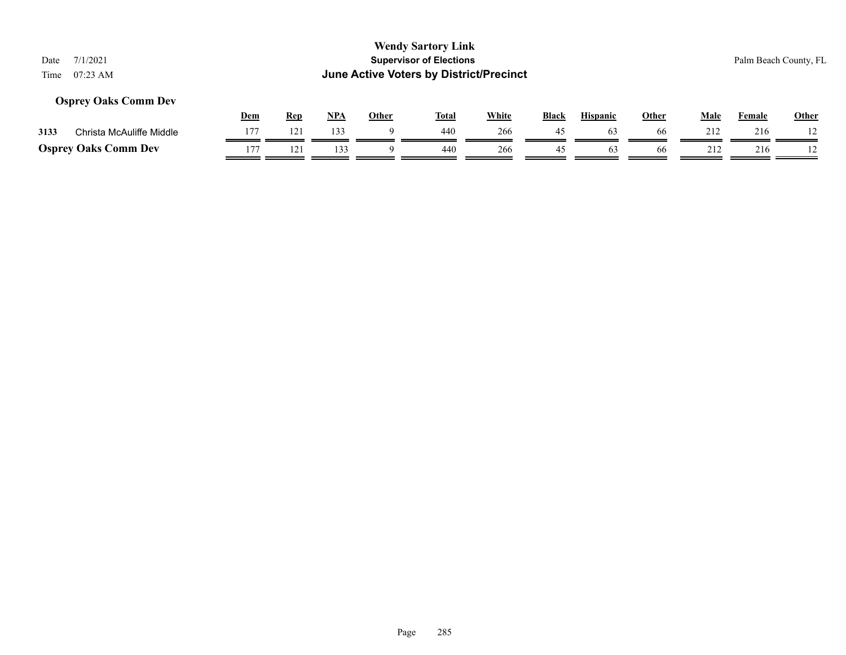## **Osprey Oaks Comm Dev**

|      |                             | Dem | Rep | NP/ | Other | <b>Total</b> | White | <b>Black</b> | <b>Hispanic</b> | Other | Male | Female | <b>Other</b> |
|------|-----------------------------|-----|-----|-----|-------|--------------|-------|--------------|-----------------|-------|------|--------|--------------|
| 3133 | Christa McAuliffe Middle    |     | 121 | 133 |       | 440          | 266   | 45           | 03              | 66    | 212  | 216    |              |
|      | <b>Osprey Oaks Comm Dev</b> | 177 |     |     |       | 440          | 266   |              |                 | 66    | 212  | 216    |              |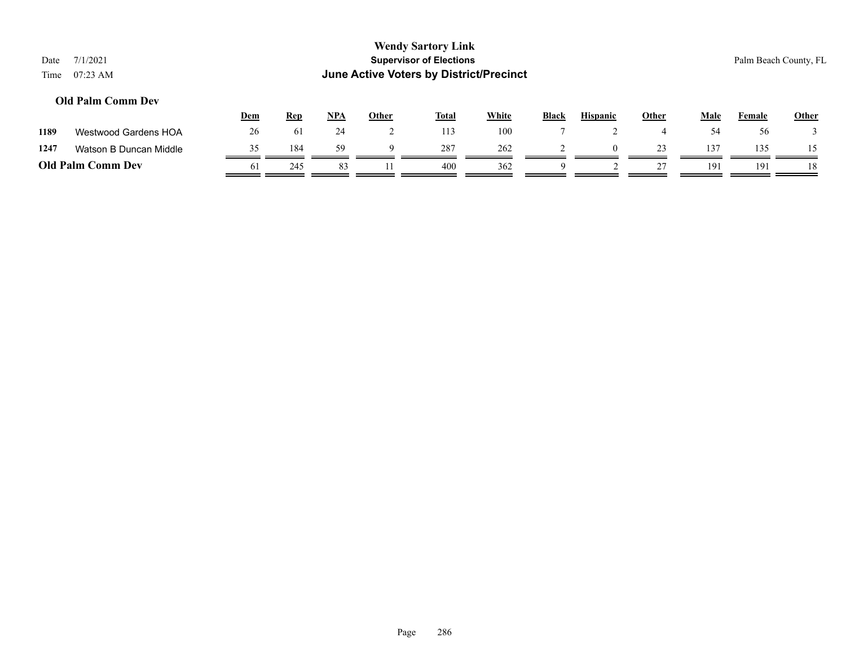| Date<br>Time | 7/1/2021<br>$07:23$ AM      |            |            |            |              | <b>Wendy Sartory Link</b><br><b>Supervisor of Elections</b><br><b>June Active Voters by District/Precinct</b> |              |              |                 |              |             | Palm Beach County, FL |              |
|--------------|-----------------------------|------------|------------|------------|--------------|---------------------------------------------------------------------------------------------------------------|--------------|--------------|-----------------|--------------|-------------|-----------------------|--------------|
|              | <b>Old Palm Comm Dev</b>    | <b>Dem</b> | <b>Rep</b> | <u>NPA</u> | <u>Other</u> | <b>Total</b>                                                                                                  | <b>White</b> | <b>Black</b> | <b>Hispanic</b> | <u>Other</u> | <b>Male</b> | Female                | <b>Other</b> |
| 1189         | <b>Westwood Gardens HOA</b> | 26         | 61         | 24         |              | 113                                                                                                           | 100          |              |                 | 4            | 54          | 56                    |              |

| 1247 | Watson B Duncan Middle   |    | 184 | 59 | 287 | 262 |  | -- |     | 35  |    |
|------|--------------------------|----|-----|----|-----|-----|--|----|-----|-----|----|
|      | <b>Old Palm Comm Dev</b> | 61 |     |    | 400 | 362 |  |    | 191 | 191 | 18 |
|      |                          |    |     |    |     |     |  |    |     |     |    |

Page 286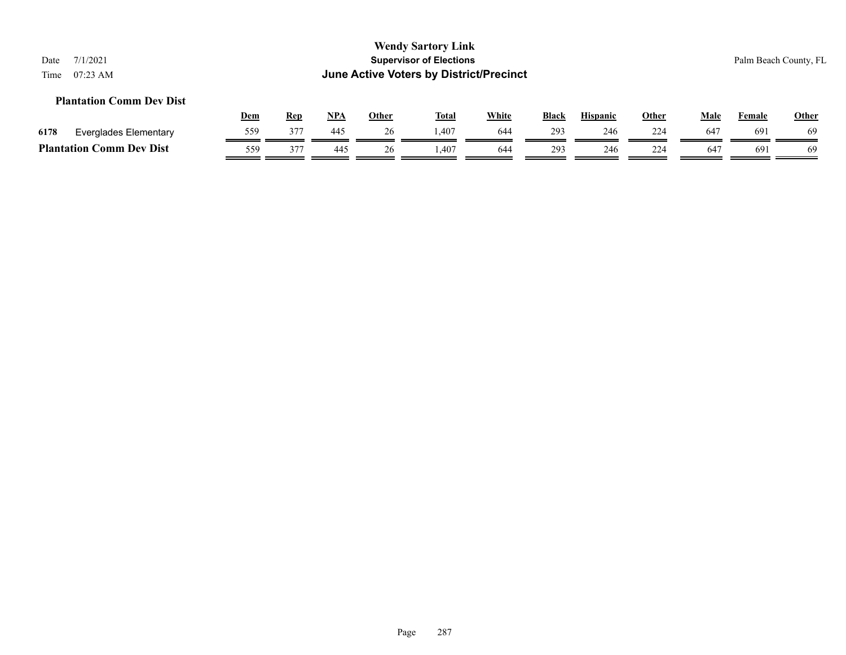### **Plantation Comm Dev Dist**

|      |                                 | Dem | Rep | <b>NPA</b> | Other | Total  | White | <b>Black</b> | <b>Hispanic</b> | Other    | Male | Female | <b>Other</b> |
|------|---------------------------------|-----|-----|------------|-------|--------|-------|--------------|-----------------|----------|------|--------|--------------|
| 6178 | Everglades Elementary           | 559 | 377 | 445        | 26    | 407. ا | 644   | 293          | 246             | 224      | 647  | 691    | 69           |
|      | <b>Plantation Comm Dev Dist</b> | 559 | 377 | 445        |       | .407   | 644   | 293          | 246             | 224<br>∼ | 647  | 691    | 69           |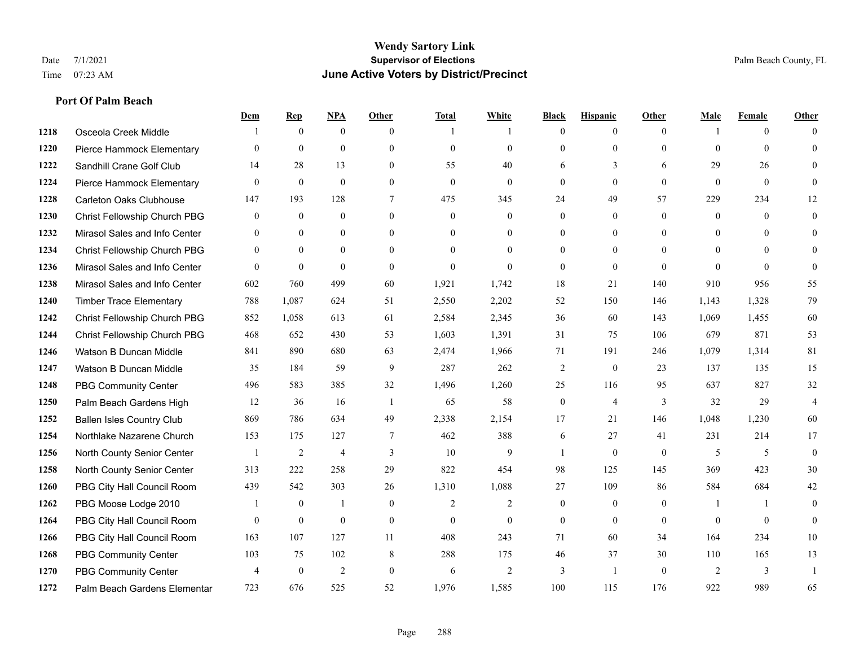**Port Of Palm Beach**

#### **Wendy Sartory Link** Date 7/1/2021 **Supervisor of Elections** Palm Beach County, FL Time 07:23 AM **June Active Voters by District/Precinct**

## **Dem Rep NPA Other Total White Black Hispanic Other Male Female Other** Osceola Creek Middle  $\begin{array}{cccccccc} 1 & 0 & 0 & 0 & 1 & 1 & 0 & 0 & 0 \end{array}$  Pierce Hammock Elementary 0 0 0 0 0 0 0 0 0 0 0 0 Sandhill Crane Golf Club 14 28 13 0 55 40 6 3 6 29 26 0 Pierce Hammock Elementary 0 0 0 0 0 0 0 0 0 0 0 0 Carleton Oaks Clubhouse 147 193 128 7 475 345 24 49 57 229 234 12 Christ Fellowship Church PBG 0 0 0 0 0 0 0 0 0 0 0 0 Mirasol Sales and Info Center 0 0 0 0 0 0 0 0 0 0 0 0 Christ Fellowship Church PBG 0 0 0 0 0 0 0 0 0 0 0 0 Mirasol Sales and Info Center 0 0 0 0 0 0 0 0 0 0 0 0 Mirasol Sales and Info Center 602 760 499 60 1,921 1,742 18 21 140 910 956 55 Timber Trace Elementary 788 1,087 624 51 2,550 2,202 52 150 146 1,143 1,328 79 Christ Fellowship Church PBG 852 1,058 613 61 2,584 2,345 36 60 143 1,069 1,455 60 Christ Fellowship Church PBG 468 652 430 53 1,603 1,391 31 75 106 679 871 53 Watson B Duncan Middle 841 890 680 63 2,474 1,966 71 191 246 1,079 1,314 81 Watson B Duncan Middle 35 184 59 9 287 262 2 0 23 137 135 15 PBG Community Center 496 583 385 32 1,496 1,260 25 116 95 637 827 32 Palm Beach Gardens High 12 36 16 1 65 58 0 4 3 32 29 4 Ballen Isles Country Club 869 786 634 49 2,338 2,154 17 21 146 1,048 1,230 60 Northlake Nazarene Church 153 175 127 7 462 388 6 27 41 231 214 17 North County Senior Center 1 2 4 3 10 9 1 0 0 5 5 5 0 North County Senior Center 313 222 258 29 822 454 98 125 145 369 423 30 PBG City Hall Council Room 439 542 303 26 1,310 1,088 27 109 86 584 684 42 PBG Moose Lodge 2010 1 0 1 0 1 0 2 2 0 0 0 1 1 0 PBG City Hall Council Room 0 0 0 0 0 0 0 0 0 0 0 0 PBG City Hall Council Room 163 107 127 11 408 243 71 60 34 164 234 10 PBG Community Center 103 75 102 8 288 175 46 37 30 110 165 13 PBG Community Center  $\begin{array}{ccccccccccccc}\n4 & 0 & 2 & 0 & 6 & 2 & 3 & 1 & 0 & 2 & 3 & 1\n\end{array}$ Palm Beach Gardens Elementary 723 676 525 52 1,976 1,585 100 115 176 922 989 65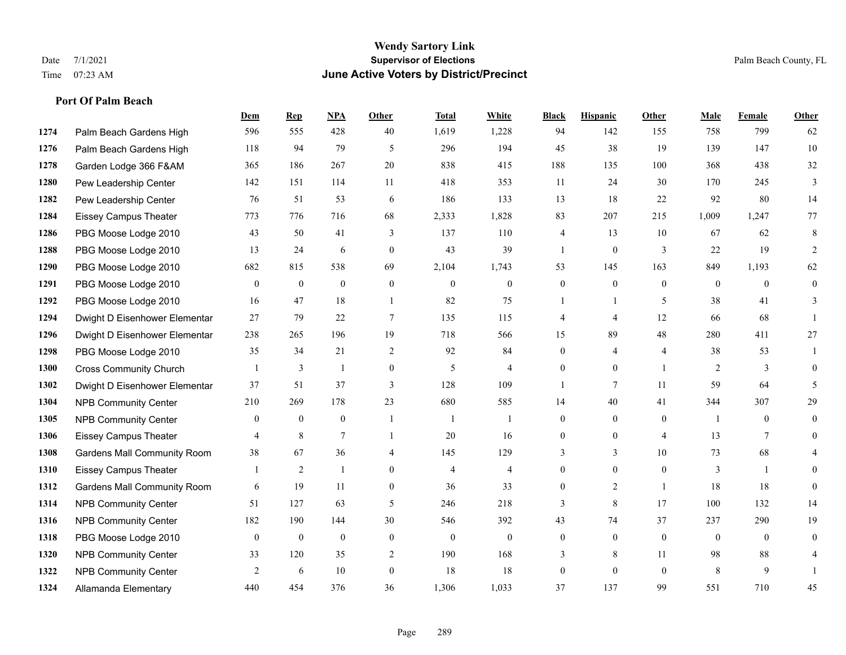## **Wendy Sartory Link** Date 7/1/2021 **Supervisor of Elections** Palm Beach County, FL Time 07:23 AM **June Active Voters by District/Precinct**

Palm Beach Gardens High 596 555 428 40 1,619 1,228 94 142 155 758 799 62

**Dem Rep NPA Other Total White Black Hispanic Other Male Female Other**

# Palm Beach Gardens High 118 94 79 5 296 194 45 38 19 139 147 10 Garden Lodge 366 F&AM 365 186 267 20 838 415 188 135 100 368 438 32 Pew Leadership Center 142 151 114 11 418 353 11 24 30 170 245 3 Pew Leadership Center 76 51 53 6 186 133 13 18 22 92 80 14 Eissey Campus Theater 773 776 716 68 2,333 1,828 83 207 215 1,009 1,247 77 PBG Moose Lodge 2010 43 50 41 3 137 110 4 13 10 67 62 8 PBG Moose Lodge 2010 13 24 6 0 43 39 1 0 3 22 19 2 PBG Moose Lodge 2010 682 815 538 69 2,104 1,743 53 145 163 849 1,193 62 PBG Moose Lodge 2010 0 0 0 0 0 0 0 0 0 0 0 0 PBG Moose Lodge 2010 16 47 18 1 82 75 1 1 5 38 41 3 Dwight D Eisenhower Elementar 27 79 22 7 135 115 4 4 12 66 68 1 Dwight D Eisenhower Elementar 238 265 196 19 718 566 15 89 48 280 411 27 PBG Moose Lodge 2010 35 34 21 2 92 84 0 4 4 38 53 1 Cross Community Church 1 3 1 0 5 4 0 0 1 2 3 0 Dwight D Eisenhower Elementar 37 51 37 3 128 109 1 7 11 59 64 5 NPB Community Center 210 269 178 23 680 585 14 40 41 344 307 29 **1305** NPB Community Center  $\begin{array}{ccccccccccccc}\n0 & 0 & 0 & 1 & 1 & 1 & 0 & 0 & 1 & 0 & 0\n\end{array}$  Eissey Campus Theater **4** 8 7 1 20 16 0 0 4 13 7 0 Gardens Mall Community Room 38 67 36 4 145 129 3 3 10 73 68 4 Eissey Campus Theater 1 2 1 0 4 4 0 0 0 3 1 0 Gardens Mall Community Room 6 19 11 0 36 33 0 2 1 18 18 0 NPB Community Center 51 127 63 5 246 218 3 8 17 100 132 14 NPB Community Center 182 190 144 30 546 392 43 74 37 237 290 19

 PBG Moose Lodge 2010 0 0 0 0 0 0 0 0 0 0 0 0 **1320 NPB Community Center** 33 120 35 2 190 168 3 8 11 98 88 4 **1322 NPB Community Center**  $\begin{array}{cccccccc} 2 & 6 & 10 & 0 & 18 & 18 & 0 & 0 & 8 & 9 & 1 \end{array}$ Allamanda Elementary 440 454 376 36 1,306 1,033 37 137 99 551 710 45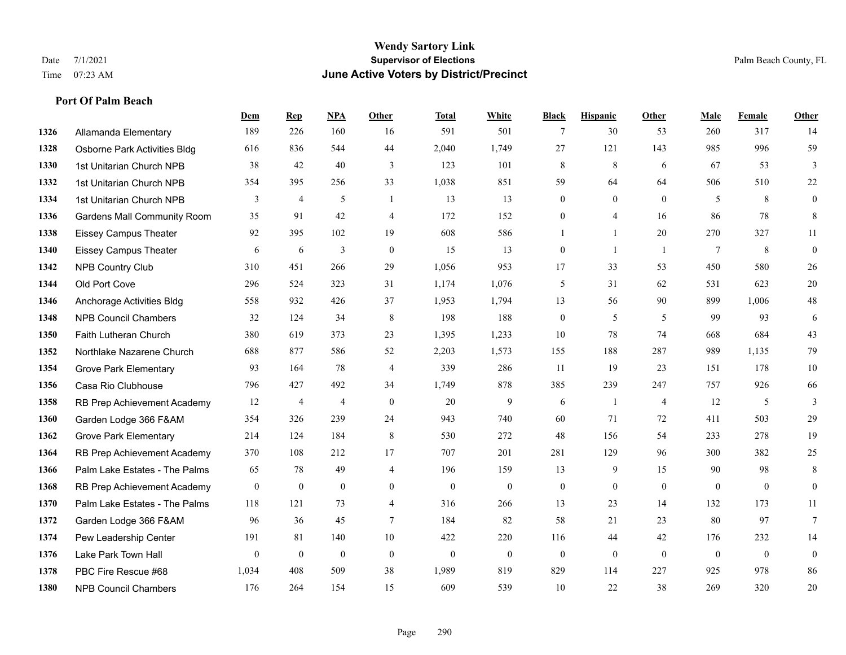## **Wendy Sartory Link** Date 7/1/2021 **Supervisor of Elections** Palm Beach County, FL Time 07:23 AM **June Active Voters by District/Precinct**

Allamanda Elementary 189 226 160 16 591 501 7 30 53 260 317 14

**Dem Rep NPA Other Total White Black Hispanic Other Male Female Other**

# Osborne Park Activities Bldg 616 836 544 44 2,040 1,749 27 121 143 985 996 59 1st Unitarian Church NPB 38 42 40 3 123 101 8 8 6 67 53 3 1st Unitarian Church NPB 354 395 256 33 1,038 851 59 64 64 506 510 22 1st Unitarian Church NPB 3 4 5 1 13 13 0 0 0 5 8 0 Gardens Mall Community Room 35 91 42 4 172 152 0 4 16 86 78 8 Eissey Campus Theater 92 395 102 19 608 586 1 1 20 270 327 11 Eissey Campus Theater 6 6 6 3 0 15 13 0 1 1 7 8 0 NPB Country Club 310 451 266 29 1,056 953 17 33 53 450 580 26 Old Port Cove 296 524 323 31 1,174 1,076 5 31 62 531 623 20 Anchorage Activities Bldg 558 932 426 37 1,953 1,794 13 56 90 899 1,006 48 NPB Council Chambers 32 124 34 8 198 188 0 5 5 99 93 6 Faith Lutheran Church 380 619 373 23 1,395 1,233 10 78 74 668 684 43 Northlake Nazarene Church 688 877 586 52 2,203 1,573 155 188 287 989 1,135 79 **1354 Grove Park Elementary 03 164 78 4 339 286 11 19 23 151 178 10**  Casa Rio Clubhouse 796 427 492 34 1,749 878 385 239 247 757 926 66 RB Prep Achievement Academy 12 4 4 0 20 9 6 1 4 12 5 3 Garden Lodge 366 F&AM 354 326 239 24 943 740 60 71 72 411 503 29 Grove Park Elementary 214 124 184 8 530 272 48 156 54 233 278 19 RB Prep Achievement Academy 370 108 212 17 707 201 281 129 96 300 382 25 Palm Lake Estates - The Palms 65 78 49 4 196 159 13 9 15 90 98 8 RB Prep Achievement Academy 0 0 0 0 0 0 0 0 0 0 0 0 Palm Lake Estates - The Palms 118 121 73 4 316 266 13 23 14 132 173 11 Garden Lodge 366 F&AM 96 36 45 7 184 82 58 21 23 80 97 7

 Pew Leadership Center 191 81 140 10 422 220 116 44 42 176 232 14 Lake Park Town Hall 0 0 0 0 0 0 0 0 0 0 0 0 PBC Fire Rescue #68 1,034 408 509 38 1,989 819 829 114 227 925 978 86 NPB Council Chambers 176 264 154 15 609 539 10 22 38 269 320 20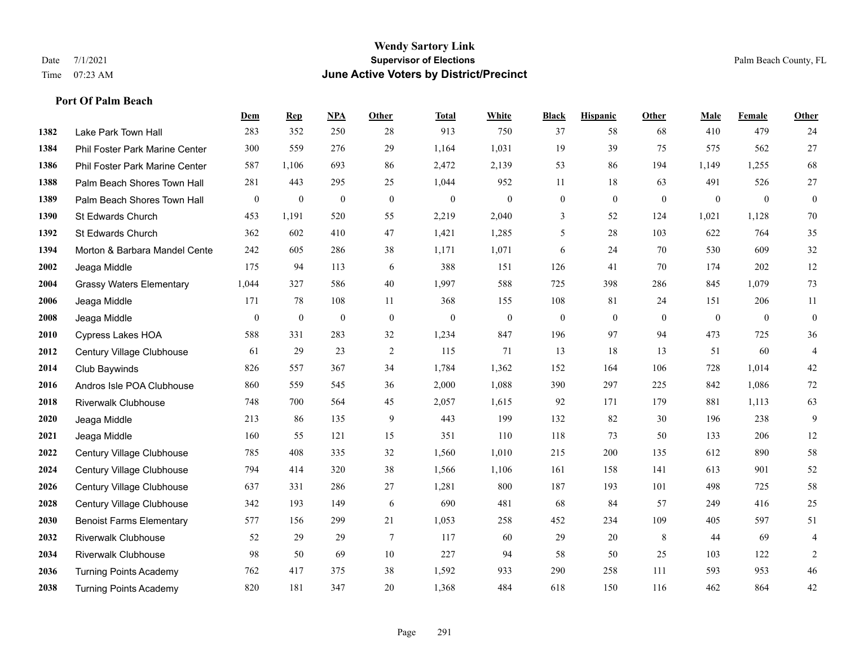## **Wendy Sartory Link** Date 7/1/2021 **Supervisor of Elections** Palm Beach County, FL Time 07:23 AM **June Active Voters by District/Precinct**

# **Dem Rep NPA Other Total White Black Hispanic Other Male Female Other** Lake Park Town Hall 283 352 250 28 913 750 37 58 68 410 479 24 Phil Foster Park Marine Center 300 559 276 29 1,164 1,031 19 39 75 575 562 27 Phil Foster Park Marine Center 587 1,106 693 86 2,472 2,139 53 86 194 1,149 1,255 68 Palm Beach Shores Town Hall 281 443 295 25 1,044 952 11 18 63 491 526 27 Palm Beach Shores Town Hall 0 0 0 0 0 0 0 0 0 0 0 0 St Edwards Church 453 1,191 520 55 2,219 2,040 3 52 124 1,021 1,128 70 St Edwards Church 362 602 410 47 1,421 1,285 5 28 103 622 764 35 Morton & Barbara Mandel Center 242 605 286 38 1,171 1,071 6 24 70 530 609 32 Jeaga Middle 175 94 113 6 388 151 126 41 70 174 202 12 Grassy Waters Elementary 1,044 327 586 40 1,997 588 725 398 286 845 1,079 73 Jeaga Middle 171 78 108 11 368 155 108 81 24 151 206 11 Jeaga Middle 0 0 0 0 0 0 0 0 0 0 0 0 Cypress Lakes HOA 588 331 283 32 1,234 847 196 97 94 473 725 36 Century Village Clubhouse 61 29 23 2 115 71 13 18 13 51 60 4 Club Baywinds 826 557 367 34 1,784 1,362 152 164 106 728 1,014 42 Andros Isle POA Clubhouse 860 559 545 36 2,000 1,088 390 297 225 842 1,086 72 Riverwalk Clubhouse 748 700 564 45 2,057 1,615 92 171 179 881 1,113 63 Jeaga Middle 213 86 135 9 443 199 132 82 30 196 238 9 Jeaga Middle 160 55 121 15 351 110 118 73 50 133 206 12 Century Village Clubhouse 785 408 335 32 1,560 1,010 215 200 135 612 890 58 Century Village Clubhouse 794 414 320 38 1,566 1,106 161 158 141 613 901 52 Century Village Clubhouse 637 331 286 27 1,281 800 187 193 101 498 725 58 Century Village Clubhouse 342 193 149 6 690 481 68 84 57 249 416 25 Benoist Farms Elementary 577 156 299 21 1,053 258 452 234 109 405 597 51 Riverwalk Clubhouse 52 29 29 7 117 60 29 20 8 44 69 4 Riverwalk Clubhouse 98 50 69 10 227 94 58 50 25 103 122 2 Turning Points Academy 762 417 375 38 1,592 933 290 258 111 593 953 46 Turning Points Academy 820 181 347 20 1,368 484 618 150 116 462 864 42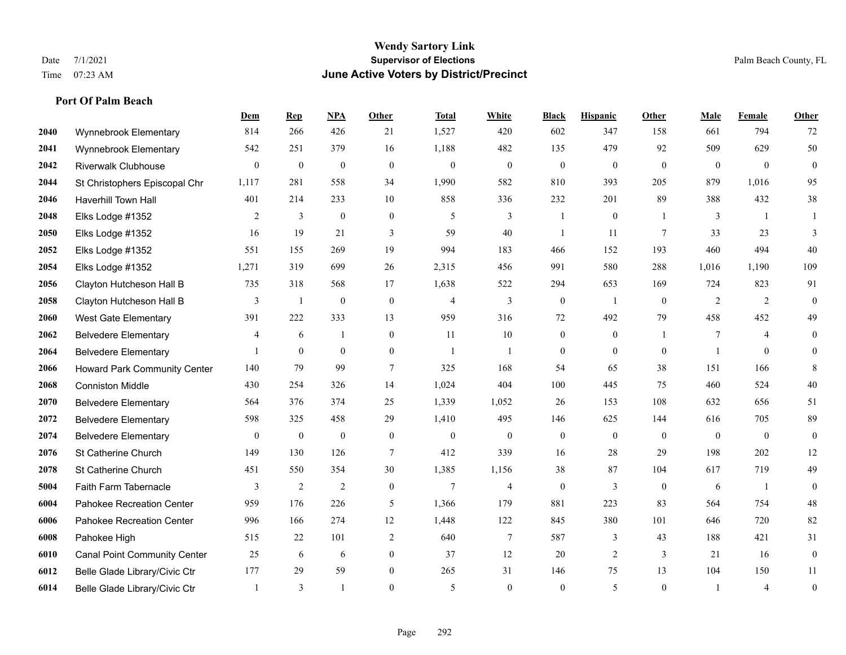## **Port Of Palm Beach**

|      |                                     | Dem   | <b>Rep</b>   | NPA              | <b>Other</b>     | <b>Total</b>   | <b>White</b>     | <b>Black</b>     | <b>Hispanic</b>  | <b>Other</b>    | <b>Male</b>    | <b>Female</b>  | <b>Other</b>     |
|------|-------------------------------------|-------|--------------|------------------|------------------|----------------|------------------|------------------|------------------|-----------------|----------------|----------------|------------------|
| 2040 | Wynnebrook Elementary               | 814   | 266          | 426              | 21               | 1,527          | 420              | 602              | 347              | 158             | 661            | 794            | 72               |
| 2041 | Wynnebrook Elementary               | 542   | 251          | 379              | 16               | 1,188          | 482              | 135              | 479              | 92              | 509            | 629            | 50               |
| 2042 | <b>Riverwalk Clubhouse</b>          | 0     | $\mathbf{0}$ | $\boldsymbol{0}$ | $\mathbf{0}$     | $\mathbf{0}$   | $\boldsymbol{0}$ | $\boldsymbol{0}$ | $\boldsymbol{0}$ | $\overline{0}$  | $\overline{0}$ | $\overline{0}$ | $\boldsymbol{0}$ |
| 2044 | St Christophers Episcopal Chr       | 1,117 | 281          | 558              | 34               | 1,990          | 582              | 810              | 393              | 205             | 879            | 1,016          | 95               |
| 2046 | <b>Haverhill Town Hall</b>          | 401   | 214          | 233              | 10               | 858            | 336              | 232              | 201              | 89              | 388            | 432            | 38               |
| 2048 | Elks Lodge #1352                    | 2     | 3            | $\boldsymbol{0}$ | $\boldsymbol{0}$ | 5              | 3                |                  | $\boldsymbol{0}$ |                 | 3              | -1             |                  |
| 2050 | Elks Lodge #1352                    | 16    | 19           | 21               | 3                | 59             | 40               | 1                | 11               | $7\phantom{.0}$ | 33             | 23             | 3                |
| 2052 | Elks Lodge #1352                    | 551   | 155          | 269              | 19               | 994            | 183              | 466              | 152              | 193             | 460            | 494            | 40               |
| 2054 | Elks Lodge #1352                    | 1,271 | 319          | 699              | 26               | 2,315          | 456              | 991              | 580              | 288             | 1,016          | 1,190          | 109              |
| 2056 | Clayton Hutcheson Hall B            | 735   | 318          | 568              | 17               | 1,638          | 522              | 294              | 653              | 169             | 724            | 823            | 91               |
| 2058 | Clayton Hutcheson Hall B            | 3     | -1           | $\mathbf{0}$     | $\mathbf{0}$     | $\overline{4}$ | $\overline{3}$   | $\mathbf{0}$     | $\overline{1}$   | $\theta$        | 2              | 2              | $\mathbf{0}$     |
| 2060 | <b>West Gate Elementary</b>         | 391   | 222          | 333              | 13               | 959            | 316              | 72               | 492              | 79              | 458            | 452            | 49               |
| 2062 | <b>Belvedere Elementary</b>         | 4     | 6            | $\mathbf{1}$     | $\overline{0}$   | 11             | 10               | $\mathbf{0}$     | $\mathbf{0}$     | $\mathbf{1}$    | $\tau$         | $\overline{4}$ | $\boldsymbol{0}$ |
| 2064 | <b>Belvedere Elementary</b>         |       | $\mathbf{0}$ | $\boldsymbol{0}$ | $\boldsymbol{0}$ | $\mathbf{1}$   | 1                | $\boldsymbol{0}$ | $\boldsymbol{0}$ | $\mathbf{0}$    |                | $\mathbf{0}$   | $\mathbf{0}$     |
| 2066 | <b>Howard Park Community Center</b> | 140   | 79           | 99               | 7                | 325            | 168              | 54               | 65               | 38              | 151            | 166            | $\,8\,$          |
| 2068 | <b>Conniston Middle</b>             | 430   | 254          | 326              | 14               | 1,024          | 404              | 100              | 445              | 75              | 460            | 524            | 40               |
| 2070 | <b>Belvedere Elementary</b>         | 564   | 376          | 374              | 25               | 1,339          | 1,052            | 26               | 153              | 108             | 632            | 656            | 51               |
| 2072 | <b>Belvedere Elementary</b>         | 598   | 325          | 458              | 29               | 1,410          | 495              | 146              | 625              | 144             | 616            | 705            | 89               |
| 2074 | <b>Belvedere Elementary</b>         | 0     | $\mathbf{0}$ | $\boldsymbol{0}$ | $\boldsymbol{0}$ | $\mathbf{0}$   | $\boldsymbol{0}$ | $\mathbf{0}$     | $\mathbf{0}$     | $\mathbf{0}$    | $\mathbf{0}$   | $\mathbf{0}$   | $\mathbf{0}$     |
| 2076 | St Catherine Church                 | 149   | 130          | 126              | $\tau$           | 412            | 339              | 16               | 28               | 29              | 198            | 202            | 12               |
| 2078 | St Catherine Church                 | 451   | 550          | 354              | 30               | 1,385          | 1,156            | 38               | 87               | 104             | 617            | 719            | 49               |
| 5004 | Faith Farm Tabernacle               | 3     | 2            | 2                | $\mathbf{0}$     | $\overline{7}$ | $\overline{4}$   | $\mathbf{0}$     | 3                | $\theta$        | 6              | $\mathbf{1}$   | $\mathbf{0}$     |
| 6004 | Pahokee Recreation Center           | 959   | 176          | 226              | 5                | 1,366          | 179              | 881              | 223              | 83              | 564            | 754            | $48\,$           |
| 6006 | Pahokee Recreation Center           | 996   | 166          | 274              | 12               | 1,448          | 122              | 845              | 380              | 101             | 646            | 720            | 82               |
| 6008 | Pahokee High                        | 515   | 22           | 101              | $\overline{2}$   | 640            | $\overline{7}$   | 587              | 3                | 43              | 188            | 421            | 31               |
| 6010 | <b>Canal Point Community Center</b> | 25    | 6            | 6                | $\overline{0}$   | 37             | 12               | 20               | 2                | 3               | 21             | 16             | $\boldsymbol{0}$ |
| 6012 | Belle Glade Library/Civic Ctr       | 177   | 29           | 59               | $\overline{0}$   | 265            | 31               | 146              | 75               | 13              | 104            | 150            | 11               |
| 6014 | Belle Glade Library/Civic Ctr       |       | 3            | $\mathbf{1}$     | $\theta$         | 5              | $\theta$         | $\theta$         | 5                | $\theta$        |                | $\overline{4}$ | $\boldsymbol{0}$ |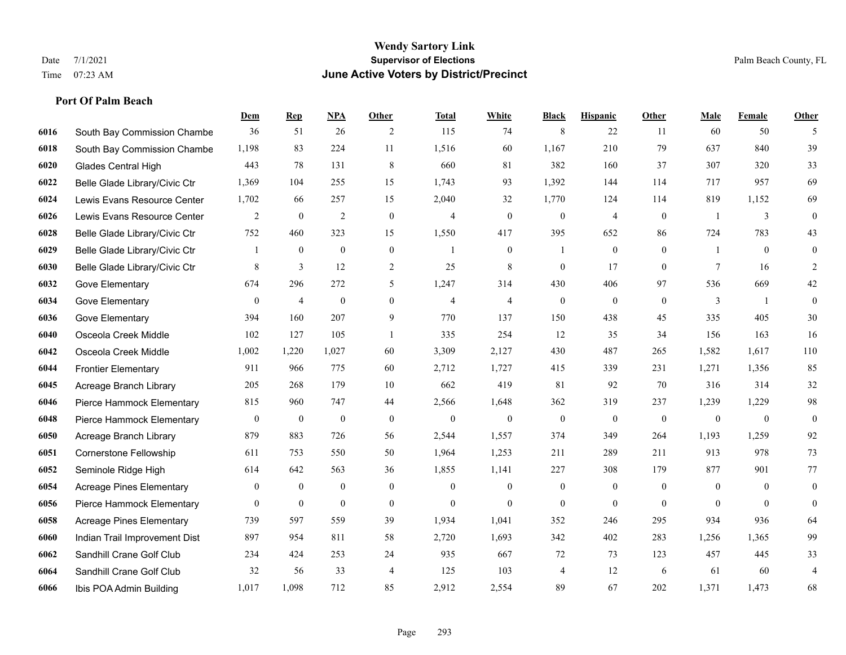## **Port Of Palm Beach**

|      |                                 | Dem              | <b>Rep</b>       | NPA              | <b>Other</b>     | <b>Total</b>   | <b>White</b>     | <b>Black</b>     | <b>Hispanic</b>  | <b>Other</b> | <b>Male</b>  | <b>Female</b>  | <b>Other</b>     |
|------|---------------------------------|------------------|------------------|------------------|------------------|----------------|------------------|------------------|------------------|--------------|--------------|----------------|------------------|
| 6016 | South Bay Commission Chambe     | 36               | 51               | 26               | 2                | 115            | 74               | 8                | 22               | 11           | 60           | 50             | 5                |
| 6018 | South Bay Commission Chambe     | 1,198            | 83               | 224              | 11               | 1,516          | 60               | 1,167            | 210              | 79           | 637          | 840            | 39               |
| 6020 | Glades Central High             | 443              | 78               | 131              | 8                | 660            | 81               | 382              | 160              | 37           | 307          | 320            | 33               |
| 6022 | Belle Glade Library/Civic Ctr   | 1,369            | 104              | 255              | 15               | 1,743          | 93               | 1,392            | 144              | 114          | 717          | 957            | 69               |
| 6024 | Lewis Evans Resource Center     | 1,702            | 66               | 257              | 15               | 2,040          | 32               | 1,770            | 124              | 114          | 819          | 1,152          | 69               |
| 6026 | Lewis Evans Resource Center     | $\overline{c}$   | $\boldsymbol{0}$ | $\overline{2}$   | $\boldsymbol{0}$ | $\overline{4}$ | $\boldsymbol{0}$ | $\boldsymbol{0}$ | $\overline{4}$   | $\mathbf{0}$ | -1           | $\mathfrak{Z}$ | $\boldsymbol{0}$ |
| 6028 | Belle Glade Library/Civic Ctr   | 752              | 460              | 323              | 15               | 1,550          | 417              | 395              | 652              | 86           | 724          | 783            | 43               |
| 6029 | Belle Glade Library/Civic Ctr   | 1                | $\mathbf{0}$     | $\mathbf{0}$     | $\theta$         | $\overline{1}$ | $\overline{0}$   | $\mathbf{1}$     | $\mathbf{0}$     | $\Omega$     | $\mathbf{1}$ | $\theta$       | $\mathbf{0}$     |
| 6030 | Belle Glade Library/Civic Ctr   | 8                | $\overline{3}$   | 12               | $\sqrt{2}$       | 25             | 8                | $\mathbf{0}$     | 17               | $\theta$     | $\tau$       | 16             | 2                |
| 6032 | Gove Elementary                 | 674              | 296              | 272              | 5                | 1,247          | 314              | 430              | 406              | 97           | 536          | 669            | $42\,$           |
| 6034 | Gove Elementary                 | $\overline{0}$   | $\overline{4}$   | $\mathbf{0}$     | $\overline{0}$   | $\overline{4}$ | $\overline{4}$   | $\mathbf{0}$     | $\mathbf{0}$     | $\theta$     | 3            | $\overline{1}$ | $\mathbf{0}$     |
| 6036 | Gove Elementary                 | 394              | 160              | 207              | 9                | 770            | 137              | 150              | 438              | 45           | 335          | 405            | 30               |
| 6040 | Osceola Creek Middle            | 102              | 127              | 105              | $\mathbf{1}$     | 335            | 254              | 12               | 35               | 34           | 156          | 163            | 16               |
| 6042 | Osceola Creek Middle            | 1,002            | 1,220            | 1,027            | 60               | 3,309          | 2,127            | 430              | 487              | 265          | 1,582        | 1,617          | 110              |
| 6044 | <b>Frontier Elementary</b>      | 911              | 966              | 775              | 60               | 2,712          | 1,727            | 415              | 339              | 231          | 1,271        | 1,356          | 85               |
| 6045 | Acreage Branch Library          | 205              | 268              | 179              | 10               | 662            | 419              | 81               | 92               | 70           | 316          | 314            | 32               |
| 6046 | Pierce Hammock Elementary       | 815              | 960              | 747              | 44               | 2,566          | 1,648            | 362              | 319              | 237          | 1,239        | 1,229          | 98               |
| 6048 | Pierce Hammock Elementary       | $\boldsymbol{0}$ | $\mathbf{0}$     | $\boldsymbol{0}$ | $\mathbf{0}$     | $\mathbf{0}$   | $\overline{0}$   | $\mathbf{0}$     | $\mathbf{0}$     | $\theta$     | $\mathbf{0}$ | $\mathbf{0}$   | $\mathbf{0}$     |
| 6050 | Acreage Branch Library          | 879              | 883              | 726              | 56               | 2,544          | 1,557            | 374              | 349              | 264          | 1,193        | 1,259          | 92               |
| 6051 | <b>Cornerstone Fellowship</b>   | 611              | 753              | 550              | 50               | 1,964          | 1,253            | 211              | 289              | 211          | 913          | 978            | 73               |
| 6052 | Seminole Ridge High             | 614              | 642              | 563              | 36               | 1,855          | 1,141            | 227              | 308              | 179          | 877          | 901            | 77               |
| 6054 | <b>Acreage Pines Elementary</b> | $\boldsymbol{0}$ | $\boldsymbol{0}$ | $\boldsymbol{0}$ | $\boldsymbol{0}$ | $\mathbf{0}$   | $\boldsymbol{0}$ | $\boldsymbol{0}$ | $\boldsymbol{0}$ | $\mathbf{0}$ | $\mathbf{0}$ | $\mathbf{0}$   | $\boldsymbol{0}$ |
| 6056 | Pierce Hammock Elementary       | $\overline{0}$   | $\mathbf{0}$     | $\boldsymbol{0}$ | $\overline{0}$   | $\mathbf{0}$   | $\overline{0}$   | $\mathbf{0}$     | $\mathbf{0}$     | $\theta$     | $\theta$     | $\theta$       | $\mathbf{0}$     |
| 6058 | <b>Acreage Pines Elementary</b> | 739              | 597              | 559              | 39               | 1,934          | 1,041            | 352              | 246              | 295          | 934          | 936            | 64               |
| 6060 | Indian Trail Improvement Dist   | 897              | 954              | 811              | 58               | 2,720          | 1,693            | 342              | 402              | 283          | 1,256        | 1.365          | 99               |
| 6062 | Sandhill Crane Golf Club        | 234              | 424              | 253              | 24               | 935            | 667              | 72               | 73               | 123          | 457          | 445            | 33               |
| 6064 | Sandhill Crane Golf Club        | 32               | 56               | 33               | $\overline{4}$   | 125            | 103              | 4                | 12               | 6            | 61           | 60             | $\overline{4}$   |
| 6066 | Ibis POA Admin Building         | 1,017            | 1,098            | 712              | 85               | 2,912          | 2,554            | 89               | 67               | 202          | 1,371        | 1,473          | 68               |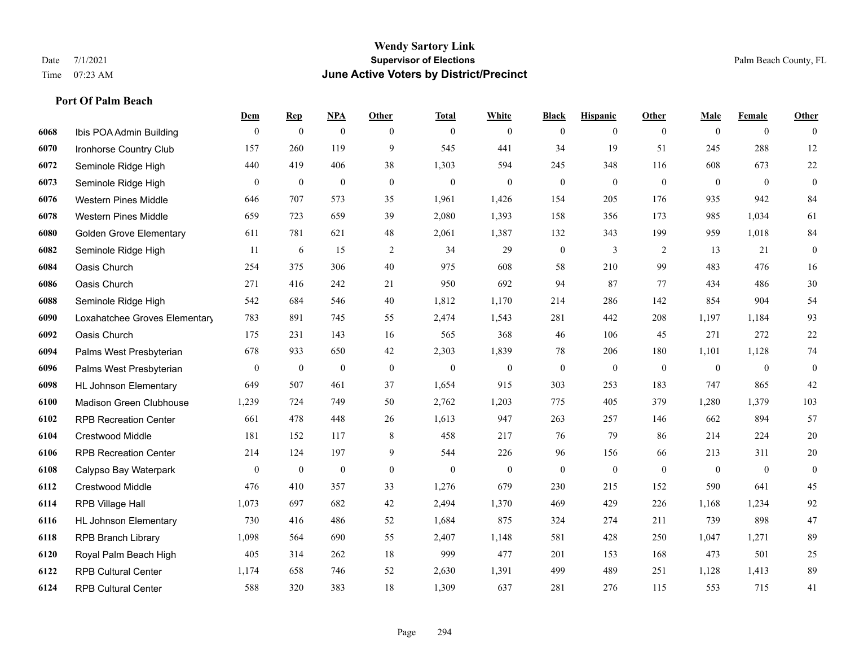## **Wendy Sartory Link** Date 7/1/2021 **Supervisor of Elections Supervisor of Elections** Palm Beach County, FL Time 07:23 AM **June Active Voters by District/Precinct**

|      |                                | Dem          | $\mathbf{Rep}$   | <b>NPA</b>       | <b>Other</b> | <b>Total</b>   | White            | <b>Black</b>     | <b>Hispanic</b>  | Other        | Male           | Female       | Other            |
|------|--------------------------------|--------------|------------------|------------------|--------------|----------------|------------------|------------------|------------------|--------------|----------------|--------------|------------------|
| 6068 | Ibis POA Admin Building        | $\theta$     | $\mathbf{0}$     | $\mathbf{0}$     | $\theta$     | $\mathbf{0}$   | $\overline{0}$   | $\mathbf{0}$     | $\mathbf{0}$     | $\theta$     | $\theta$       | $\theta$     | $\theta$         |
| 6070 | Ironhorse Country Club         | 157          | 260              | 119              | 9            | 545            | 441              | 34               | 19               | 51           | 245            | 288          | 12               |
| 6072 | Seminole Ridge High            | 440          | 419              | 406              | 38           | 1,303          | 594              | 245              | 348              | 116          | 608            | 673          | $22\,$           |
| 6073 | Seminole Ridge High            | $\mathbf{0}$ | $\boldsymbol{0}$ | $\mathbf{0}$     | $\mathbf{0}$ | $\mathbf{0}$   | $\overline{0}$   | $\boldsymbol{0}$ | $\mathbf{0}$     | $\theta$     | $\overline{0}$ | $\mathbf{0}$ | $\boldsymbol{0}$ |
| 6076 | <b>Western Pines Middle</b>    | 646          | 707              | 573              | 35           | 1,961          | 1,426            | 154              | 205              | 176          | 935            | 942          | 84               |
| 6078 | <b>Western Pines Middle</b>    | 659          | 723              | 659              | 39           | 2,080          | 1,393            | 158              | 356              | 173          | 985            | 1,034        | 61               |
| 6080 | <b>Golden Grove Elementary</b> | 611          | 781              | 621              | 48           | 2,061          | 1,387            | 132              | 343              | 199          | 959            | 1,018        | 84               |
| 6082 | Seminole Ridge High            | 11           | 6                | 15               | 2            | 34             | 29               | $\boldsymbol{0}$ | 3                | 2            | 13             | 21           | $\mathbf{0}$     |
| 6084 | Oasis Church                   | 254          | 375              | 306              | 40           | 975            | 608              | 58               | 210              | 99           | 483            | 476          | 16               |
| 6086 | Oasis Church                   | 271          | 416              | 242              | 21           | 950            | 692              | 94               | 87               | 77           | 434            | 486          | $30\,$           |
| 6088 | Seminole Ridge High            | 542          | 684              | 546              | 40           | 1,812          | 1,170            | 214              | 286              | 142          | 854            | 904          | 54               |
| 6090 | Loxahatchee Groves Elementary  | 783          | 891              | 745              | 55           | 2,474          | 1,543            | 281              | 442              | 208          | 1,197          | 1,184        | 93               |
| 6092 | Oasis Church                   | 175          | 231              | 143              | 16           | 565            | 368              | 46               | 106              | 45           | 271            | 272          | $22\,$           |
| 6094 | Palms West Presbyterian        | 678          | 933              | 650              | 42           | 2,303          | 1,839            | 78               | 206              | 180          | 1,101          | 1,128        | $74\,$           |
| 6096 | Palms West Presbyterian        | $\mathbf{0}$ | $\boldsymbol{0}$ | $\boldsymbol{0}$ | $\mathbf{0}$ | $\overline{0}$ | $\boldsymbol{0}$ | $\boldsymbol{0}$ | $\boldsymbol{0}$ | $\mathbf{0}$ | $\overline{0}$ | $\mathbf{0}$ | $\mathbf{0}$     |
| 6098 | <b>HL Johnson Elementary</b>   | 649          | 507              | 461              | 37           | 1,654          | 915              | 303              | 253              | 183          | 747            | 865          | $42\,$           |
| 6100 | Madison Green Clubhouse        | 1,239        | 724              | 749              | 50           | 2,762          | 1,203            | 775              | 405              | 379          | 1,280          | 1,379        | 103              |
| 6102 | <b>RPB Recreation Center</b>   | 661          | 478              | 448              | 26           | 1,613          | 947              | 263              | 257              | 146          | 662            | 894          | 57               |
| 6104 | Crestwood Middle               | 181          | 152              | 117              | 8            | 458            | 217              | 76               | 79               | 86           | 214            | 224          | $20\,$           |
| 6106 | <b>RPB Recreation Center</b>   | 214          | 124              | 197              | 9            | 544            | 226              | 96               | 156              | 66           | 213            | 311          | $20\,$           |
| 6108 | Calypso Bay Waterpark          | $\mathbf{0}$ | $\mathbf{0}$     | $\mathbf{0}$     | $\mathbf{0}$ | $\mathbf{0}$   | $\mathbf{0}$     | $\mathbf{0}$     | $\mathbf{0}$     | $\theta$     | $\mathbf{0}$   | $\mathbf{0}$ | $\mathbf{0}$     |
| 6112 | Crestwood Middle               | 476          | 410              | 357              | 33           | 1,276          | 679              | 230              | 215              | 152          | 590            | 641          | 45               |
| 6114 | RPB Village Hall               | 1,073        | 697              | 682              | 42           | 2,494          | 1,370            | 469              | 429              | 226          | 1,168          | 1,234        | 92               |
| 6116 | <b>HL Johnson Elementary</b>   | 730          | 416              | 486              | 52           | 1,684          | 875              | 324              | 274              | 211          | 739            | 898          | 47               |
| 6118 | <b>RPB Branch Library</b>      | 1,098        | 564              | 690              | 55           | 2,407          | 1,148            | 581              | 428              | 250          | 1,047          | 1,271        | 89               |
| 6120 | Royal Palm Beach High          | 405          | 314              | 262              | 18           | 999            | 477              | 201              | 153              | 168          | 473            | 501          | 25               |
| 6122 | <b>RPB Cultural Center</b>     | 1,174        | 658              | 746              | 52           | 2,630          | 1,391            | 499              | 489              | 251          | 1,128          | 1,413        | 89               |
| 6124 | <b>RPB Cultural Center</b>     | 588          | 320              | 383              | 18           | 1,309          | 637              | 281              | 276              | 115          | 553            | 715          | 41               |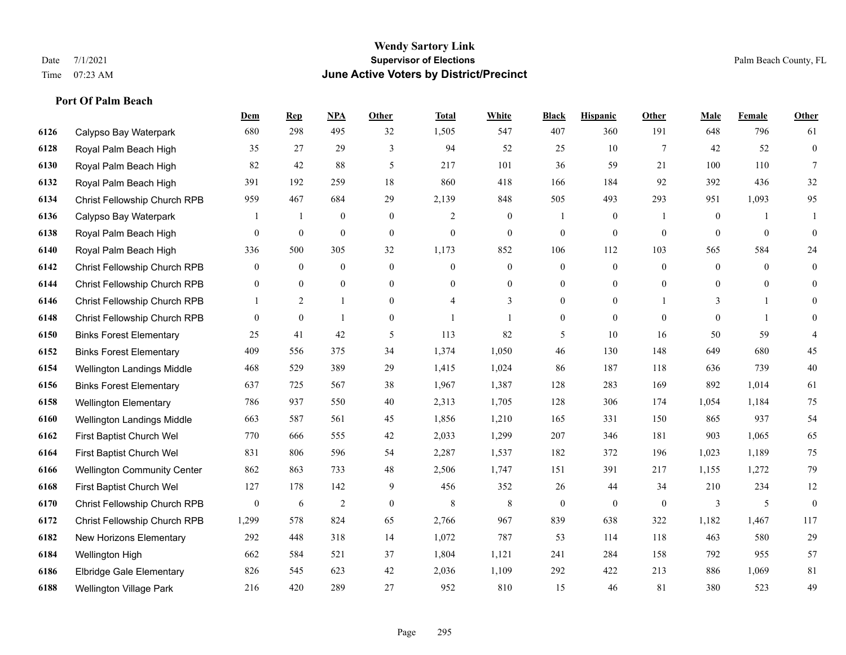## **Wendy Sartory Link** Date 7/1/2021 **Supervisor of Elections** Palm Beach County, FL Time 07:23 AM **June Active Voters by District/Precinct**

# **Dem Rep NPA Other Total White Black Hispanic Other Male Female Other** Calypso Bay Waterpark 680 298 495 32 1,505 547 407 360 191 648 796 61 Royal Palm Beach High 35 27 29 3 94 52 25 10 7 42 52 0 Royal Palm Beach High 82 42 88 5 217 101 36 59 21 100 110 7 Royal Palm Beach High 391 192 259 18 860 418 166 184 92 392 436 32 Christ Fellowship Church RPB 959 467 684 29 2,139 848 505 493 293 951 1,093 95 Calypso Bay Waterpark 1 1 0 0 2 0 1 0 1 0 1 1 Royal Palm Beach High 0 0 0 0 0 0 0 0 0 0 0 0 Royal Palm Beach High 336 500 305 32 1,173 852 106 112 103 565 584 24 Christ Fellowship Church RPB 0 0 0 0 0 0 0 0 0 0 0 0 Christ Fellowship Church RPB 0 0 0 0 0 0 0 0 0 0 0 0 Christ Fellowship Church RPB 1 2 1 0 4 3 0 0 1 3 1 0 Christ Fellowship Church RPB 0 0 1 0 1 1 0 0 0 0 1 0 Binks Forest Elementary 25 41 42 5 113 82 5 10 16 50 59 4 Binks Forest Elementary 409 556 375 34 1,374 1,050 46 130 148 649 680 45 Wellington Landings Middle 468 529 389 29 1,415 1,024 86 187 118 636 739 40 Binks Forest Elementary 637 725 567 38 1,967 1,387 128 283 169 892 1,014 61 Wellington Elementary 786 937 550 40 2,313 1,705 128 306 174 1,054 1,184 75 Wellington Landings Middle 663 587 561 45 1,856 1,210 165 331 150 865 937 54 First Baptist Church Wel 770 666 555 42 2,033 1,299 207 346 181 903 1,065 65 First Baptist Church Wel 831 806 596 54 2,287 1,537 182 372 196 1,023 1,189 75 Wellington Community Center 862 863 733 48 2,506 1,747 151 391 217 1,155 1,272 79 First Baptist Church Wel 127 178 142 9 456 352 26 44 34 210 234 12 Christ Fellowship Church RPB 0 6 2 0 8 8 0 0 0 3 5 0 Christ Fellowship Church RPB 1,299 578 824 65 2,766 967 839 638 322 1,182 1,467 117 New Horizons Elementary 292 448 318 14 1,072 787 53 114 118 463 580 29 Wellington High 662 584 521 37 1,804 1,121 241 284 158 792 955 57 Elbridge Gale Elementary 826 545 623 42 2,036 1,109 292 422 213 886 1,069 81 Wellington Village Park 216 420 289 27 952 810 15 46 81 380 523 49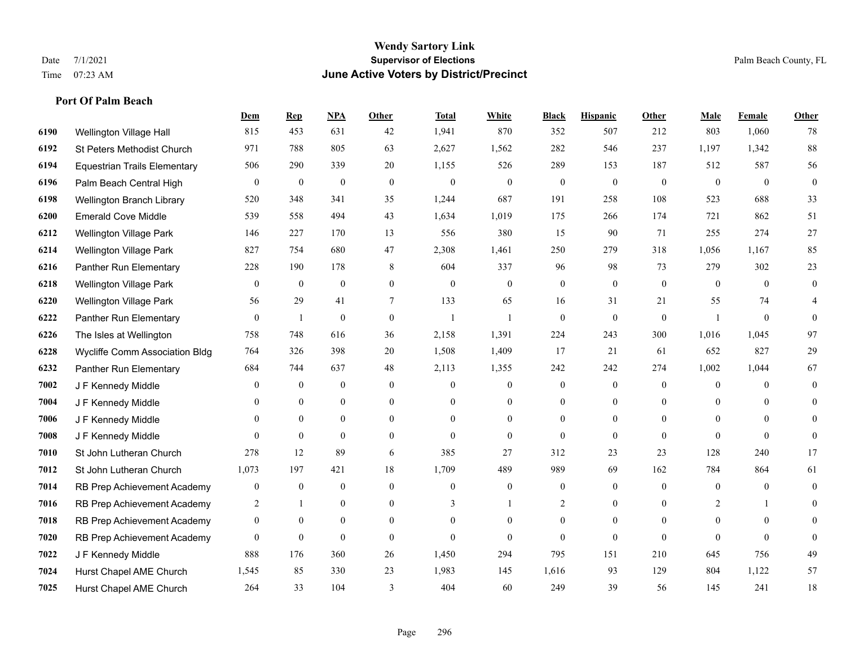## **Port Of Palm Beach**

|      |                                     | Dem            | <b>Rep</b>       | NPA              | <b>Other</b>   | <b>Total</b>     | <b>White</b>     | <b>Black</b>     | <b>Hispanic</b>  | <b>Other</b> | <b>Male</b>      | <b>Female</b>  | <b>Other</b>   |
|------|-------------------------------------|----------------|------------------|------------------|----------------|------------------|------------------|------------------|------------------|--------------|------------------|----------------|----------------|
| 6190 | Wellington Village Hall             | 815            | 453              | 631              | 42             | 1,941            | 870              | 352              | 507              | 212          | 803              | 1,060          | 78             |
| 6192 | St Peters Methodist Church          | 971            | 788              | 805              | 63             | 2,627            | 1,562            | 282              | 546              | 237          | 1,197            | 1,342          | 88             |
| 6194 | <b>Equestrian Trails Elementary</b> | 506            | 290              | 339              | 20             | 1,155            | 526              | 289              | 153              | 187          | 512              | 587            | 56             |
| 6196 | Palm Beach Central High             | $\overline{0}$ | $\boldsymbol{0}$ | $\boldsymbol{0}$ | $\mathbf{0}$   | $\boldsymbol{0}$ | $\boldsymbol{0}$ | $\boldsymbol{0}$ | $\boldsymbol{0}$ | $\mathbf{0}$ | $\mathbf{0}$     | $\mathbf{0}$   | $\mathbf{0}$   |
| 6198 | Wellington Branch Library           | 520            | 348              | 341              | 35             | 1,244            | 687              | 191              | 258              | 108          | 523              | 688            | 33             |
| 6200 | <b>Emerald Cove Middle</b>          | 539            | 558              | 494              | 43             | 1,634            | 1,019            | 175              | 266              | 174          | 721              | 862            | 51             |
| 6212 | <b>Wellington Village Park</b>      | 146            | 227              | 170              | 13             | 556              | 380              | 15               | 90               | 71           | 255              | 274            | 27             |
| 6214 | <b>Wellington Village Park</b>      | 827            | 754              | 680              | 47             | 2,308            | 1,461            | 250              | 279              | 318          | 1,056            | 1,167          | 85             |
| 6216 | Panther Run Elementary              | 228            | 190              | 178              | 8              | 604              | 337              | 96               | 98               | 73           | 279              | 302            | 23             |
| 6218 | <b>Wellington Village Park</b>      | 0              | $\boldsymbol{0}$ | $\boldsymbol{0}$ | $\overline{0}$ | $\mathbf{0}$     | $\boldsymbol{0}$ | $\mathbf{0}$     | $\mathbf{0}$     | $\mathbf{0}$ | $\mathbf{0}$     | $\overline{0}$ | $\mathbf{0}$   |
| 6220 | Wellington Village Park             | 56             | 29               | 41               | $\tau$         | 133              | 65               | 16               | 31               | 21           | 55               | 74             | 4              |
| 6222 | Panther Run Elementary              | $\overline{0}$ | 1                | $\overline{0}$   | $\Omega$       | $\mathbf{1}$     | $\mathbf{1}$     | $\theta$         | $\theta$         | $\theta$     | $\mathbf{1}$     | $\theta$       | $\Omega$       |
| 6226 | The Isles at Wellington             | 758            | 748              | 616              | 36             | 2,158            | 1,391            | 224              | 243              | 300          | 1,016            | 1,045          | 97             |
| 6228 | Wycliffe Comm Association Bldg      | 764            | 326              | 398              | 20             | 1,508            | 1,409            | 17               | 21               | 61           | 652              | 827            | 29             |
| 6232 | Panther Run Elementary              | 684            | 744              | 637              | 48             | 2,113            | 1,355            | 242              | 242              | 274          | 1,002            | 1,044          | 67             |
| 7002 | J F Kennedy Middle                  | 0              | $\boldsymbol{0}$ | $\mathbf{0}$     | $\overline{0}$ | $\mathbf{0}$     | $\boldsymbol{0}$ | $\mathbf{0}$     | $\mathbf{0}$     | $\mathbf{0}$ | $\overline{0}$   | $\Omega$       | $\mathbf{0}$   |
| 7004 | J F Kennedy Middle                  | 0              | $\overline{0}$   | $\mathbf{0}$     | $\overline{0}$ | $\theta$         | $\boldsymbol{0}$ | 0                | $\mathbf{0}$     | $\mathbf{0}$ | $\mathbf{0}$     | $\theta$       | $\theta$       |
| 7006 | J F Kennedy Middle                  | 0              | $\theta$         | $\theta$         | $\Omega$       | $\theta$         | $\overline{0}$   | $\mathbf{0}$     | $\theta$         | $\Omega$     | $\theta$         | $\Omega$       | 0              |
| 7008 | J F Kennedy Middle                  | $\overline{0}$ | $\boldsymbol{0}$ | $\boldsymbol{0}$ | $\overline{0}$ | $\theta$         | $\boldsymbol{0}$ | $\mathbf{0}$     | $\mathbf{0}$     | $\theta$     | $\mathbf{0}$     | $\mathbf{0}$   | $\theta$       |
| 7010 | St John Lutheran Church             | 278            | 12               | 89               | 6              | 385              | 27               | 312              | 23               | 23           | 128              | 240            | 17             |
| 7012 | St John Lutheran Church             | 1,073          | 197              | 421              | 18             | 1,709            | 489              | 989              | 69               | 162          | 784              | 864            | 61             |
| 7014 | RB Prep Achievement Academy         | 0              | $\boldsymbol{0}$ | $\boldsymbol{0}$ | $\mathbf{0}$   | $\theta$         | $\boldsymbol{0}$ | $\boldsymbol{0}$ | $\boldsymbol{0}$ | $\mathbf{0}$ | $\boldsymbol{0}$ | $\mathbf{0}$   | $\overline{0}$ |
| 7016 | RB Prep Achievement Academy         | 2              | $\mathbf{1}$     | $\mathbf{0}$     | $\overline{0}$ | 3                |                  | 2                | $\mathbf{0}$     | $\theta$     | 2                |                | 0              |
| 7018 | RB Prep Achievement Academy         | $\overline{0}$ | $\mathbf{0}$     | $\overline{0}$   | $\overline{0}$ | $\theta$         | $\overline{0}$   | $\boldsymbol{0}$ | $\mathbf{0}$     | $\theta$     | $\overline{0}$   | $\overline{0}$ | $\theta$       |
| 7020 | RB Prep Achievement Academy         | $\Omega$       | $\mathbf{0}$     | $\theta$         | $\Omega$       | $\theta$         | $\Omega$         | $\theta$         | $\theta$         | $\Omega$     | $\Omega$         | $\Omega$       | $\Omega$       |
| 7022 | J F Kennedy Middle                  | 888            | 176              | 360              | 26             | 1,450            | 294              | 795              | 151              | 210          | 645              | 756            | 49             |
| 7024 | Hurst Chapel AME Church             | 1,545          | 85               | 330              | 23             | 1,983            | 145              | 1,616            | 93               | 129          | 804              | 1,122          | 57             |
| 7025 | Hurst Chapel AME Church             | 264            | 33               | 104              | 3              | 404              | 60               | 249              | 39               | 56           | 145              | 241            | $18\,$         |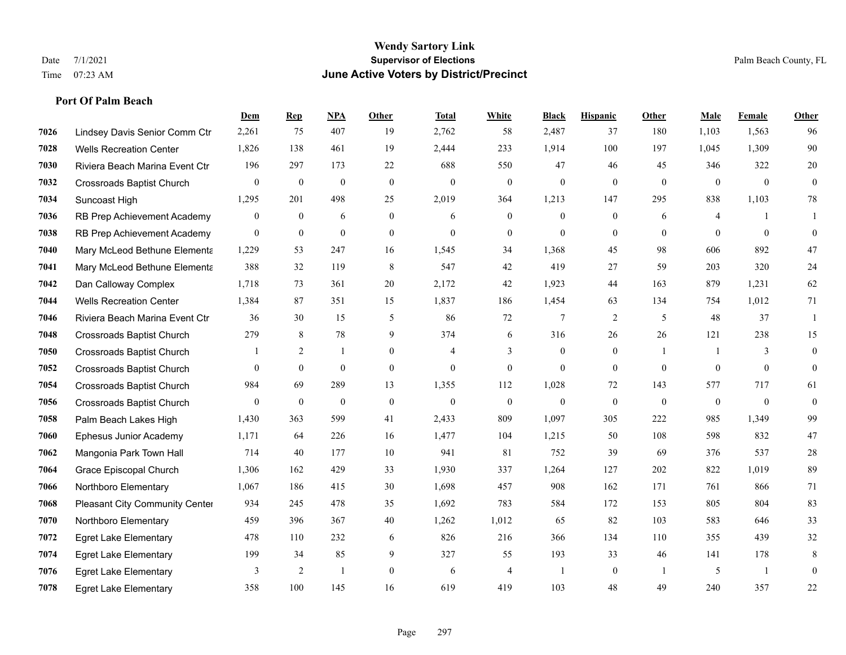## **Port Of Palm Beach**

|      |                                  | Dem              | <b>Rep</b>       | NPA              | <b>Other</b>     | <b>Total</b>     | <b>White</b>     | <b>Black</b>     | <b>Hispanic</b>  | Other          | <b>Male</b>  | Female       | <b>Other</b>     |
|------|----------------------------------|------------------|------------------|------------------|------------------|------------------|------------------|------------------|------------------|----------------|--------------|--------------|------------------|
| 7026 | Lindsey Davis Senior Comm Ctr    | 2,261            | 75               | 407              | 19               | 2,762            | 58               | 2,487            | 37               | 180            | 1,103        | 1,563        | 96               |
| 7028 | <b>Wells Recreation Center</b>   | 1,826            | 138              | 461              | 19               | 2,444            | 233              | 1,914            | 100              | 197            | 1,045        | 1,309        | 90               |
| 7030 | Riviera Beach Marina Event Ctr   | 196              | 297              | 173              | 22               | 688              | 550              | 47               | 46               | 45             | 346          | 322          | $20\,$           |
| 7032 | <b>Crossroads Baptist Church</b> | $\boldsymbol{0}$ | $\mathbf{0}$     | $\boldsymbol{0}$ | $\boldsymbol{0}$ | $\boldsymbol{0}$ | $\boldsymbol{0}$ | $\mathbf{0}$     | $\mathbf{0}$     | $\mathbf{0}$   | $\mathbf{0}$ | $\mathbf{0}$ | $\mathbf{0}$     |
| 7034 | Suncoast High                    | 1,295            | 201              | 498              | 25               | 2,019            | 364              | 1.213            | 147              | 295            | 838          | 1,103        | 78               |
| 7036 | RB Prep Achievement Academy      | 0                | $\boldsymbol{0}$ | 6                | $\boldsymbol{0}$ | 6                | $\boldsymbol{0}$ | $\boldsymbol{0}$ | $\boldsymbol{0}$ | 6              | 4            |              |                  |
| 7038 | RB Prep Achievement Academy      | $\overline{0}$   | $\mathbf{0}$     | $\mathbf{0}$     | $\mathbf{0}$     | $\theta$         | $\boldsymbol{0}$ | $\mathbf{0}$     | $\mathbf{0}$     | $\theta$       | $\Omega$     | $\theta$     | $\mathbf{0}$     |
| 7040 | Mary McLeod Bethune Elementa     | 1,229            | 53               | 247              | 16               | 1,545            | 34               | 1,368            | 45               | 98             | 606          | 892          | 47               |
| 7041 | Mary McLeod Bethune Elementa     | 388              | 32               | 119              | 8                | 547              | 42               | 419              | 27               | 59             | 203          | 320          | 24               |
| 7042 | Dan Calloway Complex             | 1,718            | 73               | 361              | 20               | 2,172            | 42               | 1,923            | 44               | 163            | 879          | 1,231        | 62               |
| 7044 | <b>Wells Recreation Center</b>   | 1,384            | 87               | 351              | 15               | 1,837            | 186              | 1,454            | 63               | 134            | 754          | 1,012        | 71               |
| 7046 | Riviera Beach Marina Event Ctr   | 36               | 30               | 15               | 5                | 86               | 72               | 7                | $\overline{c}$   | 5              | 48           | 37           | 1                |
| 7048 | <b>Crossroads Baptist Church</b> | 279              | 8                | 78               | 9                | 374              | 6                | 316              | 26               | 26             | 121          | 238          | 15               |
| 7050 | <b>Crossroads Baptist Church</b> |                  | $\overline{2}$   | 1                | $\overline{0}$   | $\overline{4}$   | 3                | $\boldsymbol{0}$ | $\boldsymbol{0}$ | -1             |              | 3            | $\mathbf{0}$     |
| 7052 | <b>Crossroads Baptist Church</b> | 0                | $\overline{0}$   | $\mathbf{0}$     | $\mathbf{0}$     | $\mathbf{0}$     | $\mathbf{0}$     | $\mathbf{0}$     | $\overline{0}$   | $\overline{0}$ | $\mathbf{0}$ | $\mathbf{0}$ | $\mathbf{0}$     |
| 7054 | <b>Crossroads Baptist Church</b> | 984              | 69               | 289              | 13               | 1,355            | 112              | 1,028            | 72               | 143            | 577          | 717          | 61               |
| 7056 | <b>Crossroads Baptist Church</b> | $\overline{0}$   | $\mathbf{0}$     | $\boldsymbol{0}$ | $\boldsymbol{0}$ | $\boldsymbol{0}$ | $\mathbf{0}$     | $\mathbf{0}$     | $\mathbf{0}$     | $\mathbf{0}$   | $\mathbf{0}$ | $\mathbf{0}$ | $\boldsymbol{0}$ |
| 7058 | Palm Beach Lakes High            | 1,430            | 363              | 599              | 41               | 2,433            | 809              | 1,097            | 305              | 222            | 985          | 1,349        | 99               |
| 7060 | Ephesus Junior Academy           | 1,171            | 64               | 226              | 16               | 1,477            | 104              | 1,215            | 50               | 108            | 598          | 832          | 47               |
| 7062 | Mangonia Park Town Hall          | 714              | 40               | 177              | $10\,$           | 941              | 81               | 752              | 39               | 69             | 376          | 537          | $28\,$           |
| 7064 | Grace Episcopal Church           | 1,306            | 162              | 429              | 33               | 1,930            | 337              | 1,264            | 127              | 202            | 822          | 1,019        | 89               |
| 7066 | Northboro Elementary             | 1,067            | 186              | 415              | 30               | 1,698            | 457              | 908              | 162              | 171            | 761          | 866          | 71               |
| 7068 | Pleasant City Community Center   | 934              | 245              | 478              | 35               | 1,692            | 783              | 584              | 172              | 153            | 805          | 804          | 83               |
| 7070 | Northboro Elementary             | 459              | 396              | 367              | 40               | 1,262            | 1,012            | 65               | 82               | 103            | 583          | 646          | 33               |
| 7072 | <b>Egret Lake Elementary</b>     | 478              | 110              | 232              | 6                | 826              | 216              | 366              | 134              | 110            | 355          | 439          | 32               |
| 7074 | <b>Egret Lake Elementary</b>     | 199              | 34               | 85               | 9                | 327              | 55               | 193              | 33               | 46             | 141          | 178          | 8                |
| 7076 | <b>Egret Lake Elementary</b>     | 3                | $\overline{2}$   | $\overline{1}$   | $\mathbf{0}$     | 6                | $\overline{4}$   |                  | $\mathbf{0}$     | $\overline{1}$ | 5            | -1           | $\mathbf{0}$     |
| 7078 | <b>Egret Lake Elementary</b>     | 358              | 100              | 145              | 16               | 619              | 419              | 103              | 48               | 49             | 240          | 357          | 22               |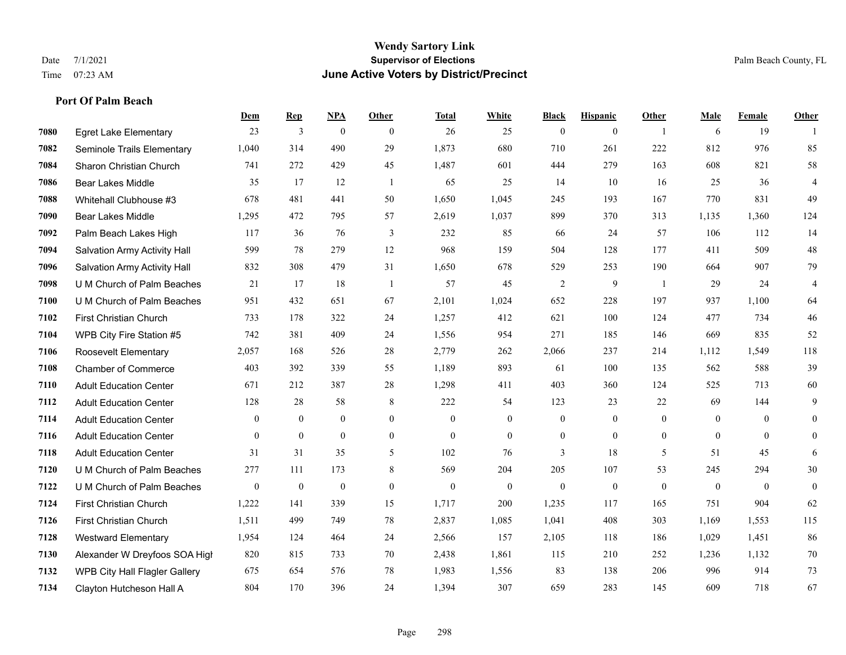## **Wendy Sartory Link** Date 7/1/2021 **Supervisor of Elections** Palm Beach County, FL Time 07:23 AM **June Active Voters by District/Precinct**

# **Dem Rep NPA Other Total White Black Hispanic Other Male Female Other** Egret Lake Elementary 23 3 0 0 26 25 0 0 1 6 19 1 Seminole Trails Elementary 1,040 314 490 29 1,873 680 710 261 222 812 976 85 Sharon Christian Church 741 272 429 45 1,487 601 444 279 163 608 821 58 Bear Lakes Middle 35 17 12 1 65 25 14 10 16 25 36 4 Whitehall Clubhouse #3 678 481 441 50 1,650 1,045 245 193 167 770 831 49 Bear Lakes Middle 1,295 472 795 57 2,619 1,037 899 370 313 1,135 1,360 124 Palm Beach Lakes High 117 36 76 3 232 85 66 24 57 106 112 14 Salvation Army Activity Hall 599 78 279 12 968 159 504 128 177 411 509 48 Salvation Army Activity Hall 832 308 479 31 1,650 678 529 253 190 664 907 79 U M Church of Palm Beaches 21 17 18 1 57 45 2 9 1 29 24 4 U M Church of Palm Beaches 951 432 651 67 2,101 1,024 652 228 197 937 1,100 64 First Christian Church 733 178 322 24 1,257 412 621 100 124 477 734 46 WPB City Fire Station #5 742 381 409 24 1,556 954 271 185 146 669 835 52 Roosevelt Elementary 2,057 168 526 28 2,779 262 2,066 237 214 1,112 1,549 118 Chamber of Commerce 403 392 339 55 1,189 893 61 100 135 562 588 39 Adult Education Center 671 212 387 28 1,298 411 403 360 124 525 713 60 Adult Education Center 128 28 58 8 222 54 123 23 22 69 144 9 Adult Education Center 0 0 0 0 0 0 0 0 0 0 0 0 Adult Education Center 0 0 0 0 0 0 0 0 0 0 0 0 Adult Education Center 31 31 35 5 102 76 3 18 5 51 45 6 U M Church of Palm Beaches 277 111 173 8 569 204 205 107 53 245 294 30 U M Church of Palm Beaches 0 0 0 0 0 0 0 0 0 0 0 0 First Christian Church 1,222 141 339 15 1,717 200 1,235 117 165 751 904 62 First Christian Church 1,511 499 749 78 2,837 1,085 1,041 408 303 1,169 1,553 115 Westward Elementary 1,954 124 464 24 2,566 157 2,105 118 186 1,029 1,451 86 Alexander W Dreyfoos SOA High 820 815 733 70 2,438 1,861 115 210 252 1,236 1,132 70 WPB City Hall Flagler Gallery 675 654 576 78 1,983 1,556 83 138 206 996 914 73 Clayton Hutcheson Hall A 804 170 396 24 1,394 307 659 283 145 609 718 67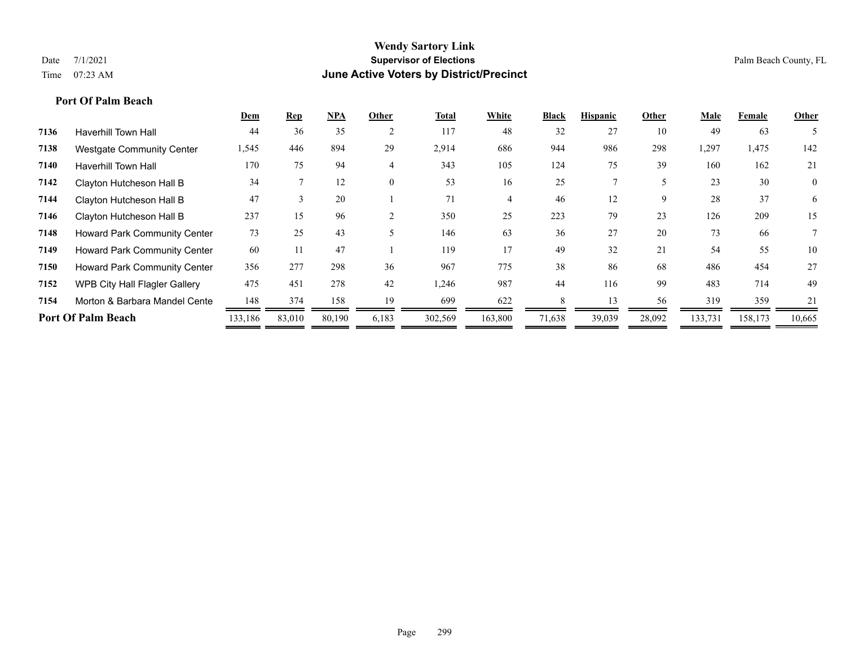## **Port Of Palm Beach**

|      |                                      | Dem     | <b>Rep</b>    | <b>NPA</b> | Other          | <b>Total</b> | White   | <b>Black</b> | <b>Hispanic</b> | Other  | Male    | Female  | Other          |
|------|--------------------------------------|---------|---------------|------------|----------------|--------------|---------|--------------|-----------------|--------|---------|---------|----------------|
| 7136 | <b>Haverhill Town Hall</b>           | 44      | 36            | 35         | 2              | 117          | 48      | 32           | 27              | 10     | 49      | 63      |                |
| 7138 | <b>Westgate Community Center</b>     | 1,545   | 446           | 894        | 29             | 2,914        | 686     | 944          | 986             | 298    | 1,297   | 1,475   | 142            |
| 7140 | <b>Haverhill Town Hall</b>           | 170     | 75            | 94         | $\overline{4}$ | 343          | 105     | 124          | 75              | 39     | 160     | 162     | 21             |
| 7142 | Clayton Hutcheson Hall B             | 34      |               | 12         | $\theta$       | 53           | 16      | 25           |                 |        | 23      | 30      | $\overline{0}$ |
| 7144 | Clayton Hutcheson Hall B             | 47      | $\rightarrow$ | 20         |                | 71           | 4       | 46           | 12              | 9      | 28      | 37      | 6              |
| 7146 | Clayton Hutcheson Hall B             | 237     | 15            | 96         |                | 350          | 25      | 223          | 79              | 23     | 126     | 209     | 15             |
| 7148 | <b>Howard Park Community Center</b>  | 73      | 25            | 43         |                | 146          | 63      | 36           | 27              | 20     | 73      | 66      |                |
| 7149 | <b>Howard Park Community Center</b>  | 60      | 11            | 47         |                | 119          | 17      | 49           | 32              | 21     | 54      | 55      | 10             |
| 7150 | <b>Howard Park Community Center</b>  | 356     | 277           | 298        | 36             | 967          | 775     | 38           | 86              | 68     | 486     | 454     | 27             |
| 7152 | <b>WPB City Hall Flagler Gallery</b> | 475     | 451           | 278        | 42             | 1,246        | 987     | 44           | 116             | 99     | 483     | 714     | 49             |
| 7154 | Morton & Barbara Mandel Cente        | 148     | 374           | 158        | 19             | 699          | 622     |              | 13              | 56     | 319     | 359     | 21             |
|      | <b>Port Of Palm Beach</b>            | 133,186 | 83,010        | 80,190     | 6,183          | 302,569      | 163,800 | 71,638       | 39,039          | 28,092 | 133,731 | 158,173 | 10,665         |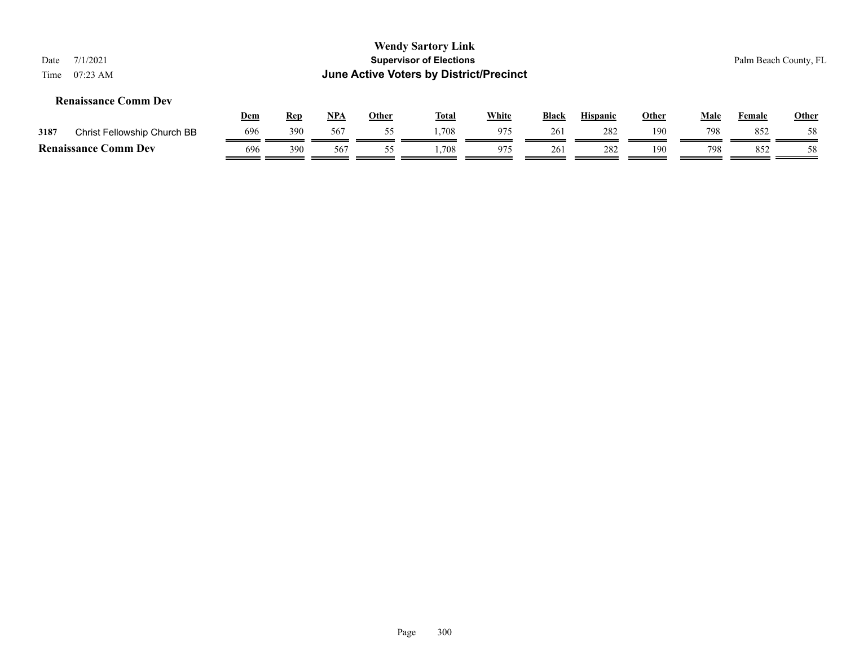| Date<br>Time | 7/1/2021<br>$07:23 \text{ AM}$ |            |            |            |       | <b>Wendy Sartory Link</b><br><b>Supervisor of Elections</b><br>June Active Voters by District/Precinct |              |              |                 |              |      |        | Palm Beach County, FL |
|--------------|--------------------------------|------------|------------|------------|-------|--------------------------------------------------------------------------------------------------------|--------------|--------------|-----------------|--------------|------|--------|-----------------------|
|              | <b>Renaissance Comm Dev</b>    |            |            |            |       |                                                                                                        |              |              |                 |              |      |        |                       |
|              |                                | <u>Dem</u> | <b>Rep</b> | <u>NPA</u> | Other | <u>Total</u>                                                                                           | <b>White</b> | <b>Black</b> | <b>Hispanic</b> | <b>Other</b> | Male | Female | Other                 |
| 3187         | Christ Fellowship Church BB    | 696        | 390        | 567        | 55    | 1.708                                                                                                  | 975          | 261          | 282             | 190          | 798  | 852    | 58                    |
|              | <b>Renaissance Comm Dev</b>    | 696        | 390        | 567        | 55    | .,708                                                                                                  | 975          | 261          | 282             | 190          | 798  | 852    | 58                    |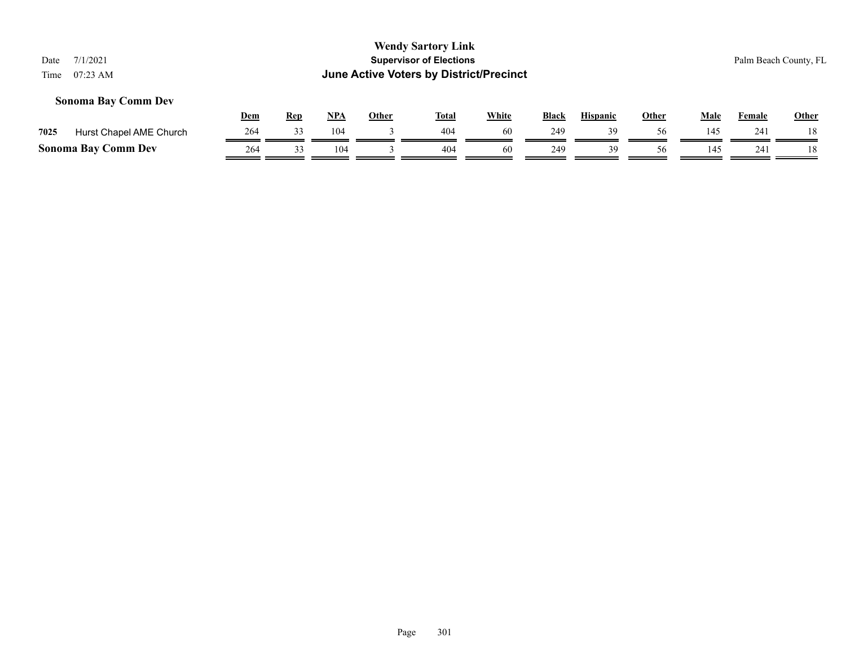## **Sonoma Bay Comm Dev**

|      |                            | Dem | Rep | <b>NPA</b> | Other | <b>Total</b> | <b>White</b> | <b>Black</b> | <b>Hispanic</b> | Other | Male | Female | <u>Other</u> |
|------|----------------------------|-----|-----|------------|-------|--------------|--------------|--------------|-----------------|-------|------|--------|--------------|
| 7025 | Hurst Chapel AME Church    |     |     | 104        |       | 404          | 60           | 249          | 30              |       | 45،  | 241    |              |
|      | <b>Sonoma Bay Comm Dev</b> | 264 |     | 04 ا       |       | 404          |              | 249          | 30.             |       |      | 241    |              |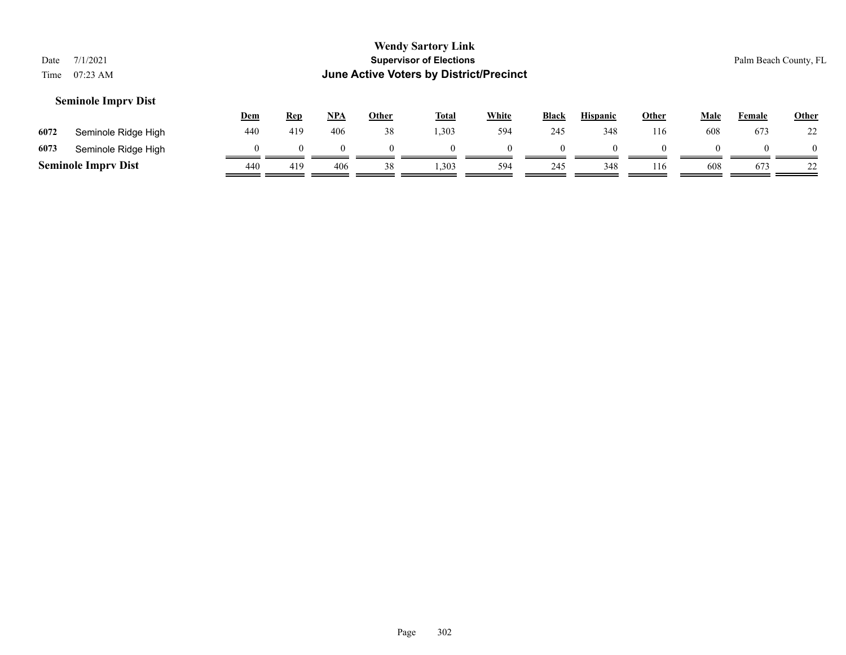| Date<br>Time | 7/1/2021<br>07:23 AM       |            |            |            |              | <b>Wendy Sartory Link</b><br><b>Supervisor of Elections</b><br>June Active Voters by District/Precinct |              |              |                 |              |          |               | Palm Beach County, FL |
|--------------|----------------------------|------------|------------|------------|--------------|--------------------------------------------------------------------------------------------------------|--------------|--------------|-----------------|--------------|----------|---------------|-----------------------|
|              | <b>Seminole Imprv Dist</b> | <u>Dem</u> | <b>Rep</b> | <u>NPA</u> | <b>Other</b> | <b>Total</b>                                                                                           | <b>White</b> | <b>Black</b> | <b>Hispanic</b> | <b>Other</b> | Male     | <b>Female</b> | Other                 |
| 6072         | Seminole Ridge High        | 440        | 419        | 406        | 38           | 1,303                                                                                                  | 594          | 245          | 348             | 116          | 608      | 673           | 22                    |
| 6073         | Seminole Ridge High        | $\Omega$   |            | $\theta$   |              |                                                                                                        | $\Omega$     | $\Omega$     |                 |              | $\theta$ | 0             |                       |

**Seminole Imprv Dist**  $\frac{440}{449}$   $\frac{419}{49}$   $\frac{406}{406}$   $\frac{38}{406}$   $\frac{1,303}{408}$   $\frac{594}{408}$   $\frac{245}{408}$   $\frac{348}{408}$   $\frac{116}{408}$   $\frac{608}{408}$   $\frac{673}{408}$   $\frac{22}{408}$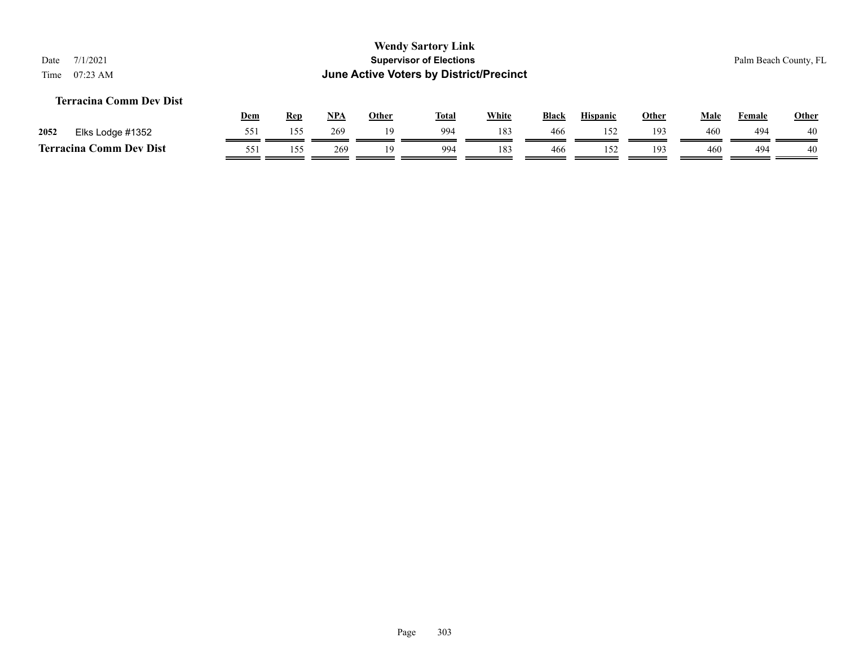## **Terracina Comm Dev Dist**

|      |                              | <b>Dem</b> | Rep | <b>NPA</b> | Other | <b>Total</b> | White | <b>Black</b> | <b>Hispanic</b> | Other | Male | Female | Other |
|------|------------------------------|------------|-----|------------|-------|--------------|-------|--------------|-----------------|-------|------|--------|-------|
| 2052 | Elks Lodge #1352             | 551        | 155 | 269        |       | 994          | 183   | 466          | 150             | 193   | 460  | 494    | 40    |
|      | Comm Dev Dist<br>Terracina ( | 551        | 55  | 269        |       | 994          | 183   | 466          |                 | 193   | 460  | 494    | 40    |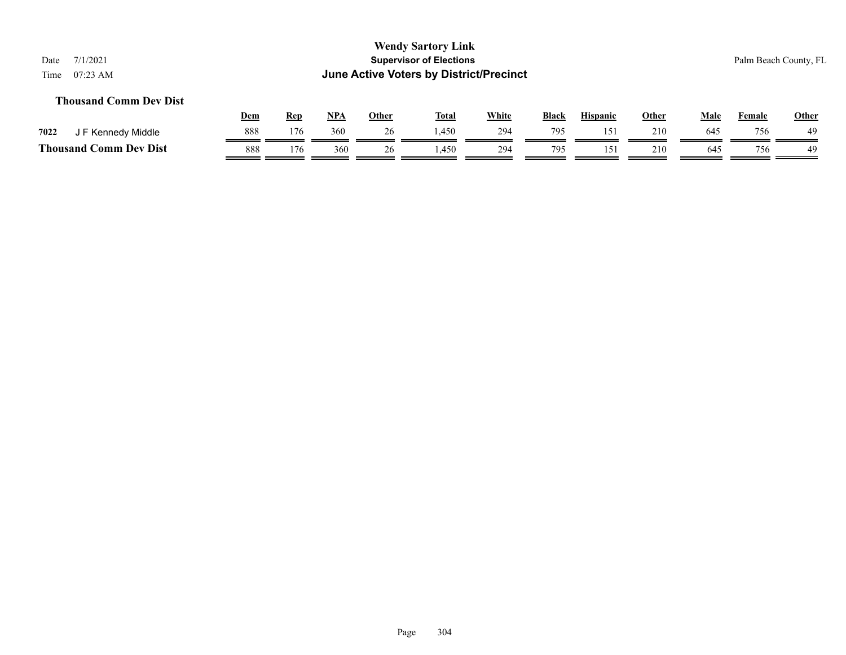## **Thousand Comm Dev Dist**

|                               | Dem | Rep | NP/ | Other | <b>Total</b> | <b>White</b> | Black | Hispanic | Other | Male | Female | <b>Other</b> |
|-------------------------------|-----|-----|-----|-------|--------------|--------------|-------|----------|-------|------|--------|--------------|
| 7022<br>J F Kennedy Middle    | 888 | 176 | 360 |       | ,450         | 294          | 795   | 15)      | 210   | 645  | 756    | 49           |
| <b>Thousand Comm Dev Dist</b> | 888 | 176 | 360 | 26    | ,450         | 294          | 795   | 15.      | 210   | 645  | 756    | 49           |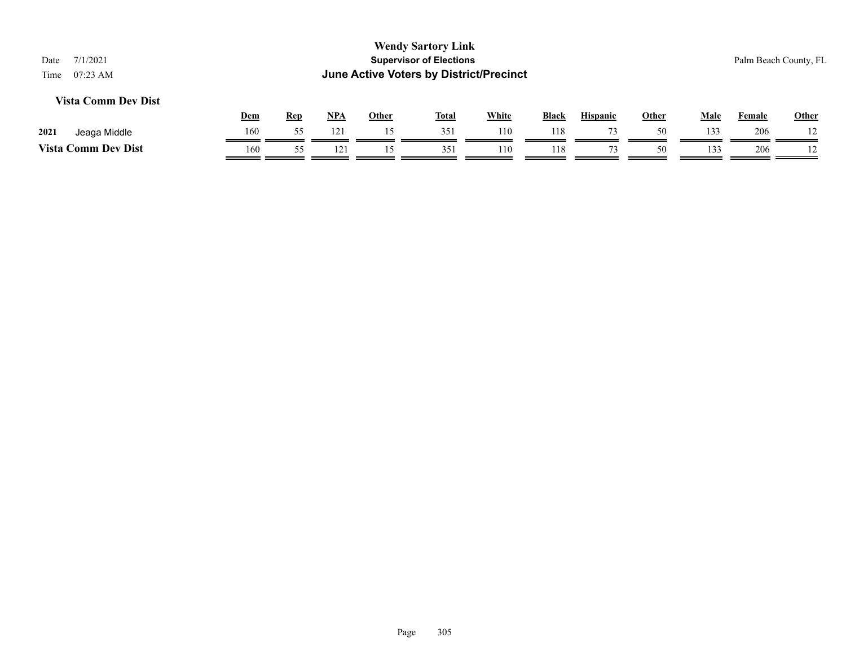## **Vista Comm Dev Dist**

|                            | Dem | Ren | NP/          | Other | <b>Total</b> | White | <b>Black</b> | <b>Hispanic</b> | Other | Male | $\sim$ $\sim$<br>Female | Other          |
|----------------------------|-----|-----|--------------|-------|--------------|-------|--------------|-----------------|-------|------|-------------------------|----------------|
| 2021<br>Jeaga Middle       | 160 |     | $12^{\circ}$ |       |              | 110   | 118          | $\sim$          | 50    | 122  | 206                     |                |
| <b>Vista Comm Dev Dist</b> | 160 |     | $\sim$       |       | 351<br>ر ب   | 110   | 118          |                 | 50    | 133  | 206                     | $\overline{1}$ |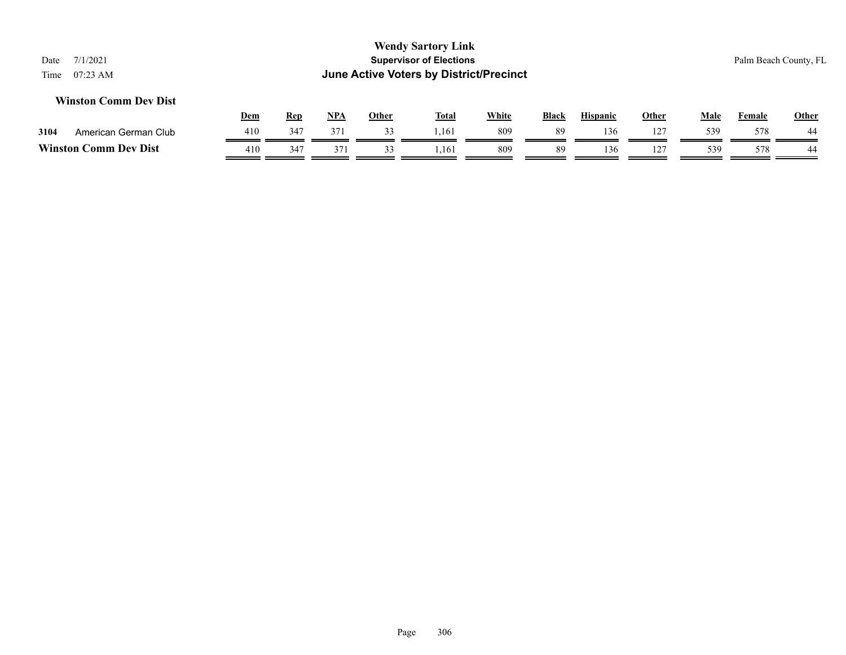## **Winston Comm Dev Dist**

|                  |                      | Dem | Rep | <b>NPA</b> | Other | <b>Total</b> | White | <b>Black</b> | <b>Hispanic</b> | Other          | Male | Female | <b>Other</b> |
|------------------|----------------------|-----|-----|------------|-------|--------------|-------|--------------|-----------------|----------------|------|--------|--------------|
| 3104             | American German Club | 410 | 347 | 371        |       | 1.161        | 809   | 89           | 136             | $\overline{1}$ | 539  | 578    | 44           |
| <b>Winston C</b> | <b>Comm Dev Dist</b> | 410 | 347 | 37         |       | .161         | 809   | 89           | 136             |                | 539  | 578    | 44           |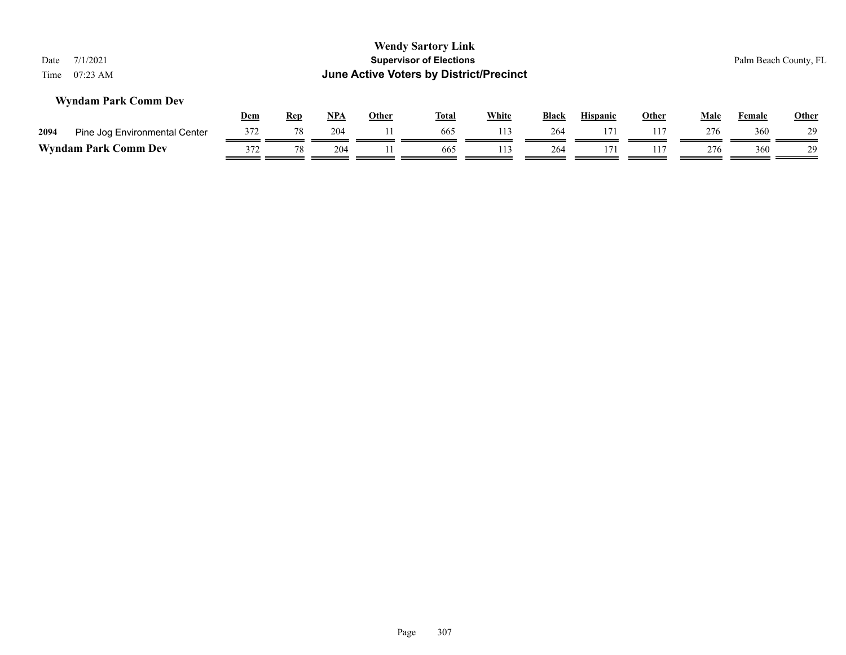| 7/1/2021<br>Date<br>$07:23$ AM<br>Time |     |            |       |              | <b>Wendy Sartory Link</b><br><b>Supervisor of Elections</b><br>June Active Voters by District/Precinct |              |              |                 |              |      |        | Palm Beach County, FL |
|----------------------------------------|-----|------------|-------|--------------|--------------------------------------------------------------------------------------------------------|--------------|--------------|-----------------|--------------|------|--------|-----------------------|
| <b>Wyndam Park Comm Dev</b>            | Dem | <b>Rep</b> | $NPA$ | <b>Other</b> | <b>Total</b>                                                                                           | <b>White</b> | <b>Black</b> | <b>Hispanic</b> | <b>Other</b> | Male | Female | Other                 |
| Pine Jog Environmental Center<br>2094  | 372 | 78         | 204   |              | 665                                                                                                    | 113          | 264          | 171             | 117          | 276  | 360    | 29                    |
| <b>Wyndam Park Comm Dev</b>            | 372 | 78         | 204   | 665          | 113                                                                                                    | 264          | 171          | 117             | 276          | 360  | 29     |                       |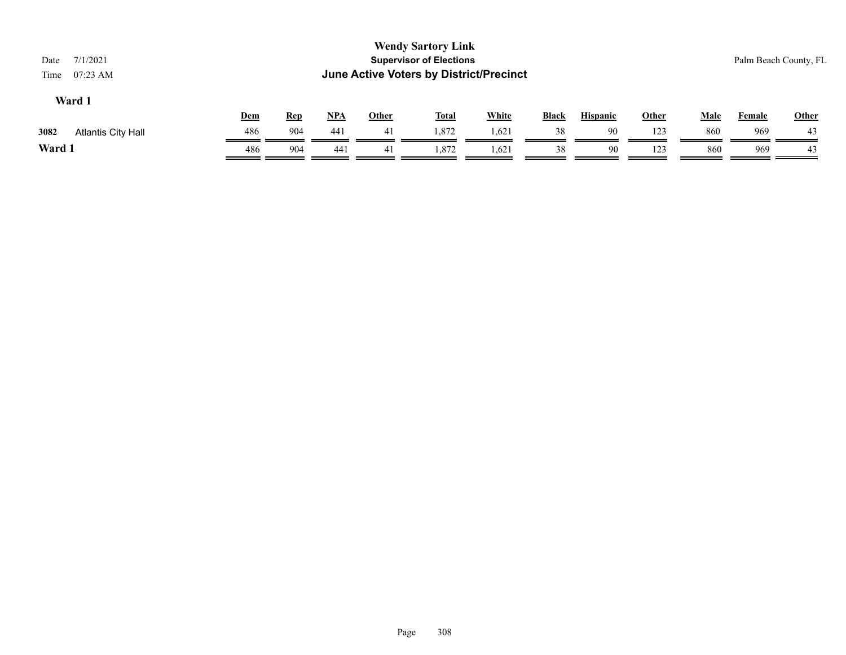| 7/1/2021<br>Date<br>$07:23$ AM<br>Time |            |            |            |              | <b>Wendy Sartory Link</b><br><b>Supervisor of Elections</b><br>June Active Voters by District/Precinct |              |              |                 |       |             |               | Palm Beach County, FL |
|----------------------------------------|------------|------------|------------|--------------|--------------------------------------------------------------------------------------------------------|--------------|--------------|-----------------|-------|-------------|---------------|-----------------------|
| Ward 1                                 | <b>Dem</b> | <b>Rep</b> | <u>NPA</u> | <b>Other</b> | <u>Total</u>                                                                                           | <b>White</b> | <b>Black</b> | <b>Hispanic</b> | Other | <u>Male</u> | <b>Female</b> | <b>Other</b>          |
| 3082<br>Atlantis City Hall             | 486        | 904        | 441        | 41           | 1,872                                                                                                  | 1,621        | 38           | 90              | 123   | 860         | 969           | 43                    |
| Ward 1                                 | 486        | 904        | 44)        | 41           | 1.872                                                                                                  | 1,621        | 38           | 90              | 123   | 860         | 969           | 43                    |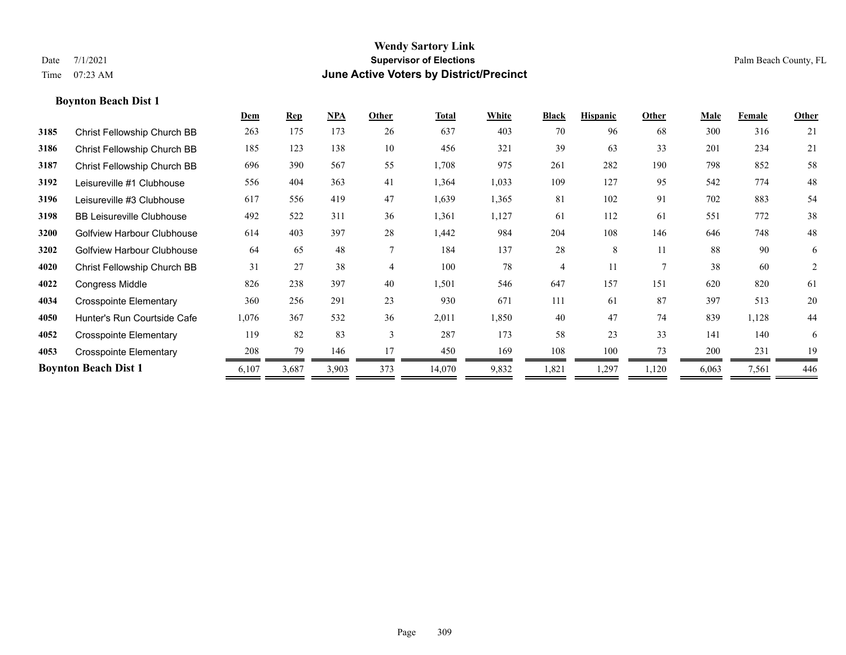|      |                                   | Dem   | <b>Rep</b> | NPA   | Other          | <b>Total</b> | White | <b>Black</b> | <b>Hispanic</b> | Other          | Male  | Female | Other          |
|------|-----------------------------------|-------|------------|-------|----------------|--------------|-------|--------------|-----------------|----------------|-------|--------|----------------|
| 3185 | Christ Fellowship Church BB       | 263   | 175        | 173   | 26             | 637          | 403   | 70           | 96              | 68             | 300   | 316    | 21             |
| 3186 | Christ Fellowship Church BB       | 185   | 123        | 138   | 10             | 456          | 321   | 39           | 63              | 33             | 201   | 234    | 21             |
| 3187 | Christ Fellowship Church BB       | 696   | 390        | 567   | 55             | 1,708        | 975   | 261          | 282             | 190            | 798   | 852    | 58             |
| 3192 | Leisureville #1 Clubhouse         | 556   | 404        | 363   | 41             | 1,364        | 1,033 | 109          | 127             | 95             | 542   | 774    | 48             |
| 3196 | Leisureville #3 Clubhouse         | 617   | 556        | 419   | 47             | 1,639        | 1,365 | 81           | 102             | 91             | 702   | 883    | 54             |
| 3198 | <b>BB Leisureville Clubhouse</b>  | 492   | 522        | 311   | 36             | 1,361        | 1,127 | 61           | 112             | 61             | 551   | 772    | 38             |
| 3200 | Golfview Harbour Clubhouse        | 614   | 403        | 397   | 28             | 1,442        | 984   | 204          | 108             | 146            | 646   | 748    | 48             |
| 3202 | <b>Golfview Harbour Clubhouse</b> | 64    | 65         | 48    | $\overline{7}$ | 184          | 137   | 28           | 8               | 11             | 88    | 90     | 6              |
| 4020 | Christ Fellowship Church BB       | 31    | 27         | 38    | $\overline{4}$ | 100          | 78    | 4            | 11              | $\overline{7}$ | 38    | 60     | $\overline{2}$ |
| 4022 | <b>Congress Middle</b>            | 826   | 238        | 397   | 40             | 1,501        | 546   | 647          | 157             | 151            | 620   | 820    | 61             |
| 4034 | <b>Crosspointe Elementary</b>     | 360   | 256        | 291   | 23             | 930          | 671   | 111          | 61              | 87             | 397   | 513    | 20             |
| 4050 | Hunter's Run Courtside Cafe       | 1,076 | 367        | 532   | 36             | 2,011        | 1,850 | 40           | 47              | 74             | 839   | 1,128  | 44             |
| 4052 | Crosspointe Elementary            | 119   | 82         | 83    | $\overline{3}$ | 287          | 173   | 58           | 23              | 33             | 141   | 140    | 6              |
| 4053 | <b>Crosspointe Elementary</b>     | 208   | 79         | 146   | 17             | 450          | 169   | 108          | 100             | 73             | 200   | 231    | 19             |
|      | <b>Boynton Beach Dist 1</b>       | 6,107 | 3,687      | 3,903 | 373            | 14,070       | 9,832 | 1,821        | 1,297           | 1,120          | 6,063 | 7,561  | 446            |
|      |                                   |       |            |       |                |              |       |              |                 |                |       |        |                |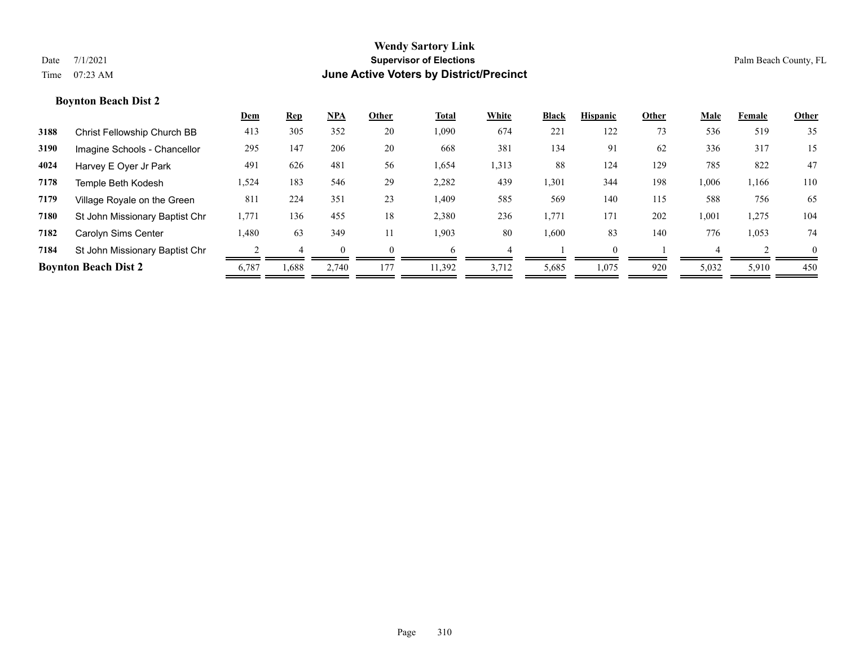|      |                                | <u>Dem</u> | <b>Rep</b> | NPA   | Other    | <b>Total</b> | White | <b>Black</b> | <b>Hispanic</b> | Other | Male  | Female | Other    |
|------|--------------------------------|------------|------------|-------|----------|--------------|-------|--------------|-----------------|-------|-------|--------|----------|
| 3188 | Christ Fellowship Church BB    | 413        | 305        | 352   | 20       | 1,090        | 674   | 221          | 122             | 73    | 536   | 519    | 35       |
| 3190 | Imagine Schools - Chancellor   | 295        | 147        | 206   | 20       | 668          | 381   | 134          | 91              | 62    | 336   | 317    | 15       |
| 4024 | Harvey E Oyer Jr Park          | 491        | 626        | 481   | 56       | 1,654        | 1,313 | 88           | 124             | 129   | 785   | 822    | 47       |
| 7178 | Temple Beth Kodesh             | 1,524      | 183        | 546   | 29       | 2,282        | 439   | 1,301        | 344             | 198   | 1,006 | 1,166  | 110      |
| 7179 | Village Royale on the Green    | 811        | 224        | 351   | 23       | 1,409        | 585   | 569          | 140             | 115   | 588   | 756    | 65       |
| 7180 | St John Missionary Baptist Chr | 1,771      | 136        | 455   | 18       | 2,380        | 236   | 1,771        | 171             | 202   | 1,001 | 1,275  | 104      |
| 7182 | Carolyn Sims Center            | 1.480      | 63         | 349   | 11       | 1,903        | 80    | 1,600        | 83              | 140   | 776   | 1,053  | 74       |
| 7184 | St John Missionary Baptist Chr |            |            |       | $\Omega$ | 6            |       |              |                 |       |       |        | $\theta$ |
|      | <b>Boynton Beach Dist 2</b>    | 6,787      | 1,688      | 2,740 | 177      | 11,392       | 3,712 | 5,685        | 1,075           | 920   | 5,032 | 5,910  | 450      |
|      |                                |            |            |       |          |              |       |              |                 |       |       |        |          |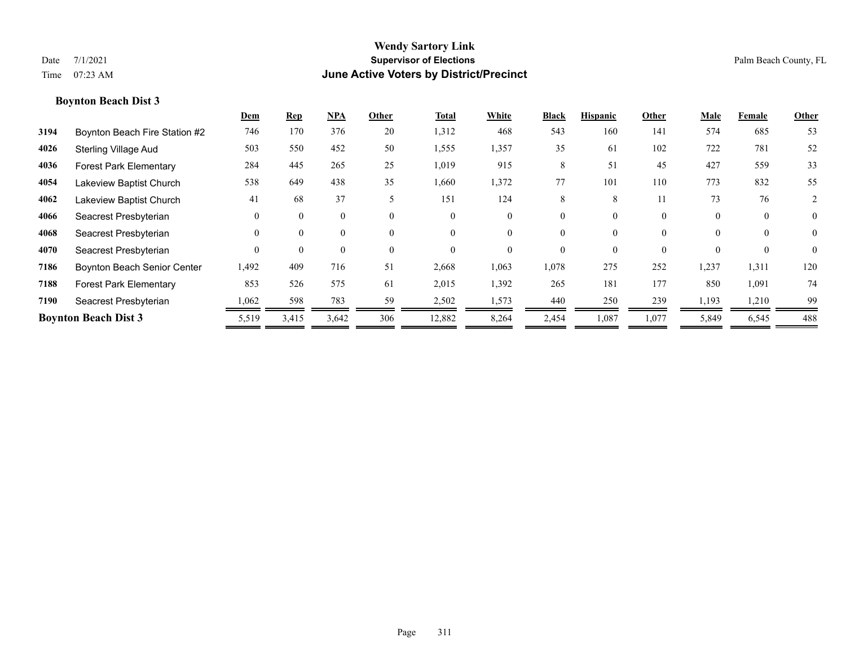|      |                               | Dem      | <b>Rep</b> | $NPA$    | Other    | Total    | White    | <b>Black</b> | <b>Hispanic</b> | Other    | Male     | Female   | Other          |
|------|-------------------------------|----------|------------|----------|----------|----------|----------|--------------|-----------------|----------|----------|----------|----------------|
| 3194 | Boynton Beach Fire Station #2 | 746      | 170        | 376      | 20       | 1,312    | 468      | 543          | 160             | 141      | 574      | 685      | 53             |
| 4026 | <b>Sterling Village Aud</b>   | 503      | 550        | 452      | 50       | 1,555    | 1,357    | 35           | 61              | 102      | 722      | 781      | 52             |
| 4036 | <b>Forest Park Elementary</b> | 284      | 445        | 265      | 25       | 1,019    | 915      | 8            | 51              | 45       | 427      | 559      | 33             |
| 4054 | Lakeview Baptist Church       | 538      | 649        | 438      | 35       | 1,660    | 1,372    | 77           | 101             | 110      | 773      | 832      | 55             |
| 4062 | Lakeview Baptist Church       | 41       | 68         | 37       | 5        | 151      | 124      | 8            | 8               | 11       | 73       | 76       | 2              |
| 4066 | Seacrest Presbyterian         | $\theta$ | $\theta$   | 0        | $\theta$ | $\theta$ | $\Omega$ | $\theta$     | $\theta$        | $\theta$ | $\theta$ | $\theta$ | $\overline{0}$ |
| 4068 | Seacrest Presbyterian         | $\theta$ | $\theta$   | 0        | $\theta$ | $\theta$ |          | $\theta$     | $\theta$        | $\theta$ | $\theta$ | $\theta$ | $\overline{0}$ |
| 4070 | Seacrest Presbyterian         | $\theta$ | $\theta$   | $\Omega$ | $\theta$ | $\theta$ |          | $\Omega$     | $\Omega$        | $\theta$ | $\Omega$ | $\Omega$ | $\theta$       |
| 7186 | Boynton Beach Senior Center   | 1,492    | 409        | 716      | 51       | 2,668    | 1,063    | 1,078        | 275             | 252      | 1,237    | 1,311    | 120            |
| 7188 | <b>Forest Park Elementary</b> | 853      | 526        | 575      | 61       | 2,015    | 1,392    | 265          | 181             | 177      | 850      | 1,091    | 74             |
| 7190 | Seacrest Presbyterian         | 1,062    | 598        | 783      | 59       | 2,502    | 1,573    | 440          | 250             | 239      | 1,193    | 1,210    | 99             |
|      | <b>Boynton Beach Dist 3</b>   | 5,519    | 3,415      | 3,642    | 306      | 12,882   | 8,264    | 2,454        | 1,087           | 1,077    | 5,849    | 6,545    | 488            |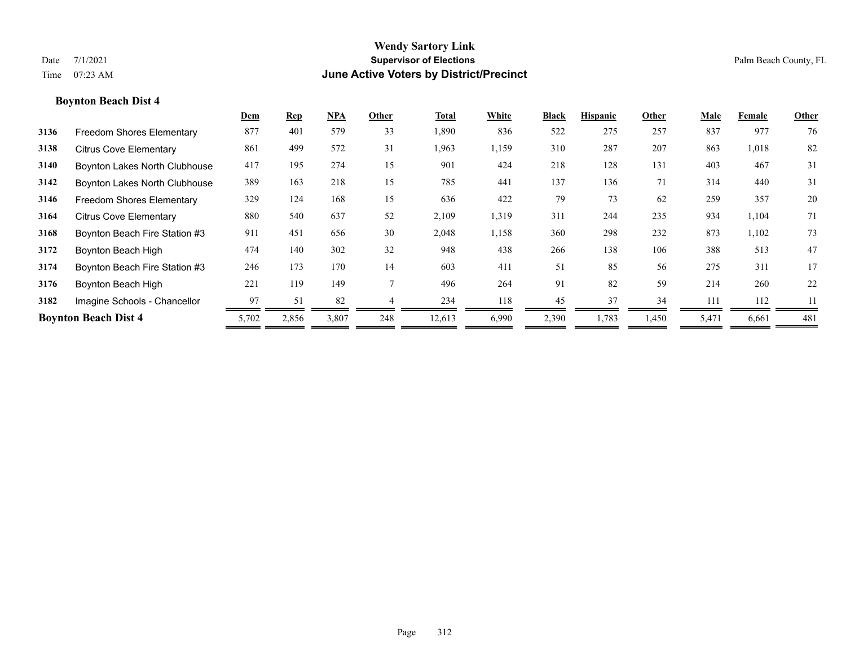|      |                                  | Dem   | <u>Rep</u> | <u>NPA</u> | Other | Total  | White | <b>Black</b> | <b>Hispanic</b> | Other | Male  | Female | Other |
|------|----------------------------------|-------|------------|------------|-------|--------|-------|--------------|-----------------|-------|-------|--------|-------|
| 3136 | <b>Freedom Shores Elementary</b> | 877   | 401        | 579        | 33    | 1,890  | 836   | 522          | 275             | 257   | 837   | 977    | 76    |
| 3138 | <b>Citrus Cove Elementary</b>    | 861   | 499        | 572        | 31    | 1,963  | 1,159 | 310          | 287             | 207   | 863   | 1,018  | 82    |
| 3140 | Boynton Lakes North Clubhouse    | 417   | 195        | 274        | 15    | 901    | 424   | 218          | 128             | 131   | 403   | 467    | 31    |
| 3142 | Boynton Lakes North Clubhouse    | 389   | 163        | 218        | 15    | 785    | 441   | 137          | 136             | 71    | 314   | 440    | 31    |
| 3146 | Freedom Shores Elementary        | 329   | 124        | 168        | 15    | 636    | 422   | 79           | 73              | 62    | 259   | 357    | 20    |
| 3164 | <b>Citrus Cove Elementary</b>    | 880   | 540        | 637        | 52    | 2,109  | 1,319 | 311          | 244             | 235   | 934   | 1,104  | 71    |
| 3168 | Boynton Beach Fire Station #3    | 911   | 451        | 656        | 30    | 2,048  | 1,158 | 360          | 298             | 232   | 873   | 1,102  | 73    |
| 3172 | Boynton Beach High               | 474   | 140        | 302        | 32    | 948    | 438   | 266          | 138             | 106   | 388   | 513    | 47    |
| 3174 | Boynton Beach Fire Station #3    | 246   | 173        | 170        | 14    | 603    | 411   | 51           | 85              | 56    | 275   | 311    | 17    |
| 3176 | Boynton Beach High               | 221   | 119        | 149        |       | 496    | 264   | 91           | 82              | 59    | 214   | 260    | 22    |
| 3182 | Imagine Schools - Chancellor     | 97    | 51         | 82         |       | 234    | 118   | 45           | 37              | 34    | 111   | 112    | 11    |
|      | <b>Boynton Beach Dist 4</b>      | 5,702 | 2,856      | 3,807      | 248   | 12,613 | 6,990 | 2,390        | 1,783           | 1,450 | 5,471 | 6,661  | 481   |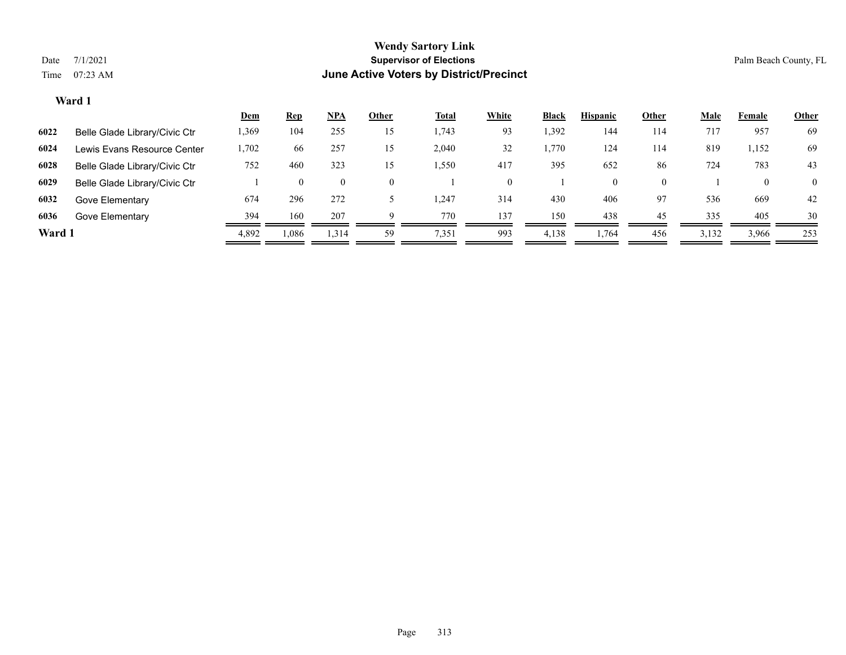|        |                               | Dem   | <u>Rep</u> | <u>NPA</u> | Other    | <u>Total</u> | <b>White</b>       | <b>Black</b> | <b>Hispanic</b> | <b>Other</b> | <u>Male</u> | Female   | <b>Other</b> |
|--------|-------------------------------|-------|------------|------------|----------|--------------|--------------------|--------------|-----------------|--------------|-------------|----------|--------------|
| 6022   | Belle Glade Library/Civic Ctr | 1,369 | 104        | 255        | 15       | . 743        | 93                 | 1,392        | 144             | 114          | 717         | 957      | 69           |
| 6024   | Lewis Evans Resource Center   | 1,702 | 66         | 257        | 15       | 2,040        | 32                 | 1,770        | 124             | 114          | 819         | 1,152    | 69           |
| 6028   | Belle Glade Library/Civic Ctr | 752   | 460        | 323        | 15       | .550         | 417                | 395          | 652             | 86           | 724         | 783      | 43           |
| 6029   | Belle Glade Library/Civic Ctr |       |            |            | $\theta$ |              | $\left( 0 \right)$ |              |                 |              |             | $\theta$ | $\Omega$     |
| 6032   | Gove Elementary               | 674   | 296        | 272        |          | .247         | 314                | 430          | 406             | 97           | 536         | 669      | 42           |
| 6036   | Gove Elementary               | 394   | 160        | 207        | Q        | 770          | 137                | 150          | 438             | 45           | 335         | 405      | 30           |
| Ward 1 |                               | 4,892 | .086       | 1,314      | 59       | 7,351        | 993                | 4,138        | 1,764           | 456          | 3,132       | 3,966    | 253          |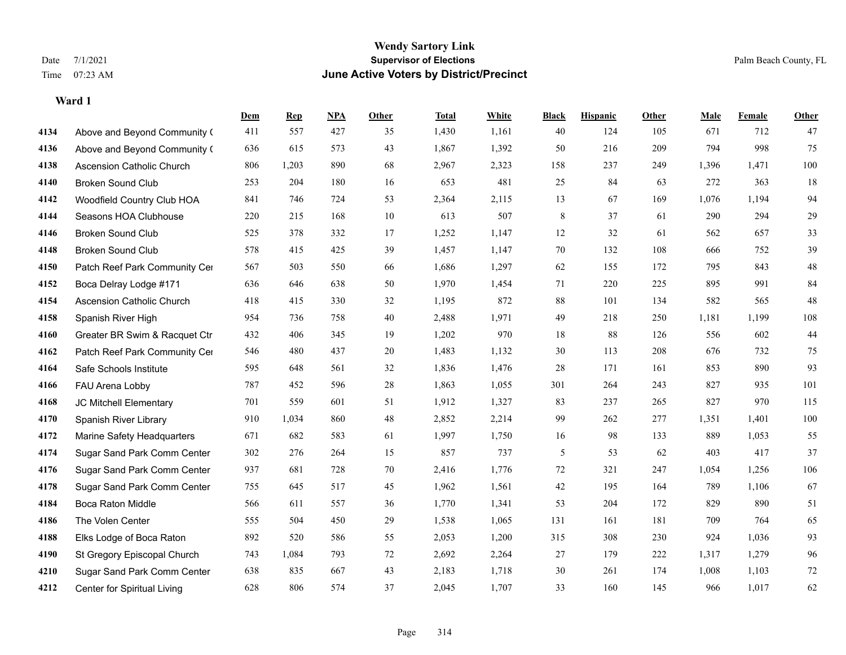|      |                                  | Dem | <b>Rep</b> | NPA | <b>Other</b> | <b>Total</b> | <b>White</b> | <b>Black</b> | <b>Hispanic</b> | Other | <b>Male</b> | <b>Female</b> | <b>Other</b> |
|------|----------------------------------|-----|------------|-----|--------------|--------------|--------------|--------------|-----------------|-------|-------------|---------------|--------------|
| 4134 | Above and Beyond Community (     | 411 | 557        | 427 | 35           | 1,430        | 1,161        | 40           | 124             | 105   | 671         | 712           | 47           |
| 4136 | Above and Beyond Community (     | 636 | 615        | 573 | 43           | 1,867        | 1,392        | 50           | 216             | 209   | 794         | 998           | 75           |
| 4138 | <b>Ascension Catholic Church</b> | 806 | 1,203      | 890 | 68           | 2,967        | 2,323        | 158          | 237             | 249   | 1,396       | 1,471         | $100\,$      |
| 4140 | <b>Broken Sound Club</b>         | 253 | 204        | 180 | 16           | 653          | 481          | 25           | 84              | 63    | 272         | 363           | 18           |
| 4142 | Woodfield Country Club HOA       | 841 | 746        | 724 | 53           | 2,364        | 2,115        | 13           | 67              | 169   | 1,076       | 1,194         | 94           |
| 4144 | Seasons HOA Clubhouse            | 220 | 215        | 168 | 10           | 613          | 507          | $\,8\,$      | 37              | 61    | 290         | 294           | 29           |
| 4146 | <b>Broken Sound Club</b>         | 525 | 378        | 332 | 17           | 1,252        | 1,147        | 12           | 32              | 61    | 562         | 657           | 33           |
| 4148 | <b>Broken Sound Club</b>         | 578 | 415        | 425 | 39           | 1,457        | 1,147        | 70           | 132             | 108   | 666         | 752           | 39           |
| 4150 | Patch Reef Park Community Cer    | 567 | 503        | 550 | 66           | 1,686        | 1,297        | 62           | 155             | 172   | 795         | 843           | $48\,$       |
| 4152 | Boca Delray Lodge #171           | 636 | 646        | 638 | 50           | 1,970        | 1,454        | 71           | 220             | 225   | 895         | 991           | 84           |
| 4154 | Ascension Catholic Church        | 418 | 415        | 330 | 32           | 1,195        | 872          | 88           | 101             | 134   | 582         | 565           | 48           |
| 4158 | Spanish River High               | 954 | 736        | 758 | 40           | 2,488        | 1,971        | 49           | 218             | 250   | 1,181       | 1,199         | 108          |
| 4160 | Greater BR Swim & Racquet Ctr    | 432 | 406        | 345 | 19           | 1,202        | 970          | 18           | 88              | 126   | 556         | 602           | $44\,$       |
| 4162 | Patch Reef Park Community Cer    | 546 | 480        | 437 | 20           | 1,483        | 1,132        | 30           | 113             | 208   | 676         | 732           | 75           |
| 4164 | Safe Schools Institute           | 595 | 648        | 561 | 32           | 1,836        | 1,476        | 28           | 171             | 161   | 853         | 890           | 93           |
| 4166 | FAU Arena Lobby                  | 787 | 452        | 596 | $28\,$       | 1,863        | 1,055        | 301          | 264             | 243   | 827         | 935           | 101          |
| 4168 | JC Mitchell Elementary           | 701 | 559        | 601 | 51           | 1,912        | 1,327        | 83           | 237             | 265   | 827         | 970           | 115          |
| 4170 | Spanish River Library            | 910 | 1,034      | 860 | 48           | 2,852        | 2,214        | 99           | 262             | 277   | 1,351       | 1.401         | $100\,$      |
| 4172 | Marine Safety Headquarters       | 671 | 682        | 583 | 61           | 1,997        | 1,750        | 16           | 98              | 133   | 889         | 1,053         | 55           |
| 4174 | Sugar Sand Park Comm Center      | 302 | 276        | 264 | 15           | 857          | 737          | 5            | 53              | 62    | 403         | 417           | 37           |
| 4176 | Sugar Sand Park Comm Center      | 937 | 681        | 728 | 70           | 2,416        | 1,776        | 72           | 321             | 247   | 1,054       | 1,256         | 106          |
| 4178 | Sugar Sand Park Comm Center      | 755 | 645        | 517 | 45           | 1,962        | 1,561        | $42\,$       | 195             | 164   | 789         | 1,106         | 67           |
| 4184 | Boca Raton Middle                | 566 | 611        | 557 | 36           | 1,770        | 1,341        | 53           | 204             | 172   | 829         | 890           | 51           |
| 4186 | The Volen Center                 | 555 | 504        | 450 | 29           | 1,538        | 1,065        | 131          | 161             | 181   | 709         | 764           | 65           |
| 4188 | Elks Lodge of Boca Raton         | 892 | 520        | 586 | 55           | 2,053        | 1,200        | 315          | 308             | 230   | 924         | 1,036         | 93           |
| 4190 | St Gregory Episcopal Church      | 743 | 1,084      | 793 | 72           | 2,692        | 2,264        | 27           | 179             | 222   | 1,317       | 1,279         | 96           |
| 4210 | Sugar Sand Park Comm Center      | 638 | 835        | 667 | 43           | 2,183        | 1,718        | 30           | 261             | 174   | 1,008       | 1,103         | $72\,$       |
| 4212 | Center for Spiritual Living      | 628 | 806        | 574 | 37           | 2,045        | 1,707        | 33           | 160             | 145   | 966         | 1,017         | 62           |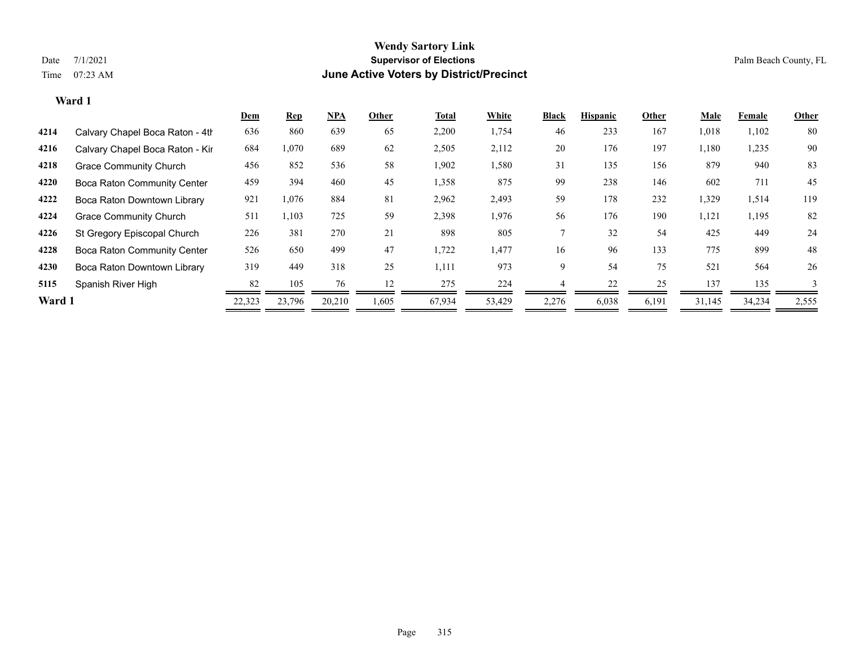|        |                                    | <b>Dem</b> | <b>Rep</b> | <u>NPA</u> | Other | Total  | White  | <b>Black</b> | <b>Hispanic</b> | Other | Male   | Female | Other |
|--------|------------------------------------|------------|------------|------------|-------|--------|--------|--------------|-----------------|-------|--------|--------|-------|
| 4214   | Calvary Chapel Boca Raton - 4th    | 636        | 860        | 639        | 65    | 2,200  | 1,754  | 46           | 233             | 167   | 1,018  | 1,102  | 80    |
| 4216   | Calvary Chapel Boca Raton - Kir    | 684        | 1,070      | 689        | 62    | 2,505  | 2,112  | 20           | 176             | 197   | 1,180  | 1,235  | 90    |
| 4218   | <b>Grace Community Church</b>      | 456        | 852        | 536        | 58    | 1,902  | 1,580  | 31           | 135             | 156   | 879    | 940    | 83    |
| 4220   | <b>Boca Raton Community Center</b> | 459        | 394        | 460        | 45    | 1,358  | 875    | 99           | 238             | 146   | 602    | 711    | 45    |
| 4222   | Boca Raton Downtown Library        | 921        | 1,076      | 884        | 81    | 2,962  | 2,493  | 59           | 178             | 232   | 1,329  | 1,514  | 119   |
| 4224   | <b>Grace Community Church</b>      | 511        | 1,103      | 725        | 59    | 2,398  | 1,976  | 56           | 176             | 190   | 1,121  | 1,195  | 82    |
| 4226   | St Gregory Episcopal Church        | 226        | 381        | 270        | 21    | 898    | 805    |              | 32              | 54    | 425    | 449    | 24    |
| 4228   | <b>Boca Raton Community Center</b> | 526        | 650        | 499        | 47    | 1,722  | 1,477  | 16           | 96              | 133   | 775    | 899    | 48    |
| 4230   | Boca Raton Downtown Library        | 319        | 449        | 318        | 25    | 1,111  | 973    | 9            | 54              | 75    | 521    | 564    | 26    |
| 5115   | Spanish River High                 | 82         | 105        | 76         | 12    | 275    | 224    |              | 22              | 25    | 137    | 135    |       |
| Ward 1 |                                    | 22,323     | 23,796     | 20,210     | 1,605 | 67,934 | 53,429 | 2,276        | 6,038           | 6,191 | 31,145 | 34,234 | 2,555 |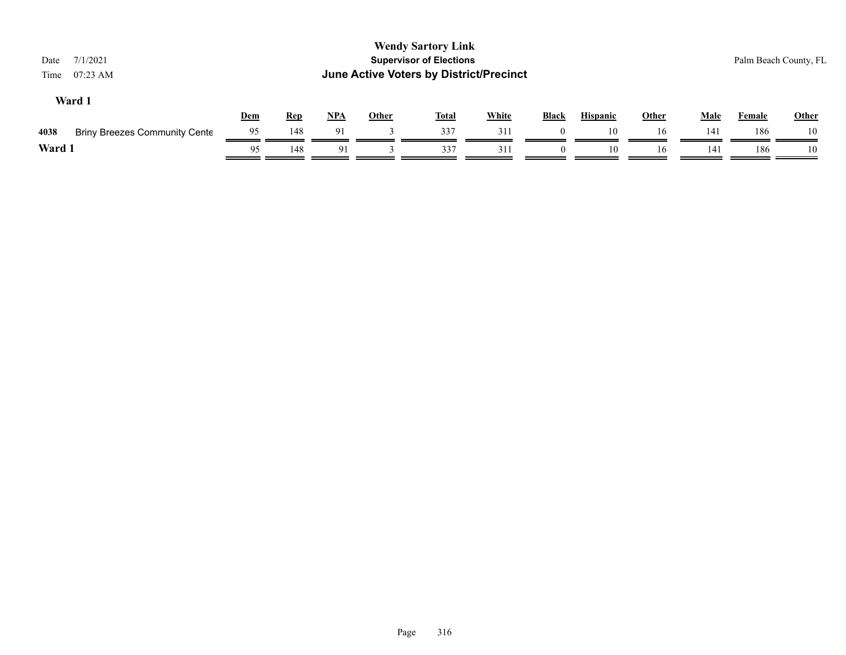| 7/1/2021<br>Date<br>07:23 AM<br>Time         |            |            |            |              | <b>Wendy Sartory Link</b><br><b>Supervisor of Elections</b><br>June Active Voters by District/Precinct |              |          |                 |              |             | Palm Beach County, FL |              |
|----------------------------------------------|------------|------------|------------|--------------|--------------------------------------------------------------------------------------------------------|--------------|----------|-----------------|--------------|-------------|-----------------------|--------------|
| Ward 1                                       | <b>Dem</b> | <b>Rep</b> | <u>NPA</u> | <b>Other</b> | <b>Total</b>                                                                                           | <b>White</b> | Black    | <b>Hispanic</b> | <b>Other</b> | <b>Male</b> | Female                | <b>Other</b> |
| 4038<br><b>Briny Breezes Community Cente</b> | 95         | 148        | 91         |              | 337                                                                                                    | 311          |          | 10              | 16           | 141         | 186                   | 10           |
| Ward 1                                       | 95         | 148        | 91         |              | 337                                                                                                    | 311          | $\theta$ | 10              | 16           | 141         | 186                   | 10           |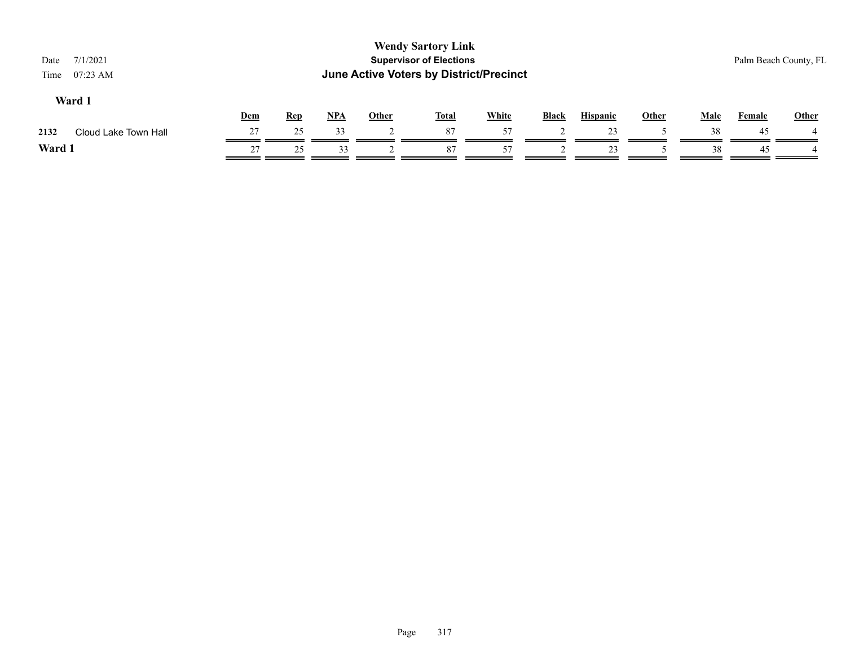| 7/1/2021<br>Date<br>07:23 AM<br>Time |     |            |            |              | <b>Wendy Sartory Link</b><br><b>Supervisor of Elections</b><br><b>June Active Voters by District/Precinct</b> |              |              |                 |              |             |               | Palm Beach County, FL |
|--------------------------------------|-----|------------|------------|--------------|---------------------------------------------------------------------------------------------------------------|--------------|--------------|-----------------|--------------|-------------|---------------|-----------------------|
| Ward 1                               | Dem | <b>Rep</b> | <u>NPA</u> | <b>Other</b> | <u>Total</u>                                                                                                  | <b>White</b> | <b>Black</b> | <b>Hispanic</b> | <b>Other</b> | <b>Male</b> | <b>Female</b> | <b>Other</b>          |
| Cloud Lake Town Hall<br>2132         | 27  | 25         | 33         |              | 87                                                                                                            | 57           |              | 23              |              | 38          | 45            |                       |
| Ward 1                               | 27  | 25         | 33         |              | 87                                                                                                            | 57           |              | 23              |              | 38          | 45            |                       |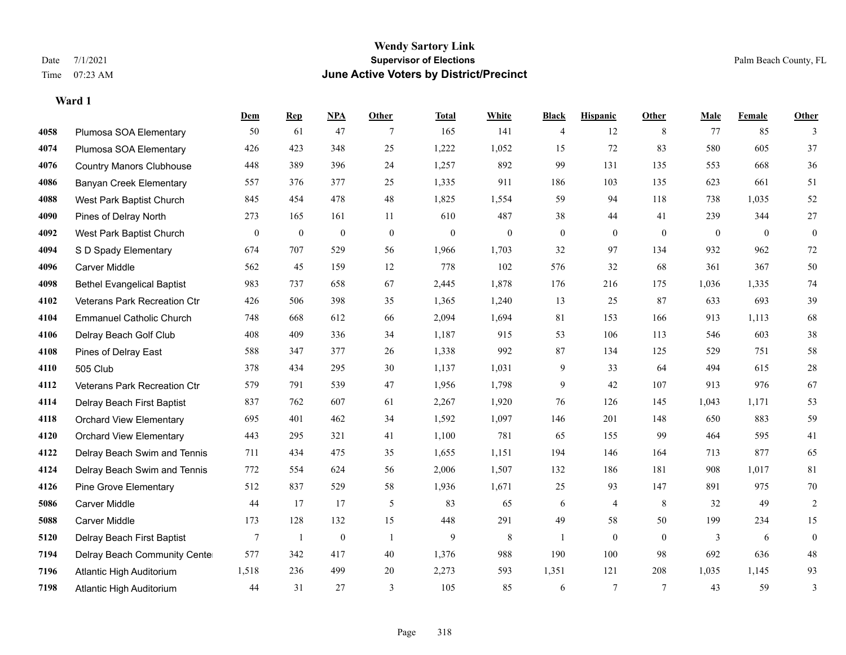**Ward 1**

## **Wendy Sartory Link** Date 7/1/2021 **Supervisor of Elections** Palm Beach County, FL Time 07:23 AM **June Active Voters by District/Precinct**

# **Dem Rep NPA Other Total White Black Hispanic Other Male Female Other** Plumosa SOA Elementary 50 61 47 7 165 141 4 12 8 77 85 3 Plumosa SOA Elementary 426 423 348 25 1,222 1,052 15 72 83 580 605 37 Country Manors Clubhouse 448 389 396 24 1,257 892 99 131 135 553 668 36 Banyan Creek Elementary 557 376 377 25 1,335 911 186 103 135 623 661 51 West Park Baptist Church 845 454 478 48 1,825 1,554 59 94 118 738 1,035 52 Pines of Delray North 273 165 161 11 610 487 38 44 41 239 344 27 West Park Baptist Church 0 0 0 0 0 0 0 0 0 0 0 0 S D Spady Elementary 674 707 529 56 1,966 1,703 32 97 134 932 962 72 Carver Middle 562 45 159 12 778 102 576 32 68 361 367 50 Bethel Evangelical Baptist 983 737 658 67 2,445 1,878 176 216 175 1,036 1,335 74 Veterans Park Recreation Ctr 426 506 398 35 1,365 1,240 13 25 87 633 693 39 Emmanuel Catholic Church 748 668 612 66 2,094 1,694 81 153 166 913 1,113 68 Delray Beach Golf Club 408 409 336 34 1,187 915 53 106 113 546 603 38 Pines of Delray East 588 347 377 26 1,338 992 87 134 125 529 751 58 505 Club 378 434 295 30 1,137 1,031 9 33 64 494 615 28 Veterans Park Recreation Ctr 579 791 539 47 1,956 1,798 9 42 107 913 976 67 Delray Beach First Baptist 837 762 607 61 2,267 1,920 76 126 145 1,043 1,171 53 Orchard View Elementary 695 401 462 34 1,592 1,097 146 201 148 650 883 59 Orchard View Elementary 443 295 321 41 1,100 781 65 155 99 464 595 41 Delray Beach Swim and Tennis 711 434 475 35 1,655 1,151 194 146 164 713 877 65 Delray Beach Swim and Tennis 772 554 624 56 2,006 1,507 132 186 181 908 1,017 81 Pine Grove Elementary 512 837 529 58 1,936 1,671 25 93 147 891 975 70 Carver Middle 44 17 17 5 83 65 6 4 8 32 49 2 Carver Middle 173 128 132 15 448 291 49 58 50 199 234 15 Delray Beach First Baptist 7 1 0 1 9 8 1 0 0 3 6 0 Delray Beach Community Center 577 342 417 40 1,376 988 190 100 98 692 636 48 Atlantic High Auditorium 1,518 236 499 20 2,273 593 1,351 121 208 1,035 1,145 93 Atlantic High Auditorium 44 31 27 3 105 85 6 7 7 43 59 3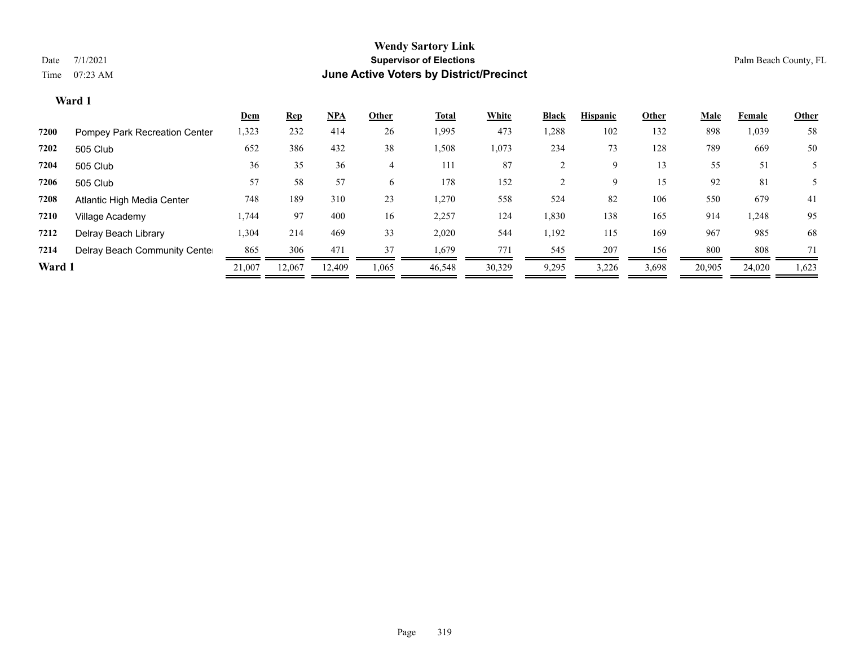|        |                               | <u>Dem</u> | <b>Rep</b> | <u>NPA</u>      | Other          | <b>Total</b> | White  | <b>Black</b> | <b>Hispanic</b> | Other | <u>Male</u> | Female | <b>Other</b> |
|--------|-------------------------------|------------|------------|-----------------|----------------|--------------|--------|--------------|-----------------|-------|-------------|--------|--------------|
| 7200   | Pompey Park Recreation Center | 1,323      | 232        | 414             | 26             | 1,995        | 473    | 1,288        | 102             | 132   | 898         | 1,039  | 58           |
| 7202   | 505 Club                      | 652        | 386        | 432             | 38             | 1,508        | 1,073  | 234          | 73              | 128   | 789         | 669    | 50           |
| 7204   | 505 Club                      | 36         | 35         | 36              | $\overline{4}$ | 111          | 87     |              | 9               | 13    | 55          | 51     |              |
| 7206   | 505 Club                      | 57         | 58         | 57              | 6              | 178          | 152    |              | 9               | 15    | 92          | 81     |              |
| 7208   | Atlantic High Media Center    | 748        | 189        | 310             | 23             | 1,270        | 558    | 524          | 82              | 106   | 550         | 679    | 41           |
| 7210   | Village Academy               | 1,744      | 97         | 400             | 16             | 2,257        | 124    | 1,830        | 138             | 165   | 914         | 1,248  | 95           |
| 7212   | Delray Beach Library          | 1,304      | 214        | 469             | 33             | 2,020        | 544    | 1,192        | 115             | 169   | 967         | 985    | 68           |
| 7214   | Delray Beach Community Cente  | 865        | 306        | 47 <sup>2</sup> | 37             | 1,679        | 771    | 545          | 207             | 156   | 800         | 808    | 71           |
| Ward 1 |                               | 21,007     | 12,067     | 12.409          | 1,065          | 46,548       | 30,329 | 9,295        | 3,226           | 3,698 | 20,905      | 24,020 | 1,623        |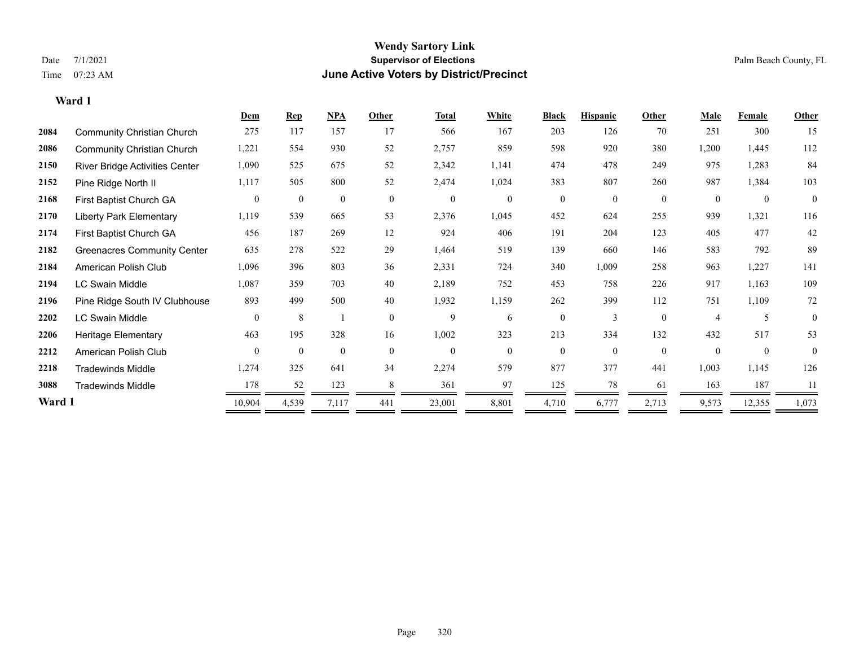**Ward 1**

## **Wendy Sartory Link** Date 7/1/2021 **Supervisor of Elections** Palm Beach County, FL Time 07:23 AM **June Active Voters by District/Precinct**

|        |                                    | <b>Dem</b>     | <b>Rep</b>     | NPA            | Other        | <b>Total</b>     | White          | <b>Black</b>     | <b>Hispanic</b> | Other          | <b>Male</b>  | <b>Female</b> | <b>Other</b>   |
|--------|------------------------------------|----------------|----------------|----------------|--------------|------------------|----------------|------------------|-----------------|----------------|--------------|---------------|----------------|
| 2084   | <b>Community Christian Church</b>  | 275            | 117            | 157            | 17           | 566              | 167            | 203              | 126             | 70             | 251          | 300           | 15             |
| 2086   | <b>Community Christian Church</b>  | 1,221          | 554            | 930            | 52           | 2,757            | 859            | 598              | 920             | 380            | 1,200        | 1,445         | 112            |
| 2150   | River Bridge Activities Center     | 1,090          | 525            | 675            | 52           | 2,342            | 1,141          | 474              | 478             | 249            | 975          | 1,283         | 84             |
| 2152   | Pine Ridge North II                | 1,117          | 505            | 800            | 52           | 2,474            | 1,024          | 383              | 807             | 260            | 987          | 1,384         | 103            |
| 2168   | First Baptist Church GA            | $\overline{0}$ | $\overline{0}$ | $\overline{0}$ | $\mathbf{0}$ | $\boldsymbol{0}$ | $\overline{0}$ | $\boldsymbol{0}$ | $\mathbf{0}$    | $\overline{0}$ | $\mathbf{0}$ | $\mathbf{0}$  | $\mathbf{0}$   |
| 2170   | <b>Liberty Park Elementary</b>     | 1,119          | 539            | 665            | 53           | 2,376            | 1,045          | 452              | 624             | 255            | 939          | 1,321         | 116            |
| 2174   | First Baptist Church GA            | 456            | 187            | 269            | 12           | 924              | 406            | 191              | 204             | 123            | 405          | 477           | 42             |
| 2182   | <b>Greenacres Community Center</b> | 635            | 278            | 522            | 29           | 1,464            | 519            | 139              | 660             | 146            | 583          | 792           | 89             |
| 2184   | American Polish Club               | 1,096          | 396            | 803            | 36           | 2,331            | 724            | 340              | 1,009           | 258            | 963          | 1,227         | 141            |
| 2194   | <b>LC Swain Middle</b>             | 1,087          | 359            | 703            | 40           | 2,189            | 752            | 453              | 758             | 226            | 917          | 1,163         | 109            |
| 2196   | Pine Ridge South IV Clubhouse      | 893            | 499            | 500            | 40           | 1,932            | 1,159          | 262              | 399             | 112            | 751          | 1,109         | 72             |
| 2202   | <b>LC Swain Middle</b>             | $\mathbf{0}$   | 8              |                | $\mathbf{0}$ | 9                | 6              | $\overline{0}$   | 3               | $\theta$       |              | 5             | $\mathbf{0}$   |
| 2206   | <b>Heritage Elementary</b>         | 463            | 195            | 328            | 16           | 1,002            | 323            | 213              | 334             | 132            | 432          | 517           | 53             |
| 2212   | American Polish Club               | $\overline{0}$ | $\mathbf{0}$   | $\overline{0}$ | $\theta$     | $\overline{0}$   | $\theta$       | $\overline{0}$   | $\mathbf{0}$    | $\theta$       |              | $\mathbf{0}$  | $\overline{0}$ |
| 2218   | <b>Tradewinds Middle</b>           | 1,274          | 325            | 641            | 34           | 2,274            | 579            | 877              | 377             | 441            | 1,003        | 1,145         | 126            |
| 3088   | <b>Tradewinds Middle</b>           | 178            | 52             | 123            | 8            | 361              | 97             | 125              | 78              | 61             | 163          | 187           | 11             |
| Ward 1 |                                    | 10,904         | 4,539          | 7,117          | 441          | 23,001           | 8,801          | 4,710            | 6,777           | 2,713          | 9,573        | 12,355        | 1,073          |
|        |                                    |                |                |                |              |                  |                |                  |                 |                |              |               |                |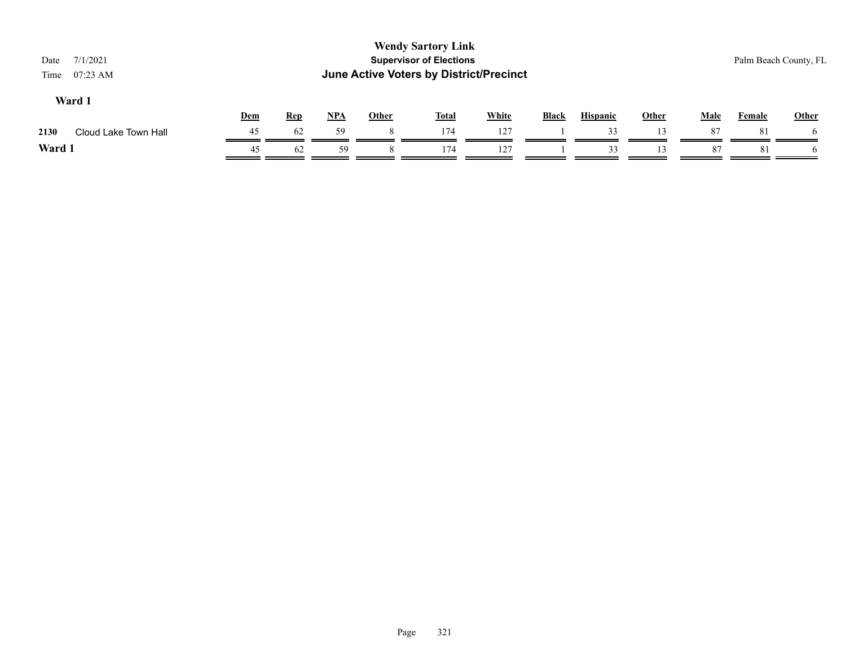| 7/1/2021<br>Date<br>$07:23$ AM<br>Time |     | <b>Wendy Sartory Link</b><br><b>Supervisor of Elections</b><br><b>June Active Voters by District/Precinct</b> |            |              |              |              |       |                 |              |             |               |              |
|----------------------------------------|-----|---------------------------------------------------------------------------------------------------------------|------------|--------------|--------------|--------------|-------|-----------------|--------------|-------------|---------------|--------------|
| Ward 1                                 | Dem | <b>Rep</b>                                                                                                    | <u>NPA</u> | <b>Other</b> | <u>Total</u> | <b>White</b> | Black | <b>Hispanic</b> | <b>Other</b> | <b>Male</b> | <b>Female</b> | <b>Other</b> |
| 2130<br>Cloud Lake Town Hall           | 45  | 62                                                                                                            | 59         |              | 174          | 127          |       | 33              | 13           | 87          | 81            | <sub>t</sub> |
| Ward 1                                 | 45  | 62                                                                                                            | 59         |              | 174          | 127          |       | 33              | 13           | 87          | 81            | <sub>t</sub> |
|                                        |     |                                                                                                               |            |              |              |              |       |                 |              |             |               |              |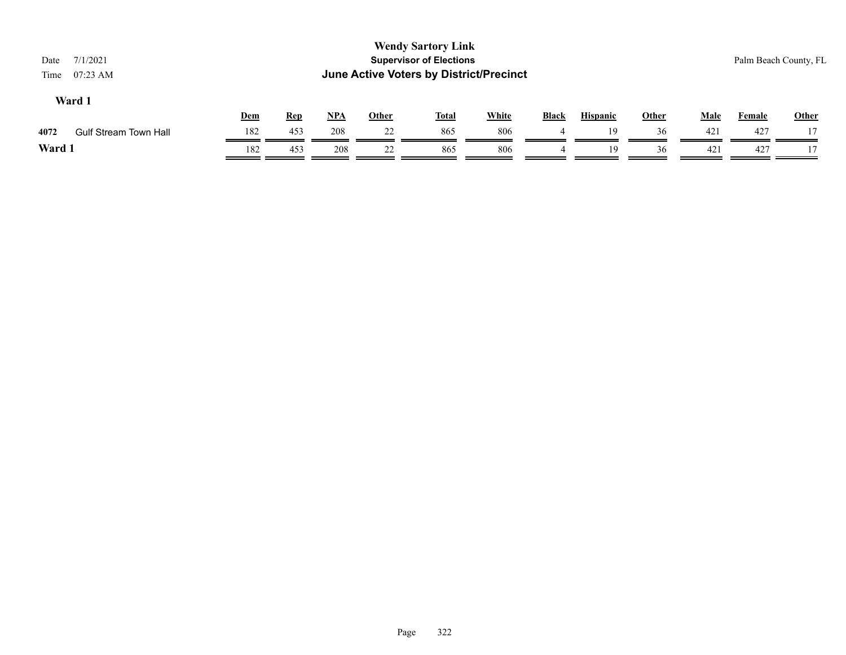| <b>Wendy Sartory Link</b><br><b>Supervisor of Elections</b><br>7/1/2021<br>Date<br>June Active Voters by District/Precinct<br>$07:23$ AM<br>Time |     |            |            |              |              |              |       |                 |              |             |        | Palm Beach County, FL |
|--------------------------------------------------------------------------------------------------------------------------------------------------|-----|------------|------------|--------------|--------------|--------------|-------|-----------------|--------------|-------------|--------|-----------------------|
| Ward 1                                                                                                                                           | Dem | <b>Rep</b> | <u>NPA</u> | <b>Other</b> | <u>Total</u> | <b>White</b> | Black | <b>Hispanic</b> | <b>Other</b> | <b>Male</b> | Female | <b>Other</b>          |
| 4072<br><b>Gulf Stream Town Hall</b>                                                                                                             | 182 | 453        | 208        | 22           | 865          | 806          |       | 19              | 36           | 421         | 427    |                       |
| Ward 1                                                                                                                                           | 182 | 453        | 208        | 22           | 865          | 806          |       | 19              | 36           | 421         | 427    |                       |
|                                                                                                                                                  |     |            |            |              |              |              |       |                 |              |             |        |                       |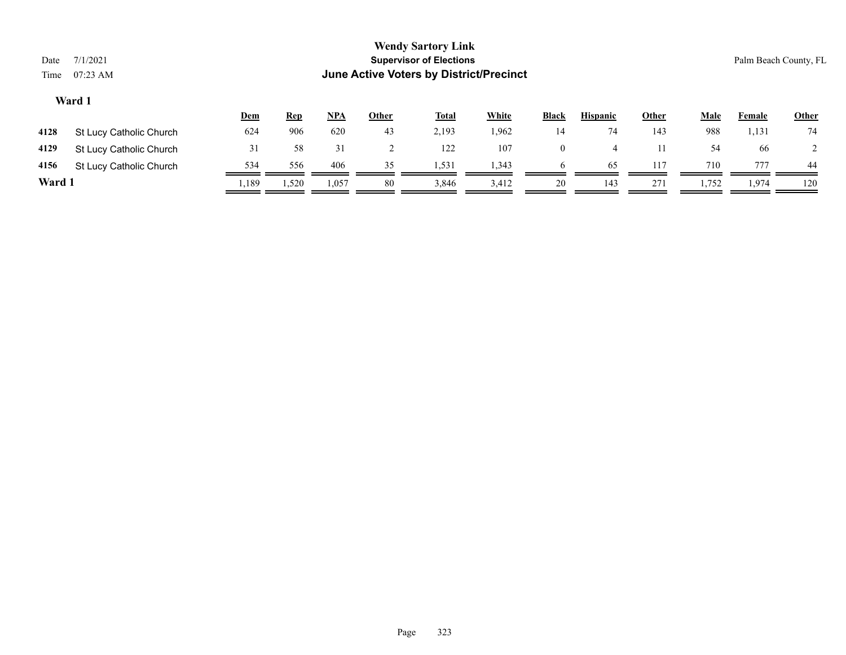| <b>Wendy Sartory Link</b><br><b>Supervisor of Elections</b><br>7/1/2021<br>Date<br>June Active Voters by District/Precinct<br>$07:23$ AM<br>Time |                         |       |            |       |              |              |              |                |                 |              |             |        | Palm Beach County, FL |  |  |
|--------------------------------------------------------------------------------------------------------------------------------------------------|-------------------------|-------|------------|-------|--------------|--------------|--------------|----------------|-----------------|--------------|-------------|--------|-----------------------|--|--|
|                                                                                                                                                  | Ward 1                  | Dem   | <b>Rep</b> | $NPA$ | <b>Other</b> | <b>Total</b> | <b>White</b> | <b>Black</b>   | <b>Hispanic</b> | <b>Other</b> | <b>Male</b> | Female | <b>Other</b>          |  |  |
| 4128                                                                                                                                             | St Lucy Catholic Church | 624   | 906        | 620   | 43           | 2,193        | 1,962        | 14             | 74              | 143          | 988         | 1,131  | 74                    |  |  |
| 4129                                                                                                                                             | St Lucy Catholic Church | 31    | 58         | 31    |              | 122          | 107          | $\overline{0}$ | $\overline{4}$  | 11           | 54          | -66    |                       |  |  |
| 4156                                                                                                                                             | St Lucy Catholic Church | 534   | 556        | 406   | 35           | 1,531        | 1,343        | 6              | 65              | 117          | 710         | 777    | 44                    |  |  |
| Ward 1                                                                                                                                           |                         | 1,189 | 1,520      | 1,057 | 80           | 3,846        | 3,412        | 20             | 143             | 271          | 1,752       | 1,974  | 120                   |  |  |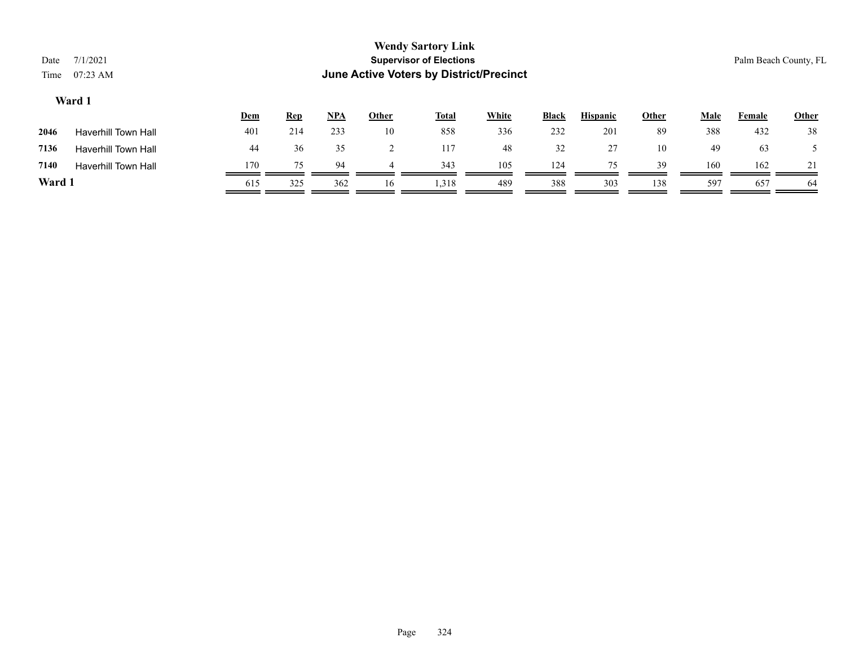| <b>Wendy Sartory Link</b><br><b>Supervisor of Elections</b><br>7/1/2021<br>Date<br>June Active Voters by District/Precinct<br>$07:23$ AM<br>Time |                            |            |            |       |                |              |              |       |                 |              |             |               | Palm Beach County, FL |  |  |
|--------------------------------------------------------------------------------------------------------------------------------------------------|----------------------------|------------|------------|-------|----------------|--------------|--------------|-------|-----------------|--------------|-------------|---------------|-----------------------|--|--|
|                                                                                                                                                  | Ward 1                     |            |            |       |                |              |              |       |                 |              |             |               |                       |  |  |
|                                                                                                                                                  |                            | <b>Dem</b> | <u>Rep</u> | $NPA$ | <b>Other</b>   | <b>Total</b> | <b>White</b> | Black | <b>Hispanic</b> | <b>Other</b> | <u>Male</u> | <b>Female</b> | <b>Other</b>          |  |  |
| 2046                                                                                                                                             | <b>Haverhill Town Hall</b> | 401        | 214        | 233   | 10             | 858          | 336          | 232   | 201             | 89           | 388         | 432           | 38                    |  |  |
| 7136                                                                                                                                             | <b>Haverhill Town Hall</b> | 44         | 36         | 35    | $\overline{2}$ | 117          | 48           | 32    | 27              | 10           | 49          | 63            |                       |  |  |
| 7140                                                                                                                                             | <b>Haverhill Town Hall</b> | 170        | 75         | 94    | 4              | 343          | 105          | 124   | 75              | 39           | 160         | 162           | 21                    |  |  |
| Ward 1                                                                                                                                           |                            | 615        | 325        | 362   | 16             | 1,318        | 489          | 388   | 303             | 138          | 597         | 657           | 64                    |  |  |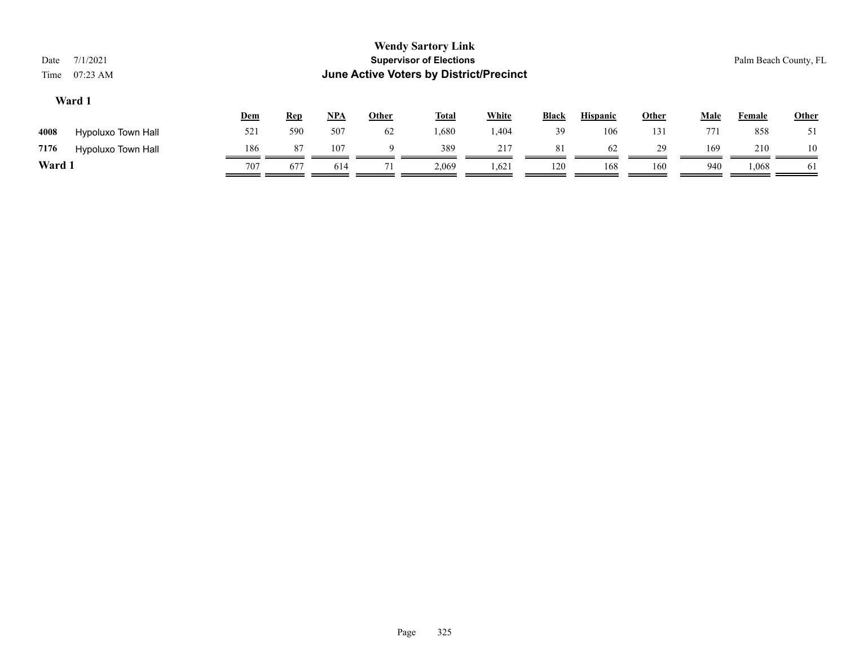|        |                    | <u>Dem</u> | <u>Rep</u> | <u>NPA</u> | Other | <b>Total</b> | <b>White</b> | <b>Black</b> | <b>Hispanic</b> | Other | Male | Female | <u>Other</u> |
|--------|--------------------|------------|------------|------------|-------|--------------|--------------|--------------|-----------------|-------|------|--------|--------------|
| 4008   | Hypoluxo Town Hall | 521        | 590        | 507        | 62    | .680         | .404         | 39           | 106             | 131   | 771  | 858    | 51           |
| 7176   | Hypoluxo Town Hall | 186        | 87         | 107        |       | 389          | 217          | 81           | 62              | 29    | 169  | 210    | 10           |
| Ward 1 |                    | 707        | 677        | 614        |       | 2,069        | 1,621        | 120          | 168             | 160   | 940  | 1.068  | 61           |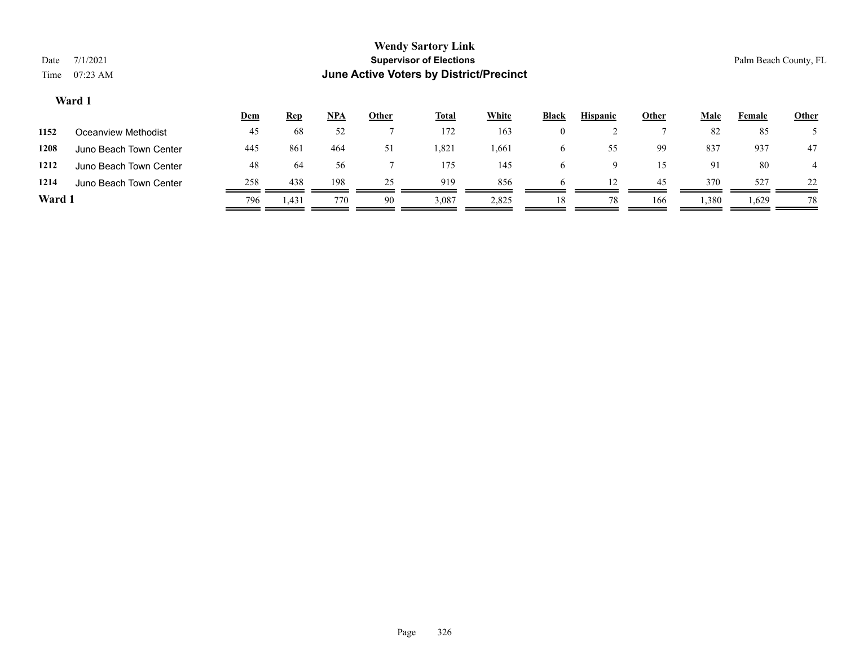|        |                        | <u>Dem</u> | <u>Rep</u> | <u>NPA</u> | <u>Other</u> | <b>Total</b> | <b>White</b> | <b>Black</b> | <b>Hispanic</b> | Other | <u>Male</u> | Female | <b>Other</b> |
|--------|------------------------|------------|------------|------------|--------------|--------------|--------------|--------------|-----------------|-------|-------------|--------|--------------|
| 1152   | Oceanview Methodist    | 45         | 68         | 52         |              | 172          | 163          | $\theta$     |                 |       | 82          | 85     |              |
| 1208   | Juno Beach Town Center | 445        | 861        | 464        | 51           | .821         | 661. ا       | o            | 55.             | 99    | 837         | 937    | 47           |
| 1212   | Juno Beach Town Center | 48         | 64         | 56         |              | 175          | 145          | O            |                 | 15    | 91          | 80     | 4            |
| 1214   | Juno Beach Town Center | 258        | 438        | 198        | 25           | 919          | 856          | h            |                 | 45    | 370         | 527    | 22           |
| Ward 1 |                        | 796        | 1,431      | 770        | 90           | 3,087        | 2,825        | 18           | 78              | 166   | 1,380       | 1,629  | 78           |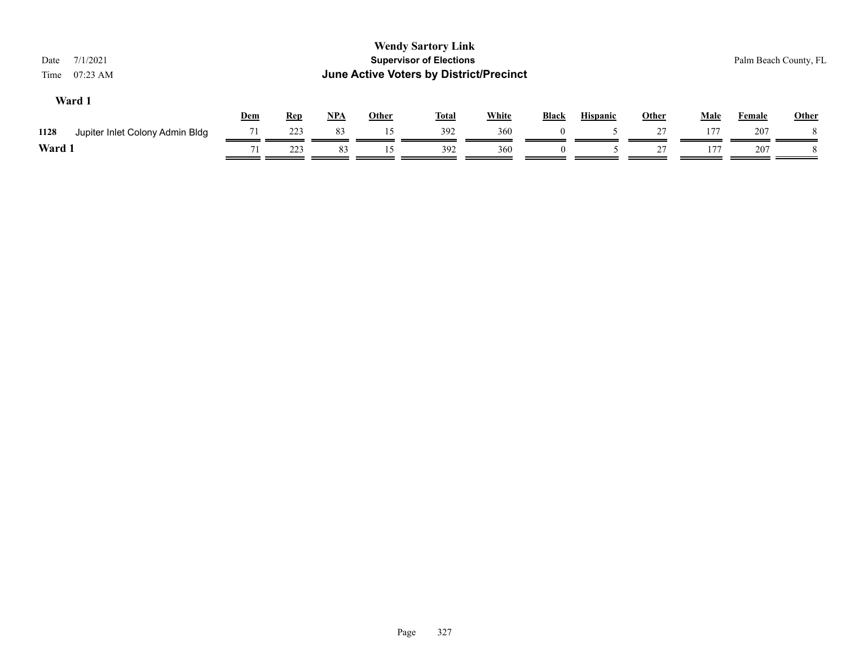| 7/1/2021<br>Date<br>07:23 AM<br>Time    |     |            |            |              | <b>Wendy Sartory Link</b><br><b>Supervisor of Elections</b><br>June Active Voters by District/Precinct |              |              |                 |              |             |               | Palm Beach County, FL |
|-----------------------------------------|-----|------------|------------|--------------|--------------------------------------------------------------------------------------------------------|--------------|--------------|-----------------|--------------|-------------|---------------|-----------------------|
| Ward 1                                  | Dem | <b>Rep</b> | <u>NPA</u> | <b>Other</b> | <b>Total</b>                                                                                           | <b>White</b> | <b>Black</b> | <b>Hispanic</b> | <b>Other</b> | <b>Male</b> | <b>Female</b> | <b>Other</b>          |
| 1128<br>Jupiter Inlet Colony Admin Bldg | 71  | 223        | 83         | 15           | 392                                                                                                    | 360          |              |                 | 27           | 177         | 207           |                       |
| Ward 1                                  | 71  | 223        | 83         | 15           | 392                                                                                                    | 360          | $\theta$     |                 | 27           | 177         | 207           |                       |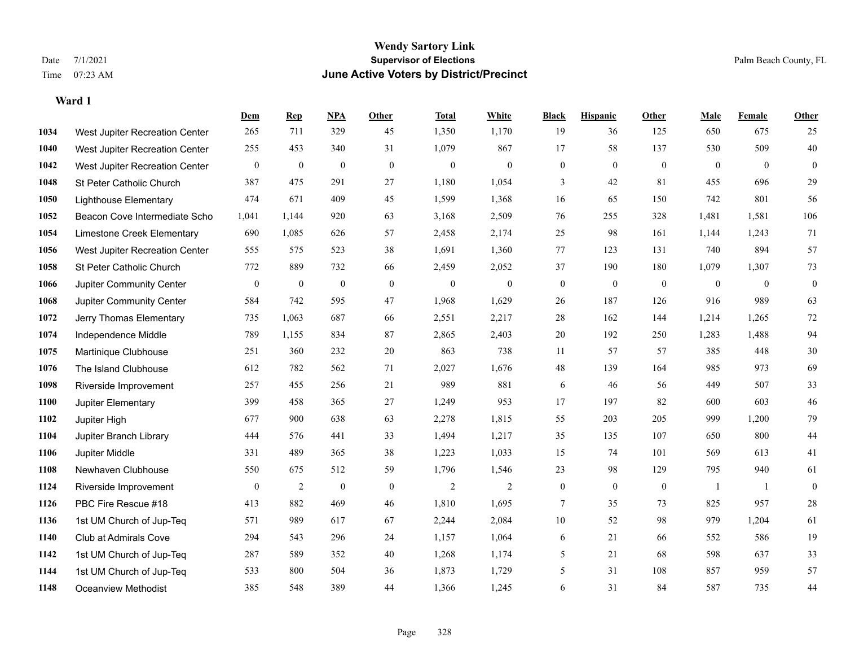#### **Wendy Sartory Link** Date 7/1/2021 **Supervisor of Elections** Palm Beach County, FL Time 07:23 AM **June Active Voters by District/Precinct**

|      |                                 | Dem              | <b>Rep</b>     | NPA              | <b>Other</b> | <b>Total</b>   | <b>White</b> | <b>Black</b>     | <b>Hispanic</b>  | <b>Other</b>     | <b>Male</b>  | <b>Female</b> | Other            |
|------|---------------------------------|------------------|----------------|------------------|--------------|----------------|--------------|------------------|------------------|------------------|--------------|---------------|------------------|
| 1034 | West Jupiter Recreation Center  | 265              | 711            | 329              | 45           | 1,350          | 1,170        | 19               | 36               | 125              | 650          | 675           | 25               |
| 1040 | West Jupiter Recreation Center  | 255              | 453            | 340              | 31           | 1,079          | 867          | 17               | 58               | 137              | 530          | 509           | 40               |
| 1042 | West Jupiter Recreation Center  | $\boldsymbol{0}$ | $\mathbf{0}$   | $\boldsymbol{0}$ | $\mathbf{0}$ | $\mathbf{0}$   | $\mathbf{0}$ | $\overline{0}$   | $\overline{0}$   | $\mathbf{0}$     | $\mathbf{0}$ | $\mathbf{0}$  | $\mathbf{0}$     |
| 1048 | St Peter Catholic Church        | 387              | 475            | 291              | 27           | 1,180          | 1,054        | 3                | 42               | 81               | 455          | 696           | 29               |
| 1050 | <b>Lighthouse Elementary</b>    | 474              | 671            | 409              | 45           | 1,599          | 1,368        | 16               | 65               | 150              | 742          | 801           | 56               |
| 1052 | Beacon Cove Intermediate Scho   | 1,041            | 1,144          | 920              | 63           | 3,168          | 2,509        | 76               | 255              | 328              | 1,481        | 1,581         | 106              |
| 1054 | Limestone Creek Elementary      | 690              | 1,085          | 626              | 57           | 2,458          | 2,174        | $25\,$           | 98               | 161              | 1,144        | 1,243         | 71               |
| 1056 | West Jupiter Recreation Center  | 555              | 575            | 523              | 38           | 1,691          | 1,360        | $77\,$           | 123              | 131              | 740          | 894           | 57               |
| 1058 | St Peter Catholic Church        | 772              | 889            | 732              | 66           | 2,459          | 2,052        | 37               | 190              | 180              | 1,079        | 1,307         | 73               |
| 1066 | Jupiter Community Center        | $\boldsymbol{0}$ | $\mathbf{0}$   | $\boldsymbol{0}$ | $\mathbf{0}$ | $\mathbf{0}$   | $\mathbf{0}$ | $\boldsymbol{0}$ | $\boldsymbol{0}$ | $\mathbf{0}$     | $\mathbf{0}$ | $\mathbf{0}$  | $\boldsymbol{0}$ |
| 1068 | <b>Jupiter Community Center</b> | 584              | 742            | 595              | 47           | 1,968          | 1,629        | 26               | 187              | 126              | 916          | 989           | 63               |
| 1072 | Jerry Thomas Elementary         | 735              | 1,063          | 687              | 66           | 2,551          | 2,217        | $28\,$           | 162              | 144              | 1,214        | 1,265         | 72               |
| 1074 | Independence Middle             | 789              | 1,155          | 834              | 87           | 2,865          | 2,403        | 20               | 192              | 250              | 1,283        | 1,488         | 94               |
| 1075 | Martinique Clubhouse            | 251              | 360            | 232              | 20           | 863            | 738          | $11\,$           | 57               | 57               | 385          | 448           | $30\,$           |
| 1076 | The Island Clubhouse            | 612              | 782            | 562              | 71           | 2,027          | 1,676        | $\sqrt{48}$      | 139              | 164              | 985          | 973           | 69               |
| 1098 | Riverside Improvement           | 257              | 455            | 256              | 21           | 989            | 881          | 6                | 46               | 56               | 449          | 507           | 33               |
| 1100 | Jupiter Elementary              | 399              | 458            | 365              | 27           | 1,249          | 953          | 17               | 197              | 82               | 600          | 603           | 46               |
| 1102 | Jupiter High                    | 677              | 900            | 638              | 63           | 2,278          | 1,815        | 55               | 203              | 205              | 999          | 1,200         | 79               |
| 1104 | Jupiter Branch Library          | 444              | 576            | 441              | 33           | 1,494          | 1,217        | 35               | 135              | 107              | 650          | 800           | 44               |
| 1106 | Jupiter Middle                  | 331              | 489            | 365              | 38           | 1,223          | 1,033        | 15               | 74               | 101              | 569          | 613           | 41               |
| 1108 | Newhaven Clubhouse              | 550              | 675            | 512              | 59           | 1,796          | 1,546        | $23\,$           | 98               | 129              | 795          | 940           | 61               |
| 1124 | Riverside Improvement           | $\boldsymbol{0}$ | $\overline{c}$ | $\boldsymbol{0}$ | $\mathbf{0}$ | $\overline{2}$ | 2            | $\boldsymbol{0}$ | $\boldsymbol{0}$ | $\boldsymbol{0}$ | -1           | - 1           | $\boldsymbol{0}$ |
| 1126 | PBC Fire Rescue #18             | 413              | 882            | 469              | 46           | 1,810          | 1,695        | 7                | 35               | 73               | 825          | 957           | 28               |
| 1136 | 1st UM Church of Jup-Teq        | 571              | 989            | 617              | 67           | 2,244          | 2,084        | 10               | 52               | 98               | 979          | 1,204         | 61               |
| 1140 | Club at Admirals Cove           | 294              | 543            | 296              | 24           | 1,157          | 1,064        | 6                | 21               | 66               | 552          | 586           | 19               |
| 1142 | 1st UM Church of Jup-Teq        | 287              | 589            | 352              | 40           | 1,268          | 1,174        | 5                | 21               | 68               | 598          | 637           | 33               |
| 1144 | 1st UM Church of Jup-Teq        | 533              | 800            | 504              | 36           | 1,873          | 1,729        | 5                | 31               | 108              | 857          | 959           | 57               |
| 1148 | Oceanview Methodist             | 385              | 548            | 389              | 44           | 1,366          | 1.245        | 6                | 31               | 84               | 587          | 735           | 44               |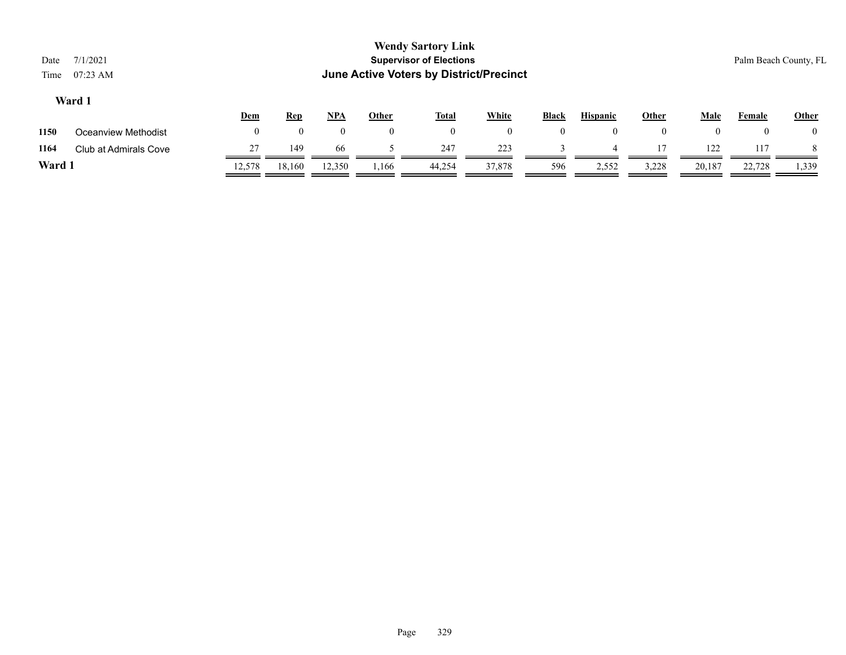| Date<br>Time | 7/1/2021<br>$07:23$ AM |            |            |          |              | <b>Wendy Sartory Link</b><br><b>Supervisor of Elections</b><br><b>June Active Voters by District/Precinct</b> |                |                |                 |              |             |          | Palm Beach County, FL |
|--------------|------------------------|------------|------------|----------|--------------|---------------------------------------------------------------------------------------------------------------|----------------|----------------|-----------------|--------------|-------------|----------|-----------------------|
|              | Ward 1                 | <u>Dem</u> | <u>Rep</u> | $NPA$    | <u>Other</u> | <b>Total</b>                                                                                                  | <b>White</b>   | <b>Black</b>   | <b>Hispanic</b> | <b>Other</b> | <b>Male</b> | Female   | Other                 |
| 1150         | Oceanview Methodist    | $\theta$   | $\Omega$   | $\theta$ | $\theta$     | $\theta$                                                                                                      | $\overline{0}$ | $\overline{0}$ | $\theta$        | $\theta$     | $\theta$    | $\theta$ | $\theta$              |
| 1164         | Club at Admirals Cove  | 27         | 149        | 66       |              | 247                                                                                                           | 223            |                | $\overline{4}$  |              | 122         | 117      |                       |
| ______       |                        |            |            |          |              |                                                                                                               |                |                |                 |              |             |          |                       |

**Ward 1** 12,578 18,160 12,350 1,166 44,254 37,878 596 2,552 3,228 20,187 22,728 1,339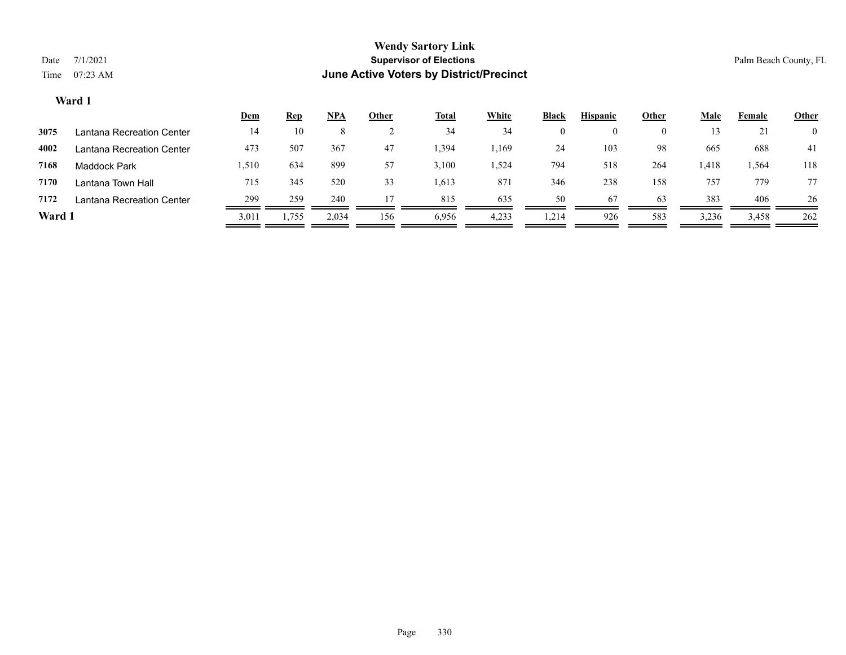|        |                           | <u>Dem</u> | <u>Rep</u> | <b>NPA</b> | <u>Other</u> | <u>Total</u> | <b>White</b> | <b>Black</b> | <b>Hispanic</b> | <u>Other</u> | <u>Male</u> | Female | <b>Other</b>   |
|--------|---------------------------|------------|------------|------------|--------------|--------------|--------------|--------------|-----------------|--------------|-------------|--------|----------------|
| 3075   | Lantana Recreation Center | 14         | 10         |            |              | 34           | 34           | 0            | $\theta$        | O            |             | 21     | $\overline{0}$ |
| 4002   | Lantana Recreation Center | 473        | 507        | 367        | 47           | .394         | .169         | 24           | 103             | -98          | 665         | 688    | 41             |
| 7168   | Maddock Park              | 1,510      | 634        | 899        | 57           | 3,100        | .524         | 794          | 518             | 264          | 1,418       | 1,564  | 118            |
| 7170   | Lantana Town Hall         | 715        | 345        | 520        | 33           | 1,613        | 871          | 346          | 238             | 158          | 757         | 779    | 77             |
| 7172   | Lantana Recreation Center | 299        | 259        | 240        |              | 815          | 635          | 50           | 67              | 63           | 383         | 406    | 26             |
| Ward 1 |                           | 3,011      | 1,755      | 2,034      | 156          | 6,956        | 4,233        | 1,214        | 926             | 583          | 3,236       | 3,458  | 262            |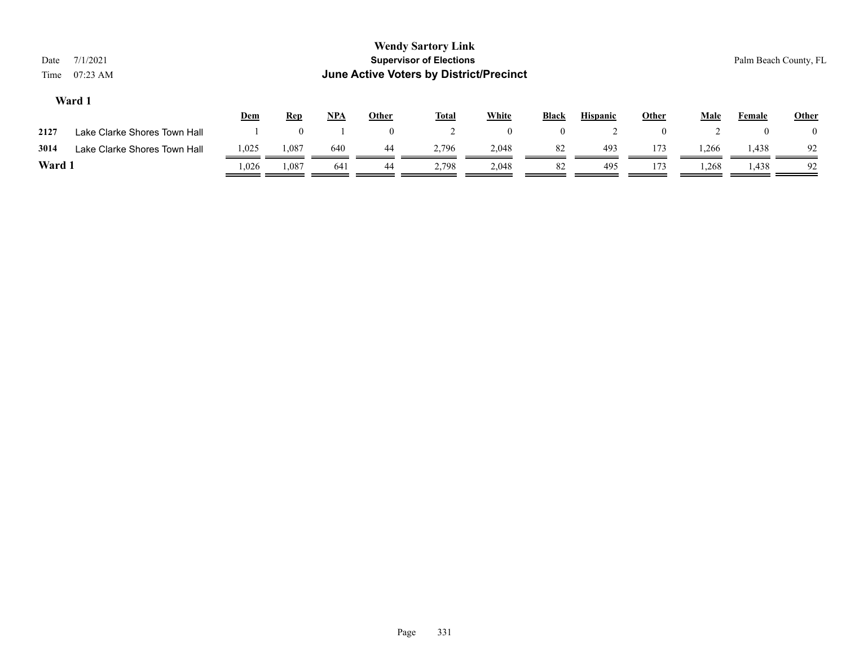| Date<br>Time | 7/1/2021<br>07:23 AM         |            |            |            |                | <b>Wendy Sartory Link</b><br><b>Supervisor of Elections</b><br>June Active Voters by District/Precinct |                  |                  |                 |              |             |        | Palm Beach County, FL |
|--------------|------------------------------|------------|------------|------------|----------------|--------------------------------------------------------------------------------------------------------|------------------|------------------|-----------------|--------------|-------------|--------|-----------------------|
|              | Ward 1                       | <u>Dem</u> | <b>Rep</b> | <u>NPA</u> | Other          | <u>Total</u>                                                                                           | <b>White</b>     | Black            | <b>Hispanic</b> | <b>Other</b> | <u>Male</u> | Female | <b>Other</b>          |
| 2127         | Lake Clarke Shores Town Hall |            | 0          |            | $\overline{0}$ |                                                                                                        | $\boldsymbol{0}$ | $\boldsymbol{0}$ |                 | $\theta$     |             |        | $\bf{0}$              |
| 3014         | Lake Clarke Shores Town Hall | 1,025      | 1,087      | 640        | 44             | 2,796                                                                                                  | 2,048            | 82               | 493             | 173          | .266        | 1,438  | 92                    |
| Ward 1       |                              | .,026      | 1,087      | 641        | 44             | 2,798                                                                                                  | 2,048            | 82               | 495             | 173          | 1,268       | 1,438  | 92                    |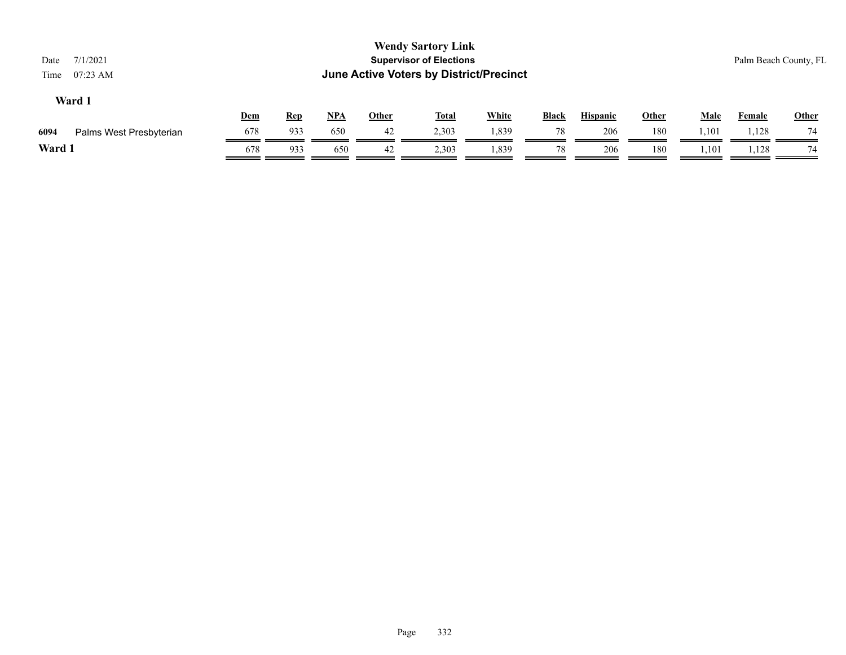| 7/1/2021<br>Date<br>$07:23$ AM<br>Time |            |            |            |       | <b>Wendy Sartory Link</b><br><b>Supervisor of Elections</b><br><b>June Active Voters by District/Precinct</b> |              |              |                 |              |             |               | Palm Beach County, FL |
|----------------------------------------|------------|------------|------------|-------|---------------------------------------------------------------------------------------------------------------|--------------|--------------|-----------------|--------------|-------------|---------------|-----------------------|
| Ward 1                                 | <b>Dem</b> | <u>Rep</u> | <u>NPA</u> | Other | <u>Total</u>                                                                                                  | <b>White</b> | <b>Black</b> | <b>Hispanic</b> | <b>Other</b> | <b>Male</b> | <b>Female</b> | <b>Other</b>          |
| 6094<br>Palms West Presbyterian        | 678        | 933        | 650        | 42    | 2,303                                                                                                         | 1,839        | 78           | 206             | 180          | 1,101       | 1,128         | 74                    |
| Ward 1                                 | 678        | 933        | 650        | 42    | 2,303                                                                                                         | 1,839        | 78           | 206             | 180          | 1,101       | 1,128         | 74                    |
|                                        |            |            |            |       |                                                                                                               |              |              |                 |              |             |               |                       |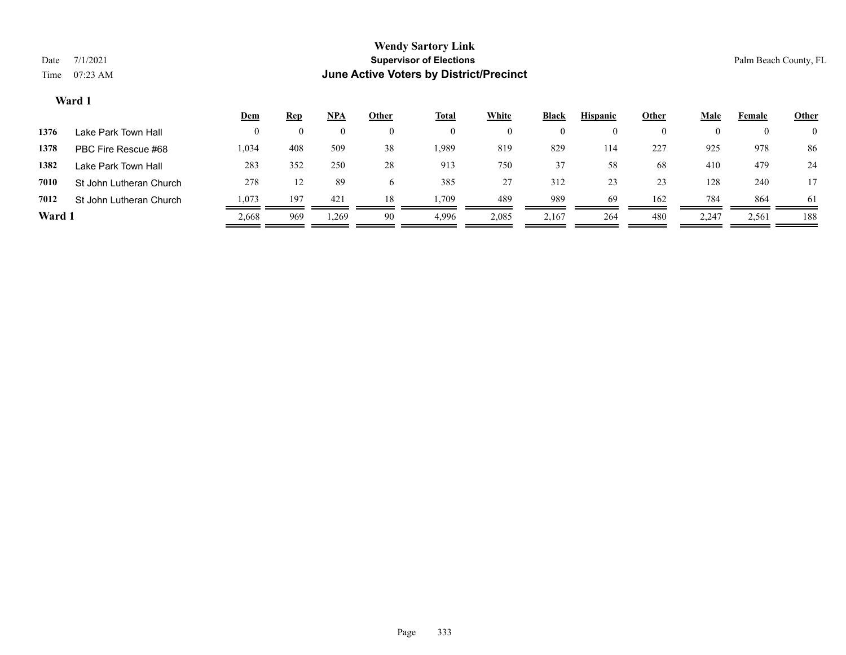|        |                         | <u>Dem</u> | <b>Rep</b> | <u>NPA</u> | <b>Other</b> | <u>Total</u> | White | <b>Black</b> | <b>Hispanic</b> | Other    | Male  | Female   | <b>Other</b>   |
|--------|-------------------------|------------|------------|------------|--------------|--------------|-------|--------------|-----------------|----------|-------|----------|----------------|
| 1376   | Lake Park Town Hall     |            |            | $\left($   |              | 0            |       | $\bf{0}$     |                 | $\bf{0}$ | 0     | $\theta$ | $\overline{0}$ |
| 1378   | PBC Fire Rescue #68     | 1,034      | 408        | 509        | 38           | 1,989        | 819   | 829          | 114             | 227      | 925   | 978      | 86             |
| 1382   | Lake Park Town Hall     | 283        | 352        | 250        | 28           | 913          | 750   | 37           | 58              | 68       | 410   | 479      | 24             |
| 7010   | St John Lutheran Church | 278        | 12         | 89         |              | 385          | 27    | 312          | 23              | 23       | 128   | 240      | 17             |
| 7012   | St John Lutheran Church | 1.073      | 197        | 421        | 18           | .,709        | 489   | 989          | 69              | 162      | 784   | 864      | 61             |
| Ward 1 |                         | 2,668      | 969        | 1,269      | 90           | 4,996        | 2,085 | 2,167        | 264             | 480      | 2,247 | 2,561    | 188            |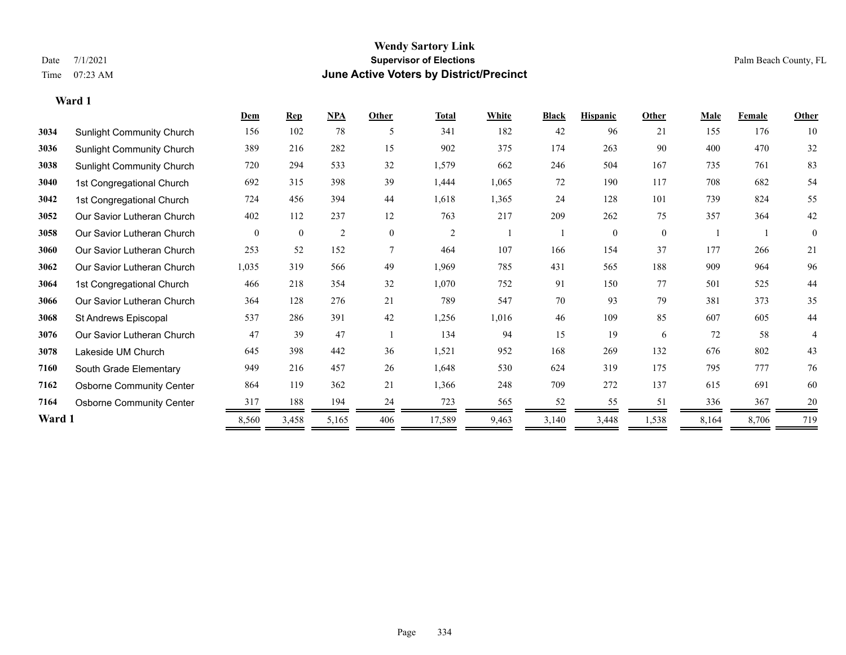#### **Wendy Sartory Link** Date 7/1/2021 **Supervisor of Elections** Palm Beach County, FL Time 07:23 AM **June Active Voters by District/Precinct**

=

|        |                                  | Dem      | <b>Rep</b>     | NPA   | Other          | <u>Total</u>   | White | <b>Black</b> | <b>Hispanic</b> | Other    | <b>Male</b> | Female | <b>Other</b> |
|--------|----------------------------------|----------|----------------|-------|----------------|----------------|-------|--------------|-----------------|----------|-------------|--------|--------------|
| 3034   | <b>Sunlight Community Church</b> | 156      | 102            | 78    | 5              | 341            | 182   | 42           | 96              | 21       | 155         | 176    | 10           |
| 3036   | <b>Sunlight Community Church</b> | 389      | 216            | 282   | 15             | 902            | 375   | 174          | 263             | 90       | 400         | 470    | 32           |
| 3038   | <b>Sunlight Community Church</b> | 720      | 294            | 533   | 32             | 1,579          | 662   | 246          | 504             | 167      | 735         | 761    | 83           |
| 3040   | 1st Congregational Church        | 692      | 315            | 398   | 39             | 1,444          | 1,065 | 72           | 190             | 117      | 708         | 682    | 54           |
| 3042   | 1st Congregational Church        | 724      | 456            | 394   | 44             | 1,618          | 1,365 | 24           | 128             | 101      | 739         | 824    | 55           |
| 3052   | Our Savior Lutheran Church       | 402      | 112            | 237   | 12             | 763            | 217   | 209          | 262             | 75       | 357         | 364    | $42\,$       |
| 3058   | Our Savior Lutheran Church       | $\theta$ | $\overline{0}$ | 2     | $\overline{0}$ | $\overline{2}$ |       |              | $\theta$        | $\theta$ |             |        | $\theta$     |
| 3060   | Our Savior Lutheran Church       | 253      | 52             | 152   | 7              | 464            | 107   | 166          | 154             | 37       | 177         | 266    | 21           |
| 3062   | Our Savior Lutheran Church       | 1,035    | 319            | 566   | 49             | 1,969          | 785   | 431          | 565             | 188      | 909         | 964    | 96           |
| 3064   | 1st Congregational Church        | 466      | 218            | 354   | 32             | 1,070          | 752   | 91           | 150             | 77       | 501         | 525    | 44           |
| 3066   | Our Savior Lutheran Church       | 364      | 128            | 276   | 21             | 789            | 547   | 70           | 93              | 79       | 381         | 373    | 35           |
| 3068   | St Andrews Episcopal             | 537      | 286            | 391   | 42             | 1,256          | 1,016 | 46           | 109             | 85       | 607         | 605    | 44           |
| 3076   | Our Savior Lutheran Church       | 47       | 39             | 47    |                | 134            | 94    | 15           | 19              | 6        | 72          | 58     | 4            |
| 3078   | Lakeside UM Church               | 645      | 398            | 442   | 36             | 1,521          | 952   | 168          | 269             | 132      | 676         | 802    | 43           |
| 7160   | South Grade Elementary           | 949      | 216            | 457   | 26             | 1,648          | 530   | 624          | 319             | 175      | 795         | 777    | 76           |
| 7162   | <b>Osborne Community Center</b>  | 864      | 119            | 362   | 21             | 1,366          | 248   | 709          | 272             | 137      | 615         | 691    | 60           |
| 7164   | <b>Osborne Community Center</b>  | 317      | 188            | 194   | 24             | 723            | 565   | 52           | 55              | 51       | 336         | 367    | 20           |
| Ward 1 |                                  | 8,560    | 3,458          | 5,165 | 406            | 17,589         | 9,463 | 3,140        | 3,448           | 1,538    | 8,164       | 8,706  | 719          |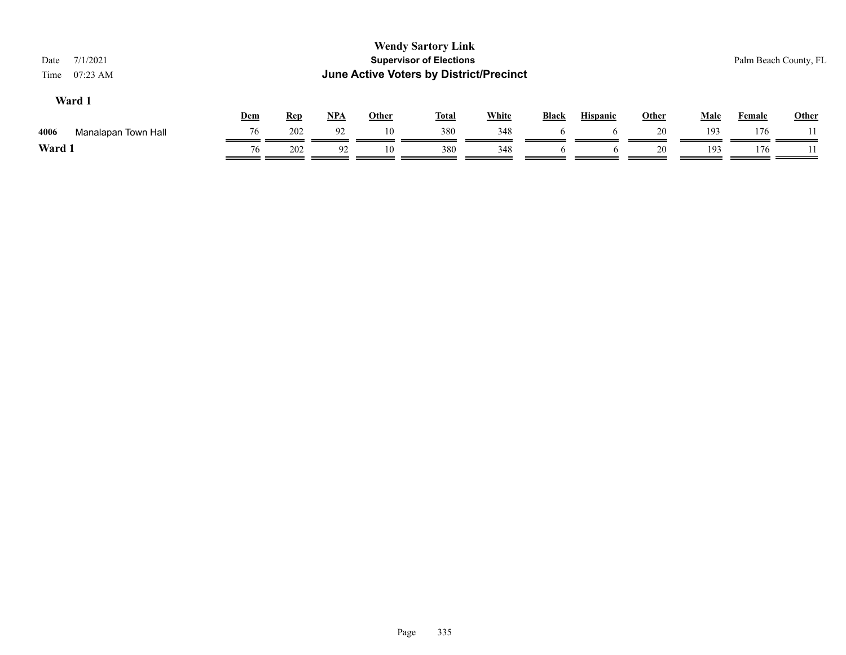| Date<br>Time | 7/1/2021<br>$07:23$ AM |     |            |       |              | <b>Wendy Sartory Link</b><br><b>Supervisor of Elections</b><br>June Active Voters by District/Precinct |              |              |                 |       |             |        | Palm Beach County, FL |  |
|--------------|------------------------|-----|------------|-------|--------------|--------------------------------------------------------------------------------------------------------|--------------|--------------|-----------------|-------|-------------|--------|-----------------------|--|
|              | Ward 1                 | Dem | <u>Rep</u> | $NPA$ | <b>Other</b> | <b>Total</b>                                                                                           | <b>White</b> | <b>Black</b> | <b>Hispanic</b> | Other | <b>Male</b> | Female | Other                 |  |
| 4006         | Manalapan Town Hall    | 76  | 202        | 92    | 10           | 380                                                                                                    | 348          | 6            | O               | 20    | 193         | 176    |                       |  |
| Ward 1       |                        | 76  | 202        | 92    | 10           | 380                                                                                                    | 348          | b            | $\sigma$        | 20    | 193         | 176    |                       |  |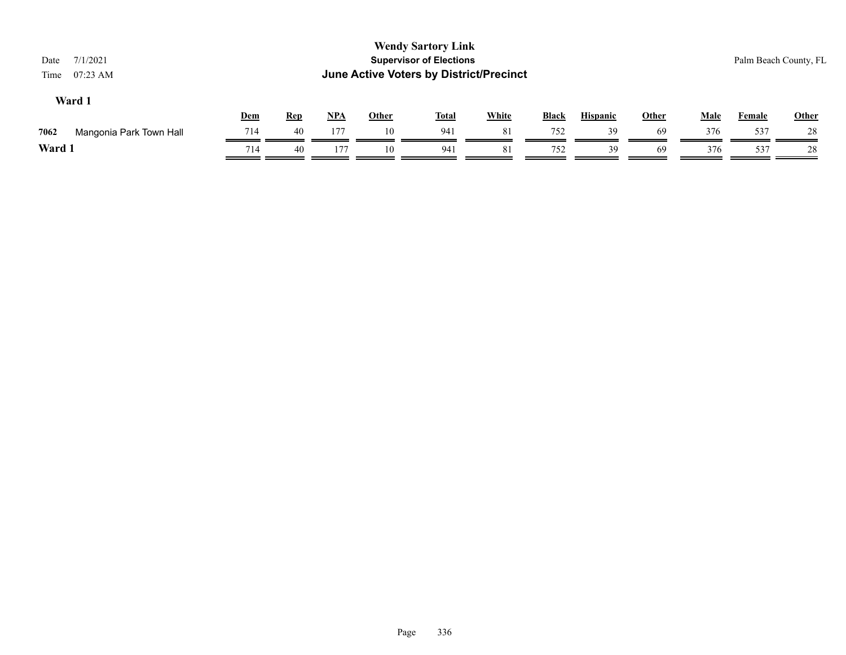| Other |
|-------|
| 28    |
| 28    |
|       |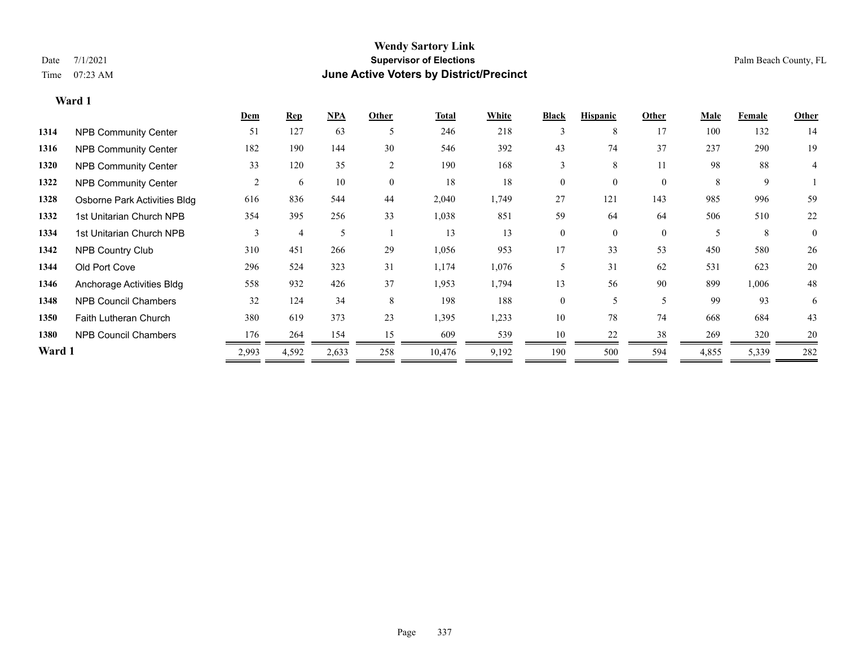#### **Wendy Sartory Link** Date 7/1/2021 **Supervisor of Elections** Palm Beach County, FL Time 07:23 AM **June Active Voters by District/Precinct**

## **Dem Rep NPA Other Total White Black Hispanic Other Male Female Other 1314** NPB Community Center 51 127 63 5 246 218 3 8 17 100 132 14 **1316** NPB Community Center 182 190 144 30 546 392 43 74 37 237 290 19 **1320** NPB Community Center 33 120 35 2 190 168 3 8 11 98 88 4 **1322 NPB Community Center**  $\begin{array}{cccccccc} 2 & 6 & 10 & 0 & 18 & 18 & 0 & 0 & 8 & 9 & 1 \end{array}$ **1328** Osborne Park Activities Bldg 616 836 544 44 2,040 1,749 27 121 143 985 996 59 **1332** 1st Unitarian Church NPB 354 395 256 33 1,038 851 59 64 64 506 510 22 1334 1st Unitarian Church NPB 3 4 5 1 13 13 0 0 0 5 8 0 **1342** NPB Country Club 310 451 266 29 1,056 953 17 33 53 450 580 26 **1344** Old Port Cove 296 524 323 31 1,174 1,076 5 31 62 531 623 20 **1346** Anchorage Activities Bldg 558 932 426 37 1,953 1,794 13 56 90 899 1,006 48

| Allullulaye Authlies Diuy    | <u>JJ 0</u> | ے ر   | π∠∪   | <u>JI</u> | 1, J J J | 1, 1, 7 | 1 J | JV. | $\overline{\mathcal{L}}$ | 0/7   | 1,000 | $\mathbf{\tau}$ |
|------------------------------|-------------|-------|-------|-----------|----------|---------|-----|-----|--------------------------|-------|-------|-----------------|
| <b>NPB Council Chambers</b>  | 32          | 124   | 34    |           | 198      | 188     |     |     |                          | 99    | 93    |                 |
| <b>Faith Lutheran Church</b> | 380         | 619   | 373   | 23        | 1,395    | 1,233   | 10  | 78  | 74                       | 668   | 684   | 43              |
| <b>NPB Council Chambers</b>  | 176         | 264   | 154   |           | 609      | 539     | 10  | 22  |                          | 269   | 320   |                 |
|                              | 2,993       | 4,592 | 2,633 | 258       | 10.476   | 9,192   | 190 | 500 | 594                      | 4,855 | 5,339 | 282             |
|                              | Ward :      |       |       |           |          |         |     |     |                          |       |       |                 |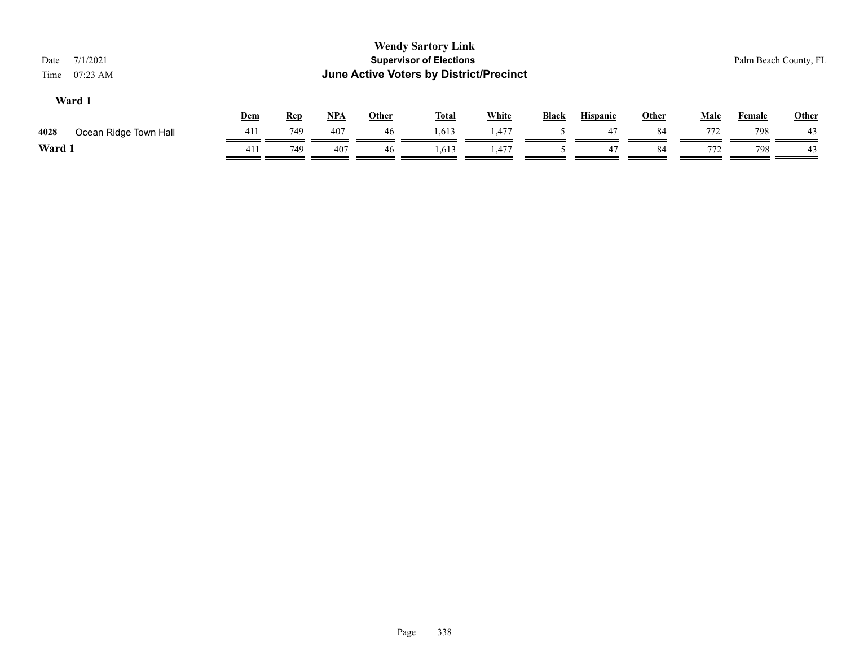| 7/1/2021<br>Date<br>$07:23$ AM<br>Time |            |            |       |       | <b>Wendy Sartory Link</b><br><b>Supervisor of Elections</b><br><b>June Active Voters by District/Precinct</b> |              |              |                 |              |             |               | Palm Beach County, FL |
|----------------------------------------|------------|------------|-------|-------|---------------------------------------------------------------------------------------------------------------|--------------|--------------|-----------------|--------------|-------------|---------------|-----------------------|
| Ward 1                                 | <u>Dem</u> | <b>Rep</b> | $NPA$ | Other | <b>Total</b>                                                                                                  | <b>White</b> | <b>Black</b> | <b>Hispanic</b> | <b>Other</b> | <u>Male</u> | <b>Female</b> | Other                 |
| 4028<br>Ocean Ridge Town Hall          | 411        | 749        | 407   | 46    | 1,613                                                                                                         | 1,477        |              | 47              | 84           | 772         | 798           | 43                    |
| Ward 1                                 | 411        | 749        | 407   | 46    | 1,613                                                                                                         | 1,477        |              | 47              | 84           | 772         | 798           | 43                    |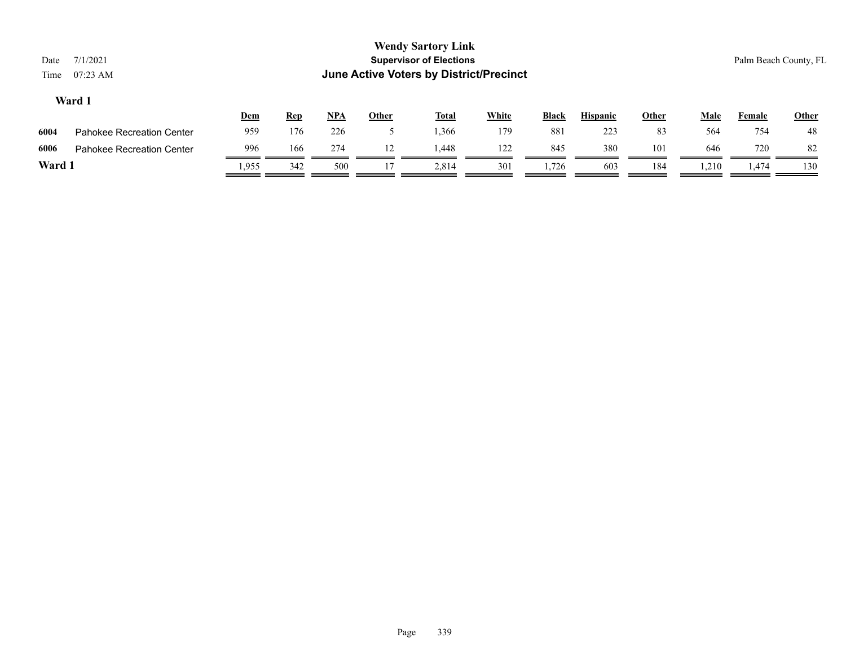|      |                                  | <u>Dem</u> | <u>Rep</u> | <b>NPA</b> | Other | <b>Total</b> | White | <b>Black</b> | <b>Hispanic</b> | Other | Male  | Female | <b>Other</b> |
|------|----------------------------------|------------|------------|------------|-------|--------------|-------|--------------|-----------------|-------|-------|--------|--------------|
| 6004 | Pahokee Recreation Center        | 959        | 176        | 226        |       | .366         | 179   | 881          | 223             | 83    | 564   | 754    | 48           |
| 6006 | <b>Pahokee Recreation Center</b> | 996        | 166        | 274        |       | 1.448        | 122   | 845          | 380             | 101   | 646   | 720    | 82           |
| Ward |                                  | .955       | 342        | 500        |       | 2.814        | 301   | 1.726        | 603             | 184   | 1,210 | .,474  | 130          |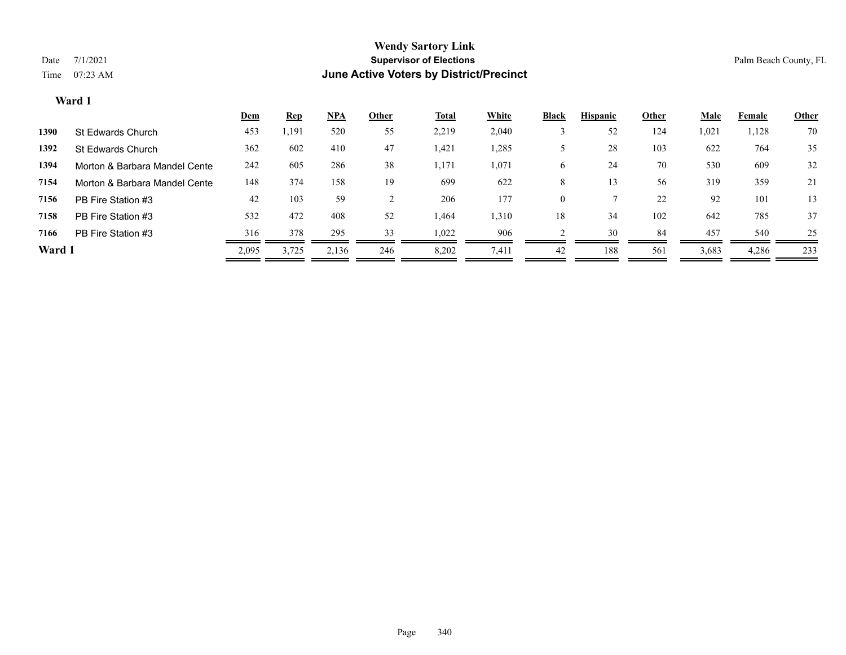|        |                               | <u>Dem</u> | <b>Rep</b> | <u>NPA</u> | <b>Other</b> | <u>Total</u> | <b>White</b> | <b>Black</b> | <b>Hispanic</b> | Other | <b>Male</b> | Female | <b>Other</b> |
|--------|-------------------------------|------------|------------|------------|--------------|--------------|--------------|--------------|-----------------|-------|-------------|--------|--------------|
| 1390   | St Edwards Church             | 453        | ,191       | 520        | 55           | 2,219        | 2,040        |              | 52              | 124   | 1,021       | 1,128  | 70           |
| 1392   | St Edwards Church             | 362        | 602        | 410        | 47           | 1,421        | .,285        |              | 28              | 103   | 622         | 764    | 35           |
| 1394   | Morton & Barbara Mandel Cente | 242        | 605        | 286        | 38           | 1,171        | 1,071        | 6            | 24              | 70    | 530         | 609    | 32           |
| 7154   | Morton & Barbara Mandel Cente | 148        | 374        | 158        | 19           | 699          | 622          | 8            | 13              | 56    | 319         | 359    | 21           |
| 7156   | PB Fire Station #3            | 42         | 103        | 59         |              | 206          | 177          | $\theta$     |                 | 22    | 92          | 101    | 13           |
| 7158   | PB Fire Station #3            | 532        | 472        | 408        | 52           | 1,464        | 1,310        | 18           | 34              | 102   | 642         | 785    | 37           |
| 7166   | PB Fire Station #3            | 316        | 378        | 295        | 33           | 1,022        | 906          |              | 30              | 84    | 457         | 540    | 25           |
| Ward 1 |                               | 2,095      | 3,725      | 2,136      | 246          | 8,202        | 7,411        | 42           | 188             | 561   | 3,683       | 4,286  | 233          |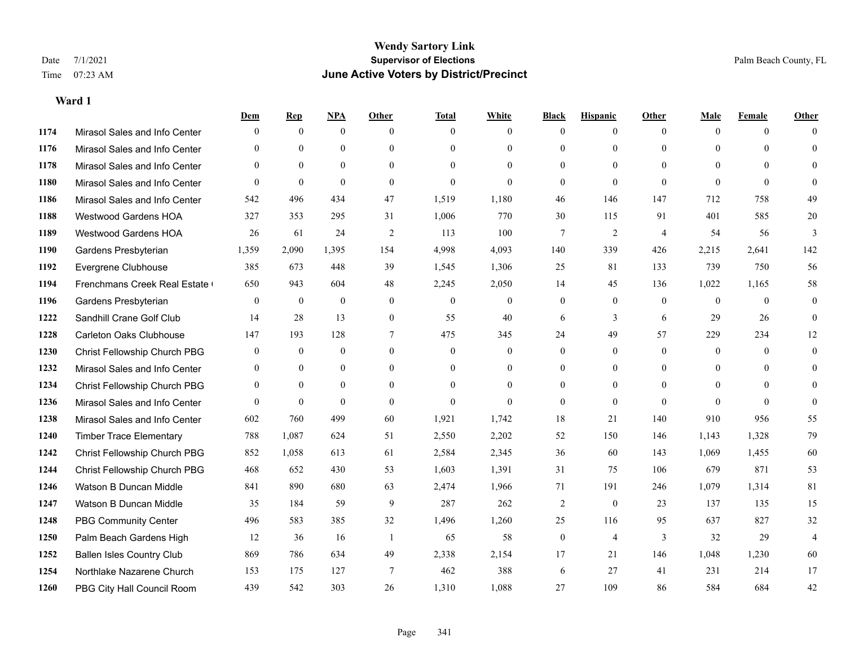|      |                                  | Dem              | <b>Rep</b>   | NPA              | <b>Other</b>   | <b>Total</b>     | <b>White</b>     | <b>Black</b>     | <b>Hispanic</b> | Other          | <b>Male</b>    | <b>Female</b> | <b>Other</b>   |
|------|----------------------------------|------------------|--------------|------------------|----------------|------------------|------------------|------------------|-----------------|----------------|----------------|---------------|----------------|
| 1174 | Mirasol Sales and Info Center    | $\Omega$         | $\mathbf{0}$ | $\mathbf{0}$     | $\theta$       | $\theta$         | $\overline{0}$   | $\Omega$         | $\overline{0}$  | $\theta$       | $\theta$       | $\theta$      | $\Omega$       |
| 1176 | Mirasol Sales and Info Center    | $\Omega$         | $\theta$     | $\theta$         | $\Omega$       | $\Omega$         | $\overline{0}$   | $\theta$         | $\overline{0}$  | $\Omega$       | $\Omega$       | $\Omega$      | $\theta$       |
| 1178 | Mirasol Sales and Info Center    | $\Omega$         | $\theta$     | $\theta$         | $\Omega$       | $\Omega$         | $\Omega$         | $\Omega$         | $\Omega$        | $\Omega$       | $\Omega$       | $\Omega$      | $\Omega$       |
| 1180 | Mirasol Sales and Info Center    | $\overline{0}$   | $\mathbf{0}$ | $\mathbf{0}$     | $\theta$       | $\mathbf{0}$     | $\Omega$         | $\overline{0}$   | $\overline{0}$  | $\mathbf{0}$   | $\theta$       | $\theta$      | $\theta$       |
| 1186 | Mirasol Sales and Info Center    | 542              | 496          | 434              | 47             | 1,519            | 1,180            | 46               | 146             | 147            | 712            | 758           | 49             |
| 1188 | <b>Westwood Gardens HOA</b>      | 327              | 353          | 295              | 31             | 1,006            | 770              | 30               | 115             | 91             | 401            | 585           | 20             |
| 1189 | Westwood Gardens HOA             | 26               | 61           | 24               | 2              | 113              | 100              | $\tau$           | $\overline{2}$  | $\overline{4}$ | 54             | 56            | 3              |
| 1190 | Gardens Presbyterian             | 1,359            | 2,090        | 1,395            | 154            | 4,998            | 4,093            | 140              | 339             | 426            | 2,215          | 2,641         | 142            |
| 1192 | Evergrene Clubhouse              | 385              | 673          | 448              | 39             | 1,545            | 1,306            | 25               | 81              | 133            | 739            | 750           | 56             |
| 1194 | Frenchmans Creek Real Estate     | 650              | 943          | 604              | 48             | 2,245            | 2,050            | 14               | 45              | 136            | 1,022          | 1,165         | 58             |
| 1196 | Gardens Presbyterian             | $\overline{0}$   | $\mathbf{0}$ | $\mathbf{0}$     | $\overline{0}$ | $\mathbf{0}$     | $\overline{0}$   | $\overline{0}$   | $\overline{0}$  | $\theta$       | $\overline{0}$ | $\theta$      | $\overline{0}$ |
| 1222 | Sandhill Crane Golf Club         | 14               | 28           | 13               | $\mathbf{0}$   | 55               | 40               | 6                | 3               | 6              | 29             | 26            | $\theta$       |
| 1228 | <b>Carleton Oaks Clubhouse</b>   | 147              | 193          | 128              | $\tau$         | 475              | 345              | 24               | 49              | 57             | 229            | 234           | 12             |
| 1230 | Christ Fellowship Church PBG     | $\boldsymbol{0}$ | $\mathbf{0}$ | $\boldsymbol{0}$ | $\mathbf{0}$   | $\boldsymbol{0}$ | $\boldsymbol{0}$ | $\overline{0}$   | $\overline{0}$  | $\mathbf{0}$   | $\mathbf{0}$   | $\theta$      | $\overline{0}$ |
| 1232 | Mirasol Sales and Info Center    | $\overline{0}$   | $\mathbf{0}$ | $\mathbf{0}$     | $\theta$       | $\theta$         | $\overline{0}$   | $\mathbf{0}$     | $\overline{0}$  | $\theta$       | $\theta$       | $\theta$      | $\mathbf{0}$   |
| 1234 | Christ Fellowship Church PBG     | $\theta$         | $\theta$     | $\mathbf{0}$     | $\theta$       | $\theta$         | $\Omega$         | $\theta$         | $\Omega$        | $\Omega$       | $\theta$       | $\Omega$      | $\Omega$       |
| 1236 | Mirasol Sales and Info Center    | $\Omega$         | $\theta$     | $\theta$         | $\theta$       | $\theta$         | $\Omega$         | $\overline{0}$   | $\Omega$        | $\theta$       | $\Omega$       | $\theta$      | $\Omega$       |
| 1238 | Mirasol Sales and Info Center    | 602              | 760          | 499              | 60             | 1,921            | 1,742            | 18               | 21              | 140            | 910            | 956           | 55             |
| 1240 | <b>Timber Trace Elementary</b>   | 788              | 1,087        | 624              | 51             | 2,550            | 2,202            | 52               | 150             | 146            | 1,143          | 1,328         | 79             |
| 1242 | Christ Fellowship Church PBG     | 852              | 1,058        | 613              | 61             | 2,584            | 2,345            | 36               | 60              | 143            | 1,069          | 1,455         | 60             |
| 1244 | Christ Fellowship Church PBG     | 468              | 652          | 430              | 53             | 1,603            | 1,391            | 31               | 75              | 106            | 679            | 871           | 53             |
| 1246 | Watson B Duncan Middle           | 841              | 890          | 680              | 63             | 2,474            | 1,966            | 71               | 191             | 246            | 1,079          | 1,314         | 81             |
| 1247 | Watson B Duncan Middle           | 35               | 184          | 59               | 9              | 287              | 262              | $\overline{c}$   | $\overline{0}$  | 23             | 137            | 135           | 15             |
| 1248 | <b>PBG Community Center</b>      | 496              | 583          | 385              | 32             | 1,496            | 1,260            | 25               | 116             | 95             | 637            | 827           | 32             |
| 1250 | Palm Beach Gardens High          | 12               | 36           | 16               | $\mathbf{1}$   | 65               | 58               | $\boldsymbol{0}$ | $\overline{4}$  | 3              | 32             | 29            | $\overline{4}$ |
| 1252 | <b>Ballen Isles Country Club</b> | 869              | 786          | 634              | 49             | 2,338            | 2,154            | 17               | 21              | 146            | 1,048          | 1,230         | 60             |
| 1254 | Northlake Nazarene Church        | 153              | 175          | 127              | 7              | 462              | 388              | 6                | 27              | 41             | 231            | 214           | 17             |
| 1260 | PBG City Hall Council Room       | 439              | 542          | 303              | 26             | 1,310            | 1,088            | 27               | 109             | 86             | 584            | 684           | 42             |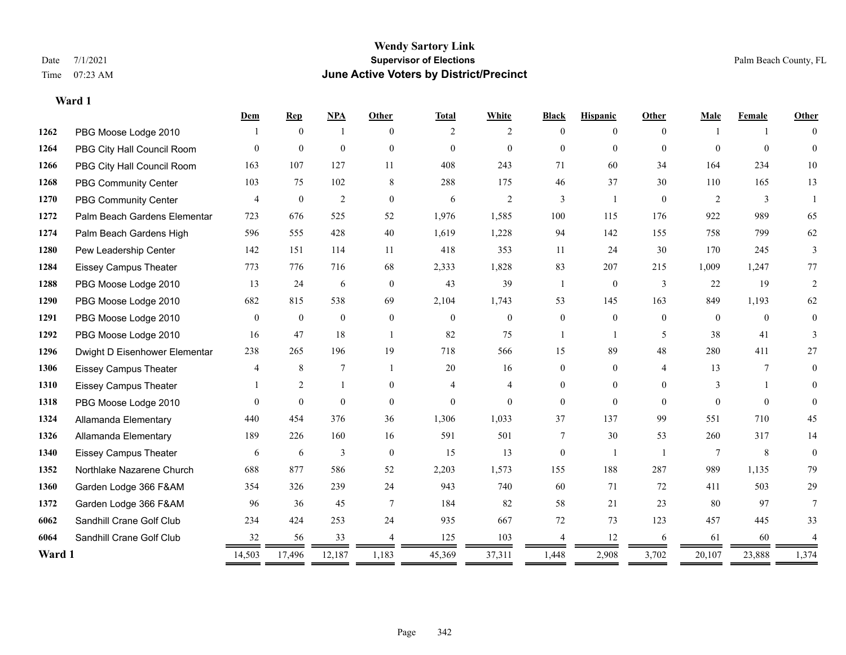|        |                               | Dem            | <b>Rep</b>     | NPA            | <b>Other</b>   | <b>Total</b>   | White          | <b>Black</b>   | <b>Hispanic</b> | Other          | Male           | Female       | Other    |
|--------|-------------------------------|----------------|----------------|----------------|----------------|----------------|----------------|----------------|-----------------|----------------|----------------|--------------|----------|
| 1262   | PBG Moose Lodge 2010          |                | $\theta$       | -1             | $\Omega$       | 2              | 2              | $\Omega$       | 0               | $\Omega$       |                |              | $\Omega$ |
| 1264   | PBG City Hall Council Room    | $\Omega$       | $\mathbf{0}$   | $\mathbf{0}$   | $\Omega$       | $\overline{0}$ | $\overline{0}$ | $\overline{0}$ | $\overline{0}$  | $\Omega$       | $\Omega$       | $\theta$     | $\Omega$ |
| 1266   | PBG City Hall Council Room    | 163            | 107            | 127            | 11             | 408            | 243            | 71             | 60              | 34             | 164            | 234          | 10       |
| 1268   | <b>PBG Community Center</b>   | 103            | 75             | 102            | 8              | 288            | 175            | 46             | 37              | 30             | 110            | 165          | 13       |
| 1270   | PBG Community Center          | $\overline{4}$ | $\mathbf{0}$   | $\overline{2}$ | $\theta$       | 6              | 2              | 3              | $\mathbf{1}$    | $\theta$       | 2              | 3            |          |
| 1272   | Palm Beach Gardens Elementar  | 723            | 676            | 525            | 52             | 1,976          | 1,585          | 100            | 115             | 176            | 922            | 989          | 65       |
| 1274   | Palm Beach Gardens High       | 596            | 555            | 428            | 40             | 1,619          | 1,228          | 94             | 142             | 155            | 758            | 799          | 62       |
| 1280   | Pew Leadership Center         | 142            | 151            | 114            | 11             | 418            | 353            | 11             | 24              | 30             | 170            | 245          | 3        |
| 1284   | <b>Eissey Campus Theater</b>  | 773            | 776            | 716            | 68             | 2,333          | 1,828          | 83             | 207             | 215            | 1,009          | 1,247        | 77       |
| 1288   | PBG Moose Lodge 2010          | 13             | 24             | 6              | $\theta$       | 43             | 39             | $\mathbf{1}$   | $\mathbf{0}$    | 3              | 22             | 19           | 2        |
| 1290   | PBG Moose Lodge 2010          | 682            | 815            | 538            | 69             | 2,104          | 1,743          | 53             | 145             | 163            | 849            | 1,193        | 62       |
| 1291   | PBG Moose Lodge 2010          | $\mathbf{0}$   | $\mathbf{0}$   | $\mathbf{0}$   | $\overline{0}$ | $\overline{0}$ | $\overline{0}$ | $\overline{0}$ | $\mathbf{0}$    | $\theta$       | $\overline{0}$ | $\mathbf{0}$ | $\theta$ |
| 1292   | PBG Moose Lodge 2010          | 16             | 47             | 18             | $\overline{1}$ | 82             | 75             |                | $\mathbf{1}$    | 5              | 38             | 41           | 3        |
| 1296   | Dwight D Eisenhower Elementar | 238            | 265            | 196            | 19             | 718            | 566            | 15             | 89              | 48             | 280            | 411          | 27       |
| 1306   | <b>Eissey Campus Theater</b>  | $\overline{4}$ | 8              | $\overline{7}$ | $\overline{1}$ | 20             | 16             | $\Omega$       | $\theta$        | $\overline{4}$ | 13             | 7            | 0        |
| 1310   | <b>Eissey Campus Theater</b>  |                | $\overline{c}$ | $\mathbf{1}$   | $\mathbf{0}$   | $\overline{4}$ | $\overline{4}$ | $\overline{0}$ | $\overline{0}$  | $\theta$       | 3              |              | $\Omega$ |
| 1318   | PBG Moose Lodge 2010          | $\Omega$       | $\theta$       | $\theta$       | $\theta$       | $\Omega$       | $\theta$       | $\Omega$       | $\theta$        | $\Omega$       | $\Omega$       | $\Omega$     | $\Omega$ |
| 1324   | Allamanda Elementary          | 440            | 454            | 376            | 36             | 1,306          | 1,033          | 37             | 137             | 99             | 551            | 710          | 45       |
| 1326   | Allamanda Elementary          | 189            | 226            | 160            | 16             | 591            | 501            | 7              | 30              | 53             | 260            | 317          | 14       |
| 1340   | <b>Eissey Campus Theater</b>  | 6              | 6              | 3              | $\theta$       | 15             | 13             | $\theta$       |                 | $\overline{1}$ | 7              | 8            | $\theta$ |
| 1352   | Northlake Nazarene Church     | 688            | 877            | 586            | 52             | 2,203          | 1,573          | 155            | 188             | 287            | 989            | 1,135        | 79       |
| 1360   | Garden Lodge 366 F&AM         | 354            | 326            | 239            | 24             | 943            | 740            | 60             | 71              | 72             | 411            | 503          | 29       |
| 1372   | Garden Lodge 366 F&AM         | 96             | 36             | 45             | $\tau$         | 184            | 82             | 58             | 21              | 23             | 80             | 97           | 7        |
| 6062   | Sandhill Crane Golf Club      | 234            | 424            | 253            | 24             | 935            | 667            | $72\,$         | 73              | 123            | 457            | 445          | 33       |
| 6064   | Sandhill Crane Golf Club      | 32             | 56             | 33             |                | 125            | 103            |                | 12              | 6              | 61             | 60           |          |
| Ward 1 |                               | 14,503<br>═    | 17,496         | 12,187         | 1,183<br>=     | 45,369         | 37,311         | 1,448<br>=     | 2,908           | 3,702          | 20,107         | 23,888       | 1,374    |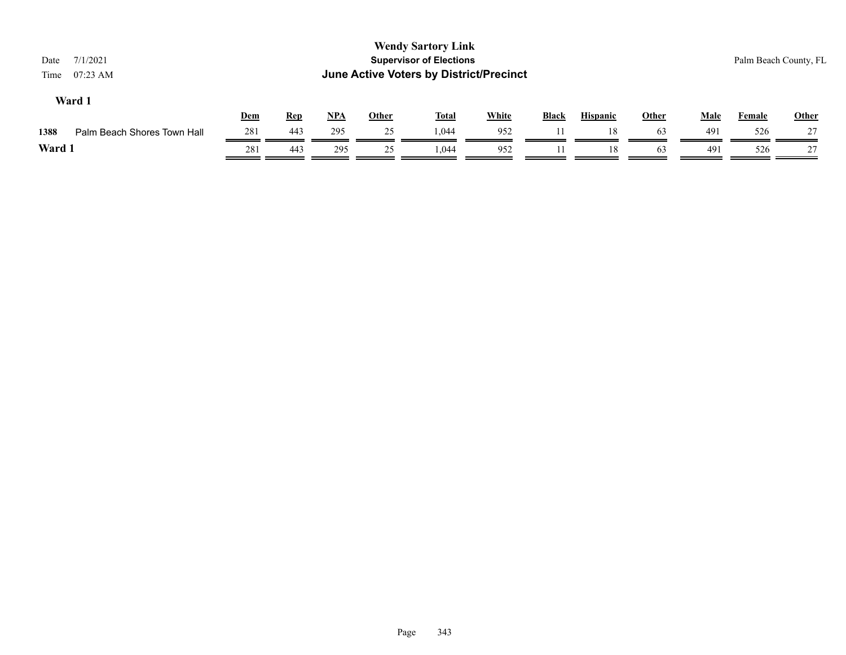| 7/1/2021<br>Date<br>$07:23$ AM<br>Time |     |            |       |              | <b>Wendy Sartory Link</b><br><b>Supervisor of Elections</b><br>June Active Voters by District/Precinct |              |              |                 |       |             | Palm Beach County, FL |              |
|----------------------------------------|-----|------------|-------|--------------|--------------------------------------------------------------------------------------------------------|--------------|--------------|-----------------|-------|-------------|-----------------------|--------------|
| Ward 1                                 | Dem | <b>Rep</b> | $NPA$ | <b>Other</b> | <b>Total</b>                                                                                           | <b>White</b> | <b>Black</b> | <b>Hispanic</b> | Other | <b>Male</b> | <b>Female</b>         | <b>Other</b> |
| Palm Beach Shores Town Hall<br>1388    | 281 | 443        | 295   | 25           | 1,044                                                                                                  | 952          |              | 18              | 63    | 491         | 526                   | 27           |
| Ward 1                                 | 281 | 443        | 295   | 25           | 1.044                                                                                                  | 952          |              | 18              | 63    | 491         | 526                   | 27           |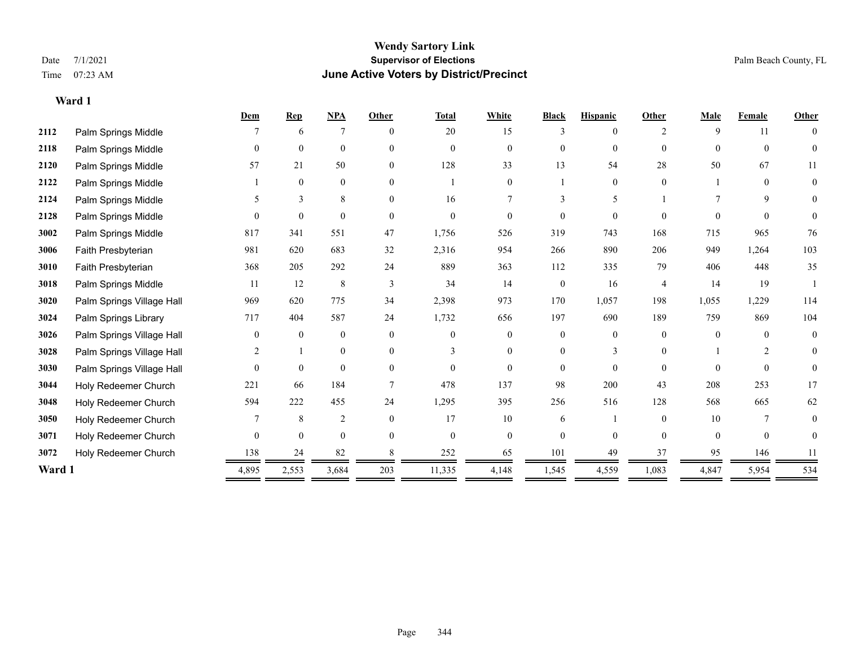#### **Wendy Sartory Link** Date 7/1/2021 **Supervisor of Elections** Palm Beach County, FL Time 07:23 AM **June Active Voters by District/Precinct**

|        |                           | Dem      | <b>Rep</b>     | <b>NPA</b>     | Other    | <b>Total</b> | White          | <b>Black</b>   | <b>Hispanic</b> | Other              | <b>Male</b> | Female         | <b>Other</b>   |
|--------|---------------------------|----------|----------------|----------------|----------|--------------|----------------|----------------|-----------------|--------------------|-------------|----------------|----------------|
| 2112   | Palm Springs Middle       |          | 6              | 7              | $\theta$ | 20           | 15             | 3              | $\theta$        | $\mathfrak{D}_{1}$ | 9           | 11             | $\overline{0}$ |
| 2118   | Palm Springs Middle       | $\theta$ | $\mathbf{0}$   | $\mathbf{0}$   | $\theta$ | $\Omega$     | $\overline{0}$ | $\overline{0}$ | $\overline{0}$  | $\theta$           | $\theta$    | $\theta$       | $\theta$       |
| 2120   | Palm Springs Middle       | 57       | 21             | 50             | $\Omega$ | 128          | 33             | 13             | 54              | 28                 | 50          | 67             | 11             |
| 2122   | Palm Springs Middle       |          | $\mathbf{0}$   | $\mathbf{0}$   | $\theta$ |              | $\Omega$       |                | $\overline{0}$  | $\theta$           |             | $\theta$       | $\mathbf{0}$   |
| 2124   | Palm Springs Middle       | 5        | 3              | 8              | $\Omega$ | 16           | 7              | 3              | 5               |                    |             | 9              | $\overline{0}$ |
| 2128   | Palm Springs Middle       | $\Omega$ | $\theta$       | $\theta$       | $\Omega$ | $\theta$     | 0              | 0              | $\Omega$        | $\Omega$           | $\Omega$    | $\Omega$       | $\overline{0}$ |
| 3002   | Palm Springs Middle       | 817      | 341            | 551            | 47       | 1,756        | 526            | 319            | 743             | 168                | 715         | 965            | 76             |
| 3006   | Faith Presbyterian        | 981      | 620            | 683            | 32       | 2,316        | 954            | 266            | 890             | 206                | 949         | 1,264          | 103            |
| 3010   | Faith Presbyterian        | 368      | 205            | 292            | 24       | 889          | 363            | 112            | 335             | 79                 | 406         | 448            | 35             |
| 3018   | Palm Springs Middle       | 11       | 12             | 8              | 3        | 34           | 14             | $\overline{0}$ | 16              | $\overline{4}$     | 14          | 19             |                |
| 3020   | Palm Springs Village Hall | 969      | 620            | 775            | 34       | 2,398        | 973            | 170            | 1,057           | 198                | 1,055       | 1,229          | 114            |
| 3024   | Palm Springs Library      | 717      | 404            | 587            | 24       | 1,732        | 656            | 197            | 690             | 189                | 759         | 869            | 104            |
| 3026   | Palm Springs Village Hall | $\theta$ | $\mathbf{0}$   | $\mathbf{0}$   | $\Omega$ | $\Omega$     | $\Omega$       | 0              | $\theta$        | $\Omega$           | $\Omega$    | $\Omega$       | $\overline{0}$ |
| 3028   | Palm Springs Village Hall |          |                | $\mathbf{0}$   | $\theta$ | 3            | $\theta$       | 0              | 3               | $\theta$           |             | $\overline{2}$ | $\theta$       |
| 3030   | Palm Springs Village Hall | $\theta$ | $\overline{0}$ | $\mathbf{0}$   | $\theta$ | $\theta$     | $\theta$       | 0              | $\Omega$        | $\Omega$           | $\Omega$    | $\Omega$       | $\overline{0}$ |
| 3044   | Holy Redeemer Church      | 221      | 66             | 184            |          | 478          | 137            | 98             | 200             | 43                 | 208         | 253            | 17             |
| 3048   | Holy Redeemer Church      | 594      | 222            | 455            | 24       | 1,295        | 395            | 256            | 516             | 128                | 568         | 665            | 62             |
| 3050   | Holy Redeemer Church      |          | 8              | $\overline{2}$ | $\theta$ | 17           | 10             | 6              |                 | $\Omega$           | 10          | 7              | 0              |
| 3071   | Holy Redeemer Church      | $\theta$ | $\mathbf{0}$   | $\mathbf{0}$   | $\Omega$ | $\Omega$     | $\overline{0}$ | 0              | $\Omega$        | $\theta$           | $\theta$    | $\theta$       | $\theta$       |
| 3072   | Holy Redeemer Church      | 138      | 24             | 82             |          | 252          | 65             | 101            | 49              | 37                 | 95          | 146            | 11             |
| Ward 1 |                           | 4,895    | 2,553          | 3,684          | 203      | 11,335       | 4,148          | 1,545          | 4,559           | 1,083              | 4,847       | 5,954          | 534            |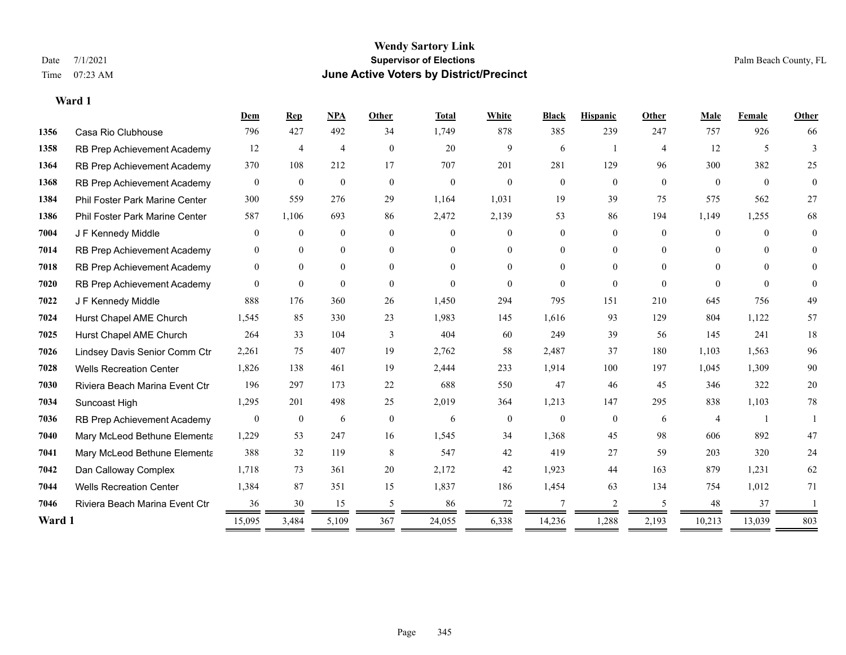|        |                                | Dem            | <b>Rep</b>       | <b>NPA</b>     | Other          | <b>Total</b> | White          | <b>Black</b>   | <b>Hispanic</b> | Other          | Male           | Female   | Other          |
|--------|--------------------------------|----------------|------------------|----------------|----------------|--------------|----------------|----------------|-----------------|----------------|----------------|----------|----------------|
| 1356   | Casa Rio Clubhouse             | 796            | 427              | 492            | 34             | 1,749        | 878            | 385            | 239             | 247            | 757            | 926      | 66             |
| 1358   | RB Prep Achievement Academy    | 12             | $\overline{4}$   | $\overline{4}$ | $\overline{0}$ | 20           | 9              | 6              | $\overline{1}$  | $\overline{4}$ | 12             | 5        | 3              |
| 1364   | RB Prep Achievement Academy    | 370            | 108              | 212            | 17             | 707          | 201            | 281            | 129             | 96             | 300            | 382      | 25             |
| 1368   | RB Prep Achievement Academy    | $\overline{0}$ | $\mathbf{0}$     | $\mathbf{0}$   | $\mathbf{0}$   | $\mathbf{0}$ | $\overline{0}$ | $\overline{0}$ | $\overline{0}$  | $\overline{0}$ | $\overline{0}$ | $\theta$ | $\overline{0}$ |
| 1384   | Phil Foster Park Marine Center | 300            | 559              | 276            | 29             | 1,164        | 1,031          | 19             | 39              | 75             | 575            | 562      | 27             |
| 1386   | Phil Foster Park Marine Center | 587            | 1,106            | 693            | 86             | 2,472        | 2,139          | 53             | 86              | 194            | 1,149          | 1,255    | 68             |
| 7004   | J F Kennedy Middle             | $\overline{0}$ | $\mathbf{0}$     | $\mathbf{0}$   | $\theta$       | $\Omega$     | $\overline{0}$ | $\overline{0}$ | $\overline{0}$  | $\Omega$       | $\overline{0}$ | $\theta$ | $\mathbf{0}$   |
| 7014   | RB Prep Achievement Academy    | $\theta$       | $\mathbf{0}$     | $\mathbf{0}$   | $\theta$       | $\Omega$     | $\overline{0}$ | $\theta$       | $\overline{0}$  | $\Omega$       | $\theta$       | $\Omega$ | $\theta$       |
| 7018   | RB Prep Achievement Academy    | $\mathbf{0}$   | $\mathbf{0}$     | $\overline{0}$ | $\Omega$       | $\Omega$     | $\overline{0}$ | $\Omega$       | $\overline{0}$  | $\Omega$       | $\Omega$       | $\Omega$ | $\Omega$       |
| 7020   | RB Prep Achievement Academy    | $\Omega$       | $\overline{0}$   | $\theta$       | $\theta$       | $\Omega$     | $\Omega$       | $\theta$       | $\Omega$        | $\theta$       | $\Omega$       | $\theta$ | $\theta$       |
| 7022   | J F Kennedy Middle             | 888            | 176              | 360            | 26             | 1,450        | 294            | 795            | 151             | 210            | 645            | 756      | 49             |
| 7024   | Hurst Chapel AME Church        | 1,545          | 85               | 330            | 23             | 1,983        | 145            | 1,616          | 93              | 129            | 804            | 1,122    | 57             |
| 7025   | Hurst Chapel AME Church        | 264            | 33               | 104            | 3              | 404          | 60             | 249            | 39              | 56             | 145            | 241      | 18             |
| 7026   | Lindsey Davis Senior Comm Ctr  | 2,261          | 75               | 407            | 19             | 2,762        | 58             | 2,487          | 37              | 180            | 1,103          | 1,563    | 96             |
| 7028   | <b>Wells Recreation Center</b> | 1,826          | 138              | 461            | 19             | 2,444        | 233            | 1,914          | 100             | 197            | 1,045          | 1,309    | 90             |
| 7030   | Riviera Beach Marina Event Ctr | 196            | 297              | 173            | 22             | 688          | 550            | 47             | 46              | 45             | 346            | 322      | $20\,$         |
| 7034   | Suncoast High                  | 1,295          | 201              | 498            | 25             | 2,019        | 364            | 1,213          | 147             | 295            | 838            | 1,103    | 78             |
| 7036   | RB Prep Achievement Academy    | $\mathbf{0}$   | $\boldsymbol{0}$ | 6              | $\mathbf{0}$   | 6            | $\mathbf{0}$   | $\mathbf{0}$   | $\overline{0}$  | 6              | 4              |          |                |
| 7040   | Mary McLeod Bethune Elementa   | 1,229          | 53               | 247            | 16             | 1,545        | 34             | 1,368          | 45              | 98             | 606            | 892      | 47             |
| 7041   | Mary McLeod Bethune Elementa   | 388            | 32               | 119            | 8              | 547          | 42             | 419            | 27              | 59             | 203            | 320      | 24             |
| 7042   | Dan Calloway Complex           | 1,718          | 73               | 361            | 20             | 2,172        | 42             | 1,923          | 44              | 163            | 879            | 1,231    | 62             |
| 7044   | <b>Wells Recreation Center</b> | 1,384          | 87               | 351            | 15             | 1,837        | 186            | 1,454          | 63              | 134            | 754            | 1,012    | 71             |
| 7046   | Riviera Beach Marina Event Ctr | 36             | 30               | 15             | 5              | 86           | 72             | 7              | 2               | .5             | 48             | 37       |                |
| Ward 1 |                                | 15,095         | 3,484            | 5,109          | 367            | 24,055       | 6,338          | 14,236         | 1,288           | 2,193          | 10,213         | 13,039   | 803            |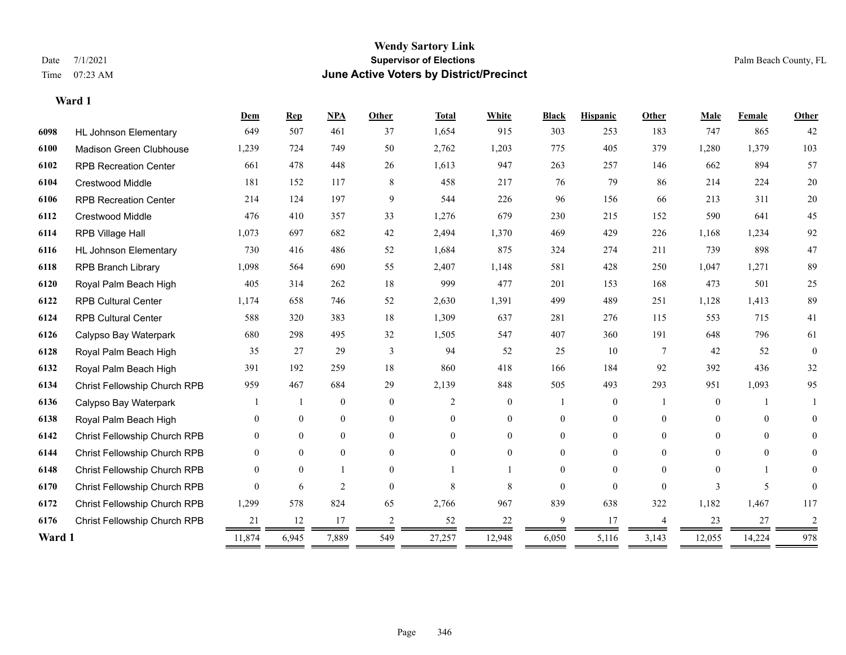#### **Wendy Sartory Link** Date 7/1/2021 **Supervisor of Elections** Palm Beach County, FL Time 07:23 AM **June Active Voters by District/Precinct**

## **Dem Rep NPA Other Total White Black Hispanic Other Male Female Other** HL Johnson Elementary 649 507 461 37 1,654 915 303 253 183 747 865 42 Madison Green Clubhouse 1,239 724 749 50 2,762 1,203 775 405 379 1,280 1,379 103 RPB Recreation Center 661 478 448 26 1,613 947 263 257 146 662 894 57 Crestwood Middle 181 152 117 8 458 217 76 79 86 214 224 20 RPB Recreation Center 214 124 197 9 544 226 96 156 66 213 311 20 Crestwood Middle 476 410 357 33 1,276 679 230 215 152 590 641 45 RPB Village Hall 1,073 697 682 42 2,494 1,370 469 429 226 1,168 1,234 92 HL Johnson Elementary 730 416 486 52 1,684 875 324 274 211 739 898 47 RPB Branch Library 1,098 564 690 55 2,407 1,148 581 428 250 1,047 1,271 89 Royal Palm Beach High 405 314 262 18 999 477 201 153 168 473 501 25 RPB Cultural Center 1,174 658 746 52 2,630 1,391 499 489 251 1,128 1,413 89 RPB Cultural Center 588 320 383 18 1,309 637 281 276 115 553 715 41 Calypso Bay Waterpark 680 298 495 32 1,505 547 407 360 191 648 796 61 Royal Palm Beach High 35 27 29 3 94 52 25 10 7 42 52 0 Royal Palm Beach High 391 192 259 18 860 418 166 184 92 392 436 32 Christ Fellowship Church RPB 959 467 684 29 2,139 848 505 493 293 951 1,093 95 Calypso Bay Waterpark 1 1 0 0 2 0 1 0 1 0 1 1 Royal Palm Beach High 0 0 0 0 0 0 0 0 0 0 0 0 Christ Fellowship Church RPB 0 0 0 0 0 0 0 0 0 0 0 0 Christ Fellowship Church RPB 0 0 0 0 0 0 0 0 0 0 0 0 Christ Fellowship Church RPB 0 0 1 0 1 1 0 0 0 0 1 0 Christ Fellowship Church RPB 0 6 2 0 8 8 0 0 0 3 5 0 Christ Fellowship Church RPB 1,299 578 824 65 2,766 967 839 638 322 1,182 1,467 117 Christ Fellowship Church RPB 21 12 17 2 52 22 9 17 4 23 27 2 **Ward 1** 11,874 6,945 7,889 549 27,257 12,948 6,050 5,116 3,143 12,055 14,224 978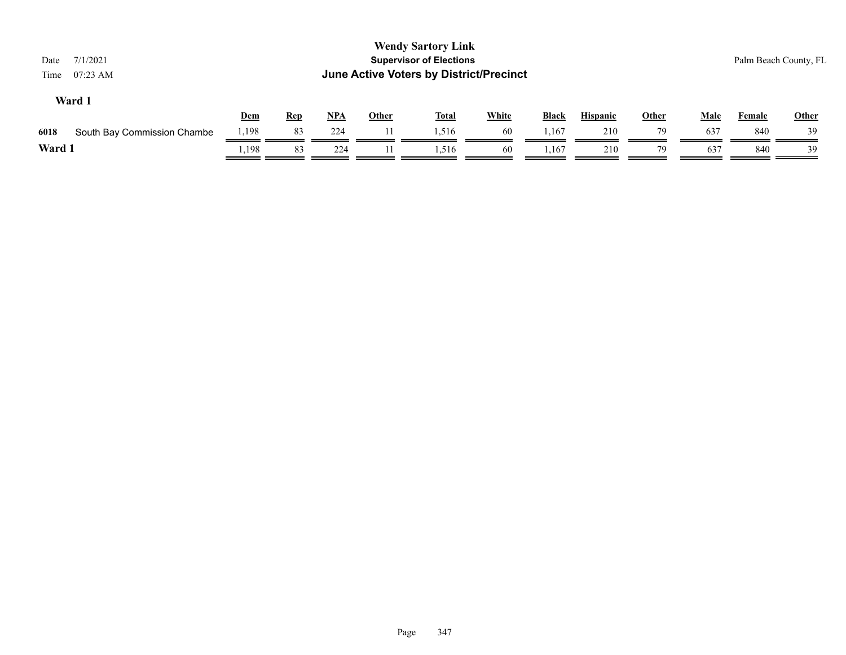| 7/1/2021<br>Date<br>07:23 AM<br>Time |            |            |       |              | <b>Wendy Sartory Link</b><br><b>Supervisor of Elections</b><br>June Active Voters by District/Precinct |              |       |                 |              |             |        | Palm Beach County, FL |
|--------------------------------------|------------|------------|-------|--------------|--------------------------------------------------------------------------------------------------------|--------------|-------|-----------------|--------------|-------------|--------|-----------------------|
| Ward 1                               | <b>Dem</b> | <b>Rep</b> | $NPA$ | <b>Other</b> | <b>Total</b>                                                                                           | <b>White</b> | Black | <b>Hispanic</b> | <b>Other</b> | <b>Male</b> | Female | <b>Other</b>          |
| South Bay Commission Chambe<br>6018  | 1,198      | 83         | 224   | 11           | 1,516                                                                                                  | 60           | 1,167 | 210             | 79           | 637         | 840    | 39                    |
| Ward 1                               | 1,198      | 83         | 224   | 11.          | 1,516                                                                                                  | 60           | 1,167 | 210             | 79           | 637         | 840    | 39                    |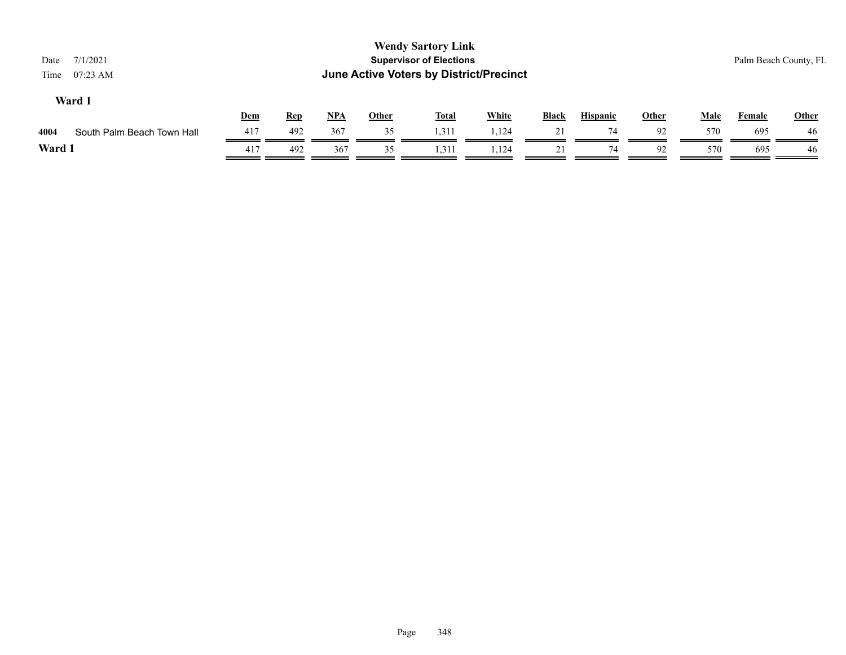|                            |                   |            |            |              |              |                                                                             |                                         |    |              | Palm Beach County, FL |               |
|----------------------------|-------------------|------------|------------|--------------|--------------|-----------------------------------------------------------------------------|-----------------------------------------|----|--------------|-----------------------|---------------|
|                            |                   |            |            |              |              | <b>Black</b>                                                                | <b>Hispanic</b>                         |    |              |                       | Other         |
|                            | 492               | 367        | 35         | 1.311        | 1,124        | 21                                                                          | 74                                      | 92 | 570          | 695                   | -46           |
|                            | 492               | 367        | 35         | 1,311        | 1,124        | 21                                                                          | 74                                      | 92 | 570          | 695                   | 46            |
| South Palm Beach Town Hall | Dem<br>417<br>417 | <u>Rep</u> | <u>NPA</u> | <b>Other</b> | <b>Total</b> | <b>Wendy Sartory Link</b><br><b>Supervisor of Elections</b><br><b>White</b> | June Active Voters by District/Precinct |    | <b>Other</b> | <b>Male</b>           | <b>Female</b> |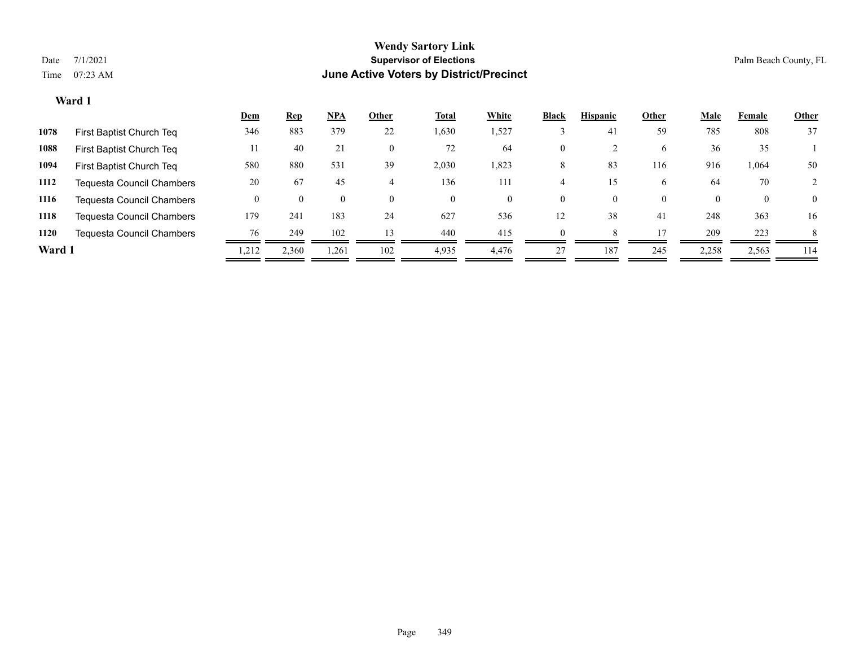|        |                                  | <u>Dem</u> | <u>Rep</u> | $NPA$    | Other    | <b>Total</b> | White | <b>Black</b>   | <b>Hispanic</b> | Other    | <b>Male</b> | Female       | <b>Other</b> |
|--------|----------------------------------|------------|------------|----------|----------|--------------|-------|----------------|-----------------|----------|-------------|--------------|--------------|
| 1078   | First Baptist Church Teq         | 346        | 883        | 379      | 22       | 1,630        | 1,527 |                | 41              | 59       | 785         | 808          | 37           |
| 1088   | First Baptist Church Teq         | 11         | 40         | 21       | 0        | 72           | 64    | $\mathbf{0}$   |                 | 6        | 36          | 35           |              |
| 1094   | First Baptist Church Teq         | 580        | 880        | 531      | 39       | 2,030        | 1,823 | 8              | 83              | 116      | 916         | 1,064        | 50           |
| 1112   | <b>Tequesta Council Chambers</b> | 20         | 67         | 45       | 4        | 136          | 111   |                |                 | b.       | 64          | 70           |              |
| 1116   | <b>Tequesta Council Chambers</b> |            |            | $\theta$ | $\Omega$ | $\theta$     | 0     | $\overline{0}$ | $\theta$        | $\Omega$ |             | $\mathbf{0}$ | $\theta$     |
| 1118   | <b>Tequesta Council Chambers</b> | 179        | 241        | 183      | 24       | 627          | 536   | 12             | 38              | 41       | 248         | 363          | 16           |
| 1120   | Tequesta Council Chambers        | 76         | 249        | 102      | 13       | 440          | 415   | $\Omega$       |                 |          | 209         | 223          | 8            |
| Ward 1 |                                  | 212        | 2.360      | 1,261    | 102      | 4,935        | 4.476 | 27             | 187             | 245      | 2,258       | 2,563        | 114          |
|        |                                  |            |            |          |          |              |       |                |                 |          |             |              |              |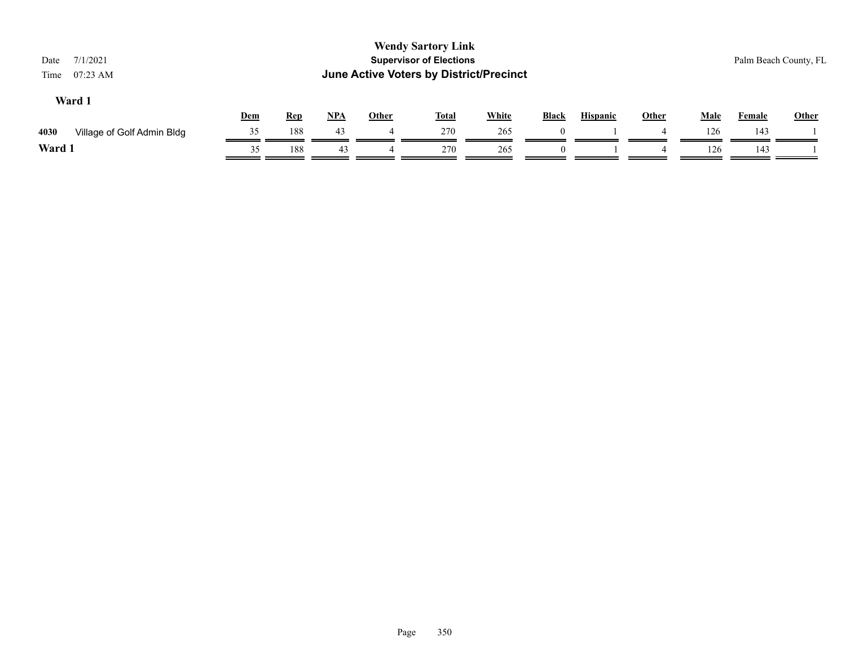| 7/1/2021<br>Date<br>$07:23$ AM<br>Time |     |            |            |              | <b>Wendy Sartory Link</b><br><b>Supervisor of Elections</b><br>June Active Voters by District/Precinct |              |          |                 |              |             |        | Palm Beach County, FL |
|----------------------------------------|-----|------------|------------|--------------|--------------------------------------------------------------------------------------------------------|--------------|----------|-----------------|--------------|-------------|--------|-----------------------|
| Ward 1                                 | Dem | <b>Rep</b> | <u>NPA</u> | <b>Other</b> | <u>Total</u>                                                                                           | <b>White</b> | Black    | <b>Hispanic</b> | <b>Other</b> | <b>Male</b> | Female | <b>Other</b>          |
| 4030<br>Village of Golf Admin Bldg     | 35  | 188        | 43         |              | 270                                                                                                    | 265          | $\Omega$ |                 | 4            | 126         | 143    |                       |
| Ward 1                                 | 35  | 188        | 43         |              | 270                                                                                                    | 265          | $\Omega$ |                 |              | 126         | 143    |                       |
|                                        |     |            |            |              |                                                                                                        |              |          |                 |              |             |        |                       |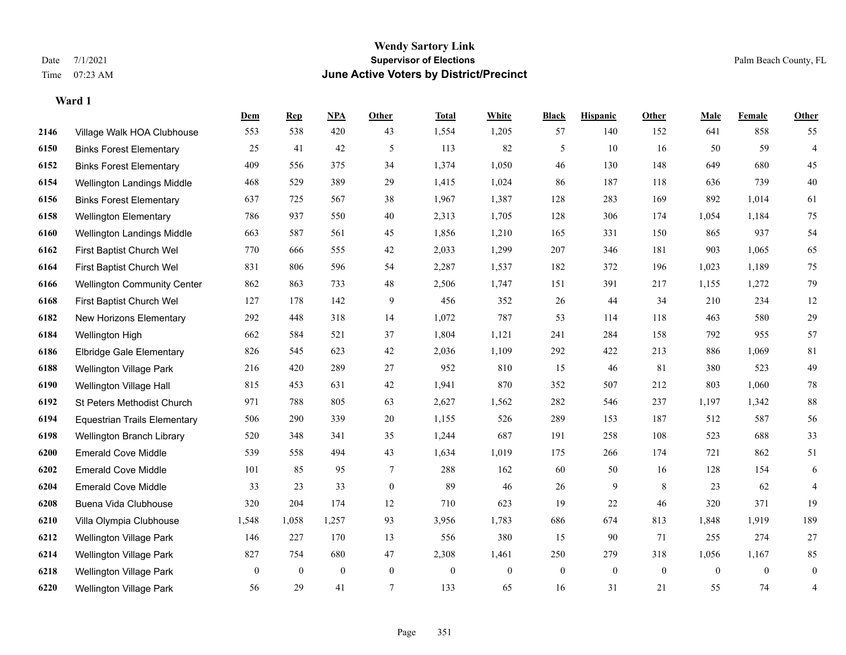#### **Wendy Sartory Link** Date 7/1/2021 **Supervisor of Elections** Palm Beach County, FL Time 07:23 AM **June Active Voters by District/Precinct**

**Dem Rep NPA Other Total White Black Hispanic Other Male Female Other**

# Village Walk HOA Clubhouse 553 538 420 43 1,554 1,205 57 140 152 641 858 55 Binks Forest Elementary 25 41 42 5 113 82 5 10 16 50 59 4 Binks Forest Elementary 409 556 375 34 1,374 1,050 46 130 148 649 680 45 Wellington Landings Middle 468 529 389 29 1,415 1,024 86 187 118 636 739 40 Binks Forest Elementary 637 725 567 38 1,967 1,387 128 283 169 892 1,014 61 Wellington Elementary 786 937 550 40 2,313 1,705 128 306 174 1,054 1,184 75 Wellington Landings Middle 663 587 561 45 1,856 1,210 165 331 150 865 937 54 First Baptist Church Wel 770 666 555 42 2,033 1,299 207 346 181 903 1,065 65 First Baptist Church Wel 831 806 596 54 2,287 1,537 182 372 196 1,023 1,189 75 Wellington Community Center 862 863 733 48 2,506 1,747 151 391 217 1,155 1,272 79 First Baptist Church Wel 127 178 142 9 456 352 26 44 34 210 234 12 New Horizons Elementary 292 448 318 14 1,072 787 53 114 118 463 580 29 Wellington High 662 584 521 37 1,804 1,121 241 284 158 792 955 57 Elbridge Gale Elementary 826 545 623 42 2,036 1,109 292 422 213 886 1,069 81 Wellington Village Park 216 420 289 27 952 810 15 46 81 380 523 49 Wellington Village Hall 815 453 631 42 1,941 870 352 507 212 803 1,060 78 St Peters Methodist Church 971 788 805 63 2,627 1,562 282 546 237 1,197 1,342 88 Equestrian Trails Elementary 506 290 339 20 1,155 526 289 153 187 512 587 56 Wellington Branch Library 520 348 341 35 1,244 687 191 258 108 523 688 33 Emerald Cove Middle 539 558 494 43 1,634 1,019 175 266 174 721 862 51 Emerald Cove Middle 101 85 95 7 288 162 60 50 16 128 154 6 Emerald Cove Middle 33 23 33 0 89 46 26 9 8 23 62 4 Buena Vida Clubhouse 320 204 174 12 710 623 19 22 46 320 371 19 Villa Olympia Clubhouse 1,548 1,058 1,257 93 3,956 1,783 686 674 813 1,848 1,919 189

 Wellington Village Park 146 227 170 13 556 380 15 90 71 255 274 27 Wellington Village Park 827 754 680 47 2,308 1,461 250 279 318 1,056 1,167 85 Wellington Village Park 0 0 0 0 0 0 0 0 0 0 0 0 Wellington Village Park 56 29 41 7 133 65 16 31 21 55 74 4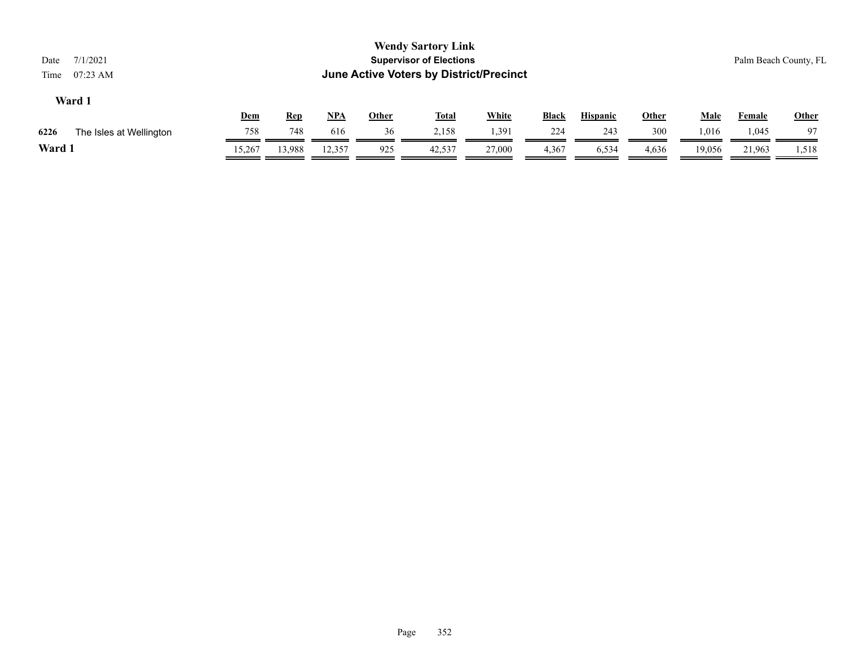| 7/1/2021<br>Date<br>$07:23$ AM<br>Time |            |            |            |              | <b>Wendy Sartory Link</b><br><b>Supervisor of Elections</b><br>June Active Voters by District/Precinct |              |              |                 |       |        |               | Palm Beach County, FL |
|----------------------------------------|------------|------------|------------|--------------|--------------------------------------------------------------------------------------------------------|--------------|--------------|-----------------|-------|--------|---------------|-----------------------|
| Ward 1                                 | <u>Dem</u> | <b>Rep</b> | <u>NPA</u> | <u>Other</u> | <b>Total</b>                                                                                           | <b>White</b> | <b>Black</b> | <b>Hispanic</b> | Other | Male   | <b>Female</b> | Other                 |
| 6226<br>The Isles at Wellington        | 758        | 748        | 616        | 36           | 2,158                                                                                                  | 1,391        | 224          | 243             | 300   | 1,016  | 1,045         | 97                    |
| Ward 1                                 | 15.267     | 13,988     | 12,357     | 925          | 42,537                                                                                                 | 27,000       | 4,367        | 6,534           | 4,636 | 19,056 | 21,963        | 1,518                 |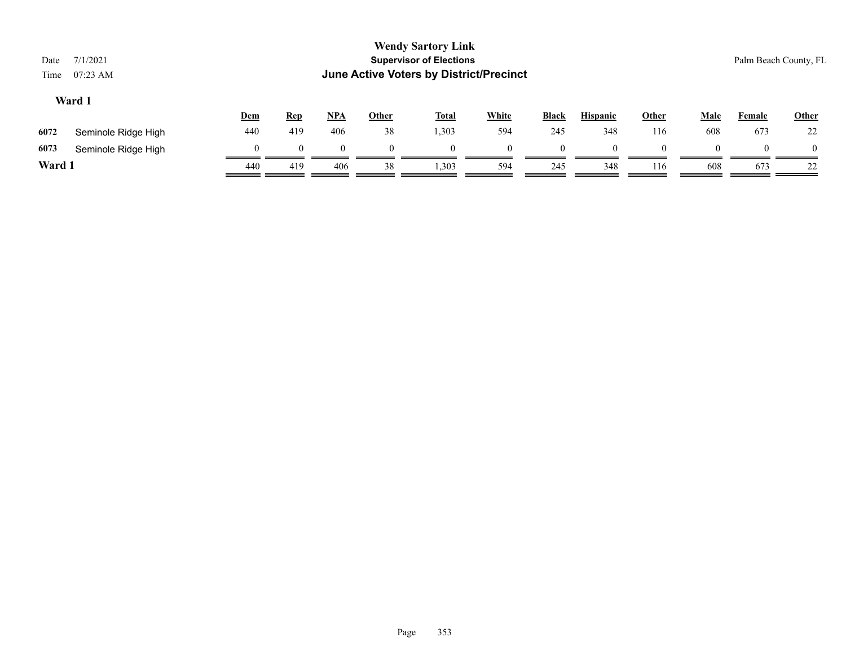| Date<br>Time | 7/1/2021<br>$07:23 \text{ AM}$ |            |            |            |              | <b>Wendy Sartory Link</b><br><b>Supervisor of Elections</b><br>June Active Voters by District/Precinct |              |              |                 |              |             |          | Palm Beach County, FL |
|--------------|--------------------------------|------------|------------|------------|--------------|--------------------------------------------------------------------------------------------------------|--------------|--------------|-----------------|--------------|-------------|----------|-----------------------|
|              | Ward 1                         | <b>Dem</b> | <b>Rep</b> | <u>NPA</u> | <b>Other</b> | <b>Total</b>                                                                                           | <b>White</b> | <b>Black</b> | <b>Hispanic</b> | <u>Other</u> | <b>Male</b> | Female   | <b>Other</b>          |
| 6072         | Seminole Ridge High            | 440        | 419        | 406        | 38           | 1,303                                                                                                  | 594          | 245          | 348             | 116          | 608         | 673      | 22                    |
| 6073         | Seminole Ridge High            |            | $\Omega$   | $\Omega$   | $\Omega$     | $\Omega$                                                                                               | $\Omega$     | $\Omega$     | $\Omega$        | $\Omega$     | $\Omega$    | $\Omega$ | $\Omega$              |
| Ward 1       |                                | 440        | 419        | 406        | 38           | 1,303                                                                                                  | 594          | 245          | 348             | 116          | 608         | 673      | 22                    |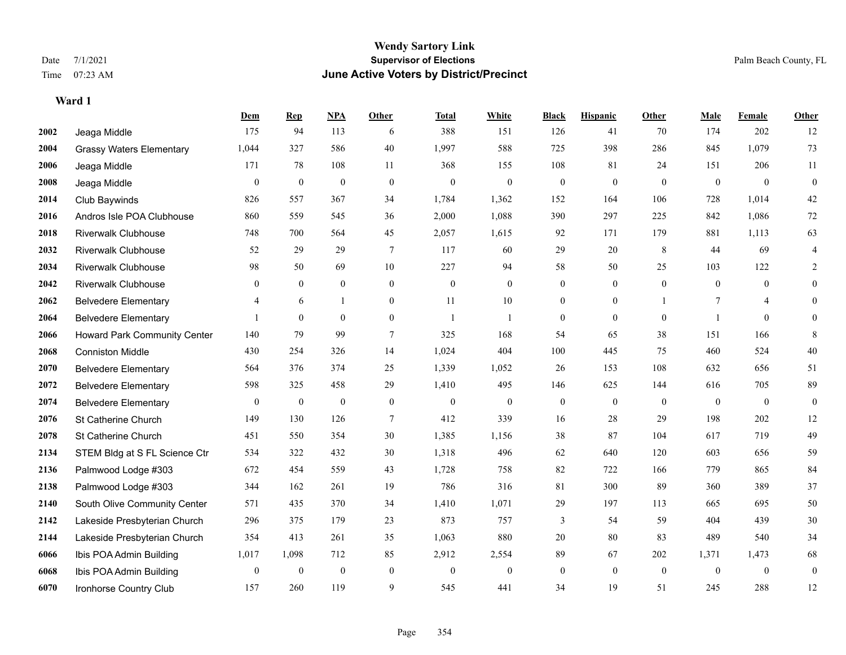|      |                                 | Dem            | <b>Rep</b>       | NPA              | <b>Other</b>     | <b>Total</b> | <b>White</b>     | <b>Black</b>     | <b>Hispanic</b>  | <b>Other</b> | <b>Male</b>    | <b>Female</b>  | <b>Other</b>     |
|------|---------------------------------|----------------|------------------|------------------|------------------|--------------|------------------|------------------|------------------|--------------|----------------|----------------|------------------|
| 2002 | Jeaga Middle                    | 175            | 94               | 113              | 6                | 388          | 151              | 126              | 41               | 70           | 174            | 202            | 12               |
| 2004 | <b>Grassy Waters Elementary</b> | 1,044          | 327              | 586              | 40               | 1,997        | 588              | 725              | 398              | 286          | 845            | 1,079          | 73               |
| 2006 | Jeaga Middle                    | 171            | 78               | 108              | 11               | 368          | 155              | 108              | 81               | 24           | 151            | 206            | 11               |
| 2008 | Jeaga Middle                    | $\overline{0}$ | $\boldsymbol{0}$ | $\boldsymbol{0}$ | $\mathbf{0}$     | $\mathbf{0}$ | $\boldsymbol{0}$ | $\boldsymbol{0}$ | $\overline{0}$   | $\mathbf{0}$ | $\mathbf{0}$   | $\mathbf{0}$   | $\mathbf{0}$     |
| 2014 | Club Baywinds                   | 826            | 557              | 367              | 34               | 1,784        | 1,362            | 152              | 164              | 106          | 728            | 1,014          | $42\,$           |
| 2016 | Andros Isle POA Clubhouse       | 860            | 559              | 545              | 36               | 2,000        | 1,088            | 390              | 297              | 225          | 842            | 1,086          | $72\,$           |
| 2018 | <b>Riverwalk Clubhouse</b>      | 748            | 700              | 564              | 45               | 2,057        | 1,615            | 92               | 171              | 179          | 881            | 1,113          | 63               |
| 2032 | <b>Riverwalk Clubhouse</b>      | 52             | 29               | 29               | $\tau$           | 117          | 60               | 29               | 20               | 8            | 44             | 69             | 4                |
| 2034 | <b>Riverwalk Clubhouse</b>      | 98             | 50               | 69               | 10               | 227          | 94               | 58               | 50               | 25           | 103            | 122            | $\overline{2}$   |
| 2042 | <b>Riverwalk Clubhouse</b>      | 0              | $\overline{0}$   | $\mathbf{0}$     | $\mathbf{0}$     | $\theta$     | $\boldsymbol{0}$ | $\overline{0}$   | $\overline{0}$   | $\theta$     | $\theta$       | $\theta$       | $\overline{0}$   |
| 2062 | <b>Belvedere Elementary</b>     | 4              | 6                | $\mathbf{1}$     | $\theta$         | 11           | 10               | $\overline{0}$   | $\Omega$         |              | $\tau$         | $\overline{4}$ | $\theta$         |
| 2064 | <b>Belvedere Elementary</b>     |                | $\mathbf{0}$     | $\theta$         | $\overline{0}$   | $\mathbf{1}$ | 1                | $\overline{0}$   | $\overline{0}$   | $\Omega$     | $\overline{1}$ | $\theta$       | $\theta$         |
| 2066 | Howard Park Community Center    | 140            | 79               | 99               | 7                | 325          | 168              | 54               | 65               | 38           | 151            | 166            | 8                |
| 2068 | <b>Conniston Middle</b>         | 430            | 254              | 326              | 14               | 1,024        | 404              | 100              | 445              | 75           | 460            | 524            | $40\,$           |
| 2070 | <b>Belvedere Elementary</b>     | 564            | 376              | 374              | 25               | 1,339        | 1,052            | 26               | 153              | 108          | 632            | 656            | 51               |
| 2072 | <b>Belvedere Elementary</b>     | 598            | 325              | 458              | 29               | 1,410        | 495              | 146              | 625              | 144          | 616            | 705            | 89               |
| 2074 | <b>Belvedere Elementary</b>     | $\overline{0}$ | $\boldsymbol{0}$ | $\boldsymbol{0}$ | $\boldsymbol{0}$ | $\mathbf{0}$ | $\boldsymbol{0}$ | $\boldsymbol{0}$ | $\boldsymbol{0}$ | $\mathbf{0}$ | $\mathbf{0}$   | $\mathbf{0}$   | $\boldsymbol{0}$ |
| 2076 | St Catherine Church             | 149            | 130              | 126              | $\tau$           | 412          | 339              | 16               | 28               | 29           | 198            | 202            | 12               |
| 2078 | St Catherine Church             | 451            | 550              | 354              | 30               | 1,385        | 1,156            | 38               | 87               | 104          | 617            | 719            | 49               |
| 2134 | STEM Bldg at S FL Science Ctr   | 534            | 322              | 432              | 30               | 1,318        | 496              | 62               | 640              | 120          | 603            | 656            | 59               |
| 2136 | Palmwood Lodge #303             | 672            | 454              | 559              | 43               | 1,728        | 758              | 82               | 722              | 166          | 779            | 865            | 84               |
| 2138 | Palmwood Lodge #303             | 344            | 162              | 261              | 19               | 786          | 316              | 81               | 300              | 89           | 360            | 389            | 37               |
| 2140 | South Olive Community Center    | 571            | 435              | 370              | 34               | 1,410        | 1,071            | 29               | 197              | 113          | 665            | 695            | $50\,$           |
| 2142 | Lakeside Presbyterian Church    | 296            | 375              | 179              | 23               | 873          | 757              | 3                | 54               | 59           | 404            | 439            | $30\,$           |
| 2144 | Lakeside Presbyterian Church    | 354            | 413              | 261              | 35               | 1,063        | 880              | 20               | 80               | 83           | 489            | 540            | 34               |
| 6066 | Ibis POA Admin Building         | 1,017          | 1,098            | 712              | 85               | 2,912        | 2,554            | 89               | 67               | 202          | 1,371          | 1,473          | 68               |
| 6068 | Ibis POA Admin Building         | $\overline{0}$ | $\boldsymbol{0}$ | $\boldsymbol{0}$ | $\mathbf{0}$     | $\theta$     | $\overline{0}$   | $\boldsymbol{0}$ | $\overline{0}$   | $\mathbf{0}$ | $\mathbf{0}$   | $\mathbf{0}$   | $\bf{0}$         |
| 6070 | Ironhorse Country Club          | 157            | 260              | 119              | 9                | 545          | 441              | 34               | 19               | 51           | 245            | 288            | 12               |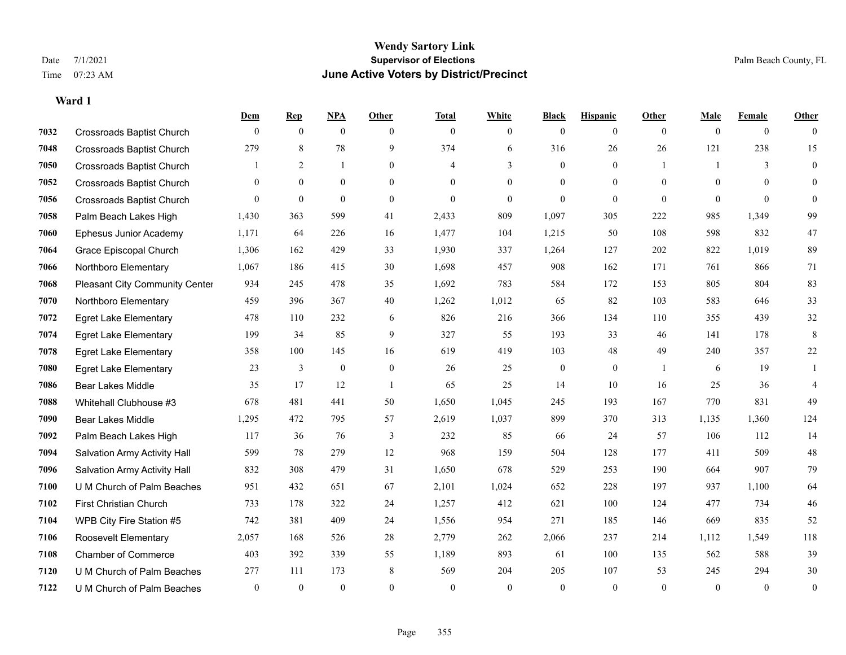|      |                                  | Dem            | <b>Rep</b>   | NPA          | <b>Other</b>   | <b>Total</b> | <b>White</b>   | <b>Black</b>   | <b>Hispanic</b> | <b>Other</b> | <b>Male</b>  | Female         | <b>Other</b>     |
|------|----------------------------------|----------------|--------------|--------------|----------------|--------------|----------------|----------------|-----------------|--------------|--------------|----------------|------------------|
| 7032 | <b>Crossroads Baptist Church</b> | $\mathbf{0}$   | $\mathbf{0}$ | $\mathbf{0}$ | $\theta$       | $\mathbf{0}$ | $\overline{0}$ | $\overline{0}$ | $\overline{0}$  | $\theta$     | $\theta$     | $\overline{0}$ | $\Omega$         |
| 7048 | <b>Crossroads Baptist Church</b> | 279            | 8            | 78           | 9              | 374          | 6              | 316            | 26              | 26           | 121          | 238            | 15               |
| 7050 | <b>Crossroads Baptist Church</b> |                | 2            | $\mathbf{1}$ | $\theta$       | 4            | 3              | $\overline{0}$ | $\overline{0}$  | -1           | $\mathbf{1}$ | 3              | $\overline{0}$   |
| 7052 | <b>Crossroads Baptist Church</b> | $\overline{0}$ | $\mathbf{0}$ | $\mathbf{0}$ | $\overline{0}$ | $\theta$     | $\overline{0}$ | $\overline{0}$ | $\overline{0}$  | $\theta$     | $\theta$     | $\theta$       | $\Omega$         |
| 7056 | <b>Crossroads Baptist Church</b> | $\theta$       | $\mathbf{0}$ | $\mathbf{0}$ | $\theta$       | $\theta$     | $\overline{0}$ | $\overline{0}$ | $\overline{0}$  | $\theta$     | $\theta$     | $\theta$       | $\overline{0}$   |
| 7058 | Palm Beach Lakes High            | 1,430          | 363          | 599          | 41             | 2,433        | 809            | 1,097          | 305             | 222          | 985          | 1,349          | 99               |
| 7060 | Ephesus Junior Academy           | 1,171          | 64           | 226          | 16             | 1,477        | 104            | 1,215          | 50              | 108          | 598          | 832            | 47               |
| 7064 | Grace Episcopal Church           | 1,306          | 162          | 429          | 33             | 1,930        | 337            | 1,264          | 127             | 202          | 822          | 1,019          | 89               |
| 7066 | Northboro Elementary             | 1,067          | 186          | 415          | 30             | 1,698        | 457            | 908            | 162             | 171          | 761          | 866            | 71               |
| 7068 | Pleasant City Community Center   | 934            | 245          | 478          | 35             | 1,692        | 783            | 584            | 172             | 153          | 805          | 804            | 83               |
| 7070 | Northboro Elementary             | 459            | 396          | 367          | 40             | 1,262        | 1,012          | 65             | 82              | 103          | 583          | 646            | 33               |
| 7072 | <b>Egret Lake Elementary</b>     | 478            | 110          | 232          | 6              | 826          | 216            | 366            | 134             | 110          | 355          | 439            | 32               |
| 7074 | <b>Egret Lake Elementary</b>     | 199            | 34           | 85           | 9              | 327          | 55             | 193            | 33              | 46           | 141          | 178            | $\,8\,$          |
| 7078 | <b>Egret Lake Elementary</b>     | 358            | 100          | 145          | 16             | 619          | 419            | 103            | 48              | 49           | 240          | 357            | 22               |
| 7080 | <b>Egret Lake Elementary</b>     | 23             | 3            | $\mathbf{0}$ | $\mathbf{0}$   | 26           | 25             | $\overline{0}$ | $\overline{0}$  | $\mathbf{1}$ | 6            | 19             |                  |
| 7086 | <b>Bear Lakes Middle</b>         | 35             | 17           | 12           | $\overline{1}$ | 65           | 25             | 14             | 10              | 16           | 25           | 36             | $\overline{4}$   |
| 7088 | Whitehall Clubhouse #3           | 678            | 481          | 441          | 50             | 1,650        | 1,045          | 245            | 193             | 167          | 770          | 831            | 49               |
| 7090 | <b>Bear Lakes Middle</b>         | 1,295          | 472          | 795          | 57             | 2,619        | 1,037          | 899            | 370             | 313          | 1,135        | 1,360          | 124              |
| 7092 | Palm Beach Lakes High            | 117            | 36           | 76           | $\mathfrak{Z}$ | 232          | 85             | 66             | 24              | 57           | 106          | 112            | 14               |
| 7094 | Salvation Army Activity Hall     | 599            | 78           | 279          | 12             | 968          | 159            | 504            | 128             | 177          | 411          | 509            | 48               |
| 7096 | Salvation Army Activity Hall     | 832            | 308          | 479          | 31             | 1,650        | 678            | 529            | 253             | 190          | 664          | 907            | 79               |
| 7100 | U M Church of Palm Beaches       | 951            | 432          | 651          | 67             | 2,101        | 1,024          | 652            | 228             | 197          | 937          | 1,100          | 64               |
| 7102 | First Christian Church           | 733            | 178          | 322          | 24             | 1,257        | 412            | 621            | 100             | 124          | 477          | 734            | 46               |
| 7104 | WPB City Fire Station #5         | 742            | 381          | 409          | 24             | 1,556        | 954            | 271            | 185             | 146          | 669          | 835            | 52               |
| 7106 | Roosevelt Elementary             | 2,057          | 168          | 526          | 28             | 2,779        | 262            | 2,066          | 237             | 214          | 1,112        | 1,549          | 118              |
| 7108 | <b>Chamber of Commerce</b>       | 403            | 392          | 339          | 55             | 1,189        | 893            | 61             | 100             | 135          | 562          | 588            | 39               |
| 7120 | U M Church of Palm Beaches       | 277            | 111          | 173          | 8              | 569          | 204            | 205            | 107             | 53           | 245          | 294            | 30               |
| 7122 | U M Church of Palm Beaches       | $\overline{0}$ | $\mathbf{0}$ | $\theta$     | $\theta$       | $\theta$     | $\theta$       | $\mathbf{0}$   | $\mathbf{0}$    | $\mathbf{0}$ | $\theta$     | $\mathbf{0}$   | $\boldsymbol{0}$ |